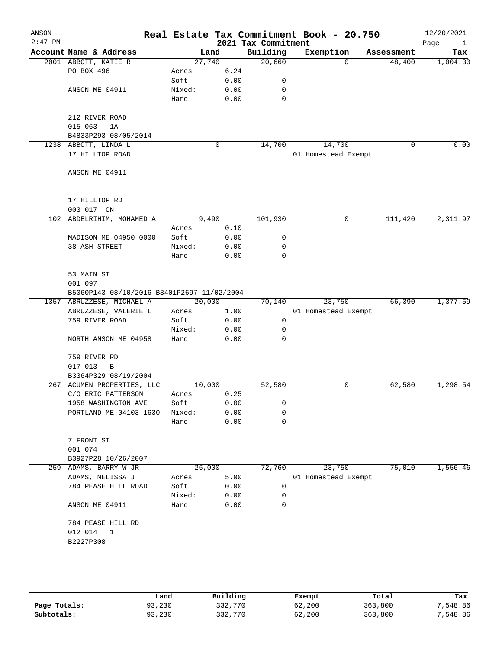| ANSON<br>$2:47$ PM |                                            |        |      |        | Real Estate Tax Commitment Book - 20.750<br>2021 Tax Commitment |                     |          |             | 12/20/2021<br>Page<br>$\mathbf{1}$ |
|--------------------|--------------------------------------------|--------|------|--------|-----------------------------------------------------------------|---------------------|----------|-------------|------------------------------------|
|                    | Account Name & Address                     |        | Land |        | Building                                                        | Exemption           |          | Assessment  | Tax                                |
|                    | 2001 ABBOTT, KATIE R                       |        |      | 27,740 | 20,660                                                          |                     | $\Omega$ | 48,400      | 1,004.30                           |
|                    | PO BOX 496                                 | Acres  |      | 6.24   |                                                                 |                     |          |             |                                    |
|                    |                                            | Soft:  |      | 0.00   | 0                                                               |                     |          |             |                                    |
|                    | ANSON ME 04911                             | Mixed: |      | 0.00   | 0                                                               |                     |          |             |                                    |
|                    |                                            | Hard:  |      | 0.00   | $\mathbf 0$                                                     |                     |          |             |                                    |
|                    | 212 RIVER ROAD                             |        |      |        |                                                                 |                     |          |             |                                    |
|                    | 015 063<br>1A                              |        |      |        |                                                                 |                     |          |             |                                    |
|                    | B4833P293 08/05/2014                       |        |      |        |                                                                 |                     |          |             |                                    |
|                    | 1238 ABBOTT, LINDA L                       |        | 0    |        | 14,700                                                          |                     | 14,700   | $\mathbf 0$ | 0.00                               |
|                    | 17 HILLTOP ROAD                            |        |      |        |                                                                 | 01 Homestead Exempt |          |             |                                    |
|                    | ANSON ME 04911                             |        |      |        |                                                                 |                     |          |             |                                    |
|                    | 17 HILLTOP RD                              |        |      |        |                                                                 |                     |          |             |                                    |
|                    | 003 017 ON                                 |        |      |        |                                                                 |                     |          |             |                                    |
|                    | 102 ABDELRIHIM, MOHAMED A                  | 9,490  |      |        | 101,930                                                         |                     | 0        | 111,420     | 2,311.97                           |
|                    |                                            | Acres  |      | 0.10   |                                                                 |                     |          |             |                                    |
|                    | MADISON ME 04950 0000                      | Soft:  |      | 0.00   | 0                                                               |                     |          |             |                                    |
|                    | 38 ASH STREET                              | Mixed: |      | 0.00   | 0                                                               |                     |          |             |                                    |
|                    |                                            | Hard:  |      | 0.00   | $\mathbf 0$                                                     |                     |          |             |                                    |
|                    |                                            |        |      |        |                                                                 |                     |          |             |                                    |
|                    | 53 MAIN ST                                 |        |      |        |                                                                 |                     |          |             |                                    |
|                    | 001 097                                    |        |      |        |                                                                 |                     |          |             |                                    |
|                    | B5060P143 08/10/2016 B3401P2697 11/02/2004 |        |      |        |                                                                 |                     |          |             |                                    |
|                    | 1357 ABRUZZESE, MICHAEL A                  | 20,000 |      |        | 70,140                                                          |                     | 23,750   | 66,390      | 1,377.59                           |
|                    | ABRUZZESE, VALERIE L                       | Acres  |      | 1.00   |                                                                 | 01 Homestead Exempt |          |             |                                    |
|                    | 759 RIVER ROAD                             | Soft:  |      | 0.00   | 0                                                               |                     |          |             |                                    |
|                    |                                            | Mixed: |      | 0.00   | 0                                                               |                     |          |             |                                    |
|                    | NORTH ANSON ME 04958                       | Hard:  |      | 0.00   | 0                                                               |                     |          |             |                                    |
|                    | 759 RIVER RD                               |        |      |        |                                                                 |                     |          |             |                                    |
|                    | 017 013<br>$\overline{B}$                  |        |      |        |                                                                 |                     |          |             |                                    |
|                    | B3364P329 08/19/2004                       |        |      |        |                                                                 |                     |          |             |                                    |
|                    | 267 ACUMEN PROPERTIES, LLC                 | 10,000 |      |        | 52,580                                                          |                     | 0        | 62,580      | 1,298.54                           |
|                    | C/O ERIC PATTERSON Acres 0.25              |        |      |        |                                                                 |                     |          |             |                                    |
|                    | 1958 WASHINGTON AVE                        | Soft:  |      | 0.00   | 0                                                               |                     |          |             |                                    |
|                    | PORTLAND ME 04103 1630                     | Mixed: |      | 0.00   | 0                                                               |                     |          |             |                                    |
|                    |                                            | Hard:  |      | 0.00   | 0                                                               |                     |          |             |                                    |
|                    | 7 FRONT ST                                 |        |      |        |                                                                 |                     |          |             |                                    |
|                    | 001 074                                    |        |      |        |                                                                 |                     |          |             |                                    |
|                    | B3927P28 10/26/2007                        |        |      |        |                                                                 |                     |          |             |                                    |
|                    | 259 ADAMS, BARRY W JR                      | 26,000 |      |        | 72,760                                                          |                     | 23,750   | 75,010      | 1,556.46                           |
|                    | ADAMS, MELISSA J                           | Acres  |      | 5.00   |                                                                 | 01 Homestead Exempt |          |             |                                    |
|                    | 784 PEASE HILL ROAD                        | Soft:  |      | 0.00   | 0                                                               |                     |          |             |                                    |
|                    |                                            | Mixed: |      | 0.00   | 0                                                               |                     |          |             |                                    |
|                    | ANSON ME 04911                             | Hard:  |      | 0.00   | 0                                                               |                     |          |             |                                    |
|                    | 784 PEASE HILL RD                          |        |      |        |                                                                 |                     |          |             |                                    |
|                    | 012 014<br>1                               |        |      |        |                                                                 |                     |          |             |                                    |
|                    | B2227P308                                  |        |      |        |                                                                 |                     |          |             |                                    |
|                    |                                            |        |      |        |                                                                 |                     |          |             |                                    |
|                    |                                            |        |      |        |                                                                 |                     |          |             |                                    |

|              | Land   | Building | Exempt | Total   | Tax      |
|--------------|--------|----------|--------|---------|----------|
| Page Totals: | 93,230 | 332,770  | 62,200 | 363,800 | 7,548.86 |
| Subtotals:   | 93,230 | 332,770  | 62,200 | 363,800 | 7,548.86 |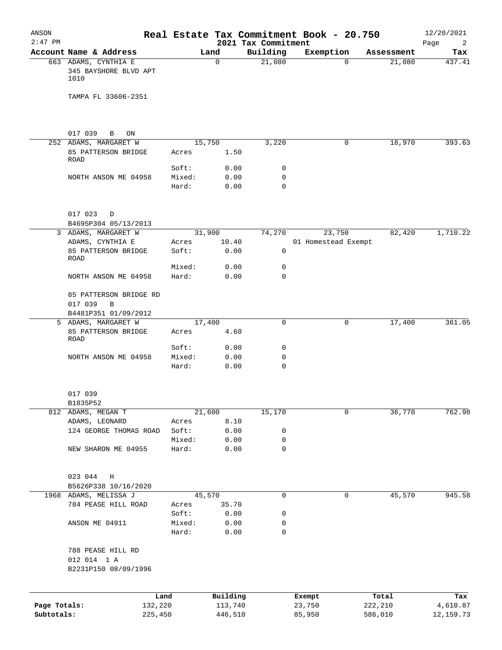| ANSON<br>$2:47$ PM |                                                        |                 |              | 2021 Tax Commitment | Real Estate Tax Commitment Book - 20.750 |            | 12/20/2021<br>Page<br>2 |
|--------------------|--------------------------------------------------------|-----------------|--------------|---------------------|------------------------------------------|------------|-------------------------|
|                    | Account Name & Address                                 |                 | Land         | Building            | Exemption                                | Assessment | Tax                     |
|                    | 663 ADAMS, CYNTHIA E<br>345 BAYSHORE BLVD APT<br>1010  |                 | $\Omega$     | 21,080              | $\Omega$                                 | 21,080     | 437.41                  |
|                    | TAMPA FL 33606-2351                                    |                 |              |                     |                                          |            |                         |
|                    |                                                        |                 |              |                     |                                          |            |                         |
|                    | 017 039<br>$\mathbf{B}$<br>ON<br>252 ADAMS, MARGARET W |                 | 15,750       | 3,220               | 0                                        | 18,970     | 393.63                  |
|                    | 85 PATTERSON BRIDGE<br>ROAD                            | Acres           | 1.50         |                     |                                          |            |                         |
|                    |                                                        | Soft:           | 0.00         | 0                   |                                          |            |                         |
|                    | NORTH ANSON ME 04958                                   | Mixed:          | 0.00         | 0                   |                                          |            |                         |
|                    |                                                        | Hard:           | 0.00         | 0                   |                                          |            |                         |
|                    | 017 023 D                                              |                 |              |                     |                                          |            |                         |
|                    | B4695P304 05/13/2013                                   |                 |              |                     |                                          |            |                         |
|                    | 3 ADAMS, MARGARET W                                    |                 | 31,900       | 74,270              | 23,750                                   | 82,420     | 1,710.22                |
|                    | ADAMS, CYNTHIA E                                       | Acres           | 10.40        |                     | 01 Homestead Exempt                      |            |                         |
|                    | 85 PATTERSON BRIDGE<br><b>ROAD</b>                     | Soft:           | 0.00         | 0                   |                                          |            |                         |
|                    |                                                        | Mixed:          | 0.00         | 0                   |                                          |            |                         |
|                    | NORTH ANSON ME 04958                                   | Hard:           | 0.00         | $\Omega$            |                                          |            |                         |
|                    | 85 PATTERSON BRIDGE RD<br>017 039<br>B                 |                 |              |                     |                                          |            |                         |
|                    | B4481P351 01/09/2012                                   |                 |              |                     |                                          |            |                         |
|                    | 5 ADAMS, MARGARET W                                    |                 | 17,400       | $\mathbf 0$         | 0                                        | 17,400     | 361.05                  |
|                    | 85 PATTERSON BRIDGE<br>ROAD                            | Acres           | 4.60         |                     |                                          |            |                         |
|                    | NORTH ANSON ME 04958                                   | Soft:<br>Mixed: | 0.00<br>0.00 | 0<br>0              |                                          |            |                         |
|                    |                                                        | Hard:           | 0.00         | $\mathbf 0$         |                                          |            |                         |
|                    | 017 039                                                |                 |              |                     |                                          |            |                         |
|                    | B1835P52                                               |                 |              |                     |                                          |            |                         |
|                    | 812 ADAMS, MEGAN T                                     |                 | 21,600       | 15,170              | 0                                        | 36,770     | 762.98                  |
|                    | ADAMS, LEONARD                                         | Acres           | 8.10         |                     |                                          |            |                         |
|                    | 124 GEORGE THOMAS ROAD                                 | Soft:           | 0.00         | 0                   |                                          |            |                         |
|                    | NEW SHARON ME 04955                                    | Mixed:<br>Hard: | 0.00<br>0.00 | 0<br>0              |                                          |            |                         |
|                    |                                                        |                 |              |                     |                                          |            |                         |
|                    | 023 044<br>Η                                           |                 |              |                     |                                          |            |                         |
|                    | B5626P338 10/16/2020                                   |                 |              |                     |                                          |            |                         |
|                    | 1968 ADAMS, MELISSA J                                  |                 | 45,570       | 0                   | 0                                        | 45,570     | 945.58                  |
|                    | 784 PEASE HILL ROAD                                    | Acres           | 35.70        |                     |                                          |            |                         |
|                    | ANSON ME 04911                                         | Soft:<br>Mixed: | 0.00<br>0.00 | 0<br>0              |                                          |            |                         |
|                    |                                                        | Hard:           | 0.00         | $\mathbf 0$         |                                          |            |                         |
|                    | 788 PEASE HILL RD                                      |                 |              |                     |                                          |            |                         |
|                    | 012 014 1 A                                            |                 |              |                     |                                          |            |                         |
|                    | B2231P150 08/09/1996                                   |                 |              |                     |                                          |            |                         |
|                    |                                                        | Land            | Building     |                     | Exempt                                   | Total      | Tax                     |
| Page Totals:       | 132,220                                                |                 | 113,740      |                     | 23,750                                   | 222,210    | 4,610.87                |
| Subtotals:         | 225,450                                                |                 | 446,510      |                     | 85,950                                   | 586,010    | 12, 159. 73             |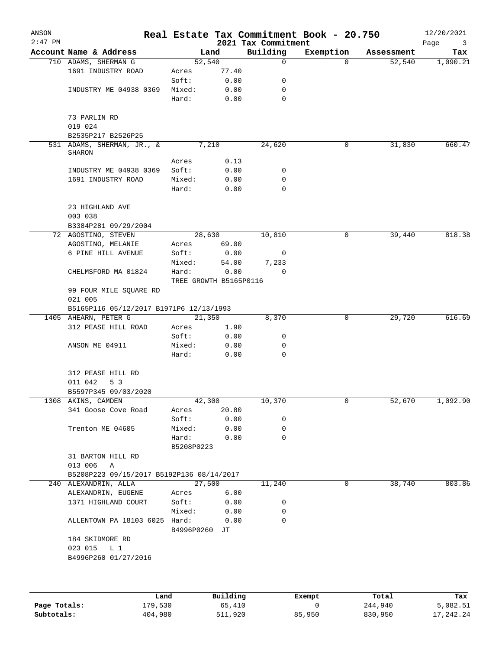| ANSON<br>$2:47$ PM |                                           |                                 |                        | 2021 Tax Commitment | Real Estate Tax Commitment Book - 20.750 |            | 12/20/2021<br>Page<br>3 |
|--------------------|-------------------------------------------|---------------------------------|------------------------|---------------------|------------------------------------------|------------|-------------------------|
|                    | Account Name & Address                    | Land                            |                        | Building            | Exemption                                | Assessment | Tax                     |
|                    | 710 ADAMS, SHERMAN G                      | 52,540                          |                        | $\mathbf 0$         | $\Omega$                                 | 52,540     | 1,090.21                |
|                    | 1691 INDUSTRY ROAD                        | Acres                           | 77.40                  |                     |                                          |            |                         |
|                    |                                           | Soft:                           | 0.00                   | 0                   |                                          |            |                         |
|                    | INDUSTRY ME 04938 0369                    | Mixed:                          | 0.00                   | 0                   |                                          |            |                         |
|                    |                                           | Hard:                           | 0.00                   | 0                   |                                          |            |                         |
|                    | 73 PARLIN RD<br>019 024                   |                                 |                        |                     |                                          |            |                         |
|                    | B2535P217 B2526P25                        |                                 |                        |                     |                                          |            |                         |
|                    | 531 ADAMS, SHERMAN, JR., &<br>SHARON      | 7,210                           |                        | 24,620              | 0                                        | 31,830     | 660.47                  |
|                    |                                           | Acres                           | 0.13                   |                     |                                          |            |                         |
|                    | INDUSTRY ME 04938 0369                    | Soft:                           | 0.00                   | 0                   |                                          |            |                         |
|                    | 1691 INDUSTRY ROAD                        | Mixed:                          | 0.00                   | 0                   |                                          |            |                         |
|                    |                                           | Hard:                           | 0.00                   | 0                   |                                          |            |                         |
|                    | 23 HIGHLAND AVE                           |                                 |                        |                     |                                          |            |                         |
|                    | 003 038                                   |                                 |                        |                     |                                          |            |                         |
|                    | B3384P281 09/29/2004                      | 28,630                          |                        |                     | 0                                        | 39,440     | 818.38                  |
|                    | 72 AGOSTINO, STEVEN<br>AGOSTINO, MELANIE  | Acres                           | 69.00                  | 10,810              |                                          |            |                         |
|                    |                                           |                                 |                        |                     |                                          |            |                         |
|                    | 6 PINE HILL AVENUE                        | Soft:                           | 0.00                   | 0                   |                                          |            |                         |
|                    |                                           | Mixed:                          | 54.00                  | 7,233               |                                          |            |                         |
|                    | CHELMSFORD MA 01824                       | Hard:<br>TREE GROWTH B5165P0116 | 0.00                   | $\Omega$            |                                          |            |                         |
|                    | 99 FOUR MILE SQUARE RD<br>021 005         |                                 |                        |                     |                                          |            |                         |
|                    | B5165P116 05/12/2017 B1971P6 12/13/1993   |                                 |                        |                     |                                          |            |                         |
|                    | 1405 AHEARN, PETER G                      | 21,350                          |                        | 8,370               | 0                                        | 29,720     | 616.69                  |
|                    | 312 PEASE HILL ROAD                       | Acres                           | 1.90                   |                     |                                          |            |                         |
|                    |                                           | Soft:                           | 0.00                   | 0                   |                                          |            |                         |
|                    | ANSON ME 04911                            | Mixed:                          | 0.00                   | 0                   |                                          |            |                         |
|                    |                                           | Hard:                           | 0.00                   | $\mathbf 0$         |                                          |            |                         |
|                    | 312 PEASE HILL RD                         |                                 |                        |                     |                                          |            |                         |
|                    | 011 042<br>5 3                            |                                 |                        |                     |                                          |            |                         |
|                    | B5597P345 09/03/2020                      | 42,300                          |                        |                     |                                          |            |                         |
|                    | 1308 AKINS, CAMDEN<br>341 Goose Cove Road |                                 | 20.80                  | 10,370              | 0                                        | 52,670     | 1,092.90                |
|                    |                                           | Acres<br>Soft:                  | 0.00                   | 0                   |                                          |            |                         |
|                    | Trenton ME 04605                          | Mixed:                          | 0.00                   | 0                   |                                          |            |                         |
|                    |                                           | Hard:                           | 0.00                   | 0                   |                                          |            |                         |
|                    |                                           | B5208P0223                      |                        |                     |                                          |            |                         |
|                    | 31 BARTON HILL RD                         |                                 |                        |                     |                                          |            |                         |
|                    | 013 006<br>Α                              |                                 |                        |                     |                                          |            |                         |
|                    | B5208P223 09/15/2017 B5192P136 08/14/2017 |                                 |                        |                     |                                          |            |                         |
|                    | 240 ALEXANDRIN, ALLA                      | 27,500                          |                        | 11,240              | 0                                        | 38,740     | 803.86                  |
|                    | ALEXANDRIN, EUGENE                        | Acres                           | 6.00                   |                     |                                          |            |                         |
|                    | 1371 HIGHLAND COURT                       | Soft:                           | 0.00                   | 0                   |                                          |            |                         |
|                    |                                           | Mixed:                          | 0.00                   | 0                   |                                          |            |                         |
|                    | ALLENTOWN PA 18103 6025 Hard:             | B4996P0260 JT                   | 0.00                   | $\Omega$            |                                          |            |                         |
|                    | 184 SKIDMORE RD                           |                                 |                        |                     |                                          |            |                         |
|                    | 023 015<br>L <sub>1</sub>                 |                                 |                        |                     |                                          |            |                         |
|                    | B4996P260 01/27/2016                      |                                 |                        |                     |                                          |            |                         |
|                    |                                           |                                 |                        |                     |                                          |            |                         |
|                    |                                           |                                 |                        |                     |                                          |            |                         |
|                    |                                           |                                 |                        |                     |                                          |            |                         |
|                    |                                           |                                 | $D_{11}$ in $A$ in $A$ |                     | $P$ <sub>i</sub> $\sim$ mm $+$           | $T - 1$    |                         |

|              | Land    | Building | Exempt | Total   | Tax       |
|--------------|---------|----------|--------|---------|-----------|
| Page Totals: | 179,530 | 65,410   |        | 244,940 | 5,082.51  |
| Subtotals:   | 404,980 | 511,920  | 85,950 | 830,950 | 17,242.24 |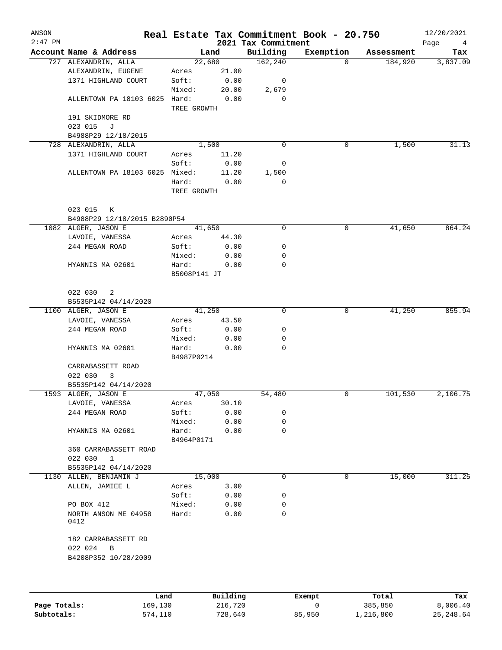| ANSON<br>$2:47$ PM |                                |                     |       | 2021 Tax Commitment | Real Estate Tax Commitment Book - 20.750 |            | 12/20/2021<br>Page<br>4 |
|--------------------|--------------------------------|---------------------|-------|---------------------|------------------------------------------|------------|-------------------------|
|                    | Account Name & Address         | Land                |       | Building            | Exemption                                | Assessment | Tax                     |
|                    | 727 ALEXANDRIN, ALLA           | 22,680              |       | 162, 240            | $\Omega$                                 | 184,920    | 3,837.09                |
|                    | ALEXANDRIN, EUGENE             | Acres               | 21.00 |                     |                                          |            |                         |
|                    | 1371 HIGHLAND COURT            | Soft:               | 0.00  | 0                   |                                          |            |                         |
|                    |                                | Mixed:              | 20.00 | 2,679               |                                          |            |                         |
|                    | ALLENTOWN PA 18103 6025 Hard:  | TREE GROWTH         | 0.00  | 0                   |                                          |            |                         |
|                    | 191 SKIDMORE RD                |                     |       |                     |                                          |            |                         |
|                    | 023 015<br>J                   |                     |       |                     |                                          |            |                         |
|                    | B4988P29 12/18/2015            |                     |       |                     |                                          |            |                         |
|                    | 728 ALEXANDRIN, ALLA           | 1,500               |       | 0                   | 0                                        | 1,500      | 31.13                   |
|                    | 1371 HIGHLAND COURT            | Acres               | 11.20 |                     |                                          |            |                         |
|                    |                                | Soft:               | 0.00  | 0                   |                                          |            |                         |
|                    | ALLENTOWN PA 18103 6025 Mixed: |                     | 11.20 | 1,500               |                                          |            |                         |
|                    |                                | Hard:               | 0.00  | 0                   |                                          |            |                         |
|                    |                                | TREE GROWTH         |       |                     |                                          |            |                         |
|                    | 023 015<br>К                   |                     |       |                     |                                          |            |                         |
|                    | B4988P29 12/18/2015 B2890P54   |                     |       |                     |                                          |            |                         |
|                    | 1082 ALGER, JASON E            | 41,650              |       | 0                   | 0                                        | 41,650     | 864.24                  |
|                    | LAVOIE, VANESSA                | Acres               | 44.30 |                     |                                          |            |                         |
|                    | 244 MEGAN ROAD                 | Soft:               | 0.00  | 0                   |                                          |            |                         |
|                    |                                | Mixed:              | 0.00  | 0                   |                                          |            |                         |
|                    | HYANNIS MA 02601               | Hard:               | 0.00  | 0                   |                                          |            |                         |
|                    |                                | B5008P141 JT        |       |                     |                                          |            |                         |
|                    | 022 030<br>2                   |                     |       |                     |                                          |            |                         |
|                    | B5535P142 04/14/2020           |                     |       |                     |                                          |            |                         |
|                    | 1100 ALGER, JASON E            | 41,250              |       | 0                   | 0                                        | 41,250     | 855.94                  |
|                    | LAVOIE, VANESSA                | Acres               | 43.50 |                     |                                          |            |                         |
|                    | 244 MEGAN ROAD                 | Soft:               | 0.00  | 0                   |                                          |            |                         |
|                    |                                | Mixed:              | 0.00  | 0                   |                                          |            |                         |
|                    | HYANNIS MA 02601               | Hard:<br>B4987P0214 | 0.00  | 0                   |                                          |            |                         |
|                    | CARRABASSETT ROAD              |                     |       |                     |                                          |            |                         |
|                    | 022 030<br>3                   |                     |       |                     |                                          |            |                         |
|                    | B5535P142 04/14/2020           |                     |       |                     |                                          |            |                         |
|                    | 1593 ALGER, JASON E            | 47,050              |       | 54,480              | 0                                        | 101,530    | 2,106.75                |
|                    | LAVOIE, VANESSA                | Acres               | 30.10 |                     |                                          |            |                         |
|                    | 244 MEGAN ROAD                 | Soft:               | 0.00  | 0                   |                                          |            |                         |
|                    |                                | Mixed:              | 0.00  | 0                   |                                          |            |                         |
|                    | HYANNIS MA 02601               | Hard:               | 0.00  | 0                   |                                          |            |                         |
|                    |                                | B4964P0171          |       |                     |                                          |            |                         |
|                    | 360 CARRABASSETT ROAD          |                     |       |                     |                                          |            |                         |
|                    | 022 030<br>$\mathbf{1}$        |                     |       |                     |                                          |            |                         |
|                    | B5535P142 04/14/2020           |                     |       |                     |                                          |            |                         |
|                    |                                | 15,000              |       | 0                   | 0                                        |            |                         |
|                    | 1130 ALLEN, BENJAMIN J         |                     |       |                     |                                          | 15,000     | 311.25                  |
|                    | ALLEN, JAMIEE L                | Acres               | 3.00  |                     |                                          |            |                         |
|                    |                                | Soft:               | 0.00  | 0                   |                                          |            |                         |
|                    | PO BOX 412                     | Mixed:              | 0.00  | 0                   |                                          |            |                         |
|                    | NORTH ANSON ME 04958<br>0412   | Hard:               | 0.00  | 0                   |                                          |            |                         |
|                    | 182 CARRABASSETT RD            |                     |       |                     |                                          |            |                         |
|                    | 022 024<br>В                   |                     |       |                     |                                          |            |                         |
|                    | B4208P352 10/28/2009           |                     |       |                     |                                          |            |                         |
|                    |                                |                     |       |                     |                                          |            |                         |
|                    |                                |                     |       |                     |                                          |            |                         |

|              | Land    | Building | Exempt | Total     | Tax       |
|--------------|---------|----------|--------|-----------|-----------|
| Page Totals: | 169,130 | 216,720  |        | 385,850   | 8,006.40  |
| Subtotals:   | 574,110 | 728,640  | 85,950 | 1,216,800 | 25,248.64 |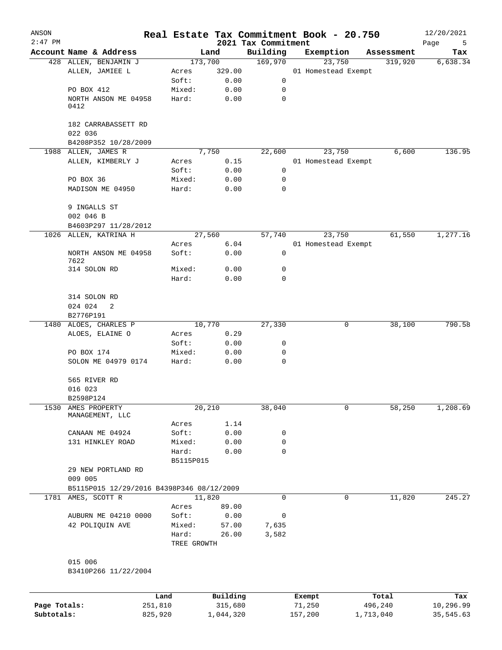| ANSON<br>$2:47$ PM |                                           |                      |                | Real Estate Tax Commitment Book - 20.750<br>2021 Tax Commitment |                     |   |            | 12/20/2021       |
|--------------------|-------------------------------------------|----------------------|----------------|-----------------------------------------------------------------|---------------------|---|------------|------------------|
|                    | Account Name & Address                    |                      | Land           | Building                                                        | Exemption           |   | Assessment | Page<br>5<br>Tax |
|                    | 428 ALLEN, BENJAMIN J                     |                      | 173,700        | 169,970                                                         | 23,750              |   | 319,920    | 6,638.34         |
|                    | ALLEN, JAMIEE L                           | Acres                | 329.00         |                                                                 | 01 Homestead Exempt |   |            |                  |
|                    |                                           | Soft:                | 0.00           | 0                                                               |                     |   |            |                  |
|                    | PO BOX 412                                | Mixed:               | 0.00           | 0                                                               |                     |   |            |                  |
|                    | NORTH ANSON ME 04958<br>0412              | Hard:                | 0.00           | $\mathbf 0$                                                     |                     |   |            |                  |
|                    | 182 CARRABASSETT RD<br>022 036            |                      |                |                                                                 |                     |   |            |                  |
|                    | B4208P352 10/28/2009                      |                      |                |                                                                 |                     |   |            |                  |
|                    | 1988 ALLEN, JAMES R                       |                      | 7,750          | 22,600                                                          | 23,750              |   | 6,600      | 136.95           |
|                    | ALLEN, KIMBERLY J                         | Acres                | 0.15           |                                                                 | 01 Homestead Exempt |   |            |                  |
|                    |                                           | Soft:                | 0.00           | 0                                                               |                     |   |            |                  |
|                    | PO BOX 36                                 | Mixed:               | 0.00           | 0                                                               |                     |   |            |                  |
|                    | MADISON ME 04950                          | Hard:                | 0.00           | 0                                                               |                     |   |            |                  |
|                    | 9 INGALLS ST<br>002 046 B                 |                      |                |                                                                 |                     |   |            |                  |
|                    | B4603P297 11/28/2012                      |                      |                |                                                                 |                     |   |            |                  |
| 1026               | ALLEN, KATRINA H                          |                      | 27,560         | 57,740                                                          | 23,750              |   | 61,550     | 1,277.16         |
|                    |                                           | Acres                | 6.04           |                                                                 | 01 Homestead Exempt |   |            |                  |
|                    | NORTH ANSON ME 04958<br>7622              | Soft:                | 0.00           | 0                                                               |                     |   |            |                  |
|                    | 314 SOLON RD                              | Mixed:               | 0.00           | 0                                                               |                     |   |            |                  |
|                    |                                           | Hard:                | 0.00           | 0                                                               |                     |   |            |                  |
|                    | 314 SOLON RD                              |                      |                |                                                                 |                     |   |            |                  |
|                    | 024 024<br>2                              |                      |                |                                                                 |                     |   |            |                  |
|                    | B2776P191                                 |                      |                |                                                                 |                     |   |            |                  |
|                    | 1480 ALOES, CHARLES P                     |                      | 10,770         | 27,330                                                          |                     | 0 | 38,100     | 790.58           |
|                    | ALOES, ELAINE O                           | Acres                | 0.29           |                                                                 |                     |   |            |                  |
|                    |                                           | Soft:                | 0.00           | 0                                                               |                     |   |            |                  |
|                    | PO BOX 174                                | Mixed:               | 0.00           | 0                                                               |                     |   |            |                  |
|                    | SOLON ME 04979 0174                       | Hard:                | 0.00           | 0                                                               |                     |   |            |                  |
|                    | 565 RIVER RD                              |                      |                |                                                                 |                     |   |            |                  |
|                    | 016 023                                   |                      |                |                                                                 |                     |   |            |                  |
|                    | B2598P124                                 |                      |                |                                                                 |                     |   |            |                  |
| 1530               | AMES PROPERTY<br>MANAGEMENT, LLC          | Acres                | 20,210<br>1.14 | 38,040                                                          |                     | 0 | 58,250     | 1,208.69         |
|                    | CANAAN ME 04924                           | Soft:                | 0.00           | 0                                                               |                     |   |            |                  |
|                    | 131 HINKLEY ROAD                          | Mixed:               | 0.00           | 0                                                               |                     |   |            |                  |
|                    |                                           | Hard:                | 0.00           | 0                                                               |                     |   |            |                  |
|                    |                                           | B5115P015            |                |                                                                 |                     |   |            |                  |
|                    | 29 NEW PORTLAND RD<br>009 005             |                      |                |                                                                 |                     |   |            |                  |
|                    | B5115P015 12/29/2016 B4398P346 08/12/2009 |                      |                |                                                                 |                     |   |            |                  |
|                    | 1781 AMES, SCOTT R                        |                      | 11,820         | 0                                                               |                     | 0 | 11,820     | 245.27           |
|                    |                                           | Acres                | 89.00          |                                                                 |                     |   |            |                  |
|                    | AUBURN ME 04210 0000                      | Soft:                | 0.00           | 0                                                               |                     |   |            |                  |
|                    | 42 POLIQUIN AVE                           | Mixed:               | 57.00          | 7,635                                                           |                     |   |            |                  |
|                    |                                           | Hard:<br>TREE GROWTH | 26.00          | 3,582                                                           |                     |   |            |                  |
|                    | 015 006<br>B3410P266 11/22/2004           |                      |                |                                                                 |                     |   |            |                  |
|                    |                                           | Land                 | Building       |                                                                 | Exempt              |   | Total      | Tax              |
| Page Totals:       | 251,810                                   |                      | 315,680        |                                                                 | 71,250              |   | 496,240    | 10,296.99        |
| Subtotals:         | 825,920                                   |                      | 1,044,320      |                                                                 | 157,200             |   | 1,713,040  | 35,545.63        |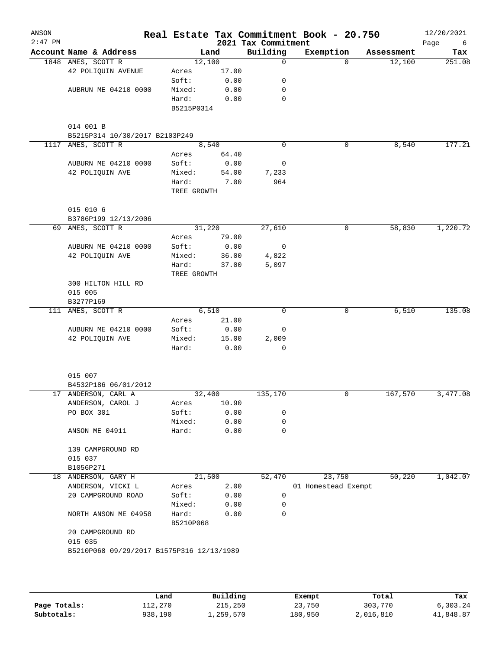| ANSON<br>$2:47$ PM |                                           |                    |       | 2021 Tax Commitment | Real Estate Tax Commitment Book - 20.750 |            | 12/20/2021<br>Page<br>- 6 |
|--------------------|-------------------------------------------|--------------------|-------|---------------------|------------------------------------------|------------|---------------------------|
|                    | Account Name & Address                    | Land               |       | Building            | Exemption                                | Assessment | Tax                       |
|                    | 1848 AMES, SCOTT R                        | 12,100             |       | 0                   | $\Omega$                                 | 12,100     | 251.08                    |
|                    | 42 POLIQUIN AVENUE                        | Acres              | 17.00 |                     |                                          |            |                           |
|                    |                                           | Soft:              | 0.00  | 0                   |                                          |            |                           |
|                    | AUBRUN ME 04210 0000                      | Mixed:             | 0.00  | 0                   |                                          |            |                           |
|                    |                                           | Hard:              | 0.00  | 0                   |                                          |            |                           |
|                    |                                           | B5215P0314         |       |                     |                                          |            |                           |
|                    | 014 001 B                                 |                    |       |                     |                                          |            |                           |
|                    | B5215P314 10/30/2017 B2103P249            |                    |       |                     |                                          |            |                           |
| 1117               | AMES, SCOTT R                             | 8,540              |       | $\mathbf 0$         | $\mathbf 0$                              | 8,540      | 177.21                    |
|                    |                                           | Acres              | 64.40 |                     |                                          |            |                           |
|                    | AUBURN ME 04210 0000                      | Soft:              | 0.00  | 0                   |                                          |            |                           |
|                    | 42 POLIQUIN AVE                           | Mixed:             | 54.00 | 7,233               |                                          |            |                           |
|                    |                                           | Hard:              | 7.00  | 964                 |                                          |            |                           |
|                    |                                           | TREE GROWTH        |       |                     |                                          |            |                           |
|                    |                                           |                    |       |                     |                                          |            |                           |
|                    | 015 010 6                                 |                    |       |                     |                                          |            |                           |
|                    | B3786P199 12/13/2006                      |                    |       |                     |                                          |            |                           |
|                    | 69 AMES, SCOTT R                          | 31,220<br>Acres    | 79.00 | 27,610              | 0                                        | 58,830     | 1,220.72                  |
|                    | AUBURN ME 04210 0000                      | Soft:              | 0.00  | 0                   |                                          |            |                           |
|                    | 42 POLIQUIN AVE                           | Mixed:             | 36.00 | 4,822               |                                          |            |                           |
|                    |                                           | Hard:              | 37.00 | 5,097               |                                          |            |                           |
|                    |                                           | TREE GROWTH        |       |                     |                                          |            |                           |
|                    | 300 HILTON HILL RD                        |                    |       |                     |                                          |            |                           |
|                    | 015 005                                   |                    |       |                     |                                          |            |                           |
|                    | B3277P169                                 |                    |       |                     |                                          |            |                           |
| 111                | AMES, SCOTT R                             | 6,510              |       | $\mathbf 0$         | 0                                        | 6,510      | 135.08                    |
|                    |                                           | Acres              | 21.00 |                     |                                          |            |                           |
|                    | AUBURN ME 04210 0000                      | Soft:              | 0.00  | 0                   |                                          |            |                           |
|                    | 42 POLIQUIN AVE                           | Mixed:             | 15.00 | 2,009               |                                          |            |                           |
|                    |                                           | Hard:              | 0.00  | $\mathbf 0$         |                                          |            |                           |
|                    | 015 007                                   |                    |       |                     |                                          |            |                           |
|                    | B4532P186 06/01/2012                      |                    |       |                     |                                          |            |                           |
|                    | 17 ANDERSON, CARL A                       | 32,400             |       | 135,170             | 0                                        | 167,570    | 3,477.08                  |
|                    | ANDERSON, CAROL J                         | Acres              | 10.90 |                     |                                          |            |                           |
|                    | PO BOX 301                                | Soft:              | 0.00  | 0                   |                                          |            |                           |
|                    |                                           | Mixed:             | 0.00  | 0                   |                                          |            |                           |
|                    | ANSON ME 04911                            | Hard:              | 0.00  | 0                   |                                          |            |                           |
|                    | 139 CAMPGROUND RD                         |                    |       |                     |                                          |            |                           |
|                    | 015 037                                   |                    |       |                     |                                          |            |                           |
|                    | B1056P271                                 |                    |       |                     |                                          |            |                           |
|                    | 18 ANDERSON, GARY H                       | 21,500             |       | 52,470              | 23,750                                   | 50,220     | 1,042.07                  |
|                    | ANDERSON, VICKI L                         | Acres              | 2.00  |                     | 01 Homestead Exempt                      |            |                           |
|                    | 20 CAMPGROUND ROAD                        | Soft:              | 0.00  | 0                   |                                          |            |                           |
|                    |                                           | Mixed:             | 0.00  | 0                   |                                          |            |                           |
|                    | NORTH ANSON ME 04958                      | Hard:<br>B5210P068 | 0.00  | 0                   |                                          |            |                           |
|                    | 20 CAMPGROUND RD                          |                    |       |                     |                                          |            |                           |
|                    | 015 035                                   |                    |       |                     |                                          |            |                           |
|                    | B5210P068 09/29/2017 B1575P316 12/13/1989 |                    |       |                     |                                          |            |                           |
|                    |                                           |                    |       |                     |                                          |            |                           |
|                    |                                           |                    |       |                     |                                          |            |                           |
|                    |                                           |                    |       |                     |                                          |            |                           |

|              | Land    | Building  | Exempt  | Total     | Tax       |
|--------------|---------|-----------|---------|-----------|-----------|
| Page Totals: | 112,270 | 215,250   | 23,750  | 303,770   | 6,303.24  |
| Subtotals:   | 938,190 | 1,259,570 | 180,950 | 2,016,810 | 41,848.87 |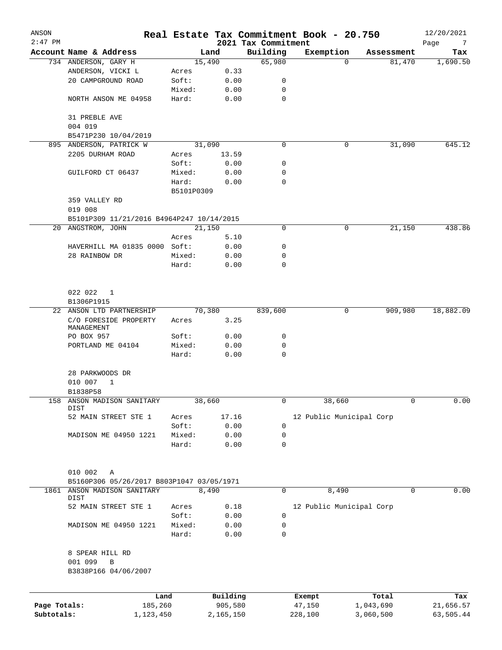| ANSON        |                                                           |            |           | Real Estate Tax Commitment Book - 20.750 |                          |          |            | 12/20/2021       |
|--------------|-----------------------------------------------------------|------------|-----------|------------------------------------------|--------------------------|----------|------------|------------------|
| $2:47$ PM    | Account Name & Address                                    |            | Land      | 2021 Tax Commitment<br>Building          | Exemption                |          | Assessment | Page<br>7<br>Tax |
|              | 734 ANDERSON, GARY H                                      |            | 15,490    | 65,980                                   |                          | $\Omega$ | 81,470     | 1,690.50         |
|              | ANDERSON, VICKI L                                         | Acres      | 0.33      |                                          |                          |          |            |                  |
|              | 20 CAMPGROUND ROAD                                        | Soft:      | 0.00      | 0                                        |                          |          |            |                  |
|              |                                                           |            |           |                                          |                          |          |            |                  |
|              |                                                           | Mixed:     | 0.00      | 0                                        |                          |          |            |                  |
|              | NORTH ANSON ME 04958                                      | Hard:      | 0.00      | $\mathbf 0$                              |                          |          |            |                  |
|              | 31 PREBLE AVE                                             |            |           |                                          |                          |          |            |                  |
|              | 004 019                                                   |            |           |                                          |                          |          |            |                  |
|              | B5471P230 10/04/2019                                      |            |           |                                          |                          |          |            |                  |
|              | 895 ANDERSON, PATRICK W                                   |            | 31,090    | 0                                        |                          | 0        | 31,090     | 645.12           |
|              | 2205 DURHAM ROAD                                          | Acres      | 13.59     |                                          |                          |          |            |                  |
|              |                                                           | Soft:      | 0.00      | 0                                        |                          |          |            |                  |
|              | GUILFORD CT 06437                                         | Mixed:     | 0.00      | 0                                        |                          |          |            |                  |
|              |                                                           | Hard:      | 0.00      | $\mathbf 0$                              |                          |          |            |                  |
|              |                                                           | B5101P0309 |           |                                          |                          |          |            |                  |
|              | 359 VALLEY RD                                             |            |           |                                          |                          |          |            |                  |
|              | 019 008                                                   |            |           |                                          |                          |          |            |                  |
|              | B5101P309 11/21/2016 B4964P247 10/14/2015                 |            |           |                                          |                          |          |            |                  |
|              | 20 ANGSTROM, JOHN                                         |            | 21,150    | 0                                        |                          | 0        | 21,150     | 438.86           |
|              |                                                           | Acres      | 5.10      |                                          |                          |          |            |                  |
|              | HAVERHILL MA 01835 0000 Soft:                             |            | 0.00      | 0                                        |                          |          |            |                  |
|              | 28 RAINBOW DR                                             |            |           |                                          |                          |          |            |                  |
|              |                                                           | Mixed:     | 0.00      | 0<br>0                                   |                          |          |            |                  |
|              |                                                           | Hard:      | 0.00      |                                          |                          |          |            |                  |
|              | 022 022<br>1                                              |            |           |                                          |                          |          |            |                  |
|              | B1306P1915                                                |            |           |                                          |                          |          |            |                  |
|              | 22 ANSON LTD PARTNERSHIP                                  |            | 70,380    | 839,600                                  |                          | 0        | 909,980    | 18,882.09        |
|              | C/O FORESIDE PROPERTY<br>MANAGEMENT                       | Acres      | 3.25      |                                          |                          |          |            |                  |
|              | PO BOX 957                                                | Soft:      | 0.00      | 0                                        |                          |          |            |                  |
|              | PORTLAND ME 04104                                         | Mixed:     | 0.00      | 0                                        |                          |          |            |                  |
|              |                                                           | Hard:      | 0.00      | $\mathbf 0$                              |                          |          |            |                  |
|              | 28 PARKWOODS DR<br>010 007<br>$\mathbf{1}$<br>B1838P58    |            |           |                                          |                          |          |            |                  |
| 158          | ANSON MADISON SANITARY<br>DIST                            |            | 38,660    | 0                                        |                          | 38,660   | 0          | 0.00             |
|              | 52 MAIN STREET STE 1                                      | Acres      | 17.16     |                                          | 12 Public Municipal Corp |          |            |                  |
|              |                                                           | Soft:      | 0.00      | $\mathbf 0$                              |                          |          |            |                  |
|              | MADISON ME 04950 1221                                     | Mixed:     | 0.00      | 0                                        |                          |          |            |                  |
|              |                                                           | Hard:      | 0.00      | $\mathbf 0$                              |                          |          |            |                  |
|              | 010 002<br>Α<br>B5160P306 05/26/2017 B803P1047 03/05/1971 |            |           |                                          |                          |          |            |                  |
| 1861         | ANSON MADISON SANITARY                                    |            | 8,490     | 0                                        |                          | 8,490    | 0          | 0.00             |
|              | DIST                                                      |            |           |                                          |                          |          |            |                  |
|              | 52 MAIN STREET STE 1                                      | Acres      | 0.18      |                                          | 12 Public Municipal Corp |          |            |                  |
|              |                                                           | Soft:      | 0.00      | 0                                        |                          |          |            |                  |
|              | MADISON ME 04950 1221                                     | Mixed:     | 0.00      | 0                                        |                          |          |            |                  |
|              |                                                           | Hard:      | 0.00      | 0                                        |                          |          |            |                  |
|              | 8 SPEAR HILL RD<br>001 099<br>B<br>B3838P166 04/06/2007   |            |           |                                          |                          |          |            |                  |
|              | Land                                                      |            | Building  |                                          | Exempt                   |          | Total      | Tax              |
| Page Totals: | 185,260                                                   |            | 905,580   |                                          | 47,150                   |          | 1,043,690  | 21,656.57        |
| Subtotals:   | 1,123,450                                                 |            | 2,165,150 |                                          | 228,100                  |          | 3,060,500  | 63,505.44        |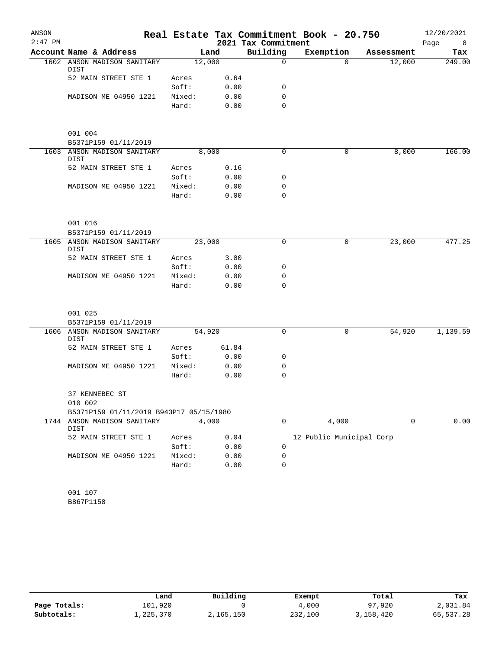| ANSON     |                                         |        |       |                     | Real Estate Tax Commitment Book - 20.750 |            | 12/20/2021 |
|-----------|-----------------------------------------|--------|-------|---------------------|------------------------------------------|------------|------------|
| $2:47$ PM |                                         |        |       | 2021 Tax Commitment |                                          |            | Page<br>8  |
|           | Account Name & Address                  |        | Land  | Building            | Exemption                                | Assessment | Tax        |
|           | 1602 ANSON MADISON SANITARY<br>DIST     | 12,000 |       | $\Omega$            | $\Omega$                                 | 12,000     | 249.00     |
|           | 52 MAIN STREET STE 1                    | Acres  | 0.64  |                     |                                          |            |            |
|           |                                         | Soft:  | 0.00  | 0                   |                                          |            |            |
|           | MADISON ME 04950 1221                   | Mixed: | 0.00  | $\mathbf 0$         |                                          |            |            |
|           |                                         | Hard:  | 0.00  | $\Omega$            |                                          |            |            |
|           | 001 004                                 |        |       |                     |                                          |            |            |
|           | B5371P159 01/11/2019                    |        |       |                     |                                          |            |            |
|           | 1603 ANSON MADISON SANITARY<br>DIST     | 8,000  |       | 0                   | 0                                        | 8,000      | 166.00     |
|           | 52 MAIN STREET STE 1                    | Acres  | 0.16  |                     |                                          |            |            |
|           |                                         | Soft:  | 0.00  | 0                   |                                          |            |            |
|           | MADISON ME 04950 1221                   | Mixed: | 0.00  | 0                   |                                          |            |            |
|           |                                         | Hard:  | 0.00  | $\mathbf 0$         |                                          |            |            |
|           | 001 016                                 |        |       |                     |                                          |            |            |
|           | B5371P159 01/11/2019                    |        |       |                     |                                          |            |            |
|           | 1605 ANSON MADISON SANITARY<br>DIST     | 23,000 |       | 0                   | 0                                        | 23,000     | 477.25     |
|           | 52 MAIN STREET STE 1                    | Acres  | 3.00  |                     |                                          |            |            |
|           |                                         | Soft:  | 0.00  | 0                   |                                          |            |            |
|           | MADISON ME 04950 1221                   | Mixed: | 0.00  | 0                   |                                          |            |            |
|           |                                         | Hard:  | 0.00  | 0                   |                                          |            |            |
|           | 001 025                                 |        |       |                     |                                          |            |            |
|           | B5371P159 01/11/2019                    |        |       |                     |                                          |            |            |
|           | 1606 ANSON MADISON SANITARY<br>DIST     | 54,920 |       | $\mathbf 0$         | 0                                        | 54,920     | 1,139.59   |
|           | 52 MAIN STREET STE 1                    | Acres  | 61.84 |                     |                                          |            |            |
|           |                                         | Soft:  | 0.00  | 0                   |                                          |            |            |
|           | MADISON ME 04950 1221                   | Mixed: | 0.00  | 0                   |                                          |            |            |
|           |                                         | Hard:  | 0.00  | 0                   |                                          |            |            |
|           | 37 KENNEBEC ST<br>010 002               |        |       |                     |                                          |            |            |
|           | B5371P159 01/11/2019 B943P17 05/15/1980 |        |       |                     |                                          |            |            |
|           | 1744 ANSON MADISON SANITARY<br>DIST     | 4,000  |       | 0                   | 4,000                                    | 0          | 0.00       |
|           | 52 MAIN STREET STE 1                    | Acres  | 0.04  |                     | 12 Public Municipal Corp                 |            |            |
|           |                                         | Soft:  | 0.00  | 0                   |                                          |            |            |
|           | MADISON ME 04950 1221                   | Mixed: | 0.00  | 0                   |                                          |            |            |
|           |                                         | Hard:  | 0.00  | 0                   |                                          |            |            |
|           | 001 107                                 |        |       |                     |                                          |            |            |
|           |                                         |        |       |                     |                                          |            |            |

B867P1158

|              | Land      | Building  | Exempt  | Total     | Tax       |
|--------------|-----------|-----------|---------|-----------|-----------|
| Page Totals: | 101,920   |           | 4,000   | 97,920    | 2,031.84  |
| Subtotals:   | 1,225,370 | 2,165,150 | 232,100 | 3,158,420 | 65,537.28 |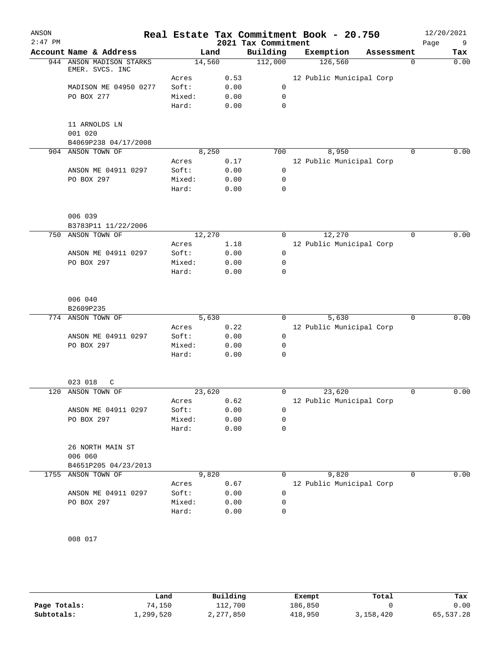| ANSON     |                                             |        |       |                     | Real Estate Tax Commitment Book - 20.750 |            | 12/20/2021       |
|-----------|---------------------------------------------|--------|-------|---------------------|------------------------------------------|------------|------------------|
| $2:47$ PM |                                             |        |       | 2021 Tax Commitment |                                          |            | Page<br>9        |
|           | Account Name & Address                      |        | Land  | Building            | Exemption                                | Assessment | Tax              |
|           | 944 ANSON MADISON STARKS<br>EMER. SVCS. INC | 14,560 |       | 112,000             | 126,560                                  |            | $\Omega$<br>0.00 |
|           |                                             | Acres  | 0.53  |                     | 12 Public Municipal Corp                 |            |                  |
|           | MADISON ME 04950 0277                       | Soft:  | 0.00  | 0                   |                                          |            |                  |
|           | PO BOX 277                                  | Mixed: | 0.00  | $\mathbf 0$         |                                          |            |                  |
|           |                                             | Hard:  | 0.00  | $\mathbf 0$         |                                          |            |                  |
|           | 11 ARNOLDS LN                               |        |       |                     |                                          |            |                  |
|           | 001 020                                     |        |       |                     |                                          |            |                  |
|           | B4069P238 04/17/2008                        |        |       |                     |                                          |            |                  |
|           | 904 ANSON TOWN OF                           |        | 8,250 | 700                 | 8,950                                    |            | 0.00<br>0        |
|           |                                             | Acres  | 0.17  |                     | 12 Public Municipal Corp                 |            |                  |
|           | ANSON ME 04911 0297                         | Soft:  | 0.00  | $\mathbf 0$         |                                          |            |                  |
|           | PO BOX 297                                  | Mixed: | 0.00  | 0                   |                                          |            |                  |
|           |                                             | Hard:  | 0.00  | $\mathbf 0$         |                                          |            |                  |
|           | 006 039                                     |        |       |                     |                                          |            |                  |
|           | B3783P11 11/22/2006                         |        |       |                     |                                          |            |                  |
| 750       | ANSON TOWN OF                               | 12,270 |       | 0                   | 12,270                                   |            | 0.00<br>0        |
|           |                                             | Acres  | 1.18  |                     | 12 Public Municipal Corp                 |            |                  |
|           | ANSON ME 04911 0297                         | Soft:  | 0.00  | 0                   |                                          |            |                  |
|           | PO BOX 297                                  | Mixed: | 0.00  | 0                   |                                          |            |                  |
|           |                                             | Hard:  | 0.00  | 0                   |                                          |            |                  |
|           | 006 040                                     |        |       |                     |                                          |            |                  |
|           | B2609P235                                   |        |       |                     |                                          |            |                  |
|           | 774 ANSON TOWN OF                           |        | 5,630 | $\Omega$            | 5,630                                    |            | 0.00<br>$\Omega$ |
|           |                                             | Acres  | 0.22  |                     | 12 Public Municipal Corp                 |            |                  |
|           | ANSON ME 04911 0297                         | Soft:  | 0.00  | $\mathbf 0$         |                                          |            |                  |
|           | PO BOX 297                                  | Mixed: | 0.00  | 0                   |                                          |            |                  |
|           |                                             |        |       | $\mathbf 0$         |                                          |            |                  |
|           |                                             | Hard:  | 0.00  |                     |                                          |            |                  |
|           | 023 018<br>C                                |        |       |                     |                                          |            |                  |
|           | 120 ANSON TOWN OF                           | 23,620 |       | 0                   | 23,620                                   |            | 0.00<br>0        |
|           |                                             | Acres  | 0.62  |                     | 12 Public Municipal Corp                 |            |                  |
|           | ANSON ME 04911 0297                         | Soft:  | 0.00  | $\mathbf 0$         |                                          |            |                  |
|           | PO BOX 297                                  | Mixed: | 0.00  | 0                   |                                          |            |                  |
|           |                                             | Hard:  | 0.00  | 0                   |                                          |            |                  |
|           | 26 NORTH MAIN ST                            |        |       |                     |                                          |            |                  |
|           | 006 060<br>B4651P205 04/23/2013             |        |       |                     |                                          |            |                  |
| 1755      | ANSON TOWN OF                               |        | 9,820 | $\mathbf 0$         | 9,820                                    |            | 0.00<br>0        |
|           |                                             | Acres  | 0.67  |                     | 12 Public Municipal Corp                 |            |                  |
|           | ANSON ME 04911 0297                         | Soft:  | 0.00  | 0                   |                                          |            |                  |
|           | PO BOX 297                                  | Mixed: | 0.00  | 0                   |                                          |            |                  |
|           |                                             | Hard:  | 0.00  | 0                   |                                          |            |                  |
|           |                                             |        |       |                     |                                          |            |                  |

008 017

|              | Land      | Building  | Exempt  | Total     | Tax       |
|--------------|-----------|-----------|---------|-----------|-----------|
| Page Totals: | 74.150    | 112,700   | 186,850 |           | 0.00      |
| Subtotals:   | 1,299,520 | 2,277,850 | 418,950 | 3,158,420 | 65,537.28 |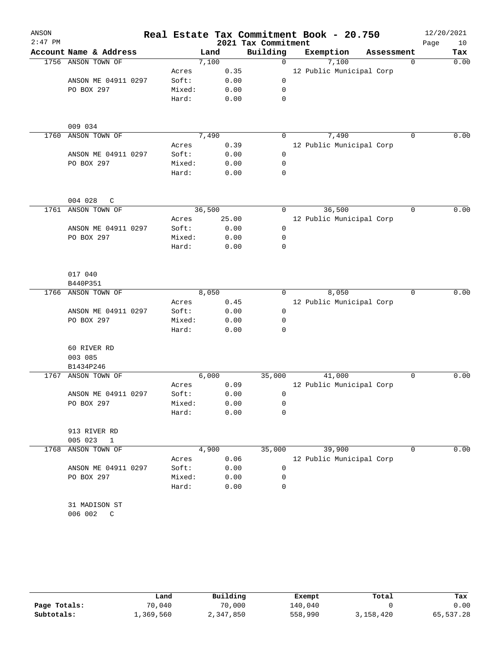| ANSON     |                              |        |               |      |                                 | Real Estate Tax Commitment Book - 20.750 |            |             | 12/20/2021 |             |
|-----------|------------------------------|--------|---------------|------|---------------------------------|------------------------------------------|------------|-------------|------------|-------------|
| $2:47$ PM | Account Name & Address       |        |               |      | 2021 Tax Commitment<br>Building |                                          |            |             | Page       | 10          |
| 1756      | ANSON TOWN OF                |        | Land<br>7,100 |      | $\mathbf 0$                     | Exemption<br>7,100                       | Assessment | $\mathbf 0$ |            | Tax<br>0.00 |
|           |                              | Acres  |               | 0.35 |                                 | 12 Public Municipal Corp                 |            |             |            |             |
|           | ANSON ME 04911 0297          | Soft:  |               | 0.00 | 0                               |                                          |            |             |            |             |
|           | PO BOX 297                   | Mixed: |               | 0.00 | 0                               |                                          |            |             |            |             |
|           |                              | Hard:  |               | 0.00 | 0                               |                                          |            |             |            |             |
|           |                              |        |               |      |                                 |                                          |            |             |            |             |
|           | 009 034                      |        |               |      |                                 |                                          |            |             |            |             |
| 1760      | ANSON TOWN OF                |        | 7,490         |      | 0                               | 7,490                                    |            | $\mathbf 0$ |            | 0.00        |
|           |                              | Acres  |               | 0.39 |                                 | 12 Public Municipal Corp                 |            |             |            |             |
|           | ANSON ME 04911 0297          | Soft:  |               | 0.00 | 0                               |                                          |            |             |            |             |
|           | PO BOX 297                   | Mixed: |               | 0.00 | 0                               |                                          |            |             |            |             |
|           |                              | Hard:  |               | 0.00 | $\mathbf 0$                     |                                          |            |             |            |             |
|           | 004 028<br>$\mathsf{C}$      |        |               |      |                                 |                                          |            |             |            |             |
| 1761      | ANSON TOWN OF                |        | 36,500        |      | 0                               | 36,500                                   |            | $\mathbf 0$ |            | 0.00        |
|           |                              | Acres  | 25.00         |      |                                 | 12 Public Municipal Corp                 |            |             |            |             |
|           | ANSON ME 04911 0297          | Soft:  |               | 0.00 | 0                               |                                          |            |             |            |             |
|           | PO BOX 297                   | Mixed: |               | 0.00 | 0                               |                                          |            |             |            |             |
|           |                              | Hard:  |               | 0.00 | 0                               |                                          |            |             |            |             |
|           | 017 040                      |        |               |      |                                 |                                          |            |             |            |             |
|           | B440P351                     |        |               |      |                                 |                                          |            |             |            |             |
| 1766      | ANSON TOWN OF                |        | 8,050         |      | 0                               | 8,050                                    |            | $\mathbf 0$ |            | 0.00        |
|           |                              | Acres  |               | 0.45 |                                 | 12 Public Municipal Corp                 |            |             |            |             |
|           | ANSON ME 04911 0297          | Soft:  |               | 0.00 | 0                               |                                          |            |             |            |             |
|           | PO BOX 297                   | Mixed: |               | 0.00 | 0                               |                                          |            |             |            |             |
|           |                              | Hard:  |               | 0.00 | $\mathbf 0$                     |                                          |            |             |            |             |
|           | 60 RIVER RD                  |        |               |      |                                 |                                          |            |             |            |             |
|           | 003 085                      |        |               |      |                                 |                                          |            |             |            |             |
|           | B1434P246                    |        |               |      |                                 |                                          |            |             |            |             |
| 1767      | ANSON TOWN OF                |        | 6,000         |      | 35,000                          | 41,000                                   |            | 0           |            | 0.00        |
|           |                              | Acres  |               | 0.09 |                                 | 12 Public Municipal Corp                 |            |             |            |             |
|           | ANSON ME 04911 0297          | Soft:  |               | 0.00 | 0                               |                                          |            |             |            |             |
|           | PO BOX 297                   | Mixed: |               | 0.00 | 0                               |                                          |            |             |            |             |
|           |                              | Hard:  |               | 0.00 | $\mathbf 0$                     |                                          |            |             |            |             |
|           | 913 RIVER RD<br>005 023<br>1 |        |               |      |                                 |                                          |            |             |            |             |
| 1768      | ANSON TOWN OF                |        | 4,900         |      | 35,000                          | 39,900                                   |            | 0           |            | 0.00        |
|           |                              | Acres  |               | 0.06 |                                 | 12 Public Municipal Corp                 |            |             |            |             |
|           | ANSON ME 04911 0297          | Soft:  |               | 0.00 | 0                               |                                          |            |             |            |             |
|           | PO BOX 297                   | Mixed: |               | 0.00 | 0                               |                                          |            |             |            |             |
|           |                              | Hard:  |               | 0.00 | 0                               |                                          |            |             |            |             |
|           |                              |        |               |      |                                 |                                          |            |             |            |             |
|           | 31 MADISON ST                |        |               |      |                                 |                                          |            |             |            |             |
|           | 006 002<br>$\mathbb{C}$      |        |               |      |                                 |                                          |            |             |            |             |
|           |                              |        |               |      |                                 |                                          |            |             |            |             |
|           |                              |        |               |      |                                 |                                          |            |             |            |             |

|              | Land      | Building  | Exempt  | Total     | Tax       |
|--------------|-----------|-----------|---------|-----------|-----------|
| Page Totals: | 70,040    | 70,000    | 140,040 |           | 0.00      |
| Subtotals:   | 1,369,560 | 2,347,850 | 558,990 | 3,158,420 | 65,537.28 |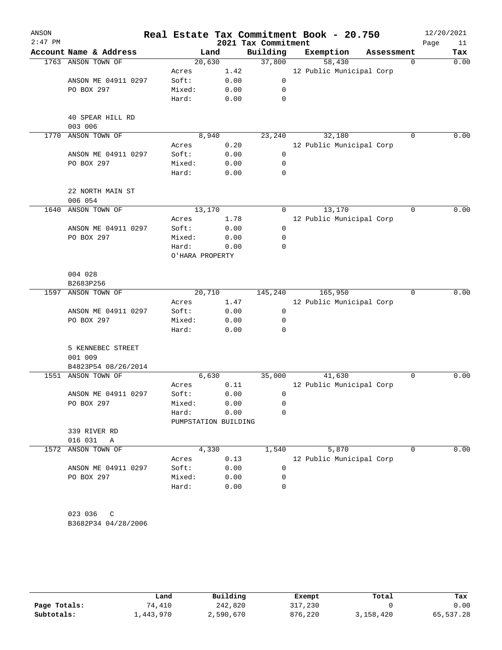| ANSON<br>$2:47$ PM |                             |                               |              | 2021 Tax Commitment | Real Estate Tax Commitment Book - 20.750 |            | Page        | 12/20/2021<br>11 |
|--------------------|-----------------------------|-------------------------------|--------------|---------------------|------------------------------------------|------------|-------------|------------------|
|                    | Account Name & Address      | Land                          |              | Building            | Exemption                                | Assessment |             | Tax              |
|                    | 1763 ANSON TOWN OF          | 20,630                        |              | 37,800              | 58,430                                   |            | $\mathbf 0$ | 0.00             |
|                    |                             | Acres                         | 1.42         |                     | 12 Public Municipal Corp                 |            |             |                  |
|                    | ANSON ME 04911 0297         | Soft:                         | 0.00         | 0                   |                                          |            |             |                  |
|                    | PO BOX 297                  | Mixed:                        | 0.00         | 0                   |                                          |            |             |                  |
|                    |                             | Hard:                         | 0.00         | 0                   |                                          |            |             |                  |
|                    | 40 SPEAR HILL RD<br>003 006 |                               |              |                     |                                          |            |             |                  |
| 1770               | ANSON TOWN OF               | 8,940                         |              | 23,240              | 32,180                                   |            | 0           | 0.00             |
|                    |                             | Acres                         | 0.20         |                     | 12 Public Municipal Corp                 |            |             |                  |
|                    | ANSON ME 04911 0297         | Soft:                         | 0.00         | $\mathbf 0$         |                                          |            |             |                  |
|                    | PO BOX 297                  | Mixed:                        | 0.00         | 0                   |                                          |            |             |                  |
|                    |                             | Hard:                         | 0.00         | $\mathbf 0$         |                                          |            |             |                  |
|                    | 22 NORTH MAIN ST<br>006 054 |                               |              |                     |                                          |            |             |                  |
| 1640               | ANSON TOWN OF               | 13,170                        |              | 0                   | 13,170                                   |            | $\Omega$    | 0.00             |
|                    |                             | Acres                         | 1.78         |                     | 12 Public Municipal Corp                 |            |             |                  |
|                    | ANSON ME 04911 0297         | Soft:                         | 0.00         | 0                   |                                          |            |             |                  |
|                    | PO BOX 297                  | Mixed:                        |              | 0                   |                                          |            |             |                  |
|                    |                             |                               | 0.00         | 0                   |                                          |            |             |                  |
|                    |                             | Hard:<br>O'HARA PROPERTY      | 0.00         |                     |                                          |            |             |                  |
|                    | 004 028                     |                               |              |                     |                                          |            |             |                  |
|                    | B2683P256                   |                               |              |                     |                                          |            |             |                  |
| 1597               | ANSON TOWN OF               | 20,710                        |              | 145,240             | 165,950                                  |            | 0           | 0.00             |
|                    |                             | Acres                         | 1.47         |                     | 12 Public Municipal Corp                 |            |             |                  |
|                    | ANSON ME 04911 0297         | Soft:                         | 0.00         | 0                   |                                          |            |             |                  |
|                    | PO BOX 297                  | Mixed:<br>Hard:               | 0.00<br>0.00 | 0<br>0              |                                          |            |             |                  |
|                    |                             |                               |              |                     |                                          |            |             |                  |
|                    | 5 KENNEBEC STREET           |                               |              |                     |                                          |            |             |                  |
|                    | 001 009                     |                               |              |                     |                                          |            |             |                  |
|                    | B4823P54 08/26/2014         |                               |              |                     |                                          |            |             |                  |
| 1551               | ANSON TOWN OF               | 6,630                         |              | 35,000              | 41,630                                   |            | 0           | 0.00             |
|                    |                             | Acres                         | 0.11         |                     | 12 Public Municipal Corp                 |            |             |                  |
|                    | ANSON ME 04911 0297         | Soft:                         | 0.00         | 0                   |                                          |            |             |                  |
|                    | PO BOX 297                  | Mixed:                        | 0.00         | 0                   |                                          |            |             |                  |
|                    |                             | Hard:<br>PUMPSTATION BUILDING | 0.00         | 0                   |                                          |            |             |                  |
|                    | 339 RIVER RD                |                               |              |                     |                                          |            |             |                  |
|                    | 016 031<br>Α                |                               |              |                     |                                          |            |             |                  |
| 1572               | ANSON TOWN OF               | 4,330                         |              | 1,540               | 5,870                                    |            | 0           | 0.00             |
|                    |                             | Acres                         | 0.13         |                     | 12 Public Municipal Corp                 |            |             |                  |
|                    | ANSON ME 04911 0297         | Soft:                         | 0.00         | 0                   |                                          |            |             |                  |
|                    | PO BOX 297                  | Mixed:                        | 0.00         | 0                   |                                          |            |             |                  |
|                    |                             | Hard:                         | 0.00         | 0                   |                                          |            |             |                  |
|                    |                             |                               |              |                     |                                          |            |             |                  |
|                    | 023 036<br>C                |                               |              |                     |                                          |            |             |                  |
|                    | B3682P34 04/28/2006         |                               |              |                     |                                          |            |             |                  |
|                    |                             |                               |              |                     |                                          |            |             |                  |

|              | Land      | Building  | Exempt  | Total     | Tax       |
|--------------|-----------|-----------|---------|-----------|-----------|
| Page Totals: | 74,410    | 242,820   | 317,230 |           | 0.00      |
| Subtotals:   | ⊥,443,970 | 2,590,670 | 876,220 | 3,158,420 | 65,537.28 |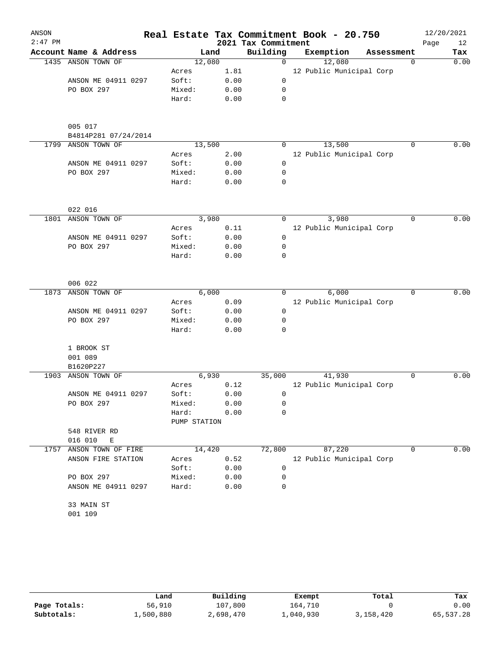| ANSON<br>$2:47$ PM |                                 |              |      | 2021 Tax Commitment | Real Estate Tax Commitment Book - 20.750 |            | Page     | 12/20/2021<br>12 |
|--------------------|---------------------------------|--------------|------|---------------------|------------------------------------------|------------|----------|------------------|
|                    | Account Name & Address          | Land         |      | Building            | Exemption                                | Assessment |          | Tax              |
|                    | 1435 ANSON TOWN OF              | 12,080       |      | $\mathbf 0$         | 12,080                                   |            | 0        | 0.00             |
|                    |                                 | Acres        | 1.81 |                     | 12 Public Municipal Corp                 |            |          |                  |
|                    | ANSON ME 04911 0297             | Soft:        | 0.00 | 0                   |                                          |            |          |                  |
|                    | PO BOX 297                      | Mixed:       | 0.00 | 0                   |                                          |            |          |                  |
|                    |                                 | Hard:        | 0.00 | $\mathbf 0$         |                                          |            |          |                  |
|                    | 005 017<br>B4814P281 07/24/2014 |              |      |                     |                                          |            |          |                  |
| 1799               | ANSON TOWN OF                   | 13,500       |      | 0                   | 13,500                                   |            | $\Omega$ | 0.00             |
|                    |                                 | Acres        | 2.00 |                     | 12 Public Municipal Corp                 |            |          |                  |
|                    | ANSON ME 04911 0297             | Soft:        | 0.00 | 0                   |                                          |            |          |                  |
|                    | PO BOX 297                      | Mixed:       | 0.00 | 0                   |                                          |            |          |                  |
|                    |                                 | Hard:        | 0.00 | 0                   |                                          |            |          |                  |
|                    | 022 016                         |              |      |                     |                                          |            |          |                  |
| 1801               | ANSON TOWN OF                   | 3,980        |      | 0                   | 3,980                                    |            | 0        | 0.00             |
|                    |                                 | Acres        | 0.11 |                     | 12 Public Municipal Corp                 |            |          |                  |
|                    | ANSON ME 04911 0297             | Soft:        | 0.00 | 0                   |                                          |            |          |                  |
|                    | PO BOX 297                      | Mixed:       | 0.00 | 0                   |                                          |            |          |                  |
|                    |                                 | Hard:        | 0.00 | 0                   |                                          |            |          |                  |
|                    | 006 022                         |              |      |                     |                                          |            |          |                  |
| 1873               | ANSON TOWN OF                   | 6,000        |      | 0                   | 6,000                                    |            | 0        | 0.00             |
|                    |                                 | Acres        | 0.09 |                     | 12 Public Municipal Corp                 |            |          |                  |
|                    | ANSON ME 04911 0297             | Soft:        | 0.00 | 0                   |                                          |            |          |                  |
|                    | PO BOX 297                      | Mixed:       | 0.00 | 0                   |                                          |            |          |                  |
|                    |                                 | Hard:        | 0.00 | 0                   |                                          |            |          |                  |
|                    | 1 BROOK ST                      |              |      |                     |                                          |            |          |                  |
|                    | 001 089<br>B1620P227            |              |      |                     |                                          |            |          |                  |
| 1903               | ANSON TOWN OF                   | 6,930        |      | 35,000              | 41,930                                   |            | 0        | 0.00             |
|                    |                                 | Acres        | 0.12 |                     | 12 Public Municipal Corp                 |            |          |                  |
|                    | ANSON ME 04911 0297             | Soft:        | 0.00 | 0                   |                                          |            |          |                  |
|                    | PO BOX 297                      | Mixed:       | 0.00 | 0                   |                                          |            |          |                  |
|                    |                                 | Hard:        | 0.00 | 0                   |                                          |            |          |                  |
|                    |                                 | PUMP STATION |      |                     |                                          |            |          |                  |
|                    | 548 RIVER RD<br>016 010<br>E    |              |      |                     |                                          |            |          |                  |
| 1757               | ANSON TOWN OF FIRE              | 14,420       |      | 72,800              | 87,220                                   |            | 0        | 0.00             |
|                    | ANSON FIRE STATION              | Acres        | 0.52 |                     | 12 Public Municipal Corp                 |            |          |                  |
|                    |                                 | Soft:        | 0.00 | 0                   |                                          |            |          |                  |
|                    | PO BOX 297                      | Mixed:       | 0.00 | 0                   |                                          |            |          |                  |
|                    | ANSON ME 04911 0297             | Hard:        | 0.00 | 0                   |                                          |            |          |                  |
|                    | 33 MAIN ST                      |              |      |                     |                                          |            |          |                  |
|                    | 001 109                         |              |      |                     |                                          |            |          |                  |

|              | Land      | Building  | Exempt    | Total     | Tax       |
|--------------|-----------|-----------|-----------|-----------|-----------|
| Page Totals: | 56,910    | 107,800   | 164,710   |           | 0.00      |
| Subtotals:   | 1,500,880 | 2,698,470 | ⊥,040,930 | 3,158,420 | 65,537.28 |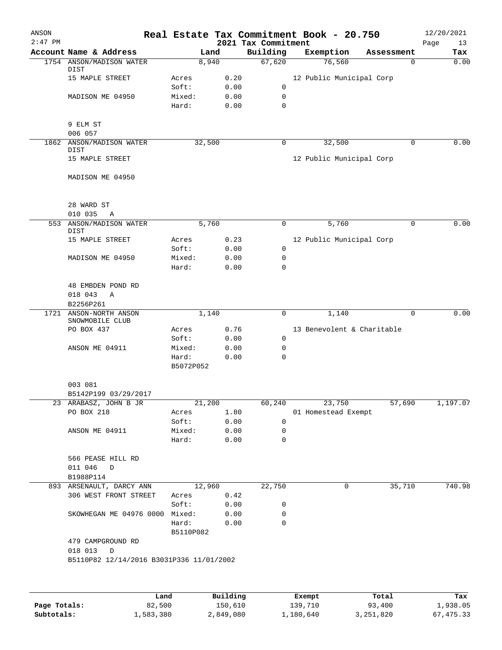| ANSON        |                                                    |           |                     |                     |         | Real Estate Tax Commitment Book - 20.750 |                        | 12/20/2021  |
|--------------|----------------------------------------------------|-----------|---------------------|---------------------|---------|------------------------------------------|------------------------|-------------|
| $2:47$ PM    |                                                    |           |                     | 2021 Tax Commitment |         |                                          |                        | Page<br>13  |
|              | Account Name & Address<br>1754 ANSON/MADISON WATER |           | Land<br>8,940       | Building<br>67,620  |         | Exemption<br>76,560                      | Assessment<br>$\Omega$ | Tax<br>0.00 |
|              | DIST                                               |           |                     |                     |         |                                          |                        |             |
|              | 15 MAPLE STREET                                    | Acres     | 0.20                |                     |         | 12 Public Municipal Corp                 |                        |             |
|              |                                                    | Soft:     | 0.00                | 0                   |         |                                          |                        |             |
|              | MADISON ME 04950                                   | Mixed:    | 0.00                | 0                   |         |                                          |                        |             |
|              |                                                    | Hard:     | 0.00                | $\mathbf 0$         |         |                                          |                        |             |
|              |                                                    |           |                     |                     |         |                                          |                        |             |
|              | 9 ELM ST                                           |           |                     |                     |         |                                          |                        |             |
|              | 006 057                                            |           |                     | 0                   |         | 32,500                                   | $\Omega$               | 0.00        |
|              | 1862 ANSON/MADISON WATER<br>DIST                   |           | 32,500              |                     |         |                                          |                        |             |
|              | 15 MAPLE STREET                                    |           |                     |                     |         | 12 Public Municipal Corp                 |                        |             |
|              |                                                    |           |                     |                     |         |                                          |                        |             |
|              | MADISON ME 04950                                   |           |                     |                     |         |                                          |                        |             |
|              |                                                    |           |                     |                     |         |                                          |                        |             |
|              |                                                    |           |                     |                     |         |                                          |                        |             |
|              | 28 WARD ST                                         |           |                     |                     |         |                                          |                        |             |
|              | 010 035<br>Α                                       |           |                     |                     |         |                                          |                        |             |
| 553          | ANSON/MADISON WATER                                |           | 5,760               | $\mathbf 0$         |         | 5,760                                    | $\mathbf 0$            | 0.00        |
|              | DIST<br>15 MAPLE STREET                            | Acres     | 0.23                |                     |         | 12 Public Municipal Corp                 |                        |             |
|              |                                                    | Soft:     | 0.00                | $\mathbf 0$         |         |                                          |                        |             |
|              | MADISON ME 04950                                   | Mixed:    | 0.00                | 0                   |         |                                          |                        |             |
|              |                                                    | Hard:     | 0.00                | $\mathbf 0$         |         |                                          |                        |             |
|              |                                                    |           |                     |                     |         |                                          |                        |             |
|              | 48 EMBDEN POND RD                                  |           |                     |                     |         |                                          |                        |             |
|              | 018 043<br>Α                                       |           |                     |                     |         |                                          |                        |             |
|              | B2256P261                                          |           |                     |                     |         |                                          |                        |             |
|              | 1721 ANSON-NORTH ANSON                             |           | 1,140               | 0                   |         | 1,140                                    | 0                      | 0.00        |
|              | SNOWMOBILE CLUB                                    |           |                     |                     |         |                                          |                        |             |
|              | PO BOX 437                                         | Acres     | 0.76                |                     |         | 13 Benevolent & Charitable               |                        |             |
|              |                                                    | Soft:     | 0.00                | 0                   |         |                                          |                        |             |
|              | ANSON ME 04911                                     | Mixed:    | 0.00                | 0                   |         |                                          |                        |             |
|              |                                                    | Hard:     | 0.00                | $\mathbf 0$         |         |                                          |                        |             |
|              |                                                    | B5072P052 |                     |                     |         |                                          |                        |             |
|              |                                                    |           |                     |                     |         |                                          |                        |             |
|              | 003 081                                            |           |                     |                     |         |                                          |                        |             |
|              | B5142P199 03/29/2017                               |           |                     |                     |         |                                          |                        |             |
|              | 23 ARABASZ, JOHN B JR                              |           | $2\overline{1,200}$ | 60,240              |         | 23,750                                   | 57,690                 | 1,197.07    |
|              | PO BOX 218                                         | Acres     | 1.80                |                     |         | 01 Homestead Exempt                      |                        |             |
|              |                                                    | Soft:     | 0.00                | 0                   |         |                                          |                        |             |
|              | ANSON ME 04911                                     | Mixed:    | 0.00                | 0                   |         |                                          |                        |             |
|              |                                                    | Hard:     | 0.00                | 0                   |         |                                          |                        |             |
|              | 566 PEASE HILL RD                                  |           |                     |                     |         |                                          |                        |             |
|              | 011 046<br>D                                       |           |                     |                     |         |                                          |                        |             |
|              | B1988P114                                          |           |                     |                     |         |                                          |                        |             |
|              | 893 ARSENAULT, DARCY ANN                           |           | 12,960              | 22,750              |         | 0                                        | 35,710                 | 740.98      |
|              | 306 WEST FRONT STREET                              | Acres     | 0.42                |                     |         |                                          |                        |             |
|              |                                                    | Soft:     | 0.00                | 0                   |         |                                          |                        |             |
|              | SKOWHEGAN ME 04976 0000                            | Mixed:    | 0.00                | 0                   |         |                                          |                        |             |
|              |                                                    | Hard:     | 0.00                | $\mathbf 0$         |         |                                          |                        |             |
|              |                                                    | B5110P082 |                     |                     |         |                                          |                        |             |
|              | 479 CAMPGROUND RD                                  |           |                     |                     |         |                                          |                        |             |
|              | 018 013 D                                          |           |                     |                     |         |                                          |                        |             |
|              | B5110P82 12/14/2016 B3031P336 11/01/2002           |           |                     |                     |         |                                          |                        |             |
|              |                                                    |           |                     |                     |         |                                          |                        |             |
|              |                                                    |           |                     |                     |         |                                          |                        |             |
|              |                                                    |           |                     |                     |         |                                          |                        |             |
|              |                                                    | Land      | Building            |                     |         | Exempt                                   | Total                  | Tax         |
| Page Totals: |                                                    | 82,500    | 150,610             |                     | 139,710 |                                          | 93,400                 | 1,938.05    |

**Subtotals:** 1,583,380 2,849,080 1,180,640 3,251,820 67,475.33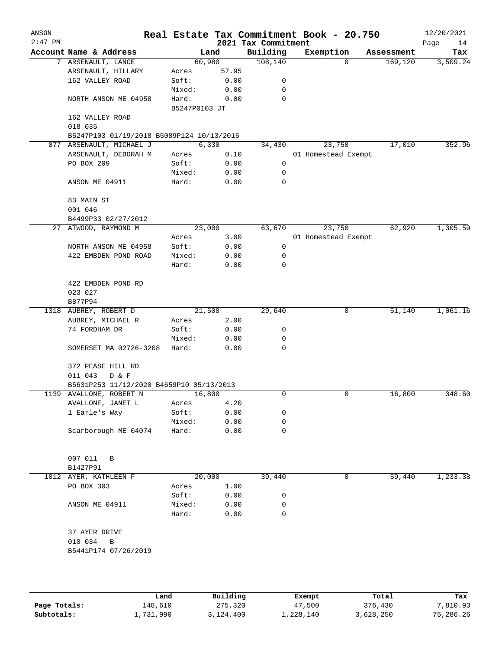| ANSON<br>$2:47$ PM |                                           |               |        | 2021 Tax Commitment | Real Estate Tax Commitment Book - 20.750 |            | 12/20/2021        |
|--------------------|-------------------------------------------|---------------|--------|---------------------|------------------------------------------|------------|-------------------|
|                    | Account Name & Address                    |               | Land   | Building            | Exemption                                | Assessment | Page<br>14<br>Tax |
|                    | 7 ARSENAULT, LANCE                        |               | 60,980 | 108, 140            | 0                                        | 169,120    | 3,509.24          |
|                    | ARSENAULT, HILLARY                        | Acres         | 57.95  |                     |                                          |            |                   |
|                    | 162 VALLEY ROAD                           | Soft:         | 0.00   | 0                   |                                          |            |                   |
|                    |                                           | Mixed:        | 0.00   | 0                   |                                          |            |                   |
|                    | NORTH ANSON ME 04958                      | Hard:         | 0.00   | 0                   |                                          |            |                   |
|                    | 162 VALLEY ROAD                           | B5247P0103 JT |        |                     |                                          |            |                   |
|                    | 018 035                                   |               |        |                     |                                          |            |                   |
|                    | B5247P103 01/19/2018 B5089P124 10/13/2016 |               |        |                     |                                          |            |                   |
|                    | 877 ARSENAULT, MICHAEL J                  |               | 6,330  | 34,430              | 23,750                                   | 17,010     | 352.96            |
|                    | ARSENAULT, DEBORAH M                      | Acres         | 0.10   |                     | 01 Homestead Exempt                      |            |                   |
|                    | PO BOX 209                                | Soft:         | 0.00   | 0                   |                                          |            |                   |
|                    |                                           | Mixed:        | 0.00   | 0                   |                                          |            |                   |
|                    | ANSON ME 04911                            | Hard:         | 0.00   | 0                   |                                          |            |                   |
|                    | 83 MAIN ST                                |               |        |                     |                                          |            |                   |
|                    | 001 046                                   |               |        |                     |                                          |            |                   |
|                    | B4499P33 02/27/2012                       |               |        |                     |                                          |            |                   |
|                    | 27 ATWOOD, RAYMOND M                      |               | 23,000 | 63,670              | 23,750                                   | 62,920     | 1,305.59          |
|                    |                                           | Acres         | 3.00   |                     | 01 Homestead Exempt                      |            |                   |
|                    | NORTH ANSON ME 04958                      | Soft:         | 0.00   | 0                   |                                          |            |                   |
|                    | 422 EMBDEN POND ROAD                      | Mixed:        | 0.00   | 0                   |                                          |            |                   |
|                    |                                           | Hard:         | 0.00   | 0                   |                                          |            |                   |
|                    | 422 EMBDEN POND RD                        |               |        |                     |                                          |            |                   |
|                    | 023 027                                   |               |        |                     |                                          |            |                   |
|                    | B877P94                                   |               |        |                     |                                          |            |                   |
|                    | 1318 AUBREY, ROBERT D                     |               | 21,500 | 29,640              | 0                                        | 51,140     | 1,061.16          |
|                    | AUBREY, MICHAEL R                         | Acres         | 2.00   |                     |                                          |            |                   |
|                    | 74 FORDHAM DR                             | Soft:         | 0.00   | 0                   |                                          |            |                   |
|                    |                                           | Mixed:        | 0.00   | 0                   |                                          |            |                   |
|                    | SOMERSET MA 02726-3208                    | Hard:         | 0.00   | 0                   |                                          |            |                   |
|                    | 372 PEASE HILL RD<br>011 043<br>D & F     |               |        |                     |                                          |            |                   |
|                    | B5631P253 11/12/2020 B4659P10 05/13/2013  |               |        |                     |                                          |            |                   |
|                    | 1139 AVALLONE, ROBERT N                   |               | 16,800 | 0                   | 0                                        | 16,800     | 348.60            |
|                    |                                           |               |        |                     |                                          |            |                   |
|                    | AVALLONE, JANET L                         | Acres         | 4.20   |                     |                                          |            |                   |
|                    | 1 Earle's Way                             | Soft:         | 0.00   | 0                   |                                          |            |                   |
|                    |                                           | Mixed:        | 0.00   | 0                   |                                          |            |                   |
|                    | Scarborough ME 04074                      | Hard:         | 0.00   | 0                   |                                          |            |                   |
|                    | 007 011<br>B                              |               |        |                     |                                          |            |                   |
|                    | B1427P91                                  |               |        |                     |                                          |            |                   |
|                    | 1012 AYER, KATHLEEN F                     |               | 20,000 | 39,440              | 0                                        | 59,440     | 1,233.38          |
|                    | PO BOX 303                                | Acres         | 1.00   |                     |                                          |            |                   |
|                    |                                           | Soft:         | 0.00   | 0                   |                                          |            |                   |
|                    | ANSON ME 04911                            | Mixed:        | 0.00   | 0                   |                                          |            |                   |
|                    |                                           | Hard:         | 0.00   | 0                   |                                          |            |                   |
|                    | 37 AYER DRIVE                             |               |        |                     |                                          |            |                   |
|                    | 010 034<br>B                              |               |        |                     |                                          |            |                   |
|                    | B5441P174 07/26/2019                      |               |        |                     |                                          |            |                   |
|                    |                                           |               |        |                     |                                          |            |                   |
|                    |                                           |               |        |                     |                                          |            |                   |
|                    |                                           |               |        |                     |                                          |            |                   |

|              | Land      | Building  | Exempt    | Total     | Tax       |
|--------------|-----------|-----------|-----------|-----------|-----------|
| Page Totals: | 148,610   | 275,320   | 47,500    | 376,430   | 7,810.93  |
| Subtotals:   | 1,731,990 | 3,124,400 | 1,228,140 | 3,628,250 | 75,286.26 |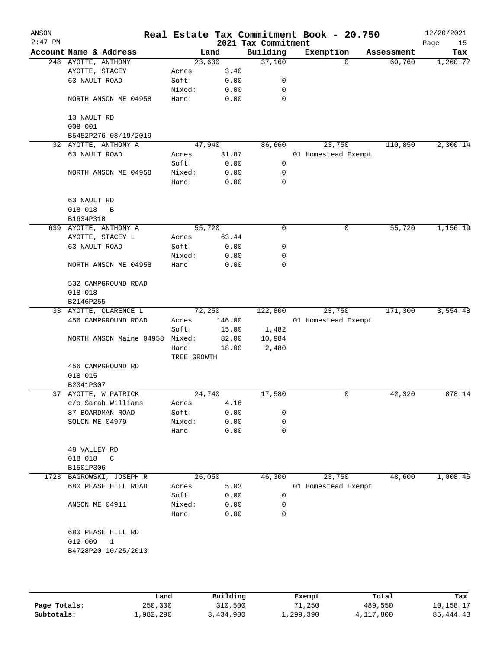| ANSON<br>$2:47$ PM |                         |                      |        | 2021 Tax Commitment | Real Estate Tax Commitment Book - 20.750 |            | 12/20/2021<br>Page<br>15 |
|--------------------|-------------------------|----------------------|--------|---------------------|------------------------------------------|------------|--------------------------|
|                    | Account Name & Address  |                      | Land   | Building            | Exemption                                | Assessment | Tax                      |
|                    | 248 AYOTTE, ANTHONY     | 23,600               |        | 37,160              | 0                                        | 60,760     | 1,260.77                 |
|                    | AYOTTE, STACEY          | Acres                | 3.40   |                     |                                          |            |                          |
|                    | 63 NAULT ROAD           | Soft:                | 0.00   | 0                   |                                          |            |                          |
|                    |                         | Mixed:               | 0.00   | 0                   |                                          |            |                          |
|                    | NORTH ANSON ME 04958    | Hard:                | 0.00   | 0                   |                                          |            |                          |
|                    | 13 NAULT RD<br>008 001  |                      |        |                     |                                          |            |                          |
|                    | B5452P276 08/19/2019    |                      |        |                     |                                          |            |                          |
|                    | 32 AYOTTE, ANTHONY A    | 47,940               |        | 86,660              | 23,750                                   | 110,850    | 2,300.14                 |
|                    | 63 NAULT ROAD           | Acres                | 31.87  |                     | 01 Homestead Exempt                      |            |                          |
|                    |                         | Soft:                | 0.00   | 0                   |                                          |            |                          |
|                    | NORTH ANSON ME 04958    | Mixed:               | 0.00   | 0                   |                                          |            |                          |
|                    |                         | Hard:                | 0.00   | 0                   |                                          |            |                          |
|                    | 63 NAULT RD             |                      |        |                     |                                          |            |                          |
|                    | 018 018<br>B            |                      |        |                     |                                          |            |                          |
|                    | B1634P310               |                      |        |                     |                                          |            |                          |
|                    | 639 AYOTTE, ANTHONY A   | 55,720               |        | 0                   | 0                                        | 55,720     | 1,156.19                 |
|                    | AYOTTE, STACEY L        | Acres                | 63.44  |                     |                                          |            |                          |
|                    | 63 NAULT ROAD           | Soft:                | 0.00   | 0                   |                                          |            |                          |
|                    |                         | Mixed:               | 0.00   | 0                   |                                          |            |                          |
|                    | NORTH ANSON ME 04958    | Hard:                | 0.00   | 0                   |                                          |            |                          |
|                    | 532 CAMPGROUND ROAD     |                      |        |                     |                                          |            |                          |
|                    | 018 018                 |                      |        |                     |                                          |            |                          |
|                    | B2146P255               |                      |        |                     |                                          |            |                          |
|                    | 33 AYOTTE, CLARENCE L   | 72,250               |        | 122,800             | 23,750                                   | 171,300    | 3,554.48                 |
|                    | 456 CAMPGROUND ROAD     | Acres                | 146.00 |                     | 01 Homestead Exempt                      |            |                          |
|                    |                         | Soft:                | 15.00  | 1,482               |                                          |            |                          |
|                    | NORTH ANSON Maine 04958 | Mixed:               | 82.00  | 10,984              |                                          |            |                          |
|                    |                         | Hard:<br>TREE GROWTH | 18.00  | 2,480               |                                          |            |                          |
|                    | 456 CAMPGROUND RD       |                      |        |                     |                                          |            |                          |
|                    | 018 015                 |                      |        |                     |                                          |            |                          |
|                    | B2041P307               |                      |        |                     |                                          |            |                          |
|                    | 37 AYOTTE, W PATRICK    | 24,740               |        | 17,580              | 0                                        | 42,320     | 878.14                   |
|                    | c/o Sarah Williams      | Acres                | 4.16   |                     |                                          |            |                          |
|                    | 87 BOARDMAN ROAD        | Soft:                | 0.00   | 0                   |                                          |            |                          |
|                    | SOLON ME 04979          | Mixed:               | 0.00   | 0                   |                                          |            |                          |
|                    |                         | Hard:                | 0.00   | 0                   |                                          |            |                          |
|                    | 48 VALLEY RD            |                      |        |                     |                                          |            |                          |
|                    | 018 018<br>$\mathsf{C}$ |                      |        |                     |                                          |            |                          |
|                    | B1501P306               |                      |        |                     |                                          |            |                          |
| 1723               | BAGROWSKI, JOSEPH R     | 26,050               |        | 46,300              | 23,750                                   | 48,600     | 1,008.45                 |
|                    | 680 PEASE HILL ROAD     | Acres                | 5.03   |                     | 01 Homestead Exempt                      |            |                          |
|                    |                         | Soft:                | 0.00   | 0                   |                                          |            |                          |
|                    | ANSON ME 04911          | Mixed:               | 0.00   | 0                   |                                          |            |                          |
|                    |                         | Hard:                | 0.00   | 0                   |                                          |            |                          |
|                    | 680 PEASE HILL RD       |                      |        |                     |                                          |            |                          |
|                    | 012 009<br>1            |                      |        |                     |                                          |            |                          |
|                    | B4728P20 10/25/2013     |                      |        |                     |                                          |            |                          |
|                    |                         |                      |        |                     |                                          |            |                          |
|                    |                         |                      |        |                     |                                          |            |                          |

|              | Land      | Building  | Exempt    | Total     | Tax         |
|--------------|-----------|-----------|-----------|-----------|-------------|
| Page Totals: | 250,300   | 310,500   | 71,250    | 489,550   | 10,158.17   |
| Subtotals:   | 1,982,290 | 3,434,900 | 1,299,390 | 4,117,800 | 85, 444, 43 |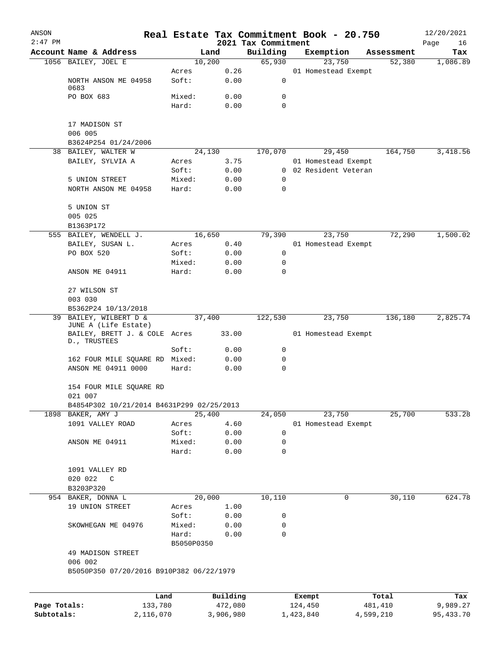| ANSON        |                                               |                     |                     |                                 | Real Estate Tax Commitment Book - 20.750 |                  | 12/20/2021        |
|--------------|-----------------------------------------------|---------------------|---------------------|---------------------------------|------------------------------------------|------------------|-------------------|
| $2:47$ PM    | Account Name & Address                        |                     | Land                | 2021 Tax Commitment<br>Building | Exemption                                | Assessment       | Page<br>16<br>Tax |
|              | 1056 BAILEY, JOEL E                           | 10,200              |                     | 65,930                          | 23,750                                   | 52,380           | 1,086.89          |
|              |                                               | Acres               | 0.26                |                                 | 01 Homestead Exempt                      |                  |                   |
|              | NORTH ANSON ME 04958<br>0683                  | Soft:               | 0.00                | 0                               |                                          |                  |                   |
|              | PO BOX 683                                    | Mixed:              | 0.00                | 0                               |                                          |                  |                   |
|              |                                               | Hard:               | 0.00                | 0                               |                                          |                  |                   |
|              | 17 MADISON ST                                 |                     |                     |                                 |                                          |                  |                   |
|              | 006 005                                       |                     |                     |                                 |                                          |                  |                   |
|              | B3624P254 01/24/2006                          |                     |                     |                                 |                                          |                  |                   |
|              | 38 BAILEY, WALTER W                           | 24,130              |                     | 170,070                         | 29,450                                   | 164,750          | 3,418.56          |
|              | BAILEY, SYLVIA A                              | Acres               | 3.75                |                                 | 01 Homestead Exempt                      |                  |                   |
|              |                                               | Soft:               | 0.00                |                                 | 0 02 Resident Veteran                    |                  |                   |
|              | 5 UNION STREET                                | Mixed:              | 0.00                | 0                               |                                          |                  |                   |
|              | NORTH ANSON ME 04958                          | Hard:               | 0.00                | 0                               |                                          |                  |                   |
|              | 5 UNION ST                                    |                     |                     |                                 |                                          |                  |                   |
|              | 005 025                                       |                     |                     |                                 |                                          |                  |                   |
|              | B1363P172                                     |                     |                     |                                 |                                          |                  |                   |
|              | 555 BAILEY, WENDELL J.                        | 16,650              |                     | 79,390                          | 23,750                                   | 72,290           | 1,500.02          |
|              | BAILEY, SUSAN L.                              | Acres               | 0.40                |                                 | 01 Homestead Exempt                      |                  |                   |
|              | PO BOX 520                                    | Soft:               | 0.00                | 0                               |                                          |                  |                   |
|              |                                               | Mixed:              | 0.00                | 0                               |                                          |                  |                   |
|              | ANSON ME 04911                                | Hard:               | 0.00                | 0                               |                                          |                  |                   |
|              | 27 WILSON ST                                  |                     |                     |                                 |                                          |                  |                   |
|              | 003 030                                       |                     |                     |                                 |                                          |                  |                   |
|              | B5362P24 10/13/2018                           |                     |                     |                                 |                                          |                  |                   |
| 39           | BAILEY, WILBERT D &                           | 37,400              |                     | 122,530                         | 23,750                                   | 136,180          | 2,825.74          |
|              | JUNE A (Life Estate)                          |                     |                     |                                 |                                          |                  |                   |
|              | BAILEY, BRETT J. & COLE Acres<br>D., TRUSTEES |                     | 33.00               |                                 | 01 Homestead Exempt                      |                  |                   |
|              |                                               | Soft:               | 0.00                | 0                               |                                          |                  |                   |
|              | 162 FOUR MILE SQUARE RD Mixed:                |                     | 0.00                | 0                               |                                          |                  |                   |
|              | ANSON ME 04911 0000                           | Hard:               | 0.00                | 0                               |                                          |                  |                   |
|              | 154 FOUR MILE SQUARE RD<br>021 007            |                     |                     |                                 |                                          |                  |                   |
|              | B4854P302 10/21/2014 B4631P299 02/25/2013     |                     |                     |                                 |                                          |                  |                   |
|              | 1898 BAKER, AMY J                             | 25,400              |                     | 24,050                          | 23,750                                   | 25,700           | 533.28            |
|              | 1091 VALLEY ROAD                              | Acres               | 4.60                |                                 | 01 Homestead Exempt                      |                  |                   |
|              |                                               | Soft:               | 0.00                | 0                               |                                          |                  |                   |
|              | ANSON ME 04911                                | Mixed:              | 0.00                | 0                               |                                          |                  |                   |
|              |                                               | Hard:               | 0.00                | $\mathbf 0$                     |                                          |                  |                   |
|              | 1091 VALLEY RD                                |                     |                     |                                 |                                          |                  |                   |
|              | 020 022<br>C                                  |                     |                     |                                 |                                          |                  |                   |
|              | B3203P320                                     |                     |                     |                                 |                                          |                  |                   |
|              | 954 BAKER, DONNA L                            | 20,000              |                     | 10,110                          | 0                                        | 30,110           | 624.78            |
|              | 19 UNION STREET                               | Acres               | 1.00                |                                 |                                          |                  |                   |
|              |                                               | Soft:               | 0.00                | 0                               |                                          |                  |                   |
|              | SKOWHEGAN ME 04976                            | Mixed:              | 0.00                | 0                               |                                          |                  |                   |
|              |                                               | Hard:<br>B5050P0350 | 0.00                | 0                               |                                          |                  |                   |
|              | 49 MADISON STREET                             |                     |                     |                                 |                                          |                  |                   |
|              | 006 002                                       |                     |                     |                                 |                                          |                  |                   |
|              | B5050P350 07/20/2016 B910P382 06/22/1979      |                     |                     |                                 |                                          |                  |                   |
|              |                                               |                     |                     |                                 |                                          |                  |                   |
| Page Totals: | Land<br>133,780                               |                     | Building<br>472,080 |                                 | Exempt<br>124,450                        | Total<br>481,410 | Tax<br>9,989.27   |
| Subtotals:   | 2,116,070                                     |                     | 3,906,980           |                                 | 1,423,840                                | 4,599,210        | 95, 433.70        |
|              |                                               |                     |                     |                                 |                                          |                  |                   |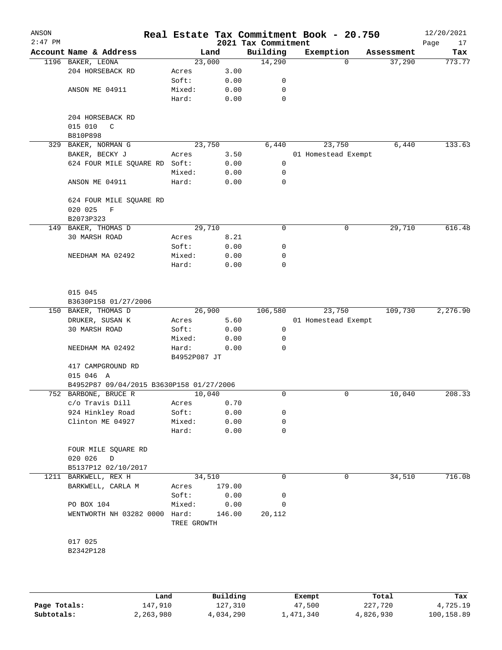| ANSON<br>$2:47$ PM |                                          |                      |        | Real Estate Tax Commitment Book - 20.750<br>2021 Tax Commitment |                     |          |            | 12/20/2021<br>Page<br>17 |
|--------------------|------------------------------------------|----------------------|--------|-----------------------------------------------------------------|---------------------|----------|------------|--------------------------|
|                    | Account Name & Address                   |                      | Land   | Building                                                        | Exemption           |          | Assessment | Tax                      |
|                    | 1196 BAKER, LEONA                        |                      | 23,000 | 14,290                                                          |                     | $\Omega$ | 37,290     | 773.77                   |
|                    | 204 HORSEBACK RD                         | Acres                | 3.00   |                                                                 |                     |          |            |                          |
|                    |                                          | Soft:                | 0.00   | 0                                                               |                     |          |            |                          |
|                    | ANSON ME 04911                           | Mixed:               | 0.00   | 0                                                               |                     |          |            |                          |
|                    |                                          | Hard:                | 0.00   | 0                                                               |                     |          |            |                          |
|                    | 204 HORSEBACK RD                         |                      |        |                                                                 |                     |          |            |                          |
|                    | C                                        |                      |        |                                                                 |                     |          |            |                          |
|                    | 015 010<br>B810P898                      |                      |        |                                                                 |                     |          |            |                          |
|                    |                                          |                      |        |                                                                 |                     |          |            |                          |
| 329                | BAKER, NORMAN G                          |                      | 23,750 | 6,440                                                           |                     | 23,750   | 6,440      | 133.63                   |
|                    | BAKER, BECKY J                           | Acres                | 3.50   |                                                                 | 01 Homestead Exempt |          |            |                          |
|                    | 624 FOUR MILE SQUARE RD Soft:            |                      | 0.00   | 0                                                               |                     |          |            |                          |
|                    |                                          | Mixed:               | 0.00   | 0                                                               |                     |          |            |                          |
|                    | ANSON ME 04911                           | Hard:                | 0.00   | 0                                                               |                     |          |            |                          |
|                    | 624 FOUR MILE SQUARE RD                  |                      |        |                                                                 |                     |          |            |                          |
|                    | 020 025<br>F                             |                      |        |                                                                 |                     |          |            |                          |
|                    | B2073P323                                |                      |        |                                                                 |                     |          |            |                          |
| 149                | BAKER, THOMAS D                          |                      | 29,710 | 0                                                               |                     | 0        | 29,710     | 616.48                   |
|                    | 30 MARSH ROAD                            | Acres                | 8.21   |                                                                 |                     |          |            |                          |
|                    |                                          | Soft:                | 0.00   | 0                                                               |                     |          |            |                          |
|                    | NEEDHAM MA 02492                         | Mixed:               | 0.00   | 0                                                               |                     |          |            |                          |
|                    |                                          | Hard:                | 0.00   | 0                                                               |                     |          |            |                          |
|                    |                                          |                      |        |                                                                 |                     |          |            |                          |
|                    | 015 045                                  |                      |        |                                                                 |                     |          |            |                          |
|                    | B3630P158 01/27/2006                     |                      |        |                                                                 |                     |          |            |                          |
|                    | 150 BAKER, THOMAS D                      |                      | 26,900 | 106,580                                                         |                     | 23,750   | 109,730    | 2,276.90                 |
|                    | DRUKER, SUSAN K                          | Acres                | 5.60   |                                                                 | 01 Homestead Exempt |          |            |                          |
|                    | 30 MARSH ROAD                            | Soft:                | 0.00   | 0                                                               |                     |          |            |                          |
|                    |                                          | Mixed:               | 0.00   | 0                                                               |                     |          |            |                          |
|                    | NEEDHAM MA 02492                         | Hard:                | 0.00   | 0                                                               |                     |          |            |                          |
|                    |                                          | B4952P087 JT         |        |                                                                 |                     |          |            |                          |
|                    |                                          |                      |        |                                                                 |                     |          |            |                          |
|                    | 417 CAMPGROUND RD                        |                      |        |                                                                 |                     |          |            |                          |
|                    | 015 046 A                                |                      |        |                                                                 |                     |          |            |                          |
|                    | B4952P87 09/04/2015 B3630P158 01/27/2006 |                      |        |                                                                 |                     |          |            |                          |
|                    | 752 BARBONE, BRUCE R                     |                      | 10,040 | 0                                                               |                     | 0        | 10,040     | 208.33                   |
|                    | c/o Travis Dill                          | Acres                | 0.70   |                                                                 |                     |          |            |                          |
|                    | 924 Hinkley Road                         | Soft:                | 0.00   | 0                                                               |                     |          |            |                          |
|                    | Clinton ME 04927                         | Mixed:               | 0.00   | 0                                                               |                     |          |            |                          |
|                    |                                          | Hard:                | 0.00   | 0                                                               |                     |          |            |                          |
|                    | FOUR MILE SQUARE RD                      |                      |        |                                                                 |                     |          |            |                          |
|                    | 020 026<br>D                             |                      |        |                                                                 |                     |          |            |                          |
|                    | B5137P12 02/10/2017                      |                      |        |                                                                 |                     |          |            |                          |
|                    | 1211 BARKWELL, REX H                     |                      | 34,510 | 0                                                               |                     | 0        | 34,510     | 716.08                   |
|                    | BARKWELL, CARLA M                        | Acres                | 179.00 |                                                                 |                     |          |            |                          |
|                    |                                          | Soft:                | 0.00   | 0                                                               |                     |          |            |                          |
|                    | PO BOX 104                               | Mixed:               | 0.00   | 0                                                               |                     |          |            |                          |
|                    | WENTWORTH NH 03282 0000                  |                      |        |                                                                 |                     |          |            |                          |
|                    |                                          | Hard:<br>TREE GROWTH | 146.00 | 20,112                                                          |                     |          |            |                          |
|                    | 017 025                                  |                      |        |                                                                 |                     |          |            |                          |
|                    |                                          |                      |        |                                                                 |                     |          |            |                          |
|                    | B2342P128                                |                      |        |                                                                 |                     |          |            |                          |
|                    |                                          |                      |        |                                                                 |                     |          |            |                          |

|              | Land      | Building  | Exempt    | Total     | Tax        |
|--------------|-----------|-----------|-----------|-----------|------------|
| Page Totals: | 147,910   | 127,310   | 47,500    | 227,720   | 4,725.19   |
| Subtotals:   | 2,263,980 | 4,034,290 | 1,471,340 | 4,826,930 | 100,158.89 |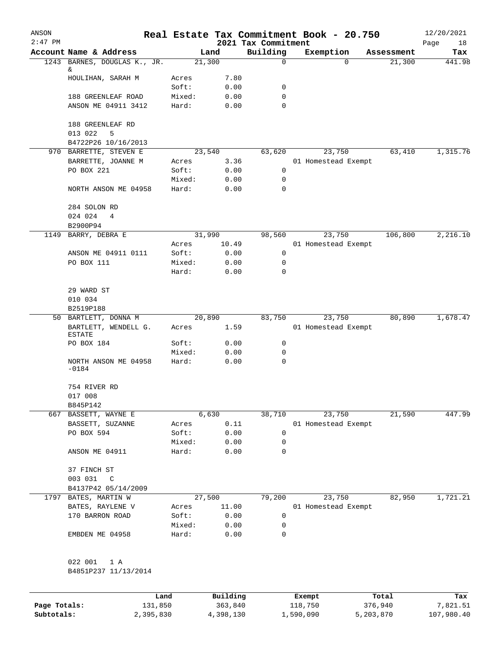| ANSON<br>$2:47$ PM |                                     |        |          |                                 | Real Estate Tax Commitment Book - 20.750 |            | 12/20/2021        |
|--------------------|-------------------------------------|--------|----------|---------------------------------|------------------------------------------|------------|-------------------|
|                    | Account Name & Address              |        | Land     | 2021 Tax Commitment<br>Building | Exemption                                | Assessment | Page<br>18<br>Tax |
|                    | 1243 BARNES, DOUGLAS K., JR.        |        | 21,300   | 0                               | $\Omega$                                 | 21,300     | 441.98            |
|                    | &                                   |        |          |                                 |                                          |            |                   |
|                    | HOULIHAN, SARAH M                   | Acres  | 7.80     |                                 |                                          |            |                   |
|                    |                                     | Soft:  | 0.00     | 0                               |                                          |            |                   |
|                    | 188 GREENLEAF ROAD                  | Mixed: | 0.00     | 0                               |                                          |            |                   |
|                    | ANSON ME 04911 3412                 | Hard:  | 0.00     | 0                               |                                          |            |                   |
|                    | 188 GREENLEAF RD                    |        |          |                                 |                                          |            |                   |
|                    | 013 022<br>5<br>B4722P26 10/16/2013 |        |          |                                 |                                          |            |                   |
|                    | 970 BARRETTE, STEVEN E              |        | 23,540   | 63,620                          | 23,750                                   | 63,410     | 1,315.76          |
|                    | BARRETTE, JOANNE M                  | Acres  | 3.36     |                                 | 01 Homestead Exempt                      |            |                   |
|                    | PO BOX 221                          | Soft:  | 0.00     | 0                               |                                          |            |                   |
|                    |                                     | Mixed: | 0.00     | 0                               |                                          |            |                   |
|                    | NORTH ANSON ME 04958                | Hard:  | 0.00     | 0                               |                                          |            |                   |
|                    | 284 SOLON RD<br>024 024<br>4        |        |          |                                 |                                          |            |                   |
|                    | B2900P94                            |        |          |                                 |                                          |            |                   |
| 1149               | BARRY, DEBRA E                      |        | 31,990   | 98,560                          | 23,750                                   | 106,800    | 2,216.10          |
|                    |                                     | Acres  | 10.49    |                                 | 01 Homestead Exempt                      |            |                   |
|                    | ANSON ME 04911 0111                 | Soft:  | 0.00     | 0                               |                                          |            |                   |
|                    | PO BOX 111                          | Mixed: | 0.00     | 0                               |                                          |            |                   |
|                    |                                     | Hard:  | 0.00     | 0                               |                                          |            |                   |
|                    | 29 WARD ST                          |        |          |                                 |                                          |            |                   |
|                    | 010 034                             |        |          |                                 |                                          |            |                   |
|                    | B2519P188                           |        |          |                                 |                                          |            |                   |
|                    | 50 BARTLETT, DONNA M                |        | 20,890   | 83,750                          | 23,750                                   | 80,890     | 1,678.47          |
|                    | BARTLETT, WENDELL G.<br>ESTATE      | Acres  | 1.59     |                                 | 01 Homestead Exempt                      |            |                   |
|                    | PO BOX 184                          | Soft:  | 0.00     | 0                               |                                          |            |                   |
|                    |                                     | Mixed: | 0.00     | 0                               |                                          |            |                   |
|                    | NORTH ANSON ME 04958<br>$-0184$     | Hard:  | 0.00     | 0                               |                                          |            |                   |
|                    | 754 RIVER RD                        |        |          |                                 |                                          |            |                   |
|                    | 017 008                             |        |          |                                 |                                          |            |                   |
|                    | B845P142                            |        |          |                                 |                                          |            |                   |
|                    | 667 BASSETT, WAYNE E                |        | 6,630    | 38,710                          | 23,750                                   | 21,590     | 447.99            |
|                    | BASSETT, SUZANNE                    | Acres  | 0.11     |                                 | 01 Homestead Exempt                      |            |                   |
|                    | PO BOX 594                          | Soft:  | 0.00     | 0                               |                                          |            |                   |
|                    |                                     | Mixed: | 0.00     | 0                               |                                          |            |                   |
|                    | ANSON ME 04911                      | Hard:  | 0.00     | 0                               |                                          |            |                   |
|                    | 37 FINCH ST                         |        |          |                                 |                                          |            |                   |
|                    | 003 031<br>$\mathbb{C}$             |        |          |                                 |                                          |            |                   |
|                    | B4137P42 05/14/2009                 |        |          |                                 |                                          |            |                   |
|                    | 1797 BATES, MARTIN W                |        | 27,500   | 79,200                          | 23,750                                   | 82,950     | 1,721.21          |
|                    | BATES, RAYLENE V                    | Acres  | 11.00    |                                 | 01 Homestead Exempt                      |            |                   |
|                    | 170 BARRON ROAD                     | Soft:  | 0.00     | 0                               |                                          |            |                   |
|                    |                                     | Mixed: | 0.00     | 0                               |                                          |            |                   |
|                    | EMBDEN ME 04958                     | Hard:  | 0.00     | 0                               |                                          |            |                   |
|                    |                                     |        |          |                                 |                                          |            |                   |
|                    | 022 001<br>1 A                      |        |          |                                 |                                          |            |                   |
|                    | B4851P237 11/13/2014                |        |          |                                 |                                          |            |                   |
|                    |                                     |        |          |                                 |                                          |            |                   |
|                    |                                     | Land   | Building |                                 | Exempt                                   | Total      | Tax               |

|              | udiku.    | <b>DUITOTII</b> d | LACINUL   | ⊥∪∟a⊥     | ias.       |
|--------------|-----------|-------------------|-----------|-----------|------------|
| Page Totals: | 131,850   | 363,840           | 118,750   | 376,940   | 7,821.51   |
| Subtotals:   | 2,395,830 | 4,398,130         | 1,590,090 | 5,203,870 | 107,980.40 |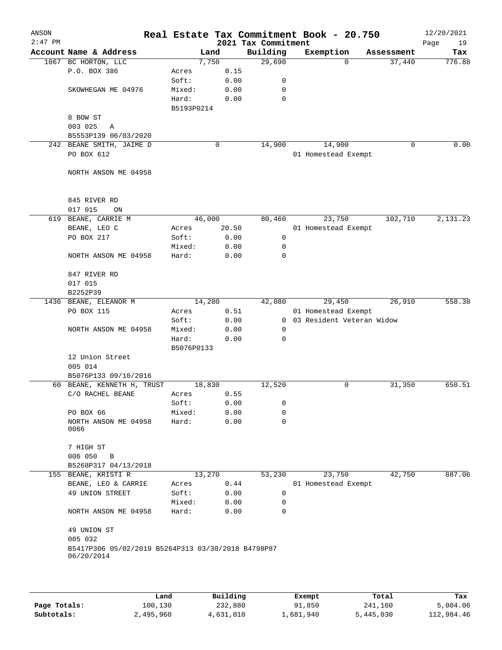| ANSON<br>$2:47$ PM |                                                                  |            |        | 2021 Tax Commitment | Real Estate Tax Commitment Book - 20.750 |            | 12/20/2021<br>Page<br>19 |
|--------------------|------------------------------------------------------------------|------------|--------|---------------------|------------------------------------------|------------|--------------------------|
|                    | Account Name & Address                                           |            | Land   | Building            | Exemption                                | Assessment | Tax                      |
|                    | 1067 BC HORTON, LLC                                              |            | 7,750  | 29,690              | $\Omega$                                 | 37,440     | 776.88                   |
|                    | P.O. BOX 386                                                     | Acres      | 0.15   |                     |                                          |            |                          |
|                    |                                                                  | Soft:      | 0.00   | 0                   |                                          |            |                          |
|                    | SKOWHEGAN ME 04976                                               | Mixed:     | 0.00   | 0                   |                                          |            |                          |
|                    |                                                                  | Hard:      | 0.00   | 0                   |                                          |            |                          |
|                    |                                                                  | B5193P0214 |        |                     |                                          |            |                          |
|                    | 8 BOW ST                                                         |            |        |                     |                                          |            |                          |
|                    | 003 025<br>Α                                                     |            |        |                     |                                          |            |                          |
|                    | B5553P139 06/03/2020                                             |            |        |                     |                                          |            |                          |
|                    | 242 BEANE SMITH, JAIME D                                         |            | 0      | 14,900              | 14,900                                   | 0          | 0.00                     |
|                    | PO BOX 612                                                       |            |        |                     | 01 Homestead Exempt                      |            |                          |
|                    |                                                                  |            |        |                     |                                          |            |                          |
|                    | NORTH ANSON ME 04958                                             |            |        |                     |                                          |            |                          |
|                    |                                                                  |            |        |                     |                                          |            |                          |
|                    | 845 RIVER RD                                                     |            |        |                     |                                          |            |                          |
|                    | 017 015<br>ON                                                    |            |        |                     |                                          |            |                          |
| 619                | BEANE, CARRIE M                                                  |            | 46,000 | 80,460              | 23,750                                   | 102,710    | 2,131.23                 |
|                    | BEANE, LEO C                                                     | Acres      | 20.50  |                     | 01 Homestead Exempt                      |            |                          |
|                    | PO BOX 217                                                       | Soft:      | 0.00   | $\mathbf 0$         |                                          |            |                          |
|                    |                                                                  | Mixed:     | 0.00   | 0                   |                                          |            |                          |
|                    | NORTH ANSON ME 04958                                             | Hard:      | 0.00   | $\mathbf 0$         |                                          |            |                          |
|                    |                                                                  |            |        |                     |                                          |            |                          |
|                    | 847 RIVER RD                                                     |            |        |                     |                                          |            |                          |
|                    | 017 015                                                          |            |        |                     |                                          |            |                          |
|                    | B2252P39                                                         |            |        |                     |                                          |            |                          |
| 1436               | BEANE, ELEANOR M                                                 |            | 14,280 | 42,080              | 29,450                                   | 26,910     | 558.38                   |
|                    | PO BOX 115                                                       | Acres      | 0.51   |                     | 01 Homestead Exempt                      |            |                          |
|                    |                                                                  | Soft:      | 0.00   | $\mathbf{0}$        | 03 Resident Veteran Widow                |            |                          |
|                    | NORTH ANSON ME 04958                                             | Mixed:     | 0.00   | 0                   |                                          |            |                          |
|                    |                                                                  | Hard:      | 0.00   | 0                   |                                          |            |                          |
|                    |                                                                  | B5076P0133 |        |                     |                                          |            |                          |
|                    | 12 Union Street                                                  |            |        |                     |                                          |            |                          |
|                    | 005 014                                                          |            |        |                     |                                          |            |                          |
|                    | B5076P133 09/10/2016                                             |            |        |                     |                                          |            |                          |
| 60                 | BEANE, KENNETH H, TRUST                                          |            | 18,830 | 12,520              | 0                                        | 31,350     | 650.51                   |
|                    | C/O RACHEL BEANE                                                 | Acres      | 0.55   |                     |                                          |            |                          |
|                    |                                                                  | Soft:      | 0.00   | 0                   |                                          |            |                          |
|                    | PO BOX 66                                                        | Mixed:     | 0.00   | 0                   |                                          |            |                          |
|                    | NORTH ANSON ME 04958<br>0066                                     | Hard:      | 0.00   | 0                   |                                          |            |                          |
|                    |                                                                  |            |        |                     |                                          |            |                          |
|                    | 7 HIGH ST                                                        |            |        |                     |                                          |            |                          |
|                    | 006 050<br>B                                                     |            |        |                     |                                          |            |                          |
|                    | B5268P317 04/13/2018                                             |            |        |                     |                                          |            |                          |
| 155                | BEANE, KRISTI R                                                  |            | 13,270 | 53,230              | 23,750                                   | 42,750     | 887.06                   |
|                    | BEANE, LEO & CARRIE                                              | Acres      | 0.44   |                     | 01 Homestead Exempt                      |            |                          |
|                    | 49 UNION STREET                                                  | Soft:      | 0.00   | 0                   |                                          |            |                          |
|                    |                                                                  | Mixed:     | 0.00   | 0                   |                                          |            |                          |
|                    | NORTH ANSON ME 04958                                             | Hard:      | 0.00   | 0                   |                                          |            |                          |
|                    |                                                                  |            |        |                     |                                          |            |                          |
|                    | 49 UNION ST                                                      |            |        |                     |                                          |            |                          |
|                    | 005 032                                                          |            |        |                     |                                          |            |                          |
|                    | B5417P306 05/02/2019 B5264P313 03/30/2018 B4798P87<br>06/20/2014 |            |        |                     |                                          |            |                          |
|                    |                                                                  |            |        |                     |                                          |            |                          |
|                    |                                                                  |            |        |                     |                                          |            |                          |
|                    |                                                                  |            |        |                     |                                          |            |                          |

|              | Land      | Building  | Exempt    | Total     | Tax        |
|--------------|-----------|-----------|-----------|-----------|------------|
| Page Totals: | 100,130   | 232,880   | 91,850    | 241,160   | 5,004.06   |
| Subtotals:   | 2,495,960 | 4,631,010 | 1,681,940 | 5,445,030 | 112,984.46 |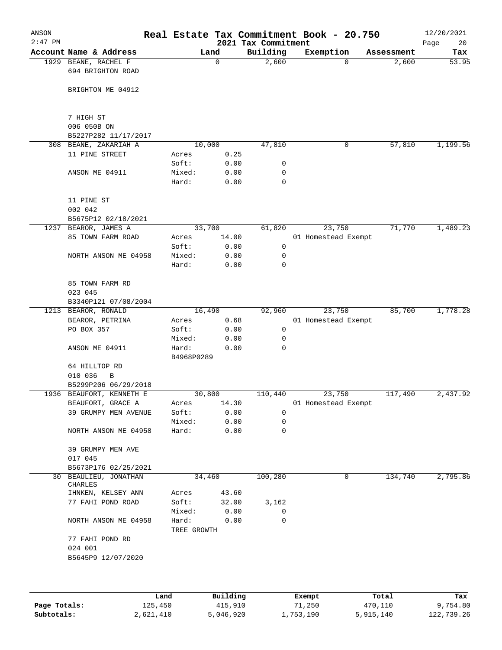| ANSON<br>$2:47$ PM |                                           |                      |              | 2021 Tax Commitment | Real Estate Tax Commitment Book - 20.750 |            | 12/20/2021<br>20<br>Page |
|--------------------|-------------------------------------------|----------------------|--------------|---------------------|------------------------------------------|------------|--------------------------|
|                    | Account Name & Address                    |                      | Land         | Building            | Exemption                                | Assessment | Tax                      |
|                    | 1929 BEANE, RACHEL F<br>694 BRIGHTON ROAD |                      | 0            | 2,600               | $\Omega$                                 | 2,600      | 53.95                    |
|                    | BRIGHTON ME 04912                         |                      |              |                     |                                          |            |                          |
|                    | 7 HIGH ST                                 |                      |              |                     |                                          |            |                          |
|                    | 006 050B ON                               |                      |              |                     |                                          |            |                          |
|                    | B5227P282 11/17/2017                      |                      |              |                     |                                          |            |                          |
| 308                | BEANE, ZAKARIAH A                         |                      | 10,000       | 47,810              | 0                                        | 57,810     | 1,199.56                 |
|                    | 11 PINE STREET                            | Acres                | 0.25         |                     |                                          |            |                          |
|                    |                                           | Soft:                | 0.00         | 0                   |                                          |            |                          |
|                    | ANSON ME 04911                            | Mixed:<br>Hard:      | 0.00<br>0.00 | 0<br>0              |                                          |            |                          |
|                    | 11 PINE ST<br>002 042                     |                      |              |                     |                                          |            |                          |
|                    | B5675P12 02/18/2021                       |                      |              |                     |                                          |            |                          |
| 1237               | BEAROR, JAMES A                           |                      | 33,700       | 61,820              | 23,750                                   | 71,770     | 1,489.23                 |
|                    | 85 TOWN FARM ROAD                         | Acres                | 14.00        |                     | 01 Homestead Exempt                      |            |                          |
|                    |                                           | Soft:                | 0.00         | 0                   |                                          |            |                          |
|                    | NORTH ANSON ME 04958                      | Mixed:               | 0.00         | 0                   |                                          |            |                          |
|                    |                                           | Hard:                | 0.00         | 0                   |                                          |            |                          |
|                    | 85 TOWN FARM RD<br>023 045                |                      |              |                     |                                          |            |                          |
|                    | B3340P121 07/08/2004                      |                      |              |                     |                                          |            |                          |
| 1213               | BEAROR, RONALD                            |                      | 16,490       | 92,960              | 23,750                                   | 85,700     | 1,778.28                 |
|                    | BEAROR, PETRINA                           | Acres                | 0.68         |                     | 01 Homestead Exempt                      |            |                          |
|                    | PO BOX 357                                | Soft:                | 0.00         | 0                   |                                          |            |                          |
|                    |                                           | Mixed:               | 0.00         | 0                   |                                          |            |                          |
|                    | ANSON ME 04911                            | Hard:<br>B4968P0289  | 0.00         | 0                   |                                          |            |                          |
|                    | 64 HILLTOP RD                             |                      |              |                     |                                          |            |                          |
|                    | 010 036<br>B                              |                      |              |                     |                                          |            |                          |
|                    | B5299P206 06/29/2018                      |                      |              |                     |                                          |            |                          |
|                    | 1936 BEAUFORT, KENNETH E                  |                      | 30,800       | 110,440             | 23,750                                   | 117,490    | 2,437.92                 |
|                    | BEAUFORT, GRACE A                         | Acres                | 14.30        |                     | 01 Homestead Exempt                      |            |                          |
|                    | 39 GRUMPY MEN AVENUE                      | Soft:                | 0.00         | 0                   |                                          |            |                          |
|                    |                                           | Mixed:               | 0.00         | $\mathbf 0$         |                                          |            |                          |
|                    | NORTH ANSON ME 04958                      | Hard:                | 0.00         | 0                   |                                          |            |                          |
|                    | 39 GRUMPY MEN AVE<br>017 045              |                      |              |                     |                                          |            |                          |
|                    | B5673P176 02/25/2021                      |                      |              |                     |                                          |            |                          |
|                    | 30 BEAULIEU, JONATHAN<br>CHARLES          |                      | 34,460       | 100,280             | 0                                        | 134,740    | 2,795.86                 |
|                    | IHNKEN, KELSEY ANN                        | Acres                | 43.60        |                     |                                          |            |                          |
|                    | 77 FAHI POND ROAD                         | Soft:                | 32.00        | 3,162               |                                          |            |                          |
|                    |                                           | Mixed:               | 0.00         | 0                   |                                          |            |                          |
|                    | NORTH ANSON ME 04958                      | Hard:<br>TREE GROWTH | 0.00         | 0                   |                                          |            |                          |
|                    | 77 FAHI POND RD<br>024 001                |                      |              |                     |                                          |            |                          |
|                    | B5645P9 12/07/2020                        |                      |              |                     |                                          |            |                          |
|                    |                                           |                      |              |                     |                                          |            |                          |
|                    |                                           | Land                 | Building     |                     | Exempt                                   | Total      | Tax                      |
| Page Totals:       | 125,450                                   |                      | 415,910      |                     | 71,250                                   | 470,110    | 9,754.80                 |

**Subtotals:** 2,621,410 5,046,920 1,753,190 5,915,140 122,739.26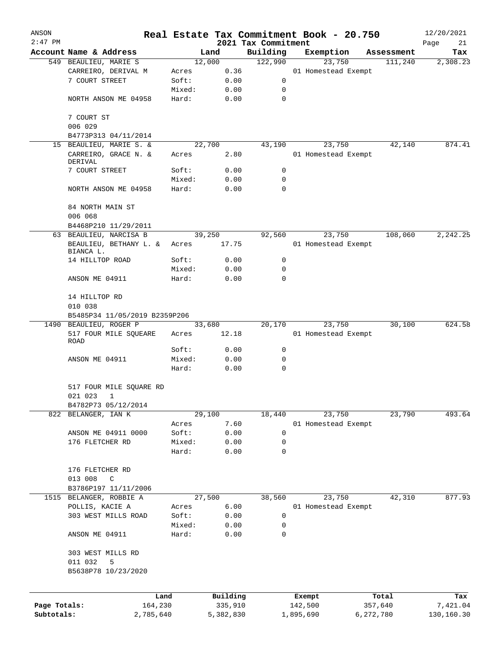| ANSON        |                                                         |        |           |                                 | Real Estate Tax Commitment Book - 20.750 |            | 12/20/2021        |
|--------------|---------------------------------------------------------|--------|-----------|---------------------------------|------------------------------------------|------------|-------------------|
| $2:47$ PM    | Account Name & Address                                  |        | Land      | 2021 Tax Commitment<br>Building | Exemption                                | Assessment | Page<br>21<br>Tax |
|              | 549 BEAULIEU, MARIE S                                   |        | 12,000    | 122,990                         | 23,750                                   | 111,240    | 2,308.23          |
|              | CARREIRO, DERIVAL M                                     | Acres  | 0.36      |                                 | 01 Homestead Exempt                      |            |                   |
|              | 7 COURT STREET                                          | Soft:  | 0.00      | 0                               |                                          |            |                   |
|              |                                                         | Mixed: | 0.00      | 0                               |                                          |            |                   |
|              | NORTH ANSON ME 04958                                    | Hard:  | 0.00      | $\mathbf 0$                     |                                          |            |                   |
|              | 7 COURT ST                                              |        |           |                                 |                                          |            |                   |
|              | 006 029                                                 |        |           |                                 |                                          |            |                   |
|              | B4773P313 04/11/2014                                    |        |           |                                 |                                          |            |                   |
|              | 15 BEAULIEU, MARIE S. &                                 |        | 22,700    | 43,190                          | 23,750                                   | 42,140     | 874.41            |
|              | CARREIRO, GRACE N. &<br>DERIVAL                         | Acres  | 2.80      |                                 | 01 Homestead Exempt                      |            |                   |
|              | 7 COURT STREET                                          | Soft:  | 0.00      | 0                               |                                          |            |                   |
|              |                                                         | Mixed: | 0.00      | 0                               |                                          |            |                   |
|              | NORTH ANSON ME 04958                                    | Hard:  | 0.00      | 0                               |                                          |            |                   |
|              | 84 NORTH MAIN ST<br>006 068                             |        |           |                                 |                                          |            |                   |
|              | B4468P210 11/29/2011                                    |        |           |                                 |                                          |            |                   |
| 63           | BEAULIEU, NARCISA B                                     |        | 39,250    | 92,560                          | 23,750                                   | 108,060    | 2,242.25          |
|              | BEAULIEU, BETHANY L. &<br>BIANCA L.                     | Acres  | 17.75     |                                 | 01 Homestead Exempt                      |            |                   |
|              | 14 HILLTOP ROAD                                         | Soft:  | 0.00      | 0                               |                                          |            |                   |
|              |                                                         | Mixed: | 0.00      | 0                               |                                          |            |                   |
|              | ANSON ME 04911                                          | Hard:  | 0.00      | 0                               |                                          |            |                   |
|              | 14 HILLTOP RD                                           |        |           |                                 |                                          |            |                   |
|              | 010 038                                                 |        |           |                                 |                                          |            |                   |
|              | B5485P34 11/05/2019 B2359P206<br>1490 BEAULIEU, ROGER P |        | 33,680    | 20,170                          | 23,750                                   | 30,100     | 624.58            |
|              | 517 FOUR MILE SQUEARE<br>ROAD                           | Acres  | 12.18     |                                 | 01 Homestead Exempt                      |            |                   |
|              |                                                         | Soft:  | 0.00      | 0                               |                                          |            |                   |
|              | ANSON ME 04911                                          | Mixed: | 0.00      | 0                               |                                          |            |                   |
|              |                                                         | Hard:  | 0.00      | 0                               |                                          |            |                   |
|              | 517 FOUR MILE SQUARE RD                                 |        |           |                                 |                                          |            |                   |
|              | 021 023<br>1                                            |        |           |                                 |                                          |            |                   |
|              | B4782P73 05/12/2014                                     |        |           |                                 |                                          |            |                   |
|              | 822 BELANGER, IAN K                                     |        | 29,100    | 18,440                          | 23,750                                   | 23,790     | 493.64            |
|              |                                                         | Acres  | 7.60      |                                 | 01 Homestead Exempt                      |            |                   |
|              | ANSON ME 04911 0000                                     | Soft:  | 0.00      | 0                               |                                          |            |                   |
|              | 176 FLETCHER RD                                         | Mixed: | 0.00      | 0                               |                                          |            |                   |
|              |                                                         | Hard:  | 0.00      | 0                               |                                          |            |                   |
|              | 176 FLETCHER RD                                         |        |           |                                 |                                          |            |                   |
|              | 013 008<br>C                                            |        |           |                                 |                                          |            |                   |
|              | B3786P197 11/11/2006                                    |        |           |                                 |                                          |            |                   |
|              | 1515 BELANGER, ROBBIE A                                 |        | 27,500    | 38,560                          | 23,750                                   | 42,310     | 877.93            |
|              | POLLIS, KACIE A                                         | Acres  | 6.00      |                                 | 01 Homestead Exempt                      |            |                   |
|              | 303 WEST MILLS ROAD                                     | Soft:  | 0.00      | $\mathbf 0$                     |                                          |            |                   |
|              |                                                         | Mixed: | 0.00      | 0                               |                                          |            |                   |
|              | ANSON ME 04911                                          | Hard:  | 0.00      | 0                               |                                          |            |                   |
|              | 303 WEST MILLS RD                                       |        |           |                                 |                                          |            |                   |
|              | 011 032<br>5<br>B5638P78 10/23/2020                     |        |           |                                 |                                          |            |                   |
|              |                                                         |        |           |                                 |                                          |            |                   |
|              | Land                                                    |        | Building  |                                 | Exempt                                   | Total      | Tax               |
| Page Totals: | 164,230                                                 |        | 335,910   |                                 | 142,500                                  | 357,640    | 7,421.04          |
| Subtotals:   | 2,785,640                                               |        | 5,382,830 |                                 | 1,895,690                                | 6,272,780  | 130,160.30        |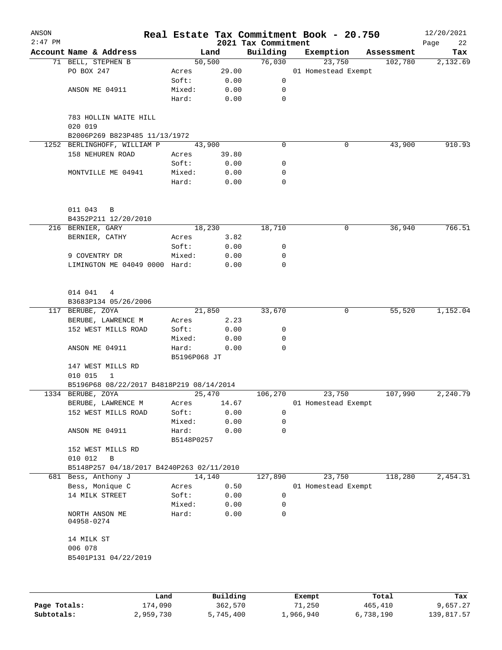| ANSON<br>$2:47$ PM |                                           |              |         | 2021 Tax Commitment | Real Estate Tax Commitment Book - 20.750 |            | 12/20/2021<br>Page<br>22 |
|--------------------|-------------------------------------------|--------------|---------|---------------------|------------------------------------------|------------|--------------------------|
|                    | Account Name & Address                    |              | Land    | Building            | Exemption                                | Assessment | Tax                      |
|                    | 71 BELL, STEPHEN B                        |              | 50, 500 | 76,030              | 23,750                                   | 102,780    | 2,132.69                 |
|                    | PO BOX 247                                | Acres        | 29.00   |                     | 01 Homestead Exempt                      |            |                          |
|                    |                                           | Soft:        | 0.00    | 0                   |                                          |            |                          |
|                    | ANSON ME 04911                            | Mixed:       | 0.00    | 0                   |                                          |            |                          |
|                    |                                           | Hard:        | 0.00    | 0                   |                                          |            |                          |
|                    | 783 HOLLIN WAITE HILL<br>020 019          |              |         |                     |                                          |            |                          |
|                    | B2006P269 B823P485 11/13/1972             |              |         |                     |                                          |            |                          |
|                    | 1252 BERLINGHOFF, WILLIAM P               | 43,900       |         | $\mathbf 0$         | 0                                        | 43,900     | 910.93                   |
|                    | 158 NEHUREN ROAD                          | Acres        | 39.80   |                     |                                          |            |                          |
|                    |                                           | Soft:        | 0.00    | 0                   |                                          |            |                          |
|                    | MONTVILLE ME 04941                        | Mixed:       | 0.00    | 0                   |                                          |            |                          |
|                    |                                           | Hard:        | 0.00    | 0                   |                                          |            |                          |
|                    | 011 043<br>$\overline{B}$                 |              |         |                     |                                          |            |                          |
|                    | B4352P211 12/20/2010                      |              |         |                     |                                          |            |                          |
|                    | 216 BERNIER, GARY                         |              | 18,230  | 18,710              | 0                                        | 36,940     | 766.51                   |
|                    | BERNIER, CATHY                            | Acres        | 3.82    |                     |                                          |            |                          |
|                    |                                           | Soft:        | 0.00    | 0                   |                                          |            |                          |
|                    | 9 COVENTRY DR                             | Mixed:       | 0.00    | 0                   |                                          |            |                          |
|                    | LIMINGTON ME 04049 0000 Hard:             |              | 0.00    | 0                   |                                          |            |                          |
|                    | 014 041 4<br>B3683P134 05/26/2006         |              |         |                     |                                          |            |                          |
|                    | 117 BERUBE, ZOYA                          |              | 21,850  | 33,670              | 0                                        | 55,520     | 1,152.04                 |
|                    | BERUBE, LAWRENCE M                        | Acres        | 2.23    |                     |                                          |            |                          |
|                    | 152 WEST MILLS ROAD                       | Soft:        | 0.00    | 0                   |                                          |            |                          |
|                    |                                           | Mixed:       | 0.00    | 0                   |                                          |            |                          |
|                    | ANSON ME 04911                            | Hard:        | 0.00    | $\Omega$            |                                          |            |                          |
|                    |                                           | B5196P068 JT |         |                     |                                          |            |                          |
|                    | 147 WEST MILLS RD                         |              |         |                     |                                          |            |                          |
|                    | 010 015<br>1                              |              |         |                     |                                          |            |                          |
|                    | B5196P68 08/22/2017 B4818P219 08/14/2014  |              |         |                     |                                          |            |                          |
|                    | 1334 BERUBE, ZOYA                         | 25,470       |         | 106,270             | 23,750                                   | 107,990    | 2,240.79                 |
|                    | BERUBE, LAWRENCE M                        | Acres        | 14.67   |                     | 01 Homestead Exempt                      |            |                          |
|                    | 152 WEST MILLS ROAD                       | Soft:        | 0.00    | 0                   |                                          |            |                          |
|                    |                                           | Mixed:       | 0.00    | 0                   |                                          |            |                          |
|                    | ANSON ME 04911                            | Hard:        | 0.00    | 0                   |                                          |            |                          |
|                    |                                           | B5148P0257   |         |                     |                                          |            |                          |
|                    | 152 WEST MILLS RD                         |              |         |                     |                                          |            |                          |
|                    | 010 012<br>В                              |              |         |                     |                                          |            |                          |
|                    | B5148P257 04/18/2017 B4240P263 02/11/2010 |              |         |                     |                                          |            |                          |
|                    | 681 Bess, Anthony J                       | 14,140       |         | 127,890             | 23,750                                   | 118,280    | 2,454.31                 |
|                    | Bess, Monique C                           | Acres        | 0.50    |                     | 01 Homestead Exempt                      |            |                          |
|                    | 14 MILK STREET                            | Soft:        | 0.00    | 0                   |                                          |            |                          |
|                    |                                           | Mixed:       | 0.00    | 0                   |                                          |            |                          |
|                    | NORTH ANSON ME<br>04958-0274              | Hard:        | 0.00    | 0                   |                                          |            |                          |
|                    | 14 MILK ST                                |              |         |                     |                                          |            |                          |
|                    | 006 078                                   |              |         |                     |                                          |            |                          |
|                    | B5401P131 04/22/2019                      |              |         |                     |                                          |            |                          |
|                    |                                           |              |         |                     |                                          |            |                          |
|                    |                                           |              |         |                     |                                          |            |                          |

|              | Land      | Building  | Exempt    | Total     | Tax        |
|--------------|-----------|-----------|-----------|-----------|------------|
| Page Totals: | 174,090   | 362,570   | 71,250    | 465,410   | 9,657.27   |
| Subtotals:   | 2,959,730 | 5,745,400 | 1,966,940 | 6,738,190 | 139,817.57 |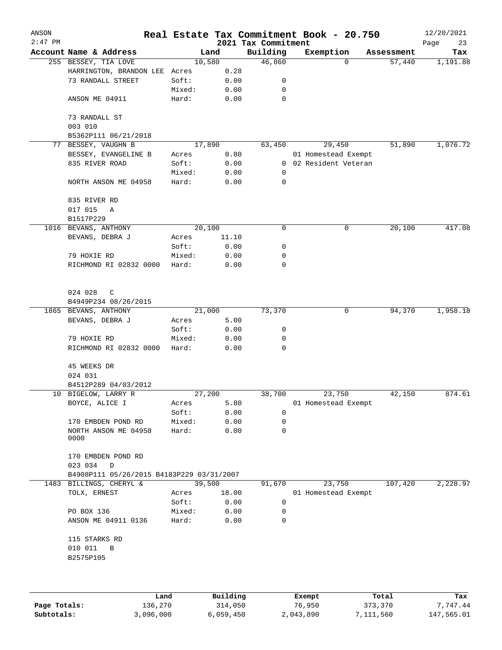| ANSON     |                                           |                 |              |                                 | Real Estate Tax Commitment Book - 20.750 |            | 12/20/2021        |
|-----------|-------------------------------------------|-----------------|--------------|---------------------------------|------------------------------------------|------------|-------------------|
| $2:47$ PM | Account Name & Address                    | Land            |              | 2021 Tax Commitment<br>Building | Exemption                                | Assessment | Page<br>23<br>Tax |
|           | 255 BESSEY, TIA LOVE                      | 10,580          |              | 46,860                          | 0                                        | 57,440     | 1,191.88          |
|           | HARRINGTON, BRANDON LEE                   | Acres           | 0.28         |                                 |                                          |            |                   |
|           | 73 RANDALL STREET                         | Soft:           | 0.00         | 0                               |                                          |            |                   |
|           |                                           | Mixed:          | 0.00         | 0                               |                                          |            |                   |
|           | ANSON ME 04911                            | Hard:           | 0.00         | $\mathbf 0$                     |                                          |            |                   |
|           | 73 RANDALL ST<br>003 010                  |                 |              |                                 |                                          |            |                   |
|           | B5362P111 06/21/2018                      |                 |              |                                 |                                          |            |                   |
|           | 77 BESSEY, VAUGHN B                       | 17,890          |              | 63,450                          | 29,450                                   | 51,890     | 1,076.72          |
|           | BESSEY, EVANGELINE B                      | Acres           | 0.80         |                                 | 01 Homestead Exempt                      |            |                   |
|           | 835 RIVER ROAD                            | Soft:           | 0.00         | $\mathbf{0}$                    | 02 Resident Veteran                      |            |                   |
|           |                                           | Mixed:          | 0.00         | 0                               |                                          |            |                   |
|           | NORTH ANSON ME 04958                      | Hard:           | 0.00         | 0                               |                                          |            |                   |
|           | 835 RIVER RD                              |                 |              |                                 |                                          |            |                   |
|           | 017 015<br>Α                              |                 |              |                                 |                                          |            |                   |
|           | B1517P229                                 |                 |              |                                 |                                          |            |                   |
|           | 1016 BEVANS, ANTHONY                      | 20,100          |              | 0                               | 0                                        | 20,100     | 417.08            |
|           | BEVANS, DEBRA J                           | Acres           | 11.10        |                                 |                                          |            |                   |
|           |                                           | Soft:           | 0.00         | 0                               |                                          |            |                   |
|           | 79 HOXIE RD                               | Mixed:          | 0.00         | 0                               |                                          |            |                   |
|           | RICHMOND RI 02832 0000                    | Hard:           | 0.00         | 0                               |                                          |            |                   |
|           | 024 028<br>C<br>B4949P234 08/26/2015      |                 |              |                                 |                                          |            |                   |
|           | 1865 BEVANS, ANTHONY                      | 21,000          |              | 73,370                          | 0                                        | 94,370     | 1,958.18          |
|           | BEVANS, DEBRA J                           | Acres           | 5.00         |                                 |                                          |            |                   |
|           |                                           | Soft:           | 0.00         | 0                               |                                          |            |                   |
|           | 79 HOXIE RD                               | Mixed:          | 0.00         | 0                               |                                          |            |                   |
|           | RICHMOND RI 02832 0000                    | Hard:           | 0.00         | $\mathbf 0$                     |                                          |            |                   |
|           | 45 WEEKS DR                               |                 |              |                                 |                                          |            |                   |
|           | 024 031                                   |                 |              |                                 |                                          |            |                   |
|           | B4512P289 04/03/2012                      |                 |              |                                 |                                          |            |                   |
|           | 10 BIGELOW, LARRY R                       | 27,200          |              | 38,700                          | 23,750                                   | 42,150     | 874.61            |
|           | BOYCE, ALICE I                            | Acres           | 5.80         |                                 | 01 Homestead Exempt                      |            |                   |
|           |                                           | Soft:           | 0.00         | 0                               |                                          |            |                   |
|           | 170 EMBDEN POND RD                        | Mixed:          | 0.00         | 0                               |                                          |            |                   |
|           | NORTH ANSON ME 04958<br>0000              | Hard:           | 0.00         | 0                               |                                          |            |                   |
|           | 170 EMBDEN POND RD                        |                 |              |                                 |                                          |            |                   |
|           | 023 034<br>D                              |                 |              |                                 |                                          |            |                   |
|           | B4908P111 05/26/2015 B4183P229 03/31/2007 |                 |              |                                 |                                          |            |                   |
|           | 1483 BILLINGS, CHERYL &                   | 39,500          |              | 91,670                          | 23,750                                   | 107,420    | 2,228.97          |
|           | TOLX, ERNEST                              | Acres           | 18.00        |                                 | 01 Homestead Exempt                      |            |                   |
|           |                                           | Soft:           | 0.00         | 0                               |                                          |            |                   |
|           | PO BOX 136<br>ANSON ME 04911 0136         | Mixed:<br>Hard: | 0.00<br>0.00 | 0<br>0                          |                                          |            |                   |
|           | 115 STARKS RD                             |                 |              |                                 |                                          |            |                   |
|           | 010 011<br>$\, {\bf B}$<br>B2575P105      |                 |              |                                 |                                          |            |                   |
|           |                                           |                 |              |                                 |                                          |            |                   |
|           |                                           |                 |              |                                 |                                          |            |                   |

|              | Land      | Building  | Exempt    | Total     | Tax        |
|--------------|-----------|-----------|-----------|-----------|------------|
| Page Totals: | 136,270   | 314,050   | 76,950    | 373,370   | 7.747.44   |
| Subtotals:   | 3,096,000 | 6,059,450 | 2,043,890 | 7,111,560 | 147,565.01 |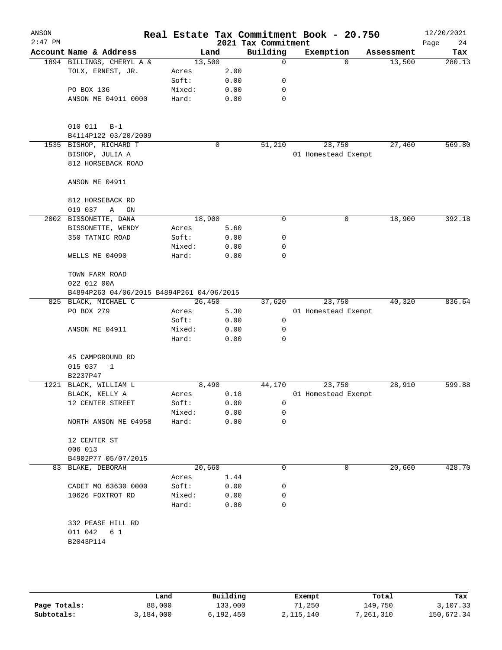| ANSON<br>$2:47$ PM |                                           |  |        |   |      | 2021 Tax Commitment |  | Real Estate Tax Commitment Book - 20.750 |            | 12/20/2021<br>Page<br>24 |
|--------------------|-------------------------------------------|--|--------|---|------|---------------------|--|------------------------------------------|------------|--------------------------|
|                    | Account Name & Address                    |  | Land   |   |      | Building            |  | Exemption                                | Assessment | Tax                      |
|                    | 1894 BILLINGS, CHERYL A &                 |  | 13,500 |   |      | $\mathbf 0$         |  | $\Omega$                                 | 13,500     | 280.13                   |
|                    | TOLX, ERNEST, JR.                         |  | Acres  |   | 2.00 |                     |  |                                          |            |                          |
|                    |                                           |  | Soft:  |   | 0.00 | 0                   |  |                                          |            |                          |
|                    | PO BOX 136                                |  | Mixed: |   | 0.00 | 0                   |  |                                          |            |                          |
|                    | ANSON ME 04911 0000                       |  | Hard:  |   | 0.00 | 0                   |  |                                          |            |                          |
|                    |                                           |  |        |   |      |                     |  |                                          |            |                          |
|                    |                                           |  |        |   |      |                     |  |                                          |            |                          |
|                    | 010 011<br>$B-1$                          |  |        |   |      |                     |  |                                          |            |                          |
|                    | B4114P122 03/20/2009                      |  |        |   |      |                     |  |                                          |            |                          |
|                    | 1535 BISHOP, RICHARD T                    |  |        | 0 |      | 51,210              |  | 23,750                                   | 27,460     | 569.80                   |
|                    | BISHOP, JULIA A                           |  |        |   |      |                     |  | 01 Homestead Exempt                      |            |                          |
|                    | 812 HORSEBACK ROAD                        |  |        |   |      |                     |  |                                          |            |                          |
|                    | ANSON ME 04911                            |  |        |   |      |                     |  |                                          |            |                          |
|                    | 812 HORSEBACK RD                          |  |        |   |      |                     |  |                                          |            |                          |
|                    | 019 037<br>Α<br>ON                        |  |        |   |      |                     |  |                                          |            |                          |
|                    | 2002 BISSONETTE, DANA                     |  | 18,900 |   |      | 0                   |  | 0                                        | 18,900     | 392.18                   |
|                    | BISSONETTE, WENDY                         |  | Acres  |   | 5.60 |                     |  |                                          |            |                          |
|                    | 350 TATNIC ROAD                           |  | Soft:  |   | 0.00 | 0                   |  |                                          |            |                          |
|                    |                                           |  | Mixed: |   | 0.00 | 0                   |  |                                          |            |                          |
|                    | WELLS ME 04090                            |  | Hard:  |   | 0.00 | 0                   |  |                                          |            |                          |
|                    | TOWN FARM ROAD                            |  |        |   |      |                     |  |                                          |            |                          |
|                    | 022 012 00A                               |  |        |   |      |                     |  |                                          |            |                          |
|                    | B4894P263 04/06/2015 B4894P261 04/06/2015 |  |        |   |      |                     |  |                                          |            |                          |
|                    | 825 BLACK, MICHAEL C                      |  | 26,450 |   |      | 37,620              |  | 23,750                                   | 40,320     | 836.64                   |
|                    | PO BOX 279                                |  | Acres  |   | 5.30 |                     |  | 01 Homestead Exempt                      |            |                          |
|                    |                                           |  | Soft:  |   | 0.00 | 0                   |  |                                          |            |                          |
|                    | ANSON ME 04911                            |  | Mixed: |   | 0.00 | 0                   |  |                                          |            |                          |
|                    |                                           |  | Hard:  |   | 0.00 | 0                   |  |                                          |            |                          |
|                    |                                           |  |        |   |      |                     |  |                                          |            |                          |
|                    | 45 CAMPGROUND RD                          |  |        |   |      |                     |  |                                          |            |                          |
|                    | 015 037<br>1                              |  |        |   |      |                     |  |                                          |            |                          |
|                    | B2237P47                                  |  |        |   |      |                     |  |                                          |            |                          |
| 1221               | BLACK, WILLIAM L                          |  | 8,490  |   |      | 44,170              |  | 23,750                                   | 28,910     | 599.88                   |
|                    | BLACK, KELLY A                            |  | Acres  |   | 0.18 |                     |  | 01 Homestead Exempt                      |            |                          |
|                    | 12 CENTER STREET                          |  | Soft:  |   | 0.00 | 0                   |  |                                          |            |                          |
|                    |                                           |  | Mixed: |   | 0.00 | 0                   |  |                                          |            |                          |
|                    | NORTH ANSON ME 04958                      |  | Hard:  |   | 0.00 | 0                   |  |                                          |            |                          |
|                    | 12 CENTER ST                              |  |        |   |      |                     |  |                                          |            |                          |
|                    | 006 013                                   |  |        |   |      |                     |  |                                          |            |                          |
|                    | B4902P77 05/07/2015                       |  |        |   |      |                     |  |                                          |            |                          |
|                    | 83 BLAKE, DEBORAH                         |  | 20,660 |   |      | 0                   |  | 0                                        | 20,660     | 428.70                   |
|                    |                                           |  | Acres  |   | 1.44 |                     |  |                                          |            |                          |
|                    | CADET MO 63630 0000                       |  | Soft:  |   | 0.00 | 0                   |  |                                          |            |                          |
|                    | 10626 FOXTROT RD                          |  | Mixed: |   | 0.00 | 0                   |  |                                          |            |                          |
|                    |                                           |  | Hard:  |   | 0.00 | 0                   |  |                                          |            |                          |
|                    |                                           |  |        |   |      |                     |  |                                          |            |                          |
|                    | 332 PEASE HILL RD<br>011 042<br>6 1       |  |        |   |      |                     |  |                                          |            |                          |
|                    |                                           |  |        |   |      |                     |  |                                          |            |                          |
|                    | B2043P114                                 |  |        |   |      |                     |  |                                          |            |                          |
|                    |                                           |  |        |   |      |                     |  |                                          |            |                          |
|                    |                                           |  |        |   |      |                     |  |                                          |            |                          |
|                    |                                           |  |        |   |      |                     |  |                                          |            |                          |

|              | Land      | Building  | Exempt    | Total     | Tax        |
|--------------|-----------|-----------|-----------|-----------|------------|
| Page Totals: | 88,000    | 133,000   | 71,250    | 149,750   | 3,107.33   |
| Subtotals:   | 3,184,000 | 6,192,450 | 2,115,140 | 7,261,310 | 150,672.34 |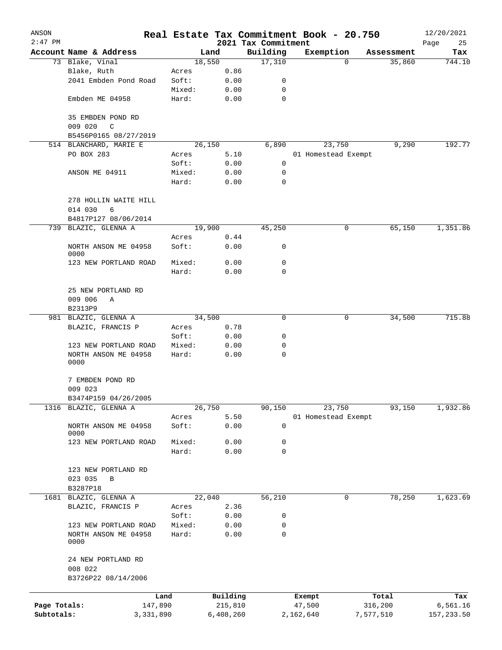| ANSON        |                                               |           |        |           |                     | Real Estate Tax Commitment Book - 20.750 |   |            | 12/20/2021 |
|--------------|-----------------------------------------------|-----------|--------|-----------|---------------------|------------------------------------------|---|------------|------------|
| $2:47$ PM    |                                               |           |        |           | 2021 Tax Commitment |                                          |   |            | Page<br>25 |
|              | Account Name & Address                        |           |        | Land      | Building            | Exemption                                |   | Assessment | Tax        |
|              | 73 Blake, Vinal                               |           |        | 18,550    | 17,310              |                                          | 0 | 35,860     | 744.10     |
|              | Blake, Ruth                                   |           | Acres  | 0.86      |                     |                                          |   |            |            |
|              | 2041 Embden Pond Road                         |           | Soft:  | 0.00      | 0                   |                                          |   |            |            |
|              |                                               |           | Mixed: | 0.00      | 0                   |                                          |   |            |            |
|              | Embden ME 04958                               |           | Hard:  | 0.00      | $\mathbf 0$         |                                          |   |            |            |
|              | 35 EMBDEN POND RD<br>009 020<br>$\mathcal{C}$ |           |        |           |                     |                                          |   |            |            |
|              | B5456P0165 08/27/2019                         |           |        |           |                     |                                          |   |            |            |
|              | 514 BLANCHARD, MARIE E                        |           |        | 26,150    | 6,890               | 23,750                                   |   | 9,290      | 192.77     |
|              | PO BOX 283                                    |           | Acres  | 5.10      |                     | 01 Homestead Exempt                      |   |            |            |
|              |                                               |           | Soft:  | 0.00      | 0                   |                                          |   |            |            |
|              | ANSON ME 04911                                |           | Mixed: | 0.00      | 0                   |                                          |   |            |            |
|              |                                               |           | Hard:  | 0.00      | 0                   |                                          |   |            |            |
|              |                                               |           |        |           |                     |                                          |   |            |            |
|              | 278 HOLLIN WAITE HILL                         |           |        |           |                     |                                          |   |            |            |
|              | 014 030<br>6                                  |           |        |           |                     |                                          |   |            |            |
|              | B4817P127 08/06/2014                          |           |        |           |                     |                                          |   |            |            |
|              | 739 BLAZIC, GLENNA A                          |           |        | 19,900    | 45,250              |                                          | 0 | 65,150     | 1,351.86   |
|              |                                               |           | Acres  | 0.44      |                     |                                          |   |            |            |
|              | NORTH ANSON ME 04958<br>0000                  |           | Soft:  | 0.00      | 0                   |                                          |   |            |            |
|              | 123 NEW PORTLAND ROAD                         |           | Mixed: | 0.00      | 0                   |                                          |   |            |            |
|              |                                               |           | Hard:  | 0.00      | 0                   |                                          |   |            |            |
|              |                                               |           |        |           |                     |                                          |   |            |            |
|              | 25 NEW PORTLAND RD                            |           |        |           |                     |                                          |   |            |            |
|              | 009 006<br>Α                                  |           |        |           |                     |                                          |   |            |            |
|              | B2313P9                                       |           |        |           |                     |                                          |   |            |            |
|              | 981 BLAZIC, GLENNA A                          |           |        | 34,500    | 0                   |                                          | 0 | 34,500     | 715.88     |
|              | BLAZIC, FRANCIS P                             |           | Acres  | 0.78      |                     |                                          |   |            |            |
|              |                                               |           | Soft:  | 0.00      | 0                   |                                          |   |            |            |
|              | 123 NEW PORTLAND ROAD                         |           | Mixed: | 0.00      | 0                   |                                          |   |            |            |
|              | NORTH ANSON ME 04958                          |           | Hard:  | 0.00      | 0                   |                                          |   |            |            |
|              | 0000                                          |           |        |           |                     |                                          |   |            |            |
|              | 7 EMBDEN POND RD                              |           |        |           |                     |                                          |   |            |            |
|              | 009 023                                       |           |        |           |                     |                                          |   |            |            |
|              | B3474P159 04/26/2005                          |           |        |           |                     |                                          |   |            |            |
| 1316         | BLAZIC, GLENNA A                              |           |        | 26,750    | 90,150              | 23,750                                   |   | 93,150     | 1,932.86   |
|              |                                               |           | Acres  | 5.50      |                     | 01 Homestead Exempt                      |   |            |            |
|              | NORTH ANSON ME 04958                          |           | Soft:  | 0.00      | 0                   |                                          |   |            |            |
|              | 0000                                          |           |        |           |                     |                                          |   |            |            |
|              | 123 NEW PORTLAND ROAD                         |           | Mixed: | 0.00      | 0                   |                                          |   |            |            |
|              |                                               |           | Hard:  | 0.00      | $\mathbf 0$         |                                          |   |            |            |
|              |                                               |           |        |           |                     |                                          |   |            |            |
|              | 123 NEW PORTLAND RD                           |           |        |           |                     |                                          |   |            |            |
|              | 023 035<br>В                                  |           |        |           |                     |                                          |   |            |            |
|              | B3287P18                                      |           |        |           |                     |                                          |   |            |            |
|              | 1681 BLAZIC, GLENNA A                         |           |        | 22,040    | 56,210              |                                          | 0 | 78,250     | 1,623.69   |
|              | BLAZIC, FRANCIS P                             |           | Acres  | 2.36      |                     |                                          |   |            |            |
|              |                                               |           | Soft:  | 0.00      | 0                   |                                          |   |            |            |
|              | 123 NEW PORTLAND ROAD                         |           | Mixed: | 0.00      | 0                   |                                          |   |            |            |
|              | NORTH ANSON ME 04958<br>0000                  |           | Hard:  | 0.00      | $\mathbf 0$         |                                          |   |            |            |
|              | 24 NEW PORTLAND RD                            |           |        |           |                     |                                          |   |            |            |
|              | 008 022<br>B3726P22 08/14/2006                |           |        |           |                     |                                          |   |            |            |
|              |                                               |           |        |           |                     |                                          |   |            |            |
|              |                                               | Land      |        | Building  |                     | Exempt                                   |   | Total      | Tax        |
| Page Totals: |                                               | 147,890   |        | 215,810   |                     | 47,500                                   |   | 316,200    | 6,561.16   |
| Subtotals:   |                                               | 3,331,890 |        | 6,408,260 |                     | 2,162,640                                |   | 7,577,510  | 157,233.50 |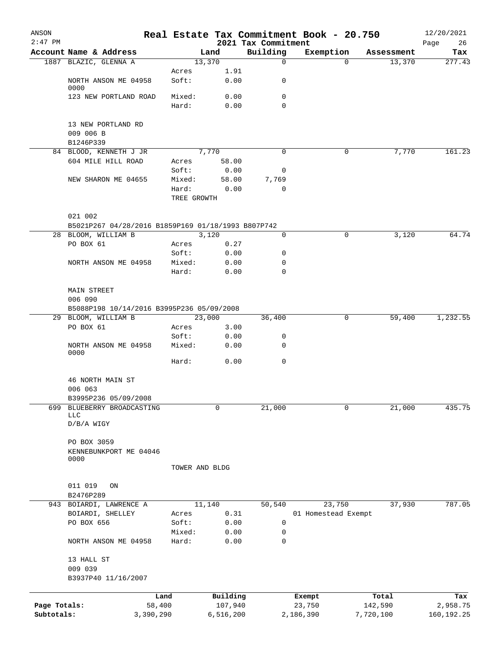| ANSON<br>$2:47$ PM |                                                               |                 |                | 2021 Tax Commitment | Real Estate Tax Commitment Book - 20.750 |            | 12/20/2021<br>Page<br>26 |
|--------------------|---------------------------------------------------------------|-----------------|----------------|---------------------|------------------------------------------|------------|--------------------------|
|                    | Account Name & Address                                        |                 | Land           | Building            | Exemption                                | Assessment | Tax                      |
|                    | 1887 BLAZIC, GLENNA A                                         |                 | 13,370         | $\mathsf{O}$        | $\Omega$                                 | 13,370     | 277.43                   |
|                    |                                                               | Acres           | 1.91           |                     |                                          |            |                          |
|                    | NORTH ANSON ME 04958<br>0000                                  | Soft:           | 0.00           | 0                   |                                          |            |                          |
|                    | 123 NEW PORTLAND ROAD                                         | Mixed:          | 0.00           | 0                   |                                          |            |                          |
|                    |                                                               | Hard:           | 0.00           | $\Omega$            |                                          |            |                          |
|                    | 13 NEW PORTLAND RD                                            |                 |                |                     |                                          |            |                          |
|                    | 009 006 B                                                     |                 |                |                     |                                          |            |                          |
|                    | B1246P339                                                     |                 |                |                     |                                          |            |                          |
|                    | 84 BLOOD, KENNETH J JR                                        |                 | 7,770          | $\Omega$            | 0                                        | 7,770      | 161.23                   |
|                    | 604 MILE HILL ROAD                                            | Acres           | 58.00          |                     |                                          |            |                          |
|                    |                                                               | Soft:           | 0.00           | 0                   |                                          |            |                          |
|                    | NEW SHARON ME 04655                                           | Mixed:          | 58.00          | 7,769               |                                          |            |                          |
|                    |                                                               | Hard:           | 0.00           | 0                   |                                          |            |                          |
|                    |                                                               | TREE GROWTH     |                |                     |                                          |            |                          |
|                    |                                                               |                 |                |                     |                                          |            |                          |
|                    | 021 002<br>B5021P267 04/28/2016 B1859P169 01/18/1993 B807P742 |                 |                |                     |                                          |            |                          |
|                    | 28 BLOOM, WILLIAM B                                           |                 | 3,120          | 0                   | 0                                        | 3,120      | 64.74                    |
|                    | PO BOX 61                                                     | Acres           | 0.27           |                     |                                          |            |                          |
|                    |                                                               | Soft:           | 0.00           | 0                   |                                          |            |                          |
|                    | NORTH ANSON ME 04958                                          | Mixed:          | 0.00           | 0                   |                                          |            |                          |
|                    |                                                               | Hard:           | 0.00           | 0                   |                                          |            |                          |
|                    |                                                               |                 |                |                     |                                          |            |                          |
|                    | <b>MAIN STREET</b>                                            |                 |                |                     |                                          |            |                          |
|                    | 006 090                                                       |                 |                |                     |                                          |            |                          |
|                    | B5088P198 10/14/2016 B3995P236 05/09/2008                     |                 |                |                     |                                          |            |                          |
|                    | 29 BLOOM, WILLIAM B                                           |                 | 23,000         | 36,400              | 0                                        | 59,400     | 1,232.55                 |
|                    | PO BOX 61                                                     | Acres           | 3.00           |                     |                                          |            |                          |
|                    | NORTH ANSON ME 04958                                          | Soft:<br>Mixed: | 0.00<br>0.00   | 0<br>0              |                                          |            |                          |
|                    | 0000                                                          |                 |                |                     |                                          |            |                          |
|                    |                                                               | Hard:           | 0.00           | 0                   |                                          |            |                          |
|                    | 46 NORTH MAIN ST                                              |                 |                |                     |                                          |            |                          |
|                    | 006 063                                                       |                 |                |                     |                                          |            |                          |
|                    | B3995P236 05/09/2008                                          |                 |                |                     |                                          |            |                          |
| 699                | BLUEBERRY BROADCASTING                                        |                 | 0              | 21,000              | 0                                        | 21,000     | 435.75                   |
|                    | <b>LLC</b>                                                    |                 |                |                     |                                          |            |                          |
|                    | $D/B/A$ WIGY                                                  |                 |                |                     |                                          |            |                          |
|                    | PO BOX 3059                                                   |                 |                |                     |                                          |            |                          |
|                    | KENNEBUNKPORT ME 04046                                        |                 |                |                     |                                          |            |                          |
|                    | 0000                                                          |                 |                |                     |                                          |            |                          |
|                    |                                                               | TOWER AND BLDG  |                |                     |                                          |            |                          |
|                    |                                                               |                 |                |                     |                                          |            |                          |
|                    | 011 019<br>ON                                                 |                 |                |                     |                                          |            |                          |
|                    | B2476P289                                                     |                 |                |                     |                                          |            |                          |
| 943                | BOIARDI, LAWRENCE A<br>BOIARDI, SHELLEY                       |                 | 11,140<br>0.31 | 50,540              | 23,750<br>01 Homestead Exempt            | 37,930     | 787.05                   |
|                    | PO BOX 656                                                    | Acres<br>Soft:  | 0.00           | 0                   |                                          |            |                          |
|                    |                                                               | Mixed:          | 0.00           | 0                   |                                          |            |                          |
|                    | NORTH ANSON ME 04958                                          | Hard:           | 0.00           | 0                   |                                          |            |                          |
|                    | 13 HALL ST                                                    |                 |                |                     |                                          |            |                          |
|                    | 009 039                                                       |                 |                |                     |                                          |            |                          |
|                    | B3937P40 11/16/2007                                           |                 |                |                     |                                          |            |                          |
|                    |                                                               |                 |                |                     |                                          |            |                          |
|                    |                                                               | Land            | Building       |                     | Exempt                                   | Total      | Tax                      |
| Page Totals:       | 58,400                                                        |                 | 107,940        |                     | 23,750                                   | 142,590    | 2,958.75                 |
| Subtotals:         | 3,390,290                                                     |                 | 6,516,200      |                     | 2,186,390                                | 7,720,100  | 160, 192. 25             |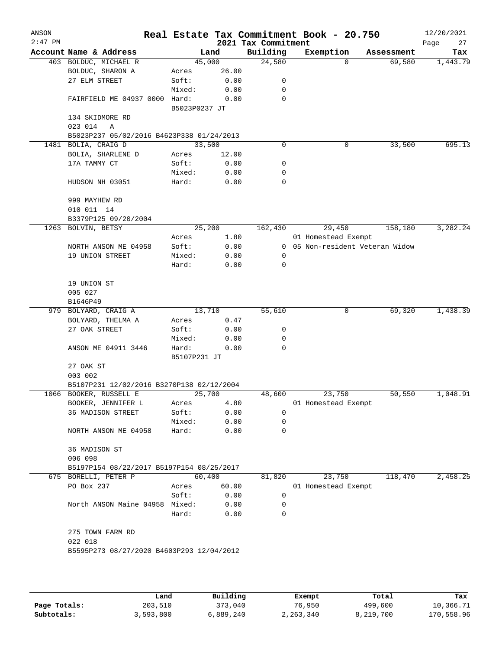| ANSON<br>$2:47$ PM |                                                                     |                |              | 2021 Tax Commitment | Real Estate Tax Commitment Book - 20.750 |                               | 12/20/2021<br>Page<br>27 |
|--------------------|---------------------------------------------------------------------|----------------|--------------|---------------------|------------------------------------------|-------------------------------|--------------------------|
|                    | Account Name & Address                                              | Land           |              | Building            | Exemption                                | Assessment                    | Tax                      |
|                    | 403 BOLDUC, MICHAEL R                                               | 45,000         |              | 24,580              | $\Omega$                                 | 69,580                        | 1,443.79                 |
|                    | BOLDUC, SHARON A                                                    | Acres          | 26.00        |                     |                                          |                               |                          |
|                    | 27 ELM STREET                                                       | Soft:          | 0.00         | $\mathbf 0$         |                                          |                               |                          |
|                    |                                                                     | Mixed:         | 0.00         | 0                   |                                          |                               |                          |
|                    | FAIRFIELD ME 04937 0000 Hard:                                       | B5023P0237 JT  | 0.00         | $\mathbf 0$         |                                          |                               |                          |
|                    | 134 SKIDMORE RD                                                     |                |              |                     |                                          |                               |                          |
|                    | 023 014<br>Α                                                        |                |              |                     |                                          |                               |                          |
| 1481               | B5023P237 05/02/2016 B4623P338 01/24/2013<br>BOLIA, CRAIG D         | 33,500         |              | 0                   | 0                                        | 33,500                        | 695.13                   |
|                    | BOLIA, SHARLENE D                                                   | Acres          | 12.00        |                     |                                          |                               |                          |
|                    | 17A TAMMY CT                                                        | Soft:          | 0.00         | 0                   |                                          |                               |                          |
|                    |                                                                     | Mixed:         | 0.00         | 0                   |                                          |                               |                          |
|                    | HUDSON NH 03051                                                     | Hard:          | 0.00         | 0                   |                                          |                               |                          |
|                    | 999 MAYHEW RD                                                       |                |              |                     |                                          |                               |                          |
|                    | 010 011 14                                                          |                |              |                     |                                          |                               |                          |
|                    | B3379P125 09/20/2004                                                |                |              |                     |                                          |                               |                          |
| 1263               | BOLVIN, BETSY                                                       | 25,200         |              | 162,430             | 29,450                                   | 158,180                       | 3,282.24                 |
|                    |                                                                     | Acres          | 1.80         |                     | 01 Homestead Exempt                      |                               |                          |
|                    | NORTH ANSON ME 04958                                                | Soft:          | 0.00         | $\overline{0}$      |                                          | 05 Non-resident Veteran Widow |                          |
|                    | 19 UNION STREET                                                     | Mixed:         | 0.00         | 0                   |                                          |                               |                          |
|                    |                                                                     | Hard:          | 0.00         | $\mathbf 0$         |                                          |                               |                          |
|                    | 19 UNION ST                                                         |                |              |                     |                                          |                               |                          |
|                    | 005 027                                                             |                |              |                     |                                          |                               |                          |
|                    | B1646P49                                                            |                |              |                     |                                          |                               |                          |
|                    | 979 BOLYARD, CRAIG A                                                | 13,710         |              | 55,610              | 0                                        | 69,320                        | 1,438.39                 |
|                    | BOLYARD, THELMA A<br>27 OAK STREET                                  | Acres<br>Soft: | 0.47<br>0.00 | 0                   |                                          |                               |                          |
|                    |                                                                     | Mixed:         | 0.00         | 0                   |                                          |                               |                          |
|                    | ANSON ME 04911 3446                                                 | Hard:          | 0.00         | $\Omega$            |                                          |                               |                          |
|                    |                                                                     | B5107P231 JT   |              |                     |                                          |                               |                          |
|                    | 27 OAK ST                                                           |                |              |                     |                                          |                               |                          |
|                    | 003 002                                                             |                |              |                     |                                          |                               |                          |
|                    | B5107P231 12/02/2016 B3270P138 02/12/2004<br>1066 BOOKER, RUSSELL E | 25,700         |              | 48,600              | 23,750                                   | 50,550                        | 1,048.91                 |
|                    | BOOKER, JENNIFER L                                                  | Acres          | 4.80         |                     | 01 Homestead Exempt                      |                               |                          |
|                    | 36 MADISON STREET                                                   | Soft:          | 0.00         | 0                   |                                          |                               |                          |
|                    |                                                                     | Mixed:         | 0.00         | $\mathbf 0$         |                                          |                               |                          |
|                    | NORTH ANSON ME 04958                                                | Hard:          | 0.00         | 0                   |                                          |                               |                          |
|                    | 36 MADISON ST                                                       |                |              |                     |                                          |                               |                          |
|                    | 006 098                                                             |                |              |                     |                                          |                               |                          |
|                    | B5197P154 08/22/2017 B5197P154 08/25/2017                           |                |              |                     |                                          |                               |                          |
|                    | 675 BORELLI, PETER P                                                | 60,400         |              | 81,820              | 23,750                                   | 118,470                       | 2,458.25                 |
|                    | PO Box 237                                                          | Acres          | 60.00        |                     | 01 Homestead Exempt                      |                               |                          |
|                    |                                                                     | Soft:          | 0.00         | 0                   |                                          |                               |                          |
|                    | North ANSON Maine 04958 Mixed:                                      | Hard:          | 0.00<br>0.00 | 0<br>0              |                                          |                               |                          |
|                    |                                                                     |                |              |                     |                                          |                               |                          |
|                    | 275 TOWN FARM RD                                                    |                |              |                     |                                          |                               |                          |
|                    | 022 018                                                             |                |              |                     |                                          |                               |                          |
|                    | B5595P273 08/27/2020 B4603P293 12/04/2012                           |                |              |                     |                                          |                               |                          |
|                    |                                                                     |                |              |                     |                                          |                               |                          |
|                    |                                                                     |                |              |                     |                                          |                               |                          |
|                    |                                                                     |                |              |                     |                                          |                               |                          |

|              | Land      | Building  | Exempt    | Total     | Tax        |
|--------------|-----------|-----------|-----------|-----------|------------|
| Page Totals: | 203,510   | 373,040   | 76,950    | 499,600   | 10,366.71  |
| Subtotals:   | 3,593,800 | 6,889,240 | 2,263,340 | 8,219,700 | 170,558.96 |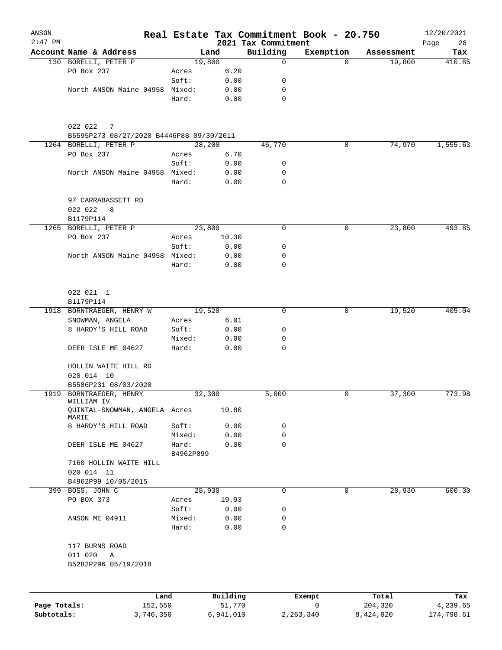| ANSON        |                                                            |           |          |                                 | Real Estate Tax Commitment Book - 20.750 |            | 12/20/2021        |
|--------------|------------------------------------------------------------|-----------|----------|---------------------------------|------------------------------------------|------------|-------------------|
| $2:47$ PM    | Account Name & Address                                     |           | Land     | 2021 Tax Commitment<br>Building | Exemption                                | Assessment | Page<br>28<br>Tax |
|              | 130 BORELLI, PETER P                                       | 19,800    |          | $\mathbf 0$                     | $\Omega$                                 | 19,800     | 410.85            |
|              | PO Box 237                                                 | Acres     | 6.20     |                                 |                                          |            |                   |
|              |                                                            | Soft:     | 0.00     | 0                               |                                          |            |                   |
|              | North ANSON Maine 04958 Mixed:                             |           | 0.00     | 0                               |                                          |            |                   |
|              |                                                            | Hard:     | 0.00     | $\mathbf 0$                     |                                          |            |                   |
|              | 022 022<br>7<br>B5595P273 08/27/2020 B4446P88 09/30/2011   |           |          |                                 |                                          |            |                   |
|              | 1264 BORELLI, PETER P                                      | 28,200    |          | 46,770                          | 0                                        | 74,970     | 1,555.63          |
|              | PO Box 237                                                 | Acres     | 6.70     |                                 |                                          |            |                   |
|              |                                                            | Soft:     | 0.00     | 0                               |                                          |            |                   |
|              | North ANSON Maine 04958 Mixed:                             |           | 0.00     | 0                               |                                          |            |                   |
|              |                                                            | Hard:     | 0.00     | $\mathbf 0$                     |                                          |            |                   |
|              | 97 CARRABASSETT RD<br>022 022<br>8                         |           |          |                                 |                                          |            |                   |
|              | B1179P114                                                  |           |          |                                 |                                          |            |                   |
|              | 1265 BORELLI, PETER P                                      | 23,800    |          | 0                               | 0                                        | 23,800     | 493.85            |
|              | PO Box 237                                                 | Acres     | 10.30    |                                 |                                          |            |                   |
|              |                                                            | Soft:     | 0.00     | 0                               |                                          |            |                   |
|              | North ANSON Maine 04958 Mixed:                             |           | 0.00     | 0                               |                                          |            |                   |
|              |                                                            | Hard:     | 0.00     | 0                               |                                          |            |                   |
|              | 022 021 1<br>B1179P114                                     |           |          |                                 |                                          |            |                   |
|              | 1918 BORNTRAEGER, HENRY W                                  | 19,520    |          | 0                               | 0                                        | 19,520     | 405.04            |
|              | SNOWMAN, ANGELA                                            | Acres     | 6.01     |                                 |                                          |            |                   |
|              | 8 HARDY'S HILL ROAD                                        | Soft:     | 0.00     | 0                               |                                          |            |                   |
|              |                                                            | Mixed:    | 0.00     | 0                               |                                          |            |                   |
|              | DEER ISLE ME 04627                                         | Hard:     | 0.00     | 0                               |                                          |            |                   |
|              | HOLLIN WAITE HILL RD<br>020 014 10<br>B5586P231 08/03/2020 |           |          |                                 |                                          |            |                   |
|              | 1919 BORNTRAEGER, HENRY                                    | 32,300    |          | 5,000                           | 0                                        | 37,300     | 773.98            |
|              | WILLIAM IV<br>QUINTAL-SNOWMAN, ANGELA Acres                |           | 10.80    |                                 |                                          |            |                   |
|              | MARIE                                                      |           |          |                                 |                                          |            |                   |
|              | 8 HARDY'S HILL ROAD                                        | Soft:     | 0.00     | 0                               |                                          |            |                   |
|              |                                                            | Mixed:    | 0.00     | 0                               |                                          |            |                   |
|              | DEER ISLE ME 04627                                         | Hard:     | 0.00     | 0                               |                                          |            |                   |
|              | 7160 HOLLIN WAITE HILL                                     | B4962P099 |          |                                 |                                          |            |                   |
|              | 020 014 11<br>B4962P99 10/05/2015                          |           |          |                                 |                                          |            |                   |
| 399          | BOSS, JOHN C                                               | 28,930    |          | $\mathbf 0$                     | 0                                        | 28,930     | 600.30            |
|              | PO BOX 373                                                 | Acres     | 19.93    |                                 |                                          |            |                   |
|              |                                                            | Soft:     | 0.00     | 0                               |                                          |            |                   |
|              | ANSON ME 04911                                             | Mixed:    | 0.00     | 0                               |                                          |            |                   |
|              |                                                            | Hard:     | 0.00     | $\mathbf 0$                     |                                          |            |                   |
|              | 117 BURNS ROAD                                             |           |          |                                 |                                          |            |                   |
|              | 011 020<br>Α<br>B5282P296 05/19/2018                       |           |          |                                 |                                          |            |                   |
|              |                                                            |           |          |                                 |                                          |            |                   |
|              | Land                                                       |           | Building |                                 | Exempt                                   | Total      | Tax               |
| Page Totals: | 152,550                                                    |           | 51,770   |                                 | 0                                        | 204,320    | 4,239.65          |

**Subtotals:** 3,746,350 6,941,010 2,263,340 8,424,020 174,798.61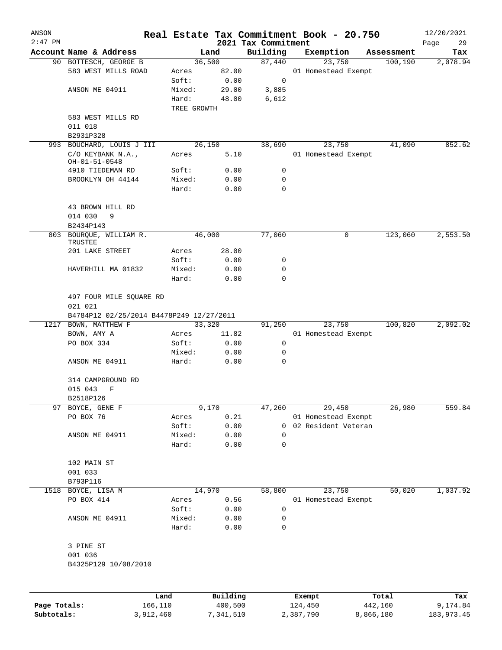| ANSON        |                                              |                |              |                                 | Real Estate Tax Commitment Book - 20.750 |            | 12/20/2021        |
|--------------|----------------------------------------------|----------------|--------------|---------------------------------|------------------------------------------|------------|-------------------|
| $2:47$ PM    | Account Name & Address                       |                | Land         | 2021 Tax Commitment<br>Building | Exemption                                | Assessment | Page<br>29<br>Tax |
|              | 90 BOTTESCH, GEORGE B                        |                | 36,500       | 87,440                          | 23,750                                   | 100,190    | 2,078.94          |
|              | 583 WEST MILLS ROAD                          | Acres          | 82.00        |                                 | 01 Homestead Exempt                      |            |                   |
|              |                                              | Soft:          | 0.00         | 0                               |                                          |            |                   |
|              | ANSON ME 04911                               | Mixed:         | 29.00        | 3,885                           |                                          |            |                   |
|              |                                              | Hard:          | 48.00        | 6,612                           |                                          |            |                   |
|              |                                              | TREE GROWTH    |              |                                 |                                          |            |                   |
|              | 583 WEST MILLS RD                            |                |              |                                 |                                          |            |                   |
|              | 011 018                                      |                |              |                                 |                                          |            |                   |
|              | B2931P328                                    |                |              |                                 |                                          |            |                   |
| 993          | BOUCHARD, LOUIS J III                        |                | 26,150       | 38,690                          | 23,750                                   | 41,090     | 852.62            |
|              | C/O KEYBANK N.A.,<br>OH-01-51-0548           | Acres          | 5.10         |                                 | 01 Homestead Exempt                      |            |                   |
|              | 4910 TIEDEMAN RD                             | Soft:          | 0.00         | 0                               |                                          |            |                   |
|              | BROOKLYN OH 44144                            | Mixed:         | 0.00         | 0                               |                                          |            |                   |
|              |                                              | Hard:          | 0.00         | 0                               |                                          |            |                   |
|              | 43 BROWN HILL RD<br>014 030<br>9             |                |              |                                 |                                          |            |                   |
|              | B2434P143                                    |                |              |                                 |                                          |            |                   |
| 803          | BOURQUE, WILLIAM R.<br>TRUSTEE               |                | 46,000       | 77,060                          | 0                                        | 123,060    | 2,553.50          |
|              | 201 LAKE STREET                              | Acres          | 28.00        |                                 |                                          |            |                   |
|              |                                              | Soft:          | 0.00         | 0                               |                                          |            |                   |
|              | HAVERHILL MA 01832                           | Mixed:         | 0.00         | 0                               |                                          |            |                   |
|              |                                              | Hard:          | 0.00         | $\mathbf 0$                     |                                          |            |                   |
|              | 497 FOUR MILE SQUARE RD<br>021 021           |                |              |                                 |                                          |            |                   |
|              | B4784P12 02/25/2014 B4478P249 12/27/2011     |                |              |                                 |                                          |            |                   |
|              | 1217 BOWN, MATTHEW F                         |                | 33,320       | 91,250                          | 23,750                                   | 100,820    | 2,092.02          |
|              | BOWN, AMY A                                  | Acres          | 11.82        |                                 | 01 Homestead Exempt                      |            |                   |
|              | PO BOX 334                                   | Soft:          | 0.00         | 0                               |                                          |            |                   |
|              |                                              | Mixed:         | 0.00         | 0                               |                                          |            |                   |
|              | ANSON ME 04911                               | Hard:          | 0.00         | 0                               |                                          |            |                   |
|              | 314 CAMPGROUND RD                            |                |              |                                 |                                          |            |                   |
|              | 015 043<br>$\mathbf F$                       |                |              |                                 |                                          |            |                   |
|              | B2518P126                                    |                |              |                                 |                                          |            |                   |
| 97           | BOYCE, GENE F                                |                | 9,170        | 47,260                          | 29,450                                   | 26,980     | 559.84            |
|              | PO BOX 76                                    | Acres          | 0.21         |                                 | 01 Homestead Exempt                      |            |                   |
|              |                                              | Soft:          | 0.00         | 0                               | 02 Resident Veteran                      |            |                   |
|              | ANSON ME 04911                               | Mixed:         | 0.00         | 0                               |                                          |            |                   |
|              |                                              | Hard:          | 0.00         | 0                               |                                          |            |                   |
|              | 102 MAIN ST<br>001 033                       |                |              |                                 |                                          |            |                   |
|              | B793P116                                     |                |              |                                 |                                          |            | 1,037.92          |
| 1518         | BOYCE, LISA M<br>PO BOX 414                  |                | 14,970       | 58,800                          | 23,750                                   | 50,020     |                   |
|              |                                              | Acres<br>Soft: | 0.56<br>0.00 | 0                               | 01 Homestead Exempt                      |            |                   |
|              | ANSON ME 04911                               | Mixed:         | 0.00         |                                 |                                          |            |                   |
|              |                                              | Hard:          | 0.00         | 0<br>0                          |                                          |            |                   |
|              | 3 PINE ST<br>001 036<br>B4325P129 10/08/2010 |                |              |                                 |                                          |            |                   |
|              |                                              |                |              |                                 |                                          |            |                   |
|              | Land                                         |                | Building     |                                 | Exempt                                   | Total      | Tax               |
| Page Totals: | 166,110                                      |                | 400,500      |                                 | 124,450                                  | 442,160    | 9,174.84          |

**Subtotals:** 3,912,460 7,341,510 2,387,790 8,866,180 183,973.45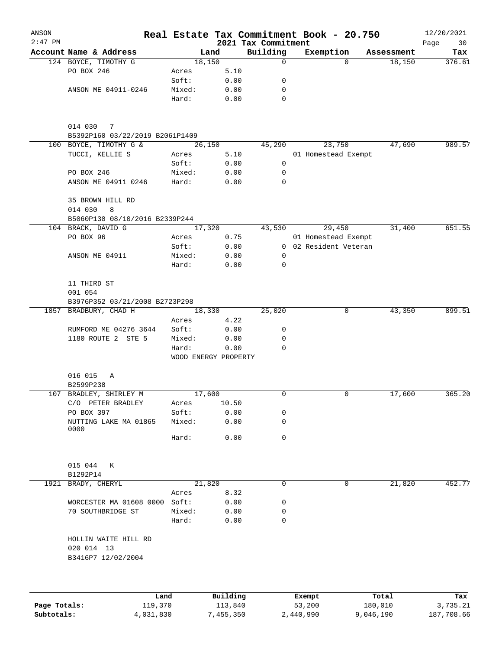| ANSON        |                                           |                |                              |             | Real Estate Tax Commitment Book - 20.750 |            | 12/20/2021        |
|--------------|-------------------------------------------|----------------|------------------------------|-------------|------------------------------------------|------------|-------------------|
| $2:47$ PM    | Account Name & Address                    |                | 2021 Tax Commitment<br>Land  | Building    | Exemption                                | Assessment | Page<br>30<br>Tax |
|              | 124 BOYCE, TIMOTHY G                      |                | 18,150                       | 0           | $\Omega$                                 | 18,150     | 376.61            |
|              | PO BOX 246                                | Acres          | 5.10                         |             |                                          |            |                   |
|              |                                           | Soft:          | 0.00                         | 0           |                                          |            |                   |
|              | ANSON ME 04911-0246                       | Mixed:         | 0.00                         | 0           |                                          |            |                   |
|              |                                           | Hard:          | 0.00                         | $\mathbf 0$ |                                          |            |                   |
|              | 014 030<br>7                              |                |                              |             |                                          |            |                   |
|              | B5392P160 03/22/2019 B2061P1409           |                |                              |             |                                          |            |                   |
|              | 100 BOYCE, TIMOTHY G &<br>TUCCI, KELLIE S |                | 26,150<br>5.10               | 45,290      | 23,750<br>01 Homestead Exempt            | 47,690     | 989.57            |
|              |                                           | Acres<br>Soft: | 0.00                         | 0           |                                          |            |                   |
|              | PO BOX 246                                | Mixed:         | 0.00                         | 0           |                                          |            |                   |
|              | ANSON ME 04911 0246                       | Hard:          | 0.00                         | $\mathbf 0$ |                                          |            |                   |
|              |                                           |                |                              |             |                                          |            |                   |
|              | 35 BROWN HILL RD<br>014 030<br>8          |                |                              |             |                                          |            |                   |
|              | B5060P130 08/10/2016 B2339P244            |                |                              |             |                                          |            |                   |
|              | 104 BRACK, DAVID G                        |                | 17,320                       | 43,530      | 29,450                                   | 31,400     | 651.55            |
|              | PO BOX 96                                 | Acres          | 0.75                         |             | 01 Homestead Exempt                      |            |                   |
|              |                                           | Soft:          | 0.00                         |             | 0 02 Resident Veteran                    |            |                   |
|              | ANSON ME 04911                            | Mixed:         | 0.00                         | 0           |                                          |            |                   |
|              |                                           | Hard:          | 0.00                         | $\mathbf 0$ |                                          |            |                   |
|              |                                           |                |                              |             |                                          |            |                   |
|              | 11 THIRD ST                               |                |                              |             |                                          |            |                   |
|              | 001 054                                   |                |                              |             |                                          |            |                   |
|              | B3976P352 03/21/2008 B2723P298            |                |                              |             |                                          |            |                   |
|              | 1857 BRADBURY, CHAD H                     |                | 18,330                       | 25,020      | 0                                        | 43,350     | 899.51            |
|              |                                           | Acres          | 4.22                         |             |                                          |            |                   |
|              | RUMFORD ME 04276 3644                     | Soft:          | 0.00                         | 0           |                                          |            |                   |
|              | 1180 ROUTE 2 STE 5                        | Mixed:         | 0.00                         | 0           |                                          |            |                   |
|              |                                           | Hard:          | 0.00<br>WOOD ENERGY PROPERTY | 0           |                                          |            |                   |
|              |                                           |                |                              |             |                                          |            |                   |
|              | 016 015<br>Α                              |                |                              |             |                                          |            |                   |
|              | B2599P238                                 |                |                              |             |                                          |            |                   |
|              | 107 BRADLEY, SHIRLEY M                    |                | 17,600                       | 0           | 0                                        | 17,600     | 365.20            |
|              | C/O PETER BRADLEY                         | Acres          | 10.50                        |             |                                          |            |                   |
|              | PO BOX 397                                | Soft:          | 0.00                         | 0           |                                          |            |                   |
|              | NUTTING LAKE MA 01865                     | Mixed:         | 0.00                         | 0           |                                          |            |                   |
|              | 0000                                      | Hard:          | 0.00                         | 0           |                                          |            |                   |
|              |                                           |                |                              |             |                                          |            |                   |
|              | 015 044<br>К                              |                |                              |             |                                          |            |                   |
|              | B1292P14                                  |                |                              |             |                                          |            |                   |
| 1921         | BRADY, CHERYL                             |                | 21,820                       | 0           | 0                                        | 21,820     | 452.77            |
|              |                                           | Acres          | 8.32                         |             |                                          |            |                   |
|              | WORCESTER MA 01608 0000                   | Soft:          | 0.00                         | 0           |                                          |            |                   |
|              | 70 SOUTHBRIDGE ST                         | Mixed:         | 0.00                         | 0           |                                          |            |                   |
|              |                                           | Hard:          | 0.00                         | 0           |                                          |            |                   |
|              | HOLLIN WAITE HILL RD                      |                |                              |             |                                          |            |                   |
|              | 020 014 13<br>B3416P7 12/02/2004          |                |                              |             |                                          |            |                   |
|              |                                           |                |                              |             |                                          |            |                   |
|              |                                           |                |                              |             |                                          |            |                   |
|              | Land                                      |                | Building                     |             | Exempt                                   | Total      | Tax               |
| Page Totals: | 119,370                                   |                | 113,840                      |             | 53,200                                   | 180,010    | 3,735.21          |

**Subtotals:** 4,031,830 7,455,350 2,440,990 9,046,190 187,708.66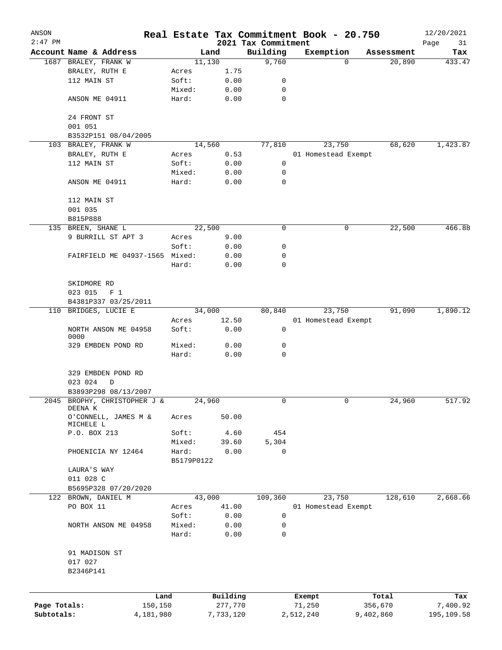| ANSON        |                                                |                 |                |                     | Real Estate Tax Commitment Book - 20.750 |             | 12/20/2021    |
|--------------|------------------------------------------------|-----------------|----------------|---------------------|------------------------------------------|-------------|---------------|
| $2:47$ PM    |                                                |                 |                | 2021 Tax Commitment |                                          | Assessment  | Page<br>31    |
|              | Account Name & Address<br>1687 BRALEY, FRANK W |                 | Land<br>11,130 | Building<br>9,760   | Exemption                                | 20,890<br>0 | Tax<br>433.47 |
|              | BRALEY, RUTH E                                 | Acres           | 1.75           |                     |                                          |             |               |
|              | 112 MAIN ST                                    | Soft:           | 0.00           | 0                   |                                          |             |               |
|              |                                                | Mixed:          | 0.00           | 0                   |                                          |             |               |
|              | ANSON ME 04911                                 | Hard:           | 0.00           | $\mathbf 0$         |                                          |             |               |
|              | 24 FRONT ST                                    |                 |                |                     |                                          |             |               |
|              | 001 051                                        |                 |                |                     |                                          |             |               |
|              | B3532P151 08/04/2005                           |                 |                |                     |                                          |             |               |
|              | 103 BRALEY, FRANK W                            |                 | 14,560         | 77,810              | 23,750                                   | 68,620      | 1,423.87      |
|              | BRALEY, RUTH E                                 | Acres           | 0.53           |                     | 01 Homestead Exempt                      |             |               |
|              | 112 MAIN ST                                    | Soft:           | 0.00           | 0                   |                                          |             |               |
|              |                                                | Mixed:          | 0.00           | 0                   |                                          |             |               |
|              | ANSON ME 04911                                 | Hard:           | 0.00           | 0                   |                                          |             |               |
|              | 112 MAIN ST                                    |                 |                |                     |                                          |             |               |
|              | 001 035                                        |                 |                |                     |                                          |             |               |
|              | B815P888                                       |                 |                |                     |                                          |             |               |
|              | 135 BREEN, SHANE L                             |                 | 22,500         | 0                   |                                          | 0<br>22,500 | 466.88        |
|              | 9 BURRILL ST APT 3                             | Acres           | 9.00           |                     |                                          |             |               |
|              |                                                | Soft:           | 0.00           | 0                   |                                          |             |               |
|              | FAIRFIELD ME 04937-1565 Mixed:                 |                 | 0.00           | 0                   |                                          |             |               |
|              |                                                | Hard:           | 0.00           | 0                   |                                          |             |               |
|              | SKIDMORE RD                                    |                 |                |                     |                                          |             |               |
|              | 023 015<br>F <sub>1</sub>                      |                 |                |                     |                                          |             |               |
|              | B4381P337 03/25/2011                           |                 |                |                     |                                          |             |               |
| 110          | BRIDGES, LUCIE E                               |                 | 34,000         | 80,840              | 23,750                                   | 91,090      | 1,890.12      |
|              | NORTH ANSON ME 04958                           | Acres<br>Soft:  | 12.50<br>0.00  | 0                   | 01 Homestead Exempt                      |             |               |
|              | 0000                                           |                 |                |                     |                                          |             |               |
|              | 329 EMBDEN POND RD                             | Mixed:<br>Hard: | 0.00<br>0.00   | 0<br>$\mathbf 0$    |                                          |             |               |
|              |                                                |                 |                |                     |                                          |             |               |
|              | 329 EMBDEN POND RD                             |                 |                |                     |                                          |             |               |
|              | 023 024<br>D                                   |                 |                |                     |                                          |             |               |
|              | B3893P298 08/13/2007                           |                 |                |                     |                                          |             |               |
| 2045         | BROPHY, CHRISTOPHER J &<br>DEENA K             |                 | 24,960         | 0                   |                                          | 0<br>24,960 | 517.92        |
|              | O'CONNELL, JAMES M &<br>MICHELE L              | Acres           | 50.00          |                     |                                          |             |               |
|              | P.O. BOX 213                                   | Soft:           | 4.60           | 454                 |                                          |             |               |
|              |                                                | Mixed:          | 39.60          | 5,304               |                                          |             |               |
|              | PHOENICIA NY 12464                             | Hard:           | 0.00           | $\mathbf 0$         |                                          |             |               |
|              |                                                | B5179P0122      |                |                     |                                          |             |               |
|              | LAURA'S WAY                                    |                 |                |                     |                                          |             |               |
|              | 011 028 C                                      |                 |                |                     |                                          |             |               |
|              | B5695P328 07/20/2020                           |                 |                |                     |                                          |             |               |
|              | 122 BROWN, DANIEL M                            |                 | 43,000         | 109,360             | 23,750                                   | 128,610     | 2,668.66      |
|              | PO BOX 11                                      | Acres           | 41.00          |                     | 01 Homestead Exempt                      |             |               |
|              |                                                | Soft:           | 0.00           | 0                   |                                          |             |               |
|              | NORTH ANSON ME 04958                           | Mixed:<br>Hard: | 0.00<br>0.00   | 0<br>0              |                                          |             |               |
|              |                                                |                 |                |                     |                                          |             |               |
|              | 91 MADISON ST                                  |                 |                |                     |                                          |             |               |
|              | 017 027<br>B2346P141                           |                 |                |                     |                                          |             |               |
|              |                                                |                 |                |                     |                                          |             |               |
|              |                                                | Land            | Building       |                     | Exempt                                   | Total       | Tax           |
| Page Totals: | 150,150                                        |                 | 277,770        |                     | 71,250                                   | 356,670     | 7,400.92      |
| Subtotals:   | 4,181,980                                      |                 | 7,733,120      |                     | 2,512,240                                | 9,402,860   | 195,109.58    |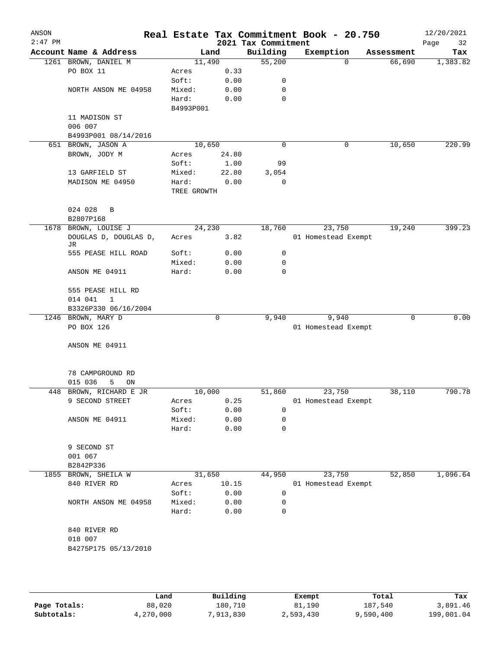| ANSON<br>$2:47$ PM |                             |                |               | 2021 Tax Commitment | Real Estate Tax Commitment Book - 20.750 |            | 12/20/2021<br>Page<br>32 |
|--------------------|-----------------------------|----------------|---------------|---------------------|------------------------------------------|------------|--------------------------|
|                    | Account Name & Address      |                | Land          | Building            | Exemption                                | Assessment | Tax                      |
|                    | 1261 BROWN, DANIEL M        | 11,490         |               | 55,200              | $\Omega$                                 | 66,690     | 1,383.82                 |
|                    | PO BOX 11                   | Acres          | 0.33          |                     |                                          |            |                          |
|                    |                             | Soft:          | 0.00          | 0                   |                                          |            |                          |
|                    | NORTH ANSON ME 04958        | Mixed:         | 0.00          | 0                   |                                          |            |                          |
|                    |                             | Hard:          | 0.00          | 0                   |                                          |            |                          |
|                    |                             | B4993P001      |               |                     |                                          |            |                          |
|                    | 11 MADISON ST               |                |               |                     |                                          |            |                          |
|                    | 006 007                     |                |               |                     |                                          |            |                          |
|                    | B4993P001 08/14/2016        | 10,650         |               |                     |                                          |            |                          |
|                    | 651 BROWN, JASON A          |                |               | 0                   | 0                                        | 10,650     | 220.99                   |
|                    | BROWN, JODY M               | Acres<br>Soft: | 24.80<br>1.00 | 99                  |                                          |            |                          |
|                    | 13 GARFIELD ST              | Mixed:         | 22.80         | 3,054               |                                          |            |                          |
|                    | MADISON ME 04950            | Hard:          | 0.00          | 0                   |                                          |            |                          |
|                    |                             | TREE GROWTH    |               |                     |                                          |            |                          |
|                    | 024 028<br>B                |                |               |                     |                                          |            |                          |
|                    | B2807P168                   |                |               |                     |                                          |            |                          |
| 1678               | BROWN, LOUISE J             | 24,230         |               | 18,760              | 23,750                                   | 19,240     | 399.23                   |
|                    | DOUGLAS D, DOUGLAS D,<br>JR | Acres          | 3.82          |                     | 01 Homestead Exempt                      |            |                          |
|                    | 555 PEASE HILL ROAD         | Soft:          | 0.00          | 0                   |                                          |            |                          |
|                    |                             | Mixed:         | 0.00          | 0                   |                                          |            |                          |
|                    | ANSON ME 04911              | Hard:          | 0.00          | 0                   |                                          |            |                          |
|                    | 555 PEASE HILL RD           |                |               |                     |                                          |            |                          |
|                    | 014 041<br>$\mathbf{1}$     |                |               |                     |                                          |            |                          |
|                    | B3326P330 06/16/2004        |                |               |                     |                                          |            |                          |
| 1246               | BROWN, MARY D               |                | $\mathbf 0$   | 9,940               | 9,940                                    | 0          | 0.00                     |
|                    | PO BOX 126                  |                |               |                     | 01 Homestead Exempt                      |            |                          |
|                    | ANSON ME 04911              |                |               |                     |                                          |            |                          |
|                    |                             |                |               |                     |                                          |            |                          |
|                    | 78 CAMPGROUND RD            |                |               |                     |                                          |            |                          |
|                    | 015 036<br>5<br>ON          |                |               |                     |                                          |            |                          |
| 448                | BROWN, RICHARD E JR         | 10,000         |               | 51,860              | 23,750                                   | 38,110     | 790.78                   |
|                    | 9 SECOND STREET             | Acres          | 0.25          |                     | 01 Homestead Exempt                      |            |                          |
|                    |                             | Soft:          | 0.00          | 0                   |                                          |            |                          |
|                    | ANSON ME 04911              | Mixed:         | 0.00          | 0                   |                                          |            |                          |
|                    |                             | Hard:          | 0.00          | 0                   |                                          |            |                          |
|                    | 9 SECOND ST                 |                |               |                     |                                          |            |                          |
|                    | 001 067                     |                |               |                     |                                          |            |                          |
|                    | B2842P336                   |                |               |                     |                                          |            |                          |
| 1855               | BROWN, SHEILA W             | 31,650         |               | 44,950              | 23,750                                   | 52,850     | 1,096.64                 |
|                    | 840 RIVER RD                | Acres          | 10.15         |                     | 01 Homestead Exempt                      |            |                          |
|                    |                             | Soft:          | 0.00          | 0                   |                                          |            |                          |
|                    | NORTH ANSON ME 04958        | Mixed:         | 0.00          | 0                   |                                          |            |                          |
|                    |                             | Hard:          | 0.00          | 0                   |                                          |            |                          |
|                    | 840 RIVER RD                |                |               |                     |                                          |            |                          |
|                    | 018 007                     |                |               |                     |                                          |            |                          |
|                    | B4275P175 05/13/2010        |                |               |                     |                                          |            |                          |
|                    |                             |                |               |                     |                                          |            |                          |
|                    |                             |                |               |                     |                                          |            |                          |

|              | Land      | Building  | Exempt    | Total     | Tax        |
|--------------|-----------|-----------|-----------|-----------|------------|
| Page Totals: | 88,020    | 180,710   | 81,190    | 187,540   | 3,891.46   |
| Subtotals:   | 4,270,000 | 7,913,830 | 2,593,430 | 9,590,400 | 199,001.04 |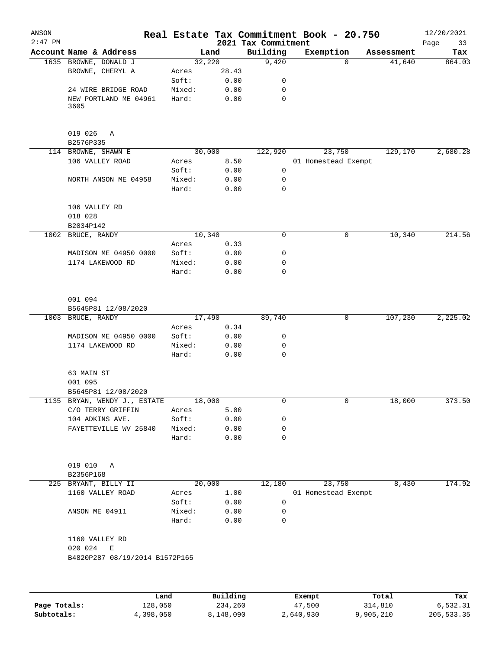| ANSON<br>$2:47$ PM |                                                     |        |          | Real Estate Tax Commitment Book - 20.750<br>2021 Tax Commitment |                     |          |            | 12/20/2021<br>33<br>Page |
|--------------------|-----------------------------------------------------|--------|----------|-----------------------------------------------------------------|---------------------|----------|------------|--------------------------|
|                    | Account Name & Address                              |        | Land     | Building                                                        | Exemption           |          | Assessment | Tax                      |
|                    | 1635 BROWNE, DONALD J                               | 32,220 |          | 9,420                                                           |                     | $\Omega$ | 41,640     | 864.03                   |
|                    | BROWNE, CHERYL A                                    | Acres  | 28.43    |                                                                 |                     |          |            |                          |
|                    |                                                     | Soft:  | 0.00     | 0                                                               |                     |          |            |                          |
|                    | 24 WIRE BRIDGE ROAD                                 | Mixed: | 0.00     | 0                                                               |                     |          |            |                          |
|                    | NEW PORTLAND ME 04961<br>3605                       | Hard:  | 0.00     | 0                                                               |                     |          |            |                          |
|                    |                                                     |        |          |                                                                 |                     |          |            |                          |
|                    | 019 026<br>A<br>B2576P335                           |        |          |                                                                 |                     |          |            |                          |
|                    | 114 BROWNE, SHAWN E                                 | 30,000 |          | 122,920                                                         | 23,750              |          | 129,170    | 2,680.28                 |
|                    | 106 VALLEY ROAD                                     | Acres  | 8.50     |                                                                 | 01 Homestead Exempt |          |            |                          |
|                    |                                                     | Soft:  | 0.00     | $\mathbf 0$                                                     |                     |          |            |                          |
|                    | NORTH ANSON ME 04958                                | Mixed: | 0.00     | 0                                                               |                     |          |            |                          |
|                    |                                                     | Hard:  | 0.00     | $\mathbf 0$                                                     |                     |          |            |                          |
|                    | 106 VALLEY RD                                       |        |          |                                                                 |                     |          |            |                          |
|                    | 018 028<br>B2034P142                                |        |          |                                                                 |                     |          |            |                          |
| 1002               | BRUCE, RANDY                                        | 10,340 |          | 0                                                               |                     | 0        | 10,340     | 214.56                   |
|                    |                                                     | Acres  | 0.33     |                                                                 |                     |          |            |                          |
|                    | MADISON ME 04950 0000                               | Soft:  | 0.00     | 0                                                               |                     |          |            |                          |
|                    | 1174 LAKEWOOD RD                                    | Mixed: | 0.00     | 0                                                               |                     |          |            |                          |
|                    |                                                     | Hard:  | 0.00     | 0                                                               |                     |          |            |                          |
|                    | 001 094<br>B5645P81 12/08/2020                      |        |          |                                                                 |                     |          |            |                          |
|                    | 1003 BRUCE, RANDY                                   | 17,490 |          | 89,740                                                          |                     | 0        | 107,230    | 2,225.02                 |
|                    |                                                     | Acres  | 0.34     |                                                                 |                     |          |            |                          |
|                    | MADISON ME 04950 0000                               | Soft:  | 0.00     | 0                                                               |                     |          |            |                          |
|                    | 1174 LAKEWOOD RD                                    | Mixed: | 0.00     | 0                                                               |                     |          |            |                          |
|                    |                                                     | Hard:  | 0.00     | $\mathbf 0$                                                     |                     |          |            |                          |
|                    | 63 MAIN ST                                          |        |          |                                                                 |                     |          |            |                          |
|                    | 001 095                                             |        |          |                                                                 |                     |          |            |                          |
|                    | B5645P81 12/08/2020<br>1135 BRYAN, WENDY J., ESTATE | 18,000 |          | 0                                                               |                     | 0        | 18,000     | 373.50                   |
|                    | C/O TERRY GRIFFIN                                   | Acres  | 5.00     |                                                                 |                     |          |            |                          |
|                    | 104 ADKINS AVE.                                     | Soft:  | 0.00     | 0                                                               |                     |          |            |                          |
|                    | FAYETTEVILLE WV 25840                               | Mixed: | 0.00     | 0                                                               |                     |          |            |                          |
|                    |                                                     | Hard:  | 0.00     | 0                                                               |                     |          |            |                          |
|                    |                                                     |        |          |                                                                 |                     |          |            |                          |
|                    | 019 010<br>Α<br>B2356P168                           |        |          |                                                                 |                     |          |            |                          |
|                    | 225 BRYANT, BILLY II                                | 20,000 |          | 12,180                                                          | 23,750              |          | 8,430      | 174.92                   |
|                    | 1160 VALLEY ROAD                                    | Acres  | 1.00     |                                                                 | 01 Homestead Exempt |          |            |                          |
|                    |                                                     | Soft:  | 0.00     | 0                                                               |                     |          |            |                          |
|                    | ANSON ME 04911                                      | Mixed: | 0.00     | 0                                                               |                     |          |            |                          |
|                    |                                                     | Hard:  | 0.00     | 0                                                               |                     |          |            |                          |
|                    | 1160 VALLEY RD<br>020 024<br>Ε                      |        |          |                                                                 |                     |          |            |                          |
|                    | B4820P287 08/19/2014 B1572P165                      |        |          |                                                                 |                     |          |            |                          |
|                    |                                                     |        |          |                                                                 |                     |          |            |                          |
|                    | Land                                                |        | Building |                                                                 | Exempt              |          | Total      | Tax                      |
| Page Totals:       | 128,050                                             |        | 234,260  |                                                                 | 47,500              |          | 314,810    | 6,532.31                 |

**Subtotals:** 4,398,050 8,148,090 2,640,930 9,905,210 205,533.35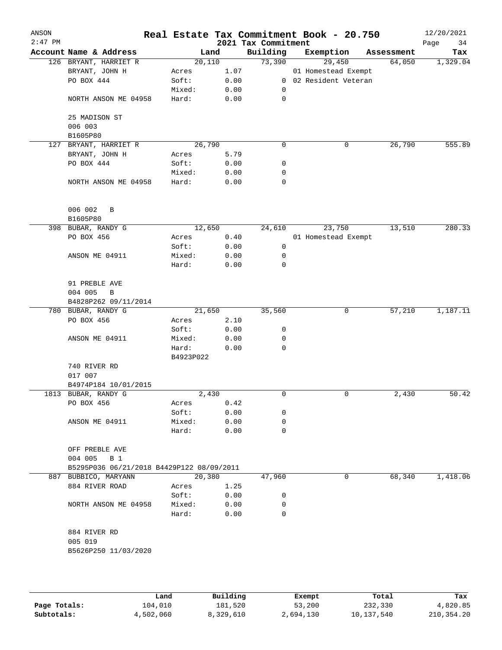| ANSON<br>$2:47$ PM |                                           | Real Estate Tax Commitment Book - 20.750 |      | 2021 Tax Commitment |                     |            | 12/20/2021<br>Page<br>34 |
|--------------------|-------------------------------------------|------------------------------------------|------|---------------------|---------------------|------------|--------------------------|
|                    | Account Name & Address                    | Land                                     |      | Building            | Exemption           | Assessment | Tax                      |
|                    | 126 BRYANT, HARRIET R                     | 20,110                                   |      | 73,390              | 29,450              | 64,050     | 1,329.04                 |
|                    | BRYANT, JOHN H                            | Acres                                    | 1.07 |                     | 01 Homestead Exempt |            |                          |
|                    | PO BOX 444                                | Soft:                                    | 0.00 | $\overline{0}$      | 02 Resident Veteran |            |                          |
|                    |                                           | Mixed:                                   | 0.00 | 0                   |                     |            |                          |
|                    | NORTH ANSON ME 04958                      | Hard:                                    | 0.00 | 0                   |                     |            |                          |
|                    | 25 MADISON ST                             |                                          |      |                     |                     |            |                          |
|                    | 006 003                                   |                                          |      |                     |                     |            |                          |
|                    | B1605P80                                  |                                          |      |                     |                     |            |                          |
|                    | 127 BRYANT, HARRIET R                     | 26,790                                   |      | 0                   | 0                   | 26,790     | 555.89                   |
|                    | BRYANT, JOHN H                            | Acres                                    | 5.79 |                     |                     |            |                          |
|                    | PO BOX 444                                | Soft:                                    | 0.00 | 0                   |                     |            |                          |
|                    |                                           | Mixed:                                   | 0.00 | 0                   |                     |            |                          |
|                    | NORTH ANSON ME 04958                      | Hard:                                    | 0.00 | 0                   |                     |            |                          |
|                    | 006 002<br>B<br>B1605P80                  |                                          |      |                     |                     |            |                          |
|                    | 398 BUBAR, RANDY G                        | 12,650                                   |      | 24,610              | 23,750              | 13,510     | 280.33                   |
|                    | PO BOX 456                                | Acres                                    | 0.40 |                     | 01 Homestead Exempt |            |                          |
|                    |                                           | Soft:                                    | 0.00 | 0                   |                     |            |                          |
|                    | ANSON ME 04911                            | Mixed:                                   | 0.00 | 0                   |                     |            |                          |
|                    |                                           | Hard:                                    | 0.00 | 0                   |                     |            |                          |
|                    | 91 PREBLE AVE                             |                                          |      |                     |                     |            |                          |
|                    | 004 005<br>B                              |                                          |      |                     |                     |            |                          |
|                    | B4828P262 09/11/2014                      |                                          |      |                     |                     |            |                          |
|                    | 780 BUBAR, RANDY G                        | 21,650                                   |      | 35,560              | 0                   | 57,210     | 1,187.11                 |
|                    | PO BOX 456                                | Acres                                    | 2.10 |                     |                     |            |                          |
|                    |                                           | Soft:                                    | 0.00 | 0                   |                     |            |                          |
|                    | ANSON ME 04911                            | Mixed:                                   | 0.00 | 0                   |                     |            |                          |
|                    |                                           | Hard:                                    | 0.00 | 0                   |                     |            |                          |
|                    |                                           | B4923P022                                |      |                     |                     |            |                          |
|                    | 740 RIVER RD                              |                                          |      |                     |                     |            |                          |
|                    | 017 007                                   |                                          |      |                     |                     |            |                          |
|                    | B4974P184 10/01/2015                      |                                          |      |                     |                     |            |                          |
|                    | 1813 BUBAR, RANDY G                       | 2,430                                    |      | 0                   | 0                   | 2,430      | 50.42                    |
|                    | PO BOX 456                                | Acres                                    | 0.42 |                     |                     |            |                          |
|                    |                                           | Soft:                                    | 0.00 | 0                   |                     |            |                          |
|                    | ANSON ME 04911                            | Mixed:                                   | 0.00 | 0                   |                     |            |                          |
|                    |                                           | Hard:                                    | 0.00 | 0                   |                     |            |                          |
|                    | OFF PREBLE AVE<br>004 005<br>B 1          |                                          |      |                     |                     |            |                          |
|                    | B5295P036 06/21/2018 B4429P122 08/09/2011 |                                          |      |                     |                     |            |                          |
|                    | 887 BUBBICO, MARYANN                      | 20,380                                   |      | 47,960              | 0                   | 68,340     | 1,418.06                 |
|                    | 884 RIVER ROAD                            | Acres                                    | 1.25 |                     |                     |            |                          |
|                    |                                           | Soft:                                    | 0.00 | 0                   |                     |            |                          |
|                    | NORTH ANSON ME 04958                      | Mixed:                                   | 0.00 | 0                   |                     |            |                          |
|                    |                                           | Hard:                                    | 0.00 | 0                   |                     |            |                          |
|                    | 884 RIVER RD                              |                                          |      |                     |                     |            |                          |
|                    | 005 019                                   |                                          |      |                     |                     |            |                          |
|                    | B5626P250 11/03/2020                      |                                          |      |                     |                     |            |                          |
|                    |                                           |                                          |      |                     |                     |            |                          |
|                    |                                           |                                          |      |                     |                     |            |                          |
|                    |                                           |                                          |      |                     |                     |            |                          |

|              | Land      | Building  | Exempt    | Total      | Tax        |
|--------------|-----------|-----------|-----------|------------|------------|
| Page Totals: | 104,010   | 181,520   | 53,200    | 232,330    | 4,820.85   |
| Subtotals:   | 4,502,060 | 8,329,610 | 2,694,130 | 10,137,540 | 210,354.20 |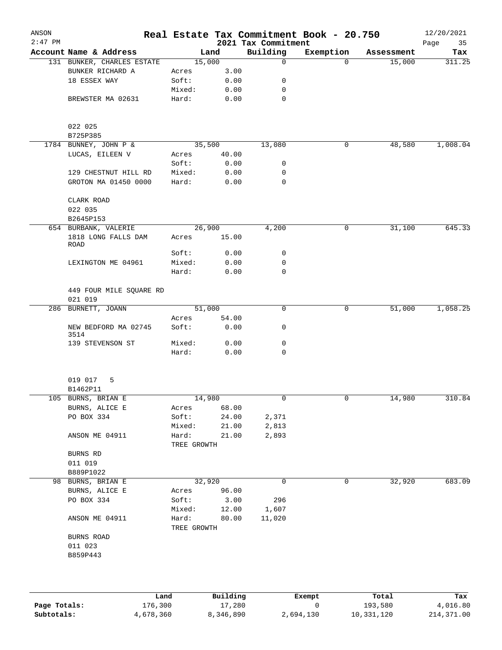| ANSON<br>$2:47$ PM |                                    |                      |        | 2021 Tax Commitment | Real Estate Tax Commitment Book - 20.750 |            | 12/20/2021<br>Page<br>35 |
|--------------------|------------------------------------|----------------------|--------|---------------------|------------------------------------------|------------|--------------------------|
|                    | Account Name & Address             |                      | Land   | Building            | Exemption                                | Assessment | Tax                      |
|                    | 131 BUNKER, CHARLES ESTATE         |                      | 15,000 | $\mathbf 0$         | $\Omega$                                 | 15,000     | 311.25                   |
|                    | BUNKER RICHARD A                   | Acres                | 3.00   |                     |                                          |            |                          |
|                    | 18 ESSEX WAY                       | Soft:                | 0.00   | 0                   |                                          |            |                          |
|                    |                                    | Mixed:               | 0.00   | 0                   |                                          |            |                          |
|                    | BREWSTER MA 02631                  | Hard:                | 0.00   | $\mathbf 0$         |                                          |            |                          |
|                    | 022 025                            |                      |        |                     |                                          |            |                          |
|                    | B725P385                           |                      |        |                     |                                          |            |                          |
|                    | 1784 BUNNEY, JOHN P &              |                      | 35,500 | 13,080              | 0                                        | 48,580     | 1,008.04                 |
|                    | LUCAS, EILEEN V                    | Acres                | 40.00  |                     |                                          |            |                          |
|                    |                                    | Soft:                | 0.00   | 0                   |                                          |            |                          |
|                    | 129 CHESTNUT HILL RD               | Mixed:               | 0.00   | 0                   |                                          |            |                          |
|                    | GROTON MA 01450 0000               | Hard:                | 0.00   | 0                   |                                          |            |                          |
|                    | CLARK ROAD                         |                      |        |                     |                                          |            |                          |
|                    | 022 035                            |                      |        |                     |                                          |            |                          |
|                    | B2645P153                          |                      |        |                     |                                          |            |                          |
|                    | 654 BURBANK, VALERIE               |                      | 26,900 | 4,200               | 0                                        | 31,100     | 645.33                   |
|                    | 1818 LONG FALLS DAM<br>ROAD        | Acres                | 15.00  |                     |                                          |            |                          |
|                    |                                    | Soft:                | 0.00   | 0                   |                                          |            |                          |
|                    | LEXINGTON ME 04961                 | Mixed:               | 0.00   | 0                   |                                          |            |                          |
|                    |                                    | Hard:                | 0.00   | 0                   |                                          |            |                          |
|                    | 449 FOUR MILE SQUARE RD<br>021 019 |                      |        |                     |                                          |            |                          |
|                    | 286 BURNETT, JOANN                 |                      | 51,000 | 0                   | 0                                        | 51,000     | 1,058.25                 |
|                    |                                    | Acres                | 54.00  |                     |                                          |            |                          |
|                    | NEW BEDFORD MA 02745<br>3514       | Soft:                | 0.00   | 0                   |                                          |            |                          |
|                    | 139 STEVENSON ST                   | Mixed:               | 0.00   | 0                   |                                          |            |                          |
|                    |                                    | Hard:                | 0.00   | $\mathbf 0$         |                                          |            |                          |
|                    | 019 017<br>5                       |                      |        |                     |                                          |            |                          |
|                    | B1462P11                           |                      |        |                     |                                          |            |                          |
|                    | 105 BURNS, BRIAN E                 |                      | 14,980 | $\overline{0}$      | 0                                        | 14,980     | 310.84                   |
|                    | BURNS, ALICE E                     | Acres                | 68.00  |                     |                                          |            |                          |
|                    | PO BOX 334                         | Soft:                | 24.00  | 2,371               |                                          |            |                          |
|                    |                                    | Mixed:               | 21.00  | 2,813               |                                          |            |                          |
|                    | ANSON ME 04911                     | Hard:                | 21.00  | 2,893               |                                          |            |                          |
|                    |                                    | TREE GROWTH          |        |                     |                                          |            |                          |
|                    | BURNS RD                           |                      |        |                     |                                          |            |                          |
|                    | 011 019                            |                      |        |                     |                                          |            |                          |
|                    | B889P1022                          |                      |        |                     |                                          |            |                          |
|                    | 98 BURNS, BRIAN E                  |                      | 32,920 | 0                   | 0                                        | 32,920     | 683.09                   |
|                    | BURNS, ALICE E                     | Acres                | 96.00  |                     |                                          |            |                          |
|                    | PO BOX 334                         | Soft:                | 3.00   | 296                 |                                          |            |                          |
|                    |                                    | Mixed:               | 12.00  | 1,607               |                                          |            |                          |
|                    | ANSON ME 04911                     | Hard:<br>TREE GROWTH | 80.00  | 11,020              |                                          |            |                          |
|                    | BURNS ROAD                         |                      |        |                     |                                          |            |                          |
|                    | 011 023                            |                      |        |                     |                                          |            |                          |
|                    | B859P443                           |                      |        |                     |                                          |            |                          |
|                    |                                    |                      |        |                     |                                          |            |                          |
|                    |                                    |                      |        |                     |                                          |            |                          |

|              | Land      | Building  | Exempt    | Total      | Tax        |
|--------------|-----------|-----------|-----------|------------|------------|
| Page Totals: | 176,300   | 17,280    |           | 193,580    | 4,016.80   |
| Subtotals:   | 4,678,360 | 8,346,890 | 2,694,130 | 10,331,120 | 214,371.00 |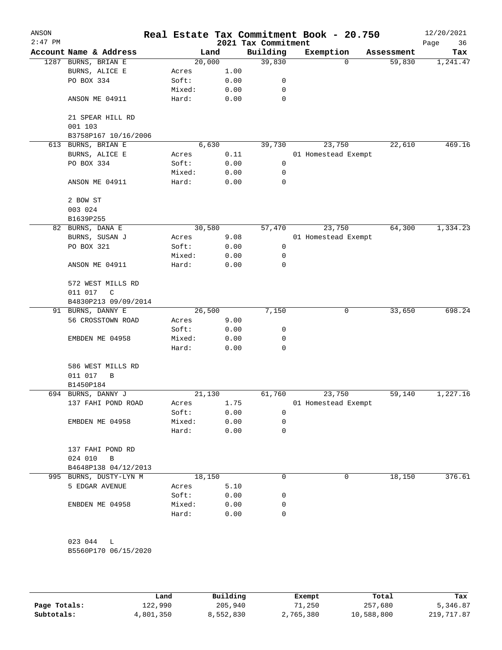| ANSON<br>$2:47$ PM |                         |        |       | Real Estate Tax Commitment Book - 20.750<br>2021 Tax Commitment |                     |        |            | 12/20/2021<br>Page<br>36 |
|--------------------|-------------------------|--------|-------|-----------------------------------------------------------------|---------------------|--------|------------|--------------------------|
|                    | Account Name & Address  |        | Land  | Building                                                        | Exemption           |        | Assessment | Tax                      |
|                    | 1287 BURNS, BRIAN E     | 20,000 |       | 39,830                                                          |                     | 0      | 59,830     | 1,241.47                 |
|                    | BURNS, ALICE E          | Acres  | 1.00  |                                                                 |                     |        |            |                          |
|                    | PO BOX 334              | Soft:  | 0.00  | 0                                                               |                     |        |            |                          |
|                    |                         | Mixed: | 0.00  | 0                                                               |                     |        |            |                          |
|                    | ANSON ME 04911          | Hard:  | 0.00  | $\mathbf 0$                                                     |                     |        |            |                          |
|                    | 21 SPEAR HILL RD        |        |       |                                                                 |                     |        |            |                          |
|                    | 001 103                 |        |       |                                                                 |                     |        |            |                          |
|                    | B3758P167 10/16/2006    |        |       |                                                                 |                     |        |            |                          |
|                    | 613 BURNS, BRIAN E      |        | 6,630 | 39,730                                                          |                     | 23,750 | 22,610     | 469.16                   |
|                    | BURNS, ALICE E          | Acres  | 0.11  |                                                                 | 01 Homestead Exempt |        |            |                          |
|                    | PO BOX 334              | Soft:  | 0.00  | 0                                                               |                     |        |            |                          |
|                    |                         | Mixed: | 0.00  | 0                                                               |                     |        |            |                          |
|                    | ANSON ME 04911          | Hard:  | 0.00  | 0                                                               |                     |        |            |                          |
|                    | 2 BOW ST                |        |       |                                                                 |                     |        |            |                          |
|                    | 003 024                 |        |       |                                                                 |                     |        |            |                          |
|                    | B1639P255               |        |       |                                                                 |                     |        |            |                          |
|                    | 82 BURNS, DANA E        | 30,580 |       | 57,470                                                          |                     | 23,750 | 64,300     | 1,334.23                 |
|                    | BURNS, SUSAN J          | Acres  | 9.08  |                                                                 | 01 Homestead Exempt |        |            |                          |
|                    | PO BOX 321              | Soft:  | 0.00  | $\mathsf{O}\xspace$                                             |                     |        |            |                          |
|                    |                         | Mixed: | 0.00  | 0                                                               |                     |        |            |                          |
|                    | ANSON ME 04911          | Hard:  | 0.00  | 0                                                               |                     |        |            |                          |
|                    | 572 WEST MILLS RD       |        |       |                                                                 |                     |        |            |                          |
|                    | 011 017<br>C            |        |       |                                                                 |                     |        |            |                          |
|                    | B4830P213 09/09/2014    |        |       |                                                                 |                     |        |            |                          |
|                    | 91 BURNS, DANNY E       | 26,500 |       | 7,150                                                           |                     | 0      | 33,650     | 698.24                   |
|                    | 56 CROSSTOWN ROAD       | Acres  | 9.00  |                                                                 |                     |        |            |                          |
|                    |                         | Soft:  | 0.00  | 0                                                               |                     |        |            |                          |
|                    | EMBDEN ME 04958         | Mixed: | 0.00  | 0                                                               |                     |        |            |                          |
|                    |                         | Hard:  | 0.00  | 0                                                               |                     |        |            |                          |
|                    | 586 WEST MILLS RD       |        |       |                                                                 |                     |        |            |                          |
|                    | 011 017<br>В            |        |       |                                                                 |                     |        |            |                          |
|                    | B1450P184               |        |       |                                                                 |                     |        |            |                          |
|                    | 694 BURNS, DANNY J      | 21,130 |       | 61,760                                                          |                     | 23,750 | 59,140     | 1,227.16                 |
|                    | 137 FAHI POND ROAD      | Acres  | 1.75  |                                                                 | 01 Homestead Exempt |        |            |                          |
|                    |                         | Soft:  | 0.00  | 0                                                               |                     |        |            |                          |
|                    | EMBDEN ME 04958         | Mixed: | 0.00  | 0                                                               |                     |        |            |                          |
|                    |                         | Hard:  | 0.00  | 0                                                               |                     |        |            |                          |
|                    | 137 FAHI POND RD        |        |       |                                                                 |                     |        |            |                          |
|                    | 024 010<br>$\mathbf{B}$ |        |       |                                                                 |                     |        |            |                          |
|                    | B4648P138 04/12/2013    |        |       |                                                                 |                     |        |            |                          |
|                    | 995 BURNS, DUSTY-LYN M  | 18,150 |       | 0                                                               |                     | 0      | 18,150     | 376.61                   |
|                    | 5 EDGAR AVENUE          | Acres  | 5.10  |                                                                 |                     |        |            |                          |
|                    |                         | Soft:  | 0.00  | 0                                                               |                     |        |            |                          |
|                    | ENBDEN ME 04958         | Mixed: | 0.00  | 0                                                               |                     |        |            |                          |
|                    |                         | Hard:  | 0.00  | 0                                                               |                     |        |            |                          |
|                    |                         |        |       |                                                                 |                     |        |            |                          |
|                    | 023 044<br>L            |        |       |                                                                 |                     |        |            |                          |
|                    | B5560P170 06/15/2020    |        |       |                                                                 |                     |        |            |                          |

|              | Land      | Building  | Exempt    | Total      | Tax         |
|--------------|-----------|-----------|-----------|------------|-------------|
| Page Totals: | 122,990   | 205,940   | 71,250    | 257,680    | 5,346.87    |
| Subtotals:   | 4,801,350 | 8,552,830 | 2,765,380 | 10,588,800 | 219, 717.87 |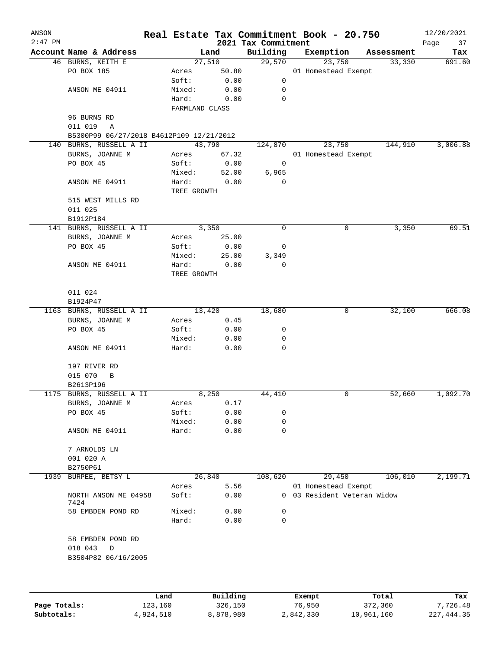| ANSON     |                                          |                |        |                                 | Real Estate Tax Commitment Book - 20.750 |             | 12/20/2021        |
|-----------|------------------------------------------|----------------|--------|---------------------------------|------------------------------------------|-------------|-------------------|
| $2:47$ PM | Account Name & Address                   |                | Land   | 2021 Tax Commitment<br>Building | Exemption                                | Assessment  | Page<br>37<br>Tax |
|           | 46 BURNS, KEITH E                        |                | 27,510 | 29,570                          | 23,750                                   | 33,330      | 691.60            |
|           | PO BOX 185                               | Acres          | 50.80  |                                 | 01 Homestead Exempt                      |             |                   |
|           |                                          | Soft:          | 0.00   | 0                               |                                          |             |                   |
|           | ANSON ME 04911                           | Mixed:         | 0.00   | 0                               |                                          |             |                   |
|           |                                          | Hard:          | 0.00   | 0                               |                                          |             |                   |
|           |                                          | FARMLAND CLASS |        |                                 |                                          |             |                   |
|           | 96 BURNS RD                              |                |        |                                 |                                          |             |                   |
|           | 011 019<br>A                             |                |        |                                 |                                          |             |                   |
|           | B5300P99 06/27/2018 B4612P109 12/21/2012 |                |        |                                 |                                          |             |                   |
|           | 140 BURNS, RUSSELL A II                  |                | 43,790 | 124,870                         | 23,750                                   | 144,910     | 3,006.88          |
|           | BURNS, JOANNE M                          | Acres          | 67.32  |                                 | 01 Homestead Exempt                      |             |                   |
|           | PO BOX 45                                | Soft:          | 0.00   | $\overline{\mathbf{0}}$         |                                          |             |                   |
|           |                                          | Mixed:         | 52.00  | 6,965                           |                                          |             |                   |
|           | ANSON ME 04911                           | Hard:          | 0.00   | 0                               |                                          |             |                   |
|           |                                          | TREE GROWTH    |        |                                 |                                          |             |                   |
|           | 515 WEST MILLS RD                        |                |        |                                 |                                          |             |                   |
|           | 011 025                                  |                |        |                                 |                                          |             |                   |
|           | B1912P184                                |                |        |                                 |                                          |             |                   |
|           | 141 BURNS, RUSSELL A II                  |                | 3,350  | 0                               |                                          | 0<br>3,350  | 69.51             |
|           | BURNS, JOANNE M                          | Acres          | 25.00  |                                 |                                          |             |                   |
|           | PO BOX 45                                | Soft:          | 0.00   | 0                               |                                          |             |                   |
|           |                                          | Mixed:         | 25.00  | 3,349                           |                                          |             |                   |
|           | ANSON ME 04911                           | Hard:          | 0.00   | 0                               |                                          |             |                   |
|           |                                          | TREE GROWTH    |        |                                 |                                          |             |                   |
|           |                                          |                |        |                                 |                                          |             |                   |
|           | 011 024                                  |                |        |                                 |                                          |             |                   |
|           | B1924P47                                 |                |        |                                 |                                          |             |                   |
|           | 1163 BURNS, RUSSELL A II                 |                | 13,420 | 18,680                          |                                          | 32,100<br>0 | 666.08            |
|           | BURNS, JOANNE M                          | Acres          | 0.45   |                                 |                                          |             |                   |
|           | PO BOX 45                                | Soft:          | 0.00   | 0                               |                                          |             |                   |
|           |                                          | Mixed:         | 0.00   | 0                               |                                          |             |                   |
|           | ANSON ME 04911                           | Hard:          | 0.00   | 0                               |                                          |             |                   |
|           |                                          |                |        |                                 |                                          |             |                   |
|           | 197 RIVER RD                             |                |        |                                 |                                          |             |                   |
|           | 015 070<br>B                             |                |        |                                 |                                          |             |                   |
|           | B2613P196<br>1175 BURNS, RUSSELL A II    |                | 8,250  | 44,410                          |                                          | 0<br>52,660 | 1,092.70          |
|           | BURNS, JOANNE M                          | Acres          | 0.17   |                                 |                                          |             |                   |
|           | PO BOX 45                                | Soft:          | 0.00   | 0                               |                                          |             |                   |
|           |                                          | Mixed:         | 0.00   | 0                               |                                          |             |                   |
|           | ANSON ME 04911                           | Hard:          | 0.00   | $\mathbf 0$                     |                                          |             |                   |
|           |                                          |                |        |                                 |                                          |             |                   |
|           | 7 ARNOLDS LN                             |                |        |                                 |                                          |             |                   |
|           | 001 020 A                                |                |        |                                 |                                          |             |                   |
|           | B2750P61                                 |                |        |                                 |                                          |             |                   |
| 1939      | BURPEE, BETSY L                          |                | 26,840 | 108,620                         | 29,450                                   | 106,010     | 2,199.71          |
|           |                                          | Acres          | 5.56   |                                 | 01 Homestead Exempt                      |             |                   |
|           | NORTH ANSON ME 04958                     | Soft:          | 0.00   |                                 | 0 03 Resident Veteran Widow              |             |                   |
|           | 7424                                     |                |        |                                 |                                          |             |                   |
|           | 58 EMBDEN POND RD                        | Mixed:         | 0.00   | 0                               |                                          |             |                   |
|           |                                          | Hard:          | 0.00   | $\mathbf 0$                     |                                          |             |                   |
|           |                                          |                |        |                                 |                                          |             |                   |
|           | 58 EMBDEN POND RD                        |                |        |                                 |                                          |             |                   |
|           | 018 043<br>D                             |                |        |                                 |                                          |             |                   |
|           | B3504P82 06/16/2005                      |                |        |                                 |                                          |             |                   |
|           |                                          |                |        |                                 |                                          |             |                   |
|           |                                          |                |        |                                 |                                          |             |                   |
|           |                                          |                | P114   |                                 |                                          |             |                   |
|           |                                          |                |        |                                 |                                          |             |                   |

|              | Land      | Building  | Exempt    | Total      | Tax        |
|--------------|-----------|-----------|-----------|------------|------------|
| Page Totals: | 123,160   | 326,150   | 76,950    | 372,360    | 7.726.48   |
| Subtotals:   | 4,924,510 | 8,878,980 | 2,842,330 | 10,961,160 | 227,444.35 |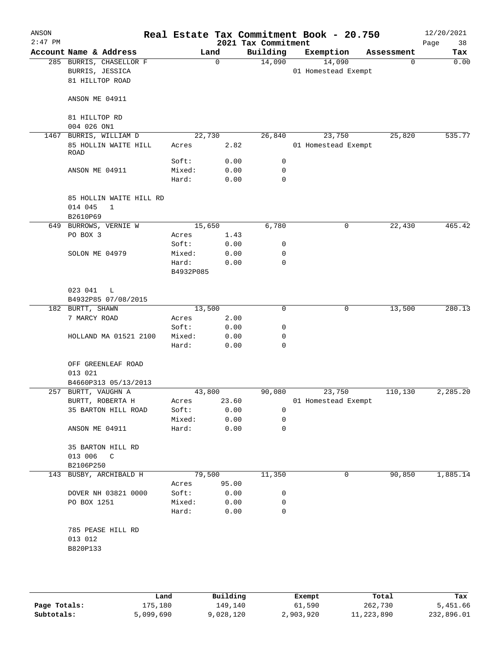| ANSON<br>$2:47$ PM |                                                               |                    |       | 2021 Tax Commitment | Real Estate Tax Commitment Book - 20.750 |            | 12/20/2021<br>38<br>Page |
|--------------------|---------------------------------------------------------------|--------------------|-------|---------------------|------------------------------------------|------------|--------------------------|
|                    | Account Name & Address                                        | Land               |       | Building            | Exemption                                | Assessment | Tax                      |
|                    | 285 BURRIS, CHASELLOR F<br>BURRIS, JESSICA<br>81 HILLTOP ROAD | $\mathbf 0$        |       | 14,090              | 14,090<br>01 Homestead Exempt            | 0          | 0.00                     |
|                    | ANSON ME 04911                                                |                    |       |                     |                                          |            |                          |
|                    | 81 HILLTOP RD<br>004 026 ON1                                  |                    |       |                     |                                          |            |                          |
| 1467               | BURRIS, WILLIAM D                                             | 22,730             |       | 26,840              | 23,750                                   | 25,820     | 535.77                   |
|                    | 85 HOLLIN WAITE HILL<br>ROAD                                  | Acres              | 2.82  |                     | 01 Homestead Exempt                      |            |                          |
|                    |                                                               | Soft:              | 0.00  | $\mathsf{O}$        |                                          |            |                          |
|                    | ANSON ME 04911                                                | Mixed:             | 0.00  | $\mathbf 0$         |                                          |            |                          |
|                    |                                                               | Hard:              | 0.00  | $\mathbf 0$         |                                          |            |                          |
|                    | 85 HOLLIN WAITE HILL RD<br>014 045<br>$\mathbf{1}$            |                    |       |                     |                                          |            |                          |
|                    | B2610P69                                                      |                    |       |                     |                                          |            |                          |
|                    | 649 BURROWS, VERNIE W                                         | 15,650             |       | 6,780               | 0                                        | 22,430     | 465.42                   |
|                    | PO BOX 3                                                      | Acres              | 1.43  |                     |                                          |            |                          |
|                    |                                                               | Soft:              | 0.00  | 0                   |                                          |            |                          |
|                    | SOLON ME 04979                                                | Mixed:             | 0.00  | 0                   |                                          |            |                          |
|                    |                                                               | Hard:<br>B4932P085 | 0.00  | $\mathbf 0$         |                                          |            |                          |
|                    | 023 041<br>$\mathbb{L}$<br>B4932P85 07/08/2015                |                    |       |                     |                                          |            |                          |
|                    | 182 BURTT, SHAWN                                              | 13,500             |       | $\mathbf 0$         | 0                                        | 13,500     | 280.13                   |
|                    | 7 MARCY ROAD                                                  | Acres              | 2.00  |                     |                                          |            |                          |
|                    |                                                               | Soft:              | 0.00  | 0                   |                                          |            |                          |
|                    | HOLLAND MA 01521 2100                                         | Mixed:             | 0.00  | 0                   |                                          |            |                          |
|                    |                                                               | Hard:              | 0.00  | 0                   |                                          |            |                          |
|                    | OFF GREENLEAF ROAD<br>013 021                                 |                    |       |                     |                                          |            |                          |
|                    | B4660P313 05/13/2013                                          |                    |       |                     |                                          |            |                          |
|                    | 257 BURTT, VAUGHN A                                           | 43,800             |       | 90,080              | 23,750                                   | 110,130    | 2,285.20                 |
|                    | BURTT, ROBERTA H                                              | Acres              | 23.60 |                     | 01 Homestead Exempt                      |            |                          |
|                    | 35 BARTON HILL ROAD                                           | Soft:              | 0.00  | 0                   |                                          |            |                          |
|                    |                                                               | Mixed:             | 0.00  | 0                   |                                          |            |                          |
|                    | ANSON ME 04911                                                | Hard:              | 0.00  | $\mathbf 0$         |                                          |            |                          |
|                    | 35 BARTON HILL RD                                             |                    |       |                     |                                          |            |                          |
|                    | 013 006<br>$\mathbb{C}$                                       |                    |       |                     |                                          |            |                          |
|                    | B2106P250                                                     |                    |       |                     |                                          |            |                          |
| 143                | BUSBY, ARCHIBALD H                                            | 79,500             |       | 11,350              | 0                                        | 90,850     | 1,885.14                 |
|                    |                                                               | Acres              | 95.00 |                     |                                          |            |                          |
|                    | DOVER NH 03821 0000                                           | Soft:              | 0.00  | 0                   |                                          |            |                          |
|                    | PO BOX 1251                                                   | Mixed:             | 0.00  | 0                   |                                          |            |                          |
|                    |                                                               | Hard:              | 0.00  | 0                   |                                          |            |                          |
|                    | 785 PEASE HILL RD<br>013 012<br>B820P133                      |                    |       |                     |                                          |            |                          |
|                    |                                                               |                    |       |                     |                                          |            |                          |

|              | Land      | Building  | Exempt    | Total      | Tax        |
|--------------|-----------|-----------|-----------|------------|------------|
| Page Totals: | 175,180   | 149,140   | 61,590    | 262,730    | 5,451.66   |
| Subtotals:   | 5,099,690 | 9,028,120 | 2,903,920 | 11,223,890 | 232,896.01 |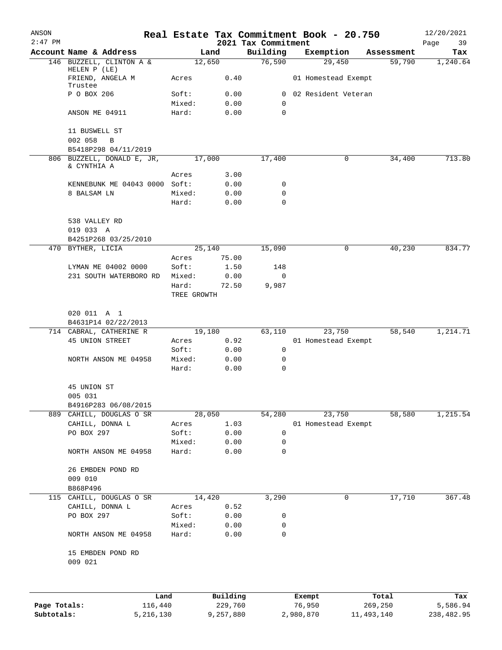| ANSON<br>$2:47$ PM |                                             |                      |              | 2021 Tax Commitment | Real Estate Tax Commitment Book - 20.750 |            | 12/20/2021<br>Page<br>39 |
|--------------------|---------------------------------------------|----------------------|--------------|---------------------|------------------------------------------|------------|--------------------------|
|                    | Account Name & Address                      |                      | Land         | Building            | Exemption                                | Assessment | Tax                      |
|                    | 146 BUZZELL, CLINTON A &                    |                      | 12,650       | 76,590              | 29,450                                   | 59,790     | 1,240.64                 |
|                    | HELEN P (LE)<br>FRIEND, ANGELA M<br>Trustee | Acres                | 0.40         |                     | 01 Homestead Exempt                      |            |                          |
|                    | P O BOX 206                                 | Soft:                | 0.00         | 0                   | 02 Resident Veteran                      |            |                          |
|                    |                                             | Mixed:               | 0.00         | 0                   |                                          |            |                          |
|                    | ANSON ME 04911                              | Hard:                | 0.00         | 0                   |                                          |            |                          |
|                    | 11 BUSWELL ST<br>002 058<br>B               |                      |              |                     |                                          |            |                          |
|                    | B5418P298 04/11/2019                        |                      |              |                     |                                          |            |                          |
| 806                | BUZZELL, DONALD E, JR,                      |                      | 17,000       | 17,400              | 0                                        | 34,400     | 713.80                   |
|                    | & CYNTHIA A                                 | Acres                | 3.00         |                     |                                          |            |                          |
|                    | KENNEBUNK ME 04043 0000 Soft:               |                      | 0.00         | 0                   |                                          |            |                          |
|                    | 8 BALSAM LN                                 | Mixed:               | 0.00         | 0                   |                                          |            |                          |
|                    |                                             | Hard:                | 0.00         | $\Omega$            |                                          |            |                          |
|                    | 538 VALLEY RD<br>019 033 A                  |                      |              |                     |                                          |            |                          |
|                    | B4251P268 03/25/2010                        |                      |              |                     |                                          |            |                          |
|                    | 470 BYTHER, LICIA                           |                      | 25,140       | 15,090              | $\mathbf 0$                              | 40,230     | 834.77                   |
|                    |                                             | Acres                | 75.00        |                     |                                          |            |                          |
|                    | LYMAN ME 04002 0000                         | Soft:                | 1.50         | 148                 |                                          |            |                          |
|                    | 231 SOUTH WATERBORO RD                      | Mixed:               | 0.00         | 0                   |                                          |            |                          |
|                    |                                             | Hard:<br>TREE GROWTH | 72.50        | 9,987               |                                          |            |                          |
|                    |                                             |                      |              |                     |                                          |            |                          |
|                    | 020 011 A 1<br>B4631P14 02/22/2013          |                      |              |                     |                                          |            |                          |
|                    | 714 CABRAL, CATHERINE R                     |                      | 19,180       | 63,110              | 23,750                                   | 58,540     | 1,214.71                 |
|                    | 45 UNION STREET                             | Acres                | 0.92         |                     | 01 Homestead Exempt                      |            |                          |
|                    | NORTH ANSON ME 04958                        | Soft:<br>Mixed:      | 0.00         | 0                   |                                          |            |                          |
|                    |                                             | Hard:                | 0.00<br>0.00 | 0<br>0              |                                          |            |                          |
|                    | 45 UNION ST                                 |                      |              |                     |                                          |            |                          |
|                    | 005 031                                     |                      |              |                     |                                          |            |                          |
|                    | B4916P283 06/08/2015                        |                      |              |                     |                                          |            |                          |
| 889                | CAHILL, DOUGLAS O SR                        |                      | 28,050       | 54,280              | 23,750                                   | 58,580     | 1,215.54                 |
|                    | CAHILL, DONNA L                             | Acres                | 1.03         |                     | 01 Homestead Exempt                      |            |                          |
|                    | PO BOX 297                                  | Soft:<br>Mixed:      | 0.00<br>0.00 | 0<br>0              |                                          |            |                          |
|                    | NORTH ANSON ME 04958                        | Hard:                | 0.00         | 0                   |                                          |            |                          |
|                    | 26 EMBDEN POND RD                           |                      |              |                     |                                          |            |                          |
|                    | 009 010                                     |                      |              |                     |                                          |            |                          |
|                    | B868P496                                    |                      |              |                     |                                          |            |                          |
|                    | 115 CAHILL, DOUGLAS O SR                    |                      | 14,420       | 3,290               | 0                                        | 17,710     | 367.48                   |
|                    | CAHILL, DONNA L                             | Acres                | 0.52         |                     |                                          |            |                          |
|                    | PO BOX 297                                  | Soft:                | 0.00         | 0                   |                                          |            |                          |
|                    |                                             | Mixed:               | 0.00         | 0                   |                                          |            |                          |
|                    | NORTH ANSON ME 04958                        | Hard:                | 0.00         | 0                   |                                          |            |                          |
|                    | 15 EMBDEN POND RD<br>009 021                |                      |              |                     |                                          |            |                          |
|                    | Land                                        |                      | Building     |                     | Exempt                                   | Total      | Tax                      |
| Page Totals:       | 116,440                                     |                      | 229,760      |                     | 76,950                                   | 269,250    | 5,586.94                 |
| Subtotals:         | 5,216,130                                   |                      | 9,257,880    |                     | 2,980,870                                | 11,493,140 | 238,482.95               |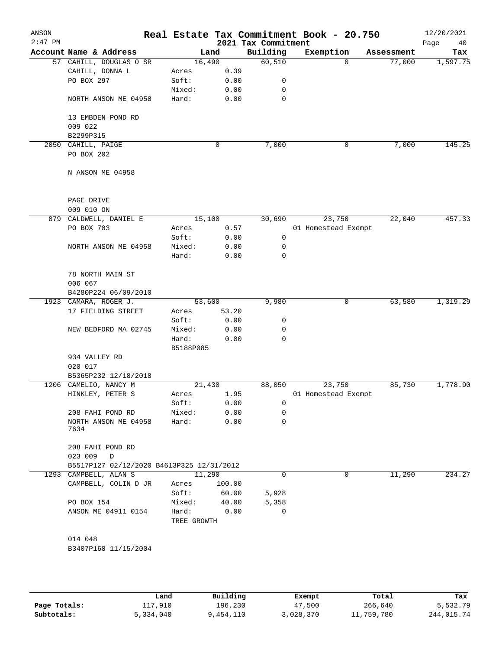| ANSON<br>$2:47$ PM |                                           |                 |              | 2021 Tax Commitment | Real Estate Tax Commitment Book - 20.750 |            | 12/20/2021<br>Page<br>40 |
|--------------------|-------------------------------------------|-----------------|--------------|---------------------|------------------------------------------|------------|--------------------------|
|                    | Account Name & Address                    |                 | Land         | Building            | Exemption                                | Assessment | Tax                      |
|                    | 57 CAHILL, DOUGLAS O SR                   | 16,490          |              | 60,510              | $\Omega$                                 | 77,000     | 1,597.75                 |
|                    | CAHILL, DONNA L                           | Acres           | 0.39         |                     |                                          |            |                          |
|                    | PO BOX 297                                | Soft:           | 0.00         | 0                   |                                          |            |                          |
|                    |                                           | Mixed:          | 0.00         | 0                   |                                          |            |                          |
|                    | NORTH ANSON ME 04958                      | Hard:           | 0.00         | 0                   |                                          |            |                          |
|                    | 13 EMBDEN POND RD                         |                 |              |                     |                                          |            |                          |
|                    | 009 022                                   |                 |              |                     |                                          |            |                          |
|                    | B2299P315                                 |                 |              |                     |                                          |            |                          |
|                    | 2050 CAHILL, PAIGE                        |                 | 0            | 7,000               | 0                                        | 7,000      | 145.25                   |
|                    | PO BOX 202                                |                 |              |                     |                                          |            |                          |
|                    | N ANSON ME 04958                          |                 |              |                     |                                          |            |                          |
|                    |                                           |                 |              |                     |                                          |            |                          |
|                    | PAGE DRIVE                                |                 |              |                     |                                          |            |                          |
|                    | 009 010 ON                                |                 |              |                     |                                          |            | 457.33                   |
|                    | 879 CALDWELL, DANIEL E<br>PO BOX 703      | 15,100          |              | 30,690              | 23,750                                   | 22,040     |                          |
|                    |                                           | Acres           | 0.57         | 0                   | 01 Homestead Exempt                      |            |                          |
|                    | NORTH ANSON ME 04958                      | Soft:<br>Mixed: | 0.00         | 0                   |                                          |            |                          |
|                    |                                           | Hard:           | 0.00<br>0.00 | $\mathbf 0$         |                                          |            |                          |
|                    |                                           |                 |              |                     |                                          |            |                          |
|                    | 78 NORTH MAIN ST                          |                 |              |                     |                                          |            |                          |
|                    | 006 067                                   |                 |              |                     |                                          |            |                          |
|                    | B4280P224 06/09/2010                      |                 |              |                     |                                          |            |                          |
|                    | 1923 CAMARA, ROGER J.                     | 53,600          |              | 9,980               | 0                                        | 63,580     | 1,319.29                 |
|                    | 17 FIELDING STREET                        | Acres           | 53.20        |                     |                                          |            |                          |
|                    |                                           | Soft:           | 0.00         | 0                   |                                          |            |                          |
|                    | NEW BEDFORD MA 02745                      | Mixed:          | 0.00         | 0                   |                                          |            |                          |
|                    |                                           | Hard:           | 0.00         | $\mathbf 0$         |                                          |            |                          |
|                    |                                           | B5188P085       |              |                     |                                          |            |                          |
|                    | 934 VALLEY RD                             |                 |              |                     |                                          |            |                          |
|                    | 020 017                                   |                 |              |                     |                                          |            |                          |
|                    | B5365P232 12/18/2018                      |                 |              |                     |                                          |            |                          |
|                    | 1206 CAMELIO, NANCY M                     | 21,430          |              | 88,050              | 23,750                                   | 85,730     | 1,778.90                 |
|                    | HINKLEY, PETER S                          | Acres           | 1.95         |                     | 01 Homestead Exempt                      |            |                          |
|                    |                                           | Soft:           | 0.00         | 0                   |                                          |            |                          |
|                    | 208 FAHI POND RD                          | Mixed:<br>Hard: | 0.00         | 0<br>0              |                                          |            |                          |
|                    | NORTH ANSON ME 04958<br>7634              |                 | 0.00         |                     |                                          |            |                          |
|                    | 208 FAHI POND RD<br>023 009<br>D          |                 |              |                     |                                          |            |                          |
|                    | B5517P127 02/12/2020 B4613P325 12/31/2012 |                 |              |                     |                                          |            |                          |
|                    | 1293 CAMPBELL, ALAN S                     | 11,290          |              | $\Omega$            | 0                                        | 11,290     | 234.27                   |
|                    | CAMPBELL, COLIN D JR                      | Acres           | 100.00       |                     |                                          |            |                          |
|                    |                                           | Soft:           | 60.00        | 5,928               |                                          |            |                          |
|                    | PO BOX 154                                | Mixed:          | 40.00        | 5,358               |                                          |            |                          |
|                    | ANSON ME 04911 0154                       | Hard:           | 0.00         | 0                   |                                          |            |                          |
|                    |                                           | TREE GROWTH     |              |                     |                                          |            |                          |
|                    |                                           |                 |              |                     |                                          |            |                          |
|                    | 014 048                                   |                 |              |                     |                                          |            |                          |
|                    | B3407P160 11/15/2004                      |                 |              |                     |                                          |            |                          |
|                    |                                           |                 |              |                     |                                          |            |                          |
|                    |                                           |                 |              |                     |                                          |            |                          |
|                    |                                           |                 |              |                     |                                          |            |                          |

|              | Land      | Building  | Exempt    | Total      | Tax        |
|--------------|-----------|-----------|-----------|------------|------------|
| Page Totals: | 117,910   | 196,230   | 47,500    | 266,640    | 5,532.79   |
| Subtotals:   | 5,334,040 | 9,454,110 | 3,028,370 | 11,759,780 | 244,015.74 |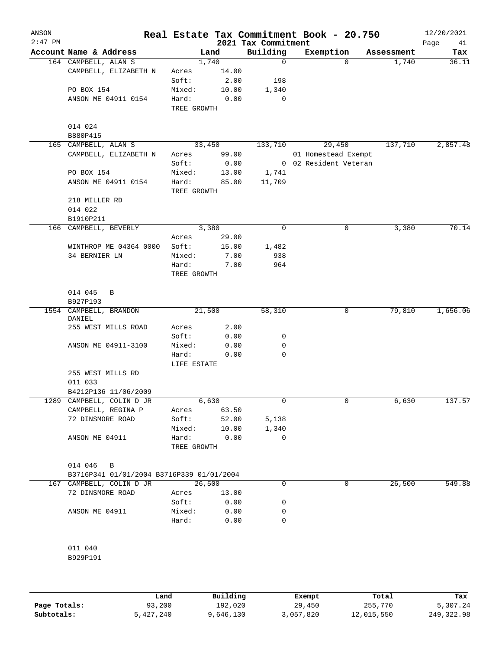| ANSON<br>$2:47$ PM |                                           |                      |              | 2021 Tax Commitment | Real Estate Tax Commitment Book - 20.750 |            | 12/20/2021<br>Page<br>41 |
|--------------------|-------------------------------------------|----------------------|--------------|---------------------|------------------------------------------|------------|--------------------------|
|                    | Account Name & Address                    |                      | Land         | Building            | Exemption                                | Assessment | Tax                      |
|                    | 164 CAMPBELL, ALAN S                      |                      | 1,740        | 0                   | 0                                        | 1,740      | 36.11                    |
|                    | CAMPBELL, ELIZABETH N                     | Acres                | 14.00        |                     |                                          |            |                          |
|                    |                                           | Soft:                | 2.00         | 198                 |                                          |            |                          |
|                    | PO BOX 154                                | Mixed:               | 10.00        | 1,340               |                                          |            |                          |
|                    | ANSON ME 04911 0154                       | Hard:                | 0.00         | 0                   |                                          |            |                          |
|                    |                                           | TREE GROWTH          |              |                     |                                          |            |                          |
|                    | 014 024<br>B880P415                       |                      |              |                     |                                          |            |                          |
|                    | 165 CAMPBELL, ALAN S                      |                      | 33,450       | 133,710             | 29,450                                   | 137,710    | 2,857.48                 |
|                    | CAMPBELL, ELIZABETH N                     | Acres                | 99.00        |                     | 01 Homestead Exempt                      |            |                          |
|                    |                                           | Soft:                | 0.00         |                     | 0 02 Resident Veteran                    |            |                          |
|                    | PO BOX 154                                | Mixed:               | 13.00        | 1,741               |                                          |            |                          |
|                    | ANSON ME 04911 0154                       | Hard:<br>TREE GROWTH | 85.00        | 11,709              |                                          |            |                          |
|                    | 218 MILLER RD                             |                      |              |                     |                                          |            |                          |
|                    | 014 022                                   |                      |              |                     |                                          |            |                          |
|                    | B1910P211                                 |                      |              |                     |                                          |            |                          |
|                    | 166 CAMPBELL, BEVERLY                     |                      | 3,380        | 0                   | 0                                        | 3,380      | 70.14                    |
|                    |                                           | Acres                | 29.00        |                     |                                          |            |                          |
|                    | WINTHROP ME 04364 0000                    | Soft:                | 15.00        | 1,482               |                                          |            |                          |
|                    | 34 BERNIER LN                             | Mixed:               | 7.00         | 938                 |                                          |            |                          |
|                    |                                           | Hard:                | 7.00         | 964                 |                                          |            |                          |
|                    |                                           | TREE GROWTH          |              |                     |                                          |            |                          |
|                    | 014 045<br>B                              |                      |              |                     |                                          |            |                          |
|                    | B927P193                                  |                      |              |                     |                                          |            |                          |
|                    | 1554 CAMPBELL, BRANDON<br>DANIEL          |                      | 21,500       | 58,310              | 0                                        | 79,810     | 1,656.06                 |
|                    | 255 WEST MILLS ROAD                       | Acres                | 2.00         |                     |                                          |            |                          |
|                    |                                           | Soft:                | 0.00         | 0                   |                                          |            |                          |
|                    | ANSON ME 04911-3100                       | Mixed:               | 0.00         | 0                   |                                          |            |                          |
|                    |                                           | Hard:                | 0.00         | 0                   |                                          |            |                          |
|                    |                                           | LIFE ESTATE          |              |                     |                                          |            |                          |
|                    | 255 WEST MILLS RD                         |                      |              |                     |                                          |            |                          |
|                    | 011 033                                   |                      |              |                     |                                          |            |                          |
|                    | B4212P136 11/06/2009                      |                      |              |                     |                                          |            |                          |
| 1289               | CAMPBELL, COLIN D JR                      |                      | 6,630        | 0                   | 0                                        | 6,630      | 137.57                   |
|                    | CAMPBELL, REGINA P                        | Acres                | 63.50        |                     |                                          |            |                          |
|                    | 72 DINSMORE ROAD                          | Soft:                | 52.00        | 5,138               |                                          |            |                          |
|                    |                                           | Mixed:               | 10.00        | 1,340               |                                          |            |                          |
|                    | ANSON ME 04911                            | Hard:                | 0.00         | 0                   |                                          |            |                          |
|                    |                                           | TREE GROWTH          |              |                     |                                          |            |                          |
|                    | 014 046<br>B                              |                      |              |                     |                                          |            |                          |
|                    | B3716P341 01/01/2004 B3716P339 01/01/2004 |                      |              |                     |                                          |            |                          |
|                    | 167 CAMPBELL, COLIN D JR                  |                      | 26,500       | 0                   | 0                                        | 26,500     | 549.88                   |
|                    | 72 DINSMORE ROAD                          | Acres                | 13.00        |                     |                                          |            |                          |
|                    |                                           |                      |              |                     |                                          |            |                          |
|                    |                                           | Soft:                | 0.00         | 0<br>0              |                                          |            |                          |
|                    | ANSON ME 04911                            | Mixed:               | 0.00<br>0.00 | 0                   |                                          |            |                          |
|                    |                                           | Hard:                |              |                     |                                          |            |                          |
|                    | 011 040                                   |                      |              |                     |                                          |            |                          |
|                    | B929P191                                  |                      |              |                     |                                          |            |                          |
|                    |                                           |                      |              |                     |                                          |            |                          |

|              | Land      | Building | Exempt    | Total      | Tax         |
|--------------|-----------|----------|-----------|------------|-------------|
| Page Totals: | 93,200    | 192.020  | 29,450    | 255,770    | 5,307.24    |
| Subtotals:   | 5,427,240 | .646.130 | 3,057,820 | 12,015,550 | 249, 322.98 |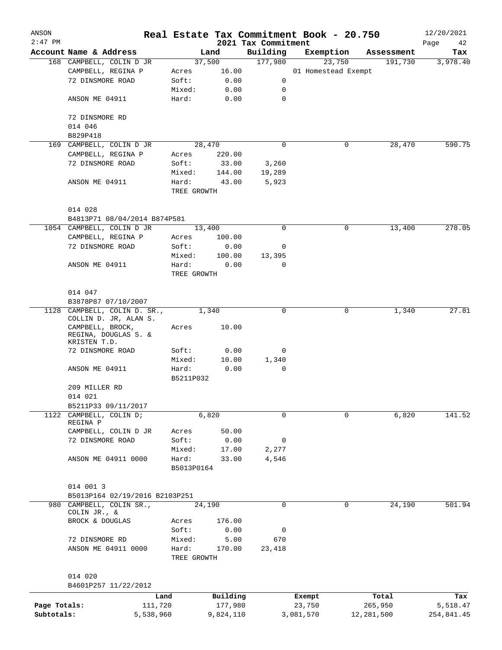| ANSON        |                                                          |                 |              |                                 | Real Estate Tax Commitment Book - 20.750 |            | 12/20/2021        |
|--------------|----------------------------------------------------------|-----------------|--------------|---------------------------------|------------------------------------------|------------|-------------------|
| $2:47$ PM    | Account Name & Address                                   |                 | Land         | 2021 Tax Commitment<br>Building | Exemption                                | Assessment | Page<br>42<br>Tax |
|              | 168 CAMPBELL, COLIN D JR                                 |                 | 37,500       | 177,980                         | 23,750                                   | 191,730    | 3,978.40          |
|              | CAMPBELL, REGINA P                                       | Acres           | 16.00        |                                 | 01 Homestead Exempt                      |            |                   |
|              | 72 DINSMORE ROAD                                         | Soft:           | 0.00         | 0                               |                                          |            |                   |
|              |                                                          | Mixed:          | 0.00         | 0                               |                                          |            |                   |
|              | ANSON ME 04911                                           | Hard:           | 0.00         | $\mathbf 0$                     |                                          |            |                   |
|              | 72 DINSMORE RD                                           |                 |              |                                 |                                          |            |                   |
|              | 014 046                                                  |                 |              |                                 |                                          |            |                   |
|              | B829P418                                                 |                 |              |                                 |                                          |            |                   |
|              | 169 CAMPBELL, COLIN D JR                                 |                 | 28,470       | 0                               | 0                                        | 28,470     | 590.75            |
|              | CAMPBELL, REGINA P                                       | Acres           | 220.00       |                                 |                                          |            |                   |
|              | 72 DINSMORE ROAD                                         | Soft:           | 33.00        | 3,260                           |                                          |            |                   |
|              |                                                          | Mixed:          | 144.00       | 19,289                          |                                          |            |                   |
|              | ANSON ME 04911                                           | Hard:           | 43.00        | 5,923                           |                                          |            |                   |
|              |                                                          | TREE GROWTH     |              |                                 |                                          |            |                   |
|              |                                                          |                 |              |                                 |                                          |            |                   |
|              | 014 028                                                  |                 |              |                                 |                                          |            |                   |
|              | B4813P71 08/04/2014 B874P581                             |                 |              |                                 |                                          |            |                   |
|              | 1054 CAMPBELL, COLIN D JR                                |                 | 13,400       | 0                               | 0                                        | 13,400     | 278.05            |
|              | CAMPBELL, REGINA P                                       | Acres           | 100.00       |                                 |                                          |            |                   |
|              | 72 DINSMORE ROAD                                         | Soft:           | 0.00         | 0                               |                                          |            |                   |
|              |                                                          | Mixed:          | 100.00       | 13,395                          |                                          |            |                   |
|              | ANSON ME 04911                                           | Hard:           | 0.00         | 0                               |                                          |            |                   |
|              |                                                          | TREE GROWTH     |              |                                 |                                          |            |                   |
|              |                                                          |                 |              |                                 |                                          |            |                   |
|              | 014 047                                                  |                 |              |                                 |                                          |            |                   |
|              | B3878P87 07/10/2007<br>1128 CAMPBELL, COLIN D. SR.,      |                 | 1,340        | $\Omega$                        | 0                                        | 1,340      | 27.81             |
|              | COLLIN D. JR, ALAN S.                                    |                 |              |                                 |                                          |            |                   |
|              | CAMPBELL, BROCK,<br>REGINA, DOUGLAS S. &<br>KRISTEN T.D. | Acres           | 10.00        |                                 |                                          |            |                   |
|              | 72 DINSMORE ROAD                                         | Soft:           | 0.00         | 0                               |                                          |            |                   |
|              |                                                          | Mixed:          | 10.00        | 1,340                           |                                          |            |                   |
|              | ANSON ME 04911                                           | Hard:           | 0.00         | 0                               |                                          |            |                   |
|              |                                                          | B5211P032       |              |                                 |                                          |            |                   |
|              | 209 MILLER RD                                            |                 |              |                                 |                                          |            |                   |
|              | 014 021                                                  |                 |              |                                 |                                          |            |                   |
|              | B5211P33 09/11/2017                                      |                 |              |                                 |                                          |            |                   |
|              | 1122 CAMPBELL, COLIN D;<br>REGINA P                      |                 | 6,820        | 0                               | 0                                        | 6,820      | 141.52            |
|              | CAMPBELL, COLIN D JR                                     | Acres           | 50.00        |                                 |                                          |            |                   |
|              | 72 DINSMORE ROAD                                         | Soft:           | 0.00         | 0                               |                                          |            |                   |
|              |                                                          | Mixed:          | 17.00        | 2,277                           |                                          |            |                   |
|              | ANSON ME 04911 0000                                      | Hard:           | 33.00        | 4,546                           |                                          |            |                   |
|              |                                                          | B5013P0164      |              |                                 |                                          |            |                   |
|              |                                                          |                 |              |                                 |                                          |            |                   |
|              | 014 001 3                                                |                 |              |                                 |                                          |            |                   |
|              | B5013P164 02/19/2016 B2103P251                           |                 |              |                                 |                                          |            |                   |
|              | 980 CAMPBELL, COLIN SR.,                                 |                 | 24,190       | 0                               | 0                                        | 24,190     | 501.94            |
|              | COLIN JR., &                                             |                 | 176.00       |                                 |                                          |            |                   |
|              | BROCK & DOUGLAS                                          | Acres           |              |                                 |                                          |            |                   |
|              | 72 DINSMORE RD                                           | Soft:<br>Mixed: | 0.00<br>5.00 | 0<br>670                        |                                          |            |                   |
|              | ANSON ME 04911 0000                                      | Hard:           |              | 23,418                          |                                          |            |                   |
|              |                                                          | TREE GROWTH     | 170.00       |                                 |                                          |            |                   |
|              |                                                          |                 |              |                                 |                                          |            |                   |
|              | 014 020                                                  |                 |              |                                 |                                          |            |                   |
|              | B4601P257 11/22/2012                                     |                 |              |                                 |                                          |            |                   |
|              | Land                                                     |                 | Building     |                                 | Exempt                                   | Total      | Tax               |
| Page Totals: | 111,720                                                  |                 | 177,980      |                                 | 23,750                                   | 265,950    | 5,518.47          |
| Subtotals:   | 5,538,960                                                |                 | 9,824,110    |                                 | 3,081,570                                | 12,281,500 | 254,841.45        |
|              |                                                          |                 |              |                                 |                                          |            |                   |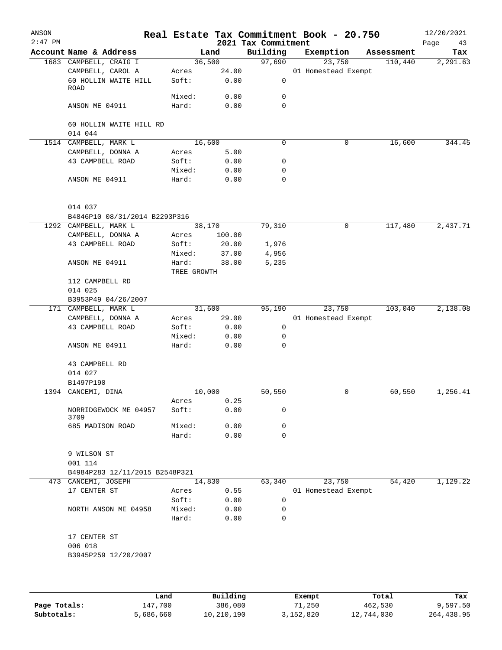| ANSON<br>$2:47$ PM |                                    |                |              | 2021 Tax Commitment | Real Estate Tax Commitment Book - 20.750 |            | 12/20/2021<br>Page<br>43 |
|--------------------|------------------------------------|----------------|--------------|---------------------|------------------------------------------|------------|--------------------------|
|                    | Account Name & Address             |                | Land         | Building            | Exemption                                | Assessment | Tax                      |
|                    | 1683 CAMPBELL, CRAIG I             |                | 36,500       | 97,690              | 23,750                                   | 110,440    | 2,291.63                 |
|                    | CAMPBELL, CAROL A                  | Acres          | 24.00        |                     | 01 Homestead Exempt                      |            |                          |
|                    | 60 HOLLIN WAITE HILL               | Soft:          | 0.00         | 0                   |                                          |            |                          |
|                    | ROAD                               |                |              |                     |                                          |            |                          |
|                    |                                    | Mixed:         | 0.00         | 0                   |                                          |            |                          |
|                    | ANSON ME 04911                     | Hard:          | 0.00         | 0                   |                                          |            |                          |
|                    | 60 HOLLIN WAITE HILL RD<br>014 044 |                |              |                     |                                          |            |                          |
|                    | 1514 CAMPBELL, MARK L              |                | 16,600       | 0                   | $\mathbf 0$                              | 16,600     | 344.45                   |
|                    | CAMPBELL, DONNA A                  | Acres          | 5.00         |                     |                                          |            |                          |
|                    | 43 CAMPBELL ROAD                   | Soft:          | 0.00         | 0                   |                                          |            |                          |
|                    |                                    | Mixed:         | 0.00         | 0                   |                                          |            |                          |
|                    | ANSON ME 04911                     | Hard:          | 0.00         | 0                   |                                          |            |                          |
|                    | 014 037                            |                |              |                     |                                          |            |                          |
|                    | B4846P10 08/31/2014 B2293P316      |                |              |                     |                                          |            |                          |
|                    | 1292 CAMPBELL, MARK L              |                | 38,170       | 79,310              | 0                                        | 117,480    | 2,437.71                 |
|                    | CAMPBELL, DONNA A                  | Acres          | 100.00       |                     |                                          |            |                          |
|                    | 43 CAMPBELL ROAD                   | Soft:          | 20.00        | 1,976               |                                          |            |                          |
|                    |                                    | Mixed:         | 37.00        | 4,956               |                                          |            |                          |
|                    | ANSON ME 04911                     | Hard:          | 38.00        | 5,235               |                                          |            |                          |
|                    |                                    | TREE GROWTH    |              |                     |                                          |            |                          |
|                    | 112 CAMPBELL RD                    |                |              |                     |                                          |            |                          |
|                    | 014 025                            |                |              |                     |                                          |            |                          |
|                    | B3953P49 04/26/2007                |                |              |                     |                                          |            |                          |
|                    | 171 CAMPBELL, MARK L               |                | 31,600       | 95,190              | 23,750                                   | 103,040    | 2,138.08                 |
|                    | CAMPBELL, DONNA A                  | Acres          | 29.00        |                     | 01 Homestead Exempt                      |            |                          |
|                    | 43 CAMPBELL ROAD                   | Soft:          | 0.00         | $\mathsf{O}$        |                                          |            |                          |
|                    |                                    | Mixed:         | 0.00         | 0                   |                                          |            |                          |
|                    | ANSON ME 04911                     | Hard:          | 0.00         | 0                   |                                          |            |                          |
|                    | 43 CAMPBELL RD                     |                |              |                     |                                          |            |                          |
|                    | 014 027                            |                |              |                     |                                          |            |                          |
|                    | B1497P190                          |                | 10,000       | 50,550              | 0                                        | 60,550     | 1,256.41                 |
|                    | 1394 CANCEMI, DINA                 |                |              |                     |                                          |            |                          |
|                    |                                    | Acres<br>Soft: | 0.25<br>0.00 | 0                   |                                          |            |                          |
|                    | NORRIDGEWOCK ME 04957<br>3709      |                |              |                     |                                          |            |                          |
|                    | 685 MADISON ROAD                   | Mixed:         | 0.00         | 0                   |                                          |            |                          |
|                    |                                    | Hard:          | 0.00         | $\Omega$            |                                          |            |                          |
|                    | 9 WILSON ST                        |                |              |                     |                                          |            |                          |
|                    | 001 114                            |                |              |                     |                                          |            |                          |
|                    | B4984P283 12/11/2015 B2548P321     |                |              |                     |                                          |            |                          |
|                    | 473 CANCEMI, JOSEPH                |                | 14,830       | 63,340              | 23,750                                   | 54,420     | 1,129.22                 |
|                    | 17 CENTER ST                       | Acres<br>Soft: | 0.55         | 0                   | 01 Homestead Exempt                      |            |                          |
|                    | NORTH ANSON ME 04958               | Mixed:         | 0.00<br>0.00 | 0                   |                                          |            |                          |
|                    |                                    | Hard:          | 0.00         | 0                   |                                          |            |                          |
|                    | 17 CENTER ST                       |                |              |                     |                                          |            |                          |
|                    | 006 018                            |                |              |                     |                                          |            |                          |
|                    | B3945P259 12/20/2007               |                |              |                     |                                          |            |                          |
|                    |                                    |                |              |                     |                                          |            |                          |
|                    |                                    |                |              |                     |                                          |            |                          |
|                    |                                    |                |              |                     |                                          |            |                          |

|              | Land      | Building   | Exempt    | Total      | Tax        |
|--------------|-----------|------------|-----------|------------|------------|
| Page Totals: | 147,700   | 386,080    | 71,250    | 462,530    | 9,597.50   |
| Subtotals:   | 5,686,660 | 10,210,190 | 3,152,820 | 12,744,030 | 264,438.95 |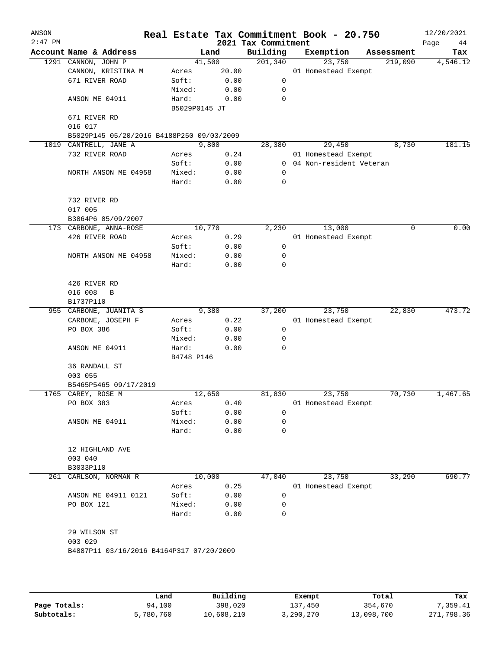| ANSON<br>$2:47$ PM |                                           |                 |              | 2021 Tax Commitment | Real Estate Tax Commitment Book - 20.750 |            | 12/20/2021<br>Page<br>44 |
|--------------------|-------------------------------------------|-----------------|--------------|---------------------|------------------------------------------|------------|--------------------------|
|                    | Account Name & Address                    |                 | Land         | Building            | Exemption                                | Assessment | Tax                      |
|                    | 1291 CANNON, JOHN P                       |                 | 41,500       | 201,340             | 23,750                                   | 219,090    | 4,546.12                 |
|                    | CANNON, KRISTINA M                        | Acres           | 20.00        |                     | 01 Homestead Exempt                      |            |                          |
|                    | 671 RIVER ROAD                            | Soft:           | 0.00         | 0                   |                                          |            |                          |
|                    |                                           | Mixed:          | 0.00         | 0                   |                                          |            |                          |
|                    | ANSON ME 04911                            | Hard:           | 0.00         | 0                   |                                          |            |                          |
|                    |                                           | B5029P0145 JT   |              |                     |                                          |            |                          |
|                    | 671 RIVER RD                              |                 |              |                     |                                          |            |                          |
|                    | 016 017                                   |                 |              |                     |                                          |            |                          |
|                    | B5029P145 05/20/2016 B4188P250 09/03/2009 |                 |              |                     |                                          |            |                          |
| 1019               | CANTRELL, JANE A                          |                 | 9,800        | 28,380              | 29,450                                   | 8,730      | 181.15                   |
|                    | 732 RIVER ROAD                            | Acres           | 0.24         |                     | 01 Homestead Exempt                      |            |                          |
|                    |                                           | Soft:           | 0.00         |                     | 0 04 Non-resident Veteran                |            |                          |
|                    | NORTH ANSON ME 04958                      | Mixed:          | 0.00         | $\mathbf 0$         |                                          |            |                          |
|                    |                                           | Hard:           | 0.00         | 0                   |                                          |            |                          |
|                    |                                           |                 |              |                     |                                          |            |                          |
|                    | 732 RIVER RD                              |                 |              |                     |                                          |            |                          |
|                    | 017 005                                   |                 |              |                     |                                          |            |                          |
|                    | B3864P6 05/09/2007                        |                 |              |                     |                                          |            |                          |
|                    | 173 CARBONE, ANNA-ROSE                    |                 | 10,770       | 2,230               | 13,000                                   | 0          | 0.00                     |
|                    | 426 RIVER ROAD                            | Acres           | 0.29         |                     | 01 Homestead Exempt                      |            |                          |
|                    |                                           | Soft:           | 0.00         | 0                   |                                          |            |                          |
|                    | NORTH ANSON ME 04958                      | Mixed:          | 0.00         | 0                   |                                          |            |                          |
|                    |                                           | Hard:           | 0.00         | 0                   |                                          |            |                          |
|                    |                                           |                 |              |                     |                                          |            |                          |
|                    | 426 RIVER RD                              |                 |              |                     |                                          |            |                          |
|                    | 016 008<br>B                              |                 |              |                     |                                          |            |                          |
|                    | B1737P110                                 |                 |              |                     |                                          |            |                          |
|                    | 955 CARBONE, JUANITA S                    |                 | 9,380        | 37,200              | 23,750                                   | 22,830     | 473.72                   |
|                    | CARBONE, JOSEPH F                         | Acres           | 0.22         |                     | 01 Homestead Exempt                      |            |                          |
|                    | PO BOX 386                                | Soft:           | 0.00         | $\mathbf 0$         |                                          |            |                          |
|                    |                                           | Mixed:          | 0.00         | 0                   |                                          |            |                          |
|                    | ANSON ME 04911                            | Hard:           | 0.00         | 0                   |                                          |            |                          |
|                    |                                           | B4748 P146      |              |                     |                                          |            |                          |
|                    | 36 RANDALL ST                             |                 |              |                     |                                          |            |                          |
|                    | 003 055                                   |                 |              |                     |                                          |            |                          |
|                    | B5465P5465 09/17/2019                     |                 | 12,650       |                     |                                          |            | 1,467.65                 |
|                    | 1765 CAREY, ROSE M                        |                 | 0.40         | 81,830              | 23,750<br>01 Homestead Exempt            | 70,730     |                          |
|                    | PO BOX 383                                | Acres           | 0.00         | 0                   |                                          |            |                          |
|                    |                                           | Soft:           |              | 0                   |                                          |            |                          |
|                    | ANSON ME 04911                            | Mixed:<br>Hard: | 0.00<br>0.00 | 0                   |                                          |            |                          |
|                    |                                           |                 |              |                     |                                          |            |                          |
|                    | 12 HIGHLAND AVE                           |                 |              |                     |                                          |            |                          |
|                    | 003 040                                   |                 |              |                     |                                          |            |                          |
|                    | B3033P110                                 |                 |              |                     |                                          |            |                          |
| 261                | CARLSON, NORMAN R                         |                 | 10,000       | 47,040              | 23,750                                   | 33,290     | 690.77                   |
|                    |                                           | Acres           | 0.25         |                     | 01 Homestead Exempt                      |            |                          |
|                    | ANSON ME 04911 0121                       | Soft:           | 0.00         | 0                   |                                          |            |                          |
|                    | PO BOX 121                                | Mixed:          | 0.00         | 0                   |                                          |            |                          |
|                    |                                           | Hard:           | 0.00         | 0                   |                                          |            |                          |
|                    |                                           |                 |              |                     |                                          |            |                          |
|                    | 29 WILSON ST                              |                 |              |                     |                                          |            |                          |
|                    | 003 029                                   |                 |              |                     |                                          |            |                          |
|                    | B4887P11 03/16/2016 B4164P317 07/20/2009  |                 |              |                     |                                          |            |                          |
|                    |                                           |                 |              |                     |                                          |            |                          |
|                    |                                           |                 |              |                     |                                          |            |                          |
|                    |                                           |                 |              |                     |                                          |            |                          |

|              | Land      | Building   | Exempt    | Total      | Tax        |
|--------------|-----------|------------|-----------|------------|------------|
| Page Totals: | 94,100    | 398,020    | 137,450   | 354,670    | 7,359.41   |
| Subtotals:   | 5,780,760 | 10,608,210 | 3,290,270 | 13,098,700 | 271,798.36 |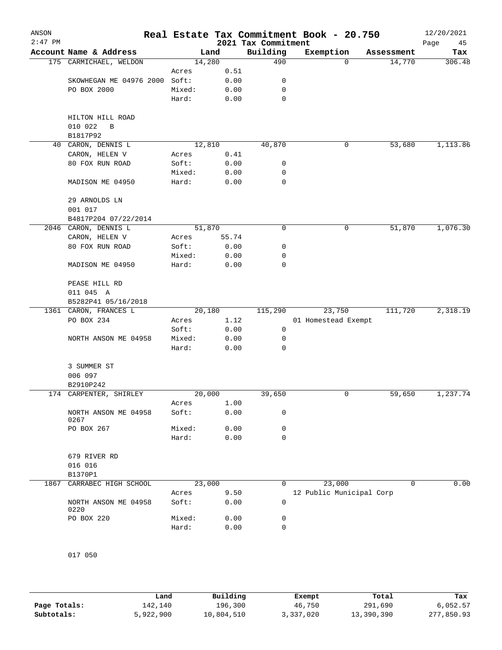| ANSON<br>$2:47$ PM |                              |        |        | 2021 Tax Commitment | Real Estate Tax Commitment Book - 20.750 |            | 12/20/2021<br>Page<br>45 |
|--------------------|------------------------------|--------|--------|---------------------|------------------------------------------|------------|--------------------------|
|                    | Account Name & Address       |        | Land   | Building            | Exemption                                | Assessment | Tax                      |
|                    | 175 CARMICHAEL, WELDON       |        | 14,280 | 490                 | $\Omega$                                 | 14,770     | 306.48                   |
|                    |                              | Acres  | 0.51   |                     |                                          |            |                          |
|                    | SKOWHEGAN ME 04976 2000      | Soft:  | 0.00   | 0                   |                                          |            |                          |
|                    | PO BOX 2000                  | Mixed: | 0.00   | 0                   |                                          |            |                          |
|                    |                              | Hard:  | 0.00   | 0                   |                                          |            |                          |
|                    | HILTON HILL ROAD             |        |        |                     |                                          |            |                          |
|                    | 010 022<br>В                 |        |        |                     |                                          |            |                          |
|                    | B1817P92                     |        |        |                     |                                          |            |                          |
| 40                 | CARON, DENNIS L              |        | 12,810 | 40,870              | 0                                        | 53,680     | 1,113.86                 |
|                    | CARON, HELEN V               | Acres  | 0.41   |                     |                                          |            |                          |
|                    | 80 FOX RUN ROAD              | Soft:  | 0.00   | 0                   |                                          |            |                          |
|                    |                              | Mixed: | 0.00   | 0                   |                                          |            |                          |
|                    | MADISON ME 04950             | Hard:  | 0.00   | 0                   |                                          |            |                          |
|                    | 29 ARNOLDS LN                |        |        |                     |                                          |            |                          |
|                    | 001 017                      |        |        |                     |                                          |            |                          |
|                    | B4817P204 07/22/2014         |        |        |                     |                                          |            |                          |
|                    | 2046 CARON, DENNIS L         |        | 51,870 | 0                   | 0                                        | 51,870     | 1,076.30                 |
|                    | CARON, HELEN V               | Acres  | 55.74  |                     |                                          |            |                          |
|                    | 80 FOX RUN ROAD              | Soft:  | 0.00   | 0                   |                                          |            |                          |
|                    |                              | Mixed: | 0.00   | 0                   |                                          |            |                          |
|                    | MADISON ME 04950             | Hard:  | 0.00   | 0                   |                                          |            |                          |
|                    |                              |        |        |                     |                                          |            |                          |
|                    | PEASE HILL RD                |        |        |                     |                                          |            |                          |
|                    | 011 045 A                    |        |        |                     |                                          |            |                          |
|                    | B5282P41 05/16/2018          |        |        |                     |                                          |            |                          |
|                    | 1361 CARON, FRANCES L        |        | 20,180 | 115,290             | 23,750                                   | 111,720    | 2,318.19                 |
|                    | PO BOX 234                   | Acres  | 1.12   |                     | 01 Homestead Exempt                      |            |                          |
|                    |                              | Soft:  | 0.00   | 0                   |                                          |            |                          |
|                    | NORTH ANSON ME 04958         | Mixed: | 0.00   | 0                   |                                          |            |                          |
|                    |                              | Hard:  | 0.00   | 0                   |                                          |            |                          |
|                    | 3 SUMMER ST                  |        |        |                     |                                          |            |                          |
|                    | 006 097                      |        |        |                     |                                          |            |                          |
|                    | B2910P242                    |        |        |                     |                                          |            |                          |
|                    | 174 CARPENTER, SHIRLEY       |        | 20,000 | 39,650              | 0                                        | 59,650     | 1,237.74                 |
|                    |                              | Acres  | 1.00   |                     |                                          |            |                          |
|                    | NORTH ANSON ME 04958<br>0267 | Soft:  | 0.00   | 0                   |                                          |            |                          |
|                    | PO BOX 267                   | Mixed: | 0.00   | 0                   |                                          |            |                          |
|                    |                              | Hard:  | 0.00   | 0                   |                                          |            |                          |
|                    | 679 RIVER RD                 |        |        |                     |                                          |            |                          |
|                    | 016 016                      |        |        |                     |                                          |            |                          |
|                    | B1370P1                      |        |        |                     |                                          |            |                          |
| 1867               | CARRABEC HIGH SCHOOL         |        | 23,000 | 0                   | 23,000                                   | 0          | 0.00                     |
|                    |                              | Acres  | 9.50   |                     | 12 Public Municipal Corp                 |            |                          |
|                    | NORTH ANSON ME 04958<br>0220 | Soft:  | 0.00   | 0                   |                                          |            |                          |
|                    | PO BOX 220                   | Mixed: | 0.00   | 0                   |                                          |            |                          |
|                    |                              | Hard:  | 0.00   | 0                   |                                          |            |                          |
|                    |                              |        |        |                     |                                          |            |                          |
|                    |                              |        |        |                     |                                          |            |                          |
|                    | 017 050                      |        |        |                     |                                          |            |                          |

|              | Land      | Building   | Exempt    | Total      | Tax        |
|--------------|-----------|------------|-----------|------------|------------|
| Page Totals: | 142,140   | 196,300    | 46,750    | 291,690    | 6,052.57   |
| Subtotals:   | 5,922,900 | 10,804,510 | 3,337,020 | 13,390,390 | 277,850.93 |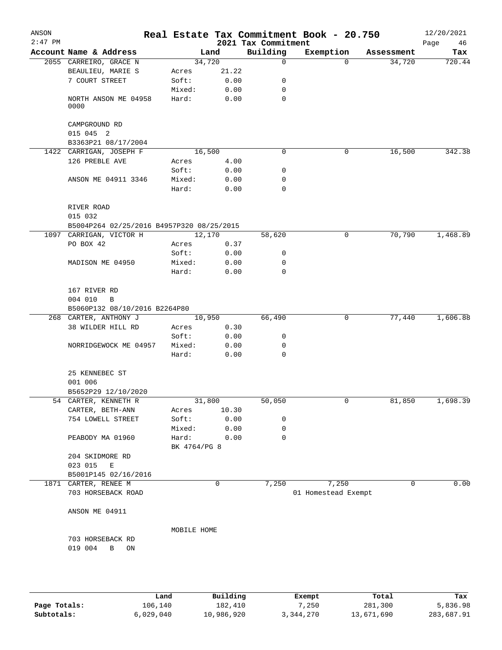| ANSON<br>$2:47$ PM |                                                      |              |        | 2021 Tax Commitment | Real Estate Tax Commitment Book - 20.750 |            | 12/20/2021<br>Page<br>46 |
|--------------------|------------------------------------------------------|--------------|--------|---------------------|------------------------------------------|------------|--------------------------|
|                    | Account Name & Address                               |              | Land   | Building            | Exemption                                | Assessment | Tax                      |
|                    | 2055 CARREIRO, GRACE N                               |              | 34,720 | 0                   | $\Omega$                                 | 34,720     | 720.44                   |
|                    | BEAULIEU, MARIE S                                    | Acres        | 21.22  |                     |                                          |            |                          |
|                    | 7 COURT STREET                                       | Soft:        | 0.00   | 0                   |                                          |            |                          |
|                    |                                                      | Mixed:       | 0.00   | 0                   |                                          |            |                          |
|                    | NORTH ANSON ME 04958<br>0000                         | Hard:        | 0.00   | 0                   |                                          |            |                          |
|                    | CAMPGROUND RD<br>015 045 2                           |              |        |                     |                                          |            |                          |
|                    | B3363P21 08/17/2004                                  |              |        |                     |                                          |            |                          |
|                    | 1422 CARRIGAN, JOSEPH F                              |              | 16,500 | 0                   | 0                                        | 16,500     | 342.38                   |
|                    | 126 PREBLE AVE                                       | Acres        | 4.00   |                     |                                          |            |                          |
|                    |                                                      | Soft:        | 0.00   | 0                   |                                          |            |                          |
|                    | ANSON ME 04911 3346                                  | Mixed:       | 0.00   | 0                   |                                          |            |                          |
|                    |                                                      | Hard:        | 0.00   | 0                   |                                          |            |                          |
|                    | RIVER ROAD                                           |              |        |                     |                                          |            |                          |
|                    | 015 032<br>B5004P264 02/25/2016 B4957P320 08/25/2015 |              |        |                     |                                          |            |                          |
|                    | 1097 CARRIGAN, VICTOR H                              |              | 12,170 | 58,620              | $\mathsf{O}$                             | 70,790     | 1,468.89                 |
|                    | PO BOX 42                                            |              |        |                     |                                          |            |                          |
|                    |                                                      | Acres        | 0.37   | 0                   |                                          |            |                          |
|                    |                                                      | Soft:        | 0.00   |                     |                                          |            |                          |
|                    | MADISON ME 04950                                     | Mixed:       | 0.00   | 0                   |                                          |            |                          |
|                    |                                                      | Hard:        | 0.00   | 0                   |                                          |            |                          |
|                    | 167 RIVER RD                                         |              |        |                     |                                          |            |                          |
|                    | 004 010<br>B                                         |              |        |                     |                                          |            |                          |
|                    | B5060P132 08/10/2016 B2264P80                        |              |        |                     |                                          |            |                          |
|                    | 268 CARTER, ANTHONY J                                |              | 10,950 | 66,490              | 0                                        | 77,440     | 1,606.88                 |
|                    | 38 WILDER HILL RD                                    | Acres        | 0.30   |                     |                                          |            |                          |
|                    |                                                      | Soft:        | 0.00   | 0                   |                                          |            |                          |
|                    | NORRIDGEWOCK ME 04957                                | Mixed:       | 0.00   | 0                   |                                          |            |                          |
|                    |                                                      | Hard:        | 0.00   | 0                   |                                          |            |                          |
|                    | 25 KENNEBEC ST                                       |              |        |                     |                                          |            |                          |
|                    | 001 006                                              |              |        |                     |                                          |            |                          |
|                    | B5652P29 12/10/2020                                  |              |        |                     |                                          |            |                          |
| 54                 | CARTER, KENNETH R                                    |              | 31,800 | 50,050              | 0                                        | 81,850     | 1,698.39                 |
|                    | CARTER, BETH-ANN                                     | Acres        | 10.30  |                     |                                          |            |                          |
|                    | 754 LOWELL STREET                                    | Soft:        | 0.00   | 0                   |                                          |            |                          |
|                    |                                                      | Mixed:       | 0.00   | 0                   |                                          |            |                          |
|                    | PEABODY MA 01960                                     | Hard:        | 0.00   | 0                   |                                          |            |                          |
|                    |                                                      | BK 4764/PG 8 |        |                     |                                          |            |                          |
|                    | 204 SKIDMORE RD                                      |              |        |                     |                                          |            |                          |
|                    | 023 015<br>E                                         |              |        |                     |                                          |            |                          |
|                    | B5001P145 02/16/2016                                 |              |        |                     |                                          |            |                          |
|                    | 1871 CARTER, RENEE M                                 |              | 0      | 7,250               | 7,250                                    | 0          | 0.00                     |
|                    | 703 HORSEBACK ROAD                                   |              |        |                     | 01 Homestead Exempt                      |            |                          |
|                    | ANSON ME 04911                                       |              |        |                     |                                          |            |                          |
|                    |                                                      | MOBILE HOME  |        |                     |                                          |            |                          |
|                    | 703 HORSEBACK RD                                     |              |        |                     |                                          |            |                          |
|                    |                                                      |              |        |                     |                                          |            |                          |
|                    | 019 004<br>B<br>ON                                   |              |        |                     |                                          |            |                          |
|                    |                                                      |              |        |                     |                                          |            |                          |
|                    |                                                      |              |        |                     |                                          |            |                          |

|              | Land      | Building   | Exempt    | Total      | Tax        |
|--------------|-----------|------------|-----------|------------|------------|
| Page Totals: | 106,140   | 182,410    | 7,250     | 281,300    | 5,836.98   |
| Subtotals:   | 6,029,040 | 10,986,920 | 3,344,270 | 13,671,690 | 283,687.91 |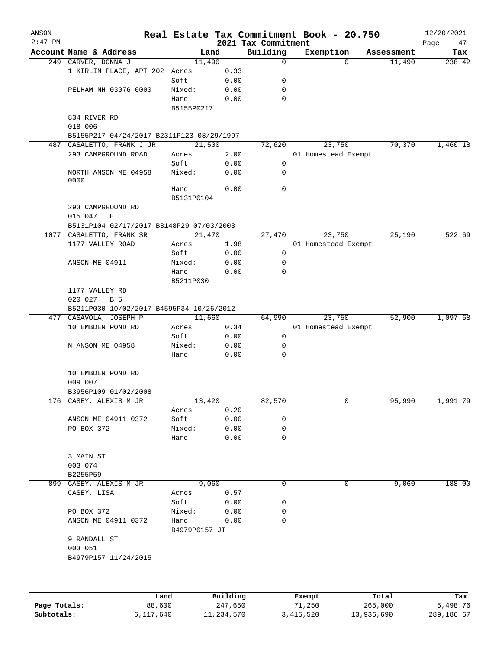| ANSON<br>$2:47$ PM |                                           |               |          | 2021 Tax Commitment | Real Estate Tax Commitment Book - 20.750 |            | 12/20/2021<br>Page<br>47 |  |  |  |
|--------------------|-------------------------------------------|---------------|----------|---------------------|------------------------------------------|------------|--------------------------|--|--|--|
|                    | Account Name & Address                    | Land          |          | Building            | Exemption                                | Assessment | Tax                      |  |  |  |
|                    | 249 CARVER, DONNA J                       | 11,490        |          | $\mathbf 0$         | $\Omega$                                 | 11,490     | 238.42                   |  |  |  |
|                    | 1 KIRLIN PLACE, APT 202 Acres             |               | 0.33     |                     |                                          |            |                          |  |  |  |
|                    |                                           | Soft:         | 0.00     | 0                   |                                          |            |                          |  |  |  |
|                    | PELHAM NH 03076 0000                      | Mixed:        | 0.00     | 0                   |                                          |            |                          |  |  |  |
|                    |                                           | Hard:         | 0.00     | $\mathbf 0$         |                                          |            |                          |  |  |  |
|                    |                                           | B5155P0217    |          |                     |                                          |            |                          |  |  |  |
|                    | 834 RIVER RD                              |               |          |                     |                                          |            |                          |  |  |  |
|                    | 018 006                                   |               |          |                     |                                          |            |                          |  |  |  |
|                    | B5155P217 04/24/2017 B2311P123 08/29/1997 |               |          |                     |                                          |            |                          |  |  |  |
| 487                | CASALETTO, FRANK J JR                     | 21,500        |          | 72,620              | 23,750                                   | 70,370     | 1,460.18                 |  |  |  |
|                    | 293 CAMPGROUND ROAD                       | Acres         | 2.00     |                     | 01 Homestead Exempt                      |            |                          |  |  |  |
|                    |                                           | Soft:         | 0.00     | 0                   |                                          |            |                          |  |  |  |
|                    | NORTH ANSON ME 04958                      | Mixed:        | 0.00     | $\mathbf 0$         |                                          |            |                          |  |  |  |
|                    | 0000                                      |               |          |                     |                                          |            |                          |  |  |  |
|                    |                                           | Hard:         | 0.00     | $\mathbf 0$         |                                          |            |                          |  |  |  |
|                    |                                           | B5131P0104    |          |                     |                                          |            |                          |  |  |  |
|                    | 293 CAMPGROUND RD                         |               |          |                     |                                          |            |                          |  |  |  |
|                    | 015 047<br>E                              |               |          |                     |                                          |            |                          |  |  |  |
|                    | B5131P104 02/17/2017 B3148P29 07/03/2003  |               |          |                     |                                          |            |                          |  |  |  |
|                    | 1077 CASALETTO, FRANK SR                  | 21,470        |          | 27,470              | 23,750                                   | 25,190     | 522.69                   |  |  |  |
|                    | 1177 VALLEY ROAD                          | Acres         | 1.98     |                     | 01 Homestead Exempt                      |            |                          |  |  |  |
|                    |                                           | Soft:         | 0.00     | $\mathbf 0$         |                                          |            |                          |  |  |  |
|                    | ANSON ME 04911                            | Mixed:        | 0.00     | $\mathbf 0$         |                                          |            |                          |  |  |  |
|                    |                                           | Hard:         | 0.00     | $\Omega$            |                                          |            |                          |  |  |  |
|                    |                                           | B5211P030     |          |                     |                                          |            |                          |  |  |  |
|                    | 1177 VALLEY RD                            |               |          |                     |                                          |            |                          |  |  |  |
|                    | 020 027<br>B 5                            |               |          |                     |                                          |            |                          |  |  |  |
|                    | B5211P030 10/02/2017 B4595P34 10/26/2012  |               |          |                     |                                          |            |                          |  |  |  |
| 477                | CASAVOLA, JOSEPH P                        | 11,660        |          | 64,990              | 23,750                                   | 52,900     | 1,097.68                 |  |  |  |
|                    | 10 EMBDEN POND RD                         | Acres         | 0.34     |                     | 01 Homestead Exempt                      |            |                          |  |  |  |
|                    |                                           | Soft:         | 0.00     | 0                   |                                          |            |                          |  |  |  |
|                    | N ANSON ME 04958                          | Mixed:        | 0.00     | 0                   |                                          |            |                          |  |  |  |
|                    |                                           | Hard:         | 0.00     | $\mathbf 0$         |                                          |            |                          |  |  |  |
|                    |                                           |               |          |                     |                                          |            |                          |  |  |  |
|                    | 10 EMBDEN POND RD                         |               |          |                     |                                          |            |                          |  |  |  |
|                    | 009 007                                   |               |          |                     |                                          |            |                          |  |  |  |
|                    | B3956P109 01/02/2008                      |               |          |                     |                                          |            |                          |  |  |  |
|                    | 176 CASEY, ALEXIS M JR                    | 13,420        |          | 82,570              | 0                                        | 95,990     | 1,991.79                 |  |  |  |
|                    |                                           | Acres         | 0.20     |                     |                                          |            |                          |  |  |  |
|                    | ANSON ME 04911 0372                       | Soft:         | 0.00     | 0                   |                                          |            |                          |  |  |  |
|                    | PO BOX 372                                | Mixed:        | 0.00     | 0                   |                                          |            |                          |  |  |  |
|                    |                                           | Hard:         | 0.00     | 0                   |                                          |            |                          |  |  |  |
|                    |                                           |               |          |                     |                                          |            |                          |  |  |  |
|                    | 3 MAIN ST                                 |               |          |                     |                                          |            |                          |  |  |  |
|                    | 003 074                                   |               |          |                     |                                          |            |                          |  |  |  |
|                    | B2255P59                                  |               |          |                     |                                          |            |                          |  |  |  |
|                    | 899 CASEY, ALEXIS M JR                    | 9,060         |          | 0                   | 0                                        | 9,060      | 188.00                   |  |  |  |
|                    | CASEY, LISA                               | Acres         | 0.57     |                     |                                          |            |                          |  |  |  |
|                    |                                           | Soft:         | 0.00     | 0                   |                                          |            |                          |  |  |  |
|                    | PO BOX 372                                | Mixed:        | 0.00     | 0                   |                                          |            |                          |  |  |  |
|                    | ANSON ME 04911 0372                       | Hard:         | 0.00     | 0                   |                                          |            |                          |  |  |  |
|                    |                                           | B4979P0157 JT |          |                     |                                          |            |                          |  |  |  |
|                    | 9 RANDALL ST                              |               |          |                     |                                          |            |                          |  |  |  |
|                    | 003 051                                   |               |          |                     |                                          |            |                          |  |  |  |
|                    | B4979P157 11/24/2015                      |               |          |                     |                                          |            |                          |  |  |  |
|                    |                                           |               |          |                     |                                          |            |                          |  |  |  |
|                    |                                           |               |          |                     |                                          |            |                          |  |  |  |
|                    |                                           |               |          |                     |                                          |            |                          |  |  |  |
|                    |                                           | Land          | Building |                     | Exempt                                   | Total      | Tax                      |  |  |  |

|              | Land      | Building   | Exempt    | Total      | Tax          |
|--------------|-----------|------------|-----------|------------|--------------|
| Page Totals: | 88,600    | 247.650    | 71,250    | 265,000    | 5,498.76     |
| Subtotals:   | 6,117,640 | 11,234,570 | 3,415,520 | 13,936,690 | 289, 186, 67 |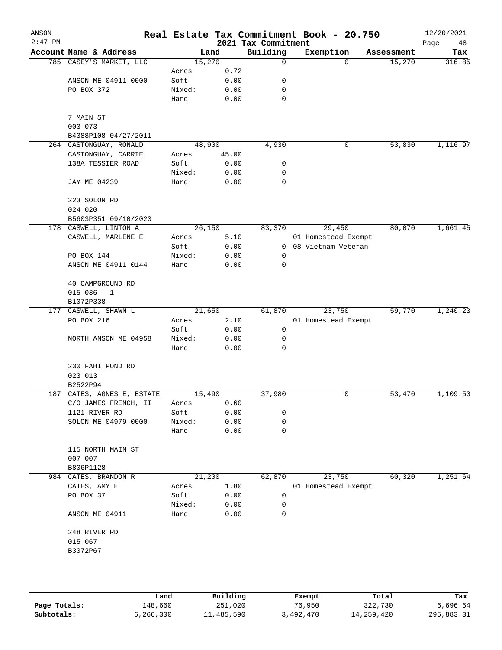| ANSON<br>$2:47$ PM |                            |        |       | 2021 Tax Commitment | Real Estate Tax Commitment Book - 20.750 |            | 12/20/2021<br>Page<br>48 |
|--------------------|----------------------------|--------|-------|---------------------|------------------------------------------|------------|--------------------------|
|                    | Account Name & Address     |        | Land  | Building            | Exemption                                | Assessment | Tax                      |
|                    | 785 CASEY'S MARKET, LLC    | 15,270 |       | 0                   | $\Omega$                                 | 15,270     | 316.85                   |
|                    |                            | Acres  | 0.72  |                     |                                          |            |                          |
|                    | ANSON ME 04911 0000        | Soft:  | 0.00  | 0                   |                                          |            |                          |
|                    | PO BOX 372                 | Mixed: | 0.00  | 0                   |                                          |            |                          |
|                    |                            | Hard:  | 0.00  | 0                   |                                          |            |                          |
|                    | 7 MAIN ST                  |        |       |                     |                                          |            |                          |
|                    | 003 073                    |        |       |                     |                                          |            |                          |
|                    | B4388P108 04/27/2011       |        |       |                     |                                          |            |                          |
|                    | 264 CASTONGUAY, RONALD     | 48,900 |       | 4,930               | 0                                        | 53,830     | 1,116.97                 |
|                    | CASTONGUAY, CARRIE         | Acres  | 45.00 |                     |                                          |            |                          |
|                    | 138A TESSIER ROAD          | Soft:  | 0.00  | 0                   |                                          |            |                          |
|                    |                            | Mixed: | 0.00  | 0                   |                                          |            |                          |
|                    | JAY ME 04239               | Hard:  | 0.00  | $\mathbf 0$         |                                          |            |                          |
|                    | 223 SOLON RD               |        |       |                     |                                          |            |                          |
|                    | 024 020                    |        |       |                     |                                          |            |                          |
|                    | B5603P351 09/10/2020       |        |       |                     |                                          |            |                          |
|                    | 178 CASWELL, LINTON A      | 26,150 |       | 83,370              | 29,450                                   | 80,070     | 1,661.45                 |
|                    | CASWELL, MARLENE E         | Acres  | 5.10  |                     | 01 Homestead Exempt                      |            |                          |
|                    |                            | Soft:  | 0.00  | $\overline{0}$      | 08 Vietnam Veteran                       |            |                          |
|                    | PO BOX 144                 | Mixed: | 0.00  | 0                   |                                          |            |                          |
|                    | ANSON ME 04911 0144        | Hard:  | 0.00  | 0                   |                                          |            |                          |
|                    | 40 CAMPGROUND RD           |        |       |                     |                                          |            |                          |
|                    | 015 036<br>$\mathbf{1}$    |        |       |                     |                                          |            |                          |
|                    | B1072P338                  |        |       |                     |                                          |            |                          |
|                    | 177 CASWELL, SHAWN L       | 21,650 |       | 61,870              | 23,750                                   | 59,770     | 1,240.23                 |
|                    | PO BOX 216                 | Acres  | 2.10  |                     | 01 Homestead Exempt                      |            |                          |
|                    |                            | Soft:  | 0.00  | 0                   |                                          |            |                          |
|                    | NORTH ANSON ME 04958       | Mixed: | 0.00  | 0                   |                                          |            |                          |
|                    |                            | Hard:  | 0.00  | 0                   |                                          |            |                          |
|                    | 230 FAHI POND RD           |        |       |                     |                                          |            |                          |
|                    | 023 013                    |        |       |                     |                                          |            |                          |
|                    | B2522P94                   |        |       |                     |                                          |            |                          |
|                    | 187 CATES, AGNES E, ESTATE | 15,490 |       | 37,980              | 0                                        | 53,470     | 1,109.50                 |
|                    | C/O JAMES FRENCH, II       | Acres  | 0.60  |                     |                                          |            |                          |
|                    | 1121 RIVER RD              | Soft:  | 0.00  | 0                   |                                          |            |                          |
|                    | SOLON ME 04979 0000        | Mixed: | 0.00  | 0                   |                                          |            |                          |
|                    |                            | Hard:  | 0.00  | 0                   |                                          |            |                          |
|                    | 115 NORTH MAIN ST          |        |       |                     |                                          |            |                          |
|                    | 007 007                    |        |       |                     |                                          |            |                          |
|                    | B806P1128                  |        |       |                     |                                          |            |                          |
| 984                | CATES, BRANDON R           | 21,200 |       | 62,870              | 23,750                                   | 60,320     | 1,251.64                 |
|                    | CATES, AMY E               | Acres  | 1.80  |                     | 01 Homestead Exempt                      |            |                          |
|                    | PO BOX 37                  | Soft:  | 0.00  | 0                   |                                          |            |                          |
|                    |                            | Mixed: | 0.00  | 0                   |                                          |            |                          |
|                    | ANSON ME 04911             | Hard:  | 0.00  | 0                   |                                          |            |                          |
|                    | 248 RIVER RD               |        |       |                     |                                          |            |                          |
|                    | 015 067                    |        |       |                     |                                          |            |                          |
|                    | B3072P67                   |        |       |                     |                                          |            |                          |
|                    |                            |        |       |                     |                                          |            |                          |
|                    |                            |        |       |                     |                                          |            |                          |
|                    |                            |        |       |                     |                                          |            |                          |

|              | Land      | Building   | Exempt    | Total      | Tax        |
|--------------|-----------|------------|-----------|------------|------------|
| Page Totals: | 148,660   | 251,020    | 76,950    | 322,730    | 6,696.64   |
| Subtotals:   | 6,266,300 | 11,485,590 | 3,492,470 | 14,259,420 | 295,883.31 |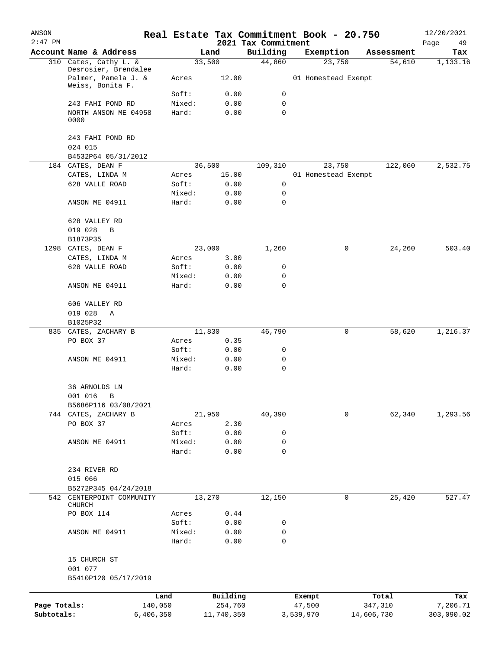| ANSON<br>$2:47$ PM |                                              |           |                 |              | 2021 Tax Commitment | Real Estate Tax Commitment Book - 20.750 |   |            | 12/20/2021<br>Page<br>49 |
|--------------------|----------------------------------------------|-----------|-----------------|--------------|---------------------|------------------------------------------|---|------------|--------------------------|
|                    | Account Name & Address                       |           |                 | Land         | Building            | Exemption                                |   | Assessment | Tax                      |
|                    | 310 Cates, Cathy L. &                        |           |                 | 33,500       | 44,860              | 23,750                                   |   | 54,610     | 1,133.16                 |
|                    | Desrosier, Brendalee<br>Palmer, Pamela J. &  |           | Acres           | 12.00        |                     | 01 Homestead Exempt                      |   |            |                          |
|                    | Weiss, Bonita F.                             |           |                 |              |                     |                                          |   |            |                          |
|                    |                                              |           | Soft:           | 0.00         | 0                   |                                          |   |            |                          |
|                    | 243 FAHI POND RD<br>NORTH ANSON ME 04958     |           | Mixed:<br>Hard: | 0.00<br>0.00 | 0<br>$\mathbf 0$    |                                          |   |            |                          |
|                    | 0000                                         |           |                 |              |                     |                                          |   |            |                          |
|                    | 243 FAHI POND RD                             |           |                 |              |                     |                                          |   |            |                          |
|                    | 024 015                                      |           |                 |              |                     |                                          |   |            |                          |
|                    | B4532P64 05/31/2012<br>184 CATES, DEAN F     |           |                 | 36,500       | 109,310             | 23,750                                   |   | 122,060    | 2,532.75                 |
|                    | CATES, LINDA M                               |           | Acres           | 15.00        |                     | 01 Homestead Exempt                      |   |            |                          |
|                    | 628 VALLE ROAD                               |           | Soft:           | 0.00         | 0                   |                                          |   |            |                          |
|                    |                                              |           | Mixed:          | 0.00         | 0                   |                                          |   |            |                          |
|                    | ANSON ME 04911                               |           | Hard:           | 0.00         | 0                   |                                          |   |            |                          |
|                    | 628 VALLEY RD                                |           |                 |              |                     |                                          |   |            |                          |
|                    | 019 028<br>B                                 |           |                 |              |                     |                                          |   |            |                          |
|                    | B1873P35                                     |           |                 |              |                     |                                          |   |            |                          |
| 1298               | CATES, DEAN F                                |           |                 | 23,000       | 1,260               |                                          | 0 | 24,260     | 503.40                   |
|                    | CATES, LINDA M                               |           | Acres           | 3.00         |                     |                                          |   |            |                          |
|                    | 628 VALLE ROAD                               |           | Soft:           | 0.00         | 0                   |                                          |   |            |                          |
|                    |                                              |           | Mixed:          | 0.00         | 0                   |                                          |   |            |                          |
|                    | ANSON ME 04911                               |           | Hard:           | 0.00         | $\mathbf 0$         |                                          |   |            |                          |
|                    | 606 VALLEY RD                                |           |                 |              |                     |                                          |   |            |                          |
|                    | 019 028<br>Α                                 |           |                 |              |                     |                                          |   |            |                          |
|                    | B1025P32                                     |           |                 |              |                     |                                          |   |            |                          |
|                    | 835 CATES, ZACHARY B                         |           |                 | 11,830       | 46,790              |                                          | 0 | 58,620     | 1,216.37                 |
|                    | PO BOX 37                                    |           | Acres           | 0.35         |                     |                                          |   |            |                          |
|                    |                                              |           | Soft:           | 0.00         | 0                   |                                          |   |            |                          |
|                    | ANSON ME 04911                               |           | Mixed:          | 0.00         | 0                   |                                          |   |            |                          |
|                    |                                              |           | Hard:           | 0.00         | 0                   |                                          |   |            |                          |
|                    | 36 ARNOLDS LN                                |           |                 |              |                     |                                          |   |            |                          |
|                    | 001 016 B                                    |           |                 |              |                     |                                          |   |            |                          |
|                    | B5686P116 03/08/2021<br>744 CATES, ZACHARY B |           |                 | 21,950       | 40,390              |                                          | 0 | 62, 340    | 1,293.56                 |
|                    | PO BOX 37                                    |           | Acres           | 2.30         |                     |                                          |   |            |                          |
|                    |                                              |           | Soft:           | 0.00         | 0                   |                                          |   |            |                          |
|                    | ANSON ME 04911                               |           | Mixed:          | 0.00         | 0                   |                                          |   |            |                          |
|                    |                                              |           | Hard:           | 0.00         | 0                   |                                          |   |            |                          |
|                    | 234 RIVER RD                                 |           |                 |              |                     |                                          |   |            |                          |
|                    | 015 066                                      |           |                 |              |                     |                                          |   |            |                          |
|                    | B5272P345 04/24/2018                         |           |                 |              |                     |                                          |   |            |                          |
|                    | 542 CENTERPOINT COMMUNITY<br>CHURCH          |           |                 | 13,270       | 12,150              |                                          | 0 | 25,420     | 527.47                   |
|                    | PO BOX 114                                   |           | Acres           | 0.44         |                     |                                          |   |            |                          |
|                    |                                              |           | Soft:           | 0.00         | 0                   |                                          |   |            |                          |
|                    | ANSON ME 04911                               |           | Mixed:<br>Hard: | 0.00<br>0.00 | 0<br>0              |                                          |   |            |                          |
|                    | 15 CHURCH ST                                 |           |                 |              |                     |                                          |   |            |                          |
|                    | 001 077                                      |           |                 |              |                     |                                          |   |            |                          |
|                    | B5410P120 05/17/2019                         |           |                 |              |                     |                                          |   |            |                          |
|                    |                                              |           |                 |              |                     |                                          |   |            |                          |
|                    |                                              | Land      |                 | Building     |                     | Exempt                                   |   | Total      | Tax                      |
| Page Totals:       |                                              | 140,050   |                 | 254,760      |                     | 47,500                                   |   | 347,310    | 7,206.71                 |
| Subtotals:         |                                              | 6,406,350 |                 | 11,740,350   |                     | 3,539,970                                |   | 14,606,730 | 303,090.02               |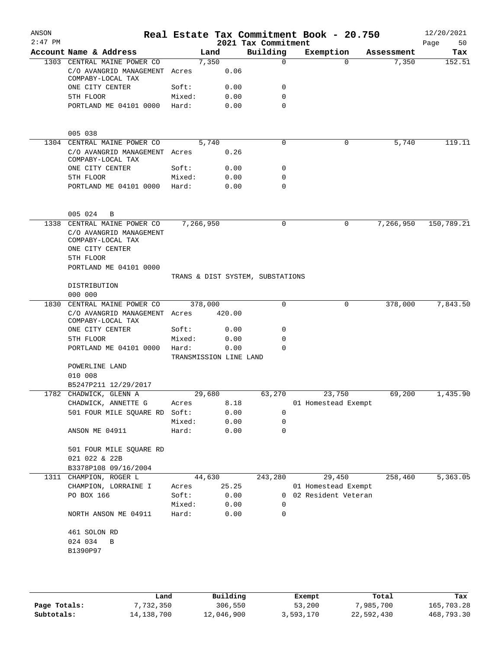| ANSON<br>$2:47$ PM |                                                                 |                                 |        | 2021 Tax Commitment              | Real Estate Tax Commitment Book - 20.750 |            | 12/20/2021<br>50<br>Page |
|--------------------|-----------------------------------------------------------------|---------------------------------|--------|----------------------------------|------------------------------------------|------------|--------------------------|
|                    | Account Name & Address                                          | Land                            |        | Building                         | Exemption                                | Assessment | Tax                      |
|                    | 1303 CENTRAL MAINE POWER CO                                     | 7,350                           |        | $\mathbf 0$                      | $\Omega$                                 | 7,350      | 152.51                   |
|                    | C/O AVANGRID MANAGEMENT Acres<br>COMPABY-LOCAL TAX              |                                 | 0.06   |                                  |                                          |            |                          |
|                    | ONE CITY CENTER                                                 | Soft:                           | 0.00   | 0                                |                                          |            |                          |
|                    | 5TH FLOOR                                                       | Mixed:                          | 0.00   | $\mathbf 0$                      |                                          |            |                          |
|                    | PORTLAND ME 04101 0000                                          | Hard:                           | 0.00   | $\Omega$                         |                                          |            |                          |
|                    | 005 038                                                         |                                 |        |                                  |                                          |            |                          |
|                    | 1304 CENTRAL MAINE POWER CO                                     | 5,740                           |        | 0                                | 0                                        | 5,740      | 119.11                   |
|                    | C/O AVANGRID MANAGEMENT Acres<br>COMPABY-LOCAL TAX              |                                 | 0.26   |                                  |                                          |            |                          |
|                    | ONE CITY CENTER                                                 | Soft:                           | 0.00   | 0                                |                                          |            |                          |
|                    | 5TH FLOOR                                                       | Mixed:                          | 0.00   | 0                                |                                          |            |                          |
|                    | PORTLAND ME 04101 0000                                          | Hard:                           | 0.00   | $\mathbf 0$                      |                                          |            |                          |
|                    | 005 024<br>B                                                    |                                 |        |                                  |                                          |            |                          |
|                    | 1338 CENTRAL MAINE POWER CO                                     | 7,266,950                       |        | 0                                | 0                                        | 7,266,950  | 150,789.21               |
|                    | C/O AVANGRID MANAGEMENT<br>COMPABY-LOCAL TAX<br>ONE CITY CENTER |                                 |        |                                  |                                          |            |                          |
|                    | 5TH FLOOR                                                       |                                 |        |                                  |                                          |            |                          |
|                    | PORTLAND ME 04101 0000                                          |                                 |        | TRANS & DIST SYSTEM, SUBSTATIONS |                                          |            |                          |
|                    | DISTRIBUTION                                                    |                                 |        |                                  |                                          |            |                          |
|                    | 000 000                                                         |                                 |        |                                  |                                          |            |                          |
|                    | 1830 CENTRAL MAINE POWER CO                                     | 378,000                         |        | 0                                | 0                                        | 378,000    | 7,843.50                 |
|                    | C/O AVANGRID MANAGEMENT Acres<br>COMPABY-LOCAL TAX              |                                 | 420.00 |                                  |                                          |            |                          |
|                    | ONE CITY CENTER                                                 | Soft:                           | 0.00   | 0                                |                                          |            |                          |
|                    | 5TH FLOOR                                                       | Mixed:                          | 0.00   | 0                                |                                          |            |                          |
|                    | PORTLAND ME 04101 0000                                          | Hard:<br>TRANSMISSION LINE LAND | 0.00   | $\Omega$                         |                                          |            |                          |
|                    | POWERLINE LAND<br>010 008                                       |                                 |        |                                  |                                          |            |                          |
|                    | B5247P211 12/29/2017                                            |                                 |        |                                  |                                          |            |                          |
|                    | 1782 CHADWICK, GLENN A                                          | 29,680                          |        | 63,270                           | 23,750                                   | 69,200     | 1,435.90                 |
|                    | CHADWICK, ANNETTE G                                             | Acres                           | 8.18   |                                  | 01 Homestead Exempt                      |            |                          |
|                    | 501 FOUR MILE SQUARE RD Soft:                                   |                                 | 0.00   | 0                                |                                          |            |                          |
|                    |                                                                 | Mixed:                          | 0.00   | 0                                |                                          |            |                          |
|                    | ANSON ME 04911                                                  | Hard:                           | 0.00   | $\mathbf 0$                      |                                          |            |                          |
|                    | 501 FOUR MILE SQUARE RD<br>021 022 & 22B                        |                                 |        |                                  |                                          |            |                          |
|                    | B3378P108 09/16/2004                                            |                                 |        |                                  |                                          |            |                          |
|                    | 1311 CHAMPION, ROGER L                                          | 44,630                          |        | 243,280                          | 29,450                                   | 258,460    | 5,363.05                 |
|                    | CHAMPION, LORRAINE I                                            | Acres                           | 25.25  |                                  | 01 Homestead Exempt                      |            |                          |
|                    | PO BOX 166                                                      | Soft:                           | 0.00   |                                  | 0 02 Resident Veteran                    |            |                          |
|                    |                                                                 | Mixed:                          | 0.00   | 0                                |                                          |            |                          |
|                    | NORTH ANSON ME 04911                                            | Hard:                           | 0.00   | 0                                |                                          |            |                          |
|                    | 461 SOLON RD                                                    |                                 |        |                                  |                                          |            |                          |
|                    | 024 034<br>B                                                    |                                 |        |                                  |                                          |            |                          |
|                    | B1390P97                                                        |                                 |        |                                  |                                          |            |                          |
|                    |                                                                 |                                 |        |                                  |                                          |            |                          |
|                    |                                                                 |                                 |        |                                  |                                          |            |                          |

|              | Land       | Building   | Exempt    | Total      | Tax        |
|--------------|------------|------------|-----------|------------|------------|
| Page Totals: | 7,732,350  | 306,550    | 53,200    | 7,985,700  | 165,703.28 |
| Subtotals:   | 14,138,700 | 12,046,900 | 3,593,170 | 22,592,430 | 468,793.30 |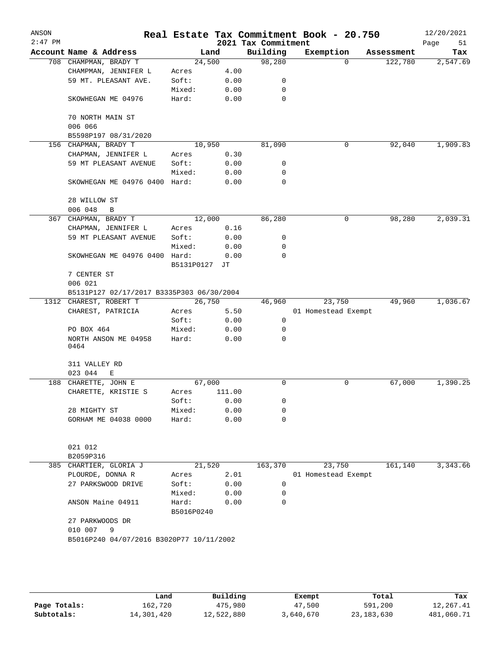| ANSON<br>$2:47$ PM |                                           |                     |        | 2021 Tax Commitment | Real Estate Tax Commitment Book - 20.750 |            | 12/20/2021<br>Page<br>51 |
|--------------------|-------------------------------------------|---------------------|--------|---------------------|------------------------------------------|------------|--------------------------|
|                    | Account Name & Address                    | Land                |        | Building            | Exemption                                | Assessment | Tax                      |
|                    | 708 CHAMPMAN, BRADY T                     | 24,500              |        | 98,280              | $\Omega$                                 | 122,780    | 2,547.69                 |
|                    | CHAMPMAN, JENNIFER L                      | Acres               | 4.00   |                     |                                          |            |                          |
|                    | 59 MT. PLEASANT AVE.                      | Soft:               | 0.00   | 0                   |                                          |            |                          |
|                    |                                           | Mixed:              | 0.00   | 0                   |                                          |            |                          |
|                    | SKOWHEGAN ME 04976                        | Hard:               | 0.00   | 0                   |                                          |            |                          |
|                    | 70 NORTH MAIN ST                          |                     |        |                     |                                          |            |                          |
|                    | 006 066                                   |                     |        |                     |                                          |            |                          |
|                    | B5598P197 08/31/2020                      |                     |        |                     |                                          |            |                          |
|                    | 156 CHAPMAN, BRADY T                      | 10,950              |        | 81,090              | 0                                        | 92,040     | 1,909.83                 |
|                    | CHAPMAN, JENNIFER L                       | Acres               | 0.30   |                     |                                          |            |                          |
|                    | 59 MT PLEASANT AVENUE                     | Soft:               | 0.00   | 0                   |                                          |            |                          |
|                    |                                           | Mixed:              | 0.00   | 0                   |                                          |            |                          |
|                    | SKOWHEGAN ME 04976 0400 Hard:             |                     | 0.00   | $\Omega$            |                                          |            |                          |
|                    | 28 WILLOW ST                              |                     |        |                     |                                          |            |                          |
|                    | 006 048<br>$\, {\bf B}$                   |                     |        |                     |                                          |            |                          |
|                    | 367 CHAPMAN, BRADY T                      | 12,000              |        | 86,280              | 0                                        | 98,280     | 2,039.31                 |
|                    | CHAPMAN, JENNIFER L                       | Acres               | 0.16   |                     |                                          |            |                          |
|                    | 59 MT PLEASANT AVENUE                     | Soft:               | 0.00   | 0                   |                                          |            |                          |
|                    |                                           | Mixed:              | 0.00   | 0                   |                                          |            |                          |
|                    | SKOWHEGAN ME 04976 0400 Hard:             |                     | 0.00   | 0                   |                                          |            |                          |
|                    |                                           | B5131P0127          | JТ     |                     |                                          |            |                          |
|                    | 7 CENTER ST                               |                     |        |                     |                                          |            |                          |
|                    | 006 021                                   |                     |        |                     |                                          |            |                          |
|                    | B5131P127 02/17/2017 B3335P303 06/30/2004 |                     |        |                     |                                          |            |                          |
|                    | 1312 CHAREST, ROBERT T                    | 26,750              |        | 46,960              | 23,750                                   | 49,960     | 1,036.67                 |
|                    | CHAREST, PATRICIA                         | Acres               | 5.50   |                     | 01 Homestead Exempt                      |            |                          |
|                    |                                           | Soft:               | 0.00   | 0                   |                                          |            |                          |
|                    | PO BOX 464                                | Mixed:              | 0.00   | 0                   |                                          |            |                          |
|                    | NORTH ANSON ME 04958<br>0464              | Hard:               | 0.00   | $\Omega$            |                                          |            |                          |
|                    | 311 VALLEY RD                             |                     |        |                     |                                          |            |                          |
|                    | 023 044<br>E                              |                     |        |                     |                                          |            |                          |
| 188                | CHARETTE, JOHN E                          | 67,000              |        | $\mathbf 0$         | 0                                        | 67,000     | 1,390.25                 |
|                    | CHARETTE, KRISTIE S                       | Acres               | 111.00 |                     |                                          |            |                          |
|                    |                                           | Soft:               | 0.00   | 0                   |                                          |            |                          |
|                    | 28 MIGHTY ST                              | Mixed:              | 0.00   | 0                   |                                          |            |                          |
|                    | GORHAM ME 04038 0000                      | Hard:               | 0.00   | 0                   |                                          |            |                          |
|                    |                                           |                     |        |                     |                                          |            |                          |
|                    | 021 012                                   |                     |        |                     |                                          |            |                          |
|                    | B2059P316                                 |                     |        |                     |                                          |            |                          |
| 385                | CHARTIER, GLORIA J                        | 21,520              |        | 163,370             | 23,750                                   | 161,140    | 3,343.66                 |
|                    | PLOURDE, DONNA R                          | Acres               | 2.01   |                     | 01 Homestead Exempt                      |            |                          |
|                    | 27 PARKSWOOD DRIVE                        | Soft:               | 0.00   | 0                   |                                          |            |                          |
|                    |                                           | Mixed:              | 0.00   | 0                   |                                          |            |                          |
|                    | ANSON Maine 04911                         | Hard:<br>B5016P0240 | 0.00   | 0                   |                                          |            |                          |
|                    | 27 PARKWOODS DR<br>010 007<br>9           |                     |        |                     |                                          |            |                          |
|                    | B5016P240 04/07/2016 B3020P77 10/11/2002  |                     |        |                     |                                          |            |                          |
|                    |                                           |                     |        |                     |                                          |            |                          |
|                    |                                           |                     |        |                     |                                          |            |                          |
|                    |                                           |                     |        |                     |                                          |            |                          |
|                    |                                           |                     |        |                     |                                          |            |                          |
|                    |                                           |                     |        |                     |                                          |            |                          |

|              | Land       | Building   | Exempt    | Total        | Tax        |
|--------------|------------|------------|-----------|--------------|------------|
| Page Totals: | 162,720    | 475,980    | 47,500    | 591,200      | 12,267.41  |
| Subtotals:   | 14,301,420 | 12,522,880 | 3,640,670 | 23, 183, 630 | 481,060.71 |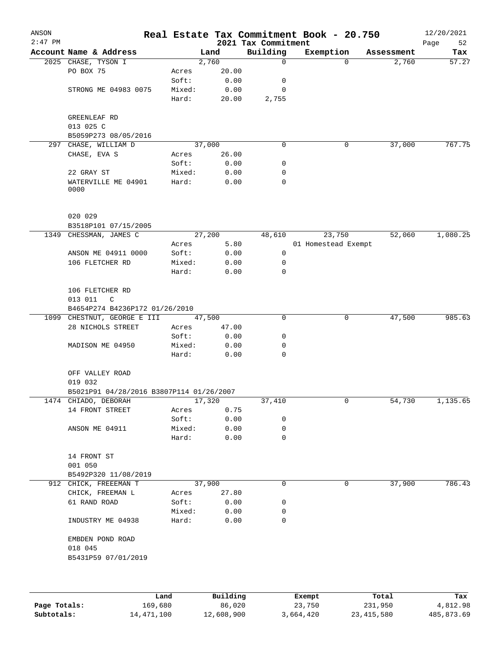| ANSON<br>$2:47$ PM |                                           |        |         | 2021 Tax Commitment | Real Estate Tax Commitment Book - 20.750 |            | 12/20/2021<br>52 |
|--------------------|-------------------------------------------|--------|---------|---------------------|------------------------------------------|------------|------------------|
|                    | Account Name & Address                    |        | Land    | Building            | Exemption                                | Assessment | Page<br>Tax      |
|                    | 2025 CHASE, TYSON I                       |        | 2,760   | 0                   | $\Omega$                                 | 2,760      | 57.27            |
|                    | PO BOX 75                                 | Acres  | 20.00   |                     |                                          |            |                  |
|                    |                                           | Soft:  | 0.00    | 0                   |                                          |            |                  |
|                    | STRONG ME 04983 0075                      | Mixed: | 0.00    | 0                   |                                          |            |                  |
|                    |                                           | Hard:  | 20.00   | 2,755               |                                          |            |                  |
|                    | GREENLEAF RD                              |        |         |                     |                                          |            |                  |
|                    | 013 025 C                                 |        |         |                     |                                          |            |                  |
|                    | B5059P273 08/05/2016                      |        |         |                     |                                          |            |                  |
| 297                | CHASE, WILLIAM D                          |        | 37,000  | 0                   | 0                                        | 37,000     | 767.75           |
|                    | CHASE, EVA S                              | Acres  | 26.00   |                     |                                          |            |                  |
|                    |                                           | Soft:  | 0.00    | 0                   |                                          |            |                  |
|                    | 22 GRAY ST                                | Mixed: | 0.00    | 0                   |                                          |            |                  |
|                    | WATERVILLE ME 04901<br>0000               | Hard:  | 0.00    | 0                   |                                          |            |                  |
|                    | 020 029                                   |        |         |                     |                                          |            |                  |
|                    | B3518P101 07/15/2005                      |        |         |                     |                                          |            |                  |
| 1349               | CHESSMAN, JAMES C                         |        | 27, 200 | 48,610              | 23,750                                   | 52,060     | 1,080.25         |
|                    |                                           | Acres  | 5.80    |                     | 01 Homestead Exempt                      |            |                  |
|                    | ANSON ME 04911 0000                       | Soft:  | 0.00    | 0                   |                                          |            |                  |
|                    | 106 FLETCHER RD                           | Mixed: | 0.00    | 0                   |                                          |            |                  |
|                    |                                           | Hard:  | 0.00    | 0                   |                                          |            |                  |
|                    | 106 FLETCHER RD<br>013 011<br>$\mathsf C$ |        |         |                     |                                          |            |                  |
|                    | B4654P274 B4236P172 01/26/2010            |        |         |                     |                                          |            |                  |
|                    | 1099 CHESTNUT, GEORGE E III               |        | 47,500  | 0                   | 0                                        | 47,500     | 985.63           |
|                    | 28 NICHOLS STREET                         | Acres  | 47.00   |                     |                                          |            |                  |
|                    |                                           | Soft:  | 0.00    | 0                   |                                          |            |                  |
|                    | MADISON ME 04950                          | Mixed: | 0.00    | 0                   |                                          |            |                  |
|                    |                                           | Hard:  | 0.00    | $\mathbf 0$         |                                          |            |                  |
|                    | OFF VALLEY ROAD<br>019 032                |        |         |                     |                                          |            |                  |
|                    | B5021P91 04/28/2016 B3807P114 01/26/2007  |        |         |                     |                                          |            |                  |
|                    | 1474 CHIADO, DEBORAH                      |        | 17,320  | 37,410              | 0                                        | 54,730     | 1,135.65         |
|                    | 14 FRONT STREET                           | Acres  | 0.75    |                     |                                          |            |                  |
|                    |                                           | Soft:  | 0.00    | 0                   |                                          |            |                  |
|                    | ANSON ME 04911                            | Mixed: | 0.00    | 0                   |                                          |            |                  |
|                    |                                           | Hard:  | 0.00    | 0                   |                                          |            |                  |
|                    | 14 FRONT ST<br>001 050                    |        |         |                     |                                          |            |                  |
|                    | B5492P320 11/08/2019                      |        |         |                     |                                          |            |                  |
|                    | 912 CHICK, FREEEMAN T                     |        | 37,900  | 0                   | 0                                        | 37,900     | 786.43           |
|                    | CHICK, FREEMAN L                          | Acres  | 27.80   |                     |                                          |            |                  |
|                    | 61 RAND ROAD                              | Soft:  | 0.00    | 0                   |                                          |            |                  |
|                    |                                           | Mixed: | 0.00    | 0                   |                                          |            |                  |
|                    | INDUSTRY ME 04938                         | Hard:  | 0.00    | 0                   |                                          |            |                  |
|                    | EMBDEN POND ROAD<br>018 045               |        |         |                     |                                          |            |                  |
|                    | B5431P59 07/01/2019                       |        |         |                     |                                          |            |                  |
|                    |                                           |        |         |                     |                                          |            |                  |
|                    |                                           |        |         |                     |                                          |            |                  |
|                    |                                           |        |         |                     |                                          |            |                  |

|              | Land       | Building   | Exempt    | Total        | Tax        |
|--------------|------------|------------|-----------|--------------|------------|
| Page Totals: | 169,680    | 86,020     | 23,750    | 231,950      | 4,812.98   |
| Subtotals:   | 14,471,100 | 12,608,900 | 3,664,420 | 23, 415, 580 | 485,873.69 |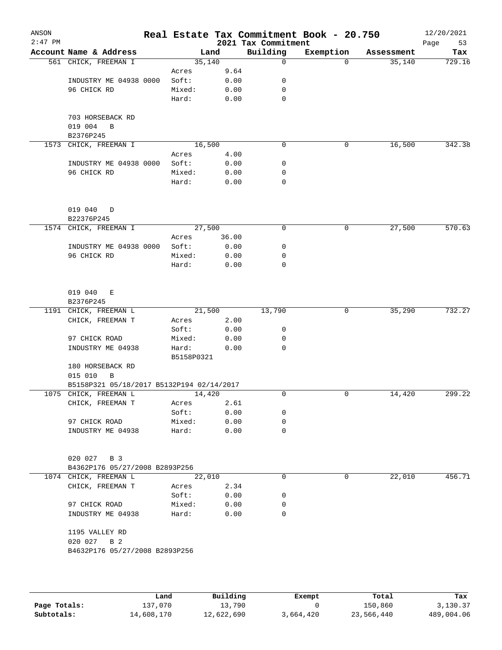| ANSON<br>$2:47$ PM |                                                         |                 |              | 2021 Tax Commitment | Real Estate Tax Commitment Book - 20.750 |            | 12/20/2021<br>Page<br>53 |
|--------------------|---------------------------------------------------------|-----------------|--------------|---------------------|------------------------------------------|------------|--------------------------|
|                    | Account Name & Address                                  | Land            |              | Building            | Exemption                                | Assessment | Tax                      |
|                    | 561 CHICK, FREEMAN I                                    | 35,140          |              | $\mathbf 0$         | $\Omega$                                 | 35,140     | 729.16                   |
|                    |                                                         | Acres           | 9.64         |                     |                                          |            |                          |
|                    | INDUSTRY ME 04938 0000                                  | Soft:           | 0.00         | 0                   |                                          |            |                          |
|                    | 96 CHICK RD                                             | Mixed:          | 0.00         | $\mathbf 0$         |                                          |            |                          |
|                    |                                                         | Hard:           | 0.00         | 0                   |                                          |            |                          |
|                    |                                                         |                 |              |                     |                                          |            |                          |
|                    | 703 HORSEBACK RD                                        |                 |              |                     |                                          |            |                          |
|                    | 019 004<br>B<br>B2376P245                               |                 |              |                     |                                          |            |                          |
| 1573               | CHICK, FREEMAN I                                        | 16,500          |              | $\mathbf 0$         | 0                                        | 16,500     | 342.38                   |
|                    |                                                         | Acres           | 4.00         |                     |                                          |            |                          |
|                    | INDUSTRY ME 04938 0000                                  | Soft:           | 0.00         | 0                   |                                          |            |                          |
|                    | 96 CHICK RD                                             | Mixed:          | 0.00         | 0                   |                                          |            |                          |
|                    |                                                         | Hard:           | 0.00         | 0                   |                                          |            |                          |
|                    |                                                         |                 |              |                     |                                          |            |                          |
|                    |                                                         |                 |              |                     |                                          |            |                          |
|                    | 019 040<br>D                                            |                 |              |                     |                                          |            |                          |
|                    | B22376P245                                              |                 |              |                     |                                          |            |                          |
|                    | 1574 CHICK, FREEMAN I                                   | 27,500          |              | $\mathbf 0$         | 0                                        | 27,500     | 570.63                   |
|                    | INDUSTRY ME 04938 0000                                  | Acres           | 36.00        |                     |                                          |            |                          |
|                    | 96 CHICK RD                                             | Soft:<br>Mixed: | 0.00<br>0.00 | 0<br>0              |                                          |            |                          |
|                    |                                                         | Hard:           | 0.00         | $\mathbf 0$         |                                          |            |                          |
|                    |                                                         |                 |              |                     |                                          |            |                          |
|                    |                                                         |                 |              |                     |                                          |            |                          |
|                    | 019 040<br>Е                                            |                 |              |                     |                                          |            |                          |
|                    | B2376P245                                               |                 |              |                     |                                          |            |                          |
|                    | 1191 CHICK, FREEMAN L                                   | 21,500          |              | 13,790              | 0                                        | 35,290     | 732.27                   |
|                    | CHICK, FREEMAN T                                        | Acres           | 2.00         |                     |                                          |            |                          |
|                    |                                                         | Soft:           | 0.00         | 0                   |                                          |            |                          |
|                    | 97 CHICK ROAD                                           | Mixed:          | 0.00         | 0                   |                                          |            |                          |
|                    | INDUSTRY ME 04938                                       | Hard:           | 0.00         | $\mathbf 0$         |                                          |            |                          |
|                    |                                                         | B5158P0321      |              |                     |                                          |            |                          |
|                    | 180 HORSEBACK RD<br>015 010<br>B                        |                 |              |                     |                                          |            |                          |
|                    | B5158P321 05/18/2017 B5132P194 02/14/2017               |                 |              |                     |                                          |            |                          |
| 1075               | CHICK, FREEMAN L                                        | 14,420          |              | $\Omega$            | 0                                        | 14,420     | 299.22                   |
|                    | CHICK, FREEMAN T                                        | Acres           | 2.61         |                     |                                          |            |                          |
|                    |                                                         | Soft:           | 0.00         | 0                   |                                          |            |                          |
|                    | 97 CHICK ROAD                                           | Mixed:          | 0.00         | 0                   |                                          |            |                          |
|                    | INDUSTRY ME 04938                                       | Hard:           | 0.00         | 0                   |                                          |            |                          |
|                    |                                                         |                 |              |                     |                                          |            |                          |
|                    |                                                         |                 |              |                     |                                          |            |                          |
|                    | 020 027 B 3                                             |                 |              |                     |                                          |            |                          |
|                    | B4362P176 05/27/2008 B2893P256<br>1074 CHICK, FREEMAN L | 22,010          |              | 0                   | 0                                        | 22,010     | 456.71                   |
|                    | CHICK, FREEMAN T                                        | Acres           | 2.34         |                     |                                          |            |                          |
|                    |                                                         | Soft:           | 0.00         | 0                   |                                          |            |                          |
|                    | 97 CHICK ROAD                                           | Mixed:          | 0.00         | 0                   |                                          |            |                          |
|                    | INDUSTRY ME 04938                                       | Hard:           | 0.00         | 0                   |                                          |            |                          |
|                    |                                                         |                 |              |                     |                                          |            |                          |
|                    | 1195 VALLEY RD                                          |                 |              |                     |                                          |            |                          |
|                    | 020 027 B 2                                             |                 |              |                     |                                          |            |                          |
|                    | B4632P176 05/27/2008 B2893P256                          |                 |              |                     |                                          |            |                          |
|                    |                                                         |                 |              |                     |                                          |            |                          |
|                    |                                                         |                 |              |                     |                                          |            |                          |
|                    |                                                         |                 |              |                     |                                          |            |                          |

|              | Land       | Building   | Exempt    | Total      | Tax        |
|--------------|------------|------------|-----------|------------|------------|
| Page Totals: | 137,070    | 13,790     |           | 150,860    | 3,130.37   |
| Subtotals:   | 14,608,170 | 12,622,690 | 3,664,420 | 23,566,440 | 489,004.06 |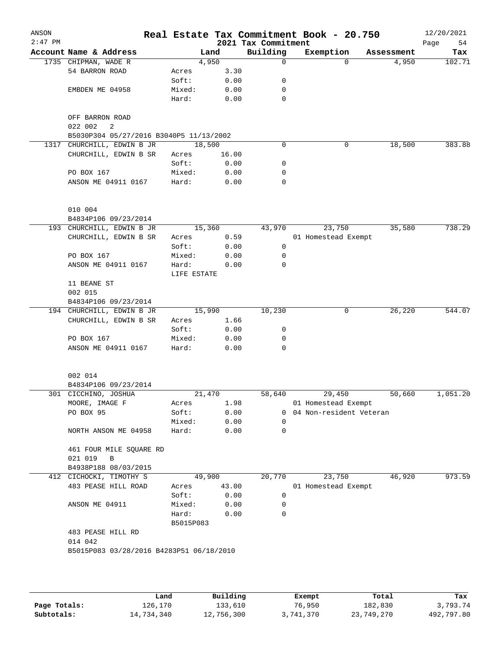| ANSON<br>$2:47$ PM |                                                         |                      |       | 2021 Tax Commitment | Real Estate Tax Commitment Book - 20.750 |            | 12/20/2021        |
|--------------------|---------------------------------------------------------|----------------------|-------|---------------------|------------------------------------------|------------|-------------------|
|                    | Account Name & Address                                  |                      | Land  | Building            | Exemption                                | Assessment | Page<br>54<br>Tax |
|                    | 1735 CHIPMAN, WADE R                                    | 4,950                |       | $\Omega$            | $\Omega$                                 | 4,950      | 102.71            |
|                    | 54 BARRON ROAD                                          | Acres                | 3.30  |                     |                                          |            |                   |
|                    |                                                         | Soft:                | 0.00  | 0                   |                                          |            |                   |
|                    | EMBDEN ME 04958                                         | Mixed:               | 0.00  | 0                   |                                          |            |                   |
|                    |                                                         | Hard:                | 0.00  | 0                   |                                          |            |                   |
|                    | OFF BARRON ROAD                                         |                      |       |                     |                                          |            |                   |
|                    | 022 002<br>2<br>B5030P304 05/27/2016 B3040P5 11/13/2002 |                      |       |                     |                                          |            |                   |
|                    | 1317 CHURCHILL, EDWIN B JR                              | 18,500               |       | $\mathbf 0$         | 0                                        | 18,500     | 383.88            |
|                    | CHURCHILL, EDWIN B SR                                   | Acres                | 16.00 |                     |                                          |            |                   |
|                    |                                                         | Soft:                | 0.00  | 0                   |                                          |            |                   |
|                    | PO BOX 167                                              | Mixed:               | 0.00  | 0                   |                                          |            |                   |
|                    | ANSON ME 04911 0167                                     | Hard:                | 0.00  | 0                   |                                          |            |                   |
|                    | 010 004                                                 |                      |       |                     |                                          |            |                   |
|                    | B4834P106 09/23/2014                                    |                      |       |                     |                                          |            |                   |
|                    | 193 CHURCHILL, EDWIN B JR                               | 15,360               |       | 43,970              | 23,750                                   | 35,580     | 738.29            |
|                    | CHURCHILL, EDWIN B SR                                   | Acres                | 0.59  |                     | 01 Homestead Exempt                      |            |                   |
|                    |                                                         | Soft:                | 0.00  | 0                   |                                          |            |                   |
|                    | PO BOX 167                                              | Mixed:               | 0.00  | 0                   |                                          |            |                   |
|                    | ANSON ME 04911 0167                                     | Hard:<br>LIFE ESTATE | 0.00  | 0                   |                                          |            |                   |
|                    | 11 BEANE ST                                             |                      |       |                     |                                          |            |                   |
|                    | 002 015                                                 |                      |       |                     |                                          |            |                   |
|                    | B4834P106 09/23/2014                                    |                      |       |                     |                                          |            |                   |
|                    | 194 CHURCHILL, EDWIN B JR                               | 15,990               |       | 10,230              | 0                                        | 26,220     | 544.07            |
|                    | CHURCHILL, EDWIN B SR                                   | Acres                | 1.66  |                     |                                          |            |                   |
|                    |                                                         | Soft:                | 0.00  | 0                   |                                          |            |                   |
|                    | PO BOX 167                                              | Mixed:               | 0.00  | 0                   |                                          |            |                   |
|                    | ANSON ME 04911 0167                                     | Hard:                | 0.00  | 0                   |                                          |            |                   |
|                    |                                                         |                      |       |                     |                                          |            |                   |
|                    | 002 014                                                 |                      |       |                     |                                          |            |                   |
| 301                | B4834P106 09/23/2014<br>CICCHINO, JOSHUA                | 21,470               |       | 58,640              | 29,450                                   | 50,660     | 1,051.20          |
|                    | MOORE, IMAGE F                                          |                      | 1.98  |                     | 01 Homestead Exempt                      |            |                   |
|                    | PO BOX 95                                               | Acres<br>Soft:       | 0.00  |                     | 0 04 Non-resident Veteran                |            |                   |
|                    |                                                         | Mixed:               | 0.00  | $\Omega$            |                                          |            |                   |
|                    | NORTH ANSON ME 04958                                    | Hard:                | 0.00  | 0                   |                                          |            |                   |
|                    | 461 FOUR MILE SQUARE RD                                 |                      |       |                     |                                          |            |                   |
|                    | 021 019<br>В                                            |                      |       |                     |                                          |            |                   |
|                    | B4938P188 08/03/2015                                    |                      |       |                     |                                          |            |                   |
|                    | 412 CICHOCKI, TIMOTHY S                                 | 49,900               |       | 20,770              | 23,750                                   | 46,920     | 973.59            |
|                    | 483 PEASE HILL ROAD                                     | Acres                | 43.00 |                     | 01 Homestead Exempt                      |            |                   |
|                    |                                                         | Soft:                | 0.00  | 0                   |                                          |            |                   |
|                    | ANSON ME 04911                                          | Mixed:               | 0.00  | 0                   |                                          |            |                   |
|                    |                                                         | Hard:<br>B5015P083   | 0.00  | 0                   |                                          |            |                   |
|                    | 483 PEASE HILL RD                                       |                      |       |                     |                                          |            |                   |
|                    | 014 042                                                 |                      |       |                     |                                          |            |                   |
|                    | B5015P083 03/28/2016 B4283P51 06/18/2010                |                      |       |                     |                                          |            |                   |
|                    |                                                         |                      |       |                     |                                          |            |                   |
|                    |                                                         |                      |       |                     |                                          |            |                   |
|                    |                                                         |                      |       |                     |                                          |            |                   |

|              | Land       | Building   | Exempt    | Total      | Tax        |
|--------------|------------|------------|-----------|------------|------------|
| Page Totals: | 126.170    | 133,610    | 76,950    | 182,830    | 3,793.74   |
| Subtotals:   | 14,734,340 | 12,756,300 | 3,741,370 | 23,749,270 | 492,797.80 |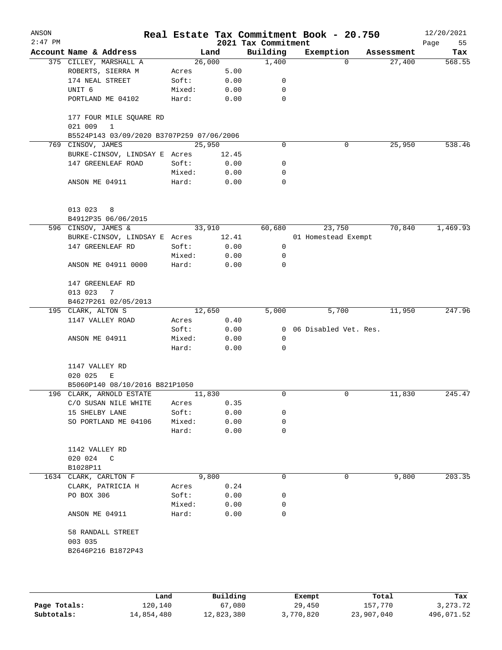| ANSON<br>$2:47$ PM |                                                    |                 |              | 2021 Tax Commitment | Real Estate Tax Commitment Book - 20.750 |            | 12/20/2021<br>Page<br>55 |
|--------------------|----------------------------------------------------|-----------------|--------------|---------------------|------------------------------------------|------------|--------------------------|
|                    | Account Name & Address                             |                 | Land         | Building            | Exemption                                | Assessment | Tax                      |
|                    | 375 CILLEY, MARSHALL A                             | 26,000          |              | 1,400               | 0                                        | 27,400     | 568.55                   |
|                    | ROBERTS, SIERRA M                                  | Acres           | 5.00         |                     |                                          |            |                          |
|                    | 174 NEAL STREET                                    | Soft:           | 0.00         | 0                   |                                          |            |                          |
|                    | UNIT 6                                             | Mixed:          | 0.00         | 0                   |                                          |            |                          |
|                    | PORTLAND ME 04102                                  | Hard:           | 0.00         | 0                   |                                          |            |                          |
|                    | 177 FOUR MILE SQUARE RD<br>$\mathbf{1}$<br>021 009 |                 |              |                     |                                          |            |                          |
|                    | B5524P143 03/09/2020 B3707P259 07/06/2006          |                 |              |                     |                                          |            |                          |
| 769                | CINSOV, JAMES                                      | 25,950          |              | 0                   | 0                                        | 25,950     | 538.46                   |
|                    | BURKE-CINSOV, LINDSAY E Acres                      |                 | 12.45        |                     |                                          |            |                          |
|                    | 147 GREENLEAF ROAD                                 | Soft:           | 0.00         | 0                   |                                          |            |                          |
|                    |                                                    | Mixed:          | 0.00         | 0                   |                                          |            |                          |
|                    | ANSON ME 04911                                     | Hard:           | 0.00         | 0                   |                                          |            |                          |
|                    | 013 023<br>8                                       |                 |              |                     |                                          |            |                          |
|                    | B4912P35 06/06/2015                                |                 |              |                     |                                          |            |                          |
|                    | 596 CINSOV, JAMES &                                |                 | 33,910       | 60,680              | 23,750                                   | 70,840     | 1,469.93                 |
|                    | BURKE-CINSOV, LINDSAY E Acres                      |                 | 12.41        |                     | 01 Homestead Exempt                      |            |                          |
|                    | 147 GREENLEAF RD                                   | Soft:           | 0.00         | 0                   |                                          |            |                          |
|                    |                                                    | Mixed:          | 0.00         | 0                   |                                          |            |                          |
|                    | ANSON ME 04911 0000                                | Hard:           | 0.00         | 0                   |                                          |            |                          |
|                    | 147 GREENLEAF RD<br>013 023<br>7                   |                 |              |                     |                                          |            |                          |
|                    | B4627P261 02/05/2013                               |                 |              |                     |                                          |            |                          |
|                    | 195 CLARK, ALTON S                                 | 12,650          |              | 5,000               | 5,700                                    | 11,950     | 247.96                   |
|                    | 1147 VALLEY ROAD                                   | Acres           | 0.40         |                     |                                          |            |                          |
|                    |                                                    | Soft:           | 0.00         | $\overline{0}$      | 06 Disabled Vet. Res.                    |            |                          |
|                    | ANSON ME 04911                                     | Mixed:          | 0.00         | 0                   |                                          |            |                          |
|                    |                                                    | Hard:           | 0.00         | 0                   |                                          |            |                          |
|                    | 1147 VALLEY RD                                     |                 |              |                     |                                          |            |                          |
|                    | 020 025<br>Е                                       |                 |              |                     |                                          |            |                          |
|                    | B5060P140 08/10/2016 B821P1050                     |                 |              |                     |                                          |            |                          |
|                    | 196 CLARK, ARNOLD ESTATE                           | 11,830          |              | 0                   | 0                                        | 11,830     | 245.47                   |
|                    | C/O SUSAN NILE WHITE                               | Acres           | 0.35         |                     |                                          |            |                          |
|                    | 15 SHELBY LANE                                     | Soft:           | 0.00         | 0                   |                                          |            |                          |
|                    | SO PORTLAND ME 04106                               | Mixed:<br>Hard: | 0.00<br>0.00 | 0<br>0              |                                          |            |                          |
|                    |                                                    |                 |              |                     |                                          |            |                          |
|                    | 1142 VALLEY RD                                     |                 |              |                     |                                          |            |                          |
|                    | 020 024 C                                          |                 |              |                     |                                          |            |                          |
|                    | B1028P11                                           |                 |              |                     |                                          |            |                          |
|                    | 1634 CLARK, CARLTON F                              |                 | 9,800        | 0                   | 0                                        | 9,800      | 203.35                   |
|                    | CLARK, PATRICIA H                                  | Acres           | 0.24         |                     |                                          |            |                          |
|                    | PO BOX 306                                         | Soft:           | 0.00         | 0                   |                                          |            |                          |
|                    |                                                    | Mixed:          | 0.00         | 0                   |                                          |            |                          |
|                    | ANSON ME 04911                                     | Hard:           | 0.00         | 0                   |                                          |            |                          |
|                    | 58 RANDALL STREET                                  |                 |              |                     |                                          |            |                          |
|                    | 003 035                                            |                 |              |                     |                                          |            |                          |
|                    | B2646P216 B1872P43                                 |                 |              |                     |                                          |            |                          |
|                    |                                                    |                 |              |                     |                                          |            |                          |
|                    |                                                    |                 |              |                     |                                          |            |                          |
|                    |                                                    |                 |              |                     |                                          |            |                          |

|              | Land       | Building   | Exempt    | Total      | Tax        |
|--------------|------------|------------|-----------|------------|------------|
| Page Totals: | 120,140    | 67,080     | 29,450    | 157,770    | 3, 273, 72 |
| Subtotals:   | 14,854,480 | 12,823,380 | 3,770,820 | 23,907,040 | 496,071.52 |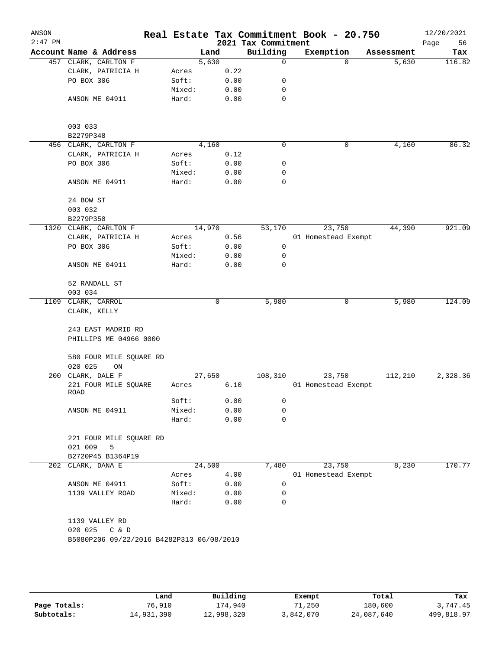| ANSON<br>$2:47$ PM |                                              |                 |              | 2021 Tax Commitment | Real Estate Tax Commitment Book - 20.750 |            | 12/20/2021<br>56<br>Page |
|--------------------|----------------------------------------------|-----------------|--------------|---------------------|------------------------------------------|------------|--------------------------|
|                    | Account Name & Address                       |                 | Land         | Building            | Exemption                                | Assessment | Tax                      |
|                    | 457 CLARK, CARLTON F                         |                 | 5,630        | $\mathbf 0$         | $\Omega$                                 | 5,630      | 116.82                   |
|                    | CLARK, PATRICIA H                            | Acres           | 0.22         |                     |                                          |            |                          |
|                    | PO BOX 306                                   | Soft:           | 0.00         | 0                   |                                          |            |                          |
|                    |                                              | Mixed:          | 0.00         | 0                   |                                          |            |                          |
|                    | ANSON ME 04911                               | Hard:           | 0.00         | $\mathbf 0$         |                                          |            |                          |
|                    | 003 033                                      |                 |              |                     |                                          |            |                          |
|                    | B2279P348                                    |                 |              |                     |                                          |            |                          |
|                    | 456 CLARK, CARLTON F                         |                 | 4,160        | 0                   | $\mathbf 0$                              | 4,160      | 86.32                    |
|                    | CLARK, PATRICIA H<br>PO BOX 306              | Acres           | 0.12<br>0.00 | 0                   |                                          |            |                          |
|                    |                                              | Soft:<br>Mixed: | 0.00         | 0                   |                                          |            |                          |
|                    | ANSON ME 04911                               | Hard:           | 0.00         | $\mathbf 0$         |                                          |            |                          |
|                    |                                              |                 |              |                     |                                          |            |                          |
|                    | 24 BOW ST<br>003 032                         |                 |              |                     |                                          |            |                          |
|                    |                                              |                 |              |                     |                                          |            |                          |
|                    | B2279P350<br>1320 CLARK, CARLTON F           |                 | 14,970       | 53,170              | 23,750                                   | 44,390     | 921.09                   |
|                    | CLARK, PATRICIA H                            | Acres           | 0.56         |                     | 01 Homestead Exempt                      |            |                          |
|                    | PO BOX 306                                   | Soft:           | 0.00         | 0                   |                                          |            |                          |
|                    |                                              | Mixed:          | 0.00         | 0                   |                                          |            |                          |
|                    | ANSON ME 04911                               | Hard:           | 0.00         | 0                   |                                          |            |                          |
|                    | 52 RANDALL ST                                |                 |              |                     |                                          |            |                          |
|                    | 003 034                                      |                 |              |                     |                                          |            |                          |
| 1109               | CLARK, CARROL                                |                 | 0            | 5,980               | $\mathsf{O}$                             | 5,980      | 124.09                   |
|                    | CLARK, KELLY                                 |                 |              |                     |                                          |            |                          |
|                    | 243 EAST MADRID RD<br>PHILLIPS ME 04966 0000 |                 |              |                     |                                          |            |                          |
|                    | 580 FOUR MILE SQUARE RD<br>020 025<br>ON     |                 |              |                     |                                          |            |                          |
| 200                | CLARK, DALE F                                |                 | 27,650       | 108,310             | 23,750                                   | 112,210    | 2,328.36                 |
|                    | 221 FOUR MILE SQUARE<br>ROAD                 | Acres           | 6.10         |                     | 01 Homestead Exempt                      |            |                          |
|                    |                                              | Soft:           | 0.00         | 0                   |                                          |            |                          |
|                    | ANSON ME 04911                               | Mixed:          | 0.00         | 0                   |                                          |            |                          |
|                    |                                              | Hard:           | 0.00         | $\mathbf 0$         |                                          |            |                          |
|                    | 221 FOUR MILE SQUARE RD<br>021 009<br>5      |                 |              |                     |                                          |            |                          |
|                    | B2720P45 B1364P19                            |                 |              |                     |                                          |            |                          |
|                    | 202 CLARK, DANA E                            |                 | 24,500       | 7,480               | 23,750                                   | 8,230      | 170.77                   |
|                    |                                              | Acres           | 4.00         |                     | 01 Homestead Exempt                      |            |                          |
|                    | ANSON ME 04911                               | Soft:           | 0.00         | 0                   |                                          |            |                          |
|                    | 1139 VALLEY ROAD                             | Mixed:<br>Hard: | 0.00<br>0.00 | 0<br>$\Omega$       |                                          |            |                          |
|                    |                                              |                 |              |                     |                                          |            |                          |
|                    | 1139 VALLEY RD<br>020 025                    |                 |              |                     |                                          |            |                          |
|                    | C & D                                        |                 |              |                     |                                          |            |                          |
|                    | B5080P206 09/22/2016 B4282P313 06/08/2010    |                 |              |                     |                                          |            |                          |
|                    |                                              |                 |              |                     |                                          |            |                          |
|                    |                                              |                 |              |                     |                                          |            |                          |
|                    |                                              |                 |              |                     |                                          |            |                          |

|              | Land       | Building   | Exempt    | Total      | Tax        |
|--------------|------------|------------|-----------|------------|------------|
| Page Totals: | 76,910     | l74.940    | '1,250    | 180,600    | 3,747.45   |
| Subtotals:   | 14,931,390 | 12,998,320 | 3,842,070 | 24,087,640 | 499,818.97 |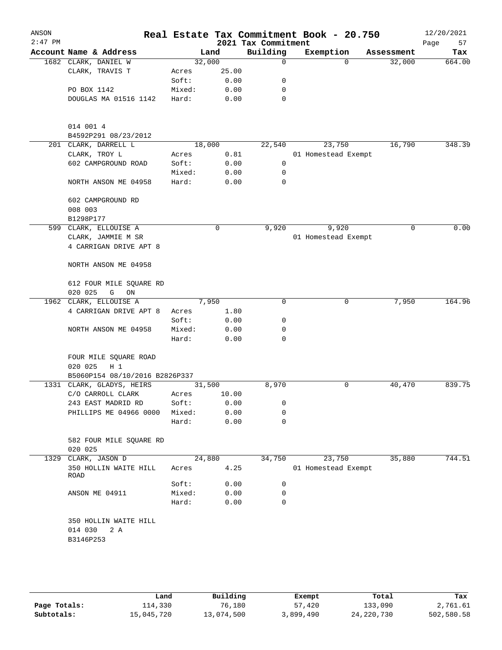| ANSON<br>$2:47$ PM |                                |        |       | Real Estate Tax Commitment Book - 20.750<br>2021 Tax Commitment |                     |          |            | 12/20/2021<br>Page<br>57 |
|--------------------|--------------------------------|--------|-------|-----------------------------------------------------------------|---------------------|----------|------------|--------------------------|
|                    | Account Name & Address         |        | Land  | Building                                                        | Exemption           |          | Assessment | Tax                      |
|                    | 1682 CLARK, DANIEL W           | 32,000 |       | $\mathbf 0$                                                     |                     | $\Omega$ | 32,000     | 664.00                   |
|                    | CLARK, TRAVIS T                | Acres  | 25.00 |                                                                 |                     |          |            |                          |
|                    |                                | Soft:  | 0.00  | 0                                                               |                     |          |            |                          |
|                    | PO BOX 1142                    | Mixed: | 0.00  | 0                                                               |                     |          |            |                          |
|                    | DOUGLAS MA 01516 1142          | Hard:  | 0.00  | 0                                                               |                     |          |            |                          |
|                    |                                |        |       |                                                                 |                     |          |            |                          |
|                    | 014 001 4                      |        |       |                                                                 |                     |          |            |                          |
|                    | B4592P291 08/23/2012           |        |       |                                                                 |                     |          |            |                          |
|                    | 201 CLARK, DARRELL L           | 18,000 |       | 22,540                                                          | 23,750              |          | 16,790     | 348.39                   |
|                    | CLARK, TROY L                  | Acres  | 0.81  |                                                                 | 01 Homestead Exempt |          |            |                          |
|                    | 602 CAMPGROUND ROAD            | Soft:  | 0.00  | 0                                                               |                     |          |            |                          |
|                    |                                | Mixed: | 0.00  | 0                                                               |                     |          |            |                          |
|                    | NORTH ANSON ME 04958           | Hard:  | 0.00  | 0                                                               |                     |          |            |                          |
|                    | 602 CAMPGROUND RD              |        |       |                                                                 |                     |          |            |                          |
|                    | 008 003                        |        |       |                                                                 |                     |          |            |                          |
|                    | B1298P177                      |        |       |                                                                 |                     |          |            |                          |
|                    | 599 CLARK, ELLOUISE A          |        | 0     | 9,920                                                           | 9,920               |          | 0          | 0.00                     |
|                    | CLARK, JAMMIE M SR             |        |       |                                                                 | 01 Homestead Exempt |          |            |                          |
|                    | 4 CARRIGAN DRIVE APT 8         |        |       |                                                                 |                     |          |            |                          |
|                    | NORTH ANSON ME 04958           |        |       |                                                                 |                     |          |            |                          |
|                    | 612 FOUR MILE SQUARE RD        |        |       |                                                                 |                     |          |            |                          |
|                    | 020 025<br>G<br>ON             |        |       |                                                                 |                     |          |            |                          |
| 1962               | CLARK, ELLOUISE A              |        | 7,950 | $\Omega$                                                        |                     | 0        | 7,950      | 164.96                   |
|                    | 4 CARRIGAN DRIVE APT 8         | Acres  | 1.80  |                                                                 |                     |          |            |                          |
|                    |                                | Soft:  | 0.00  | 0                                                               |                     |          |            |                          |
|                    | NORTH ANSON ME 04958           | Mixed: | 0.00  | 0                                                               |                     |          |            |                          |
|                    |                                | Hard:  | 0.00  | 0                                                               |                     |          |            |                          |
|                    | FOUR MILE SQUARE ROAD          |        |       |                                                                 |                     |          |            |                          |
|                    | 020 025<br>$H_1$               |        |       |                                                                 |                     |          |            |                          |
|                    | B5060P154 08/10/2016 B2826P337 |        |       |                                                                 |                     |          |            |                          |
|                    | 1331 CLARK, GLADYS, HEIRS      | 31,500 |       | 8,970                                                           |                     | 0        | 40,470     | 839.75                   |
|                    | C/O CARROLL CLARK              | Acres  | 10.00 |                                                                 |                     |          |            |                          |
|                    | 243 EAST MADRID RD             | Soft:  | 0.00  | 0                                                               |                     |          |            |                          |
|                    | PHILLIPS ME 04966 0000         | Mixed: | 0.00  | 0                                                               |                     |          |            |                          |
|                    |                                | Hard:  | 0.00  | 0                                                               |                     |          |            |                          |
|                    | 582 FOUR MILE SQUARE RD        |        |       |                                                                 |                     |          |            |                          |
|                    | 020 025                        |        |       |                                                                 |                     |          |            |                          |
| 1329               | CLARK, JASON D                 | 24,880 |       | 34,750                                                          | 23,750              |          | 35,880     | 744.51                   |
|                    | 350 HOLLIN WAITE HILL<br>ROAD  | Acres  | 4.25  |                                                                 | 01 Homestead Exempt |          |            |                          |
|                    |                                | Soft:  | 0.00  | 0                                                               |                     |          |            |                          |
|                    | ANSON ME 04911                 | Mixed: | 0.00  | 0                                                               |                     |          |            |                          |
|                    |                                | Hard:  | 0.00  | 0                                                               |                     |          |            |                          |
|                    | 350 HOLLIN WAITE HILL          |        |       |                                                                 |                     |          |            |                          |
|                    | 014 030<br>2 A                 |        |       |                                                                 |                     |          |            |                          |
|                    | B3146P253                      |        |       |                                                                 |                     |          |            |                          |
|                    |                                |        |       |                                                                 |                     |          |            |                          |
|                    |                                |        |       |                                                                 |                     |          |            |                          |
|                    |                                |        |       |                                                                 |                     |          |            |                          |

|              | Land       | Building   | Exempt    | Total        | Tax        |
|--------------|------------|------------|-----------|--------------|------------|
| Page Totals: | 114,330    | 76,180     | 57,420    | 133,090      | 2,761.61   |
| Subtotals:   | 15,045,720 | 13,074,500 | 3,899,490 | 24, 220, 730 | 502,580.58 |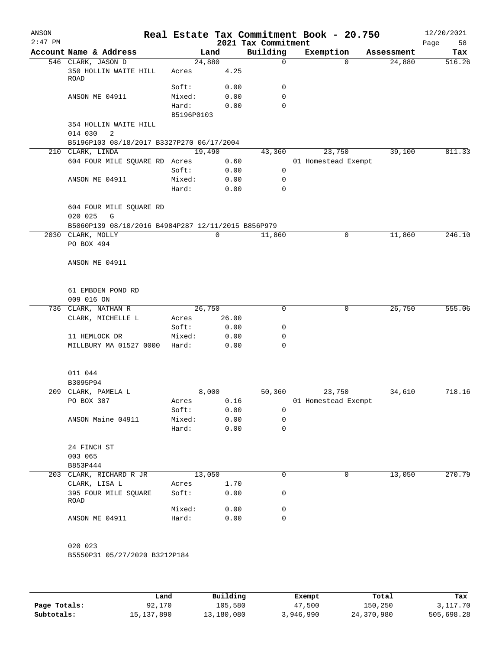| ANSON<br>$2:47$ PM |                                                                         |                          |                      | 2021 Tax Commitment        | Real Estate Tax Commitment Book - 20.750 |            | 12/20/2021<br>58<br>Page |
|--------------------|-------------------------------------------------------------------------|--------------------------|----------------------|----------------------------|------------------------------------------|------------|--------------------------|
|                    | Account Name & Address                                                  |                          | Land                 | Building                   | Exemption                                | Assessment | Tax                      |
|                    | 546 CLARK, JASON D<br>350 HOLLIN WAITE HILL<br>ROAD                     | 24,880<br>Acres          | 4.25                 | $\mathbf 0$                | $\Omega$                                 | 24,880     | 516.26                   |
|                    | ANSON ME 04911                                                          | Soft:<br>Mixed:<br>Hard: | 0.00<br>0.00<br>0.00 | 0<br>$\mathbf 0$<br>0      |                                          |            |                          |
|                    | 354 HOLLIN WAITE HILL<br>014 030<br>2                                   | B5196P0103               |                      |                            |                                          |            |                          |
|                    | B5196P103 08/18/2017 B3327P270 06/17/2004                               |                          |                      |                            |                                          |            |                          |
|                    | 210 CLARK, LINDA                                                        | 19,490                   |                      | 43,360                     | 23,750                                   | 39,100     | 811.33                   |
|                    | 604 FOUR MILE SQUARE RD Acres                                           | Soft:                    | 0.60<br>0.00         | $\mathbf 0$                | 01 Homestead Exempt                      |            |                          |
|                    | ANSON ME 04911                                                          | Mixed:<br>Hard:          | 0.00<br>0.00         | $\mathbf 0$<br>$\mathbf 0$ |                                          |            |                          |
|                    | 604 FOUR MILE SQUARE RD<br>020 025<br>G                                 |                          |                      |                            |                                          |            |                          |
|                    | B5060P139 08/10/2016 B4984P287 12/11/2015 B856P979<br>2030 CLARK, MOLLY |                          | 0                    | 11,860                     | 0                                        | 11,860     | 246.10                   |
|                    | PO BOX 494                                                              |                          |                      |                            |                                          |            |                          |
|                    | ANSON ME 04911                                                          |                          |                      |                            |                                          |            |                          |
|                    | 61 EMBDEN POND RD<br>009 016 ON                                         |                          |                      |                            |                                          |            |                          |
|                    | 736 CLARK, NATHAN R                                                     | 26,750                   |                      | 0                          | 0                                        | 26,750     | 555.06                   |
|                    | CLARK, MICHELLE L                                                       | Acres<br>Soft:           | 26.00<br>0.00        | 0                          |                                          |            |                          |
|                    | 11 HEMLOCK DR                                                           | Mixed:                   | 0.00                 | 0                          |                                          |            |                          |
|                    | MILLBURY MA 01527 0000                                                  | Hard:                    | 0.00                 | 0                          |                                          |            |                          |
|                    | 011 044<br>B3095P94                                                     |                          |                      |                            |                                          |            |                          |
|                    | 209 CLARK, PAMELA L                                                     |                          | 8,000                | 50,360                     | 23,750                                   | 34,610     | 718.16                   |
|                    | PO BOX 307                                                              | Acres                    | 0.16                 |                            | 01 Homestead Exempt                      |            |                          |
|                    |                                                                         | Soft:                    | 0.00                 | 0                          |                                          |            |                          |
|                    | ANSON Maine 04911                                                       | Mixed:                   | 0.00                 | 0                          |                                          |            |                          |
|                    |                                                                         | Hard:                    | 0.00                 | $\mathbf 0$                |                                          |            |                          |
|                    | 24 FINCH ST<br>003 065<br>B853P444                                      |                          |                      |                            |                                          |            |                          |
| 203                | CLARK, RICHARD R JR                                                     | 13,050                   |                      | 0                          | 0                                        | 13,050     | 270.79                   |
|                    | CLARK, LISA L                                                           | Acres                    | 1.70                 |                            |                                          |            |                          |
|                    | 395 FOUR MILE SQUARE<br>ROAD                                            | Soft:                    | 0.00                 | 0                          |                                          |            |                          |
|                    |                                                                         | Mixed:                   | 0.00                 | 0                          |                                          |            |                          |
|                    | ANSON ME 04911                                                          | Hard:                    | 0.00                 | 0                          |                                          |            |                          |
|                    | 020 023<br>B5550P31 05/27/2020 B3212P184                                |                          |                      |                            |                                          |            |                          |
|                    |                                                                         |                          |                      |                            |                                          |            |                          |
|                    |                                                                         |                          |                      |                            |                                          |            |                          |

|              | Land         | Building   | Exempt    | Total      | Tax        |
|--------------|--------------|------------|-----------|------------|------------|
| Page Totals: | 92,170       | 105,580    | 47,500    | 150,250    | 3,117.70   |
| Subtotals:   | 15, 137, 890 | 13,180,080 | 3,946,990 | 24,370,980 | 505,698.28 |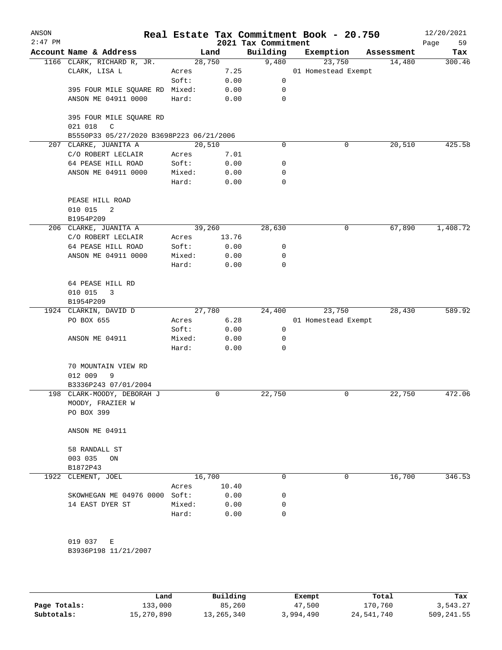| ANSON<br>$2:47$ PM |                                                              |        |        | 2021 Tax Commitment | Real Estate Tax Commitment Book - 20.750 |            | 12/20/2021<br>59<br>Page |
|--------------------|--------------------------------------------------------------|--------|--------|---------------------|------------------------------------------|------------|--------------------------|
|                    | Account Name & Address                                       |        | Land   | Building            | Exemption                                | Assessment | Tax                      |
|                    | 1166 CLARK, RICHARD R, JR.                                   |        | 28,750 | 9,480               | 23,750                                   | 14,480     | 300.46                   |
|                    | CLARK, LISA L                                                | Acres  | 7.25   |                     | 01 Homestead Exempt                      |            |                          |
|                    |                                                              | Soft:  | 0.00   | 0                   |                                          |            |                          |
|                    | 395 FOUR MILE SQUARE RD Mixed:                               |        | 0.00   | 0                   |                                          |            |                          |
|                    | ANSON ME 04911 0000                                          | Hard:  | 0.00   | $\mathbf 0$         |                                          |            |                          |
|                    | 395 FOUR MILE SQUARE RD<br>$\mathsf{C}$<br>021 018           |        |        |                     |                                          |            |                          |
|                    | B5550P33 05/27/2020 B3698P223 06/21/2006                     |        |        |                     |                                          |            |                          |
|                    | 207 CLARKE, JUANITA A                                        |        | 20,510 | 0                   | 0                                        | 20,510     | 425.58                   |
|                    | C/O ROBERT LECLAIR                                           | Acres  | 7.01   |                     |                                          |            |                          |
|                    | 64 PEASE HILL ROAD                                           | Soft:  | 0.00   | 0                   |                                          |            |                          |
|                    | ANSON ME 04911 0000                                          | Mixed: | 0.00   | 0                   |                                          |            |                          |
|                    |                                                              | Hard:  | 0.00   | $\mathbf 0$         |                                          |            |                          |
|                    | PEASE HILL ROAD                                              |        |        |                     |                                          |            |                          |
|                    | 010 015<br>2                                                 |        |        |                     |                                          |            |                          |
|                    | B1954P209                                                    |        |        |                     |                                          |            |                          |
|                    | 206 CLARKE, JUANITA A                                        |        | 39,260 | 28,630              | 0                                        | 67,890     | 1,408.72                 |
|                    | C/O ROBERT LECLAIR                                           | Acres  | 13.76  |                     |                                          |            |                          |
|                    | 64 PEASE HILL ROAD                                           | Soft:  | 0.00   | 0                   |                                          |            |                          |
|                    | ANSON ME 04911 0000                                          | Mixed: | 0.00   | 0                   |                                          |            |                          |
|                    |                                                              | Hard:  | 0.00   | 0                   |                                          |            |                          |
|                    | 64 PEASE HILL RD                                             |        |        |                     |                                          |            |                          |
|                    | 010 015<br>3                                                 |        |        |                     |                                          |            |                          |
|                    | B1954P209                                                    |        |        |                     |                                          |            |                          |
|                    | 1924 CLARKIN, DAVID D                                        |        | 27,780 | 24,400              | 23,750                                   | 28,430     | 589.92                   |
|                    | PO BOX 655                                                   | Acres  | 6.28   |                     | 01 Homestead Exempt                      |            |                          |
|                    |                                                              | Soft:  | 0.00   | 0                   |                                          |            |                          |
|                    | ANSON ME 04911                                               | Mixed: | 0.00   | 0                   |                                          |            |                          |
|                    |                                                              | Hard:  | 0.00   | 0                   |                                          |            |                          |
|                    | 70 MOUNTAIN VIEW RD                                          |        |        |                     |                                          |            |                          |
|                    | 012 009<br>9                                                 |        |        |                     |                                          |            |                          |
|                    | B3336P243 07/01/2004                                         |        |        |                     |                                          |            |                          |
|                    | 198 CLARK-MOODY, DEBORAH J<br>MOODY, FRAZIER W<br>PO BOX 399 |        | 0      | 22,750              | 0                                        | 22,750     | 472.06                   |
|                    | ANSON ME 04911                                               |        |        |                     |                                          |            |                          |
|                    | 58 RANDALL ST                                                |        |        |                     |                                          |            |                          |
|                    | 003 035<br>ON<br>B1872P43                                    |        |        |                     |                                          |            |                          |
|                    | 1922 CLEMENT, JOEL                                           |        | 16,700 | 0                   | 0                                        | 16,700     | 346.53                   |
|                    |                                                              | Acres  | 10.40  |                     |                                          |            |                          |
|                    | SKOWHEGAN ME 04976 0000 Soft:                                |        | 0.00   | 0                   |                                          |            |                          |
|                    | 14 EAST DYER ST                                              | Mixed: | 0.00   | 0                   |                                          |            |                          |
|                    |                                                              | Hard:  | 0.00   | 0                   |                                          |            |                          |
|                    | 019 037<br>Е                                                 |        |        |                     |                                          |            |                          |
|                    | B3936P198 11/21/2007                                         |        |        |                     |                                          |            |                          |

|              | Land       | Building   | Exempt    | Total      | Tax        |
|--------------|------------|------------|-----------|------------|------------|
| Page Totals: | 133,000    | 85,260     | 47,500    | 170,760    | 3,543.27   |
| Subtotals:   | 15,270,890 | 13,265,340 | 3,994,490 | 24,541,740 | 509,241.55 |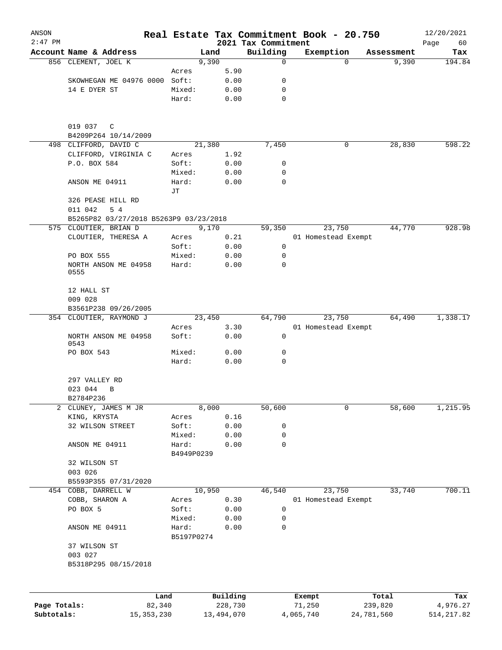| ANSON          |                                             |                     |              |                                 | Real Estate Tax Commitment Book - 20.750 |            | 12/20/2021        |
|----------------|---------------------------------------------|---------------------|--------------|---------------------------------|------------------------------------------|------------|-------------------|
| $2:47$ PM      | Account Name & Address                      |                     | Land         | 2021 Tax Commitment<br>Building | Exemption                                | Assessment | Page<br>60<br>Tax |
|                | 856 CLEMENT, JOEL K                         |                     | 9,390        | $\mathbf 0$                     | $\Omega$                                 | 9,390      | 194.84            |
|                |                                             | Acres               | 5.90         |                                 |                                          |            |                   |
|                | SKOWHEGAN ME 04976 0000 Soft:               |                     | 0.00         | 0                               |                                          |            |                   |
|                | 14 E DYER ST                                | Mixed:              | 0.00         | 0                               |                                          |            |                   |
|                |                                             | Hard:               | 0.00         | 0                               |                                          |            |                   |
|                | 019 037<br>C                                |                     |              |                                 |                                          |            |                   |
|                | B4209P264 10/14/2009                        |                     |              |                                 |                                          |            |                   |
|                | 498 CLIFFORD, DAVID C                       |                     | 21,380       | 7,450                           | 0                                        | 28,830     | 598.22            |
|                | CLIFFORD, VIRGINIA C<br>P.O. BOX 584        | Acres<br>Soft:      | 1.92<br>0.00 | 0                               |                                          |            |                   |
|                |                                             | Mixed:              | 0.00         | 0                               |                                          |            |                   |
|                | ANSON ME 04911                              | Hard:<br>JТ         | 0.00         | $\mathbf 0$                     |                                          |            |                   |
|                | 326 PEASE HILL RD<br>011 042<br>5 4         |                     |              |                                 |                                          |            |                   |
|                | B5265P82 03/27/2018 B5263P9 03/23/2018      |                     |              |                                 |                                          |            |                   |
|                | 575 CLOUTIER, BRIAN D                       |                     | 9,170        | 59,350                          | 23,750                                   | 44,770     | 928.98            |
|                | CLOUTIER, THERESA A                         | Acres               | 0.21         |                                 | 01 Homestead Exempt                      |            |                   |
|                |                                             | Soft:               | 0.00         | 0                               |                                          |            |                   |
|                | PO BOX 555                                  | Mixed:              | 0.00         | 0                               |                                          |            |                   |
|                | NORTH ANSON ME 04958<br>0555                | Hard:               | 0.00         | 0                               |                                          |            |                   |
|                | 12 HALL ST<br>009 028                       |                     |              |                                 |                                          |            |                   |
|                | B3561P238 09/26/2005                        |                     |              |                                 |                                          |            |                   |
|                | 354 CLOUTIER, RAYMOND J                     |                     | 23,450       | 64,790                          | 23,750                                   | 64,490     | 1,338.17          |
|                |                                             | Acres               | 3.30         |                                 | 01 Homestead Exempt                      |            |                   |
|                | NORTH ANSON ME 04958<br>0543                | Soft:               | 0.00         | 0                               |                                          |            |                   |
|                | PO BOX 543                                  | Mixed:<br>Hard:     | 0.00<br>0.00 | 0<br>0                          |                                          |            |                   |
|                | 297 VALLEY RD                               |                     |              |                                 |                                          |            |                   |
|                | 023 044<br>$\mathbf B$                      |                     |              |                                 |                                          |            |                   |
|                | B2784P236                                   |                     |              |                                 |                                          |            |                   |
| $\overline{a}$ | CLUNEY, JAMES M JR                          |                     | 8,000        | 50,600                          | 0                                        | 58,600     | 1,215.95          |
|                | KING, KRYSTA                                | Acres               | 0.16         |                                 |                                          |            |                   |
|                | 32 WILSON STREET                            | Soft:               | 0.00         | 0                               |                                          |            |                   |
|                |                                             | Mixed:              | 0.00         | 0                               |                                          |            |                   |
|                | ANSON ME 04911                              | Hard:<br>B4949P0239 | 0.00         | 0                               |                                          |            |                   |
|                | 32 WILSON ST                                |                     |              |                                 |                                          |            |                   |
|                | 003 026                                     |                     |              |                                 |                                          |            |                   |
|                | B5593P355 07/31/2020<br>454 COBB, DARRELL W |                     | 10,950       | 46,540                          | 23,750                                   | 33,740     | 700.11            |
|                | COBB, SHARON A                              |                     | 0.30         |                                 | 01 Homestead Exempt                      |            |                   |
|                | PO BOX 5                                    | Acres<br>Soft:      | 0.00         | 0                               |                                          |            |                   |
|                |                                             | Mixed:              | 0.00         | 0                               |                                          |            |                   |
|                | ANSON ME 04911                              | Hard:<br>B5197P0274 | 0.00         | 0                               |                                          |            |                   |
|                | 37 WILSON ST<br>003 027                     |                     |              |                                 |                                          |            |                   |
|                | B5318P295 08/15/2018                        |                     |              |                                 |                                          |            |                   |
|                |                                             |                     |              |                                 |                                          |            |                   |
|                | Land                                        |                     | Building     |                                 | Exempt                                   | Total      | Tax               |
| Page Totals:   | 82,340                                      |                     | 228,730      |                                 | 71,250                                   | 239,820    | 4,976.27          |

**Subtotals:** 15,353,230 13,494,070 4,065,740 24,781,560 514,217.82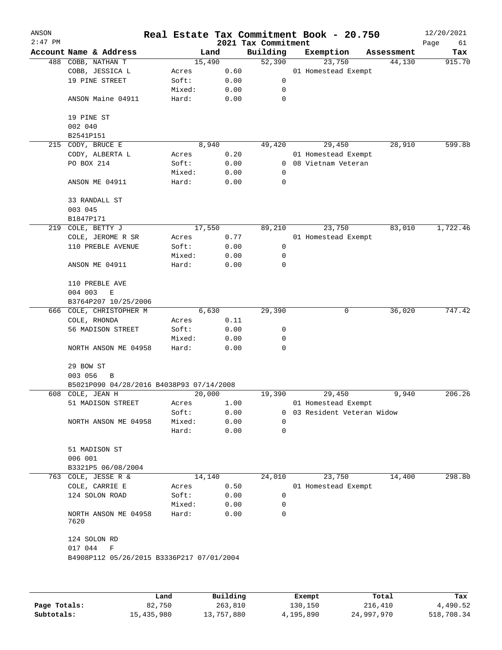| ANSON<br>$2:47$ PM |                                           |        |        | 2021 Tax Commitment | Real Estate Tax Commitment Book - 20.750 |            | 12/20/2021<br>Page<br>61 |
|--------------------|-------------------------------------------|--------|--------|---------------------|------------------------------------------|------------|--------------------------|
|                    | Account Name & Address                    |        | Land   | Building            | Exemption                                | Assessment | Tax                      |
|                    | 488 COBB, NATHAN T                        |        | 15,490 | 52,390              | 23,750                                   | 44,130     | 915.70                   |
|                    | COBB, JESSICA L                           | Acres  | 0.60   |                     | 01 Homestead Exempt                      |            |                          |
|                    | 19 PINE STREET                            | Soft:  | 0.00   | 0                   |                                          |            |                          |
|                    |                                           | Mixed: | 0.00   | 0                   |                                          |            |                          |
|                    | ANSON Maine 04911                         | Hard:  | 0.00   | 0                   |                                          |            |                          |
|                    | 19 PINE ST                                |        |        |                     |                                          |            |                          |
|                    | 002 040                                   |        |        |                     |                                          |            |                          |
|                    | B2541P151                                 |        |        |                     |                                          |            |                          |
| 215                | CODY, BRUCE E                             |        | 8,940  | 49,420              | 29,450                                   | 28,910     | 599.88                   |
|                    | CODY, ALBERTA L                           | Acres  | 0.20   |                     | 01 Homestead Exempt                      |            |                          |
|                    | PO BOX 214                                | Soft:  | 0.00   | $\mathbf{0}$        | 08 Vietnam Veteran                       |            |                          |
|                    |                                           | Mixed: | 0.00   | 0                   |                                          |            |                          |
|                    | ANSON ME 04911                            | Hard:  | 0.00   | 0                   |                                          |            |                          |
|                    | 33 RANDALL ST                             |        |        |                     |                                          |            |                          |
|                    | 003 045                                   |        |        |                     |                                          |            |                          |
|                    | B1847P171                                 |        |        |                     |                                          |            |                          |
| 219                | COLE, BETTY J                             |        | 17,550 | 89,210              | 23,750                                   | 83,010     | 1,722.46                 |
|                    | COLE, JEROME R SR                         | Acres  | 0.77   |                     | 01 Homestead Exempt                      |            |                          |
|                    | 110 PREBLE AVENUE                         | Soft:  | 0.00   | 0                   |                                          |            |                          |
|                    |                                           | Mixed: | 0.00   | 0                   |                                          |            |                          |
|                    | ANSON ME 04911                            | Hard:  | 0.00   | 0                   |                                          |            |                          |
|                    | 110 PREBLE AVE                            |        |        |                     |                                          |            |                          |
|                    | 004 003<br>E                              |        |        |                     |                                          |            |                          |
|                    | B3764P207 10/25/2006                      |        |        |                     |                                          |            |                          |
|                    | 666 COLE, CHRISTOPHER M                   |        | 6,630  | 29,390              | 0                                        | 36,020     | 747.42                   |
|                    | COLE, RHONDA                              | Acres  | 0.11   |                     |                                          |            |                          |
|                    | 56 MADISON STREET                         | Soft:  | 0.00   | 0                   |                                          |            |                          |
|                    |                                           | Mixed: | 0.00   | 0                   |                                          |            |                          |
|                    | NORTH ANSON ME 04958                      | Hard:  | 0.00   | 0                   |                                          |            |                          |
|                    | 29 BOW ST                                 |        |        |                     |                                          |            |                          |
|                    | 003 056<br>В                              |        |        |                     |                                          |            |                          |
|                    | B5021P090 04/28/2016 B4038P93 07/14/2008  |        |        |                     |                                          |            | 206.26                   |
|                    | 608 COLE, JEAN H                          |        | 20,000 | 19,390              | 29,450                                   | 9,940      |                          |
|                    | 51 MADISON STREET                         | Acres  | 1.00   |                     | 01 Homestead Exempt                      |            |                          |
|                    |                                           | Soft:  | 0.00   | 0                   | 03 Resident Veteran Widow                |            |                          |
|                    | NORTH ANSON ME 04958                      | Mixed: | 0.00   | $\Omega$            |                                          |            |                          |
|                    |                                           | Hard:  | 0.00   | 0                   |                                          |            |                          |
|                    | 51 MADISON ST                             |        |        |                     |                                          |            |                          |
|                    | 006 001                                   |        |        |                     |                                          |            |                          |
|                    | B3321P5 06/08/2004                        |        |        |                     |                                          |            |                          |
| 763                | COLE, JESSE R &                           |        | 14,140 | 24,010              | 23,750                                   | 14,400     | 298.80                   |
|                    | COLE, CARRIE E                            | Acres  | 0.50   |                     | 01 Homestead Exempt                      |            |                          |
|                    | 124 SOLON ROAD                            | Soft:  | 0.00   | 0                   |                                          |            |                          |
|                    |                                           | Mixed: | 0.00   | 0                   |                                          |            |                          |
|                    | NORTH ANSON ME 04958<br>7620              | Hard:  | 0.00   | 0                   |                                          |            |                          |
|                    | 124 SOLON RD                              |        |        |                     |                                          |            |                          |
|                    | 017 044<br>F                              |        |        |                     |                                          |            |                          |
|                    | B4908P112 05/26/2015 B3336P217 07/01/2004 |        |        |                     |                                          |            |                          |
|                    |                                           |        |        |                     |                                          |            |                          |
|                    |                                           |        |        |                     |                                          |            |                          |
|                    |                                           |        |        |                     |                                          |            |                          |

|              | Land       | Building   | Exempt    | Total      | Tax        |
|--------------|------------|------------|-----------|------------|------------|
| Page Totals: | 82,750     | 263,810    | 130,150   | 216,410    | 4,490.52   |
| Subtotals:   | 15,435,980 | 13,757,880 | 4,195,890 | 24,997,970 | 518,708.34 |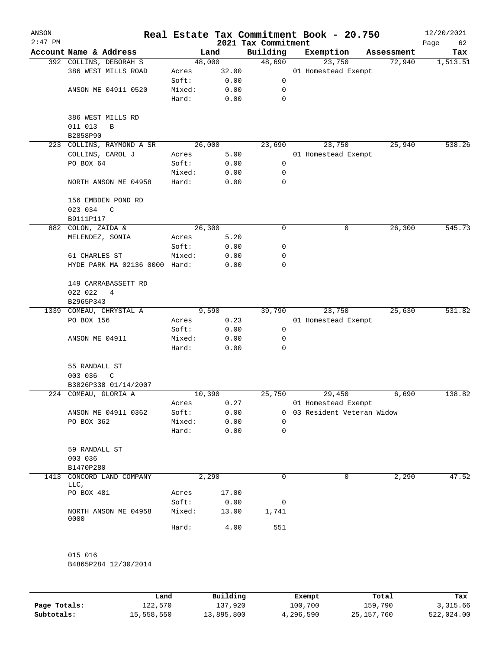| ANSON     |                                               |        |          | Real Estate Tax Commitment Book - 20.750 |                           |        |            | 12/20/2021        |
|-----------|-----------------------------------------------|--------|----------|------------------------------------------|---------------------------|--------|------------|-------------------|
| $2:47$ PM | Account Name & Address                        |        | Land     | 2021 Tax Commitment<br>Building          | Exemption                 |        | Assessment | Page<br>62<br>Tax |
|           | 392 COLLINS, DEBORAH S                        |        | 48,000   | 48,690                                   |                           | 23,750 | 72,940     | 1,513.51          |
|           | 386 WEST MILLS ROAD                           | Acres  | 32.00    |                                          | 01 Homestead Exempt       |        |            |                   |
|           |                                               | Soft:  | 0.00     | 0                                        |                           |        |            |                   |
|           | ANSON ME 04911 0520                           | Mixed: | 0.00     | 0                                        |                           |        |            |                   |
|           |                                               | Hard:  | 0.00     | 0                                        |                           |        |            |                   |
|           | 386 WEST MILLS RD                             |        |          |                                          |                           |        |            |                   |
|           | 011 013<br>B<br>B2858P90                      |        |          |                                          |                           |        |            |                   |
|           | 223 COLLINS, RAYMOND A SR                     |        | 26,000   | 23,690                                   |                           | 23,750 | 25,940     | 538.26            |
|           | COLLINS, CAROL J                              | Acres  | 5.00     |                                          | 01 Homestead Exempt       |        |            |                   |
|           | PO BOX 64                                     | Soft:  | 0.00     | 0                                        |                           |        |            |                   |
|           |                                               | Mixed: | 0.00     | 0                                        |                           |        |            |                   |
|           | NORTH ANSON ME 04958                          | Hard:  | 0.00     | 0                                        |                           |        |            |                   |
|           | 156 EMBDEN POND RD<br>023 034<br>$\mathbb{C}$ |        |          |                                          |                           |        |            |                   |
|           | B9111P117                                     |        |          |                                          |                           |        |            |                   |
|           | 882 COLON, ZAIDA &                            |        | 26,300   | 0                                        |                           | 0      | 26,300     | 545.73            |
|           | MELENDEZ, SONIA                               | Acres  | 5.20     |                                          |                           |        |            |                   |
|           |                                               | Soft:  | 0.00     | 0                                        |                           |        |            |                   |
|           | 61 CHARLES ST                                 | Mixed: | 0.00     | 0                                        |                           |        |            |                   |
|           | HYDE PARK MA 02136 0000 Hard:                 |        | 0.00     | 0                                        |                           |        |            |                   |
|           | 149 CARRABASSETT RD                           |        |          |                                          |                           |        |            |                   |
|           | 022 022<br>4                                  |        |          |                                          |                           |        |            |                   |
|           | B2965P343                                     |        |          |                                          |                           |        |            |                   |
|           | 1339 COMEAU, CHRYSTAL A                       |        | 9,590    | 39,790                                   |                           | 23,750 | 25,630     | 531.82            |
|           | PO BOX 156                                    | Acres  | 0.23     |                                          | 01 Homestead Exempt       |        |            |                   |
|           |                                               | Soft:  | 0.00     | 0                                        |                           |        |            |                   |
|           | ANSON ME 04911                                | Mixed: | 0.00     | 0                                        |                           |        |            |                   |
|           |                                               | Hard:  | 0.00     | 0                                        |                           |        |            |                   |
|           | 55 RANDALL ST                                 |        |          |                                          |                           |        |            |                   |
|           | 003 036<br>C                                  |        |          |                                          |                           |        |            |                   |
|           | B3826P338 01/14/2007                          |        |          |                                          |                           |        |            |                   |
|           | 224 COMEAU, GLORIA A                          |        | 10,390   | 25,750                                   |                           | 29,450 | 6,690      | 138.82            |
|           |                                               | Acres  | 0.27     |                                          | 01 Homestead Exempt       |        |            |                   |
|           | ANSON ME 04911 0362                           | Soft:  | 0.00     | $\Omega$                                 | 03 Resident Veteran Widow |        |            |                   |
|           | PO BOX 362                                    | Mixed: | 0.00     | 0                                        |                           |        |            |                   |
|           |                                               | Hard:  | 0.00     | 0                                        |                           |        |            |                   |
|           | 59 RANDALL ST                                 |        |          |                                          |                           |        |            |                   |
|           | 003 036                                       |        |          |                                          |                           |        |            |                   |
|           | B1470P280                                     |        |          |                                          |                           |        |            |                   |
| 1413      | CONCORD LAND COMPANY<br>LLC,                  |        | 2,290    | 0                                        |                           | 0      | 2,290      | 47.52             |
|           | PO BOX 481                                    | Acres  | 17.00    |                                          |                           |        |            |                   |
|           |                                               | Soft:  | 0.00     | 0                                        |                           |        |            |                   |
|           | NORTH ANSON ME 04958                          | Mixed: | 13.00    | 1,741                                    |                           |        |            |                   |
|           | 0000                                          | Hard:  | 4.00     | 551                                      |                           |        |            |                   |
|           |                                               |        |          |                                          |                           |        |            |                   |
|           | 015 016<br>B4865P284 12/30/2014               |        |          |                                          |                           |        |            |                   |
|           |                                               |        |          |                                          |                           |        |            |                   |
|           |                                               | Land   | Building |                                          | Exempt                    |        | Total      | Tax               |

**Page Totals:** 122,570 137,920 100,700 159,790 3,315.66 **Subtotals:** 15,558,550 13,895,800 4,296,590 25,157,760 522,024.00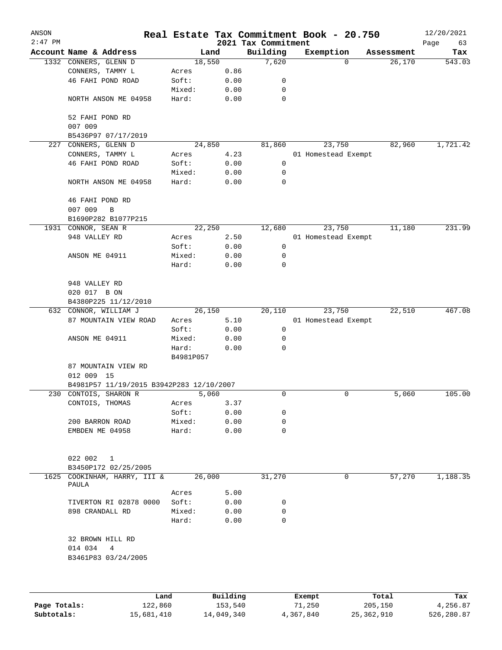| ANSON     |                                          |           |          |                                 | Real Estate Tax Commitment Book - 20.750 |            | 12/20/2021        |
|-----------|------------------------------------------|-----------|----------|---------------------------------|------------------------------------------|------------|-------------------|
| $2:47$ PM | Account Name & Address                   |           | Land     | 2021 Tax Commitment<br>Building | Exemption                                | Assessment | Page<br>63<br>Tax |
|           | 1332 CONNERS, GLENN D                    | 18,550    |          | 7,620                           | $\Omega$                                 | 26,170     | 543.03            |
|           | CONNERS, TAMMY L                         | Acres     | 0.86     |                                 |                                          |            |                   |
|           | 46 FAHI POND ROAD                        | Soft:     | 0.00     | 0                               |                                          |            |                   |
|           |                                          | Mixed:    | 0.00     | 0                               |                                          |            |                   |
|           | NORTH ANSON ME 04958                     | Hard:     | 0.00     | $\mathbf 0$                     |                                          |            |                   |
|           | 52 FAHI POND RD                          |           |          |                                 |                                          |            |                   |
|           | 007 009                                  |           |          |                                 |                                          |            |                   |
|           | B5436P97 07/17/2019                      |           |          |                                 |                                          |            |                   |
|           | 227 CONNERS, GLENN D                     | 24,850    |          | 81,860                          | 23,750                                   | 82,960     | 1,721.42          |
|           | CONNERS, TAMMY L                         | Acres     | 4.23     |                                 | 01 Homestead Exempt                      |            |                   |
|           | 46 FAHI POND ROAD                        | Soft:     | 0.00     | 0                               |                                          |            |                   |
|           |                                          | Mixed:    | 0.00     | 0                               |                                          |            |                   |
|           | NORTH ANSON ME 04958                     | Hard:     | 0.00     | 0                               |                                          |            |                   |
|           | 46 FAHI POND RD<br>007 009               |           |          |                                 |                                          |            |                   |
|           | B                                        |           |          |                                 |                                          |            |                   |
|           | B1690P282 B1077P215                      |           |          |                                 |                                          |            | 231.99            |
|           | 1931 CONNOR, SEAN R                      | 22,250    |          | 12,680                          | 23,750                                   | 11,180     |                   |
|           | 948 VALLEY RD                            | Acres     | 2.50     |                                 | 01 Homestead Exempt                      |            |                   |
|           |                                          | Soft:     | 0.00     | 0                               |                                          |            |                   |
|           | ANSON ME 04911                           | Mixed:    | 0.00     | 0                               |                                          |            |                   |
|           |                                          | Hard:     | 0.00     | $\mathbf 0$                     |                                          |            |                   |
|           | 948 VALLEY RD                            |           |          |                                 |                                          |            |                   |
|           | 020 017 B ON                             |           |          |                                 |                                          |            |                   |
|           | B4380P225 11/12/2010                     |           |          |                                 |                                          |            |                   |
|           | 632 CONNOR, WILLIAM J                    | 26,150    |          | 20,110                          | 23,750                                   | 22,510     | 467.08            |
|           | 87 MOUNTAIN VIEW ROAD                    | Acres     | 5.10     |                                 | 01 Homestead Exempt                      |            |                   |
|           |                                          | Soft:     | 0.00     | 0                               |                                          |            |                   |
|           | ANSON ME 04911                           | Mixed:    | 0.00     | 0                               |                                          |            |                   |
|           |                                          | Hard:     | 0.00     | 0                               |                                          |            |                   |
|           |                                          | B4981P057 |          |                                 |                                          |            |                   |
|           | 87 MOUNTAIN VIEW RD                      |           |          |                                 |                                          |            |                   |
|           | 012 009 15                               |           |          |                                 |                                          |            |                   |
|           | B4981P57 11/19/2015 B3942P283 12/10/2007 |           |          |                                 |                                          |            |                   |
|           | 230 CONTOIS, SHARON R                    | 5,060     |          | 0                               | 0                                        | 5,060      | 105.00            |
|           | CONTOIS, THOMAS                          | Acres     | 3.37     |                                 |                                          |            |                   |
|           |                                          | Soft:     | 0.00     | 0                               |                                          |            |                   |
|           | 200 BARRON ROAD                          | Mixed:    | 0.00     | 0                               |                                          |            |                   |
|           | EMBDEN ME 04958                          | Hard:     | 0.00     | 0                               |                                          |            |                   |
|           |                                          |           |          |                                 |                                          |            |                   |
|           | 022 002<br>$\mathbf{1}$                  |           |          |                                 |                                          |            |                   |
|           | B3450P172 02/25/2005                     |           |          |                                 |                                          |            |                   |
| 1625      | COOKINHAM, HARRY, III &                  | 26,000    |          | 31,270                          | 0                                        | 57,270     | 1,188.35          |
|           | PAULA                                    |           |          |                                 |                                          |            |                   |
|           |                                          | Acres     | 5.00     |                                 |                                          |            |                   |
|           | TIVERTON RI 02878 0000                   | Soft:     | 0.00     | 0                               |                                          |            |                   |
|           | 898 CRANDALL RD                          | Mixed:    | 0.00     | 0                               |                                          |            |                   |
|           |                                          | Hard:     | 0.00     | 0                               |                                          |            |                   |
|           | 32 BROWN HILL RD                         |           |          |                                 |                                          |            |                   |
|           | 014 034<br>4                             |           |          |                                 |                                          |            |                   |
|           | B3461P83 03/24/2005                      |           |          |                                 |                                          |            |                   |
|           |                                          |           |          |                                 |                                          |            |                   |
|           |                                          |           |          |                                 |                                          |            |                   |
|           | Land                                     |           | Building |                                 | Exempt                                   | Total      | Tax               |

|              | ⊥and       | Building   | Exempt    | Total      | тах        |
|--------------|------------|------------|-----------|------------|------------|
| Page Totals: | 122,860    | 153,540    | 71,250    | 205,150    | 4,256.87   |
| Subtotals:   | 15,681,410 | 14,049,340 | 4,367,840 | 25,362,910 | 526,280.87 |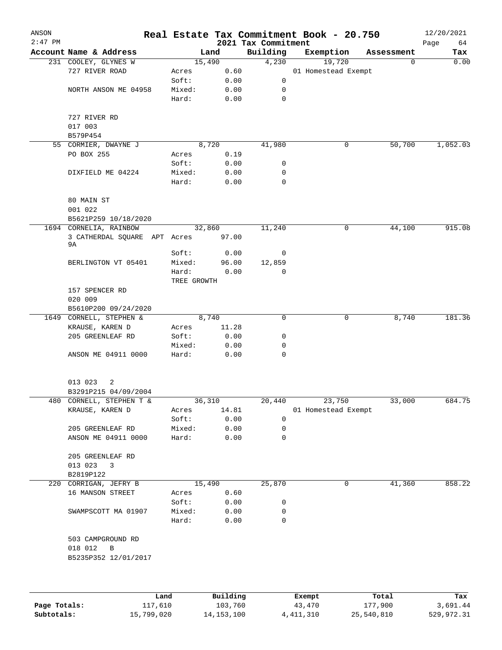| ANSON     |                                         |                 |              |                                 | Real Estate Tax Commitment Book - 20.750 |             | 12/20/2021        |
|-----------|-----------------------------------------|-----------------|--------------|---------------------------------|------------------------------------------|-------------|-------------------|
| $2:47$ PM | Account Name & Address                  |                 | Land         | 2021 Tax Commitment<br>Building | Exemption                                | Assessment  | Page<br>64<br>Tax |
|           | 231 COOLEY, GLYNES W                    |                 | 15,490       | 4,230                           | 19,720                                   | $\mathbf 0$ | 0.00              |
|           | 727 RIVER ROAD                          | Acres           | 0.60         |                                 | 01 Homestead Exempt                      |             |                   |
|           |                                         | Soft:           | 0.00         | 0                               |                                          |             |                   |
|           | NORTH ANSON ME 04958                    | Mixed:          | 0.00         | 0                               |                                          |             |                   |
|           |                                         | Hard:           | 0.00         | 0                               |                                          |             |                   |
|           | 727 RIVER RD                            |                 |              |                                 |                                          |             |                   |
|           | 017 003                                 |                 |              |                                 |                                          |             |                   |
|           | B579P454                                |                 |              |                                 |                                          |             |                   |
|           | 55 CORMIER, DWAYNE J                    |                 | 8,720        | 41,980                          | 0                                        | 50,700      | 1,052.03          |
|           | PO BOX 255                              | Acres           | 0.19         |                                 |                                          |             |                   |
|           |                                         | Soft:           | 0.00         | 0                               |                                          |             |                   |
|           | DIXFIELD ME 04224                       | Mixed:          | 0.00         | 0                               |                                          |             |                   |
|           |                                         | Hard:           | 0.00         | $\mathbf 0$                     |                                          |             |                   |
|           | 80 MAIN ST                              |                 |              |                                 |                                          |             |                   |
|           | 001 022                                 |                 |              |                                 |                                          |             |                   |
|           | B5621P259 10/18/2020                    |                 |              |                                 |                                          |             |                   |
|           | 1694 CORNELIA, RAINBOW                  |                 | 32,860       | 11,240                          | 0                                        | 44,100      | 915.08            |
|           | 3 CATHERDAL SQUARE APT Acres            |                 | 97.00        |                                 |                                          |             |                   |
|           | 9A                                      |                 |              |                                 |                                          |             |                   |
|           |                                         | Soft:           | 0.00         | 0                               |                                          |             |                   |
|           | BERLINGTON VT 05401                     | Mixed:          | 96.00        | 12,859                          |                                          |             |                   |
|           |                                         | Hard:           | 0.00         | 0                               |                                          |             |                   |
|           |                                         | TREE GROWTH     |              |                                 |                                          |             |                   |
|           | 157 SPENCER RD                          |                 |              |                                 |                                          |             |                   |
|           | 020 009                                 |                 |              |                                 |                                          |             |                   |
|           | B5610P200 09/24/2020                    |                 |              |                                 |                                          |             |                   |
|           | 1649 CORNELL, STEPHEN &                 |                 | 8,740        | 0                               | 0                                        | 8,740       | 181.36            |
|           | KRAUSE, KAREN D                         | Acres           | 11.28        |                                 |                                          |             |                   |
|           | 205 GREENLEAF RD                        | Soft:           | 0.00         | 0                               |                                          |             |                   |
|           |                                         | Mixed:          | 0.00         | 0                               |                                          |             |                   |
|           | ANSON ME 04911 0000                     | Hard:           | 0.00         | 0                               |                                          |             |                   |
|           | 013 023<br>2                            |                 |              |                                 |                                          |             |                   |
|           | B3291P215 04/09/2004                    |                 |              |                                 |                                          |             |                   |
| 480       | CORNELL, STEPHEN T &                    |                 | 36,310       | 20,440                          |                                          | 33,000      | 684.75            |
|           | KRAUSE, KAREN D                         |                 | 14.81        |                                 | 23,750<br>01 Homestead Exempt            |             |                   |
|           |                                         | Acres           |              |                                 |                                          |             |                   |
|           |                                         | Soft:           | 0.00         | 0                               |                                          |             |                   |
|           | 205 GREENLEAF RD<br>ANSON ME 04911 0000 | Mixed:<br>Hard: | 0.00<br>0.00 | 0<br>0                          |                                          |             |                   |
|           |                                         |                 |              |                                 |                                          |             |                   |
|           | 205 GREENLEAF RD                        |                 |              |                                 |                                          |             |                   |
|           | 013 023<br>3                            |                 |              |                                 |                                          |             |                   |
|           | B2819P122                               |                 |              |                                 |                                          |             |                   |
|           | 220 CORRIGAN, JEFRY B                   |                 | 15,490       | 25,870                          | 0                                        | 41,360      | 858.22            |
|           | 16 MANSON STREET                        | Acres           | 0.60         |                                 |                                          |             |                   |
|           |                                         | Soft:           | 0.00         | 0                               |                                          |             |                   |
|           | SWAMPSCOTT MA 01907                     | Mixed:          | 0.00         | 0                               |                                          |             |                   |
|           |                                         | Hard:           | 0.00         | 0                               |                                          |             |                   |
|           | 503 CAMPGROUND RD                       |                 |              |                                 |                                          |             |                   |
|           | 018 012<br>B                            |                 |              |                                 |                                          |             |                   |
|           | B5235P352 12/01/2017                    |                 |              |                                 |                                          |             |                   |
|           |                                         |                 |              |                                 |                                          |             |                   |
|           |                                         | Land            | Building     |                                 | Exempt                                   | Total       | Tax               |
|           |                                         |                 |              |                                 |                                          |             |                   |

|              | uanu       | <b>DULLULIN</b> | <b>BACILDL</b> | TOLAT      | ⊥a∧        |
|--------------|------------|-----------------|----------------|------------|------------|
| Page Totals: | 117,610    | 103,760         | 43,470         | 177,900    | 3,691.44   |
| Subtotals:   | 15,799,020 | 14, 153, 100    | 4,411,310      | 25,540,810 | 529,972.31 |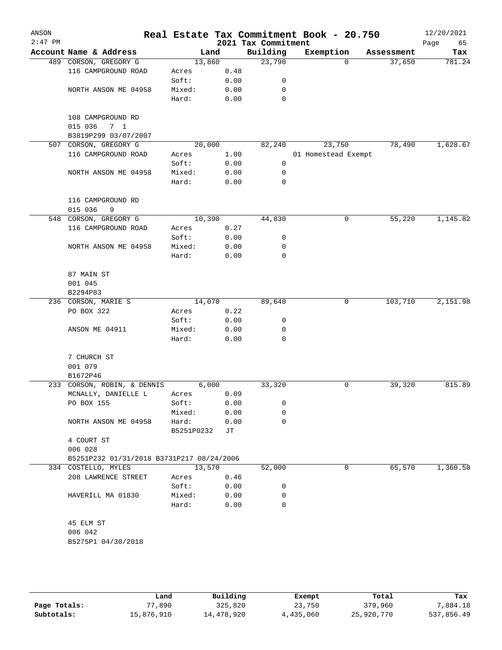| ANSON<br>$2:47$ PM |                                           |            |      | 2021 Tax Commitment | Real Estate Tax Commitment Book - 20.750 |            | 12/20/2021<br>Page<br>65 |
|--------------------|-------------------------------------------|------------|------|---------------------|------------------------------------------|------------|--------------------------|
|                    | Account Name & Address                    | Land       |      | Building            | Exemption                                | Assessment | Tax                      |
|                    | 489 CORSON, GREGORY G                     | 13,860     |      | 23,790              | $\Omega$                                 | 37,650     | 781.24                   |
|                    | 116 CAMPGROUND ROAD                       | Acres      | 0.48 |                     |                                          |            |                          |
|                    |                                           | Soft:      | 0.00 | 0                   |                                          |            |                          |
|                    | NORTH ANSON ME 04958                      | Mixed:     | 0.00 | 0                   |                                          |            |                          |
|                    |                                           | Hard:      | 0.00 | 0                   |                                          |            |                          |
|                    |                                           |            |      |                     |                                          |            |                          |
|                    | 108 CAMPGROUND RD                         |            |      |                     |                                          |            |                          |
|                    | 015 036<br>7 <sub>1</sub>                 |            |      |                     |                                          |            |                          |
|                    | B3819P299 03/07/2007                      |            |      |                     |                                          |            |                          |
| 507                | CORSON, GREGORY G                         | 20,000     |      | 82,240              | 23,750                                   | 78,490     | 1,628.67                 |
|                    | 116 CAMPGROUND ROAD                       | Acres      | 1.00 |                     | 01 Homestead Exempt                      |            |                          |
|                    |                                           | Soft:      | 0.00 | 0                   |                                          |            |                          |
|                    | NORTH ANSON ME 04958                      | Mixed:     | 0.00 | 0                   |                                          |            |                          |
|                    |                                           | Hard:      | 0.00 | 0                   |                                          |            |                          |
|                    | 116 CAMPGROUND RD                         |            |      |                     |                                          |            |                          |
|                    | 015 036<br>9                              |            |      |                     |                                          |            |                          |
| 548                | CORSON, GREGORY G                         | 10,390     |      | 44,830              | 0                                        | 55,220     | 1,145.82                 |
|                    | 116 CAMPGROUND ROAD                       | Acres      | 0.27 |                     |                                          |            |                          |
|                    |                                           | Soft:      | 0.00 | 0                   |                                          |            |                          |
|                    | NORTH ANSON ME 04958                      | Mixed:     | 0.00 | 0                   |                                          |            |                          |
|                    |                                           | Hard:      | 0.00 | 0                   |                                          |            |                          |
|                    |                                           |            |      |                     |                                          |            |                          |
|                    | 87 MAIN ST                                |            |      |                     |                                          |            |                          |
|                    | 001 045                                   |            |      |                     |                                          |            |                          |
|                    | B2294P83                                  |            |      |                     |                                          |            |                          |
|                    | 236 CORSON, MARIE S                       | 14,070     |      | 89,640              | 0                                        | 103,710    | 2,151.98                 |
|                    | PO BOX 322                                | Acres      | 0.22 |                     |                                          |            |                          |
|                    |                                           | Soft:      | 0.00 | 0                   |                                          |            |                          |
|                    | ANSON ME 04911                            | Mixed:     | 0.00 | 0                   |                                          |            |                          |
|                    |                                           | Hard:      | 0.00 | 0                   |                                          |            |                          |
|                    | 7 CHURCH ST                               |            |      |                     |                                          |            |                          |
|                    | 001 079                                   |            |      |                     |                                          |            |                          |
|                    | B1672P46                                  |            |      |                     |                                          |            |                          |
|                    | 233 CORSON, ROBIN, & DENNIS               | 6,000      |      | 33,320              | 0                                        | 39,320     | 815.89                   |
|                    | MCNALLY, DANIELLE L                       | Acres      | 0.09 |                     |                                          |            |                          |
|                    | PO BOX 155                                | Soft:      | 0.00 | 0                   |                                          |            |                          |
|                    |                                           | Mixed:     | 0.00 | 0                   |                                          |            |                          |
|                    | NORTH ANSON ME 04958                      | Hard:      | 0.00 | 0                   |                                          |            |                          |
|                    |                                           | B5251P0232 | JТ   |                     |                                          |            |                          |
|                    | 4 COURT ST                                |            |      |                     |                                          |            |                          |
|                    | 006 028                                   |            |      |                     |                                          |            |                          |
|                    | B5251P232 01/31/2018 B3731P217 08/24/2006 |            |      |                     |                                          |            |                          |
|                    | 334 COSTELLO, MYLES                       | 13,570     |      | 52,000              | 0                                        | 65,570     | 1,360.58                 |
|                    | 208 LAWRENCE STREET                       | Acres      | 0.46 |                     |                                          |            |                          |
|                    |                                           | Soft:      | 0.00 | 0                   |                                          |            |                          |
|                    | HAVERILL MA 01830                         | Mixed:     | 0.00 | 0                   |                                          |            |                          |
|                    |                                           | Hard:      | 0.00 | 0                   |                                          |            |                          |
|                    |                                           |            |      |                     |                                          |            |                          |
|                    | 45 ELM ST                                 |            |      |                     |                                          |            |                          |
|                    | 006 042                                   |            |      |                     |                                          |            |                          |
|                    |                                           |            |      |                     |                                          |            |                          |

|              | Land       | Building   | Exempt    | Total      | Tax        |
|--------------|------------|------------|-----------|------------|------------|
| Page Totals: | 77,890     | 325,820    | 23,750    | 379,960    | 7,884.18   |
| Subtotals:   | 15,876,910 | 14,478,920 | 4,435,060 | 25,920,770 | 537,856.49 |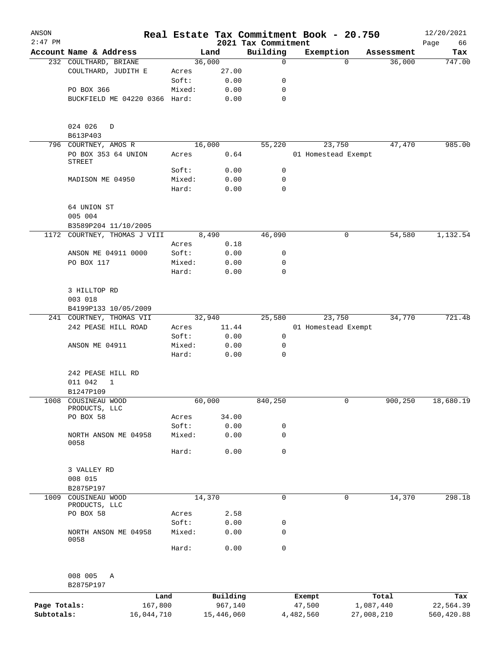| ANSON<br>$2:47$ PM |                                 |                 |              |                                 | Real Estate Tax Commitment Book - 20.750 |                    | 12/20/2021        |
|--------------------|---------------------------------|-----------------|--------------|---------------------------------|------------------------------------------|--------------------|-------------------|
|                    | Account Name & Address          |                 | Land         | 2021 Tax Commitment<br>Building | Exemption                                | Assessment         | Page<br>66<br>Tax |
|                    | 232 COULTHARD, BRIANE           |                 | 36,000       | 0                               |                                          | 36,000<br>$\Omega$ | 747.00            |
|                    | COULTHARD, JUDITH E             | Acres           | 27.00        |                                 |                                          |                    |                   |
|                    |                                 | Soft:           | 0.00         | 0                               |                                          |                    |                   |
|                    | PO BOX 366                      | Mixed:          | 0.00         | 0                               |                                          |                    |                   |
|                    | BUCKFIELD ME 04220 0366 Hard:   |                 | 0.00         | $\mathbf 0$                     |                                          |                    |                   |
|                    | 024 026<br>D                    |                 |              |                                 |                                          |                    |                   |
|                    | B613P403                        |                 |              |                                 |                                          |                    |                   |
|                    | 796 COURTNEY, AMOS R            |                 | 16,000       | 55,220                          | 23,750                                   | 47,470             | 985.00            |
|                    | PO BOX 353 64 UNION<br>STREET   | Acres           | 0.64         |                                 | 01 Homestead Exempt                      |                    |                   |
|                    |                                 | Soft:           | 0.00         | 0                               |                                          |                    |                   |
|                    | MADISON ME 04950                | Mixed:          | 0.00         | 0                               |                                          |                    |                   |
|                    |                                 | Hard:           | 0.00         | $\mathbf 0$                     |                                          |                    |                   |
|                    | 64 UNION ST<br>005 004          |                 |              |                                 |                                          |                    |                   |
|                    | B3589P204 11/10/2005            |                 |              |                                 |                                          |                    |                   |
| 1172               | COURTNEY, THOMAS J VIII         |                 | 8,490        | 46,090                          |                                          | 0<br>54,580        | 1,132.54          |
|                    |                                 | Acres           | 0.18         |                                 |                                          |                    |                   |
|                    | ANSON ME 04911 0000             | Soft:           | 0.00         | 0                               |                                          |                    |                   |
|                    | PO BOX 117                      | Mixed:          | 0.00         | 0                               |                                          |                    |                   |
|                    |                                 | Hard:           | 0.00         | $\mathbf 0$                     |                                          |                    |                   |
|                    | 3 HILLTOP RD                    |                 |              |                                 |                                          |                    |                   |
|                    | 003 018                         |                 |              |                                 |                                          |                    |                   |
|                    | B4199P133 10/05/2009            |                 |              |                                 |                                          |                    |                   |
|                    | 241 COURTNEY, THOMAS VII        |                 | 32,940       | 25,580                          | 23,750                                   | 34,770             | 721.48            |
|                    | 242 PEASE HILL ROAD             | Acres           | 11.44        |                                 | 01 Homestead Exempt                      |                    |                   |
|                    | ANSON ME 04911                  | Soft:<br>Mixed: | 0.00<br>0.00 | 0<br>0                          |                                          |                    |                   |
|                    |                                 | Hard:           | 0.00         | 0                               |                                          |                    |                   |
|                    | 242 PEASE HILL RD               |                 |              |                                 |                                          |                    |                   |
|                    | 011 042<br>1                    |                 |              |                                 |                                          |                    |                   |
|                    | B1247P109                       |                 |              |                                 |                                          |                    |                   |
| 1008               | COUSINEAU WOOD<br>PRODUCTS, LLC |                 | 60,000       | 840,250                         |                                          | 0<br>900,250       | 18,680.19         |
|                    | PO BOX 58                       | Acres           | 34.00        |                                 |                                          |                    |                   |
|                    |                                 | Soft:           | 0.00         | 0                               |                                          |                    |                   |
|                    | NORTH ANSON ME 04958<br>0058    | Mixed:          | 0.00         | 0                               |                                          |                    |                   |
|                    |                                 | Hard:           | 0.00         | 0                               |                                          |                    |                   |
|                    | 3 VALLEY RD                     |                 |              |                                 |                                          |                    |                   |
|                    | 008 015                         |                 |              |                                 |                                          |                    |                   |
|                    | B2875P197                       |                 |              |                                 |                                          |                    |                   |
| 1009               | COUSINEAU WOOD<br>PRODUCTS, LLC |                 | 14,370       | 0                               |                                          | 14,370<br>0        | 298.18            |
|                    | PO BOX 58                       | Acres           | 2.58         |                                 |                                          |                    |                   |
|                    |                                 | Soft:           | 0.00         | 0                               |                                          |                    |                   |
|                    | NORTH ANSON ME 04958<br>0058    | Mixed:          | 0.00         | 0                               |                                          |                    |                   |
|                    |                                 | Hard:           | 0.00         | 0                               |                                          |                    |                   |
|                    |                                 |                 |              |                                 |                                          |                    |                   |
|                    | 008 005<br>Α<br>B2875P197       |                 |              |                                 |                                          |                    |                   |
|                    |                                 | Land            | Building     |                                 | Exempt                                   | Total              | Tax               |
| Page Totals:       |                                 | 167,800         | 967,140      |                                 | 47,500                                   | 1,087,440          | 22,564.39         |
| Subtotals:         | 16,044,710                      |                 | 15,446,060   |                                 | 4,482,560                                | 27,008,210         | 560,420.88        |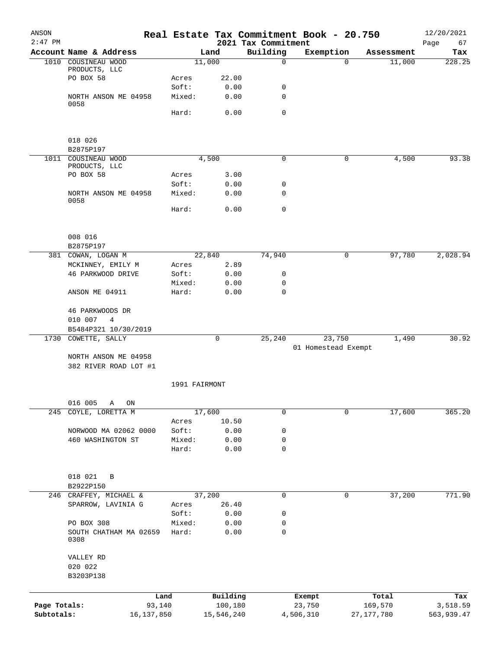| ANSON<br>$2:47$ PM |                                |        |               | 2021 Tax Commitment | Real Estate Tax Commitment Book - 20.750 |              | 12/20/2021<br>Page<br>67 |
|--------------------|--------------------------------|--------|---------------|---------------------|------------------------------------------|--------------|--------------------------|
|                    | Account Name & Address         |        | Land          | Building            | Exemption                                | Assessment   | Tax                      |
|                    | 1010 COUSINEAU WOOD            |        | 11,000        | $\Omega$            | $\Omega$                                 | 11,000       | 228.25                   |
|                    | PRODUCTS, LLC<br>PO BOX 58     | Acres  | 22.00         |                     |                                          |              |                          |
|                    |                                | Soft:  | 0.00          | 0                   |                                          |              |                          |
|                    | NORTH ANSON ME 04958           | Mixed: | 0.00          | $\mathbf 0$         |                                          |              |                          |
|                    | 0058                           |        |               |                     |                                          |              |                          |
|                    |                                | Hard:  | 0.00          | $\mathbf 0$         |                                          |              |                          |
|                    |                                |        |               |                     |                                          |              |                          |
|                    | 018 026<br>B2875P197           |        |               |                     |                                          |              |                          |
|                    | 1011 COUSINEAU WOOD            |        | 4,500         | $\mathbf 0$         | 0                                        | 4,500        | 93.38                    |
|                    | PRODUCTS, LLC                  |        |               |                     |                                          |              |                          |
|                    | PO BOX 58                      | Acres  | 3.00          |                     |                                          |              |                          |
|                    |                                | Soft:  | 0.00          | 0                   |                                          |              |                          |
|                    | NORTH ANSON ME 04958<br>0058   | Mixed: | 0.00          | $\mathbf 0$         |                                          |              |                          |
|                    |                                | Hard:  | 0.00          | $\mathbf 0$         |                                          |              |                          |
|                    |                                |        |               |                     |                                          |              |                          |
|                    | 008 016<br>B2875P197           |        |               |                     |                                          |              |                          |
|                    | 381 COWAN, LOGAN M             |        | 22,840        | 74,940              | 0                                        | 97,780       | 2,028.94                 |
|                    | MCKINNEY, EMILY M              | Acres  | 2.89          |                     |                                          |              |                          |
|                    | 46 PARKWOOD DRIVE              | Soft:  | 0.00          | 0                   |                                          |              |                          |
|                    |                                | Mixed: | 0.00          | 0                   |                                          |              |                          |
|                    | ANSON ME 04911                 | Hard:  | 0.00          | $\mathbf 0$         |                                          |              |                          |
|                    | 46 PARKWOODS DR                |        |               |                     |                                          |              |                          |
|                    | 010 007<br>$\overline{4}$      |        |               |                     |                                          |              |                          |
|                    | B5484P321 10/30/2019           |        |               |                     |                                          |              |                          |
| 1730               | COWETTE, SALLY                 |        | $\mathbf 0$   | 25,240              | 23,750                                   | 1,490        | 30.92                    |
|                    | NORTH ANSON ME 04958           |        |               |                     | 01 Homestead Exempt                      |              |                          |
|                    | 382 RIVER ROAD LOT #1          |        |               |                     |                                          |              |                          |
|                    |                                |        | 1991 FAIRMONT |                     |                                          |              |                          |
|                    | 016 005<br>Α<br>ON             |        |               |                     |                                          |              |                          |
| 245                | COYLE, LORETTA M               |        | 17,600        | $\mathbf 0$         | 0                                        | 17,600       | 365.20                   |
|                    |                                | Acres  | 10.50         |                     |                                          |              |                          |
|                    | NORWOOD MA 02062 0000          | Soft:  | 0.00          | 0                   |                                          |              |                          |
|                    | 460 WASHINGTON ST              | Mixed: | 0.00          | 0                   |                                          |              |                          |
|                    |                                | Hard:  | 0.00          | 0                   |                                          |              |                          |
|                    | 018 021<br>B                   |        |               |                     |                                          |              |                          |
|                    | B2922P150                      |        |               |                     |                                          |              |                          |
|                    | 246 CRAFFEY, MICHAEL &         |        | 37,200        | 0                   | 0                                        | 37,200       | 771.90                   |
|                    | SPARROW, LAVINIA G             | Acres  | 26.40         |                     |                                          |              |                          |
|                    |                                | Soft:  | 0.00          | 0                   |                                          |              |                          |
|                    | PO BOX 308                     | Mixed: | 0.00          | 0                   |                                          |              |                          |
|                    | SOUTH CHATHAM MA 02659<br>0308 | Hard:  | 0.00          | 0                   |                                          |              |                          |
|                    | VALLEY RD                      |        |               |                     |                                          |              |                          |
|                    | 020 022                        |        |               |                     |                                          |              |                          |
|                    | B3203P138                      |        |               |                     |                                          |              |                          |
|                    |                                |        |               |                     |                                          |              |                          |
|                    |                                | Land   | Building      |                     | Exempt                                   | Total        | Tax                      |
| Page Totals:       | 93,140                         |        | 100,180       |                     | 23,750                                   | 169,570      | 3,518.59                 |
| Subtotals:         | 16, 137, 850                   |        | 15,546,240    |                     | 4,506,310                                | 27, 177, 780 | 563,939.47               |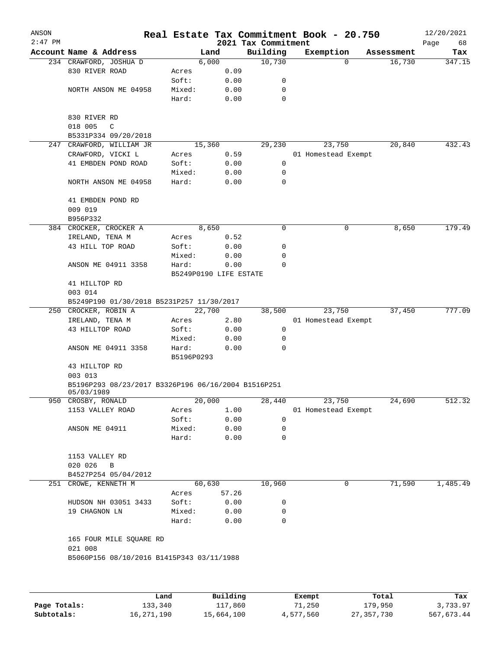| ANSON<br>$2:47$ PM |                                                      |            |                        | 2021 Tax Commitment | Real Estate Tax Commitment Book - 20.750 |          |            | 12/20/2021<br>Page<br>68 |
|--------------------|------------------------------------------------------|------------|------------------------|---------------------|------------------------------------------|----------|------------|--------------------------|
|                    | Account Name & Address                               |            | Land                   | Building            | Exemption                                |          | Assessment | Tax                      |
|                    | 234 CRAWFORD, JOSHUA D                               |            | 6,000                  | 10,730              |                                          | $\Omega$ | 16,730     | 347.15                   |
|                    | 830 RIVER ROAD                                       | Acres      | 0.09                   |                     |                                          |          |            |                          |
|                    |                                                      | Soft:      | 0.00                   | 0                   |                                          |          |            |                          |
|                    | NORTH ANSON ME 04958                                 | Mixed:     | 0.00                   | 0                   |                                          |          |            |                          |
|                    |                                                      | Hard:      | 0.00                   | 0                   |                                          |          |            |                          |
|                    | 830 RIVER RD                                         |            |                        |                     |                                          |          |            |                          |
|                    | 018 005<br>C                                         |            |                        |                     |                                          |          |            |                          |
|                    | B5331P334 09/20/2018                                 |            |                        |                     |                                          |          |            |                          |
|                    | 247 CRAWFORD, WILLIAM JR                             |            | 15,360                 | 29,230              | 23,750                                   |          | 20,840     | 432.43                   |
|                    | CRAWFORD, VICKI L                                    | Acres      | 0.59                   |                     | 01 Homestead Exempt                      |          |            |                          |
|                    | 41 EMBDEN POND ROAD                                  | Soft:      | 0.00                   | 0                   |                                          |          |            |                          |
|                    |                                                      | Mixed:     | 0.00                   | 0                   |                                          |          |            |                          |
|                    | NORTH ANSON ME 04958                                 | Hard:      | 0.00                   | 0                   |                                          |          |            |                          |
|                    | 41 EMBDEN POND RD<br>009 019                         |            |                        |                     |                                          |          |            |                          |
|                    | B956P332                                             |            |                        |                     |                                          |          |            |                          |
|                    | 384 CROCKER, CROCKER A                               |            | 8,650                  | 0                   |                                          | 0        | 8,650      | 179.49                   |
|                    |                                                      |            | 0.52                   |                     |                                          |          |            |                          |
|                    | IRELAND, TENA M<br>43 HILL TOP ROAD                  | Acres      |                        |                     |                                          |          |            |                          |
|                    |                                                      | Soft:      | 0.00                   | 0                   |                                          |          |            |                          |
|                    |                                                      | Mixed:     | 0.00                   | 0                   |                                          |          |            |                          |
|                    | ANSON ME 04911 3358                                  | Hard:      | 0.00                   | 0                   |                                          |          |            |                          |
|                    |                                                      |            | B5249P0190 LIFE ESTATE |                     |                                          |          |            |                          |
|                    | 41 HILLTOP RD                                        |            |                        |                     |                                          |          |            |                          |
|                    | 003 014                                              |            |                        |                     |                                          |          |            |                          |
|                    | B5249P190 01/30/2018 B5231P257 11/30/2017            |            |                        |                     |                                          |          |            |                          |
|                    | 250 CROCKER, ROBIN A                                 |            | 22,700                 | 38,500              | 23,750                                   |          | 37,450     | 777.09                   |
|                    | IRELAND, TENA M                                      | Acres      | 2.80                   |                     | 01 Homestead Exempt                      |          |            |                          |
|                    | 43 HILLTOP ROAD                                      | Soft:      | 0.00                   | 0                   |                                          |          |            |                          |
|                    |                                                      | Mixed:     | 0.00                   | 0                   |                                          |          |            |                          |
|                    | ANSON ME 04911 3358                                  | Hard:      | 0.00                   | 0                   |                                          |          |            |                          |
|                    |                                                      | B5196P0293 |                        |                     |                                          |          |            |                          |
|                    | 43 HILLTOP RD<br>003 013                             |            |                        |                     |                                          |          |            |                          |
|                    | B5196P293 08/23/2017 B3326P196 06/16/2004 B1516P251  |            |                        |                     |                                          |          |            |                          |
|                    | 05/03/1989<br>950 CROSBY, RONALD                     |            | 20,000                 | 28,440              | 23,750                                   |          | 24,690     | 512.32                   |
|                    | 1153 VALLEY ROAD                                     | Acres      |                        |                     | 01 Homestead Exempt                      |          |            |                          |
|                    |                                                      |            | 1.00                   |                     |                                          |          |            |                          |
|                    |                                                      | Soft:      | 0.00                   | 0                   |                                          |          |            |                          |
|                    | ANSON ME 04911                                       | Mixed:     | 0.00                   | 0                   |                                          |          |            |                          |
|                    |                                                      | Hard:      | 0.00                   | 0                   |                                          |          |            |                          |
|                    | 1153 VALLEY RD                                       |            |                        |                     |                                          |          |            |                          |
|                    | 020 026<br>$\, {\bf B}$                              |            |                        |                     |                                          |          |            |                          |
|                    | B4527P254 05/04/2012                                 |            |                        |                     |                                          |          |            |                          |
|                    | 251 CROWE, KENNETH M                                 |            | 60,630                 | 10,960              |                                          | 0        | 71,590     | 1,485.49                 |
|                    |                                                      | Acres      | 57.26                  |                     |                                          |          |            |                          |
|                    | HUDSON NH 03051 3433                                 | Soft:      | 0.00                   | 0                   |                                          |          |            |                          |
|                    | 19 CHAGNON LN                                        | Mixed:     | 0.00                   | 0                   |                                          |          |            |                          |
|                    |                                                      | Hard:      | 0.00                   | 0                   |                                          |          |            |                          |
|                    |                                                      |            |                        |                     |                                          |          |            |                          |
|                    | 165 FOUR MILE SQUARE RD                              |            |                        |                     |                                          |          |            |                          |
|                    | 021 008<br>B5060P156 08/10/2016 B1415P343 03/11/1988 |            |                        |                     |                                          |          |            |                          |
|                    |                                                      |            |                        |                     |                                          |          |            |                          |
|                    |                                                      |            |                        |                     |                                          |          |            |                          |
|                    |                                                      | Land       | Building               |                     | Exempt                                   |          | Total      | Tax                      |

**Page Totals:** 133,340 117,860 71,250 179,950 3,733.97 **Subtotals:** 16,271,190 15,664,100 4,577,560 27,357,730 567,673.44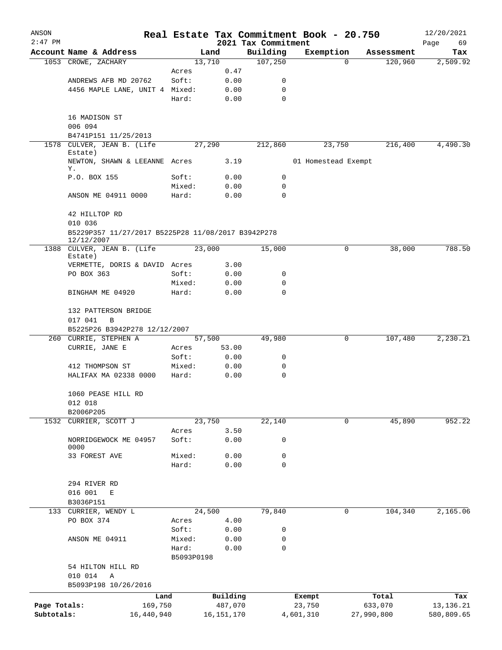| ANSON        |                                                                       |                     |                |                     | Real Estate Tax Commitment Book - 20.750 |                            | 12/20/2021  |
|--------------|-----------------------------------------------------------------------|---------------------|----------------|---------------------|------------------------------------------|----------------------------|-------------|
| $2:47$ PM    |                                                                       |                     |                | 2021 Tax Commitment |                                          |                            | Page<br>69  |
|              | Account Name & Address                                                |                     | Land<br>13,710 | Building<br>107,250 | Exemption                                | Assessment<br>120,960<br>0 | Tax         |
|              | 1053 CROWE, ZACHARY                                                   | Acres               | 0.47           |                     |                                          |                            | 2,509.92    |
|              | ANDREWS AFB MD 20762                                                  | Soft:               | 0.00           | 0                   |                                          |                            |             |
|              | 4456 MAPLE LANE, UNIT 4 Mixed:                                        |                     | 0.00           | 0                   |                                          |                            |             |
|              |                                                                       | Hard:               | 0.00           | $\mathbf 0$         |                                          |                            |             |
|              | 16 MADISON ST                                                         |                     |                |                     |                                          |                            |             |
|              | 006 094                                                               |                     |                |                     |                                          |                            |             |
|              | B4741P151 11/25/2013                                                  |                     |                |                     |                                          |                            |             |
| 1578         | CULVER, JEAN B. (Life<br>Estate)                                      |                     | 27,290         | 212,860             | 23,750                                   | 216,400                    | 4,490.30    |
|              | NEWTON, SHAWN & LEEANNE Acres<br>Υ.                                   |                     | 3.19           |                     | 01 Homestead Exempt                      |                            |             |
|              | P.O. BOX 155                                                          | Soft:               | 0.00           | 0                   |                                          |                            |             |
|              |                                                                       | Mixed:              | 0.00           | 0                   |                                          |                            |             |
|              | ANSON ME 04911 0000                                                   | Hard:               | 0.00           | $\mathbf 0$         |                                          |                            |             |
|              | 42 HILLTOP RD<br>010 036                                              |                     |                |                     |                                          |                            |             |
|              | B5229P357 11/27/2017 B5225P28 11/08/2017 B3942P278<br>12/12/2007      |                     |                |                     |                                          |                            |             |
|              | 1388 CULVER, JEAN B. (Life<br>Estate)                                 |                     | 23,000         | 15,000              |                                          | 0<br>38,000                | 788.50      |
|              | VERMETTE, DORIS & DAVID Acres                                         |                     | 3.00           |                     |                                          |                            |             |
|              | PO BOX 363                                                            | Soft:               | 0.00           | 0                   |                                          |                            |             |
|              |                                                                       | Mixed:              | 0.00           | 0                   |                                          |                            |             |
|              | BINGHAM ME 04920                                                      | Hard:               | 0.00           | $\Omega$            |                                          |                            |             |
|              | 132 PATTERSON BRIDGE<br>017 041<br>B<br>B5225P26 B3942P278 12/12/2007 |                     |                |                     |                                          |                            |             |
| 260          | CURRIE, STEPHEN A                                                     |                     | 57,500         | 49,980              |                                          | 0<br>107,480               | 2,230.21    |
|              | CURRIE, JANE E                                                        | Acres               | 53.00          |                     |                                          |                            |             |
|              |                                                                       | Soft:               | 0.00           | 0                   |                                          |                            |             |
|              | 412 THOMPSON ST                                                       | Mixed:              | 0.00           | 0                   |                                          |                            |             |
|              | HALIFAX MA 02338 0000                                                 | Hard:               | 0.00           | 0                   |                                          |                            |             |
|              | 1060 PEASE HILL RD                                                    |                     |                |                     |                                          |                            |             |
|              | 012 018                                                               |                     |                |                     |                                          |                            |             |
|              | B2006P205                                                             |                     |                |                     |                                          |                            |             |
| 1532         | CURRIER, SCOTT J                                                      |                     | 23,750         | 22,140              |                                          | 45,890<br>0                | 952.22      |
|              |                                                                       | Acres               | 3.50           |                     |                                          |                            |             |
|              | NORRIDGEWOCK ME 04957<br>0000                                         | Soft:               | 0.00           | 0                   |                                          |                            |             |
|              | 33 FOREST AVE                                                         | Mixed:              | 0.00           | 0                   |                                          |                            |             |
|              |                                                                       | Hard:               | 0.00           | 0                   |                                          |                            |             |
|              | 294 RIVER RD                                                          |                     |                |                     |                                          |                            |             |
|              | 016 001<br>Е                                                          |                     |                |                     |                                          |                            |             |
|              | B3036P151                                                             |                     |                |                     |                                          |                            |             |
|              | 133 CURRIER, WENDY L                                                  |                     | 24,500         | 79,840              |                                          | 104,340<br>0               | 2,165.06    |
|              | PO BOX 374                                                            | Acres               | 4.00           |                     |                                          |                            |             |
|              |                                                                       | Soft:               | 0.00           | 0                   |                                          |                            |             |
|              | ANSON ME 04911                                                        | Mixed:              | 0.00           | 0                   |                                          |                            |             |
|              |                                                                       | Hard:<br>B5093P0198 | 0.00           | 0                   |                                          |                            |             |
|              | 54 HILTON HILL RD                                                     |                     |                |                     |                                          |                            |             |
|              | 010 014<br>Α                                                          |                     |                |                     |                                          |                            |             |
|              | B5093P198 10/26/2016                                                  |                     |                |                     |                                          |                            |             |
|              |                                                                       | Land                | Building       |                     | Exempt                                   | Total                      | Tax         |
| Page Totals: |                                                                       | 169,750             | 487,070        |                     | 23,750                                   | 633,070                    | 13, 136. 21 |
| Subtotals:   | 16,440,940                                                            |                     | 16, 151, 170   |                     | 4,601,310                                | 27,990,800                 | 580,809.65  |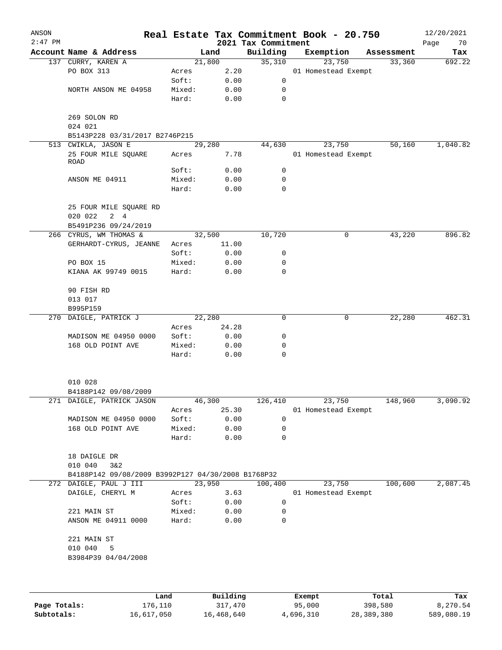| ANSON<br>$2:47$ PM |                                                    |        |       | Real Estate Tax Commitment Book - 20.750<br>2021 Tax Commitment |                     |            | 12/20/2021<br>Page<br>70 |
|--------------------|----------------------------------------------------|--------|-------|-----------------------------------------------------------------|---------------------|------------|--------------------------|
|                    | Account Name & Address                             |        | Land  | Building                                                        | Exemption           | Assessment | Tax                      |
|                    | 137 CURRY, KAREN A                                 | 21,800 |       | 35,310                                                          | 23,750              | 33,360     | 692.22                   |
|                    | PO BOX 313                                         | Acres  | 2.20  |                                                                 | 01 Homestead Exempt |            |                          |
|                    |                                                    | Soft:  | 0.00  | 0                                                               |                     |            |                          |
|                    | NORTH ANSON ME 04958                               | Mixed: | 0.00  | 0                                                               |                     |            |                          |
|                    |                                                    | Hard:  | 0.00  | 0                                                               |                     |            |                          |
|                    | 269 SOLON RD<br>024 021                            |        |       |                                                                 |                     |            |                          |
|                    | B5143P228 03/31/2017 B2746P215                     |        |       |                                                                 |                     |            |                          |
|                    | 513 CWIKLA, JASON E                                | 29,280 |       | 44,630                                                          | 23,750              | 50,160     | 1,040.82                 |
|                    | 25 FOUR MILE SQUARE<br>ROAD                        | Acres  | 7.78  |                                                                 | 01 Homestead Exempt |            |                          |
|                    |                                                    | Soft:  | 0.00  | 0                                                               |                     |            |                          |
|                    | ANSON ME 04911                                     | Mixed: | 0.00  | 0                                                               |                     |            |                          |
|                    |                                                    | Hard:  | 0.00  | 0                                                               |                     |            |                          |
|                    | 25 FOUR MILE SQUARE RD<br>020 022<br>$2 \quad 4$   |        |       |                                                                 |                     |            |                          |
|                    | B5491P236 09/24/2019                               |        |       |                                                                 |                     |            |                          |
|                    | 266 CYRUS, WM THOMAS &                             | 32,500 |       | 10,720                                                          | 0                   | 43,220     | 896.82                   |
|                    | GERHARDT-CYRUS, JEANNE                             | Acres  | 11.00 |                                                                 |                     |            |                          |
|                    |                                                    | Soft:  | 0.00  | 0                                                               |                     |            |                          |
|                    | PO BOX 15                                          | Mixed: | 0.00  | 0                                                               |                     |            |                          |
|                    | KIANA AK 99749 0015                                | Hard:  | 0.00  | 0                                                               |                     |            |                          |
|                    | 90 FISH RD                                         |        |       |                                                                 |                     |            |                          |
|                    | 013 017                                            |        |       |                                                                 |                     |            |                          |
|                    | B995P159                                           |        |       |                                                                 |                     |            |                          |
|                    | 270 DAIGLE, PATRICK J                              | 22,280 |       | 0                                                               | 0                   | 22,280     | 462.31                   |
|                    |                                                    | Acres  | 24.28 |                                                                 |                     |            |                          |
|                    | MADISON ME 04950 0000                              | Soft:  | 0.00  | 0                                                               |                     |            |                          |
|                    | 168 OLD POINT AVE                                  | Mixed: | 0.00  | 0                                                               |                     |            |                          |
|                    |                                                    | Hard:  | 0.00  | 0                                                               |                     |            |                          |
|                    | 010 028                                            |        |       |                                                                 |                     |            |                          |
|                    | B4188P142 09/08/2009                               |        |       |                                                                 |                     |            |                          |
|                    | 271 DAIGLE, PATRICK JASON                          | 46,300 |       | 126,410                                                         | 23,750              | 148,960    | 3,090.92                 |
|                    |                                                    | Acres  | 25.30 |                                                                 | 01 Homestead Exempt |            |                          |
|                    | MADISON ME 04950 0000                              | Soft:  | 0.00  | 0                                                               |                     |            |                          |
|                    | 168 OLD POINT AVE                                  | Mixed: | 0.00  | 0                                                               |                     |            |                          |
|                    |                                                    | Hard:  | 0.00  | 0                                                               |                     |            |                          |
|                    | 18 DAIGLE DR<br>010 040<br>3&2                     |        |       |                                                                 |                     |            |                          |
|                    | B4188P142 09/08/2009 B3992P127 04/30/2008 B1768P32 |        |       |                                                                 |                     |            |                          |
|                    | 272 DAIGLE, PAUL J III                             | 23,950 |       | 100,400                                                         | 23,750              | 100,600    | 2,087.45                 |
|                    | DAIGLE, CHERYL M                                   | Acres  | 3.63  |                                                                 | 01 Homestead Exempt |            |                          |
|                    |                                                    | Soft:  | 0.00  | $\mathbf 0$                                                     |                     |            |                          |
|                    | 221 MAIN ST                                        | Mixed: | 0.00  | $\mathbf 0$                                                     |                     |            |                          |
|                    | ANSON ME 04911 0000                                | Hard:  | 0.00  | 0                                                               |                     |            |                          |
|                    | 221 MAIN ST                                        |        |       |                                                                 |                     |            |                          |
|                    | 010 040<br>5                                       |        |       |                                                                 |                     |            |                          |
|                    | B3984P39 04/04/2008                                |        |       |                                                                 |                     |            |                          |
|                    |                                                    |        |       |                                                                 |                     |            |                          |
|                    |                                                    |        |       |                                                                 |                     |            |                          |
|                    |                                                    |        |       |                                                                 |                     |            |                          |

|              | Land       | Building   | Exempt    | Total      | Tax        |
|--------------|------------|------------|-----------|------------|------------|
| Page Totals: | 176,110    | 317,470    | 95,000    | 398,580    | 8,270.54   |
| Subtotals:   | 16,617,050 | 16,468,640 | 4,696,310 | 28,389,380 | 589,080.19 |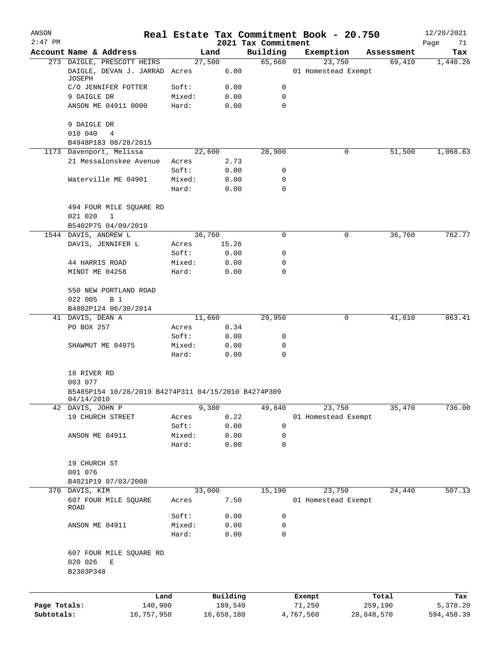| ANSON<br>$2:47$ PM |                                                                   |                 |              | 2021 Tax Commitment | Real Estate Tax Commitment Book - 20.750 |            | 12/20/2021<br>Page<br>71 |
|--------------------|-------------------------------------------------------------------|-----------------|--------------|---------------------|------------------------------------------|------------|--------------------------|
|                    | Account Name & Address                                            |                 | Land         | Building            | Exemption                                | Assessment | Tax                      |
|                    | 273 DAIGLE, PRESCOTT HEIRS                                        |                 | 27,500       | 65,660              | 23,750                                   | 69,410     | 1,440.26                 |
|                    | DAIGLE, DEVAN J. JARRAD Acres<br>JOSEPH                           |                 | 6.00         |                     | 01 Homestead Exempt                      |            |                          |
|                    | C/O JENNIFER FOTTER                                               | Soft:           | 0.00         | 0                   |                                          |            |                          |
|                    | 9 DAIGLE DR                                                       | Mixed:          | 0.00         | 0                   |                                          |            |                          |
|                    | ANSON ME 04911 0000                                               | Hard:           | 0.00         | $\Omega$            |                                          |            |                          |
|                    | 9 DAIGLE DR                                                       |                 |              |                     |                                          |            |                          |
|                    | 010 040<br>4                                                      |                 |              |                     |                                          |            |                          |
|                    | B4948P183 08/28/2015                                              |                 |              |                     |                                          |            |                          |
|                    | 1173 Davenport, Melissa                                           |                 | 22,600       | 28,900              | $\mathbf 0$                              | 51,500     | 1,068.63                 |
|                    | 21 Messalonskee Avenue                                            | Acres           | 2.73         |                     |                                          |            |                          |
|                    |                                                                   | Soft:           | 0.00         | 0                   |                                          |            |                          |
|                    | Waterville ME 04901                                               | Mixed:<br>Hard: | 0.00<br>0.00 | 0<br>0              |                                          |            |                          |
|                    |                                                                   |                 |              |                     |                                          |            |                          |
|                    | 494 FOUR MILE SQUARE RD                                           |                 |              |                     |                                          |            |                          |
|                    | 021 020<br>1                                                      |                 |              |                     |                                          |            |                          |
|                    | B5402P75 04/09/2019                                               |                 |              |                     |                                          |            |                          |
|                    | 1544 DAVIS, ANDREW L                                              |                 | 36,760       | $\mathbf 0$         | 0                                        | 36,760     | 762.77                   |
|                    | DAVIS, JENNIFER L                                                 | Acres           | 15.26        |                     |                                          |            |                          |
|                    |                                                                   | Soft:           | 0.00         | 0                   |                                          |            |                          |
|                    | 44 HARRIS ROAD                                                    | Mixed:          | 0.00         | 0                   |                                          |            |                          |
|                    | MINOT ME 04258                                                    | Hard:           | 0.00         | 0                   |                                          |            |                          |
|                    | 550 NEW PORTLAND ROAD<br>022 005<br><b>B</b> 1                    |                 |              |                     |                                          |            |                          |
|                    | B4802P124 06/30/2014                                              |                 |              |                     |                                          |            |                          |
|                    | 41 DAVIS, DEAN A                                                  |                 | 11,660       | 29,950              | 0                                        | 41,610     | 863.41                   |
|                    | PO BOX 257                                                        | Acres           | 0.34         |                     |                                          |            |                          |
|                    |                                                                   | Soft:           | 0.00         | 0                   |                                          |            |                          |
|                    | SHAWMUT ME 04975                                                  | Mixed:          | 0.00         | 0                   |                                          |            |                          |
|                    |                                                                   | Hard:           | 0.00         | 0                   |                                          |            |                          |
|                    | 18 RIVER RD                                                       |                 |              |                     |                                          |            |                          |
|                    | 003 077                                                           |                 |              |                     |                                          |            |                          |
|                    | B5485P154 10/28/2019 B4274P311 04/15/2010 B4274P309<br>04/14/2010 |                 |              |                     |                                          |            |                          |
|                    | 42 DAVIS, JOHN P                                                  |                 | 9,380        | 49,840              | 23,750                                   | 35,470     | 736.00                   |
|                    | 19 CHURCH STREET                                                  | Acres           | 0.22         |                     | 01 Homestead Exempt                      |            |                          |
|                    |                                                                   | Soft:           | 0.00         | 0                   |                                          |            |                          |
|                    | ANSON ME 04911                                                    | Mixed:          | 0.00         | 0                   |                                          |            |                          |
|                    |                                                                   | Hard:           | 0.00         | 0                   |                                          |            |                          |
|                    | 19 CHURCH ST<br>001 076                                           |                 |              |                     |                                          |            |                          |
|                    | B4021P19 07/03/2008                                               |                 |              |                     |                                          |            |                          |
| 370                | DAVIS, KIM                                                        |                 | 33,000       | 15,190              | 23,750                                   | 24,440     | 507.13                   |
|                    | 607 FOUR MILE SQUARE<br>ROAD                                      | Acres           | 7.50         |                     | 01 Homestead Exempt                      |            |                          |
|                    |                                                                   | Soft:           | 0.00         | 0                   |                                          |            |                          |
|                    | ANSON ME 04911                                                    | Mixed:          | 0.00         | 0                   |                                          |            |                          |
|                    |                                                                   | Hard:           | 0.00         | 0                   |                                          |            |                          |
|                    | 607 FOUR MILE SQUARE RD<br>020 026<br>Е<br>B2303P348              |                 |              |                     |                                          |            |                          |
|                    |                                                                   |                 |              |                     |                                          |            |                          |
|                    |                                                                   | Land            | Building     |                     | Exempt                                   | Total      | Tax                      |
| Page Totals:       | 140,900                                                           |                 | 189,540      |                     | 71,250                                   | 259,190    | 5,378.20                 |
| Subtotals:         | 16,757,950                                                        |                 | 16,658,180   |                     | 4,767,560                                | 28,648,570 | 594,458.39               |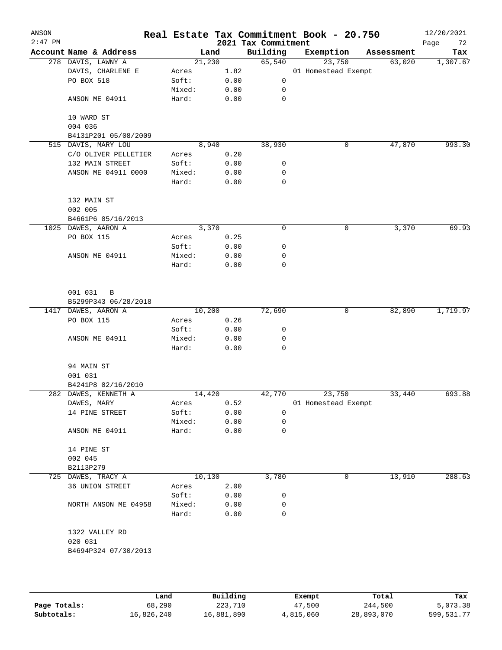| ANSON<br>$2:47$ PM |                                      |                 |              | 2021 Tax Commitment | Real Estate Tax Commitment Book - 20.750 |            | 12/20/2021<br>Page<br>72 |
|--------------------|--------------------------------------|-----------------|--------------|---------------------|------------------------------------------|------------|--------------------------|
|                    | Account Name & Address               | Land            |              | Building            | Exemption                                | Assessment | Tax                      |
|                    | 278 DAVIS, LAWNY A                   | 21,230          |              | 65,540              | 23,750                                   | 63,020     | 1,307.67                 |
|                    | DAVIS, CHARLENE E                    | Acres           | 1.82         |                     | 01 Homestead Exempt                      |            |                          |
|                    | PO BOX 518                           | Soft:           | 0.00         | 0                   |                                          |            |                          |
|                    |                                      | Mixed:          | 0.00         | 0                   |                                          |            |                          |
|                    | ANSON ME 04911                       | Hard:           | 0.00         | 0                   |                                          |            |                          |
|                    | 10 WARD ST<br>004 036                |                 |              |                     |                                          |            |                          |
|                    | B4131P201 05/08/2009                 |                 |              |                     |                                          |            |                          |
|                    | 515 DAVIS, MARY LOU                  | 8,940           |              | 38,930              | 0                                        | 47,870     | 993.30                   |
|                    | C/O OLIVER PELLETIER                 | Acres           | 0.20         |                     |                                          |            |                          |
|                    | 132 MAIN STREET                      | Soft:           | 0.00         | 0                   |                                          |            |                          |
|                    | ANSON ME 04911 0000                  | Mixed:          | 0.00         | 0                   |                                          |            |                          |
|                    |                                      | Hard:           | 0.00         | 0                   |                                          |            |                          |
|                    | 132 MAIN ST                          |                 |              |                     |                                          |            |                          |
|                    | 002 005                              |                 |              |                     |                                          |            |                          |
|                    | B4661P6 05/16/2013                   |                 |              |                     |                                          |            |                          |
|                    | 1025 DAWES, AARON A                  | 3,370           |              | 0                   | 0                                        | 3,370      | 69.93                    |
|                    | PO BOX 115                           | Acres           | 0.25         |                     |                                          |            |                          |
|                    |                                      | Soft:           | 0.00         | 0                   |                                          |            |                          |
|                    | ANSON ME 04911                       | Mixed:          | 0.00         | 0                   |                                          |            |                          |
|                    |                                      | Hard:           | 0.00         | $\mathbf 0$         |                                          |            |                          |
|                    | 001 031<br>B<br>B5299P343 06/28/2018 |                 |              |                     |                                          |            |                          |
|                    | 1417 DAWES, AARON A                  | 10,200          |              | 72,690              | 0                                        | 82,890     | 1,719.97                 |
|                    | PO BOX 115                           | Acres           | 0.26         |                     |                                          |            |                          |
|                    |                                      | Soft:           | 0.00         | 0                   |                                          |            |                          |
|                    | ANSON ME 04911                       | Mixed:          | 0.00         | 0                   |                                          |            |                          |
|                    |                                      | Hard:           | 0.00         | 0                   |                                          |            |                          |
|                    | 94 MAIN ST                           |                 |              |                     |                                          |            |                          |
|                    | 001 031                              |                 |              |                     |                                          |            |                          |
|                    | B4241P8 02/16/2010                   |                 |              |                     |                                          |            |                          |
|                    | 282 DAWES, KENNETH A                 | 14,420          |              | 42,770              | 23,750                                   | 33,440     | 693.88                   |
|                    | DAWES, MARY                          | Acres           | 0.52         |                     | 01 Homestead Exempt                      |            |                          |
|                    | 14 PINE STREET                       | Soft:           | 0.00         | 0                   |                                          |            |                          |
|                    | ANSON ME 04911                       | Mixed:<br>Hard: | 0.00<br>0.00 | 0<br>0              |                                          |            |                          |
|                    | 14 PINE ST                           |                 |              |                     |                                          |            |                          |
|                    | 002 045                              |                 |              |                     |                                          |            |                          |
|                    | B2113P279                            |                 |              |                     |                                          |            |                          |
|                    | 725 DAWES, TRACY A                   | 10,130          |              | 3,780               | 0                                        | 13,910     | 288.63                   |
|                    | 36 UNION STREET                      | Acres           | 2.00         |                     |                                          |            |                          |
|                    |                                      | Soft:           | 0.00         | 0                   |                                          |            |                          |
|                    | NORTH ANSON ME 04958                 | Mixed:          | 0.00         | 0                   |                                          |            |                          |
|                    |                                      | Hard:           | 0.00         | 0                   |                                          |            |                          |
|                    | 1322 VALLEY RD                       |                 |              |                     |                                          |            |                          |
|                    | 020 031                              |                 |              |                     |                                          |            |                          |
|                    | B4694P324 07/30/2013                 |                 |              |                     |                                          |            |                          |
|                    |                                      |                 |              |                     |                                          |            |                          |
|                    |                                      |                 |              |                     |                                          |            |                          |

|              | Land       | Building   | Exempt    | Total      | Tax          |
|--------------|------------|------------|-----------|------------|--------------|
| Page Totals: | 68,290     | 223,710    | 47,500    | 244,500    | 5,073.38     |
| Subtotals:   | 16,826,240 | 16,881,890 | 4,815,060 | 28,893,070 | 599, 531. 77 |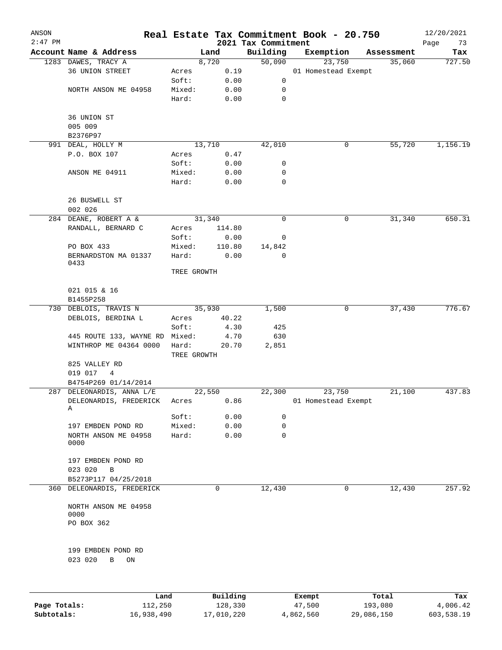| ANSON<br>$2:47$ PM |                                                   |                 |                | 2021 Tax Commitment | Real Estate Tax Commitment Book - 20.750 |            | 12/20/2021        |
|--------------------|---------------------------------------------------|-----------------|----------------|---------------------|------------------------------------------|------------|-------------------|
|                    | Account Name & Address                            |                 | Land           | Building            | Exemption                                | Assessment | Page<br>73<br>Tax |
|                    | 1283 DAWES, TRACY A                               |                 | 8,720          | 50,090              | 23,750                                   | 35,060     | 727.50            |
|                    | 36 UNION STREET                                   | Acres           | 0.19           |                     | 01 Homestead Exempt                      |            |                   |
|                    |                                                   | Soft:           | 0.00           | 0                   |                                          |            |                   |
|                    | NORTH ANSON ME 04958                              | Mixed:          | 0.00           | 0                   |                                          |            |                   |
|                    |                                                   | Hard:           | 0.00           | 0                   |                                          |            |                   |
|                    | 36 UNION ST                                       |                 |                |                     |                                          |            |                   |
|                    | 005 009                                           |                 |                |                     |                                          |            |                   |
|                    | B2376P97                                          |                 |                |                     |                                          |            |                   |
|                    | 991 DEAL, HOLLY M                                 |                 | 13,710         | 42,010              | 0                                        | 55,720     | 1,156.19          |
|                    | P.O. BOX 107                                      | Acres           | 0.47           |                     |                                          |            |                   |
|                    |                                                   | Soft:           | 0.00           | 0                   |                                          |            |                   |
|                    | ANSON ME 04911                                    | Mixed:          | 0.00           | 0                   |                                          |            |                   |
|                    |                                                   | Hard:           | 0.00           | 0                   |                                          |            |                   |
|                    | 26 BUSWELL ST<br>002 026                          |                 |                |                     |                                          |            |                   |
|                    | 284 DEANE, ROBERT A &                             |                 | 31,340         | 0                   | 0                                        | 31,340     | 650.31            |
|                    | RANDALL, BERNARD C                                | Acres           | 114.80         |                     |                                          |            |                   |
|                    |                                                   |                 |                |                     |                                          |            |                   |
|                    |                                                   | Soft:           | 0.00           | 0                   |                                          |            |                   |
|                    | PO BOX 433<br>BERNARDSTON MA 01337                | Mixed:<br>Hard: | 110.80<br>0.00 | 14,842<br>0         |                                          |            |                   |
|                    | 0433                                              |                 |                |                     |                                          |            |                   |
|                    |                                                   | TREE GROWTH     |                |                     |                                          |            |                   |
|                    | 021 015 & 16<br>B1455P258                         |                 |                |                     |                                          |            |                   |
| 730                | DEBLOIS, TRAVIS N                                 |                 | 35,930         | 1,500               | 0                                        | 37,430     | 776.67            |
|                    | DEBLOIS, BERDINA L                                | Acres           | 40.22          |                     |                                          |            |                   |
|                    |                                                   |                 |                |                     |                                          |            |                   |
|                    |                                                   | Soft:           | 4.30           | 425                 |                                          |            |                   |
|                    | 445 ROUTE 133, WAYNE RD<br>WINTHROP ME 04364 0000 | Mixed:<br>Hard: | 4.70<br>20.70  | 630<br>2,851        |                                          |            |                   |
|                    |                                                   | TREE GROWTH     |                |                     |                                          |            |                   |
|                    | 825 VALLEY RD                                     |                 |                |                     |                                          |            |                   |
|                    | 019 017<br>4                                      |                 |                |                     |                                          |            |                   |
|                    | B4754P269 01/14/2014                              |                 |                |                     |                                          |            |                   |
|                    | 287 DELEONARDIS, ANNA L/E                         |                 | 22,550         | 22,300              | 23,750                                   | 21,100     | 437.83            |
|                    | DELEONARDIS, FREDERICK<br>Α                       | Acres           | 0.86           |                     | 01 Homestead Exempt                      |            |                   |
|                    |                                                   | Soft:           | 0.00           | 0                   |                                          |            |                   |
|                    | 197 EMBDEN POND RD                                | Mixed:          | 0.00           | 0                   |                                          |            |                   |
|                    | NORTH ANSON ME 04958<br>0000                      | Hard:           | 0.00           | 0                   |                                          |            |                   |
|                    | 197 EMBDEN POND RD                                |                 |                |                     |                                          |            |                   |
|                    | 023 020<br>B                                      |                 |                |                     |                                          |            |                   |
|                    | B5273P117 04/25/2018                              |                 |                |                     |                                          |            |                   |
|                    | 360 DELEONARDIS, FREDERICK                        |                 | 0              | 12,430              | 0                                        | 12,430     | 257.92            |
|                    | NORTH ANSON ME 04958<br>0000                      |                 |                |                     |                                          |            |                   |
|                    | PO BOX 362                                        |                 |                |                     |                                          |            |                   |
|                    | 199 EMBDEN POND RD                                |                 |                |                     |                                          |            |                   |
|                    | 023 020<br>ON<br>В                                |                 |                |                     |                                          |            |                   |
|                    |                                                   |                 |                |                     |                                          |            |                   |
|                    | Land,                                             |                 | Building       |                     | <b>Exempt</b>                            | Total      | Tax               |

|              | Land       | Building   | Exempt    | Total      | Tax        |
|--------------|------------|------------|-----------|------------|------------|
| Page Totals: | 112,250    | 128,330    | 47,500    | 193,080    | 4,006.42   |
| Subtotals:   | 16,938,490 | 17,010,220 | 4,862,560 | 29,086,150 | 603,538.19 |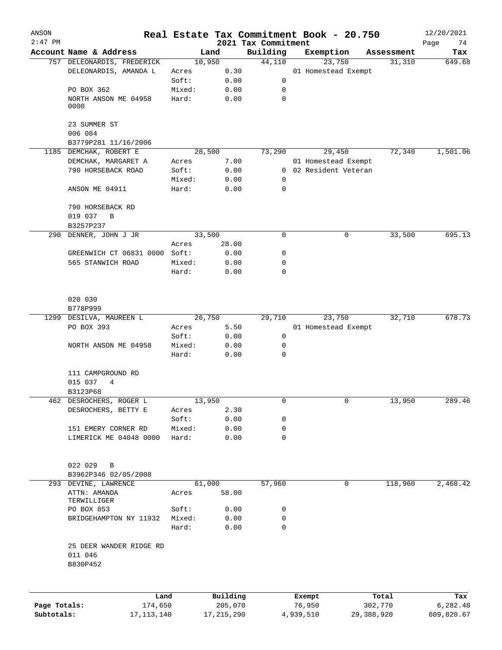| ANSON        |                                                     |                 |              |                                 | Real Estate Tax Commitment Book - 20.750 |            | 12/20/2021        |
|--------------|-----------------------------------------------------|-----------------|--------------|---------------------------------|------------------------------------------|------------|-------------------|
| $2:47$ PM    | Account Name & Address                              | Land            |              | 2021 Tax Commitment<br>Building | Exemption                                | Assessment | Page<br>74<br>Tax |
|              | 757 DELEONARDIS, FREDERICK                          | 10,950          |              | 44,110                          | 23,750                                   | 31,310     | 649.68            |
|              | DELEONARDIS, AMANDA L                               | Acres           | 0.30         |                                 | 01 Homestead Exempt                      |            |                   |
|              |                                                     | Soft:           | 0.00         | 0                               |                                          |            |                   |
|              | PO BOX 362                                          | Mixed:          | 0.00         | 0                               |                                          |            |                   |
|              | NORTH ANSON ME 04958<br>0000                        | Hard:           | 0.00         | $\mathbf 0$                     |                                          |            |                   |
|              | 23 SUMMER ST                                        |                 |              |                                 |                                          |            |                   |
|              | 006 084                                             |                 |              |                                 |                                          |            |                   |
|              | B3779P281 11/16/2006                                |                 |              |                                 |                                          |            |                   |
|              | 1185 DEMCHAK, ROBERT E                              | 28,500          |              | 73,290                          | 29,450                                   | 72,340     | 1,501.06          |
|              | DEMCHAK, MARGARET A                                 | Acres           | 7.00         |                                 | 01 Homestead Exempt                      |            |                   |
|              | 790 HORSEBACK ROAD                                  | Soft:           | 0.00         | $\overline{0}$                  | 02 Resident Veteran                      |            |                   |
|              |                                                     | Mixed:          | 0.00         | $\mathbf 0$                     |                                          |            |                   |
|              | ANSON ME 04911                                      | Hard:           | 0.00         | $\mathbf 0$                     |                                          |            |                   |
|              | 790 HORSEBACK RD<br>019 037<br>B                    |                 |              |                                 |                                          |            |                   |
|              | B3257P237                                           |                 |              |                                 |                                          |            |                   |
| 290          | DENNER, JOHN J JR                                   | 33,500          |              | 0                               | 0                                        | 33,500     | 695.13            |
|              |                                                     | Acres           | 28.00        |                                 |                                          |            |                   |
|              | GREENWICH CT 06831 0000 Soft:                       |                 | 0.00         | 0                               |                                          |            |                   |
|              | 565 STANWICH ROAD                                   | Mixed:<br>Hard: | 0.00<br>0.00 | 0<br>0                          |                                          |            |                   |
|              | 020 030                                             |                 |              |                                 |                                          |            |                   |
|              | B778P999                                            |                 |              |                                 |                                          |            |                   |
|              | 1299 DESILVA, MAUREEN L                             | 26,750          |              | 29,710                          | 23,750                                   | 32,710     | 678.73            |
|              | PO BOX 393                                          | Acres           | 5.50         |                                 | 01 Homestead Exempt                      |            |                   |
|              |                                                     | Soft:           | 0.00         | 0                               |                                          |            |                   |
|              | NORTH ANSON ME 04958                                | Mixed:          | 0.00         | 0                               |                                          |            |                   |
|              |                                                     | Hard:           | 0.00         | $\mathbf 0$                     |                                          |            |                   |
|              | 111 CAMPGROUND RD                                   |                 |              |                                 |                                          |            |                   |
|              | 015 037<br>4                                        |                 |              |                                 |                                          |            |                   |
|              | B3123P68                                            |                 |              |                                 |                                          |            |                   |
|              | 462 DESROCHERS, ROGER L                             | 13,950          |              | 0                               | 0                                        | 13,950     | 289.46            |
|              | DESROCHERS, BETTY E                                 | Acres           | 2.30         |                                 |                                          |            |                   |
|              |                                                     | Soft:           | 0.00         | 0                               |                                          |            |                   |
|              | 151 EMERY CORNER RD                                 | Mixed:          | 0.00         | 0                               |                                          |            |                   |
|              | LIMERICK ME 04048 0000                              | Hard:           | 0.00         | 0                               |                                          |            |                   |
|              | 022 029<br>B                                        |                 |              |                                 |                                          |            |                   |
|              | B3962P346 02/05/2008                                |                 |              |                                 |                                          |            |                   |
|              | 293 DEVINE, LAWRENCE<br>ATTN: AMANDA<br>TERWILLIGER | 61,000<br>Acres | 58.00        | 57,960                          | 0                                        | 118,960    | 2,468.42          |
|              | PO BOX 853                                          | Soft:           | 0.00         | 0                               |                                          |            |                   |
|              | BRIDGEHAMPTON NY 11932                              | Mixed:          | 0.00         | 0                               |                                          |            |                   |
|              |                                                     | Hard:           | 0.00         | $\mathbf 0$                     |                                          |            |                   |
|              | 25 DEER WANDER RIDGE RD<br>011 046<br>B830P452      |                 |              |                                 |                                          |            |                   |
|              |                                                     |                 |              |                                 |                                          |            |                   |
|              | Land                                                |                 | Building     |                                 | Exempt                                   | Total      | Tax               |
| Page Totals: | 174,650                                             |                 | 205,070      |                                 | 76,950                                   | 302,770    | 6,282.48          |

**Subtotals:** 17,113,140 17,215,290 4,939,510 29,388,920 609,820.67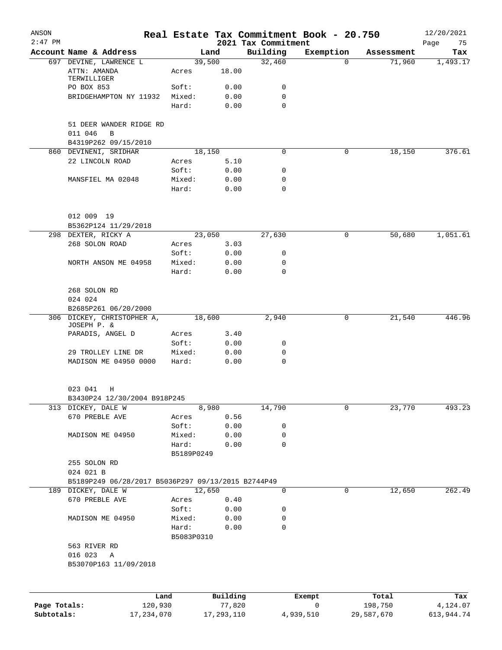| ANSON<br>$2:47$ PM |                                                    |                     |          | 2021 Tax Commitment | Real Estate Tax Commitment Book - 20.750 |            | 12/20/2021<br>Page<br>75 |
|--------------------|----------------------------------------------------|---------------------|----------|---------------------|------------------------------------------|------------|--------------------------|
|                    | Account Name & Address                             | Land                |          | Building            | Exemption                                | Assessment | Tax                      |
|                    | 697 DEVINE, LAWRENCE L                             | 39,500              |          | 32,460              | $\Omega$                                 | 71,960     | 1,493.17                 |
|                    | ATTN: AMANDA<br>TERWILLIGER                        | Acres               | 18.00    |                     |                                          |            |                          |
|                    | PO BOX 853                                         | Soft:               | 0.00     | 0                   |                                          |            |                          |
|                    | BRIDGEHAMPTON NY 11932                             | Mixed:              | 0.00     | 0                   |                                          |            |                          |
|                    |                                                    | Hard:               | 0.00     | $\Omega$            |                                          |            |                          |
|                    | 51 DEER WANDER RIDGE RD<br>011 046<br>B            |                     |          |                     |                                          |            |                          |
|                    | B4319P262 09/15/2010                               |                     |          |                     |                                          |            |                          |
|                    | 860 DEVINENI, SRIDHAR                              | 18,150              |          | 0                   | 0                                        | 18,150     | 376.61                   |
|                    | 22 LINCOLN ROAD                                    | Acres               | 5.10     |                     |                                          |            |                          |
|                    |                                                    | Soft:               | 0.00     | 0                   |                                          |            |                          |
|                    | MANSFIEL MA 02048                                  | Mixed:              | 0.00     | 0                   |                                          |            |                          |
|                    |                                                    | Hard:               | 0.00     | $\mathbf 0$         |                                          |            |                          |
|                    | 012 009 19                                         |                     |          |                     |                                          |            |                          |
|                    | B5362P124 11/29/2018                               |                     |          |                     |                                          |            |                          |
|                    | 298 DEXTER, RICKY A                                | 23,050              |          | 27,630              | 0                                        | 50,680     | 1,051.61                 |
|                    | 268 SOLON ROAD                                     | Acres               | 3.03     |                     |                                          |            |                          |
|                    |                                                    | Soft:               | 0.00     | 0                   |                                          |            |                          |
|                    | NORTH ANSON ME 04958                               | Mixed:              | 0.00     | 0                   |                                          |            |                          |
|                    |                                                    | Hard:               | 0.00     | 0                   |                                          |            |                          |
|                    | 268 SOLON RD                                       |                     |          |                     |                                          |            |                          |
|                    | 024 024                                            |                     |          |                     |                                          |            |                          |
|                    | B2685P261 06/20/2000                               |                     |          |                     |                                          |            |                          |
|                    | 306 DICKEY, CHRISTOPHER A,<br>JOSEPH P. &          | 18,600              |          | 2,940               | 0                                        | 21,540     | 446.96                   |
|                    | PARADIS, ANGEL D                                   | Acres               | 3.40     |                     |                                          |            |                          |
|                    |                                                    | Soft:               | 0.00     | 0                   |                                          |            |                          |
|                    | 29 TROLLEY LINE DR                                 | Mixed:              | 0.00     | 0                   |                                          |            |                          |
|                    | MADISON ME 04950 0000                              | Hard:               | 0.00     | $\mathbf 0$         |                                          |            |                          |
|                    | 023 041<br>Н                                       |                     |          |                     |                                          |            |                          |
|                    | B3430P24 12/30/2004 B918P245                       |                     |          |                     |                                          |            |                          |
|                    | 313 DICKEY, DALE W                                 | 8,980               |          | 14,790              | 0                                        | 23,770     | 493.23                   |
|                    | 670 PREBLE AVE                                     | Acres               | 0.56     |                     |                                          |            |                          |
|                    |                                                    | Soft:               | 0.00     | 0                   |                                          |            |                          |
|                    | MADISON ME 04950                                   | Mixed:              | 0.00     | 0                   |                                          |            |                          |
|                    |                                                    | Hard:               | 0.00     | $\mathbf 0$         |                                          |            |                          |
|                    |                                                    | B5189P0249          |          |                     |                                          |            |                          |
|                    | 255 SOLON RD                                       |                     |          |                     |                                          |            |                          |
|                    | 024 021 B                                          |                     |          |                     |                                          |            |                          |
|                    | B5189P249 06/28/2017 B5036P297 09/13/2015 B2744P49 |                     |          |                     |                                          |            |                          |
|                    | 189 DICKEY, DALE W                                 | 12,650              |          | 0                   | 0                                        | 12,650     | 262.49                   |
|                    | 670 PREBLE AVE                                     | Acres               | 0.40     |                     |                                          |            |                          |
|                    |                                                    | Soft:               | 0.00     | 0                   |                                          |            |                          |
|                    | MADISON ME 04950                                   | Mixed:              | 0.00     | 0                   |                                          |            |                          |
|                    |                                                    | Hard:<br>B5083P0310 | 0.00     | 0                   |                                          |            |                          |
|                    | 563 RIVER RD                                       |                     |          |                     |                                          |            |                          |
|                    | 016 023<br>A                                       |                     |          |                     |                                          |            |                          |
|                    | B53070P163 11/09/2018                              |                     |          |                     |                                          |            |                          |
|                    |                                                    |                     |          |                     |                                          |            |                          |
|                    | Land                                               |                     | Building |                     | Exempt                                   | Total      | Tax                      |
| Page Totals:       | 120,930                                            |                     | 77,820   |                     | 0                                        | 198,750    | 4,124.07                 |

**Subtotals:** 17,234,070 17,293,110 4,939,510 29,587,670 613,944.74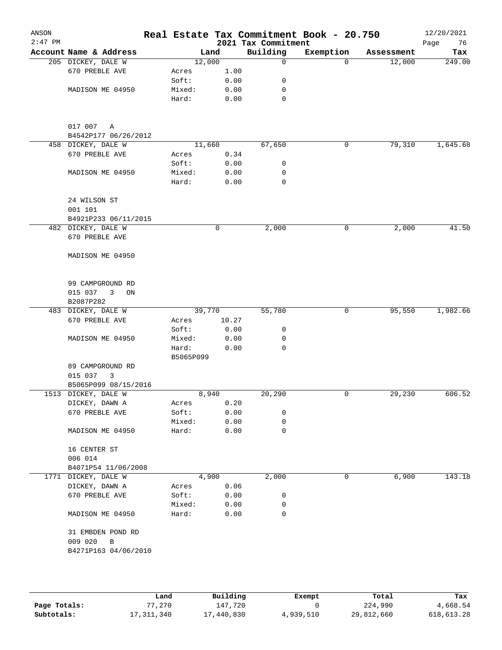| ANSON<br>$2:47$ PM |                                 |                    |              | 2021 Tax Commitment | Real Estate Tax Commitment Book - 20.750 |            | 12/20/2021<br>76<br>Page |
|--------------------|---------------------------------|--------------------|--------------|---------------------|------------------------------------------|------------|--------------------------|
|                    | Account Name & Address          |                    | Land         | Building            | Exemption                                | Assessment | Tax                      |
|                    | 205 DICKEY, DALE W              |                    | 12,000       | 0                   | $\Omega$                                 | 12,000     | 249.00                   |
|                    | 670 PREBLE AVE                  | Acres              | 1.00         |                     |                                          |            |                          |
|                    |                                 | Soft:              | 0.00         | 0                   |                                          |            |                          |
|                    | MADISON ME 04950                | Mixed:             | 0.00         | 0                   |                                          |            |                          |
|                    |                                 | Hard:              | 0.00         | $\mathbf 0$         |                                          |            |                          |
|                    | 017 007<br>Α                    |                    |              |                     |                                          |            |                          |
|                    | B4542P177 06/26/2012            |                    |              |                     |                                          |            |                          |
|                    | 458 DICKEY, DALE W              |                    | 11,660       | 67,650              | 0                                        | 79,310     | 1,645.68                 |
|                    | 670 PREBLE AVE                  | Acres              | 0.34         |                     |                                          |            |                          |
|                    |                                 | Soft:              | 0.00         | 0                   |                                          |            |                          |
|                    | MADISON ME 04950                | Mixed:             | 0.00         | 0                   |                                          |            |                          |
|                    |                                 | Hard:              | 0.00         | $\mathbf 0$         |                                          |            |                          |
|                    | 24 WILSON ST                    |                    |              |                     |                                          |            |                          |
|                    | 001 101                         |                    |              |                     |                                          |            |                          |
|                    | B4921P233 06/11/2015            |                    |              |                     |                                          |            |                          |
|                    | 482 DICKEY, DALE W              |                    | 0            | 2,000               | 0                                        | 2,000      | 41.50                    |
|                    | 670 PREBLE AVE                  |                    |              |                     |                                          |            |                          |
|                    | MADISON ME 04950                |                    |              |                     |                                          |            |                          |
|                    | 99 CAMPGROUND RD                |                    |              |                     |                                          |            |                          |
|                    | 015 037<br>3<br>ON              |                    |              |                     |                                          |            |                          |
|                    | B2087P282                       |                    |              |                     |                                          |            |                          |
|                    | 483 DICKEY, DALE W              |                    | 39,770       | 55,780              | 0                                        | 95,550     | 1,982.66                 |
|                    | 670 PREBLE AVE                  | Acres              | 10.27        |                     |                                          |            |                          |
|                    |                                 | Soft:              | 0.00         | 0                   |                                          |            |                          |
|                    | MADISON ME 04950                | Mixed:             | 0.00         | 0                   |                                          |            |                          |
|                    |                                 | Hard:<br>B5065P099 | 0.00         | 0                   |                                          |            |                          |
|                    | 89 CAMPGROUND RD                |                    |              |                     |                                          |            |                          |
|                    | 3                               |                    |              |                     |                                          |            |                          |
|                    | 015 037<br>B5065P099 08/15/2016 |                    |              |                     |                                          |            |                          |
|                    | 1513 DICKEY, DALE W             |                    | 8,940        | 20,290              | 0                                        | 29,230     | 606.52                   |
|                    |                                 |                    |              |                     |                                          |            |                          |
|                    | DICKEY, DAWN A                  | Acres              | 0.20         |                     |                                          |            |                          |
|                    | 670 PREBLE AVE                  | Soft:              | 0.00         | 0                   |                                          |            |                          |
|                    | MADISON ME 04950                | Mixed:<br>Hard:    | 0.00<br>0.00 | 0<br>0              |                                          |            |                          |
|                    |                                 |                    |              |                     |                                          |            |                          |
|                    | 16 CENTER ST                    |                    |              |                     |                                          |            |                          |
|                    | 006 014                         |                    |              |                     |                                          |            |                          |
|                    | B4071P54 11/06/2008             |                    |              |                     |                                          |            |                          |
|                    | 1771 DICKEY, DALE W             |                    | 4,900        | 2,000               | 0                                        | 6,900      | 143.18                   |
|                    | DICKEY, DAWN A                  | Acres              | 0.06         |                     |                                          |            |                          |
|                    | 670 PREBLE AVE                  | Soft:              | 0.00         | 0                   |                                          |            |                          |
|                    |                                 | Mixed:             | 0.00         | 0                   |                                          |            |                          |
|                    | MADISON ME 04950                | Hard:              | 0.00         | 0                   |                                          |            |                          |
|                    | 31 EMBDEN POND RD               |                    |              |                     |                                          |            |                          |
|                    | 009 020<br>B                    |                    |              |                     |                                          |            |                          |
|                    | B4271P163 04/06/2010            |                    |              |                     |                                          |            |                          |
|                    |                                 |                    |              |                     |                                          |            |                          |
|                    |                                 |                    |              |                     |                                          |            |                          |

|              | Land         | Building   | Exempt    | Total      | Tax        |
|--------------|--------------|------------|-----------|------------|------------|
| Page Totals: | 77.270       | 147.720    |           | 224,990    | 4,668.54   |
| Subtotals:   | 17, 311, 340 | 17,440,830 | 4,939,510 | 29,812,660 | 618,613.28 |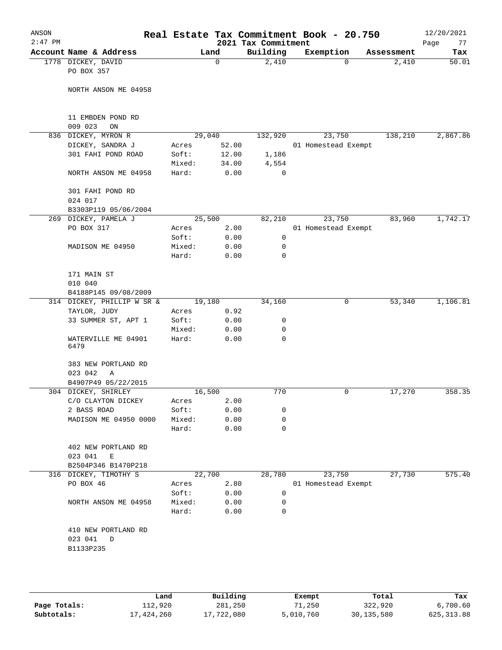|         |                  |            |             |                                                                   |                    | Real Estate Tax Commitment Book - 20.750                                                                                                                                               |                                                                                   | ANSON<br>$2:47$ PM                                                                                                                                                                                                                                                                                                                                                                                                                                                                                                                                     |
|---------|------------------|------------|-------------|-------------------------------------------------------------------|--------------------|----------------------------------------------------------------------------------------------------------------------------------------------------------------------------------------|-----------------------------------------------------------------------------------|--------------------------------------------------------------------------------------------------------------------------------------------------------------------------------------------------------------------------------------------------------------------------------------------------------------------------------------------------------------------------------------------------------------------------------------------------------------------------------------------------------------------------------------------------------|
|         |                  | Exemption  |             | Building                                                          |                    |                                                                                                                                                                                        |                                                                                   |                                                                                                                                                                                                                                                                                                                                                                                                                                                                                                                                                        |
| 2,410   |                  | 0          |             | 2,410                                                             | 0                  |                                                                                                                                                                                        | PO BOX 357                                                                        |                                                                                                                                                                                                                                                                                                                                                                                                                                                                                                                                                        |
|         |                  |            |             |                                                                   |                    |                                                                                                                                                                                        |                                                                                   |                                                                                                                                                                                                                                                                                                                                                                                                                                                                                                                                                        |
|         |                  |            |             |                                                                   |                    |                                                                                                                                                                                        | 11 EMBDEN POND RD<br>ON                                                           |                                                                                                                                                                                                                                                                                                                                                                                                                                                                                                                                                        |
| 138,210 |                  | 23,750     |             | 132,920                                                           |                    |                                                                                                                                                                                        |                                                                                   |                                                                                                                                                                                                                                                                                                                                                                                                                                                                                                                                                        |
|         |                  |            |             |                                                                   |                    | Acres                                                                                                                                                                                  |                                                                                   |                                                                                                                                                                                                                                                                                                                                                                                                                                                                                                                                                        |
|         |                  |            |             | 1,186                                                             |                    | Soft:                                                                                                                                                                                  | 301 FAHI POND ROAD                                                                |                                                                                                                                                                                                                                                                                                                                                                                                                                                                                                                                                        |
|         |                  |            |             | 4,554                                                             |                    | Mixed:                                                                                                                                                                                 |                                                                                   |                                                                                                                                                                                                                                                                                                                                                                                                                                                                                                                                                        |
|         |                  |            |             | 0                                                                 |                    | Hard:                                                                                                                                                                                  |                                                                                   |                                                                                                                                                                                                                                                                                                                                                                                                                                                                                                                                                        |
|         |                  |            |             |                                                                   |                    |                                                                                                                                                                                        | 301 FAHI POND RD<br>024 017                                                       |                                                                                                                                                                                                                                                                                                                                                                                                                                                                                                                                                        |
|         |                  |            |             |                                                                   |                    |                                                                                                                                                                                        |                                                                                   |                                                                                                                                                                                                                                                                                                                                                                                                                                                                                                                                                        |
| 83,960  |                  | 23,750     |             | 82,210                                                            |                    |                                                                                                                                                                                        |                                                                                   |                                                                                                                                                                                                                                                                                                                                                                                                                                                                                                                                                        |
|         |                  |            |             |                                                                   |                    | Acres                                                                                                                                                                                  |                                                                                   |                                                                                                                                                                                                                                                                                                                                                                                                                                                                                                                                                        |
|         |                  |            |             | 0                                                                 |                    | Soft:                                                                                                                                                                                  |                                                                                   |                                                                                                                                                                                                                                                                                                                                                                                                                                                                                                                                                        |
|         |                  |            |             | 0                                                                 |                    | Mixed:                                                                                                                                                                                 |                                                                                   |                                                                                                                                                                                                                                                                                                                                                                                                                                                                                                                                                        |
|         |                  |            |             | 0                                                                 |                    | Hard:                                                                                                                                                                                  |                                                                                   |                                                                                                                                                                                                                                                                                                                                                                                                                                                                                                                                                        |
|         |                  |            |             |                                                                   |                    |                                                                                                                                                                                        | 171 MAIN ST                                                                       |                                                                                                                                                                                                                                                                                                                                                                                                                                                                                                                                                        |
|         |                  |            |             |                                                                   |                    |                                                                                                                                                                                        |                                                                                   |                                                                                                                                                                                                                                                                                                                                                                                                                                                                                                                                                        |
| 53,340  |                  | 0          |             | 34,160                                                            |                    |                                                                                                                                                                                        |                                                                                   |                                                                                                                                                                                                                                                                                                                                                                                                                                                                                                                                                        |
|         |                  |            |             |                                                                   |                    | Acres                                                                                                                                                                                  |                                                                                   |                                                                                                                                                                                                                                                                                                                                                                                                                                                                                                                                                        |
|         |                  |            |             | 0                                                                 |                    | Soft:                                                                                                                                                                                  | 33 SUMMER ST, APT 1                                                               |                                                                                                                                                                                                                                                                                                                                                                                                                                                                                                                                                        |
|         |                  |            |             | 0                                                                 |                    | Mixed:                                                                                                                                                                                 |                                                                                   |                                                                                                                                                                                                                                                                                                                                                                                                                                                                                                                                                        |
|         |                  |            |             | $\mathbf 0$                                                       |                    | Hard:                                                                                                                                                                                  | WATERVILLE ME 04901<br>6479                                                       |                                                                                                                                                                                                                                                                                                                                                                                                                                                                                                                                                        |
|         |                  |            |             |                                                                   |                    |                                                                                                                                                                                        | 383 NEW PORTLAND RD                                                               |                                                                                                                                                                                                                                                                                                                                                                                                                                                                                                                                                        |
|         |                  |            |             |                                                                   |                    |                                                                                                                                                                                        |                                                                                   |                                                                                                                                                                                                                                                                                                                                                                                                                                                                                                                                                        |
|         |                  |            |             |                                                                   |                    |                                                                                                                                                                                        |                                                                                   |                                                                                                                                                                                                                                                                                                                                                                                                                                                                                                                                                        |
|         |                  |            |             |                                                                   |                    |                                                                                                                                                                                        |                                                                                   |                                                                                                                                                                                                                                                                                                                                                                                                                                                                                                                                                        |
|         |                  |            |             |                                                                   |                    |                                                                                                                                                                                        |                                                                                   |                                                                                                                                                                                                                                                                                                                                                                                                                                                                                                                                                        |
|         |                  |            |             | 0                                                                 |                    | Mixed:                                                                                                                                                                                 |                                                                                   |                                                                                                                                                                                                                                                                                                                                                                                                                                                                                                                                                        |
|         |                  |            |             | 0                                                                 |                    | Hard:                                                                                                                                                                                  |                                                                                   |                                                                                                                                                                                                                                                                                                                                                                                                                                                                                                                                                        |
|         |                  |            |             |                                                                   |                    |                                                                                                                                                                                        | 402 NEW PORTLAND RD                                                               |                                                                                                                                                                                                                                                                                                                                                                                                                                                                                                                                                        |
|         |                  |            |             |                                                                   |                    |                                                                                                                                                                                        |                                                                                   |                                                                                                                                                                                                                                                                                                                                                                                                                                                                                                                                                        |
|         |                  |            |             |                                                                   |                    |                                                                                                                                                                                        |                                                                                   |                                                                                                                                                                                                                                                                                                                                                                                                                                                                                                                                                        |
|         |                  |            |             |                                                                   |                    |                                                                                                                                                                                        |                                                                                   |                                                                                                                                                                                                                                                                                                                                                                                                                                                                                                                                                        |
|         |                  |            |             | 0                                                                 |                    | Soft:                                                                                                                                                                                  |                                                                                   |                                                                                                                                                                                                                                                                                                                                                                                                                                                                                                                                                        |
|         |                  |            |             | 0                                                                 |                    | Mixed:                                                                                                                                                                                 |                                                                                   |                                                                                                                                                                                                                                                                                                                                                                                                                                                                                                                                                        |
|         |                  |            |             | $\mathbf 0$                                                       |                    | Hard:                                                                                                                                                                                  |                                                                                   |                                                                                                                                                                                                                                                                                                                                                                                                                                                                                                                                                        |
|         |                  |            |             |                                                                   |                    |                                                                                                                                                                                        | 410 NEW PORTLAND RD<br>023 041<br>D<br>B1133P235                                  |                                                                                                                                                                                                                                                                                                                                                                                                                                                                                                                                                        |
|         | 17,270<br>27,730 | Assessment | 0<br>23,750 | 01 Homestead Exempt<br>01 Homestead Exempt<br>01 Homestead Exempt | 770<br>0<br>28,780 | 2021 Tax Commitment<br>52.00<br>12.00<br>34.00<br>0.00<br>2.00<br>0.00<br>0.00<br>0.00<br>0.92<br>0.00<br>0.00<br>0.00<br>2.00<br>0.00<br>0.00<br>0.00<br>2.80<br>0.00<br>0.00<br>0.00 | Land<br>29,040<br>25,500<br>19,180<br>16,500<br>Acres<br>Soft:<br>22,700<br>Acres | Account Name & Address<br>1778 DICKEY, DAVID<br>NORTH ANSON ME 04958<br>009 023<br>836 DICKEY, MYRON R<br>DICKEY, SANDRA J<br>NORTH ANSON ME 04958<br>B3303P119 05/06/2004<br>269 DICKEY, PAMELA J<br>PO BOX 317<br>MADISON ME 04950<br>010 040<br>B4188P145 09/08/2009<br>314 DICKEY, PHILLIP W SR &<br>TAYLOR, JUDY<br>023 042<br>Α<br>B4907P49 05/22/2015<br>304 DICKEY, SHIRLEY<br>C/O CLAYTON DICKEY<br>2 BASS ROAD<br>MADISON ME 04950 0000<br>023 041<br>Е<br>B2504P346 B1470P218<br>316 DICKEY, TIMOTHY S<br>PO BOX 46<br>NORTH ANSON ME 04958 |

|              | Land       | Building   | Exempt    | Total        | Tax         |
|--------------|------------|------------|-----------|--------------|-------------|
| Page Totals: | ⊥12,920    | 281,250    | 71,250    | 322,920      | 6,700.60    |
| Subtotals:   | 17,424,260 | 17,722,080 | 5,010,760 | 30, 135, 580 | 625, 313.88 |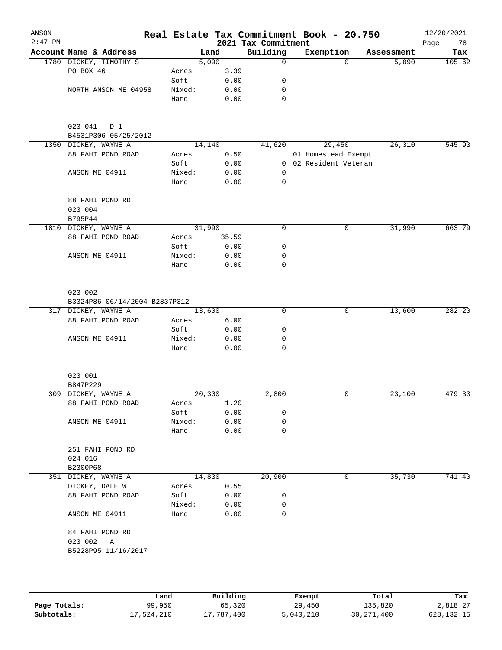| ANSON<br>$2:47$ PM |                                        |        |         | 2021 Tax Commitment | Real Estate Tax Commitment Book - 20.750 |            | 12/20/2021<br>78<br>Page |
|--------------------|----------------------------------------|--------|---------|---------------------|------------------------------------------|------------|--------------------------|
|                    | Account Name & Address                 |        | Land    | Building            | Exemption                                | Assessment | Tax                      |
|                    | 1780 DICKEY, TIMOTHY S                 |        | 5,090   | $\mathbf 0$         | $\Omega$                                 | 5,090      | 105.62                   |
|                    | PO BOX 46                              | Acres  | 3.39    |                     |                                          |            |                          |
|                    |                                        | Soft:  | 0.00    | 0                   |                                          |            |                          |
|                    | NORTH ANSON ME 04958                   | Mixed: | 0.00    | 0                   |                                          |            |                          |
|                    |                                        | Hard:  | 0.00    | 0                   |                                          |            |                          |
|                    | 023 041<br>D 1<br>B4531P306 05/25/2012 |        |         |                     |                                          |            |                          |
|                    | 1350 DICKEY, WAYNE A                   |        | 14,140  | 41,620              | 29,450                                   | 26,310     | 545.93                   |
|                    | 88 FAHI POND ROAD                      | Acres  | 0.50    |                     | 01 Homestead Exempt                      |            |                          |
|                    |                                        | Soft:  | 0.00    |                     | 0 02 Resident Veteran                    |            |                          |
|                    | ANSON ME 04911                         | Mixed: | 0.00    | 0                   |                                          |            |                          |
|                    |                                        | Hard:  | 0.00    | $\mathbf 0$         |                                          |            |                          |
|                    | 88 FAHI POND RD                        |        |         |                     |                                          |            |                          |
|                    | 023 004<br>B795P44                     |        |         |                     |                                          |            |                          |
|                    | 1810 DICKEY, WAYNE A                   |        | 31,990  | 0                   | 0                                        | 31,990     | 663.79                   |
|                    | 88 FAHI POND ROAD                      | Acres  | 35.59   |                     |                                          |            |                          |
|                    |                                        | Soft:  | 0.00    | 0                   |                                          |            |                          |
|                    | ANSON ME 04911                         | Mixed: | 0.00    | 0                   |                                          |            |                          |
|                    |                                        | Hard:  | 0.00    | 0                   |                                          |            |                          |
|                    | 023 002                                |        |         |                     |                                          |            |                          |
|                    | B3324P86 06/14/2004 B2837P312          |        |         |                     |                                          |            |                          |
|                    | 317 DICKEY, WAYNE A                    |        | 13,600  | 0                   | 0                                        | 13,600     | 282.20                   |
|                    | 88 FAHI POND ROAD                      | Acres  | 6.00    |                     |                                          |            |                          |
|                    |                                        | Soft:  | 0.00    | 0                   |                                          |            |                          |
|                    | ANSON ME 04911                         | Mixed: | 0.00    | 0                   |                                          |            |                          |
|                    |                                        | Hard:  | 0.00    | 0                   |                                          |            |                          |
|                    | 023 001                                |        |         |                     |                                          |            |                          |
|                    | B847P229                               |        |         |                     |                                          |            |                          |
|                    | 309 DICKEY, WAYNE A                    |        | 20, 300 | 2,800               | 0                                        | 23,100     | 479.33                   |
|                    | 88 FAHI POND ROAD                      | Acres  | 1.20    |                     |                                          |            |                          |
|                    |                                        | Soft:  | 0.00    | 0                   |                                          |            |                          |
|                    | ANSON ME 04911                         | Mixed: | 0.00    | 0<br>$\mathbf 0$    |                                          |            |                          |
|                    |                                        | Hard:  | 0.00    |                     |                                          |            |                          |
|                    | 251 FAHI POND RD<br>024 016            |        |         |                     |                                          |            |                          |
|                    | B2300P68                               |        |         |                     |                                          |            |                          |
|                    | 351 DICKEY, WAYNE A                    |        | 14,830  | 20,900              | 0                                        | 35,730     | 741.40                   |
|                    | DICKEY, DALE W                         | Acres  | 0.55    |                     |                                          |            |                          |
|                    | 88 FAHI POND ROAD                      | Soft:  | 0.00    | 0                   |                                          |            |                          |
|                    |                                        | Mixed: | 0.00    | 0                   |                                          |            |                          |
|                    | ANSON ME 04911                         | Hard:  | 0.00    | $\mathbf 0$         |                                          |            |                          |
|                    | 84 FAHI POND RD<br>023 002<br>Α        |        |         |                     |                                          |            |                          |
|                    | B5228P95 11/16/2017                    |        |         |                     |                                          |            |                          |
|                    |                                        |        |         |                     |                                          |            |                          |
|                    |                                        |        |         |                     |                                          |            |                          |

|              | Land       | Building   | Exempt    | Total        | Tax          |
|--------------|------------|------------|-----------|--------------|--------------|
| Page Totals: | 99,950     | 65,320     | 29,450    | 135,820      | 2,818.27     |
| Subtotals:   | 17,524,210 | 17,787,400 | 5,040,210 | 30, 271, 400 | 628, 132. 15 |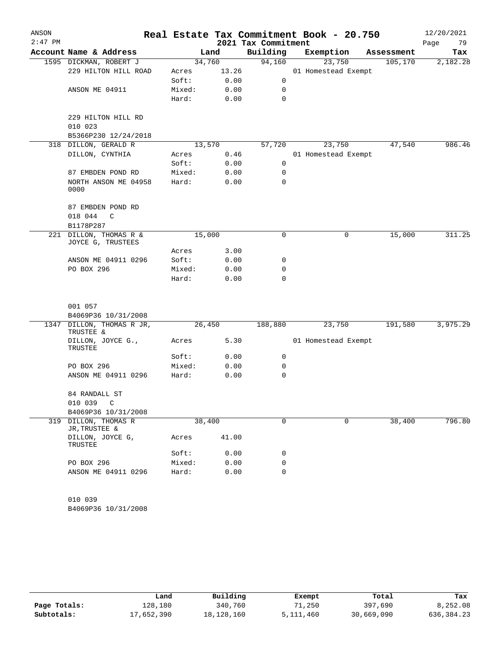| ANSON<br>$2:47$ PM |                                         |        |       | 2021 Tax Commitment | Real Estate Tax Commitment Book - 20.750 |            | 12/20/2021<br>Page<br>79 |
|--------------------|-----------------------------------------|--------|-------|---------------------|------------------------------------------|------------|--------------------------|
|                    | Account Name & Address                  |        | Land  | Building            | Exemption                                | Assessment | Tax                      |
|                    | 1595 DICKMAN, ROBERT J                  | 34,760 |       | 94,160              | 23,750                                   | 105,170    | 2,182.28                 |
|                    | 229 HILTON HILL ROAD                    | Acres  | 13.26 |                     | 01 Homestead Exempt                      |            |                          |
|                    |                                         | Soft:  | 0.00  | 0                   |                                          |            |                          |
|                    | ANSON ME 04911                          | Mixed: | 0.00  | 0                   |                                          |            |                          |
|                    |                                         | Hard:  | 0.00  | $\mathbf 0$         |                                          |            |                          |
|                    | 229 HILTON HILL RD<br>010 023           |        |       |                     |                                          |            |                          |
|                    | B5366P230 12/24/2018                    |        |       |                     |                                          |            |                          |
|                    | 318 DILLON, GERALD R                    | 13,570 |       | 57,720              | 23,750                                   | 47,540     | 986.46                   |
|                    | DILLON, CYNTHIA                         | Acres  | 0.46  |                     | 01 Homestead Exempt                      |            |                          |
|                    |                                         | Soft:  | 0.00  | 0                   |                                          |            |                          |
|                    | 87 EMBDEN POND RD                       | Mixed: | 0.00  | 0                   |                                          |            |                          |
|                    | NORTH ANSON ME 04958<br>0000            | Hard:  | 0.00  | 0                   |                                          |            |                          |
|                    | 87 EMBDEN POND RD<br>018 044<br>C       |        |       |                     |                                          |            |                          |
|                    | B1178P287                               |        |       |                     |                                          |            |                          |
| 221                | DILLON, THOMAS R &<br>JOYCE G, TRUSTEES | 15,000 |       | $\mathbf 0$         | 0                                        | 15,000     | 311.25                   |
|                    |                                         | Acres  | 3.00  |                     |                                          |            |                          |
|                    | ANSON ME 04911 0296                     | Soft:  | 0.00  | 0                   |                                          |            |                          |
|                    | PO BOX 296                              | Mixed: | 0.00  | 0                   |                                          |            |                          |
|                    |                                         | Hard:  | 0.00  | $\Omega$            |                                          |            |                          |
|                    | 001 057                                 |        |       |                     |                                          |            |                          |
|                    | B4069P36 10/31/2008                     |        |       |                     |                                          |            |                          |
|                    | 1347 DILLON, THOMAS R JR,<br>TRUSTEE &  | 26,450 |       | 188,880             | 23,750                                   | 191,580    | 3,975.29                 |
|                    | DILLON, JOYCE G.,<br>TRUSTEE            | Acres  | 5.30  |                     | 01 Homestead Exempt                      |            |                          |
|                    |                                         | Soft:  | 0.00  | 0                   |                                          |            |                          |
|                    | PO BOX 296                              | Mixed: | 0.00  | 0                   |                                          |            |                          |
|                    | ANSON ME 04911 0296                     | Hard:  | 0.00  | 0                   |                                          |            |                          |
|                    | 84 RANDALL ST                           |        |       |                     |                                          |            |                          |
|                    | 010 039<br>C                            |        |       |                     |                                          |            |                          |
|                    | B4069P36 10/31/2008                     |        |       |                     |                                          |            |                          |
| 319                | DILLON, THOMAS R<br>JR, TRUSTEE &       | 38,400 |       | 0                   | 0                                        | 38,400     | 796.80                   |
|                    | DILLON, JOYCE G,<br>TRUSTEE             | Acres  | 41.00 |                     |                                          |            |                          |
|                    |                                         | Soft:  | 0.00  | 0                   |                                          |            |                          |
|                    | PO BOX 296                              | Mixed: | 0.00  | 0                   |                                          |            |                          |
|                    | ANSON ME 04911 0296                     | Hard:  | 0.00  | 0                   |                                          |            |                          |
|                    | 010 039                                 |        |       |                     |                                          |            |                          |
|                    | B4069P36 10/31/2008                     |        |       |                     |                                          |            |                          |
|                    |                                         |        |       |                     |                                          |            |                          |

|              | Land       | Building   | Exempt    | Total      | Tax          |
|--------------|------------|------------|-----------|------------|--------------|
| Page Totals: | 128,180    | 340,760    | 71,250    | 397,690    | 8,252.08     |
| Subtotals:   | 17,652,390 | 18,128,160 | 5,111,460 | 30,669,090 | 636, 384, 23 |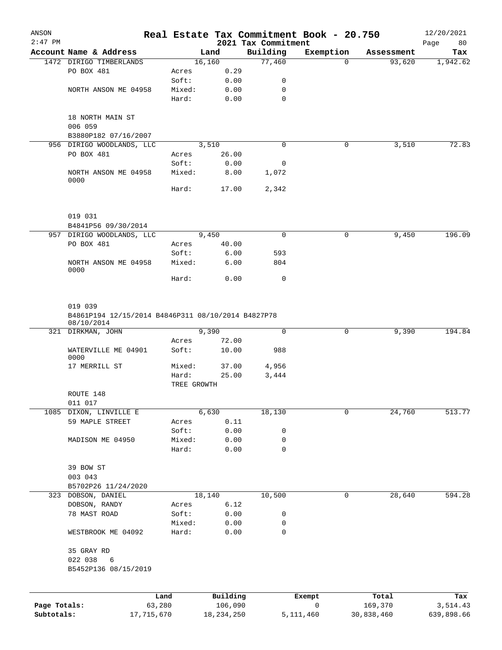| ANSON        |                                 |                      |                |                                 | Real Estate Tax Commitment Book - 20.750 |            | 12/20/2021        |
|--------------|---------------------------------|----------------------|----------------|---------------------------------|------------------------------------------|------------|-------------------|
| $2:47$ PM    | Account Name & Address          |                      | Land           | 2021 Tax Commitment<br>Building | Exemption                                | Assessment | Page<br>80<br>Tax |
|              | 1472 DIRIGO TIMBERLANDS         |                      | 16,160         | 77,460                          | $\Omega$                                 | 93,620     | 1,942.62          |
|              | PO BOX 481                      | Acres                | 0.29           |                                 |                                          |            |                   |
|              |                                 | Soft:                | 0.00           | 0                               |                                          |            |                   |
|              | NORTH ANSON ME 04958            | Mixed:               | 0.00           | 0                               |                                          |            |                   |
|              |                                 | Hard:                | 0.00           | $\mathbf 0$                     |                                          |            |                   |
|              | 18 NORTH MAIN ST<br>006 059     |                      |                |                                 |                                          |            |                   |
|              | B3880P182 07/16/2007            |                      |                |                                 |                                          |            |                   |
|              | 956 DIRIGO WOODLANDS, LLC       |                      | 3,510          | $\mathbf 0$                     | 0                                        | 3,510      | 72.83             |
|              | PO BOX 481                      | Acres                | 26.00          |                                 |                                          |            |                   |
|              |                                 | Soft:                | 0.00           | 0                               |                                          |            |                   |
|              | NORTH ANSON ME 04958<br>0000    | Mixed:               | 8.00           | 1,072                           |                                          |            |                   |
|              |                                 | Hard:                | 17.00          | 2,342                           |                                          |            |                   |
|              | 019 031                         |                      |                |                                 |                                          |            |                   |
|              | B4841P56 09/30/2014             |                      |                |                                 |                                          |            |                   |
|              | 957 DIRIGO WOODLANDS, LLC       |                      | 9,450          | $\mathbf 0$                     | 0                                        | 9,450      | 196.09            |
|              | PO BOX 481                      | Acres                | 40.00          |                                 |                                          |            |                   |
|              |                                 | Soft:                | 6.00           | 593                             |                                          |            |                   |
|              | NORTH ANSON ME 04958<br>0000    | Mixed:               | 6.00           | 804                             |                                          |            |                   |
|              |                                 | Hard:                | 0.00           | $\mathbf 0$                     |                                          |            |                   |
|              | 08/10/2014<br>321 DIRKMAN, JOHN | Acres                | 9,390<br>72.00 | $\Omega$                        | 0                                        | 9,390      | 194.84            |
|              | WATERVILLE ME 04901<br>0000     | Soft:                | 10.00          | 988                             |                                          |            |                   |
|              | 17 MERRILL ST                   | Mixed:               | 37.00          | 4,956                           |                                          |            |                   |
|              |                                 | Hard:<br>TREE GROWTH | 25.00          | 3,444                           |                                          |            |                   |
|              | ROUTE 148<br>011 017            |                      |                |                                 |                                          |            |                   |
|              | 1085 DIXON, LINVILLE E          |                      | 6,630          | 18,130                          | 0                                        | 24,760     | 513.77            |
|              | 59 MAPLE STREET                 | Acres                | 0.11           |                                 |                                          |            |                   |
|              |                                 | Soft:                | 0.00           | 0                               |                                          |            |                   |
|              | MADISON ME 04950                | Mixed:               | 0.00           | 0                               |                                          |            |                   |
|              |                                 | Hard:                | 0.00           | $\mathbf 0$                     |                                          |            |                   |
|              | 39 BOW ST                       |                      |                |                                 |                                          |            |                   |
|              | 003 043                         |                      |                |                                 |                                          |            |                   |
|              | B5702P26 11/24/2020             |                      |                |                                 |                                          |            |                   |
|              | 323 DOBSON, DANIEL              |                      | 18,140         | 10,500                          | 0                                        | 28,640     | 594.28            |
|              | DOBSON, RANDY                   | Acres                | 6.12           |                                 |                                          |            |                   |
|              | 78 MAST ROAD                    | Soft:                | 0.00           | 0                               |                                          |            |                   |
|              |                                 | Mixed:               | 0.00           | 0                               |                                          |            |                   |
|              | WESTBROOK ME 04092              | Hard:                | 0.00           | $\mathbf 0$                     |                                          |            |                   |
|              | 35 GRAY RD                      |                      |                |                                 |                                          |            |                   |
|              | 022 038<br>6                    |                      |                |                                 |                                          |            |                   |
|              | B5452P136 08/15/2019            |                      |                |                                 |                                          |            |                   |
|              |                                 | Land                 | Building       |                                 | Exempt                                   | Total      | Tax               |
| Page Totals: |                                 | 63,280               | 106,090        |                                 | $\mathsf{O}$                             | 169,370    | 3,514.43          |
| Subtotals:   |                                 | 17,715,670           | 18, 234, 250   |                                 | 5, 111, 460                              | 30,838,460 | 639,898.66        |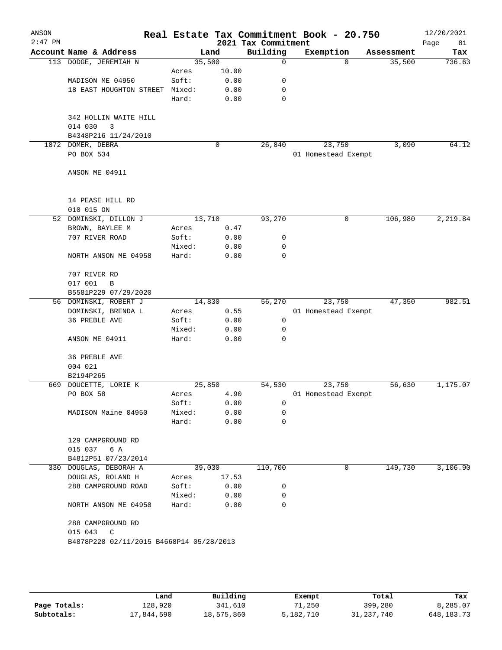| ANSON<br>$2:47$ PM |                                          |        |        | 2021 Tax Commitment | Real Estate Tax Commitment Book - 20.750 |            | 12/20/2021<br>Page<br>81 |
|--------------------|------------------------------------------|--------|--------|---------------------|------------------------------------------|------------|--------------------------|
|                    | Account Name & Address                   |        | Land   | Building            | Exemption                                | Assessment | Tax                      |
|                    | 113 DODGE, JEREMIAH N                    | 35,500 |        | $\mathbf 0$         | $\Omega$                                 | 35,500     | 736.63                   |
|                    |                                          | Acres  | 10.00  |                     |                                          |            |                          |
|                    | MADISON ME 04950                         | Soft:  | 0.00   | 0                   |                                          |            |                          |
|                    | 18 EAST HOUGHTON STREET                  | Mixed: | 0.00   | 0                   |                                          |            |                          |
|                    |                                          | Hard:  | 0.00   | 0                   |                                          |            |                          |
|                    |                                          |        |        |                     |                                          |            |                          |
|                    | 342 HOLLIN WAITE HILL<br>014 030<br>3    |        |        |                     |                                          |            |                          |
|                    | B4348P216 11/24/2010                     |        |        |                     |                                          |            |                          |
|                    | 1872 DOMER, DEBRA                        |        | 0      | 26,840              | 23,750                                   | 3,090      | 64.12                    |
|                    | PO BOX 534                               |        |        |                     | 01 Homestead Exempt                      |            |                          |
|                    |                                          |        |        |                     |                                          |            |                          |
|                    | ANSON ME 04911                           |        |        |                     |                                          |            |                          |
|                    |                                          |        |        |                     |                                          |            |                          |
|                    |                                          |        |        |                     |                                          |            |                          |
|                    | 14 PEASE HILL RD                         |        |        |                     |                                          |            |                          |
|                    | 010 015 ON<br>52 DOMINSKI, DILLON J      | 13,710 |        | 93,270              | 0                                        | 106,980    | 2,219.84                 |
|                    | BROWN, BAYLEE M                          | Acres  | 0.47   |                     |                                          |            |                          |
|                    | 707 RIVER ROAD                           | Soft:  | 0.00   | 0                   |                                          |            |                          |
|                    |                                          | Mixed: | 0.00   | 0                   |                                          |            |                          |
|                    | NORTH ANSON ME 04958                     | Hard:  | 0.00   | $\mathbf 0$         |                                          |            |                          |
|                    |                                          |        |        |                     |                                          |            |                          |
|                    | 707 RIVER RD                             |        |        |                     |                                          |            |                          |
|                    | 017 001<br>B                             |        |        |                     |                                          |            |                          |
|                    | B5581P229 07/29/2020                     |        |        |                     |                                          |            |                          |
|                    | 56 DOMINSKI, ROBERT J                    | 14,830 |        | 56,270              | 23,750                                   | 47,350     | 982.51                   |
|                    | DOMINSKI, BRENDA L                       | Acres  | 0.55   |                     | 01 Homestead Exempt                      |            |                          |
|                    | 36 PREBLE AVE                            | Soft:  | 0.00   | 0                   |                                          |            |                          |
|                    |                                          | Mixed: | 0.00   | 0                   |                                          |            |                          |
|                    | ANSON ME 04911                           | Hard:  | 0.00   | 0                   |                                          |            |                          |
|                    | 36 PREBLE AVE                            |        |        |                     |                                          |            |                          |
|                    | 004 021                                  |        |        |                     |                                          |            |                          |
|                    | B2194P265                                |        |        |                     |                                          |            |                          |
| 669                | DOUCETTE, LORIE K                        | 25,850 |        | 54,530              | 23,750                                   | 56,630     | 1,175.07                 |
|                    | PO BOX 58                                | Acres  | 4.90   |                     | 01 Homestead Exempt                      |            |                          |
|                    |                                          | Soft:  | 0.00   | 0                   |                                          |            |                          |
|                    | MADISON Maine 04950                      | Mixed: | 0.00   | 0                   |                                          |            |                          |
|                    |                                          | Hard:  | 0.00   | 0                   |                                          |            |                          |
|                    |                                          |        |        |                     |                                          |            |                          |
|                    | 129 CAMPGROUND RD                        |        |        |                     |                                          |            |                          |
|                    | 015 037 6 A                              |        |        |                     |                                          |            |                          |
|                    | B4812P51 07/23/2014                      |        |        |                     |                                          |            |                          |
|                    | 330 DOUGLAS, DEBORAH A                   |        | 39,030 | 110,700             | $\mathbf{0}$                             | 149,730    | 3,106.90                 |
|                    | DOUGLAS, ROLAND H                        | Acres  | 17.53  |                     |                                          |            |                          |
|                    | 288 CAMPGROUND ROAD                      | Soft:  | 0.00   | 0                   |                                          |            |                          |
|                    |                                          | Mixed: | 0.00   | 0<br>$\mathbf 0$    |                                          |            |                          |
|                    | NORTH ANSON ME 04958                     | Hard:  | 0.00   |                     |                                          |            |                          |
|                    | 288 CAMPGROUND RD                        |        |        |                     |                                          |            |                          |
|                    | 015 043<br>$\mathbb{C}$                  |        |        |                     |                                          |            |                          |
|                    | B4878P228 02/11/2015 B4668P14 05/28/2013 |        |        |                     |                                          |            |                          |
|                    |                                          |        |        |                     |                                          |            |                          |
|                    |                                          |        |        |                     |                                          |            |                          |
|                    |                                          |        |        |                     |                                          |            |                          |
|                    |                                          |        |        |                     |                                          |            |                          |
|                    |                                          |        |        |                     |                                          |            |                          |

|              | Land       | Building   | Exempt    | Total        | Tax          |
|--------------|------------|------------|-----------|--------------|--------------|
| Page Totals: | 128,920    | 341,610    | 71,250    | 399,280      | 8,285.07     |
| Subtotals:   | 17,844,590 | 18,575,860 | 5,182,710 | 31, 237, 740 | 648, 183. 73 |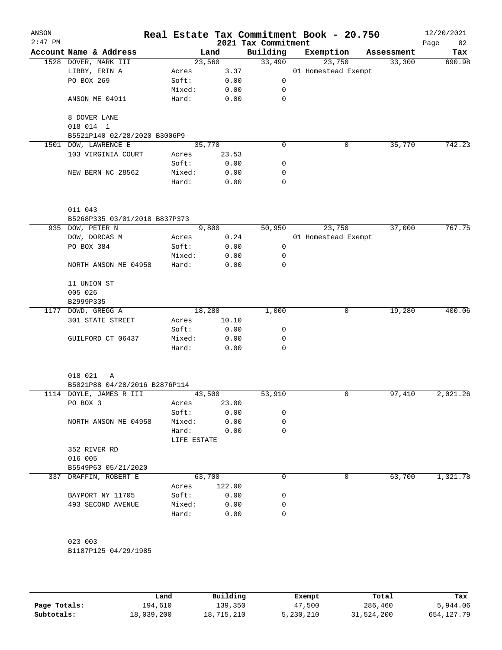| ANSON<br>$2:47$ PM |                               |                 |              | 2021 Tax Commitment | Real Estate Tax Commitment Book - 20.750 |            | 12/20/2021<br>82<br>Page |
|--------------------|-------------------------------|-----------------|--------------|---------------------|------------------------------------------|------------|--------------------------|
|                    | Account Name & Address        |                 | Land         | Building            | Exemption                                | Assessment | Tax                      |
|                    | 1528 DOVER, MARK III          |                 | 23,560       | 33,490              | 23,750                                   | 33,300     | 690.98                   |
|                    | LIBBY, ERIN A                 | Acres           | 3.37         |                     | 01 Homestead Exempt                      |            |                          |
|                    | PO BOX 269                    | Soft:           | 0.00         | 0                   |                                          |            |                          |
|                    |                               | Mixed:          | 0.00         | 0                   |                                          |            |                          |
|                    | ANSON ME 04911                | Hard:           | 0.00         | 0                   |                                          |            |                          |
|                    | 8 DOVER LANE                  |                 |              |                     |                                          |            |                          |
|                    | 018 014 1                     |                 |              |                     |                                          |            |                          |
|                    | B5521P140 02/28/2020 B3006P9  |                 |              |                     |                                          |            |                          |
|                    | 1501 DOW, LAWRENCE E          |                 | 35,770       | $\mathbf 0$         | 0                                        | 35,770     | 742.23                   |
|                    | 103 VIRGINIA COURT            | Acres           | 23.53        |                     |                                          |            |                          |
|                    |                               | Soft:           | 0.00         | 0                   |                                          |            |                          |
|                    | NEW BERN NC 28562             | Mixed:<br>Hard: | 0.00<br>0.00 | 0<br>$\mathbf 0$    |                                          |            |                          |
|                    |                               |                 |              |                     |                                          |            |                          |
|                    | 011 043                       |                 |              |                     |                                          |            |                          |
|                    | B5268P335 03/01/2018 B837P373 |                 |              |                     |                                          |            |                          |
|                    | 935 DOW, PETER N              |                 | 9,800        | 50,950              | 23,750                                   | 37,000     | 767.75                   |
|                    | DOW, DORCAS M                 | Acres           | 0.24         |                     | 01 Homestead Exempt                      |            |                          |
|                    | PO BOX 384                    | Soft:           | 0.00         | 0                   |                                          |            |                          |
|                    |                               | Mixed:          | 0.00         | 0                   |                                          |            |                          |
|                    | NORTH ANSON ME 04958          | Hard:           | 0.00         | $\mathbf 0$         |                                          |            |                          |
|                    | 11 UNION ST                   |                 |              |                     |                                          |            |                          |
|                    | 005 026                       |                 |              |                     |                                          |            |                          |
|                    | B2999P335                     |                 |              |                     |                                          |            |                          |
| 1177               | DOWD, GREGG A                 |                 | 18,280       | 1,000               | 0                                        | 19,280     | 400.06                   |
|                    | 301 STATE STREET              | Acres           | 10.10        |                     |                                          |            |                          |
|                    |                               | Soft:           | 0.00         | 0                   |                                          |            |                          |
|                    | GUILFORD CT 06437             | Mixed:          | 0.00         | 0                   |                                          |            |                          |
|                    |                               | Hard:           | 0.00         | 0                   |                                          |            |                          |
|                    | 018 021<br>Α                  |                 |              |                     |                                          |            |                          |
|                    | B5021P88 04/28/2016 B2876P114 |                 |              |                     |                                          |            |                          |
|                    | 1114 DOYLE, JAMES R III       | 43,500          |              | 53,910              | $\mathbf 0$                              | 97,410     | 2,021.26                 |
|                    | PO BOX 3                      | Acres           | 23.00        |                     |                                          |            |                          |
|                    |                               | Soft:           | 0.00         | 0                   |                                          |            |                          |
|                    |                               | Mixed:          | 0.00         | 0                   |                                          |            |                          |
|                    | NORTH ANSON ME 04958          |                 |              |                     |                                          |            |                          |
|                    |                               | Hard:           | 0.00         | 0                   |                                          |            |                          |
|                    |                               | LIFE ESTATE     |              |                     |                                          |            |                          |
|                    | 352 RIVER RD                  |                 |              |                     |                                          |            |                          |
|                    | 016 005                       |                 |              |                     |                                          |            |                          |
|                    | B5549P63 05/21/2020           |                 |              |                     |                                          |            |                          |
|                    | 337 DRAFFIN, ROBERT E         |                 | 63,700       | 0                   | 0                                        | 63,700     | 1,321.78                 |
|                    |                               | Acres           | 122.00       |                     |                                          |            |                          |
|                    | BAYPORT NY 11705              | Soft:           | 0.00         | 0                   |                                          |            |                          |
|                    | 493 SECOND AVENUE             | Mixed:          | 0.00         | 0                   |                                          |            |                          |
|                    |                               | Hard:           | 0.00         | $\Omega$            |                                          |            |                          |
|                    |                               |                 |              |                     |                                          |            |                          |
|                    | 023 003                       |                 |              |                     |                                          |            |                          |
|                    | B1187P125 04/29/1985          |                 |              |                     |                                          |            |                          |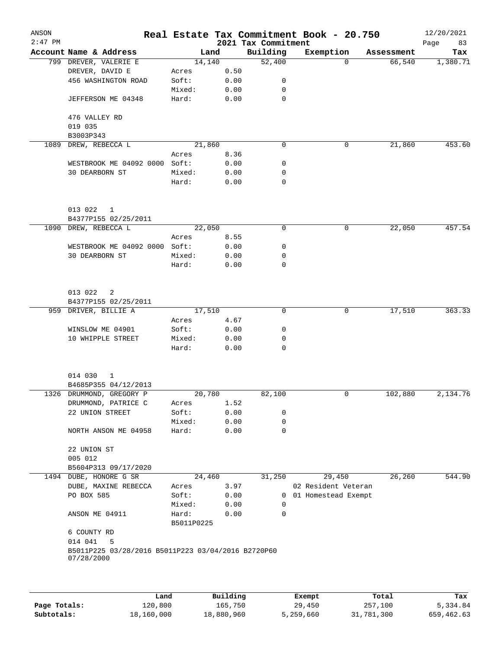| ANSON<br>$2:47$ PM |                                                                  |                     |      | 2021 Tax Commitment | Real Estate Tax Commitment Book - 20.750 |            | 12/20/2021<br>83<br>Page |
|--------------------|------------------------------------------------------------------|---------------------|------|---------------------|------------------------------------------|------------|--------------------------|
|                    | Account Name & Address                                           | Land                |      | Building            | Exemption                                | Assessment | Tax                      |
|                    | 799 DREVER, VALERIE E                                            | 14,140              |      | 52,400              | $\Omega$                                 | 66,540     | 1,380.71                 |
|                    | DREVER, DAVID E                                                  | Acres               | 0.50 |                     |                                          |            |                          |
|                    | 456 WASHINGTON ROAD                                              | Soft:               | 0.00 | 0                   |                                          |            |                          |
|                    |                                                                  | Mixed:              | 0.00 | $\mathbf 0$         |                                          |            |                          |
|                    | JEFFERSON ME 04348                                               | Hard:               | 0.00 | 0                   |                                          |            |                          |
|                    | 476 VALLEY RD<br>019 035                                         |                     |      |                     |                                          |            |                          |
|                    | B3003P343                                                        |                     |      |                     |                                          |            |                          |
| 1089               | DREW, REBECCA L                                                  | 21,860              |      | $\mathbf 0$         | 0                                        | 21,860     | 453.60                   |
|                    |                                                                  | Acres               | 8.36 |                     |                                          |            |                          |
|                    | WESTBROOK ME 04092 0000 Soft:                                    |                     | 0.00 | 0                   |                                          |            |                          |
|                    | 30 DEARBORN ST                                                   | Mixed:              | 0.00 | 0                   |                                          |            |                          |
|                    |                                                                  | Hard:               | 0.00 | 0                   |                                          |            |                          |
|                    | 013 022<br>1                                                     |                     |      |                     |                                          |            |                          |
|                    | B4377P155 02/25/2011                                             |                     |      |                     |                                          |            |                          |
|                    | 1090 DREW, REBECCA L                                             | 22,050              |      | 0                   | 0                                        | 22,050     | 457.54                   |
|                    |                                                                  | Acres               | 8.55 |                     |                                          |            |                          |
|                    | WESTBROOK ME 04092 0000 Soft:                                    |                     | 0.00 | 0                   |                                          |            |                          |
|                    | 30 DEARBORN ST                                                   | Mixed:              | 0.00 | 0                   |                                          |            |                          |
|                    |                                                                  | Hard:               | 0.00 | 0                   |                                          |            |                          |
|                    | 013 022<br>2<br>B4377P155 02/25/2011                             |                     |      |                     |                                          |            |                          |
| 959                | DRIVER, BILLIE A                                                 | 17,510              |      | 0                   | 0                                        | 17,510     | 363.33                   |
|                    |                                                                  | Acres               | 4.67 |                     |                                          |            |                          |
|                    | WINSLOW ME 04901                                                 | Soft:               | 0.00 | 0                   |                                          |            |                          |
|                    | 10 WHIPPLE STREET                                                | Mixed:              | 0.00 | 0                   |                                          |            |                          |
|                    |                                                                  | Hard:               | 0.00 | $\Omega$            |                                          |            |                          |
|                    | 014 030<br>1                                                     |                     |      |                     |                                          |            |                          |
|                    | B4685P355 04/12/2013                                             |                     |      |                     |                                          |            |                          |
|                    | 1326 DRUMMOND, GREGORY P                                         | 20,780              |      | 82,100              | 0                                        | 102,880    | 2,134.76                 |
|                    | DRUMMOND, PATRICE C                                              | Acres               | 1.52 |                     |                                          |            |                          |
|                    | 22 UNION STREET                                                  | Soft:               | 0.00 | 0                   |                                          |            |                          |
|                    |                                                                  | Mixed:              | 0.00 | $\mathbf 0$         |                                          |            |                          |
|                    | NORTH ANSON ME 04958                                             | Hard:               | 0.00 | $\mathbf 0$         |                                          |            |                          |
|                    | 22 UNION ST                                                      |                     |      |                     |                                          |            |                          |
|                    | 005 012                                                          |                     |      |                     |                                          |            |                          |
|                    | B5604P313 09/17/2020                                             |                     |      |                     |                                          |            |                          |
|                    | 1494 DUBE, HONORE G SR                                           | 24,460              | 3.97 | 31,250              | 29,450<br>02 Resident Veteran            | 26,260     | 544.90                   |
|                    | DUBE, MAXINE REBECCA<br>PO BOX 585                               | Acres               |      |                     |                                          |            |                          |
|                    |                                                                  | Soft:               | 0.00 |                     | 0 01 Homestead Exempt                    |            |                          |
|                    |                                                                  | Mixed:              | 0.00 | 0<br>$\mathbf 0$    |                                          |            |                          |
|                    | ANSON ME 04911                                                   | Hard:<br>B5011P0225 | 0.00 |                     |                                          |            |                          |
|                    | 6 COUNTY RD                                                      |                     |      |                     |                                          |            |                          |
|                    | 014 041<br>-5                                                    |                     |      |                     |                                          |            |                          |
|                    | B5011P225 03/28/2016 B5011P223 03/04/2016 B2720P60<br>07/28/2000 |                     |      |                     |                                          |            |                          |
|                    |                                                                  |                     |      |                     |                                          |            |                          |

|              | Land       | Building   | Exempt    | Total      | Tax        |
|--------------|------------|------------|-----------|------------|------------|
| Page Totals: | 120,800    | 165,750    | 29,450    | 257,100    | 5,334.84   |
| Subtotals:   | 18,160,000 | 18,880,960 | 5,259,660 | 31,781,300 | 659,462.63 |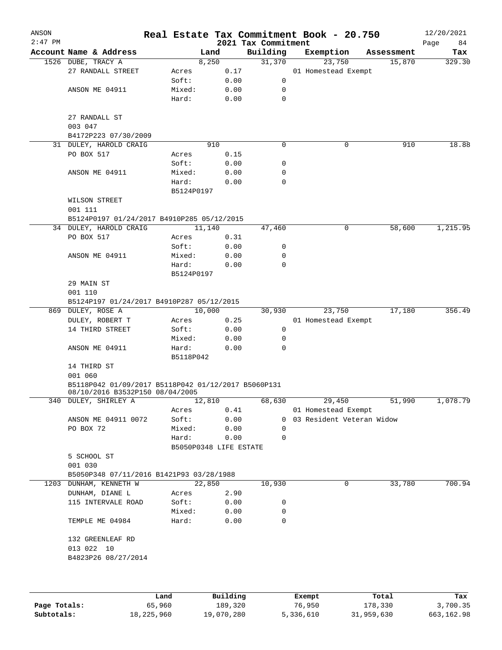| ANSON<br>$2:47$ PM |                                                                                        |                        |        |      |                                 | Real Estate Tax Commitment Book - 20.750 |            | 12/20/2021        |
|--------------------|----------------------------------------------------------------------------------------|------------------------|--------|------|---------------------------------|------------------------------------------|------------|-------------------|
|                    | Account Name & Address                                                                 |                        | Land   |      | 2021 Tax Commitment<br>Building | Exemption                                | Assessment | Page<br>84<br>Tax |
|                    | 1526 DUBE, TRACY A                                                                     |                        | 8,250  |      | 31,370                          | 23,750                                   | 15,870     | 329.30            |
|                    | 27 RANDALL STREET                                                                      | Acres                  |        | 0.17 |                                 | 01 Homestead Exempt                      |            |                   |
|                    |                                                                                        | Soft:                  |        | 0.00 | 0                               |                                          |            |                   |
|                    | ANSON ME 04911                                                                         | Mixed:                 |        | 0.00 | 0                               |                                          |            |                   |
|                    |                                                                                        | Hard:                  |        | 0.00 | 0                               |                                          |            |                   |
|                    | 27 RANDALL ST<br>003 047                                                               |                        |        |      |                                 |                                          |            |                   |
|                    | B4172P223 07/30/2009                                                                   |                        |        |      |                                 |                                          |            |                   |
|                    | 31 DULEY, HAROLD CRAIG                                                                 |                        | 910    |      | 0                               | 0                                        | 910        | 18.88             |
|                    | PO BOX 517                                                                             | Acres                  |        | 0.15 |                                 |                                          |            |                   |
|                    |                                                                                        | Soft:                  |        | 0.00 | 0                               |                                          |            |                   |
|                    | ANSON ME 04911                                                                         | Mixed:                 |        | 0.00 | 0                               |                                          |            |                   |
|                    |                                                                                        | Hard:                  |        | 0.00 | 0                               |                                          |            |                   |
|                    |                                                                                        | B5124P0197             |        |      |                                 |                                          |            |                   |
|                    | WILSON STREET<br>001 111                                                               |                        |        |      |                                 |                                          |            |                   |
|                    | B5124P0197 01/24/2017 B4910P285 05/12/2015                                             |                        |        |      |                                 |                                          |            |                   |
|                    | 34 DULEY, HAROLD CRAIG                                                                 |                        | 11,140 |      | 47,460                          | 0                                        | 58,600     | 1,215.95          |
|                    | PO BOX 517                                                                             | Acres                  |        | 0.31 |                                 |                                          |            |                   |
|                    |                                                                                        | Soft:                  |        | 0.00 | 0                               |                                          |            |                   |
|                    | ANSON ME 04911                                                                         | Mixed:                 |        | 0.00 | 0                               |                                          |            |                   |
|                    |                                                                                        | Hard:                  |        | 0.00 | 0                               |                                          |            |                   |
|                    |                                                                                        | B5124P0197             |        |      |                                 |                                          |            |                   |
|                    | 29 MAIN ST                                                                             |                        |        |      |                                 |                                          |            |                   |
|                    | 001 110                                                                                |                        |        |      |                                 |                                          |            |                   |
|                    | B5124P197 01/24/2017 B4910P287 05/12/2015                                              |                        |        |      |                                 |                                          |            |                   |
|                    | 869 DULEY, ROSE A                                                                      |                        | 10,000 |      | 30,930                          | 23,750                                   | 17,180     | 356.49            |
|                    | DULEY, ROBERT T                                                                        |                        |        | 0.25 |                                 | 01 Homestead Exempt                      |            |                   |
|                    | 14 THIRD STREET                                                                        | Acres<br>Soft:         |        | 0.00 | 0                               |                                          |            |                   |
|                    |                                                                                        | Mixed:                 |        |      | 0                               |                                          |            |                   |
|                    |                                                                                        |                        |        | 0.00 | 0                               |                                          |            |                   |
|                    | ANSON ME 04911                                                                         | Hard:<br>B5118P042     |        | 0.00 |                                 |                                          |            |                   |
|                    | 14 THIRD ST<br>001 060                                                                 |                        |        |      |                                 |                                          |            |                   |
|                    | B5118P042 01/09/2017 B5118P042 01/12/2017 B5060P131<br>08/10/2016 B3532P150 08/04/2005 |                        |        |      |                                 |                                          |            |                   |
|                    | 340 DULEY, SHIRLEY A                                                                   |                        | 12,810 |      | 68,630                          | 29,450                                   | 51,990     | 1,078.79          |
|                    |                                                                                        | Acres                  |        | 0.41 |                                 | 01 Homestead Exempt                      |            |                   |
|                    | ANSON ME 04911 0072                                                                    | Soft:                  |        | 0.00 |                                 | 0 03 Resident Veteran Widow              |            |                   |
|                    | PO BOX 72                                                                              | Mixed:                 |        | 0.00 | 0                               |                                          |            |                   |
|                    |                                                                                        | Hard:                  |        | 0.00 | 0                               |                                          |            |                   |
|                    |                                                                                        | B5050P0348 LIFE ESTATE |        |      |                                 |                                          |            |                   |
|                    | 5 SCHOOL ST                                                                            |                        |        |      |                                 |                                          |            |                   |
|                    | 001 030                                                                                |                        |        |      |                                 |                                          |            |                   |
|                    | B5050P348 07/11/2016 B1421P93 03/28/1988                                               |                        |        |      |                                 |                                          |            |                   |
|                    | 1203 DUNHAM, KENNETH W                                                                 |                        | 22,850 |      | 10,930                          | 0                                        | 33,780     | 700.94            |
|                    | DUNHAM, DIANE L                                                                        | Acres                  |        | 2.90 |                                 |                                          |            |                   |
|                    | 115 INTERVALE ROAD                                                                     | Soft:                  |        | 0.00 | 0                               |                                          |            |                   |
|                    |                                                                                        | Mixed:                 |        | 0.00 | 0                               |                                          |            |                   |
|                    | TEMPLE ME 04984                                                                        | Hard:                  |        | 0.00 | 0                               |                                          |            |                   |
|                    | 132 GREENLEAF RD                                                                       |                        |        |      |                                 |                                          |            |                   |
|                    | 013 022 10                                                                             |                        |        |      |                                 |                                          |            |                   |
|                    | B4823P26 08/27/2014                                                                    |                        |        |      |                                 |                                          |            |                   |
|                    |                                                                                        |                        |        |      |                                 |                                          |            |                   |
|                    |                                                                                        |                        |        |      |                                 |                                          |            |                   |
|                    |                                                                                        |                        |        |      |                                 |                                          |            |                   |
|                    |                                                                                        |                        |        |      |                                 |                                          |            |                   |

|              | Land       | Building   | Exempt    | Total      | Tax        |
|--------------|------------|------------|-----------|------------|------------|
| Page Totals: | 65,960     | 189,320    | 76,950    | 178,330    | 3,700.35   |
| Subtotals:   | 18,225,960 | 19,070,280 | 5,336,610 | 31,959,630 | 663,162.98 |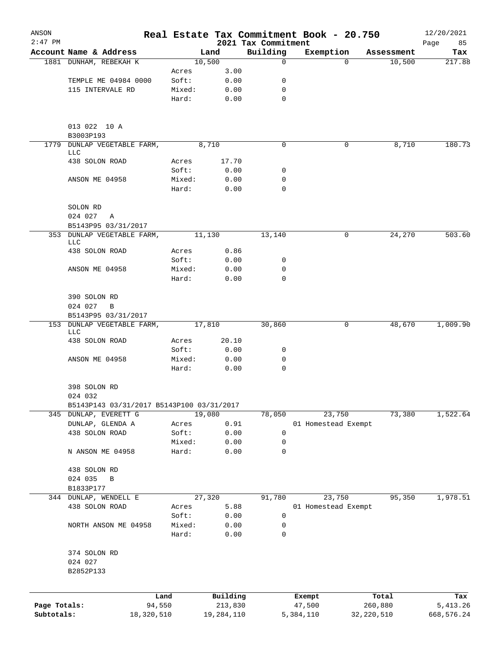| ANSON        |                                           |        |            |                                 | Real Estate Tax Commitment Book - 20.750 |                    | 12/20/2021    |
|--------------|-------------------------------------------|--------|------------|---------------------------------|------------------------------------------|--------------------|---------------|
| $2:47$ PM    | Account Name & Address                    |        | Land       | 2021 Tax Commitment<br>Building | Exemption                                | Assessment         | 85<br>Page    |
|              | 1881 DUNHAM, REBEKAH K                    |        | 10,500     | $\mathbf 0$                     |                                          | 10,500<br>$\Omega$ | Tax<br>217.88 |
|              |                                           | Acres  | 3.00       |                                 |                                          |                    |               |
|              | TEMPLE ME 04984 0000                      | Soft:  | 0.00       | 0                               |                                          |                    |               |
|              | 115 INTERVALE RD                          | Mixed: | 0.00       | 0                               |                                          |                    |               |
|              |                                           | Hard:  | 0.00       | $\mathbf 0$                     |                                          |                    |               |
|              | 013 022 10 A                              |        |            |                                 |                                          |                    |               |
|              | B3003P193                                 |        |            |                                 |                                          |                    |               |
| 1779         | DUNLAP VEGETABLE FARM,<br>LLC             |        | 8,710      | $\mathbf 0$                     |                                          | 8,710<br>0         | 180.73        |
|              | 438 SOLON ROAD                            | Acres  | 17.70      |                                 |                                          |                    |               |
|              |                                           | Soft:  | 0.00       | 0                               |                                          |                    |               |
|              | ANSON ME 04958                            | Mixed: | 0.00       | 0                               |                                          |                    |               |
|              |                                           | Hard:  | 0.00       | 0                               |                                          |                    |               |
|              | SOLON RD                                  |        |            |                                 |                                          |                    |               |
|              | 024 027<br>A                              |        |            |                                 |                                          |                    |               |
|              | B5143P95 03/31/2017                       |        |            |                                 |                                          |                    |               |
|              | 353 DUNLAP VEGETABLE FARM,<br>LLC         |        | 11,130     | 13,140                          |                                          | 0<br>24,270        | 503.60        |
|              | 438 SOLON ROAD                            | Acres  | 0.86       |                                 |                                          |                    |               |
|              |                                           | Soft:  | 0.00       | 0                               |                                          |                    |               |
|              | ANSON ME 04958                            | Mixed: | 0.00       | 0                               |                                          |                    |               |
|              |                                           | Hard:  | 0.00       | 0                               |                                          |                    |               |
|              | 390 SOLON RD                              |        |            |                                 |                                          |                    |               |
|              | 024 027<br>$\mathbf B$                    |        |            |                                 |                                          |                    |               |
|              | B5143P95 03/31/2017                       |        |            |                                 |                                          |                    |               |
|              | 153 DUNLAP VEGETABLE FARM,<br>LLC         |        | 17,810     | 30,860                          |                                          | 0<br>48,670        | 1,009.90      |
|              | 438 SOLON ROAD                            | Acres  | 20.10      |                                 |                                          |                    |               |
|              |                                           | Soft:  | 0.00       | 0                               |                                          |                    |               |
|              | ANSON ME 04958                            | Mixed: | 0.00       | 0                               |                                          |                    |               |
|              |                                           | Hard:  | 0.00       | $\mathbf 0$                     |                                          |                    |               |
|              | 398 SOLON RD                              |        |            |                                 |                                          |                    |               |
|              | 024 032                                   |        |            |                                 |                                          |                    |               |
|              | B5143P143 03/31/2017 B5143P100 03/31/2017 |        |            |                                 |                                          |                    |               |
|              | 345 DUNLAP, EVERETT G                     |        | 19,080     | 78,050                          | 23,750                                   | 73,380             | 1,522.64      |
|              | DUNLAP, GLENDA A                          | Acres  | 0.91       |                                 | 01 Homestead Exempt                      |                    |               |
|              | 438 SOLON ROAD                            | Soft:  | 0.00       | 0                               |                                          |                    |               |
|              |                                           | Mixed: | 0.00       | 0                               |                                          |                    |               |
|              | N ANSON ME 04958                          | Hard:  | 0.00       | $\mathbf 0$                     |                                          |                    |               |
|              | 438 SOLON RD                              |        |            |                                 |                                          |                    |               |
|              | 024 035<br>В                              |        |            |                                 |                                          |                    |               |
|              | B1833P177                                 |        |            |                                 |                                          |                    |               |
|              | 344 DUNLAP, WENDELL E                     |        | 27,320     | 91,780                          | 23,750                                   | 95,350             | 1,978.51      |
|              | 438 SOLON ROAD                            | Acres  | 5.88       |                                 | 01 Homestead Exempt                      |                    |               |
|              |                                           | Soft:  | 0.00       | 0                               |                                          |                    |               |
|              | NORTH ANSON ME 04958                      | Mixed: | 0.00       | 0                               |                                          |                    |               |
|              |                                           | Hard:  | 0.00       | 0                               |                                          |                    |               |
|              | 374 SOLON RD                              |        |            |                                 |                                          |                    |               |
|              | 024 027                                   |        |            |                                 |                                          |                    |               |
|              | B2852P133                                 |        |            |                                 |                                          |                    |               |
|              |                                           | Land   | Building   |                                 | Exempt                                   | Total              | Tax           |
| Page Totals: |                                           | 94,550 | 213,830    |                                 | 47,500                                   | 260,880            | 5, 413.26     |
| Subtotals:   | 18,320,510                                |        | 19,284,110 |                                 | 5,384,110                                | 32, 220, 510       | 668,576.24    |
|              |                                           |        |            |                                 |                                          |                    |               |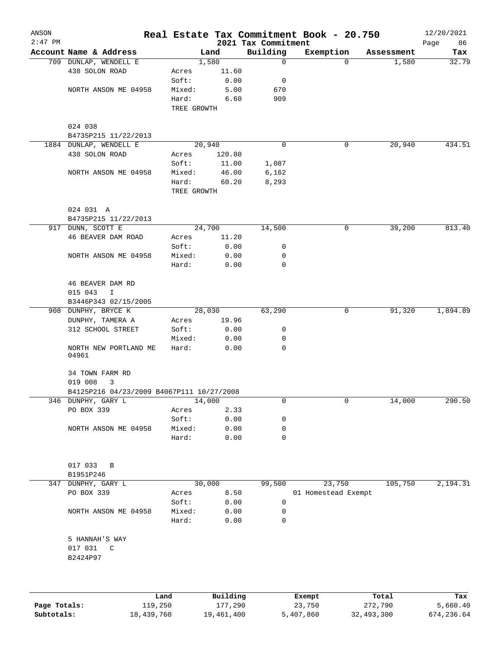| ANSON<br>$2:47$ PM |                                           |             |                     | 2021 Tax Commitment | Real Estate Tax Commitment Book - 20.750 |                  | 12/20/2021<br>Page<br>86 |
|--------------------|-------------------------------------------|-------------|---------------------|---------------------|------------------------------------------|------------------|--------------------------|
|                    | Account Name & Address                    |             | Land                | Building            | Exemption                                | Assessment       | Tax                      |
|                    | 709 DUNLAP, WENDELL E                     |             | 1,580               | $\mathbf 0$         | $\Omega$                                 | 1,580            | 32.79                    |
|                    | 438 SOLON ROAD                            | Acres       | 11.60               |                     |                                          |                  |                          |
|                    |                                           | Soft:       | 0.00                | 0                   |                                          |                  |                          |
|                    | NORTH ANSON ME 04958                      | Mixed:      | 5.00                | 670                 |                                          |                  |                          |
|                    |                                           | Hard:       | 6.60                | 909                 |                                          |                  |                          |
|                    |                                           | TREE GROWTH |                     |                     |                                          |                  |                          |
|                    | 024 038                                   |             |                     |                     |                                          |                  |                          |
|                    | B4735P215 11/22/2013                      |             |                     |                     |                                          |                  |                          |
|                    | 1884 DUNLAP, WENDELL E                    |             | 20,940              | 0                   | 0                                        | 20,940           | 434.51                   |
|                    | 438 SOLON ROAD                            | Acres       | 120.80              |                     |                                          |                  |                          |
|                    |                                           | Soft:       | 11.00               | 1,087               |                                          |                  |                          |
|                    | NORTH ANSON ME 04958                      | Mixed:      | 46.00               | 6,162               |                                          |                  |                          |
|                    |                                           | Hard:       | 60.20               | 8,293               |                                          |                  |                          |
|                    |                                           | TREE GROWTH |                     |                     |                                          |                  |                          |
|                    | 024 031 A                                 |             |                     |                     |                                          |                  |                          |
|                    | B4735P215 11/22/2013                      |             |                     |                     |                                          |                  |                          |
|                    | 917 DUNN, SCOTT E                         |             | 24,700              | 14,500              | 0                                        | 39,200           | 813.40                   |
|                    | 46 BEAVER DAM ROAD                        | Acres       | 11.20               |                     |                                          |                  |                          |
|                    |                                           | Soft:       | 0.00                | 0                   |                                          |                  |                          |
|                    | NORTH ANSON ME 04958                      | Mixed:      | 0.00                | 0                   |                                          |                  |                          |
|                    |                                           | Hard:       | 0.00                | 0                   |                                          |                  |                          |
|                    | 46 BEAVER DAM RD                          |             |                     |                     |                                          |                  |                          |
|                    | 015 043<br>I                              |             |                     |                     |                                          |                  |                          |
|                    | B3446P343 02/15/2005                      |             |                     |                     |                                          |                  |                          |
|                    | 908 DUNPHY, BRYCE K                       |             | 28,030              | 63,290              | 0                                        | 91,320           | 1,894.89                 |
|                    | DUNPHY, TAMERA A                          | Acres       | 19.96               |                     |                                          |                  |                          |
|                    | 312 SCHOOL STREET                         | Soft:       | 0.00                | 0                   |                                          |                  |                          |
|                    |                                           | Mixed:      | 0.00                | 0                   |                                          |                  |                          |
|                    | NORTH NEW PORTLAND ME<br>04961            | Hard:       | 0.00                | $\mathbf 0$         |                                          |                  |                          |
|                    | 34 TOWN FARM RD                           |             |                     |                     |                                          |                  |                          |
|                    | 019 008<br>3                              |             |                     |                     |                                          |                  |                          |
|                    | B4125P216 04/23/2009 B4067P111 10/27/2008 |             |                     |                     |                                          |                  |                          |
|                    | 346 DUNPHY, GARY L                        |             | 14,000              | 0                   | 0                                        | 14,000           | 290.50                   |
|                    | PO BOX 339                                | Acres       | 2.33                |                     |                                          |                  |                          |
|                    |                                           | Soft:       | 0.00                | 0                   |                                          |                  |                          |
|                    | NORTH ANSON ME 04958                      | Mixed:      | 0.00                | 0                   |                                          |                  |                          |
|                    |                                           | Hard:       | 0.00                | 0                   |                                          |                  |                          |
|                    | 017 033<br>B                              |             |                     |                     |                                          |                  |                          |
|                    | B1951P246                                 |             |                     |                     |                                          |                  |                          |
|                    | 347 DUNPHY, GARY L                        |             | 30,000              | 99,500              | 23,750                                   | 105,750          | 2,194.31                 |
|                    | PO BOX 339                                | Acres       | 8.50                |                     | 01 Homestead Exempt                      |                  |                          |
|                    |                                           | Soft:       | 0.00                | 0                   |                                          |                  |                          |
|                    | NORTH ANSON ME 04958                      | Mixed:      | 0.00                | 0                   |                                          |                  |                          |
|                    |                                           | Hard:       | 0.00                | $\mathbf 0$         |                                          |                  |                          |
|                    | 5 HANNAH'S WAY                            |             |                     |                     |                                          |                  |                          |
|                    | 017 031<br>C                              |             |                     |                     |                                          |                  |                          |
|                    | B2424P97                                  |             |                     |                     |                                          |                  |                          |
|                    |                                           |             |                     |                     |                                          |                  |                          |
|                    |                                           |             |                     |                     |                                          |                  |                          |
| Page Totals:       | Land<br>119,250                           |             | Building<br>177,290 |                     | Exempt<br>23,750                         | Total<br>272,790 | Tax<br>5,660.40          |

**Subtotals:** 18,439,760 19,461,400 5,407,860 32,493,300 674,236.64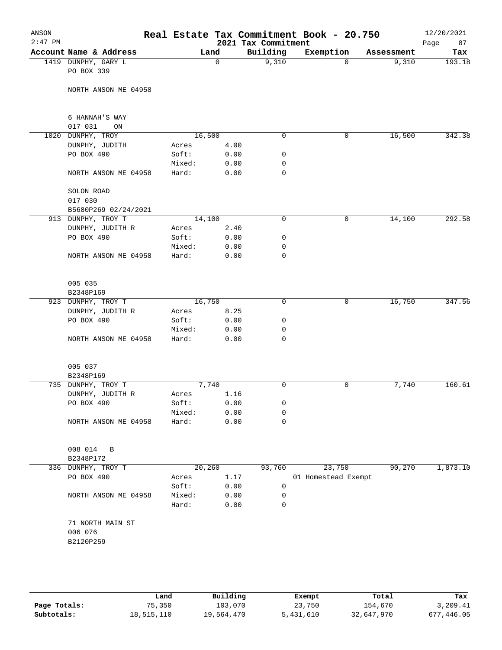| ANSON<br>$2:47$ PM |                         |        |          | 2021 Tax Commitment | Real Estate Tax Commitment Book - 20.750 |            | 12/20/2021<br>Page<br>87 |
|--------------------|-------------------------|--------|----------|---------------------|------------------------------------------|------------|--------------------------|
|                    | Account Name & Address  |        | Land     | Building            | Exemption                                | Assessment | Tax                      |
|                    | 1419 DUNPHY, GARY L     |        | $\Omega$ | 9,310               | $\Omega$                                 | 9,310      | 193.18                   |
|                    | PO BOX 339              |        |          |                     |                                          |            |                          |
|                    |                         |        |          |                     |                                          |            |                          |
|                    | NORTH ANSON ME 04958    |        |          |                     |                                          |            |                          |
|                    |                         |        |          |                     |                                          |            |                          |
|                    | 6 HANNAH'S WAY          |        |          |                     |                                          |            |                          |
|                    | 017 031<br>ON           |        |          |                     |                                          |            |                          |
|                    | 1020 DUNPHY, TROY       | 16,500 |          | $\mathbf 0$         | 0                                        | 16,500     | 342.38                   |
|                    | DUNPHY, JUDITH          | Acres  | 4.00     |                     |                                          |            |                          |
|                    | PO BOX 490              | Soft:  | 0.00     | $\mathbf 0$         |                                          |            |                          |
|                    |                         | Mixed: | 0.00     | 0                   |                                          |            |                          |
|                    | NORTH ANSON ME 04958    | Hard:  | 0.00     | 0                   |                                          |            |                          |
|                    |                         |        |          |                     |                                          |            |                          |
|                    | SOLON ROAD              |        |          |                     |                                          |            |                          |
|                    | 017 030                 |        |          |                     |                                          |            |                          |
|                    | B5680P269 02/24/2021    |        |          |                     |                                          |            |                          |
|                    | 913 DUNPHY, TROY T      | 14,100 |          | 0                   | 0                                        | 14,100     | 292.58                   |
|                    | DUNPHY, JUDITH R        | Acres  | 2.40     |                     |                                          |            |                          |
|                    | PO BOX 490              | Soft:  | 0.00     | 0                   |                                          |            |                          |
|                    |                         | Mixed: | 0.00     | 0                   |                                          |            |                          |
|                    | NORTH ANSON ME 04958    | Hard:  | 0.00     | 0                   |                                          |            |                          |
|                    |                         |        |          |                     |                                          |            |                          |
|                    | 005 035                 |        |          |                     |                                          |            |                          |
|                    | B2348P169               |        |          |                     |                                          |            |                          |
|                    | 923 DUNPHY, TROY T      | 16,750 |          | $\mathbf 0$         | 0                                        | 16,750     | 347.56                   |
|                    | DUNPHY, JUDITH R        | Acres  | 8.25     |                     |                                          |            |                          |
|                    | PO BOX 490              | Soft:  | 0.00     | 0                   |                                          |            |                          |
|                    |                         | Mixed: | 0.00     | 0                   |                                          |            |                          |
|                    | NORTH ANSON ME 04958    | Hard:  | 0.00     | $\mathbf 0$         |                                          |            |                          |
|                    |                         |        |          |                     |                                          |            |                          |
|                    | 005 037                 |        |          |                     |                                          |            |                          |
|                    | B2348P169               |        |          |                     |                                          |            |                          |
|                    | 735 DUNPHY, TROY T      |        | 7,740    | 0                   | 0                                        | 7,740      | 160.61                   |
|                    | DUNPHY, JUDITH R        | Acres  | 1.16     |                     |                                          |            |                          |
|                    | PO BOX 490              | Soft:  | 0.00     | 0                   |                                          |            |                          |
|                    |                         | Mixed: | 0.00     | 0                   |                                          |            |                          |
|                    | NORTH ANSON ME 04958    | Hard:  | 0.00     | 0                   |                                          |            |                          |
|                    |                         |        |          |                     |                                          |            |                          |
|                    | 008 014<br>$\, {\bf B}$ |        |          |                     |                                          |            |                          |
|                    | B2348P172               |        |          |                     |                                          |            |                          |
|                    |                         | 20,260 |          | 93,760              | 23,750                                   | 90,270     | 1,873.10                 |
|                    | 336 DUNPHY, TROY T      |        |          |                     |                                          |            |                          |
|                    | PO BOX 490              | Acres  | 1.17     |                     | 01 Homestead Exempt                      |            |                          |
|                    |                         | Soft:  | 0.00     | 0                   |                                          |            |                          |
|                    | NORTH ANSON ME 04958    | Mixed: | 0.00     | 0                   |                                          |            |                          |
|                    |                         | Hard:  | 0.00     | 0                   |                                          |            |                          |
|                    | 71 NORTH MAIN ST        |        |          |                     |                                          |            |                          |
|                    | 006 076                 |        |          |                     |                                          |            |                          |
|                    | B2120P259               |        |          |                     |                                          |            |                          |
|                    |                         |        |          |                     |                                          |            |                          |
|                    |                         |        |          |                     |                                          |            |                          |
|                    |                         |        |          |                     |                                          |            |                          |
|                    |                         |        |          |                     |                                          |            |                          |

|              | Land       | Building   | Exempt    | Total      | Tax        |
|--------------|------------|------------|-----------|------------|------------|
| Page Totals: | 75,350     | 103,070    | 23,750    | 154,670    | 3,209.41   |
| Subtotals:   | 18,515,110 | 19,564,470 | 5,431,610 | 32,647,970 | 677,446.05 |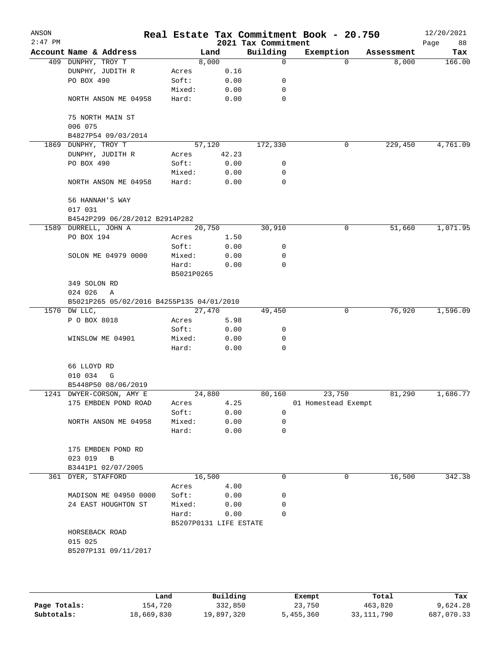| ANSON<br>$2:47$ PM |                                           |              |                        | 2021 Tax Commitment | Real Estate Tax Commitment Book - 20.750 |            | 12/20/2021<br>Page<br>88 |  |  |
|--------------------|-------------------------------------------|--------------|------------------------|---------------------|------------------------------------------|------------|--------------------------|--|--|
|                    | Account Name & Address                    |              | Land                   | Building            | Exemption                                | Assessment | Tax                      |  |  |
|                    | 409 DUNPHY, TROY T                        |              | 8,000                  | $\mathbf 0$         | $\Omega$                                 | 8,000      | 166.00                   |  |  |
|                    | DUNPHY, JUDITH R                          | Acres        | 0.16                   |                     |                                          |            |                          |  |  |
|                    | PO BOX 490                                | Soft:        | 0.00                   | 0                   |                                          |            |                          |  |  |
|                    |                                           | Mixed:       | 0.00                   | 0                   |                                          |            |                          |  |  |
|                    | NORTH ANSON ME 04958                      | Hard:        | 0.00                   | $\mathbf 0$         |                                          |            |                          |  |  |
|                    | 75 NORTH MAIN ST                          |              |                        |                     |                                          |            |                          |  |  |
|                    | 006 075<br>B4827P54 09/03/2014            |              |                        |                     |                                          |            |                          |  |  |
|                    | 1869 DUNPHY, TROY T                       |              | 57,120                 | 172,330             | 0                                        | 229,450    | 4,761.09                 |  |  |
|                    | DUNPHY, JUDITH R                          | Acres        | 42.23                  |                     |                                          |            |                          |  |  |
|                    | PO BOX 490                                | Soft:        | 0.00                   | 0                   |                                          |            |                          |  |  |
|                    |                                           | Mixed:       | 0.00                   | 0                   |                                          |            |                          |  |  |
|                    | NORTH ANSON ME 04958                      | Hard:        | 0.00                   | 0                   |                                          |            |                          |  |  |
|                    | 56 HANNAH'S WAY                           |              |                        |                     |                                          |            |                          |  |  |
|                    | 017 031                                   |              |                        |                     |                                          |            |                          |  |  |
|                    | B4542P299 06/28/2012 B2914P282            |              |                        |                     |                                          |            |                          |  |  |
|                    | 1589 DURRELL, JOHN A                      |              | 20,750                 | 30,910              | 0                                        | 51,660     | 1,071.95                 |  |  |
|                    | PO BOX 194                                | Acres        | 1.50                   |                     |                                          |            |                          |  |  |
|                    |                                           | Soft:        | 0.00                   | 0                   |                                          |            |                          |  |  |
|                    | SOLON ME 04979 0000                       | Mixed:       | 0.00                   | 0                   |                                          |            |                          |  |  |
|                    |                                           | Hard:        | 0.00                   | $\mathbf 0$         |                                          |            |                          |  |  |
|                    |                                           | B5021P0265   |                        |                     |                                          |            |                          |  |  |
|                    | 349 SOLON RD                              | 024 026<br>Α |                        |                     |                                          |            |                          |  |  |
|                    | B5021P265 05/02/2016 B4255P135 04/01/2010 |              |                        |                     |                                          |            |                          |  |  |
|                    | 1570 DW LLC,                              |              | 27,470                 | 49,450              | 0                                        | 76,920     | 1,596.09                 |  |  |
|                    | P O BOX 8018                              | Acres        | 5.98                   |                     |                                          |            |                          |  |  |
|                    |                                           | Soft:        | 0.00                   | 0                   |                                          |            |                          |  |  |
|                    | WINSLOW ME 04901                          | Mixed:       | 0.00                   | 0                   |                                          |            |                          |  |  |
|                    |                                           | Hard:        | 0.00                   | 0                   |                                          |            |                          |  |  |
|                    | 66 LLOYD RD                               |              |                        |                     |                                          |            |                          |  |  |
|                    | 010 034<br>G                              |              |                        |                     |                                          |            |                          |  |  |
|                    | B5448P50 08/06/2019                       |              |                        |                     |                                          |            |                          |  |  |
|                    | 1241 DWYER-CORSON, AMY E                  |              | 24,880                 | 80,160              | 23,750                                   | 81,290     | 1,686.77                 |  |  |
|                    | 175 EMBDEN POND ROAD                      | Acres        | 4.25                   |                     | 01 Homestead Exempt                      |            |                          |  |  |
|                    |                                           | Soft:        | 0.00                   | 0                   |                                          |            |                          |  |  |
|                    | NORTH ANSON ME 04958                      | Mixed:       | 0.00                   | 0                   |                                          |            |                          |  |  |
|                    |                                           | Hard:        | 0.00                   | 0                   |                                          |            |                          |  |  |
|                    | 175 EMBDEN POND RD                        |              |                        |                     |                                          |            |                          |  |  |
|                    | 023 019<br>$\overline{B}$                 |              |                        |                     |                                          |            |                          |  |  |
|                    | B3441P1 02/07/2005                        |              |                        |                     |                                          |            |                          |  |  |
|                    | 361 DYER, STAFFORD                        |              | 16,500                 | 0                   | 0                                        | 16,500     | 342.38                   |  |  |
|                    |                                           | Acres        | 4.00                   |                     |                                          |            |                          |  |  |
|                    | MADISON ME 04950 0000                     | Soft:        | 0.00                   | 0                   |                                          |            |                          |  |  |
|                    | 24 EAST HOUGHTON ST                       | Mixed:       | 0.00                   | 0                   |                                          |            |                          |  |  |
|                    |                                           | Hard:        | 0.00                   | 0                   |                                          |            |                          |  |  |
|                    |                                           |              | B5207P0131 LIFE ESTATE |                     |                                          |            |                          |  |  |
|                    | HORSEBACK ROAD                            |              |                        |                     |                                          |            |                          |  |  |
|                    | 015 025                                   |              |                        |                     |                                          |            |                          |  |  |
|                    | B5207P131 09/11/2017                      |              |                        |                     |                                          |            |                          |  |  |
|                    |                                           |              |                        |                     |                                          |            |                          |  |  |
|                    |                                           |              |                        |                     |                                          |            |                          |  |  |
|                    |                                           |              |                        |                     |                                          |            |                          |  |  |

|              | Land       | Building   | Exempt    | Total      | Tax        |
|--------------|------------|------------|-----------|------------|------------|
| Page Totals: | 154.720    | 332,850    | 23,750    | 463,820    | 9,624.28   |
| Subtotals:   | 18,669,830 | 19,897,320 | 5,455,360 | 33,111,790 | 687,070.33 |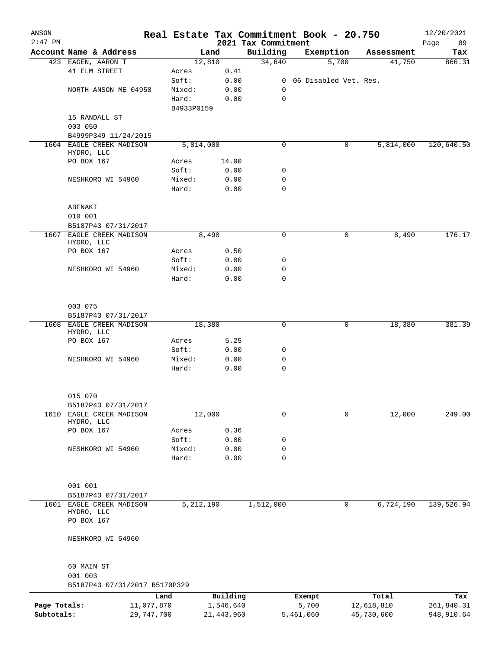| ANSON<br>$2:47$ PM |                                        |            |              |                                 | Real Estate Tax Commitment Book - 20.750 |            | 12/20/2021        |
|--------------------|----------------------------------------|------------|--------------|---------------------------------|------------------------------------------|------------|-------------------|
|                    | Account Name & Address                 |            | Land         | 2021 Tax Commitment<br>Building | Exemption                                | Assessment | Page<br>89<br>Tax |
|                    | 423 EAGEN, AARON T                     |            | 12,810       | 34,640                          | 5,700                                    | 41,750     | 866.31            |
|                    | 41 ELM STREET                          | Acres      | 0.41         |                                 |                                          |            |                   |
|                    |                                        | Soft:      | 0.00         |                                 | 0 06 Disabled Vet. Res.                  |            |                   |
|                    | NORTH ANSON ME 04958                   | Mixed:     | 0.00         | 0                               |                                          |            |                   |
|                    |                                        | Hard:      | 0.00         | $\mathsf{O}$                    |                                          |            |                   |
|                    |                                        |            | B4933P0159   |                                 |                                          |            |                   |
|                    | 15 RANDALL ST                          |            |              |                                 |                                          |            |                   |
|                    | 003 050                                |            |              |                                 |                                          |            |                   |
|                    | B4999P349 11/24/2015                   |            |              |                                 |                                          |            |                   |
|                    | 1604 EAGLE CREEK MADISON               |            | 5,814,000    | 0                               | 0                                        | 5,814,000  | 120,640.50        |
|                    | HYDRO, LLC                             |            |              |                                 |                                          |            |                   |
|                    | PO BOX 167                             | Acres      | 14.00        |                                 |                                          |            |                   |
|                    |                                        | Soft:      | 0.00         | 0                               |                                          |            |                   |
|                    | NESHKORO WI 54960                      | Mixed:     | 0.00         | 0                               |                                          |            |                   |
|                    |                                        | Hard:      | 0.00         | 0                               |                                          |            |                   |
|                    |                                        |            |              |                                 |                                          |            |                   |
|                    | ABENAKI                                |            |              |                                 |                                          |            |                   |
|                    | 010 001                                |            |              |                                 |                                          |            |                   |
|                    | B5187P43 07/31/2017                    |            |              |                                 |                                          |            |                   |
|                    | 1607 EAGLE CREEK MADISON               |            | 8,490        | $\mathbf 0$                     | 0                                        | 8,490      | 176.17            |
|                    | HYDRO, LLC                             |            |              |                                 |                                          |            |                   |
|                    | PO BOX 167                             | Acres      | 0.50         |                                 |                                          |            |                   |
|                    |                                        | Soft:      | 0.00         | 0                               |                                          |            |                   |
|                    | NESHKORO WI 54960                      | Mixed:     | 0.00         | 0                               |                                          |            |                   |
|                    |                                        | Hard:      | 0.00         | 0                               |                                          |            |                   |
|                    |                                        |            |              |                                 |                                          |            |                   |
|                    | 003 075                                |            |              |                                 |                                          |            |                   |
|                    | B5187P43 07/31/2017                    |            |              |                                 |                                          |            |                   |
|                    | 1608 EAGLE CREEK MADISON               |            | 18,380       |                                 | 0<br>0                                   | 18,380     | 381.39            |
|                    | HYDRO, LLC                             |            |              |                                 |                                          |            |                   |
|                    | PO BOX 167                             | Acres      | 5.25         |                                 |                                          |            |                   |
|                    |                                        | Soft:      | 0.00         | 0                               |                                          |            |                   |
|                    | NESHKORO WI 54960                      | Mixed:     | 0.00         | 0                               |                                          |            |                   |
|                    |                                        | Hard:      | 0.00         | $\mathbf 0$                     |                                          |            |                   |
|                    | 015 070                                |            |              |                                 |                                          |            |                   |
|                    | B5187P43 07/31/2017                    |            |              |                                 |                                          |            |                   |
| 1610               | EAGLE CREEK MADISON                    |            | 12,000       | 0                               | 0                                        | 12,000     | 249.00            |
|                    | HYDRO, LLC                             |            |              |                                 |                                          |            |                   |
|                    | PO BOX 167                             | Acres      | 0.36         |                                 |                                          |            |                   |
|                    |                                        | Soft:      | 0.00         | 0                               |                                          |            |                   |
|                    | NESHKORO WI 54960                      | Mixed:     | 0.00         | 0                               |                                          |            |                   |
|                    |                                        | Hard:      | 0.00         | $\mathsf{O}$                    |                                          |            |                   |
|                    |                                        |            |              |                                 |                                          |            |                   |
|                    | 001 001                                |            |              |                                 |                                          |            |                   |
|                    | B5187P43 07/31/2017                    |            |              |                                 |                                          |            |                   |
|                    | 1601 EAGLE CREEK MADISON<br>HYDRO, LLC |            | 5,212,190    | 1,512,000                       | 0                                        | 6,724,190  | 139,526.94        |
|                    | PO BOX 167                             |            |              |                                 |                                          |            |                   |
|                    |                                        |            |              |                                 |                                          |            |                   |
|                    | NESHKORO WI 54960                      |            |              |                                 |                                          |            |                   |
|                    |                                        |            |              |                                 |                                          |            |                   |
|                    | 60 MAIN ST                             |            |              |                                 |                                          |            |                   |
|                    | 001 003                                |            |              |                                 |                                          |            |                   |
|                    | B5187P43 07/31/2017 B5170P329          |            |              |                                 |                                          |            |                   |
|                    |                                        | Land       | Building     |                                 | Exempt                                   | Total      | Tax               |
| Page Totals:       |                                        | 11,077,870 | 1,546,640    |                                 | 5,700                                    | 12,618,810 | 261,840.31        |
| Subtotals:         |                                        | 29,747,700 | 21, 443, 960 |                                 | 5,461,060                                | 45,730,600 | 948,910.64        |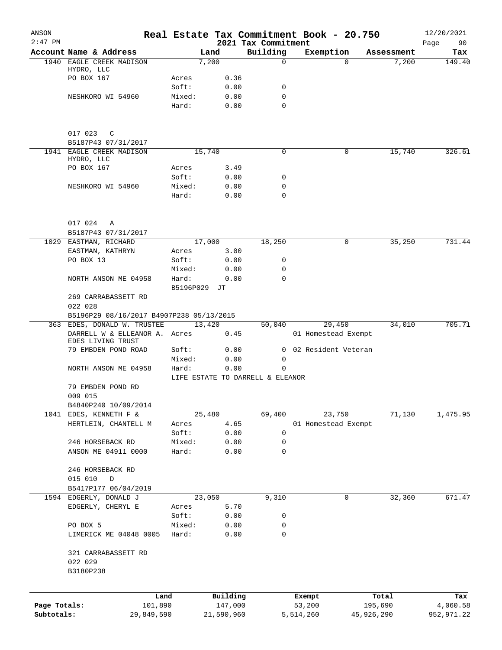| ANSON        |                                                              |           |                     |                                  | Real Estate Tax Commitment Book - 20.750 |                   | 12/20/2021        |
|--------------|--------------------------------------------------------------|-----------|---------------------|----------------------------------|------------------------------------------|-------------------|-------------------|
| $2:47$ PM    | Account Name & Address                                       |           | Land                | 2021 Tax Commitment<br>Building  | Exemption                                | Assessment        | Page<br>90<br>Tax |
| 1940         | EAGLE CREEK MADISON                                          |           | 7,200               | $\mathbf 0$                      |                                          | 7,200<br>$\Omega$ | 149.40            |
|              | HYDRO, LLC                                                   |           |                     |                                  |                                          |                   |                   |
|              | PO BOX 167                                                   | Acres     | 0.36                |                                  |                                          |                   |                   |
|              |                                                              | Soft:     | 0.00                | 0                                |                                          |                   |                   |
|              | NESHKORO WI 54960                                            | Mixed:    | 0.00                | 0                                |                                          |                   |                   |
|              |                                                              | Hard:     | 0.00                | $\Omega$                         |                                          |                   |                   |
|              | 017 023<br>C                                                 |           |                     |                                  |                                          |                   |                   |
|              | B5187P43 07/31/2017                                          |           |                     |                                  |                                          |                   |                   |
|              | 1941 EAGLE CREEK MADISON                                     |           | 15,740              | 0                                |                                          | 0<br>15,740       | 326.61            |
|              | HYDRO, LLC                                                   |           |                     |                                  |                                          |                   |                   |
|              | PO BOX 167                                                   | Acres     | 3.49                |                                  |                                          |                   |                   |
|              |                                                              | Soft:     | 0.00                | 0                                |                                          |                   |                   |
|              | NESHKORO WI 54960                                            | Mixed:    | 0.00                | 0                                |                                          |                   |                   |
|              |                                                              | Hard:     | 0.00                | 0                                |                                          |                   |                   |
|              | 017 024<br>Α                                                 |           |                     |                                  |                                          |                   |                   |
|              | B5187P43 07/31/2017                                          |           |                     |                                  |                                          |                   |                   |
|              | 1029 EASTMAN, RICHARD                                        |           | 17,000              | 18,250                           |                                          | 35,250<br>0       | 731.44            |
|              | EASTMAN, KATHRYN                                             | Acres     | 3.00                |                                  |                                          |                   |                   |
|              | PO BOX 13                                                    | Soft:     | 0.00                | 0                                |                                          |                   |                   |
|              |                                                              | Mixed:    | 0.00                | 0                                |                                          |                   |                   |
|              | NORTH ANSON ME 04958                                         | Hard:     | 0.00                | 0                                |                                          |                   |                   |
|              |                                                              | B5196P029 | JТ                  |                                  |                                          |                   |                   |
|              | 269 CARRABASSETT RD                                          |           |                     |                                  |                                          |                   |                   |
|              | 022 028                                                      |           |                     |                                  |                                          |                   |                   |
|              | B5196P29 08/16/2017 B4907P238 05/13/2015                     |           |                     |                                  |                                          |                   |                   |
|              | 363 EDES, DONALD W. TRUSTEE<br>DARRELL W & ELLEANOR A. Acres |           | 13,420              | 50,040                           | 29,450<br>01 Homestead Exempt            | 34,010            | 705.71            |
|              | EDES LIVING TRUST<br>79 EMBDEN POND ROAD                     | Soft:     | 0.45<br>0.00        | 0                                | 02 Resident Veteran                      |                   |                   |
|              |                                                              | Mixed:    | 0.00                | 0                                |                                          |                   |                   |
|              | NORTH ANSON ME 04958                                         | Hard:     | 0.00                | $\Omega$                         |                                          |                   |                   |
|              |                                                              |           |                     | LIFE ESTATE TO DARRELL & ELEANOR |                                          |                   |                   |
|              | 79 EMBDEN POND RD                                            |           |                     |                                  |                                          |                   |                   |
|              | 009 015                                                      |           |                     |                                  |                                          |                   |                   |
|              | B4840P240 10/09/2014                                         |           |                     |                                  |                                          |                   |                   |
|              | 1041 EDES, KENNETH F &                                       |           | 25,480              | 69,400                           | 23,750                                   | 71,130            | 1,475.95          |
|              | HERTLEIN, CHANTELL M                                         | Acres     | 4.65                |                                  | 01 Homestead Exempt                      |                   |                   |
|              |                                                              | Soft:     | 0.00                | 0                                |                                          |                   |                   |
|              | 246 HORSEBACK RD                                             | Mixed:    | 0.00                | 0                                |                                          |                   |                   |
|              | ANSON ME 04911 0000                                          | Hard:     | 0.00                | $\mathbf 0$                      |                                          |                   |                   |
|              | 246 HORSEBACK RD                                             |           |                     |                                  |                                          |                   |                   |
|              | 015 010<br>D                                                 |           |                     |                                  |                                          |                   |                   |
|              | B5417P177 06/04/2019                                         |           |                     |                                  |                                          |                   |                   |
|              | 1594 EDGERLY, DONALD J                                       |           | 23,050              | 9,310                            |                                          | 0<br>32,360       | 671.47            |
|              | EDGERLY, CHERYL E                                            | Acres     | 5.70                |                                  |                                          |                   |                   |
|              |                                                              | Soft:     | 0.00                | 0                                |                                          |                   |                   |
|              | PO BOX 5                                                     | Mixed:    | 0.00                | 0                                |                                          |                   |                   |
|              | LIMERICK ME 04048 0005                                       | Hard:     | 0.00                | 0                                |                                          |                   |                   |
|              |                                                              |           |                     |                                  |                                          |                   |                   |
|              | 321 CARRABASSETT RD                                          |           |                     |                                  |                                          |                   |                   |
|              | 022 029                                                      |           |                     |                                  |                                          |                   |                   |
|              | B3180P238                                                    |           |                     |                                  |                                          |                   |                   |
|              |                                                              |           |                     |                                  |                                          |                   |                   |
| Page Totals: | Land<br>101,890                                              |           | Building<br>147,000 |                                  | Exempt<br>53,200                         | Total<br>195,690  | Tax<br>4,060.58   |
| Subtotals:   | 29,849,590                                                   |           | 21,590,960          |                                  | 5,514,260                                | 45,926,290        | 952,971.22        |
|              |                                                              |           |                     |                                  |                                          |                   |                   |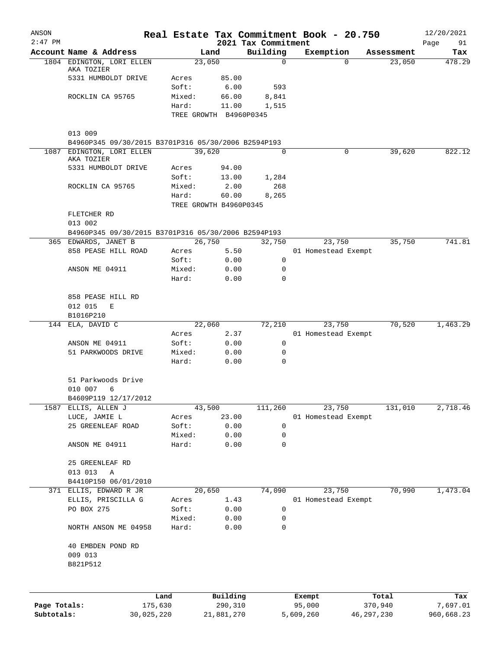| ANSON        |                                                     |            |        |                                 |                     | Real Estate Tax Commitment Book - 20.750 |                      | 12/20/2021    |
|--------------|-----------------------------------------------------|------------|--------|---------------------------------|---------------------|------------------------------------------|----------------------|---------------|
| $2:47$ PM    |                                                     |            |        |                                 | 2021 Tax Commitment |                                          |                      | Page<br>91    |
|              | Account Name & Address<br>1804 EDINGTON, LORI ELLEN |            |        | Land<br>23,050                  | Building<br>0       | Exemption<br>$\Omega$                    | Assessment<br>23,050 | Tax<br>478.29 |
|              | AKA TOZIER                                          |            |        |                                 |                     |                                          |                      |               |
|              | 5331 HUMBOLDT DRIVE                                 |            | Acres  | 85.00                           |                     |                                          |                      |               |
|              |                                                     |            | Soft:  | 6.00                            | 593                 |                                          |                      |               |
|              | ROCKLIN CA 95765                                    |            | Mixed: | 66.00                           | 8,841               |                                          |                      |               |
|              |                                                     |            | Hard:  | 11.00                           | 1,515               |                                          |                      |               |
|              |                                                     |            |        | TREE GROWTH B4960P0345          |                     |                                          |                      |               |
|              | 013 009                                             |            |        |                                 |                     |                                          |                      |               |
|              | B4960P345 09/30/2015 B3701P316 05/30/2006 B2594P193 |            |        |                                 |                     |                                          |                      |               |
| 1087         | EDINGTON, LORI ELLEN                                |            |        | 39,620                          | 0                   | 0                                        | 39,620               | 822.12        |
|              | AKA TOZIER                                          |            |        |                                 |                     |                                          |                      |               |
|              | 5331 HUMBOLDT DRIVE                                 |            | Acres  | 94.00                           |                     |                                          |                      |               |
|              |                                                     |            | Soft:  | 13.00                           | 1,284               |                                          |                      |               |
|              | ROCKLIN CA 95765                                    |            | Mixed: | 2.00                            | 268                 |                                          |                      |               |
|              |                                                     |            | Hard:  | 60.00<br>TREE GROWTH B4960P0345 | 8,265               |                                          |                      |               |
|              | FLETCHER RD                                         |            |        |                                 |                     |                                          |                      |               |
|              | 013 002                                             |            |        |                                 |                     |                                          |                      |               |
|              | B4960P345 09/30/2015 B3701P316 05/30/2006 B2594P193 |            |        |                                 |                     |                                          |                      |               |
|              | 365 EDWARDS, JANET B                                |            |        | 26,750                          | 32,750              | 23,750                                   | 35,750               | 741.81        |
|              | 858 PEASE HILL ROAD                                 |            | Acres  | 5.50                            |                     | 01 Homestead Exempt                      |                      |               |
|              |                                                     |            | Soft:  | 0.00                            | 0                   |                                          |                      |               |
|              | ANSON ME 04911                                      |            | Mixed: | 0.00                            | 0                   |                                          |                      |               |
|              |                                                     |            | Hard:  | 0.00                            | $\Omega$            |                                          |                      |               |
|              |                                                     |            |        |                                 |                     |                                          |                      |               |
|              | 858 PEASE HILL RD                                   |            |        |                                 |                     |                                          |                      |               |
|              | 012 015<br>Е                                        |            |        |                                 |                     |                                          |                      |               |
|              | B1016P210                                           |            |        |                                 |                     |                                          |                      |               |
|              | 144 ELA, DAVID C                                    |            | Acres  | 22,060<br>2.37                  | 72,210              | 23,750<br>01 Homestead Exempt            | 70,520               | 1,463.29      |
|              | ANSON ME 04911                                      |            | Soft:  | 0.00                            | 0                   |                                          |                      |               |
|              | 51 PARKWOODS DRIVE                                  |            | Mixed: | 0.00                            | 0                   |                                          |                      |               |
|              |                                                     |            | Hard:  | 0.00                            | 0                   |                                          |                      |               |
|              |                                                     |            |        |                                 |                     |                                          |                      |               |
|              | 51 Parkwoods Drive                                  |            |        |                                 |                     |                                          |                      |               |
|              | 010 007<br>6                                        |            |        |                                 |                     |                                          |                      |               |
|              | B4609P119 12/17/2012                                |            |        |                                 |                     |                                          |                      |               |
| 1587         | ELLIS, ALLEN J                                      |            |        | 43,500                          | 111,260             | 23,750                                   | 131,010              | 2,718.46      |
|              | LUCE, JAMIE L                                       |            | Acres  | 23.00                           |                     | 01 Homestead Exempt                      |                      |               |
|              | 25 GREENLEAF ROAD                                   |            | Soft:  | 0.00                            | 0                   |                                          |                      |               |
|              |                                                     |            | Mixed: | 0.00                            | 0                   |                                          |                      |               |
|              | ANSON ME 04911                                      |            | Hard:  | 0.00                            | 0                   |                                          |                      |               |
|              | 25 GREENLEAF RD                                     |            |        |                                 |                     |                                          |                      |               |
|              | 013 013<br>Α                                        |            |        |                                 |                     |                                          |                      |               |
|              | B4410P150 06/01/2010                                |            |        |                                 |                     |                                          |                      |               |
|              | 371 ELLIS, EDWARD R JR                              |            |        | 20,650                          | 74,090              | 23,750                                   | 70,990               | 1,473.04      |
|              | ELLIS, PRISCILLA G                                  |            | Acres  | 1.43                            |                     | 01 Homestead Exempt                      |                      |               |
|              | PO BOX 275                                          |            | Soft:  | 0.00                            | 0                   |                                          |                      |               |
|              |                                                     |            | Mixed: | 0.00                            | 0                   |                                          |                      |               |
|              | NORTH ANSON ME 04958                                |            | Hard:  | 0.00                            | 0                   |                                          |                      |               |
|              |                                                     |            |        |                                 |                     |                                          |                      |               |
|              | 40 EMBDEN POND RD                                   |            |        |                                 |                     |                                          |                      |               |
|              | 009 013                                             |            |        |                                 |                     |                                          |                      |               |
|              | B821P512                                            |            |        |                                 |                     |                                          |                      |               |
|              |                                                     |            |        |                                 |                     |                                          |                      |               |
|              |                                                     | Land       |        | Building                        |                     | Exempt                                   | Total                | Tax           |
| Page Totals: |                                                     | 175,630    |        | 290,310                         |                     | 95,000                                   | 370,940              | 7,697.01      |
| Subtotals:   |                                                     | 30,025,220 |        | 21,881,270                      |                     | 5,609,260<br>46, 297, 230                |                      | 960,668.23    |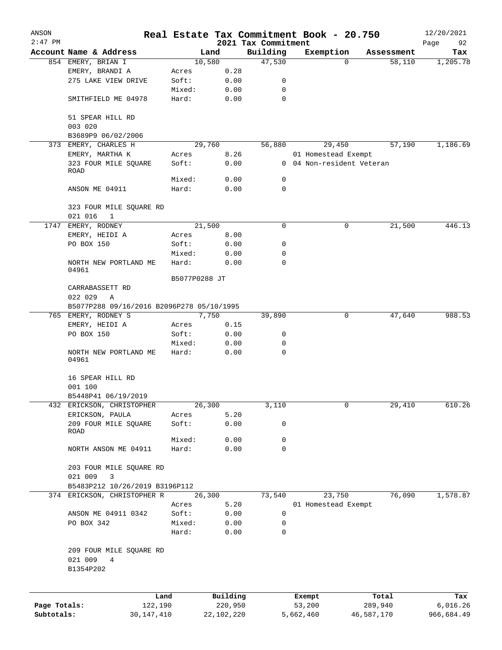| ANSON        |                                           |               |            | Real Estate Tax Commitment Book - 20.750 |                           |            |            | 12/20/2021        |
|--------------|-------------------------------------------|---------------|------------|------------------------------------------|---------------------------|------------|------------|-------------------|
| $2:47$ PM    | Account Name & Address                    |               | Land       | 2021 Tax Commitment<br>Building          | Exemption                 |            | Assessment | Page<br>92<br>Tax |
|              | 854 EMERY, BRIAN I                        |               | 10,580     | 47,530                                   |                           | $\Omega$   | 58,110     | 1,205.78          |
|              | EMERY, BRANDI A                           | Acres         | 0.28       |                                          |                           |            |            |                   |
|              | 275 LAKE VIEW DRIVE                       | Soft:         | 0.00       | 0                                        |                           |            |            |                   |
|              |                                           | Mixed:        | 0.00       | $\mathbf 0$                              |                           |            |            |                   |
|              |                                           |               |            |                                          |                           |            |            |                   |
|              | SMITHFIELD ME 04978                       | Hard:         | 0.00       | $\mathbf 0$                              |                           |            |            |                   |
|              | 51 SPEAR HILL RD                          |               |            |                                          |                           |            |            |                   |
|              | 003 020                                   |               |            |                                          |                           |            |            |                   |
|              | B3689P9 06/02/2006                        |               |            |                                          |                           |            |            |                   |
|              | 373 EMERY, CHARLES H                      |               | 29,760     | 56,880                                   |                           | 29,450     | 57,190     | 1,186.69          |
|              | EMERY, MARTHA K                           | Acres         | 8.26       |                                          | 01 Homestead Exempt       |            |            |                   |
|              | 323 FOUR MILE SQUARE<br>ROAD              | Soft:         | 0.00       |                                          | 0 04 Non-resident Veteran |            |            |                   |
|              |                                           | Mixed:        | 0.00       | 0                                        |                           |            |            |                   |
|              | ANSON ME 04911                            | Hard:         | 0.00       | $\mathbf 0$                              |                           |            |            |                   |
|              | 323 FOUR MILE SQUARE RD                   |               |            |                                          |                           |            |            |                   |
|              | 021 016<br>1                              |               |            |                                          |                           |            |            |                   |
|              | 1747 EMERY, RODNEY                        |               | 21,500     | 0                                        |                           | 0          | 21,500     | 446.13            |
|              | EMERY, HEIDI A                            | Acres         | 8.00       |                                          |                           |            |            |                   |
|              |                                           |               |            | 0                                        |                           |            |            |                   |
|              | PO BOX 150                                | Soft:         | 0.00       |                                          |                           |            |            |                   |
|              |                                           | Mixed:        | 0.00       | 0                                        |                           |            |            |                   |
|              | NORTH NEW PORTLAND ME<br>04961            | Hard:         | 0.00       | 0                                        |                           |            |            |                   |
|              |                                           | B5077P0288 JT |            |                                          |                           |            |            |                   |
|              | CARRABASSETT RD                           |               |            |                                          |                           |            |            |                   |
|              | 022 029<br>Α                              |               |            |                                          |                           |            |            |                   |
|              | B5077P288 09/16/2016 B2096P278 05/10/1995 |               |            |                                          |                           |            |            |                   |
|              | 765 EMERY, RODNEY S                       |               | 7,750      | 39,890                                   |                           | 0          | 47,640     | 988.53            |
|              | EMERY, HEIDI A                            | Acres         | 0.15       |                                          |                           |            |            |                   |
|              | PO BOX 150                                | Soft:         | 0.00       | 0                                        |                           |            |            |                   |
|              |                                           | Mixed:        | 0.00       | $\mathbf 0$                              |                           |            |            |                   |
|              | NORTH NEW PORTLAND ME<br>04961            | Hard:         | 0.00       | 0                                        |                           |            |            |                   |
|              | 16 SPEAR HILL RD                          |               |            |                                          |                           |            |            |                   |
|              | 001 100                                   |               |            |                                          |                           |            |            |                   |
|              | B5448P41 06/19/2019                       |               |            |                                          |                           |            |            |                   |
|              | 432 ERICKSON, CHRISTOPHER                 |               | 26,300     | 3,110                                    |                           | 0          | 29,410     | 610.26            |
|              | ERICKSON, PAULA                           | Acres         | 5.20       |                                          |                           |            |            |                   |
|              | 209 FOUR MILE SQUARE<br>ROAD              | Soft:         | 0.00       | 0                                        |                           |            |            |                   |
|              |                                           | Mixed:        | 0.00       | 0                                        |                           |            |            |                   |
|              | NORTH ANSON ME 04911                      | Hard:         | 0.00       | 0                                        |                           |            |            |                   |
|              | 203 FOUR MILE SQUARE RD                   |               |            |                                          |                           |            |            |                   |
|              |                                           |               |            |                                          |                           |            |            |                   |
|              | 3<br>021 009                              |               |            |                                          |                           |            |            |                   |
|              | B5483P212 10/26/2019 B3196P112            |               |            |                                          |                           |            |            |                   |
|              | 374 ERICKSON, CHRISTOPHER R               |               | 26,300     | 73,540                                   |                           | 23,750     | 76,090     | 1,578.87          |
|              |                                           | Acres         | 5.20       |                                          | 01 Homestead Exempt       |            |            |                   |
|              | ANSON ME 04911 0342                       | Soft:         | 0.00       | 0                                        |                           |            |            |                   |
|              | PO BOX 342                                | Mixed:        | 0.00       | 0                                        |                           |            |            |                   |
|              |                                           | Hard:         | 0.00       | 0                                        |                           |            |            |                   |
|              | 209 FOUR MILE SQUARE RD<br>021 009<br>4   |               |            |                                          |                           |            |            |                   |
|              | B1354P202                                 |               |            |                                          |                           |            |            |                   |
|              | Land                                      |               | Building   |                                          | Exempt                    |            | Total      | Tax               |
| Page Totals: | 122,190                                   |               | 220,950    |                                          | 53,200                    |            | 289,940    | 6,016.26          |
| Subtotals:   | 30, 147, 410                              |               | 22,102,220 |                                          | 5,662,460                 | 46,587,170 |            | 966,684.49        |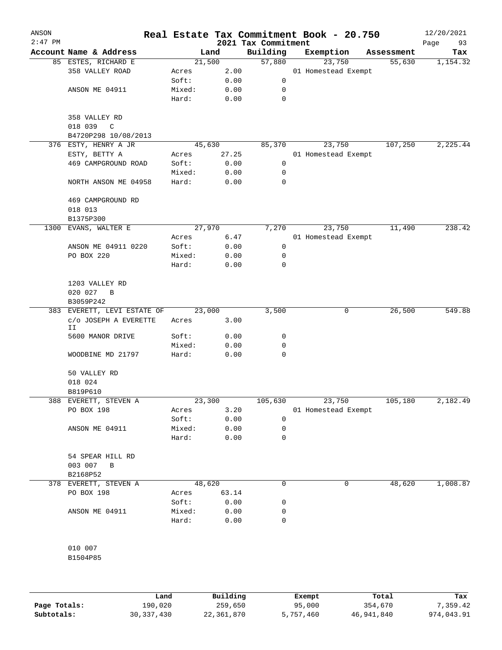| ANSON<br>$2:47$ PM |                                      |                |               | 2021 Tax Commitment | Real Estate Tax Commitment Book - 20.750 |            | 12/20/2021<br>Page<br>93 |
|--------------------|--------------------------------------|----------------|---------------|---------------------|------------------------------------------|------------|--------------------------|
|                    | Account Name & Address               |                | Land          | Building            | Exemption                                | Assessment | Tax                      |
|                    | 85 ESTES, RICHARD E                  | 21,500         |               | 57,880              | 23,750                                   | 55,630     | 1,154.32                 |
|                    | 358 VALLEY ROAD                      | Acres          | 2.00          |                     | 01 Homestead Exempt                      |            |                          |
|                    |                                      | Soft:          | 0.00          | 0                   |                                          |            |                          |
|                    | ANSON ME 04911                       | Mixed:         | 0.00          | 0                   |                                          |            |                          |
|                    |                                      | Hard:          | 0.00          | 0                   |                                          |            |                          |
|                    | 358 VALLEY RD                        |                |               |                     |                                          |            |                          |
|                    | $\mathbb{C}$<br>018 039              |                |               |                     |                                          |            |                          |
|                    | B4720P298 10/08/2013                 |                |               |                     |                                          |            |                          |
|                    | 376 ESTY, HENRY A JR                 | 45,630         |               | 85,370              | 23,750                                   | 107,250    | 2,225.44                 |
|                    | ESTY, BETTY A<br>469 CAMPGROUND ROAD | Acres<br>Soft: | 27.25<br>0.00 | 0                   | 01 Homestead Exempt                      |            |                          |
|                    |                                      | Mixed:         | 0.00          | 0                   |                                          |            |                          |
|                    | NORTH ANSON ME 04958                 | Hard:          | 0.00          | 0                   |                                          |            |                          |
|                    |                                      |                |               |                     |                                          |            |                          |
|                    | 469 CAMPGROUND RD                    |                |               |                     |                                          |            |                          |
|                    | 018 013<br>B1375P300                 |                |               |                     |                                          |            |                          |
| 1300               | EVANS, WALTER E                      | 27,970         |               | 7,270               | 23,750                                   | 11,490     | 238.42                   |
|                    |                                      | Acres          | 6.47          |                     | 01 Homestead Exempt                      |            |                          |
|                    | ANSON ME 04911 0220                  | Soft:          | 0.00          | 0                   |                                          |            |                          |
|                    | PO BOX 220                           | Mixed:         | 0.00          | 0                   |                                          |            |                          |
|                    |                                      | Hard:          | 0.00          | 0                   |                                          |            |                          |
|                    |                                      |                |               |                     |                                          |            |                          |
|                    | 1203 VALLEY RD                       |                |               |                     |                                          |            |                          |
|                    | 020 027<br>B                         |                |               |                     |                                          |            |                          |
|                    | B3059P242                            |                |               |                     |                                          |            |                          |
|                    | 383 EVERETT, LEVI ESTATE OF          | 23,000         |               | 3,500               | 0                                        | 26,500     | 549.88                   |
|                    | C/O JOSEPH A EVERETTE<br>IΙ          | Acres          | 3.00          |                     |                                          |            |                          |
|                    | 5600 MANOR DRIVE                     | Soft:          | 0.00          | 0                   |                                          |            |                          |
|                    |                                      | Mixed:         | 0.00          | 0                   |                                          |            |                          |
|                    | WOODBINE MD 21797                    | Hard:          | 0.00          | 0                   |                                          |            |                          |
|                    | 50 VALLEY RD                         |                |               |                     |                                          |            |                          |
|                    | 018 024                              |                |               |                     |                                          |            |                          |
|                    | B819P610                             |                |               |                     |                                          |            |                          |
|                    | 388 EVERETT, STEVEN A                | 23,300         |               | 105,630             | 23,750                                   | 105,180    | 2,182.49                 |
|                    | PO BOX 198                           | Acres          | 3.20          |                     | 01 Homestead Exempt                      |            |                          |
|                    |                                      | Soft:          | 0.00          | 0                   |                                          |            |                          |
|                    | ANSON ME 04911                       | Mixed:         | 0.00          | 0                   |                                          |            |                          |
|                    |                                      | Hard:          | 0.00          | 0                   |                                          |            |                          |
|                    | 54 SPEAR HILL RD                     |                |               |                     |                                          |            |                          |
|                    | 003 007<br>B                         |                |               |                     |                                          |            |                          |
|                    | B2168P52                             |                |               |                     |                                          |            |                          |
|                    | 378 EVERETT, STEVEN A                | 48,620         |               | 0                   | 0                                        | 48,620     | 1,008.87                 |
|                    | PO BOX 198                           | Acres          | 63.14         |                     |                                          |            |                          |
|                    |                                      | Soft:          | 0.00          | 0                   |                                          |            |                          |
|                    | ANSON ME 04911                       | Mixed:         | 0.00          | 0                   |                                          |            |                          |
|                    |                                      | Hard:          | 0.00          | 0                   |                                          |            |                          |
|                    | 010 007                              |                |               |                     |                                          |            |                          |
|                    | B1504P85                             |                |               |                     |                                          |            |                          |
|                    |                                      |                |               |                     |                                          |            |                          |
|                    |                                      |                |               |                     |                                          |            |                          |
|                    |                                      |                |               |                     |                                          |            |                          |

|              | Land       | Building   | Exempt    | Total      | Tax        |
|--------------|------------|------------|-----------|------------|------------|
| Page Totals: | 190,020    | 259,650    | 95,000    | 354,670    | 7,359.42   |
| Subtotals:   | 30,337,430 | 22,361,870 | 5,757,460 | 46,941,840 | 974,043.91 |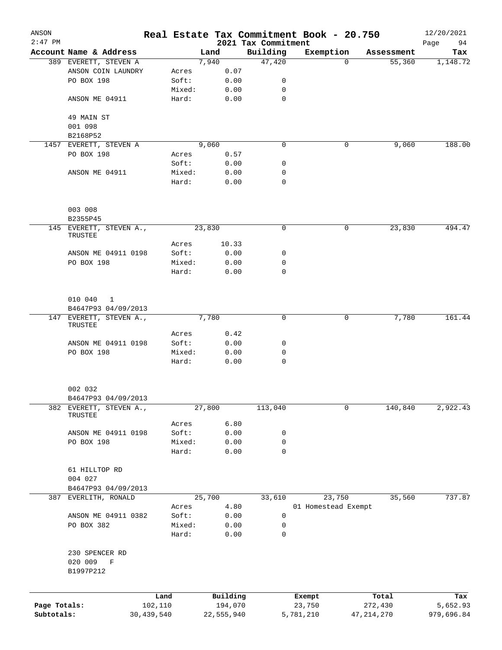| ANSON        |                                                 |            |        |            |          |                                 | Real Estate Tax Commitment Book - 20.750 |              |                      | 12/20/2021      |
|--------------|-------------------------------------------------|------------|--------|------------|----------|---------------------------------|------------------------------------------|--------------|----------------------|-----------------|
| $2:47$ PM    |                                                 |            |        | Land       |          | 2021 Tax Commitment<br>Building |                                          |              |                      | Page<br>94      |
|              | Account Name & Address<br>389 EVERETT, STEVEN A |            |        | 7,940      |          | 47,420                          | Exemption                                | $\Omega$     | Assessment<br>55,360 | Tax<br>1,148.72 |
|              | ANSON COIN LAUNDRY                              |            | Acres  |            | 0.07     |                                 |                                          |              |                      |                 |
|              | PO BOX 198                                      |            | Soft:  |            | 0.00     | 0                               |                                          |              |                      |                 |
|              |                                                 |            | Mixed: |            | 0.00     | 0                               |                                          |              |                      |                 |
|              | ANSON ME 04911                                  |            | Hard:  |            | 0.00     | $\mathbf 0$                     |                                          |              |                      |                 |
|              | 49 MAIN ST                                      |            |        |            |          |                                 |                                          |              |                      |                 |
|              | 001 098                                         |            |        |            |          |                                 |                                          |              |                      |                 |
|              | B2168P52                                        |            |        |            |          |                                 |                                          |              |                      |                 |
|              | 1457 EVERETT, STEVEN A                          |            |        | 9,060      |          | 0                               |                                          | 0            | 9,060                | 188.00          |
|              | PO BOX 198                                      |            | Acres  |            | 0.57     |                                 |                                          |              |                      |                 |
|              |                                                 |            | Soft:  |            | 0.00     | 0                               |                                          |              |                      |                 |
|              | ANSON ME 04911                                  |            | Mixed: |            | 0.00     | 0                               |                                          |              |                      |                 |
|              |                                                 |            | Hard:  |            | 0.00     | $\mathbf 0$                     |                                          |              |                      |                 |
|              | 003 008<br>B2355P45                             |            |        |            |          |                                 |                                          |              |                      |                 |
|              | 145 EVERETT, STEVEN A.,                         |            |        | 23,830     |          | 0                               |                                          | 0            | 23,830               | 494.47          |
|              | TRUSTEE                                         |            |        |            |          |                                 |                                          |              |                      |                 |
|              |                                                 |            | Acres  |            | 10.33    |                                 |                                          |              |                      |                 |
|              | ANSON ME 04911 0198                             |            | Soft:  |            | 0.00     | 0                               |                                          |              |                      |                 |
|              | PO BOX 198                                      |            | Mixed: |            | 0.00     | 0                               |                                          |              |                      |                 |
|              |                                                 |            | Hard:  |            | 0.00     | 0                               |                                          |              |                      |                 |
|              | 010 040<br>$\overline{1}$                       |            |        |            |          |                                 |                                          |              |                      |                 |
|              | B4647P93 04/09/2013                             |            |        |            |          |                                 |                                          |              |                      |                 |
|              | 147 EVERETT, STEVEN A.,                         |            |        | 7,780      |          | 0                               |                                          | 0            | 7,780                | 161.44          |
|              | TRUSTEE                                         |            |        |            |          |                                 |                                          |              |                      |                 |
|              |                                                 |            | Acres  |            | 0.42     |                                 |                                          |              |                      |                 |
|              | ANSON ME 04911 0198                             |            | Soft:  |            | 0.00     | 0                               |                                          |              |                      |                 |
|              | PO BOX 198                                      |            | Mixed: |            | 0.00     | 0                               |                                          |              |                      |                 |
|              |                                                 |            | Hard:  |            | 0.00     | $\mathbf 0$                     |                                          |              |                      |                 |
|              | 002 032                                         |            |        |            |          |                                 |                                          |              |                      |                 |
|              | B4647P93 04/09/2013                             |            |        |            |          |                                 |                                          |              |                      |                 |
|              | 382 EVERETT, STEVEN A.,<br>TRUSTEE              |            |        | 27,800     |          | 113,040                         |                                          | 0            | 140,840              | 2,922.43        |
|              |                                                 |            | Acres  |            | 6.80     |                                 |                                          |              |                      |                 |
|              | ANSON ME 04911 0198                             |            | Soft:  |            | 0.00     | 0                               |                                          |              |                      |                 |
|              | PO BOX 198                                      |            | Mixed: |            | 0.00     | 0                               |                                          |              |                      |                 |
|              |                                                 |            | Hard:  |            | 0.00     | $\mathbf 0$                     |                                          |              |                      |                 |
|              | 61 HILLTOP RD                                   |            |        |            |          |                                 |                                          |              |                      |                 |
|              | 004 027                                         |            |        |            |          |                                 |                                          |              |                      |                 |
|              | B4647P93 04/09/2013                             |            |        |            |          |                                 |                                          |              |                      |                 |
| 387          | EVERLITH, RONALD                                |            |        | 25,700     |          | 33,610                          | 23,750                                   |              | 35,560               | 737.87          |
|              |                                                 |            | Acres  |            | 4.80     |                                 | 01 Homestead Exempt                      |              |                      |                 |
|              | ANSON ME 04911 0382                             |            | Soft:  |            | 0.00     | 0                               |                                          |              |                      |                 |
|              | PO BOX 382                                      |            | Mixed: |            | 0.00     | $\mathsf 0$                     |                                          |              |                      |                 |
|              |                                                 |            | Hard:  |            | 0.00     | $\mathbf 0$                     |                                          |              |                      |                 |
|              | 230 SPENCER RD                                  |            |        |            |          |                                 |                                          |              |                      |                 |
|              | 020 009<br>$\mathbf F$<br>B1997P212             |            |        |            |          |                                 |                                          |              |                      |                 |
|              |                                                 | Land       |        |            | Building |                                 | Exempt                                   |              | Total                | Tax             |
| Page Totals: |                                                 | 102,110    |        |            | 194,070  |                                 | 23,750                                   |              | 272,430              | 5,652.93        |
| Subtotals:   |                                                 | 30,439,540 |        | 22,555,940 |          |                                 | 5,781,210                                | 47, 214, 270 |                      | 979,696.84      |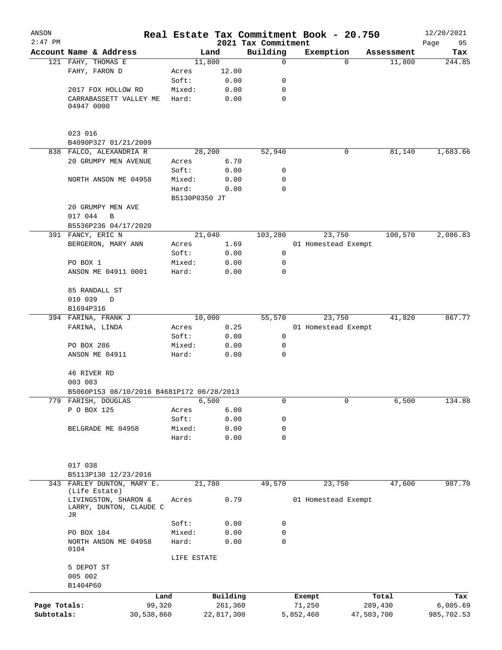| ANSON<br>$2:47$ PM         |                                                       |                      |               |                       | 2021 Tax Commitment | Real Estate Tax Commitment Book - 20.750 |                       | 12/20/2021<br>95<br>Page |
|----------------------------|-------------------------------------------------------|----------------------|---------------|-----------------------|---------------------|------------------------------------------|-----------------------|--------------------------|
|                            | Account Name & Address                                |                      |               | Land                  | Building            | Exemption                                | Assessment            | Tax                      |
|                            | 121 FAHY, THOMAS E                                    |                      |               | 11,800                | $\mathbf 0$         |                                          | 11,800<br>$\Omega$    | 244.85                   |
|                            | FAHY, FARON D                                         |                      | Acres         | 12.00                 |                     |                                          |                       |                          |
|                            |                                                       |                      | Soft:         | 0.00                  | 0                   |                                          |                       |                          |
|                            | 2017 FOX HOLLOW RD                                    |                      | Mixed:        | 0.00                  | 0                   |                                          |                       |                          |
|                            | CARRABASSETT VALLEY ME                                |                      | Hard:         | 0.00                  | 0                   |                                          |                       |                          |
|                            | 04947 0000                                            |                      |               |                       |                     |                                          |                       |                          |
|                            | 023 016                                               |                      |               |                       |                     |                                          |                       |                          |
|                            | B4090P327 01/21/2009                                  |                      |               |                       |                     |                                          |                       |                          |
|                            | 838 FALCO, ALEXANDRIA R                               |                      |               | 28,200                | 52,940              |                                          | 0<br>81,140           | 1,683.66                 |
|                            | 20 GRUMPY MEN AVENUE                                  |                      | Acres         | 6.70                  |                     |                                          |                       |                          |
|                            |                                                       |                      | Soft:         | 0.00                  | 0                   |                                          |                       |                          |
|                            | NORTH ANSON ME 04958                                  |                      | Mixed:        | 0.00                  | 0                   |                                          |                       |                          |
|                            |                                                       |                      | Hard:         | 0.00                  | $\mathbf 0$         |                                          |                       |                          |
|                            |                                                       |                      | B5130P0350 JT |                       |                     |                                          |                       |                          |
|                            | 20 GRUMPY MEN AVE<br>017 044<br>B                     |                      |               |                       |                     |                                          |                       |                          |
|                            | B5536P236 04/17/2020                                  |                      |               |                       |                     |                                          |                       |                          |
|                            | 391 FANCY, ERIC N                                     |                      |               | 21,040                | 103,280             | 23,750                                   | 100,570               | 2,086.83                 |
|                            | BERGERON, MARY ANN                                    |                      | Acres         | 1.69                  |                     | 01 Homestead Exempt                      |                       |                          |
|                            |                                                       |                      | Soft:         | 0.00                  | 0                   |                                          |                       |                          |
|                            | PO BOX 1                                              |                      | Mixed:        | 0.00                  | 0                   |                                          |                       |                          |
|                            | ANSON ME 04911 0001                                   |                      | Hard:         | 0.00                  | $\mathbf 0$         |                                          |                       |                          |
|                            | 85 RANDALL ST                                         |                      |               |                       |                     |                                          |                       |                          |
|                            | 010 039<br>$\Box$                                     |                      |               |                       |                     |                                          |                       |                          |
|                            | B1694P316                                             |                      |               |                       |                     |                                          |                       |                          |
|                            | 394 FARINA, FRANK J                                   |                      |               | 10,000                | 55,570              | 23,750                                   | 41,820                | 867.77                   |
|                            | FARINA, LINDA                                         |                      | Acres         | 0.25                  |                     | 01 Homestead Exempt                      |                       |                          |
|                            |                                                       |                      | Soft:         | 0.00                  | 0                   |                                          |                       |                          |
|                            | PO BOX 286                                            |                      | Mixed:        | 0.00                  | 0                   |                                          |                       |                          |
|                            | ANSON ME 04911                                        |                      | Hard:         | 0.00                  | 0                   |                                          |                       |                          |
|                            | 46 RIVER RD                                           |                      |               |                       |                     |                                          |                       |                          |
|                            | 003 083                                               |                      |               |                       |                     |                                          |                       |                          |
|                            | B5060P153 08/10/2016 B4681P172 06/28/2013             |                      |               |                       |                     |                                          |                       |                          |
|                            | 779 FARISH, DOUGLAS                                   |                      |               | 6,500                 | 0                   |                                          | 0<br>6,500            | 134.88                   |
|                            | P O BOX 125                                           |                      | Acres         | 6.00                  |                     |                                          |                       |                          |
|                            |                                                       |                      | Soft:         | 0.00                  | 0                   |                                          |                       |                          |
|                            | BELGRADE ME 04958                                     |                      | Mixed:        | 0.00                  | 0                   |                                          |                       |                          |
|                            |                                                       |                      | Hard:         | 0.00                  | 0                   |                                          |                       |                          |
|                            | 017 038                                               |                      |               |                       |                     |                                          |                       |                          |
|                            | B5113P130 12/23/2016                                  |                      |               |                       |                     |                                          |                       |                          |
|                            | 343 FARLEY DUNTON, MARY E.<br>(Life Estate)           |                      |               | 21,780                | 49,570              | 23,750                                   | 47,600                | 987.70                   |
|                            | LIVINGSTON, SHARON &<br>LARRY, DUNTON, CLAUDE C<br>JR |                      | Acres         | 0.79                  |                     | 01 Homestead Exempt                      |                       |                          |
|                            |                                                       |                      | Soft:         | 0.00                  | 0                   |                                          |                       |                          |
|                            | PO BOX 104                                            |                      | Mixed:        | 0.00                  | 0                   |                                          |                       |                          |
|                            | NORTH ANSON ME 04958<br>0104                          |                      | Hard:         | 0.00                  | $\mathbf 0$         |                                          |                       |                          |
|                            |                                                       |                      | LIFE ESTATE   |                       |                     |                                          |                       |                          |
|                            | 5 DEPOT ST                                            |                      |               |                       |                     |                                          |                       |                          |
|                            | 005 002<br>B1404P60                                   |                      |               |                       |                     |                                          |                       |                          |
|                            |                                                       |                      |               |                       |                     |                                          |                       |                          |
|                            |                                                       | Land                 |               | Building              |                     | Exempt                                   | Total                 | Tax                      |
| Page Totals:<br>Subtotals: |                                                       | 99,320<br>30,538,860 |               | 261,360<br>22,817,300 |                     | 71,250<br>5,852,460                      | 289,430<br>47,503,700 | 6,005.69<br>985,702.53   |
|                            |                                                       |                      |               |                       |                     |                                          |                       |                          |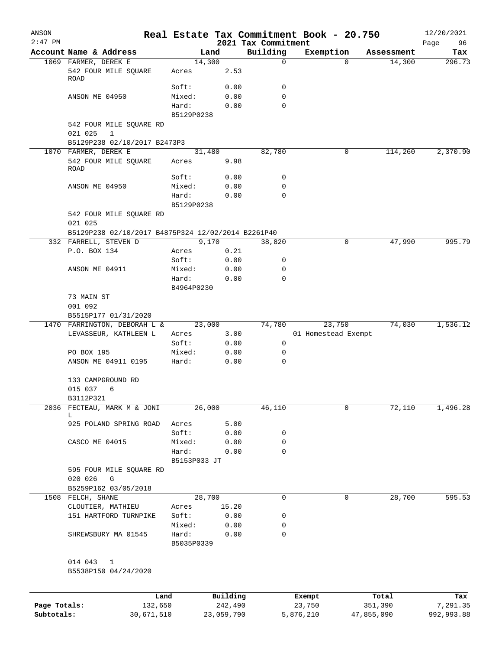| ANSON        |                                                    |                     |            |                                 | Real Estate Tax Commitment Book - 20.750 |                      | 12/20/2021    |
|--------------|----------------------------------------------------|---------------------|------------|---------------------------------|------------------------------------------|----------------------|---------------|
| $2:47$ PM    | Account Name & Address                             |                     | Land       | 2021 Tax Commitment<br>Building | Exemption                                |                      | Page<br>96    |
|              | 1069 FARMER, DEREK E                               | 14,300              |            | 0                               | $\Omega$                                 | Assessment<br>14,300 | Tax<br>296.73 |
|              | 542 FOUR MILE SQUARE<br><b>ROAD</b>                | Acres               | 2.53       |                                 |                                          |                      |               |
|              |                                                    | Soft:               | 0.00       | 0                               |                                          |                      |               |
|              | ANSON ME 04950                                     | Mixed:              | 0.00       | 0                               |                                          |                      |               |
|              |                                                    | Hard:               | 0.00       | $\Omega$                        |                                          |                      |               |
|              |                                                    | B5129P0238          |            |                                 |                                          |                      |               |
|              | 542 FOUR MILE SQUARE RD<br>021 025<br>$\mathbf{1}$ |                     |            |                                 |                                          |                      |               |
|              | B5129P238 02/10/2017 B2473P3                       |                     |            |                                 |                                          |                      |               |
|              | 1070 FARMER, DEREK E                               | 31,480              |            | 82,780                          | $\mathbf 0$                              | 114,260              | 2,370.90      |
|              | 542 FOUR MILE SQUARE<br>ROAD                       | Acres               | 9.98       |                                 |                                          |                      |               |
|              |                                                    | Soft:               | 0.00       | 0                               |                                          |                      |               |
|              | ANSON ME 04950                                     | Mixed:              | 0.00       | 0                               |                                          |                      |               |
|              |                                                    | Hard:<br>B5129P0238 | 0.00       | 0                               |                                          |                      |               |
|              | 542 FOUR MILE SQUARE RD<br>021 025                 |                     |            |                                 |                                          |                      |               |
|              | B5129P238 02/10/2017 B4875P324 12/02/2014 B2261P40 |                     |            |                                 |                                          |                      |               |
|              | 332 FARRELL, STEVEN D                              |                     | 9,170      | 38,820                          | 0                                        | 47,990               | 995.79        |
|              | P.O. BOX 134                                       | Acres               | 0.21       |                                 |                                          |                      |               |
|              |                                                    | Soft:               | 0.00       | 0                               |                                          |                      |               |
|              | ANSON ME 04911                                     | Mixed:              | 0.00       | 0                               |                                          |                      |               |
|              |                                                    | Hard:<br>B4964P0230 | 0.00       | $\Omega$                        |                                          |                      |               |
|              | 73 MAIN ST                                         |                     |            |                                 |                                          |                      |               |
|              | 001 092                                            |                     |            |                                 |                                          |                      |               |
|              | B5515P177 01/31/2020                               |                     |            |                                 |                                          |                      |               |
|              | 1470 FARRINGTON, DEBORAH L &                       | 23,000              |            | 74,780                          | 23,750                                   | 74,030               | 1,536.12      |
|              | LEVASSEUR, KATHLEEN L                              | Acres               | 3.00       |                                 | 01 Homestead Exempt                      |                      |               |
|              |                                                    | Soft:               | 0.00       | 0                               |                                          |                      |               |
|              | PO BOX 195                                         | Mixed:              | 0.00       | 0                               |                                          |                      |               |
|              | ANSON ME 04911 0195                                | Hard:               | 0.00       | 0                               |                                          |                      |               |
|              | 133 CAMPGROUND RD<br>015 037                       |                     |            |                                 |                                          |                      |               |
|              | 6                                                  |                     |            |                                 |                                          |                      |               |
|              | B3112P321<br>2036 FECTEAU, MARK M & JONI           | 26,000              |            | 46,110                          | 0                                        | 72,110               | 1,496.28      |
|              | L                                                  |                     |            |                                 |                                          |                      |               |
|              | 925 POLAND SPRING ROAD                             | Acres               | 5.00       |                                 |                                          |                      |               |
|              |                                                    | Soft:               | 0.00       | 0                               |                                          |                      |               |
|              | CASCO ME 04015                                     | Mixed:              | 0.00       | 0                               |                                          |                      |               |
|              |                                                    | Hard:               | 0.00       | 0                               |                                          |                      |               |
|              |                                                    | B5153P033 JT        |            |                                 |                                          |                      |               |
|              | 595 FOUR MILE SQUARE RD<br>020 026<br>G            |                     |            |                                 |                                          |                      |               |
|              | B5259P162 03/05/2018                               |                     |            |                                 |                                          |                      |               |
|              | 1508 FELCH, SHANE                                  | 28,700              |            | 0                               | 0                                        | 28,700               | 595.53        |
|              | CLOUTIER, MATHIEU                                  | Acres               | 15.20      |                                 |                                          |                      |               |
|              | 151 HARTFORD TURNPIKE                              | Soft:               | 0.00       | 0                               |                                          |                      |               |
|              |                                                    | Mixed:              | 0.00       | 0                               |                                          |                      |               |
|              | SHREWSBURY MA 01545                                | Hard:<br>B5035P0339 | 0.00       | 0                               |                                          |                      |               |
|              | 014 043<br>1                                       |                     |            |                                 |                                          |                      |               |
|              | B5538P150 04/24/2020                               |                     |            |                                 |                                          |                      |               |
|              | Land                                               |                     | Building   |                                 | Exempt                                   | Total                | Tax           |
| Page Totals: | 132,650                                            |                     | 242,490    |                                 | 23,750                                   | 351,390              | 7,291.35      |
| Subtotals:   | 30,671,510                                         |                     | 23,059,790 |                                 | 5,876,210                                | 47,855,090           | 992,993.88    |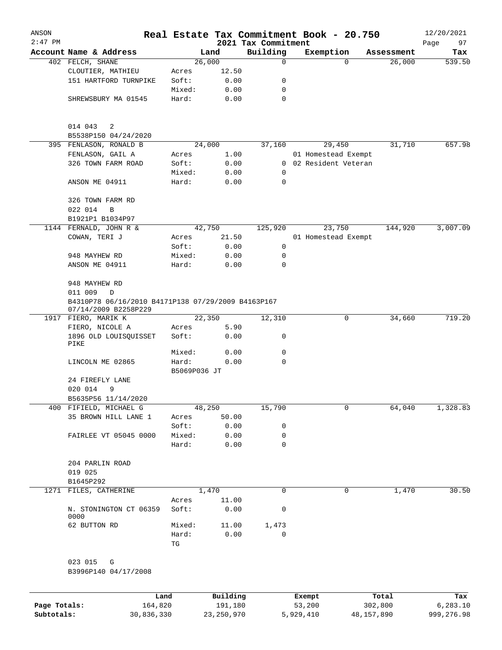| ANSON<br>$2:47$ PM |                                                                            |                       |          | 2021 Tax Commitment |        | Real Estate Tax Commitment Book - 20.750 |            | 12/20/2021        |
|--------------------|----------------------------------------------------------------------------|-----------------------|----------|---------------------|--------|------------------------------------------|------------|-------------------|
|                    | Account Name & Address                                                     |                       | Land     | Building            |        | Exemption                                | Assessment | 97<br>Page<br>Tax |
|                    | 402 FELCH, SHANE                                                           |                       | 26,000   | $\mathbf 0$         |        | $\Omega$                                 | 26,000     | 539.50            |
|                    | CLOUTIER, MATHIEU                                                          | Acres                 | 12.50    |                     |        |                                          |            |                   |
|                    | 151 HARTFORD TURNPIKE                                                      | Soft:                 | 0.00     | 0                   |        |                                          |            |                   |
|                    |                                                                            | Mixed:                | 0.00     | 0                   |        |                                          |            |                   |
|                    | SHREWSBURY MA 01545                                                        | Hard:                 | 0.00     | $\mathbf 0$         |        |                                          |            |                   |
|                    | 014 043<br>2                                                               |                       |          |                     |        |                                          |            |                   |
|                    | B5538P150 04/24/2020                                                       |                       |          |                     |        |                                          |            |                   |
|                    | 395 FENLASON, RONALD B                                                     |                       | 24,000   | 37,160              |        | 29,450                                   | 31,710     | 657.98            |
|                    | FENLASON, GAIL A                                                           | Acres                 | 1.00     |                     |        | 01 Homestead Exempt                      |            |                   |
|                    | 326 TOWN FARM ROAD                                                         | Soft:                 | 0.00     |                     |        | 0 02 Resident Veteran                    |            |                   |
|                    |                                                                            | Mixed:                | 0.00     | $\mathbf 0$         |        |                                          |            |                   |
|                    | ANSON ME 04911                                                             | Hard:                 | 0.00     | 0                   |        |                                          |            |                   |
|                    | 326 TOWN FARM RD                                                           |                       |          |                     |        |                                          |            |                   |
|                    | 022 014<br>B                                                               |                       |          |                     |        |                                          |            |                   |
|                    | B1921P1 B1034P97                                                           |                       |          |                     |        |                                          |            |                   |
|                    | 1144 FERNALD, JOHN R &                                                     |                       | 42,750   | 125,920             |        | 23,750                                   | 144,920    | 3,007.09          |
|                    | COWAN, TERI J                                                              | Acres                 | 21.50    |                     |        | 01 Homestead Exempt                      |            |                   |
|                    |                                                                            | Soft:                 | 0.00     | $\mathsf{O}$        |        |                                          |            |                   |
|                    | 948 MAYHEW RD                                                              | Mixed:                | 0.00     | $\mathbf 0$         |        |                                          |            |                   |
|                    | ANSON ME 04911                                                             | Hard:                 | 0.00     | $\Omega$            |        |                                          |            |                   |
|                    | 948 MAYHEW RD<br>011 009<br>$\mathbb D$                                    |                       |          |                     |        |                                          |            |                   |
|                    | B4310P78 06/16/2010 B4171P138 07/29/2009 B4163P167<br>07/14/2009 B2258P229 |                       |          |                     |        |                                          |            |                   |
|                    | 1917 FIERO, MARIK K                                                        |                       | 22,350   | 12,310              |        | 0                                        | 34,660     | 719.20            |
|                    | FIERO, NICOLE A                                                            | Acres                 | 5.90     |                     |        |                                          |            |                   |
|                    | 1896 OLD LOUISQUISSET<br>PIKE                                              | Soft:                 | 0.00     | 0                   |        |                                          |            |                   |
|                    |                                                                            | Mixed:                | 0.00     | 0                   |        |                                          |            |                   |
|                    | LINCOLN ME 02865                                                           | Hard:<br>B5069P036 JT | 0.00     | 0                   |        |                                          |            |                   |
|                    | 24 FIREFLY LANE                                                            |                       |          |                     |        |                                          |            |                   |
|                    | 020 014<br>9<br>B5635P56 11/14/2020                                        |                       |          |                     |        |                                          |            |                   |
| 400                | FIFIELD, MICHAEL G                                                         |                       | 48,250   | 15,790              |        | 0                                        | 64,040     | 1,328.83          |
|                    | 35 BROWN HILL LANE 1                                                       | Acres                 | 50.00    |                     |        |                                          |            |                   |
|                    |                                                                            | Soft:                 | 0.00     | 0                   |        |                                          |            |                   |
|                    | FAIRLEE VT 05045 0000                                                      | Mixed:                | 0.00     | 0                   |        |                                          |            |                   |
|                    |                                                                            | Hard:                 | 0.00     | 0                   |        |                                          |            |                   |
|                    | 204 PARLIN ROAD                                                            |                       |          |                     |        |                                          |            |                   |
|                    | 019 025                                                                    |                       |          |                     |        |                                          |            |                   |
|                    | B1645P292                                                                  |                       |          |                     |        |                                          |            |                   |
|                    | 1271 FILES, CATHERINE                                                      |                       | 1,470    | 0                   |        | 0                                        | 1,470      | 30.50             |
|                    |                                                                            | Acres                 | 11.00    |                     |        |                                          |            |                   |
|                    | N. STONINGTON CT 06359<br>0000                                             | Soft:                 | 0.00     | 0                   |        |                                          |            |                   |
|                    | 62 BUTTON RD                                                               | Mixed:                | 11.00    | 1,473               |        |                                          |            |                   |
|                    |                                                                            | Hard:<br>TG           | 0.00     | $\mathbf 0$         |        |                                          |            |                   |
|                    | 023 015<br>G                                                               |                       |          |                     |        |                                          |            |                   |
|                    | B3996P140 04/17/2008                                                       |                       |          |                     |        |                                          |            |                   |
|                    | Land                                                                       |                       | Building |                     | Exempt |                                          | Total      | Tax               |
| Page Totals:       | 164,820                                                                    |                       | 191,180  |                     | 53,200 |                                          | 302,800    | 6,283.10          |

**Subtotals:** 30,836,330 23,250,970 5,929,410 48,157,890 999,276.98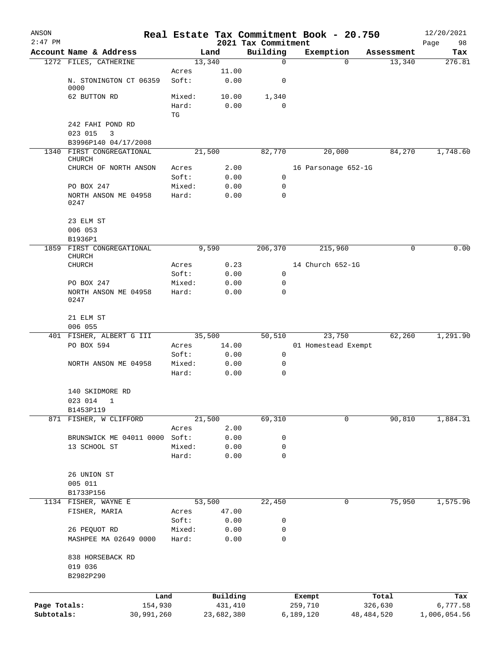| ANSON<br>$2:47$ PM |                                       |                 |               |                                 | Real Estate Tax Commitment Book - 20.750 |            | 12/20/2021        |
|--------------------|---------------------------------------|-----------------|---------------|---------------------------------|------------------------------------------|------------|-------------------|
|                    | Account Name & Address                |                 | Land          | 2021 Tax Commitment<br>Building | Exemption                                | Assessment | 98<br>Page<br>Tax |
|                    | 1272 FILES, CATHERINE                 |                 | 13,340        | $\mathbf 0$                     | $\mathbf 0$                              | 13,340     | 276.81            |
|                    |                                       | Acres           | 11.00         |                                 |                                          |            |                   |
|                    | N. STONINGTON CT 06359                | Soft:           | 0.00          | 0                               |                                          |            |                   |
|                    | 0000                                  |                 |               |                                 |                                          |            |                   |
|                    | 62 BUTTON RD                          | Mixed:<br>Hard: | 10.00<br>0.00 | 1,340<br>$\Omega$               |                                          |            |                   |
|                    |                                       | TG              |               |                                 |                                          |            |                   |
|                    | 242 FAHI POND RD                      |                 |               |                                 |                                          |            |                   |
|                    | 023 015<br>3                          |                 |               |                                 |                                          |            |                   |
|                    | B3996P140 04/17/2008                  |                 |               |                                 |                                          |            |                   |
| 1340               | FIRST CONGREGATIONAL<br><b>CHURCH</b> |                 | 21,500        | 82,770                          | 20,000                                   | 84,270     | 1,748.60          |
|                    | CHURCH OF NORTH ANSON                 | Acres           | 2.00          |                                 | 16 Parsonage 652-1G                      |            |                   |
|                    |                                       | Soft:           | 0.00          | 0                               |                                          |            |                   |
|                    | PO BOX 247                            | Mixed:          | 0.00          | 0                               |                                          |            |                   |
|                    | NORTH ANSON ME 04958                  | Hard:           | 0.00          | 0                               |                                          |            |                   |
|                    | 0247                                  |                 |               |                                 |                                          |            |                   |
|                    | 23 ELM ST                             |                 |               |                                 |                                          |            |                   |
|                    | 006 053                               |                 |               |                                 |                                          |            |                   |
|                    | B1936P1                               |                 |               |                                 |                                          |            |                   |
| 1859               | FIRST CONGREGATIONAL                  |                 | 9,590         | 206,370                         | 215,960                                  | 0          | 0.00              |
|                    | <b>CHURCH</b>                         |                 |               |                                 | 14 Church 652-1G                         |            |                   |
|                    | <b>CHURCH</b>                         | Acres<br>Soft:  | 0.23<br>0.00  | 0                               |                                          |            |                   |
|                    | PO BOX 247                            | Mixed:          | 0.00          | 0                               |                                          |            |                   |
|                    | NORTH ANSON ME 04958                  | Hard:           | 0.00          | 0                               |                                          |            |                   |
|                    | 0247                                  |                 |               |                                 |                                          |            |                   |
|                    |                                       |                 |               |                                 |                                          |            |                   |
|                    | 21 ELM ST<br>006 055                  |                 |               |                                 |                                          |            |                   |
|                    | 401 FISHER, ALBERT G III              |                 | 35,500        | 50,510                          | 23,750                                   | 62,260     | 1,291.90          |
|                    | PO BOX 594                            | Acres           | 14.00         |                                 | 01 Homestead Exempt                      |            |                   |
|                    |                                       | Soft:           | 0.00          | $\mathsf{O}$                    |                                          |            |                   |
|                    | NORTH ANSON ME 04958                  | Mixed:          | 0.00          | 0                               |                                          |            |                   |
|                    |                                       | Hard:           | 0.00          | 0                               |                                          |            |                   |
|                    |                                       |                 |               |                                 |                                          |            |                   |
|                    | 140 SKIDMORE RD                       |                 |               |                                 |                                          |            |                   |
|                    | 023 014<br>1<br>B1453P119             |                 |               |                                 |                                          |            |                   |
|                    | 871 FISHER, W CLIFFORD                |                 | 21,500        | 69,310                          | 0                                        | 90,810     | 1,884.31          |
|                    |                                       | Acres           | 2.00          |                                 |                                          |            |                   |
|                    | BRUNSWICK ME 04011 0000               | Soft:           | 0.00          | 0                               |                                          |            |                   |
|                    | 13 SCHOOL ST                          | Mixed:          | 0.00          | 0                               |                                          |            |                   |
|                    |                                       | Hard:           | 0.00          | $\mathbf 0$                     |                                          |            |                   |
|                    |                                       |                 |               |                                 |                                          |            |                   |
|                    | 26 UNION ST                           |                 |               |                                 |                                          |            |                   |
|                    | 005 011<br>B1733P156                  |                 |               |                                 |                                          |            |                   |
|                    | 1134 FISHER, WAYNE E                  |                 | 53,500        | 22,450                          | 0                                        | 75,950     | 1,575.96          |
|                    | FISHER, MARIA                         | Acres           | 47.00         |                                 |                                          |            |                   |
|                    |                                       | Soft:           | 0.00          | 0                               |                                          |            |                   |
|                    | 26 PEQUOT RD                          | Mixed:          | 0.00          | 0                               |                                          |            |                   |
|                    | MASHPEE MA 02649 0000                 | Hard:           | 0.00          | 0                               |                                          |            |                   |
|                    |                                       |                 |               |                                 |                                          |            |                   |
|                    | 838 HORSEBACK RD                      |                 |               |                                 |                                          |            |                   |
|                    | 019 036                               |                 |               |                                 |                                          |            |                   |
|                    | B2982P290                             |                 |               |                                 |                                          |            |                   |
|                    |                                       | Land            | Building      |                                 |                                          | Total      | Tax               |
| Page Totals:       | 154,930                               |                 | 431,410       |                                 | Exempt<br>259,710                        | 326,630    | 6,777.58          |
| Subtotals:         | 30,991,260                            |                 | 23,682,380    |                                 | 6,189,120                                | 48,484,520 | 1,006,054.56      |
|                    |                                       |                 |               |                                 |                                          |            |                   |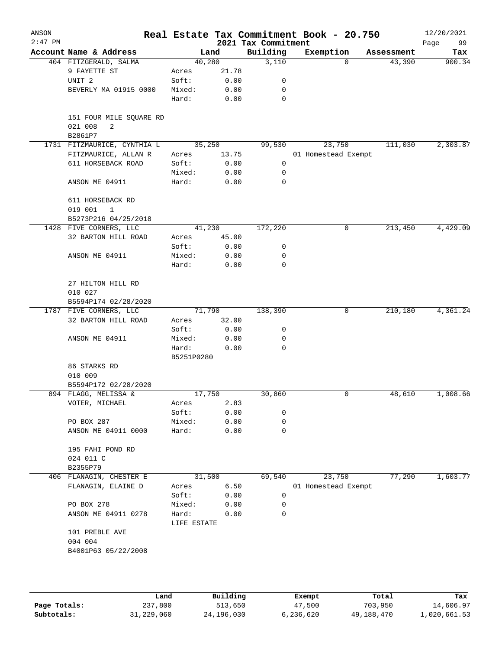| ANSON<br>$2:47$ PM |                                         |                 |              | 2021 Tax Commitment | Real Estate Tax Commitment Book - 20.750 |            | 12/20/2021<br>99<br>Page |
|--------------------|-----------------------------------------|-----------------|--------------|---------------------|------------------------------------------|------------|--------------------------|
|                    | Account Name & Address                  | Land            |              | Building            | Exemption                                | Assessment | Tax                      |
|                    | 404 FITZGERALD, SALMA                   | 40,280          |              | 3,110               | $\Omega$                                 | 43,390     | 900.34                   |
|                    | 9 FAYETTE ST                            | Acres           | 21.78        |                     |                                          |            |                          |
|                    | UNIT <sub>2</sub>                       | Soft:           | 0.00         | 0                   |                                          |            |                          |
|                    | BEVERLY MA 01915 0000                   | Mixed:          | 0.00         | 0                   |                                          |            |                          |
|                    |                                         | Hard:           | 0.00         | 0                   |                                          |            |                          |
|                    | 151 FOUR MILE SQUARE RD<br>021 008<br>2 |                 |              |                     |                                          |            |                          |
|                    | B2861P7                                 |                 |              |                     |                                          |            |                          |
|                    | 1731 FITZMAURICE, CYNTHIA L             | 35,250          |              | 99,530              | 23,750                                   | 111,030    | 2,303.87                 |
|                    | FITZMAURICE, ALLAN R                    | Acres           | 13.75        |                     | 01 Homestead Exempt                      |            |                          |
|                    | 611 HORSEBACK ROAD                      | Soft:           | 0.00         | 0                   |                                          |            |                          |
|                    |                                         | Mixed:          | 0.00         | 0                   |                                          |            |                          |
|                    | ANSON ME 04911                          | Hard:           | 0.00         | 0                   |                                          |            |                          |
|                    | 611 HORSEBACK RD                        |                 |              |                     |                                          |            |                          |
|                    | 019 001<br>1<br>B5273P216 04/25/2018    |                 |              |                     |                                          |            |                          |
|                    | 1428 FIVE CORNERS, LLC                  | 41,230          |              | 172,220             | 0                                        | 213,450    | 4,429.09                 |
|                    | 32 BARTON HILL ROAD                     | Acres           | 45.00        |                     |                                          |            |                          |
|                    |                                         | Soft:           | 0.00         | 0                   |                                          |            |                          |
|                    | ANSON ME 04911                          | Mixed:          | 0.00         | 0                   |                                          |            |                          |
|                    |                                         | Hard:           | 0.00         | $\mathbf 0$         |                                          |            |                          |
|                    | 27 HILTON HILL RD                       |                 |              |                     |                                          |            |                          |
|                    | 010 027                                 |                 |              |                     |                                          |            |                          |
|                    | B5594P174 02/28/2020                    |                 |              |                     |                                          |            |                          |
|                    | 1787 FIVE CORNERS, LLC                  | 71,790          |              | 138,390             | 0                                        | 210,180    | 4,361.24                 |
|                    | 32 BARTON HILL ROAD                     | Acres           | 32.00        |                     |                                          |            |                          |
|                    |                                         | Soft:           | 0.00         | 0                   |                                          |            |                          |
|                    | ANSON ME 04911                          | Mixed:          | 0.00         | 0                   |                                          |            |                          |
|                    |                                         | Hard:           | 0.00         | 0                   |                                          |            |                          |
|                    |                                         | B5251P0280      |              |                     |                                          |            |                          |
|                    | 86 STARKS RD                            |                 |              |                     |                                          |            |                          |
|                    | 010 009                                 |                 |              |                     |                                          |            |                          |
|                    | B5594P172 02/28/2020                    |                 |              |                     |                                          |            |                          |
|                    | 894 FLAGG, MELISSA &                    | 17,750          |              | 30,860              | 0                                        | 48,610     | 1,008.66                 |
|                    | VOTER, MICHAEL                          | Acres           | 2.83         |                     |                                          |            |                          |
|                    |                                         | Soft:           | 0.00         | 0                   |                                          |            |                          |
|                    | PO BOX 287                              | Mixed:          | 0.00         | 0                   |                                          |            |                          |
|                    | ANSON ME 04911 0000                     | Hard:           | 0.00         | 0                   |                                          |            |                          |
|                    | 195 FAHI POND RD<br>024 011 C           |                 |              |                     |                                          |            |                          |
|                    | B2355P79                                |                 |              |                     |                                          |            |                          |
|                    | 406 FLANAGIN, CHESTER E                 | 31,500          |              | 69,540              | 23,750                                   | 77,290     | 1,603.77                 |
|                    |                                         |                 | 6.50         |                     | 01 Homestead Exempt                      |            |                          |
|                    | FLANAGIN, ELAINE D                      | Acres           |              | 0                   |                                          |            |                          |
|                    |                                         | Soft:           | 0.00         |                     |                                          |            |                          |
|                    | PO BOX 278<br>ANSON ME 04911 0278       | Mixed:<br>Hard: | 0.00<br>0.00 | 0<br>0              |                                          |            |                          |
|                    | 101 PREBLE AVE                          | LIFE ESTATE     |              |                     |                                          |            |                          |
|                    | 004 004                                 |                 |              |                     |                                          |            |                          |
|                    | B4001P63 05/22/2008                     |                 |              |                     |                                          |            |                          |
|                    |                                         |                 |              |                     |                                          |            |                          |
|                    |                                         |                 |              |                     |                                          |            |                          |
|                    |                                         |                 |              |                     |                                          |            |                          |

|              | Land       | Building   | Exempt    | Total      | Tax          |
|--------------|------------|------------|-----------|------------|--------------|
| Page Totals: | 237,800    | 513,650    | 47,500    | 703,950    | 14,606.97    |
| Subtotals:   | 31,229,060 | 24,196,030 | 6,236,620 | 49,188,470 | 1,020,661.53 |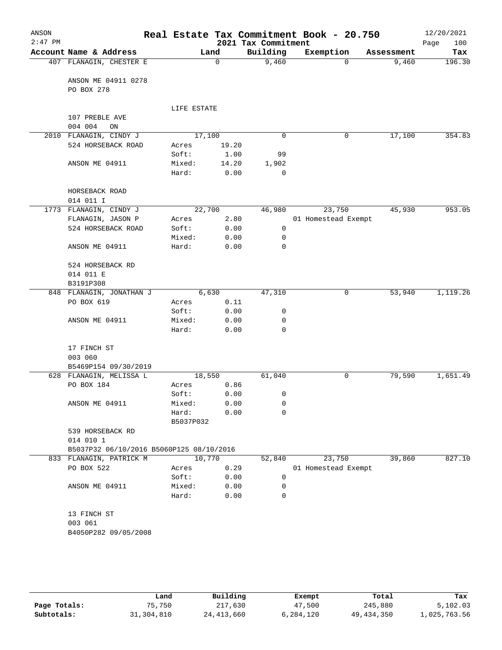| ANSON<br>$2:47$ PM |                                          |                    |              | 2021 Tax Commitment | Real Estate Tax Commitment Book - 20.750 |            | 12/20/2021<br>100<br>Page |
|--------------------|------------------------------------------|--------------------|--------------|---------------------|------------------------------------------|------------|---------------------------|
|                    | Account Name & Address                   |                    | Land         | Building            | Exemption                                | Assessment | Tax                       |
|                    | 407 FLANAGIN, CHESTER E                  |                    | $\Omega$     | 9,460               | $\Omega$                                 | 9,460      | 196.30                    |
|                    | ANSON ME 04911 0278<br>PO BOX 278        |                    |              |                     |                                          |            |                           |
|                    |                                          | LIFE ESTATE        |              |                     |                                          |            |                           |
|                    | 107 PREBLE AVE<br>004 004<br>ON          |                    |              |                     |                                          |            |                           |
|                    | 2010 FLANAGIN, CINDY J                   | 17,100             |              | $\mathbf 0$         | $\mathsf{O}$                             | 17,100     | 354.83                    |
|                    | 524 HORSEBACK ROAD                       | Acres              | 19.20        |                     |                                          |            |                           |
|                    |                                          | Soft:              | 1.00         | 99                  |                                          |            |                           |
|                    | ANSON ME 04911                           | Mixed:             | 14.20        | 1,902               |                                          |            |                           |
|                    |                                          | Hard:              | 0.00         | 0                   |                                          |            |                           |
|                    | HORSEBACK ROAD<br>014 011 I              |                    |              |                     |                                          |            |                           |
|                    | 1773 FLANAGIN, CINDY J                   | 22,700             |              | 46,980              | 23,750                                   | 45,930     | 953.05                    |
|                    | FLANAGIN, JASON P                        | Acres              | 2.80         |                     | 01 Homestead Exempt                      |            |                           |
|                    | 524 HORSEBACK ROAD                       | Soft:              | 0.00         | $\mathsf{O}$        |                                          |            |                           |
|                    |                                          | Mixed:             | 0.00         | 0                   |                                          |            |                           |
|                    | ANSON ME 04911                           | Hard:              | 0.00         | $\mathbf 0$         |                                          |            |                           |
|                    | 524 HORSEBACK RD                         |                    |              |                     |                                          |            |                           |
|                    | 014 011 E                                |                    |              |                     |                                          |            |                           |
|                    | B3191P308                                |                    |              |                     |                                          |            |                           |
|                    | 848 FLANAGIN, JONATHAN J                 |                    | 6,630        | 47,310              | $\mathsf{O}$                             | 53,940     | 1,119.26                  |
|                    | PO BOX 619                               | Acres              | 0.11         |                     |                                          |            |                           |
|                    |                                          | Soft:              | 0.00         | 0                   |                                          |            |                           |
|                    | ANSON ME 04911                           | Mixed:             | 0.00         | 0                   |                                          |            |                           |
|                    |                                          | Hard:              | 0.00         | 0                   |                                          |            |                           |
|                    | 17 FINCH ST                              |                    |              |                     |                                          |            |                           |
|                    | 003 060                                  |                    |              |                     |                                          |            |                           |
|                    | B5469P154 09/30/2019                     |                    |              |                     |                                          |            |                           |
|                    | 628 FLANAGIN, MELISSA L                  | 18,550             |              | 61,040              | 0                                        | 79,590     | 1,651.49                  |
|                    | PO BOX 184                               | Acres              | 0.86         |                     |                                          |            |                           |
|                    |                                          | Soft:              | 0.00         | 0                   |                                          |            |                           |
|                    | ANSON ME 04911                           | Mixed:             | 0.00         | 0                   |                                          |            |                           |
|                    |                                          | Hard:<br>B5037P032 | 0.00         | 0                   |                                          |            |                           |
|                    | 539 HORSEBACK RD<br>014 010 1            |                    |              |                     |                                          |            |                           |
|                    | B5037P32 06/10/2016 B5060P125 08/10/2016 |                    |              |                     |                                          |            |                           |
|                    | 833 FLANAGIN, PATRICK M                  | 10,770             |              | 52,840              | 23,750                                   | 39,860     | 827.10                    |
|                    | PO BOX 522                               | Acres              | 0.29         |                     | 01 Homestead Exempt                      |            |                           |
|                    |                                          | Soft:              | 0.00         | 0                   |                                          |            |                           |
|                    | ANSON ME 04911                           | Mixed:<br>Hard:    | 0.00<br>0.00 | 0<br>$\mathbf 0$    |                                          |            |                           |
|                    | 13 FINCH ST                              |                    |              |                     |                                          |            |                           |
|                    | 003 061                                  |                    |              |                     |                                          |            |                           |
|                    |                                          |                    |              |                     |                                          |            |                           |
|                    | B4050P282 09/05/2008                     |                    |              |                     |                                          |            |                           |
|                    |                                          |                    |              |                     |                                          |            |                           |
|                    |                                          |                    |              |                     |                                          |            |                           |

|              | Land       | Building     | Exempt    | Total      | Tax          |
|--------------|------------|--------------|-----------|------------|--------------|
| Page Totals: | 75,750     | 217,630      | 47,500    | 245,880    | 5,102.03     |
| Subtotals:   | 31,304,810 | 24, 413, 660 | 6,284,120 | 49,434,350 | .,025,763.56 |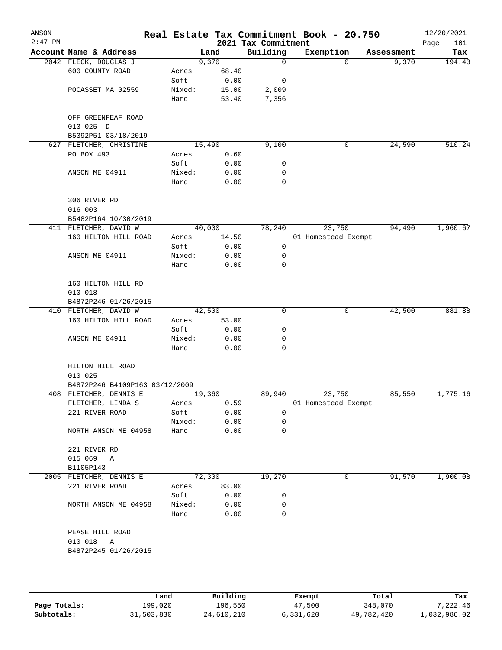| ANSON<br>$2:47$ PM |                                 |                 |              | 2021 Tax Commitment | Real Estate Tax Commitment Book - 20.750 |            | 12/20/2021<br>Page<br>101 |
|--------------------|---------------------------------|-----------------|--------------|---------------------|------------------------------------------|------------|---------------------------|
|                    | Account Name & Address          |                 | Land         | Building            | Exemption                                | Assessment | Tax                       |
|                    | 2042 FLECK, DOUGLAS J           |                 | 9,370        | $\mathbf 0$         | 0                                        | 9,370      | 194.43                    |
|                    | 600 COUNTY ROAD                 | Acres           | 68.40        |                     |                                          |            |                           |
|                    |                                 | Soft:           | 0.00         | 0                   |                                          |            |                           |
|                    | POCASSET MA 02559               | Mixed:          | 15.00        | 2,009               |                                          |            |                           |
|                    |                                 | Hard:           | 53.40        | 7,356               |                                          |            |                           |
|                    | OFF GREENFEAF ROAD<br>013 025 D |                 |              |                     |                                          |            |                           |
|                    | B5392P51 03/18/2019             |                 |              |                     |                                          |            |                           |
|                    | 627 FLETCHER, CHRISTINE         |                 | 15,490       | 9,100               | 0                                        | 24,590     | 510.24                    |
|                    | PO BOX 493                      | Acres           | 0.60         |                     |                                          |            |                           |
|                    |                                 | Soft:           | 0.00         | 0                   |                                          |            |                           |
|                    | ANSON ME 04911                  | Mixed:          | 0.00         | 0                   |                                          |            |                           |
|                    |                                 | Hard:           | 0.00         | 0                   |                                          |            |                           |
|                    |                                 |                 |              |                     |                                          |            |                           |
|                    | 306 RIVER RD                    |                 |              |                     |                                          |            |                           |
|                    | 016 003                         |                 |              |                     |                                          |            |                           |
|                    | B5482P164 10/30/2019            |                 | 40,000       | 78,240              | 23,750                                   |            | 1,960.67                  |
|                    | 411 FLETCHER, DAVID W           |                 |              |                     | 01 Homestead Exempt                      | 94,490     |                           |
|                    | 160 HILTON HILL ROAD            | Acres           | 14.50        |                     |                                          |            |                           |
|                    | ANSON ME 04911                  | Soft:           | 0.00         | 0<br>0              |                                          |            |                           |
|                    |                                 | Mixed:<br>Hard: | 0.00<br>0.00 | 0                   |                                          |            |                           |
|                    |                                 |                 |              |                     |                                          |            |                           |
|                    | 160 HILTON HILL RD              |                 |              |                     |                                          |            |                           |
|                    | 010 018                         |                 |              |                     |                                          |            |                           |
|                    | B4872P246 01/26/2015            |                 |              |                     |                                          |            |                           |
|                    | 410 FLETCHER, DAVID W           |                 | 42,500       | 0                   | 0                                        | 42,500     | 881.88                    |
|                    | 160 HILTON HILL ROAD            | Acres           | 53.00        |                     |                                          |            |                           |
|                    |                                 | Soft:           | 0.00         | 0                   |                                          |            |                           |
|                    | ANSON ME 04911                  | Mixed:<br>Hard: | 0.00         | 0<br>0              |                                          |            |                           |
|                    |                                 |                 | 0.00         |                     |                                          |            |                           |
|                    | HILTON HILL ROAD                |                 |              |                     |                                          |            |                           |
|                    | 010 025                         |                 |              |                     |                                          |            |                           |
|                    | B4872P246 B4109P163 03/12/2009  |                 |              |                     |                                          |            |                           |
|                    | 408 FLETCHER, DENNIS E          |                 | 19,360       | 89,940              | 23,750                                   | 85,550     | 1,775.16                  |
|                    | FLETCHER, LINDA S               | Acres           | 0.59         |                     | 01 Homestead Exempt                      |            |                           |
|                    | 221 RIVER ROAD                  | Soft:           | 0.00         | 0                   |                                          |            |                           |
|                    |                                 | Mixed:          | 0.00         | 0                   |                                          |            |                           |
|                    | NORTH ANSON ME 04958            | Hard:           | 0.00         | 0                   |                                          |            |                           |
|                    | 221 RIVER RD                    |                 |              |                     |                                          |            |                           |
|                    | 015 069 A<br>B1105P143          |                 |              |                     |                                          |            |                           |
|                    | 2005 FLETCHER, DENNIS E         |                 | 72,300       | 19,270              | 0                                        | 91,570     | 1,900.08                  |
|                    | 221 RIVER ROAD                  | Acres           | 83.00        |                     |                                          |            |                           |
|                    |                                 | Soft:           | 0.00         | 0                   |                                          |            |                           |
|                    | NORTH ANSON ME 04958            | Mixed:          | 0.00         | 0                   |                                          |            |                           |
|                    |                                 | Hard:           | 0.00         | 0                   |                                          |            |                           |
|                    | PEASE HILL ROAD                 |                 |              |                     |                                          |            |                           |
|                    | 010 018 A                       |                 |              |                     |                                          |            |                           |
|                    | B4872P245 01/26/2015            |                 |              |                     |                                          |            |                           |
|                    |                                 |                 |              |                     |                                          |            |                           |
|                    |                                 |                 |              |                     |                                          |            |                           |
|                    |                                 |                 |              |                     |                                          |            |                           |
|                    |                                 |                 |              |                     |                                          |            |                           |

|              | Land       | Building   | Exempt    | Total      | Tax          |
|--------------|------------|------------|-----------|------------|--------------|
| Page Totals: | 199,020    | 196,550    | 47,500    | 348,070    | 7.222.46     |
| Subtotals:   | 31,503,830 | 24,610,210 | 6,331,620 | 49,782,420 | 1,032,986.02 |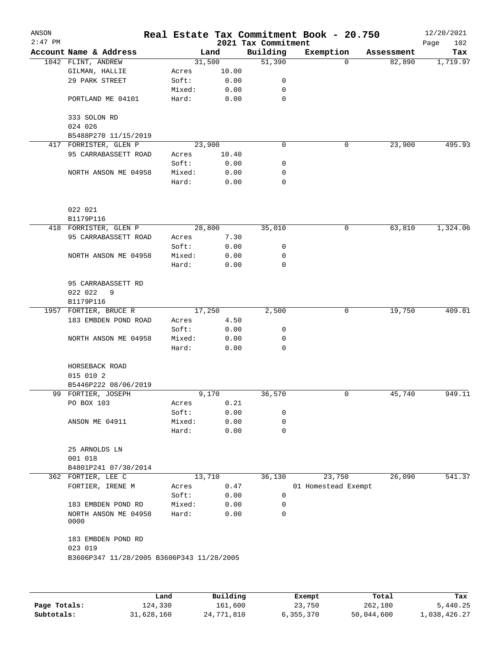| ANSON<br>$2:47$ PM |                                           |        |       | 2021 Tax Commitment | Real Estate Tax Commitment Book - 20.750 |            | 12/20/2021<br>102<br>Page |
|--------------------|-------------------------------------------|--------|-------|---------------------|------------------------------------------|------------|---------------------------|
|                    | Account Name & Address                    |        | Land  | Building            | Exemption                                | Assessment | Tax                       |
|                    | 1042 FLINT, ANDREW                        | 31,500 |       | 51,390              | $\Omega$                                 | 82,890     | 1,719.97                  |
|                    | GILMAN, HALLIE                            | Acres  | 10.00 |                     |                                          |            |                           |
|                    | 29 PARK STREET                            | Soft:  | 0.00  | 0                   |                                          |            |                           |
|                    |                                           | Mixed: | 0.00  | 0                   |                                          |            |                           |
|                    | PORTLAND ME 04101                         | Hard:  | 0.00  | $\mathbf 0$         |                                          |            |                           |
|                    | 333 SOLON RD<br>024 026                   |        |       |                     |                                          |            |                           |
|                    | B5488P270 11/15/2019                      |        |       |                     |                                          |            |                           |
|                    | 417 FORRISTER, GLEN P                     | 23,900 |       | 0                   | 0                                        | 23,900     | 495.93                    |
|                    | 95 CARRABASSETT ROAD                      | Acres  | 10.40 |                     |                                          |            |                           |
|                    |                                           | Soft:  | 0.00  | 0                   |                                          |            |                           |
|                    | NORTH ANSON ME 04958                      | Mixed: | 0.00  | 0                   |                                          |            |                           |
|                    |                                           | Hard:  | 0.00  | $\mathbf 0$         |                                          |            |                           |
|                    | 022 021                                   |        |       |                     |                                          |            |                           |
|                    | B1179P116                                 |        |       |                     |                                          |            |                           |
|                    | 418 FORRISTER, GLEN P                     | 28,800 |       | 35,010              | 0                                        | 63,810     | 1,324.06                  |
|                    | 95 CARRABASSETT ROAD                      | Acres  | 7.30  |                     |                                          |            |                           |
|                    |                                           | Soft:  | 0.00  | 0                   |                                          |            |                           |
|                    | NORTH ANSON ME 04958                      | Mixed: | 0.00  | 0                   |                                          |            |                           |
|                    |                                           | Hard:  | 0.00  | $\mathbf 0$         |                                          |            |                           |
|                    | 95 CARRABASSETT RD                        |        |       |                     |                                          |            |                           |
|                    | 022 022<br>9                              |        |       |                     |                                          |            |                           |
|                    | B1179P116                                 |        |       |                     |                                          |            |                           |
|                    | 1957 FORTIER, BRUCE R                     | 17,250 |       | 2,500               | 0                                        | 19,750     | 409.81                    |
|                    | 183 EMBDEN POND ROAD                      | Acres  | 4.50  |                     |                                          |            |                           |
|                    |                                           | Soft:  | 0.00  | 0                   |                                          |            |                           |
|                    | NORTH ANSON ME 04958                      | Mixed: | 0.00  | 0                   |                                          |            |                           |
|                    |                                           | Hard:  | 0.00  | 0                   |                                          |            |                           |
|                    | HORSEBACK ROAD                            |        |       |                     |                                          |            |                           |
|                    | 015 010 2<br>B5446P222 08/06/2019         |        |       |                     |                                          |            |                           |
|                    | 99 FORTIER, JOSEPH                        |        | 9,170 | 36,570              | 0                                        | 45,740     | 949.11                    |
|                    | PO BOX 103                                | Acres  | 0.21  |                     |                                          |            |                           |
|                    |                                           | Soft:  | 0.00  | 0                   |                                          |            |                           |
|                    | ANSON ME 04911                            | Mixed: | 0.00  | 0                   |                                          |            |                           |
|                    |                                           | Hard:  | 0.00  | 0                   |                                          |            |                           |
|                    | 25 ARNOLDS LN                             |        |       |                     |                                          |            |                           |
|                    | 001 018                                   |        |       |                     |                                          |            |                           |
|                    | B4801P241 07/30/2014                      |        |       |                     |                                          |            |                           |
|                    | 362 FORTIER, LEE C                        | 13,710 |       | 36,130              | 23,750                                   | 26,090     | 541.37                    |
|                    | FORTIER, IRENE M                          | Acres  | 0.47  |                     | 01 Homestead Exempt                      |            |                           |
|                    |                                           | Soft:  | 0.00  | 0                   |                                          |            |                           |
|                    | 183 EMBDEN POND RD                        | Mixed: | 0.00  | 0                   |                                          |            |                           |
|                    | NORTH ANSON ME 04958<br>0000              | Hard:  | 0.00  | 0                   |                                          |            |                           |
|                    | 183 EMBDEN POND RD<br>023 019             |        |       |                     |                                          |            |                           |
|                    | B3606P347 11/28/2005 B3606P343 11/28/2005 |        |       |                     |                                          |            |                           |
|                    |                                           |        |       |                     |                                          |            |                           |
|                    |                                           |        |       |                     |                                          |            |                           |
|                    |                                           |        |       |                     |                                          |            |                           |

|              | Land       | Building   | Exempt    | Total      | Tax          |
|--------------|------------|------------|-----------|------------|--------------|
| Page Totals: | 124,330    | 161,600    | 23,750    | 262,180    | 5,440.25     |
| Subtotals:   | 31,628,160 | 24,771,810 | 6,355,370 | 50,044,600 | 1,038,426.27 |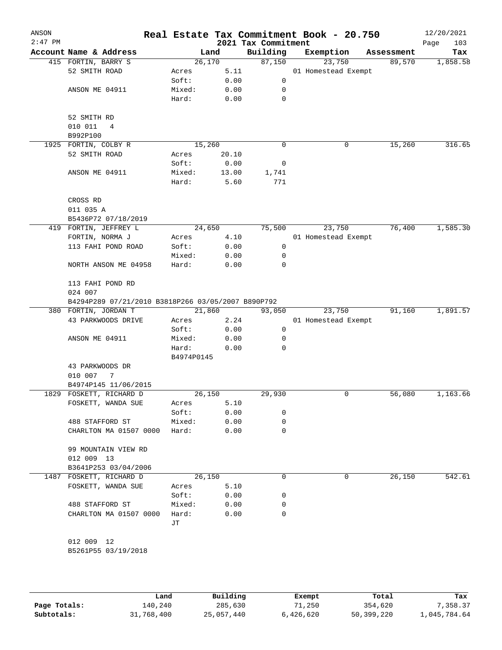|                             |                                                                                                                                                                                                                                                                                                                                                                        |                                                                                                     | 2021 Tax Commitment                                                            | Real Estate Tax Commitment Book - 20.750                                                                                                                                                                                                                                                                                       |           |   |                                                                                                           | 12/20/2021<br>103<br>Page                |
|-----------------------------|------------------------------------------------------------------------------------------------------------------------------------------------------------------------------------------------------------------------------------------------------------------------------------------------------------------------------------------------------------------------|-----------------------------------------------------------------------------------------------------|--------------------------------------------------------------------------------|--------------------------------------------------------------------------------------------------------------------------------------------------------------------------------------------------------------------------------------------------------------------------------------------------------------------------------|-----------|---|-----------------------------------------------------------------------------------------------------------|------------------------------------------|
| Account Name & Address      |                                                                                                                                                                                                                                                                                                                                                                        |                                                                                                     | Building                                                                       |                                                                                                                                                                                                                                                                                                                                | Exemption |   |                                                                                                           | Tax                                      |
| 415 FORTIN, BARRY S         |                                                                                                                                                                                                                                                                                                                                                                        |                                                                                                     | 87,150                                                                         |                                                                                                                                                                                                                                                                                                                                |           |   | 89,570                                                                                                    | 1,858.58                                 |
| 52 SMITH ROAD               | Acres                                                                                                                                                                                                                                                                                                                                                                  |                                                                                                     |                                                                                |                                                                                                                                                                                                                                                                                                                                |           |   |                                                                                                           |                                          |
|                             | Soft:                                                                                                                                                                                                                                                                                                                                                                  |                                                                                                     | 0                                                                              |                                                                                                                                                                                                                                                                                                                                |           |   |                                                                                                           |                                          |
| ANSON ME 04911              | Mixed:                                                                                                                                                                                                                                                                                                                                                                 |                                                                                                     | 0                                                                              |                                                                                                                                                                                                                                                                                                                                |           |   |                                                                                                           |                                          |
|                             | Hard:                                                                                                                                                                                                                                                                                                                                                                  |                                                                                                     | $\mathbf 0$                                                                    |                                                                                                                                                                                                                                                                                                                                |           |   |                                                                                                           |                                          |
|                             |                                                                                                                                                                                                                                                                                                                                                                        |                                                                                                     |                                                                                |                                                                                                                                                                                                                                                                                                                                |           |   |                                                                                                           |                                          |
|                             |                                                                                                                                                                                                                                                                                                                                                                        |                                                                                                     |                                                                                |                                                                                                                                                                                                                                                                                                                                |           |   |                                                                                                           |                                          |
|                             |                                                                                                                                                                                                                                                                                                                                                                        |                                                                                                     |                                                                                |                                                                                                                                                                                                                                                                                                                                |           |   |                                                                                                           |                                          |
|                             |                                                                                                                                                                                                                                                                                                                                                                        |                                                                                                     | 0                                                                              |                                                                                                                                                                                                                                                                                                                                |           |   |                                                                                                           | 316.65                                   |
| 52 SMITH ROAD               | Acres                                                                                                                                                                                                                                                                                                                                                                  |                                                                                                     |                                                                                |                                                                                                                                                                                                                                                                                                                                |           |   |                                                                                                           |                                          |
|                             | Soft:                                                                                                                                                                                                                                                                                                                                                                  |                                                                                                     | 0                                                                              |                                                                                                                                                                                                                                                                                                                                |           |   |                                                                                                           |                                          |
|                             |                                                                                                                                                                                                                                                                                                                                                                        |                                                                                                     |                                                                                |                                                                                                                                                                                                                                                                                                                                |           |   |                                                                                                           |                                          |
|                             | Hard:                                                                                                                                                                                                                                                                                                                                                                  |                                                                                                     | 771                                                                            |                                                                                                                                                                                                                                                                                                                                |           |   |                                                                                                           |                                          |
| CROSS RD                    |                                                                                                                                                                                                                                                                                                                                                                        |                                                                                                     |                                                                                |                                                                                                                                                                                                                                                                                                                                |           |   |                                                                                                           |                                          |
| 011 035 A                   |                                                                                                                                                                                                                                                                                                                                                                        |                                                                                                     |                                                                                |                                                                                                                                                                                                                                                                                                                                |           |   |                                                                                                           |                                          |
| B5436P72 07/18/2019         |                                                                                                                                                                                                                                                                                                                                                                        |                                                                                                     |                                                                                |                                                                                                                                                                                                                                                                                                                                |           |   |                                                                                                           |                                          |
| 419 FORTIN, JEFFREY L       |                                                                                                                                                                                                                                                                                                                                                                        |                                                                                                     | 75,500                                                                         |                                                                                                                                                                                                                                                                                                                                |           |   | 76,400                                                                                                    | 1,585.30                                 |
| FORTIN, NORMA J             | Acres                                                                                                                                                                                                                                                                                                                                                                  |                                                                                                     |                                                                                |                                                                                                                                                                                                                                                                                                                                |           |   |                                                                                                           |                                          |
| 113 FAHI POND ROAD          | Soft:                                                                                                                                                                                                                                                                                                                                                                  |                                                                                                     | 0                                                                              |                                                                                                                                                                                                                                                                                                                                |           |   |                                                                                                           |                                          |
|                             | Mixed:                                                                                                                                                                                                                                                                                                                                                                 |                                                                                                     | 0                                                                              |                                                                                                                                                                                                                                                                                                                                |           |   |                                                                                                           |                                          |
| NORTH ANSON ME 04958        | Hard:                                                                                                                                                                                                                                                                                                                                                                  |                                                                                                     | 0                                                                              |                                                                                                                                                                                                                                                                                                                                |           |   |                                                                                                           |                                          |
| 113 FAHI POND RD<br>024 007 |                                                                                                                                                                                                                                                                                                                                                                        |                                                                                                     |                                                                                |                                                                                                                                                                                                                                                                                                                                |           |   |                                                                                                           |                                          |
|                             |                                                                                                                                                                                                                                                                                                                                                                        |                                                                                                     |                                                                                |                                                                                                                                                                                                                                                                                                                                |           |   |                                                                                                           |                                          |
| 380 FORTIN, JORDAN T        |                                                                                                                                                                                                                                                                                                                                                                        |                                                                                                     |                                                                                |                                                                                                                                                                                                                                                                                                                                |           |   | 91,160                                                                                                    | 1,891.57                                 |
| 43 PARKWOODS DRIVE          | Acres                                                                                                                                                                                                                                                                                                                                                                  |                                                                                                     |                                                                                |                                                                                                                                                                                                                                                                                                                                |           |   |                                                                                                           |                                          |
|                             |                                                                                                                                                                                                                                                                                                                                                                        |                                                                                                     |                                                                                |                                                                                                                                                                                                                                                                                                                                |           |   |                                                                                                           |                                          |
|                             |                                                                                                                                                                                                                                                                                                                                                                        |                                                                                                     |                                                                                |                                                                                                                                                                                                                                                                                                                                |           |   |                                                                                                           |                                          |
|                             |                                                                                                                                                                                                                                                                                                                                                                        |                                                                                                     |                                                                                |                                                                                                                                                                                                                                                                                                                                |           |   |                                                                                                           |                                          |
|                             |                                                                                                                                                                                                                                                                                                                                                                        |                                                                                                     |                                                                                |                                                                                                                                                                                                                                                                                                                                |           |   |                                                                                                           |                                          |
|                             |                                                                                                                                                                                                                                                                                                                                                                        |                                                                                                     |                                                                                |                                                                                                                                                                                                                                                                                                                                |           |   |                                                                                                           |                                          |
|                             |                                                                                                                                                                                                                                                                                                                                                                        |                                                                                                     |                                                                                |                                                                                                                                                                                                                                                                                                                                |           |   |                                                                                                           |                                          |
|                             |                                                                                                                                                                                                                                                                                                                                                                        |                                                                                                     |                                                                                |                                                                                                                                                                                                                                                                                                                                |           |   |                                                                                                           | 1,163.66                                 |
|                             |                                                                                                                                                                                                                                                                                                                                                                        |                                                                                                     |                                                                                |                                                                                                                                                                                                                                                                                                                                |           |   |                                                                                                           |                                          |
|                             |                                                                                                                                                                                                                                                                                                                                                                        |                                                                                                     |                                                                                |                                                                                                                                                                                                                                                                                                                                |           |   |                                                                                                           |                                          |
|                             |                                                                                                                                                                                                                                                                                                                                                                        |                                                                                                     |                                                                                |                                                                                                                                                                                                                                                                                                                                |           |   |                                                                                                           |                                          |
| CHARLTON MA 01507 0000      | Hard:                                                                                                                                                                                                                                                                                                                                                                  |                                                                                                     | 0                                                                              |                                                                                                                                                                                                                                                                                                                                |           |   |                                                                                                           |                                          |
| 99 MOUNTAIN VIEW RD         |                                                                                                                                                                                                                                                                                                                                                                        |                                                                                                     |                                                                                |                                                                                                                                                                                                                                                                                                                                |           |   |                                                                                                           |                                          |
|                             |                                                                                                                                                                                                                                                                                                                                                                        |                                                                                                     |                                                                                |                                                                                                                                                                                                                                                                                                                                |           |   |                                                                                                           |                                          |
|                             |                                                                                                                                                                                                                                                                                                                                                                        |                                                                                                     |                                                                                |                                                                                                                                                                                                                                                                                                                                |           |   |                                                                                                           | 542.61                                   |
|                             |                                                                                                                                                                                                                                                                                                                                                                        |                                                                                                     |                                                                                |                                                                                                                                                                                                                                                                                                                                |           |   |                                                                                                           |                                          |
|                             |                                                                                                                                                                                                                                                                                                                                                                        |                                                                                                     |                                                                                |                                                                                                                                                                                                                                                                                                                                |           |   |                                                                                                           |                                          |
|                             |                                                                                                                                                                                                                                                                                                                                                                        |                                                                                                     |                                                                                |                                                                                                                                                                                                                                                                                                                                |           |   |                                                                                                           |                                          |
|                             |                                                                                                                                                                                                                                                                                                                                                                        |                                                                                                     |                                                                                |                                                                                                                                                                                                                                                                                                                                |           |   |                                                                                                           |                                          |
|                             | JТ                                                                                                                                                                                                                                                                                                                                                                     |                                                                                                     |                                                                                |                                                                                                                                                                                                                                                                                                                                |           |   |                                                                                                           |                                          |
| 012 009 12                  |                                                                                                                                                                                                                                                                                                                                                                        |                                                                                                     |                                                                                |                                                                                                                                                                                                                                                                                                                                |           |   |                                                                                                           |                                          |
|                             | 52 SMITH RD<br>010 011<br>4<br>B992P100<br>1925 FORTIN, COLBY R<br>ANSON ME 04911<br>ANSON ME 04911<br>43 PARKWOODS DR<br>010 007<br>7<br>B4974P145 11/06/2015<br>1829 FOSKETT, RICHARD D<br>FOSKETT, WANDA SUE<br>488 STAFFORD ST<br>012 009 13<br>B3641P253 03/04/2006<br>1487 FOSKETT, RICHARD D<br>FOSKETT, WANDA SUE<br>488 STAFFORD ST<br>CHARLTON MA 01507 0000 | Mixed:<br>Soft:<br>Mixed:<br>Hard:<br>Acres<br>Soft:<br>Mixed:<br>Acres<br>Soft:<br>Mixed:<br>Hard: | Land<br>26,170<br>15,260<br>24,650<br>21,860<br>B4974P0145<br>26,150<br>26,150 | 5.11<br>0.00<br>0.00<br>0.00<br>20.10<br>0.00<br>1,741<br>13.00<br>5.60<br>4.10<br>0.00<br>0.00<br>0.00<br>B4294P289 07/21/2010 B3818P266 03/05/2007 B890P792<br>93,050<br>2.24<br>0.00<br>0<br>0.00<br>0<br>0.00<br>0<br>29,930<br>5.10<br>0.00<br>0<br>0.00<br>0<br>0.00<br>0<br>5.10<br>0.00<br>0<br>0.00<br>0<br>0.00<br>0 |           | 0 | 23,750<br>01 Homestead Exempt<br>0<br>23,750<br>01 Homestead Exempt<br>23,750<br>01 Homestead Exempt<br>0 | Assessment<br>15,260<br>56,080<br>26,150 |

|              | Land       | Building   | Exempt    | Total      | Tax          |
|--------------|------------|------------|-----------|------------|--------------|
| Page Totals: | 140,240    | 285,630    | 71,250    | 354,620    | 7.358.37     |
| Subtotals:   | 31,768,400 | 25,057,440 | 6,426,620 | 50,399,220 | 1,045,784.64 |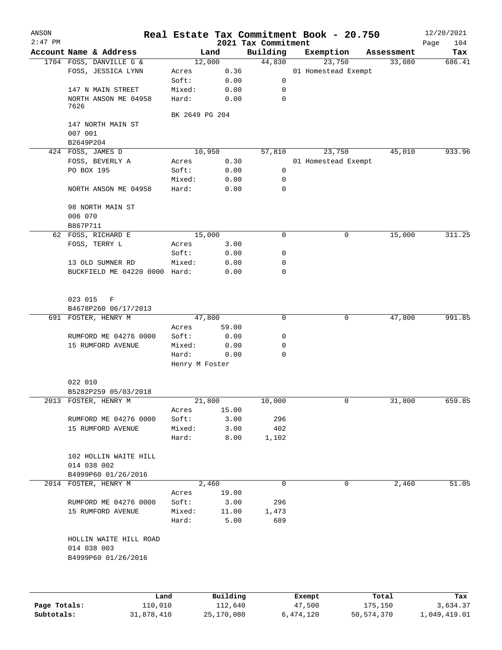| ANSON        |                                       |                         |          |                                 | Real Estate Tax Commitment Book - 20.750 |        |            | 12/20/2021         |
|--------------|---------------------------------------|-------------------------|----------|---------------------------------|------------------------------------------|--------|------------|--------------------|
| $2:47$ PM    | Account Name & Address                |                         | Land     | 2021 Tax Commitment<br>Building | Exemption                                |        | Assessment | Page<br>104<br>Tax |
|              | 1704 FOSS, DANVILLE G &               |                         | 12,000   | 44,830                          |                                          | 23,750 | 33,080     | 686.41             |
|              | FOSS, JESSICA LYNN                    | Acres                   | 0.36     |                                 | 01 Homestead Exempt                      |        |            |                    |
|              |                                       | Soft:                   | 0.00     | 0                               |                                          |        |            |                    |
|              | 147 N MAIN STREET                     | Mixed:                  | 0.00     | 0                               |                                          |        |            |                    |
|              | NORTH ANSON ME 04958<br>7626          | Hard:                   | 0.00     | $\mathbf 0$                     |                                          |        |            |                    |
|              |                                       | BK 2649 PG 204          |          |                                 |                                          |        |            |                    |
|              | 147 NORTH MAIN ST                     |                         |          |                                 |                                          |        |            |                    |
|              | 007 001                               |                         |          |                                 |                                          |        |            |                    |
|              | B2649P204<br>424 FOSS, JAMES D        |                         | 10,950   | 57,810                          |                                          | 23,750 | 45,010     | 933.96             |
|              | FOSS, BEVERLY A                       | Acres                   | 0.30     |                                 | 01 Homestead Exempt                      |        |            |                    |
|              | PO BOX 195                            | Soft:                   | 0.00     | 0                               |                                          |        |            |                    |
|              |                                       | Mixed:                  | 0.00     | 0                               |                                          |        |            |                    |
|              | NORTH ANSON ME 04958                  | Hard:                   | 0.00     | 0                               |                                          |        |            |                    |
|              | 98 NORTH MAIN ST<br>006 070           |                         |          |                                 |                                          |        |            |                    |
|              | B867P711                              |                         |          |                                 |                                          |        |            |                    |
|              | 62 FOSS, RICHARD E                    |                         | 15,000   | $\mathbf 0$                     |                                          | 0      | 15,000     | 311.25             |
|              | FOSS, TERRY L                         | Acres                   | 3.00     |                                 |                                          |        |            |                    |
|              |                                       | Soft:                   | 0.00     | 0                               |                                          |        |            |                    |
|              | 13 OLD SUMNER RD                      | Mixed:                  | 0.00     | 0                               |                                          |        |            |                    |
|              | BUCKFIELD ME 04220 0000 Hard:         |                         | 0.00     | 0                               |                                          |        |            |                    |
|              | 023 015<br>F                          |                         |          |                                 |                                          |        |            |                    |
|              | B4678P260 06/17/2013                  |                         |          |                                 |                                          |        |            |                    |
|              | 691 FOSTER, HENRY M                   |                         | 47,800   | $\mathbf 0$                     |                                          | 0      | 47,800     | 991.85             |
|              |                                       | Acres                   | 59.00    |                                 |                                          |        |            |                    |
|              | RUMFORD ME 04276 0000                 | Soft:                   | 0.00     | 0                               |                                          |        |            |                    |
|              | 15 RUMFORD AVENUE                     | Mixed:                  | 0.00     | 0                               |                                          |        |            |                    |
|              |                                       | Hard:<br>Henry M Foster | 0.00     | 0                               |                                          |        |            |                    |
|              | 022 010                               |                         |          |                                 |                                          |        |            |                    |
|              | B5282P259 05/03/2018                  |                         |          |                                 |                                          |        |            |                    |
|              | 2013 FOSTER, HENRY M                  |                         | 21,800   | 10,000                          |                                          | 0      | 31,800     | 659.85             |
|              |                                       | Acres                   | 15.00    |                                 |                                          |        |            |                    |
|              | RUMFORD ME 04276 0000                 | Soft:                   | 3.00     | 296                             |                                          |        |            |                    |
|              | 15 RUMFORD AVENUE                     | Mixed:                  | 3.00     | 402                             |                                          |        |            |                    |
|              |                                       | Hard:                   | 8.00     | 1,102                           |                                          |        |            |                    |
|              | 102 HOLLIN WAITE HILL<br>014 038 002  |                         |          |                                 |                                          |        |            |                    |
|              | B4999P60 01/26/2016                   |                         |          |                                 |                                          |        |            |                    |
|              | 2014 FOSTER, HENRY M                  |                         | 2,460    | $\mathbf 0$                     |                                          | 0      | 2,460      | 51.05              |
|              |                                       | Acres                   | 19.00    |                                 |                                          |        |            |                    |
|              | RUMFORD ME 04276 0000                 | Soft:                   | 3.00     | 296                             |                                          |        |            |                    |
|              | 15 RUMFORD AVENUE                     | Mixed:                  | 11.00    | 1,473                           |                                          |        |            |                    |
|              |                                       | Hard:                   | 5.00     | 689                             |                                          |        |            |                    |
|              | HOLLIN WAITE HILL ROAD<br>014 038 003 |                         |          |                                 |                                          |        |            |                    |
|              | B4999P60 01/26/2016                   |                         |          |                                 |                                          |        |            |                    |
|              |                                       |                         |          |                                 |                                          |        |            |                    |
|              | Land                                  |                         | Building |                                 | Exempt                                   |        | Total      | Tax                |
| Page Totals: | 110,010                               |                         | 112,640  |                                 | 47,500                                   |        | 175,150    | 3,634.37           |

**Subtotals:** 31,878,410 25,170,080 6,474,120 50,574,370 1,049,419.01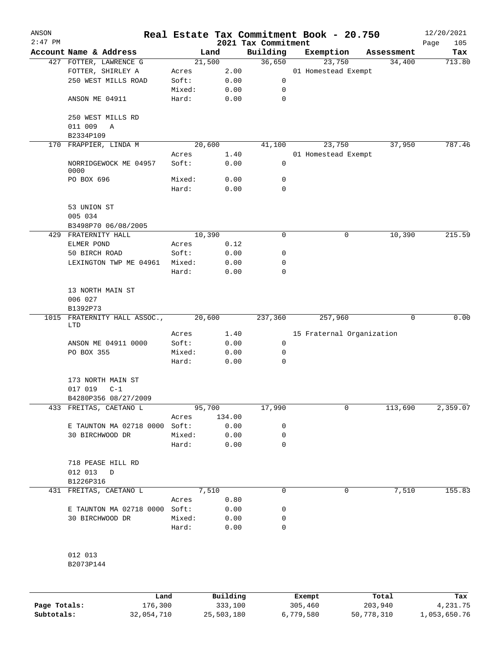| ANSON<br>$2:47$ PM |                               |        |        | 2021 Tax Commitment | Real Estate Tax Commitment Book - 20.750 |            | 12/20/2021         |
|--------------------|-------------------------------|--------|--------|---------------------|------------------------------------------|------------|--------------------|
|                    | Account Name & Address        |        | Land   | Building            | Exemption                                | Assessment | 105<br>Page<br>Tax |
|                    | 427 FOTTER, LAWRENCE G        | 21,500 |        | 36,650              | 23,750                                   | 34,400     | 713.80             |
|                    | FOTTER, SHIRLEY A             | Acres  | 2.00   |                     | 01 Homestead Exempt                      |            |                    |
|                    | 250 WEST MILLS ROAD           | Soft:  | 0.00   | 0                   |                                          |            |                    |
|                    |                               | Mixed: | 0.00   | 0                   |                                          |            |                    |
|                    | ANSON ME 04911                | Hard:  | 0.00   | $\mathbf 0$         |                                          |            |                    |
|                    | 250 WEST MILLS RD             |        |        |                     |                                          |            |                    |
|                    | 011 009<br>Α                  |        |        |                     |                                          |            |                    |
|                    | B2334P109                     |        |        |                     |                                          |            |                    |
|                    | 170 FRAPPIER, LINDA M         | 20,600 |        | 41,100              | 23,750                                   | 37,950     | 787.46             |
|                    |                               | Acres  | 1.40   |                     | 01 Homestead Exempt                      |            |                    |
|                    | NORRIDGEWOCK ME 04957<br>0000 | Soft:  | 0.00   | 0                   |                                          |            |                    |
|                    | PO BOX 696                    | Mixed: | 0.00   | 0                   |                                          |            |                    |
|                    |                               | Hard:  | 0.00   | 0                   |                                          |            |                    |
|                    | 53 UNION ST                   |        |        |                     |                                          |            |                    |
|                    | 005 034                       |        |        |                     |                                          |            |                    |
|                    | B3498P70 06/08/2005           |        |        |                     |                                          |            |                    |
| 429                | FRATERNITY HALL               | 10,390 |        | 0                   | 0                                        | 10,390     | 215.59             |
|                    | ELMER POND                    | Acres  | 0.12   |                     |                                          |            |                    |
|                    | 50 BIRCH ROAD                 | Soft:  | 0.00   | 0                   |                                          |            |                    |
|                    | LEXINGTON TWP ME 04961        | Mixed: | 0.00   | 0                   |                                          |            |                    |
|                    |                               | Hard:  | 0.00   | 0                   |                                          |            |                    |
|                    | 13 NORTH MAIN ST              |        |        |                     |                                          |            |                    |
|                    | 006 027<br>B1392P73           |        |        |                     |                                          |            |                    |
| 1015               | FRATERNITY HALL ASSOC.,       | 20,600 |        | 237,360             | 257,960                                  | 0          | 0.00               |
|                    | LTD                           |        |        |                     |                                          |            |                    |
|                    |                               | Acres  | 1.40   |                     | 15 Fraternal Organization                |            |                    |
|                    | ANSON ME 04911 0000           | Soft:  | 0.00   | $\mathbf 0$         |                                          |            |                    |
|                    | PO BOX 355                    | Mixed: | 0.00   | 0                   |                                          |            |                    |
|                    |                               | Hard:  | 0.00   | 0                   |                                          |            |                    |
|                    | 173 NORTH MAIN ST             |        |        |                     |                                          |            |                    |
|                    | 017 019<br>$C-1$              |        |        |                     |                                          |            |                    |
|                    | B4280P356 08/27/2009          |        |        |                     |                                          |            |                    |
|                    | 433 FREITAS, CAETANO L        | 95,700 |        | 17,990              | 0                                        | 113,690    | 2,359.07           |
|                    |                               | Acres  | 134.00 |                     |                                          |            |                    |
|                    | E TAUNTON MA 02718 0000 Soft: |        | 0.00   | 0                   |                                          |            |                    |
|                    | 30 BIRCHWOOD DR               | Mixed: | 0.00   | 0                   |                                          |            |                    |
|                    |                               | Hard:  | 0.00   | 0                   |                                          |            |                    |
|                    | 718 PEASE HILL RD             |        |        |                     |                                          |            |                    |
|                    | 012 013<br>D                  |        |        |                     |                                          |            |                    |
|                    | B1226P316                     |        |        |                     |                                          |            |                    |
|                    | 431 FREITAS, CAETANO L        |        | 7,510  | 0                   | 0                                        | 7,510      | 155.83             |
|                    |                               | Acres  | 0.80   |                     |                                          |            |                    |
|                    | E TAUNTON MA 02718 0000 Soft: |        | 0.00   | 0                   |                                          |            |                    |
|                    | 30 BIRCHWOOD DR               | Mixed: | 0.00   | 0                   |                                          |            |                    |
|                    |                               | Hard:  | 0.00   | 0                   |                                          |            |                    |
|                    |                               |        |        |                     |                                          |            |                    |
|                    | 012 013                       |        |        |                     |                                          |            |                    |
|                    | B2073P144                     |        |        |                     |                                          |            |                    |
|                    |                               |        |        |                     |                                          |            |                    |
|                    |                               |        |        |                     |                                          |            |                    |

|              | Land       | Building   | Exempt    | Total      | Tax          |
|--------------|------------|------------|-----------|------------|--------------|
| Page Totals: | 176,300    | 333,100    | 305,460   | 203,940    | 4,231.75     |
| Subtotals:   | 32,054,710 | 25,503,180 | 6,779,580 | 50,778,310 | 1,053,650.76 |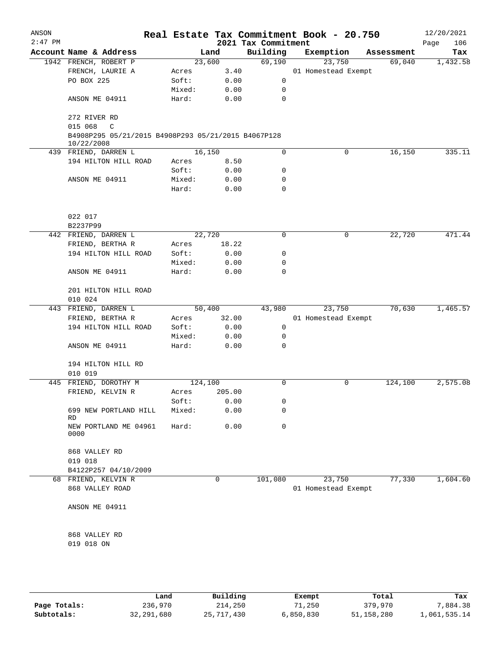| ANSON<br>$2:47$ PM |                                                                   |         |        | 2021 Tax Commitment | Real Estate Tax Commitment Book - 20.750 |            | 12/20/2021<br>106<br>Page |
|--------------------|-------------------------------------------------------------------|---------|--------|---------------------|------------------------------------------|------------|---------------------------|
|                    | Account Name & Address                                            |         | Land   | Building            | Exemption                                | Assessment | Tax                       |
|                    | 1942 FRENCH, ROBERT P                                             | 23,600  |        | 69,190              | 23,750                                   | 69,040     | 1,432.58                  |
|                    | FRENCH, LAURIE A                                                  | Acres   | 3.40   |                     | 01 Homestead Exempt                      |            |                           |
|                    | PO BOX 225                                                        | Soft:   | 0.00   | 0                   |                                          |            |                           |
|                    |                                                                   | Mixed:  | 0.00   | 0                   |                                          |            |                           |
|                    | ANSON ME 04911                                                    | Hard:   | 0.00   | 0                   |                                          |            |                           |
|                    | 272 RIVER RD                                                      |         |        |                     |                                          |            |                           |
|                    | 015 068<br>C                                                      |         |        |                     |                                          |            |                           |
|                    | B4908P295 05/21/2015 B4908P293 05/21/2015 B4067P128<br>10/22/2008 |         |        |                     |                                          |            |                           |
|                    | 439 FRIEND, DARREN L                                              | 16,150  |        | 0                   | 0                                        | 16,150     | 335.11                    |
|                    | 194 HILTON HILL ROAD                                              | Acres   | 8.50   |                     |                                          |            |                           |
|                    |                                                                   | Soft:   | 0.00   | 0                   |                                          |            |                           |
|                    | ANSON ME 04911                                                    | Mixed:  | 0.00   | 0                   |                                          |            |                           |
|                    |                                                                   | Hard:   | 0.00   | 0                   |                                          |            |                           |
|                    | 022 017<br>B2237P99                                               |         |        |                     |                                          |            |                           |
|                    | 442 FRIEND, DARREN L                                              | 22,720  |        | 0                   | 0                                        | 22,720     | 471.44                    |
|                    | FRIEND, BERTHA R                                                  | Acres   | 18.22  |                     |                                          |            |                           |
|                    | 194 HILTON HILL ROAD                                              | Soft:   | 0.00   | 0                   |                                          |            |                           |
|                    |                                                                   |         |        |                     |                                          |            |                           |
|                    |                                                                   | Mixed:  | 0.00   | 0                   |                                          |            |                           |
|                    | ANSON ME 04911                                                    | Hard:   | 0.00   | 0                   |                                          |            |                           |
|                    | 201 HILTON HILL ROAD                                              |         |        |                     |                                          |            |                           |
|                    | 010 024                                                           |         |        |                     |                                          |            |                           |
|                    | 443 FRIEND, DARREN L                                              | 50,400  |        | 43,980              | 23,750                                   | 70,630     | 1,465.57                  |
|                    | FRIEND, BERTHA R                                                  | Acres   | 32.00  |                     | 01 Homestead Exempt                      |            |                           |
|                    | 194 HILTON HILL ROAD                                              | Soft:   | 0.00   | 0                   |                                          |            |                           |
|                    |                                                                   | Mixed:  | 0.00   | 0                   |                                          |            |                           |
|                    | ANSON ME 04911                                                    | Hard:   | 0.00   | 0                   |                                          |            |                           |
|                    | 194 HILTON HILL RD<br>010 019                                     |         |        |                     |                                          |            |                           |
| 445                | FRIEND, DOROTHY M                                                 | 124,100 |        | 0                   | 0                                        | 124,100    | 2,575.08                  |
|                    | FRIEND, KELVIN R                                                  | Acres   | 205.00 |                     |                                          |            |                           |
|                    |                                                                   | Soft:   | 0.00   | 0                   |                                          |            |                           |
|                    | 699 NEW PORTLAND HILL<br>RD                                       | Mixed:  | 0.00   | 0                   |                                          |            |                           |
|                    | NEW PORTLAND ME 04961<br>0000                                     | Hard:   | 0.00   | 0                   |                                          |            |                           |
|                    | 868 VALLEY RD<br>019 018                                          |         |        |                     |                                          |            |                           |
|                    |                                                                   |         |        |                     |                                          |            |                           |
|                    | B4122P257 04/10/2009                                              |         |        |                     |                                          |            |                           |
|                    | 68 FRIEND, KELVIN R<br>868 VALLEY ROAD                            |         | 0      | 101,080             | 23,750<br>01 Homestead Exempt            | 77,330     | 1,604.60                  |
|                    | ANSON ME 04911                                                    |         |        |                     |                                          |            |                           |
|                    | 868 VALLEY RD                                                     |         |        |                     |                                          |            |                           |
|                    | 019 018 ON                                                        |         |        |                     |                                          |            |                           |
|                    |                                                                   |         |        |                     |                                          |            |                           |
|                    |                                                                   |         |        |                     |                                          |            |                           |

|              | Land       | Building     | Exempt    | Total      | Tax          |
|--------------|------------|--------------|-----------|------------|--------------|
| Page Totals: | 236,970    | 214,250      | 71,250    | 379,970    | 7,884.38     |
| Subtotals:   | 32,291,680 | 25, 717, 430 | 6,850,830 | 51,158,280 | 1,061,535.14 |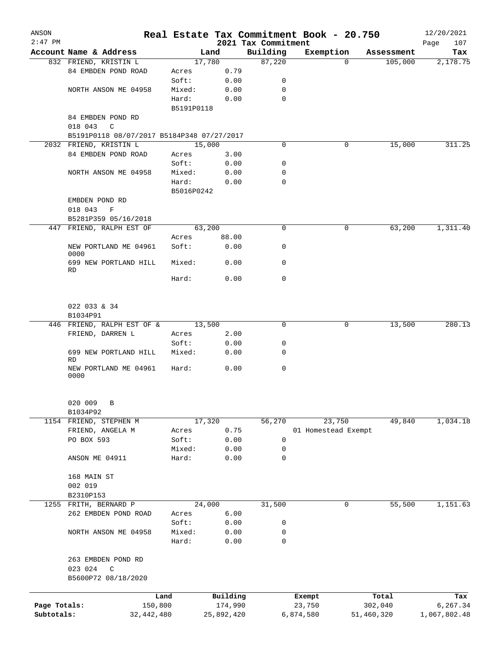| ANSON        |                                            |                |            |            |                                 | Real Estate Tax Commitment Book - 20.750 |            |            | 12/20/2021         |
|--------------|--------------------------------------------|----------------|------------|------------|---------------------------------|------------------------------------------|------------|------------|--------------------|
| $2:47$ PM    | Account Name & Address                     |                | Land       |            | 2021 Tax Commitment<br>Building | Exemption                                |            | Assessment | 107<br>Page<br>Tax |
|              | 832 FRIEND, KRISTIN L                      |                | 17,780     |            | 87,220                          |                                          | $\Omega$   | 105,000    | 2,178.75           |
|              | 84 EMBDEN POND ROAD                        | Acres          |            | 0.79       |                                 |                                          |            |            |                    |
|              |                                            | Soft:          |            | 0.00       | 0                               |                                          |            |            |                    |
|              | NORTH ANSON ME 04958                       | Mixed:         |            | 0.00       | 0                               |                                          |            |            |                    |
|              |                                            | Hard:          |            | 0.00       | $\mathbf 0$                     |                                          |            |            |                    |
|              |                                            |                | B5191P0118 |            |                                 |                                          |            |            |                    |
|              | 84 EMBDEN POND RD                          |                |            |            |                                 |                                          |            |            |                    |
|              | 018 043<br>$\mathbb{C}$                    |                |            |            |                                 |                                          |            |            |                    |
|              | B5191P0118 08/07/2017 B5184P348 07/27/2017 |                |            |            |                                 |                                          |            |            |                    |
|              | 2032 FRIEND, KRISTIN L                     |                | 15,000     |            | $\Omega$                        |                                          | 0          | 15,000     | 311.25             |
|              | 84 EMBDEN POND ROAD                        | Acres          |            | 3.00       |                                 |                                          |            |            |                    |
|              |                                            | Soft:          |            | 0.00       | 0                               |                                          |            |            |                    |
|              | NORTH ANSON ME 04958                       | Mixed:         |            | 0.00       | 0                               |                                          |            |            |                    |
|              |                                            | Hard:          |            | 0.00       | $\mathbf 0$                     |                                          |            |            |                    |
|              |                                            |                | B5016P0242 |            |                                 |                                          |            |            |                    |
|              | EMBDEN POND RD                             |                |            |            |                                 |                                          |            |            |                    |
|              | 018 043<br>F                               |                |            |            |                                 |                                          |            |            |                    |
|              | B5281P359 05/16/2018                       |                |            |            |                                 |                                          |            |            |                    |
|              | 447 FRIEND, RALPH EST OF                   |                | 63,200     |            | 0                               |                                          | 0          | 63,200     | 1,311.40           |
|              |                                            | Acres          |            | 88.00      |                                 |                                          |            |            |                    |
|              | NEW PORTLAND ME 04961                      | Soft:          |            | 0.00       | 0                               |                                          |            |            |                    |
|              | 0000                                       |                |            |            |                                 |                                          |            |            |                    |
|              | 699 NEW PORTLAND HILL                      | Mixed:         |            | 0.00       | $\mathbf 0$                     |                                          |            |            |                    |
|              | RD                                         | Hard:          |            | 0.00       | $\mathbf 0$                     |                                          |            |            |                    |
|              |                                            |                |            |            |                                 |                                          |            |            |                    |
|              | 022 033 & 34                               |                |            |            |                                 |                                          |            |            |                    |
|              | B1034P91                                   |                |            |            |                                 |                                          |            |            |                    |
|              | 446 FRIEND, RALPH EST OF & 13,500          |                |            |            | $\mathbf 0$                     |                                          | 0          | 13,500     | 280.13             |
|              | FRIEND, DARREN L                           | Acres          |            | 2.00       |                                 |                                          |            |            |                    |
|              |                                            | Soft:          |            | 0.00       | 0                               |                                          |            |            |                    |
|              | 699 NEW PORTLAND HILL                      | Mixed:         |            | 0.00       | 0                               |                                          |            |            |                    |
|              | RD                                         |                |            |            |                                 |                                          |            |            |                    |
|              | NEW PORTLAND ME 04961<br>0000              | Hard:          |            | 0.00       | $\mathbf 0$                     |                                          |            |            |                    |
|              |                                            |                |            |            |                                 |                                          |            |            |                    |
|              | 020 009<br>В                               |                |            |            |                                 |                                          |            |            |                    |
|              | B1034P92                                   |                |            |            |                                 | 23,750                                   |            | 49,840     | 1,034.18           |
|              | 1154 FRIEND, STEPHEN M<br>FRIEND, ANGELA M |                | 17,320     | 0.75       | 56,270                          | 01 Homestead Exempt                      |            |            |                    |
|              | PO BOX 593                                 | Acres<br>Soft: |            | 0.00       | 0                               |                                          |            |            |                    |
|              |                                            | Mixed:         |            | 0.00       | 0                               |                                          |            |            |                    |
|              | ANSON ME 04911                             | Hard:          |            | 0.00       | 0                               |                                          |            |            |                    |
|              |                                            |                |            |            |                                 |                                          |            |            |                    |
|              | 168 MAIN ST                                |                |            |            |                                 |                                          |            |            |                    |
|              | 002 019                                    |                |            |            |                                 |                                          |            |            |                    |
|              | B2310P153                                  |                |            |            |                                 |                                          |            |            |                    |
| 1255         | FRITH, BERNARD P                           |                | 24,000     |            | 31,500                          |                                          | 0          | 55,500     | 1,151.63           |
|              | 262 EMBDEN POND ROAD                       | Acres          |            | 6.00       |                                 |                                          |            |            |                    |
|              |                                            | Soft:          |            | 0.00       | 0                               |                                          |            |            |                    |
|              | NORTH ANSON ME 04958                       | Mixed:         |            | 0.00       | 0                               |                                          |            |            |                    |
|              |                                            | Hard:          |            | 0.00       | $\mathbf 0$                     |                                          |            |            |                    |
|              | 263 EMBDEN POND RD                         |                |            |            |                                 |                                          |            |            |                    |
|              | 023 024<br>C<br>B5600P72 08/18/2020        |                |            |            |                                 |                                          |            |            |                    |
|              |                                            | Land           |            | Building   |                                 | Exempt                                   |            | Total      | Tax                |
| Page Totals: |                                            | 150,800        |            | 174,990    |                                 | 23,750                                   |            | 302,040    | 6,267.34           |
| Subtotals:   |                                            | 32, 442, 480   |            | 25,892,420 |                                 | 6,874,580                                | 51,460,320 |            | 1,067,802.48       |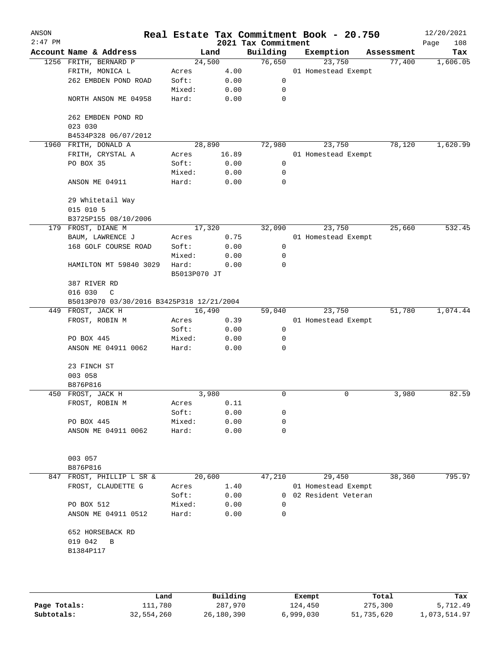| ANSON     |                                               |                       |        |                                 | Real Estate Tax Commitment Book - 20.750 |            | 12/20/2021         |
|-----------|-----------------------------------------------|-----------------------|--------|---------------------------------|------------------------------------------|------------|--------------------|
| $2:47$ PM | Account Name & Address                        |                       | Land   | 2021 Tax Commitment<br>Building | Exemption                                | Assessment | 108<br>Page<br>Tax |
|           | 1256 FRITH, BERNARD P                         | 24,500                |        | 76,650                          | 23,750                                   | 77,400     | 1,606.05           |
|           | FRITH, MONICA L                               | Acres                 | 4.00   |                                 | 01 Homestead Exempt                      |            |                    |
|           | 262 EMBDEN POND ROAD                          | Soft:                 | 0.00   | 0                               |                                          |            |                    |
|           |                                               | Mixed:                | 0.00   | 0                               |                                          |            |                    |
|           | NORTH ANSON ME 04958                          | Hard:                 | 0.00   | 0                               |                                          |            |                    |
|           | 262 EMBDEN POND RD<br>023 030                 |                       |        |                                 |                                          |            |                    |
|           | B4534P328 06/07/2012                          |                       |        |                                 |                                          |            |                    |
| 1960      | FRITH, DONALD A                               |                       | 28,890 | 72,980                          | 23,750                                   | 78,120     | 1,620.99           |
|           | FRITH, CRYSTAL A                              | Acres                 | 16.89  |                                 | 01 Homestead Exempt                      |            |                    |
|           | PO BOX 35                                     | Soft:                 | 0.00   | 0                               |                                          |            |                    |
|           |                                               | Mixed:                | 0.00   | 0                               |                                          |            |                    |
|           | ANSON ME 04911                                | Hard:                 | 0.00   | 0                               |                                          |            |                    |
|           | 29 Whitetail Way<br>015 010 5                 |                       |        |                                 |                                          |            |                    |
|           | B3725P155 08/10/2006                          |                       |        |                                 |                                          |            |                    |
|           | 179 FROST, DIANE M                            | 17,320                |        | 32,090                          | 23,750                                   | 25,660     | 532.45             |
|           |                                               |                       |        |                                 |                                          |            |                    |
|           | BAUM, LAWRENCE J                              | Acres                 | 0.75   |                                 | 01 Homestead Exempt                      |            |                    |
|           | 168 GOLF COURSE ROAD                          | Soft:                 | 0.00   | 0                               |                                          |            |                    |
|           |                                               | Mixed:                | 0.00   | 0                               |                                          |            |                    |
|           | HAMILTON MT 59840 3029                        | Hard:<br>B5013P070 JT | 0.00   | 0                               |                                          |            |                    |
|           | 387 RIVER RD                                  |                       |        |                                 |                                          |            |                    |
|           | 016 030<br>C                                  |                       |        |                                 |                                          |            |                    |
|           | B5013P070 03/30/2016 B3425P318 12/21/2004     |                       |        |                                 |                                          |            |                    |
|           | 449 FROST, JACK H                             |                       | 16,490 | 59,040                          | 23,750                                   | 51,780     | 1,074.44           |
|           | FROST, ROBIN M                                | Acres                 | 0.39   |                                 | 01 Homestead Exempt                      |            |                    |
|           |                                               | Soft:                 | 0.00   | 0                               |                                          |            |                    |
|           | PO BOX 445                                    | Mixed:                | 0.00   | 0                               |                                          |            |                    |
|           | ANSON ME 04911 0062                           | Hard:                 | 0.00   | 0                               |                                          |            |                    |
|           | 23 FINCH ST                                   |                       |        |                                 |                                          |            |                    |
|           | 003 058                                       |                       |        |                                 |                                          |            |                    |
|           | B876P816                                      |                       |        |                                 |                                          |            |                    |
|           | 450 FROST, JACK H                             |                       | 3,980  | 0                               | 0                                        | 3,980      | 82.59              |
|           | FROST, ROBIN M                                | Acres                 | 0.11   |                                 |                                          |            |                    |
|           |                                               | Soft:                 | 0.00   | 0                               |                                          |            |                    |
|           | PO BOX 445                                    | Mixed:                | 0.00   | 0                               |                                          |            |                    |
|           | ANSON ME 04911 0062                           | Hard:                 | 0.00   | 0                               |                                          |            |                    |
|           | 003 057                                       |                       |        |                                 |                                          |            |                    |
|           | B876P816                                      |                       |        |                                 |                                          |            |                    |
| 847       | FROST, PHILLIP L SR &                         | 20,600                |        | 47,210                          | 29,450                                   | 38,360     | 795.97             |
|           | FROST, CLAUDETTE G                            | Acres                 | 1.40   |                                 | 01 Homestead Exempt                      |            |                    |
|           |                                               | Soft:                 | 0.00   | 0                               | 02 Resident Veteran                      |            |                    |
|           | PO BOX 512                                    | Mixed:                | 0.00   | $\Omega$                        |                                          |            |                    |
|           | ANSON ME 04911 0512                           | Hard:                 | 0.00   | 0                               |                                          |            |                    |
|           | 652 HORSEBACK RD<br>019 042<br>B<br>B1384P117 |                       |        |                                 |                                          |            |                    |
|           |                                               |                       |        |                                 |                                          |            |                    |

|              | Land       | Building   | Exempt    | Total      | Tax          |
|--------------|------------|------------|-----------|------------|--------------|
| Page Totals: | 111,780    | 287,970    | 124,450   | 275,300    | 5,712.49     |
| Subtotals:   | 32,554,260 | 26,180,390 | 6,999,030 | 51,735,620 | 1,073,514.97 |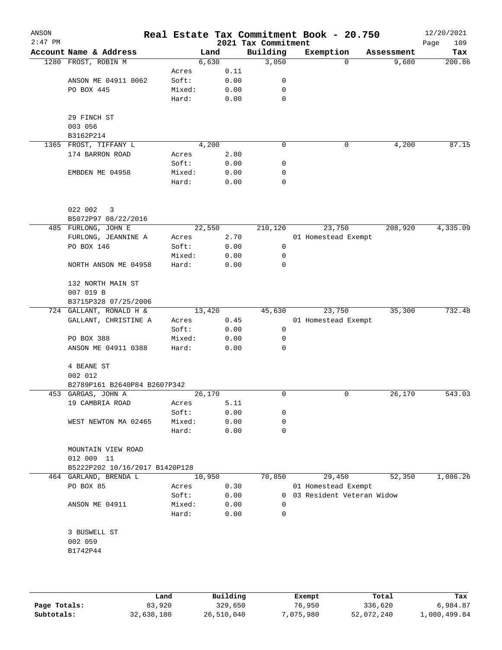| ANSON<br>$2:47$ PM |                                     |                 |        |      | Real Estate Tax Commitment Book - 20.750<br>2021 Tax Commitment |                             |          |            | 12/20/2021<br>109<br>Page |
|--------------------|-------------------------------------|-----------------|--------|------|-----------------------------------------------------------------|-----------------------------|----------|------------|---------------------------|
|                    | Account Name & Address              |                 | Land   |      | Building                                                        | Exemption                   |          | Assessment | Tax                       |
|                    | 1280 FROST, ROBIN M                 |                 | 6,630  |      | 3,050                                                           |                             | $\Omega$ | 9,680      | 200.86                    |
|                    |                                     | Acres           |        | 0.11 |                                                                 |                             |          |            |                           |
|                    | ANSON ME 04911 0062                 | Soft:           |        | 0.00 | 0                                                               |                             |          |            |                           |
|                    | PO BOX 445                          | Mixed:          |        | 0.00 | 0                                                               |                             |          |            |                           |
|                    |                                     | Hard:           |        | 0.00 | 0                                                               |                             |          |            |                           |
|                    | 29 FINCH ST                         |                 |        |      |                                                                 |                             |          |            |                           |
|                    | 003 056                             |                 |        |      |                                                                 |                             |          |            |                           |
|                    | B3162P214                           |                 |        |      |                                                                 |                             |          |            | 87.15                     |
| 1365               | FROST, TIFFANY L<br>174 BARRON ROAD |                 | 4,200  |      | 0                                                               |                             | 0        | 4,200      |                           |
|                    |                                     | Acres<br>Soft:  |        | 2.80 | 0                                                               |                             |          |            |                           |
|                    |                                     |                 |        | 0.00 |                                                                 |                             |          |            |                           |
|                    | EMBDEN ME 04958                     | Mixed:<br>Hard: |        | 0.00 | 0<br>0                                                          |                             |          |            |                           |
|                    |                                     |                 |        | 0.00 |                                                                 |                             |          |            |                           |
|                    | 022 002<br>3                        |                 |        |      |                                                                 |                             |          |            |                           |
|                    | B5072P97 08/22/2016                 |                 |        |      |                                                                 |                             |          |            |                           |
|                    | 485 FURLONG, JOHN E                 |                 | 22,550 |      | 210,120                                                         |                             | 23,750   | 208,920    | 4,335.09                  |
|                    | FURLONG, JEANNINE A                 | Acres           |        | 2.70 |                                                                 | 01 Homestead Exempt         |          |            |                           |
|                    | PO BOX 146                          | Soft:           |        | 0.00 | 0                                                               |                             |          |            |                           |
|                    |                                     | Mixed:          |        | 0.00 | 0                                                               |                             |          |            |                           |
|                    | NORTH ANSON ME 04958                | Hard:           |        | 0.00 | 0                                                               |                             |          |            |                           |
|                    | 132 NORTH MAIN ST                   |                 |        |      |                                                                 |                             |          |            |                           |
|                    | 007 019 B                           |                 |        |      |                                                                 |                             |          |            |                           |
|                    | B3715P328 07/25/2006                |                 |        |      |                                                                 |                             |          |            |                           |
|                    | 724 GALLANT, RONALD H &             |                 | 13,420 |      | 45,630                                                          |                             | 23,750   | 35,300     | 732.48                    |
|                    | GALLANT, CHRISTINE A                | Acres           |        | 0.45 |                                                                 | 01 Homestead Exempt         |          |            |                           |
|                    |                                     | Soft:           |        | 0.00 | 0                                                               |                             |          |            |                           |
|                    | PO BOX 388                          | Mixed:          |        | 0.00 | 0                                                               |                             |          |            |                           |
|                    | ANSON ME 04911 0388                 | Hard:           |        | 0.00 | 0                                                               |                             |          |            |                           |
|                    | 4 BEANE ST<br>002 012               |                 |        |      |                                                                 |                             |          |            |                           |
|                    | B2789P161 B2640P84 B2607P342        |                 |        |      |                                                                 |                             |          |            |                           |
|                    | 453 GARGAS, JOHN A                  |                 | 26,170 |      | 0                                                               |                             | 0        | 26,170     | 543.03                    |
|                    | 19 CAMBRIA ROAD                     | Acres           |        | 5.11 |                                                                 |                             |          |            |                           |
|                    |                                     | Soft:           |        | 0.00 | 0                                                               |                             |          |            |                           |
|                    | WEST NEWTON MA 02465                | Mixed:          |        | 0.00 | 0                                                               |                             |          |            |                           |
|                    |                                     | Hard:           |        | 0.00 | 0                                                               |                             |          |            |                           |
|                    | MOUNTAIN VIEW ROAD<br>012 009 11    |                 |        |      |                                                                 |                             |          |            |                           |
|                    | B5222P202 10/16/2017 B1420P128      |                 |        |      |                                                                 |                             |          |            |                           |
|                    | 464 GARLAND, BRENDA L               |                 | 10,950 |      | 70,850                                                          |                             | 29,450   | 52,350     | 1,086.26                  |
|                    | PO BOX 85                           | Acres           |        | 0.30 |                                                                 | 01 Homestead Exempt         |          |            |                           |
|                    |                                     | Soft:           |        | 0.00 |                                                                 | 0 03 Resident Veteran Widow |          |            |                           |
|                    | ANSON ME 04911                      | Mixed:          |        | 0.00 | $\Omega$                                                        |                             |          |            |                           |
|                    |                                     | Hard:           |        | 0.00 | $\Omega$                                                        |                             |          |            |                           |
|                    | 3 BUSWELL ST                        |                 |        |      |                                                                 |                             |          |            |                           |
|                    | 002 059                             |                 |        |      |                                                                 |                             |          |            |                           |
|                    | B1742P44                            |                 |        |      |                                                                 |                             |          |            |                           |
|                    |                                     |                 |        |      |                                                                 |                             |          |            |                           |
|                    |                                     |                 |        |      |                                                                 |                             |          |            |                           |
|                    |                                     |                 |        |      |                                                                 |                             |          |            |                           |

|              | Land       | Building   | Exempt    | Total      | Tax          |
|--------------|------------|------------|-----------|------------|--------------|
| Page Totals: | 83,920     | 329,650    | 76.950    | 336,620    | 6,984.87     |
| Subtotals:   | 32,638,180 | 26,510,040 | 7,075,980 | 52,072,240 | l,080,499.84 |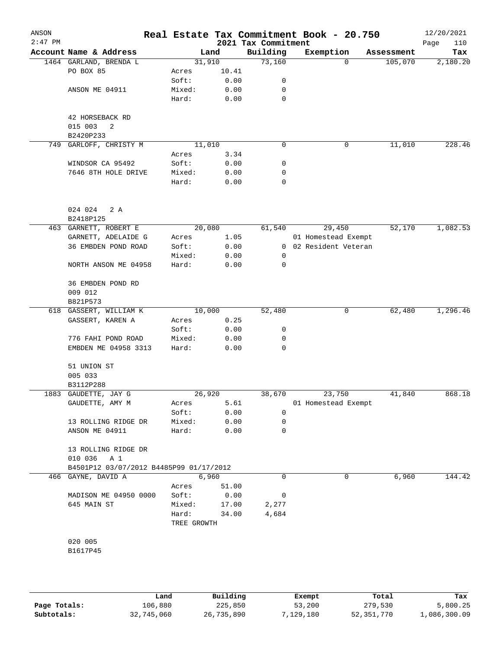| ANSON<br>$2:47$ PM |                                         |             |        | 2021 Tax Commitment | Real Estate Tax Commitment Book - 20.750 |            | 12/20/2021<br>110<br>Page |
|--------------------|-----------------------------------------|-------------|--------|---------------------|------------------------------------------|------------|---------------------------|
|                    | Account Name & Address                  |             | Land   | Building            | Exemption                                | Assessment | Tax                       |
|                    | 1464 GARLAND, BRENDA L                  |             | 31,910 | 73,160              | 0                                        | 105,070    | 2,180.20                  |
|                    | PO BOX 85                               | Acres       | 10.41  |                     |                                          |            |                           |
|                    |                                         | Soft:       | 0.00   | 0                   |                                          |            |                           |
|                    | ANSON ME 04911                          | Mixed:      | 0.00   | 0                   |                                          |            |                           |
|                    |                                         | Hard:       | 0.00   | 0                   |                                          |            |                           |
|                    | 42 HORSEBACK RD                         |             |        |                     |                                          |            |                           |
|                    | 015 003<br>2                            |             |        |                     |                                          |            |                           |
|                    | B2420P233                               |             |        |                     |                                          |            |                           |
| 749                | GARLOFF, CHRISTY M                      |             | 11,010 | 0                   | 0                                        | 11,010     | 228.46                    |
|                    |                                         | Acres       | 3.34   |                     |                                          |            |                           |
|                    | WINDSOR CA 95492                        | Soft:       | 0.00   | 0                   |                                          |            |                           |
|                    | 7646 8TH HOLE DRIVE                     | Mixed:      | 0.00   | 0                   |                                          |            |                           |
|                    |                                         | Hard:       | 0.00   | 0                   |                                          |            |                           |
|                    |                                         |             |        |                     |                                          |            |                           |
|                    |                                         |             |        |                     |                                          |            |                           |
|                    | 024 024<br>2 A                          |             |        |                     |                                          |            |                           |
|                    | B2418P125                               |             |        |                     |                                          |            |                           |
|                    | 463 GARNETT, ROBERT E                   |             | 20,080 | 61,540              | 29,450                                   | 52,170     | 1,082.53                  |
|                    | GARNETT, ADELAIDE G                     | Acres       | 1.05   |                     | 01 Homestead Exempt                      |            |                           |
|                    | 36 EMBDEN POND ROAD                     | Soft:       | 0.00   |                     | 0 02 Resident Veteran                    |            |                           |
|                    |                                         | Mixed:      | 0.00   | 0                   |                                          |            |                           |
|                    | NORTH ANSON ME 04958                    | Hard:       | 0.00   | 0                   |                                          |            |                           |
|                    | 36 EMBDEN POND RD                       |             |        |                     |                                          |            |                           |
|                    | 009 012                                 |             |        |                     |                                          |            |                           |
|                    | B821P573                                |             |        |                     |                                          |            |                           |
|                    | 618 GASSERT, WILLIAM K                  |             | 10,000 | 52,480              | 0                                        | 62,480     | 1,296.46                  |
|                    | GASSERT, KAREN A                        | Acres       | 0.25   |                     |                                          |            |                           |
|                    |                                         | Soft:       | 0.00   | 0                   |                                          |            |                           |
|                    | 776 FAHI POND ROAD                      | Mixed:      | 0.00   | 0                   |                                          |            |                           |
|                    | EMBDEN ME 04958 3313                    | Hard:       | 0.00   | 0                   |                                          |            |                           |
|                    |                                         |             |        |                     |                                          |            |                           |
|                    | 51 UNION ST                             |             |        |                     |                                          |            |                           |
|                    | 005 033                                 |             |        |                     |                                          |            |                           |
|                    | B3112P288<br>1883 GAUDETTE, JAY G       |             | 26,920 | 38,670              | 23,750                                   | 41,840     | 868.18                    |
|                    | GAUDETTE, AMY M                         | Acres       | 5.61   |                     | 01 Homestead Exempt                      |            |                           |
|                    |                                         | Soft:       | 0.00   | 0                   |                                          |            |                           |
|                    | 13 ROLLING RIDGE DR                     | Mixed:      | 0.00   | 0                   |                                          |            |                           |
|                    | ANSON ME 04911                          | Hard:       | 0.00   | 0                   |                                          |            |                           |
|                    |                                         |             |        |                     |                                          |            |                           |
|                    | 13 ROLLING RIDGE DR                     |             |        |                     |                                          |            |                           |
|                    | 010 036<br>A 1                          |             |        |                     |                                          |            |                           |
|                    | B4501P12 03/07/2012 B4485P99 01/17/2012 |             |        |                     |                                          |            |                           |
| 466                | GAYNE, DAVID A                          |             | 6,960  | 0                   | 0                                        | 6,960      | 144.42                    |
|                    |                                         | Acres       | 51.00  |                     |                                          |            |                           |
|                    | MADISON ME 04950 0000                   | Soft:       | 0.00   | 0                   |                                          |            |                           |
|                    | 645 MAIN ST                             | Mixed:      | 17.00  | 2,277               |                                          |            |                           |
|                    |                                         | Hard:       | 34.00  | 4,684               |                                          |            |                           |
|                    |                                         | TREE GROWTH |        |                     |                                          |            |                           |
|                    |                                         |             |        |                     |                                          |            |                           |
|                    | 020 005                                 |             |        |                     |                                          |            |                           |
|                    | B1617P45                                |             |        |                     |                                          |            |                           |
|                    |                                         |             |        |                     |                                          |            |                           |
|                    |                                         |             |        |                     |                                          |            |                           |

|              | Land       | Building   | Exempt    | Total      | Tax          |
|--------------|------------|------------|-----------|------------|--------------|
| Page Totals: | 106,880    | 225,850    | 53,200    | 279,530    | 5,800.25     |
| Subtotals:   | 32,745,060 | 26,735,890 | 7,129,180 | 52,351,770 | L,086,300.09 |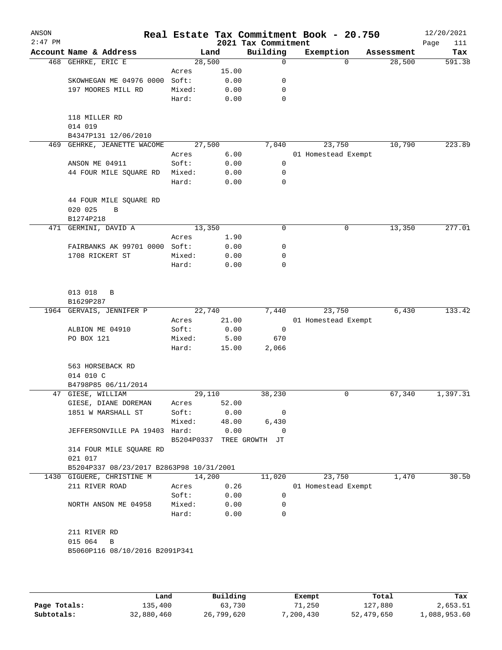| ANSON<br>$2:47$ PM |                                                  |        |       | 2021 Tax Commitment       | Real Estate Tax Commitment Book - 20.750 |            | 12/20/2021<br>Page<br>111 |
|--------------------|--------------------------------------------------|--------|-------|---------------------------|------------------------------------------|------------|---------------------------|
|                    | Account Name & Address                           | Land   |       | Building                  | Exemption                                | Assessment | Tax                       |
|                    | 468 GEHRKE, ERIC E                               | 28,500 |       | 0                         | $\Omega$                                 | 28,500     | 591.38                    |
|                    |                                                  | Acres  | 15.00 |                           |                                          |            |                           |
|                    | SKOWHEGAN ME 04976 0000                          | Soft:  | 0.00  | 0                         |                                          |            |                           |
|                    | 197 MOORES MILL RD                               | Mixed: | 0.00  | 0                         |                                          |            |                           |
|                    |                                                  | Hard:  | 0.00  | 0                         |                                          |            |                           |
|                    | 118 MILLER RD<br>014 019<br>B4347P131 12/06/2010 |        |       |                           |                                          |            |                           |
| 469                | GEHRKE, JEANETTE WACOME                          | 27,500 |       | 7,040                     | 23,750                                   | 10,790     | 223.89                    |
|                    |                                                  | Acres  | 6.00  |                           | 01 Homestead Exempt                      |            |                           |
|                    | ANSON ME 04911                                   | Soft:  | 0.00  | 0                         |                                          |            |                           |
|                    | 44 FOUR MILE SQUARE RD                           | Mixed: | 0.00  | 0                         |                                          |            |                           |
|                    |                                                  | Hard:  | 0.00  | 0                         |                                          |            |                           |
|                    | 44 FOUR MILE SQUARE RD<br>020 025<br>B           |        |       |                           |                                          |            |                           |
|                    | B1274P218                                        |        |       |                           |                                          |            |                           |
| 471                | GERMINI, DAVID A                                 | 13,350 |       | 0                         | 0                                        | 13,350     | 277.01                    |
|                    |                                                  | Acres  | 1.90  |                           |                                          |            |                           |
|                    | FAIRBANKS AK 99701 0000                          | Soft:  | 0.00  | 0                         |                                          |            |                           |
|                    | 1708 RICKERT ST                                  | Mixed: | 0.00  | 0                         |                                          |            |                           |
|                    |                                                  | Hard:  | 0.00  | 0                         |                                          |            |                           |
|                    | 013 018<br>B<br>B1629P287                        |        |       |                           |                                          |            |                           |
|                    | 1964 GERVAIS, JENNIFER P                         | 22,740 |       | 7,440                     | 23,750                                   | 6,430      | 133.42                    |
|                    |                                                  | Acres  | 21.00 |                           | 01 Homestead Exempt                      |            |                           |
|                    | ALBION ME 04910                                  | Soft:  | 0.00  | $\mathbf 0$               |                                          |            |                           |
|                    | PO BOX 121                                       | Mixed: | 5.00  | 670                       |                                          |            |                           |
|                    |                                                  | Hard:  | 15.00 | 2,066                     |                                          |            |                           |
|                    | 563 HORSEBACK RD<br>014 010 C                    |        |       |                           |                                          |            |                           |
|                    | B4798P85 06/11/2014                              |        |       |                           |                                          |            |                           |
|                    | 47 GIESE, WILLIAM                                | 29,110 |       | 38,230                    | 0                                        | 67,340     | 1,397.31                  |
|                    | GIESE, DIANE DOREMAN                             | Acres  | 52.00 |                           |                                          |            |                           |
|                    | 1851 W MARSHALL ST                               | Soft:  | 0.00  | 0                         |                                          |            |                           |
|                    |                                                  | Mixed: | 48.00 | 6,430                     |                                          |            |                           |
|                    | JEFFERSONVILLE PA 19403 Hard:                    |        | 0.00  | $\mathbf 0$               |                                          |            |                           |
|                    | 314 FOUR MILE SQUARE RD                          |        |       | B5204P0337 TREE GROWTH JT |                                          |            |                           |
|                    | 021 017                                          |        |       |                           |                                          |            |                           |
|                    | B5204P337 08/23/2017 B2863P98 10/31/2001         |        |       |                           |                                          |            |                           |
|                    | 1430 GIGUERE, CHRISTINE M                        | 14,200 |       | 11,020                    | 23,750                                   | 1,470      | 30.50                     |
|                    | 211 RIVER ROAD                                   | Acres  | 0.26  |                           | 01 Homestead Exempt                      |            |                           |
|                    |                                                  | Soft:  | 0.00  | 0                         |                                          |            |                           |
|                    | NORTH ANSON ME 04958                             | Mixed: | 0.00  | 0                         |                                          |            |                           |
|                    |                                                  | Hard:  | 0.00  | 0                         |                                          |            |                           |
|                    | 211 RIVER RD                                     |        |       |                           |                                          |            |                           |
|                    | 015 064 B<br>B5060P116 08/10/2016 B2091P341      |        |       |                           |                                          |            |                           |
|                    |                                                  |        |       |                           |                                          |            |                           |
|                    |                                                  |        |       |                           |                                          |            |                           |

|              | Land       | Building   | Exempt    | Total      | Tax          |
|--------------|------------|------------|-----------|------------|--------------|
| Page Totals: | 135,400    | 63,730     | 71,250    | 127,880    | 2,653.51     |
| Subtotals:   | 32,880,460 | 26,799,620 | 7,200,430 | 52,479,650 | 1,088,953.60 |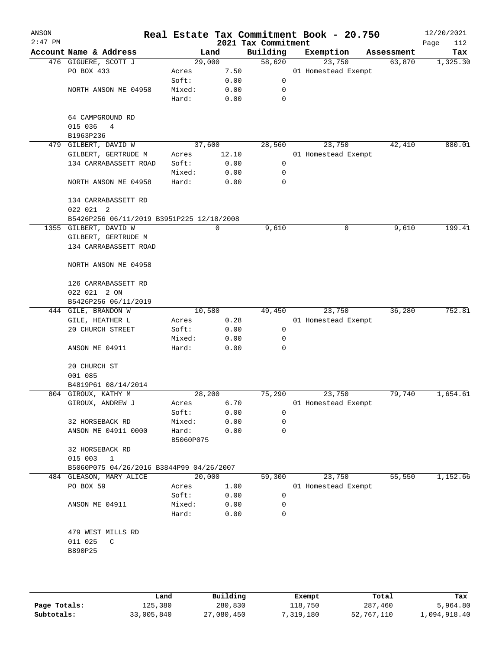| ANSON<br>$2:47$ PM |                                           |           |       | 2021 Tax Commitment | Real Estate Tax Commitment Book - 20.750 |            | 12/20/2021<br>Page<br>112 |
|--------------------|-------------------------------------------|-----------|-------|---------------------|------------------------------------------|------------|---------------------------|
|                    | Account Name & Address                    |           | Land  | Building            | Exemption                                | Assessment | Tax                       |
|                    | 476 GIGUERE, SCOTT J                      | 29,000    |       | 58,620              | 23,750                                   | 63,870     | 1,325.30                  |
|                    | PO BOX 433                                | Acres     | 7.50  |                     | 01 Homestead Exempt                      |            |                           |
|                    |                                           | Soft:     | 0.00  | 0                   |                                          |            |                           |
|                    | NORTH ANSON ME 04958                      | Mixed:    | 0.00  | 0                   |                                          |            |                           |
|                    |                                           | Hard:     | 0.00  | 0                   |                                          |            |                           |
|                    | 64 CAMPGROUND RD                          |           |       |                     |                                          |            |                           |
|                    | 015 036<br>4                              |           |       |                     |                                          |            |                           |
|                    | B1963P236                                 |           |       |                     |                                          |            |                           |
|                    | 479 GILBERT, DAVID W                      | 37,600    |       | 28,560              | 23,750                                   | 42,410     | 880.01                    |
|                    | GILBERT, GERTRUDE M                       | Acres     | 12.10 |                     | 01 Homestead Exempt                      |            |                           |
|                    | 134 CARRABASSETT ROAD                     | Soft:     | 0.00  | 0                   |                                          |            |                           |
|                    |                                           | Mixed:    | 0.00  | 0                   |                                          |            |                           |
|                    | NORTH ANSON ME 04958                      | Hard:     | 0.00  | 0                   |                                          |            |                           |
|                    | 134 CARRABASSETT RD                       |           |       |                     |                                          |            |                           |
|                    | 022 021 2                                 |           |       |                     |                                          |            |                           |
|                    | B5426P256 06/11/2019 B3951P225 12/18/2008 |           |       |                     |                                          |            |                           |
|                    | 1355 GILBERT, DAVID W                     |           | 0     | 9,610               | 0                                        | 9,610      | 199.41                    |
|                    | GILBERT, GERTRUDE M                       |           |       |                     |                                          |            |                           |
|                    | 134 CARRABASSETT ROAD                     |           |       |                     |                                          |            |                           |
|                    | NORTH ANSON ME 04958                      |           |       |                     |                                          |            |                           |
|                    | 126 CARRABASSETT RD                       |           |       |                     |                                          |            |                           |
|                    | 022 021 2 ON                              |           |       |                     |                                          |            |                           |
|                    | B5426P256 06/11/2019                      |           |       |                     |                                          |            |                           |
|                    | 444 GILE, BRANDON W                       | 10,580    |       | 49,450              | 23,750                                   | 36,280     | 752.81                    |
|                    | GILE, HEATHER L                           | Acres     | 0.28  |                     | 01 Homestead Exempt                      |            |                           |
|                    | 20 CHURCH STREET                          | Soft:     | 0.00  | 0                   |                                          |            |                           |
|                    |                                           | Mixed:    | 0.00  | 0                   |                                          |            |                           |
|                    | ANSON ME 04911                            | Hard:     | 0.00  | 0                   |                                          |            |                           |
|                    | 20 CHURCH ST                              |           |       |                     |                                          |            |                           |
|                    | 001 085                                   |           |       |                     |                                          |            |                           |
|                    | B4819P61 08/14/2014                       |           |       |                     |                                          |            |                           |
|                    | 804 GIROUX, KATHY M                       | 28,200    |       | 75,290              | 23,750                                   | 79,740     | 1,654.61                  |
|                    | GIROUX, ANDREW J                          | Acres     | 6.70  |                     | 01 Homestead Exempt                      |            |                           |
|                    |                                           | Soft:     | 0.00  | 0                   |                                          |            |                           |
|                    | 32 HORSEBACK RD                           | Mixed:    | 0.00  | 0                   |                                          |            |                           |
|                    | ANSON ME 04911 0000                       | Hard:     | 0.00  | 0                   |                                          |            |                           |
|                    |                                           | B5060P075 |       |                     |                                          |            |                           |
|                    | 32 HORSEBACK RD                           |           |       |                     |                                          |            |                           |
|                    | 015 003<br>$\mathbf{1}$                   |           |       |                     |                                          |            |                           |
|                    | B5060P075 04/26/2016 B3844P99 04/26/2007  |           |       |                     |                                          |            |                           |
| 484                | GLEASON, MARY ALICE                       | 20,000    |       | 59,300              | 23,750                                   | 55,550     | 1,152.66                  |
|                    | PO BOX 59                                 | Acres     | 1.00  |                     | 01 Homestead Exempt                      |            |                           |
|                    |                                           | Soft:     | 0.00  | 0                   |                                          |            |                           |
|                    | ANSON ME 04911                            | Mixed:    | 0.00  | 0                   |                                          |            |                           |
|                    |                                           | Hard:     | 0.00  | 0                   |                                          |            |                           |
|                    | 479 WEST MILLS RD                         |           |       |                     |                                          |            |                           |
|                    | 011 025<br>C                              |           |       |                     |                                          |            |                           |
|                    | B890P25                                   |           |       |                     |                                          |            |                           |
|                    |                                           |           |       |                     |                                          |            |                           |
|                    |                                           |           |       |                     |                                          |            |                           |
|                    |                                           |           |       |                     |                                          |            |                           |

|              | Land       | Building   | Exempt    | Total      | Tax          |
|--------------|------------|------------|-----------|------------|--------------|
|              |            |            |           |            |              |
| Page Totals: | 125,380    | 280,830    | 118,750   | 287,460    | 5,964.80     |
| Subtotals:   | 33,005,840 | 27,080,450 | 7,319,180 | 52,767,110 | 1,094,918.40 |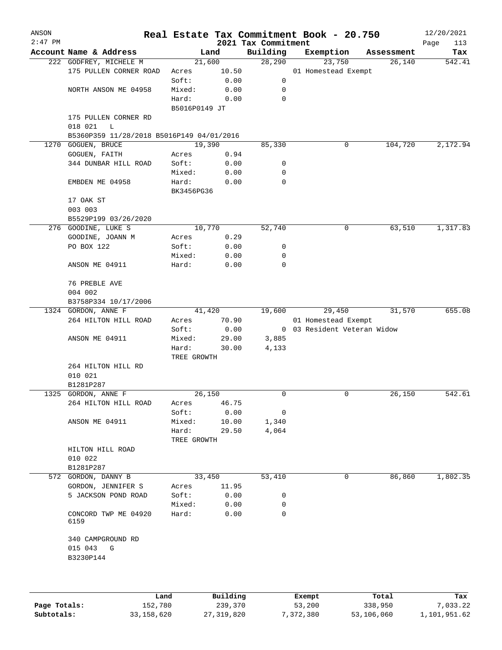| ANSON     |                                           |                |                 |                                 | Real Estate Tax Commitment Book - 20.750 |                      | 12/20/2021         |
|-----------|-------------------------------------------|----------------|-----------------|---------------------------------|------------------------------------------|----------------------|--------------------|
| $2:47$ PM | Account Name & Address                    |                | Land            | 2021 Tax Commitment<br>Building |                                          |                      | Page<br>113<br>Tax |
|           | 222 GODFREY, MICHELE M                    |                | 21,600          | 28,290                          | Exemption<br>23,750                      | Assessment<br>26,140 | 542.41             |
|           | 175 PULLEN CORNER ROAD                    | Acres          | 10.50           |                                 | 01 Homestead Exempt                      |                      |                    |
|           |                                           | Soft:          | 0.00            | 0                               |                                          |                      |                    |
|           | NORTH ANSON ME 04958                      | Mixed:         | 0.00            | 0                               |                                          |                      |                    |
|           |                                           | Hard:          | 0.00            | $\mathbf 0$                     |                                          |                      |                    |
|           |                                           | B5016P0149 JT  |                 |                                 |                                          |                      |                    |
|           | 175 PULLEN CORNER RD                      |                |                 |                                 |                                          |                      |                    |
|           | 018 021<br>L                              |                |                 |                                 |                                          |                      |                    |
|           | B5360P359 11/28/2018 B5016P149 04/01/2016 |                |                 |                                 |                                          |                      |                    |
| 1270      | GOGUEN, BRUCE                             |                | 19,390          | 85,330                          | 0                                        | 104,720              | 2,172.94           |
|           | GOGUEN, FAITH                             | Acres          | 0.94            |                                 |                                          |                      |                    |
|           | 344 DUNBAR HILL ROAD                      | Soft:          | 0.00            | 0                               |                                          |                      |                    |
|           |                                           | Mixed:         | 0.00            | 0                               |                                          |                      |                    |
|           | EMBDEN ME 04958                           | Hard:          | 0.00            | 0                               |                                          |                      |                    |
|           |                                           | BK3456PG36     |                 |                                 |                                          |                      |                    |
|           | 17 OAK ST                                 |                |                 |                                 |                                          |                      |                    |
|           | 003 003                                   |                |                 |                                 |                                          |                      |                    |
|           | B5529P199 03/26/2020                      |                |                 |                                 |                                          |                      |                    |
|           | 276 GOODINE, LUKE S                       |                | 10,770          | 52,740                          | 0                                        | 63,510               | 1,317.83           |
|           | GOODINE, JOANN M                          | Acres          | 0.29            |                                 |                                          |                      |                    |
|           | PO BOX 122                                | Soft:          | 0.00            | 0                               |                                          |                      |                    |
|           |                                           | Mixed:         | 0.00            | 0<br>0                          |                                          |                      |                    |
|           | ANSON ME 04911                            | Hard:          | 0.00            |                                 |                                          |                      |                    |
|           | 76 PREBLE AVE                             |                |                 |                                 |                                          |                      |                    |
|           | 004 002                                   |                |                 |                                 |                                          |                      |                    |
|           | B3758P334 10/17/2006                      |                |                 |                                 |                                          |                      |                    |
|           | 1324 GORDON, ANNE F                       |                | 41,420          | 19,600                          | 29,450                                   | 31,570               | 655.08             |
|           | 264 HILTON HILL ROAD                      | Acres          | 70.90           |                                 | 01 Homestead Exempt                      |                      |                    |
|           |                                           | Soft:          | 0.00            |                                 | 0 03 Resident Veteran Widow              |                      |                    |
|           | ANSON ME 04911                            | Mixed:         | 29.00           | 3,885                           |                                          |                      |                    |
|           |                                           | Hard:          | 30.00           | 4,133                           |                                          |                      |                    |
|           |                                           | TREE GROWTH    |                 |                                 |                                          |                      |                    |
|           | 264 HILTON HILL RD                        |                |                 |                                 |                                          |                      |                    |
|           | 010 021                                   |                |                 |                                 |                                          |                      |                    |
|           | B1281P287                                 |                |                 |                                 |                                          |                      |                    |
|           | 1325 GORDON, ANNE F                       |                | 26,150          | 0                               | 0                                        | 26,150               | 542.61             |
|           | 264 HILTON HILL ROAD                      | Acres          | 46.75           |                                 |                                          |                      |                    |
|           |                                           | Soft:          | 0.00            | 0                               |                                          |                      |                    |
|           | ANSON ME 04911                            | Mixed:         | 10.00           | 1,340                           |                                          |                      |                    |
|           |                                           | Hard:          | 29.50           | 4,064                           |                                          |                      |                    |
|           |                                           | TREE GROWTH    |                 |                                 |                                          |                      |                    |
|           | HILTON HILL ROAD                          |                |                 |                                 |                                          |                      |                    |
|           | 010 022                                   |                |                 |                                 |                                          |                      |                    |
|           | B1281P287                                 |                |                 |                                 | 0                                        | 86,860               |                    |
|           | 572 GORDON, DANNY B<br>GORDON, JENNIFER S |                | 33,450<br>11.95 | 53,410                          |                                          |                      | 1,802.35           |
|           | 5 JACKSON POND ROAD                       | Acres<br>Soft: | 0.00            | 0                               |                                          |                      |                    |
|           |                                           | Mixed:         | 0.00            | 0                               |                                          |                      |                    |
|           | CONCORD TWP ME 04920<br>6159              | Hard:          | 0.00            | 0                               |                                          |                      |                    |
|           |                                           |                |                 |                                 |                                          |                      |                    |
|           | 340 CAMPGROUND RD                         |                |                 |                                 |                                          |                      |                    |
|           | 015 043<br>G                              |                |                 |                                 |                                          |                      |                    |
|           | B3230P144                                 |                |                 |                                 |                                          |                      |                    |
|           |                                           |                |                 |                                 |                                          |                      |                    |
|           |                                           |                |                 |                                 |                                          |                      |                    |
|           |                                           | Land.          | <b>Building</b> |                                 | $F$ vemnt                                | $T$ otal             | m-a                |

|              | Land       | Building   | Exempt    | Total      | Tax          |
|--------------|------------|------------|-----------|------------|--------------|
| Page Totals: | 152,780    | 239,370    | 53,200    | 338,950    | 7,033.22     |
| Subtotals:   | 33,158,620 | 27,319,820 | 7,372,380 | 53,106,060 | 1,101,951.62 |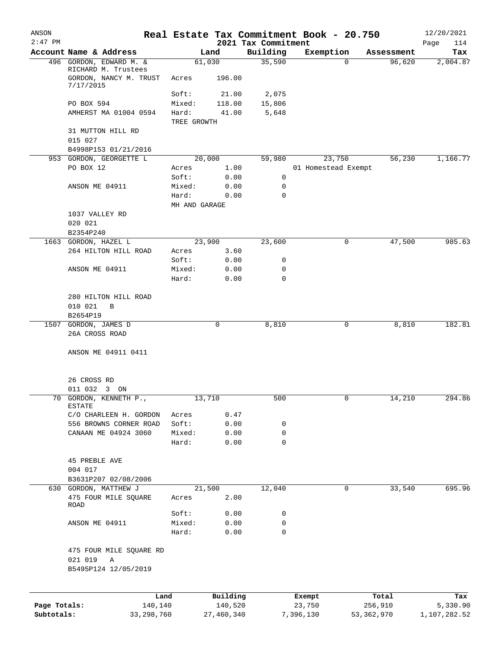| ANSON        |                                                            |             |                |                                 | Real Estate Tax Commitment Book - 20.750 |                    | 12/20/2021         |
|--------------|------------------------------------------------------------|-------------|----------------|---------------------------------|------------------------------------------|--------------------|--------------------|
| $2:47$ PM    | Account Name & Address                                     |             | Land           | 2021 Tax Commitment<br>Building | Exemption                                | Assessment         | Page<br>114<br>Tax |
|              | 496 GORDON, EDWARD M. &                                    |             | 61,030         | 35,590                          |                                          | 96,620<br>$\Omega$ | 2,004.87           |
|              | RICHARD M. Trustees<br>GORDON, NANCY M. TRUST<br>7/17/2015 | Acres       | 196.00         |                                 |                                          |                    |                    |
|              |                                                            | Soft:       | 21.00          | 2,075                           |                                          |                    |                    |
|              | PO BOX 594                                                 | Mixed:      | 118.00         | 15,806                          |                                          |                    |                    |
|              | AMHERST MA 01004 0594                                      | Hard:       | 41.00          | 5,648                           |                                          |                    |                    |
|              |                                                            | TREE GROWTH |                |                                 |                                          |                    |                    |
|              | 31 MUTTON HILL RD                                          |             |                |                                 |                                          |                    |                    |
|              | 015 027                                                    |             |                |                                 |                                          |                    |                    |
|              | B4998P153 01/21/2016<br>953 GORDON, GEORGETTE L            |             | 20,000         | 59,980                          | 23,750                                   | 56,230             | 1,166.77           |
|              | PO BOX 12                                                  | Acres       | 1.00           |                                 | 01 Homestead Exempt                      |                    |                    |
|              |                                                            | Soft:       | 0.00           | 0                               |                                          |                    |                    |
|              | ANSON ME 04911                                             | Mixed:      | 0.00           | 0                               |                                          |                    |                    |
|              |                                                            | Hard:       | 0.00           | $\mathbf 0$                     |                                          |                    |                    |
|              |                                                            |             | MH AND GARAGE  |                                 |                                          |                    |                    |
|              | 1037 VALLEY RD                                             |             |                |                                 |                                          |                    |                    |
|              | 020 021                                                    |             |                |                                 |                                          |                    |                    |
|              | B2354P240                                                  |             |                |                                 |                                          |                    |                    |
|              | 1663 GORDON, HAZEL L<br>264 HILTON HILL ROAD               | Acres       | 23,900<br>3.60 | 23,600                          |                                          | 47,500<br>0        | 985.63             |
|              |                                                            | Soft:       | 0.00           | 0                               |                                          |                    |                    |
|              | ANSON ME 04911                                             | Mixed:      | 0.00           | 0                               |                                          |                    |                    |
|              |                                                            | Hard:       | 0.00           | $\mathbf 0$                     |                                          |                    |                    |
|              |                                                            |             |                |                                 |                                          |                    |                    |
|              | 280 HILTON HILL ROAD                                       |             |                |                                 |                                          |                    |                    |
|              | 010 021<br>B                                               |             |                |                                 |                                          |                    |                    |
|              | B2654P19                                                   |             |                |                                 |                                          |                    |                    |
|              | 1507 GORDON, JAMES D                                       |             | 0              | 8,810                           |                                          | 8,810<br>0         | 182.81             |
|              | 26A CROSS ROAD                                             |             |                |                                 |                                          |                    |                    |
|              | ANSON ME 04911 0411                                        |             |                |                                 |                                          |                    |                    |
|              | 26 CROSS RD                                                |             |                |                                 |                                          |                    |                    |
|              | 011 032<br>3 ON                                            |             |                |                                 |                                          |                    |                    |
|              | 70 GORDON, KENNETH P.,<br><b>ESTATE</b>                    |             | 13,710         | 500                             |                                          | 14,210             | 294.86             |
|              | C/O CHARLEEN H. GORDON                                     | Acres       | 0.47           |                                 |                                          |                    |                    |
|              | 556 BROWNS CORNER ROAD                                     | Soft:       | 0.00           | 0                               |                                          |                    |                    |
|              | CANAAN ME 04924 3060                                       | Mixed:      | 0.00           | 0<br>0                          |                                          |                    |                    |
|              |                                                            | Hard:       | 0.00           |                                 |                                          |                    |                    |
|              | <b>45 PREBLE AVE</b>                                       |             |                |                                 |                                          |                    |                    |
|              | 004 017                                                    |             |                |                                 |                                          |                    |                    |
|              | B3631P207 02/08/2006                                       |             |                |                                 |                                          |                    |                    |
|              | 630 GORDON, MATTHEW J                                      |             | 21,500         | 12,040                          |                                          | 33,540<br>0        | 695.96             |
|              | 475 FOUR MILE SQUARE<br>ROAD                               | Acres       | 2.00           |                                 |                                          |                    |                    |
|              |                                                            | Soft:       | 0.00           | 0                               |                                          |                    |                    |
|              | ANSON ME 04911                                             | Mixed:      | 0.00           | 0                               |                                          |                    |                    |
|              |                                                            | Hard:       | 0.00           | 0                               |                                          |                    |                    |
|              | 475 FOUR MILE SQUARE RD                                    |             |                |                                 |                                          |                    |                    |
|              | 021 019<br>$\mathbb A$<br>B5495P124 12/05/2019             |             |                |                                 |                                          |                    |                    |
|              |                                                            | Land        | Building       |                                 | Exempt                                   | Total              | Tax                |
| Page Totals: |                                                            | 140,140     | 140,520        |                                 | 23,750                                   | 256,910            | 5,330.90           |
| Subtotals:   | 33, 298, 760                                               |             | 27,460,340     |                                 | 7,396,130                                | 53,362,970         | 1,107,282.52       |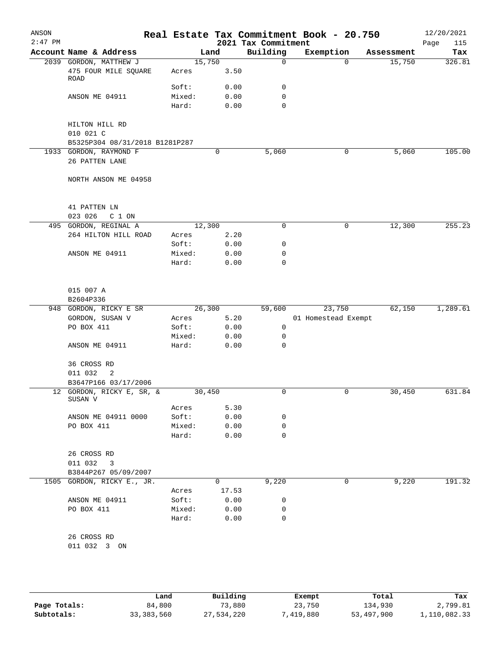| ANSON<br>$2:47$ PM |                                      |        |        | 2021 Tax Commitment | Real Estate Tax Commitment Book - 20.750 |            | 12/20/2021<br>115<br>Page |
|--------------------|--------------------------------------|--------|--------|---------------------|------------------------------------------|------------|---------------------------|
|                    | Account Name & Address               |        | Land   | Building            | Exemption                                | Assessment | Tax                       |
|                    | 2039 GORDON, MATTHEW J               |        | 15,750 | $\mathsf{O}$        | $\Omega$                                 | 15,750     | 326.81                    |
|                    | 475 FOUR MILE SQUARE<br>ROAD         | Acres  | 3.50   |                     |                                          |            |                           |
|                    |                                      | Soft:  | 0.00   | 0                   |                                          |            |                           |
|                    | ANSON ME 04911                       | Mixed: | 0.00   | 0                   |                                          |            |                           |
|                    |                                      | Hard:  | 0.00   | 0                   |                                          |            |                           |
|                    | HILTON HILL RD                       |        |        |                     |                                          |            |                           |
|                    | 010 021 C                            |        |        |                     |                                          |            |                           |
|                    | B5325P304 08/31/2018 B1281P287       |        |        |                     |                                          |            |                           |
|                    | 1933 GORDON, RAYMOND F               |        | 0      | 5,060               | 0                                        | 5,060      | 105.00                    |
|                    | 26 PATTEN LANE                       |        |        |                     |                                          |            |                           |
|                    | NORTH ANSON ME 04958                 |        |        |                     |                                          |            |                           |
|                    | 41 PATTEN LN                         |        |        |                     |                                          |            |                           |
|                    | 023 026<br>C 1 ON                    |        |        |                     |                                          |            |                           |
|                    | 495 GORDON, REGINAL A                |        | 12,300 | 0                   | 0                                        | 12,300     | 255.23                    |
|                    | 264 HILTON HILL ROAD                 | Acres  | 2.20   |                     |                                          |            |                           |
|                    |                                      | Soft:  | 0.00   | 0                   |                                          |            |                           |
|                    | ANSON ME 04911                       | Mixed: | 0.00   | 0                   |                                          |            |                           |
|                    |                                      | Hard:  | 0.00   | 0                   |                                          |            |                           |
|                    |                                      |        |        |                     |                                          |            |                           |
|                    | 015 007 A<br>B2604P336               |        |        |                     |                                          |            |                           |
|                    | 948 GORDON, RICKY E SR               |        | 26,300 | 59,600              | 23,750                                   | 62,150     | 1,289.61                  |
|                    | GORDON, SUSAN V                      | Acres  | 5.20   |                     | 01 Homestead Exempt                      |            |                           |
|                    | PO BOX 411                           | Soft:  | 0.00   | 0                   |                                          |            |                           |
|                    |                                      | Mixed: | 0.00   | 0                   |                                          |            |                           |
|                    | ANSON ME 04911                       | Hard:  | 0.00   | 0                   |                                          |            |                           |
|                    | 36 CROSS RD                          |        |        |                     |                                          |            |                           |
|                    | 011 032<br>2                         |        |        |                     |                                          |            |                           |
|                    | B3647P166 03/17/2006                 |        |        |                     |                                          |            |                           |
|                    | 12 GORDON, RICKY E, SR, &<br>SUSAN V |        | 30,450 | 0                   | $\mathbf 0$                              | 30,450     | 631.84                    |
|                    |                                      | Acres  | 5.30   |                     |                                          |            |                           |
|                    | ANSON ME 04911 0000                  | Soft:  | 0.00   | 0                   |                                          |            |                           |
|                    | PO BOX 411                           | Mixed: | 0.00   | 0                   |                                          |            |                           |
|                    |                                      | Hard:  | 0.00   | 0                   |                                          |            |                           |
|                    | 26 CROSS RD                          |        |        |                     |                                          |            |                           |
|                    | 011 032<br>$\overline{\phantom{a}}$  |        |        |                     |                                          |            |                           |
|                    | B3844P267 05/09/2007                 |        |        |                     |                                          |            |                           |
|                    | 1505 GORDON, RICKY E., JR.           |        | 0      | 9,220               | 0                                        | 9,220      | 191.32                    |
|                    |                                      | Acres  | 17.53  |                     |                                          |            |                           |
|                    | ANSON ME 04911                       | Soft:  | 0.00   | 0                   |                                          |            |                           |
|                    | PO BOX 411                           | Mixed: | 0.00   | 0                   |                                          |            |                           |
|                    |                                      | Hard:  | 0.00   | 0                   |                                          |            |                           |
|                    | 26 CROSS RD                          |        |        |                     |                                          |            |                           |
|                    | 011 032 3 ON                         |        |        |                     |                                          |            |                           |
|                    |                                      |        |        |                     |                                          |            |                           |

|              | Land       | Building   | Exempt    | Total      | Tax          |
|--------------|------------|------------|-----------|------------|--------------|
| Page Totals: | 84,800     | 73,880     | 23,750    | 134,930    | 2,799.81     |
| Subtotals:   | 33,383,560 | 27,534,220 | 7,419,880 | 53,497,900 | 1,110,082.33 |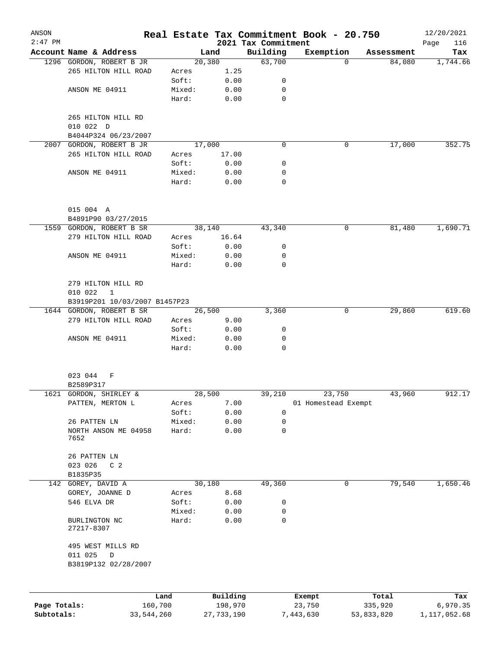| ANSON        |                                   |            |                 |              |                                 | Real Estate Tax Commitment Book - 20.750 |            | 12/20/2021         |
|--------------|-----------------------------------|------------|-----------------|--------------|---------------------------------|------------------------------------------|------------|--------------------|
| $2:47$ PM    | Account Name & Address            |            |                 | Land         | 2021 Tax Commitment<br>Building | Exemption                                | Assessment | 116<br>Page<br>Tax |
|              | 1296 GORDON, ROBERT B JR          |            |                 | 20,380       | 63,700                          | $\Omega$                                 | 84,080     | 1,744.66           |
|              | 265 HILTON HILL ROAD              |            | Acres           | 1.25         |                                 |                                          |            |                    |
|              |                                   |            | Soft:           | 0.00         | 0                               |                                          |            |                    |
|              | ANSON ME 04911                    |            | Mixed:          | 0.00         | 0                               |                                          |            |                    |
|              |                                   |            | Hard:           | 0.00         | 0                               |                                          |            |                    |
|              | 265 HILTON HILL RD                |            |                 |              |                                 |                                          |            |                    |
|              | 010 022 D                         |            |                 |              |                                 |                                          |            |                    |
|              | B4044P324 06/23/2007              |            |                 |              |                                 |                                          |            |                    |
| 2007         | GORDON, ROBERT B JR               |            |                 | 17,000       | $\mathbf 0$                     | 0                                        | 17,000     | 352.75             |
|              | 265 HILTON HILL ROAD              |            | Acres           | 17.00        |                                 |                                          |            |                    |
|              |                                   |            | Soft:           | 0.00         | 0                               |                                          |            |                    |
|              | ANSON ME 04911                    |            | Mixed:          | 0.00         | 0                               |                                          |            |                    |
|              |                                   |            | Hard:           | 0.00         | 0                               |                                          |            |                    |
|              | 015 004 A                         |            |                 |              |                                 |                                          |            |                    |
|              | B4891P90 03/27/2015               |            |                 |              |                                 |                                          |            |                    |
|              | 1559 GORDON, ROBERT B SR          |            |                 | 38,140       | 43,340                          | 0                                        | 81,480     | 1,690.71           |
|              | 279 HILTON HILL ROAD              |            | Acres           | 16.64        |                                 |                                          |            |                    |
|              |                                   |            | Soft:           | 0.00         | 0                               |                                          |            |                    |
|              | ANSON ME 04911                    |            | Mixed:          | 0.00         | 0                               |                                          |            |                    |
|              |                                   |            | Hard:           | 0.00         | $\mathbf 0$                     |                                          |            |                    |
|              | 279 HILTON HILL RD                |            |                 |              |                                 |                                          |            |                    |
|              | 010 022<br>$\mathbf{1}$           |            |                 |              |                                 |                                          |            |                    |
|              | B3919P201 10/03/2007 B1457P23     |            |                 |              |                                 |                                          |            |                    |
|              | 1644 GORDON, ROBERT B SR          |            |                 | 26,500       | 3,360                           | 0                                        | 29,860     | 619.60             |
|              | 279 HILTON HILL ROAD              |            | Acres           | 9.00         |                                 |                                          |            |                    |
|              |                                   |            | Soft:           | 0.00         | 0                               |                                          |            |                    |
|              | ANSON ME 04911                    |            | Mixed:<br>Hard: | 0.00<br>0.00 | 0<br>$\mathbf 0$                |                                          |            |                    |
|              |                                   |            |                 |              |                                 |                                          |            |                    |
|              | 023 044<br>F                      |            |                 |              |                                 |                                          |            |                    |
|              | B2589P317                         |            |                 |              |                                 |                                          |            |                    |
|              | 1621 GORDON, SHIRLEY &            |            |                 | 28,500       | 39,210                          | 23,750                                   | 43,960     | 912.17             |
|              | PATTEN, MERTON L                  |            | Acres           | 7.00         |                                 | 01 Homestead Exempt                      |            |                    |
|              |                                   |            | Soft:           | 0.00         | 0                               |                                          |            |                    |
|              | 26 PATTEN LN                      |            | Mixed:          | 0.00         | 0                               |                                          |            |                    |
|              | NORTH ANSON ME 04958<br>7652      |            | Hard:           | 0.00         | 0                               |                                          |            |                    |
|              | 26 PATTEN LN                      |            |                 |              |                                 |                                          |            |                    |
|              | 023 026<br>C <sub>2</sub>         |            |                 |              |                                 |                                          |            |                    |
|              | B1835P35                          |            |                 |              |                                 |                                          |            |                    |
| 142          | GOREY, DAVID A                    |            |                 | 30,180       | 49,360                          | 0                                        | 79,540     | 1,650.46           |
|              | GOREY, JOANNE D                   |            | Acres           | 8.68         |                                 |                                          |            |                    |
|              | 546 ELVA DR                       |            | Soft:           | 0.00         | 0                               |                                          |            |                    |
|              |                                   |            | Mixed:          | 0.00         | 0                               |                                          |            |                    |
|              | BURLINGTON NC<br>27217-8307       |            | Hard:           | 0.00         | $\mathbf 0$                     |                                          |            |                    |
|              | 495 WEST MILLS RD<br>011 025<br>D |            |                 |              |                                 |                                          |            |                    |
|              | B3819P132 02/28/2007              |            |                 |              |                                 |                                          |            |                    |
|              |                                   |            |                 |              |                                 |                                          |            |                    |
|              |                                   | Land       |                 | Building     |                                 | Exempt                                   | Total      | Tax                |
| Page Totals: |                                   | 160,700    |                 | 198,970      |                                 | 23,750                                   | 335,920    | 6,970.35           |
| Subtotals:   |                                   | 33,544,260 |                 | 27, 733, 190 |                                 | 7,443,630                                | 53,833,820 | 1,117,052.68       |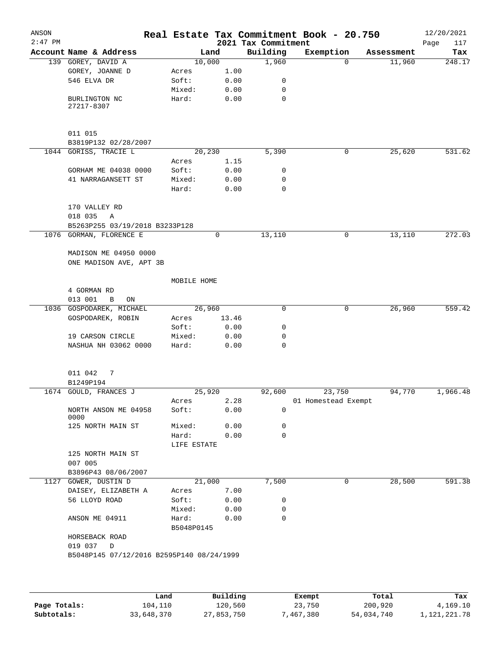| ANSON<br>$2:47$ PM |                                           |                     |        |              | Real Estate Tax Commitment Book - 20.750<br>2021 Tax Commitment |                     |          |            | 12/20/2021<br>Page<br>117 |
|--------------------|-------------------------------------------|---------------------|--------|--------------|-----------------------------------------------------------------|---------------------|----------|------------|---------------------------|
|                    | Account Name & Address                    |                     | Land   |              | Building                                                        | Exemption           |          | Assessment | Tax                       |
|                    | 139 GOREY, DAVID A                        |                     | 10,000 |              | 1,960                                                           |                     | $\Omega$ | 11,960     | 248.17                    |
|                    | GOREY, JOANNE D                           | Acres               |        | 1.00         |                                                                 |                     |          |            |                           |
|                    | 546 ELVA DR                               | Soft:               |        | 0.00         | 0                                                               |                     |          |            |                           |
|                    |                                           | Mixed:              |        | 0.00         | 0                                                               |                     |          |            |                           |
|                    | BURLINGTON NC<br>27217-8307               | Hard:               |        | 0.00         | $\mathbf 0$                                                     |                     |          |            |                           |
|                    | 011 015                                   |                     |        |              |                                                                 |                     |          |            |                           |
|                    | B3819P132 02/28/2007                      |                     |        |              |                                                                 |                     |          |            |                           |
|                    | 1044 GORISS, TRACIE L                     |                     | 20,230 |              | 5,390                                                           |                     | 0        | 25,620     | 531.62                    |
|                    |                                           | Acres               |        | 1.15         |                                                                 |                     |          |            |                           |
|                    | GORHAM ME 04038 0000                      | Soft:               |        | 0.00         | 0                                                               |                     |          |            |                           |
|                    | 41 NARRAGANSETT ST                        | Mixed:<br>Hard:     |        | 0.00<br>0.00 | 0<br>0                                                          |                     |          |            |                           |
|                    | 170 VALLEY RD                             |                     |        |              |                                                                 |                     |          |            |                           |
|                    | 018 035<br>Α                              |                     |        |              |                                                                 |                     |          |            |                           |
|                    | B5263P255 03/19/2018 B3233P128            |                     |        |              |                                                                 |                     |          |            |                           |
|                    | 1076 GORMAN, FLORENCE E                   |                     | 0      |              | 13,110                                                          |                     | 0        | 13,110     | 272.03                    |
|                    | MADISON ME 04950 0000                     |                     |        |              |                                                                 |                     |          |            |                           |
|                    | ONE MADISON AVE, APT 3B                   |                     |        |              |                                                                 |                     |          |            |                           |
|                    |                                           | MOBILE HOME         |        |              |                                                                 |                     |          |            |                           |
|                    | 4 GORMAN RD                               |                     |        |              |                                                                 |                     |          |            |                           |
|                    | 013 001<br>B<br>ON                        |                     |        |              |                                                                 |                     |          |            |                           |
|                    | 1036 GOSPODAREK, MICHAEL                  |                     | 26,960 |              | 0                                                               |                     | 0        | 26,960     | 559.42                    |
|                    | GOSPODAREK, ROBIN                         | Acres               |        | 13.46        |                                                                 |                     |          |            |                           |
|                    |                                           | Soft:               |        | 0.00         | 0                                                               |                     |          |            |                           |
|                    | 19 CARSON CIRCLE                          | Mixed:              |        | 0.00         | 0                                                               |                     |          |            |                           |
|                    | NASHUA NH 03062 0000                      | Hard:               |        | 0.00         | 0                                                               |                     |          |            |                           |
|                    | 011 042<br>7                              |                     |        |              |                                                                 |                     |          |            |                           |
|                    | B1249P194                                 |                     |        |              |                                                                 |                     |          |            |                           |
|                    | 1674 GOULD, FRANCES J                     |                     | 25,920 |              | 92,600                                                          |                     | 23,750   | 94,770     | 1,966.48                  |
|                    |                                           | Acres               |        | 2.28         |                                                                 | 01 Homestead Exempt |          |            |                           |
|                    | NORTH ANSON ME 04958<br>0000              | Soft:               |        | 0.00         | 0                                                               |                     |          |            |                           |
|                    | 125 NORTH MAIN ST                         | Mixed:              |        | 0.00         | 0                                                               |                     |          |            |                           |
|                    |                                           | Hard:               |        | 0.00         | $\Omega$                                                        |                     |          |            |                           |
|                    |                                           | LIFE ESTATE         |        |              |                                                                 |                     |          |            |                           |
|                    | 125 NORTH MAIN ST<br>007 005              |                     |        |              |                                                                 |                     |          |            |                           |
|                    | B3896P43 08/06/2007                       |                     |        |              |                                                                 |                     |          |            |                           |
|                    | 1127 GOWER, DUSTIN D                      |                     | 21,000 |              | 7,500                                                           |                     | 0        | 28,500     | 591.38                    |
|                    | DAISEY, ELIZABETH A                       | Acres               |        | 7.00         |                                                                 |                     |          |            |                           |
|                    | 56 LLOYD ROAD                             | Soft:               |        | 0.00         | 0                                                               |                     |          |            |                           |
|                    |                                           | Mixed:              |        | 0.00         | 0                                                               |                     |          |            |                           |
|                    | ANSON ME 04911                            | Hard:<br>B5048P0145 |        | 0.00         | 0                                                               |                     |          |            |                           |
|                    | HORSEBACK ROAD<br>019 037<br>$\Box$       |                     |        |              |                                                                 |                     |          |            |                           |
|                    | B5048P145 07/12/2016 B2595P140 08/24/1999 |                     |        |              |                                                                 |                     |          |            |                           |
|                    |                                           |                     |        |              |                                                                 |                     |          |            |                           |
|                    |                                           |                     |        |              |                                                                 |                     |          |            |                           |
|                    |                                           |                     |        |              |                                                                 |                     |          |            |                           |

|              | Land       | Building   | Exempt    | Total      | Tax          |
|--------------|------------|------------|-----------|------------|--------------|
| Page Totals: | 104,110    | 120,560    | 23,750    | 200,920    | 4,169.10     |
| Subtotals:   | 33,648,370 | 27,853,750 | 7,467,380 | 54,034,740 | 1,121,221.78 |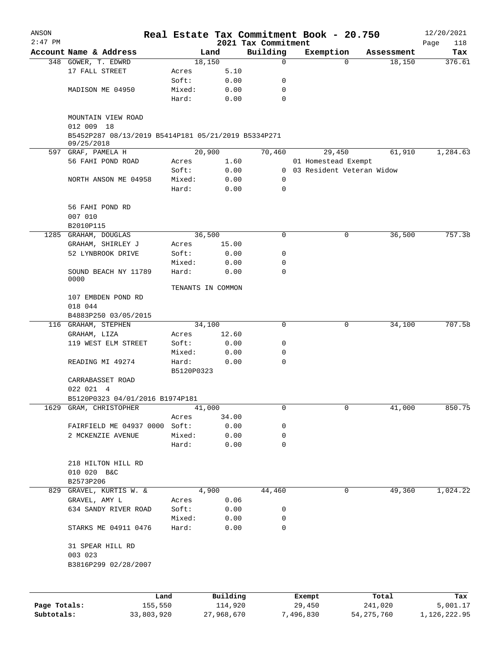| ANSON                      |                                                                                 |            |                       | Real Estate Tax Commitment Book - 20.750 |                     |                             |                         | 12/20/2021               |
|----------------------------|---------------------------------------------------------------------------------|------------|-----------------------|------------------------------------------|---------------------|-----------------------------|-------------------------|--------------------------|
| $2:47$ PM                  | Account Name & Address                                                          |            |                       | 2021 Tax Commitment                      |                     |                             |                         | Page<br>118              |
|                            |                                                                                 |            | Land                  | Building<br>0                            |                     | Exemption<br>$\Omega$       | Assessment              | Tax<br>376.61            |
|                            | 348 GOWER, T. EDWRD<br>17 FALL STREET                                           |            | 18,150                |                                          |                     |                             | 18,150                  |                          |
|                            |                                                                                 | Acres      | 5.10                  |                                          |                     |                             |                         |                          |
|                            |                                                                                 | Soft:      | 0.00                  | 0                                        |                     |                             |                         |                          |
|                            | MADISON ME 04950                                                                | Mixed:     | 0.00                  | 0                                        |                     |                             |                         |                          |
|                            |                                                                                 | Hard:      | 0.00                  | $\Omega$                                 |                     |                             |                         |                          |
|                            | MOUNTAIN VIEW ROAD                                                              |            |                       |                                          |                     |                             |                         |                          |
|                            | 012 009 18<br>B5452P287 08/13/2019 B5414P181 05/21/2019 B5334P271<br>09/25/2018 |            |                       |                                          |                     |                             |                         |                          |
|                            | 597 GRAF, PAMELA H                                                              |            | 20,900                | 70,460                                   |                     | 29,450                      | 61,910                  | 1,284.63                 |
|                            | 56 FAHI POND ROAD                                                               | Acres      | 1.60                  |                                          |                     | 01 Homestead Exempt         |                         |                          |
|                            |                                                                                 | Soft:      | 0.00                  |                                          |                     | 0 03 Resident Veteran Widow |                         |                          |
|                            | NORTH ANSON ME 04958                                                            | Mixed:     | 0.00                  | 0                                        |                     |                             |                         |                          |
|                            |                                                                                 | Hard:      | 0.00                  | $\mathbf 0$                              |                     |                             |                         |                          |
|                            | 56 FAHI POND RD                                                                 |            |                       |                                          |                     |                             |                         |                          |
|                            | 007 010                                                                         |            |                       |                                          |                     |                             |                         |                          |
|                            | B2010P115                                                                       |            |                       |                                          |                     |                             |                         |                          |
| 1285                       | GRAHAM, DOUGLAS                                                                 |            | 36,500                | 0                                        |                     | 0                           | 36,500                  | 757.38                   |
|                            | GRAHAM, SHIRLEY J                                                               | Acres      | 15.00                 |                                          |                     |                             |                         |                          |
|                            | 52 LYNBROOK DRIVE                                                               | Soft:      | 0.00                  | 0                                        |                     |                             |                         |                          |
|                            |                                                                                 | Mixed:     | 0.00                  | 0                                        |                     |                             |                         |                          |
|                            | SOUND BEACH NY 11789<br>0000                                                    | Hard:      | 0.00                  | $\Omega$                                 |                     |                             |                         |                          |
|                            |                                                                                 |            | TENANTS IN COMMON     |                                          |                     |                             |                         |                          |
|                            | 107 EMBDEN POND RD                                                              |            |                       |                                          |                     |                             |                         |                          |
|                            | 018 044                                                                         |            |                       |                                          |                     |                             |                         |                          |
|                            | B4883P250 03/05/2015                                                            |            |                       |                                          |                     |                             |                         |                          |
|                            | 116 GRAHAM, STEPHEN                                                             |            | 34,100                | 0                                        |                     | 0                           | 34,100                  | 707.58                   |
|                            | GRAHAM, LIZA                                                                    | Acres      | 12.60                 |                                          |                     |                             |                         |                          |
|                            | 119 WEST ELM STREET                                                             | Soft:      | 0.00                  | 0                                        |                     |                             |                         |                          |
|                            |                                                                                 | Mixed:     | 0.00                  | 0                                        |                     |                             |                         |                          |
|                            | READING MI 49274                                                                | Hard:      | 0.00                  | $\Omega$                                 |                     |                             |                         |                          |
|                            |                                                                                 | B5120P0323 |                       |                                          |                     |                             |                         |                          |
|                            | CARRABASSET ROAD                                                                |            |                       |                                          |                     |                             |                         |                          |
|                            | 022 021 4                                                                       |            |                       |                                          |                     |                             |                         |                          |
|                            | B5120P0323 04/01/2016 B1974P181                                                 |            |                       |                                          |                     |                             |                         |                          |
| 1629                       | GRAM, CHRISTOPHER                                                               |            | 41,000                | 0                                        |                     | 0                           | 41,000                  | 850.75                   |
|                            |                                                                                 | Acres      | 34.00                 |                                          |                     |                             |                         |                          |
|                            | FAIRFIELD ME 04937 0000                                                         | Soft:      | 0.00                  | 0                                        |                     |                             |                         |                          |
|                            | 2 MCKENZIE AVENUE                                                               | Mixed:     | 0.00                  | 0                                        |                     |                             |                         |                          |
|                            |                                                                                 | Hard:      | 0.00                  | 0                                        |                     |                             |                         |                          |
|                            |                                                                                 |            |                       |                                          |                     |                             |                         |                          |
|                            | 218 HILTON HILL RD                                                              |            |                       |                                          |                     |                             |                         |                          |
|                            | 010 020 B&C                                                                     |            |                       |                                          |                     |                             |                         |                          |
|                            | B2573P206                                                                       |            |                       |                                          |                     |                             |                         |                          |
| 829                        | GRAVEL, KURTIS W. &                                                             |            | 4,900                 | 44,460                                   |                     | 0                           | 49,360                  | 1,024.22                 |
|                            | GRAVEL, AMY L                                                                   | Acres      | 0.06                  |                                          |                     |                             |                         |                          |
|                            | 634 SANDY RIVER ROAD                                                            | Soft:      | 0.00                  | 0                                        |                     |                             |                         |                          |
|                            |                                                                                 | Mixed:     | 0.00                  | 0                                        |                     |                             |                         |                          |
|                            | STARKS ME 04911 0476                                                            | Hard:      | 0.00                  | 0                                        |                     |                             |                         |                          |
|                            |                                                                                 |            |                       |                                          |                     |                             |                         |                          |
|                            | 31 SPEAR HILL RD                                                                |            |                       |                                          |                     |                             |                         |                          |
|                            | 003 023                                                                         |            |                       |                                          |                     |                             |                         |                          |
|                            | B3816P299 02/28/2007                                                            |            |                       |                                          |                     |                             |                         |                          |
|                            |                                                                                 |            |                       |                                          |                     |                             |                         |                          |
|                            |                                                                                 | Land       | Building              |                                          | Exempt              |                             | Total                   | Tax                      |
| Page Totals:<br>Subtotals: | 33,803,920                                                                      | 155,550    | 114,920<br>27,968,670 |                                          | 29,450<br>7,496,830 |                             | 241,020<br>54, 275, 760 | 5,001.17<br>1,126,222.95 |
|                            |                                                                                 |            |                       |                                          |                     |                             |                         |                          |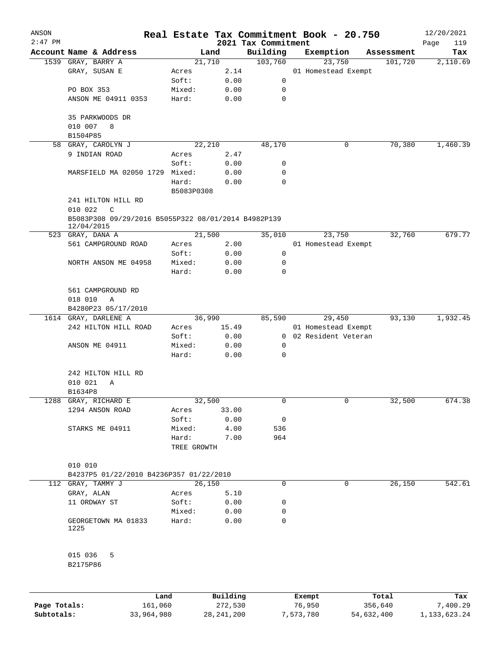| ANSON     |                                                                   |                      |          | Real Estate Tax Commitment Book - 20.750 |               |                       |            | 12/20/2021         |
|-----------|-------------------------------------------------------------------|----------------------|----------|------------------------------------------|---------------|-----------------------|------------|--------------------|
| $2:47$ PM | Account Name & Address                                            |                      | Land     | 2021 Tax Commitment<br>Building          |               | Exemption             | Assessment | 119<br>Page<br>Tax |
|           | 1539 GRAY, BARRY A                                                | 21,710               |          | 103,760                                  |               | 23,750                | 101,720    | 2,110.69           |
|           | GRAY, SUSAN E                                                     | Acres                | 2.14     |                                          |               | 01 Homestead Exempt   |            |                    |
|           |                                                                   | Soft:                | 0.00     | 0                                        |               |                       |            |                    |
|           | PO BOX 353                                                        | Mixed:               | 0.00     | 0                                        |               |                       |            |                    |
|           | ANSON ME 04911 0353                                               | Hard:                | 0.00     | 0                                        |               |                       |            |                    |
|           | 35 PARKWOODS DR                                                   |                      |          |                                          |               |                       |            |                    |
|           | 010 007<br>8<br>B1504P85                                          |                      |          |                                          |               |                       |            |                    |
| 58        | GRAY, CAROLYN J                                                   |                      | 22,210   | 48,170                                   |               | 0                     | 70,380     | 1,460.39           |
|           | 9 INDIAN ROAD                                                     | Acres                | 2.47     |                                          |               |                       |            |                    |
|           |                                                                   | Soft:                | 0.00     | 0                                        |               |                       |            |                    |
|           | MARSFIELD MA 02050 1729 Mixed:                                    |                      | 0.00     | 0                                        |               |                       |            |                    |
|           |                                                                   | Hard:                | 0.00     | 0                                        |               |                       |            |                    |
|           |                                                                   | B5083P0308           |          |                                          |               |                       |            |                    |
|           | 241 HILTON HILL RD<br>010 022<br>C                                |                      |          |                                          |               |                       |            |                    |
|           | B5083P308 09/29/2016 B5055P322 08/01/2014 B4982P139<br>12/04/2015 |                      |          |                                          |               |                       |            |                    |
|           | 523 GRAY, DANA A                                                  | 21,500               |          | 35,010                                   |               | 23,750                | 32,760     | 679.77             |
|           | 561 CAMPGROUND ROAD                                               | Acres                | 2.00     |                                          |               | 01 Homestead Exempt   |            |                    |
|           |                                                                   | Soft:                | 0.00     | 0                                        |               |                       |            |                    |
|           | NORTH ANSON ME 04958                                              | Mixed:               | 0.00     | 0                                        |               |                       |            |                    |
|           |                                                                   | Hard:                | 0.00     | 0                                        |               |                       |            |                    |
|           | 561 CAMPGROUND RD                                                 |                      |          |                                          |               |                       |            |                    |
|           | 018 010<br>Α                                                      |                      |          |                                          |               |                       |            |                    |
|           | B4280P23 05/17/2010                                               |                      |          |                                          |               |                       |            |                    |
|           | 1614 GRAY, DARLENE A                                              |                      | 36,990   | 85,590                                   |               | 29,450                | 93,130     | 1,932.45           |
|           | 242 HILTON HILL ROAD                                              | Acres                | 15.49    |                                          |               | 01 Homestead Exempt   |            |                    |
|           |                                                                   | Soft:                | 0.00     |                                          |               | 0 02 Resident Veteran |            |                    |
|           | ANSON ME 04911                                                    | Mixed:               | 0.00     | 0                                        |               |                       |            |                    |
|           |                                                                   | Hard:                | 0.00     | 0                                        |               |                       |            |                    |
|           |                                                                   |                      |          |                                          |               |                       |            |                    |
|           | 242 HILTON HILL RD                                                |                      |          |                                          |               |                       |            |                    |
|           | 010 021<br>Α                                                      |                      |          |                                          |               |                       |            |                    |
|           | B1634P8                                                           |                      |          |                                          |               |                       |            |                    |
|           | 1288 GRAY, RICHARD E                                              | 32,500               |          | 0                                        |               | 0                     | 32,500     | 674.38             |
|           | 1294 ANSON ROAD                                                   | Acres                | 33.00    |                                          |               |                       |            |                    |
|           |                                                                   | Soft:                | 0.00     | 0                                        |               |                       |            |                    |
|           | STARKS ME 04911                                                   | Mixed:               | 4.00     | 536                                      |               |                       |            |                    |
|           |                                                                   | Hard:<br>TREE GROWTH | 7.00     | 964                                      |               |                       |            |                    |
|           |                                                                   |                      |          |                                          |               |                       |            |                    |
|           | 010 010                                                           |                      |          |                                          |               |                       |            |                    |
|           | B4237P5 01/22/2010 B4236P357 01/22/2010                           |                      |          |                                          |               |                       |            |                    |
|           | 112 GRAY, TAMMY J                                                 | 26,150               |          | 0                                        |               | 0                     | 26,150     | 542.61             |
|           | GRAY, ALAN                                                        | Acres                | 5.10     |                                          |               |                       |            |                    |
|           | 11 ORDWAY ST                                                      | Soft:                | 0.00     | 0                                        |               |                       |            |                    |
|           |                                                                   | Mixed:               | 0.00     | 0                                        |               |                       |            |                    |
|           | GEORGETOWN MA 01833<br>1225                                       | Hard:                | 0.00     | 0                                        |               |                       |            |                    |
|           | 015 036<br>5                                                      |                      |          |                                          |               |                       |            |                    |
|           | B2175P86                                                          |                      |          |                                          |               |                       |            |                    |
|           |                                                                   |                      |          |                                          |               |                       |            |                    |
|           |                                                                   | Land,                | Building |                                          | <b>Exempt</b> |                       | Total      | Tax                |

|              | Land       | Building     | Exempt    | Total      | Tax          |
|--------------|------------|--------------|-----------|------------|--------------|
| Page Totals: | 161,060    | 272,530      | 76,950    | 356,640    | 7,400.29     |
| Subtotals:   | 33,964,980 | 28, 241, 200 | 7,573,780 | 54,632,400 | 1,133,623.24 |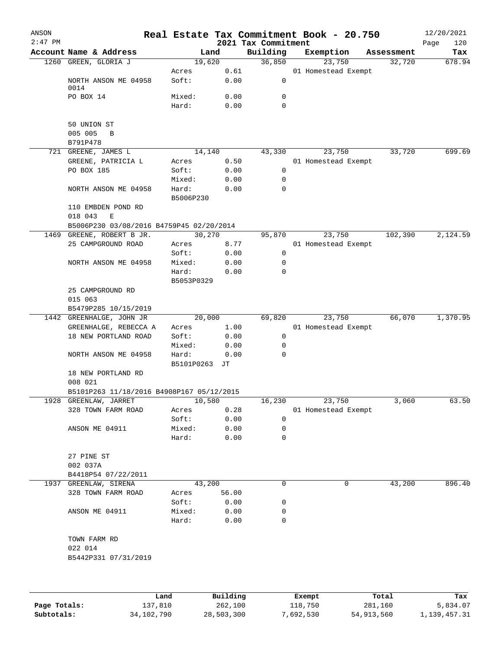| ANSON<br>$2:47$ PM |                                              |               |          | 2021 Tax Commitment | Real Estate Tax Commitment Book - 20.750 |            | 12/20/2021<br>Page<br>120 |
|--------------------|----------------------------------------------|---------------|----------|---------------------|------------------------------------------|------------|---------------------------|
|                    | Account Name & Address                       |               | Land     | Building            | Exemption                                | Assessment | Tax                       |
|                    | 1260 GREEN, GLORIA J                         |               | 19,620   | 36,850              | 23,750                                   | 32,720     | 678.94                    |
|                    |                                              | Acres         | 0.61     |                     | 01 Homestead Exempt                      |            |                           |
|                    | NORTH ANSON ME 04958                         | Soft:         | 0.00     | 0                   |                                          |            |                           |
|                    | 0014                                         |               |          |                     |                                          |            |                           |
|                    | PO BOX 14                                    | Mixed:        | 0.00     | 0                   |                                          |            |                           |
|                    |                                              | Hard:         | 0.00     | 0                   |                                          |            |                           |
|                    |                                              |               |          |                     |                                          |            |                           |
|                    | 50 UNION ST<br>005 005<br>B                  |               |          |                     |                                          |            |                           |
|                    | B791P478                                     |               |          |                     |                                          |            |                           |
|                    | 721 GREENE, JAMES L                          |               | 14,140   | 43,330              | 23,750                                   | 33,720     | 699.69                    |
|                    | GREENE, PATRICIA L                           | Acres         | 0.50     |                     | 01 Homestead Exempt                      |            |                           |
|                    | PO BOX 185                                   | Soft:         | 0.00     | 0                   |                                          |            |                           |
|                    |                                              | Mixed:        | 0.00     | 0                   |                                          |            |                           |
|                    | NORTH ANSON ME 04958                         | Hard:         | 0.00     | 0                   |                                          |            |                           |
|                    |                                              | B5006P230     |          |                     |                                          |            |                           |
|                    | 110 EMBDEN POND RD                           |               |          |                     |                                          |            |                           |
|                    | 018 043<br>E                                 |               |          |                     |                                          |            |                           |
|                    | B5006P230 03/08/2016 B4759P45 02/20/2014     |               |          |                     |                                          |            |                           |
|                    | 1469 GREENE, ROBERT B JR.                    |               | 30,270   | 95,870              | 23,750                                   | 102,390    | 2,124.59                  |
|                    | 25 CAMPGROUND ROAD                           | Acres         | 8.77     |                     | 01 Homestead Exempt                      |            |                           |
|                    |                                              | Soft:         | 0.00     | 0                   |                                          |            |                           |
|                    | NORTH ANSON ME 04958                         | Mixed:        | 0.00     | 0                   |                                          |            |                           |
|                    |                                              | Hard:         | 0.00     | 0                   |                                          |            |                           |
|                    |                                              | B5053P0329    |          |                     |                                          |            |                           |
|                    | 25 CAMPGROUND RD                             |               |          |                     |                                          |            |                           |
|                    | 015 063                                      |               |          |                     |                                          |            |                           |
|                    | B5479P285 10/15/2019                         |               |          |                     |                                          |            |                           |
|                    | 1442 GREENHALGE, JOHN JR                     |               | 20,000   | 69,820              | 23,750                                   | 66,070     | 1,370.95                  |
|                    | GREENHALGE, REBECCA A                        | Acres         | 1.00     |                     | 01 Homestead Exempt                      |            |                           |
|                    | 18 NEW PORTLAND ROAD                         | Soft:         | 0.00     | 0                   |                                          |            |                           |
|                    |                                              | Mixed:        | 0.00     | 0                   |                                          |            |                           |
|                    | NORTH ANSON ME 04958                         | Hard:         | 0.00     | 0                   |                                          |            |                           |
|                    |                                              | B5101P0263 JT |          |                     |                                          |            |                           |
|                    | 18 NEW PORTLAND RD                           |               |          |                     |                                          |            |                           |
|                    | 008 021                                      |               |          |                     |                                          |            |                           |
|                    | B5101P263 11/18/2016 B4908P167 05/12/2015    |               |          |                     |                                          |            |                           |
|                    | 1928 GREENLAW, JARRET                        |               | 10,580   | 16,230              | 23,750                                   | 3,060      | 63.50                     |
|                    | 328 TOWN FARM ROAD                           | Acres         | 0.28     |                     | 01 Homestead Exempt                      |            |                           |
|                    |                                              | Soft:         | 0.00     | 0                   |                                          |            |                           |
|                    | ANSON ME 04911                               | Mixed:        | 0.00     | 0                   |                                          |            |                           |
|                    |                                              | Hard:         | 0.00     | 0                   |                                          |            |                           |
|                    |                                              |               |          |                     |                                          |            |                           |
|                    | 27 PINE ST                                   |               |          |                     |                                          |            |                           |
|                    | 002 037A                                     |               |          |                     |                                          |            |                           |
|                    | B4418P54 07/22/2011<br>1937 GREENLAW, SIRENA |               | 43,200   | 0                   | 0                                        | 43,200     | 896.40                    |
|                    | 328 TOWN FARM ROAD                           | Acres         | 56.00    |                     |                                          |            |                           |
|                    |                                              | Soft:         | 0.00     | 0                   |                                          |            |                           |
|                    | ANSON ME 04911                               | Mixed:        | 0.00     | 0                   |                                          |            |                           |
|                    |                                              | Hard:         | 0.00     | 0                   |                                          |            |                           |
|                    |                                              |               |          |                     |                                          |            |                           |
|                    | TOWN FARM RD                                 |               |          |                     |                                          |            |                           |
|                    | 022 014                                      |               |          |                     |                                          |            |                           |
|                    | B5442P331 07/31/2019                         |               |          |                     |                                          |            |                           |
|                    |                                              |               |          |                     |                                          |            |                           |
|                    |                                              |               |          |                     |                                          |            |                           |
|                    |                                              |               |          |                     |                                          |            |                           |
|                    |                                              | Land          | Building |                     | Exempt                                   | Total      | Tax                       |

|              | ⊥and         | Building   | Exempt    | Total      | тах          |
|--------------|--------------|------------|-----------|------------|--------------|
| Page Totals: | 137,810      | 262,100    | 118,750   | 281,160    | 5,834.07     |
| Subtotals:   | 34, 102, 790 | 28,503,300 | 7,692,530 | 54,913,560 | 1,139,457.31 |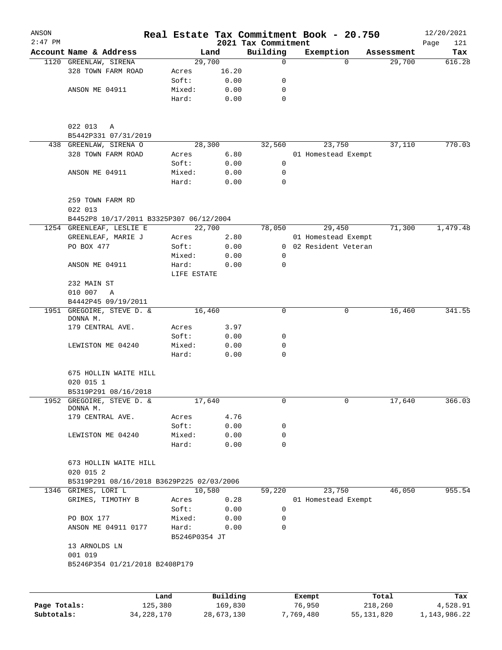| ANSON        |                                           |                        |              |                                 | Real Estate Tax Commitment Book - 20.750 |            | 12/20/2021         |
|--------------|-------------------------------------------|------------------------|--------------|---------------------------------|------------------------------------------|------------|--------------------|
| $2:47$ PM    | Account Name & Address                    |                        | Land         | 2021 Tax Commitment<br>Building | Exemption                                | Assessment | Page<br>121<br>Tax |
|              | 1120 GREENLAW, SIRENA                     |                        | 29,700       | 0                               | $\Omega$                                 | 29,700     | 616.28             |
|              | 328 TOWN FARM ROAD                        | Acres                  | 16.20        |                                 |                                          |            |                    |
|              |                                           | Soft:                  | 0.00         | 0                               |                                          |            |                    |
|              | ANSON ME 04911                            | Mixed:                 | 0.00         | 0                               |                                          |            |                    |
|              |                                           | Hard:                  | 0.00         | $\mathbf 0$                     |                                          |            |                    |
|              | 022 013<br>Α                              |                        |              |                                 |                                          |            |                    |
|              | B5442P331 07/31/2019                      |                        |              |                                 |                                          |            |                    |
|              | 438 GREENLAW, SIRENA O                    |                        | 28,300       | 32,560                          | 23,750                                   | 37,110     | 770.03             |
|              | 328 TOWN FARM ROAD                        | Acres                  | 6.80         |                                 | 01 Homestead Exempt                      |            |                    |
|              |                                           | Soft:                  | 0.00         | 0                               |                                          |            |                    |
|              | ANSON ME 04911                            | Mixed:                 | 0.00         | 0                               |                                          |            |                    |
|              |                                           | Hard:                  | 0.00         | $\Omega$                        |                                          |            |                    |
|              | 259 TOWN FARM RD<br>022 013               |                        |              |                                 |                                          |            |                    |
|              | B4452P8 10/17/2011 B3325P307 06/12/2004   |                        |              |                                 |                                          |            |                    |
|              | 1254 GREENLEAF, LESLIE E                  |                        | 22,700       | 78,050                          | 29,450                                   | 71,300     | 1,479.48           |
|              | GREENLEAF, MARIE J                        | Acres                  | 2.80         |                                 | 01 Homestead Exempt                      |            |                    |
|              | PO BOX 477                                | Soft:                  | 0.00         |                                 | 0 02 Resident Veteran                    |            |                    |
|              |                                           | Mixed:                 | 0.00         | 0                               |                                          |            |                    |
|              | ANSON ME 04911                            | Hard:<br>LIFE ESTATE   | 0.00         | $\mathbf 0$                     |                                          |            |                    |
|              | 232 MAIN ST                               |                        |              |                                 |                                          |            |                    |
|              | 010 007<br>Α                              |                        |              |                                 |                                          |            |                    |
|              | B4442P45 09/19/2011                       |                        |              |                                 |                                          |            |                    |
|              | 1951 GREGOIRE, STEVE D. &<br>DONNA M.     |                        | 16,460       | 0                               | 0                                        | 16,460     | 341.55             |
|              | 179 CENTRAL AVE.                          | Acres                  | 3.97         |                                 |                                          |            |                    |
|              |                                           | Soft:                  | 0.00         | 0                               |                                          |            |                    |
|              | LEWISTON ME 04240                         | Mixed:                 | 0.00         | 0                               |                                          |            |                    |
|              |                                           | Hard:                  | 0.00         | $\mathbf 0$                     |                                          |            |                    |
|              | 675 HOLLIN WAITE HILL                     |                        |              |                                 |                                          |            |                    |
|              | 020 015 1                                 |                        |              |                                 |                                          |            |                    |
|              | B5319P291 08/16/2018                      |                        |              |                                 |                                          |            |                    |
|              | 1952 GREGOIRE, STEVE D. &<br>DONNA M.     |                        | 17,640       | 0                               | $\mathbf{0}$                             | 17,640     | 366.03             |
|              | 179 CENTRAL AVE.                          | Acres                  | 4.76         |                                 |                                          |            |                    |
|              |                                           | Soft:                  | 0.00         | 0                               |                                          |            |                    |
|              | LEWISTON ME 04240                         | Mixed:<br>Hard:        | 0.00<br>0.00 | 0<br>$\mathbf 0$                |                                          |            |                    |
|              | 673 HOLLIN WAITE HILL<br>020 015 2        |                        |              |                                 |                                          |            |                    |
|              | B5319P291 08/16/2018 B3629P225 02/03/2006 |                        |              |                                 |                                          |            |                    |
|              | 1346 GRIMES, LORI L                       |                        | 10,580       | 59,220                          | 23,750                                   | 46,050     | 955.54             |
|              | GRIMES, TIMOTHY B                         | Acres                  | 0.28         |                                 | 01 Homestead Exempt                      |            |                    |
|              |                                           | Soft:                  | 0.00         | 0                               |                                          |            |                    |
|              | PO BOX 177                                | Mixed:                 | 0.00         | 0                               |                                          |            |                    |
|              | ANSON ME 04911 0177                       | Hard:<br>B5246P0354 JT | 0.00         | $\mathbf 0$                     |                                          |            |                    |
|              | 13 ARNOLDS LN<br>001 019                  |                        |              |                                 |                                          |            |                    |
|              | B5246P354 01/21/2018 B2408P179            |                        |              |                                 |                                          |            |                    |
|              |                                           |                        |              |                                 |                                          |            |                    |
|              |                                           | Land                   | Building     |                                 | Exempt                                   | Total      | Tax                |
| Page Totals: | 125,380                                   |                        | 169,830      |                                 | 76,950                                   | 218,260    | 4,528.91           |

**Subtotals:** 34,228,170 28,673,130 7,769,480 55,131,820 1,143,986.22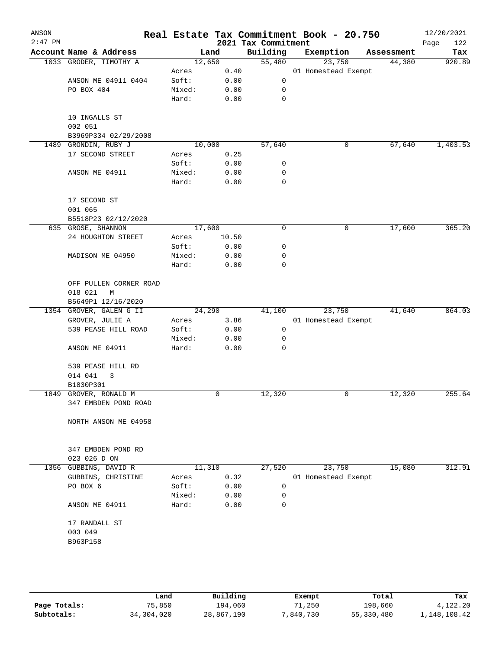| ANSON<br>$2:47$ PM |                                 |        |       | 2021 Tax Commitment | Real Estate Tax Commitment Book - 20.750 |            | 12/20/2021<br>122<br>Page |
|--------------------|---------------------------------|--------|-------|---------------------|------------------------------------------|------------|---------------------------|
|                    | Account Name & Address          |        | Land  | Building            | Exemption                                | Assessment | Tax                       |
|                    | 1033 GRODER, TIMOTHY A          | 12,650 |       | 55,480              | 23,750                                   | 44,380     | 920.89                    |
|                    |                                 | Acres  | 0.40  |                     | 01 Homestead Exempt                      |            |                           |
|                    | ANSON ME 04911 0404             | Soft:  | 0.00  | 0                   |                                          |            |                           |
|                    | PO BOX 404                      | Mixed: | 0.00  | 0                   |                                          |            |                           |
|                    |                                 | Hard:  | 0.00  | $\mathbf 0$         |                                          |            |                           |
|                    |                                 |        |       |                     |                                          |            |                           |
|                    | 10 INGALLS ST                   |        |       |                     |                                          |            |                           |
|                    | 002 051<br>B3969P334 02/29/2008 |        |       |                     |                                          |            |                           |
| 1489               | GRONDIN, RUBY J                 | 10,000 |       | 57,640              | 0                                        | 67,640     | 1,403.53                  |
|                    | 17 SECOND STREET                | Acres  | 0.25  |                     |                                          |            |                           |
|                    |                                 | Soft:  | 0.00  | 0                   |                                          |            |                           |
|                    | ANSON ME 04911                  | Mixed: | 0.00  | 0                   |                                          |            |                           |
|                    |                                 | Hard:  | 0.00  | $\mathbf 0$         |                                          |            |                           |
|                    |                                 |        |       |                     |                                          |            |                           |
|                    | 17 SECOND ST                    |        |       |                     |                                          |            |                           |
|                    | 001 065                         |        |       |                     |                                          |            |                           |
|                    | B5518P23 02/12/2020             |        |       |                     |                                          |            |                           |
|                    | 635 GROSE, SHANNON              | 17,600 |       | 0                   | 0                                        | 17,600     | 365.20                    |
|                    | 24 HOUGHTON STREET              | Acres  | 10.50 |                     |                                          |            |                           |
|                    |                                 | Soft:  | 0.00  | 0                   |                                          |            |                           |
|                    | MADISON ME 04950                | Mixed: | 0.00  | 0                   |                                          |            |                           |
|                    |                                 | Hard:  | 0.00  | 0                   |                                          |            |                           |
|                    |                                 |        |       |                     |                                          |            |                           |
|                    | OFF PULLEN CORNER ROAD          |        |       |                     |                                          |            |                           |
|                    | 018 021<br>М                    |        |       |                     |                                          |            |                           |
|                    | B5649P1 12/16/2020              |        |       |                     |                                          |            |                           |
|                    | 1354 GROVER, GALEN G II         | 24,290 |       | 41,100              | 23,750                                   | 41,640     | 864.03                    |
|                    | GROVER, JULIE A                 | Acres  | 3.86  |                     | 01 Homestead Exempt                      |            |                           |
|                    | 539 PEASE HILL ROAD             | Soft:  | 0.00  | 0                   |                                          |            |                           |
|                    |                                 | Mixed: | 0.00  | 0                   |                                          |            |                           |
|                    | ANSON ME 04911                  | Hard:  | 0.00  | 0                   |                                          |            |                           |
|                    |                                 |        |       |                     |                                          |            |                           |
|                    | 539 PEASE HILL RD               |        |       |                     |                                          |            |                           |
|                    | 014 041<br>3                    |        |       |                     |                                          |            |                           |
|                    | B1830P301                       |        |       |                     |                                          |            |                           |
|                    | 1849 GROVER, RONALD M           |        | 0     | 12,320              | 0                                        | 12,320     | 255.64                    |
|                    | 347 EMBDEN POND ROAD            |        |       |                     |                                          |            |                           |
|                    |                                 |        |       |                     |                                          |            |                           |
|                    | NORTH ANSON ME 04958            |        |       |                     |                                          |            |                           |
|                    |                                 |        |       |                     |                                          |            |                           |
|                    |                                 |        |       |                     |                                          |            |                           |
|                    | 347 EMBDEN POND RD              |        |       |                     |                                          |            |                           |
|                    | 023 026 D ON                    |        |       |                     |                                          |            |                           |
| 1356               | GUBBINS, DAVID R                | 11,310 |       | 27,520              | 23,750                                   | 15,080     | 312.91                    |
|                    | GUBBINS, CHRISTINE              | Acres  | 0.32  |                     | 01 Homestead Exempt                      |            |                           |
|                    | PO BOX 6                        | Soft:  | 0.00  | 0                   |                                          |            |                           |
|                    |                                 | Mixed: | 0.00  | 0                   |                                          |            |                           |
|                    | ANSON ME 04911                  | Hard:  | 0.00  | 0                   |                                          |            |                           |
|                    |                                 |        |       |                     |                                          |            |                           |
|                    | 17 RANDALL ST                   |        |       |                     |                                          |            |                           |
|                    | 003 049                         |        |       |                     |                                          |            |                           |
|                    | B963P158                        |        |       |                     |                                          |            |                           |
|                    |                                 |        |       |                     |                                          |            |                           |
|                    |                                 |        |       |                     |                                          |            |                           |
|                    |                                 |        |       |                     |                                          |            |                           |
|                    |                                 |        |       |                     |                                          |            |                           |

|              | Land       | Building   | Exempt    | Total      | Tax          |
|--------------|------------|------------|-----------|------------|--------------|
| Page Totals: | 75,850     | 194,060    | 71,250    | 198,660    | 4,122.20     |
| Subtotals:   | 34,304,020 | 28,867,190 | 7,840,730 | 55,330,480 | 1,148,108.42 |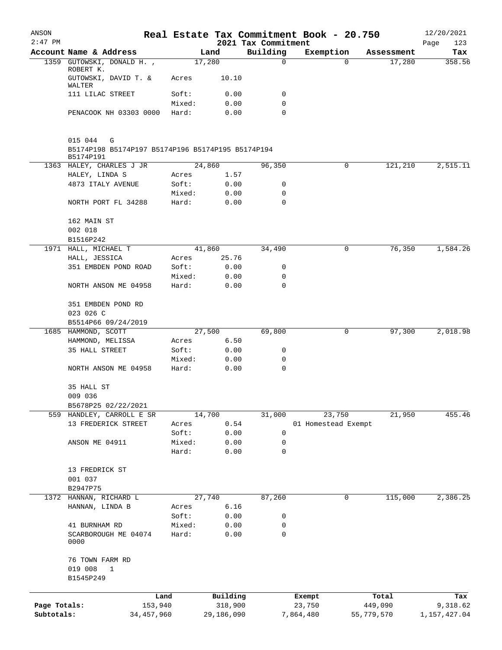| ANSON                      |                                                                                |                 |                       |                                 | Real Estate Tax Commitment Book - 20.750 |                       | 12/20/2021               |
|----------------------------|--------------------------------------------------------------------------------|-----------------|-----------------------|---------------------------------|------------------------------------------|-----------------------|--------------------------|
| $2:47$ PM                  | Account Name & Address                                                         |                 | Land                  | 2021 Tax Commitment<br>Building | Exemption                                | Assessment            | Page<br>123<br>Tax       |
| 1359                       | GUTOWSKI, DONALD H.,                                                           |                 | 17,280                | $\mathbf 0$                     | 0                                        | 17,280                | 358.56                   |
|                            | ROBERT K.<br>GUTOWSKI, DAVID T. &                                              | Acres           | 10.10                 |                                 |                                          |                       |                          |
|                            | WALTER<br>111 LILAC STREET                                                     | Soft:           | 0.00                  | 0                               |                                          |                       |                          |
|                            |                                                                                | Mixed:          | 0.00                  | 0                               |                                          |                       |                          |
|                            | PENACOOK NH 03303 0000                                                         | Hard:           | 0.00                  | $\mathbf 0$                     |                                          |                       |                          |
|                            | 015 044<br>G<br>B5174P198 B5174P197 B5174P196 B5174P195 B5174P194<br>B5174P191 |                 |                       |                                 |                                          |                       |                          |
|                            | 1363 HALEY, CHARLES J JR                                                       |                 | 24,860                | 96,350                          | 0                                        | 121,210               | 2,515.11                 |
|                            | HALEY, LINDA S                                                                 | Acres           | 1.57                  |                                 |                                          |                       |                          |
|                            | 4873 ITALY AVENUE                                                              | Soft:           | 0.00                  | 0                               |                                          |                       |                          |
|                            | NORTH PORT FL 34288                                                            | Mixed:<br>Hard: | 0.00<br>0.00          | 0<br>0                          |                                          |                       |                          |
|                            | 162 MAIN ST<br>002 018                                                         |                 |                       |                                 |                                          |                       |                          |
|                            | B1516P242                                                                      |                 |                       |                                 |                                          |                       |                          |
|                            | 1971 HALL, MICHAEL T                                                           |                 | 41,860                | 34,490                          | 0                                        | 76,350                | 1,584.26                 |
|                            | HALL, JESSICA                                                                  | Acres           | 25.76                 |                                 |                                          |                       |                          |
|                            | 351 EMBDEN POND ROAD                                                           | Soft:<br>Mixed: | 0.00                  | 0<br>0                          |                                          |                       |                          |
|                            | NORTH ANSON ME 04958                                                           | Hard:           | 0.00<br>0.00          | $\mathbf 0$                     |                                          |                       |                          |
|                            | 351 EMBDEN POND RD<br>023 026 C                                                |                 |                       |                                 |                                          |                       |                          |
|                            | B5514P66 09/24/2019                                                            |                 |                       |                                 |                                          |                       |                          |
|                            | 1685 HAMMOND, SCOTT                                                            |                 | 27,500                | 69,800                          | 0                                        | 97,300                | 2,018.98                 |
|                            | HAMMOND, MELISSA                                                               | Acres           | 6.50                  |                                 |                                          |                       |                          |
|                            | 35 HALL STREET                                                                 | Soft:           | 0.00                  | 0                               |                                          |                       |                          |
|                            | NORTH ANSON ME 04958                                                           | Mixed:<br>Hard: | 0.00<br>0.00          | 0<br>0                          |                                          |                       |                          |
|                            | 35 HALL ST                                                                     |                 |                       |                                 |                                          |                       |                          |
|                            | 009 036                                                                        |                 |                       |                                 |                                          |                       |                          |
|                            | B5678P25 02/22/2021                                                            |                 |                       |                                 |                                          |                       |                          |
|                            | 559 HANDLEY, CARROLL E SR                                                      |                 | 14,700                | 31,000                          | 23,750                                   | 21,950                | 455.46                   |
|                            | 13 FREDERICK STREET                                                            | Acres           | 0.54                  |                                 | 01 Homestead Exempt                      |                       |                          |
|                            |                                                                                | Soft:           | 0.00                  | 0                               |                                          |                       |                          |
|                            | ANSON ME 04911                                                                 | Mixed:<br>Hard: | 0.00<br>0.00          | 0<br>0                          |                                          |                       |                          |
|                            | 13 FREDRICK ST<br>001 037                                                      |                 |                       |                                 |                                          |                       |                          |
|                            | B2947P75<br>1372 HANNAN, RICHARD L                                             |                 | 27,740                | 87,260                          | 0                                        | 115,000               | 2,386.25                 |
|                            | HANNAN, LINDA B                                                                | Acres           | 6.16                  |                                 |                                          |                       |                          |
|                            |                                                                                | Soft:           | 0.00                  | 0                               |                                          |                       |                          |
|                            | 41 BURNHAM RD                                                                  | Mixed:          | 0.00                  | 0                               |                                          |                       |                          |
|                            | SCARBOROUGH ME 04074<br>0000                                                   | Hard:           | 0.00                  | $\mathbf 0$                     |                                          |                       |                          |
|                            | 76 TOWN FARM RD                                                                |                 |                       |                                 |                                          |                       |                          |
|                            | 019 008<br>$\mathbf{1}$<br>B1545P249                                           |                 |                       |                                 |                                          |                       |                          |
|                            |                                                                                |                 |                       |                                 |                                          |                       |                          |
|                            |                                                                                | Land            | Building              |                                 | Exempt                                   | Total                 | Tax                      |
| Page Totals:<br>Subtotals: | 153,940<br>34, 457, 960                                                        |                 | 318,900<br>29,186,090 |                                 | 23,750<br>7,864,480                      | 449,090<br>55,779,570 | 9,318.62<br>1,157,427.04 |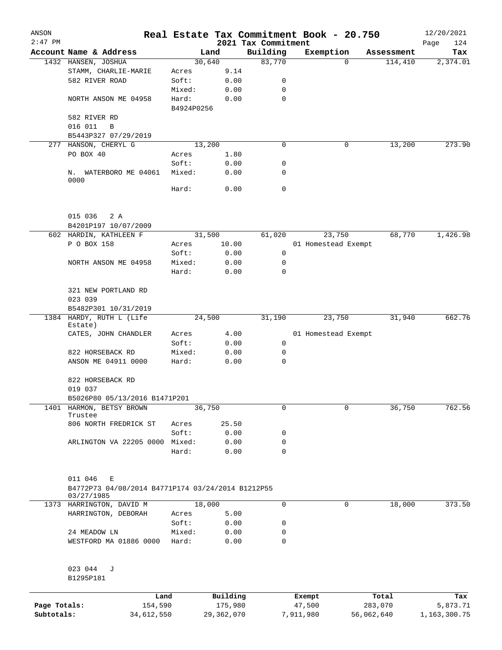| ANSON        |                                                                                 |                     |              |                     | Real Estate Tax Commitment Book - 20.750 |            | 12/20/2021      |
|--------------|---------------------------------------------------------------------------------|---------------------|--------------|---------------------|------------------------------------------|------------|-----------------|
| $2:47$ PM    |                                                                                 |                     |              | 2021 Tax Commitment |                                          |            | Page<br>124     |
|              | Account Name & Address                                                          |                     | Land         | Building            | Exemption                                | Assessment | Tax             |
|              | 1432 HANSEN, JOSHUA                                                             |                     | 30,640       | 83,770              | $\Omega$                                 | 114,410    | 2,374.01        |
|              | STAMM, CHARLIE-MARIE                                                            | Acres               | 9.14         |                     |                                          |            |                 |
|              | 582 RIVER ROAD                                                                  | Soft:               | 0.00         | 0                   |                                          |            |                 |
|              |                                                                                 | Mixed:              | 0.00         | 0<br>$\mathbf 0$    |                                          |            |                 |
|              | NORTH ANSON ME 04958                                                            | Hard:<br>B4924P0256 | 0.00         |                     |                                          |            |                 |
|              | 582 RIVER RD                                                                    |                     |              |                     |                                          |            |                 |
|              | 016 011<br>B                                                                    |                     |              |                     |                                          |            |                 |
|              | B5443P327 07/29/2019                                                            |                     |              |                     |                                          |            |                 |
|              | 277 HANSON, CHERYL G                                                            |                     | 13,200       | 0                   | 0                                        | 13,200     | 273.90          |
|              | PO BOX 40                                                                       | Acres               | 1.80         |                     |                                          |            |                 |
|              |                                                                                 | Soft:               | 0.00         | 0                   |                                          |            |                 |
|              | N. WATERBORO ME 04061<br>0000                                                   | Mixed:              | 0.00         | 0                   |                                          |            |                 |
|              |                                                                                 | Hard:               | 0.00         | 0                   |                                          |            |                 |
|              | 015 036<br>2 A                                                                  |                     |              |                     |                                          |            |                 |
|              | B4201P197 10/07/2009                                                            |                     |              |                     |                                          |            |                 |
|              | 602 HARDIN, KATHLEEN F                                                          |                     | 31,500       | 61,020              | 23,750                                   | 68,770     | 1,426.98        |
|              | P O BOX 158                                                                     | Acres               | 10.00        |                     | 01 Homestead Exempt                      |            |                 |
|              |                                                                                 | Soft:               | 0.00         | 0                   |                                          |            |                 |
|              | NORTH ANSON ME 04958                                                            | Mixed:              | 0.00         | 0                   |                                          |            |                 |
|              |                                                                                 | Hard:               | 0.00         | 0                   |                                          |            |                 |
|              | 321 NEW PORTLAND RD<br>023 039                                                  |                     |              |                     |                                          |            |                 |
|              | B5482P301 10/31/2019                                                            |                     |              |                     |                                          |            |                 |
|              | 1384 HARDY, RUTH L (Life<br>Estate)                                             |                     | 24,500       | 31,190              | 23,750                                   | 31,940     | 662.76          |
|              | CATES, JOHN CHANDLER                                                            | Acres               | 4.00         |                     | 01 Homestead Exempt                      |            |                 |
|              |                                                                                 | Soft:               | 0.00         | 0                   |                                          |            |                 |
|              | 822 HORSEBACK RD                                                                | Mixed:              | 0.00         | 0                   |                                          |            |                 |
|              | ANSON ME 04911 0000                                                             | Hard:               | 0.00         | 0                   |                                          |            |                 |
|              | 822 HORSEBACK RD<br>019 037                                                     |                     |              |                     |                                          |            |                 |
|              |                                                                                 |                     |              |                     |                                          |            |                 |
| 1401         | B5026P80 05/13/2016 B1471P201<br>HARMON, BETSY BROWN                            |                     | 36,750       | 0                   | $\mathbf 0$                              | 36,750     | 762.56          |
|              | Trustee                                                                         |                     |              |                     |                                          |            |                 |
|              | 806 NORTH FREDRICK ST                                                           | Acres               | 25.50        |                     |                                          |            |                 |
|              |                                                                                 | Soft:               | 0.00         | 0                   |                                          |            |                 |
|              | ARLINGTON VA 22205 0000                                                         | Mixed:<br>Hard:     | 0.00<br>0.00 | 0<br>0              |                                          |            |                 |
|              |                                                                                 |                     |              |                     |                                          |            |                 |
|              | 011 046<br>Ε<br>B4772P73 04/08/2014 B4771P174 03/24/2014 B1212P55<br>03/27/1985 |                     |              |                     |                                          |            |                 |
|              | 1373 HARRINGTON, DAVID M                                                        |                     | 18,000       | 0                   | 0                                        | 18,000     | 373.50          |
|              | HARRINGTON, DEBORAH                                                             | Acres               | 5.00         |                     |                                          |            |                 |
|              |                                                                                 | Soft:               | 0.00         | 0                   |                                          |            |                 |
|              | 24 MEADOW LN                                                                    | Mixed:              | 0.00         | 0                   |                                          |            |                 |
|              | WESTFORD MA 01886 0000                                                          | Hard:               | 0.00         | 0                   |                                          |            |                 |
|              | 023 044<br>J<br>B1295P181                                                       |                     |              |                     |                                          |            |                 |
|              |                                                                                 | Land                | Building     |                     | Exempt                                   | Total      | Tax             |
| Page Totals: |                                                                                 | 154,590             | 175,980      |                     | 47,500                                   | 283,070    | 5,873.71        |
| Subtotals:   | 34,612,550                                                                      |                     | 29,362,070   |                     | 7,911,980                                | 56,062,640 | 1, 163, 300. 75 |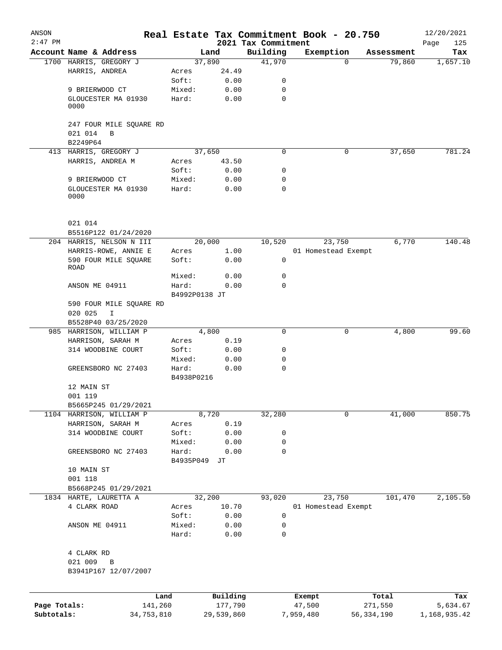| ANSON        |                             |                     |            |                                 | Real Estate Tax Commitment Book - 20.750 |              |                      | 12/20/2021      |
|--------------|-----------------------------|---------------------|------------|---------------------------------|------------------------------------------|--------------|----------------------|-----------------|
| $2:47$ PM    | Account Name & Address      |                     | Land       | 2021 Tax Commitment<br>Building | Exemption                                |              |                      | 125<br>Page     |
|              | 1700 HARRIS, GREGORY J      |                     | 37,890     | 41,970                          |                                          | $\Omega$     | Assessment<br>79,860 | Tax<br>1,657.10 |
|              | HARRIS, ANDREA              | Acres               | 24.49      |                                 |                                          |              |                      |                 |
|              |                             | Soft:               | 0.00       | 0                               |                                          |              |                      |                 |
|              | 9 BRIERWOOD CT              | Mixed:              | 0.00       | 0                               |                                          |              |                      |                 |
|              | GLOUCESTER MA 01930         | Hard:               | 0.00       | $\mathbf 0$                     |                                          |              |                      |                 |
|              | 0000                        |                     |            |                                 |                                          |              |                      |                 |
|              | 247 FOUR MILE SQUARE RD     |                     |            |                                 |                                          |              |                      |                 |
|              | 021 014<br>B                |                     |            |                                 |                                          |              |                      |                 |
|              | B2249P64                    |                     |            |                                 |                                          |              |                      |                 |
|              | 413 HARRIS, GREGORY J       |                     | 37,650     | $\mathbf 0$                     |                                          | $\mathbf 0$  | 37,650               | 781.24          |
|              | HARRIS, ANDREA M            | Acres               | 43.50      |                                 |                                          |              |                      |                 |
|              |                             | Soft:               | 0.00       | 0                               |                                          |              |                      |                 |
|              | 9 BRIERWOOD CT              | Mixed:              | 0.00       | 0                               |                                          |              |                      |                 |
|              | GLOUCESTER MA 01930<br>0000 | Hard:               | 0.00       | $\mathbf 0$                     |                                          |              |                      |                 |
|              | 021 014                     |                     |            |                                 |                                          |              |                      |                 |
|              | B5516P122 01/24/2020        |                     |            |                                 |                                          |              |                      |                 |
|              | 204 HARRIS, NELSON N III    |                     | 20,000     | 10,520                          | 23,750                                   |              | 6,770                | 140.48          |
|              | HARRIS-ROWE, ANNIE E        | Acres               | 1.00       |                                 | 01 Homestead Exempt                      |              |                      |                 |
|              | 590 FOUR MILE SQUARE        | Soft:               | 0.00       | $\mathbf 0$                     |                                          |              |                      |                 |
|              | ROAD                        |                     |            |                                 |                                          |              |                      |                 |
|              |                             | Mixed:              | 0.00       | 0<br>$\Omega$                   |                                          |              |                      |                 |
|              | ANSON ME 04911              | Hard:               | 0.00       |                                 |                                          |              |                      |                 |
|              |                             | B4992P0138 JT       |            |                                 |                                          |              |                      |                 |
|              | 590 FOUR MILE SQUARE RD     |                     |            |                                 |                                          |              |                      |                 |
|              | 020 025<br>I                |                     |            |                                 |                                          |              |                      |                 |
|              | B5528P40 03/25/2020         |                     | 4,800      | $\mathbf 0$                     |                                          | 0            | 4,800                | 99.60           |
|              | 985 HARRISON, WILLIAM P     |                     |            |                                 |                                          |              |                      |                 |
|              | HARRISON, SARAH M           | Acres               | 0.19       |                                 |                                          |              |                      |                 |
|              | 314 WOODBINE COURT          | Soft:               | 0.00       | 0                               |                                          |              |                      |                 |
|              |                             | Mixed:              | 0.00       | 0<br>$\mathbf 0$                |                                          |              |                      |                 |
|              | GREENSBORO NC 27403         | Hard:<br>B4938P0216 | 0.00       |                                 |                                          |              |                      |                 |
|              | 12 MAIN ST                  |                     |            |                                 |                                          |              |                      |                 |
|              | 001 119                     |                     |            |                                 |                                          |              |                      |                 |
|              | B5665P245 01/29/2021        |                     |            |                                 |                                          |              |                      |                 |
|              | 1104 HARRISON, WILLIAM P    |                     | 8,720      | 32,280                          |                                          | 0            | 41,000               | 850.75          |
|              | HARRISON, SARAH M           | Acres               | 0.19       |                                 |                                          |              |                      |                 |
|              | 314 WOODBINE COURT          | Soft:               | 0.00       | 0                               |                                          |              |                      |                 |
|              |                             | Mixed:              | 0.00       | 0                               |                                          |              |                      |                 |
|              | GREENSBORO NC 27403         | Hard:               | 0.00       | $\mathbf 0$                     |                                          |              |                      |                 |
|              |                             | B4935P049           | JТ         |                                 |                                          |              |                      |                 |
|              | 10 MAIN ST                  |                     |            |                                 |                                          |              |                      |                 |
|              | 001 118                     |                     |            |                                 |                                          |              |                      |                 |
|              | B5668P245 01/29/2021        |                     |            |                                 |                                          |              |                      |                 |
|              | 1834 HARTE, LAURETTA A      |                     | 32,200     | 93,020                          | 23,750                                   |              | 101,470              | 2,105.50        |
|              | 4 CLARK ROAD                | Acres               | 10.70      |                                 | 01 Homestead Exempt                      |              |                      |                 |
|              |                             | Soft:               | 0.00       | 0                               |                                          |              |                      |                 |
|              | ANSON ME 04911              | Mixed:              | 0.00       | 0                               |                                          |              |                      |                 |
|              |                             | Hard:               | 0.00       | 0                               |                                          |              |                      |                 |
|              | 4 CLARK RD                  |                     |            |                                 |                                          |              |                      |                 |
|              | 021 009<br>B                |                     |            |                                 |                                          |              |                      |                 |
|              | B3941P167 12/07/2007        |                     |            |                                 |                                          |              |                      |                 |
|              |                             | Land                | Building   |                                 | Exempt                                   |              | Total                | Tax             |
| Page Totals: | 141,260                     |                     | 177,790    |                                 | 47,500                                   |              | 271,550              | 5,634.67        |
| Subtotals:   | 34,753,810                  |                     | 29,539,860 |                                 | 7,959,480                                | 56, 334, 190 |                      | 1,168,935.42    |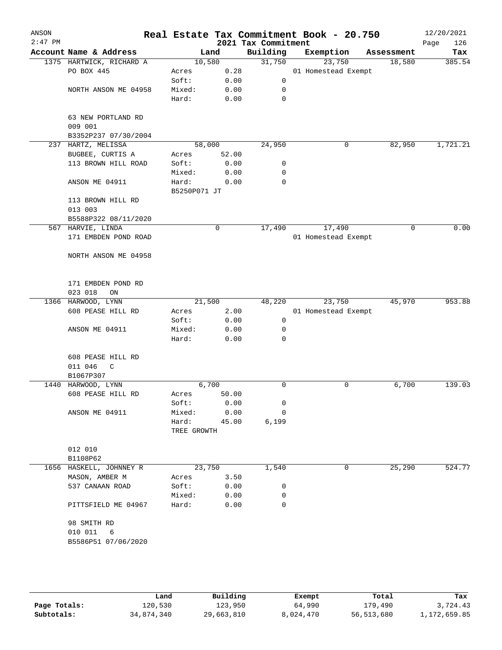| ANSON<br>$2:47$ PM |                              |              |        | 2021 Tax Commitment | Real Estate Tax Commitment Book - 20.750 |            | 12/20/2021<br>126<br>Page |
|--------------------|------------------------------|--------------|--------|---------------------|------------------------------------------|------------|---------------------------|
|                    | Account Name & Address       |              | Land   | Building            | Exemption                                | Assessment | Tax                       |
|                    | 1375 HARTWICK, RICHARD A     |              | 10,580 | 31,750              | 23,750                                   | 18,580     | 385.54                    |
|                    | PO BOX 445                   | Acres        | 0.28   |                     | 01 Homestead Exempt                      |            |                           |
|                    |                              | Soft:        | 0.00   | 0                   |                                          |            |                           |
|                    | NORTH ANSON ME 04958         | Mixed:       | 0.00   | 0                   |                                          |            |                           |
|                    |                              | Hard:        | 0.00   | 0                   |                                          |            |                           |
|                    | 63 NEW PORTLAND RD           |              |        |                     |                                          |            |                           |
|                    | 009 001                      |              |        |                     |                                          |            |                           |
|                    | B3352P237 07/30/2004         |              |        |                     |                                          |            |                           |
| 237                | HARTZ, MELISSA               |              | 58,000 | 24,950              | 0                                        | 82,950     | 1,721.21                  |
|                    | BUGBEE, CURTIS A             | Acres        | 52.00  |                     |                                          |            |                           |
|                    | 113 BROWN HILL ROAD          | Soft:        | 0.00   | 0                   |                                          |            |                           |
|                    |                              | Mixed:       | 0.00   | 0                   |                                          |            |                           |
|                    | ANSON ME 04911               | Hard:        | 0.00   | 0                   |                                          |            |                           |
|                    |                              | B5250P071 JT |        |                     |                                          |            |                           |
|                    | 113 BROWN HILL RD<br>013 003 |              |        |                     |                                          |            |                           |
|                    | B5588P322 08/11/2020         |              |        |                     |                                          |            |                           |
|                    | 567 HARVIE, LINDA            |              | 0      | 17,490              | 17,490                                   | 0          | 0.00                      |
|                    | 171 EMBDEN POND ROAD         |              |        |                     | 01 Homestead Exempt                      |            |                           |
|                    |                              |              |        |                     |                                          |            |                           |
|                    | NORTH ANSON ME 04958         |              |        |                     |                                          |            |                           |
|                    |                              |              |        |                     |                                          |            |                           |
|                    | 171 EMBDEN POND RD           |              |        |                     |                                          |            |                           |
|                    | 023 018<br>ON                |              |        |                     |                                          |            |                           |
| 1366               | HARWOOD, LYNN                |              | 21,500 | 48,220              | 23,750                                   | 45,970     | 953.88                    |
|                    | 608 PEASE HILL RD            | Acres        | 2.00   |                     | 01 Homestead Exempt                      |            |                           |
|                    |                              | Soft:        | 0.00   | 0                   |                                          |            |                           |
|                    | ANSON ME 04911               | Mixed:       | 0.00   | 0                   |                                          |            |                           |
|                    |                              | Hard:        | 0.00   | 0                   |                                          |            |                           |
|                    | 608 PEASE HILL RD            |              |        |                     |                                          |            |                           |
|                    | 011 046<br>C                 |              |        |                     |                                          |            |                           |
|                    | B1067P307                    |              |        |                     |                                          |            |                           |
| 1440               | HARWOOD, LYNN                |              | 6,700  | 0                   | 0                                        | 6,700      | 139.03                    |
|                    | 608 PEASE HILL RD            | Acres        | 50.00  |                     |                                          |            |                           |
|                    |                              | Soft:        | 0.00   | 0                   |                                          |            |                           |
|                    | ANSON ME 04911               | Mixed:       | 0.00   | 0                   |                                          |            |                           |
|                    |                              | Hard:        | 45.00  | 6,199               |                                          |            |                           |
|                    |                              | TREE GROWTH  |        |                     |                                          |            |                           |
|                    | 012 010                      |              |        |                     |                                          |            |                           |
|                    | B1108P62                     |              |        |                     |                                          |            |                           |
|                    | 1656 HASKELL, JOHNNEY R      |              | 23,750 | 1,540               | 0                                        | 25,290     | 524.77                    |
|                    | MASON, AMBER M               | Acres        | 3.50   |                     |                                          |            |                           |
|                    | 537 CANAAN ROAD              | Soft:        | 0.00   | 0                   |                                          |            |                           |
|                    |                              | Mixed:       | 0.00   | 0                   |                                          |            |                           |
|                    | PITTSFIELD ME 04967          | Hard:        | 0.00   | 0                   |                                          |            |                           |
|                    | 98 SMITH RD                  |              |        |                     |                                          |            |                           |
|                    | 010 011<br>6                 |              |        |                     |                                          |            |                           |
|                    | B5586P51 07/06/2020          |              |        |                     |                                          |            |                           |
|                    |                              |              |        |                     |                                          |            |                           |
|                    |                              |              |        |                     |                                          |            |                           |

|              | Land       | Building   | Exempt    | Total      | Tax          |
|--------------|------------|------------|-----------|------------|--------------|
| Page Totals: | 120,530    | 123,950    | 64,990    | 179,490    | 3,724.43     |
| Subtotals:   | 34,874,340 | 29,663,810 | 8,024,470 | 56,513,680 | 1,172,659.85 |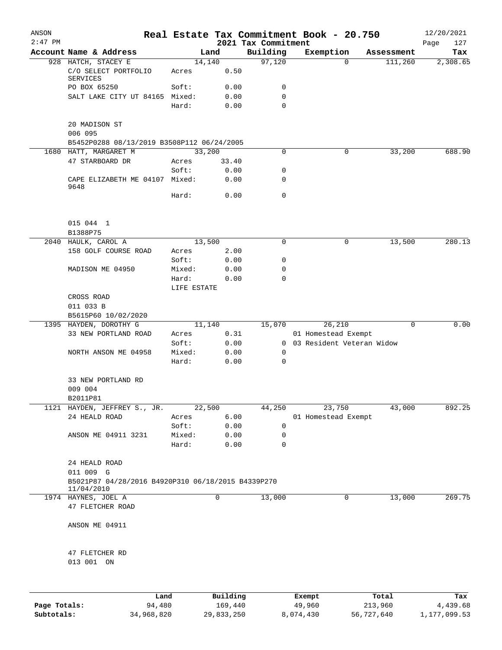| ANSON<br>$2:47$ PM |                                                                  |                 |              | 2021 Tax Commitment | Real Estate Tax Commitment Book - 20.750 |                             | 12/20/2021<br>127<br>Page |
|--------------------|------------------------------------------------------------------|-----------------|--------------|---------------------|------------------------------------------|-----------------------------|---------------------------|
|                    | Account Name & Address                                           |                 | Land         | Building            | Exemption                                | Assessment                  | Tax                       |
|                    | 928 HATCH, STACEY E                                              |                 | 14,140       | 97,120              |                                          | 111,260<br>$\Omega$         | 2,308.65                  |
|                    | C/O SELECT PORTFOLIO<br><b>SERVICES</b>                          | Acres           | 0.50         |                     |                                          |                             |                           |
|                    | PO BOX 65250                                                     | Soft:           | 0.00         | 0                   |                                          |                             |                           |
|                    | SALT LAKE CITY UT 84165 Mixed:                                   |                 | 0.00         | $\mathbf 0$         |                                          |                             |                           |
|                    |                                                                  | Hard:           | 0.00         | 0                   |                                          |                             |                           |
|                    | 20 MADISON ST                                                    |                 |              |                     |                                          |                             |                           |
|                    | 006 095                                                          |                 |              |                     |                                          |                             |                           |
|                    | B5452P0288 08/13/2019 B3508P112 06/24/2005                       |                 |              |                     |                                          |                             |                           |
|                    | 1680 HATT, MARGARET M                                            |                 | 33,200       | 0                   |                                          | 33,200<br>0                 | 688.90                    |
|                    | 47 STARBOARD DR                                                  | Acres           | 33.40        |                     |                                          |                             |                           |
|                    |                                                                  | Soft:           | 0.00         | 0                   |                                          |                             |                           |
|                    | CAPE ELIZABETH ME 04107 Mixed:<br>9648                           |                 | 0.00         | 0                   |                                          |                             |                           |
|                    |                                                                  | Hard:           | 0.00         | $\mathbf 0$         |                                          |                             |                           |
|                    | 015 044 1                                                        |                 |              |                     |                                          |                             |                           |
|                    | B1388P75                                                         |                 |              |                     |                                          |                             |                           |
|                    | 2040 HAULK, CAROL A                                              |                 | 13,500       | 0                   |                                          | 13,500<br>0                 | 280.13                    |
|                    | 158 GOLF COURSE ROAD                                             | Acres           | 2.00         |                     |                                          |                             |                           |
|                    |                                                                  | Soft:           | 0.00         | 0                   |                                          |                             |                           |
|                    | MADISON ME 04950                                                 | Mixed:          | 0.00         | 0                   |                                          |                             |                           |
|                    |                                                                  | Hard:           | 0.00         | 0                   |                                          |                             |                           |
|                    |                                                                  | LIFE ESTATE     |              |                     |                                          |                             |                           |
|                    | CROSS ROAD                                                       |                 |              |                     |                                          |                             |                           |
|                    | 011 033 B                                                        |                 |              |                     |                                          |                             |                           |
|                    | B5615P60 10/02/2020                                              |                 |              |                     |                                          |                             |                           |
|                    | 1395 HAYDEN, DOROTHY G                                           |                 | 11,140       | 15,070              | 26,210                                   | $\mathbf 0$                 | 0.00                      |
|                    | 33 NEW PORTLAND ROAD                                             | Acres           | 0.31         |                     | 01 Homestead Exempt                      |                             |                           |
|                    |                                                                  | Soft:           | 0.00         |                     |                                          | 0 03 Resident Veteran Widow |                           |
|                    | NORTH ANSON ME 04958                                             | Mixed:          | 0.00         | 0                   |                                          |                             |                           |
|                    |                                                                  | Hard:           | 0.00         | 0                   |                                          |                             |                           |
|                    | 33 NEW PORTLAND RD                                               |                 |              |                     |                                          |                             |                           |
|                    | 009 004                                                          |                 |              |                     |                                          |                             |                           |
|                    | B2011P81                                                         |                 |              |                     |                                          |                             |                           |
|                    | 1121 HAYDEN, JEFFREY S., JR.                                     |                 | 22,500       | 44,250              | 23,750                                   | 43,000                      | 892.25                    |
|                    | 24 HEALD ROAD                                                    | Acres           | 6.00         | 0                   | 01 Homestead Exempt                      |                             |                           |
|                    |                                                                  | Soft:<br>Mixed: | 0.00<br>0.00 | 0                   |                                          |                             |                           |
|                    | ANSON ME 04911 3231                                              | Hard:           | 0.00         | $\mathbf 0$         |                                          |                             |                           |
|                    |                                                                  |                 |              |                     |                                          |                             |                           |
|                    | 24 HEALD ROAD<br>011 009 G                                       |                 |              |                     |                                          |                             |                           |
|                    | B5021P87 04/28/2016 B4920P310 06/18/2015 B4339P270<br>11/04/2010 |                 |              |                     |                                          |                             |                           |
|                    | 1974 HAYNES, JOEL A                                              |                 | 0            | 13,000              |                                          | 0<br>13,000                 | 269.75                    |
|                    | 47 FLETCHER ROAD                                                 |                 |              |                     |                                          |                             |                           |
|                    | ANSON ME 04911                                                   |                 |              |                     |                                          |                             |                           |
|                    | 47 FLETCHER RD                                                   |                 |              |                     |                                          |                             |                           |
|                    | 013 001 ON                                                       |                 |              |                     |                                          |                             |                           |
|                    |                                                                  |                 |              |                     |                                          |                             |                           |
|                    | Land                                                             |                 | Building     |                     | Exempt                                   | Total                       | Tax                       |

|              | Lanu       | <b>Building</b> | вхещрс    | TOLAT      | rax.         |
|--------------|------------|-----------------|-----------|------------|--------------|
| Page Totals: | 94,480     | 169,440         | 49,960    | 213,960    | 4,439.68     |
| Subtotals:   | 34,968,820 | 29,833,250      | 8,074,430 | 56,727,640 | 1,177,099.53 |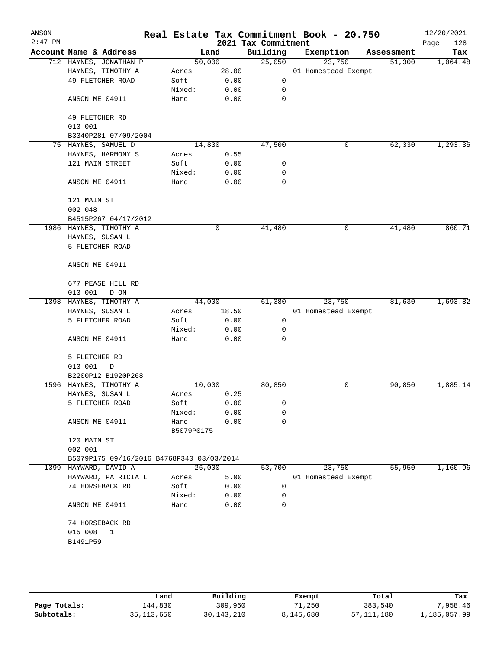| ANSON<br>$2:47$ PM |                                                                    |                 |              | 2021 Tax Commitment | Real Estate Tax Commitment Book - 20.750 |            | 12/20/2021<br>Page<br>128 |
|--------------------|--------------------------------------------------------------------|-----------------|--------------|---------------------|------------------------------------------|------------|---------------------------|
|                    | Account Name & Address                                             |                 | Land         | Building            | Exemption                                | Assessment | Tax                       |
|                    | 712 HAYNES, JONATHAN P                                             | 50,000          |              | 25,050              | 23,750                                   | 51,300     | 1,064.48                  |
|                    | HAYNES, TIMOTHY A                                                  | Acres           | 28.00        |                     | 01 Homestead Exempt                      |            |                           |
|                    | 49 FLETCHER ROAD                                                   | Soft:           | 0.00         | 0                   |                                          |            |                           |
|                    |                                                                    | Mixed:          | 0.00         | 0                   |                                          |            |                           |
|                    | ANSON ME 04911                                                     | Hard:           | 0.00         | 0                   |                                          |            |                           |
|                    | 49 FLETCHER RD                                                     |                 |              |                     |                                          |            |                           |
|                    | 013 001                                                            |                 |              |                     |                                          |            |                           |
|                    | B3340P281 07/09/2004                                               |                 |              |                     |                                          |            |                           |
|                    | 75 HAYNES, SAMUEL D                                                | 14,830          |              | 47,500              | 0                                        | 62,330     | 1,293.35                  |
|                    | HAYNES, HARMONY S                                                  | Acres           | 0.55         |                     |                                          |            |                           |
|                    | 121 MAIN STREET                                                    | Soft:           | 0.00         | 0                   |                                          |            |                           |
|                    |                                                                    | Mixed:          | 0.00         | 0                   |                                          |            |                           |
|                    | ANSON ME 04911                                                     | Hard:           | 0.00         | 0                   |                                          |            |                           |
|                    | 121 MAIN ST                                                        |                 |              |                     |                                          |            |                           |
|                    | 002 048                                                            |                 |              |                     |                                          |            |                           |
|                    | B4515P267 04/17/2012                                               |                 |              |                     |                                          |            |                           |
|                    | 1986 HAYNES, TIMOTHY A                                             |                 | 0            | 41,480              | 0                                        | 41,480     | 860.71                    |
|                    | HAYNES, SUSAN L                                                    |                 |              |                     |                                          |            |                           |
|                    | 5 FLETCHER ROAD                                                    |                 |              |                     |                                          |            |                           |
|                    | ANSON ME 04911                                                     |                 |              |                     |                                          |            |                           |
|                    | 677 PEASE HILL RD                                                  |                 |              |                     |                                          |            |                           |
|                    | 013 001<br>D ON                                                    |                 |              |                     |                                          |            |                           |
|                    | 1398 HAYNES, TIMOTHY A                                             | 44,000          |              | 61,380              | 23,750                                   | 81,630     | 1,693.82                  |
|                    | HAYNES, SUSAN L                                                    | Acres           | 18.50        |                     | 01 Homestead Exempt                      |            |                           |
|                    | 5 FLETCHER ROAD                                                    | Soft:           | 0.00         | $\mathsf 0$         |                                          |            |                           |
|                    |                                                                    | Mixed:          | 0.00         | 0                   |                                          |            |                           |
|                    | ANSON ME 04911                                                     | Hard:           | 0.00         | 0                   |                                          |            |                           |
|                    | 5 FLETCHER RD                                                      |                 |              |                     |                                          |            |                           |
|                    | 013 001<br>D                                                       |                 |              |                     |                                          |            |                           |
|                    | B2200P12 B1920P268                                                 |                 |              |                     |                                          |            |                           |
|                    | 1596 HAYNES, TIMOTHY A                                             | 10,000          |              | 80,850              | 0                                        | 90,850     | 1,885.14                  |
|                    | HAYNES, SUSAN L                                                    | Acres           | 0.25         |                     |                                          |            |                           |
|                    | 5 FLETCHER ROAD                                                    | Soft:           | 0.00         | 0                   |                                          |            |                           |
|                    |                                                                    | Mixed:          | 0.00         | 0                   |                                          |            |                           |
|                    | ANSON ME 04911                                                     | Hard:           | 0.00         | 0                   |                                          |            |                           |
|                    |                                                                    | B5079P0175      |              |                     |                                          |            |                           |
|                    | 120 MAIN ST                                                        |                 |              |                     |                                          |            |                           |
|                    | 002 001                                                            |                 |              |                     |                                          |            |                           |
|                    | B5079P175 09/16/2016 B4768P340 03/03/2014<br>1399 HAYWARD, DAVID A | 26,000          |              | 53,700              | 23,750                                   | 55,950     | 1,160.96                  |
|                    |                                                                    | Acres           |              |                     |                                          |            |                           |
|                    | HAYWARD, PATRICIA L                                                |                 | 5.00         | 0                   | 01 Homestead Exempt                      |            |                           |
|                    | 74 HORSEBACK RD                                                    | Soft:           | 0.00         |                     |                                          |            |                           |
|                    | ANSON ME 04911                                                     | Mixed:<br>Hard: | 0.00<br>0.00 | 0<br>0              |                                          |            |                           |
|                    | 74 HORSEBACK RD                                                    |                 |              |                     |                                          |            |                           |
|                    | 015 008<br>$\mathbf{1}$                                            |                 |              |                     |                                          |            |                           |
|                    |                                                                    |                 |              |                     |                                          |            |                           |
|                    | B1491P59                                                           |                 |              |                     |                                          |            |                           |

|              | Land       | Building   | Exempt    | Total        | Tax          |
|--------------|------------|------------|-----------|--------------|--------------|
| Page Totals: | 144,830    | 309,960    | 71,250    | 383,540      | 7,958.46     |
| Subtotals:   | 35,113,650 | 30,143,210 | 8,145,680 | 57, 111, 180 | l,185,057.99 |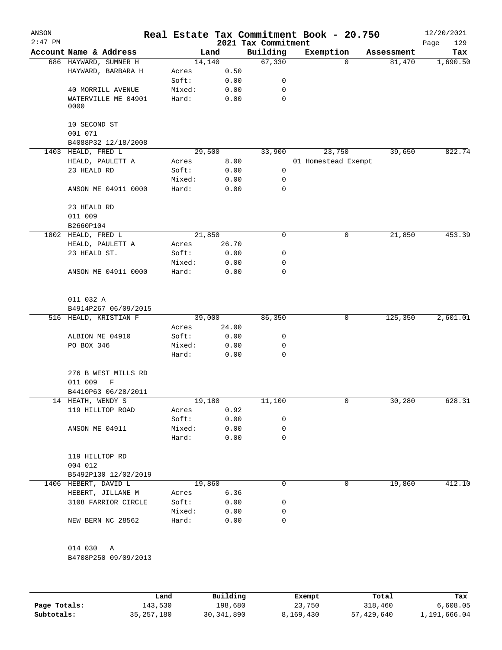| ANSON<br>$2:47$ PM |                                 |                 |              | 2021 Tax Commitment | Real Estate Tax Commitment Book - 20.750 |            | 12/20/2021<br>Page<br>129 |
|--------------------|---------------------------------|-----------------|--------------|---------------------|------------------------------------------|------------|---------------------------|
|                    | Account Name & Address          |                 | Land         | Building            | Exemption                                | Assessment | Tax                       |
|                    | 686 HAYWARD, SUMNER H           |                 | 14,140       | 67,330              | $\mathbf 0$                              | 81,470     | 1,690.50                  |
|                    | HAYWARD, BARBARA H              | Acres           | 0.50         |                     |                                          |            |                           |
|                    |                                 | Soft:           | 0.00         | 0                   |                                          |            |                           |
|                    | 40 MORRILL AVENUE               | Mixed:          | 0.00         | 0                   |                                          |            |                           |
|                    | WATERVILLE ME 04901<br>0000     | Hard:           | 0.00         | 0                   |                                          |            |                           |
|                    | 10 SECOND ST<br>001 071         |                 |              |                     |                                          |            |                           |
|                    | B4088P32 12/18/2008             |                 |              |                     |                                          |            |                           |
|                    | 1403 HEALD, FRED L              |                 | 29,500       | 33,900              | 23,750                                   | 39,650     | 822.74                    |
|                    | HEALD, PAULETT A                | Acres           | 8.00         |                     | 01 Homestead Exempt                      |            |                           |
|                    | 23 HEALD RD                     | Soft:           | 0.00         | $\mathbf 0$         |                                          |            |                           |
|                    |                                 | Mixed:          | 0.00         | 0                   |                                          |            |                           |
|                    | ANSON ME 04911 0000             | Hard:           | 0.00         | 0                   |                                          |            |                           |
|                    | 23 HEALD RD<br>011 009          |                 |              |                     |                                          |            |                           |
|                    | B2660P104                       |                 |              |                     |                                          |            |                           |
|                    | 1802 HEALD, FRED L              |                 | 21,850       | 0                   | 0                                        | 21,850     | 453.39                    |
|                    | HEALD, PAULETT A                | Acres           | 26.70        |                     |                                          |            |                           |
|                    | 23 HEALD ST.                    | Soft:           | 0.00         | 0                   |                                          |            |                           |
|                    |                                 | Mixed:          | 0.00         | 0                   |                                          |            |                           |
|                    | ANSON ME 04911 0000             | Hard:           | 0.00         | 0                   |                                          |            |                           |
|                    | 011 032 A                       |                 |              |                     |                                          |            |                           |
|                    | B4914P267 06/09/2015            |                 |              |                     |                                          |            |                           |
|                    | 516 HEALD, KRISTIAN F           |                 | 39,000       | 86,350              | 0                                        | 125,350    | 2,601.01                  |
|                    |                                 | Acres           | 24.00        |                     |                                          |            |                           |
|                    | ALBION ME 04910                 | Soft:           | 0.00         | 0                   |                                          |            |                           |
|                    | PO BOX 346                      | Mixed:          | 0.00         | 0                   |                                          |            |                           |
|                    |                                 | Hard:           | 0.00         | 0                   |                                          |            |                           |
|                    | 276 B WEST MILLS RD             |                 |              |                     |                                          |            |                           |
|                    | 011 009<br>F                    |                 |              |                     |                                          |            |                           |
|                    | B4410P63 06/28/2011             |                 |              |                     |                                          |            |                           |
|                    | 14 HEATH, WENDY S               |                 | 19,180       | 11,100              | 0                                        | 30,280     | 628.31                    |
|                    | 119 HILLTOP ROAD                | Acres           | 0.92         |                     |                                          |            |                           |
|                    |                                 | Soft:           | 0.00         | 0                   |                                          |            |                           |
|                    | ANSON ME 04911                  | Mixed:<br>Hard: | 0.00<br>0.00 | 0<br>0              |                                          |            |                           |
|                    | 119 HILLTOP RD                  |                 |              |                     |                                          |            |                           |
|                    | 004 012<br>B5492P130 12/02/2019 |                 |              |                     |                                          |            |                           |
|                    | 1406 HEBERT, DAVID L            |                 | 19,860       | 0                   | 0                                        | 19,860     | 412.10                    |
|                    | HEBERT, JILLANE M               | Acres           | 6.36         |                     |                                          |            |                           |
|                    | 3108 FARRIOR CIRCLE             | Soft:           | 0.00         | 0                   |                                          |            |                           |
|                    |                                 | Mixed:          | 0.00         | 0                   |                                          |            |                           |
|                    | NEW BERN NC 28562               | Hard:           | 0.00         | 0                   |                                          |            |                           |
|                    | 014 030<br>Α                    |                 |              |                     |                                          |            |                           |
|                    | B4708P250 09/09/2013            |                 |              |                     |                                          |            |                           |

|              | Land         | Building     | Exempt    | Total      | Tax          |
|--------------|--------------|--------------|-----------|------------|--------------|
| Page Totals: | 143,530      | 198,680      | 23,750    | 318,460    | 6,608.05     |
| Subtotals:   | 35, 257, 180 | 30, 341, 890 | 8,169,430 | 57,429,640 | 1,191,666.04 |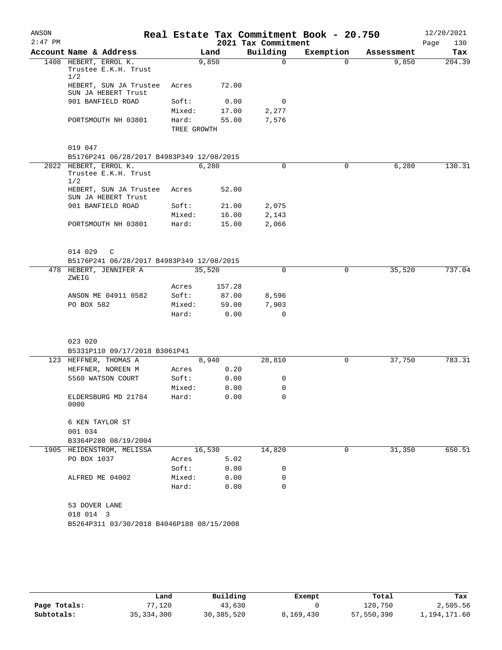| ANSON<br>$2:47$ PM |                                                        |             |        | 2021 Tax Commitment | Real Estate Tax Commitment Book - 20.750 |            | 12/20/2021<br>Page<br>130 |
|--------------------|--------------------------------------------------------|-------------|--------|---------------------|------------------------------------------|------------|---------------------------|
|                    | Account Name & Address                                 |             | Land   | Building            | Exemption                                | Assessment | Tax                       |
|                    | 1408 HEBERT, ERROL K.<br>Trustee E.K.H. Trust<br>1/2   |             | 9,850  | $\Omega$            | $\Omega$                                 | 9,850      | 204.39                    |
|                    | HEBERT, SUN JA Trustee<br>SUN JA HEBERT Trust          | Acres       | 72.00  |                     |                                          |            |                           |
|                    | 901 BANFIELD ROAD                                      | Soft:       | 0.00   | 0                   |                                          |            |                           |
|                    |                                                        | Mixed:      | 17.00  | 2,277               |                                          |            |                           |
|                    | PORTSMOUTH NH 03801                                    | Hard:       | 55.00  | 7,576               |                                          |            |                           |
|                    |                                                        | TREE GROWTH |        |                     |                                          |            |                           |
|                    | 019 047                                                |             |        |                     |                                          |            |                           |
|                    | B5176P241 06/28/2017 B4983P349 12/08/2015              |             |        |                     |                                          |            |                           |
|                    | 2022 HEBERT, ERROL K.<br>Trustee E.K.H. Trust<br>1/2   |             | 6,280  | 0                   | 0                                        | 6,280      | 130.31                    |
|                    | HEBERT, SUN JA Trustee<br>SUN JA HEBERT Trust          | Acres       | 52.00  |                     |                                          |            |                           |
|                    | 901 BANFIELD ROAD                                      | Soft:       | 21.00  | 2,075               |                                          |            |                           |
|                    |                                                        | Mixed:      | 16.00  | 2,143               |                                          |            |                           |
|                    | PORTSMOUTH NH 03801                                    | Hard:       | 15.00  | 2,066               |                                          |            |                           |
|                    | 014 029<br>C                                           |             |        |                     |                                          |            |                           |
|                    | B5176P241 06/28/2017 B4983P349 12/08/2015              |             |        |                     |                                          |            |                           |
|                    | 478 HEBERT, JENNIFER A<br>ZWEIG                        |             | 35,520 | $\Omega$            | 0                                        | 35,520     | 737.04                    |
|                    |                                                        | Acres       | 157.28 |                     |                                          |            |                           |
|                    | ANSON ME 04911 0582                                    | Soft:       | 87.00  | 8,596               |                                          |            |                           |
|                    | PO BOX 582                                             | Mixed:      | 59.00  | 7,903               |                                          |            |                           |
|                    |                                                        | Hard:       | 0.00   | 0                   |                                          |            |                           |
|                    | 023 020                                                |             |        |                     |                                          |            |                           |
|                    | B5331P110 09/17/2018 B3061P41                          |             |        |                     |                                          |            |                           |
|                    | 123 HEFFNER, THOMAS A                                  |             | 8,940  | 28,810              | 0                                        | 37,750     | 783.31                    |
|                    | HEFFNER, NOREEN M                                      | Acres       | 0.20   |                     |                                          |            |                           |
|                    | 5560 WATSON COURT                                      | Soft:       | 0.00   | 0                   |                                          |            |                           |
|                    |                                                        | Mixed:      | 0.00   | 0                   |                                          |            |                           |
|                    | ELDERSBURG MD 21784<br>0000                            | Hard:       | 0.00   | $\mathsf{O}$        |                                          |            |                           |
|                    | 6 KEN TAYLOR ST<br>001 034                             |             |        |                     |                                          |            |                           |
|                    | B3364P280 08/19/2004                                   |             |        |                     |                                          |            |                           |
|                    | 1905 HEIDENSTROM, MELISSA                              |             | 16,530 | 14,820              | 0                                        | 31,350     | 650.51                    |
|                    | PO BOX 1037                                            | Acres       | 5.02   |                     |                                          |            |                           |
|                    |                                                        | Soft:       | 0.00   | 0                   |                                          |            |                           |
|                    | ALFRED ME 04002                                        | Mixed:      | 0.00   | 0                   |                                          |            |                           |
|                    |                                                        | Hard:       | 0.00   | 0                   |                                          |            |                           |
|                    | 53 DOVER LANE                                          |             |        |                     |                                          |            |                           |
|                    | 018 014 3<br>B5264P311 03/30/2018 B4046P188 08/15/2008 |             |        |                     |                                          |            |                           |
|                    |                                                        |             |        |                     |                                          |            |                           |

|              | Land         | Building     | Exempt    | Total      | Tax          |
|--------------|--------------|--------------|-----------|------------|--------------|
| Page Totals: | ,120         | 43,630       |           | 120,750    | 2,505.56     |
| Subtotals:   | 35, 334, 300 | 30, 385, 520 | 8,169,430 | 57,550,390 | 1,194,171.60 |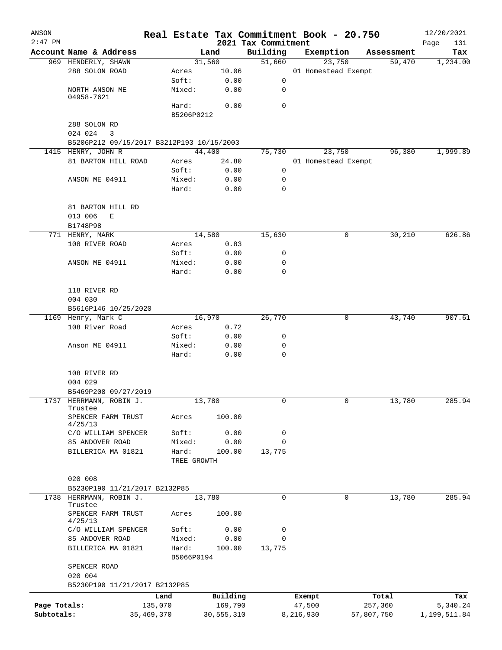| ANSON        |                                           |                |               |                                 | Real Estate Tax Commitment Book - 20.750 |                      | 12/20/2021      |
|--------------|-------------------------------------------|----------------|---------------|---------------------------------|------------------------------------------|----------------------|-----------------|
| $2:47$ PM    | Account Name & Address                    |                | Land          | 2021 Tax Commitment<br>Building |                                          |                      | Page<br>131     |
|              | 969 HENDERLY, SHAWN                       |                | 31,560        | 51,660                          | Exemption<br>23,750                      | Assessment<br>59,470 | Tax<br>1,234.00 |
|              | 288 SOLON ROAD                            | Acres          | 10.06         |                                 | 01 Homestead Exempt                      |                      |                 |
|              |                                           | Soft:          | 0.00          | 0                               |                                          |                      |                 |
|              | NORTH ANSON ME                            | Mixed:         | 0.00          | 0                               |                                          |                      |                 |
|              | 04958-7621                                |                |               |                                 |                                          |                      |                 |
|              |                                           | Hard:          | 0.00          | 0                               |                                          |                      |                 |
|              |                                           | B5206P0212     |               |                                 |                                          |                      |                 |
|              | 288 SOLON RD                              |                |               |                                 |                                          |                      |                 |
|              | 024 024<br>3                              |                |               |                                 |                                          |                      |                 |
|              | B5206P212 09/15/2017 B3212P193 10/15/2003 |                |               |                                 |                                          |                      |                 |
|              | 1415 HENRY, JOHN R                        |                | 44,400        | 75,730                          | 23,750                                   | 96,380               | 1,999.89        |
|              | 81 BARTON HILL ROAD                       | Acres<br>Soft: | 24.80<br>0.00 | 0                               | 01 Homestead Exempt                      |                      |                 |
|              | ANSON ME 04911                            | Mixed:         | 0.00          | 0                               |                                          |                      |                 |
|              |                                           | Hard:          | 0.00          | 0                               |                                          |                      |                 |
|              |                                           |                |               |                                 |                                          |                      |                 |
|              | 81 BARTON HILL RD                         |                |               |                                 |                                          |                      |                 |
|              | 013 006<br>Е                              |                |               |                                 |                                          |                      |                 |
|              | B1748P98                                  |                |               |                                 |                                          |                      |                 |
|              | 771 HENRY, MARK                           |                | 14,580        | 15,630                          |                                          | 0<br>30,210          | 626.86          |
|              | 108 RIVER ROAD                            | Acres          | 0.83          |                                 |                                          |                      |                 |
|              |                                           | Soft:          | 0.00          | 0                               |                                          |                      |                 |
|              | ANSON ME 04911                            | Mixed:         | 0.00          | 0                               |                                          |                      |                 |
|              |                                           | Hard:          | 0.00          | $\mathbf 0$                     |                                          |                      |                 |
|              |                                           |                |               |                                 |                                          |                      |                 |
|              | 118 RIVER RD                              |                |               |                                 |                                          |                      |                 |
|              | 004 030                                   |                |               |                                 |                                          |                      |                 |
|              | B5616P146 10/25/2020                      |                |               |                                 |                                          |                      |                 |
|              | 1169 Henry, Mark C                        |                | 16,970        | 26,770                          |                                          | 0<br>43,740          | 907.61          |
|              | 108 River Road                            | Acres          | 0.72          |                                 |                                          |                      |                 |
|              |                                           | Soft:          | 0.00          | 0                               |                                          |                      |                 |
|              | Anson ME 04911                            | Mixed:         | 0.00          | 0                               |                                          |                      |                 |
|              |                                           | Hard:          | 0.00          | $\mathbf 0$                     |                                          |                      |                 |
|              |                                           |                |               |                                 |                                          |                      |                 |
|              | 108 RIVER RD                              |                |               |                                 |                                          |                      |                 |
|              | 004 029                                   |                |               |                                 |                                          |                      |                 |
|              | B5469P208 09/27/2019                      |                |               |                                 |                                          |                      |                 |
| 1737         | HERRMANN, ROBIN J.<br>Trustee             |                | 13,780        | 0                               |                                          | 0<br>13,780          | 285.94          |
|              | SPENCER FARM TRUST                        | Acres          | 100.00        |                                 |                                          |                      |                 |
|              | 4/25/13                                   |                |               |                                 |                                          |                      |                 |
|              | C/O WILLIAM SPENCER                       | Soft:          | 0.00          | 0                               |                                          |                      |                 |
|              | 85 ANDOVER ROAD                           | Mixed:         | 0.00          | $\mathbf 0$                     |                                          |                      |                 |
|              | BILLERICA MA 01821                        | Hard:          | 100.00        | 13,775                          |                                          |                      |                 |
|              |                                           | TREE GROWTH    |               |                                 |                                          |                      |                 |
|              |                                           |                |               |                                 |                                          |                      |                 |
|              | 020 008                                   |                |               |                                 |                                          |                      |                 |
|              | B5230P190 11/21/2017 B2132P85             |                |               |                                 |                                          |                      |                 |
|              | 1738 HERRMANN, ROBIN J.                   |                | 13,780        | 0                               |                                          | 0<br>13,780          | 285.94          |
|              | Trustee<br>SPENCER FARM TRUST             | Acres          | 100.00        |                                 |                                          |                      |                 |
|              | 4/25/13                                   |                |               |                                 |                                          |                      |                 |
|              | C/O WILLIAM SPENCER                       | Soft:          | 0.00          | 0                               |                                          |                      |                 |
|              | 85 ANDOVER ROAD                           | Mixed:         | 0.00          | 0                               |                                          |                      |                 |
|              | BILLERICA MA 01821                        | Hard:          | 100.00        | 13,775                          |                                          |                      |                 |
|              |                                           | B5066P0194     |               |                                 |                                          |                      |                 |
|              | SPENCER ROAD                              |                |               |                                 |                                          |                      |                 |
|              | 020 004                                   |                |               |                                 |                                          |                      |                 |
|              | B5230P190 11/21/2017 B2132P85             |                |               |                                 |                                          |                      |                 |
|              |                                           | Land           | Building      |                                 | Exempt                                   | Total                | Tax             |
| Page Totals: |                                           | 135,070        | 169,790       |                                 | 47,500                                   | 257,360              | 5,340.24        |
| Subtotals:   | 35,469,370                                |                | 30,555,310    |                                 | 8,216,930                                | 57,807,750           | 1,199,511.84    |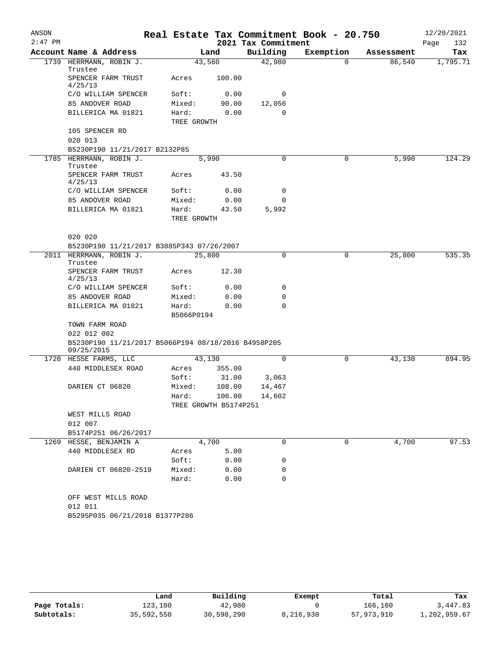| ANSON<br>$2:47$ PM |                                                                   |                       |              | 2021 Tax Commitment | Real Estate Tax Commitment Book - 20.750 |            | 12/20/2021<br>Page<br>132 |
|--------------------|-------------------------------------------------------------------|-----------------------|--------------|---------------------|------------------------------------------|------------|---------------------------|
|                    | Account Name & Address                                            |                       | Land         | Building            | Exemption                                | Assessment | Tax                       |
|                    | 1739 HERRMANN, ROBIN J.                                           |                       | 43,560       | 42,980              | $\Omega$                                 | 86,540     | 1,795.71                  |
|                    | Trustee<br>SPENCER FARM TRUST<br>4/25/13                          | Acres                 | 100.00       |                     |                                          |            |                           |
|                    | C/O WILLIAM SPENCER                                               | Soft:                 | 0.00         | 0                   |                                          |            |                           |
|                    | 85 ANDOVER ROAD                                                   | Mixed:                | 90.00        | 12,056              |                                          |            |                           |
|                    | BILLERICA MA 01821                                                | Hard:<br>TREE GROWTH  | 0.00         | $\Omega$            |                                          |            |                           |
|                    | 105 SPENCER RD                                                    |                       |              |                     |                                          |            |                           |
|                    | 020 013                                                           |                       |              |                     |                                          |            |                           |
|                    | B5230P190 11/21/2017 B2132P85                                     |                       |              |                     |                                          |            |                           |
|                    | 1785 HERRMANN, ROBIN J.<br>Trustee                                |                       | 5,990        | 0                   | 0                                        | 5,990      | 124.29                    |
|                    | SPENCER FARM TRUST<br>4/25/13                                     | Acres                 | 43.50        |                     |                                          |            |                           |
|                    | C/O WILLIAM SPENCER                                               | Soft:                 | 0.00         | 0                   |                                          |            |                           |
|                    | 85 ANDOVER ROAD                                                   | Mixed:                | 0.00         | 0                   |                                          |            |                           |
|                    | BILLERICA MA 01821                                                | Hard:<br>TREE GROWTH  | 43.50        | 5,992               |                                          |            |                           |
|                    | 020 020                                                           |                       |              |                     |                                          |            |                           |
|                    | B5230P190 11/21/2017 B3885P343 07/26/2007                         |                       |              |                     |                                          |            |                           |
|                    | 2011 HERRMANN, ROBIN J.<br>Trustee                                |                       | 25,800       | 0                   | 0                                        | 25,800     | 535.35                    |
|                    | SPENCER FARM TRUST<br>4/25/13                                     | Acres                 | 12.30        |                     |                                          |            |                           |
|                    | C/O WILLIAM SPENCER                                               | Soft:                 | 0.00         | 0                   |                                          |            |                           |
|                    | 85 ANDOVER ROAD                                                   | Mixed:                | 0.00         | 0                   |                                          |            |                           |
|                    | BILLERICA MA 01821                                                | Hard:<br>B5066P0194   | 0.00         | 0                   |                                          |            |                           |
|                    | TOWN FARM ROAD<br>022 012 002                                     |                       |              |                     |                                          |            |                           |
|                    | B5230P190 11/21/2017 B5066P194 08/18/2016 B4958P205<br>09/25/2015 |                       |              |                     |                                          |            |                           |
|                    | 1720 HESSE FARMS, LLC                                             |                       | 43,130       | 0                   | 0                                        | 43,130     | 894.95                    |
|                    | 440 MIDDLESEX ROAD                                                | Acres                 | 355.00       |                     |                                          |            |                           |
|                    |                                                                   | Soft:                 | 31.00        | 3,063               |                                          |            |                           |
|                    | DARIEN CT 06820                                                   | Mixed:                | 108.00       | 14,467              |                                          |            |                           |
|                    |                                                                   | Hard:                 | 106.00       | 14,602              |                                          |            |                           |
|                    |                                                                   | TREE GROWTH B5174P251 |              |                     |                                          |            |                           |
|                    | WEST MILLS ROAD                                                   |                       |              |                     |                                          |            |                           |
|                    | 012 007                                                           |                       |              |                     |                                          |            |                           |
|                    | B5174P251 06/26/2017                                              |                       |              |                     |                                          |            |                           |
|                    | 1269 HESSE, BENJAMIN A                                            |                       | 4,700        | 0                   | 0                                        | 4,700      | 97.53                     |
|                    | 440 MIDDLESEX RD                                                  | Acres                 | 5.00         |                     |                                          |            |                           |
|                    |                                                                   | Soft:                 | 0.00         | 0                   |                                          |            |                           |
|                    | DARIEN CT 06820-2519                                              | Mixed:<br>Hard:       | 0.00<br>0.00 | 0<br>0              |                                          |            |                           |
|                    | OFF WEST MILLS ROAD                                               |                       |              |                     |                                          |            |                           |
|                    | 012 011                                                           |                       |              |                     |                                          |            |                           |
|                    | B5295P035 06/21/2018 B1377P286                                    |                       |              |                     |                                          |            |                           |
|                    |                                                                   |                       |              |                     |                                          |            |                           |

|              | Land       | Building   | Exempt    | Total      | Tax          |
|--------------|------------|------------|-----------|------------|--------------|
| Page Totals: | 123,180    | 42,980     |           | 166,160    | 3,447.83     |
| Subtotals:   | 35,592,550 | 30,598,290 | 8,216,930 | 57,973,910 | 1,202,959.67 |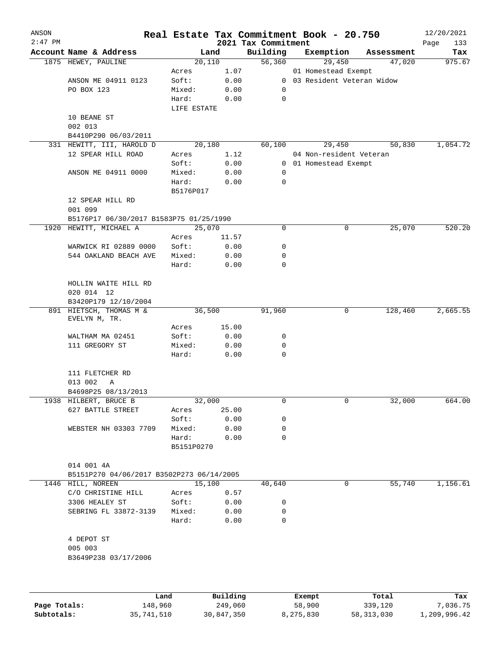| ANSON     |                                           |             |          |                                 | Real Estate Tax Commitment Book - 20.750 |              |            | 12/20/2021         |
|-----------|-------------------------------------------|-------------|----------|---------------------------------|------------------------------------------|--------------|------------|--------------------|
| $2:47$ PM | Account Name & Address                    |             | Land     | 2021 Tax Commitment<br>Building | Exemption                                |              | Assessment | Page<br>133<br>Tax |
|           | 1875 HEWEY, PAULINE                       |             | 20,110   | 56,360                          | 29,450                                   |              | 47,020     | 975.67             |
|           |                                           | Acres       | 1.07     |                                 | 01 Homestead Exempt                      |              |            |                    |
|           | ANSON ME 04911 0123                       | Soft:       | 0.00     | 0                               | 03 Resident Veteran Widow                |              |            |                    |
|           | PO BOX 123                                | Mixed:      | 0.00     | 0                               |                                          |              |            |                    |
|           |                                           | Hard:       | 0.00     | $\mathbf 0$                     |                                          |              |            |                    |
|           |                                           | LIFE ESTATE |          |                                 |                                          |              |            |                    |
|           | 10 BEANE ST                               |             |          |                                 |                                          |              |            |                    |
|           | 002 013                                   |             |          |                                 |                                          |              |            |                    |
|           | B4410P290 06/03/2011                      |             |          |                                 |                                          |              |            |                    |
|           | 331 HEWITT, III, HAROLD D                 |             | 20,180   | 60,100                          | 29,450                                   |              | 50,830     | 1,054.72           |
|           | 12 SPEAR HILL ROAD                        | Acres       | 1.12     |                                 | 04 Non-resident Veteran                  |              |            |                    |
|           |                                           | Soft:       | 0.00     |                                 | 0 01 Homestead Exempt                    |              |            |                    |
|           | ANSON ME 04911 0000                       | Mixed:      | 0.00     | 0                               |                                          |              |            |                    |
|           |                                           | Hard:       | 0.00     | $\mathbf 0$                     |                                          |              |            |                    |
|           |                                           | B5176P017   |          |                                 |                                          |              |            |                    |
|           | 12 SPEAR HILL RD                          |             |          |                                 |                                          |              |            |                    |
|           | 001 099                                   |             |          |                                 |                                          |              |            |                    |
|           | B5176P17 06/30/2017 B1583P75 01/25/1990   |             |          |                                 |                                          |              |            |                    |
| 1920      | HEWITT, MICHAEL A                         |             | 25,070   | 0                               |                                          | 0            | 25,070     | 520.20             |
|           |                                           | Acres       | 11.57    |                                 |                                          |              |            |                    |
|           | WARWICK RI 02889 0000                     | Soft:       | 0.00     | 0                               |                                          |              |            |                    |
|           | 544 OAKLAND BEACH AVE                     | Mixed:      | 0.00     | 0                               |                                          |              |            |                    |
|           |                                           | Hard:       | 0.00     | 0                               |                                          |              |            |                    |
|           |                                           |             |          |                                 |                                          |              |            |                    |
|           | HOLLIN WAITE HILL RD                      |             |          |                                 |                                          |              |            |                    |
|           | 020 014 12<br>B3420P179 12/10/2004        |             |          |                                 |                                          |              |            |                    |
|           | 891 HIETSCH, THOMAS M &                   |             | 36,500   | 91,960                          |                                          | 0            | 128,460    | 2,665.55           |
|           | EVELYN M, TR.                             |             |          |                                 |                                          |              |            |                    |
|           |                                           | Acres       | 15.00    |                                 |                                          |              |            |                    |
|           | WALTHAM MA 02451                          | Soft:       | 0.00     | 0                               |                                          |              |            |                    |
|           | 111 GREGORY ST                            | Mixed:      | 0.00     | 0                               |                                          |              |            |                    |
|           |                                           | Hard:       | 0.00     | $\mathbf 0$                     |                                          |              |            |                    |
|           | 111 FLETCHER RD                           |             |          |                                 |                                          |              |            |                    |
|           | 013 002<br>Α                              |             |          |                                 |                                          |              |            |                    |
|           | B4698P25 08/13/2013                       |             |          |                                 |                                          |              |            |                    |
|           | 1938 HILBERT, BRUCE B                     |             | 32,000   | 0                               |                                          | $\mathbf{0}$ | 32,000     | 664.00             |
|           | 627 BATTLE STREET                         | Acres       | 25.00    |                                 |                                          |              |            |                    |
|           |                                           | Soft:       | 0.00     | 0                               |                                          |              |            |                    |
|           | WEBSTER NH 03303 7709                     | Mixed:      | 0.00     | 0                               |                                          |              |            |                    |
|           |                                           | Hard:       | 0.00     | $\Omega$                        |                                          |              |            |                    |
|           |                                           | B5151P0270  |          |                                 |                                          |              |            |                    |
|           | 014 001 4A                                |             |          |                                 |                                          |              |            |                    |
|           | B5151P270 04/06/2017 B3502P273 06/14/2005 |             |          |                                 |                                          |              |            |                    |
|           | 1446 HILL, NOREEN                         |             | 15,100   | 40,640                          |                                          | 0            | 55,740     | 1,156.61           |
|           | C/O CHRISTINE HILL                        | Acres       | 0.57     |                                 |                                          |              |            |                    |
|           | 3306 HEALEY ST                            | Soft:       | 0.00     | 0                               |                                          |              |            |                    |
|           | SEBRING FL 33872-3139                     | Mixed:      | 0.00     | 0                               |                                          |              |            |                    |
|           |                                           | Hard:       | 0.00     | $\mathbf 0$                     |                                          |              |            |                    |
|           | 4 DEPOT ST                                |             |          |                                 |                                          |              |            |                    |
|           | 005 003                                   |             |          |                                 |                                          |              |            |                    |
|           | B3649P238 03/17/2006                      |             |          |                                 |                                          |              |            |                    |
|           |                                           |             |          |                                 |                                          |              |            |                    |
|           |                                           |             |          |                                 |                                          |              |            |                    |
|           |                                           | Land        | Building |                                 | Exempt                                   |              | Total      | Tax                |

|              | Land       | Building   | Exempt    | Total      | Tax          |
|--------------|------------|------------|-----------|------------|--------------|
| Page Totals: | 148,960    | 249,060    | 58,900    | 339,120    | 7,036.75     |
| Subtotals:   | 35,741,510 | 30,847,350 | 8,275,830 | 58,313,030 | 1,209,996.42 |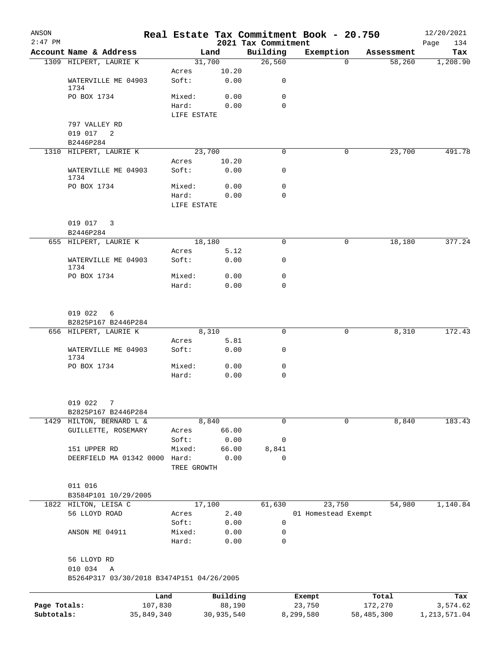| ANSON<br>$2:47$ PM |                                           |                 |               | 2021 Tax Commitment | Real Estate Tax Commitment Book - 20.750 |            | 12/20/2021<br>134<br>Page |
|--------------------|-------------------------------------------|-----------------|---------------|---------------------|------------------------------------------|------------|---------------------------|
|                    | Account Name & Address                    |                 | Land          | Building            | Exemption                                | Assessment | Tax                       |
|                    | 1309 HILPERT, LAURIE K                    |                 | 31,700        | 26,560              | $\Omega$                                 | 58,260     | 1,208.90                  |
|                    |                                           | Acres           | 10.20         |                     |                                          |            |                           |
|                    | WATERVILLE ME 04903<br>1734               | Soft:           | 0.00          | 0                   |                                          |            |                           |
|                    | PO BOX 1734                               | Mixed:          | 0.00          | $\mathbf 0$         |                                          |            |                           |
|                    |                                           | Hard:           | 0.00          | $\Omega$            |                                          |            |                           |
|                    |                                           | LIFE ESTATE     |               |                     |                                          |            |                           |
|                    | 797 VALLEY RD                             |                 |               |                     |                                          |            |                           |
|                    | 019 017 2                                 |                 |               |                     |                                          |            |                           |
|                    | B2446P284<br>1310 HILPERT, LAURIE K       |                 | 23,700        | 0                   | 0                                        | 23,700     | 491.78                    |
|                    |                                           | Acres           | 10.20         |                     |                                          |            |                           |
|                    | WATERVILLE ME 04903<br>1734               | Soft:           | 0.00          | 0                   |                                          |            |                           |
|                    | PO BOX 1734                               | Mixed:          | 0.00          | $\mathbf 0$         |                                          |            |                           |
|                    |                                           | Hard:           | 0.00          | $\Omega$            |                                          |            |                           |
|                    |                                           | LIFE ESTATE     |               |                     |                                          |            |                           |
|                    | 019 017 3                                 |                 |               |                     |                                          |            |                           |
|                    | B2446P284                                 |                 |               |                     |                                          |            |                           |
|                    | 655 HILPERT, LAURIE K                     |                 | 18,180        | 0                   | 0                                        | 18,180     | 377.24                    |
|                    | WATERVILLE ME 04903                       | Acres<br>Soft:  | 5.12<br>0.00  | 0                   |                                          |            |                           |
|                    | 1734                                      |                 |               |                     |                                          |            |                           |
|                    | PO BOX 1734                               | Mixed:          | 0.00          | 0                   |                                          |            |                           |
|                    |                                           | Hard:           | 0.00          | 0                   |                                          |            |                           |
|                    | 019 022<br>6<br>B2825P167 B2446P284       |                 |               |                     |                                          |            |                           |
|                    | 656 HILPERT, LAURIE K                     |                 | 8,310         | $\mathbf 0$         | 0                                        | 8,310      | 172.43                    |
|                    |                                           | Acres           | 5.81          |                     |                                          |            |                           |
|                    | WATERVILLE ME 04903<br>1734               | Soft:           | 0.00          | 0                   |                                          |            |                           |
|                    | PO BOX 1734                               | Mixed:          | 0.00          | 0                   |                                          |            |                           |
|                    |                                           | Hard:           | 0.00          | 0                   |                                          |            |                           |
|                    | 019 022<br>7                              |                 |               |                     |                                          |            |                           |
|                    | B2825P167 B2446P284                       |                 |               |                     |                                          |            |                           |
|                    | 1429 HILTON, BERNARD L &                  |                 | 8,840         | $\mathbf 0$         | 0                                        | 8,840      | 183.43                    |
|                    | GUILLETTE, ROSEMARY                       | Acres           | 66.00         |                     |                                          |            |                           |
|                    |                                           | Soft:           | 0.00          | 0                   |                                          |            |                           |
|                    | 151 UPPER RD<br>DEERFIELD MA 01342 0000   | Mixed:<br>Hard: | 66.00<br>0.00 | 8,841<br>0          |                                          |            |                           |
|                    |                                           | TREE GROWTH     |               |                     |                                          |            |                           |
|                    | 011 016                                   |                 |               |                     |                                          |            |                           |
|                    | B3584P101 10/29/2005                      |                 |               |                     |                                          |            |                           |
|                    | 1822 HILTON, LEISA C                      |                 | 17,100        | 61,630              | 23,750                                   | 54,980     | 1,140.84                  |
|                    | 56 LLOYD ROAD                             | Acres           | 2.40          |                     | 01 Homestead Exempt                      |            |                           |
|                    |                                           | Soft:           | 0.00          | 0                   |                                          |            |                           |
|                    | ANSON ME 04911                            | Mixed:<br>Hard: | 0.00<br>0.00  | 0<br>0              |                                          |            |                           |
|                    | 56 LLOYD RD                               |                 |               |                     |                                          |            |                           |
|                    | 010 034<br>Α                              |                 |               |                     |                                          |            |                           |
|                    | B5264P317 03/30/2018 B3474P151 04/26/2005 |                 |               |                     |                                          |            |                           |
|                    |                                           | Land            | Building      |                     | Exempt                                   | Total      | Tax                       |
| Page Totals:       |                                           | 107,830         | 88,190        |                     | 23,750                                   | 172,270    | 3,574.62                  |
| Subtotals:         | 35,849,340                                |                 | 30,935,540    |                     | 8,299,580                                | 58,485,300 | 1, 213, 571.04            |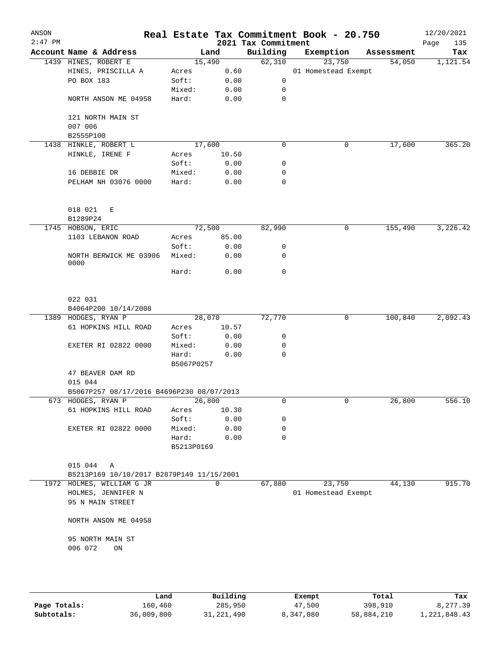| ANSON<br>$2:47$ PM |                                                           |                     |              | 2021 Tax Commitment | Real Estate Tax Commitment Book - 20.750 |            | 12/20/2021<br>135<br>Page |
|--------------------|-----------------------------------------------------------|---------------------|--------------|---------------------|------------------------------------------|------------|---------------------------|
|                    | Account Name & Address                                    | Land                |              | Building            | Exemption                                | Assessment | Tax                       |
|                    | 1439 HINES, ROBERT E                                      | 15,490              |              | 62,310              | 23,750                                   | 54,050     | 1,121.54                  |
|                    | HINES, PRISCILLA A                                        | Acres               | 0.60         |                     | 01 Homestead Exempt                      |            |                           |
|                    | PO BOX 183                                                | Soft:               | 0.00         | $\mathsf{O}$        |                                          |            |                           |
|                    |                                                           | Mixed:              | 0.00         | 0                   |                                          |            |                           |
|                    | NORTH ANSON ME 04958                                      | Hard:               | 0.00         | 0                   |                                          |            |                           |
|                    | 121 NORTH MAIN ST<br>007 006<br>B2555P100                 |                     |              |                     |                                          |            |                           |
|                    | 1438 HINKLE, ROBERT L                                     | 17,600              |              | $\mathbf 0$         | 0                                        | 17,600     | 365.20                    |
|                    | HINKLE, IRENE F                                           | Acres               | 10.50        |                     |                                          |            |                           |
|                    |                                                           | Soft:               | 0.00         | 0                   |                                          |            |                           |
|                    | 16 DEBBIE DR                                              | Mixed:              | 0.00         | 0                   |                                          |            |                           |
|                    | PELHAM NH 03076 0000                                      | Hard:               | 0.00         | $\mathbf 0$         |                                          |            |                           |
|                    | 018 021<br>Е<br>B1289P24                                  |                     |              |                     |                                          |            |                           |
|                    | 1745 HOBSON, ERIC                                         | 72,500              |              | 82,990              | 0                                        | 155,490    | 3,226.42                  |
|                    | 1103 LEBANON ROAD                                         | Acres               | 85.00        |                     |                                          |            |                           |
|                    | NORTH BERWICK ME 03906                                    | Soft:<br>Mixed:     | 0.00<br>0.00 | 0<br>0              |                                          |            |                           |
|                    | 0000                                                      | Hard:               | 0.00         | $\mathbf 0$         |                                          |            |                           |
|                    |                                                           |                     |              |                     |                                          |            |                           |
|                    | 022 031                                                   |                     |              |                     |                                          |            |                           |
|                    | B4064P200 10/14/2008<br>1389 HODGES, RYAN P               | 28,070              |              | 72,770              | 0                                        | 100,840    | 2,092.43                  |
|                    | 61 HOPKINS HILL ROAD                                      | Acres               | 10.57        |                     |                                          |            |                           |
|                    |                                                           | Soft:               | 0.00         | 0                   |                                          |            |                           |
|                    | EXETER RI 02822 0000                                      | Mixed:              | 0.00         | 0                   |                                          |            |                           |
|                    |                                                           | Hard:               | 0.00         | 0                   |                                          |            |                           |
|                    |                                                           | B5067P0257          |              |                     |                                          |            |                           |
|                    | 47 BEAVER DAM RD<br>015 044                               |                     |              |                     |                                          |            |                           |
|                    | B5067P257 08/17/2016 B4696P230 08/07/2013                 |                     |              |                     |                                          |            |                           |
|                    | 673 HODGES, RYAN P                                        | 26,800              |              | 0                   | 0                                        | 26,800     | 556.10                    |
|                    | 61 HOPKINS HILL ROAD                                      | Acres               | 10.30        |                     |                                          |            |                           |
|                    |                                                           | Soft:               | 0.00         | 0                   |                                          |            |                           |
|                    | EXETER RI 02822 0000                                      | Mixed:              | 0.00         | 0                   |                                          |            |                           |
|                    |                                                           | Hard:<br>B5213P0169 | 0.00         | 0                   |                                          |            |                           |
|                    |                                                           |                     |              |                     |                                          |            |                           |
|                    | 015 044<br>Α<br>B5213P169 10/10/2017 B2879P149 11/15/2001 |                     |              |                     |                                          |            |                           |
|                    | 1972 HOLMES, WILLIAM G JR                                 |                     | $\Omega$     | 67,880              | 23,750                                   | 44,130     | 915.70                    |
|                    | HOLMES, JENNIFER N<br>95 N MAIN STREET                    |                     |              |                     | 01 Homestead Exempt                      |            |                           |
|                    | NORTH ANSON ME 04958                                      |                     |              |                     |                                          |            |                           |
|                    | 95 NORTH MAIN ST<br>006 072<br>ON                         |                     |              |                     |                                          |            |                           |
|                    |                                                           |                     |              |                     |                                          |            |                           |

|              | Land       | Building     | Exempt    | Total      | Tax          |
|--------------|------------|--------------|-----------|------------|--------------|
| Page Totals: | 160,460    | 285,950      | 47,500    | 398,910    | 8,277.39     |
| Subtotals:   | 36,009,800 | 31, 221, 490 | 8,347,080 | 58,884,210 | 1,221,848.43 |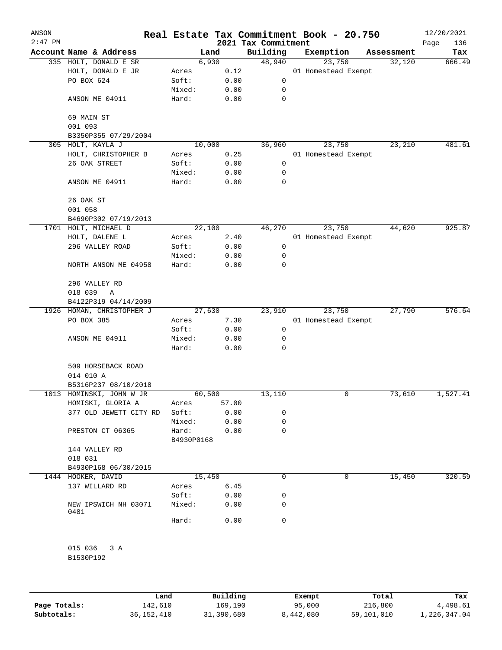| ANSON<br>$2:47$ PM |                              |                     |       | 2021 Tax Commitment | Real Estate Tax Commitment Book - 20.750 |            | 12/20/2021<br>Page<br>136 |
|--------------------|------------------------------|---------------------|-------|---------------------|------------------------------------------|------------|---------------------------|
|                    | Account Name & Address       | Land                |       | Building            | Exemption                                | Assessment | Tax                       |
|                    | 335 HOLT, DONALD E SR        | 6,930               |       | 48,940              | 23,750                                   | 32,120     | 666.49                    |
|                    | HOLT, DONALD E JR            | Acres               | 0.12  |                     | 01 Homestead Exempt                      |            |                           |
|                    | PO BOX 624                   | Soft:               | 0.00  | 0                   |                                          |            |                           |
|                    |                              | Mixed:              | 0.00  | 0                   |                                          |            |                           |
|                    | ANSON ME 04911               | Hard:               | 0.00  | 0                   |                                          |            |                           |
|                    | 69 MAIN ST<br>001 093        |                     |       |                     |                                          |            |                           |
|                    | B3350P355 07/29/2004         |                     |       |                     |                                          |            |                           |
| 305                | HOLT, KAYLA J                | 10,000              |       | 36,960              | 23,750                                   | 23,210     | 481.61                    |
|                    | HOLT, CHRISTOPHER B          | Acres               | 0.25  |                     | 01 Homestead Exempt                      |            |                           |
|                    | 26 OAK STREET                | Soft:               | 0.00  | 0                   |                                          |            |                           |
|                    |                              | Mixed:              | 0.00  | 0                   |                                          |            |                           |
|                    | ANSON ME 04911               | Hard:               | 0.00  | 0                   |                                          |            |                           |
|                    | 26 OAK ST                    |                     |       |                     |                                          |            |                           |
|                    | 001 058                      |                     |       |                     |                                          |            |                           |
|                    | B4690P302 07/19/2013         |                     |       |                     |                                          |            |                           |
|                    | 1701 HOLT, MICHAEL D         | 22,100              |       | 46,270              | 23,750                                   | 44,620     | 925.87                    |
|                    | HOLT, DALENE L               | Acres               | 2.40  |                     | 01 Homestead Exempt                      |            |                           |
|                    | 296 VALLEY ROAD              | Soft:               | 0.00  | 0                   |                                          |            |                           |
|                    |                              | Mixed:              | 0.00  | 0                   |                                          |            |                           |
|                    | NORTH ANSON ME 04958         | Hard:               | 0.00  | 0                   |                                          |            |                           |
|                    | 296 VALLEY RD                |                     |       |                     |                                          |            |                           |
|                    | 018 039<br>A                 |                     |       |                     |                                          |            |                           |
|                    | B4122P319 04/14/2009         |                     |       |                     |                                          |            |                           |
|                    | 1926 HOMAN, CHRISTOPHER J    | 27,630              |       | 23,910              | 23,750                                   | 27,790     | 576.64                    |
|                    | PO BOX 385                   | Acres               | 7.30  |                     | 01 Homestead Exempt                      |            |                           |
|                    |                              | Soft:               | 0.00  | 0                   |                                          |            |                           |
|                    | ANSON ME 04911               | Mixed:              | 0.00  | 0                   |                                          |            |                           |
|                    |                              | Hard:               | 0.00  | 0                   |                                          |            |                           |
|                    | 509 HORSEBACK ROAD           |                     |       |                     |                                          |            |                           |
|                    | 014 010 A                    |                     |       |                     |                                          |            |                           |
|                    | B5316P237 08/10/2018         |                     |       |                     |                                          |            |                           |
|                    | 1013 HOMINSKI, JOHN W JR     | 60,500              |       | 13,110              | 0                                        | 73,610     | 1,527.41                  |
|                    | HOMISKI, GLORIA A            | Acres               | 57.00 |                     |                                          |            |                           |
|                    | 377 OLD JEWETT CITY RD       | Soft:               | 0.00  | 0                   |                                          |            |                           |
|                    |                              | Mixed:              | 0.00  | 0                   |                                          |            |                           |
|                    | PRESTON CT 06365             | Hard:<br>B4930P0168 | 0.00  | 0                   |                                          |            |                           |
|                    | 144 VALLEY RD                |                     |       |                     |                                          |            |                           |
|                    | 018 031                      |                     |       |                     |                                          |            |                           |
|                    | B4930P168 06/30/2015         |                     |       |                     |                                          |            |                           |
|                    | 1444 HOOKER, DAVID           | 15,450              |       | 0                   | 0                                        | 15,450     | 320.59                    |
|                    | 137 WILLARD RD               | Acres               | 6.45  |                     |                                          |            |                           |
|                    |                              | Soft:               | 0.00  | 0                   |                                          |            |                           |
|                    | NEW IPSWICH NH 03071<br>0481 | Mixed:              | 0.00  | 0                   |                                          |            |                           |
|                    |                              | Hard:               | 0.00  | 0                   |                                          |            |                           |
|                    |                              |                     |       |                     |                                          |            |                           |
|                    | 015 036<br>3 A<br>B1530P192  |                     |       |                     |                                          |            |                           |
|                    |                              |                     |       |                     |                                          |            |                           |
|                    |                              |                     |       |                     |                                          |            |                           |

|              | Land         | Building   | Exempt    | Total      | Tax          |
|--------------|--------------|------------|-----------|------------|--------------|
| Page Totals: | 142,610      | 169,190    | 95,000    | 216,800    | 4,498.61     |
| Subtotals:   | 36, 152, 410 | 31,390,680 | 8,442,080 | 59,101,010 | 1,226,347.04 |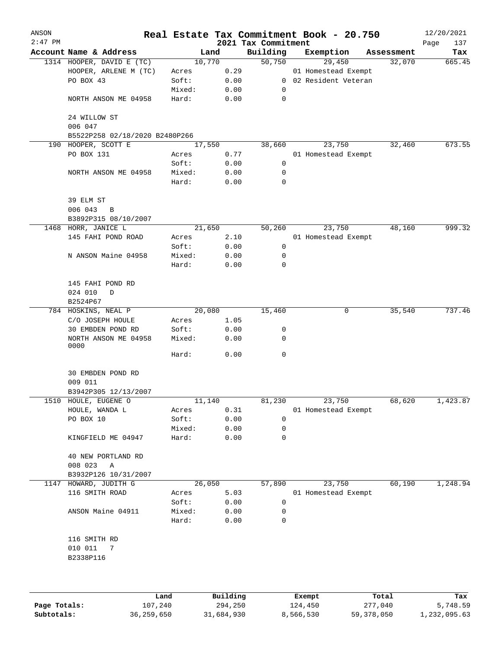| ANSON     |                                                       |                 |              |                                 | Real Estate Tax Commitment Book - 20.750 |            | 12/20/2021         |
|-----------|-------------------------------------------------------|-----------------|--------------|---------------------------------|------------------------------------------|------------|--------------------|
| $2:47$ PM | Account Name & Address                                |                 | Land         | 2021 Tax Commitment<br>Building | Exemption                                | Assessment | Page<br>137<br>Tax |
|           | 1314 HOOPER, DAVID E (TC)                             |                 | 10,770       | 50,750                          | 29,450                                   | 32,070     | 665.45             |
|           | HOOPER, ARLENE M (TC)                                 | Acres           | 0.29         |                                 | 01 Homestead Exempt                      |            |                    |
|           | PO BOX 43                                             | Soft:           | 0.00         | $\overline{0}$                  | 02 Resident Veteran                      |            |                    |
|           |                                                       | Mixed:          | 0.00         | 0                               |                                          |            |                    |
|           | NORTH ANSON ME 04958                                  | Hard:           | 0.00         | $\mathbf 0$                     |                                          |            |                    |
|           | 24 WILLOW ST                                          |                 |              |                                 |                                          |            |                    |
|           | 006 047                                               |                 |              |                                 |                                          |            |                    |
|           | B5522P258 02/18/2020 B2480P266<br>190 HOOPER, SCOTT E |                 | 17,550       | 38,660                          | 23,750                                   | 32,460     | 673.55             |
|           | PO BOX 131                                            | Acres           | 0.77         |                                 | 01 Homestead Exempt                      |            |                    |
|           |                                                       | Soft:           | 0.00         | 0                               |                                          |            |                    |
|           |                                                       |                 |              | 0                               |                                          |            |                    |
|           | NORTH ANSON ME 04958                                  | Mixed:<br>Hard: | 0.00<br>0.00 | 0                               |                                          |            |                    |
|           | 39 ELM ST<br>006 043<br>B                             |                 |              |                                 |                                          |            |                    |
|           | B3892P315 08/10/2007                                  |                 |              |                                 |                                          |            |                    |
|           | 1468 HORR, JANICE L                                   |                 | 21,650       | 50,260                          | 23,750                                   | 48,160     | 999.32             |
|           | 145 FAHI POND ROAD                                    | Acres           | 2.10         |                                 | 01 Homestead Exempt                      |            |                    |
|           |                                                       | Soft:           | 0.00         | 0                               |                                          |            |                    |
|           | N ANSON Maine 04958                                   | Mixed:          | 0.00         | 0                               |                                          |            |                    |
|           |                                                       | Hard:           | 0.00         | $\mathbf 0$                     |                                          |            |                    |
|           | 145 FAHI POND RD                                      |                 |              |                                 |                                          |            |                    |
|           | 024 010<br>D<br>B2524P67                              |                 |              |                                 |                                          |            |                    |
|           | 784 HOSKINS, NEAL P                                   |                 | 20,080       | 15,460                          | 0                                        | 35,540     | 737.46             |
|           | C/O JOSEPH HOULE                                      | Acres           | 1.05         |                                 |                                          |            |                    |
|           | 30 EMBDEN POND RD                                     | Soft:           | 0.00         | 0                               |                                          |            |                    |
|           | NORTH ANSON ME 04958<br>0000                          | Mixed:          | 0.00         | 0                               |                                          |            |                    |
|           |                                                       | Hard:           | 0.00         | $\mathbf 0$                     |                                          |            |                    |
|           | 30 EMBDEN POND RD<br>009 011                          |                 |              |                                 |                                          |            |                    |
|           | B3942P305 12/13/2007                                  |                 |              |                                 |                                          |            |                    |
|           | 1510 HOULE, EUGENE O                                  |                 | 11,140       | 81,230                          | 23,750                                   | 68,620     | 1,423.87           |
|           | HOULE, WANDA L                                        | Acres           | 0.31         |                                 | 01 Homestead Exempt                      |            |                    |
|           | PO BOX 10                                             | Soft:           | 0.00         | 0                               |                                          |            |                    |
|           |                                                       | Mixed:          |              | 0                               |                                          |            |                    |
|           | KINGFIELD ME 04947                                    | Hard:           | 0.00<br>0.00 | 0                               |                                          |            |                    |
|           | 40 NEW PORTLAND RD                                    |                 |              |                                 |                                          |            |                    |
|           | 008 023<br>Α                                          |                 |              |                                 |                                          |            |                    |
|           | B3932P126 10/31/2007                                  |                 |              |                                 |                                          |            |                    |
| 1147      | HOWARD, JUDITH G                                      |                 | 26,050       | 57,890                          | 23,750                                   | 60,190     | 1,248.94           |
|           | 116 SMITH ROAD                                        | Acres           | 5.03         |                                 | 01 Homestead Exempt                      |            |                    |
|           |                                                       | Soft:           | 0.00         | 0                               |                                          |            |                    |
|           | ANSON Maine 04911                                     | Mixed:<br>Hard: | 0.00<br>0.00 | 0<br>0                          |                                          |            |                    |
|           | 116 SMITH RD                                          |                 |              |                                 |                                          |            |                    |
|           | 010 011<br>7                                          |                 |              |                                 |                                          |            |                    |
|           | B2338P116                                             |                 |              |                                 |                                          |            |                    |
|           |                                                       |                 |              |                                 |                                          |            |                    |
|           |                                                       | Land.           | Building     |                                 | $F$ vemnt                                | $T$ ctal   |                    |

|              | Land       | Building   | Exempt    | Total      | Tax          |
|--------------|------------|------------|-----------|------------|--------------|
| Page Totals: | 107,240    | 294,250    | 124,450   | 277,040    | 5,748.59     |
| Subtotals:   | 36,259,650 | 31,684,930 | 8,566,530 | 59,378,050 | 1,232,095.63 |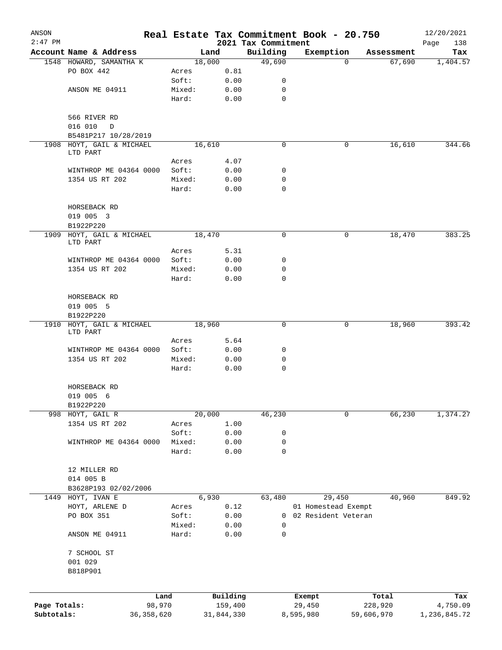| ANSON                      |                                          |                        |                 |                       |                                 | Real Estate Tax Commitment Book - 20.750 |                       | 12/20/2021               |
|----------------------------|------------------------------------------|------------------------|-----------------|-----------------------|---------------------------------|------------------------------------------|-----------------------|--------------------------|
| $2:47$ PM                  | Account Name & Address                   |                        |                 |                       | 2021 Tax Commitment<br>Building | Exemption                                |                       | Page<br>138              |
|                            | 1548 HOWARD, SAMANTHA K                  |                        |                 | Land<br>18,000        | 49,690                          | $\Omega$                                 | Assessment<br>67,690  | Tax<br>1,404.57          |
|                            | PO BOX 442                               |                        | Acres           | 0.81                  |                                 |                                          |                       |                          |
|                            |                                          |                        | Soft:           | 0.00                  | 0                               |                                          |                       |                          |
|                            | ANSON ME 04911                           |                        | Mixed:          | 0.00                  | 0                               |                                          |                       |                          |
|                            |                                          |                        | Hard:           | 0.00                  | $\mathbf 0$                     |                                          |                       |                          |
|                            | 566 RIVER RD                             |                        |                 |                       |                                 |                                          |                       |                          |
|                            | 016 010<br>$\Box$                        |                        |                 |                       |                                 |                                          |                       |                          |
|                            | B5481P217 10/28/2019                     |                        |                 |                       |                                 |                                          |                       |                          |
|                            | 1908 HOYT, GAIL & MICHAEL                |                        |                 | 16,610                | $\mathbf 0$                     | 0                                        | 16,610                | 344.66                   |
|                            | LTD PART                                 |                        |                 |                       |                                 |                                          |                       |                          |
|                            |                                          |                        | Acres<br>Soft:  | 4.07<br>0.00          |                                 |                                          |                       |                          |
|                            | WINTHROP ME 04364 0000<br>1354 US RT 202 |                        | Mixed:          | 0.00                  | 0<br>0                          |                                          |                       |                          |
|                            |                                          |                        | Hard:           | 0.00                  | 0                               |                                          |                       |                          |
|                            |                                          |                        |                 |                       |                                 |                                          |                       |                          |
|                            | HORSEBACK RD<br>019 005 3                |                        |                 |                       |                                 |                                          |                       |                          |
|                            | B1922P220                                |                        |                 |                       |                                 |                                          |                       |                          |
|                            | 1909 HOYT, GAIL & MICHAEL                |                        |                 | 18,470                | $\mathbf 0$                     | 0                                        | 18,470                | 383.25                   |
|                            | LTD PART                                 |                        |                 |                       |                                 |                                          |                       |                          |
|                            |                                          |                        | Acres           | 5.31                  |                                 |                                          |                       |                          |
|                            | WINTHROP ME 04364 0000<br>1354 US RT 202 |                        | Soft:           | 0.00                  | 0<br>$\mathbf 0$                |                                          |                       |                          |
|                            |                                          |                        | Mixed:<br>Hard: | 0.00<br>0.00          | $\mathbf 0$                     |                                          |                       |                          |
|                            |                                          |                        |                 |                       |                                 |                                          |                       |                          |
|                            | HORSEBACK RD                             |                        |                 |                       |                                 |                                          |                       |                          |
|                            | 019 005 5                                |                        |                 |                       |                                 |                                          |                       |                          |
|                            | B1922P220                                |                        |                 |                       |                                 |                                          |                       |                          |
|                            | 1910 HOYT, GAIL & MICHAEL                |                        |                 | 18,960                | $\mathbf 0$                     | 0                                        | 18,960                | 393.42                   |
|                            | LTD PART                                 |                        |                 |                       |                                 |                                          |                       |                          |
|                            | WINTHROP ME 04364 0000                   |                        | Acres<br>Soft:  | 5.64<br>0.00          | 0                               |                                          |                       |                          |
|                            | 1354 US RT 202                           |                        | Mixed:          | 0.00                  | 0                               |                                          |                       |                          |
|                            |                                          |                        | Hard:           | 0.00                  | $\mathbf 0$                     |                                          |                       |                          |
|                            |                                          |                        |                 |                       |                                 |                                          |                       |                          |
|                            | HORSEBACK RD                             |                        |                 |                       |                                 |                                          |                       |                          |
|                            | 019 005 6                                |                        |                 |                       |                                 |                                          |                       |                          |
|                            | B1922P220                                |                        |                 |                       |                                 |                                          |                       |                          |
|                            | 998 HOYT, GAIL R                         |                        |                 | 20,000                | 46,230                          | 0                                        | 66,230                | 1,374.27                 |
|                            | 1354 US RT 202                           |                        | Acres           | 1.00                  |                                 |                                          |                       |                          |
|                            |                                          |                        | Soft:           | 0.00                  | 0                               |                                          |                       |                          |
|                            | WINTHROP ME 04364 0000                   |                        | Mixed:          | 0.00                  | 0<br>0                          |                                          |                       |                          |
|                            |                                          |                        | Hard:           | 0.00                  |                                 |                                          |                       |                          |
|                            | 12 MILLER RD                             |                        |                 |                       |                                 |                                          |                       |                          |
|                            | 014 005 B                                |                        |                 |                       |                                 |                                          |                       |                          |
|                            | B3628P193 02/02/2006                     |                        |                 |                       |                                 |                                          |                       |                          |
|                            | 1449 HOYT, IVAN E                        |                        |                 | 6,930                 | 63,480                          | 29,450                                   | 40,960                | 849.92                   |
|                            | HOYT, ARLENE D                           |                        | Acres           | 0.12                  |                                 | 01 Homestead Exempt                      |                       |                          |
|                            | PO BOX 351                               |                        | Soft:           | 0.00                  | 0                               | 02 Resident Veteran                      |                       |                          |
|                            |                                          |                        | Mixed:          | 0.00                  | 0                               |                                          |                       |                          |
|                            | ANSON ME 04911                           |                        | Hard:           | 0.00                  | 0                               |                                          |                       |                          |
|                            | 7 SCHOOL ST                              |                        |                 |                       |                                 |                                          |                       |                          |
|                            | 001 029                                  |                        |                 |                       |                                 |                                          |                       |                          |
|                            | B818P901                                 |                        |                 |                       |                                 |                                          |                       |                          |
|                            |                                          |                        |                 |                       |                                 |                                          |                       |                          |
|                            |                                          | Land                   |                 | Building              |                                 | Exempt                                   | Total                 | Tax                      |
| Page Totals:<br>Subtotals: |                                          | 98,970<br>36, 358, 620 |                 | 159,400<br>31,844,330 |                                 | 29,450<br>8,595,980                      | 228,920<br>59,606,970 | 4,750.09<br>1,236,845.72 |
|                            |                                          |                        |                 |                       |                                 |                                          |                       |                          |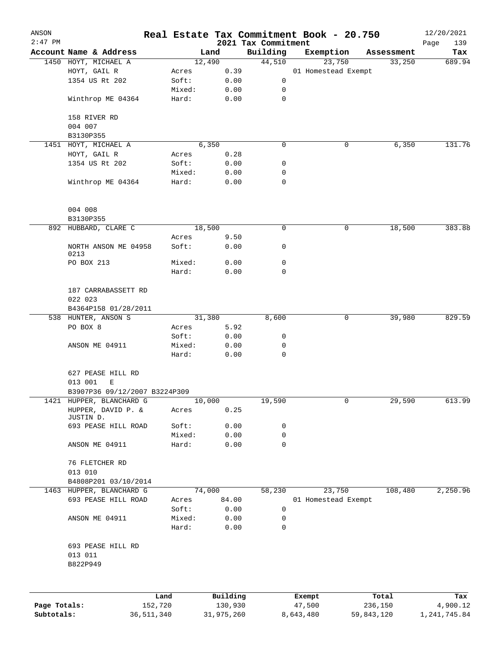| ANSON        |                                                |              |                 |                |                                 | Real Estate Tax Commitment Book - 20.750 |            |            | 12/20/2021         |
|--------------|------------------------------------------------|--------------|-----------------|----------------|---------------------------------|------------------------------------------|------------|------------|--------------------|
| $2:47$ PM    | Account Name & Address                         |              |                 | Land           | 2021 Tax Commitment<br>Building | Exemption                                |            | Assessment | Page<br>139<br>Tax |
|              | 1450 HOYT, MICHAEL A                           |              |                 | 12,490         | 44,510                          | 23,750                                   |            | 33,250     | 689.94             |
|              | HOYT, GAIL R                                   |              | Acres           | 0.39           |                                 | 01 Homestead Exempt                      |            |            |                    |
|              | 1354 US Rt 202                                 |              | Soft:           | 0.00           |                                 | 0                                        |            |            |                    |
|              |                                                |              | Mixed:          | 0.00           |                                 | 0                                        |            |            |                    |
|              | Winthrop ME 04364                              |              | Hard:           | 0.00           |                                 | 0                                        |            |            |                    |
|              | 158 RIVER RD                                   |              |                 |                |                                 |                                          |            |            |                    |
|              | 004 007                                        |              |                 |                |                                 |                                          |            |            |                    |
|              | B3130P355                                      |              |                 |                |                                 |                                          |            |            |                    |
|              | 1451 HOYT, MICHAEL A                           |              |                 | 6,350          |                                 | 0                                        | 0          | 6,350      | 131.76             |
|              | HOYT, GAIL R                                   |              | Acres           | 0.28           |                                 |                                          |            |            |                    |
|              | 1354 US Rt 202                                 |              | Soft:           | 0.00           |                                 | 0                                        |            |            |                    |
|              |                                                |              | Mixed:          | 0.00           |                                 | 0                                        |            |            |                    |
|              | Winthrop ME 04364                              |              | Hard:           | 0.00           |                                 | $\mathbf 0$                              |            |            |                    |
|              | 004 008                                        |              |                 |                |                                 |                                          |            |            |                    |
|              | B3130P355                                      |              |                 |                |                                 |                                          |            |            |                    |
|              | 892 HUBBARD, CLARE C                           |              |                 | 18,500         |                                 | 0                                        | 0          | 18,500     | 383.88             |
|              |                                                |              | Acres           | 9.50           |                                 |                                          |            |            |                    |
|              | NORTH ANSON ME 04958<br>0213                   |              | Soft:           | 0.00           |                                 | 0                                        |            |            |                    |
|              | PO BOX 213                                     |              | Mixed:          | 0.00           |                                 | 0                                        |            |            |                    |
|              |                                                |              | Hard:           | 0.00           |                                 | 0                                        |            |            |                    |
|              | 187 CARRABASSETT RD<br>022 023                 |              |                 |                |                                 |                                          |            |            |                    |
|              | B4364P158 01/28/2011                           |              |                 |                |                                 |                                          |            |            |                    |
|              | 538 HUNTER, ANSON S                            |              |                 | 31,380         | 8,600                           |                                          | 0          | 39,980     | 829.59             |
|              | PO BOX 8                                       |              | Acres           | 5.92           |                                 |                                          |            |            |                    |
|              |                                                |              | Soft:           | 0.00           |                                 | 0                                        |            |            |                    |
|              | ANSON ME 04911                                 |              | Mixed:          | 0.00           |                                 | 0                                        |            |            |                    |
|              |                                                |              | Hard:           | 0.00           |                                 | 0                                        |            |            |                    |
|              | 627 PEASE HILL RD                              |              |                 |                |                                 |                                          |            |            |                    |
|              | 013 001<br>Ε                                   |              |                 |                |                                 |                                          |            |            |                    |
|              | B3907P36 09/12/2007 B3224P309                  |              |                 |                |                                 |                                          |            |            |                    |
|              | 1421 HUPPER, BLANCHARD G<br>HUPPER, DAVID P. & |              | Acres           | 10,000<br>0.25 | 19,590                          |                                          | 0          | 29,590     | 613.99             |
|              | JUSTIN D.<br>693 PEASE HILL ROAD               |              |                 | 0.00           |                                 |                                          |            |            |                    |
|              |                                                |              | Soft:<br>Mixed: | 0.00           |                                 | 0<br>0                                   |            |            |                    |
|              | ANSON ME 04911                                 |              | Hard:           | 0.00           |                                 | $\mathbf 0$                              |            |            |                    |
|              |                                                |              |                 |                |                                 |                                          |            |            |                    |
|              | 76 FLETCHER RD<br>013 010                      |              |                 |                |                                 |                                          |            |            |                    |
|              | B4808P201 03/10/2014                           |              |                 |                |                                 |                                          |            |            |                    |
|              | 1463 HUPPER, BLANCHARD G                       |              |                 | 74,000         | 58,230                          | 23,750                                   |            | 108,480    | 2,250.96           |
|              | 693 PEASE HILL ROAD                            |              | Acres           | 84.00          |                                 | 01 Homestead Exempt                      |            |            |                    |
|              |                                                |              | Soft:           | 0.00           |                                 | 0                                        |            |            |                    |
|              | ANSON ME 04911                                 |              | Mixed:<br>Hard: | 0.00<br>0.00   |                                 | 0<br>0                                   |            |            |                    |
|              |                                                |              |                 |                |                                 |                                          |            |            |                    |
|              | 693 PEASE HILL RD<br>013 011<br>B822P949       |              |                 |                |                                 |                                          |            |            |                    |
|              |                                                | Land         |                 | Building       |                                 | Exempt                                   |            | Total      | Tax                |
| Page Totals: |                                                | 152,720      |                 | 130,930        |                                 | 47,500                                   |            | 236,150    | 4,900.12           |
| Subtotals:   |                                                | 36, 511, 340 |                 | 31,975,260     |                                 | 8,643,480                                | 59,843,120 |            | 1,241,745.84       |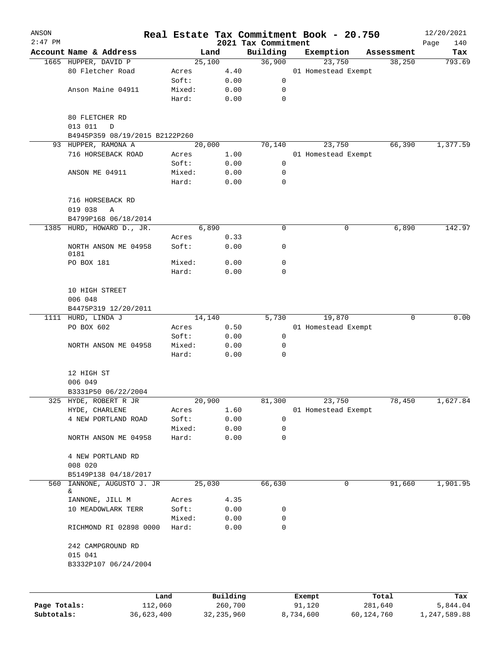| ANSON        |                                                       |                 |              |                                 | Real Estate Tax Commitment Book - 20.750 |            | 12/20/2021         |
|--------------|-------------------------------------------------------|-----------------|--------------|---------------------------------|------------------------------------------|------------|--------------------|
| $2:47$ PM    | Account Name & Address                                |                 | Land         | 2021 Tax Commitment<br>Building | Exemption                                | Assessment | Page<br>140<br>Tax |
|              | 1665 HUPPER, DAVID P                                  | 25,100          |              | 36,900                          | 23,750                                   | 38,250     | 793.69             |
|              | 80 Fletcher Road                                      | Acres           | 4.40         |                                 | 01 Homestead Exempt                      |            |                    |
|              |                                                       | Soft:           | 0.00         | 0                               |                                          |            |                    |
|              | Anson Maine 04911                                     | Mixed:          | 0.00         | 0                               |                                          |            |                    |
|              |                                                       | Hard:           | 0.00         | $\mathbf 0$                     |                                          |            |                    |
|              | 80 FLETCHER RD<br>013 011<br>D                        |                 |              |                                 |                                          |            |                    |
|              | B4945P359 08/19/2015 B2122P260<br>93 HUPPER, RAMONA A | 20,000          |              | 70,140                          | 23,750                                   | 66,390     | 1,377.59           |
|              | 716 HORSEBACK ROAD                                    | Acres           | 1.00         |                                 | 01 Homestead Exempt                      |            |                    |
|              |                                                       | Soft:           | 0.00         | 0                               |                                          |            |                    |
|              | ANSON ME 04911                                        | Mixed:          | 0.00         | 0                               |                                          |            |                    |
|              |                                                       | Hard:           | 0.00         | $\mathbf 0$                     |                                          |            |                    |
|              | 716 HORSEBACK RD<br>019 038<br>Α                      |                 |              |                                 |                                          |            |                    |
|              | B4799P168 06/18/2014                                  |                 |              |                                 |                                          |            |                    |
|              | 1385 HURD, HOWARD D., JR.                             |                 | 6,890        | 0                               | 0                                        | 6,890      | 142.97             |
|              |                                                       | Acres           | 0.33         |                                 |                                          |            |                    |
|              | NORTH ANSON ME 04958<br>0181                          | Soft:           | 0.00         | 0                               |                                          |            |                    |
|              | PO BOX 181                                            | Mixed:          | 0.00         | 0                               |                                          |            |                    |
|              |                                                       | Hard:           | 0.00         | 0                               |                                          |            |                    |
|              | 10 HIGH STREET<br>006 048                             |                 |              |                                 |                                          |            |                    |
|              | B4475P319 12/20/2011                                  |                 |              |                                 |                                          |            |                    |
|              | 1111 HURD, LINDA J                                    | 14,140          |              | 5,730                           | 19,870                                   | 0          | 0.00               |
|              | PO BOX 602                                            | Acres           | 0.50         |                                 | 01 Homestead Exempt                      |            |                    |
|              |                                                       | Soft:           | 0.00         | 0                               |                                          |            |                    |
|              | NORTH ANSON ME 04958                                  | Mixed:<br>Hard: | 0.00<br>0.00 | 0<br>$\mathbf 0$                |                                          |            |                    |
|              | 12 HIGH ST                                            |                 |              |                                 |                                          |            |                    |
|              | 006 049                                               |                 |              |                                 |                                          |            |                    |
|              | B3331P50 06/22/2004                                   |                 |              |                                 |                                          |            |                    |
|              | 325 HYDE, ROBERT R JR<br>HYDE, CHARLENE               | 20,900          | 1.60         | 81,300                          | 23,750<br>01 Homestead Exempt            | 78,450     | 1,627.84           |
|              | 4 NEW PORTLAND ROAD                                   | Acres<br>Soft:  | 0.00         | 0                               |                                          |            |                    |
|              |                                                       | Mixed:          | 0.00         | 0                               |                                          |            |                    |
|              | NORTH ANSON ME 04958                                  | Hard:           | 0.00         | 0                               |                                          |            |                    |
|              |                                                       |                 |              |                                 |                                          |            |                    |
|              | 4 NEW PORTLAND RD<br>008 020                          |                 |              |                                 |                                          |            |                    |
|              | B5149P138 04/18/2017                                  |                 |              |                                 |                                          |            |                    |
| 560          | IANNONE, AUGUSTO J. JR<br>&                           | 25,030          |              | 66,630                          | 0                                        | 91,660     | 1,901.95           |
|              | IANNONE, JILL M                                       | Acres           | 4.35         |                                 |                                          |            |                    |
|              | 10 MEADOWLARK TERR                                    | Soft:           | 0.00         | 0                               |                                          |            |                    |
|              |                                                       | Mixed:          | 0.00         | 0                               |                                          |            |                    |
|              | RICHMOND RI 02898 0000                                | Hard:           | 0.00         | 0                               |                                          |            |                    |
|              | 242 CAMPGROUND RD<br>015 041                          |                 |              |                                 |                                          |            |                    |
|              | B3332P107 06/24/2004                                  |                 |              |                                 |                                          |            |                    |
|              |                                                       |                 |              |                                 |                                          |            |                    |
|              | Land                                                  |                 | Building     |                                 | Exempt                                   | Total      | Tax                |
| Page Totals: | 112,060                                               |                 | 260,700      |                                 | 91,120                                   | 281,640    | 5,844.04           |

**Page Totals:** 112,060 260,700 91,120 281,640 5,844.04 **Subtotals:** 36,623,400 32,235,960 8,734,600 60,124,760 1,247,589.88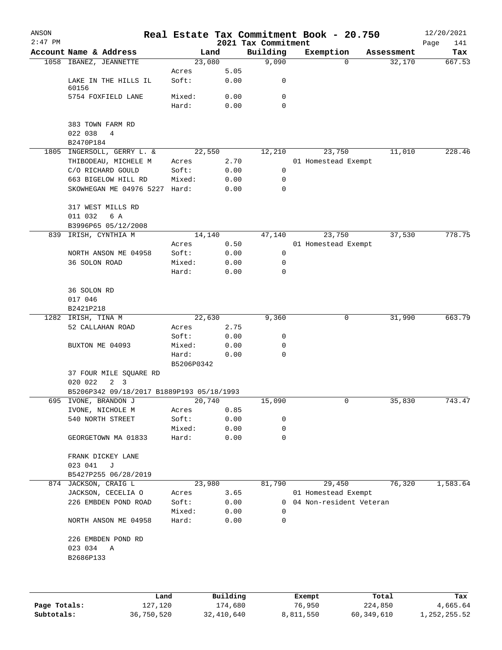| ANSON     |                                            |                     |              |                     | Real Estate Tax Commitment Book - 20.750 |                                  | 12/20/2021    |
|-----------|--------------------------------------------|---------------------|--------------|---------------------|------------------------------------------|----------------------------------|---------------|
| $2:47$ PM |                                            |                     |              | 2021 Tax Commitment |                                          |                                  | Page<br>141   |
|           | Account Name & Address                     | 23,080              | Land         | Building<br>9,090   | Exemption                                | Assessment<br>32,170<br>$\Omega$ | Tax<br>667.53 |
|           | 1058 IBANEZ, JEANNETTE                     | Acres               | 5.05         |                     |                                          |                                  |               |
|           | LAKE IN THE HILLS IL<br>60156              | Soft:               | 0.00         | 0                   |                                          |                                  |               |
|           | 5754 FOXFIELD LANE                         | Mixed:<br>Hard:     | 0.00<br>0.00 | $\mathbf 0$<br>0    |                                          |                                  |               |
|           |                                            |                     |              |                     |                                          |                                  |               |
|           | 383 TOWN FARM RD<br>022 038<br>4           |                     |              |                     |                                          |                                  |               |
|           | B2470P184                                  |                     |              |                     |                                          |                                  |               |
|           | 1805 INGERSOLL, GERRY L. &                 | 22,550              |              | 12,210              | 23,750                                   | 11,010                           | 228.46        |
|           | THIBODEAU, MICHELE M                       | Acres               | 2.70         |                     | 01 Homestead Exempt                      |                                  |               |
|           | C/O RICHARD GOULD                          | Soft:               | 0.00         | 0                   |                                          |                                  |               |
|           | 663 BIGELOW HILL RD                        | Mixed:              | 0.00         | 0                   |                                          |                                  |               |
|           | SKOWHEGAN ME 04976 5227                    | Hard:               | 0.00         | $\mathbf 0$         |                                          |                                  |               |
|           | 317 WEST MILLS RD                          |                     |              |                     |                                          |                                  |               |
|           | 011 032<br>6 A                             |                     |              |                     |                                          |                                  |               |
|           | B3996P65 05/12/2008<br>IRISH, CYNTHIA M    | 14,140              |              | 47,140              | 23,750                                   | 37,530                           | 778.75        |
| 839       |                                            | Acres               | 0.50         |                     | 01 Homestead Exempt                      |                                  |               |
|           | NORTH ANSON ME 04958                       | Soft:               | 0.00         | 0                   |                                          |                                  |               |
|           | 36 SOLON ROAD                              | Mixed:              | 0.00         | 0                   |                                          |                                  |               |
|           |                                            | Hard:               | 0.00         | $\mathbf 0$         |                                          |                                  |               |
|           | 36 SOLON RD                                |                     |              |                     |                                          |                                  |               |
|           | 017 046                                    |                     |              |                     |                                          |                                  |               |
|           | B2421P218                                  |                     |              |                     |                                          |                                  |               |
| 1282      | IRISH, TINA M                              | 22,630              |              | 9,360               |                                          | 0<br>31,990                      | 663.79        |
|           | 52 CALLAHAN ROAD                           | Acres               | 2.75         |                     |                                          |                                  |               |
|           |                                            | Soft:               | 0.00         | 0                   |                                          |                                  |               |
|           | BUXTON ME 04093                            | Mixed:              | 0.00         | 0<br>$\mathbf 0$    |                                          |                                  |               |
|           |                                            | Hard:<br>B5206P0342 | 0.00         |                     |                                          |                                  |               |
|           | 37 FOUR MILE SQUARE RD                     |                     |              |                     |                                          |                                  |               |
|           | 020 022<br>3<br>2                          |                     |              |                     |                                          |                                  |               |
|           | B5206P342 09/18/2017 B1889P193 05/18/1993  |                     |              |                     |                                          |                                  |               |
| 695       | IVONE, BRANDON J                           | 20,740              |              | 15,090              |                                          | 0<br>35,830                      | 743.47        |
|           | IVONE, NICHOLE M                           | Acres               | 0.85         |                     |                                          |                                  |               |
|           | 540 NORTH STREET                           | Soft:               | 0.00         | 0                   |                                          |                                  |               |
|           | GEORGETOWN MA 01833                        | Mixed:<br>Hard:     | 0.00<br>0.00 | 0<br>0              |                                          |                                  |               |
|           |                                            |                     |              |                     |                                          |                                  |               |
|           | FRANK DICKEY LANE                          |                     |              |                     |                                          |                                  |               |
|           | 023 041<br>J                               |                     |              |                     |                                          |                                  |               |
|           | B5427P255 06/28/2019                       |                     |              |                     |                                          |                                  |               |
|           | 874 JACKSON, CRAIG L<br>JACKSON, CECELIA O | 23,980              |              | 81,790              | 29,450<br>01 Homestead Exempt            | 76,320                           | 1,583.64      |
|           | 226 EMBDEN POND ROAD                       | Acres<br>Soft:      | 3.65<br>0.00 | 0                   | 04 Non-resident Veteran                  |                                  |               |
|           |                                            | Mixed:              | 0.00         | $\Omega$            |                                          |                                  |               |
|           | NORTH ANSON ME 04958                       | Hard:               | 0.00         | 0                   |                                          |                                  |               |
|           | 226 EMBDEN POND RD                         |                     |              |                     |                                          |                                  |               |
|           | 023 034<br>Α                               |                     |              |                     |                                          |                                  |               |
|           | B2686P133                                  |                     |              |                     |                                          |                                  |               |
|           |                                            |                     |              |                     |                                          |                                  |               |
|           |                                            |                     |              |                     |                                          |                                  |               |
|           |                                            | Land                | Building     |                     | Exempt                                   | Total                            | Tax           |

|              | Land       | Building   | Exempt    | Total      | Tax          |
|--------------|------------|------------|-----------|------------|--------------|
| Page Totals: | 127,120    | 174,680    | 76,950    | 224,850    | 4,665.64     |
| Subtotals:   | 36,750,520 | 32,410,640 | 8,811,550 | 60,349,610 | 1,252,255.52 |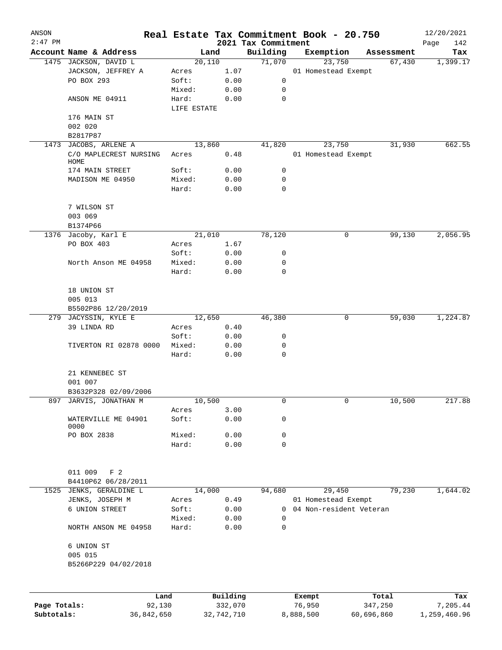| ANSON        |                           |                |          |                                 | Real Estate Tax Commitment Book - 20.750 |                      | 12/20/2021      |
|--------------|---------------------------|----------------|----------|---------------------------------|------------------------------------------|----------------------|-----------------|
| $2:47$ PM    | Account Name & Address    |                |          | 2021 Tax Commitment<br>Building |                                          |                      | Page<br>142     |
|              | 1475 JACKSON, DAVID L     | Land<br>20,110 |          | 71,070                          | Exemption<br>23,750                      | Assessment<br>67,430 | Tax<br>1,399.17 |
|              | JACKSON, JEFFREY A        | Acres          | 1.07     |                                 | 01 Homestead Exempt                      |                      |                 |
|              | PO BOX 293                | Soft:          | 0.00     | 0                               |                                          |                      |                 |
|              |                           | Mixed:         | 0.00     | 0                               |                                          |                      |                 |
|              | ANSON ME 04911            | Hard:          | 0.00     | $\mathbf 0$                     |                                          |                      |                 |
|              |                           | LIFE ESTATE    |          |                                 |                                          |                      |                 |
|              | 176 MAIN ST               |                |          |                                 |                                          |                      |                 |
|              | 002 020                   |                |          |                                 |                                          |                      |                 |
|              | B2817P87                  |                |          |                                 |                                          |                      |                 |
| 1473         | JACOBS, ARLENE A          | 13,860         |          | 41,820                          | 23,750                                   | 31,930               | 662.55          |
|              | C/O MAPLECREST NURSING    | Acres          | 0.48     |                                 | 01 Homestead Exempt                      |                      |                 |
|              | HOME                      |                |          |                                 |                                          |                      |                 |
|              | 174 MAIN STREET           | Soft:          | 0.00     | 0                               |                                          |                      |                 |
|              | MADISON ME 04950          | Mixed:         | 0.00     | 0                               |                                          |                      |                 |
|              |                           | Hard:          | 0.00     | 0                               |                                          |                      |                 |
|              |                           |                |          |                                 |                                          |                      |                 |
|              | 7 WILSON ST               |                |          |                                 |                                          |                      |                 |
|              | 003 069                   |                |          |                                 |                                          |                      |                 |
|              | B1374P66                  |                |          |                                 |                                          |                      |                 |
| 1376         | Jacoby, Karl E            | 21,010         |          | 78,120                          | 0                                        | 99,130               | 2,056.95        |
|              | PO BOX 403                | Acres          | 1.67     |                                 |                                          |                      |                 |
|              |                           | Soft:          | 0.00     | 0                               |                                          |                      |                 |
|              | North Anson ME 04958      | Mixed:         | 0.00     | 0                               |                                          |                      |                 |
|              |                           | Hard:          | 0.00     | $\mathbf 0$                     |                                          |                      |                 |
|              |                           |                |          |                                 |                                          |                      |                 |
|              | 18 UNION ST               |                |          |                                 |                                          |                      |                 |
|              | 005 013                   |                |          |                                 |                                          |                      |                 |
|              | B5502P86 12/20/2019       |                |          |                                 |                                          |                      |                 |
|              | 279 JACYSSIN, KYLE E      | 12,650         |          | 46,380                          | 0                                        | 59,030               | 1,224.87        |
|              | 39 LINDA RD               | Acres          | 0.40     |                                 |                                          |                      |                 |
|              |                           | Soft:          | 0.00     | 0                               |                                          |                      |                 |
|              | TIVERTON RI 02878 0000    | Mixed:         | 0.00     | 0                               |                                          |                      |                 |
|              |                           | Hard:          | 0.00     | 0                               |                                          |                      |                 |
|              |                           |                |          |                                 |                                          |                      |                 |
|              | 21 KENNEBEC ST            |                |          |                                 |                                          |                      |                 |
|              | 001 007                   |                |          |                                 |                                          |                      |                 |
|              | B3632P328 02/09/2006      |                |          |                                 |                                          |                      |                 |
| 897          | JARVIS, JONATHAN M        | 10,500         |          | 0                               | 0                                        | 10,500               | 217.88          |
|              |                           | Acres          | 3.00     |                                 |                                          |                      |                 |
|              | WATERVILLE ME 04901       | Soft:          | 0.00     | 0                               |                                          |                      |                 |
|              | 0000                      |                |          |                                 |                                          |                      |                 |
|              | PO BOX 2838               | Mixed:         | 0.00     | 0                               |                                          |                      |                 |
|              |                           | Hard:          | 0.00     | $\mathbf 0$                     |                                          |                      |                 |
|              |                           |                |          |                                 |                                          |                      |                 |
|              |                           |                |          |                                 |                                          |                      |                 |
|              | 011 009<br>F <sub>2</sub> |                |          |                                 |                                          |                      |                 |
|              | B4410P62 06/28/2011       |                |          |                                 |                                          |                      |                 |
|              | 1525 JENKS, GERALDINE L   | 14,000         |          | 94,680                          | 29,450                                   | 79,230               | 1,644.02        |
|              | JENKS, JOSEPH M           | Acres          | 0.49     |                                 | 01 Homestead Exempt                      |                      |                 |
|              | 6 UNION STREET            | Soft:          | 0.00     | $\mathbf{0}$                    | 04 Non-resident Veteran                  |                      |                 |
|              |                           | Mixed:         | 0.00     | 0                               |                                          |                      |                 |
|              | NORTH ANSON ME 04958      | Hard:          | 0.00     | 0                               |                                          |                      |                 |
|              |                           |                |          |                                 |                                          |                      |                 |
|              | 6 UNION ST                |                |          |                                 |                                          |                      |                 |
|              | 005 015                   |                |          |                                 |                                          |                      |                 |
|              | B5266P229 04/02/2018      |                |          |                                 |                                          |                      |                 |
|              |                           |                |          |                                 |                                          |                      |                 |
|              |                           |                |          |                                 |                                          |                      |                 |
|              |                           |                | Building |                                 |                                          | Total                |                 |
| Page Totals: | 92,130                    | Land           | 332,070  |                                 | Exempt<br>76,950                         | 347,250              | Tax<br>7,205.44 |
|              |                           |                |          |                                 |                                          |                      |                 |

**Subtotals:** 36,842,650 32,742,710 8,888,500 60,696,860 1,259,460.96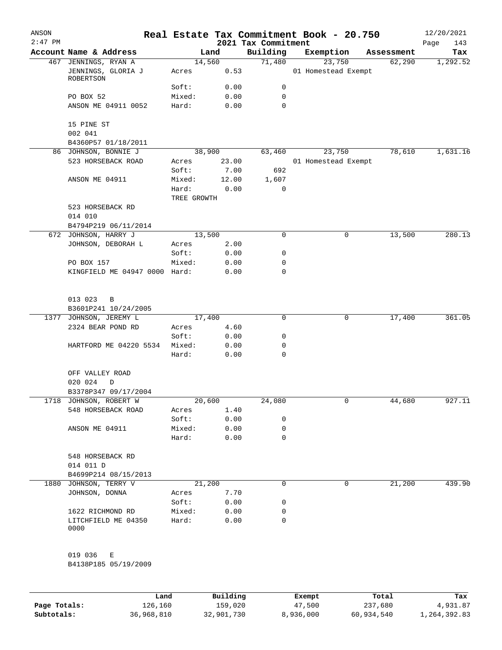| ANSON<br>$2:47$ PM |                                                         |                      |                | Real Estate Tax Commitment Book - 20.750<br>2021 Tax Commitment |                               |            | 12/20/2021<br>Page<br>143 |
|--------------------|---------------------------------------------------------|----------------------|----------------|-----------------------------------------------------------------|-------------------------------|------------|---------------------------|
|                    | Account Name & Address                                  |                      | Land           | Building                                                        | Exemption                     | Assessment | Tax                       |
|                    | 467 JENNINGS, RYAN A<br>JENNINGS, GLORIA J<br>ROBERTSON | Acres                | 14,560<br>0.53 | 71,480                                                          | 23,750<br>01 Homestead Exempt | 62,290     | 1,292.52                  |
|                    |                                                         | Soft:                | 0.00           | 0                                                               |                               |            |                           |
|                    | PO BOX 52                                               | Mixed:               | 0.00           | 0                                                               |                               |            |                           |
|                    | ANSON ME 04911 0052                                     | Hard:                | 0.00           | 0                                                               |                               |            |                           |
|                    | 15 PINE ST<br>002 041                                   |                      |                |                                                                 |                               |            |                           |
|                    | B4360P57 01/18/2011                                     |                      |                |                                                                 |                               |            |                           |
|                    | 86 JOHNSON, BONNIE J                                    |                      | 38,900         | 63,460                                                          | 23,750                        | 78,610     | 1,631.16                  |
|                    | 523 HORSEBACK ROAD                                      | Acres                | 23.00          |                                                                 | 01 Homestead Exempt           |            |                           |
|                    |                                                         | Soft:                | 7.00           | 692                                                             |                               |            |                           |
|                    | ANSON ME 04911                                          | Mixed:               | 12.00          | 1,607                                                           |                               |            |                           |
|                    |                                                         | Hard:<br>TREE GROWTH | 0.00           | 0                                                               |                               |            |                           |
|                    | 523 HORSEBACK RD<br>014 010                             |                      |                |                                                                 |                               |            |                           |
|                    | B4794P219 06/11/2014                                    |                      |                |                                                                 |                               |            |                           |
|                    | 672 JOHNSON, HARRY J                                    | 13,500               |                | 0                                                               | 0                             | 13,500     | 280.13                    |
|                    | JOHNSON, DEBORAH L                                      | Acres                | 2.00           |                                                                 |                               |            |                           |
|                    |                                                         | Soft:                | 0.00           | 0                                                               |                               |            |                           |
|                    | PO BOX 157                                              | Mixed:               | 0.00           | 0                                                               |                               |            |                           |
|                    | KINGFIELD ME 04947 0000 Hard:                           |                      | 0.00           | 0                                                               |                               |            |                           |
|                    | 013 023<br>$\overline{B}$<br>B3601P241 10/24/2005       |                      |                |                                                                 |                               |            |                           |
| 1377               | JOHNSON, JEREMY L                                       | 17,400               |                | 0                                                               | 0                             | 17,400     | 361.05                    |
|                    | 2324 BEAR POND RD                                       | Acres                | 4.60           |                                                                 |                               |            |                           |
|                    |                                                         | Soft:                | 0.00           | 0                                                               |                               |            |                           |
|                    | HARTFORD ME 04220 5534                                  | Mixed:<br>Hard:      | 0.00<br>0.00   | 0<br>0                                                          |                               |            |                           |
|                    | OFF VALLEY ROAD<br>020 024<br>D                         |                      |                |                                                                 |                               |            |                           |
|                    | B3378P347 09/17/2004                                    |                      |                |                                                                 |                               |            |                           |
|                    | 1718 JOHNSON, ROBERT W                                  | 20,600               |                | 24,080                                                          | 0                             | 44,680     | 927.11                    |
|                    | 548 HORSEBACK ROAD                                      | Acres                | 1.40           |                                                                 |                               |            |                           |
|                    |                                                         | Soft:                | 0.00           | 0                                                               |                               |            |                           |
|                    | ANSON ME 04911                                          | Mixed:               | 0.00           | 0                                                               |                               |            |                           |
|                    |                                                         | Hard:                | 0.00           | 0                                                               |                               |            |                           |
|                    | 548 HORSEBACK RD<br>014 011 D                           |                      |                |                                                                 |                               |            |                           |
|                    | B4699P214 08/15/2013                                    |                      |                |                                                                 |                               |            |                           |
|                    | 1880 JOHNSON, TERRY V                                   |                      | 21,200         | 0                                                               | 0                             | 21,200     | 439.90                    |
|                    | JOHNSON, DONNA                                          | Acres                | 7.70           |                                                                 |                               |            |                           |
|                    |                                                         | Soft:                | 0.00           | 0                                                               |                               |            |                           |
|                    | 1622 RICHMOND RD                                        | Mixed:               | 0.00           | 0                                                               |                               |            |                           |
|                    | LITCHFIELD ME 04350<br>0000                             | Hard:                | 0.00           | 0                                                               |                               |            |                           |
|                    | 019 036<br>Е<br>B4138P185 05/19/2009                    |                      |                |                                                                 |                               |            |                           |
|                    |                                                         |                      |                |                                                                 |                               |            |                           |

|              | Land       | Building   | Exempt    | Total      | Tax          |
|--------------|------------|------------|-----------|------------|--------------|
| Page Totals: | 126,160    | 159,020    | 47,500    | 237,680    | 4,931.87     |
| Subtotals:   | 36,968,810 | 32,901,730 | 8,936,000 | 60,934,540 | 1,264,392.83 |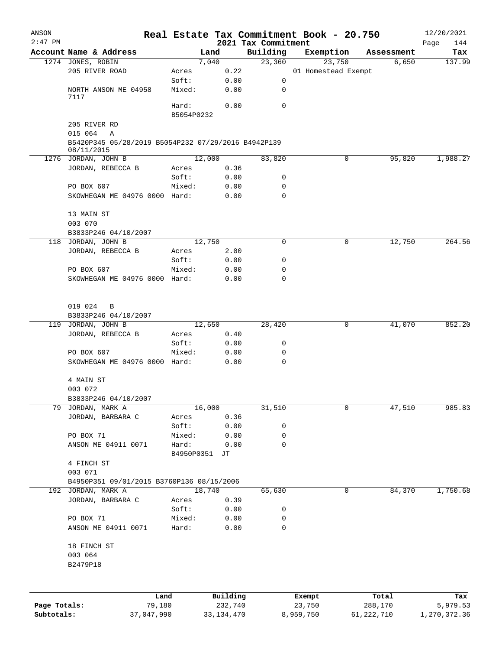| ANSON        |                                                                   |                     |              |                                 | Real Estate Tax Commitment Book - 20.750 |            | 12/20/2021         |
|--------------|-------------------------------------------------------------------|---------------------|--------------|---------------------------------|------------------------------------------|------------|--------------------|
| $2:47$ PM    | Account Name & Address                                            |                     | Land         | 2021 Tax Commitment<br>Building | Exemption                                | Assessment | Page<br>144<br>Tax |
|              | 1274 JONES, ROBIN                                                 |                     | 7,040        | 23,360                          | 23,750                                   | 6,650      | 137.99             |
|              | 205 RIVER ROAD                                                    | Acres               | 0.22         |                                 | 01 Homestead Exempt                      |            |                    |
|              |                                                                   | Soft:               | 0.00         | 0                               |                                          |            |                    |
|              | NORTH ANSON ME 04958<br>7117                                      | Mixed:              | 0.00         | 0                               |                                          |            |                    |
|              |                                                                   | Hard:<br>B5054P0232 | 0.00         | $\mathbf 0$                     |                                          |            |                    |
|              | 205 RIVER RD                                                      |                     |              |                                 |                                          |            |                    |
|              | 015 064<br>A                                                      |                     |              |                                 |                                          |            |                    |
|              | B5420P345 05/28/2019 B5054P232 07/29/2016 B4942P139<br>08/11/2015 |                     |              |                                 |                                          |            |                    |
|              | 1276 JORDAN, JOHN B                                               |                     | 12,000       | 83,820                          | 0                                        | 95,820     | 1,988.27           |
|              | JORDAN, REBECCA B                                                 | Acres               | 0.36         |                                 |                                          |            |                    |
|              | PO BOX 607                                                        | Soft:<br>Mixed:     | 0.00<br>0.00 | 0<br>0                          |                                          |            |                    |
|              | SKOWHEGAN ME 04976 0000 Hard:                                     |                     | 0.00         | $\mathbf 0$                     |                                          |            |                    |
|              |                                                                   |                     |              |                                 |                                          |            |                    |
|              | 13 MAIN ST                                                        |                     |              |                                 |                                          |            |                    |
|              | 003 070                                                           |                     |              |                                 |                                          |            |                    |
|              | B3833P246 04/10/2007                                              |                     |              |                                 |                                          |            |                    |
|              | 118 JORDAN, JOHN B                                                |                     | 12,750       | 0                               | 0                                        | 12,750     | 264.56             |
|              | JORDAN, REBECCA B                                                 | Acres               | 2.00         |                                 |                                          |            |                    |
|              |                                                                   | Soft:               | 0.00         | 0                               |                                          |            |                    |
|              | PO BOX 607<br>SKOWHEGAN ME 04976 0000 Hard:                       | Mixed:              | 0.00<br>0.00 | 0<br>0                          |                                          |            |                    |
|              |                                                                   |                     |              |                                 |                                          |            |                    |
|              | 019 024<br>$\overline{B}$                                         |                     |              |                                 |                                          |            |                    |
|              | B3833P246 04/10/2007                                              |                     |              |                                 |                                          |            |                    |
|              | 119 JORDAN, JOHN B                                                |                     | 12,650       | 28,420                          | 0                                        | 41,070     | 852.20             |
|              | JORDAN, REBECCA B                                                 | Acres               | 0.40         |                                 |                                          |            |                    |
|              |                                                                   | Soft:               | 0.00         | 0                               |                                          |            |                    |
|              | PO BOX 607                                                        | Mixed:              | 0.00         | 0<br>$\mathbf 0$                |                                          |            |                    |
|              | SKOWHEGAN ME 04976 0000 Hard:                                     |                     | 0.00         |                                 |                                          |            |                    |
|              | 4 MAIN ST<br>003 072                                              |                     |              |                                 |                                          |            |                    |
|              | B3833P246 04/10/2007                                              |                     |              |                                 |                                          |            |                    |
| 79           | JORDAN, MARK A                                                    |                     | 16,000       | 31,510                          | 0                                        | 47,510     | 985.83             |
|              | JORDAN, BARBARA C                                                 | Acres               | 0.36         |                                 |                                          |            |                    |
|              |                                                                   | Soft:               | 0.00         | 0                               |                                          |            |                    |
|              | PO BOX 71                                                         | Mixed:              | 0.00         | 0                               |                                          |            |                    |
|              | ANSON ME 04911 0071                                               | Hard:               | 0.00         | 0                               |                                          |            |                    |
|              |                                                                   | B4950P0351          | JТ           |                                 |                                          |            |                    |
|              | 4 FINCH ST                                                        |                     |              |                                 |                                          |            |                    |
|              | 003 071                                                           |                     |              |                                 |                                          |            |                    |
|              | B4950P351 09/01/2015 B3760P136 08/15/2006<br>192 JORDAN, MARK A   |                     | 18,740       | 65,630                          | 0                                        | 84,370     | 1,750.68           |
|              | JORDAN, BARBARA C                                                 | Acres               | 0.39         |                                 |                                          |            |                    |
|              |                                                                   | Soft:               | 0.00         | 0                               |                                          |            |                    |
|              | PO BOX 71                                                         | Mixed:              | 0.00         | 0                               |                                          |            |                    |
|              | ANSON ME 04911 0071                                               | Hard:               | 0.00         | 0                               |                                          |            |                    |
|              | 18 FINCH ST                                                       |                     |              |                                 |                                          |            |                    |
|              | 003 064<br>B2479P18                                               |                     |              |                                 |                                          |            |                    |
|              |                                                                   |                     |              |                                 |                                          |            |                    |
|              | Land                                                              |                     | Building     |                                 | Exempt                                   | Total      | Tax                |
| Page Totals: | 79,180                                                            |                     | 232,740      |                                 | 23,750                                   | 288,170    | 5,979.53           |

**Subtotals:** 37,047,990 33,134,470 8,959,750 61,222,710 1,270,372.36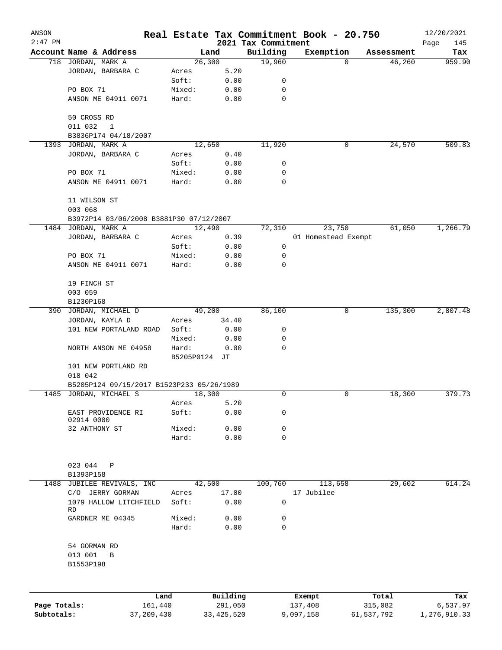| ANSON        |                                           |                |              |                                 | Real Estate Tax Commitment Book - 20.750 |                    | 12/20/2021         |
|--------------|-------------------------------------------|----------------|--------------|---------------------------------|------------------------------------------|--------------------|--------------------|
| $2:47$ PM    | Account Name & Address                    | Land           |              | 2021 Tax Commitment<br>Building | Exemption                                | Assessment         | Page<br>145<br>Tax |
|              | 718 JORDAN, MARK A                        | 26,300         |              | 19,960                          |                                          | 46,260<br>$\Omega$ | 959.90             |
|              | JORDAN, BARBARA C                         | Acres          | 5.20         |                                 |                                          |                    |                    |
|              |                                           | Soft:          | 0.00         | 0                               |                                          |                    |                    |
|              | PO BOX 71                                 | Mixed:         | 0.00         | $\mathbf 0$                     |                                          |                    |                    |
|              | ANSON ME 04911 0071                       | Hard:          | 0.00         | $\mathbf 0$                     |                                          |                    |                    |
|              |                                           |                |              |                                 |                                          |                    |                    |
|              | 50 CROSS RD                               |                |              |                                 |                                          |                    |                    |
|              | 011 032<br>$\mathbf 1$                    |                |              |                                 |                                          |                    |                    |
|              | B3836P174 04/18/2007                      |                |              |                                 |                                          |                    |                    |
| 1393         | JORDAN, MARK A                            | 12,650         |              | 11,920                          |                                          | 24,570<br>0        | 509.83             |
|              | JORDAN, BARBARA C                         | Acres<br>Soft: | 0.40<br>0.00 | 0                               |                                          |                    |                    |
|              | PO BOX 71                                 | Mixed:         | 0.00         | 0                               |                                          |                    |                    |
|              | ANSON ME 04911 0071                       | Hard:          | 0.00         | 0                               |                                          |                    |                    |
|              |                                           |                |              |                                 |                                          |                    |                    |
|              | 11 WILSON ST                              |                |              |                                 |                                          |                    |                    |
|              | 003 068                                   |                |              |                                 |                                          |                    |                    |
|              | B3972P14 03/06/2008 B3881P30 07/12/2007   |                |              |                                 |                                          |                    |                    |
|              | 1484 JORDAN, MARK A                       | 12,490         |              | 72,310                          | 23,750                                   | 61,050             | 1,266.79           |
|              | JORDAN, BARBARA C                         | Acres          | 0.39         |                                 | 01 Homestead Exempt                      |                    |                    |
|              |                                           | Soft:          | 0.00         | 0                               |                                          |                    |                    |
|              | PO BOX 71                                 | Mixed:         | 0.00         | 0                               |                                          |                    |                    |
|              | ANSON ME 04911 0071                       | Hard:          | 0.00         | 0                               |                                          |                    |                    |
|              | 19 FINCH ST                               |                |              |                                 |                                          |                    |                    |
|              | 003 059                                   |                |              |                                 |                                          |                    |                    |
|              | B1230P168                                 |                |              |                                 |                                          |                    |                    |
|              | 390 JORDAN, MICHAEL D                     | 49,200         |              | 86,100                          |                                          | 135,300<br>0       | 2,807.48           |
|              | JORDAN, KAYLA D                           | Acres          | 34.40        |                                 |                                          |                    |                    |
|              | 101 NEW PORTALAND ROAD                    | Soft:          | 0.00         | 0                               |                                          |                    |                    |
|              |                                           | Mixed:         | 0.00         | 0                               |                                          |                    |                    |
|              | NORTH ANSON ME 04958                      | Hard:          | 0.00         | 0                               |                                          |                    |                    |
|              |                                           | B5205P0124 JT  |              |                                 |                                          |                    |                    |
|              | 101 NEW PORTLAND RD                       |                |              |                                 |                                          |                    |                    |
|              | 018 042                                   |                |              |                                 |                                          |                    |                    |
|              | B5205P124 09/15/2017 B1523P233 05/26/1989 |                |              |                                 |                                          |                    |                    |
|              | 1485 JORDAN, MICHAEL S                    | 18,300         |              | 0                               |                                          | 18,300<br>0        | 379.73             |
|              |                                           | Acres          | 5.20         |                                 |                                          |                    |                    |
|              | EAST PROVIDENCE RI                        | Soft:          | 0.00         | 0                               |                                          |                    |                    |
|              | 02914 0000                                |                |              |                                 |                                          |                    |                    |
|              | 32 ANTHONY ST                             | Mixed:         | 0.00         | 0                               |                                          |                    |                    |
|              |                                           | Hard:          | 0.00         | 0                               |                                          |                    |                    |
|              |                                           |                |              |                                 |                                          |                    |                    |
|              | 023 044<br>Ρ                              |                |              |                                 |                                          |                    |                    |
| 1488         | B1393P158<br>JUBILEE REVIVALS, INC        | 42,500         |              | 100,760                         | 113,658                                  | 29,602             | 614.24             |
|              | C/O JERRY GORMAN                          | Acres          | 17.00        |                                 | 17 Jubilee                               |                    |                    |
|              | 1079 HALLOW LITCHFIELD                    | Soft:          | 0.00         | $\mathbf 0$                     |                                          |                    |                    |
|              | RD                                        |                |              |                                 |                                          |                    |                    |
|              | GARDNER ME 04345                          | Mixed:         | 0.00         | 0                               |                                          |                    |                    |
|              |                                           | Hard:          | 0.00         | 0                               |                                          |                    |                    |
|              |                                           |                |              |                                 |                                          |                    |                    |
|              | 54 GORMAN RD                              |                |              |                                 |                                          |                    |                    |
|              | 013 001<br>B                              |                |              |                                 |                                          |                    |                    |
|              | B1553P198                                 |                |              |                                 |                                          |                    |                    |
|              |                                           |                |              |                                 |                                          |                    |                    |
|              |                                           | Land           | Building     |                                 | Exempt                                   | Total              | Tax                |
| Page Totals: | 161,440                                   |                | 291,050      |                                 | 137,408                                  | 315,082            | 6,537.97           |
| Subtotals:   | 37, 209, 430                              |                | 33, 425, 520 |                                 | 9,097,158                                | 61,537,792         | 1,276,910.33       |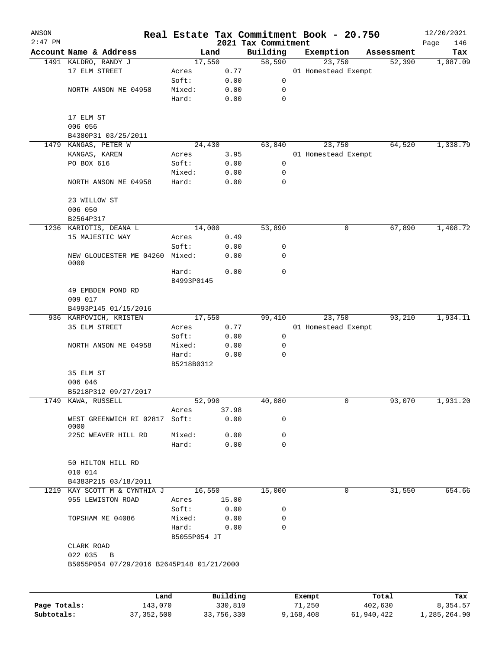| ANSON        |                                           |                |          |                     | Real Estate Tax Commitment Book - 20.750 |                      | 12/20/2021      |
|--------------|-------------------------------------------|----------------|----------|---------------------|------------------------------------------|----------------------|-----------------|
| $2:47$ PM    | Account Name & Address                    |                |          | 2021 Tax Commitment |                                          |                      | Page<br>146     |
|              | 1491 KALDRO, RANDY J                      | Land<br>17,550 |          | Building<br>58,590  | Exemption<br>23,750                      | Assessment<br>52,390 | Tax<br>1,087.09 |
|              | 17 ELM STREET                             | Acres          | 0.77     |                     | 01 Homestead Exempt                      |                      |                 |
|              |                                           | Soft:          | 0.00     | 0                   |                                          |                      |                 |
|              | NORTH ANSON ME 04958                      | Mixed:         | 0.00     | 0                   |                                          |                      |                 |
|              |                                           | Hard:          | 0.00     | 0                   |                                          |                      |                 |
|              |                                           |                |          |                     |                                          |                      |                 |
|              | 17 ELM ST                                 |                |          |                     |                                          |                      |                 |
|              | 006 056                                   |                |          |                     |                                          |                      |                 |
|              | B4380P31 03/25/2011                       |                |          |                     |                                          |                      |                 |
| 1479         | KANGAS, PETER W                           | 24,430         |          | 63,840              | 23,750                                   | 64,520               | 1,338.79        |
|              | KANGAS, KAREN                             | Acres          | 3.95     |                     | 01 Homestead Exempt                      |                      |                 |
|              | PO BOX 616                                | Soft:          | 0.00     | 0                   |                                          |                      |                 |
|              |                                           | Mixed:         | 0.00     | 0                   |                                          |                      |                 |
|              | NORTH ANSON ME 04958                      | Hard:          | 0.00     | 0                   |                                          |                      |                 |
|              |                                           |                |          |                     |                                          |                      |                 |
|              | 23 WILLOW ST                              |                |          |                     |                                          |                      |                 |
|              | 006 050                                   |                |          |                     |                                          |                      |                 |
|              | B2564P317                                 |                |          |                     |                                          |                      |                 |
|              | 1236 KARIOTIS, DEANA L                    | 14,000         |          | 53,890              | 0                                        | 67,890               | 1,408.72        |
|              | 15 MAJESTIC WAY                           | Acres          | 0.49     |                     |                                          |                      |                 |
|              |                                           | Soft:          | 0.00     | 0                   |                                          |                      |                 |
|              | NEW GLOUCESTER ME 04260                   | Mixed:         | 0.00     | $\mathbf 0$         |                                          |                      |                 |
|              | 0000                                      |                |          |                     |                                          |                      |                 |
|              |                                           | Hard:          | 0.00     | 0                   |                                          |                      |                 |
|              |                                           | B4993P0145     |          |                     |                                          |                      |                 |
|              | 49 EMBDEN POND RD                         |                |          |                     |                                          |                      |                 |
|              | 009 017                                   |                |          |                     |                                          |                      |                 |
|              | B4993P145 01/15/2016                      |                |          |                     |                                          |                      |                 |
|              | 936 KARPOVICH, KRISTEN                    | 17,550         |          | 99,410              | 23,750                                   | 93,210               | 1,934.11        |
|              | 35 ELM STREET                             | Acres          | 0.77     |                     | 01 Homestead Exempt                      |                      |                 |
|              |                                           | Soft:          | 0.00     | 0                   |                                          |                      |                 |
|              | NORTH ANSON ME 04958                      | Mixed:         | 0.00     | 0                   |                                          |                      |                 |
|              |                                           | Hard:          | 0.00     | $\mathbf 0$         |                                          |                      |                 |
|              |                                           | B5218B0312     |          |                     |                                          |                      |                 |
|              | 35 ELM ST                                 |                |          |                     |                                          |                      |                 |
|              | 006 046                                   |                |          |                     |                                          |                      |                 |
|              | B5218P312 09/27/2017                      |                |          |                     |                                          |                      |                 |
|              | 1749 KAWA, RUSSELL                        | 52,990         |          | 40,080              | 0                                        | 93,070               | 1,931.20        |
|              |                                           | Acres          | 37.98    |                     |                                          |                      |                 |
|              | WEST GREENWICH RI 02817 Soft:             |                | 0.00     | 0                   |                                          |                      |                 |
|              | 0000<br>225C WEAVER HILL RD               | Mixed:         | 0.00     | 0                   |                                          |                      |                 |
|              |                                           | Hard:          | 0.00     | $\mathbf 0$         |                                          |                      |                 |
|              |                                           |                |          |                     |                                          |                      |                 |
|              | 50 HILTON HILL RD                         |                |          |                     |                                          |                      |                 |
|              | 010 014                                   |                |          |                     |                                          |                      |                 |
|              | B4383P215 03/18/2011                      |                |          |                     |                                          |                      |                 |
|              | 1219 KAY SCOTT M & CYNTHIA J              | 16,550         |          | 15,000              | 0                                        | 31,550               | 654.66          |
|              | 955 LEWISTON ROAD                         | Acres          | 15.00    |                     |                                          |                      |                 |
|              |                                           | Soft:          | 0.00     | 0                   |                                          |                      |                 |
|              | TOPSHAM ME 04086                          | Mixed:         | 0.00     | 0                   |                                          |                      |                 |
|              |                                           | Hard:          | 0.00     | $\mathbf 0$         |                                          |                      |                 |
|              |                                           | B5055P054 JT   |          |                     |                                          |                      |                 |
|              |                                           |                |          |                     |                                          |                      |                 |
|              | CLARK ROAD<br>022 035<br>B                |                |          |                     |                                          |                      |                 |
|              |                                           |                |          |                     |                                          |                      |                 |
|              | B5055P054 07/29/2016 B2645P148 01/21/2000 |                |          |                     |                                          |                      |                 |
|              |                                           |                |          |                     |                                          |                      |                 |
|              |                                           |                |          |                     |                                          |                      |                 |
|              | Land                                      |                | Building |                     | Exempt                                   | Total                | Tax             |
| Page Totals: | 143,070                                   |                | 330,810  |                     | 71,250                                   | 402,630              | 8,354.57        |

**Subtotals:** 37,352,500 33,756,330 9,168,408 61,940,422 1,285,264.90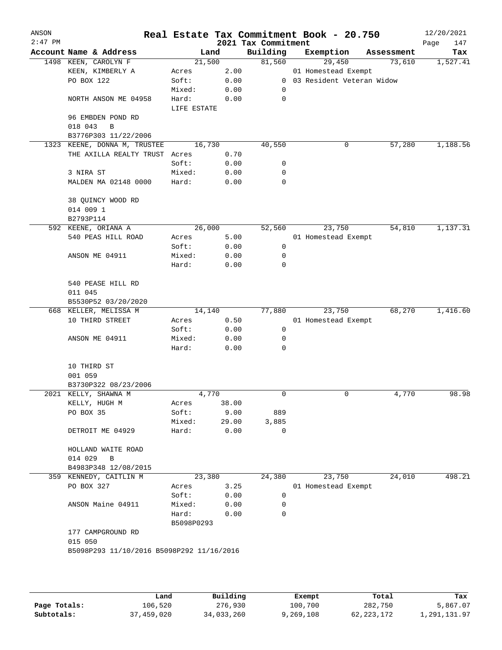| ANSON<br>$2:47$ PM |                                           |                 |              | 2021 Tax Commitment | Real Estate Tax Commitment Book - 20.750 |            | 12/20/2021<br>Page<br>147 |
|--------------------|-------------------------------------------|-----------------|--------------|---------------------|------------------------------------------|------------|---------------------------|
|                    | Account Name & Address                    | Land            |              | Building            | Exemption                                | Assessment | Tax                       |
|                    | 1498 KEEN, CAROLYN F                      | 21,500          |              | 81,560              | 29,450                                   | 73,610     | 1,527.41                  |
|                    | KEEN, KIMBERLY A                          | Acres           | 2.00         |                     | 01 Homestead Exempt                      |            |                           |
|                    | PO BOX 122                                | Soft:           | 0.00         | $\overline{0}$      | 03 Resident Veteran Widow                |            |                           |
|                    |                                           | Mixed:          | 0.00         | 0                   |                                          |            |                           |
|                    | NORTH ANSON ME 04958                      | Hard:           | 0.00         | 0                   |                                          |            |                           |
|                    |                                           | LIFE ESTATE     |              |                     |                                          |            |                           |
|                    | 96 EMBDEN POND RD                         |                 |              |                     |                                          |            |                           |
|                    | 018 043<br>B                              |                 |              |                     |                                          |            |                           |
|                    | B3776P303 11/22/2006                      |                 |              |                     |                                          |            |                           |
| 1323               | KEENE, DONNA M, TRUSTEE                   | 16,730          |              | 40,550              | 0                                        | 57,280     | 1,188.56                  |
|                    | THE AXILLA REALTY TRUST                   | Acres           | 0.70         |                     |                                          |            |                           |
|                    |                                           | Soft:           | 0.00         | 0                   |                                          |            |                           |
|                    | 3 NIRA ST                                 | Mixed:          | 0.00         | 0                   |                                          |            |                           |
|                    | MALDEN MA 02148 0000                      | Hard:           | 0.00         | 0                   |                                          |            |                           |
|                    | 38 QUINCY WOOD RD                         |                 |              |                     |                                          |            |                           |
|                    | 014 009 1                                 |                 |              |                     |                                          |            |                           |
|                    | B2793P114                                 |                 |              |                     |                                          |            |                           |
|                    | 592 KEENE, ORIANA A                       | 26,000          |              | 52,560              | 23,750                                   | 54,810     | 1,137.31                  |
|                    | 540 PEAS HILL ROAD                        | Acres           | 5.00         |                     | 01 Homestead Exempt                      |            |                           |
|                    |                                           | Soft:           | 0.00         | 0                   |                                          |            |                           |
|                    | ANSON ME 04911                            | Mixed:          | 0.00         | 0                   |                                          |            |                           |
|                    |                                           | Hard:           | 0.00         | 0                   |                                          |            |                           |
|                    |                                           |                 |              |                     |                                          |            |                           |
|                    | 540 PEASE HILL RD                         |                 |              |                     |                                          |            |                           |
|                    | 011 045                                   |                 |              |                     |                                          |            |                           |
|                    | B5530P52 03/20/2020                       |                 |              |                     |                                          |            |                           |
|                    | 668 KELLER, MELISSA M                     | 14,140          |              | 77,880              | 23,750                                   | 68,270     | 1,416.60                  |
|                    | 10 THIRD STREET                           | Acres           | 0.50         |                     | 01 Homestead Exempt                      |            |                           |
|                    |                                           | Soft:           | 0.00         | 0                   |                                          |            |                           |
|                    | ANSON ME 04911                            | Mixed:<br>Hard: | 0.00<br>0.00 | 0<br>0              |                                          |            |                           |
|                    |                                           |                 |              |                     |                                          |            |                           |
|                    | 10 THIRD ST                               |                 |              |                     |                                          |            |                           |
|                    | 001 059                                   |                 |              |                     |                                          |            |                           |
|                    | B3730P322 08/23/2006                      |                 |              |                     |                                          |            |                           |
|                    | 2021 KELLY, SHAWNA M                      | 4,770           |              | 0                   | 0                                        | 4,770      | 98.98                     |
|                    | KELLY, HUGH M                             | Acres           | 38.00        |                     |                                          |            |                           |
|                    | PO BOX 35                                 | Soft:           | 9.00         | 889                 |                                          |            |                           |
|                    |                                           | Mixed:          | 29.00        | 3,885               |                                          |            |                           |
|                    | DETROIT ME 04929                          | Hard:           | 0.00         | $\mathbf 0$         |                                          |            |                           |
|                    | HOLLAND WAITE ROAD                        |                 |              |                     |                                          |            |                           |
|                    | 014 029<br>$\, {\bf B}$                   |                 |              |                     |                                          |            |                           |
|                    | B4983P348 12/08/2015                      |                 |              |                     |                                          |            |                           |
|                    | 359 KENNEDY, CAITLIN M                    | 23,380          |              | 24,380              | 23,750                                   | 24,010     | 498.21                    |
|                    | PO BOX 327                                | Acres           | 3.25         |                     | 01 Homestead Exempt                      |            |                           |
|                    |                                           | Soft:           | 0.00         | $\mathbf 0$         |                                          |            |                           |
|                    | ANSON Maine 04911                         | Mixed:          | 0.00         | 0                   |                                          |            |                           |
|                    |                                           | Hard:           | 0.00         | $\Omega$            |                                          |            |                           |
|                    |                                           | B5098P0293      |              |                     |                                          |            |                           |
|                    | 177 CAMPGROUND RD                         |                 |              |                     |                                          |            |                           |
|                    | 015 050                                   |                 |              |                     |                                          |            |                           |
|                    | B5098P293 11/10/2016 B5098P292 11/16/2016 |                 |              |                     |                                          |            |                           |
|                    |                                           |                 |              |                     |                                          |            |                           |
|                    |                                           |                 |              |                     |                                          |            |                           |
|                    |                                           |                 |              |                     |                                          |            |                           |

|              | Land       | Building   | Exempt    | Total        | Tax          |
|--------------|------------|------------|-----------|--------------|--------------|
| Page Totals: | 106,520    | 276,930    | 100,700   | 282,750      | 5,867.07     |
| Subtotals:   | 37,459,020 | 34,033,260 | 9,269,108 | 62, 223, 172 | 1,291,131.97 |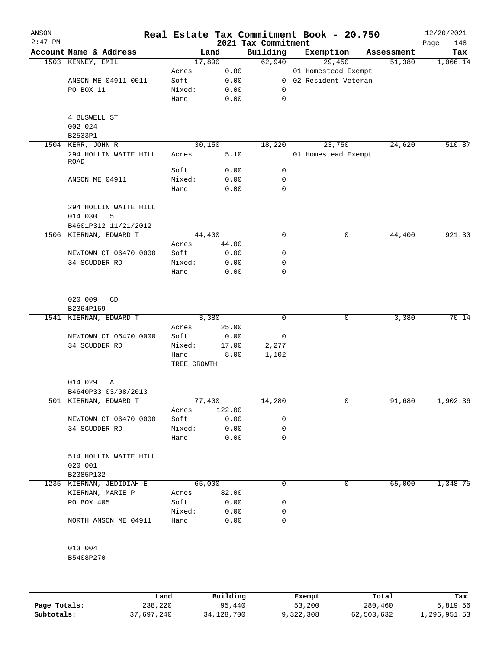| ANSON<br>$2:47$ PM |                                 |        |             | 2021 Tax Commitment |  | Real Estate Tax Commitment Book - 20.750 |            | 12/20/2021<br>148<br>Page |
|--------------------|---------------------------------|--------|-------------|---------------------|--|------------------------------------------|------------|---------------------------|
|                    | Account Name & Address          |        | Land        | Building            |  | Exemption                                | Assessment | Tax                       |
|                    | 1503 KENNEY, EMIL               | 17,890 |             | 62,940              |  | 29,450                                   | 51,380     | 1,066.14                  |
|                    |                                 | Acres  | 0.80        |                     |  | 01 Homestead Exempt                      |            |                           |
|                    | ANSON ME 04911 0011             | Soft:  | 0.00        |                     |  | 0 02 Resident Veteran                    |            |                           |
|                    | PO BOX 11                       | Mixed: | 0.00        | $\mathbf 0$         |  |                                          |            |                           |
|                    |                                 | Hard:  | 0.00        | $\mathbf 0$         |  |                                          |            |                           |
|                    | 4 BUSWELL ST                    |        |             |                     |  |                                          |            |                           |
|                    | 002 024                         |        |             |                     |  |                                          |            |                           |
|                    | B2533P1                         |        |             |                     |  |                                          |            |                           |
|                    | 1504 KERR, JOHN R               | 30,150 |             | 18,220              |  | 23,750                                   | 24,620     | 510.87                    |
|                    | 294 HOLLIN WAITE HILL<br>ROAD   | Acres  | 5.10        |                     |  | 01 Homestead Exempt                      |            |                           |
|                    |                                 | Soft:  | 0.00        | 0                   |  |                                          |            |                           |
|                    | ANSON ME 04911                  | Mixed: | 0.00        | 0                   |  |                                          |            |                           |
|                    |                                 | Hard:  | 0.00        | 0                   |  |                                          |            |                           |
|                    | 294 HOLLIN WAITE HILL<br>5      |        |             |                     |  |                                          |            |                           |
|                    | 014 030<br>B4601P312 11/21/2012 |        |             |                     |  |                                          |            |                           |
|                    | 1506 KIERNAN, EDWARD T          | 44,400 |             | 0                   |  | 0                                        | 44,400     | 921.30                    |
|                    |                                 | Acres  | 44.00       |                     |  |                                          |            |                           |
|                    | NEWTOWN CT 06470 0000           | Soft:  | 0.00        | 0                   |  |                                          |            |                           |
|                    | 34 SCUDDER RD                   | Mixed: | 0.00        | 0                   |  |                                          |            |                           |
|                    |                                 | Hard:  | 0.00        | 0                   |  |                                          |            |                           |
|                    | 020 009<br>CD<br>B2364P169      |        |             |                     |  |                                          |            |                           |
|                    | 1541 KIERNAN, EDWARD T          |        | 3,380       | $\mathbf 0$         |  | 0                                        | 3,380      | 70.14                     |
|                    |                                 | Acres  | 25.00       |                     |  |                                          |            |                           |
|                    | NEWTOWN CT 06470 0000           | Soft:  | 0.00        | 0                   |  |                                          |            |                           |
|                    | 34 SCUDDER RD                   | Mixed: | 17.00       | 2,277               |  |                                          |            |                           |
|                    |                                 | Hard:  | 8.00        | 1,102               |  |                                          |            |                           |
|                    |                                 |        | TREE GROWTH |                     |  |                                          |            |                           |
|                    | 014 029<br>Α                    |        |             |                     |  |                                          |            |                           |
|                    | B4640P33 03/08/2013             |        |             |                     |  |                                          |            |                           |
|                    | 501 KIERNAN, EDWARD T           | 77,400 |             | 14,280              |  | 0                                        | 91,680     | 1,902.36                  |
|                    |                                 | Acres  | 122.00      |                     |  |                                          |            |                           |
|                    | NEWTOWN CT 06470 0000           | Soft:  | 0.00        | 0                   |  |                                          |            |                           |
|                    | 34 SCUDDER RD                   | Mixed: | 0.00        | 0<br>0              |  |                                          |            |                           |
|                    |                                 | Hard:  | 0.00        |                     |  |                                          |            |                           |
|                    | 514 HOLLIN WAITE HILL           |        |             |                     |  |                                          |            |                           |
|                    | 020 001                         |        |             |                     |  |                                          |            |                           |
|                    | B2385P132                       |        |             |                     |  |                                          |            |                           |
|                    | 1235 KIERNAN, JEDIDIAH E        | 65,000 |             | 0                   |  | 0                                        | 65,000     | 1,348.75                  |
|                    | KIERNAN, MARIE P                | Acres  | 82.00       |                     |  |                                          |            |                           |
|                    | PO BOX 405                      | Soft:  | 0.00        | 0                   |  |                                          |            |                           |
|                    |                                 | Mixed: | 0.00        | 0                   |  |                                          |            |                           |
|                    | NORTH ANSON ME 04911            | Hard:  | 0.00        | 0                   |  |                                          |            |                           |
|                    | 013 004                         |        |             |                     |  |                                          |            |                           |
|                    | B5408P270                       |        |             |                     |  |                                          |            |                           |
|                    |                                 |        |             |                     |  |                                          |            |                           |

|              | Land       | Building     | Exempt    | Total      | Tax          |
|--------------|------------|--------------|-----------|------------|--------------|
| Page Totals: | 238,220    | 95,440       | 53,200    | 280,460    | 5,819.56     |
| Subtotals:   | 37,697,240 | 34, 128, 700 | 9,322,308 | 62,503,632 | 1,296,951.53 |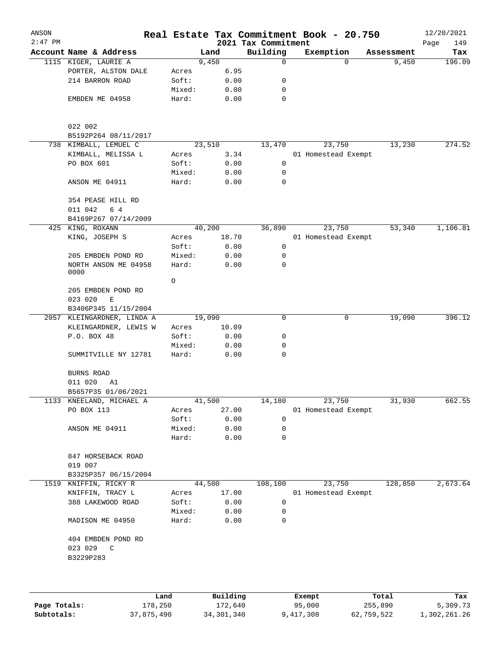| ANSON<br>$2:47$ PM |                                    |                 |              | 2021 Tax Commitment | Real Estate Tax Commitment Book - 20.750 |            | 12/20/2021         |
|--------------------|------------------------------------|-----------------|--------------|---------------------|------------------------------------------|------------|--------------------|
|                    | Account Name & Address             |                 | Land         | Building            | Exemption                                | Assessment | Page<br>149<br>Tax |
|                    | 1115 KIGER, LAURIE A               |                 | 9,450        | 0                   | $\Omega$                                 | 9,450      | 196.09             |
|                    | PORTER, ALSTON DALE                | Acres           | 6.95         |                     |                                          |            |                    |
|                    | 214 BARRON ROAD                    | Soft:           | 0.00         | 0                   |                                          |            |                    |
|                    |                                    | Mixed:          | 0.00         | $\mathbf 0$         |                                          |            |                    |
|                    | EMBDEN ME 04958                    | Hard:           | 0.00         | $\mathbf 0$         |                                          |            |                    |
|                    | 022 002                            |                 |              |                     |                                          |            |                    |
|                    | B5192P264 08/11/2017               |                 |              |                     |                                          |            |                    |
|                    | 738 KIMBALL, LEMUEL C              |                 | 23,510       | 13,470              | 23,750                                   | 13,230     | 274.52             |
|                    | KIMBALL, MELISSA L                 | Acres           | 3.34         |                     | 01 Homestead Exempt                      |            |                    |
|                    | PO BOX 601                         | Soft:           | 0.00         | 0                   |                                          |            |                    |
|                    |                                    | Mixed:          | 0.00         | 0                   |                                          |            |                    |
|                    | ANSON ME 04911                     | Hard:           | 0.00         | 0                   |                                          |            |                    |
|                    | 354 PEASE HILL RD                  |                 |              |                     |                                          |            |                    |
|                    | 011 042<br>6 4                     |                 |              |                     |                                          |            |                    |
|                    | B4169P267 07/14/2009               |                 |              |                     |                                          |            |                    |
|                    | 425 KING, ROXANN                   |                 | 40,200       | 36,890              | 23,750                                   | 53,340     | 1,106.81           |
|                    | KING, JOSEPH S                     | Acres           | 18.70        |                     | 01 Homestead Exempt                      |            |                    |
|                    |                                    | Soft:           | 0.00         | 0                   |                                          |            |                    |
|                    | 205 EMBDEN POND RD                 | Mixed:          | 0.00         | 0                   |                                          |            |                    |
|                    | NORTH ANSON ME 04958<br>0000       | Hard:           | 0.00         | 0                   |                                          |            |                    |
|                    |                                    | $\circ$         |              |                     |                                          |            |                    |
|                    | 205 EMBDEN POND RD<br>023 020<br>Ε |                 |              |                     |                                          |            |                    |
|                    | B3406P345 11/15/2004               |                 |              |                     |                                          |            |                    |
| 2057               | KLEINGARDNER, LINDA A              |                 | 19,090       | 0                   | 0                                        | 19,090     | 396.12             |
|                    | KLEINGARDNER, LEWIS W              | Acres           | 10.09        |                     |                                          |            |                    |
|                    | P.O. BOX 48                        | Soft:           | 0.00         | 0                   |                                          |            |                    |
|                    |                                    | Mixed:          | 0.00         | 0                   |                                          |            |                    |
|                    | SUMMITVILLE NY 12781               | Hard:           | 0.00         | 0                   |                                          |            |                    |
|                    | BURNS ROAD                         |                 |              |                     |                                          |            |                    |
|                    | 011 020<br>A1                      |                 |              |                     |                                          |            |                    |
|                    | B5657P35 01/06/2021                |                 |              |                     |                                          |            |                    |
|                    | 1133 KNEELAND, MICHAEL A           |                 | 41,500       | 14,180              | 23,750                                   | 31,930     | 662.55             |
|                    | PO BOX 113                         | Acres           | 27.00        |                     | 01 Homestead Exempt                      |            |                    |
|                    |                                    | Soft:           | 0.00         | 0                   |                                          |            |                    |
|                    | ANSON ME 04911                     | Mixed:          | 0.00         | 0                   |                                          |            |                    |
|                    |                                    | Hard:           | 0.00         | $\mathbf 0$         |                                          |            |                    |
|                    | 847 HORSEBACK ROAD                 |                 |              |                     |                                          |            |                    |
|                    | 019 007                            |                 |              |                     |                                          |            |                    |
|                    | B3325P357 06/15/2004               |                 |              |                     |                                          |            |                    |
|                    | 1519 KNIFFIN, RICKY R              |                 | 44,500       | 108,100             | 23,750                                   | 128,850    | 2,673.64           |
|                    | KNIFFIN, TRACY L                   | Acres           | 17.00        |                     | 01 Homestead Exempt                      |            |                    |
|                    | 388 LAKEWOOD ROAD                  | Soft:           | 0.00         | 0                   |                                          |            |                    |
|                    | MADISON ME 04950                   | Mixed:<br>Hard: | 0.00<br>0.00 | 0<br>$\mathbf 0$    |                                          |            |                    |
|                    | 404 EMBDEN POND RD                 |                 |              |                     |                                          |            |                    |
|                    | 023 029 C<br>B3229P283             |                 |              |                     |                                          |            |                    |
|                    |                                    |                 |              |                     |                                          |            |                    |
|                    |                                    |                 |              |                     |                                          |            |                    |
|                    | Land                               |                 | Building     |                     | Exempt                                   | Total      | Tax                |

|              | Land       | Building   | Exempt    | Total      | Tax          |
|--------------|------------|------------|-----------|------------|--------------|
| Page Totals: | 178,250    | 172,640    | 95,000    | 255,890    | 5,309.73     |
| Subtotals:   | 37,875,490 | 34,301,340 | 9,417,308 | 62,759,522 | 1,302,261.26 |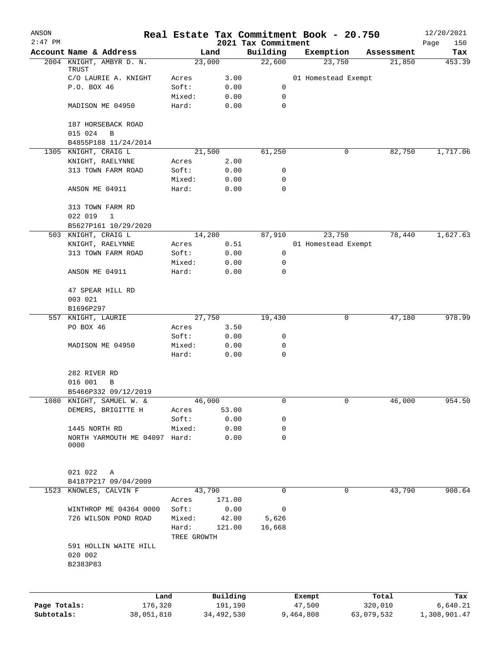| ANSON        |                                       |                      |              |                                 | Real Estate Tax Commitment Book - 20.750 |             | 12/20/2021         |
|--------------|---------------------------------------|----------------------|--------------|---------------------------------|------------------------------------------|-------------|--------------------|
| $2:47$ PM    | Account Name & Address                |                      | Land         | 2021 Tax Commitment<br>Building | Exemption                                | Assessment  | Page<br>150<br>Tax |
|              | 2004 KNIGHT, AMBYR D. N.<br>TRUST     |                      | 23,000       | 22,600                          | 23,750                                   | 21,850      | 453.39             |
|              | C/O LAURIE A. KNIGHT                  | Acres                | 3.00         |                                 | 01 Homestead Exempt                      |             |                    |
|              | P.O. BOX 46                           | Soft:                | 0.00         | 0                               |                                          |             |                    |
|              |                                       | Mixed:               | 0.00         | 0                               |                                          |             |                    |
|              | MADISON ME 04950                      | Hard:                | 0.00         | 0                               |                                          |             |                    |
|              | 187 HORSEBACK ROAD                    |                      |              |                                 |                                          |             |                    |
|              | 015 024<br>B<br>B4855P188 11/24/2014  |                      |              |                                 |                                          |             |                    |
|              | 1305 KNIGHT, CRAIG L                  |                      | 21,500       | 61,250                          |                                          | 0<br>82,750 | 1,717.06           |
|              | KNIGHT, RAELYNNE                      | Acres                | 2.00         |                                 |                                          |             |                    |
|              | 313 TOWN FARM ROAD                    | Soft:                | 0.00         | 0                               |                                          |             |                    |
|              |                                       | Mixed:               | 0.00         | 0                               |                                          |             |                    |
|              | ANSON ME 04911                        | Hard:                | 0.00         | $\mathbf 0$                     |                                          |             |                    |
|              | 313 TOWN FARM RD<br>022 019<br>1      |                      |              |                                 |                                          |             |                    |
|              | B5627P161 10/29/2020                  |                      |              |                                 |                                          |             |                    |
| 503          | KNIGHT, CRAIG L                       |                      | 14,280       | 87,910                          | 23,750                                   | 78,440      | 1,627.63           |
|              | KNIGHT, RAELYNNE                      | Acres                | 0.51         |                                 | 01 Homestead Exempt                      |             |                    |
|              | 313 TOWN FARM ROAD                    | Soft:                | 0.00         | 0                               |                                          |             |                    |
|              |                                       | Mixed:               | 0.00         | 0                               |                                          |             |                    |
|              | ANSON ME 04911                        | Hard:                | 0.00         | 0                               |                                          |             |                    |
|              | 47 SPEAR HILL RD                      |                      |              |                                 |                                          |             |                    |
|              | 003 021                               |                      |              |                                 |                                          |             |                    |
|              | B1696P297                             |                      |              |                                 |                                          |             |                    |
| 557          | KNIGHT, LAURIE                        |                      | 27,750       | 19,430                          |                                          | 0<br>47,180 | 978.99             |
|              | PO BOX 46                             | Acres                | 3.50         |                                 |                                          |             |                    |
|              |                                       | Soft:                | 0.00         | 0                               |                                          |             |                    |
|              | MADISON ME 04950                      | Mixed:               | 0.00         | 0                               |                                          |             |                    |
|              |                                       | Hard:                | 0.00         | 0                               |                                          |             |                    |
|              | 282 RIVER RD                          |                      |              |                                 |                                          |             |                    |
|              | 016 001<br>B<br>B5466P332 09/12/2019  |                      |              |                                 |                                          |             |                    |
|              | 1080 KNIGHT, SAMUEL W. &              |                      | 46,000       | 0                               |                                          | 0<br>46,000 | 954.50             |
|              | DEMERS, BRIGITTE H                    | Acres                | 53.00        |                                 |                                          |             |                    |
|              |                                       | Soft:                | 0.00         | 0                               |                                          |             |                    |
|              | 1445 NORTH RD                         | Mixed:               | 0.00         | 0                               |                                          |             |                    |
|              | NORTH YARMOUTH ME 04097 Hard:<br>0000 |                      | 0.00         | 0                               |                                          |             |                    |
|              | 021 022<br>Α                          |                      |              |                                 |                                          |             |                    |
|              | B4187P217 09/04/2009                  |                      |              |                                 |                                          |             |                    |
| 1523         | KNOWLES, CALVIN F                     |                      | 43,790       | 0                               |                                          | 0<br>43,790 | 908.64             |
|              |                                       | Acres                | 171.00       |                                 |                                          |             |                    |
|              | WINTHROP ME 04364 0000                | Soft:                | 0.00         | 0                               |                                          |             |                    |
|              | 726 WILSON POND ROAD                  | Mixed:               | 42.00        | 5,626                           |                                          |             |                    |
|              |                                       | Hard:<br>TREE GROWTH | 121.00       | 16,668                          |                                          |             |                    |
|              | 591 HOLLIN WAITE HILL<br>020 002      |                      |              |                                 |                                          |             |                    |
|              | B2383P83                              |                      |              |                                 |                                          |             |                    |
|              | Land                                  |                      | Building     |                                 | Exempt                                   | Total       | Tax                |
| Page Totals: | 176,320                               |                      | 191,190      |                                 | 47,500                                   | 320,010     | 6,640.21           |
| Subtotals:   | 38,051,810                            |                      | 34, 492, 530 |                                 | 9,464,808                                | 63,079,532  | 1,308,901.47       |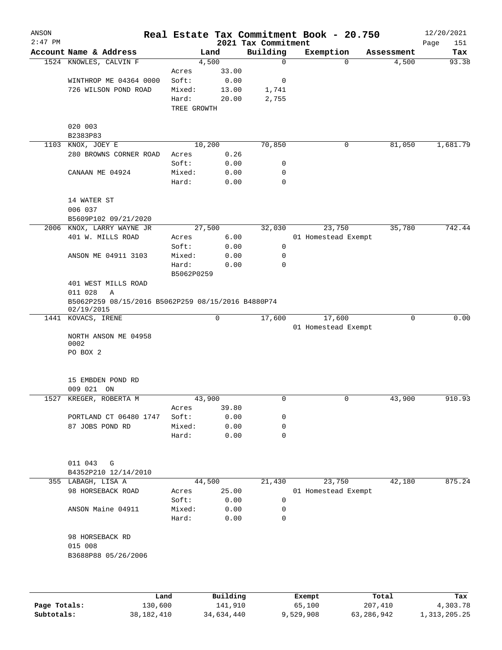| ANSON<br>$2:47$ PM |                                                                  |             |       | 2021 Tax Commitment | Real Estate Tax Commitment Book - 20.750 |            | 12/20/2021<br>151<br>Page |
|--------------------|------------------------------------------------------------------|-------------|-------|---------------------|------------------------------------------|------------|---------------------------|
|                    | Account Name & Address                                           | Land        |       | Building            | Exemption                                | Assessment | Tax                       |
|                    | 1524 KNOWLES, CALVIN F                                           | 4,500       |       | 0                   | $\mathbf 0$                              | 4,500      | 93.38                     |
|                    |                                                                  | Acres       | 33.00 |                     |                                          |            |                           |
|                    | WINTHROP ME 04364 0000                                           | Soft:       | 0.00  | 0                   |                                          |            |                           |
|                    | 726 WILSON POND ROAD                                             | Mixed:      | 13.00 | 1,741               |                                          |            |                           |
|                    |                                                                  | Hard:       | 20.00 | 2,755               |                                          |            |                           |
|                    |                                                                  | TREE GROWTH |       |                     |                                          |            |                           |
|                    |                                                                  |             |       |                     |                                          |            |                           |
|                    | 020 003                                                          |             |       |                     |                                          |            |                           |
|                    | B2383P83                                                         |             |       |                     |                                          |            |                           |
|                    | 1103 KNOX, JOEY E                                                | 10,200      |       | 70,850              | 0                                        | 81,050     | 1,681.79                  |
|                    | 280 BROWNS CORNER ROAD                                           | Acres       | 0.26  |                     |                                          |            |                           |
|                    |                                                                  | Soft:       | 0.00  | 0                   |                                          |            |                           |
|                    | CANAAN ME 04924                                                  | Mixed:      | 0.00  | 0                   |                                          |            |                           |
|                    |                                                                  | Hard:       | 0.00  | $\mathbf 0$         |                                          |            |                           |
|                    | 14 WATER ST                                                      |             |       |                     |                                          |            |                           |
|                    | 006 037                                                          |             |       |                     |                                          |            |                           |
|                    | B5609P102 09/21/2020                                             |             |       |                     |                                          |            |                           |
|                    | 2006 KNOX, LARRY WAYNE JR                                        | 27,500      |       | 32,030              | 23,750                                   | 35,780     | 742.44                    |
|                    | 401 W. MILLS ROAD                                                | Acres       | 6.00  |                     | 01 Homestead Exempt                      |            |                           |
|                    |                                                                  | Soft:       | 0.00  | 0                   |                                          |            |                           |
|                    | ANSON ME 04911 3103                                              | Mixed:      | 0.00  | 0                   |                                          |            |                           |
|                    |                                                                  | Hard:       | 0.00  | 0                   |                                          |            |                           |
|                    |                                                                  | B5062P0259  |       |                     |                                          |            |                           |
|                    | 401 WEST MILLS ROAD                                              |             |       |                     |                                          |            |                           |
|                    | 011 028<br>Α                                                     |             |       |                     |                                          |            |                           |
|                    | B5062P259 08/15/2016 B5062P259 08/15/2016 B4880P74<br>02/19/2015 |             |       |                     |                                          |            |                           |
|                    | 1441 KOVACS, IRENE                                               |             | 0     | 17,600              | 17,600                                   | 0          | 0.00                      |
|                    |                                                                  |             |       |                     | 01 Homestead Exempt                      |            |                           |
|                    | NORTH ANSON ME 04958<br>0002                                     |             |       |                     |                                          |            |                           |
|                    | PO BOX 2                                                         |             |       |                     |                                          |            |                           |
|                    |                                                                  |             |       |                     |                                          |            |                           |
|                    | 15 EMBDEN POND RD                                                |             |       |                     |                                          |            |                           |
|                    | 009 021 ON                                                       |             |       |                     |                                          |            |                           |
| 1527               | KREGER, ROBERTA M                                                | 43,900      |       |                     |                                          | 43,900     | 910.93                    |
|                    |                                                                  | Acres       | 39.80 |                     |                                          |            |                           |
|                    | PORTLAND CT 06480 1747                                           | Soft:       | 0.00  | 0                   |                                          |            |                           |
|                    | 87 JOBS POND RD                                                  | Mixed:      | 0.00  | 0                   |                                          |            |                           |
|                    |                                                                  | Hard:       | 0.00  | 0                   |                                          |            |                           |
|                    |                                                                  |             |       |                     |                                          |            |                           |
|                    | 011 043<br>G                                                     |             |       |                     |                                          |            |                           |
|                    | B4352P210 12/14/2010                                             |             |       |                     |                                          |            |                           |
|                    | 355 LABAGH, LISA A                                               | 44,500      |       | 21,430              | 23,750                                   | 42,180     | 875.24                    |
|                    | 98 HORSEBACK ROAD                                                | Acres       | 25.00 |                     | 01 Homestead Exempt                      |            |                           |
|                    |                                                                  | Soft:       | 0.00  | 0                   |                                          |            |                           |
|                    | ANSON Maine 04911                                                | Mixed:      | 0.00  | 0                   |                                          |            |                           |
|                    |                                                                  | Hard:       | 0.00  | 0                   |                                          |            |                           |
|                    | 98 HORSEBACK RD                                                  |             |       |                     |                                          |            |                           |
|                    | 015 008                                                          |             |       |                     |                                          |            |                           |
|                    | B3688P88 05/26/2006                                              |             |       |                     |                                          |            |                           |
|                    |                                                                  |             |       |                     |                                          |            |                           |
|                    |                                                                  |             |       |                     |                                          |            |                           |
|                    |                                                                  |             |       |                     |                                          |            |                           |
|                    |                                                                  |             |       |                     |                                          |            |                           |

|              | Land       | Building   | Exempt    | Total      | Tax          |
|--------------|------------|------------|-----------|------------|--------------|
| Page Totals: | 130,600    | 141,910    | 65,100    | 207,410    | 4,303.78     |
| Subtotals:   | 38,182,410 | 34,634,440 | 9,529,908 | 63,286,942 | 1,313,205.25 |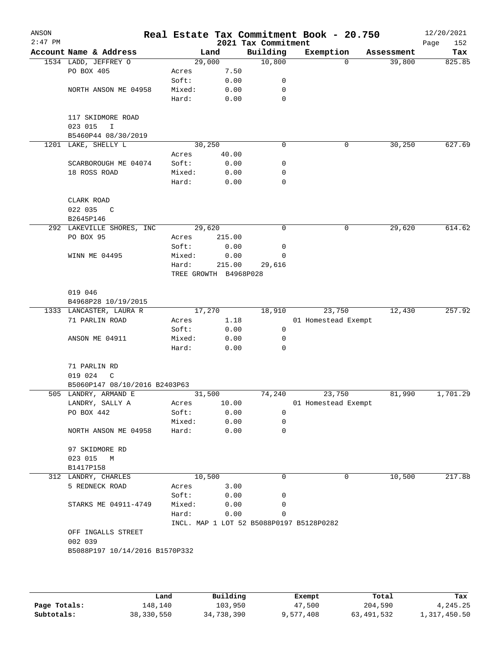| ANSON<br>$2:47$ PM |                                            |                       |        | 2021 Tax Commitment                      | Real Estate Tax Commitment Book - 20.750 |            | 12/20/2021<br>Page<br>152 |
|--------------------|--------------------------------------------|-----------------------|--------|------------------------------------------|------------------------------------------|------------|---------------------------|
|                    | Account Name & Address                     |                       | Land   | Building                                 | Exemption                                | Assessment | Tax                       |
|                    | 1534 LADD, JEFFREY O                       | 29,000                |        | 10,800                                   | $\Omega$                                 | 39,800     | 825.85                    |
|                    | PO BOX 405                                 | Acres                 | 7.50   |                                          |                                          |            |                           |
|                    |                                            | Soft:                 | 0.00   | 0                                        |                                          |            |                           |
|                    | NORTH ANSON ME 04958                       | Mixed:                | 0.00   | 0                                        |                                          |            |                           |
|                    |                                            | Hard:                 | 0.00   | 0                                        |                                          |            |                           |
|                    | 117 SKIDMORE ROAD                          |                       |        |                                          |                                          |            |                           |
|                    | 023 015<br>I                               |                       |        |                                          |                                          |            |                           |
|                    | B5460P44 08/30/2019<br>1201 LAKE, SHELLY L | 30, 250               |        | 0                                        | 0                                        | 30, 250    | 627.69                    |
|                    |                                            | Acres                 | 40.00  |                                          |                                          |            |                           |
|                    | SCARBOROUGH ME 04074                       | Soft:                 | 0.00   | 0                                        |                                          |            |                           |
|                    | 18 ROSS ROAD                               | Mixed:                | 0.00   | 0                                        |                                          |            |                           |
|                    |                                            | Hard:                 | 0.00   | 0                                        |                                          |            |                           |
|                    |                                            |                       |        |                                          |                                          |            |                           |
|                    | CLARK ROAD                                 |                       |        |                                          |                                          |            |                           |
|                    | 022 035<br>C                               |                       |        |                                          |                                          |            |                           |
|                    | B2645P146                                  |                       |        |                                          |                                          |            |                           |
|                    | 292 LAKEVILLE SHORES, INC                  | 29,620                |        | 0                                        | 0                                        | 29,620     | 614.62                    |
|                    | PO BOX 95                                  | Acres                 | 215.00 |                                          |                                          |            |                           |
|                    |                                            | Soft:                 | 0.00   | 0                                        |                                          |            |                           |
|                    | WINN ME 04495                              | Mixed:                | 0.00   | 0                                        |                                          |            |                           |
|                    |                                            | Hard:                 | 215.00 | 29,616                                   |                                          |            |                           |
|                    |                                            | TREE GROWTH B4968P028 |        |                                          |                                          |            |                           |
|                    |                                            |                       |        |                                          |                                          |            |                           |
|                    | 019 046                                    |                       |        |                                          |                                          |            |                           |
|                    | B4968P28 10/19/2015                        |                       |        |                                          |                                          |            |                           |
|                    | 1333 LANCASTER, LAURA R                    | 17,270                |        | 18,910                                   | 23,750                                   | 12,430     | 257.92                    |
|                    | 71 PARLIN ROAD                             | Acres                 | 1.18   |                                          | 01 Homestead Exempt                      |            |                           |
|                    |                                            | Soft:                 | 0.00   | $\mathsf{O}$                             |                                          |            |                           |
|                    | ANSON ME 04911                             | Mixed:                | 0.00   | 0                                        |                                          |            |                           |
|                    |                                            | Hard:                 | 0.00   | 0                                        |                                          |            |                           |
|                    | 71 PARLIN RD                               |                       |        |                                          |                                          |            |                           |
|                    | 019 024<br>C                               |                       |        |                                          |                                          |            |                           |
|                    | B5060P147 08/10/2016 B2403P63              |                       |        |                                          |                                          |            |                           |
|                    | 505 LANDRY, ARMAND E                       | 31,500                |        | 74,240                                   | 23,750                                   | 81,990     | 1,701.29                  |
|                    | LANDRY, SALLY A                            | Acres                 | 10.00  |                                          | 01 Homestead Exempt                      |            |                           |
|                    | PO BOX 442                                 | Soft:                 | 0.00   | 0                                        |                                          |            |                           |
|                    |                                            | Mixed:                | 0.00   | 0                                        |                                          |            |                           |
|                    | NORTH ANSON ME 04958                       | Hard:                 | 0.00   | 0                                        |                                          |            |                           |
|                    |                                            |                       |        |                                          |                                          |            |                           |
|                    | 97 SKIDMORE RD                             |                       |        |                                          |                                          |            |                           |
|                    | 023 015 M                                  |                       |        |                                          |                                          |            |                           |
|                    | B1417P158                                  |                       |        |                                          |                                          |            |                           |
|                    | 312 LANDRY, CHARLES                        | 10,500                |        | 0                                        | 0                                        | 10,500     | 217.88                    |
|                    | 5 REDNECK ROAD                             | Acres                 | 3.00   |                                          |                                          |            |                           |
|                    |                                            | Soft:                 | 0.00   | 0                                        |                                          |            |                           |
|                    | STARKS ME 04911-4749                       | Mixed:                | 0.00   | 0                                        |                                          |            |                           |
|                    |                                            | Hard:                 | 0.00   | 0                                        |                                          |            |                           |
|                    |                                            |                       |        | INCL. MAP 1 LOT 52 B5088P0197 B5128P0282 |                                          |            |                           |
|                    | OFF INGALLS STREET                         |                       |        |                                          |                                          |            |                           |
|                    | 002 039                                    |                       |        |                                          |                                          |            |                           |
|                    | B5088P197 10/14/2016 B1570P332             |                       |        |                                          |                                          |            |                           |
|                    |                                            |                       |        |                                          |                                          |            |                           |
|                    |                                            |                       |        |                                          |                                          |            |                           |

|              | Land       | Building   | Exempt    | Total      | Tax          |
|--------------|------------|------------|-----------|------------|--------------|
| Page Totals: | ⊥48,140    | 103,950    | 47,500    | 204,590    | 4,245.25     |
| Subtotals:   | 38,330,550 | 34,738,390 | 9,577,408 | 63,491,532 | 1,317,450.50 |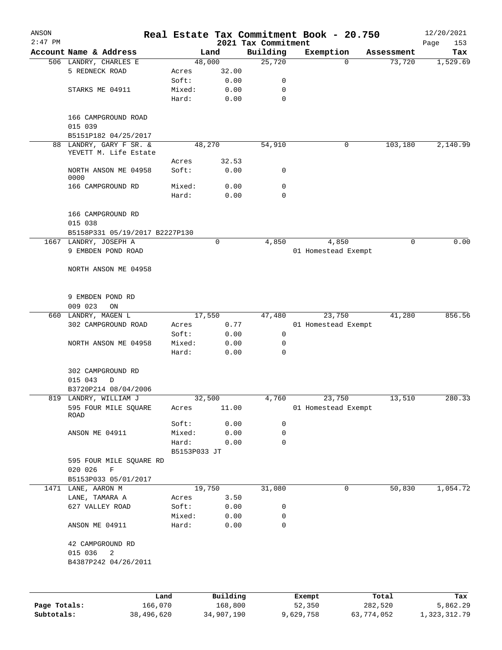| ANSON        |                                                  |                 |              |                                 | Real Estate Tax Commitment Book - 20.750 |             | 12/20/2021         |
|--------------|--------------------------------------------------|-----------------|--------------|---------------------------------|------------------------------------------|-------------|--------------------|
| $2:47$ PM    | Account Name & Address                           |                 | Land         | 2021 Tax Commitment<br>Building | Exemption                                | Assessment  | 153<br>Page<br>Tax |
|              | 506 LANDRY, CHARLES E                            | 48,000          |              | 25,720                          | $\Omega$                                 | 73,720      | 1,529.69           |
|              | 5 REDNECK ROAD                                   | Acres           | 32.00        |                                 |                                          |             |                    |
|              |                                                  | Soft:           | 0.00         | 0                               |                                          |             |                    |
|              | STARKS ME 04911                                  | Mixed:          | 0.00         | 0                               |                                          |             |                    |
|              |                                                  | Hard:           | 0.00         | $\mathbf 0$                     |                                          |             |                    |
|              | 166 CAMPGROUND ROAD                              |                 |              |                                 |                                          |             |                    |
|              | 015 039                                          |                 |              |                                 |                                          |             |                    |
|              | B5151P182 04/25/2017                             |                 |              |                                 |                                          |             |                    |
|              | 88 LANDRY, GARY F SR. &<br>YEVETT M. Life Estate | 48,270          |              | 54,910                          | 0                                        | 103,180     | 2,140.99           |
|              |                                                  | Acres           | 32.53        |                                 |                                          |             |                    |
|              | NORTH ANSON ME 04958<br>0000                     | Soft:           | 0.00         | 0                               |                                          |             |                    |
|              | 166 CAMPGROUND RD                                | Mixed:          | 0.00         | 0                               |                                          |             |                    |
|              |                                                  | Hard:           | 0.00         | $\mathbf 0$                     |                                          |             |                    |
|              | 166 CAMPGROUND RD<br>015 038                     |                 |              |                                 |                                          |             |                    |
|              | B5158P331 05/19/2017 B2227P130                   |                 |              |                                 |                                          |             |                    |
|              | 1667 LANDRY, JOSEPH A                            |                 | $\mathbf 0$  | 4,850                           | 4,850                                    | $\mathbf 0$ | 0.00               |
|              | 9 EMBDEN POND ROAD                               |                 |              |                                 | 01 Homestead Exempt                      |             |                    |
|              | NORTH ANSON ME 04958                             |                 |              |                                 |                                          |             |                    |
|              | 9 EMBDEN POND RD                                 |                 |              |                                 |                                          |             |                    |
|              | 009 023<br>ON                                    |                 |              |                                 |                                          |             |                    |
|              | 660 LANDRY, MAGEN L                              | 17,550          |              | 47,480                          | 23,750                                   | 41,280      | 856.56             |
|              | 302 CAMPGROUND ROAD                              | Acres           | 0.77         |                                 | 01 Homestead Exempt                      |             |                    |
|              |                                                  | Soft:           | 0.00         | 0                               |                                          |             |                    |
|              | NORTH ANSON ME 04958                             | Mixed:          | 0.00         | 0                               |                                          |             |                    |
|              |                                                  | Hard:           | 0.00         | $\mathbf 0$                     |                                          |             |                    |
|              | 302 CAMPGROUND RD                                |                 |              |                                 |                                          |             |                    |
|              | 015 043<br>D                                     |                 |              |                                 |                                          |             |                    |
|              | B3720P214 08/04/2006                             |                 |              |                                 |                                          |             |                    |
|              | 819 LANDRY, WILLIAM J                            | 32,500          |              | 4,760                           | 23,750                                   | 13,510      | 280.33             |
|              | 595 FOUR MILE SQUARE<br>ROAD                     | Acres           | 11.00        |                                 | 01 Homestead Exempt                      |             |                    |
|              |                                                  | Soft:           | 0.00         | 0                               |                                          |             |                    |
|              | ANSON ME 04911                                   | Mixed:          | 0.00         | 0                               |                                          |             |                    |
|              |                                                  | Hard:           | 0.00         | 0                               |                                          |             |                    |
|              |                                                  | B5153P033 JT    |              |                                 |                                          |             |                    |
|              | 595 FOUR MILE SQUARE RD                          |                 |              |                                 |                                          |             |                    |
|              | 020 026<br>$\mathbf F$                           |                 |              |                                 |                                          |             |                    |
|              | B5153P033 05/01/2017                             |                 |              |                                 |                                          |             |                    |
|              | 1471 LANE, AARON M                               | 19,750          |              | 31,080                          | 0                                        | 50,830      | 1,054.72           |
|              | LANE, TAMARA A                                   | Acres           | 3.50         |                                 |                                          |             |                    |
|              | 627 VALLEY ROAD                                  | Soft:           | 0.00         | 0                               |                                          |             |                    |
|              | ANSON ME 04911                                   | Mixed:<br>Hard: | 0.00<br>0.00 | 0<br>0                          |                                          |             |                    |
|              |                                                  |                 |              |                                 |                                          |             |                    |
|              | 42 CAMPGROUND RD                                 |                 |              |                                 |                                          |             |                    |
|              | 015 036<br>2                                     |                 |              |                                 |                                          |             |                    |
|              | B4387P242 04/26/2011                             |                 |              |                                 |                                          |             |                    |
|              |                                                  |                 |              |                                 |                                          |             |                    |
|              | Land                                             |                 | Building     |                                 | Exempt                                   | Total       | Tax                |
| Page Totals: | 166,070                                          |                 | 168,800      |                                 | 52,350                                   | 282,520     | 5,862.29           |

**Subtotals:** 38,496,620 34,907,190 9,629,758 63,774,052 1,323,312.79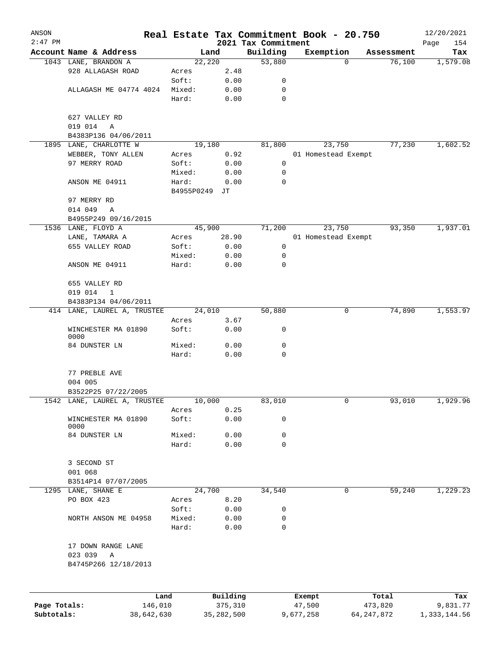| ANSON        |                              |            |            |              |                                 | Real Estate Tax Commitment Book - 20.750 |              |            | 12/20/2021         |
|--------------|------------------------------|------------|------------|--------------|---------------------------------|------------------------------------------|--------------|------------|--------------------|
| $2:47$ PM    | Account Name & Address       |            |            | Land         | 2021 Tax Commitment<br>Building | Exemption                                |              | Assessment | 154<br>Page<br>Tax |
|              | 1043 LANE, BRANDON A         |            |            | 22,220       | 53,880                          |                                          | $\Omega$     | 76,100     | 1,579.08           |
|              | 928 ALLAGASH ROAD            |            | Acres      | 2.48         |                                 |                                          |              |            |                    |
|              |                              |            | Soft:      | 0.00         | 0                               |                                          |              |            |                    |
|              | ALLAGASH ME 04774 4024       |            | Mixed:     | 0.00         | 0                               |                                          |              |            |                    |
|              |                              |            | Hard:      | 0.00         | 0                               |                                          |              |            |                    |
|              | 627 VALLEY RD                |            |            |              |                                 |                                          |              |            |                    |
|              | 019 014<br>Α                 |            |            |              |                                 |                                          |              |            |                    |
|              | B4383P136 04/06/2011         |            |            |              |                                 |                                          |              |            |                    |
|              | 1895 LANE, CHARLOTTE W       |            |            | 19,180       | 81,800                          | 23,750                                   |              | 77,230     | 1,602.52           |
|              | WEBBER, TONY ALLEN           |            | Acres      | 0.92         |                                 | 01 Homestead Exempt                      |              |            |                    |
|              | 97 MERRY ROAD                |            | Soft:      | 0.00         | 0                               |                                          |              |            |                    |
|              |                              |            | Mixed:     | 0.00         | 0                               |                                          |              |            |                    |
|              | ANSON ME 04911               |            | Hard:      | 0.00         | 0                               |                                          |              |            |                    |
|              | 97 MERRY RD                  |            | B4955P0249 | JТ           |                                 |                                          |              |            |                    |
|              | 014 049<br>Α                 |            |            |              |                                 |                                          |              |            |                    |
|              | B4955P249 09/16/2015         |            |            |              |                                 |                                          |              |            |                    |
|              | 1536 LANE, FLOYD A           |            |            | 45,900       | 71,200                          | 23,750                                   |              | 93,350     | 1,937.01           |
|              | LANE, TAMARA A               |            | Acres      | 28.90        |                                 | 01 Homestead Exempt                      |              |            |                    |
|              | 655 VALLEY ROAD              |            | Soft:      | 0.00         | 0                               |                                          |              |            |                    |
|              |                              |            | Mixed:     | 0.00         | 0                               |                                          |              |            |                    |
|              | ANSON ME 04911               |            | Hard:      | 0.00         | 0                               |                                          |              |            |                    |
|              |                              |            |            |              |                                 |                                          |              |            |                    |
|              | 655 VALLEY RD                |            |            |              |                                 |                                          |              |            |                    |
|              | 019 014<br>1                 |            |            |              |                                 |                                          |              |            |                    |
|              | B4383P134 04/06/2011         |            |            |              |                                 |                                          |              |            |                    |
|              | 414 LANE, LAUREL A, TRUSTEE  |            |            | 24,010       | 50,880                          |                                          | 0            | 74,890     | 1,553.97           |
|              |                              |            | Acres      | 3.67         |                                 |                                          |              |            |                    |
|              | WINCHESTER MA 01890          |            | Soft:      | 0.00         | 0                               |                                          |              |            |                    |
|              | 0000                         |            |            |              |                                 |                                          |              |            |                    |
|              | 84 DUNSTER LN                |            | Mixed:     | 0.00         | 0                               |                                          |              |            |                    |
|              |                              |            | Hard:      | 0.00         | $\mathbf 0$                     |                                          |              |            |                    |
|              |                              |            |            |              |                                 |                                          |              |            |                    |
|              | 77 PREBLE AVE                |            |            |              |                                 |                                          |              |            |                    |
|              | 004 005                      |            |            |              |                                 |                                          |              |            |                    |
|              | B3522P25 07/22/2005          |            |            |              |                                 |                                          |              |            |                    |
|              | 1542 LANE, LAUREL A, TRUSTEE |            |            | 10,000       | 83,010                          |                                          | 0            | 93,010     | 1,929.96           |
|              |                              |            | Acres      | 0.25         |                                 |                                          |              |            |                    |
|              | WINCHESTER MA 01890<br>0000  |            | Soft:      | 0.00         | 0                               |                                          |              |            |                    |
|              | 84 DUNSTER LN                |            | Mixed:     | 0.00         | 0                               |                                          |              |            |                    |
|              |                              |            | Hard:      | 0.00         | 0                               |                                          |              |            |                    |
|              |                              |            |            |              |                                 |                                          |              |            |                    |
|              | 3 SECOND ST                  |            |            |              |                                 |                                          |              |            |                    |
|              | 001 068                      |            |            |              |                                 |                                          |              |            |                    |
|              | B3514P14 07/07/2005          |            |            |              |                                 |                                          |              |            |                    |
|              | 1295 LANE, SHANE E           |            |            | 24,700       | 34,540                          |                                          | 0            | 59,240     | 1,229.23           |
|              | PO BOX 423                   |            | Acres      | 8.20         |                                 |                                          |              |            |                    |
|              |                              |            | Soft:      | 0.00         | 0                               |                                          |              |            |                    |
|              | NORTH ANSON ME 04958         |            | Mixed:     | 0.00         | 0                               |                                          |              |            |                    |
|              |                              |            | Hard:      | 0.00         | 0                               |                                          |              |            |                    |
|              |                              |            |            |              |                                 |                                          |              |            |                    |
|              | 17 DOWN RANGE LANE           |            |            |              |                                 |                                          |              |            |                    |
|              | 023 039<br>A                 |            |            |              |                                 |                                          |              |            |                    |
|              | B4745P266 12/18/2013         |            |            |              |                                 |                                          |              |            |                    |
|              |                              |            |            |              |                                 |                                          |              |            |                    |
|              |                              | Land       |            | Building     |                                 | Exempt                                   |              | Total      | Tax                |
| Page Totals: |                              | 146,010    |            | 375,310      |                                 | 47,500                                   |              | 473,820    | 9,831.77           |
| Subtotals:   |                              | 38,642,630 |            | 35, 282, 500 |                                 | 9,677,258                                | 64, 247, 872 |            | 1,333,144.56       |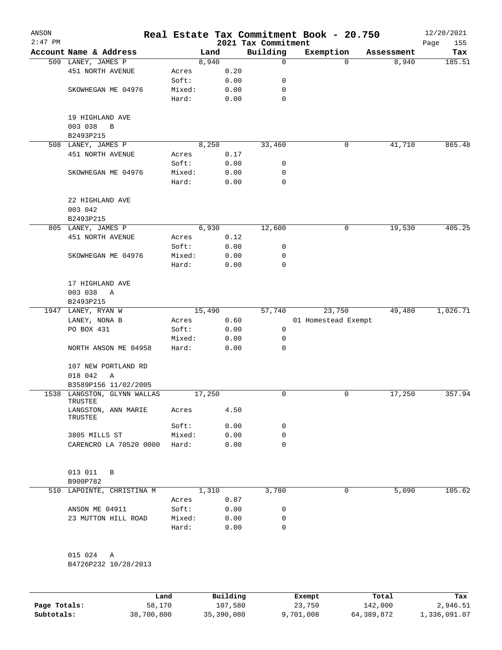| ANSON<br>$2:47$ PM |                                           |        |        | 2021 Tax Commitment | Real Estate Tax Commitment Book - 20.750 |            | 12/20/2021<br>155<br>Page |
|--------------------|-------------------------------------------|--------|--------|---------------------|------------------------------------------|------------|---------------------------|
|                    | Account Name & Address                    |        | Land   | Building            | Exemption                                | Assessment | Tax                       |
|                    | 509 LANEY, JAMES P                        |        | 8,940  | $\mathbf 0$         | 0                                        | 8,940      | 185.51                    |
|                    | 451 NORTH AVENUE                          | Acres  | 0.20   |                     |                                          |            |                           |
|                    |                                           | Soft:  | 0.00   | 0                   |                                          |            |                           |
|                    | SKOWHEGAN ME 04976                        | Mixed: | 0.00   | 0                   |                                          |            |                           |
|                    |                                           | Hard:  | 0.00   | $\mathbf 0$         |                                          |            |                           |
|                    | 19 HIGHLAND AVE<br>003 038<br>B           |        |        |                     |                                          |            |                           |
|                    | B2493P215                                 |        |        |                     |                                          |            |                           |
|                    | 508 LANEY, JAMES P                        |        | 8,250  | 33,460              | 0                                        | 41,710     | 865.48                    |
|                    | 451 NORTH AVENUE                          | Acres  | 0.17   |                     |                                          |            |                           |
|                    |                                           | Soft:  | 0.00   | 0                   |                                          |            |                           |
|                    | SKOWHEGAN ME 04976                        | Mixed: | 0.00   | 0                   |                                          |            |                           |
|                    |                                           | Hard:  | 0.00   | 0                   |                                          |            |                           |
|                    | 22 HIGHLAND AVE<br>003 042                |        |        |                     |                                          |            |                           |
|                    | B2493P215                                 |        |        |                     |                                          |            |                           |
|                    | 805 LANEY, JAMES P                        |        | 6,930  | 12,600              | 0                                        | 19,530     | 405.25                    |
|                    | 451 NORTH AVENUE                          | Acres  | 0.12   |                     |                                          |            |                           |
|                    |                                           | Soft:  | 0.00   | 0                   |                                          |            |                           |
|                    | SKOWHEGAN ME 04976                        | Mixed: | 0.00   | 0                   |                                          |            |                           |
|                    |                                           | Hard:  | 0.00   | $\mathbf 0$         |                                          |            |                           |
|                    | 17 HIGHLAND AVE                           |        |        |                     |                                          |            |                           |
|                    | 003 038<br>Α                              |        |        |                     |                                          |            |                           |
|                    | B2493P215                                 |        |        |                     |                                          |            |                           |
|                    | 1947 LANEY, RYAN W                        |        | 15,490 | 57,740              | 23,750                                   | 49,480     | 1,026.71                  |
|                    | LANEY, NONA B                             | Acres  | 0.60   |                     | 01 Homestead Exempt                      |            |                           |
|                    | PO BOX 431                                | Soft:  | 0.00   | 0                   |                                          |            |                           |
|                    |                                           | Mixed: | 0.00   | 0                   |                                          |            |                           |
|                    | NORTH ANSON ME 04958                      | Hard:  | 0.00   | 0                   |                                          |            |                           |
|                    | 107 NEW PORTLAND RD<br>018 042<br>Α       |        |        |                     |                                          |            |                           |
|                    | B3589P156 11/02/2005                      |        |        |                     |                                          |            |                           |
|                    | 1538 LANGSTON, GLYNN WALLAS               |        | 17,250 | 0                   | 0                                        | 17,250     | 357.94                    |
|                    | TRUSTEE<br>LANGSTON, ANN MARIE<br>TRUSTEE | Acres  | 4.50   |                     |                                          |            |                           |
|                    |                                           | Soft:  | 0.00   | 0                   |                                          |            |                           |
|                    | 3805 MILLS ST                             | Mixed: | 0.00   | 0                   |                                          |            |                           |
|                    | CARENCRO LA 70520 0000                    | Hard:  | 0.00   | $\mathbf 0$         |                                          |            |                           |
|                    | 013 011<br>B<br>B900P782                  |        |        |                     |                                          |            |                           |
| 510                | LAPOINTE, CHRISTINA M                     |        | 1,310  | 3,780               | 0                                        | 5,090      | 105.62                    |
|                    |                                           | Acres  | 0.87   |                     |                                          |            |                           |
|                    | ANSON ME 04911                            | Soft:  | 0.00   | 0                   |                                          |            |                           |
|                    | 23 MUTTON HILL ROAD                       | Mixed: | 0.00   | 0                   |                                          |            |                           |
|                    |                                           | Hard:  | 0.00   | 0                   |                                          |            |                           |
|                    | 015 024<br>Α                              |        |        |                     |                                          |            |                           |
|                    | B4726P232 10/28/2013                      |        |        |                     |                                          |            |                           |
|                    |                                           |        |        |                     |                                          |            |                           |

|              | Land       | Building   | Exempt    | Total      | Tax          |
|--------------|------------|------------|-----------|------------|--------------|
| Page Totals: | 58,170     | 107,580    | 23,750    | 142,000    | 2,946.51     |
| Subtotals:   | 38,700,800 | 35,390,080 | 9,701,008 | 64,389,872 | 1,336,091.07 |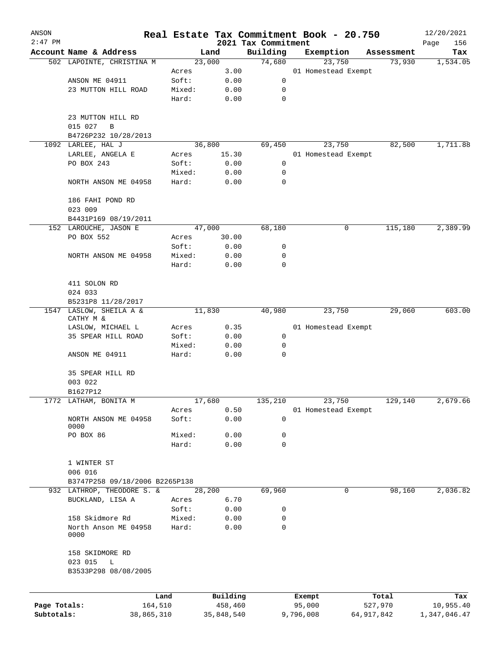| ANSON                      |                                               |                |                       |                                 | Real Estate Tax Commitment Book - 20.750 |                       | 12/20/2021                |
|----------------------------|-----------------------------------------------|----------------|-----------------------|---------------------------------|------------------------------------------|-----------------------|---------------------------|
| $2:47$ PM                  | Account Name & Address                        |                | Land                  | 2021 Tax Commitment<br>Building |                                          |                       | Page<br>156               |
|                            | 502 LAPOINTE, CHRISTINA M                     |                | 23,000                | 74,680                          | Exemption<br>23,750                      | Assessment<br>73,930  | Tax<br>1,534.05           |
|                            |                                               | Acres          | 3.00                  |                                 | 01 Homestead Exempt                      |                       |                           |
|                            | ANSON ME 04911                                | Soft:          | 0.00                  | 0                               |                                          |                       |                           |
|                            | 23 MUTTON HILL ROAD                           | Mixed:         | 0.00                  | 0                               |                                          |                       |                           |
|                            |                                               | Hard:          | 0.00                  | $\mathbf 0$                     |                                          |                       |                           |
|                            | 23 MUTTON HILL RD                             |                |                       |                                 |                                          |                       |                           |
|                            | 015 027<br>$\, {\bf B}$                       |                |                       |                                 |                                          |                       |                           |
|                            | B4726P232 10/28/2013                          |                |                       |                                 |                                          |                       |                           |
|                            | 1092 LARLEE, HAL J                            |                | 36,800                | 69,450                          | 23,750                                   | 82,500                | 1,711.88                  |
|                            | LARLEE, ANGELA E                              | Acres<br>Soft: | 15.30                 |                                 | 01 Homestead Exempt                      |                       |                           |
|                            | PO BOX 243                                    | Mixed:         | 0.00<br>0.00          | 0<br>0                          |                                          |                       |                           |
|                            | NORTH ANSON ME 04958                          | Hard:          | 0.00                  | 0                               |                                          |                       |                           |
|                            | 186 FAHI POND RD                              |                |                       |                                 |                                          |                       |                           |
|                            | 023 009                                       |                |                       |                                 |                                          |                       |                           |
|                            | B4431P169 08/19/2011<br>152 LAROUCHE, JASON E |                | 47,000                | 68,180                          | 0                                        | 115,180               | 2,389.99                  |
|                            | PO BOX 552                                    | Acres          | 30.00                 |                                 |                                          |                       |                           |
|                            |                                               | Soft:          | 0.00                  | 0                               |                                          |                       |                           |
|                            | NORTH ANSON ME 04958                          | Mixed:         | 0.00                  | 0                               |                                          |                       |                           |
|                            |                                               | Hard:          | 0.00                  | 0                               |                                          |                       |                           |
|                            | 411 SOLON RD                                  |                |                       |                                 |                                          |                       |                           |
|                            | 024 033                                       |                |                       |                                 |                                          |                       |                           |
|                            | B5231P8 11/28/2017                            |                |                       |                                 |                                          |                       |                           |
|                            | 1547 LASLOW, SHEILA A &<br>CATHY M &          |                | 11,830                | 40,980                          | 23,750                                   | 29,060                | 603.00                    |
|                            | LASLOW, MICHAEL L                             | Acres          | 0.35                  |                                 | 01 Homestead Exempt                      |                       |                           |
|                            | 35 SPEAR HILL ROAD                            | Soft:          | 0.00                  | 0                               |                                          |                       |                           |
|                            |                                               | Mixed:         | 0.00                  | 0                               |                                          |                       |                           |
|                            | ANSON ME 04911                                | Hard:          | 0.00                  | 0                               |                                          |                       |                           |
|                            | 35 SPEAR HILL RD                              |                |                       |                                 |                                          |                       |                           |
|                            | 003 022                                       |                |                       |                                 |                                          |                       |                           |
|                            | B1627P12                                      |                |                       |                                 |                                          |                       |                           |
|                            | 1772 LATHAM, BONITA M                         |                | 17,680                | 135,210                         | 23,750                                   | 129,140               | 2,679.66                  |
|                            |                                               | Acres          | 0.50                  |                                 | 01 Homestead Exempt                      |                       |                           |
|                            | NORTH ANSON ME 04958<br>0000                  | Soft:          | 0.00                  | 0                               |                                          |                       |                           |
|                            | PO BOX 86                                     | Mixed:         | 0.00                  | 0                               |                                          |                       |                           |
|                            |                                               | Hard:          | 0.00                  | $\mathbf 0$                     |                                          |                       |                           |
|                            | 1 WINTER ST                                   |                |                       |                                 |                                          |                       |                           |
|                            | 006 016                                       |                |                       |                                 |                                          |                       |                           |
|                            | B3747P258 09/18/2006 B2265P138                |                |                       |                                 |                                          |                       |                           |
|                            | 932 LATHROP, THEODORE S. &                    |                | 28,200                | 69,960                          |                                          | 0<br>98,160           | 2,036.82                  |
|                            | BUCKLAND, LISA A                              | Acres          | 6.70                  |                                 |                                          |                       |                           |
|                            |                                               | Soft:          | 0.00                  | 0                               |                                          |                       |                           |
|                            | 158 Skidmore Rd                               | Mixed:         | 0.00                  | 0                               |                                          |                       |                           |
|                            | North Anson ME 04958<br>0000                  | Hard:          | 0.00                  | 0                               |                                          |                       |                           |
|                            | 158 SKIDMORE RD                               |                |                       |                                 |                                          |                       |                           |
|                            | 023 015<br>L<br>B3533P298 08/08/2005          |                |                       |                                 |                                          |                       |                           |
|                            |                                               |                |                       |                                 |                                          |                       |                           |
|                            | Land                                          |                | Building              |                                 | Exempt                                   | Total                 | Tax                       |
| Page Totals:<br>Subtotals: | 164,510<br>38,865,310                         |                | 458,460<br>35,848,540 |                                 | 95,000<br>9,796,008                      | 527,970<br>64,917,842 | 10,955.40<br>1,347,046.47 |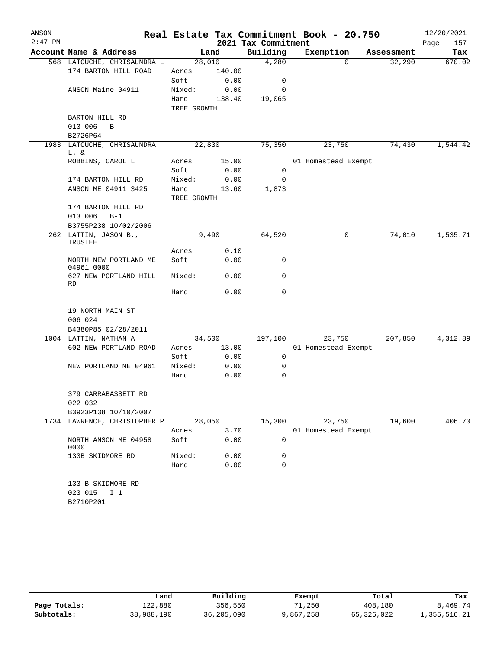| ANSON     |                                                             |                      |               |                     | Real Estate Tax Commitment Book - 20.750 |            | 12/20/2021  |
|-----------|-------------------------------------------------------------|----------------------|---------------|---------------------|------------------------------------------|------------|-------------|
| $2:47$ PM |                                                             |                      |               | 2021 Tax Commitment |                                          |            | Page<br>157 |
|           | Account Name & Address                                      |                      | Land          | Building            | Exemption                                | Assessment | Tax         |
|           | 568 LATOUCHE, CHRISAUNDRA L                                 | 28,010               |               | 4,280               | $\Omega$                                 | 32,290     | 670.02      |
|           | 174 BARTON HILL ROAD                                        | Acres                | 140.00        |                     |                                          |            |             |
|           |                                                             | Soft:                | 0.00          | $\mathbf 0$         |                                          |            |             |
|           | ANSON Maine 04911                                           | Mixed:               | 0.00          | 0                   |                                          |            |             |
|           |                                                             | Hard:<br>TREE GROWTH | 138.40        | 19,065              |                                          |            |             |
|           | BARTON HILL RD                                              |                      |               |                     |                                          |            |             |
|           | 013 006<br>B                                                |                      |               |                     |                                          |            |             |
|           | B2726P64                                                    |                      |               |                     |                                          |            |             |
|           | 1983 LATOUCHE, CHRISAUNDRA<br>L. &                          | 22,830               |               | 75,350              | 23,750                                   | 74,430     | 1,544.42    |
|           | ROBBINS, CAROL L                                            | Acres                | 15.00         |                     | 01 Homestead Exempt                      |            |             |
|           |                                                             | Soft:                | 0.00          | $\mathbf 0$         |                                          |            |             |
|           | 174 BARTON HILL RD                                          | Mixed:               | 0.00          | 0                   |                                          |            |             |
|           | ANSON ME 04911 3425                                         | Hard:<br>TREE GROWTH | 13.60         | 1,873               |                                          |            |             |
|           | 174 BARTON HILL RD                                          |                      |               |                     |                                          |            |             |
|           | 013 006<br>$B-1$                                            |                      |               |                     |                                          |            |             |
|           | B3755P238 10/02/2006                                        |                      |               |                     |                                          |            |             |
|           | 262 LATTIN, JASON B.,<br>TRUSTEE                            |                      | 9,490         | 64,520              | 0                                        | 74,010     | 1,535.71    |
|           |                                                             | Acres                | 0.10          |                     |                                          |            |             |
|           | NORTH NEW PORTLAND ME<br>04961 0000                         | Soft:                | 0.00          | 0                   |                                          |            |             |
|           | 627 NEW PORTLAND HILL<br>RD                                 | Mixed:               | 0.00          | 0                   |                                          |            |             |
|           |                                                             | Hard:                | 0.00          | 0                   |                                          |            |             |
|           | 19 NORTH MAIN ST                                            |                      |               |                     |                                          |            |             |
|           | 006 024                                                     |                      |               |                     |                                          |            |             |
|           | B4380P85 02/28/2011                                         |                      |               |                     |                                          |            |             |
|           | 1004 LATTIN, NATHAN A                                       | 34,500               |               | 197,100             | 23,750                                   | 207,850    | 4,312.89    |
|           | 602 NEW PORTLAND ROAD                                       | Acres                | 13.00<br>0.00 | $\mathbf 0$         | 01 Homestead Exempt                      |            |             |
|           |                                                             | Soft:                |               | 0                   |                                          |            |             |
|           | NEW PORTLAND ME 04961                                       | Mixed:<br>Hard:      | 0.00<br>0.00  | 0                   |                                          |            |             |
|           |                                                             |                      |               |                     |                                          |            |             |
|           | 379 CARRABASSETT RD                                         |                      |               |                     |                                          |            |             |
|           | 022 032                                                     |                      |               |                     |                                          |            |             |
|           | B3923P138 10/10/2007<br>1734 LAWRENCE, CHRISTOPHER P        |                      |               |                     |                                          | 19,600     | 406.70      |
|           |                                                             | 28,050<br>Acres      | 3.70          | 15,300              | 23,750<br>01 Homestead Exempt            |            |             |
|           | NORTH ANSON ME 04958<br>0000                                | Soft:                | 0.00          | 0                   |                                          |            |             |
|           | 133B SKIDMORE RD                                            | Mixed:               | 0.00          | 0                   |                                          |            |             |
|           |                                                             | Hard:                | 0.00          | 0                   |                                          |            |             |
|           | 133 B SKIDMORE RD<br>023 015<br>I <sub>1</sub><br>B2710P201 |                      |               |                     |                                          |            |             |

|              | Land       | Building   | Exempt    | Total      | Tax          |
|--------------|------------|------------|-----------|------------|--------------|
| Page Totals: | 122,880    | 356,550    | 71,250    | 408,180    | 8,469.74     |
| Subtotals:   | 38,988,190 | 36,205,090 | 9,867,258 | 65,326,022 | 1,355,516.21 |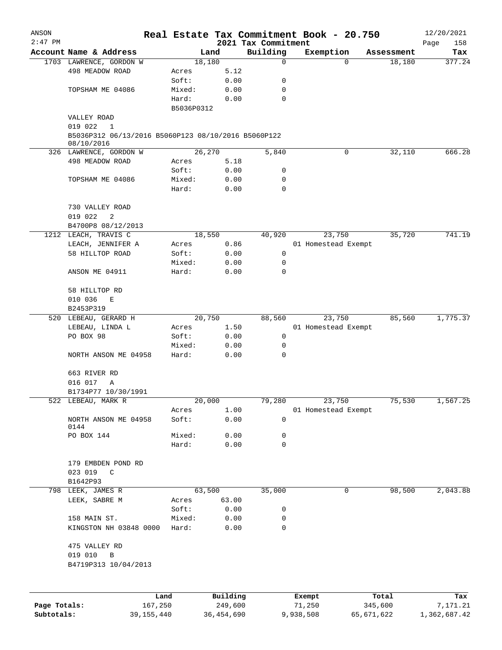| ANSON        |                                                     |            |          |                     | Real Estate Tax Commitment Book - 20.750 |                    | 12/20/2021  |
|--------------|-----------------------------------------------------|------------|----------|---------------------|------------------------------------------|--------------------|-------------|
| $2:47$ PM    |                                                     |            |          | 2021 Tax Commitment |                                          |                    | 158<br>Page |
|              | Account Name & Address                              |            | Land     | Building            | Exemption                                | Assessment         | Tax         |
|              | 1703 LAWRENCE, GORDON W                             |            | 18,180   | 0                   |                                          | 18,180<br>$\Omega$ | 377.24      |
|              | 498 MEADOW ROAD                                     | Acres      | 5.12     |                     |                                          |                    |             |
|              |                                                     | Soft:      | 0.00     | 0                   |                                          |                    |             |
|              | TOPSHAM ME 04086                                    | Mixed:     | 0.00     | 0<br>$\mathbf 0$    |                                          |                    |             |
|              |                                                     | Hard:      | 0.00     |                     |                                          |                    |             |
|              |                                                     | B5036P0312 |          |                     |                                          |                    |             |
|              | VALLEY ROAD<br>019 022<br>$\mathbf{1}$              |            |          |                     |                                          |                    |             |
|              | B5036P312 06/13/2016 B5060P123 08/10/2016 B5060P122 |            |          |                     |                                          |                    |             |
|              | 08/10/2016                                          |            |          |                     |                                          |                    |             |
|              | 326 LAWRENCE, GORDON W                              |            | 26,270   | 5,840               |                                          | 32,110<br>0        | 666.28      |
|              | 498 MEADOW ROAD                                     | Acres      | 5.18     |                     |                                          |                    |             |
|              |                                                     | Soft:      | 0.00     | 0                   |                                          |                    |             |
|              | TOPSHAM ME 04086                                    | Mixed:     | 0.00     | 0                   |                                          |                    |             |
|              |                                                     | Hard:      | 0.00     | $\mathbf 0$         |                                          |                    |             |
|              | 730 VALLEY ROAD                                     |            |          |                     |                                          |                    |             |
|              | 2<br>019 022                                        |            |          |                     |                                          |                    |             |
|              | B4700P8 08/12/2013                                  |            |          |                     |                                          |                    |             |
| 1212         | LEACH, TRAVIS C                                     |            | 18,550   | 40,920              | 23,750                                   | 35,720             | 741.19      |
|              | LEACH, JENNIFER A                                   | Acres      | 0.86     |                     | 01 Homestead Exempt                      |                    |             |
|              | 58 HILLTOP ROAD                                     | Soft:      | 0.00     | 0                   |                                          |                    |             |
|              |                                                     | Mixed:     | 0.00     | 0                   |                                          |                    |             |
|              | ANSON ME 04911                                      | Hard:      | 0.00     | $\mathbf 0$         |                                          |                    |             |
|              | 58 HILLTOP RD                                       |            |          |                     |                                          |                    |             |
|              | 010 036<br>E                                        |            |          |                     |                                          |                    |             |
|              | B2453P319                                           |            |          |                     |                                          |                    |             |
|              | 520 LEBEAU, GERARD H                                |            | 20,750   | 88,560              | 23,750                                   | 85,560             | 1,775.37    |
|              | LEBEAU, LINDA L                                     | Acres      | 1.50     |                     | 01 Homestead Exempt                      |                    |             |
|              | PO BOX 98                                           | Soft:      | 0.00     | 0                   |                                          |                    |             |
|              |                                                     | Mixed:     | 0.00     | 0                   |                                          |                    |             |
|              | NORTH ANSON ME 04958                                | Hard:      | 0.00     | $\mathbf 0$         |                                          |                    |             |
|              | 663 RIVER RD                                        |            |          |                     |                                          |                    |             |
|              |                                                     |            |          |                     |                                          |                    |             |
|              | 016 017<br>Α                                        |            |          |                     |                                          |                    |             |
|              | B1734P77 10/30/1991<br>522 LEBEAU, MARK R           |            | 20,000   | 79,280              | 23,750                                   | 75,530             | 1,567.25    |
|              |                                                     | Acres      | 1.00     |                     | 01 Homestead Exempt                      |                    |             |
|              | NORTH ANSON ME 04958                                | Soft:      | 0.00     | 0                   |                                          |                    |             |
|              | 0144                                                |            |          |                     |                                          |                    |             |
|              | PO BOX 144                                          | Mixed:     | 0.00     | 0                   |                                          |                    |             |
|              |                                                     | Hard:      | 0.00     | $\mathbf 0$         |                                          |                    |             |
|              |                                                     |            |          |                     |                                          |                    |             |
|              | 179 EMBDEN POND RD                                  |            |          |                     |                                          |                    |             |
|              | 023 019 C                                           |            |          |                     |                                          |                    |             |
|              | B1642P93                                            |            |          |                     |                                          |                    |             |
|              | 798 LEEK, JAMES R                                   |            | 63,500   | 35,000              |                                          | 0<br>98,500        | 2,043.88    |
|              | LEEK, SABRE M                                       | Acres      | 63.00    |                     |                                          |                    |             |
|              |                                                     | Soft:      | 0.00     | 0                   |                                          |                    |             |
|              | 158 MAIN ST.                                        | Mixed:     | 0.00     | 0                   |                                          |                    |             |
|              | KINGSTON NH 03848 0000                              | Hard:      | 0.00     | 0                   |                                          |                    |             |
|              | 475 VALLEY RD                                       |            |          |                     |                                          |                    |             |
|              | 019 010<br>$\mathbf B$                              |            |          |                     |                                          |                    |             |
|              | B4719P313 10/04/2013                                |            |          |                     |                                          |                    |             |
|              |                                                     |            |          |                     |                                          |                    |             |
|              |                                                     | Land       | Building |                     | Exempt                                   | Total              | Tax         |
| Page Totals: |                                                     | 167,250    | 249,600  |                     | 71,250                                   | 345,600            | 7,171.21    |

**Subtotals:** 39,155,440 36,454,690 9,938,508 65,671,622 1,362,687.42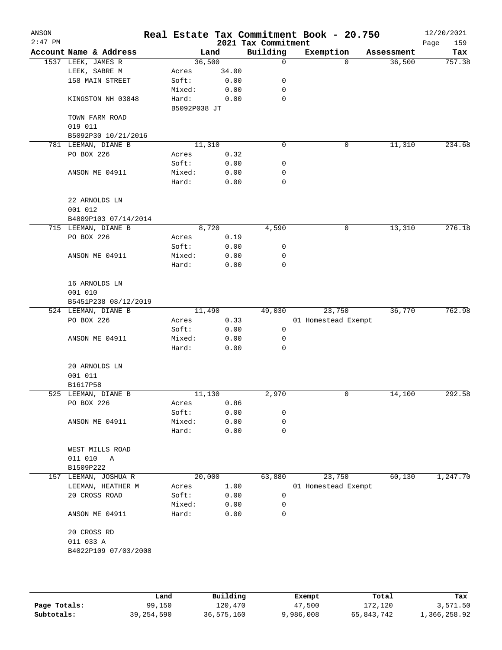| ANSON<br>$2:47$ PM |                           |                       |       | 2021 Tax Commitment | Real Estate Tax Commitment Book - 20.750 |          |            | 12/20/2021<br>159<br>Page |
|--------------------|---------------------------|-----------------------|-------|---------------------|------------------------------------------|----------|------------|---------------------------|
|                    | Account Name & Address    |                       | Land  | Building            | Exemption                                |          | Assessment | Tax                       |
|                    | 1537 LEEK, JAMES R        | 36,500                |       | 0                   |                                          | $\Omega$ | 36,500     | 757.38                    |
|                    | LEEK, SABRE M             | Acres                 | 34.00 |                     |                                          |          |            |                           |
|                    | 158 MAIN STREET           | Soft:                 | 0.00  | 0                   |                                          |          |            |                           |
|                    |                           | Mixed:                | 0.00  | 0                   |                                          |          |            |                           |
|                    | KINGSTON NH 03848         | Hard:<br>B5092P038 JT | 0.00  | 0                   |                                          |          |            |                           |
|                    | TOWN FARM ROAD<br>019 011 |                       |       |                     |                                          |          |            |                           |
|                    | B5092P30 10/21/2016       |                       |       |                     |                                          |          |            |                           |
|                    | 781 LEEMAN, DIANE B       | 11,310                |       | 0                   |                                          | 0        | 11,310     | 234.68                    |
|                    | PO BOX 226                | Acres                 | 0.32  |                     |                                          |          |            |                           |
|                    |                           | Soft:                 | 0.00  | 0                   |                                          |          |            |                           |
|                    | ANSON ME 04911            | Mixed:                | 0.00  | 0                   |                                          |          |            |                           |
|                    |                           | Hard:                 | 0.00  | 0                   |                                          |          |            |                           |
|                    | 22 ARNOLDS LN             |                       |       |                     |                                          |          |            |                           |
|                    | 001 012                   |                       |       |                     |                                          |          |            |                           |
|                    | B4809P103 07/14/2014      |                       |       |                     |                                          |          |            |                           |
|                    | 715 LEEMAN, DIANE B       |                       | 8,720 | 4,590               |                                          | 0        | 13,310     | 276.18                    |
|                    | PO BOX 226                | Acres                 | 0.19  |                     |                                          |          |            |                           |
|                    |                           | Soft:                 | 0.00  | 0                   |                                          |          |            |                           |
|                    | ANSON ME 04911            | Mixed:                | 0.00  | 0                   |                                          |          |            |                           |
|                    |                           | Hard:                 | 0.00  | 0                   |                                          |          |            |                           |
|                    | 16 ARNOLDS LN             |                       |       |                     |                                          |          |            |                           |
|                    | 001 010                   |                       |       |                     |                                          |          |            |                           |
|                    | B5451P238 08/12/2019      |                       |       |                     |                                          |          |            |                           |
|                    | 524 LEEMAN, DIANE B       | 11,490                |       | 49,030              | 23,750                                   |          | 36,770     | 762.98                    |
|                    | PO BOX 226                | Acres                 | 0.33  |                     | 01 Homestead Exempt                      |          |            |                           |
|                    |                           | Soft:                 | 0.00  | 0                   |                                          |          |            |                           |
|                    | ANSON ME 04911            | Mixed:                | 0.00  | 0                   |                                          |          |            |                           |
|                    |                           | Hard:                 | 0.00  | 0                   |                                          |          |            |                           |
|                    | 20 ARNOLDS LN             |                       |       |                     |                                          |          |            |                           |
|                    | 001 011                   |                       |       |                     |                                          |          |            |                           |
|                    | B1617P58                  |                       |       |                     |                                          |          |            |                           |
|                    | 525 LEEMAN, DIANE B       | 11,130                |       | 2,970               |                                          | 0        | 14,100     | 292.58                    |
|                    | PO BOX 226                | Acres                 | 0.86  |                     |                                          |          |            |                           |
|                    |                           | Soft:                 | 0.00  | 0                   |                                          |          |            |                           |
|                    | ANSON ME 04911            | Mixed:                | 0.00  | 0                   |                                          |          |            |                           |
|                    |                           | Hard:                 | 0.00  | 0                   |                                          |          |            |                           |
|                    | WEST MILLS ROAD           |                       |       |                     |                                          |          |            |                           |
|                    | 011 010<br>A              |                       |       |                     |                                          |          |            |                           |
|                    | B1509P222                 |                       |       |                     |                                          |          |            |                           |
| 157                | LEEMAN, JOSHUA R          | 20,000                |       | 63,880              | 23,750                                   |          | 60,130     | 1,247.70                  |
|                    | LEEMAN, HEATHER M         | Acres                 | 1.00  |                     | 01 Homestead Exempt                      |          |            |                           |
|                    | 20 CROSS ROAD             | Soft:                 | 0.00  | $\mathbf 0$         |                                          |          |            |                           |
|                    |                           | Mixed:                | 0.00  | 0                   |                                          |          |            |                           |
|                    | ANSON ME 04911            | Hard:                 | 0.00  | 0                   |                                          |          |            |                           |
|                    | 20 CROSS RD               |                       |       |                     |                                          |          |            |                           |
|                    | 011 033 A                 |                       |       |                     |                                          |          |            |                           |
|                    | B4022P109 07/03/2008      |                       |       |                     |                                          |          |            |                           |
|                    |                           |                       |       |                     |                                          |          |            |                           |
|                    |                           |                       |       |                     |                                          |          |            |                           |
|                    |                           |                       |       |                     |                                          |          |            |                           |

|              | Land         | Building   | Exempt    | Total      | Tax          |
|--------------|--------------|------------|-----------|------------|--------------|
| Page Totals: | 99,150       | 120,470    | 47,500    | 172,120    | 3,571.50     |
| Subtotals:   | 39, 254, 590 | 36,575,160 | 9,986,008 | 65,843,742 | 1,366,258.92 |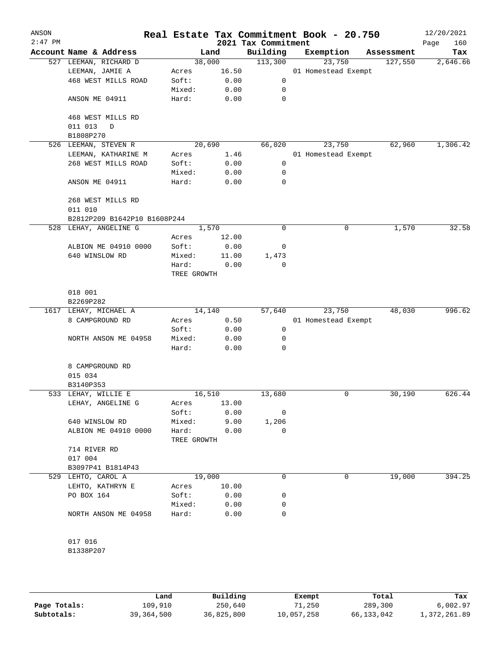| ANSON<br>$2:47$ PM |                              |             |                | 2021 Tax Commitment | Real Estate Tax Commitment Book - 20.750 |            | 12/20/2021<br>160<br>Page |
|--------------------|------------------------------|-------------|----------------|---------------------|------------------------------------------|------------|---------------------------|
|                    | Account Name & Address       |             | Land           | Building            | Exemption                                | Assessment | Tax                       |
|                    | 527 LEEMAN, RICHARD D        |             | 38,000         | 113,300             | 23,750                                   | 127,550    | 2,646.66                  |
|                    | LEEMAN, JAMIE A              | Acres       | 16.50          |                     | 01 Homestead Exempt                      |            |                           |
|                    | 468 WEST MILLS ROAD          | Soft:       | 0.00           | 0                   |                                          |            |                           |
|                    |                              | Mixed:      | 0.00           | 0                   |                                          |            |                           |
|                    | ANSON ME 04911               | Hard:       | 0.00           | 0                   |                                          |            |                           |
|                    | 468 WEST MILLS RD            |             |                |                     |                                          |            |                           |
|                    | 011 013<br>D<br>B1808P270    |             |                |                     |                                          |            |                           |
|                    | 526 LEEMAN, STEVEN R         |             | 20,690         | 66,020              | 23,750                                   | 62,960     | 1,306.42                  |
|                    | LEEMAN, KATHARINE M          | Acres       | 1.46           |                     | 01 Homestead Exempt                      |            |                           |
|                    | 268 WEST MILLS ROAD          | Soft:       | 0.00           | 0                   |                                          |            |                           |
|                    |                              | Mixed:      | 0.00           | 0                   |                                          |            |                           |
|                    | ANSON ME 04911               | Hard:       | 0.00           | 0                   |                                          |            |                           |
|                    | 268 WEST MILLS RD            |             |                |                     |                                          |            |                           |
|                    | 011 010                      |             |                |                     |                                          |            |                           |
|                    | B2812P209 B1642P10 B1608P244 |             |                | 0                   | 0                                        |            | 32.58                     |
|                    | 528 LEHAY, ANGELINE G        | Acres       | 1,570<br>12.00 |                     |                                          | 1,570      |                           |
|                    | ALBION ME 04910 0000         | Soft:       | 0.00           | 0                   |                                          |            |                           |
|                    | 640 WINSLOW RD               | Mixed:      | 11.00          | 1,473               |                                          |            |                           |
|                    |                              | Hard:       | 0.00           | 0                   |                                          |            |                           |
|                    |                              | TREE GROWTH |                |                     |                                          |            |                           |
|                    | 018 001                      |             |                |                     |                                          |            |                           |
|                    | B2269P282                    |             |                |                     |                                          |            |                           |
|                    | 1617 LEHAY, MICHAEL A        |             | 14,140         | 57,640              | 23,750                                   | 48,030     | 996.62                    |
|                    | 8 CAMPGROUND RD              | Acres       | 0.50           |                     | 01 Homestead Exempt                      |            |                           |
|                    |                              | Soft:       | 0.00           | 0                   |                                          |            |                           |
|                    | NORTH ANSON ME 04958         | Mixed:      | 0.00           | 0                   |                                          |            |                           |
|                    |                              | Hard:       | 0.00           | 0                   |                                          |            |                           |
|                    | 8 CAMPGROUND RD              |             |                |                     |                                          |            |                           |
|                    | 015 034                      |             |                |                     |                                          |            |                           |
|                    | B3140P353                    |             |                |                     |                                          |            |                           |
|                    | 533 LEHAY, WILLIE E          |             | 16,510         | 13,680              | 0                                        | 30,190     | 626.44                    |
|                    | LEHAY, ANGELINE G            | Acres       | 13.00          |                     |                                          |            |                           |
|                    |                              | Soft:       | 0.00           | 0                   |                                          |            |                           |
|                    | 640 WINSLOW RD               | Mixed:      | 9.00           | 1,206               |                                          |            |                           |
|                    | ALBION ME 04910 0000         | Hard:       | 0.00           | 0                   |                                          |            |                           |
|                    |                              | TREE GROWTH |                |                     |                                          |            |                           |
|                    | 714 RIVER RD                 |             |                |                     |                                          |            |                           |
|                    | 017 004                      |             |                |                     |                                          |            |                           |
|                    | B3097P41 B1814P43            |             |                |                     |                                          |            |                           |
|                    | 529 LEHTO, CAROL A           |             | 19,000         | 0                   | 0                                        | 19,000     | 394.25                    |
|                    | LEHTO, KATHRYN E             | Acres       | 10.00          |                     |                                          |            |                           |
|                    | PO BOX 164                   | Soft:       | 0.00           | 0                   |                                          |            |                           |
|                    |                              | Mixed:      | 0.00           | 0<br>0              |                                          |            |                           |
|                    | NORTH ANSON ME 04958         | Hard:       | 0.00           |                     |                                          |            |                           |
|                    | 017 016                      |             |                |                     |                                          |            |                           |
|                    | B1338P207                    |             |                |                     |                                          |            |                           |
|                    |                              |             |                |                     |                                          |            |                           |

|              | Land         | Building   | Exempt     | Total      | Tax          |
|--------------|--------------|------------|------------|------------|--------------|
| Page Totals: | 109,910      | 250,640    | 71,250     | 289,300    | 6,002.97     |
| Subtotals:   | 39, 364, 500 | 36,825,800 | 10,057,258 | 66,133,042 | 1,372,261.89 |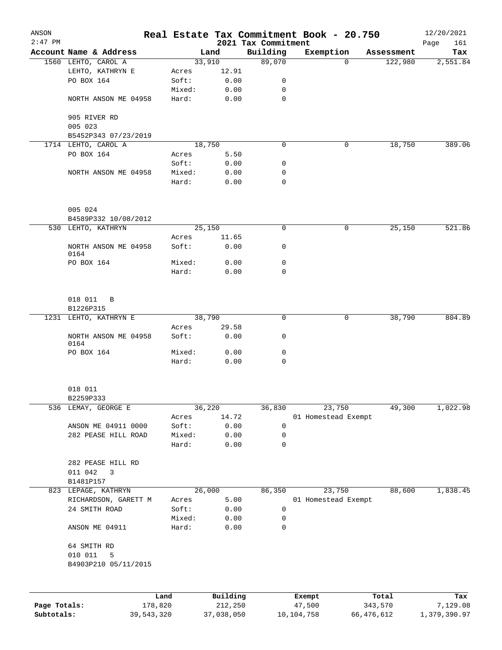| ANSON        |                                               |            |                 |                |                     | Real Estate Tax Commitment Book - 20.750 |                                   | 12/20/2021      |
|--------------|-----------------------------------------------|------------|-----------------|----------------|---------------------|------------------------------------------|-----------------------------------|-----------------|
| $2:47$ PM    |                                               |            |                 |                | 2021 Tax Commitment |                                          |                                   | Page<br>161     |
|              | Account Name & Address<br>1560 LEHTO, CAROL A |            |                 | Land<br>33,910 | Building<br>89,070  | Exemption                                | Assessment<br>$\Omega$<br>122,980 | Tax<br>2,551.84 |
|              | LEHTO, KATHRYN E                              |            | Acres           | 12.91          |                     |                                          |                                   |                 |
|              | PO BOX 164                                    |            | Soft:           | 0.00           | 0                   |                                          |                                   |                 |
|              |                                               |            | Mixed:          | 0.00           | 0                   |                                          |                                   |                 |
|              | NORTH ANSON ME 04958                          |            | Hard:           | 0.00           | 0                   |                                          |                                   |                 |
|              | 905 RIVER RD                                  |            |                 |                |                     |                                          |                                   |                 |
|              | 005 023                                       |            |                 |                |                     |                                          |                                   |                 |
|              | B5452P343 07/23/2019                          |            |                 |                |                     |                                          |                                   |                 |
|              | 1714 LEHTO, CAROL A                           |            |                 | 18,750         | $\mathbf 0$         |                                          | 18,750<br>0                       | 389.06          |
|              | PO BOX 164                                    |            | Acres           | 5.50           |                     |                                          |                                   |                 |
|              |                                               |            | Soft:           | 0.00           | 0                   |                                          |                                   |                 |
|              | NORTH ANSON ME 04958                          |            | Mixed:          | 0.00           | 0                   |                                          |                                   |                 |
|              |                                               |            | Hard:           | 0.00           | $\mathbf 0$         |                                          |                                   |                 |
|              | 005 024                                       |            |                 |                |                     |                                          |                                   |                 |
|              | B4589P332 10/08/2012                          |            |                 |                |                     |                                          |                                   |                 |
|              | 530 LEHTO, KATHRYN                            |            |                 | 25,150         | $\mathbf 0$         |                                          | 0<br>25,150                       | 521.86          |
|              |                                               |            | Acres           | 11.65          |                     |                                          |                                   |                 |
|              | NORTH ANSON ME 04958<br>0164                  |            | Soft:           | 0.00           | 0                   |                                          |                                   |                 |
|              | PO BOX 164                                    |            | Mixed:          | 0.00           | 0                   |                                          |                                   |                 |
|              |                                               |            | Hard:           | 0.00           | 0                   |                                          |                                   |                 |
|              | 018 011 B<br>B1226P315                        |            |                 |                |                     |                                          |                                   |                 |
|              | 1231 LEHTO, KATHRYN E                         |            |                 | 38,790         | 0                   |                                          | 0<br>38,790                       | 804.89          |
|              |                                               |            | Acres           | 29.58          |                     |                                          |                                   |                 |
|              | NORTH ANSON ME 04958<br>0164                  |            | Soft:           | 0.00           | 0                   |                                          |                                   |                 |
|              | PO BOX 164                                    |            | Mixed:          | 0.00           | 0                   |                                          |                                   |                 |
|              |                                               |            | Hard:           | 0.00           | $\mathbf 0$         |                                          |                                   |                 |
|              | 018 011                                       |            |                 |                |                     |                                          |                                   |                 |
|              | B2259P333                                     |            |                 |                |                     |                                          |                                   |                 |
|              | 536 LEMAY, GEORGE E                           |            |                 | 36,220         | 36,830              | 23,750                                   | 49,300                            | 1,022.98        |
|              |                                               |            | Acres           | 14.72          |                     | 01 Homestead Exempt                      |                                   |                 |
|              | ANSON ME 04911 0000                           |            | Soft:           | 0.00           | $\mathbf 0$         |                                          |                                   |                 |
|              | 282 PEASE HILL ROAD                           |            | Mixed:          | 0.00           | $\mathbf 0$         |                                          |                                   |                 |
|              |                                               |            | Hard:           | 0.00           | $\mathbf 0$         |                                          |                                   |                 |
|              | 282 PEASE HILL RD                             |            |                 |                |                     |                                          |                                   |                 |
|              | 011 042<br>3                                  |            |                 |                |                     |                                          |                                   |                 |
|              | B1481P157                                     |            |                 |                |                     |                                          |                                   |                 |
|              | 823 LEPAGE, KATHRYN                           |            |                 | 26,000         | 86,350              | 23,750                                   | 88,600                            | 1,838.45        |
|              | RICHARDSON, GARETT M                          |            | Acres           | 5.00           |                     | 01 Homestead Exempt                      |                                   |                 |
|              | 24 SMITH ROAD                                 |            | Soft:           | 0.00           | $\mathbf 0$         |                                          |                                   |                 |
|              | ANSON ME 04911                                |            | Mixed:<br>Hard: | 0.00<br>0.00   | 0<br>$\mathbf 0$    |                                          |                                   |                 |
|              |                                               |            |                 |                |                     |                                          |                                   |                 |
|              | 64 SMITH RD<br>010 011<br>5                   |            |                 |                |                     |                                          |                                   |                 |
|              | B4903P210 05/11/2015                          |            |                 |                |                     |                                          |                                   |                 |
|              |                                               |            |                 |                |                     |                                          |                                   |                 |
|              |                                               | Land       |                 | Building       |                     | Exempt                                   | Total                             | Tax             |
| Page Totals: |                                               | 178,820    |                 | 212,250        |                     | 47,500                                   | 343,570                           | 7,129.08        |
| Subtotals:   |                                               | 39,543,320 |                 | 37,038,050     |                     | 10,104,758                               | 66,476,612                        | 1,379,390.97    |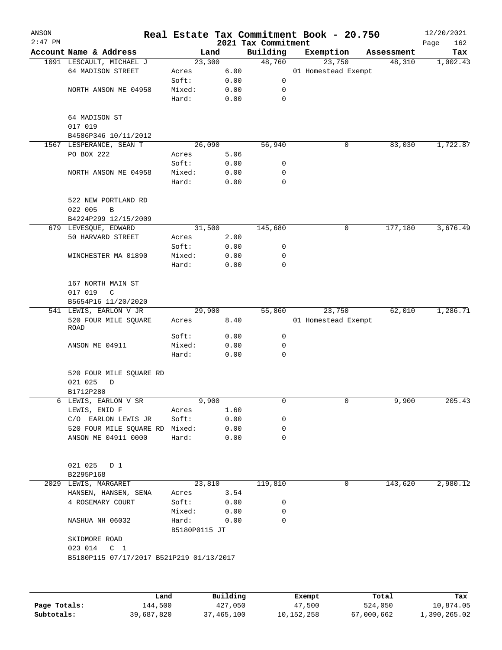| ANSON        |                                               |               |                |                     | Real Estate Tax Commitment Book - 20.750 |                      | 12/20/2021      |
|--------------|-----------------------------------------------|---------------|----------------|---------------------|------------------------------------------|----------------------|-----------------|
| $2:47$ PM    | Account Name & Address                        |               |                | 2021 Tax Commitment |                                          |                      | 162<br>Page     |
|              |                                               |               | Land<br>23,300 | Building<br>48,760  | Exemption<br>23,750                      | Assessment<br>48,310 | Tax<br>1,002.43 |
|              | 1091 LESCAULT, MICHAEL J<br>64 MADISON STREET | Acres         | 6.00           |                     | 01 Homestead Exempt                      |                      |                 |
|              |                                               | Soft:         | 0.00           | 0                   |                                          |                      |                 |
|              | NORTH ANSON ME 04958                          | Mixed:        | 0.00           | 0                   |                                          |                      |                 |
|              |                                               | Hard:         | 0.00           | $\mathbf 0$         |                                          |                      |                 |
|              |                                               |               |                |                     |                                          |                      |                 |
|              | 64 MADISON ST                                 |               |                |                     |                                          |                      |                 |
|              | 017 019                                       |               |                |                     |                                          |                      |                 |
|              | B4586P346 10/11/2012                          |               |                |                     |                                          |                      |                 |
|              | 1567 LESPERANCE, SEAN T                       |               | 26,090         | 56,940              | 0                                        | 83,030               | 1,722.87        |
|              | PO BOX 222                                    | Acres         | 5.06           |                     |                                          |                      |                 |
|              |                                               | Soft:         | 0.00           | 0                   |                                          |                      |                 |
|              | NORTH ANSON ME 04958                          | Mixed:        | 0.00           | 0                   |                                          |                      |                 |
|              |                                               | Hard:         | 0.00           | 0                   |                                          |                      |                 |
|              |                                               |               |                |                     |                                          |                      |                 |
|              | 522 NEW PORTLAND RD                           |               |                |                     |                                          |                      |                 |
|              | 022 005<br>B                                  |               |                |                     |                                          |                      |                 |
|              | B4224P299 12/15/2009                          |               |                |                     |                                          |                      |                 |
|              | 679 LEVESQUE, EDWARD                          |               | 31,500         | 145,680             | 0                                        | 177,180              | 3,676.49        |
|              | 50 HARVARD STREET                             | Acres         | 2.00           |                     |                                          |                      |                 |
|              |                                               | Soft:         | 0.00           | 0                   |                                          |                      |                 |
|              | WINCHESTER MA 01890                           | Mixed:        | 0.00           | 0                   |                                          |                      |                 |
|              |                                               | Hard:         | 0.00           | 0                   |                                          |                      |                 |
|              |                                               |               |                |                     |                                          |                      |                 |
|              | 167 NORTH MAIN ST                             |               |                |                     |                                          |                      |                 |
|              | 017 019<br>C                                  |               |                |                     |                                          |                      |                 |
|              | B5654P16 11/20/2020                           |               |                |                     |                                          |                      |                 |
|              | 541 LEWIS, EARLON V JR                        |               | 29,900         | 55,860              | 23,750                                   | 62,010               | 1,286.71        |
|              | 520 FOUR MILE SQUARE<br>ROAD                  | Acres         | 8.40           |                     | 01 Homestead Exempt                      |                      |                 |
|              |                                               | Soft:         | 0.00           | 0                   |                                          |                      |                 |
|              | ANSON ME 04911                                | Mixed:        | 0.00           | 0                   |                                          |                      |                 |
|              |                                               | Hard:         | 0.00           | 0                   |                                          |                      |                 |
|              |                                               |               |                |                     |                                          |                      |                 |
|              | 520 FOUR MILE SQUARE RD                       |               |                |                     |                                          |                      |                 |
|              | 021 025<br>D                                  |               |                |                     |                                          |                      |                 |
|              | B1712P280                                     |               |                |                     |                                          |                      |                 |
| 6            | LEWIS, EARLON V SR                            |               | 9,900          | 0                   | 0                                        | 9,900                | 205.43          |
|              | LEWIS, ENID F                                 | Acres         | 1.60           |                     |                                          |                      |                 |
|              | C/O EARLON LEWIS JR                           | Soft:         | 0.00           | 0                   |                                          |                      |                 |
|              | 520 FOUR MILE SQUARE RD Mixed:                |               | 0.00           | 0                   |                                          |                      |                 |
|              | ANSON ME 04911 0000                           | Hard:         | 0.00           | 0                   |                                          |                      |                 |
|              |                                               |               |                |                     |                                          |                      |                 |
|              |                                               |               |                |                     |                                          |                      |                 |
|              | 021 025<br>D 1                                |               |                |                     |                                          |                      |                 |
|              | B2295P168                                     |               |                |                     |                                          |                      |                 |
|              | 2029 LEWIS, MARGARET                          |               | 23,810         | 119,810             | 0                                        | 143,620              | 2,980.12        |
|              | HANSEN, HANSEN, SENA                          | Acres         | 3.54           |                     |                                          |                      |                 |
|              | 4 ROSEMARY COURT                              | Soft:         | 0.00           | 0                   |                                          |                      |                 |
|              |                                               | Mixed:        | 0.00           | 0                   |                                          |                      |                 |
|              | NASHUA NH 06032                               | Hard:         | 0.00           | 0                   |                                          |                      |                 |
|              | SKIDMORE ROAD                                 | B5180P0115 JT |                |                     |                                          |                      |                 |
|              | 023 014<br>C <sub>1</sub>                     |               |                |                     |                                          |                      |                 |
|              | B5180P115 07/17/2017 B521P219 01/13/2017      |               |                |                     |                                          |                      |                 |
|              |                                               |               |                |                     |                                          |                      |                 |
|              |                                               |               |                |                     |                                          |                      |                 |
|              |                                               |               |                |                     |                                          |                      |                 |
|              | Land                                          |               | Building       |                     | Exempt                                   | Total                | Tax             |
| Page Totals: | 144,500                                       |               | 427,050        |                     | 47,500                                   | 524,050              | 10,874.05       |

**Subtotals:** 39,687,820 37,465,100 10,152,258 67,000,662 1,390,265.02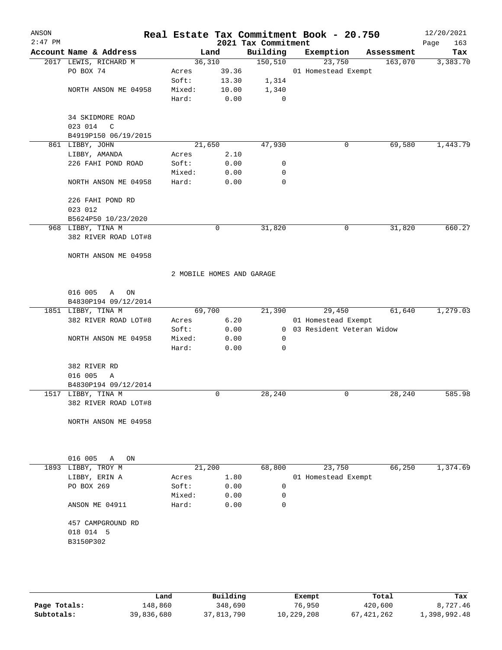| ANSON<br>$2:47$ PM |                                            |                           |       | 2021 Tax Commitment | Real Estate Tax Commitment Book - 20.750 |            | 12/20/2021<br>163<br>Page |
|--------------------|--------------------------------------------|---------------------------|-------|---------------------|------------------------------------------|------------|---------------------------|
|                    | Account Name & Address                     |                           | Land  | Building            | Exemption                                | Assessment | Tax                       |
|                    | 2017 LEWIS, RICHARD M                      | 36,310                    |       | 150, 510            | 23,750                                   | 163,070    | 3,383.70                  |
|                    | PO BOX 74                                  | Acres                     | 39.36 |                     | 01 Homestead Exempt                      |            |                           |
|                    |                                            | Soft:                     | 13.30 | 1,314               |                                          |            |                           |
|                    | NORTH ANSON ME 04958                       | Mixed:                    | 10.00 | 1,340               |                                          |            |                           |
|                    |                                            | Hard:                     | 0.00  | $\mathbf 0$         |                                          |            |                           |
|                    | 34 SKIDMORE ROAD                           |                           |       |                     |                                          |            |                           |
|                    | 023 014<br>$\mathbb{C}$                    |                           |       |                     |                                          |            |                           |
|                    | B4919P150 06/19/2015<br>861 LIBBY, JOHN    | 21,650                    |       | 47,930              | 0                                        | 69,580     | 1,443.79                  |
|                    | LIBBY, AMANDA                              |                           | 2.10  |                     |                                          |            |                           |
|                    | 226 FAHI POND ROAD                         | Acres<br>Soft:            | 0.00  |                     |                                          |            |                           |
|                    |                                            |                           |       | 0                   |                                          |            |                           |
|                    |                                            | Mixed:                    | 0.00  | 0                   |                                          |            |                           |
|                    | NORTH ANSON ME 04958                       | Hard:                     | 0.00  | $\mathbf 0$         |                                          |            |                           |
|                    | 226 FAHI POND RD                           |                           |       |                     |                                          |            |                           |
|                    | 023 012                                    |                           |       |                     |                                          |            |                           |
|                    | B5624P50 10/23/2020                        |                           |       |                     |                                          |            |                           |
|                    | 968 LIBBY, TINA M                          |                           | 0     | 31,820              | 0                                        | 31,820     | 660.27                    |
|                    | 382 RIVER ROAD LOT#8                       |                           |       |                     |                                          |            |                           |
|                    | NORTH ANSON ME 04958                       |                           |       |                     |                                          |            |                           |
|                    |                                            | 2 MOBILE HOMES AND GARAGE |       |                     |                                          |            |                           |
|                    |                                            |                           |       |                     |                                          |            |                           |
|                    | 016 005<br>$\mathbb{A}$<br>ON              |                           |       |                     |                                          |            |                           |
|                    | B4830P194 09/12/2014                       |                           |       |                     |                                          |            |                           |
|                    | 1851 LIBBY, TINA M                         | 69,700                    |       | 21,390              | 29,450                                   | 61,640     | 1,279.03                  |
|                    | 382 RIVER ROAD LOT#8                       | Acres                     | 6.20  |                     | 01 Homestead Exempt                      |            |                           |
|                    |                                            | Soft:                     | 0.00  |                     | 0 03 Resident Veteran Widow              |            |                           |
|                    | NORTH ANSON ME 04958                       | Mixed:                    | 0.00  | 0                   |                                          |            |                           |
|                    |                                            | Hard:                     | 0.00  | 0                   |                                          |            |                           |
|                    | 382 RIVER RD                               |                           |       |                     |                                          |            |                           |
|                    | 016 005<br>Α                               |                           |       |                     |                                          |            |                           |
|                    | B4830P194 09/12/2014                       |                           |       |                     |                                          |            |                           |
|                    | 1517 LIBBY, TINA M<br>382 RIVER ROAD LOT#8 |                           | 0     | 28,240              | 0                                        | 28,240     | 585.98                    |
|                    | NORTH ANSON ME 04958                       |                           |       |                     |                                          |            |                           |
|                    |                                            |                           |       |                     |                                          |            |                           |
|                    | 016 005<br>Α<br>ON                         |                           |       |                     |                                          |            |                           |
|                    | 1893 LIBBY, TROY M                         | 21,200                    |       | 68,800              | 23,750                                   | 66,250     | 1,374.69                  |
|                    | LIBBY, ERIN A                              | Acres                     | 1.80  |                     | 01 Homestead Exempt                      |            |                           |
|                    | PO BOX 269                                 | Soft:                     | 0.00  | $\mathbf 0$         |                                          |            |                           |
|                    |                                            | Mixed:                    | 0.00  | 0                   |                                          |            |                           |
|                    | ANSON ME 04911                             | Hard:                     | 0.00  | 0                   |                                          |            |                           |
|                    | 457 CAMPGROUND RD                          |                           |       |                     |                                          |            |                           |
|                    | 018 014 5                                  |                           |       |                     |                                          |            |                           |
|                    | B3150P302                                  |                           |       |                     |                                          |            |                           |
|                    |                                            |                           |       |                     |                                          |            |                           |
|                    |                                            |                           |       |                     |                                          |            |                           |
|                    |                                            |                           |       |                     |                                          |            |                           |

|              | Land       | Building   | Exempt     | Total      | Tax          |
|--------------|------------|------------|------------|------------|--------------|
| Page Totals: | 148.860    | 348,690    | 76,950     | 420,600    | 8,727.46     |
| Subtotals:   | 39,836,680 | 37,813,790 | 10,229,208 | 67,421,262 | 1,398,992.48 |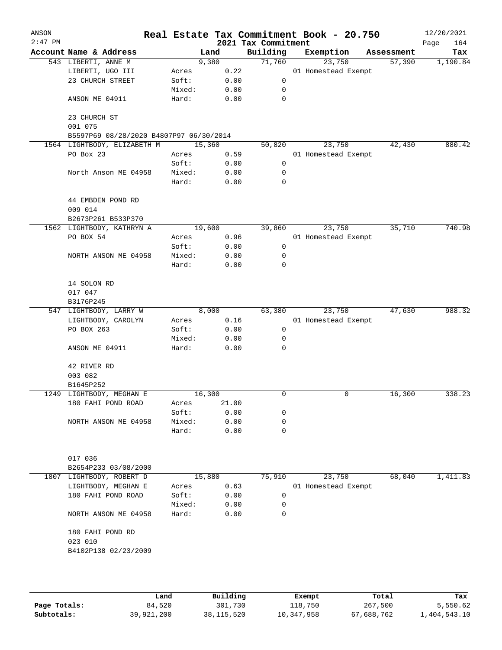| ANSON<br>$2:47$ PM |                                         |        |       | 2021 Tax Commitment | Real Estate Tax Commitment Book - 20.750 |            | 12/20/2021<br>Page<br>164 |
|--------------------|-----------------------------------------|--------|-------|---------------------|------------------------------------------|------------|---------------------------|
|                    | Account Name & Address                  | Land   |       | Building            | Exemption                                | Assessment | Tax                       |
|                    | 543 LIBERTI, ANNE M                     | 9,380  |       | 71,760              | 23,750                                   | 57,390     | 1,190.84                  |
|                    | LIBERTI, UGO III                        | Acres  | 0.22  |                     | 01 Homestead Exempt                      |            |                           |
|                    | 23 CHURCH STREET                        | Soft:  | 0.00  | 0                   |                                          |            |                           |
|                    |                                         | Mixed: | 0.00  | 0                   |                                          |            |                           |
|                    | ANSON ME 04911                          | Hard:  | 0.00  | 0                   |                                          |            |                           |
|                    | 23 CHURCH ST<br>001 075                 |        |       |                     |                                          |            |                           |
|                    | B5597P69 08/28/2020 B4807P97 06/30/2014 |        |       |                     |                                          |            |                           |
|                    | 1564 LIGHTBODY, ELIZABETH M             | 15,360 |       | 50,820              | 23,750                                   | 42,430     | 880.42                    |
|                    | PO Box 23                               | Acres  | 0.59  |                     | 01 Homestead Exempt                      |            |                           |
|                    |                                         | Soft:  | 0.00  | 0                   |                                          |            |                           |
|                    | North Anson ME 04958                    | Mixed: | 0.00  | 0                   |                                          |            |                           |
|                    |                                         | Hard:  | 0.00  | 0                   |                                          |            |                           |
|                    | 44 EMBDEN POND RD<br>009 014            |        |       |                     |                                          |            |                           |
|                    | B2673P261 B533P370                      |        |       |                     |                                          |            |                           |
|                    | 1562 LIGHTBODY, KATHRYN A               | 19,600 |       | 39,860              | 23,750                                   | 35,710     | 740.98                    |
|                    | PO BOX 54                               | Acres  | 0.96  |                     | 01 Homestead Exempt                      |            |                           |
|                    |                                         | Soft:  | 0.00  | 0                   |                                          |            |                           |
|                    | NORTH ANSON ME 04958                    | Mixed: | 0.00  | 0                   |                                          |            |                           |
|                    |                                         | Hard:  | 0.00  | 0                   |                                          |            |                           |
|                    | 14 SOLON RD                             |        |       |                     |                                          |            |                           |
|                    | 017 047                                 |        |       |                     |                                          |            |                           |
|                    | B3176P245                               |        |       |                     |                                          |            |                           |
|                    | 547 LIGHTBODY, LARRY W                  | 8,000  |       | 63,380              | 23,750                                   | 47,630     | 988.32                    |
|                    | LIGHTBODY, CAROLYN                      | Acres  | 0.16  |                     | 01 Homestead Exempt                      |            |                           |
|                    | PO BOX 263                              | Soft:  | 0.00  | 0                   |                                          |            |                           |
|                    |                                         | Mixed: | 0.00  | 0                   |                                          |            |                           |
|                    | ANSON ME 04911                          | Hard:  | 0.00  | 0                   |                                          |            |                           |
|                    | 42 RIVER RD                             |        |       |                     |                                          |            |                           |
|                    | 003 082                                 |        |       |                     |                                          |            |                           |
|                    | B1645P252                               |        |       |                     |                                          |            |                           |
|                    | 1249 LIGHTBODY, MEGHAN E                | 16,300 |       | 0                   | 0                                        | 16,300     | 338.23                    |
|                    | 180 FAHI POND ROAD                      | Acres  | 21.00 |                     |                                          |            |                           |
|                    |                                         | Soft:  | 0.00  | 0                   |                                          |            |                           |
|                    | NORTH ANSON ME 04958                    | Mixed: | 0.00  | 0                   |                                          |            |                           |
|                    |                                         | Hard:  | 0.00  | 0                   |                                          |            |                           |
|                    |                                         |        |       |                     |                                          |            |                           |
|                    | 017 036                                 |        |       |                     |                                          |            |                           |
|                    | B2654P233 03/08/2000                    |        |       |                     |                                          |            |                           |
|                    | 1807 LIGHTBODY, ROBERT D                | 15,880 |       | 75,910              | 23,750                                   | 68,040     | 1,411.83                  |
|                    | LIGHTBODY, MEGHAN E                     | Acres  | 0.63  |                     | 01 Homestead Exempt                      |            |                           |
|                    | 180 FAHI POND ROAD                      | Soft:  | 0.00  | 0                   |                                          |            |                           |
|                    |                                         | Mixed: | 0.00  | 0                   |                                          |            |                           |
|                    | NORTH ANSON ME 04958                    | Hard:  | 0.00  | 0                   |                                          |            |                           |
|                    | 180 FAHI POND RD                        |        |       |                     |                                          |            |                           |
|                    | 023 010                                 |        |       |                     |                                          |            |                           |
|                    | B4102P138 02/23/2009                    |        |       |                     |                                          |            |                           |
|                    |                                         |        |       |                     |                                          |            |                           |
|                    |                                         |        |       |                     |                                          |            |                           |
|                    |                                         |        |       |                     |                                          |            |                           |

|              | Land       | Building   | Exempt     | Total      | Tax          |
|--------------|------------|------------|------------|------------|--------------|
| Page Totals: | 84,520     | 301,730    | 118,750    | 267,500    | 5,550.62     |
| Subtotals:   | 39,921,200 | 38,115,520 | 10,347,958 | 67,688,762 | 1,404,543.10 |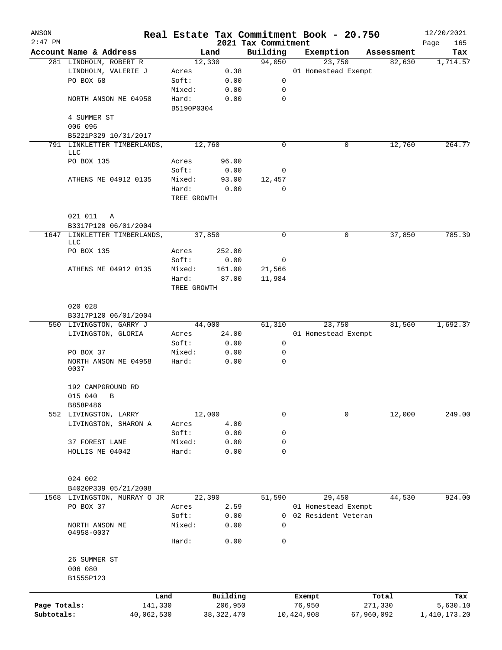| ANSON        |                                                      |                      |              |                                 | Real Estate Tax Commitment Book - 20.750 |            | 12/20/2021         |
|--------------|------------------------------------------------------|----------------------|--------------|---------------------------------|------------------------------------------|------------|--------------------|
| $2:47$ PM    | Account Name & Address                               |                      | Land         | 2021 Tax Commitment<br>Building | Exemption                                | Assessment | Page<br>165<br>Tax |
|              | 281 LINDHOLM, ROBERT R                               |                      | 12,330       | 94,050                          | 23,750                                   | 82,630     | 1,714.57           |
|              | LINDHOLM, VALERIE J                                  | Acres                | 0.38         |                                 | 01 Homestead Exempt                      |            |                    |
|              | PO BOX 68                                            | Soft:                | 0.00         | 0                               |                                          |            |                    |
|              |                                                      | Mixed:               | 0.00         | 0                               |                                          |            |                    |
|              | NORTH ANSON ME 04958                                 | Hard:<br>B5190P0304  | 0.00         | $\mathbf 0$                     |                                          |            |                    |
|              | 4 SUMMER ST                                          |                      |              |                                 |                                          |            |                    |
|              | 006 096                                              |                      |              |                                 |                                          |            |                    |
|              | B5221P329 10/31/2017                                 |                      |              |                                 |                                          |            |                    |
|              | 791 LINKLETTER TIMBERLANDS,<br>LLC                   |                      | 12,760       | 0                               | 0                                        | 12,760     | 264.77             |
|              | PO BOX 135                                           | Acres                | 96.00        |                                 |                                          |            |                    |
|              |                                                      | Soft:                | 0.00         | 0                               |                                          |            |                    |
|              | ATHENS ME 04912 0135                                 | Mixed:               | 93.00        | 12,457                          |                                          |            |                    |
|              |                                                      | Hard:<br>TREE GROWTH | 0.00         | 0                               |                                          |            |                    |
|              | 021 011<br>Α                                         |                      |              |                                 |                                          |            |                    |
|              | B3317P120 06/01/2004<br>1647 LINKLETTER TIMBERLANDS, |                      | 37,850       | $\mathbf 0$                     |                                          | 37,850     | 785.39             |
|              | LLC                                                  |                      |              |                                 | 0                                        |            |                    |
|              | PO BOX 135                                           | Acres                | 252.00       |                                 |                                          |            |                    |
|              |                                                      | Soft:                | 0.00         | 0                               |                                          |            |                    |
|              | ATHENS ME 04912 0135                                 | Mixed:               | 161.00       | 21,566                          |                                          |            |                    |
|              |                                                      | Hard:<br>TREE GROWTH | 87.00        | 11,984                          |                                          |            |                    |
|              | 020 028                                              |                      |              |                                 |                                          |            |                    |
|              | B3317P120 06/01/2004                                 |                      |              |                                 |                                          |            |                    |
|              | 550 LIVINGSTON, GARRY J                              |                      | 44,000       | 61,310                          | 23,750                                   | 81,560     | 1,692.37           |
|              | LIVINGSTON, GLORIA                                   | Acres                | 24.00        |                                 | 01 Homestead Exempt                      |            |                    |
|              |                                                      | Soft:                | 0.00         | 0                               |                                          |            |                    |
|              | PO BOX 37                                            | Mixed:               | 0.00         | 0                               |                                          |            |                    |
|              | NORTH ANSON ME 04958<br>0037                         | Hard:                | 0.00         | 0                               |                                          |            |                    |
|              | 192 CAMPGROUND RD                                    |                      |              |                                 |                                          |            |                    |
|              | 015 040<br>B                                         |                      |              |                                 |                                          |            |                    |
|              | B858P486<br>552 LIVINGSTON, LARRY                    |                      | 12,000       | $\mathbf 0$                     | 0                                        | 12,000     | 249.00             |
|              | LIVINGSTON, SHARON A                                 | Acres                | 4.00         |                                 |                                          |            |                    |
|              |                                                      | Soft:                | 0.00         | 0                               |                                          |            |                    |
|              | 37 FOREST LANE                                       | Mixed:               | 0.00         | 0                               |                                          |            |                    |
|              | HOLLIS ME 04042                                      | Hard:                | 0.00         | 0                               |                                          |            |                    |
|              | 024 002                                              |                      |              |                                 |                                          |            |                    |
|              | B4020P339 05/21/2008                                 |                      |              |                                 |                                          |            |                    |
|              | 1568 LIVINGSTON, MURRAY O JR                         |                      | 22,390       | 51,590                          | 29,450                                   | 44,530     | 924.00             |
|              | PO BOX 37                                            | Acres                | 2.59         |                                 | 01 Homestead Exempt                      |            |                    |
|              |                                                      | Soft:                | 0.00         | 0                               | 02 Resident Veteran                      |            |                    |
|              | NORTH ANSON ME<br>04958-0037                         | Mixed:               | 0.00         | $\Omega$                        |                                          |            |                    |
|              |                                                      | Hard:                | 0.00         | 0                               |                                          |            |                    |
|              | 26 SUMMER ST<br>006 080<br>B1555P123                 |                      |              |                                 |                                          |            |                    |
|              |                                                      |                      |              |                                 |                                          |            |                    |
|              |                                                      | Land                 | Building     |                                 | Exempt                                   | Total      | Tax                |
| Page Totals: | 141,330                                              |                      | 206,950      |                                 | 76,950                                   | 271,330    | 5,630.10           |
| Subtotals:   | 40,062,530                                           |                      | 38, 322, 470 |                                 | 10,424,908                               | 67,960,092 | 1,410,173.20       |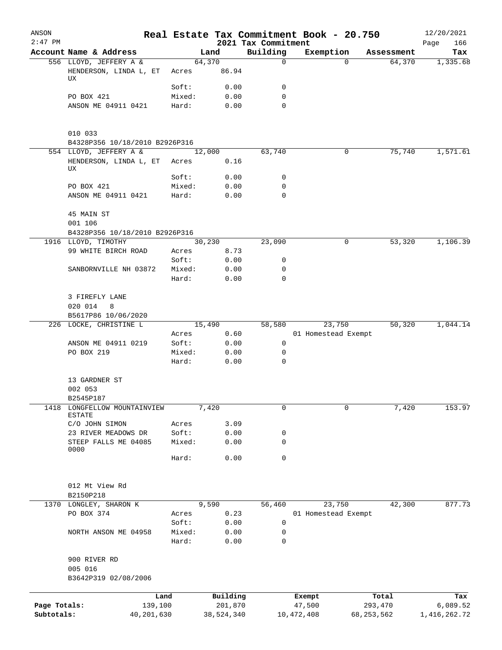| ANSON        |                                                     |                 |              |                                 | Real Estate Tax Commitment Book - 20.750 |                    | 12/20/2021         |
|--------------|-----------------------------------------------------|-----------------|--------------|---------------------------------|------------------------------------------|--------------------|--------------------|
| $2:47$ PM    | Account Name & Address                              |                 | Land         | 2021 Tax Commitment<br>Building | Exemption                                | Assessment         | 166<br>Page<br>Tax |
|              | 556 LLOYD, JEFFERY A &                              |                 | 64,370       | $\mathsf{O}$                    |                                          | 64,370<br>$\Omega$ | 1,335.68           |
|              | HENDERSON, LINDA L, ET<br>UX                        | Acres           | 86.94        |                                 |                                          |                    |                    |
|              |                                                     | Soft:           | 0.00         | 0                               |                                          |                    |                    |
|              | PO BOX 421                                          | Mixed:          | 0.00         | $\mathbf 0$                     |                                          |                    |                    |
|              | ANSON ME 04911 0421                                 | Hard:           | 0.00         | 0                               |                                          |                    |                    |
|              | 010 033                                             |                 |              |                                 |                                          |                    |                    |
|              | B4328P356 10/18/2010 B2926P316                      |                 |              |                                 |                                          |                    |                    |
|              | 554 LLOYD, JEFFERY A &                              |                 | 12,000       | 63,740                          |                                          | 0<br>75,740        | 1,571.61           |
|              | HENDERSON, LINDA L, ET<br>UX                        | Acres<br>Soft:  | 0.16         | 0                               |                                          |                    |                    |
|              | PO BOX 421                                          | Mixed:          | 0.00<br>0.00 | 0                               |                                          |                    |                    |
|              | ANSON ME 04911 0421                                 | Hard:           | 0.00         | $\mathbf 0$                     |                                          |                    |                    |
|              | 45 MAIN ST                                          |                 |              |                                 |                                          |                    |                    |
|              | 001 106                                             |                 |              |                                 |                                          |                    |                    |
|              | B4328P356 10/18/2010 B2926P316                      |                 |              |                                 |                                          |                    |                    |
|              | 1916 LLOYD, TIMOTHY                                 |                 | 30,230       | 23,090                          |                                          | 53,320<br>0        | 1,106.39           |
|              | 99 WHITE BIRCH ROAD                                 | Acres           | 8.73         |                                 |                                          |                    |                    |
|              |                                                     | Soft:           | 0.00         | 0<br>0                          |                                          |                    |                    |
|              | SANBORNVILLE NH 03872                               | Mixed:<br>Hard: | 0.00<br>0.00 | $\mathbf 0$                     |                                          |                    |                    |
|              | 3 FIREFLY LANE<br>020 014<br>8                      |                 |              |                                 |                                          |                    |                    |
|              | B5617P86 10/06/2020                                 |                 |              |                                 |                                          |                    |                    |
|              | 226 LOCKE, CHRISTINE L                              |                 | 15,490       | 58,580                          | 23,750                                   | 50,320             | 1,044.14           |
|              |                                                     | Acres           | 0.60         |                                 | 01 Homestead Exempt                      |                    |                    |
|              | ANSON ME 04911 0219                                 | Soft:           | 0.00         | 0                               |                                          |                    |                    |
|              | PO BOX 219                                          | Mixed:<br>Hard: | 0.00<br>0.00 | 0<br>$\mathbf 0$                |                                          |                    |                    |
|              | 13 GARDNER ST<br>002 053                            |                 |              |                                 |                                          |                    |                    |
|              | B2545P187                                           |                 |              |                                 |                                          |                    |                    |
| 1418         | LONGFELLOW MOUNTAINVIEW<br><b>ESTATE</b>            |                 | 7,420        | 0                               |                                          | 0<br>7,420         | 153.97             |
|              | C/O JOHN SIMON                                      | Acres           | 3.09         |                                 |                                          |                    |                    |
|              | 23 RIVER MEADOWS DR<br>STEEP FALLS ME 04085<br>0000 | Soft:<br>Mixed: | 0.00<br>0.00 | 0<br>0                          |                                          |                    |                    |
|              |                                                     | Hard:           | 0.00         | 0                               |                                          |                    |                    |
|              | 012 Mt View Rd<br>B2150P218                         |                 |              |                                 |                                          |                    |                    |
| 1370         | LONGLEY, SHARON K                                   |                 | 9,590        | 56,460                          | 23,750                                   | 42,300             | 877.73             |
|              | PO BOX 374                                          | Acres           | 0.23         |                                 | 01 Homestead Exempt                      |                    |                    |
|              |                                                     | Soft:           | 0.00         | 0                               |                                          |                    |                    |
|              | NORTH ANSON ME 04958                                | Mixed:<br>Hard: | 0.00<br>0.00 | 0<br>$\mathbf 0$                |                                          |                    |                    |
|              | 900 RIVER RD<br>005 016                             |                 |              |                                 |                                          |                    |                    |
|              | B3642P319 02/08/2006                                |                 |              |                                 |                                          |                    |                    |
|              | Land                                                |                 | Building     |                                 | Exempt                                   | Total              | Tax                |
| Page Totals: | 139,100                                             |                 | 201,870      |                                 | 47,500                                   | 293,470            | 6,089.52           |
| Subtotals:   | 40,201,630                                          |                 | 38,524,340   |                                 | 10,472,408                               | 68,253,562         | 1,416,262.72       |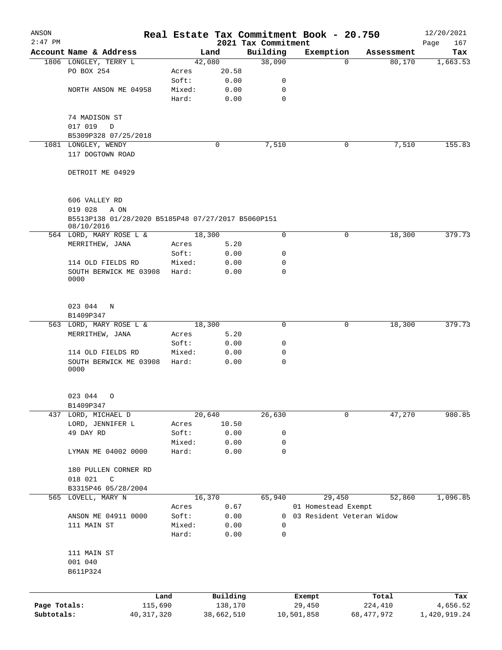| ANSON        |                                                                                        |              |                 |              |                                 | Real Estate Tax Commitment Book - 20.750 |          |              | 12/20/2021         |
|--------------|----------------------------------------------------------------------------------------|--------------|-----------------|--------------|---------------------------------|------------------------------------------|----------|--------------|--------------------|
| $2:47$ PM    | Account Name & Address                                                                 |              |                 | Land         | 2021 Tax Commitment<br>Building | Exemption                                |          | Assessment   | 167<br>Page<br>Tax |
|              | 1806 LONGLEY, TERRY L                                                                  |              |                 | 42,080       | 38,090                          |                                          | $\Omega$ | 80,170       | 1,663.53           |
|              | PO BOX 254                                                                             |              | Acres           | 20.58        |                                 |                                          |          |              |                    |
|              |                                                                                        |              | Soft:           | 0.00         | 0                               |                                          |          |              |                    |
|              | NORTH ANSON ME 04958                                                                   |              | Mixed:          | 0.00         | 0                               |                                          |          |              |                    |
|              |                                                                                        |              | Hard:           | 0.00         | 0                               |                                          |          |              |                    |
|              | 74 MADISON ST                                                                          |              |                 |              |                                 |                                          |          |              |                    |
|              | 017 019<br>$\Box$                                                                      |              |                 |              |                                 |                                          |          |              |                    |
|              | B5309P328 07/25/2018                                                                   |              |                 |              |                                 |                                          |          |              |                    |
|              | 1081 LONGLEY, WENDY                                                                    |              |                 | $\mathbf 0$  | 7,510                           |                                          | 0        | 7,510        | 155.83             |
|              | 117 DOGTOWN ROAD                                                                       |              |                 |              |                                 |                                          |          |              |                    |
|              | DETROIT ME 04929                                                                       |              |                 |              |                                 |                                          |          |              |                    |
|              | 606 VALLEY RD<br>019 028<br>A ON<br>B5513P138 01/28/2020 B5185P48 07/27/2017 B5060P151 |              |                 |              |                                 |                                          |          |              |                    |
|              | 08/10/2016                                                                             |              |                 |              |                                 |                                          |          |              |                    |
|              | 564 LORD, MARY ROSE L &                                                                |              |                 | 18,300       | $\mathbf 0$                     |                                          | 0        | 18,300       | 379.73             |
|              | MERRITHEW, JANA                                                                        |              | Acres           | 5.20         |                                 |                                          |          |              |                    |
|              | 114 OLD FIELDS RD                                                                      |              | Soft:<br>Mixed: | 0.00<br>0.00 | 0<br>0                          |                                          |          |              |                    |
|              | SOUTH BERWICK ME 03908<br>0000                                                         |              | Hard:           | 0.00         | 0                               |                                          |          |              |                    |
|              |                                                                                        |              |                 |              |                                 |                                          |          |              |                    |
|              | 023 044<br>N                                                                           |              |                 |              |                                 |                                          |          |              |                    |
|              | B1409P347                                                                              |              |                 |              |                                 |                                          |          |              |                    |
|              | 563 LORD, MARY ROSE L &                                                                |              |                 | 18,300       | 0                               |                                          | 0        | 18,300       | 379.73             |
|              | MERRITHEW, JANA                                                                        |              | Acres           | 5.20         |                                 |                                          |          |              |                    |
|              |                                                                                        |              | Soft:           | 0.00         | 0                               |                                          |          |              |                    |
|              | 114 OLD FIELDS RD                                                                      |              | Mixed:          | 0.00         | 0                               |                                          |          |              |                    |
|              | SOUTH BERWICK ME 03908<br>0000                                                         |              | Hard:           | 0.00         | $\mathbf 0$                     |                                          |          |              |                    |
|              | 023 044 0                                                                              |              |                 |              |                                 |                                          |          |              |                    |
|              | B1409P347                                                                              |              |                 |              |                                 |                                          |          |              |                    |
|              | 437 LORD, MICHAEL D                                                                    |              |                 | 20,640       | 26,630                          |                                          | 0        | 47,270       | 980.85             |
|              | LORD, JENNIFER L                                                                       |              | Acres           | 10.50        |                                 |                                          |          |              |                    |
|              | 49 DAY RD                                                                              |              | Soft:           | 0.00         | 0                               |                                          |          |              |                    |
|              |                                                                                        |              | Mixed:          | 0.00         | 0                               |                                          |          |              |                    |
|              | LYMAN ME 04002 0000                                                                    |              | Hard:           | 0.00         | 0                               |                                          |          |              |                    |
|              | 180 PULLEN CORNER RD                                                                   |              |                 |              |                                 |                                          |          |              |                    |
|              | 018 021<br>C                                                                           |              |                 |              |                                 |                                          |          |              |                    |
|              | B3315P46 05/28/2004<br>565 LOVELL, MARY N                                              |              |                 | 16,370       | 65,940                          | 29,450                                   |          | 52,860       | 1,096.85           |
|              |                                                                                        |              |                 |              |                                 | 01 Homestead Exempt                      |          |              |                    |
|              | ANSON ME 04911 0000                                                                    |              | Acres<br>Soft:  | 0.67         | 0                               | 03 Resident Veteran Widow                |          |              |                    |
|              | 111 MAIN ST                                                                            |              | Mixed:          | 0.00         | 0                               |                                          |          |              |                    |
|              |                                                                                        |              | Hard:           | 0.00<br>0.00 | 0                               |                                          |          |              |                    |
|              | 111 MAIN ST                                                                            |              |                 |              |                                 |                                          |          |              |                    |
|              | 001 040<br>B611P324                                                                    |              |                 |              |                                 |                                          |          |              |                    |
|              |                                                                                        | Land         |                 | Building     |                                 | Exempt                                   |          | Total        | Tax                |
| Page Totals: |                                                                                        | 115,690      |                 | 138,170      |                                 | 29,450                                   |          | 224,410      | 4,656.52           |
| Subtotals:   |                                                                                        | 40, 317, 320 |                 | 38,662,510   |                                 | 10,501,858                               |          | 68, 477, 972 | 1,420,919.24       |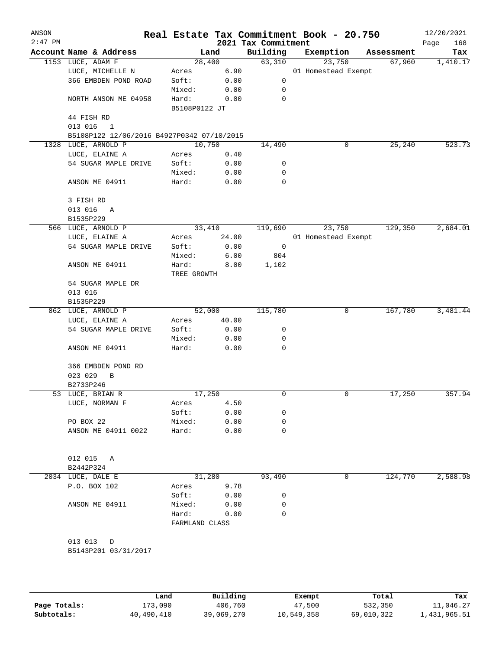| ANSON<br>$2:47$ PM |                                            |                |       | 2021 Tax Commitment | Real Estate Tax Commitment Book - 20.750 |   |            | 12/20/2021<br>168<br>Page |
|--------------------|--------------------------------------------|----------------|-------|---------------------|------------------------------------------|---|------------|---------------------------|
|                    | Account Name & Address                     | Land           |       | Building            | Exemption                                |   | Assessment | Tax                       |
|                    | 1153 LUCE, ADAM F                          | 28,400         |       | 63,310              | 23,750                                   |   | 67,960     | 1,410.17                  |
|                    | LUCE, MICHELLE N                           | Acres          | 6.90  |                     | 01 Homestead Exempt                      |   |            |                           |
|                    | 366 EMBDEN POND ROAD                       | Soft:          | 0.00  | 0                   |                                          |   |            |                           |
|                    |                                            | Mixed:         | 0.00  | 0                   |                                          |   |            |                           |
|                    | NORTH ANSON ME 04958                       | Hard:          | 0.00  | $\mathbf 0$         |                                          |   |            |                           |
|                    |                                            | B5108P0122 JT  |       |                     |                                          |   |            |                           |
|                    | 44 FISH RD                                 |                |       |                     |                                          |   |            |                           |
|                    | 013 016<br>$\mathbf{1}$                    |                |       |                     |                                          |   |            |                           |
|                    | B5108P122 12/06/2016 B4927P0342 07/10/2015 |                |       |                     |                                          |   |            |                           |
| 1328               | LUCE, ARNOLD P                             | 10,750         |       | 14,490              |                                          | 0 | 25,240     | 523.73                    |
|                    | LUCE, ELAINE A                             | Acres          | 0.40  |                     |                                          |   |            |                           |
|                    | 54 SUGAR MAPLE DRIVE                       | Soft:          | 0.00  | 0                   |                                          |   |            |                           |
|                    |                                            | Mixed:         | 0.00  | 0                   |                                          |   |            |                           |
|                    | ANSON ME 04911                             | Hard:          | 0.00  | 0                   |                                          |   |            |                           |
|                    |                                            |                |       |                     |                                          |   |            |                           |
|                    | 3 FISH RD                                  |                |       |                     |                                          |   |            |                           |
|                    | 013 016<br>Α                               |                |       |                     |                                          |   |            |                           |
|                    | B1535P229                                  |                |       |                     |                                          |   |            |                           |
|                    | 566 LUCE, ARNOLD P                         | 33,410         |       | 119,690             | 23,750                                   |   | 129,350    | 2,684.01                  |
|                    | LUCE, ELAINE A                             | Acres          | 24.00 |                     | 01 Homestead Exempt                      |   |            |                           |
|                    | 54 SUGAR MAPLE DRIVE                       | Soft:          | 0.00  | 0                   |                                          |   |            |                           |
|                    |                                            | Mixed:         | 6.00  | 804                 |                                          |   |            |                           |
|                    | ANSON ME 04911                             | Hard:          | 8.00  | 1,102               |                                          |   |            |                           |
|                    |                                            | TREE GROWTH    |       |                     |                                          |   |            |                           |
|                    | 54 SUGAR MAPLE DR                          |                |       |                     |                                          |   |            |                           |
|                    | 013 016                                    |                |       |                     |                                          |   |            |                           |
|                    | B1535P229                                  |                |       |                     |                                          |   |            |                           |
|                    | 862 LUCE, ARNOLD P                         | 52,000         |       | 115,780             |                                          | 0 | 167,780    | 3,481.44                  |
|                    | LUCE, ELAINE A                             | Acres          | 40.00 |                     |                                          |   |            |                           |
|                    | 54 SUGAR MAPLE DRIVE                       | Soft:          | 0.00  | 0                   |                                          |   |            |                           |
|                    |                                            | Mixed:         | 0.00  | 0                   |                                          |   |            |                           |
|                    | ANSON ME 04911                             | Hard:          | 0.00  | 0                   |                                          |   |            |                           |
|                    |                                            |                |       |                     |                                          |   |            |                           |
|                    | 366 EMBDEN POND RD                         |                |       |                     |                                          |   |            |                           |
|                    | 023 029<br>B                               |                |       |                     |                                          |   |            |                           |
|                    | B2733P246                                  |                |       |                     |                                          |   |            |                           |
|                    | 53 LUCE, BRIAN R                           | 17,250         |       | 0                   |                                          | 0 | 17,250     | 357.94                    |
|                    | LUCE, NORMAN F                             | Acres          | 4.50  |                     |                                          |   |            |                           |
|                    |                                            | Soft:          | 0.00  | 0                   |                                          |   |            |                           |
|                    | PO BOX 22                                  | Mixed:         | 0.00  | 0                   |                                          |   |            |                           |
|                    | ANSON ME 04911 0022                        | Hard:          | 0.00  | 0                   |                                          |   |            |                           |
|                    |                                            |                |       |                     |                                          |   |            |                           |
|                    |                                            |                |       |                     |                                          |   |            |                           |
|                    | 012 015<br>A                               |                |       |                     |                                          |   |            |                           |
|                    | B2442P324                                  |                |       |                     |                                          |   |            |                           |
|                    | 2034 LUCE, DALE E                          | 31,280         |       | 93,490              |                                          | 0 | 124,770    | 2,588.98                  |
|                    | P.O. BOX 102                               | Acres          | 9.78  |                     |                                          |   |            |                           |
|                    |                                            | Soft:          | 0.00  | 0                   |                                          |   |            |                           |
|                    | ANSON ME 04911                             | Mixed:         | 0.00  | 0                   |                                          |   |            |                           |
|                    |                                            | Hard:          | 0.00  | 0                   |                                          |   |            |                           |
|                    |                                            | FARMLAND CLASS |       |                     |                                          |   |            |                           |
|                    |                                            |                |       |                     |                                          |   |            |                           |
|                    | 013 013<br>D                               |                |       |                     |                                          |   |            |                           |
|                    | B5143P201 03/31/2017                       |                |       |                     |                                          |   |            |                           |
|                    |                                            |                |       |                     |                                          |   |            |                           |
|                    |                                            |                |       |                     |                                          |   |            |                           |
|                    |                                            |                |       |                     |                                          |   |            |                           |
|                    |                                            |                |       |                     |                                          |   |            |                           |

|              | Land       | Building   | Exempt     | Total      | Tax          |
|--------------|------------|------------|------------|------------|--------------|
| Page Totals: | 173,090    | 406,760    | 47,500     | 532,350    | 11,046.27    |
| Subtotals:   | 40,490,410 | 39,069,270 | 10,549,358 | 69,010,322 | 1,431,965.51 |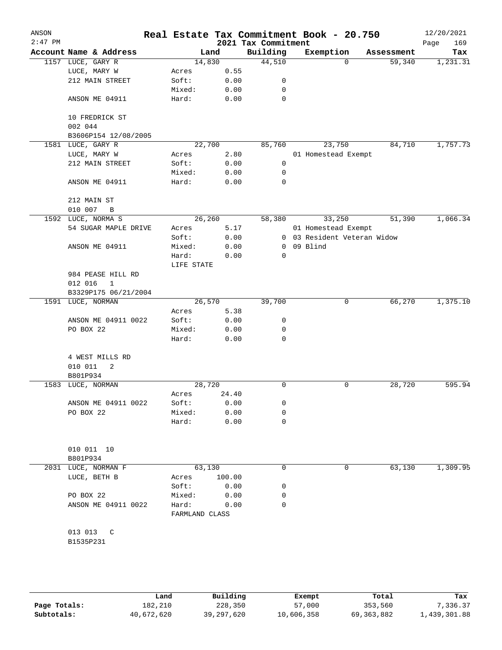| ANSON<br>$2:47$ PM |                           |                         |        | 2021 Tax Commitment | Real Estate Tax Commitment Book - 20.750 |            | 12/20/2021<br>169<br>Page |
|--------------------|---------------------------|-------------------------|--------|---------------------|------------------------------------------|------------|---------------------------|
|                    | Account Name & Address    | Land                    |        | Building            | Exemption                                | Assessment | Tax                       |
|                    | 1157 LUCE, GARY R         | 14,830                  |        | 44,510              | $\Omega$                                 | 59,340     | 1,231.31                  |
|                    | LUCE, MARY W              | Acres                   | 0.55   |                     |                                          |            |                           |
|                    | 212 MAIN STREET           | Soft:                   | 0.00   | 0                   |                                          |            |                           |
|                    |                           | Mixed:                  | 0.00   | 0                   |                                          |            |                           |
|                    | ANSON ME 04911            | Hard:                   | 0.00   | $\mathbf 0$         |                                          |            |                           |
|                    | 10 FREDRICK ST<br>002 044 |                         |        |                     |                                          |            |                           |
|                    | B3606P154 12/08/2005      |                         |        |                     |                                          |            |                           |
|                    | 1581 LUCE, GARY R         | 22,700                  |        | 85,760              | 23,750                                   | 84,710     | 1,757.73                  |
|                    | LUCE, MARY W              | Acres                   | 2.80   |                     | 01 Homestead Exempt                      |            |                           |
|                    | 212 MAIN STREET           | Soft:                   | 0.00   | 0                   |                                          |            |                           |
|                    |                           | Mixed:                  | 0.00   | 0                   |                                          |            |                           |
|                    | ANSON ME 04911            | Hard:                   | 0.00   | 0                   |                                          |            |                           |
|                    | 212 MAIN ST               |                         |        |                     |                                          |            |                           |
|                    | 010 007<br>B              |                         |        |                     |                                          |            |                           |
| 1592               | LUCE, NORMA S             | 26,260                  |        | 58,380              | 33,250                                   | 51,390     | 1,066.34                  |
|                    | 54 SUGAR MAPLE DRIVE      | Acres                   | 5.17   |                     | 01 Homestead Exempt                      |            |                           |
|                    |                           | Soft:                   | 0.00   |                     | 0 03 Resident Veteran Widow              |            |                           |
|                    | ANSON ME 04911            | Mixed:                  | 0.00   | $\mathbf{0}$        | 09 Blind                                 |            |                           |
|                    |                           | Hard:                   | 0.00   | 0                   |                                          |            |                           |
|                    |                           | LIFE STATE              |        |                     |                                          |            |                           |
|                    | 984 PEASE HILL RD         |                         |        |                     |                                          |            |                           |
|                    | 012 016<br>$\mathbf{1}$   |                         |        |                     |                                          |            |                           |
|                    | B3329P175 06/21/2004      |                         |        |                     |                                          |            |                           |
| 1591               | LUCE, NORMAN              | 26,570                  |        | 39,700              | 0                                        | 66,270     | 1,375.10                  |
|                    |                           | Acres                   | 5.38   |                     |                                          |            |                           |
|                    | ANSON ME 04911 0022       | Soft:                   | 0.00   | 0                   |                                          |            |                           |
|                    | PO BOX 22                 | Mixed:                  | 0.00   | 0                   |                                          |            |                           |
|                    |                           | Hard:                   | 0.00   | 0                   |                                          |            |                           |
|                    |                           |                         |        |                     |                                          |            |                           |
|                    | 4 WEST MILLS RD           |                         |        |                     |                                          |            |                           |
|                    | 010 011<br>2              |                         |        |                     |                                          |            |                           |
|                    | B801P934                  |                         |        |                     |                                          |            |                           |
|                    | 1583 LUCE, NORMAN         | 28,720                  |        | 0                   | $\mathbf 0$                              | 28,720     | 595.94                    |
|                    |                           | Acres                   | 24.40  |                     |                                          |            |                           |
|                    | ANSON ME 04911 0022       | Soft:                   | 0.00   | 0                   |                                          |            |                           |
|                    | PO BOX 22                 | Mixed:                  | 0.00   | 0                   |                                          |            |                           |
|                    |                           | Hard:                   | 0.00   | 0                   |                                          |            |                           |
|                    |                           |                         |        |                     |                                          |            |                           |
|                    | 010 011 10                |                         |        |                     |                                          |            |                           |
|                    | B801P934                  |                         |        |                     |                                          |            |                           |
|                    | 2031 LUCE, NORMAN F       | 63,130                  |        | 0                   | 0                                        | 63,130     | 1,309.95                  |
|                    | LUCE, BETH B              | Acres                   | 100.00 |                     |                                          |            |                           |
|                    |                           | Soft:                   | 0.00   | 0                   |                                          |            |                           |
|                    | PO BOX 22                 | Mixed:                  | 0.00   | 0                   |                                          |            |                           |
|                    | ANSON ME 04911 0022       | Hard:<br>FARMLAND CLASS | 0.00   | 0                   |                                          |            |                           |
|                    |                           |                         |        |                     |                                          |            |                           |
|                    | 013 013 C                 |                         |        |                     |                                          |            |                           |
|                    | B1535P231                 |                         |        |                     |                                          |            |                           |
|                    |                           |                         |        |                     |                                          |            |                           |
|                    |                           |                         |        |                     |                                          |            |                           |
|                    |                           |                         |        |                     |                                          |            |                           |
|                    |                           |                         |        |                     |                                          |            |                           |
|                    |                           |                         |        |                     |                                          |            |                           |

|              | Land       | Building   | Exempt     | Total        | Tax          |
|--------------|------------|------------|------------|--------------|--------------|
| Page Totals: | 182,210    | 228,350    | 57,000     | 353,560      | 7.336.37     |
| Subtotals:   | 40,672,620 | 39,297,620 | 10,606,358 | 69, 363, 882 | 1,439,301.88 |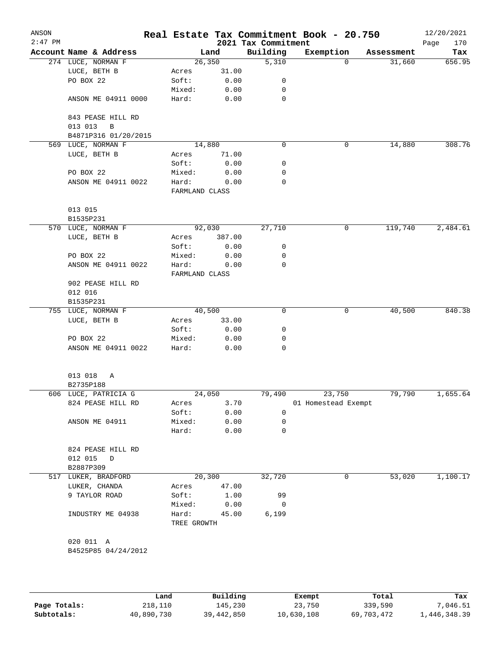| ANSON<br>$2:47$ PM |                                   |                      |        | 2021 Tax Commitment | Real Estate Tax Commitment Book - 20.750 |            | 12/20/2021<br>Page<br>170 |
|--------------------|-----------------------------------|----------------------|--------|---------------------|------------------------------------------|------------|---------------------------|
|                    | Account Name & Address            |                      | Land   | Building            | Exemption                                | Assessment | Tax                       |
|                    | 274 LUCE, NORMAN F                |                      | 26,350 | 5,310               | 0                                        | 31,660     | 656.95                    |
|                    | LUCE, BETH B                      | Acres                | 31.00  |                     |                                          |            |                           |
|                    | PO BOX 22                         | Soft:                | 0.00   | 0                   |                                          |            |                           |
|                    |                                   | Mixed:               | 0.00   | 0                   |                                          |            |                           |
|                    | ANSON ME 04911 0000               | Hard:                | 0.00   | 0                   |                                          |            |                           |
|                    | 843 PEASE HILL RD<br>013 013<br>B |                      |        |                     |                                          |            |                           |
|                    | B4871P316 01/20/2015              |                      |        |                     |                                          |            |                           |
| 569                | LUCE, NORMAN F                    |                      | 14,880 | 0                   | 0                                        | 14,880     | 308.76                    |
|                    | LUCE, BETH B                      | Acres                | 71.00  |                     |                                          |            |                           |
|                    |                                   | Soft:                | 0.00   | 0                   |                                          |            |                           |
|                    | PO BOX 22                         | Mixed:               | 0.00   | 0                   |                                          |            |                           |
|                    | ANSON ME 04911 0022               | Hard:                | 0.00   | 0                   |                                          |            |                           |
|                    |                                   | FARMLAND CLASS       |        |                     |                                          |            |                           |
|                    | 013 015                           |                      |        |                     |                                          |            |                           |
|                    | B1535P231                         |                      |        |                     |                                          |            |                           |
|                    | 570 LUCE, NORMAN F                |                      | 92,030 | 27,710              | 0                                        | 119,740    | 2,484.61                  |
|                    | LUCE, BETH B                      | Acres                | 387.00 |                     |                                          |            |                           |
|                    |                                   | Soft:                | 0.00   | 0                   |                                          |            |                           |
|                    | PO BOX 22                         | Mixed:               | 0.00   | 0                   |                                          |            |                           |
|                    | ANSON ME 04911 0022               | Hard:                | 0.00   | 0                   |                                          |            |                           |
|                    |                                   | FARMLAND CLASS       |        |                     |                                          |            |                           |
|                    | 902 PEASE HILL RD                 |                      |        |                     |                                          |            |                           |
|                    | 012 016                           |                      |        |                     |                                          |            |                           |
|                    | B1535P231                         |                      |        |                     |                                          |            |                           |
|                    | 755 LUCE, NORMAN F                |                      | 40,500 | 0                   | 0                                        | 40,500     | 840.38                    |
|                    | LUCE, BETH B                      | Acres                | 33.00  |                     |                                          |            |                           |
|                    |                                   | Soft:                | 0.00   | 0                   |                                          |            |                           |
|                    | PO BOX 22                         | Mixed:               | 0.00   | 0                   |                                          |            |                           |
|                    | ANSON ME 04911 0022               | Hard:                | 0.00   | 0                   |                                          |            |                           |
|                    | 013 018<br>Α                      |                      |        |                     |                                          |            |                           |
|                    | B2735P188                         |                      |        |                     |                                          |            |                           |
|                    | 606 LUCE, PATRICIA G              |                      | 24,050 | 79,490              | 23,750                                   | 79,790     | 1,655.64                  |
|                    | 824 PEASE HILL RD                 | Acres                | 3.70   |                     | 01 Homestead Exempt                      |            |                           |
|                    |                                   | Soft:                | 0.00   | 0                   |                                          |            |                           |
|                    | ANSON ME 04911                    | Mixed:               | 0.00   | 0                   |                                          |            |                           |
|                    |                                   | Hard:                | 0.00   | 0                   |                                          |            |                           |
|                    | 824 PEASE HILL RD                 |                      |        |                     |                                          |            |                           |
|                    | 012 015<br>$\mathbb{D}$           |                      |        |                     |                                          |            |                           |
|                    | B2887P309                         |                      |        |                     |                                          |            |                           |
|                    | 517 LUKER, BRADFORD               |                      | 20,300 | 32,720              | 0                                        | 53,020     | 1,100.17                  |
|                    | LUKER, CHANDA                     | Acres                | 47.00  |                     |                                          |            |                           |
|                    | 9 TAYLOR ROAD                     | Soft:                | 1.00   | 99                  |                                          |            |                           |
|                    |                                   | Mixed:               | 0.00   | 0                   |                                          |            |                           |
|                    | INDUSTRY ME 04938                 | Hard:<br>TREE GROWTH | 45.00  | 6,199               |                                          |            |                           |
|                    |                                   |                      |        |                     |                                          |            |                           |
|                    | 020 011 A                         |                      |        |                     |                                          |            |                           |
|                    | B4525P85 04/24/2012               |                      |        |                     |                                          |            |                           |
|                    |                                   |                      |        |                     |                                          |            |                           |
|                    |                                   |                      |        |                     |                                          |            |                           |
|                    |                                   |                      |        |                     |                                          |            |                           |

|              | úand       | Building   | Exempt     | Total      | Tax          |
|--------------|------------|------------|------------|------------|--------------|
| Page Totals: | 218,110    | 145,230    | 23,750     | 339,590    | 7,046.51     |
| Subtotals:   | 40,890,730 | 39,442,850 | 10,630,108 | 69,703,472 | 1,446,348.39 |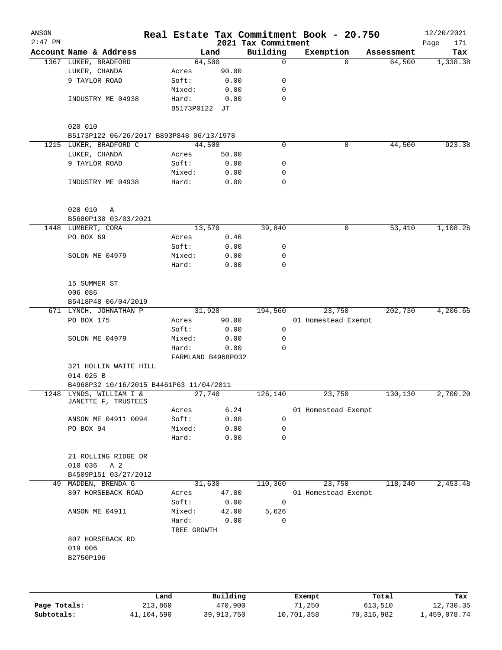| ANSON<br>$2:47$ PM |                                                                    |         |                             |          | 2021 Tax Commitment |        | Real Estate Tax Commitment Book - 20.750 |            | 12/20/2021<br>Page<br>171 |
|--------------------|--------------------------------------------------------------------|---------|-----------------------------|----------|---------------------|--------|------------------------------------------|------------|---------------------------|
|                    | Account Name & Address                                             |         | Land                        |          | Building            |        | Exemption                                | Assessment | Tax                       |
|                    | 1367 LUKER, BRADFORD                                               |         | 64,500                      |          | 0                   |        | $\Omega$                                 | 64,500     | 1,338.38                  |
|                    | LUKER, CHANDA                                                      |         | Acres                       | 90.00    |                     |        |                                          |            |                           |
|                    | 9 TAYLOR ROAD                                                      |         | Soft:                       | 0.00     | 0                   |        |                                          |            |                           |
|                    |                                                                    |         | Mixed:                      | 0.00     | 0                   |        |                                          |            |                           |
|                    | INDUSTRY ME 04938                                                  |         | Hard:                       | 0.00     | 0                   |        |                                          |            |                           |
|                    |                                                                    |         | B5173P0122 JT               |          |                     |        |                                          |            |                           |
|                    | 020 010                                                            |         |                             |          |                     |        |                                          |            |                           |
|                    | B5173P122 06/26/2017 B893P848 06/13/1978                           |         |                             |          |                     |        |                                          |            |                           |
| 1215               | LUKER, BRADFORD C                                                  |         | 44,500                      |          | 0                   |        | 0                                        | 44,500     | 923.38                    |
|                    | LUKER, CHANDA                                                      |         | Acres                       | 50.00    |                     |        |                                          |            |                           |
|                    | 9 TAYLOR ROAD                                                      |         | Soft:                       | 0.00     | 0                   |        |                                          |            |                           |
|                    |                                                                    |         | Mixed:                      | 0.00     | 0                   |        |                                          |            |                           |
|                    | INDUSTRY ME 04938                                                  |         | Hard:                       | 0.00     | 0                   |        |                                          |            |                           |
|                    |                                                                    |         |                             |          |                     |        |                                          |            |                           |
|                    | 020 010<br>Α                                                       |         |                             |          |                     |        |                                          |            |                           |
|                    | B5680P130 03/03/2021                                               |         |                             |          |                     |        |                                          |            |                           |
|                    | 1448 LUMBERT, CORA                                                 |         | 13,570                      |          | 39,840              |        | 0                                        | 53,410     | 1,108.26                  |
|                    | PO BOX 69                                                          |         | Acres                       | 0.46     |                     |        |                                          |            |                           |
|                    |                                                                    |         | Soft:                       | 0.00     | 0                   |        |                                          |            |                           |
|                    | SOLON ME 04979                                                     |         | Mixed:                      | 0.00     | 0                   |        |                                          |            |                           |
|                    |                                                                    |         | Hard:                       | 0.00     | 0                   |        |                                          |            |                           |
|                    | 15 SUMMER ST                                                       |         |                             |          |                     |        |                                          |            |                           |
|                    | 006 086                                                            |         |                             |          |                     |        |                                          |            |                           |
|                    | B5418P48 06/04/2019                                                |         |                             |          |                     |        |                                          |            |                           |
|                    | 671 LYNCH, JOHNATHAN P                                             |         | 31,920                      |          | 194,560             |        | 23,750                                   | 202,730    | 4,206.65                  |
|                    | PO BOX 175                                                         |         | Acres                       | 90.00    |                     |        | 01 Homestead Exempt                      |            |                           |
|                    |                                                                    |         | Soft:                       | 0.00     | 0                   |        |                                          |            |                           |
|                    | SOLON ME 04979                                                     |         | Mixed:                      | 0.00     | 0                   |        |                                          |            |                           |
|                    |                                                                    |         | Hard:<br>FARMLAND B4968P032 | 0.00     | 0                   |        |                                          |            |                           |
|                    |                                                                    |         |                             |          |                     |        |                                          |            |                           |
|                    | 321 HOLLIN WAITE HILL<br>014 025 B                                 |         |                             |          |                     |        |                                          |            |                           |
|                    |                                                                    |         |                             |          |                     |        |                                          |            |                           |
|                    | B4968P32 10/16/2015 B4461P63 11/04/2011<br>1248 LYNDS, WILLIAM I & |         | 27,740                      |          | 126,140             |        | 23,750                                   | 130,130    | 2,700.20                  |
|                    | JANETTE F, TRUSTEES                                                |         |                             |          |                     |        |                                          |            |                           |
|                    |                                                                    |         | Acres                       | 6.24     |                     |        | 01 Homestead Exempt                      |            |                           |
|                    | ANSON ME 04911 0094                                                |         | Soft:                       | 0.00     | 0                   |        |                                          |            |                           |
|                    | PO BOX 94                                                          |         | Mixed:                      | 0.00     | 0                   |        |                                          |            |                           |
|                    |                                                                    |         | Hard:                       | 0.00     | 0                   |        |                                          |            |                           |
|                    | 21 ROLLING RIDGE DR                                                |         |                             |          |                     |        |                                          |            |                           |
|                    | 010 036<br>A 2                                                     |         |                             |          |                     |        |                                          |            |                           |
|                    | B4509P151 03/27/2012                                               |         |                             |          |                     |        |                                          |            |                           |
| 49                 | MADDEN, BRENDA G                                                   |         | 31,630                      |          | 110,360             |        | 23,750                                   | 118,240    | 2,453.48                  |
|                    | 807 HORSEBACK ROAD                                                 |         | Acres                       | 47.00    |                     |        | 01 Homestead Exempt                      |            |                           |
|                    |                                                                    |         | Soft:                       | 0.00     | $\mathbf 0$         |        |                                          |            |                           |
|                    | ANSON ME 04911                                                     |         | Mixed:                      | 42.00    | 5,626               |        |                                          |            |                           |
|                    |                                                                    |         | Hard:<br>TREE GROWTH        | 0.00     | $\Omega$            |        |                                          |            |                           |
|                    | 807 HORSEBACK RD<br>019 006                                        |         |                             |          |                     |        |                                          |            |                           |
|                    | B2750P196                                                          |         |                             |          |                     |        |                                          |            |                           |
|                    |                                                                    |         |                             |          |                     |        |                                          |            |                           |
|                    |                                                                    |         |                             |          |                     |        |                                          |            |                           |
|                    |                                                                    | Land    |                             | Building |                     | Exempt |                                          | Total      | Tax                       |
| Page Totals:       |                                                                    | 213,860 |                             | 470,900  |                     | 71,250 |                                          | 613,510    | 12,730.35                 |

**Subtotals:** 41,104,590 39,913,750 10,701,358 70,316,982 1,459,078.74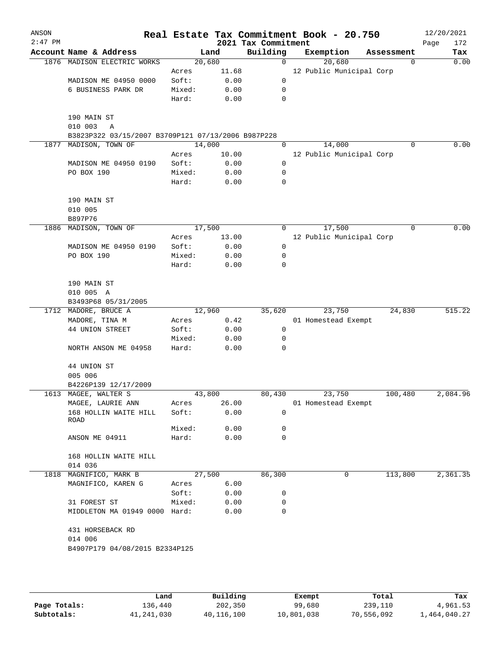| ANSON<br>$2:47$ PM |                                                    |        |        | 2021 Tax Commitment | Real Estate Tax Commitment Book - 20.750 |             | 12/20/2021<br>172<br>Page |
|--------------------|----------------------------------------------------|--------|--------|---------------------|------------------------------------------|-------------|---------------------------|
|                    | Account Name & Address                             |        | Land   | Building            | Exemption                                | Assessment  | Tax                       |
|                    | 1876 MADISON ELECTRIC WORKS                        |        | 20,680 | $\mathbf 0$         | 20,680                                   | $\mathbf 0$ | 0.00                      |
|                    |                                                    | Acres  | 11.68  |                     | 12 Public Municipal Corp                 |             |                           |
|                    | MADISON ME 04950 0000                              | Soft:  | 0.00   | 0                   |                                          |             |                           |
|                    | 6 BUSINESS PARK DR                                 | Mixed: | 0.00   | 0                   |                                          |             |                           |
|                    |                                                    | Hard:  | 0.00   | 0                   |                                          |             |                           |
|                    | 190 MAIN ST                                        |        |        |                     |                                          |             |                           |
|                    | 010 003<br>Α                                       |        |        |                     |                                          |             |                           |
|                    | B3823P322 03/15/2007 B3709P121 07/13/2006 B987P228 |        |        |                     |                                          |             |                           |
| 1877               | MADISON, TOWN OF                                   |        | 14,000 | 0                   | 14,000                                   | $\mathbf 0$ | 0.00                      |
|                    |                                                    | Acres  | 10.00  |                     | 12 Public Municipal Corp                 |             |                           |
|                    | MADISON ME 04950 0190                              | Soft:  | 0.00   | 0                   |                                          |             |                           |
|                    | PO BOX 190                                         | Mixed: | 0.00   | 0                   |                                          |             |                           |
|                    |                                                    | Hard:  | 0.00   | 0                   |                                          |             |                           |
|                    | 190 MAIN ST                                        |        |        |                     |                                          |             |                           |
|                    | 010 005                                            |        |        |                     |                                          |             |                           |
|                    | B897P76                                            |        |        |                     |                                          |             |                           |
| 1886               | MADISON, TOWN OF                                   |        | 17,500 | 0                   | 17,500                                   | 0           | 0.00                      |
|                    |                                                    | Acres  | 13.00  |                     | 12 Public Municipal Corp                 |             |                           |
|                    | MADISON ME 04950 0190                              | Soft:  | 0.00   | 0                   |                                          |             |                           |
|                    | PO BOX 190                                         | Mixed: | 0.00   | 0                   |                                          |             |                           |
|                    |                                                    | Hard:  | 0.00   | 0                   |                                          |             |                           |
|                    | 190 MAIN ST                                        |        |        |                     |                                          |             |                           |
|                    | 010 005 A                                          |        |        |                     |                                          |             |                           |
|                    | B3493P68 05/31/2005                                |        |        |                     |                                          |             |                           |
|                    | 1712 MADORE, BRUCE A                               |        | 12,960 | 35,620              | 23,750                                   | 24,830      | 515.22                    |
|                    | MADORE, TINA M                                     | Acres  | 0.42   |                     | 01 Homestead Exempt                      |             |                           |
|                    | 44 UNION STREET                                    | Soft:  | 0.00   | 0                   |                                          |             |                           |
|                    |                                                    | Mixed: | 0.00   | 0                   |                                          |             |                           |
|                    | NORTH ANSON ME 04958                               | Hard:  | 0.00   | 0                   |                                          |             |                           |
|                    | 44 UNION ST                                        |        |        |                     |                                          |             |                           |
|                    | 005 006                                            |        |        |                     |                                          |             |                           |
|                    | B4226P139 12/17/2009                               |        |        |                     |                                          |             |                           |
|                    | 1613 MAGEE, WALTER S                               |        | 43,800 | 80,430              | 23,750                                   | 100,480     | 2,084.96                  |
|                    | MAGEE, LAURIE ANN                                  | Acres  | 26.00  |                     | 01 Homestead Exempt                      |             |                           |
|                    | 168 HOLLIN WAITE HILL<br>ROAD                      | Soft:  | 0.00   | 0                   |                                          |             |                           |
|                    |                                                    | Mixed: | 0.00   | 0                   |                                          |             |                           |
|                    | ANSON ME 04911                                     | Hard:  | 0.00   | 0                   |                                          |             |                           |
|                    | 168 HOLLIN WAITE HILL                              |        |        |                     |                                          |             |                           |
|                    | 014 036                                            |        |        |                     |                                          |             |                           |
| 1818               | MAGNIFICO, MARK B                                  |        | 27,500 | 86,300              | 0                                        | 113,800     | 2,361.35                  |
|                    | MAGNIFICO, KAREN G                                 | Acres  | 6.00   |                     |                                          |             |                           |
|                    |                                                    | Soft:  | 0.00   | 0                   |                                          |             |                           |
|                    | 31 FOREST ST                                       | Mixed: | 0.00   | 0                   |                                          |             |                           |
|                    | MIDDLETON MA 01949 0000 Hard:                      |        | 0.00   | 0                   |                                          |             |                           |
|                    | 431 HORSEBACK RD                                   |        |        |                     |                                          |             |                           |
|                    | 014 006                                            |        |        |                     |                                          |             |                           |
|                    | B4907P179 04/08/2015 B2334P125                     |        |        |                     |                                          |             |                           |
|                    |                                                    |        |        |                     |                                          |             |                           |
|                    |                                                    |        |        |                     |                                          |             |                           |
|                    |                                                    |        |        |                     |                                          |             |                           |
|                    |                                                    |        |        |                     |                                          |             |                           |

|              | Land       | Building   | Exempt     | Total      | Tax          |
|--------------|------------|------------|------------|------------|--------------|
| Page Totals: | 136,440    | 202,350    | 99,680     | 239,110    | 4,961.53     |
| Subtotals:   | 41,241,030 | 40,116,100 | 10,801,038 | 70,556,092 | 1,464,040.27 |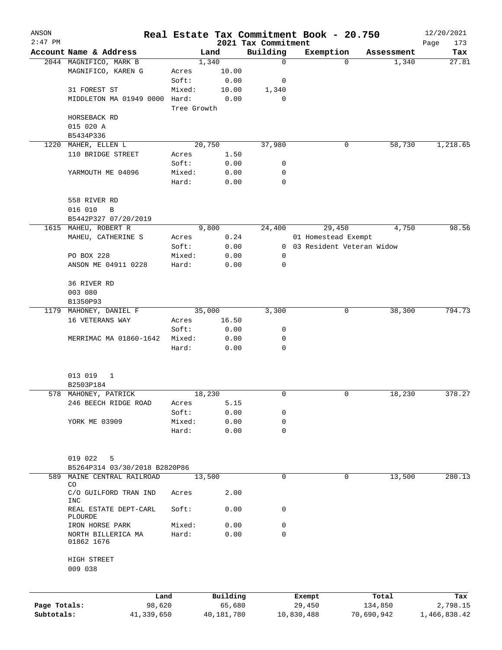| ANSON        |                                                |             |            |                                 |            | Real Estate Tax Commitment Book - 20.750 |                     | 12/20/2021         |
|--------------|------------------------------------------------|-------------|------------|---------------------------------|------------|------------------------------------------|---------------------|--------------------|
| $2:47$ PM    | Account Name & Address                         |             | Land       | 2021 Tax Commitment<br>Building |            | Exemption                                |                     | Page<br>173<br>Tax |
|              | 2044 MAGNIFICO, MARK B                         |             | 1,340      | $\mathbf 0$                     |            | $\Omega$                                 | Assessment<br>1,340 | 27.81              |
|              | MAGNIFICO, KAREN G                             | Acres       | 10.00      |                                 |            |                                          |                     |                    |
|              |                                                | Soft:       | 0.00       | 0                               |            |                                          |                     |                    |
|              | 31 FOREST ST                                   | Mixed:      | 10.00      | 1,340                           |            |                                          |                     |                    |
|              | MIDDLETON MA 01949 0000 Hard:                  |             | 0.00       | 0                               |            |                                          |                     |                    |
|              |                                                | Tree Growth |            |                                 |            |                                          |                     |                    |
|              | HORSEBACK RD                                   |             |            |                                 |            |                                          |                     |                    |
|              | 015 020 A                                      |             |            |                                 |            |                                          |                     |                    |
|              | B5434P336                                      |             |            |                                 |            |                                          |                     |                    |
| 1220         | MAHER, ELLEN L                                 |             | 20,750     | 37,980                          |            | 0                                        | 58,730              | 1,218.65           |
|              | 110 BRIDGE STREET                              | Acres       | 1.50       |                                 |            |                                          |                     |                    |
|              |                                                | Soft:       | 0.00       | 0                               |            |                                          |                     |                    |
|              | YARMOUTH ME 04096                              | Mixed:      | 0.00       | 0                               |            |                                          |                     |                    |
|              |                                                | Hard:       | 0.00       | $\mathbf 0$                     |            |                                          |                     |                    |
|              |                                                |             |            |                                 |            |                                          |                     |                    |
|              | 558 RIVER RD                                   |             |            |                                 |            |                                          |                     |                    |
|              | 016 010<br>$\, {\bf B}$                        |             |            |                                 |            |                                          |                     |                    |
|              | B5442P327 07/20/2019                           |             |            |                                 |            |                                          |                     |                    |
|              | 1615 MAHEU, ROBERT R                           |             | 9,800      | 24,400                          |            | 29,450                                   | 4,750               | 98.56              |
|              | MAHEU, CATHERINE S                             | Acres       | 0.24       |                                 |            | 01 Homestead Exempt                      |                     |                    |
|              |                                                | Soft:       | 0.00       | $\mathbf{0}$                    |            | 03 Resident Veteran Widow                |                     |                    |
|              | PO BOX 228                                     | Mixed:      | 0.00       | 0                               |            |                                          |                     |                    |
|              | ANSON ME 04911 0228                            | Hard:       | 0.00       | 0                               |            |                                          |                     |                    |
|              |                                                |             |            |                                 |            |                                          |                     |                    |
|              | 36 RIVER RD                                    |             |            |                                 |            |                                          |                     |                    |
|              | 003 080                                        |             |            |                                 |            |                                          |                     |                    |
|              | B1350P93                                       |             |            |                                 |            |                                          |                     |                    |
|              | 1179 MAHONEY, DANIEL F                         |             | 35,000     | 3,300                           |            | 0                                        | 38,300              | 794.73             |
|              | 16 VETERANS WAY                                | Acres       | 16.50      |                                 |            |                                          |                     |                    |
|              |                                                | Soft:       | 0.00       | 0                               |            |                                          |                     |                    |
|              | MERRIMAC MA 01860-1642                         | Mixed:      | 0.00       | 0                               |            |                                          |                     |                    |
|              |                                                | Hard:       | 0.00       | 0                               |            |                                          |                     |                    |
|              | 013 019<br>1                                   |             |            |                                 |            |                                          |                     |                    |
|              | B2503P184                                      |             |            |                                 |            |                                          |                     |                    |
|              | 578 MAHONEY, PATRICK                           |             | 18,230     | 0                               |            | 0                                        | 18,230              | 378.27             |
|              | 246 BEECH RIDGE ROAD                           | Acres       | 5.15       |                                 |            |                                          |                     |                    |
|              |                                                | Soft:       | 0.00       | 0                               |            |                                          |                     |                    |
|              | YORK ME 03909                                  | Mixed:      | 0.00       | 0                               |            |                                          |                     |                    |
|              |                                                | Hard:       | 0.00       | $\mathbf 0$                     |            |                                          |                     |                    |
|              |                                                |             |            |                                 |            |                                          |                     |                    |
|              | 019 022<br>5                                   |             |            |                                 |            |                                          |                     |                    |
|              | B5264P314 03/30/2018 B2820P86                  |             |            |                                 |            |                                          |                     |                    |
| 589          | MAINE CENTRAL RAILROAD                         |             | 13,500     | 0                               |            | $\mathbf 0$                              | 13,500              | 280.13             |
|              | CO<br>C/O GUILFORD TRAN IND                    | Acres       | 2.00       |                                 |            |                                          |                     |                    |
|              | <b>INC</b><br>REAL ESTATE DEPT-CARL<br>PLOURDE | Soft:       | 0.00       | 0                               |            |                                          |                     |                    |
|              | IRON HORSE PARK                                | Mixed:      | 0.00       | 0                               |            |                                          |                     |                    |
|              | NORTH BILLERICA MA<br>01862 1676               | Hard:       | 0.00       | $\Omega$                        |            |                                          |                     |                    |
|              | HIGH STREET                                    |             |            |                                 |            |                                          |                     |                    |
|              | 009 038                                        |             |            |                                 |            |                                          |                     |                    |
|              | Land                                           |             | Building   |                                 | Exempt     |                                          | Total               | Tax                |
| Page Totals: | 98,620                                         |             | 65,680     |                                 | 29,450     |                                          | 134,850             | 2,798.15           |
| Subtotals:   | 41,339,650                                     |             | 40,181,780 |                                 | 10,830,488 |                                          | 70,690,942          | 1,466,838.42       |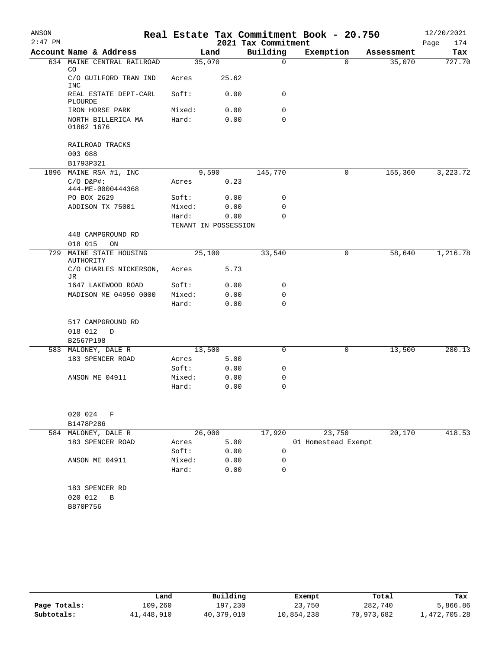| ANSON     |                                                   |  |                      |        |                     | Real Estate Tax Commitment Book - 20.750 |            | 12/20/2021  |
|-----------|---------------------------------------------------|--|----------------------|--------|---------------------|------------------------------------------|------------|-------------|
| $2:47$ PM |                                                   |  |                      |        | 2021 Tax Commitment |                                          |            | Page<br>174 |
|           | Account Name & Address                            |  |                      | Land   | Building            | Exemption                                | Assessment | Tax         |
|           | 634 MAINE CENTRAL RAILROAD<br>CO.                 |  | 35,070               |        | $\mathbf 0$         | $\Omega$                                 | 35,070     | 727.70      |
|           | C/O GUILFORD TRAN IND<br><b>INC</b>               |  | Acres                | 25.62  |                     |                                          |            |             |
|           | REAL ESTATE DEPT-CARL<br>PLOURDE                  |  | Soft:                | 0.00   | 0                   |                                          |            |             |
|           | IRON HORSE PARK                                   |  | Mixed:               | 0.00   | 0                   |                                          |            |             |
|           | NORTH BILLERICA MA<br>01862 1676                  |  | Hard:                | 0.00   | 0                   |                                          |            |             |
|           | RAILROAD TRACKS<br>003 088                        |  |                      |        |                     |                                          |            |             |
|           | B1793P321                                         |  |                      |        |                     |                                          |            |             |
| 1896      | MAINE RSA #1, INC                                 |  |                      | 9,590  | 145,770             | 0                                        | 155,360    | 3,223.72    |
|           | $C/O$ $D&P$ #:<br>444-ME-0000444368               |  | Acres                | 0.23   |                     |                                          |            |             |
|           | PO BOX 2629                                       |  | Soft:                | 0.00   | 0                   |                                          |            |             |
|           | ADDISON TX 75001                                  |  | Mixed:<br>Hard:      | 0.00   | 0<br>$\Omega$       |                                          |            |             |
|           |                                                   |  | TENANT IN POSSESSION | 0.00   |                     |                                          |            |             |
|           | 448 CAMPGROUND RD<br>018 015<br>ON                |  |                      |        |                     |                                          |            |             |
| 729       | MAINE STATE HOUSING<br>25,100<br><b>AUTHORITY</b> |  |                      | 33,540 | 0                   | 58,640                                   | 1,216.78   |             |
|           | C/O CHARLES NICKERSON,<br>JR                      |  | Acres                | 5.73   |                     |                                          |            |             |
|           | 1647 LAKEWOOD ROAD                                |  | Soft:                | 0.00   | 0                   |                                          |            |             |
|           | MADISON ME 04950 0000                             |  | Mixed:               | 0.00   | 0                   |                                          |            |             |
|           |                                                   |  | Hard:                | 0.00   | 0                   |                                          |            |             |
|           | 517 CAMPGROUND RD                                 |  |                      |        |                     |                                          |            |             |
|           | 018 012<br>D                                      |  |                      |        |                     |                                          |            |             |
|           | B2567P198                                         |  |                      |        |                     |                                          |            |             |
|           | 583 MALONEY, DALE R                               |  | 13,500               |        | 0                   | 0                                        | 13,500     | 280.13      |
|           | 183 SPENCER ROAD                                  |  | Acres                | 5.00   |                     |                                          |            |             |
|           |                                                   |  | Soft:                | 0.00   | 0                   |                                          |            |             |
|           | ANSON ME 04911                                    |  | Mixed:               | 0.00   | 0                   |                                          |            |             |
|           |                                                   |  | Hard:                | 0.00   | 0                   |                                          |            |             |
|           | 020 024<br>F                                      |  |                      |        |                     |                                          |            |             |
|           | B1478P286                                         |  |                      |        |                     |                                          |            |             |
|           | 584 MALONEY, DALE R                               |  | 26,000               |        | 17,920              | 23,750                                   | 20,170     | 418.53      |
|           | 183 SPENCER ROAD                                  |  | Acres                | 5.00   |                     | 01 Homestead Exempt                      |            |             |
|           |                                                   |  | Soft:                | 0.00   | 0                   |                                          |            |             |
|           | ANSON ME 04911                                    |  | Mixed:               | 0.00   | 0                   |                                          |            |             |
|           |                                                   |  | Hard:                | 0.00   | 0                   |                                          |            |             |
|           | 183 SPENCER RD                                    |  |                      |        |                     |                                          |            |             |
|           | 020 012<br>$\, {\bf B}$                           |  |                      |        |                     |                                          |            |             |
|           | B870P756                                          |  |                      |        |                     |                                          |            |             |
|           |                                                   |  |                      |        |                     |                                          |            |             |

|              | Land       | Building   | Exempt     | Total      | Tax          |
|--------------|------------|------------|------------|------------|--------------|
| Page Totals: | 109,260    | 197,230    | 23,750     | 282,740    | 5,866.86     |
| Subtotals:   | 41,448,910 | 40,379,010 | 10,854,238 | 70,973,682 | 1,472,705.28 |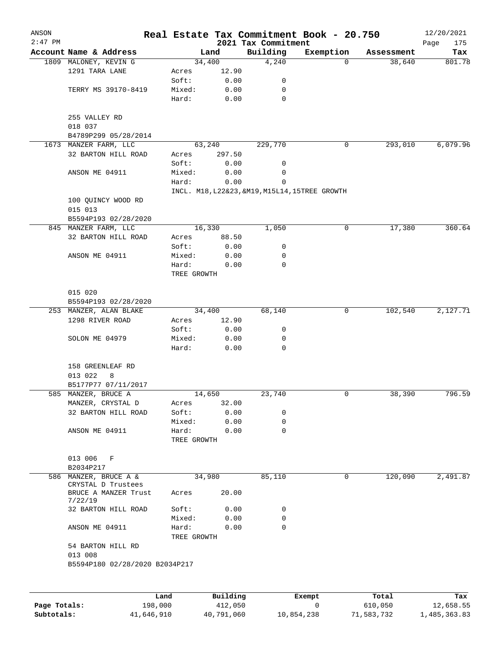| 2021 Tax Commitment<br>Account Name & Address<br>Building<br>Land<br>Exemption<br>Assessment<br>4,240<br>38,640<br>1809 MALONEY, KEVIN G<br>34,400<br>0<br>1291 TARA LANE<br>12.90<br>Acres<br>Soft:<br>0.00<br>0<br>TERRY MS 39170-8419<br>Mixed:<br>0.00<br>0<br>$\mathbf 0$<br>Hard:<br>0.00<br>255 VALLEY RD<br>018 037<br>B4789P299 05/28/2014<br>229,770<br>293,010<br>1673 MANZER FARM, LLC<br>63,240<br>0<br>32 BARTON HILL ROAD<br>297.50<br>Acres<br>Soft:<br>0.00<br>0<br>Mixed:<br>0.00<br>0<br>ANSON ME 04911<br>$\mathbf 0$<br>Hard:<br>0.00<br>INCL. M18, L22&23, &M19, M15L14, 15TREE GROWTH<br>100 QUINCY WOOD RD<br>015 013<br>B5594P193 02/28/2020<br>16,330<br>1,050<br>17,380<br>845 MANZER FARM, LLC<br>0<br>32 BARTON HILL ROAD<br>88.50<br>Acres<br>Soft:<br>0.00<br>0<br>ANSON ME 04911<br>Mixed:<br>0<br>0.00<br>Hard:<br>0.00<br>0<br>TREE GROWTH<br>015 020<br>B5594P193 02/28/2020<br>102,540<br>253 MANZER, ALAN BLAKE<br>34,400<br>68,140<br>0<br>1298 RIVER ROAD<br>12.90<br>Acres<br>0.00<br>0<br>Soft:<br>0.00<br>SOLON ME 04979<br>Mixed:<br>0<br>Hard:<br>0.00<br>0<br>158 GREENLEAF RD<br>013 022<br>8<br>B5177P77 07/11/2017<br>14,650<br>23,740<br>38,390<br>585 MANZER, BRUCE A<br>0<br>32.00<br>MANZER, CRYSTAL D<br>Acres<br>32 BARTON HILL ROAD<br>Soft:<br>0.00<br>0<br>0<br>Mixed:<br>0.00<br>ANSON ME 04911<br>Hard:<br>0.00<br>0<br>TREE GROWTH<br>013 006<br>F<br>B2034P217<br>85,110<br>120,090<br>586 MANZER, BRUCE A &<br>34,980<br>0<br>CRYSTAL D Trustees<br>20.00<br>BRUCE A MANZER Trust<br>Acres<br>7/22/19<br>32 BARTON HILL ROAD<br>Soft:<br>0.00<br>0<br>Mixed:<br>0.00<br>0<br>Hard:<br>0.00<br>0<br>ANSON ME 04911<br>TREE GROWTH<br>54 BARTON HILL RD<br>013 008<br>B5594P180 02/28/2020 B2034P217 | ANSON<br>$2:47$ PM |      |          | Real Estate Tax Commitment Book - 20.750 |       | 12/20/2021         |
|------------------------------------------------------------------------------------------------------------------------------------------------------------------------------------------------------------------------------------------------------------------------------------------------------------------------------------------------------------------------------------------------------------------------------------------------------------------------------------------------------------------------------------------------------------------------------------------------------------------------------------------------------------------------------------------------------------------------------------------------------------------------------------------------------------------------------------------------------------------------------------------------------------------------------------------------------------------------------------------------------------------------------------------------------------------------------------------------------------------------------------------------------------------------------------------------------------------------------------------------------------------------------------------------------------------------------------------------------------------------------------------------------------------------------------------------------------------------------------------------------------------------------------------------------------------------------------------------------------------------------------------------------------------------------------------------------------------------------------------------------------------|--------------------|------|----------|------------------------------------------|-------|--------------------|
|                                                                                                                                                                                                                                                                                                                                                                                                                                                                                                                                                                                                                                                                                                                                                                                                                                                                                                                                                                                                                                                                                                                                                                                                                                                                                                                                                                                                                                                                                                                                                                                                                                                                                                                                                                  |                    |      |          |                                          |       | 175<br>Page<br>Tax |
|                                                                                                                                                                                                                                                                                                                                                                                                                                                                                                                                                                                                                                                                                                                                                                                                                                                                                                                                                                                                                                                                                                                                                                                                                                                                                                                                                                                                                                                                                                                                                                                                                                                                                                                                                                  |                    |      |          |                                          |       | 801.78             |
|                                                                                                                                                                                                                                                                                                                                                                                                                                                                                                                                                                                                                                                                                                                                                                                                                                                                                                                                                                                                                                                                                                                                                                                                                                                                                                                                                                                                                                                                                                                                                                                                                                                                                                                                                                  |                    |      |          |                                          |       |                    |
|                                                                                                                                                                                                                                                                                                                                                                                                                                                                                                                                                                                                                                                                                                                                                                                                                                                                                                                                                                                                                                                                                                                                                                                                                                                                                                                                                                                                                                                                                                                                                                                                                                                                                                                                                                  |                    |      |          |                                          |       |                    |
|                                                                                                                                                                                                                                                                                                                                                                                                                                                                                                                                                                                                                                                                                                                                                                                                                                                                                                                                                                                                                                                                                                                                                                                                                                                                                                                                                                                                                                                                                                                                                                                                                                                                                                                                                                  |                    |      |          |                                          |       |                    |
|                                                                                                                                                                                                                                                                                                                                                                                                                                                                                                                                                                                                                                                                                                                                                                                                                                                                                                                                                                                                                                                                                                                                                                                                                                                                                                                                                                                                                                                                                                                                                                                                                                                                                                                                                                  |                    |      |          |                                          |       |                    |
|                                                                                                                                                                                                                                                                                                                                                                                                                                                                                                                                                                                                                                                                                                                                                                                                                                                                                                                                                                                                                                                                                                                                                                                                                                                                                                                                                                                                                                                                                                                                                                                                                                                                                                                                                                  |                    |      |          |                                          |       |                    |
|                                                                                                                                                                                                                                                                                                                                                                                                                                                                                                                                                                                                                                                                                                                                                                                                                                                                                                                                                                                                                                                                                                                                                                                                                                                                                                                                                                                                                                                                                                                                                                                                                                                                                                                                                                  |                    |      |          |                                          |       |                    |
|                                                                                                                                                                                                                                                                                                                                                                                                                                                                                                                                                                                                                                                                                                                                                                                                                                                                                                                                                                                                                                                                                                                                                                                                                                                                                                                                                                                                                                                                                                                                                                                                                                                                                                                                                                  |                    |      |          |                                          |       |                    |
|                                                                                                                                                                                                                                                                                                                                                                                                                                                                                                                                                                                                                                                                                                                                                                                                                                                                                                                                                                                                                                                                                                                                                                                                                                                                                                                                                                                                                                                                                                                                                                                                                                                                                                                                                                  |                    |      |          |                                          |       | 6,079.96           |
|                                                                                                                                                                                                                                                                                                                                                                                                                                                                                                                                                                                                                                                                                                                                                                                                                                                                                                                                                                                                                                                                                                                                                                                                                                                                                                                                                                                                                                                                                                                                                                                                                                                                                                                                                                  |                    |      |          |                                          |       |                    |
|                                                                                                                                                                                                                                                                                                                                                                                                                                                                                                                                                                                                                                                                                                                                                                                                                                                                                                                                                                                                                                                                                                                                                                                                                                                                                                                                                                                                                                                                                                                                                                                                                                                                                                                                                                  |                    |      |          |                                          |       |                    |
|                                                                                                                                                                                                                                                                                                                                                                                                                                                                                                                                                                                                                                                                                                                                                                                                                                                                                                                                                                                                                                                                                                                                                                                                                                                                                                                                                                                                                                                                                                                                                                                                                                                                                                                                                                  |                    |      |          |                                          |       |                    |
|                                                                                                                                                                                                                                                                                                                                                                                                                                                                                                                                                                                                                                                                                                                                                                                                                                                                                                                                                                                                                                                                                                                                                                                                                                                                                                                                                                                                                                                                                                                                                                                                                                                                                                                                                                  |                    |      |          |                                          |       |                    |
|                                                                                                                                                                                                                                                                                                                                                                                                                                                                                                                                                                                                                                                                                                                                                                                                                                                                                                                                                                                                                                                                                                                                                                                                                                                                                                                                                                                                                                                                                                                                                                                                                                                                                                                                                                  |                    |      |          |                                          |       |                    |
|                                                                                                                                                                                                                                                                                                                                                                                                                                                                                                                                                                                                                                                                                                                                                                                                                                                                                                                                                                                                                                                                                                                                                                                                                                                                                                                                                                                                                                                                                                                                                                                                                                                                                                                                                                  |                    |      |          |                                          |       |                    |
|                                                                                                                                                                                                                                                                                                                                                                                                                                                                                                                                                                                                                                                                                                                                                                                                                                                                                                                                                                                                                                                                                                                                                                                                                                                                                                                                                                                                                                                                                                                                                                                                                                                                                                                                                                  |                    |      |          |                                          |       |                    |
|                                                                                                                                                                                                                                                                                                                                                                                                                                                                                                                                                                                                                                                                                                                                                                                                                                                                                                                                                                                                                                                                                                                                                                                                                                                                                                                                                                                                                                                                                                                                                                                                                                                                                                                                                                  |                    |      |          |                                          |       |                    |
|                                                                                                                                                                                                                                                                                                                                                                                                                                                                                                                                                                                                                                                                                                                                                                                                                                                                                                                                                                                                                                                                                                                                                                                                                                                                                                                                                                                                                                                                                                                                                                                                                                                                                                                                                                  |                    |      |          |                                          |       | 360.64             |
|                                                                                                                                                                                                                                                                                                                                                                                                                                                                                                                                                                                                                                                                                                                                                                                                                                                                                                                                                                                                                                                                                                                                                                                                                                                                                                                                                                                                                                                                                                                                                                                                                                                                                                                                                                  |                    |      |          |                                          |       |                    |
|                                                                                                                                                                                                                                                                                                                                                                                                                                                                                                                                                                                                                                                                                                                                                                                                                                                                                                                                                                                                                                                                                                                                                                                                                                                                                                                                                                                                                                                                                                                                                                                                                                                                                                                                                                  |                    |      |          |                                          |       |                    |
|                                                                                                                                                                                                                                                                                                                                                                                                                                                                                                                                                                                                                                                                                                                                                                                                                                                                                                                                                                                                                                                                                                                                                                                                                                                                                                                                                                                                                                                                                                                                                                                                                                                                                                                                                                  |                    |      |          |                                          |       |                    |
|                                                                                                                                                                                                                                                                                                                                                                                                                                                                                                                                                                                                                                                                                                                                                                                                                                                                                                                                                                                                                                                                                                                                                                                                                                                                                                                                                                                                                                                                                                                                                                                                                                                                                                                                                                  |                    |      |          |                                          |       |                    |
|                                                                                                                                                                                                                                                                                                                                                                                                                                                                                                                                                                                                                                                                                                                                                                                                                                                                                                                                                                                                                                                                                                                                                                                                                                                                                                                                                                                                                                                                                                                                                                                                                                                                                                                                                                  |                    |      |          |                                          |       |                    |
|                                                                                                                                                                                                                                                                                                                                                                                                                                                                                                                                                                                                                                                                                                                                                                                                                                                                                                                                                                                                                                                                                                                                                                                                                                                                                                                                                                                                                                                                                                                                                                                                                                                                                                                                                                  |                    |      |          |                                          |       |                    |
|                                                                                                                                                                                                                                                                                                                                                                                                                                                                                                                                                                                                                                                                                                                                                                                                                                                                                                                                                                                                                                                                                                                                                                                                                                                                                                                                                                                                                                                                                                                                                                                                                                                                                                                                                                  |                    |      |          |                                          |       |                    |
|                                                                                                                                                                                                                                                                                                                                                                                                                                                                                                                                                                                                                                                                                                                                                                                                                                                                                                                                                                                                                                                                                                                                                                                                                                                                                                                                                                                                                                                                                                                                                                                                                                                                                                                                                                  |                    |      |          |                                          |       | 2,127.71           |
|                                                                                                                                                                                                                                                                                                                                                                                                                                                                                                                                                                                                                                                                                                                                                                                                                                                                                                                                                                                                                                                                                                                                                                                                                                                                                                                                                                                                                                                                                                                                                                                                                                                                                                                                                                  |                    |      |          |                                          |       |                    |
|                                                                                                                                                                                                                                                                                                                                                                                                                                                                                                                                                                                                                                                                                                                                                                                                                                                                                                                                                                                                                                                                                                                                                                                                                                                                                                                                                                                                                                                                                                                                                                                                                                                                                                                                                                  |                    |      |          |                                          |       |                    |
|                                                                                                                                                                                                                                                                                                                                                                                                                                                                                                                                                                                                                                                                                                                                                                                                                                                                                                                                                                                                                                                                                                                                                                                                                                                                                                                                                                                                                                                                                                                                                                                                                                                                                                                                                                  |                    |      |          |                                          |       |                    |
|                                                                                                                                                                                                                                                                                                                                                                                                                                                                                                                                                                                                                                                                                                                                                                                                                                                                                                                                                                                                                                                                                                                                                                                                                                                                                                                                                                                                                                                                                                                                                                                                                                                                                                                                                                  |                    |      |          |                                          |       |                    |
|                                                                                                                                                                                                                                                                                                                                                                                                                                                                                                                                                                                                                                                                                                                                                                                                                                                                                                                                                                                                                                                                                                                                                                                                                                                                                                                                                                                                                                                                                                                                                                                                                                                                                                                                                                  |                    |      |          |                                          |       |                    |
|                                                                                                                                                                                                                                                                                                                                                                                                                                                                                                                                                                                                                                                                                                                                                                                                                                                                                                                                                                                                                                                                                                                                                                                                                                                                                                                                                                                                                                                                                                                                                                                                                                                                                                                                                                  |                    |      |          |                                          |       |                    |
|                                                                                                                                                                                                                                                                                                                                                                                                                                                                                                                                                                                                                                                                                                                                                                                                                                                                                                                                                                                                                                                                                                                                                                                                                                                                                                                                                                                                                                                                                                                                                                                                                                                                                                                                                                  |                    |      |          |                                          |       |                    |
|                                                                                                                                                                                                                                                                                                                                                                                                                                                                                                                                                                                                                                                                                                                                                                                                                                                                                                                                                                                                                                                                                                                                                                                                                                                                                                                                                                                                                                                                                                                                                                                                                                                                                                                                                                  |                    |      |          |                                          |       | 796.59             |
|                                                                                                                                                                                                                                                                                                                                                                                                                                                                                                                                                                                                                                                                                                                                                                                                                                                                                                                                                                                                                                                                                                                                                                                                                                                                                                                                                                                                                                                                                                                                                                                                                                                                                                                                                                  |                    |      |          |                                          |       |                    |
|                                                                                                                                                                                                                                                                                                                                                                                                                                                                                                                                                                                                                                                                                                                                                                                                                                                                                                                                                                                                                                                                                                                                                                                                                                                                                                                                                                                                                                                                                                                                                                                                                                                                                                                                                                  |                    |      |          |                                          |       |                    |
|                                                                                                                                                                                                                                                                                                                                                                                                                                                                                                                                                                                                                                                                                                                                                                                                                                                                                                                                                                                                                                                                                                                                                                                                                                                                                                                                                                                                                                                                                                                                                                                                                                                                                                                                                                  |                    |      |          |                                          |       |                    |
|                                                                                                                                                                                                                                                                                                                                                                                                                                                                                                                                                                                                                                                                                                                                                                                                                                                                                                                                                                                                                                                                                                                                                                                                                                                                                                                                                                                                                                                                                                                                                                                                                                                                                                                                                                  |                    |      |          |                                          |       |                    |
|                                                                                                                                                                                                                                                                                                                                                                                                                                                                                                                                                                                                                                                                                                                                                                                                                                                                                                                                                                                                                                                                                                                                                                                                                                                                                                                                                                                                                                                                                                                                                                                                                                                                                                                                                                  |                    |      |          |                                          |       |                    |
|                                                                                                                                                                                                                                                                                                                                                                                                                                                                                                                                                                                                                                                                                                                                                                                                                                                                                                                                                                                                                                                                                                                                                                                                                                                                                                                                                                                                                                                                                                                                                                                                                                                                                                                                                                  |                    |      |          |                                          |       |                    |
|                                                                                                                                                                                                                                                                                                                                                                                                                                                                                                                                                                                                                                                                                                                                                                                                                                                                                                                                                                                                                                                                                                                                                                                                                                                                                                                                                                                                                                                                                                                                                                                                                                                                                                                                                                  |                    |      |          |                                          |       |                    |
|                                                                                                                                                                                                                                                                                                                                                                                                                                                                                                                                                                                                                                                                                                                                                                                                                                                                                                                                                                                                                                                                                                                                                                                                                                                                                                                                                                                                                                                                                                                                                                                                                                                                                                                                                                  |                    |      |          |                                          |       | 2,491.87           |
|                                                                                                                                                                                                                                                                                                                                                                                                                                                                                                                                                                                                                                                                                                                                                                                                                                                                                                                                                                                                                                                                                                                                                                                                                                                                                                                                                                                                                                                                                                                                                                                                                                                                                                                                                                  |                    |      |          |                                          |       |                    |
|                                                                                                                                                                                                                                                                                                                                                                                                                                                                                                                                                                                                                                                                                                                                                                                                                                                                                                                                                                                                                                                                                                                                                                                                                                                                                                                                                                                                                                                                                                                                                                                                                                                                                                                                                                  |                    |      |          |                                          |       |                    |
|                                                                                                                                                                                                                                                                                                                                                                                                                                                                                                                                                                                                                                                                                                                                                                                                                                                                                                                                                                                                                                                                                                                                                                                                                                                                                                                                                                                                                                                                                                                                                                                                                                                                                                                                                                  |                    |      |          |                                          |       |                    |
|                                                                                                                                                                                                                                                                                                                                                                                                                                                                                                                                                                                                                                                                                                                                                                                                                                                                                                                                                                                                                                                                                                                                                                                                                                                                                                                                                                                                                                                                                                                                                                                                                                                                                                                                                                  |                    |      |          |                                          |       |                    |
|                                                                                                                                                                                                                                                                                                                                                                                                                                                                                                                                                                                                                                                                                                                                                                                                                                                                                                                                                                                                                                                                                                                                                                                                                                                                                                                                                                                                                                                                                                                                                                                                                                                                                                                                                                  |                    |      |          |                                          |       |                    |
|                                                                                                                                                                                                                                                                                                                                                                                                                                                                                                                                                                                                                                                                                                                                                                                                                                                                                                                                                                                                                                                                                                                                                                                                                                                                                                                                                                                                                                                                                                                                                                                                                                                                                                                                                                  |                    |      |          |                                          |       |                    |
|                                                                                                                                                                                                                                                                                                                                                                                                                                                                                                                                                                                                                                                                                                                                                                                                                                                                                                                                                                                                                                                                                                                                                                                                                                                                                                                                                                                                                                                                                                                                                                                                                                                                                                                                                                  |                    |      |          |                                          |       |                    |
|                                                                                                                                                                                                                                                                                                                                                                                                                                                                                                                                                                                                                                                                                                                                                                                                                                                                                                                                                                                                                                                                                                                                                                                                                                                                                                                                                                                                                                                                                                                                                                                                                                                                                                                                                                  |                    |      |          |                                          |       |                    |
|                                                                                                                                                                                                                                                                                                                                                                                                                                                                                                                                                                                                                                                                                                                                                                                                                                                                                                                                                                                                                                                                                                                                                                                                                                                                                                                                                                                                                                                                                                                                                                                                                                                                                                                                                                  |                    | Land | Building | Exempt                                   | Total | Tax                |

|              | ⊥and       | Building   | Exempt     | Total      | тах          |
|--------------|------------|------------|------------|------------|--------------|
| Page Totals: | 198,000    | 412,050    |            | 610,050    | 12,658.55    |
| Subtotals:   | 41,646,910 | 40,791,060 | 10,854,238 | 71,583,732 | 1,485,363.83 |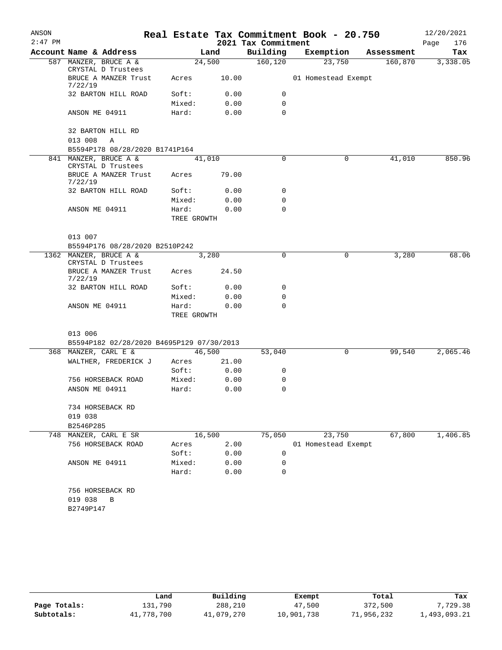|                                 |                                                                                                                                                                                                                                  |                                                                  |                                                                                                                                  | Real Estate Tax Commitment Book - 20.750 |                          | 12/20/2021                                                                    |
|---------------------------------|----------------------------------------------------------------------------------------------------------------------------------------------------------------------------------------------------------------------------------|------------------------------------------------------------------|----------------------------------------------------------------------------------------------------------------------------------|------------------------------------------|--------------------------|-------------------------------------------------------------------------------|
|                                 |                                                                                                                                                                                                                                  |                                                                  | 2021 Tax Commitment                                                                                                              |                                          |                          | Page<br>176                                                                   |
|                                 |                                                                                                                                                                                                                                  |                                                                  |                                                                                                                                  |                                          |                          | Tax                                                                           |
|                                 |                                                                                                                                                                                                                                  |                                                                  |                                                                                                                                  |                                          |                          | 3,338.05                                                                      |
| BRUCE A MANZER Trust            | Acres                                                                                                                                                                                                                            | 10.00                                                            |                                                                                                                                  |                                          |                          |                                                                               |
| 32 BARTON HILL ROAD             | Soft:                                                                                                                                                                                                                            | 0.00                                                             | 0                                                                                                                                |                                          |                          |                                                                               |
|                                 | Mixed:                                                                                                                                                                                                                           | 0.00                                                             | 0                                                                                                                                |                                          |                          |                                                                               |
| ANSON ME 04911                  | Hard:                                                                                                                                                                                                                            | 0.00                                                             | $\Omega$                                                                                                                         |                                          |                          |                                                                               |
| 32 BARTON HILL RD               |                                                                                                                                                                                                                                  |                                                                  |                                                                                                                                  |                                          |                          |                                                                               |
|                                 |                                                                                                                                                                                                                                  |                                                                  |                                                                                                                                  |                                          |                          |                                                                               |
|                                 |                                                                                                                                                                                                                                  |                                                                  |                                                                                                                                  |                                          |                          |                                                                               |
| CRYSTAL D Trustees              |                                                                                                                                                                                                                                  |                                                                  |                                                                                                                                  |                                          |                          | 850.96                                                                        |
| BRUCE A MANZER Trust<br>7/22/19 | Acres                                                                                                                                                                                                                            | 79.00                                                            |                                                                                                                                  |                                          |                          |                                                                               |
| 32 BARTON HILL ROAD             | Soft:                                                                                                                                                                                                                            | 0.00                                                             | 0                                                                                                                                |                                          |                          |                                                                               |
|                                 | Mixed:                                                                                                                                                                                                                           | 0.00                                                             | 0                                                                                                                                |                                          |                          |                                                                               |
| ANSON ME 04911                  | Hard:                                                                                                                                                                                                                            | 0.00                                                             | 0                                                                                                                                |                                          |                          |                                                                               |
|                                 |                                                                                                                                                                                                                                  |                                                                  |                                                                                                                                  |                                          |                          |                                                                               |
|                                 |                                                                                                                                                                                                                                  |                                                                  |                                                                                                                                  |                                          |                          |                                                                               |
| 1362 MANZER, BRUCE A &          |                                                                                                                                                                                                                                  |                                                                  | 0                                                                                                                                | 0                                        | 3,280                    | 68.06                                                                         |
| BRUCE A MANZER Trust            | Acres                                                                                                                                                                                                                            | 24.50                                                            |                                                                                                                                  |                                          |                          |                                                                               |
| 32 BARTON HILL ROAD             | Soft:                                                                                                                                                                                                                            | 0.00                                                             | 0                                                                                                                                |                                          |                          |                                                                               |
|                                 | Mixed:                                                                                                                                                                                                                           | 0.00                                                             | 0                                                                                                                                |                                          |                          |                                                                               |
| ANSON ME 04911                  | Hard:                                                                                                                                                                                                                            | 0.00                                                             | $\mathbf 0$                                                                                                                      |                                          |                          |                                                                               |
|                                 |                                                                                                                                                                                                                                  |                                                                  |                                                                                                                                  |                                          |                          |                                                                               |
|                                 |                                                                                                                                                                                                                                  |                                                                  |                                                                                                                                  |                                          |                          |                                                                               |
|                                 |                                                                                                                                                                                                                                  |                                                                  |                                                                                                                                  |                                          |                          |                                                                               |
|                                 |                                                                                                                                                                                                                                  |                                                                  |                                                                                                                                  | $\mathsf{O}$                             | 99,540                   | 2,065.46                                                                      |
|                                 | Acres                                                                                                                                                                                                                            | 21.00                                                            |                                                                                                                                  |                                          |                          |                                                                               |
|                                 | Soft:                                                                                                                                                                                                                            | 0.00                                                             | 0                                                                                                                                |                                          |                          |                                                                               |
| 756 HORSEBACK ROAD              | Mixed:                                                                                                                                                                                                                           | 0.00                                                             | 0                                                                                                                                |                                          |                          |                                                                               |
| ANSON ME 04911                  | Hard:                                                                                                                                                                                                                            | 0.00                                                             | $\mathbf 0$                                                                                                                      |                                          |                          |                                                                               |
| 734 HORSEBACK RD                |                                                                                                                                                                                                                                  |                                                                  |                                                                                                                                  |                                          |                          |                                                                               |
| 019 038                         |                                                                                                                                                                                                                                  |                                                                  |                                                                                                                                  |                                          |                          |                                                                               |
| B2546P285                       |                                                                                                                                                                                                                                  |                                                                  |                                                                                                                                  |                                          |                          |                                                                               |
| MANZER, CARL E SR               |                                                                                                                                                                                                                                  |                                                                  | 75,050                                                                                                                           | 23,750                                   | 67,800                   | 1,406.85                                                                      |
| 756 HORSEBACK ROAD              | Acres                                                                                                                                                                                                                            | 2.00                                                             |                                                                                                                                  |                                          |                          |                                                                               |
|                                 | Soft:                                                                                                                                                                                                                            | 0.00                                                             | 0                                                                                                                                |                                          |                          |                                                                               |
| ANSON ME 04911                  | Mixed:                                                                                                                                                                                                                           | 0.00                                                             | 0                                                                                                                                |                                          |                          |                                                                               |
|                                 | Hard:                                                                                                                                                                                                                            | 0.00                                                             | 0                                                                                                                                |                                          |                          |                                                                               |
| 756 HORSEBACK RD                |                                                                                                                                                                                                                                  |                                                                  |                                                                                                                                  |                                          |                          |                                                                               |
| 019 038<br>В                    |                                                                                                                                                                                                                                  |                                                                  |                                                                                                                                  |                                          |                          |                                                                               |
| B2749P147                       |                                                                                                                                                                                                                                  |                                                                  |                                                                                                                                  |                                          |                          |                                                                               |
|                                 | Account Name & Address<br>587 MANZER, BRUCE A &<br>CRYSTAL D Trustees<br>7/22/19<br>013 008<br>Α<br>841 MANZER, BRUCE A &<br>013 007<br>CRYSTAL D Trustees<br>7/22/19<br>013 006<br>368 MANZER, CARL E &<br>WALTHER, FREDERICK J | B5594P178 08/28/2020 B1741P164<br>B5594P176 08/28/2020 B2510P242 | Land<br>24,500<br>41,010<br>TREE GROWTH<br>3,280<br>TREE GROWTH<br>B5594P182 02/28/2020 B4695P129 07/30/2013<br>46,500<br>16,500 | Building<br>160, 120<br>0<br>53,040      | Exemption<br>23,750<br>0 | Assessment<br>160,870<br>01 Homestead Exempt<br>41,010<br>01 Homestead Exempt |

|              | Land       | Building   | Exempt     | Total      | Tax          |
|--------------|------------|------------|------------|------------|--------------|
| Page Totals: | 131,790    | 288,210    | 47,500     | 372,500    | 7,729.38     |
| Subtotals:   | 41,778,700 | 41,079,270 | 10,901,738 | 71,956,232 | 1,493,093.21 |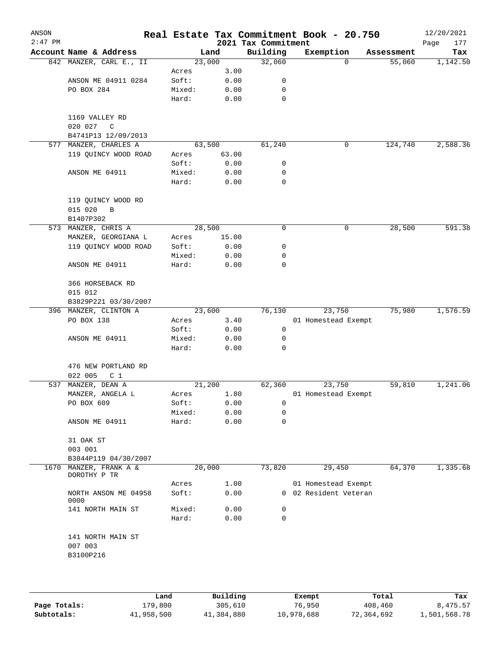| ANSON<br>$2:47$ PM |                                           |                 |              | 2021 Tax Commitment | Real Estate Tax Commitment Book - 20.750     |            | 12/20/2021<br>177<br>Page |
|--------------------|-------------------------------------------|-----------------|--------------|---------------------|----------------------------------------------|------------|---------------------------|
|                    | Account Name & Address                    |                 | Land         | Building            | Exemption                                    | Assessment | Tax                       |
|                    | 842 MANZER, CARL E., II                   | 23,000          |              | 32,060              | $\Omega$                                     | 55,060     | 1,142.50                  |
|                    |                                           | Acres           | 3.00         |                     |                                              |            |                           |
|                    | ANSON ME 04911 0284                       | Soft:           | 0.00         | 0                   |                                              |            |                           |
|                    | PO BOX 284                                | Mixed:          | 0.00         | 0                   |                                              |            |                           |
|                    |                                           | Hard:           | 0.00         | $\mathbf 0$         |                                              |            |                           |
|                    | 1169 VALLEY RD                            |                 |              |                     |                                              |            |                           |
|                    | 020 027<br>C<br>B4741P13 12/09/2013       |                 |              |                     |                                              |            |                           |
|                    | 577 MANZER, CHARLES A                     | 63,500          |              | 61,240              | 0                                            | 124,740    | 2,588.36                  |
|                    | 119 QUINCY WOOD ROAD                      | Acres           | 63.00        |                     |                                              |            |                           |
|                    |                                           | Soft:           | 0.00         | 0                   |                                              |            |                           |
|                    | ANSON ME 04911                            | Mixed:          | 0.00         | 0                   |                                              |            |                           |
|                    |                                           | Hard:           | 0.00         | 0                   |                                              |            |                           |
|                    | 119 QUINCY WOOD RD                        |                 |              |                     |                                              |            |                           |
|                    | 015 020<br>$\, {\bf B}$<br>B1407P302      |                 |              |                     |                                              |            |                           |
|                    | 573 MANZER, CHRIS A                       | 28,500          |              | 0                   | 0                                            | 28,500     | 591.38                    |
|                    | MANZER, GEORGIANA L                       | Acres           | 15.00        |                     |                                              |            |                           |
|                    | 119 QUINCY WOOD ROAD                      | Soft:           | 0.00         | 0                   |                                              |            |                           |
|                    |                                           | Mixed:          | 0.00         | 0                   |                                              |            |                           |
|                    | ANSON ME 04911                            | Hard:           | 0.00         | $\mathbf 0$         |                                              |            |                           |
|                    | 366 HORSEBACK RD                          |                 |              |                     |                                              |            |                           |
|                    | 015 012                                   |                 |              |                     |                                              |            |                           |
|                    | B3829P221 03/30/2007                      |                 |              |                     |                                              |            |                           |
|                    | 396 MANZER, CLINTON A                     | 23,600          |              | 76,130              | 23,750                                       | 75,980     | 1,576.59                  |
|                    | PO BOX 138                                | Acres           | 3.40         |                     | 01 Homestead Exempt                          |            |                           |
|                    |                                           | Soft:           | 0.00         | 0                   |                                              |            |                           |
|                    | ANSON ME 04911                            | Mixed:          | 0.00         | 0                   |                                              |            |                           |
|                    |                                           | Hard:           | 0.00         | $\Omega$            |                                              |            |                           |
|                    | 476 NEW PORTLAND RD                       |                 |              |                     |                                              |            |                           |
|                    | 022 005<br>C <sub>1</sub>                 |                 |              |                     |                                              |            |                           |
|                    | 537 MANZER, DEAN A                        | 21,200          |              | 62,360              | 23,750                                       | 59,810     | 1,241.06                  |
|                    | MANZER, ANGELA L                          | Acres           | 1.80         |                     | 01 Homestead Exempt                          |            |                           |
|                    | PO BOX 609                                | Soft:           | 0.00         | 0                   |                                              |            |                           |
|                    |                                           | Mixed:          | 0.00         | 0                   |                                              |            |                           |
|                    | ANSON ME 04911                            | Hard:           | 0.00         | 0                   |                                              |            |                           |
|                    | 31 OAK ST                                 |                 |              |                     |                                              |            |                           |
|                    | 003 001                                   |                 |              |                     |                                              |            |                           |
| 1670               | B3844P119 04/30/2007                      |                 |              |                     |                                              |            | 1,335.68                  |
|                    | MANZER, FRANK A &<br>DOROTHY P TR         | 20,000          |              | 73,820              | 29,450                                       | 64,370     |                           |
|                    | NORTH ANSON ME 04958                      | Acres<br>Soft:  | 1.00<br>0.00 |                     | 01 Homestead Exempt<br>0 02 Resident Veteran |            |                           |
|                    | 0000                                      |                 |              |                     |                                              |            |                           |
|                    | 141 NORTH MAIN ST                         | Mixed:<br>Hard: | 0.00<br>0.00 | 0<br>$\mathbf 0$    |                                              |            |                           |
|                    | 141 NORTH MAIN ST<br>007 003<br>B3100P216 |                 |              |                     |                                              |            |                           |
|                    |                                           |                 |              |                     |                                              |            |                           |
|                    |                                           |                 |              |                     |                                              |            |                           |

|              | Land       | Building   | Exempt     | Total      | Tax          |
|--------------|------------|------------|------------|------------|--------------|
| Page Totals: | 179,800    | 305,610    | 76,950     | 408,460    | 8,475.57     |
| Subtotals:   | 41,958,500 | 41,384,880 | 10,978,688 | 72,364,692 | 1,501,568.78 |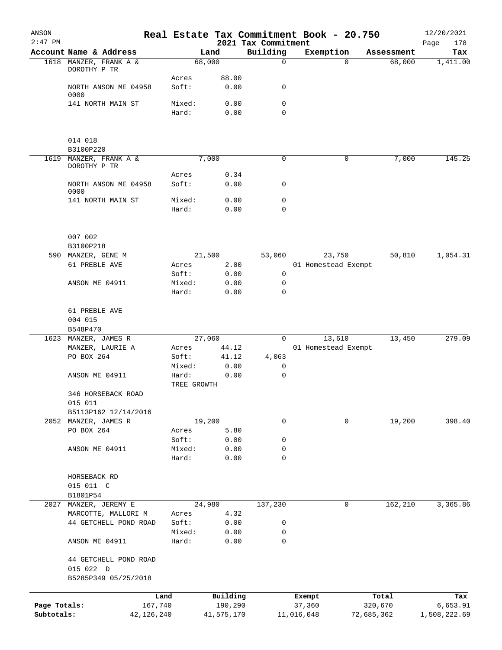| ANSON<br>$2:47$ PM |                                        |              |                 |               | 2021 Tax Commitment  | Real Estate Tax Commitment Book - 20.750 |            |            | 12/20/2021<br>178<br>Page |
|--------------------|----------------------------------------|--------------|-----------------|---------------|----------------------|------------------------------------------|------------|------------|---------------------------|
|                    | Account Name & Address                 |              |                 | Land          | Building             | Exemption                                |            | Assessment | Tax                       |
|                    | 1618 MANZER, FRANK A &<br>DOROTHY P TR |              |                 | 68,000        | $\mathbf 0$          |                                          | $\Omega$   | 68,000     | 1,411.00                  |
|                    |                                        |              | Acres           | 88.00         |                      |                                          |            |            |                           |
|                    | NORTH ANSON ME 04958                   |              | Soft:           | 0.00          | 0                    |                                          |            |            |                           |
|                    | 0000                                   |              |                 |               | $\mathbf 0$          |                                          |            |            |                           |
|                    | 141 NORTH MAIN ST                      |              | Mixed:<br>Hard: | 0.00<br>0.00  | 0                    |                                          |            |            |                           |
|                    |                                        |              |                 |               |                      |                                          |            |            |                           |
|                    | 014 018                                |              |                 |               |                      |                                          |            |            |                           |
|                    | B3100P220                              |              |                 |               |                      |                                          |            |            |                           |
| 1619               | MANZER, FRANK A &<br>DOROTHY P TR      |              |                 | 7,000         | 0                    |                                          | 0          | 7,000      | 145.25                    |
|                    |                                        |              | Acres           | 0.34          |                      |                                          |            |            |                           |
|                    | NORTH ANSON ME 04958<br>0000           |              | Soft:           | 0.00          | 0                    |                                          |            |            |                           |
|                    | 141 NORTH MAIN ST                      |              | Mixed:          | 0.00          | $\mathbf 0$          |                                          |            |            |                           |
|                    |                                        |              | Hard:           | 0.00          | $\mathbf 0$          |                                          |            |            |                           |
|                    |                                        |              |                 |               |                      |                                          |            |            |                           |
|                    | 007 002                                |              |                 |               |                      |                                          |            |            |                           |
|                    | B3100P218                              |              |                 | 21,500        |                      |                                          |            | 50,810     | 1,054.31                  |
|                    | 590 MANZER, GENE M<br>61 PREBLE AVE    |              | Acres           | 2.00          | 53,060               | 23,750<br>01 Homestead Exempt            |            |            |                           |
|                    |                                        |              | Soft:           | 0.00          | 0                    |                                          |            |            |                           |
|                    | ANSON ME 04911                         |              | Mixed:          | 0.00          | 0                    |                                          |            |            |                           |
|                    |                                        |              | Hard:           | 0.00          | 0                    |                                          |            |            |                           |
|                    | 61 PREBLE AVE                          |              |                 |               |                      |                                          |            |            |                           |
|                    | 004 015                                |              |                 |               |                      |                                          |            |            |                           |
|                    | B548P470                               |              |                 |               |                      |                                          |            |            |                           |
|                    | 1623 MANZER, JAMES R                   |              |                 | 27,060        | 0                    | 13,610                                   |            | 13,450     | 279.09                    |
|                    | MANZER, LAURIE A<br>PO BOX 264         |              | Acres<br>Soft:  | 44.12         |                      | 01 Homestead Exempt                      |            |            |                           |
|                    |                                        |              | Mixed:          | 41.12<br>0.00 | 4,063<br>$\mathbf 0$ |                                          |            |            |                           |
|                    | ANSON ME 04911                         |              | Hard:           | 0.00          | 0                    |                                          |            |            |                           |
|                    |                                        |              | TREE GROWTH     |               |                      |                                          |            |            |                           |
|                    | 346 HORSEBACK ROAD                     |              |                 |               |                      |                                          |            |            |                           |
|                    | 015 011                                |              |                 |               |                      |                                          |            |            |                           |
|                    | B5113P162 12/14/2016                   |              |                 |               |                      |                                          |            |            |                           |
|                    | 2052 MANZER, JAMES R                   |              |                 | 19,200        | 0                    |                                          | 0          | 19,200     | 398.40                    |
|                    | PO BOX 264                             |              | Acres           | 5.80          |                      |                                          |            |            |                           |
|                    | ANSON ME 04911                         |              | Soft:<br>Mixed: | 0.00<br>0.00  | 0<br>0               |                                          |            |            |                           |
|                    |                                        |              | Hard:           | 0.00          | 0                    |                                          |            |            |                           |
|                    | HORSEBACK RD                           |              |                 |               |                      |                                          |            |            |                           |
|                    | 015 011 C                              |              |                 |               |                      |                                          |            |            |                           |
|                    | B1801P54                               |              |                 |               |                      |                                          |            |            |                           |
| 2027               | MANZER, JEREMY E                       |              |                 | 24,980        | 137,230              |                                          | 0          | 162,210    | 3,365.86                  |
|                    | MARCOTTE, MALLORI M                    |              | Acres           | 4.32          |                      |                                          |            |            |                           |
|                    | 44 GETCHELL POND ROAD                  |              | Soft:           | 0.00          | 0                    |                                          |            |            |                           |
|                    | ANSON ME 04911                         |              | Mixed:<br>Hard: | 0.00<br>0.00  | 0<br>$\mathbf 0$     |                                          |            |            |                           |
|                    | 44 GETCHELL POND ROAD                  |              |                 |               |                      |                                          |            |            |                           |
|                    | 015 022 D                              |              |                 |               |                      |                                          |            |            |                           |
|                    | B5285P349 05/25/2018                   |              |                 |               |                      |                                          |            |            |                           |
|                    |                                        | Land         |                 | Building      |                      | Exempt                                   |            | Total      | Tax                       |
| Page Totals:       |                                        | 167,740      |                 | 190,290       |                      | 37,360                                   |            | 320,670    | 6,653.91                  |
| Subtotals:         |                                        | 42, 126, 240 |                 | 41,575,170    |                      | 11,016,048                               | 72,685,362 |            | 1,508,222.69              |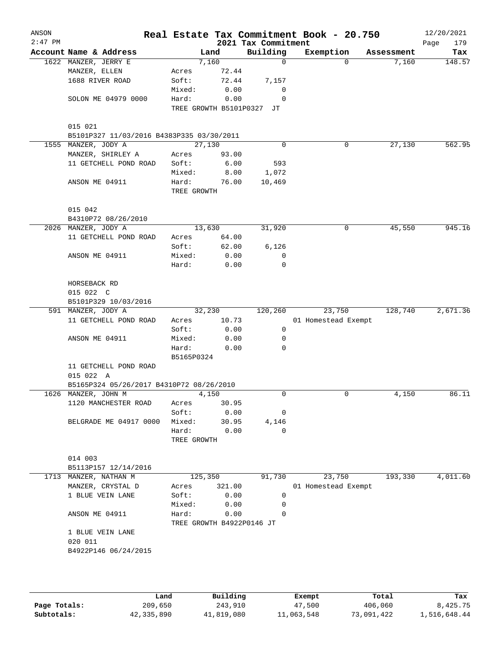|                                           |                      |                           | 2021 Tax Commitment | Real Estate Tax Commitment Book - 20.750 |            | 12/20/2021<br>Page<br>179 |
|-------------------------------------------|----------------------|---------------------------|---------------------|------------------------------------------|------------|---------------------------|
| Account Name & Address                    |                      | Land                      | Building            | Exemption                                | Assessment | Tax                       |
| 1622 MANZER, JERRY E                      |                      | 7,160                     | $\mathbf 0$         | $\Omega$                                 | 7,160      | 148.57                    |
| MANZER, ELLEN                             | Acres                | 72.44                     |                     |                                          |            |                           |
| 1688 RIVER ROAD                           | Soft:                | 72.44                     | 7,157               |                                          |            |                           |
|                                           | Mixed:               | 0.00                      | 0                   |                                          |            |                           |
| SOLON ME 04979 0000                       | Hard:                | 0.00                      | $\mathbf 0$         |                                          |            |                           |
|                                           |                      | TREE GROWTH B5101P0327    | JT                  |                                          |            |                           |
|                                           |                      |                           |                     |                                          |            |                           |
|                                           |                      |                           |                     |                                          |            |                           |
| B5101P327 11/03/2016 B4383P335 03/30/2011 |                      |                           |                     |                                          |            |                           |
| 1555 MANZER, JODY A                       |                      | 27,130                    | $\Omega$            | 0                                        | 27,130     | 562.95                    |
| MANZER, SHIRLEY A                         | Acres                | 93.00                     |                     |                                          |            |                           |
| 11 GETCHELL POND ROAD                     | Soft:                | 6.00                      | 593                 |                                          |            |                           |
|                                           | Mixed:               | 8.00                      | 1,072               |                                          |            |                           |
| ANSON ME 04911                            | Hard:<br>TREE GROWTH | 76.00                     | 10,469              |                                          |            |                           |
|                                           |                      |                           |                     |                                          |            |                           |
|                                           |                      |                           |                     |                                          |            |                           |
| B4310P72 08/26/2010                       |                      |                           |                     |                                          |            |                           |
| 2026 MANZER, JODY A                       |                      | 13,630                    | 31,920              | 0                                        | 45,550     | 945.16                    |
| 11 GETCHELL POND ROAD                     | Acres                | 64.00                     |                     |                                          |            |                           |
|                                           | Soft:                | 62.00                     | 6,126               |                                          |            |                           |
| ANSON ME 04911                            | Mixed:               | 0.00                      | $\mathbf 0$         |                                          |            |                           |
|                                           | Hard:                | 0.00                      | $\mathbf 0$         |                                          |            |                           |
| HORSEBACK RD                              |                      |                           |                     |                                          |            |                           |
| 015 022 C                                 |                      |                           |                     |                                          |            |                           |
| B5101P329 10/03/2016                      |                      |                           |                     |                                          |            |                           |
| 591 MANZER, JODY A                        |                      | 32,230                    | 120,260             | 23,750                                   | 128,740    | 2,671.36                  |
| 11 GETCHELL POND ROAD                     | Acres                | 10.73                     |                     | 01 Homestead Exempt                      |            |                           |
|                                           | Soft:                | 0.00                      | 0                   |                                          |            |                           |
| ANSON ME 04911                            | Mixed:               | 0.00                      | 0                   |                                          |            |                           |
|                                           | Hard:                | 0.00                      | 0                   |                                          |            |                           |
|                                           | B5165P0324           |                           |                     |                                          |            |                           |
| 11 GETCHELL POND ROAD                     |                      |                           |                     |                                          |            |                           |
| 015 022 A                                 |                      |                           |                     |                                          |            |                           |
| B5165P324 05/26/2017 B4310P72 08/26/2010  |                      |                           |                     |                                          |            |                           |
| 1626 MANZER, JOHN M                       |                      | 4,150                     | 0                   | 0                                        | 4,150      | 86.11                     |
| 1120 MANCHESTER ROAD                      | Acres                | 30.95                     |                     |                                          |            |                           |
|                                           | Soft:                | 0.00                      | 0                   |                                          |            |                           |
| BELGRADE ME 04917 0000                    | Mixed:               | 30.95                     | 4,146               |                                          |            |                           |
|                                           | Hard:                | 0.00                      | $\Omega$            |                                          |            |                           |
|                                           | TREE GROWTH          |                           |                     |                                          |            |                           |
|                                           |                      |                           |                     |                                          |            |                           |
| B5113P157 12/14/2016                      |                      |                           |                     |                                          |            |                           |
| 1713 MANZER, NATHAN M                     | 125,350              |                           | 91,730              | 23,750                                   | 193,330    | 4,011.60                  |
| MANZER, CRYSTAL D                         | Acres                | 321.00                    |                     | 01 Homestead Exempt                      |            |                           |
| 1 BLUE VEIN LANE                          | Soft:                | 0.00                      | $\mathbf 0$         |                                          |            |                           |
|                                           | Mixed:               |                           | 0                   |                                          |            |                           |
|                                           |                      | 0.00                      | $\Omega$            |                                          |            |                           |
| ANSON ME 04911                            | Hard:                | 0.00                      |                     |                                          |            |                           |
|                                           |                      | TREE GROWTH B4922P0146 JT |                     |                                          |            |                           |
|                                           |                      |                           |                     |                                          |            |                           |
|                                           |                      |                           |                     |                                          |            |                           |
| B4922P146 06/24/2015                      |                      |                           |                     |                                          |            |                           |
| 1 BLUE VEIN LANE                          |                      |                           |                     |                                          |            |                           |

|              | Land       | Building   | Exempt     | Total      | Tax          |
|--------------|------------|------------|------------|------------|--------------|
| Page Totals: | 209,650    | 243,910    | 47,500     | 406,060    | 8,425.75     |
| Subtotals:   | 42,335,890 | 41,819,080 | 11,063,548 | 73,091,422 | 1,516,648.44 |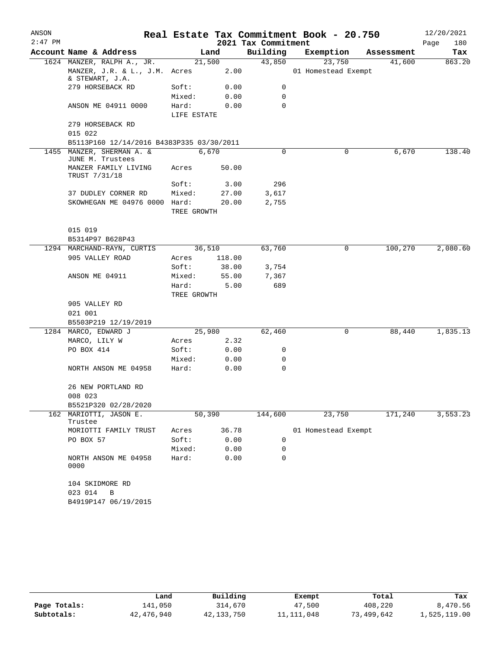| ANSON     |                                                  |                      |        |                     | Real Estate Tax Commitment Book - 20.750 |            | 12/20/2021  |
|-----------|--------------------------------------------------|----------------------|--------|---------------------|------------------------------------------|------------|-------------|
| $2:47$ PM |                                                  |                      |        | 2021 Tax Commitment |                                          |            | Page<br>180 |
|           | Account Name & Address                           |                      | Land   | Building            | Exemption                                | Assessment | Tax         |
|           | 1624 MANZER, RALPH A., JR.                       |                      | 21,500 | 43,850              | 23,750                                   | 41,600     | 863.20      |
|           | MANZER, J.R. & L., J.M. Acres<br>& STEWART, J.A. |                      | 2.00   |                     | 01 Homestead Exempt                      |            |             |
|           | 279 HORSEBACK RD                                 | Soft:                | 0.00   | 0                   |                                          |            |             |
|           |                                                  | Mixed:               | 0.00   | 0                   |                                          |            |             |
|           | ANSON ME 04911 0000                              | Hard:<br>LIFE ESTATE | 0.00   | 0                   |                                          |            |             |
|           | 279 HORSEBACK RD<br>015 022                      |                      |        |                     |                                          |            |             |
|           | B5113P160 12/14/2016 B4383P335 03/30/2011        |                      |        |                     |                                          |            |             |
|           | 1455 MANZER, SHERMAN A. &                        |                      | 6,670  | $\Omega$            | 0                                        | 6,670      | 138.40      |
|           | JUNE M. Trustees                                 |                      |        |                     |                                          |            |             |
|           | MANZER FAMILY LIVING<br>TRUST 7/31/18            | Acres                | 50.00  |                     |                                          |            |             |
|           |                                                  | Soft:                | 3.00   | 296                 |                                          |            |             |
|           | 37 DUDLEY CORNER RD                              | Mixed:               | 27.00  | 3,617               |                                          |            |             |
|           | SKOWHEGAN ME 04976 0000 Hard:                    | TREE GROWTH          | 20.00  | 2,755               |                                          |            |             |
|           | 015 019                                          |                      |        |                     |                                          |            |             |
|           | B5314P97 B628P43                                 |                      |        |                     |                                          |            |             |
|           | 1294 MARCHAND-RAYN, CURTIS                       |                      | 36,510 | 63,760              | 0                                        | 100,270    | 2,080.60    |
|           | 905 VALLEY ROAD                                  | Acres                | 118.00 |                     |                                          |            |             |
|           |                                                  | Soft:                | 38.00  | 3,754               |                                          |            |             |
|           | ANSON ME 04911                                   | Mixed:               | 55.00  | 7,367               |                                          |            |             |
|           |                                                  | Hard:                | 5.00   | 689                 |                                          |            |             |
|           |                                                  | TREE GROWTH          |        |                     |                                          |            |             |
|           | 905 VALLEY RD                                    |                      |        |                     |                                          |            |             |
|           | 021 001                                          |                      |        |                     |                                          |            |             |
|           | B5503P219 12/19/2019                             |                      |        |                     |                                          |            |             |
|           | 1284 MARCO, EDWARD J                             |                      | 25,980 | 62,460              | 0                                        | 88,440     | 1,835.13    |
|           | MARCO, LILY W                                    | Acres                | 2.32   |                     |                                          |            |             |
|           | PO BOX 414                                       | Soft:                | 0.00   | 0                   |                                          |            |             |
|           |                                                  | Mixed:               | 0.00   | 0                   |                                          |            |             |
|           | NORTH ANSON ME 04958                             | Hard:                | 0.00   | 0                   |                                          |            |             |
|           | 26 NEW PORTLAND RD<br>008 023                    |                      |        |                     |                                          |            |             |
|           | B5521P320 02/28/2020                             |                      |        |                     |                                          |            |             |
|           | 162 MARIOTTI, JASON E.                           |                      | 50,390 | 144,600             | 23,750                                   | 171,240    | 3,553.23    |
|           | Trustee                                          |                      |        |                     |                                          |            |             |
|           | MORIOTTI FAMILY TRUST                            | Acres                | 36.78  |                     | 01 Homestead Exempt                      |            |             |
|           | PO BOX 57                                        | Soft:                | 0.00   | 0                   |                                          |            |             |
|           |                                                  | Mixed:               | 0.00   | 0                   |                                          |            |             |
|           | NORTH ANSON ME 04958<br>0000                     | Hard:                | 0.00   | 0                   |                                          |            |             |
|           | 104 SKIDMORE RD                                  |                      |        |                     |                                          |            |             |
|           | 023 014<br>В<br>B4919P147 06/19/2015             |                      |        |                     |                                          |            |             |
|           |                                                  |                      |        |                     |                                          |            |             |

|              | Land       | Building   | Exempt     | Total      | Tax          |
|--------------|------------|------------|------------|------------|--------------|
| Page Totals: | 141,050    | 314,670    | 47,500     | 408,220    | 8,470.56     |
| Subtotals:   | 42,476,940 | 42,133,750 | 11,111,048 | 73,499,642 | 1,525,119.00 |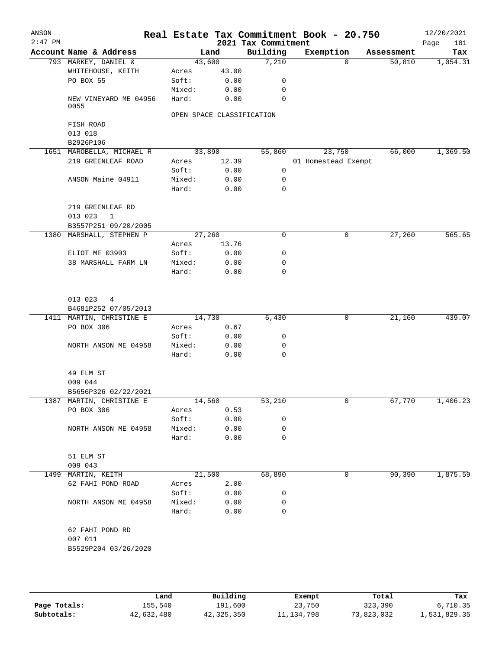| ANSON<br>$2:47$ PM |                               |                           |       | Real Estate Tax Commitment Book - 20.750<br>2021 Tax Commitment |                     |           |            | 12/20/2021<br>Page<br>181 |
|--------------------|-------------------------------|---------------------------|-------|-----------------------------------------------------------------|---------------------|-----------|------------|---------------------------|
|                    | Account Name & Address        |                           | Land  | Building                                                        |                     | Exemption | Assessment | Tax                       |
|                    | 793 MARKEY, DANIEL &          | 43,600                    |       | 7,210                                                           |                     | $\Omega$  | 50,810     | 1,054.31                  |
|                    | WHITEHOUSE, KEITH             | Acres                     | 43.00 |                                                                 |                     |           |            |                           |
|                    | PO BOX 55                     | Soft:                     | 0.00  | 0                                                               |                     |           |            |                           |
|                    |                               | Mixed:                    | 0.00  | 0                                                               |                     |           |            |                           |
|                    | NEW VINEYARD ME 04956<br>0055 | Hard:                     | 0.00  | 0                                                               |                     |           |            |                           |
|                    |                               | OPEN SPACE CLASSIFICATION |       |                                                                 |                     |           |            |                           |
|                    | FISH ROAD                     |                           |       |                                                                 |                     |           |            |                           |
|                    | 013 018                       |                           |       |                                                                 |                     |           |            |                           |
|                    | B2926P106                     |                           |       |                                                                 |                     |           |            |                           |
|                    | 1651 MAROBELLA, MICHAEL R     | 33,890                    |       | 55,860                                                          |                     | 23,750    | 66,000     | 1,369.50                  |
|                    | 219 GREENLEAF ROAD            | Acres                     | 12.39 |                                                                 | 01 Homestead Exempt |           |            |                           |
|                    |                               | Soft:                     | 0.00  | $\mathbf 0$                                                     |                     |           |            |                           |
|                    | ANSON Maine 04911             | Mixed:                    | 0.00  | 0                                                               |                     |           |            |                           |
|                    |                               | Hard:                     | 0.00  | 0                                                               |                     |           |            |                           |
|                    | 219 GREENLEAF RD              |                           |       |                                                                 |                     |           |            |                           |
|                    | 013 023<br>1                  |                           |       |                                                                 |                     |           |            |                           |
|                    | B3557P251 09/20/2005          |                           |       |                                                                 |                     |           |            |                           |
|                    | 1380 MARSHALL, STEPHEN P      | 27,260                    |       | 0                                                               |                     | 0         | 27,260     | 565.65                    |
|                    |                               | Acres                     | 13.76 |                                                                 |                     |           |            |                           |
|                    | ELIOT ME 03903                | Soft:                     | 0.00  | 0                                                               |                     |           |            |                           |
|                    | 38 MARSHALL FARM LN           | Mixed:                    | 0.00  | 0                                                               |                     |           |            |                           |
|                    |                               | Hard:                     | 0.00  | 0                                                               |                     |           |            |                           |
|                    | 013 023<br>$\overline{4}$     |                           |       |                                                                 |                     |           |            |                           |
|                    | B4681P252 07/05/2013          |                           |       |                                                                 |                     |           |            |                           |
|                    | 1411 MARTIN, CHRISTINE E      | 14,730                    |       | 6,430                                                           |                     | 0         | 21,160     | 439.07                    |
|                    | PO BOX 306                    | Acres                     | 0.67  |                                                                 |                     |           |            |                           |
|                    |                               | Soft:                     | 0.00  | 0                                                               |                     |           |            |                           |
|                    | NORTH ANSON ME 04958          | Mixed:                    | 0.00  | 0                                                               |                     |           |            |                           |
|                    |                               | Hard:                     | 0.00  | 0                                                               |                     |           |            |                           |
|                    | 49 ELM ST                     |                           |       |                                                                 |                     |           |            |                           |
|                    | 009 044                       |                           |       |                                                                 |                     |           |            |                           |
|                    | B5656P326 02/22/2021          |                           |       |                                                                 |                     |           |            |                           |
|                    | 1387 MARTIN, CHRISTINE E      | 14,560                    |       | 53,210                                                          |                     | 0         | 67,770     | 1,406.23                  |
|                    | PO BOX 306                    | Acres                     | 0.53  |                                                                 |                     |           |            |                           |
|                    |                               | Soft:                     | 0.00  | 0                                                               |                     |           |            |                           |
|                    | NORTH ANSON ME 04958          | Mixed:                    | 0.00  | 0                                                               |                     |           |            |                           |
|                    |                               | Hard:                     | 0.00  | 0                                                               |                     |           |            |                           |
|                    | 51 ELM ST<br>009 043          |                           |       |                                                                 |                     |           |            |                           |
| 1499               | MARTIN, KEITH                 | 21,500                    |       | 68,890                                                          |                     | 0         | 90,390     | 1,875.59                  |
|                    | 62 FAHI POND ROAD             | Acres                     | 2.00  |                                                                 |                     |           |            |                           |
|                    |                               | Soft:                     | 0.00  | 0                                                               |                     |           |            |                           |
|                    | NORTH ANSON ME 04958          | Mixed:                    | 0.00  | 0                                                               |                     |           |            |                           |
|                    |                               | Hard:                     | 0.00  | 0                                                               |                     |           |            |                           |
|                    | 62 FAHI POND RD               |                           |       |                                                                 |                     |           |            |                           |
|                    | 007 011                       |                           |       |                                                                 |                     |           |            |                           |
|                    | B5529P204 03/26/2020          |                           |       |                                                                 |                     |           |            |                           |
|                    |                               |                           |       |                                                                 |                     |           |            |                           |
|                    |                               |                           |       |                                                                 |                     |           |            |                           |

|              | Land       | Building   | Exempt       | Total      | Tax          |
|--------------|------------|------------|--------------|------------|--------------|
| Page Totals: | 155,540    | 191,600    | 23,750       | 323,390    | 6,710.35     |
| Subtotals:   | 42,632,480 | 42,325,350 | 11, 134, 798 | 73,823,032 | 1,531,829.35 |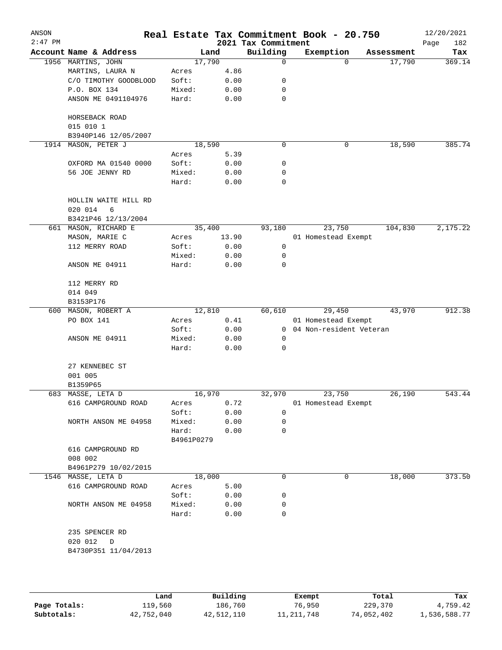| ANSON<br>$2:47$ PM |                                      |                     |        |       | 2021 Tax Commitment | Real Estate Tax Commitment Book - 20.750 |          |            | 12/20/2021<br>182<br>Page |
|--------------------|--------------------------------------|---------------------|--------|-------|---------------------|------------------------------------------|----------|------------|---------------------------|
|                    | Account Name & Address               |                     | Land   |       | Building            | Exemption                                |          | Assessment | Tax                       |
|                    | 1956 MARTINS, JOHN                   |                     | 17,790 |       | 0                   |                                          | $\Omega$ | 17,790     | 369.14                    |
|                    | MARTINS, LAURA N                     | Acres               |        | 4.86  |                     |                                          |          |            |                           |
|                    | C/O TIMOTHY GOODBLOOD                | Soft:               |        | 0.00  | 0                   |                                          |          |            |                           |
|                    | P.O. BOX 134                         | Mixed:              |        | 0.00  | 0                   |                                          |          |            |                           |
|                    | ANSON ME 0491104976                  | Hard:               |        | 0.00  | $\mathbf 0$         |                                          |          |            |                           |
|                    | HORSEBACK ROAD                       |                     |        |       |                     |                                          |          |            |                           |
|                    | 015 010 1<br>B3940P146 12/05/2007    |                     |        |       |                     |                                          |          |            |                           |
| 1914               | MASON, PETER J                       |                     | 18,590 |       | 0                   |                                          | 0        | 18,590     | 385.74                    |
|                    |                                      | Acres               |        | 5.39  |                     |                                          |          |            |                           |
|                    | OXFORD MA 01540 0000                 | Soft:               |        | 0.00  | 0                   |                                          |          |            |                           |
|                    | 56 JOE JENNY RD                      | Mixed:              |        | 0.00  | 0                   |                                          |          |            |                           |
|                    |                                      | Hard:               |        | 0.00  | 0                   |                                          |          |            |                           |
|                    | HOLLIN WAITE HILL RD<br>020 014<br>6 |                     |        |       |                     |                                          |          |            |                           |
|                    | B3421P46 12/13/2004                  |                     |        |       |                     |                                          |          |            |                           |
|                    | 661 MASON, RICHARD E                 |                     | 35,400 |       | 93,180              | 23,750                                   |          | 104,830    | 2,175.22                  |
|                    | MASON, MARIE C                       | Acres               |        | 13.90 |                     | 01 Homestead Exempt                      |          |            |                           |
|                    | 112 MERRY ROAD                       | Soft:               |        | 0.00  | 0                   |                                          |          |            |                           |
|                    |                                      | Mixed:              |        | 0.00  | 0                   |                                          |          |            |                           |
|                    | ANSON ME 04911                       | Hard:               |        | 0.00  | 0                   |                                          |          |            |                           |
|                    | 112 MERRY RD                         |                     |        |       |                     |                                          |          |            |                           |
|                    | 014 049                              |                     |        |       |                     |                                          |          |            |                           |
|                    | B3153P176                            |                     |        |       |                     |                                          |          |            |                           |
|                    | 600 MASON, ROBERT A                  |                     | 12,810 |       | 60,610              | 29,450                                   |          | 43,970     | 912.38                    |
|                    | PO BOX 141                           | Acres               |        | 0.41  |                     | 01 Homestead Exempt                      |          |            |                           |
|                    |                                      | Soft:               |        | 0.00  | $\overline{0}$      | 04 Non-resident Veteran                  |          |            |                           |
|                    | ANSON ME 04911                       | Mixed:              |        | 0.00  | 0                   |                                          |          |            |                           |
|                    |                                      | Hard:               |        | 0.00  | 0                   |                                          |          |            |                           |
|                    | 27 KENNEBEC ST                       |                     |        |       |                     |                                          |          |            |                           |
|                    | 001 005                              |                     |        |       |                     |                                          |          |            |                           |
|                    | B1359P65                             |                     |        |       |                     |                                          |          |            |                           |
|                    | 683 MASSE, LETA D                    |                     | 16,970 |       | 32,970              | 23,750                                   |          | 26,190     | 543.44                    |
|                    | 616 CAMPGROUND ROAD                  | Acres               |        | 0.72  |                     | 01 Homestead Exempt                      |          |            |                           |
|                    |                                      | Soft:               |        | 0.00  | 0                   |                                          |          |            |                           |
|                    | NORTH ANSON ME 04958                 | Mixed:              |        | 0.00  | 0                   |                                          |          |            |                           |
|                    |                                      | Hard:<br>B4961P0279 |        | 0.00  | 0                   |                                          |          |            |                           |
|                    | 616 CAMPGROUND RD                    |                     |        |       |                     |                                          |          |            |                           |
|                    | 008 002                              |                     |        |       |                     |                                          |          |            |                           |
|                    | B4961P279 10/02/2015                 |                     |        |       |                     |                                          |          |            |                           |
| 1546               | MASSE, LETA D                        |                     | 18,000 |       | 0                   |                                          | 0        | 18,000     | 373.50                    |
|                    | 616 CAMPGROUND ROAD                  | Acres               |        | 5.00  |                     |                                          |          |            |                           |
|                    |                                      | Soft:               |        | 0.00  | 0                   |                                          |          |            |                           |
|                    | NORTH ANSON ME 04958                 | Mixed:              |        | 0.00  | 0                   |                                          |          |            |                           |
|                    |                                      | Hard:               |        | 0.00  | 0                   |                                          |          |            |                           |
|                    | 235 SPENCER RD                       |                     |        |       |                     |                                          |          |            |                           |
|                    | 020 012<br>D                         |                     |        |       |                     |                                          |          |            |                           |
|                    | B4730P351 11/04/2013                 |                     |        |       |                     |                                          |          |            |                           |
|                    |                                      |                     |        |       |                     |                                          |          |            |                           |
|                    |                                      |                     |        |       |                     |                                          |          |            |                           |

|              | Land       | Building   | Exempt     | Total      | Tax          |
|--------------|------------|------------|------------|------------|--------------|
| Page Totals: | 119,560    | 186,760    | 76,950     | 229,370    | 4,759.42     |
| Subtotals:   | 42,752,040 | 42,512,110 | 11,211,748 | 74,052,402 | 1,536,588.77 |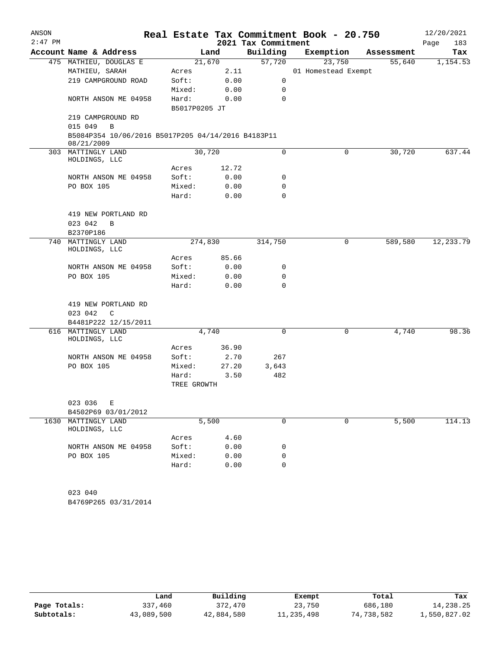| ANSON<br>$2:47$ PM |                                                                  |                        |                    | 2021 Tax Commitment | Real Estate Tax Commitment Book - 20.750 |            | 12/20/2021<br>183<br>Page |
|--------------------|------------------------------------------------------------------|------------------------|--------------------|---------------------|------------------------------------------|------------|---------------------------|
|                    | Account Name & Address                                           |                        | Land               | Building            | Exemption                                | Assessment | Tax                       |
|                    | 475 MATHIEU, DOUGLAS E                                           |                        | 21,670             | 57,720              | 23,750                                   | 55,640     | 1,154.53                  |
|                    | MATHIEU, SARAH                                                   | Acres                  | 2.11               |                     | 01 Homestead Exempt                      |            |                           |
|                    | 219 CAMPGROUND ROAD                                              | Soft:                  | 0.00               | 0                   |                                          |            |                           |
|                    |                                                                  | Mixed:                 | 0.00               | 0                   |                                          |            |                           |
|                    | NORTH ANSON ME 04958                                             | Hard:<br>B5017P0205 JT | 0.00               | $\Omega$            |                                          |            |                           |
|                    | 219 CAMPGROUND RD<br>015 049<br>$\mathbf B$                      |                        |                    |                     |                                          |            |                           |
|                    | B5084P354 10/06/2016 B5017P205 04/14/2016 B4183P11<br>08/21/2009 |                        |                    |                     |                                          |            |                           |
|                    | 303 MATTINGLY LAND<br>HOLDINGS, LLC                              |                        | 30,720             | 0                   | $\mathbf 0$                              | 30,720     | 637.44                    |
|                    |                                                                  | Acres                  | 12.72              |                     |                                          |            |                           |
|                    | NORTH ANSON ME 04958                                             | Soft:                  | 0.00               | 0                   |                                          |            |                           |
|                    | PO BOX 105                                                       | Mixed:                 | 0.00               | 0                   |                                          |            |                           |
|                    |                                                                  | Hard:                  | 0.00               | 0                   |                                          |            |                           |
|                    | 419 NEW PORTLAND RD                                              |                        |                    |                     |                                          |            |                           |
|                    | 023 042<br>B                                                     |                        |                    |                     |                                          |            |                           |
|                    | B2370P186                                                        |                        |                    |                     |                                          |            |                           |
|                    | 740 MATTINGLY LAND<br>HOLDINGS, LLC                              |                        | 274,830            | 314,750             | 0                                        | 589,580    | 12,233.79                 |
|                    |                                                                  | Acres                  | 85.66              |                     |                                          |            |                           |
|                    | NORTH ANSON ME 04958                                             | Soft:                  | 0.00               | 0                   |                                          |            |                           |
|                    | PO BOX 105                                                       | Mixed:                 | 0.00               | $\mathbf 0$         |                                          |            |                           |
|                    |                                                                  | Hard:                  | 0.00               | 0                   |                                          |            |                           |
|                    | 419 NEW PORTLAND RD                                              |                        |                    |                     |                                          |            |                           |
|                    | 023 042<br>C                                                     |                        |                    |                     |                                          |            |                           |
|                    | B4481P222 12/15/2011                                             |                        |                    |                     |                                          |            |                           |
|                    | 616 MATTINGLY LAND<br>HOLDINGS, LLC                              |                        | $\overline{4,740}$ | $\mathbf 0$         | 0                                        | 4,740      | 98.36                     |
|                    |                                                                  | Acres                  | 36.90              |                     |                                          |            |                           |
|                    | NORTH ANSON ME 04958                                             | Soft:                  | 2.70               | 267                 |                                          |            |                           |
|                    | PO BOX 105                                                       | Mixed:                 | 27.20              | 3,643               |                                          |            |                           |
|                    |                                                                  | Hard:<br>TREE GROWTH   | 3.50               | 482                 |                                          |            |                           |
|                    | 023 036<br>Е                                                     |                        |                    |                     |                                          |            |                           |
|                    | B4502P69 03/01/2012                                              |                        |                    |                     |                                          |            |                           |
|                    | 1630 MATTINGLY LAND<br>HOLDINGS, LLC                             |                        | 5,500              | $\mathbf 0$         | 0                                        | 5,500      | 114.13                    |
|                    |                                                                  | Acres                  | 4.60               |                     |                                          |            |                           |
|                    | NORTH ANSON ME 04958                                             | Soft:                  | 0.00               | 0                   |                                          |            |                           |
|                    | PO BOX 105                                                       | Mixed:                 | 0.00               | 0                   |                                          |            |                           |
|                    |                                                                  | Hard:                  | 0.00               | 0                   |                                          |            |                           |
|                    |                                                                  |                        |                    |                     |                                          |            |                           |
|                    | 023 040                                                          |                        |                    |                     |                                          |            |                           |
|                    | B4769P265 03/31/2014                                             |                        |                    |                     |                                          |            |                           |

|              | Land       | Building   | Exempt     | Total      | Tax          |
|--------------|------------|------------|------------|------------|--------------|
| Page Totals: | 337,460    | 372,470    | 23,750     | 686,180    | 14,238.25    |
| Subtotals:   | 43,089,500 | 42,884,580 | 11,235,498 | 74,738,582 | 1,550,827.02 |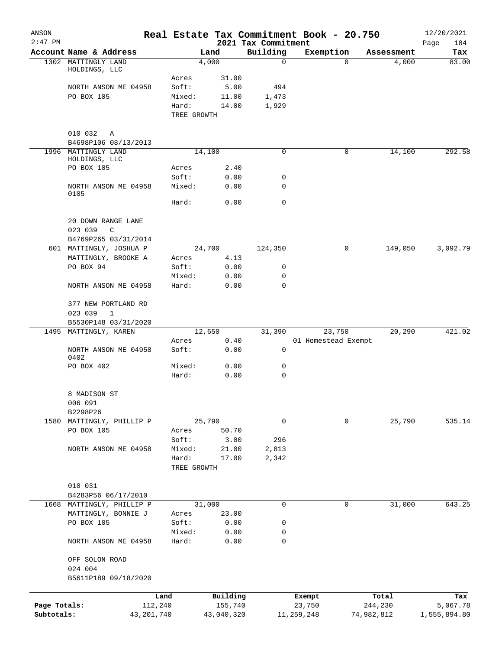| ANSON<br>$2:47$ PM |                                                |                      |            | 2021 Tax Commitment | Real Estate Tax Commitment Book - 20.750 |            | 12/20/2021<br>184<br>Page |
|--------------------|------------------------------------------------|----------------------|------------|---------------------|------------------------------------------|------------|---------------------------|
|                    | Account Name & Address                         |                      | Land       | Building            | Exemption                                | Assessment | Tax                       |
|                    | 1302 MATTINGLY LAND                            |                      | 4,000      | $\mathbf 0$         | 0                                        | 4,000      | 83.00                     |
|                    | HOLDINGS, LLC                                  | Acres                | 31.00      |                     |                                          |            |                           |
|                    | NORTH ANSON ME 04958                           | Soft:                | 5.00       | 494                 |                                          |            |                           |
|                    | PO BOX 105                                     | Mixed:               | 11.00      | 1,473               |                                          |            |                           |
|                    |                                                | Hard:                | 14.00      | 1,929               |                                          |            |                           |
|                    |                                                | TREE GROWTH          |            |                     |                                          |            |                           |
|                    | 010 032<br>Α<br>B4698P106 08/13/2013           |                      |            |                     |                                          |            |                           |
| 1996               | MATTINGLY LAND                                 |                      | 14,100     | 0                   | 0                                        | 14,100     | 292.58                    |
|                    | HOLDINGS, LLC                                  |                      |            |                     |                                          |            |                           |
|                    | PO BOX 105                                     | Acres                | 2.40       |                     |                                          |            |                           |
|                    |                                                | Soft:                | 0.00       | 0                   |                                          |            |                           |
|                    | NORTH ANSON ME 04958<br>0105                   | Mixed:               | 0.00       | 0                   |                                          |            |                           |
|                    |                                                | Hard:                | 0.00       | $\mathbf 0$         |                                          |            |                           |
|                    | 20 DOWN RANGE LANE<br>023 039<br>C             |                      |            |                     |                                          |            |                           |
|                    | B4769P265 03/31/2014                           |                      |            |                     |                                          |            |                           |
|                    | 601 MATTINGLY, JOSHUA P                        |                      | 24,700     | 124,350             | 0                                        | 149,050    | 3,092.79                  |
|                    | MATTINGLY, BROOKE A                            | Acres                | 4.13       |                     |                                          |            |                           |
|                    | PO BOX 94                                      | Soft:                | 0.00       | 0                   |                                          |            |                           |
|                    |                                                | Mixed:               | 0.00       | 0                   |                                          |            |                           |
|                    | NORTH ANSON ME 04958                           | Hard:                | 0.00       | $\mathbf 0$         |                                          |            |                           |
|                    | 377 NEW PORTLAND RD<br>023 039<br>$\mathbf{1}$ |                      |            |                     |                                          |            |                           |
|                    | B5530P148 03/31/2020                           |                      |            |                     |                                          |            |                           |
|                    | 1495 MATTINGLY, KAREN                          |                      | 12,650     | 31,390              | 23,750                                   | 20,290     | 421.02                    |
|                    |                                                | Acres                | 0.40       |                     | 01 Homestead Exempt                      |            |                           |
|                    | NORTH ANSON ME 04958<br>0402                   | Soft:                | 0.00       | $\mathbf 0$         |                                          |            |                           |
|                    | PO BOX 402                                     | Mixed:               | 0.00       | 0                   |                                          |            |                           |
|                    |                                                | Hard:                | 0.00       | 0                   |                                          |            |                           |
|                    | 8 MADISON ST                                   |                      |            |                     |                                          |            |                           |
|                    | 006 091                                        |                      |            |                     |                                          |            |                           |
|                    | B2298P26                                       |                      |            |                     |                                          |            |                           |
| 1580               | MATTINGLY, PHILLIP P                           |                      | 25,790     | 0                   | 0                                        | 25,790     | 535.14                    |
|                    | PO BOX 105                                     | Acres                | 50.70      |                     |                                          |            |                           |
|                    |                                                | Soft:                | 3.00       | 296                 |                                          |            |                           |
|                    | NORTH ANSON ME 04958                           | Mixed:               | 21.00      | 2,813               |                                          |            |                           |
|                    |                                                | Hard:<br>TREE GROWTH | 17.00      | 2,342               |                                          |            |                           |
|                    | 010 031                                        |                      |            |                     |                                          |            |                           |
|                    | B4283P56 06/17/2010                            |                      |            |                     |                                          |            |                           |
|                    | 1668 MATTINGLY, PHILLIP P                      |                      | 31,000     | 0                   | 0                                        | 31,000     | 643.25                    |
|                    | MATTINGLY, BONNIE J                            | Acres                | 23.00      |                     |                                          |            |                           |
|                    | PO BOX 105                                     | Soft:                | 0.00       | 0                   |                                          |            |                           |
|                    |                                                | Mixed:               | 0.00       | 0                   |                                          |            |                           |
|                    | NORTH ANSON ME 04958                           | Hard:                | 0.00       | 0                   |                                          |            |                           |
|                    | OFF SOLON ROAD<br>024 004                      |                      |            |                     |                                          |            |                           |
|                    | B5611P189 09/18/2020                           |                      |            |                     |                                          |            |                           |
|                    | Land                                           |                      | Building   |                     | Exempt                                   | Total      | Tax                       |
| Page Totals:       | 112,240                                        |                      | 155,740    |                     | 23,750                                   | 244,230    | 5,067.78                  |
| Subtotals:         | 43,201,740                                     |                      | 43,040,320 |                     | 11,259,248                               | 74,982,812 | 1,555,894.80              |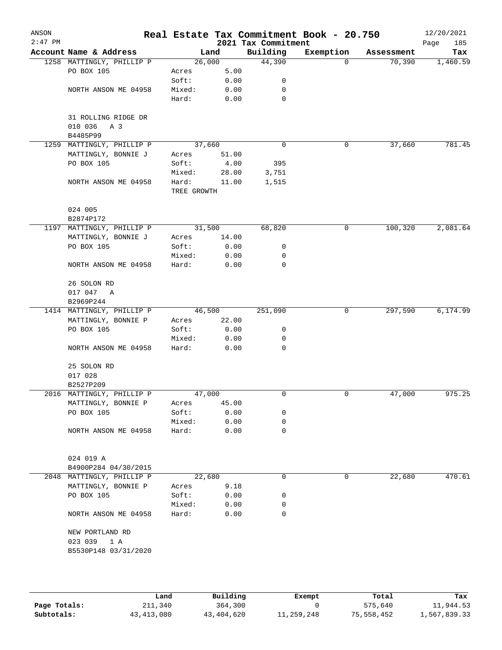| ANSON<br>$2:47$ PM |                                       |                      |        | 2021 Tax Commitment | Real Estate Tax Commitment Book - 20.750 |            | 12/20/2021<br>Page<br>185 |
|--------------------|---------------------------------------|----------------------|--------|---------------------|------------------------------------------|------------|---------------------------|
|                    | Account Name & Address                |                      | Land   | Building            | Exemption                                | Assessment | Tax                       |
|                    | 1258 MATTINGLY, PHILLIP P             |                      | 26,000 | 44,390              | 0                                        | 70,390     | 1,460.59                  |
|                    | PO BOX 105                            | Acres                | 5.00   |                     |                                          |            |                           |
|                    |                                       | Soft:                | 0.00   | 0                   |                                          |            |                           |
|                    | NORTH ANSON ME 04958                  | Mixed:               | 0.00   | 0                   |                                          |            |                           |
|                    |                                       | Hard:                | 0.00   | 0                   |                                          |            |                           |
|                    | 31 ROLLING RIDGE DR<br>010 036<br>A 3 |                      |        |                     |                                          |            |                           |
|                    | B4485P99                              |                      |        |                     |                                          |            |                           |
|                    | 1259 MATTINGLY, PHILLIP P             |                      | 37,660 | $\mathbf 0$         | 0                                        | 37,660     | 781.45                    |
|                    | MATTINGLY, BONNIE J                   | Acres                | 51.00  |                     |                                          |            |                           |
|                    | PO BOX 105                            | Soft:                | 4.00   | 395                 |                                          |            |                           |
|                    |                                       | Mixed:               | 28.00  | 3,751               |                                          |            |                           |
|                    | NORTH ANSON ME 04958                  | Hard:<br>TREE GROWTH | 11.00  | 1,515               |                                          |            |                           |
|                    | 024 005<br>B2874P172                  |                      |        |                     |                                          |            |                           |
|                    | 1197 MATTINGLY, PHILLIP P             |                      | 31,500 | 68,820              | 0                                        | 100,320    | 2,081.64                  |
|                    | MATTINGLY, BONNIE J                   | Acres                | 14.00  |                     |                                          |            |                           |
|                    | PO BOX 105                            | Soft:                | 0.00   | 0                   |                                          |            |                           |
|                    |                                       | Mixed:               | 0.00   | 0                   |                                          |            |                           |
|                    | NORTH ANSON ME 04958                  | Hard:                | 0.00   | 0                   |                                          |            |                           |
|                    | 26 SOLON RD                           |                      |        |                     |                                          |            |                           |
|                    | 017 047 A                             |                      |        |                     |                                          |            |                           |
|                    | B2969P244                             |                      |        |                     |                                          |            |                           |
|                    | 1414 MATTINGLY, PHILLIP P             |                      | 46,500 | 251,090             | 0                                        | 297,590    | 6,174.99                  |
|                    | MATTINGLY, BONNIE P                   | Acres                | 22.00  |                     |                                          |            |                           |
|                    | PO BOX 105                            | Soft:                | 0.00   | 0                   |                                          |            |                           |
|                    |                                       | Mixed:               | 0.00   | 0                   |                                          |            |                           |
|                    | NORTH ANSON ME 04958                  | Hard:                | 0.00   | 0                   |                                          |            |                           |
|                    | 25 SOLON RD<br>017 028                |                      |        |                     |                                          |            |                           |
|                    | B2527P209                             |                      |        |                     |                                          |            |                           |
|                    | 2016 MATTINGLY, PHILLIP P             |                      | 47,000 | 0                   | 0                                        | 47,000     | 975.25                    |
|                    | MATTINGLY, BONNIE P                   | Acres                | 45.00  |                     |                                          |            |                           |
|                    | PO BOX 105                            | Soft:                | 0.00   | 0                   |                                          |            |                           |
|                    |                                       | Mixed:               | 0.00   | 0                   |                                          |            |                           |
|                    | NORTH ANSON ME 04958                  | Hard:                | 0.00   | 0                   |                                          |            |                           |
|                    |                                       |                      |        |                     |                                          |            |                           |
|                    | 024 019 A                             |                      |        |                     |                                          |            |                           |
|                    | B4900P284 04/30/2015                  |                      |        |                     |                                          |            |                           |
|                    | 2048 MATTINGLY, PHILLIP P             |                      | 22,680 | 0                   | 0                                        | 22,680     | 470.61                    |
|                    | MATTINGLY, BONNIE P                   | Acres                | 9.18   |                     |                                          |            |                           |
|                    | PO BOX 105                            | Soft:                | 0.00   | 0                   |                                          |            |                           |
|                    |                                       | Mixed:               | 0.00   | 0                   |                                          |            |                           |
|                    | NORTH ANSON ME 04958                  | Hard:                | 0.00   | 0                   |                                          |            |                           |
|                    | NEW PORTLAND RD                       |                      |        |                     |                                          |            |                           |
|                    | 023 039 1 A                           |                      |        |                     |                                          |            |                           |
|                    | B5530P148 03/31/2020                  |                      |        |                     |                                          |            |                           |
|                    |                                       |                      |        |                     |                                          |            |                           |
|                    |                                       |                      |        |                     |                                          |            |                           |

|              | Land       | Building   | Exempt     | Total      | Tax          |
|--------------|------------|------------|------------|------------|--------------|
| Page Totals: | 211,340    | 364,300    |            | 575,640    | 11,944.53    |
| Subtotals:   | 43,413,080 | 43,404,620 | 11,259,248 | 75,558,452 | 1,567,839.33 |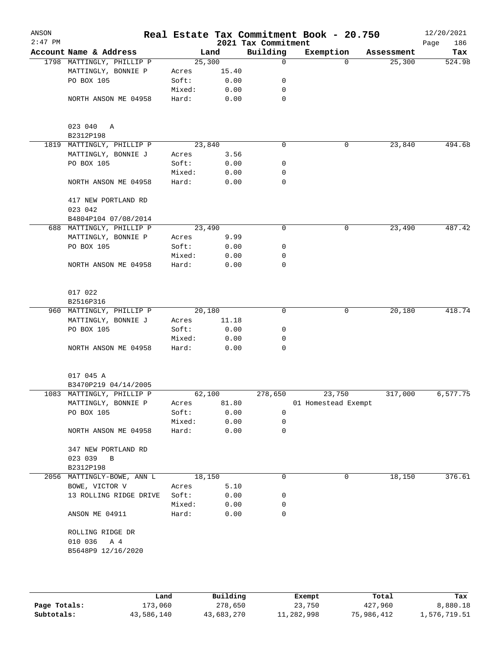| ANSON     |                            |                 |              |                     | Real Estate Tax Commitment Book - 20.750 |            | 12/20/2021  |
|-----------|----------------------------|-----------------|--------------|---------------------|------------------------------------------|------------|-------------|
| $2:47$ PM |                            |                 |              | 2021 Tax Commitment |                                          |            | 186<br>Page |
|           | Account Name & Address     |                 | Land         | Building            | Exemption                                | Assessment | Tax         |
|           | 1798 MATTINGLY, PHILLIP P  | 25,300          |              | $\mathbf 0$         | $\Omega$                                 | 25,300     | 524.98      |
|           | MATTINGLY, BONNIE P        | Acres           | 15.40        |                     |                                          |            |             |
|           | PO BOX 105                 | Soft:           | 0.00         | 0                   |                                          |            |             |
|           |                            | Mixed:          | 0.00         | 0                   |                                          |            |             |
|           | NORTH ANSON ME 04958       | Hard:           | 0.00         | 0                   |                                          |            |             |
|           | 023 040 A                  |                 |              |                     |                                          |            |             |
|           | B2312P198                  |                 |              |                     |                                          |            |             |
|           | 1819 MATTINGLY, PHILLIP P  | 23,840          |              | $\mathbf 0$         | 0                                        | 23,840     | 494.68      |
|           | MATTINGLY, BONNIE J        | Acres           | 3.56         |                     |                                          |            |             |
|           | PO BOX 105                 | Soft:           | 0.00         | 0                   |                                          |            |             |
|           |                            | Mixed:          | 0.00         | 0                   |                                          |            |             |
|           | NORTH ANSON ME 04958       | Hard:           | 0.00         | 0                   |                                          |            |             |
|           | 417 NEW PORTLAND RD        |                 |              |                     |                                          |            |             |
|           | 023 042                    |                 |              |                     |                                          |            |             |
|           | B4804P104 07/08/2014       |                 |              |                     |                                          |            |             |
|           | 688 MATTINGLY, PHILLIP P   | 23,490          |              | $\mathbf 0$         | 0                                        | 23,490     | 487.42      |
|           | MATTINGLY, BONNIE P        | Acres           | 9.99         |                     |                                          |            |             |
|           | PO BOX 105                 | Soft:           | 0.00         | 0                   |                                          |            |             |
|           |                            | Mixed:          | 0.00         | 0                   |                                          |            |             |
|           | NORTH ANSON ME 04958       | Hard:           | 0.00         | $\mathbf 0$         |                                          |            |             |
|           | 017 022<br>B2516P316       |                 |              |                     |                                          |            |             |
|           | 960 MATTINGLY, PHILLIP P   | 20,180          |              | 0                   | 0                                        | 20,180     | 418.74      |
|           | MATTINGLY, BONNIE J        | Acres           | 11.18        |                     |                                          |            |             |
|           | PO BOX 105                 | Soft:           | 0.00         | 0                   |                                          |            |             |
|           |                            | Mixed:          | 0.00         | 0                   |                                          |            |             |
|           | NORTH ANSON ME 04958       | Hard:           | 0.00         | $\Omega$            |                                          |            |             |
|           | 017 045 A                  |                 |              |                     |                                          |            |             |
|           | B3470P219 04/14/2005       |                 |              |                     |                                          |            |             |
|           | 1083 MATTINGLY, PHILLIP P  | 62,100          |              | 278,650             | 23,750                                   | 317,000    | 6,577.75    |
|           | MATTINGLY, BONNIE P        | Acres           | 81.80        |                     | 01 Homestead Exempt                      |            |             |
|           | PO BOX 105                 | Soft:           | 0.00         | $\mathbf 0$         |                                          |            |             |
|           |                            | Mixed:          | 0.00         | 0                   |                                          |            |             |
|           | NORTH ANSON ME 04958       | Hard:           | 0.00         | $\mathbf 0$         |                                          |            |             |
|           | 347 NEW PORTLAND RD        |                 |              |                     |                                          |            |             |
|           | 023 039<br>$\overline{B}$  |                 |              |                     |                                          |            |             |
|           | B2312P198                  |                 |              |                     |                                          |            |             |
|           | 2056 MATTINGLY-BOWE, ANN L | 18,150          |              | 0                   | 0                                        | 18,150     | 376.61      |
|           | BOWE, VICTOR V             | Acres           | 5.10         |                     |                                          |            |             |
|           | 13 ROLLING RIDGE DRIVE     | Soft:           | 0.00         | 0                   |                                          |            |             |
|           |                            |                 |              |                     |                                          |            |             |
|           | ANSON ME 04911             | Mixed:<br>Hard: | 0.00<br>0.00 | 0<br>0              |                                          |            |             |
|           | ROLLING RIDGE DR           |                 |              |                     |                                          |            |             |
|           | 010 036 A 4                |                 |              |                     |                                          |            |             |
|           | B5648P9 12/16/2020         |                 |              |                     |                                          |            |             |
|           |                            |                 |              |                     |                                          |            |             |
|           |                            |                 |              |                     |                                          |            |             |
|           |                            |                 |              |                     |                                          |            |             |

|              | Land       | Building   | Exempt     | Total      | Tax          |
|--------------|------------|------------|------------|------------|--------------|
| Page Totals: | 173,060    | 278,650    | 23,750     | 427,960    | 8,880.18     |
| Subtotals:   | 43,586,140 | 43,683,270 | 11,282,998 | 75,986,412 | 1,576,719.51 |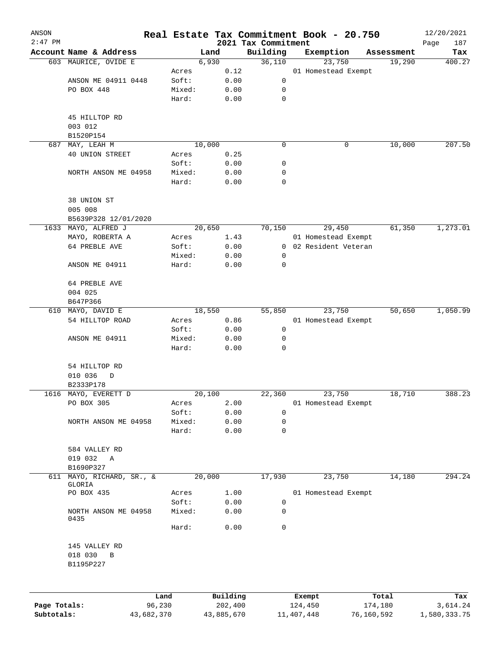| ANSON        |                                          |            |                 |                |                     |                | Real Estate Tax Commitment Book - 20.750 |            | 12/20/2021         |
|--------------|------------------------------------------|------------|-----------------|----------------|---------------------|----------------|------------------------------------------|------------|--------------------|
| $2:47$ PM    | Account Name & Address                   |            |                 | Land           | 2021 Tax Commitment | Building       | Exemption                                | Assessment | 187<br>Page<br>Tax |
|              | 603 MAURICE, OVIDE E                     |            |                 | 6,930          |                     | 36,110         | 23,750                                   | 19,290     | 400.27             |
|              |                                          |            | Acres           | 0.12           |                     |                | 01 Homestead Exempt                      |            |                    |
|              | ANSON ME 04911 0448                      |            | Soft:           | 0.00           |                     | 0              |                                          |            |                    |
|              | PO BOX 448                               |            | Mixed:          | 0.00           |                     | 0              |                                          |            |                    |
|              |                                          |            | Hard:           | 0.00           |                     | $\mathbf 0$    |                                          |            |                    |
|              | 45 HILLTOP RD                            |            |                 |                |                     |                |                                          |            |                    |
|              | 003 012                                  |            |                 |                |                     |                |                                          |            |                    |
|              | B1520P154                                |            |                 |                |                     |                |                                          |            |                    |
| 687          | MAY, LEAH M                              |            |                 | 10,000         |                     | 0              | 0                                        | 10,000     | 207.50             |
|              | 40 UNION STREET                          |            | Acres           | 0.25           |                     |                |                                          |            |                    |
|              |                                          |            | Soft:           | 0.00           |                     | 0              |                                          |            |                    |
|              | NORTH ANSON ME 04958                     |            | Mixed:<br>Hard: | 0.00<br>0.00   |                     | 0<br>0         |                                          |            |                    |
|              |                                          |            |                 |                |                     |                |                                          |            |                    |
|              | 38 UNION ST<br>005 008                   |            |                 |                |                     |                |                                          |            |                    |
|              | B5639P328 12/01/2020                     |            |                 |                |                     |                |                                          |            |                    |
|              | 1633 MAYO, ALFRED J                      |            |                 | 20,650         |                     | 70,150         | 29,450                                   | 61,350     | 1,273.01           |
|              | MAYO, ROBERTA A                          |            | Acres           | 1.43           |                     |                | 01 Homestead Exempt                      |            |                    |
|              | 64 PREBLE AVE                            |            | Soft:           | 0.00           |                     | $\overline{0}$ | 02 Resident Veteran                      |            |                    |
|              |                                          |            | Mixed:          | 0.00           |                     | 0              |                                          |            |                    |
|              | ANSON ME 04911                           |            | Hard:           | 0.00           |                     | 0              |                                          |            |                    |
|              | 64 PREBLE AVE                            |            |                 |                |                     |                |                                          |            |                    |
|              | 004 025                                  |            |                 |                |                     |                |                                          |            |                    |
|              | B647P366                                 |            |                 |                |                     |                |                                          |            |                    |
|              | 610 MAYO, DAVID E                        |            |                 | 18,550         |                     | 55,850         | 23,750                                   | 50,650     | 1,050.99           |
|              | 54 HILLTOP ROAD                          |            | Acres           | 0.86           |                     |                | 01 Homestead Exempt                      |            |                    |
|              |                                          |            | Soft:           | 0.00           |                     | 0              |                                          |            |                    |
|              | ANSON ME 04911                           |            | Mixed:<br>Hard: | 0.00<br>0.00   |                     | 0<br>0         |                                          |            |                    |
|              |                                          |            |                 |                |                     |                |                                          |            |                    |
|              | 54 HILLTOP RD                            |            |                 |                |                     |                |                                          |            |                    |
|              | 010 036<br>D                             |            |                 |                |                     |                |                                          |            |                    |
|              | B2333P178                                |            |                 |                |                     |                |                                          |            |                    |
|              | 1616 MAYO, EVERETT D<br>PO BOX 305       |            |                 | 20,100<br>2.00 |                     | 22,360         | 23,750                                   | 18,710     | 388.23             |
|              |                                          |            | Acres<br>Soft:  | 0.00           |                     | 0              | 01 Homestead Exempt                      |            |                    |
|              | NORTH ANSON ME 04958                     |            | Mixed:          | 0.00           |                     | 0              |                                          |            |                    |
|              |                                          |            | Hard:           | 0.00           |                     | 0              |                                          |            |                    |
|              | 584 VALLEY RD                            |            |                 |                |                     |                |                                          |            |                    |
|              | 019 032<br>A                             |            |                 |                |                     |                |                                          |            |                    |
|              | B1690P327                                |            |                 |                |                     |                |                                          |            |                    |
| 611          | MAYO, RICHARD, SR., &                    |            |                 | 20,000         |                     | 17,930         | 23,750                                   | 14,180     | 294.24             |
|              | GLORIA                                   |            |                 |                |                     |                |                                          |            |                    |
|              | PO BOX 435                               |            | Acres           | 1.00           |                     |                | 01 Homestead Exempt                      |            |                    |
|              |                                          |            | Soft:           | 0.00           |                     | 0              |                                          |            |                    |
|              | NORTH ANSON ME 04958<br>0435             |            | Mixed:          | 0.00           |                     | 0              |                                          |            |                    |
|              |                                          |            | Hard:           | 0.00           |                     | 0              |                                          |            |                    |
|              | 145 VALLEY RD<br>018 030<br>$\, {\bf B}$ |            |                 |                |                     |                |                                          |            |                    |
|              | B1195P227                                |            |                 |                |                     |                |                                          |            |                    |
|              |                                          | Land       |                 | Building       |                     |                | Exempt                                   | Total      | Tax                |
| Page Totals: |                                          | 96,230     |                 | 202,400        |                     |                | 124,450                                  | 174,180    | 3,614.24           |
| Subtotals:   |                                          | 43,682,370 |                 | 43,885,670     |                     |                | 11, 407, 448                             | 76,160,592 | 1,580,333.75       |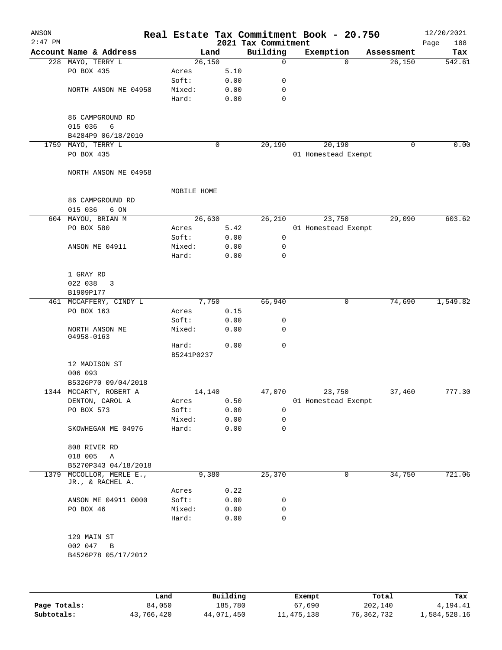| ANSON<br>$2:47$ PM |                        |             |      | 2021 Tax Commitment | Real Estate Tax Commitment Book - 20.750 |            | 12/20/2021<br>188<br>Page |
|--------------------|------------------------|-------------|------|---------------------|------------------------------------------|------------|---------------------------|
|                    | Account Name & Address | Land        |      | Building            | Exemption                                | Assessment | Tax                       |
|                    | 228 MAYO, TERRY L      | 26,150      |      | $\mathbf 0$         | $\Omega$                                 | 26,150     | 542.61                    |
|                    | PO BOX 435             | Acres       | 5.10 |                     |                                          |            |                           |
|                    |                        | Soft:       | 0.00 | 0                   |                                          |            |                           |
|                    | NORTH ANSON ME 04958   | Mixed:      | 0.00 | 0                   |                                          |            |                           |
|                    |                        | Hard:       | 0.00 | 0                   |                                          |            |                           |
|                    |                        |             |      |                     |                                          |            |                           |
|                    | 86 CAMPGROUND RD       |             |      |                     |                                          |            |                           |
|                    | 6                      |             |      |                     |                                          |            |                           |
|                    | 015 036                |             |      |                     |                                          |            |                           |
|                    | B4284P9 06/18/2010     |             |      |                     |                                          |            |                           |
| 1759               | MAYO, TERRY L          |             | 0    | 20,190              | 20,190                                   |            | $\mathbf 0$<br>0.00       |
|                    | PO BOX 435             |             |      |                     | 01 Homestead Exempt                      |            |                           |
|                    |                        |             |      |                     |                                          |            |                           |
|                    | NORTH ANSON ME 04958   |             |      |                     |                                          |            |                           |
|                    |                        |             |      |                     |                                          |            |                           |
|                    |                        | MOBILE HOME |      |                     |                                          |            |                           |
|                    | 86 CAMPGROUND RD       |             |      |                     |                                          |            |                           |
|                    | 015 036<br>6 ON        |             |      |                     |                                          |            |                           |
|                    | 604 MAYOU, BRIAN M     | 26,630      |      | 26,210              | 23,750                                   | 29,090     | 603.62                    |
|                    | PO BOX 580             | Acres       | 5.42 |                     | 01 Homestead Exempt                      |            |                           |
|                    |                        | Soft:       | 0.00 | $\mathbf 0$         |                                          |            |                           |
|                    | ANSON ME 04911         | Mixed:      | 0.00 | 0                   |                                          |            |                           |
|                    |                        | Hard:       | 0.00 | $\mathbf 0$         |                                          |            |                           |
|                    |                        |             |      |                     |                                          |            |                           |
|                    | 1 GRAY RD              |             |      |                     |                                          |            |                           |
|                    | 022 038<br>3           |             |      |                     |                                          |            |                           |
|                    | B1909P177              |             |      |                     |                                          |            |                           |
|                    | 461 MCCAFFERY, CINDY L | 7,750       |      | 66,940              | 0                                        | 74,690     | 1,549.82                  |
|                    | PO BOX 163             | Acres       | 0.15 |                     |                                          |            |                           |
|                    |                        | Soft:       | 0.00 | 0                   |                                          |            |                           |
|                    | NORTH ANSON ME         | Mixed:      | 0.00 | 0                   |                                          |            |                           |
|                    | 04958-0163             |             |      |                     |                                          |            |                           |
|                    |                        | Hard:       | 0.00 | $\mathbf 0$         |                                          |            |                           |
|                    |                        | B5241P0237  |      |                     |                                          |            |                           |
|                    | 12 MADISON ST          |             |      |                     |                                          |            |                           |
|                    | 006 093                |             |      |                     |                                          |            |                           |
|                    | B5326P70 09/04/2018    |             |      |                     |                                          |            |                           |
|                    | 1344 MCCARTY, ROBERT A | 14,140      |      | 47,070              | 23,750                                   | 37,460     | 777.30                    |
|                    | DENTON, CAROL A        | Acres       | 0.50 |                     | 01 Homestead Exempt                      |            |                           |
|                    | PO BOX 573             | Soft:       | 0.00 | 0                   |                                          |            |                           |
|                    |                        | Mixed:      | 0.00 | 0                   |                                          |            |                           |
|                    | SKOWHEGAN ME 04976     | Hard:       | 0.00 | $\mathbf 0$         |                                          |            |                           |
|                    |                        |             |      |                     |                                          |            |                           |
|                    | 808 RIVER RD           |             |      |                     |                                          |            |                           |
|                    | 018 005<br>Α           |             |      |                     |                                          |            |                           |
|                    | B5270P343 04/18/2018   |             |      |                     |                                          |            |                           |
| 1379               | MCCOLLOR, MERLE E.,    | 9,380       |      | 25,370              | 0                                        | 34,750     | 721.06                    |
|                    | JR., & RACHEL A.       |             |      |                     |                                          |            |                           |
|                    |                        | Acres       | 0.22 |                     |                                          |            |                           |
|                    | ANSON ME 04911 0000    | Soft:       | 0.00 | 0                   |                                          |            |                           |
|                    | PO BOX 46              | Mixed:      | 0.00 | 0                   |                                          |            |                           |
|                    |                        | Hard:       | 0.00 | $\mathbf 0$         |                                          |            |                           |
|                    |                        |             |      |                     |                                          |            |                           |
|                    | 129 MAIN ST            |             |      |                     |                                          |            |                           |
|                    | 002 047<br>B           |             |      |                     |                                          |            |                           |
|                    | B4526P78 05/17/2012    |             |      |                     |                                          |            |                           |
|                    |                        |             |      |                     |                                          |            |                           |
|                    |                        |             |      |                     |                                          |            |                           |
|                    |                        |             |      |                     |                                          |            |                           |
|                    |                        |             |      |                     |                                          |            |                           |

|              | Land       | Building   | Exempt     | Total      | Tax          |
|--------------|------------|------------|------------|------------|--------------|
| Page Totals: | 84,050     | 185,780    | 67,690     | 202,140    | 4,194.41     |
| Subtotals:   | 43,766,420 | 44,071,450 | 11,475,138 | 76,362,732 | 1,584,528.16 |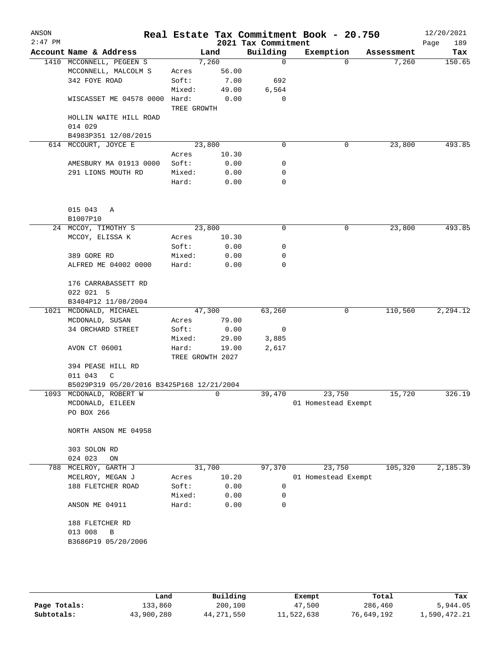| $2:47$ PM |                                           |                 |                  | 2021 Tax Commitment | Real Estate Tax Commitment Book - 20.750 |            | 12/20/2021<br>189<br>Page |
|-----------|-------------------------------------------|-----------------|------------------|---------------------|------------------------------------------|------------|---------------------------|
|           | Account Name & Address                    |                 | Land             | Building            | Exemption                                | Assessment | Tax                       |
|           | 1410 MCCONNELL, PEGEEN S                  |                 | 7,260            | $\mathbf 0$         | $\Omega$                                 | 7,260      | 150.65                    |
|           | MCCONNELL, MALCOLM S                      | Acres           | 56.00            |                     |                                          |            |                           |
|           | 342 FOYE ROAD                             | Soft:           | 7.00             | 692                 |                                          |            |                           |
|           |                                           | Mixed:          | 49.00            | 6,564               |                                          |            |                           |
|           | WISCASSET ME 04578 0000 Hard:             | TREE GROWTH     | 0.00             | 0                   |                                          |            |                           |
|           | HOLLIN WAITE HILL ROAD                    |                 |                  |                     |                                          |            |                           |
|           | 014 029                                   |                 |                  |                     |                                          |            |                           |
|           | B4983P351 12/08/2015                      |                 |                  |                     |                                          |            |                           |
|           | 614 MCCOURT, JOYCE E                      |                 | 23,800           | 0                   | 0                                        | 23,800     | 493.85                    |
|           |                                           | Acres           | 10.30            |                     |                                          |            |                           |
|           | AMESBURY MA 01913 0000                    | Soft:           | 0.00             | 0                   |                                          |            |                           |
|           | 291 LIONS MOUTH RD                        | Mixed:<br>Hard: | 0.00<br>0.00     | 0<br>0              |                                          |            |                           |
|           |                                           |                 |                  |                     |                                          |            |                           |
|           | 015 043<br>Α                              |                 |                  |                     |                                          |            |                           |
|           | B1007P10                                  |                 |                  |                     |                                          |            |                           |
|           | 24 MCCOY, TIMOTHY S                       |                 | 23,800           | 0                   | 0                                        | 23,800     | 493.85                    |
|           | MCCOY, ELISSA K                           | Acres           | 10.30            |                     |                                          |            |                           |
|           |                                           | Soft:           | 0.00             | 0                   |                                          |            |                           |
|           | 389 GORE RD                               | Mixed:          | 0.00             | 0                   |                                          |            |                           |
|           | ALFRED ME 04002 0000                      | Hard:           | 0.00             | 0                   |                                          |            |                           |
|           | 176 CARRABASSETT RD                       |                 |                  |                     |                                          |            |                           |
|           | 022 021 5                                 |                 |                  |                     |                                          |            |                           |
|           | B3404P12 11/08/2004                       |                 |                  |                     |                                          |            |                           |
|           | 1021 MCDONALD, MICHAEL                    |                 | 47,300           | 63,260              | 0                                        | 110,560    | 2,294.12                  |
|           | MCDONALD, SUSAN                           | Acres           | 79.00            |                     |                                          |            |                           |
|           | 34 ORCHARD STREET                         | Soft:           | 0.00             | 0                   |                                          |            |                           |
|           |                                           | Mixed:          | 29.00            | 3,885               |                                          |            |                           |
|           | AVON CT 06001                             | Hard:           | 19.00            | 2,617               |                                          |            |                           |
|           |                                           |                 | TREE GROWTH 2027 |                     |                                          |            |                           |
|           | 394 PEASE HILL RD                         |                 |                  |                     |                                          |            |                           |
|           | 011 043<br>C                              |                 |                  |                     |                                          |            |                           |
|           | B5029P319 05/20/2016 B3425P168 12/21/2004 |                 |                  |                     |                                          |            |                           |
|           | 1093 MCDONALD, ROBERT W                   |                 | 0                | 39,470              | 23,750                                   | 15,720     | 326.19                    |
|           | MCDONALD, EILEEN                          |                 |                  |                     | 01 Homestead Exempt                      |            |                           |
|           | PO BOX 266                                |                 |                  |                     |                                          |            |                           |
|           | NORTH ANSON ME 04958                      |                 |                  |                     |                                          |            |                           |
|           | 303 SOLON RD                              |                 |                  |                     |                                          |            |                           |
|           | 024 023<br>ON                             |                 |                  |                     |                                          |            |                           |
| 788       | MCELROY, GARTH J                          |                 | 31,700           | 97,370              | 23,750                                   | 105,320    | 2,185.39                  |
|           | MCELROY, MEGAN J                          | Acres           | 10.20            |                     | 01 Homestead Exempt                      |            |                           |
|           | 188 FLETCHER ROAD                         | Soft:           | 0.00             | 0                   |                                          |            |                           |
|           |                                           | Mixed:          | 0.00             | 0                   |                                          |            |                           |
|           | ANSON ME 04911                            | Hard:           | 0.00             | 0                   |                                          |            |                           |
|           | 188 FLETCHER RD                           |                 |                  |                     |                                          |            |                           |
|           | 013 008<br>B                              |                 |                  |                     |                                          |            |                           |
|           | B3686P19 05/20/2006                       |                 |                  |                     |                                          |            |                           |
|           |                                           |                 |                  |                     |                                          |            |                           |
|           |                                           |                 |                  |                     |                                          |            |                           |

|              | Land       | Building   | Exempt     | Total      | Tax          |
|--------------|------------|------------|------------|------------|--------------|
| Page Totals: | 133,860    | 200,100    | 47,500     | 286,460    | 5,944.05     |
| Subtotals:   | 43,900,280 | 44,271,550 | 11,522,638 | 76,649,192 | 1,590,472.21 |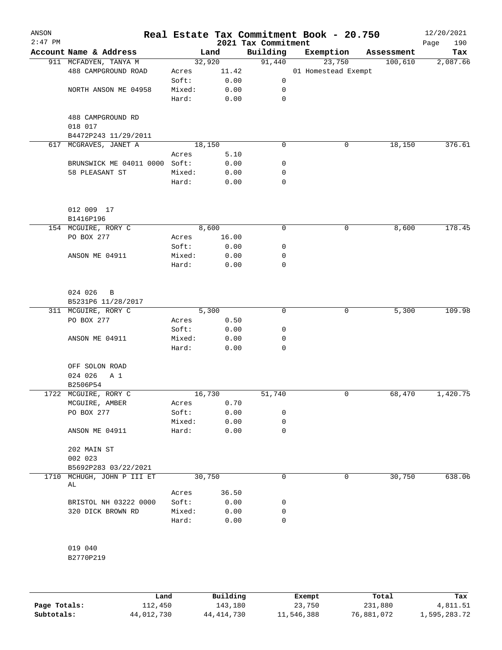| ANSON<br>$2:47$ PM |                               |                |              | 2021 Tax Commitment | Real Estate Tax Commitment Book - 20.750 |            | 12/20/2021<br>190<br>Page |
|--------------------|-------------------------------|----------------|--------------|---------------------|------------------------------------------|------------|---------------------------|
|                    | Account Name & Address        |                | Land         | Building            | Exemption                                | Assessment | Tax                       |
|                    | 911 MCFADYEN, TANYA M         |                | 32,920       | 91,440              | 23,750                                   | 100,610    | 2,087.66                  |
|                    | 488 CAMPGROUND ROAD           | Acres          | 11.42        |                     | 01 Homestead Exempt                      |            |                           |
|                    |                               | Soft:          | 0.00         | 0                   |                                          |            |                           |
|                    | NORTH ANSON ME 04958          | Mixed:         | 0.00         | 0                   |                                          |            |                           |
|                    |                               | Hard:          | 0.00         | $\mathbf 0$         |                                          |            |                           |
|                    | 488 CAMPGROUND RD             |                |              |                     |                                          |            |                           |
|                    | 018 017                       |                |              |                     |                                          |            |                           |
|                    | B4472P243 11/29/2011          |                |              |                     |                                          |            |                           |
|                    | 617 MCGRAVES, JANET A         |                | 18, 150      | 0                   | 0                                        | 18,150     | 376.61                    |
|                    |                               | Acres          | 5.10         |                     |                                          |            |                           |
|                    | BRUNSWICK ME 04011 0000 Soft: |                | 0.00         | 0                   |                                          |            |                           |
|                    | 58 PLEASANT ST                | Mixed:         | 0.00         | 0<br>0              |                                          |            |                           |
|                    |                               | Hard:          | 0.00         |                     |                                          |            |                           |
|                    | 012 009 17                    |                |              |                     |                                          |            |                           |
|                    | B1416P196                     |                |              |                     |                                          |            |                           |
|                    | 154 MCGUIRE, RORY C           |                | 8,600        | 0                   | 0                                        | 8,600      | 178.45                    |
|                    | PO BOX 277                    | Acres          | 16.00        |                     |                                          |            |                           |
|                    |                               | Soft:          | 0.00         | 0                   |                                          |            |                           |
|                    | ANSON ME 04911                | Mixed:         | 0.00         | 0                   |                                          |            |                           |
|                    |                               | Hard:          | 0.00         | 0                   |                                          |            |                           |
|                    | 024 026<br>B                  |                |              |                     |                                          |            |                           |
|                    | B5231P6 11/28/2017            |                |              |                     |                                          |            |                           |
|                    | 311 MCGUIRE, RORY C           | 5,300          |              | $\mathbf 0$         | 0                                        | 5,300      | 109.98                    |
|                    | PO BOX 277                    | Acres          | 0.50         |                     |                                          |            |                           |
|                    |                               | Soft:          | 0.00         | 0                   |                                          |            |                           |
|                    | ANSON ME 04911                | Mixed:         | 0.00         | 0                   |                                          |            |                           |
|                    |                               | Hard:          | 0.00         | 0                   |                                          |            |                           |
|                    | OFF SOLON ROAD                |                |              |                     |                                          |            |                           |
|                    | 024 026<br>A 1                |                |              |                     |                                          |            |                           |
|                    | B2506P54                      |                |              |                     |                                          |            |                           |
|                    | 1722 MCGUIRE, RORY C          |                | 16,730       | 51,740              | 0                                        | 68,470     | 1,420.75                  |
|                    | MCGUIRE, AMBER<br>PO BOX 277  | Acres<br>Soft: | 0.70<br>0.00 | 0                   |                                          |            |                           |
|                    |                               | Mixed:         | 0.00         | 0                   |                                          |            |                           |
|                    | ANSON ME 04911                | Hard:          | 0.00         | 0                   |                                          |            |                           |
|                    | 202 MAIN ST                   |                |              |                     |                                          |            |                           |
|                    | 002 023                       |                |              |                     |                                          |            |                           |
|                    | B5692P283 03/22/2021          |                |              |                     |                                          |            |                           |
| 1710               | MCHUGH, JOHN P III ET<br>AL   |                | 30,750       | 0                   | 0                                        | 30,750     | 638.06                    |
|                    |                               | Acres          | 36.50        |                     |                                          |            |                           |
|                    | BRISTOL NH 03222 0000         | Soft:          | 0.00         | 0                   |                                          |            |                           |
|                    | 320 DICK BROWN RD             | Mixed:         | 0.00         | 0                   |                                          |            |                           |
|                    |                               | Hard:          | 0.00         | 0                   |                                          |            |                           |
|                    | 019 040                       |                |              |                     |                                          |            |                           |
|                    | B2770P219                     |                |              |                     |                                          |            |                           |

|              | Land       | Building     | Exempt     | Total      | Tax          |
|--------------|------------|--------------|------------|------------|--------------|
| Page Totals: | 112,450    | 143,180      | 23,750     | 231,880    | 4,811.51     |
| Subtotals:   | 44,012,730 | 44, 414, 730 | 11,546,388 | 76,881,072 | 1,595,283.72 |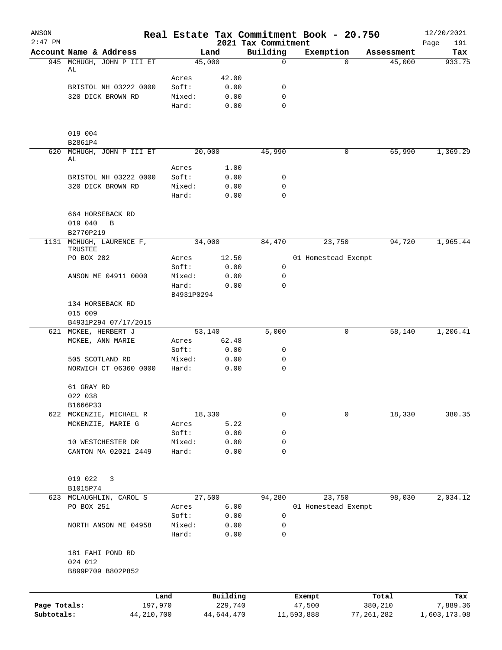| ANSON<br>$2:47$ PM |                                              |                 |                |                                 | Real Estate Tax Commitment Book - 20.750 |              | 12/20/2021         |
|--------------------|----------------------------------------------|-----------------|----------------|---------------------------------|------------------------------------------|--------------|--------------------|
|                    | Account Name & Address                       |                 | Land           | 2021 Tax Commitment<br>Building | Exemption                                | Assessment   | Page<br>191<br>Tax |
|                    | 945 MCHUGH, JOHN P III ET                    |                 | 45,000         | $\mathbf 0$                     | 0                                        | 45,000       | 933.75             |
|                    | AL                                           |                 |                |                                 |                                          |              |                    |
|                    | BRISTOL NH 03222 0000                        | Acres<br>Soft:  | 42.00<br>0.00  | 0                               |                                          |              |                    |
|                    | 320 DICK BROWN RD                            | Mixed:          | 0.00           | $\mathbf 0$                     |                                          |              |                    |
|                    |                                              | Hard:           | 0.00           | $\mathbf 0$                     |                                          |              |                    |
|                    | 019 004                                      |                 |                |                                 |                                          |              |                    |
|                    | B2861P4                                      |                 |                |                                 |                                          |              |                    |
| 620                | MCHUGH, JOHN P III ET<br>AL                  |                 | 20,000         | 45,990                          | 0                                        | 65,990       | 1,369.29           |
|                    |                                              | Acres           | 1.00           |                                 |                                          |              |                    |
|                    | BRISTOL NH 03222 0000                        | Soft:           | 0.00           | 0                               |                                          |              |                    |
|                    | 320 DICK BROWN RD                            | Mixed:          | 0.00           | 0                               |                                          |              |                    |
|                    |                                              | Hard:           | 0.00           | $\mathbf 0$                     |                                          |              |                    |
|                    | 664 HORSEBACK RD                             |                 |                |                                 |                                          |              |                    |
|                    | 019 040<br>B                                 |                 |                |                                 |                                          |              |                    |
|                    | B2770P219                                    |                 |                |                                 |                                          |              |                    |
|                    | 1131 MCHUGH, LAURENCE F,<br>TRUSTEE          |                 | 34,000         | 84,470                          | 23,750                                   | 94,720       | 1,965.44           |
|                    | PO BOX 282                                   | Acres           | 12.50          |                                 | 01 Homestead Exempt                      |              |                    |
|                    |                                              | Soft:           | 0.00           | 0                               |                                          |              |                    |
|                    | ANSON ME 04911 0000                          | Mixed:<br>Hard: | 0.00<br>0.00   | 0<br>$\mathbf 0$                |                                          |              |                    |
|                    |                                              | B4931P0294      |                |                                 |                                          |              |                    |
|                    | 134 HORSEBACK RD                             |                 |                |                                 |                                          |              |                    |
|                    | 015 009<br>B4931P294 07/17/2015              |                 |                |                                 |                                          |              |                    |
| 621                | MCKEE, HERBERT J                             |                 | 53,140         | 5,000                           | 0                                        | 58,140       | 1,206.41           |
|                    | MCKEE, ANN MARIE                             | Acres           | 62.48          |                                 |                                          |              |                    |
|                    |                                              | Soft:           | 0.00           | 0                               |                                          |              |                    |
|                    | 505 SCOTLAND RD                              | Mixed:          | 0.00           | 0                               |                                          |              |                    |
|                    | NORWICH CT 06360 0000                        | Hard:           | 0.00           | $\mathbf 0$                     |                                          |              |                    |
|                    | 61 GRAY RD                                   |                 |                |                                 |                                          |              |                    |
|                    | 022 038                                      |                 |                |                                 |                                          |              |                    |
|                    | B1666P33                                     |                 |                |                                 |                                          |              |                    |
|                    | 622 MCKENZIE, MICHAEL R<br>MCKENZIE, MARIE G | Acres           | 18,330<br>5.22 | 0                               | 0                                        | 18,330       | 380.35             |
|                    |                                              | Soft:           | 0.00           | 0                               |                                          |              |                    |
|                    | 10 WESTCHESTER DR                            | Mixed:          | 0.00           | 0                               |                                          |              |                    |
|                    | CANTON MA 02021 2449                         | Hard:           | 0.00           | $\mathbf 0$                     |                                          |              |                    |
|                    | 019 022<br>3                                 |                 |                |                                 |                                          |              |                    |
|                    | B1015P74                                     |                 |                |                                 |                                          |              |                    |
|                    | 623 MCLAUGHLIN, CAROL S                      |                 | 27,500         | 94,280                          | 23,750                                   | 98,030       | 2,034.12           |
|                    | PO BOX 251                                   | Acres           | 6.00           |                                 | 01 Homestead Exempt                      |              |                    |
|                    |                                              | Soft:           | 0.00           | 0                               |                                          |              |                    |
|                    | NORTH ANSON ME 04958                         | Mixed:          | 0.00           | 0                               |                                          |              |                    |
|                    |                                              | Hard:           | 0.00           | 0                               |                                          |              |                    |
|                    | 181 FAHI POND RD                             |                 |                |                                 |                                          |              |                    |
|                    | 024 012<br>B899P709 B802P852                 |                 |                |                                 |                                          |              |                    |
|                    |                                              |                 |                |                                 |                                          |              |                    |
|                    | Land                                         |                 | Building       |                                 | Exempt                                   | Total        | Tax                |
| Page Totals:       | 197,970                                      |                 | 229,740        |                                 | 47,500                                   | 380,210      | 7,889.36           |
| Subtotals:         | 44, 210, 700                                 |                 | 44,644,470     |                                 | 11,593,888                               | 77, 261, 282 | 1,603,173.08       |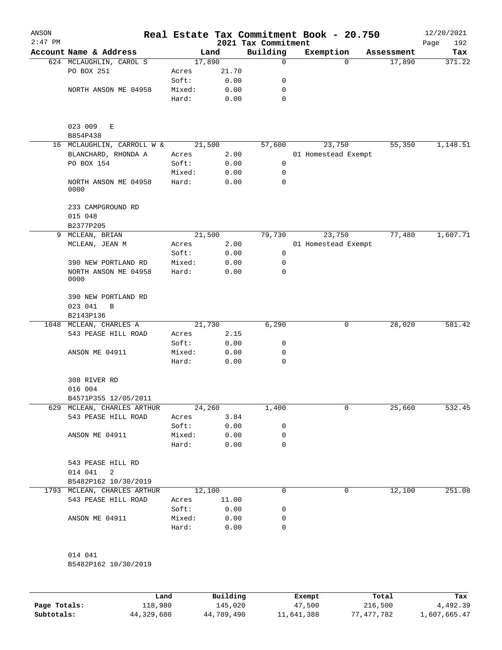| ANSON<br>$2:47$ PM |                                     |        |       | Real Estate Tax Commitment Book - 20.750<br>2021 Tax Commitment |                     |            | 12/20/2021<br>192<br>Page |
|--------------------|-------------------------------------|--------|-------|-----------------------------------------------------------------|---------------------|------------|---------------------------|
|                    | Account Name & Address              |        | Land  | Building                                                        | Exemption           | Assessment | Tax                       |
|                    | 624 MCLAUGHLIN, CAROL S             | 17,890 |       | 0                                                               | $\Omega$            | 17,890     | 371.22                    |
|                    | PO BOX 251                          | Acres  | 21.70 |                                                                 |                     |            |                           |
|                    |                                     | Soft:  | 0.00  | 0                                                               |                     |            |                           |
|                    | NORTH ANSON ME 04958                | Mixed: | 0.00  | 0                                                               |                     |            |                           |
|                    |                                     | Hard:  | 0.00  | 0                                                               |                     |            |                           |
|                    | 023 009<br>Е<br>B854P438            |        |       |                                                                 |                     |            |                           |
|                    | 16 MCLAUGHLIN, CARROLL W &          | 21,500 |       | 57,600                                                          | 23,750              | 55,350     | 1,148.51                  |
|                    | BLANCHARD, RHONDA A                 | Acres  | 2.00  |                                                                 | 01 Homestead Exempt |            |                           |
|                    | PO BOX 154                          | Soft:  | 0.00  | 0                                                               |                     |            |                           |
|                    |                                     | Mixed: | 0.00  | 0                                                               |                     |            |                           |
|                    | NORTH ANSON ME 04958<br>0000        | Hard:  | 0.00  | $\Omega$                                                        |                     |            |                           |
|                    | 233 CAMPGROUND RD<br>015 048        |        |       |                                                                 |                     |            |                           |
|                    | B2377P205                           |        |       |                                                                 |                     |            |                           |
| 9                  | MCLEAN, BRIAN                       | 21,500 |       | 79,730                                                          | 23,750              | 77,480     | 1,607.71                  |
|                    | MCLEAN, JEAN M                      | Acres  | 2.00  |                                                                 | 01 Homestead Exempt |            |                           |
|                    |                                     | Soft:  | 0.00  | 0                                                               |                     |            |                           |
|                    | 390 NEW PORTLAND RD                 | Mixed: | 0.00  | 0                                                               |                     |            |                           |
|                    | NORTH ANSON ME 04958<br>0000        | Hard:  | 0.00  | 0                                                               |                     |            |                           |
|                    | 390 NEW PORTLAND RD<br>023 041<br>B |        |       |                                                                 |                     |            |                           |
|                    | B2143P136                           |        |       |                                                                 |                     |            |                           |
| 1048               | MCLEAN, CHARLES A                   | 21,730 |       | 6,290                                                           | 0                   | 28,020     | 581.42                    |
|                    | 543 PEASE HILL ROAD                 | Acres  | 2.15  |                                                                 |                     |            |                           |
|                    |                                     | Soft:  | 0.00  | 0                                                               |                     |            |                           |
|                    | ANSON ME 04911                      | Mixed: | 0.00  | 0                                                               |                     |            |                           |
|                    |                                     | Hard:  | 0.00  | 0                                                               |                     |            |                           |
|                    | 308 RIVER RD<br>016 004             |        |       |                                                                 |                     |            |                           |
|                    | B4571P355 12/05/2011                |        |       |                                                                 |                     |            |                           |
| 629                | MCLEAN, CHARLES ARTHUR              | 24,260 |       | 1,400                                                           | 0                   | 25,660     | 532.45                    |
|                    | 543 PEASE HILL ROAD                 | Acres  | 3.84  |                                                                 |                     |            |                           |
|                    |                                     | Soft:  | 0.00  | 0                                                               |                     |            |                           |
|                    | ANSON ME 04911                      | Mixed: | 0.00  | 0                                                               |                     |            |                           |
|                    |                                     | Hard:  | 0.00  | 0                                                               |                     |            |                           |
|                    | 543 PEASE HILL RD                   |        |       |                                                                 |                     |            |                           |
|                    | 014 041<br>2                        |        |       |                                                                 |                     |            |                           |
|                    | B5482P162 10/30/2019                |        |       |                                                                 |                     |            |                           |
|                    | 1793 MCLEAN, CHARLES ARTHUR         | 12,100 |       | 0                                                               | 0                   | 12,100     | 251.08                    |
|                    | 543 PEASE HILL ROAD                 | Acres  | 11.00 |                                                                 |                     |            |                           |
|                    |                                     | Soft:  | 0.00  | 0                                                               |                     |            |                           |
|                    | ANSON ME 04911                      | Mixed: | 0.00  | 0                                                               |                     |            |                           |
|                    |                                     | Hard:  | 0.00  | 0                                                               |                     |            |                           |
|                    | 014 041                             |        |       |                                                                 |                     |            |                           |
|                    | B5482P162 10/30/2019                |        |       |                                                                 |                     |            |                           |
|                    |                                     |        |       |                                                                 |                     |            |                           |

|              | Land       | Building   | Exempt     | Total      | Tax          |
|--------------|------------|------------|------------|------------|--------------|
| Page Totals: | 118,980    | 145,020    | 47,500     | 216,500    | 4,492.39     |
| Subtotals:   | 44,329,680 | 44,789,490 | 11,641,388 | 77.477.782 | 1,607,665.47 |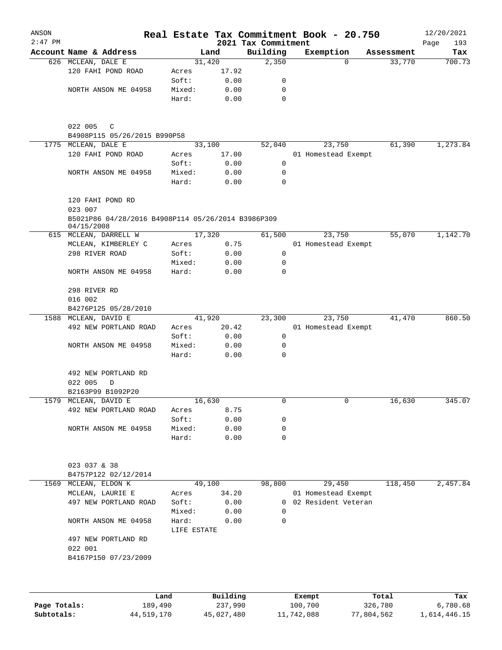| ANSON<br>$2:47$ PM |                                                                  |             |          | 2021 Tax Commitment | Real Estate Tax Commitment Book - 20.750 |          |            | 12/20/2021<br>193<br>Page |
|--------------------|------------------------------------------------------------------|-------------|----------|---------------------|------------------------------------------|----------|------------|---------------------------|
|                    | Account Name & Address                                           |             | Land     | Building            | Exemption                                |          | Assessment | Tax                       |
|                    | 626 MCLEAN, DALE E                                               |             | 31,420   | 2,350               |                                          | $\Omega$ | 33,770     | 700.73                    |
|                    | 120 FAHI POND ROAD                                               | Acres       | 17.92    |                     |                                          |          |            |                           |
|                    |                                                                  | Soft:       | 0.00     | 0                   |                                          |          |            |                           |
|                    | NORTH ANSON ME 04958                                             | Mixed:      | 0.00     | 0                   |                                          |          |            |                           |
|                    |                                                                  | Hard:       | 0.00     | 0                   |                                          |          |            |                           |
|                    | 022 005<br>$\mathbb{C}$                                          |             |          |                     |                                          |          |            |                           |
|                    | B4908P115 05/26/2015 B990P58                                     |             |          |                     |                                          |          |            |                           |
|                    | 1775 MCLEAN, DALE E                                              |             | 33,100   | 52,040              | 23,750                                   |          | 61,390     | 1,273.84                  |
|                    | 120 FAHI POND ROAD                                               | Acres       | 17.00    |                     | 01 Homestead Exempt                      |          |            |                           |
|                    |                                                                  | Soft:       | 0.00     | 0                   |                                          |          |            |                           |
|                    | NORTH ANSON ME 04958                                             | Mixed:      | 0.00     | 0                   |                                          |          |            |                           |
|                    |                                                                  | Hard:       | 0.00     | 0                   |                                          |          |            |                           |
|                    | 120 FAHI POND RD<br>023 007                                      |             |          |                     |                                          |          |            |                           |
|                    | B5021P86 04/28/2016 B4908P114 05/26/2014 B3986P309<br>04/15/2008 |             |          |                     |                                          |          |            |                           |
|                    | 615 MCLEAN, DARRELL W                                            |             | 17,320   | 61,500              | 23,750                                   |          | 55,070     | 1,142.70                  |
|                    | MCLEAN, KIMBERLEY C                                              | Acres       | 0.75     |                     | 01 Homestead Exempt                      |          |            |                           |
|                    | 298 RIVER ROAD                                                   | Soft:       | 0.00     | 0                   |                                          |          |            |                           |
|                    |                                                                  | Mixed:      | 0.00     | 0                   |                                          |          |            |                           |
|                    | NORTH ANSON ME 04958                                             | Hard:       | 0.00     | 0                   |                                          |          |            |                           |
|                    | 298 RIVER RD                                                     |             |          |                     |                                          |          |            |                           |
|                    | 016 002                                                          |             |          |                     |                                          |          |            |                           |
|                    | B4276P125 05/28/2010                                             |             |          |                     |                                          |          |            |                           |
|                    | 1588 MCLEAN, DAVID E                                             |             | 41,920   | 23,300              | 23,750                                   |          | 41,470     | 860.50                    |
|                    | 492 NEW PORTLAND ROAD                                            | Acres       | 20.42    |                     | 01 Homestead Exempt                      |          |            |                           |
|                    |                                                                  | Soft:       | 0.00     | 0                   |                                          |          |            |                           |
|                    | NORTH ANSON ME 04958                                             | Mixed:      | 0.00     | 0                   |                                          |          |            |                           |
|                    |                                                                  | Hard:       | 0.00     | 0                   |                                          |          |            |                           |
|                    | 492 NEW PORTLAND RD                                              |             |          |                     |                                          |          |            |                           |
|                    | 022 005<br>D                                                     |             |          |                     |                                          |          |            |                           |
|                    | B2163P99 B1092P20                                                |             |          |                     |                                          |          |            |                           |
|                    | 1579 MCLEAN, DAVID E                                             |             | 16,630   | 0                   |                                          | 0        | 16,630     | 345.07                    |
|                    | 492 NEW PORTLAND ROAD                                            | Acres       | 8.75     |                     |                                          |          |            |                           |
|                    |                                                                  | Soft:       | 0.00     | 0                   |                                          |          |            |                           |
|                    | NORTH ANSON ME 04958                                             | Mixed:      | 0.00     | 0                   |                                          |          |            |                           |
|                    |                                                                  | Hard:       | 0.00     | $\mathbf 0$         |                                          |          |            |                           |
|                    | 023 037 & 38                                                     |             |          |                     |                                          |          |            |                           |
|                    | B4757P122 02/12/2014                                             |             |          |                     |                                          |          |            |                           |
| 1569               | MCLEAN, ELDON K                                                  |             | 49,100   | 98,800              | 29,450                                   |          | 118,450    | 2,457.84                  |
|                    | MCLEAN, LAURIE E                                                 | Acres       | 34.20    |                     | 01 Homestead Exempt                      |          |            |                           |
|                    | 497 NEW PORTLAND ROAD                                            | Soft:       | 0.00     | 0                   | 02 Resident Veteran                      |          |            |                           |
|                    |                                                                  | Mixed:      | 0.00     | 0                   |                                          |          |            |                           |
|                    | NORTH ANSON ME 04958                                             | Hard:       | 0.00     | 0                   |                                          |          |            |                           |
|                    | 497 NEW PORTLAND RD                                              | LIFE ESTATE |          |                     |                                          |          |            |                           |
|                    | 022 001<br>B4167P150 07/23/2009                                  |             |          |                     |                                          |          |            |                           |
|                    |                                                                  |             |          |                     |                                          |          |            |                           |
|                    |                                                                  | Land        | Building |                     | Exempt                                   |          | Total      | Tax                       |
| Page Totals:       | 189,490                                                          |             | 237,990  |                     | 100,700                                  |          | 326,780    | 6,780.68                  |

**Subtotals:** 44,519,170 45,027,480 11,742,088 77,804,562 1,614,446.15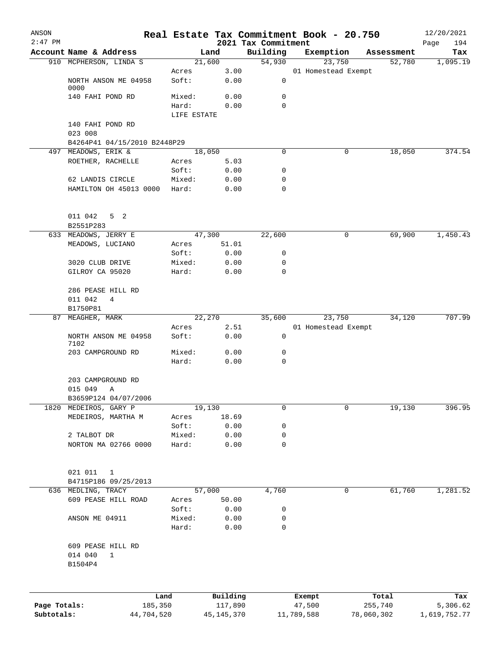| ANSON        |                                        |                 |             |              |                                 | Real Estate Tax Commitment Book - 20.750 |                      | 12/20/2021      |
|--------------|----------------------------------------|-----------------|-------------|--------------|---------------------------------|------------------------------------------|----------------------|-----------------|
| $2:47$ PM    | Account Name & Address                 |                 | Land        |              | 2021 Tax Commitment<br>Building |                                          |                      | Page<br>194     |
|              | 910 MCPHERSON, LINDA S                 |                 | 21,600      |              | 54,930                          | Exemption<br>23,750                      | Assessment<br>52,780 | Tax<br>1,095.19 |
|              |                                        | Acres           |             | 3.00         |                                 | 01 Homestead Exempt                      |                      |                 |
|              | NORTH ANSON ME 04958<br>0000           | Soft:           |             | 0.00         | 0                               |                                          |                      |                 |
|              | 140 FAHI POND RD                       | Mixed:          |             | 0.00         | 0                               |                                          |                      |                 |
|              |                                        | Hard:           |             | 0.00         | 0                               |                                          |                      |                 |
|              |                                        |                 | LIFE ESTATE |              |                                 |                                          |                      |                 |
|              | 140 FAHI POND RD                       |                 |             |              |                                 |                                          |                      |                 |
|              | 023 008                                |                 |             |              |                                 |                                          |                      |                 |
|              | B4264P41 04/15/2010 B2448P29           |                 |             |              |                                 |                                          |                      |                 |
|              | 497 MEADOWS, ERIK &                    |                 | 18,050      |              | 0                               | 0                                        | 18,050               | 374.54          |
|              | ROETHER, RACHELLE                      | Acres           |             | 5.03         |                                 |                                          |                      |                 |
|              |                                        | Soft:           |             | 0.00         | 0                               |                                          |                      |                 |
|              | 62 LANDIS CIRCLE                       | Mixed:          |             | 0.00         | 0                               |                                          |                      |                 |
|              | HAMILTON OH 45013 0000                 | Hard:           |             | 0.00         | 0                               |                                          |                      |                 |
|              | 011 042<br>5 <sub>2</sub><br>B2551P283 |                 |             |              |                                 |                                          |                      |                 |
| 633          | MEADOWS, JERRY E                       |                 | 47,300      |              | 22,600                          | 0                                        | 69,900               | 1,450.43        |
|              | MEADOWS, LUCIANO                       | Acres           |             | 51.01        |                                 |                                          |                      |                 |
|              |                                        | Soft:           |             | 0.00         | 0                               |                                          |                      |                 |
|              | 3020 CLUB DRIVE                        | Mixed:          |             | 0.00         | 0                               |                                          |                      |                 |
|              | GILROY CA 95020                        | Hard:           |             | 0.00         | 0                               |                                          |                      |                 |
|              |                                        |                 |             |              |                                 |                                          |                      |                 |
|              | 286 PEASE HILL RD                      |                 |             |              |                                 |                                          |                      |                 |
|              | 011 042<br>4                           |                 |             |              |                                 |                                          |                      |                 |
|              | B1750P81                               |                 |             |              |                                 |                                          |                      |                 |
|              | 87 MEAGHER, MARK                       |                 | 22,270      |              | 35,600                          | 23,750                                   | 34,120               | 707.99          |
|              |                                        | Acres           |             | 2.51         |                                 | 01 Homestead Exempt                      |                      |                 |
|              | NORTH ANSON ME 04958<br>7102           | Soft:           |             | 0.00         | 0                               |                                          |                      |                 |
|              | 203 CAMPGROUND RD                      | Mixed:          |             | 0.00         | 0                               |                                          |                      |                 |
|              |                                        | Hard:           |             | 0.00         | 0                               |                                          |                      |                 |
|              | 203 CAMPGROUND RD                      |                 |             |              |                                 |                                          |                      |                 |
|              | 015 049<br>Α                           |                 |             |              |                                 |                                          |                      |                 |
|              | B3659P124 04/07/2006                   |                 |             |              |                                 |                                          |                      |                 |
| 1820         | MEDEIROS, GARY P                       |                 | 19,130      |              | 0                               | 0                                        | 19,130               | 396.95          |
|              | MEDEIROS, MARTHA M                     | Acres           |             | 18.69        |                                 |                                          |                      |                 |
|              | 2 TALBOT DR                            | Soft:<br>Mixed: |             | 0.00<br>0.00 | 0<br>0                          |                                          |                      |                 |
|              | NORTON MA 02766 0000                   | Hard:           |             | 0.00         | $\mathbf 0$                     |                                          |                      |                 |
|              |                                        |                 |             |              |                                 |                                          |                      |                 |
|              | 021 011<br>$\mathbf{1}$                |                 |             |              |                                 |                                          |                      |                 |
|              | B4715P186 09/25/2013                   |                 |             |              |                                 |                                          |                      |                 |
|              | 636 MEDLING, TRACY                     |                 | 57,000      |              | 4,760                           | 0                                        | 61,760               | 1,281.52        |
|              | 609 PEASE HILL ROAD                    | Acres           |             | 50.00        |                                 |                                          |                      |                 |
|              |                                        | Soft:           |             | 0.00         | 0                               |                                          |                      |                 |
|              | ANSON ME 04911                         | Mixed:          |             | 0.00         | 0                               |                                          |                      |                 |
|              |                                        | Hard:           |             | 0.00         | 0                               |                                          |                      |                 |
|              | 609 PEASE HILL RD                      |                 |             |              |                                 |                                          |                      |                 |
|              | 014 040<br>$\mathbf{1}$                |                 |             |              |                                 |                                          |                      |                 |
|              | B1504P4                                |                 |             |              |                                 |                                          |                      |                 |
|              |                                        | Land            |             | Building     |                                 | Exempt                                   | Total                | Tax             |
| Page Totals: |                                        | 185,350         |             | 117,890      |                                 | 47,500                                   | 255,740              | 5,306.62        |
| Subtotals:   |                                        | 44,704,520      |             | 45, 145, 370 |                                 | 11,789,588                               | 78,060,302           | 1,619,752.77    |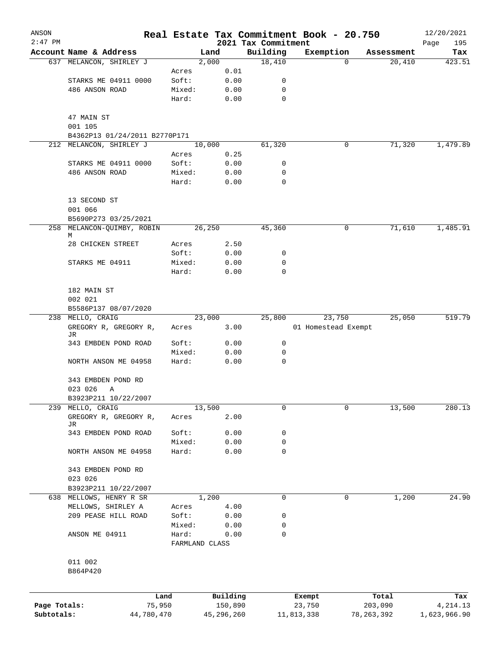| ANSON                      |                                       |                         |                       |                                 | Real Estate Tax Commitment Book - 20.750 |                         | 12/20/2021                |
|----------------------------|---------------------------------------|-------------------------|-----------------------|---------------------------------|------------------------------------------|-------------------------|---------------------------|
| $2:47$ PM                  | Account Name & Address                |                         | Land                  | 2021 Tax Commitment<br>Building | Exemption                                | Assessment              | Page<br>195<br>Tax        |
|                            | 637 MELANCON, SHIRLEY J               |                         | 2,000                 | 18,410                          | $\Omega$                                 | 20,410                  | 423.51                    |
|                            |                                       | Acres                   | 0.01                  |                                 |                                          |                         |                           |
|                            | STARKS ME 04911 0000                  | Soft:                   | 0.00                  | 0                               |                                          |                         |                           |
|                            | 486 ANSON ROAD                        | Mixed:                  | 0.00                  | 0                               |                                          |                         |                           |
|                            |                                       | Hard:                   | 0.00                  | 0                               |                                          |                         |                           |
|                            | 47 MAIN ST                            |                         |                       |                                 |                                          |                         |                           |
|                            | 001 105                               |                         |                       |                                 |                                          |                         |                           |
|                            | B4362P13 01/24/2011 B2770P171         |                         |                       |                                 |                                          |                         |                           |
| 212                        | MELANCON, SHIRLEY J                   |                         | 10,000                | 61,320                          | 0                                        | 71,320                  | 1,479.89                  |
|                            |                                       | Acres                   | 0.25                  |                                 |                                          |                         |                           |
|                            | STARKS ME 04911 0000                  | Soft:                   | 0.00                  | 0                               |                                          |                         |                           |
|                            | 486 ANSON ROAD                        | Mixed:                  | 0.00                  | 0                               |                                          |                         |                           |
|                            |                                       | Hard:                   | 0.00                  | 0                               |                                          |                         |                           |
|                            | 13 SECOND ST<br>001 066               |                         |                       |                                 |                                          |                         |                           |
|                            | B5690P273 03/25/2021                  |                         |                       |                                 |                                          |                         |                           |
|                            | 258 MELANCON-QUIMBY, ROBIN            |                         | 26,250                | 45,360                          | 0                                        | 71,610                  | 1,485.91                  |
|                            | М<br>28 CHICKEN STREET                | Acres                   | 2.50                  |                                 |                                          |                         |                           |
|                            |                                       | Soft:                   | 0.00                  | 0                               |                                          |                         |                           |
|                            | STARKS ME 04911                       | Mixed:                  | 0.00                  | 0                               |                                          |                         |                           |
|                            |                                       | Hard:                   | 0.00                  | 0                               |                                          |                         |                           |
|                            | 182 MAIN ST                           |                         |                       |                                 |                                          |                         |                           |
|                            | 002 021                               |                         |                       |                                 |                                          |                         |                           |
|                            | B5586P137 08/07/2020                  |                         |                       |                                 |                                          |                         |                           |
| 238                        | MELLO, CRAIG                          |                         | 23,000                | 25,800                          | 23,750                                   | 25,050                  | 519.79                    |
|                            | GREGORY R, GREGORY R,<br>JR           | Acres                   | 3.00                  |                                 | 01 Homestead Exempt                      |                         |                           |
|                            | 343 EMBDEN POND ROAD                  | Soft:                   | 0.00                  | 0                               |                                          |                         |                           |
|                            |                                       | Mixed:                  | 0.00                  | 0                               |                                          |                         |                           |
|                            | NORTH ANSON ME 04958                  | Hard:                   | 0.00                  | 0                               |                                          |                         |                           |
|                            | 343 EMBDEN POND RD                    |                         |                       |                                 |                                          |                         |                           |
|                            | 023 026<br>Α                          |                         |                       |                                 |                                          |                         |                           |
|                            | B3923P211 10/22/2007                  |                         |                       |                                 |                                          |                         |                           |
| 239                        | MELLO, CRAIG<br>GREGORY R, GREGORY R, | Acres                   | 13,500<br>2.00        | 0                               | 0                                        | 13,500                  | 280.13                    |
|                            | JR<br>343 EMBDEN POND ROAD            | Soft:                   | 0.00                  | 0                               |                                          |                         |                           |
|                            |                                       | Mixed:                  | 0.00                  | 0                               |                                          |                         |                           |
|                            | NORTH ANSON ME 04958                  | Hard:                   | 0.00                  | $\mathbf 0$                     |                                          |                         |                           |
|                            | 343 EMBDEN POND RD                    |                         |                       |                                 |                                          |                         |                           |
|                            | 023 026                               |                         |                       |                                 |                                          |                         |                           |
|                            | B3923P211 10/22/2007                  |                         |                       |                                 |                                          |                         |                           |
|                            | 638 MELLOWS, HENRY R SR               |                         | 1,200                 | 0                               | 0                                        | 1,200                   | 24.90                     |
|                            | MELLOWS, SHIRLEY A                    | Acres                   | 4.00                  |                                 |                                          |                         |                           |
|                            | 209 PEASE HILL ROAD                   | Soft:                   | 0.00                  | 0                               |                                          |                         |                           |
|                            |                                       | Mixed:                  | 0.00                  | 0                               |                                          |                         |                           |
|                            | ANSON ME 04911                        | Hard:<br>FARMLAND CLASS | 0.00                  | $\mathbf 0$                     |                                          |                         |                           |
|                            | 011 002                               |                         |                       |                                 |                                          |                         |                           |
|                            | B864P420                              |                         |                       |                                 |                                          |                         |                           |
|                            |                                       |                         |                       |                                 |                                          |                         |                           |
|                            | Land                                  |                         | Building              |                                 | Exempt                                   | Total                   | Tax                       |
| Page Totals:<br>Subtotals: | 75,950<br>44,780,470                  |                         | 150,890<br>45,296,260 |                                 | 23,750<br>11,813,338                     | 203,090<br>78, 263, 392 | 4, 214.13<br>1,623,966.90 |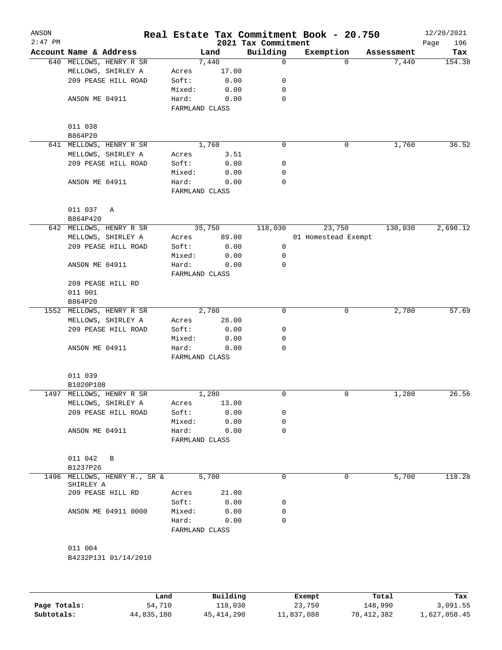| ANSON<br>$2:47$ PM |                                      |                         |          |                                 | Real Estate Tax Commitment Book - 20.750 |                      | 12/20/2021         |
|--------------------|--------------------------------------|-------------------------|----------|---------------------------------|------------------------------------------|----------------------|--------------------|
|                    | Account Name & Address               |                         | Land     | 2021 Tax Commitment<br>Building | Exemption                                | Assessment           | 196<br>Page<br>Tax |
|                    | 640 MELLOWS, HENRY R SR              |                         | 7,440    | $\mathbf 0$                     |                                          | 7,440<br>$\Omega$    | 154.38             |
|                    | MELLOWS, SHIRLEY A                   | Acres                   | 17.00    |                                 |                                          |                      |                    |
|                    | 209 PEASE HILL ROAD                  | Soft:                   | 0.00     | 0                               |                                          |                      |                    |
|                    |                                      | Mixed:                  | 0.00     | 0                               |                                          |                      |                    |
|                    | ANSON ME 04911                       | Hard:                   | 0.00     | $\mathbf 0$                     |                                          |                      |                    |
|                    |                                      | FARMLAND CLASS          |          |                                 |                                          |                      |                    |
|                    | 011 038                              |                         |          |                                 |                                          |                      |                    |
|                    | B864P20                              |                         |          |                                 |                                          |                      |                    |
|                    | 641 MELLOWS, HENRY R SR              |                         | 1,760    | 0                               |                                          | 1,760<br>0           | 36.52              |
|                    | MELLOWS, SHIRLEY A                   | Acres                   | 3.51     |                                 |                                          |                      |                    |
|                    | 209 PEASE HILL ROAD                  | Soft:                   | 0.00     | 0                               |                                          |                      |                    |
|                    |                                      |                         | 0.00     | 0                               |                                          |                      |                    |
|                    |                                      | Mixed:                  |          |                                 |                                          |                      |                    |
|                    | ANSON ME 04911                       | Hard:<br>FARMLAND CLASS | 0.00     | 0                               |                                          |                      |                    |
|                    |                                      |                         |          |                                 |                                          |                      |                    |
|                    | 011 037<br>Α<br>B864P420             |                         |          |                                 |                                          |                      |                    |
|                    | 642 MELLOWS, HENRY R SR              |                         | 35,750   | 118,030                         | 23,750                                   | 130,030              | 2,698.12           |
|                    | MELLOWS, SHIRLEY A                   | Acres                   | 89.00    |                                 | 01 Homestead Exempt                      |                      |                    |
|                    | 209 PEASE HILL ROAD                  | Soft:                   | 0.00     | 0                               |                                          |                      |                    |
|                    |                                      | Mixed:                  | 0.00     | 0                               |                                          |                      |                    |
|                    | ANSON ME 04911                       | Hard:                   | 0.00     | 0                               |                                          |                      |                    |
|                    |                                      | FARMLAND CLASS          |          |                                 |                                          |                      |                    |
|                    | 209 PEASE HILL RD                    |                         |          |                                 |                                          |                      |                    |
|                    | 011 001                              |                         |          |                                 |                                          |                      |                    |
|                    | B864P20                              |                         |          |                                 |                                          |                      |                    |
|                    | 1552 MELLOWS, HENRY R SR             |                         | 2,780    | $\mathbf 0$                     |                                          | $\mathbf 0$<br>2,780 | 57.69              |
|                    | MELLOWS, SHIRLEY A                   | Acres                   | 28.00    |                                 |                                          |                      |                    |
|                    | 209 PEASE HILL ROAD                  | Soft:                   | 0.00     | 0                               |                                          |                      |                    |
|                    |                                      |                         |          | 0                               |                                          |                      |                    |
|                    |                                      | Mixed:<br>Hard:         | 0.00     | 0                               |                                          |                      |                    |
|                    | ANSON ME 04911                       | FARMLAND CLASS          | 0.00     |                                 |                                          |                      |                    |
|                    | 011 039                              |                         |          |                                 |                                          |                      |                    |
|                    | B1020P108                            |                         |          |                                 |                                          |                      |                    |
|                    | 1497 MELLOWS, HENRY R SR             |                         | 1,280    | 0                               |                                          | 1,280<br>0           | 26.56              |
|                    |                                      |                         |          |                                 |                                          |                      |                    |
|                    | MELLOWS, SHIRLEY A                   | Acres                   | 13.00    |                                 |                                          |                      |                    |
|                    | 209 PEASE HILL ROAD                  | Soft:                   | 0.00     | 0                               |                                          |                      |                    |
|                    |                                      | Mixed:                  | 0.00     | $\mathbf 0$                     |                                          |                      |                    |
|                    | ANSON ME 04911                       | Hard:<br>FARMLAND CLASS | 0.00     | $\mathbf 0$                     |                                          |                      |                    |
|                    |                                      |                         |          |                                 |                                          |                      |                    |
|                    | 011 042<br>B                         |                         |          |                                 |                                          |                      |                    |
|                    | B1237P26                             |                         |          |                                 |                                          |                      |                    |
| 1496               | MELLOWS, HENRY R., SR &<br>SHIRLEY A |                         | 5,700    | $\mathbf 0$                     |                                          | 5,700<br>0           | 118.28             |
|                    | 209 PEASE HILL RD                    | Acres                   | 21.00    |                                 |                                          |                      |                    |
|                    |                                      | Soft:                   | 0.00     | 0                               |                                          |                      |                    |
|                    | ANSON ME 04911 0000                  | Mixed:                  | 0.00     | $\mathbf 0$                     |                                          |                      |                    |
|                    |                                      | Hard:                   | 0.00     | $\mathbf 0$                     |                                          |                      |                    |
|                    |                                      | FARMLAND CLASS          |          |                                 |                                          |                      |                    |
|                    | 011 004                              |                         |          |                                 |                                          |                      |                    |
|                    | B4232P131 01/14/2010                 |                         |          |                                 |                                          |                      |                    |
|                    |                                      |                         |          |                                 |                                          |                      |                    |
|                    |                                      |                         |          |                                 |                                          |                      |                    |
|                    | Land                                 |                         | Building |                                 | Exempt                                   | Total                | Tax                |

|              | Land.      | Building     | Exempt     | Total      | тах          |
|--------------|------------|--------------|------------|------------|--------------|
| Page Totals: | 54,710     | 118,030      | 23,750     | 148,990    | 3,091.55     |
| Subtotals:   | 44,835,180 | 45, 414, 290 | 11,837,088 | 78,412,382 | 1,627,058.45 |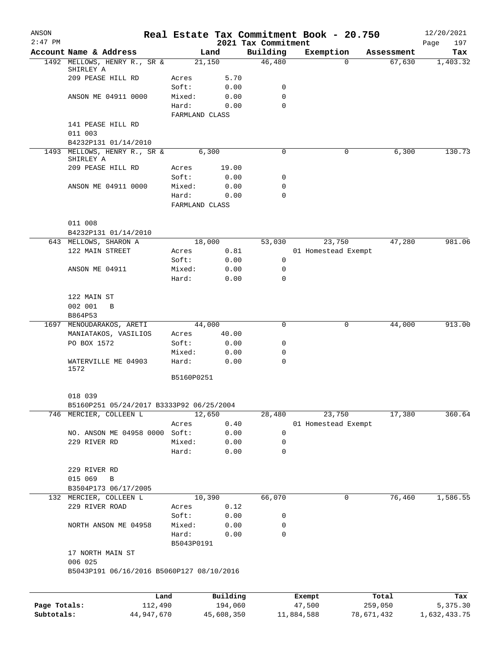| ANSON<br>$2:47$ PM         |                                                                    |                         |                       | 2021 Tax Commitment | Real Estate Tax Commitment Book - 20.750 |            |            | 12/20/2021<br>197<br>Page |
|----------------------------|--------------------------------------------------------------------|-------------------------|-----------------------|---------------------|------------------------------------------|------------|------------|---------------------------|
|                            | Account Name & Address                                             |                         | Land                  | Building            | Exemption                                |            | Assessment | Tax                       |
|                            | 1492 MELLOWS, HENRY R., SR &                                       | 21,150                  |                       | 46,480              |                                          | $\Omega$   | 67,630     | 1,403.32                  |
|                            | SHIRLEY A                                                          |                         |                       |                     |                                          |            |            |                           |
|                            | 209 PEASE HILL RD                                                  | Acres<br>Soft:          | 5.70                  |                     |                                          |            |            |                           |
|                            | ANSON ME 04911 0000                                                | Mixed:                  | 0.00<br>0.00          | 0<br>$\mathbf 0$    |                                          |            |            |                           |
|                            |                                                                    | Hard:                   | 0.00                  | $\Omega$            |                                          |            |            |                           |
|                            |                                                                    | FARMLAND CLASS          |                       |                     |                                          |            |            |                           |
|                            | 141 PEASE HILL RD                                                  |                         |                       |                     |                                          |            |            |                           |
|                            | 011 003                                                            |                         |                       |                     |                                          |            |            |                           |
|                            | B4232P131 01/14/2010                                               |                         |                       |                     |                                          |            |            |                           |
|                            | 1493 MELLOWS, HENRY R., SR &                                       |                         | 6,300                 | 0                   |                                          | 0          | 6,300      | 130.73                    |
|                            | SHIRLEY A                                                          |                         |                       |                     |                                          |            |            |                           |
|                            | 209 PEASE HILL RD                                                  | Acres                   | 19.00                 |                     |                                          |            |            |                           |
|                            |                                                                    | Soft:                   | 0.00                  | 0                   |                                          |            |            |                           |
|                            | ANSON ME 04911 0000                                                | Mixed:                  | 0.00                  | 0                   |                                          |            |            |                           |
|                            |                                                                    | Hard:<br>FARMLAND CLASS | 0.00                  | $\Omega$            |                                          |            |            |                           |
|                            |                                                                    |                         |                       |                     |                                          |            |            |                           |
|                            | 011 008                                                            |                         |                       |                     |                                          |            |            |                           |
|                            | B4232P131 01/14/2010                                               |                         |                       |                     |                                          |            |            |                           |
|                            | 643 MELLOWS, SHARON A                                              |                         | 18,000                | 53,030              | 23,750                                   |            | 47,280     | 981.06                    |
|                            | 122 MAIN STREET                                                    | Acres                   | 0.81                  |                     | 01 Homestead Exempt                      |            |            |                           |
|                            |                                                                    | Soft:                   | 0.00                  | 0                   |                                          |            |            |                           |
|                            | ANSON ME 04911                                                     | Mixed:                  | 0.00                  | $\mathbf 0$         |                                          |            |            |                           |
|                            |                                                                    | Hard:                   | 0.00                  | $\Omega$            |                                          |            |            |                           |
|                            |                                                                    |                         |                       |                     |                                          |            |            |                           |
|                            | 122 MAIN ST                                                        |                         |                       |                     |                                          |            |            |                           |
|                            | 002 001<br>B<br>B864P53                                            |                         |                       |                     |                                          |            |            |                           |
|                            | 1697 MENOUDARAKOS, ARETI                                           | 44,000                  |                       | 0                   |                                          | 0          | 44,000     | 913.00                    |
|                            | MANIATAKOS, VASILIOS                                               | Acres                   | 40.00                 |                     |                                          |            |            |                           |
|                            | PO BOX 1572                                                        | Soft:                   | 0.00                  | 0                   |                                          |            |            |                           |
|                            |                                                                    | Mixed:                  | 0.00                  | 0                   |                                          |            |            |                           |
|                            | WATERVILLE ME 04903                                                | Hard:                   | 0.00                  | 0                   |                                          |            |            |                           |
|                            | 1572                                                               |                         |                       |                     |                                          |            |            |                           |
|                            |                                                                    | B5160P0251              |                       |                     |                                          |            |            |                           |
|                            |                                                                    |                         |                       |                     |                                          |            |            |                           |
|                            | 018 039                                                            |                         |                       |                     |                                          |            |            |                           |
|                            | B5160P251 05/24/2017 B3333P92 06/25/2004<br>746 MERCIER, COLLEEN L | 12,650                  |                       | 28,480              | 23,750                                   |            | 17,380     | 360.64                    |
|                            |                                                                    | Acres                   | 0.40                  |                     | 01 Homestead Exempt                      |            |            |                           |
|                            | NO. ANSON ME 04958 0000 Soft:                                      |                         | 0.00                  | 0                   |                                          |            |            |                           |
|                            | 229 RIVER RD                                                       | Mixed:                  | 0.00                  | 0                   |                                          |            |            |                           |
|                            |                                                                    | Hard:                   | 0.00                  | $\mathbf 0$         |                                          |            |            |                           |
|                            |                                                                    |                         |                       |                     |                                          |            |            |                           |
|                            | 229 RIVER RD                                                       |                         |                       |                     |                                          |            |            |                           |
|                            | 015 069<br>В                                                       |                         |                       |                     |                                          |            |            |                           |
|                            | B3504P173 06/17/2005                                               |                         |                       |                     |                                          |            |            |                           |
|                            | 132 MERCIER, COLLEEN L                                             | 10,390                  |                       | 66,070              |                                          | 0          | 76,460     | 1,586.55                  |
|                            | 229 RIVER ROAD                                                     | Acres                   | 0.12                  |                     |                                          |            |            |                           |
|                            |                                                                    | Soft:                   | 0.00                  | 0                   |                                          |            |            |                           |
|                            | NORTH ANSON ME 04958                                               | Mixed:                  | 0.00                  | 0                   |                                          |            |            |                           |
|                            |                                                                    | Hard:                   | 0.00                  | 0                   |                                          |            |            |                           |
|                            |                                                                    | B5043P0191              |                       |                     |                                          |            |            |                           |
|                            | 17 NORTH MAIN ST                                                   |                         |                       |                     |                                          |            |            |                           |
|                            | 006 025                                                            |                         |                       |                     |                                          |            |            |                           |
|                            | B5043P191 06/16/2016 B5060P127 08/10/2016                          |                         |                       |                     |                                          |            |            |                           |
|                            |                                                                    |                         |                       |                     |                                          |            |            |                           |
|                            | Land                                                               |                         | Building              |                     | Exempt                                   |            | Total      | Tax                       |
| Page Totals:<br>Subtotals: | 112,490<br>44,947,670                                              |                         | 194,060<br>45,608,350 |                     | 47,500<br>11,884,588                     | 78,671,432 | 259,050    | 5,375.30<br>1,632,433.75  |
|                            |                                                                    |                         |                       |                     |                                          |            |            |                           |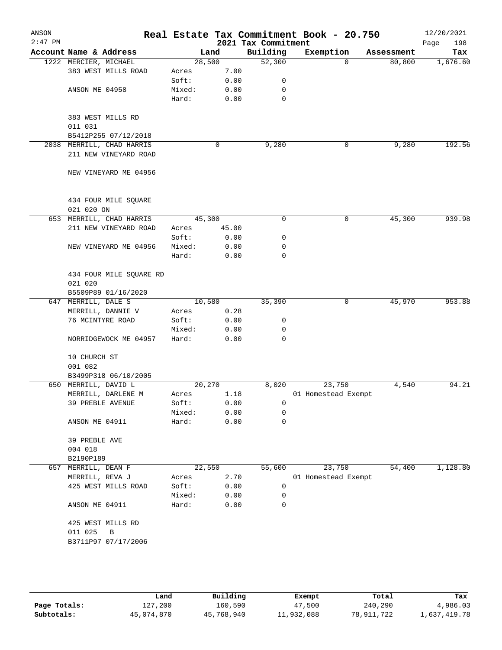| ANSON     |                           |        |       |                                 | Real Estate Tax Commitment Book - 20.750 |            | 12/20/2021         |
|-----------|---------------------------|--------|-------|---------------------------------|------------------------------------------|------------|--------------------|
| $2:47$ PM | Account Name & Address    | Land   |       | 2021 Tax Commitment<br>Building | Exemption                                | Assessment | 198<br>Page<br>Tax |
|           | 1222 MERCIER, MICHAEL     | 28,500 |       | 52,300                          | $\Omega$                                 | 80,800     | 1,676.60           |
|           | 383 WEST MILLS ROAD       | Acres  | 7.00  |                                 |                                          |            |                    |
|           |                           | Soft:  | 0.00  | 0                               |                                          |            |                    |
|           | ANSON ME 04958            | Mixed: | 0.00  | $\mathbf 0$                     |                                          |            |                    |
|           |                           | Hard:  | 0.00  | 0                               |                                          |            |                    |
|           |                           |        |       |                                 |                                          |            |                    |
|           |                           |        |       |                                 |                                          |            |                    |
|           | 383 WEST MILLS RD         |        |       |                                 |                                          |            |                    |
|           | 011 031                   |        |       |                                 |                                          |            |                    |
|           | B5412P255 07/12/2018      |        |       |                                 |                                          |            |                    |
|           | 2038 MERRILL, CHAD HARRIS |        | 0     | 9,280                           | 0                                        | 9,280      | 192.56             |
|           | 211 NEW VINEYARD ROAD     |        |       |                                 |                                          |            |                    |
|           |                           |        |       |                                 |                                          |            |                    |
|           | NEW VINEYARD ME 04956     |        |       |                                 |                                          |            |                    |
|           | 434 FOUR MILE SQUARE      |        |       |                                 |                                          |            |                    |
|           | 021 020 ON                |        |       |                                 |                                          |            |                    |
|           | 653 MERRILL, CHAD HARRIS  | 45,300 |       | $\mathbf 0$                     | $\mathbf 0$                              | 45,300     | 939.98             |
|           | 211 NEW VINEYARD ROAD     | Acres  | 45.00 |                                 |                                          |            |                    |
|           |                           | Soft:  | 0.00  | 0                               |                                          |            |                    |
|           | NEW VINEYARD ME 04956     | Mixed: | 0.00  | 0                               |                                          |            |                    |
|           |                           | Hard:  | 0.00  | 0                               |                                          |            |                    |
|           |                           |        |       |                                 |                                          |            |                    |
|           | 434 FOUR MILE SQUARE RD   |        |       |                                 |                                          |            |                    |
|           | 021 020                   |        |       |                                 |                                          |            |                    |
|           | B5509P89 01/16/2020       |        |       |                                 |                                          |            |                    |
| 647       | MERRILL, DALE S           | 10,580 |       | 35,390                          | 0                                        | 45,970     | 953.88             |
|           | MERRILL, DANNIE V         | Acres  | 0.28  |                                 |                                          |            |                    |
|           | 76 MCINTYRE ROAD          | Soft:  | 0.00  | 0                               |                                          |            |                    |
|           |                           | Mixed: | 0.00  | 0                               |                                          |            |                    |
|           | NORRIDGEWOCK ME 04957     | Hard:  | 0.00  | $\Omega$                        |                                          |            |                    |
|           |                           |        |       |                                 |                                          |            |                    |
|           | 10 CHURCH ST              |        |       |                                 |                                          |            |                    |
|           | 001 082                   |        |       |                                 |                                          |            |                    |
|           | B3499P318 06/10/2005      |        |       |                                 |                                          |            |                    |
|           | 650 MERRILL, DAVID L      | 20,270 |       | 8,020                           | 23,750                                   | 4,540      | 94.21              |
|           | MERRILL, DARLENE M        | Acres  | 1.18  |                                 | 01 Homestead Exempt                      |            |                    |
|           | 39 PREBLE AVENUE          | Soft:  | 0.00  | 0                               |                                          |            |                    |
|           |                           | Mixed: | 0.00  | 0                               |                                          |            |                    |
|           | ANSON ME 04911            | Hard:  | 0.00  | 0                               |                                          |            |                    |
|           | 39 PREBLE AVE             |        |       |                                 |                                          |            |                    |
|           | 004 018                   |        |       |                                 |                                          |            |                    |
|           | B2190P189                 |        |       |                                 |                                          |            |                    |
|           | 657 MERRILL, DEAN F       | 22,550 |       | 55,600                          | 23,750                                   | 54,400     | 1,128.80           |
|           | MERRILL, REVA J           | Acres  | 2.70  |                                 | 01 Homestead Exempt                      |            |                    |
|           | 425 WEST MILLS ROAD       | Soft:  | 0.00  | 0                               |                                          |            |                    |
|           |                           | Mixed: | 0.00  | 0                               |                                          |            |                    |
|           | ANSON ME 04911            | Hard:  | 0.00  | 0                               |                                          |            |                    |
|           |                           |        |       |                                 |                                          |            |                    |
|           | 425 WEST MILLS RD         |        |       |                                 |                                          |            |                    |
|           | 011 025<br>В              |        |       |                                 |                                          |            |                    |
|           | B3711P97 07/17/2006       |        |       |                                 |                                          |            |                    |
|           |                           |        |       |                                 |                                          |            |                    |
|           |                           |        |       |                                 |                                          |            |                    |

|              | Land       | Building   | Exempt     | Total      | Tax          |
|--------------|------------|------------|------------|------------|--------------|
| Page Totals: | 127,200    | 160,590    | 47,500     | 240,290    | 4,986.03     |
| Subtotals:   | 45,074,870 | 45,768,940 | 11,932,088 | 78,911,722 | 1,637,419.78 |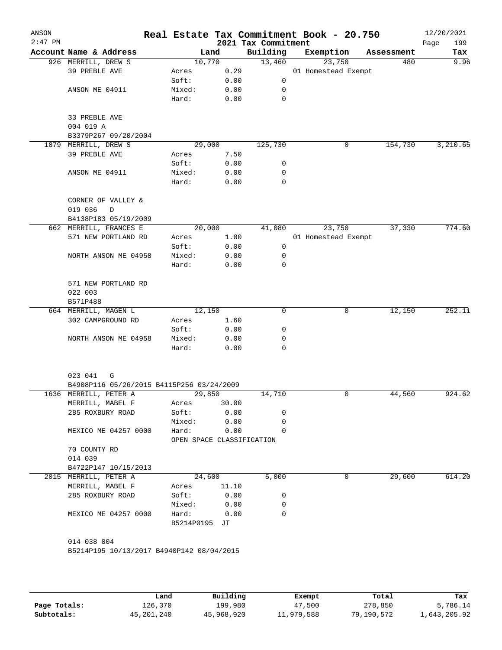| ANSON<br>$2:47$ PM |                                           |                           |       | 2021 Tax Commitment | Real Estate Tax Commitment Book - 20.750 |            | 12/20/2021<br>199<br>Page |
|--------------------|-------------------------------------------|---------------------------|-------|---------------------|------------------------------------------|------------|---------------------------|
|                    | Account Name & Address                    | Land                      |       | Building            | Exemption                                | Assessment | Tax                       |
|                    | 926 MERRILL, DREW S                       | 10,770                    |       | 13,460              | 23,750                                   | 480        | 9.96                      |
|                    | 39 PREBLE AVE                             | Acres                     | 0.29  |                     | 01 Homestead Exempt                      |            |                           |
|                    |                                           | Soft:                     | 0.00  | $\mathsf{O}$        |                                          |            |                           |
|                    | ANSON ME 04911                            | Mixed:                    | 0.00  | 0                   |                                          |            |                           |
|                    |                                           | Hard:                     | 0.00  | 0                   |                                          |            |                           |
|                    | 33 PREBLE AVE                             |                           |       |                     |                                          |            |                           |
|                    | 004 019 A                                 |                           |       |                     |                                          |            |                           |
|                    | B3379P267 09/20/2004                      |                           |       |                     |                                          |            |                           |
|                    | 1879 MERRILL, DREW S                      | 29,000                    |       | 125,730             | 0                                        | 154,730    | 3,210.65                  |
|                    | 39 PREBLE AVE                             | Acres                     | 7.50  |                     |                                          |            |                           |
|                    |                                           | Soft:                     | 0.00  | 0                   |                                          |            |                           |
|                    | ANSON ME 04911                            | Mixed:                    | 0.00  | 0                   |                                          |            |                           |
|                    |                                           | Hard:                     | 0.00  | 0                   |                                          |            |                           |
|                    | CORNER OF VALLEY &                        |                           |       |                     |                                          |            |                           |
|                    | 019 036<br>D                              |                           |       |                     |                                          |            |                           |
|                    | B4138P183 05/19/2009                      |                           |       |                     |                                          |            |                           |
|                    | 662 MERRILL, FRANCES E                    | 20,000                    |       | 41,080              | 23,750                                   | 37,330     | 774.60                    |
|                    | 571 NEW PORTLAND RD                       | Acres                     | 1.00  |                     | 01 Homestead Exempt                      |            |                           |
|                    |                                           | Soft:                     | 0.00  | 0                   |                                          |            |                           |
|                    | NORTH ANSON ME 04958                      | Mixed:                    | 0.00  | 0                   |                                          |            |                           |
|                    |                                           | Hard:                     | 0.00  | 0                   |                                          |            |                           |
|                    | 571 NEW PORTLAND RD                       |                           |       |                     |                                          |            |                           |
|                    | 022 003                                   |                           |       |                     |                                          |            |                           |
|                    | B571P488                                  |                           |       |                     |                                          |            |                           |
|                    | 664 MERRILL, MAGEN L                      | 12,150                    |       | $\mathbf 0$         | 0                                        | 12,150     | 252.11                    |
|                    | 302 CAMPGROUND RD                         | Acres                     | 1.60  |                     |                                          |            |                           |
|                    |                                           | Soft:                     | 0.00  | 0                   |                                          |            |                           |
|                    | NORTH ANSON ME 04958                      | Mixed:                    | 0.00  | 0                   |                                          |            |                           |
|                    |                                           | Hard:                     | 0.00  | 0                   |                                          |            |                           |
|                    |                                           |                           |       |                     |                                          |            |                           |
|                    | 023 041<br>G                              |                           |       |                     |                                          |            |                           |
|                    | B4908P116 05/26/2015 B4115P256 03/24/2009 |                           |       |                     |                                          |            |                           |
|                    | 1636 MERRILL, PETER A                     | 29,850                    |       | 14,710              | 0                                        | 44,560     | 924.62                    |
|                    | MERRILL, MABEL F                          | Acres                     | 30.00 |                     |                                          |            |                           |
|                    | 285 ROXBURY ROAD                          | Soft:                     | 0.00  | 0                   |                                          |            |                           |
|                    |                                           | Mixed:                    | 0.00  | 0                   |                                          |            |                           |
|                    | MEXICO ME 04257 0000                      | Hard:                     | 0.00  | 0                   |                                          |            |                           |
|                    |                                           | OPEN SPACE CLASSIFICATION |       |                     |                                          |            |                           |
|                    | 70 COUNTY RD<br>014 039                   |                           |       |                     |                                          |            |                           |
|                    | B4722P147 10/15/2013                      |                           |       |                     |                                          |            |                           |
|                    | 2015 MERRILL, PETER A                     | 24,600                    |       | 5,000               | 0                                        | 29,600     | 614.20                    |
|                    |                                           |                           |       |                     |                                          |            |                           |
|                    | MERRILL, MABEL F                          | Acres                     | 11.10 |                     |                                          |            |                           |
|                    | 285 ROXBURY ROAD                          | Soft:                     | 0.00  | 0                   |                                          |            |                           |
|                    |                                           | Mixed:                    | 0.00  | 0                   |                                          |            |                           |
|                    | MEXICO ME 04257 0000                      | Hard:<br>B5214P0195 JT    | 0.00  | 0                   |                                          |            |                           |
|                    |                                           |                           |       |                     |                                          |            |                           |
|                    | 014 038 004                               |                           |       |                     |                                          |            |                           |
|                    | B5214P195 10/13/2017 B4940P142 08/04/2015 |                           |       |                     |                                          |            |                           |
|                    |                                           |                           |       |                     |                                          |            |                           |
|                    |                                           |                           |       |                     |                                          |            |                           |
|                    |                                           |                           |       |                     |                                          |            |                           |

|              | Land       | Building   | Exempt     | Total      | Tax          |
|--------------|------------|------------|------------|------------|--------------|
| Page Totals: | 126,370    | 199,980    | 47,500     | 278,850    | 5,786.14     |
| Subtotals:   | 45,201,240 | 45,968,920 | 11,979,588 | 79,190,572 | 1,643,205.92 |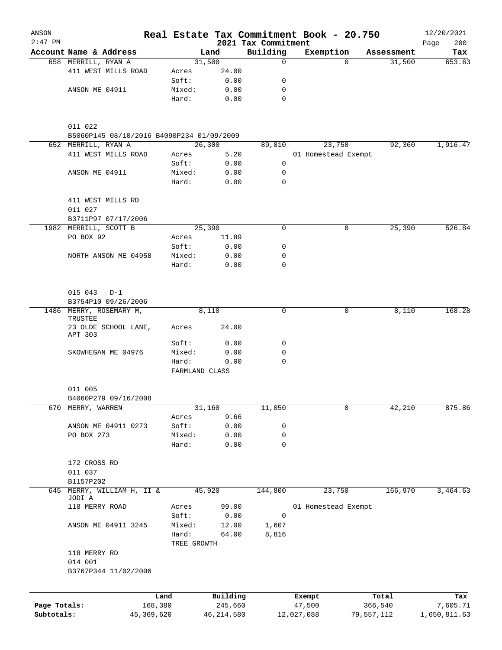| ANSON<br>$2:47$ PM |                                           |              |                 |              | 2021 Tax Commitment | Real Estate Tax Commitment Book - 20.750 |            |            | 12/20/2021         |
|--------------------|-------------------------------------------|--------------|-----------------|--------------|---------------------|------------------------------------------|------------|------------|--------------------|
|                    | Account Name & Address                    |              |                 | Land         | Building            | Exemption                                |            | Assessment | 200<br>Page<br>Tax |
|                    | 658 MERRILL, RYAN A                       |              |                 | 31,500       | $\mathbf 0$         |                                          | $\Omega$   | 31,500     | 653.63             |
|                    | 411 WEST MILLS ROAD                       |              | Acres           | 24.00        |                     |                                          |            |            |                    |
|                    |                                           |              | Soft:           | 0.00         | 0                   |                                          |            |            |                    |
|                    | ANSON ME 04911                            |              | Mixed:          | 0.00         | 0                   |                                          |            |            |                    |
|                    |                                           |              | Hard:           | 0.00         | $\Omega$            |                                          |            |            |                    |
|                    | 011 022                                   |              |                 |              |                     |                                          |            |            |                    |
|                    | B5060P145 08/10/2016 B4090P234 01/09/2009 |              |                 |              |                     |                                          |            |            |                    |
|                    | 652 MERRILL, RYAN A                       |              |                 | 26,300       | 89,810              | 23,750                                   |            | 92,360     | 1,916.47           |
|                    | 411 WEST MILLS ROAD                       |              | Acres           | 5.20         |                     | 01 Homestead Exempt                      |            |            |                    |
|                    |                                           |              | Soft:           | 0.00         | 0                   |                                          |            |            |                    |
|                    | ANSON ME 04911                            |              | Mixed:<br>Hard: | 0.00<br>0.00 | 0<br>$\Omega$       |                                          |            |            |                    |
|                    | 411 WEST MILLS RD                         |              |                 |              |                     |                                          |            |            |                    |
|                    | 011 027                                   |              |                 |              |                     |                                          |            |            |                    |
|                    | B3711P97 07/17/2006                       |              |                 |              |                     |                                          |            |            |                    |
|                    | 1982 MERRILL, SCOTT B                     |              |                 | 25,390       | 0                   |                                          | 0          | 25,390     | 526.84             |
|                    | PO BOX 92                                 |              | Acres           | 11.89        |                     |                                          |            |            |                    |
|                    |                                           |              | Soft:           | 0.00         | 0                   |                                          |            |            |                    |
|                    | NORTH ANSON ME 04958                      |              | Mixed:          | 0.00         | 0                   |                                          |            |            |                    |
|                    |                                           |              | Hard:           | 0.00         | $\Omega$            |                                          |            |            |                    |
|                    | 015 043<br>$D-1$                          |              |                 |              |                     |                                          |            |            |                    |
|                    | B3754P10 09/26/2006                       |              |                 |              |                     |                                          |            |            |                    |
|                    | 1486 MERRY, ROSEMARY M,<br>TRUSTEE        |              |                 | 8,110        | 0                   |                                          | 0          | 8,110      | 168.28             |
|                    | 23 OLDE SCHOOL LANE,<br>APT 303           |              | Acres           | 24.00        |                     |                                          |            |            |                    |
|                    |                                           |              | Soft:           | 0.00         | 0                   |                                          |            |            |                    |
|                    | SKOWHEGAN ME 04976                        |              | Mixed:          | 0.00         | 0                   |                                          |            |            |                    |
|                    |                                           |              | Hard:           | 0.00         | $\Omega$            |                                          |            |            |                    |
|                    |                                           |              | FARMLAND CLASS  |              |                     |                                          |            |            |                    |
|                    | 011 005<br>B4060P279 09/16/2008           |              |                 |              |                     |                                          |            |            |                    |
| 670                | MERRY, WARREN                             |              |                 | 31,160       | 11,050              |                                          | 0          | 42,210     | 875.86             |
|                    |                                           |              | Acres           | 9.66         |                     |                                          |            |            |                    |
|                    | ANSON ME 04911 0273                       |              | Soft:           | 0.00         | 0                   |                                          |            |            |                    |
|                    | PO BOX 273                                |              | Mixed:          | 0.00         | 0                   |                                          |            |            |                    |
|                    |                                           |              | Hard:           | 0.00         | 0                   |                                          |            |            |                    |
|                    | 172 CROSS RD                              |              |                 |              |                     |                                          |            |            |                    |
|                    | 011 037                                   |              |                 |              |                     |                                          |            |            |                    |
|                    | B1157P202                                 |              |                 |              |                     |                                          |            |            |                    |
| 645                | MERRY, WILLIAM H, II &<br>JODI A          |              |                 | 45,920       | 144,800             | 23,750                                   |            | 166,970    | 3,464.63           |
|                    | 118 MERRY ROAD                            |              | Acres           | 99.00        |                     | 01 Homestead Exempt                      |            |            |                    |
|                    |                                           |              | Soft:           | 0.00         | 0                   |                                          |            |            |                    |
|                    | ANSON ME 04911 3245                       |              | Mixed:          | 12.00        | 1,607               |                                          |            |            |                    |
|                    |                                           |              | Hard:           | 64.00        | 8,816               |                                          |            |            |                    |
|                    | 118 MERRY RD                              |              | TREE GROWTH     |              |                     |                                          |            |            |                    |
|                    | 014 001                                   |              |                 |              |                     |                                          |            |            |                    |
|                    | B3767P344 11/02/2006                      |              |                 |              |                     |                                          |            |            |                    |
|                    |                                           | Land         |                 | Building     |                     | Exempt                                   |            | Total      | Tax                |
| Page Totals:       |                                           | 168,380      |                 | 245,660      |                     | 47,500                                   |            | 366,540    | 7,605.71           |
| Subtotals:         |                                           | 45, 369, 620 |                 | 46, 214, 580 |                     | 12,027,088                               | 79,557,112 |            | 1,650,811.63       |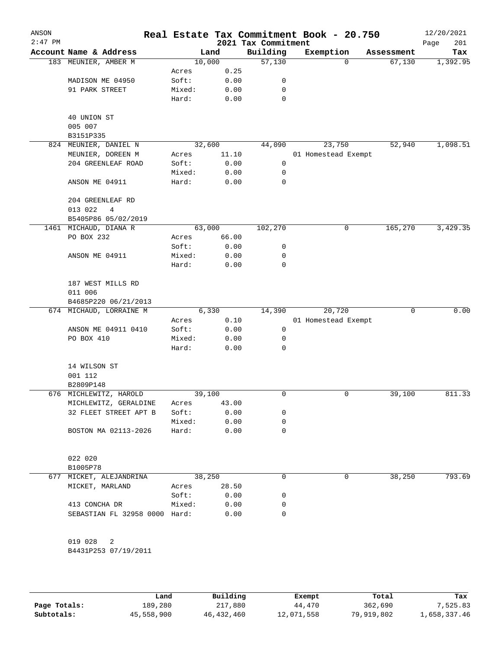| ANSON<br>$2:47$ PM |                               |        |        | 2021 Tax Commitment | Real Estate Tax Commitment Book - 20.750 |            | 12/20/2021<br>201<br>Page |
|--------------------|-------------------------------|--------|--------|---------------------|------------------------------------------|------------|---------------------------|
|                    | Account Name & Address        |        | Land   | Building            | Exemption                                | Assessment | Tax                       |
|                    | 183 MEUNIER, AMBER M          | 10,000 |        | 57,130              | $\Omega$                                 | 67,130     | 1,392.95                  |
|                    |                               | Acres  | 0.25   |                     |                                          |            |                           |
|                    | MADISON ME 04950              | Soft:  | 0.00   | 0                   |                                          |            |                           |
|                    | 91 PARK STREET                | Mixed: | 0.00   | 0                   |                                          |            |                           |
|                    |                               | Hard:  | 0.00   | 0                   |                                          |            |                           |
|                    | 40 UNION ST                   |        |        |                     |                                          |            |                           |
|                    | 005 007                       |        |        |                     |                                          |            |                           |
|                    | B3151P335                     |        |        |                     |                                          |            |                           |
|                    | 824 MEUNIER, DANIEL N         |        | 32,600 | 44,090              | 23,750                                   | 52,940     | 1,098.51                  |
|                    | MEUNIER, DOREEN M             | Acres  | 11.10  |                     | 01 Homestead Exempt                      |            |                           |
|                    | 204 GREENLEAF ROAD            | Soft:  | 0.00   | 0                   |                                          |            |                           |
|                    |                               | Mixed: | 0.00   | 0                   |                                          |            |                           |
|                    | ANSON ME 04911                | Hard:  | 0.00   | 0                   |                                          |            |                           |
|                    |                               |        |        |                     |                                          |            |                           |
|                    | 204 GREENLEAF RD              |        |        |                     |                                          |            |                           |
|                    | 013 022<br>4                  |        |        |                     |                                          |            |                           |
|                    | B5405P86 05/02/2019           |        |        |                     |                                          |            |                           |
|                    | 1461 MICHAUD, DIANA R         | 63,000 |        | 102,270             | 0                                        | 165,270    | 3,429.35                  |
|                    | PO BOX 232                    | Acres  | 66.00  |                     |                                          |            |                           |
|                    |                               | Soft:  | 0.00   | 0                   |                                          |            |                           |
|                    | ANSON ME 04911                | Mixed: | 0.00   | 0                   |                                          |            |                           |
|                    |                               | Hard:  | 0.00   | 0                   |                                          |            |                           |
|                    | 187 WEST MILLS RD<br>011 006  |        |        |                     |                                          |            |                           |
|                    | B4685P220 06/21/2013          |        |        |                     |                                          |            |                           |
|                    | 674 MICHAUD, LORRAINE M       |        | 6,330  | 14,390              | 20,720                                   | 0          | 0.00                      |
|                    |                               |        |        |                     |                                          |            |                           |
|                    |                               | Acres  | 0.10   |                     | 01 Homestead Exempt                      |            |                           |
|                    | ANSON ME 04911 0410           | Soft:  | 0.00   | $\mathbf 0$         |                                          |            |                           |
|                    | PO BOX 410                    | Mixed: | 0.00   | 0                   |                                          |            |                           |
|                    |                               | Hard:  | 0.00   | 0                   |                                          |            |                           |
|                    | 14 WILSON ST                  |        |        |                     |                                          |            |                           |
|                    | 001 112                       |        |        |                     |                                          |            |                           |
|                    | B2809P148                     |        |        |                     |                                          |            |                           |
|                    | 676 MICHLEWITZ, HAROLD        |        | 39,100 | 0                   | 0                                        | 39,100     | 811.33                    |
|                    | MICHLEWITZ, GERALDINE         | Acres  | 43.00  |                     |                                          |            |                           |
|                    | 32 FLEET STREET APT B         | Soft:  | 0.00   | 0                   |                                          |            |                           |
|                    |                               | Mixed: | 0.00   | 0                   |                                          |            |                           |
|                    | BOSTON MA 02113-2026          | Hard:  | 0.00   | 0                   |                                          |            |                           |
|                    |                               |        |        |                     |                                          |            |                           |
|                    | 022 020                       |        |        |                     |                                          |            |                           |
|                    | B1005P78                      |        |        |                     |                                          |            |                           |
|                    | 677 MICKET, ALEJANDRINA       |        | 38,250 | 0                   | $\mathbf 0$                              | 38,250     | 793.69                    |
|                    | MICKET, MARLAND               | Acres  | 28.50  |                     |                                          |            |                           |
|                    |                               | Soft:  | 0.00   | 0                   |                                          |            |                           |
|                    | 413 CONCHA DR                 | Mixed: | 0.00   | 0                   |                                          |            |                           |
|                    | SEBASTIAN FL 32958 0000 Hard: |        | 0.00   | $\Omega$            |                                          |            |                           |
|                    |                               |        |        |                     |                                          |            |                           |
|                    | 019 028<br>2                  |        |        |                     |                                          |            |                           |
|                    | B4431P253 07/19/2011          |        |        |                     |                                          |            |                           |
|                    |                               |        |        |                     |                                          |            |                           |
|                    |                               |        |        |                     |                                          |            |                           |

|              | Land       | Building     | Exempt     | Total      | Tax          |
|--------------|------------|--------------|------------|------------|--------------|
| Page Totals: | 189,280    | 217,880      | 44,470     | 362,690    | 7,525.83     |
| Subtotals:   | 45,558,900 | 46, 432, 460 | 12,071,558 | 79,919,802 | 1,658,337.46 |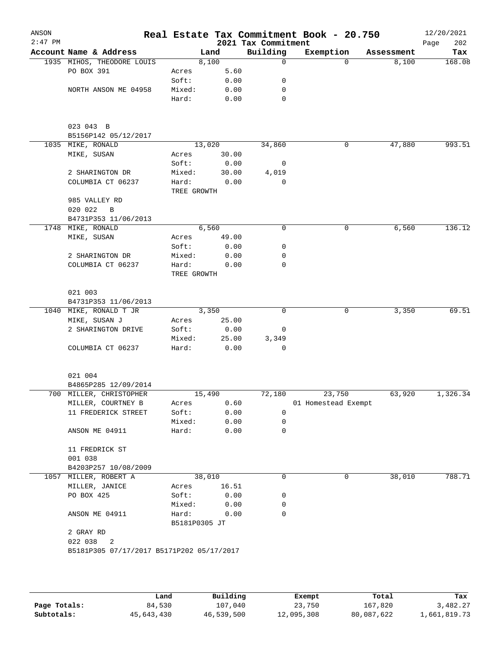| ANSON<br>$2:47$ PM |                                           |                        |        | 2021 Tax Commitment | Real Estate Tax Commitment Book - 20.750 |            | 12/20/2021<br>202<br>Page |
|--------------------|-------------------------------------------|------------------------|--------|---------------------|------------------------------------------|------------|---------------------------|
|                    | Account Name & Address                    |                        | Land   | Building            | Exemption                                | Assessment | Tax                       |
|                    | 1935 MIHOS, THEODORE LOUIS                |                        | 8,100  | $\Omega$            | $\Omega$                                 | 8,100      | 168.08                    |
|                    | PO BOX 391                                | Acres                  | 5.60   |                     |                                          |            |                           |
|                    |                                           | Soft:                  | 0.00   | 0                   |                                          |            |                           |
|                    | NORTH ANSON ME 04958                      | Mixed:                 | 0.00   | 0                   |                                          |            |                           |
|                    |                                           | Hard:                  | 0.00   | 0                   |                                          |            |                           |
|                    | 023 043 B                                 |                        |        |                     |                                          |            |                           |
|                    | B5156P142 05/12/2017                      |                        |        |                     |                                          |            |                           |
|                    | 1035 MIKE, RONALD                         |                        | 13,020 | 34,860              | 0                                        | 47,880     | 993.51                    |
|                    | MIKE, SUSAN                               | Acres                  | 30.00  |                     |                                          |            |                           |
|                    |                                           | Soft:                  | 0.00   | 0                   |                                          |            |                           |
|                    | 2 SHARINGTON DR                           | Mixed:                 | 30.00  | 4,019               |                                          |            |                           |
|                    | COLUMBIA CT 06237                         | Hard:<br>TREE GROWTH   | 0.00   | $\Omega$            |                                          |            |                           |
|                    | 985 VALLEY RD                             |                        |        |                     |                                          |            |                           |
|                    | 020 022<br>B                              |                        |        |                     |                                          |            |                           |
|                    | B4731P353 11/06/2013                      |                        |        |                     |                                          |            |                           |
|                    | 1748 MIKE, RONALD                         |                        | 6,560  | $\mathbf 0$         | 0                                        | 6,560      | 136.12                    |
|                    | MIKE, SUSAN                               | Acres                  | 49.00  |                     |                                          |            |                           |
|                    |                                           | Soft:                  | 0.00   | 0                   |                                          |            |                           |
|                    | 2 SHARINGTON DR                           | Mixed:                 | 0.00   | 0                   |                                          |            |                           |
|                    | COLUMBIA CT 06237                         | Hard:                  | 0.00   | 0                   |                                          |            |                           |
|                    |                                           | TREE GROWTH            |        |                     |                                          |            |                           |
|                    | 021 003                                   |                        |        |                     |                                          |            |                           |
|                    | B4731P353 11/06/2013                      |                        |        |                     |                                          |            |                           |
|                    | 1040 MIKE, RONALD T JR                    |                        | 3,350  | $\mathbf 0$         | 0                                        | 3,350      | 69.51                     |
|                    | MIKE, SUSAN J                             | Acres                  | 25.00  |                     |                                          |            |                           |
|                    | 2 SHARINGTON DRIVE                        | Soft:                  | 0.00   | 0                   |                                          |            |                           |
|                    |                                           | Mixed:                 | 25.00  | 3,349               |                                          |            |                           |
|                    | COLUMBIA CT 06237                         | Hard:                  | 0.00   | 0                   |                                          |            |                           |
|                    | 021 004                                   |                        |        |                     |                                          |            |                           |
|                    | B4865P285 12/09/2014                      |                        |        |                     |                                          |            |                           |
|                    | 700 MILLER, CHRISTOPHER                   |                        | 15,490 | 72,180              | 23,750                                   | 63,920     | 1,326.34                  |
|                    | MILLER, COURTNEY B                        | Acres                  | 0.60   |                     | 01 Homestead Exempt                      |            |                           |
|                    | 11 FREDERICK STREET                       | Soft:                  | 0.00   | 0                   |                                          |            |                           |
|                    |                                           | Mixed:                 | 0.00   | 0                   |                                          |            |                           |
|                    | ANSON ME 04911                            | Hard:                  | 0.00   | 0                   |                                          |            |                           |
|                    | 11 FREDRICK ST                            |                        |        |                     |                                          |            |                           |
|                    | 001 038                                   |                        |        |                     |                                          |            |                           |
|                    | B4203P257 10/08/2009                      |                        |        |                     |                                          |            |                           |
|                    | 1057 MILLER, ROBERT A                     |                        | 38,010 | 0                   | 0                                        | 38,010     | 788.71                    |
|                    | MILLER, JANICE                            | Acres                  | 16.51  |                     |                                          |            |                           |
|                    | PO BOX 425                                | Soft:                  | 0.00   | 0                   |                                          |            |                           |
|                    |                                           | Mixed:                 | 0.00   | 0                   |                                          |            |                           |
|                    | ANSON ME 04911                            | Hard:<br>B5181P0305 JT | 0.00   | 0                   |                                          |            |                           |
|                    | 2 GRAY RD                                 |                        |        |                     |                                          |            |                           |
|                    | 022 038<br>2                              |                        |        |                     |                                          |            |                           |
|                    | B5181P305 07/17/2017 B5171P202 05/17/2017 |                        |        |                     |                                          |            |                           |
|                    |                                           |                        |        |                     |                                          |            |                           |
|                    |                                           |                        |        |                     |                                          |            |                           |

|              | Land       | Building   | Exempt     | Total      | Tax          |
|--------------|------------|------------|------------|------------|--------------|
| Page Totals: | 84,530     | 107,040    | 23,750     | 167,820    | 3,482.27     |
| Subtotals:   | 45,643,430 | 46,539,500 | 12,095,308 | 80,087,622 | 1,661,819.73 |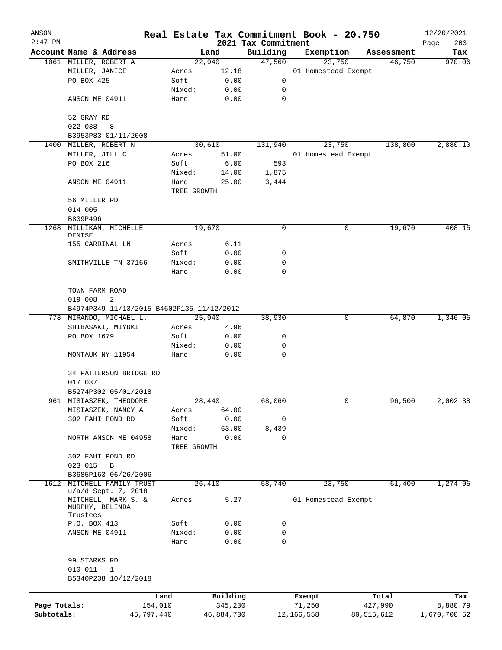| ANSON        |                                           |         |                |                                 | Real Estate Tax Commitment Book - 20.750 |            |            | 12/20/2021    |
|--------------|-------------------------------------------|---------|----------------|---------------------------------|------------------------------------------|------------|------------|---------------|
| $2:47$ PM    | Account Name & Address                    |         |                | 2021 Tax Commitment<br>Building |                                          |            | Assessment | Page<br>203   |
|              | 1061 MILLER, ROBERT A                     |         | Land<br>22,940 | 47,560                          | Exemption<br>23,750                      |            | 46,750     | Tax<br>970.06 |
|              | MILLER, JANICE                            | Acres   | 12.18          |                                 | 01 Homestead Exempt                      |            |            |               |
|              | PO BOX 425                                | Soft:   | 0.00           | 0                               |                                          |            |            |               |
|              |                                           | Mixed:  | 0.00           | 0                               |                                          |            |            |               |
|              | ANSON ME 04911                            | Hard:   | 0.00           | 0                               |                                          |            |            |               |
|              |                                           |         |                |                                 |                                          |            |            |               |
|              | 52 GRAY RD                                |         |                |                                 |                                          |            |            |               |
|              | 022 038<br>8                              |         |                |                                 |                                          |            |            |               |
|              | B3953P83 01/11/2008                       |         |                |                                 |                                          |            |            |               |
|              | 1400 MILLER, ROBERT N                     |         | 30,610         | 131,940                         | 23,750                                   |            | 138,800    | 2,880.10      |
|              | MILLER, JILL C                            | Acres   | 51.00          |                                 | 01 Homestead Exempt                      |            |            |               |
|              | PO BOX 216                                | Soft:   | 6.00           | 593                             |                                          |            |            |               |
|              |                                           | Mixed:  | 14.00          | 1,875                           |                                          |            |            |               |
|              | ANSON ME 04911                            | Hard:   | 25.00          | 3,444                           |                                          |            |            |               |
|              |                                           |         | TREE GROWTH    |                                 |                                          |            |            |               |
|              | 56 MILLER RD                              |         |                |                                 |                                          |            |            |               |
|              | 014 005                                   |         |                |                                 |                                          |            |            |               |
|              | B809P496                                  |         |                |                                 |                                          |            |            |               |
| 1268         | MILLIKAN, MICHELLE<br>DENISE              |         | 19,670         | 0                               |                                          | 0          | 19,670     | 408.15        |
|              | 155 CARDINAL LN                           | Acres   | 6.11           |                                 |                                          |            |            |               |
|              |                                           | Soft:   | 0.00           | 0                               |                                          |            |            |               |
|              | SMITHVILLE TN 37166                       | Mixed:  | 0.00           | 0                               |                                          |            |            |               |
|              |                                           | Hard:   | 0.00           | 0                               |                                          |            |            |               |
|              |                                           |         |                |                                 |                                          |            |            |               |
|              | TOWN FARM ROAD                            |         |                |                                 |                                          |            |            |               |
|              | 2<br>019 008                              |         |                |                                 |                                          |            |            |               |
|              | B4974P349 11/13/2015 B4602P135 11/12/2012 |         |                |                                 |                                          |            |            |               |
|              | 778 MIRANDO, MICHAEL L.                   |         | 25,940         | 38,930                          |                                          | 0          | 64,870     | 1,346.05      |
|              | SHIBASAKI, MIYUKI                         | Acres   | 4.96           |                                 |                                          |            |            |               |
|              | PO BOX 1679                               | Soft:   | 0.00           | 0                               |                                          |            |            |               |
|              |                                           | Mixed:  | 0.00           | 0                               |                                          |            |            |               |
|              | MONTAUK NY 11954                          | Hard:   | 0.00           | $\mathbf 0$                     |                                          |            |            |               |
|              |                                           |         |                |                                 |                                          |            |            |               |
|              | 34 PATTERSON BRIDGE RD                    |         |                |                                 |                                          |            |            |               |
|              | 017 037                                   |         |                |                                 |                                          |            |            |               |
|              | B5274P302 05/01/2018                      |         |                |                                 |                                          |            |            |               |
|              | 961 MISIASZEK, THEODORE                   |         | 28,440         | 68,060                          |                                          | 0          | 96,500     | 2,002.38      |
|              | MISIASZEK, NANCY A                        | Acres   | 64.00          |                                 |                                          |            |            |               |
|              | 302 FAHI POND RD                          | Soft:   | 0.00           | 0                               |                                          |            |            |               |
|              |                                           | Mixed:  | 63.00          | 8,439                           |                                          |            |            |               |
|              | NORTH ANSON ME 04958                      | Hard:   | 0.00           | 0                               |                                          |            |            |               |
|              |                                           |         | TREE GROWTH    |                                 |                                          |            |            |               |
|              | 302 FAHI POND RD<br>023 015<br>В          |         |                |                                 |                                          |            |            |               |
|              | B3685P163 06/26/2006                      |         |                |                                 |                                          |            |            |               |
| 1612         | MITCHELL FAMILY TRUST                     |         | 26,410         | 58,740                          | 23,750                                   |            | 61,400     | 1,274.05      |
|              | u/a/d Sept. 7, 2018                       |         |                |                                 |                                          |            |            |               |
|              | MITCHELL, MARK S. &                       | Acres   | 5.27           |                                 | 01 Homestead Exempt                      |            |            |               |
|              | MURPHY, BELINDA                           |         |                |                                 |                                          |            |            |               |
|              | Trustees                                  |         |                |                                 |                                          |            |            |               |
|              | P.O. BOX 413                              | Soft:   | 0.00           | 0                               |                                          |            |            |               |
|              | ANSON ME 04911                            | Mixed:  | 0.00           | 0<br>$\mathbf 0$                |                                          |            |            |               |
|              |                                           | Hard:   | 0.00           |                                 |                                          |            |            |               |
|              | 99 STARKS RD                              |         |                |                                 |                                          |            |            |               |
|              | 010 011<br>$\mathbf 1$                    |         |                |                                 |                                          |            |            |               |
|              | B5340P238 10/12/2018                      |         |                |                                 |                                          |            |            |               |
|              |                                           |         |                |                                 |                                          |            |            |               |
|              |                                           | Land    | Building       |                                 | Exempt                                   |            | Total      | Tax           |
| Page Totals: |                                           | 154,010 | 345,230        |                                 | 71,250                                   |            | 427,990    | 8,880.79      |
| Subtotals:   | 45,797,440                                |         | 46,884,730     |                                 | 12,166,558                               | 80,515,612 |            | 1,670,700.52  |
|              |                                           |         |                |                                 |                                          |            |            |               |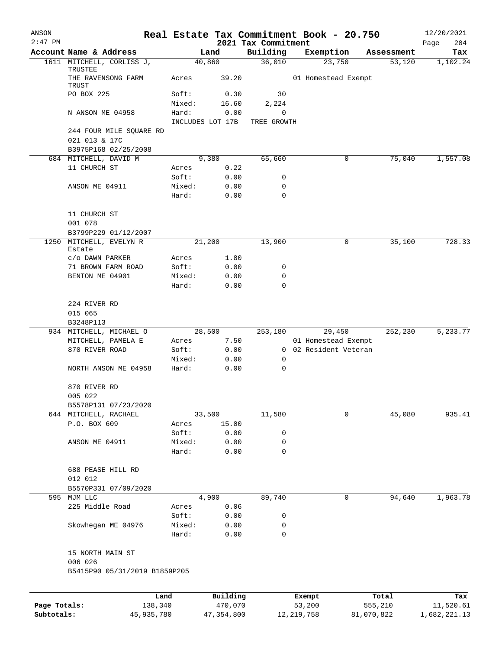| ANSON        |                                               |        |                     |                                 | Real Estate Tax Commitment Book - 20.750 |                  | 12/20/2021         |
|--------------|-----------------------------------------------|--------|---------------------|---------------------------------|------------------------------------------|------------------|--------------------|
| $2:47$ PM    | Account Name & Address                        |        | Land                | 2021 Tax Commitment<br>Building | Exemption                                | Assessment       | 204<br>Page<br>Tax |
|              | 1611 MITCHELL, CORLISS J,                     |        | 40,860              | 36,010                          | 23,750                                   | 53,120           | 1,102.24           |
|              | TRUSTEE<br>THE RAVENSONG FARM                 | Acres  | 39.20               |                                 | 01 Homestead Exempt                      |                  |                    |
|              | TRUST<br>PO BOX 225                           | Soft:  | 0.30                | 30                              |                                          |                  |                    |
|              |                                               | Mixed: | 16.60               | 2,224                           |                                          |                  |                    |
|              | N ANSON ME 04958                              | Hard:  | 0.00                | 0                               |                                          |                  |                    |
|              |                                               |        | INCLUDES LOT 17B    | TREE GROWTH                     |                                          |                  |                    |
|              | 244 FOUR MILE SQUARE RD<br>021 013 & 17C      |        |                     |                                 |                                          |                  |                    |
|              | B3975P168 02/25/2008                          |        |                     |                                 |                                          |                  |                    |
|              | 684 MITCHELL, DAVID M<br>11 CHURCH ST         | Acres  | 9,380<br>0.22       | 65,660                          | 0                                        | 75,040           | 1,557.08           |
|              |                                               | Soft:  | 0.00                | 0                               |                                          |                  |                    |
|              | ANSON ME 04911                                | Mixed: | 0.00                | 0                               |                                          |                  |                    |
|              |                                               | Hard:  | 0.00                | 0                               |                                          |                  |                    |
|              | 11 CHURCH ST                                  |        |                     |                                 |                                          |                  |                    |
|              | 001 078                                       |        |                     |                                 |                                          |                  |                    |
|              | B3799P229 01/12/2007                          |        |                     |                                 |                                          |                  |                    |
|              | 1250 MITCHELL, EVELYN R<br>Estate             |        | 21,200              | 13,900                          | 0                                        | 35,100           | 728.33             |
|              | C/O DAWN PARKER                               | Acres  | 1.80                |                                 |                                          |                  |                    |
|              | 71 BROWN FARM ROAD                            | Soft:  | 0.00                | 0                               |                                          |                  |                    |
|              | BENTON ME 04901                               | Mixed: | 0.00                | 0                               |                                          |                  |                    |
|              |                                               | Hard:  | 0.00                | 0                               |                                          |                  |                    |
|              | 224 RIVER RD<br>015 065                       |        |                     |                                 |                                          |                  |                    |
|              | B3248P113                                     |        |                     |                                 |                                          |                  |                    |
|              | 934 MITCHELL, MICHAEL O                       |        | 28,500              | 253,180                         | 29,450                                   | 252,230          | 5,233.77           |
|              | MITCHELL, PAMELA E                            | Acres  | 7.50                |                                 | 01 Homestead Exempt                      |                  |                    |
|              | 870 RIVER ROAD                                | Soft:  | 0.00                |                                 | 0 02 Resident Veteran                    |                  |                    |
|              |                                               | Mixed: | 0.00                | 0                               |                                          |                  |                    |
|              | NORTH ANSON ME 04958                          | Hard:  | 0.00                | $\mathbf 0$                     |                                          |                  |                    |
|              | 870 RIVER RD                                  |        |                     |                                 |                                          |                  |                    |
|              | 005 022                                       |        |                     |                                 |                                          |                  |                    |
|              | B5578P131 07/23/2020<br>644 MITCHELL, RACHAEL |        | 33,500              | 11,580                          | 0                                        | 45,080           | 935.41             |
|              | P.O. BOX 609                                  | Acres  | 15.00               |                                 |                                          |                  |                    |
|              |                                               | Soft:  | 0.00                | 0                               |                                          |                  |                    |
|              | ANSON ME 04911                                | Mixed: | 0.00                | 0                               |                                          |                  |                    |
|              |                                               | Hard:  | 0.00                | 0                               |                                          |                  |                    |
|              | 688 PEASE HILL RD                             |        |                     |                                 |                                          |                  |                    |
|              | 012 012                                       |        |                     |                                 |                                          |                  |                    |
|              | B5570P331 07/09/2020                          |        |                     |                                 |                                          |                  |                    |
|              | 595 MJM LLC                                   |        | 4,900               | 89,740                          | 0                                        | 94,640           | 1,963.78           |
|              | 225 Middle Road                               | Acres  | 0.06                |                                 |                                          |                  |                    |
|              |                                               | Soft:  | 0.00                | 0                               |                                          |                  |                    |
|              | Skowhegan ME 04976                            | Mixed: | 0.00                | 0                               |                                          |                  |                    |
|              |                                               | Hard:  | 0.00                | $\mathbf 0$                     |                                          |                  |                    |
|              | 15 NORTH MAIN ST<br>006 026                   |        |                     |                                 |                                          |                  |                    |
|              | B5415P90 05/31/2019 B1859P205                 |        |                     |                                 |                                          |                  |                    |
|              |                                               |        |                     |                                 |                                          |                  |                    |
| Page Totals: | Land<br>138,340                               |        | Building<br>470,070 |                                 | Exempt<br>53,200                         | Total<br>555,210 | Tax<br>11,520.61   |
| Subtotals:   | 45,935,780                                    |        | 47,354,800          |                                 | 12, 219, 758                             | 81,070,822       | 1,682,221.13       |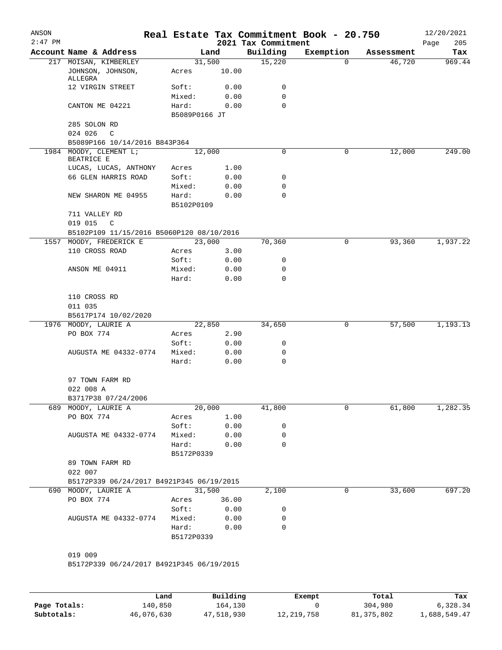| ANSON<br>$2:47$ PM |                                                                  |               |        | 2021 Tax Commitment | Real Estate Tax Commitment Book - 20.750 |            | 12/20/2021<br>205<br>Page |
|--------------------|------------------------------------------------------------------|---------------|--------|---------------------|------------------------------------------|------------|---------------------------|
|                    | Account Name & Address                                           |               | Land   | Building            | Exemption                                | Assessment | Tax                       |
|                    | 217 MOISAN, KIMBERLEY<br>JOHNSON, JOHNSON,                       | 31,500        | 10.00  | 15,220              | 0                                        | 46,720     | 969.44                    |
|                    | ALLEGRA                                                          | Acres         |        |                     |                                          |            |                           |
|                    | 12 VIRGIN STREET                                                 | Soft:         | 0.00   | 0                   |                                          |            |                           |
|                    |                                                                  | Mixed:        | 0.00   | 0                   |                                          |            |                           |
|                    | CANTON ME 04221                                                  | Hard:         | 0.00   | $\Omega$            |                                          |            |                           |
|                    | 285 SOLON RD                                                     | B5089P0166 JT |        |                     |                                          |            |                           |
|                    | 024 026<br>$\mathcal{C}$                                         |               |        |                     |                                          |            |                           |
|                    | B5089P166 10/14/2016 B843P364                                    |               |        |                     |                                          |            |                           |
|                    | 1984 MOODY, CLEMENT L;<br>BEATRICE E                             | 12,000        |        | $\mathbf 0$         | 0                                        | 12,000     | 249.00                    |
|                    | LUCAS, LUCAS, ANTHONY                                            | Acres         | 1.00   |                     |                                          |            |                           |
|                    | 66 GLEN HARRIS ROAD                                              | Soft:         | 0.00   | 0                   |                                          |            |                           |
|                    |                                                                  | Mixed:        | 0.00   | 0                   |                                          |            |                           |
|                    | NEW SHARON ME 04955                                              | Hard:         | 0.00   | 0                   |                                          |            |                           |
|                    |                                                                  | B5102P0109    |        |                     |                                          |            |                           |
|                    | 711 VALLEY RD                                                    |               |        |                     |                                          |            |                           |
|                    | 019 015<br>$\mathbb{C}$                                          |               |        |                     |                                          |            |                           |
|                    | B5102P109 11/15/2016 B5060P120 08/10/2016                        |               |        |                     |                                          |            |                           |
|                    | 1557 MOODY, FREDERICK E                                          | 23,000        |        | 70,360              | 0                                        | 93,360     | 1,937.22                  |
|                    | 110 CROSS ROAD                                                   | Acres         | 3.00   |                     |                                          |            |                           |
|                    |                                                                  | Soft:         | 0.00   | 0                   |                                          |            |                           |
|                    | ANSON ME 04911                                                   | Mixed:        | 0.00   | 0<br>0              |                                          |            |                           |
|                    |                                                                  | Hard:         | 0.00   |                     |                                          |            |                           |
|                    | 110 CROSS RD                                                     |               |        |                     |                                          |            |                           |
|                    | 011 035                                                          |               |        |                     |                                          |            |                           |
|                    | B5617P174 10/02/2020                                             |               |        |                     |                                          |            |                           |
|                    | 1976 MOODY, LAURIE A                                             | 22,850        |        | 34,650              | 0                                        | 57,500     | 1,193.13                  |
|                    | PO BOX 774                                                       | Acres         | 2.90   |                     |                                          |            |                           |
|                    |                                                                  | Soft:         | 0.00   | 0                   |                                          |            |                           |
|                    | AUGUSTA ME 04332-0774                                            | Mixed:        | 0.00   | 0                   |                                          |            |                           |
|                    |                                                                  | Hard:         | 0.00   | 0                   |                                          |            |                           |
|                    | 97 TOWN FARM RD                                                  |               |        |                     |                                          |            |                           |
|                    | 022 008 A                                                        |               |        |                     |                                          |            |                           |
|                    | B3717P38 07/24/2006                                              |               |        |                     |                                          |            |                           |
|                    | 689 MOODY, LAURIE A                                              | 20,000        |        | 41,800              | 0                                        | 61,800     | 1,282.35                  |
|                    | PO BOX 774                                                       | Acres         | 1.00   |                     |                                          |            |                           |
|                    |                                                                  | Soft:         | 0.00   | 0                   |                                          |            |                           |
|                    | AUGUSTA ME 04332-0774                                            | Mixed:        | 0.00   | 0                   |                                          |            |                           |
|                    |                                                                  | Hard:         | 0.00   | 0                   |                                          |            |                           |
|                    |                                                                  | B5172P0339    |        |                     |                                          |            |                           |
|                    | 89 TOWN FARM RD                                                  |               |        |                     |                                          |            |                           |
|                    | 022 007                                                          |               |        |                     |                                          |            |                           |
|                    | B5172P339 06/24/2017 B4921P345 06/19/2015<br>690 MOODY, LAURIE A |               | 31,500 | 2,100               | 0                                        | 33,600     | 697.20                    |
|                    | PO BOX 774                                                       | Acres 36.00   |        |                     |                                          |            |                           |
|                    |                                                                  | Soft:         | 0.00   | 0                   |                                          |            |                           |
|                    | AUGUSTA ME 04332-0774                                            | Mixed:        | 0.00   | 0                   |                                          |            |                           |
|                    |                                                                  | Hard:         | 0.00   | 0                   |                                          |            |                           |
|                    |                                                                  | B5172P0339    |        |                     |                                          |            |                           |
|                    | 019 009                                                          |               |        |                     |                                          |            |                           |
|                    | B5172P339 06/24/2017 B4921P345 06/19/2015                        |               |        |                     |                                          |            |                           |
|                    |                                                                  |               |        |                     |                                          |            |                           |
|                    |                                                                  |               |        |                     |                                          |            |                           |

|              | Land       | Building   | Exempt       | Total        | Tax          |
|--------------|------------|------------|--------------|--------------|--------------|
| Page Totals: | 140,850    | 164,130    |              | 304,980      | 6,328.34     |
| Subtotals:   | 46,076,630 | 47,518,930 | 12, 219, 758 | 81, 375, 802 | 1,688,549.47 |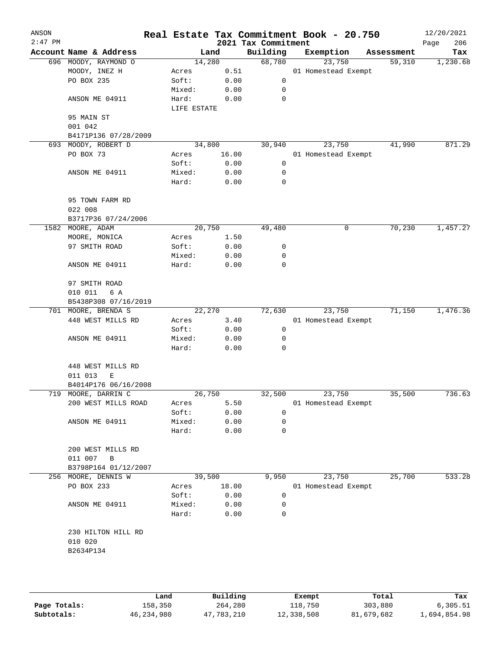| ANSON<br>$2:47$ PM |                         |             |       | 2021 Tax Commitment | Real Estate Tax Commitment Book - 20.750 |            | 12/20/2021<br>206<br>Page |
|--------------------|-------------------------|-------------|-------|---------------------|------------------------------------------|------------|---------------------------|
|                    | Account Name & Address  | Land        |       | Building            | Exemption                                | Assessment | Tax                       |
|                    | 696 MOODY, RAYMOND O    | 14,280      |       | 68,780              | 23,750                                   | 59,310     | 1,230.68                  |
|                    | MOODY, INEZ H           | Acres       | 0.51  |                     | 01 Homestead Exempt                      |            |                           |
|                    | PO BOX 235              | Soft:       | 0.00  | 0                   |                                          |            |                           |
|                    |                         | Mixed:      | 0.00  | 0                   |                                          |            |                           |
|                    | ANSON ME 04911          | Hard:       | 0.00  | $\mathbf 0$         |                                          |            |                           |
|                    |                         | LIFE ESTATE |       |                     |                                          |            |                           |
|                    | 95 MAIN ST              |             |       |                     |                                          |            |                           |
|                    | 001 042                 |             |       |                     |                                          |            |                           |
|                    | B4171P136 07/28/2009    |             |       |                     |                                          |            |                           |
|                    | 693 MOODY, ROBERT D     | 34,800      |       | 30,940              | 23,750                                   | 41,990     | 871.29                    |
|                    | PO BOX 73               | Acres       | 16.00 |                     | 01 Homestead Exempt                      |            |                           |
|                    |                         | Soft:       | 0.00  | 0                   |                                          |            |                           |
|                    | ANSON ME 04911          | Mixed:      | 0.00  | 0                   |                                          |            |                           |
|                    |                         | Hard:       | 0.00  | 0                   |                                          |            |                           |
|                    |                         |             |       |                     |                                          |            |                           |
|                    | 95 TOWN FARM RD         |             |       |                     |                                          |            |                           |
|                    |                         |             |       |                     |                                          |            |                           |
|                    | 022 008                 |             |       |                     |                                          |            |                           |
|                    | B3717P36 07/24/2006     |             |       |                     |                                          |            |                           |
|                    | 1582 MOORE, ADAM        | 20,750      |       | 49,480              | 0                                        | 70,230     | 1,457.27                  |
|                    | MOORE, MONICA           | Acres       | 1.50  |                     |                                          |            |                           |
|                    | 97 SMITH ROAD           | Soft:       | 0.00  | 0                   |                                          |            |                           |
|                    |                         | Mixed:      | 0.00  | 0                   |                                          |            |                           |
|                    | ANSON ME 04911          | Hard:       | 0.00  | 0                   |                                          |            |                           |
|                    |                         |             |       |                     |                                          |            |                           |
|                    | 97 SMITH ROAD           |             |       |                     |                                          |            |                           |
|                    | 010 011<br>6 A          |             |       |                     |                                          |            |                           |
|                    | B5438P308 07/16/2019    |             |       |                     |                                          |            |                           |
|                    | 701 MOORE, BRENDA S     | 22,270      |       | 72,630              | 23,750                                   | 71,150     | 1,476.36                  |
|                    | 448 WEST MILLS RD       | Acres       | 3.40  |                     | 01 Homestead Exempt                      |            |                           |
|                    |                         | Soft:       | 0.00  | 0                   |                                          |            |                           |
|                    | ANSON ME 04911          | Mixed:      | 0.00  | 0                   |                                          |            |                           |
|                    |                         | Hard:       | 0.00  | 0                   |                                          |            |                           |
|                    |                         |             |       |                     |                                          |            |                           |
|                    | 448 WEST MILLS RD       |             |       |                     |                                          |            |                           |
|                    | 011 013<br>Ε            |             |       |                     |                                          |            |                           |
|                    | B4014P176 06/16/2008    |             |       |                     |                                          |            |                           |
|                    | 719 MOORE, DARRIN C     | 26,750      |       | 32,500              | 23,750                                   | 35,500     | 736.63                    |
|                    | 200 WEST MILLS ROAD     | Acres       | 5.50  |                     | 01 Homestead Exempt                      |            |                           |
|                    |                         | Soft:       | 0.00  | $\mathbf 0$         |                                          |            |                           |
|                    | ANSON ME 04911          | Mixed:      | 0.00  | 0                   |                                          |            |                           |
|                    |                         | Hard:       | 0.00  | 0                   |                                          |            |                           |
|                    |                         |             |       |                     |                                          |            |                           |
|                    | 200 WEST MILLS RD       |             |       |                     |                                          |            |                           |
|                    | 011 007<br>$\, {\bf B}$ |             |       |                     |                                          |            |                           |
|                    | B3798P164 01/12/2007    |             |       |                     |                                          |            |                           |
|                    | 256 MOORE, DENNIS W     | 39,500      |       | 9,950               | 23,750                                   | 25,700     | 533.28                    |
|                    | PO BOX 233              | Acres       | 18.00 |                     | 01 Homestead Exempt                      |            |                           |
|                    |                         | Soft:       | 0.00  | 0                   |                                          |            |                           |
|                    | ANSON ME 04911          | Mixed:      | 0.00  | 0                   |                                          |            |                           |
|                    |                         | Hard:       | 0.00  | $\mathbf 0$         |                                          |            |                           |
|                    |                         |             |       |                     |                                          |            |                           |
|                    | 230 HILTON HILL RD      |             |       |                     |                                          |            |                           |
|                    | 010 020                 |             |       |                     |                                          |            |                           |
|                    | B2634P134               |             |       |                     |                                          |            |                           |
|                    |                         |             |       |                     |                                          |            |                           |
|                    |                         |             |       |                     |                                          |            |                           |
|                    |                         |             |       |                     |                                          |            |                           |

|              | Land       | Building   | Exempt     | Total      | Tax          |
|--------------|------------|------------|------------|------------|--------------|
| Page Totals: | 158,350    | 264,280    | 118,750    | 303,880    | 6,305.51     |
| Subtotals:   | 46,234,980 | 47,783,210 | 12,338,508 | 81,679,682 | 1,694,854.98 |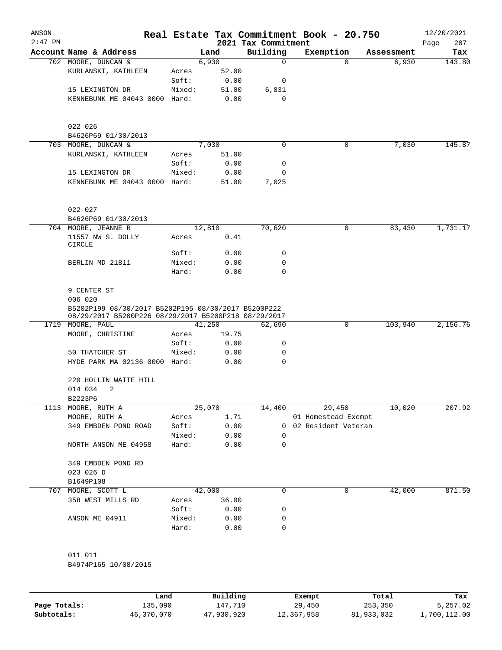| ANSON<br>$2:47$ PM |                                                                                                             |        |        | 2021 Tax Commitment | Real Estate Tax Commitment Book - 20.750 |            | 12/20/2021<br>207<br>Page |
|--------------------|-------------------------------------------------------------------------------------------------------------|--------|--------|---------------------|------------------------------------------|------------|---------------------------|
|                    | Account Name & Address                                                                                      |        | Land   | Building            | Exemption                                | Assessment | Tax                       |
|                    | 702 MOORE, DUNCAN &                                                                                         |        | 6,930  | $\mathbf 0$         | 0                                        | 6,930      | 143.80                    |
|                    | KURLANSKI, KATHLEEN                                                                                         | Acres  | 52.00  |                     |                                          |            |                           |
|                    |                                                                                                             | Soft:  | 0.00   | 0                   |                                          |            |                           |
|                    | 15 LEXINGTON DR                                                                                             | Mixed: | 51.00  | 6,831               |                                          |            |                           |
|                    | KENNEBUNK ME 04043 0000 Hard:                                                                               |        | 0.00   | $\mathbf 0$         |                                          |            |                           |
|                    | 022 026<br>B4626P69 01/30/2013                                                                              |        |        |                     |                                          |            |                           |
|                    | 703 MOORE, DUNCAN &                                                                                         |        | 7,030  | 0                   | $\mathbf 0$                              | 7,030      | 145.87                    |
|                    | KURLANSKI, KATHLEEN                                                                                         | Acres  | 51.00  |                     |                                          |            |                           |
|                    |                                                                                                             | Soft:  | 0.00   | 0                   |                                          |            |                           |
|                    | 15 LEXINGTON DR                                                                                             | Mixed: | 0.00   | $\mathbf 0$         |                                          |            |                           |
|                    | KENNEBUNK ME 04043 0000 Hard:                                                                               |        | 51.00  | 7,025               |                                          |            |                           |
|                    | 022 027                                                                                                     |        |        |                     |                                          |            |                           |
|                    | B4626P69 01/30/2013                                                                                         |        |        |                     |                                          |            |                           |
|                    | 704 MOORE, JEANNE R                                                                                         |        | 12,810 | 70,620              | 0                                        | 83,430     | 1,731.17                  |
|                    | 11557 NW S. DOLLY<br>CIRCLE                                                                                 | Acres  | 0.41   |                     |                                          |            |                           |
|                    |                                                                                                             | Soft:  | 0.00   | 0                   |                                          |            |                           |
|                    | BERLIN MD 21811                                                                                             | Mixed: | 0.00   | 0                   |                                          |            |                           |
|                    |                                                                                                             | Hard:  | 0.00   | 0                   |                                          |            |                           |
|                    | 9 CENTER ST<br>006 020                                                                                      |        |        |                     |                                          |            |                           |
|                    | B5202P199 08/30/2017 B5202P195 08/30/2017 B5200P222<br>08/29/2017 B5200P226 08/29/2017 B5200P218 08/29/2017 |        |        |                     |                                          |            |                           |
|                    | 1719 MOORE, PAUL                                                                                            |        | 41,250 | 62,690              | 0                                        | 103,940    | 2,156.76                  |
|                    | MOORE, CHRISTINE                                                                                            | Acres  | 19.75  |                     |                                          |            |                           |
|                    |                                                                                                             | Soft:  | 0.00   | 0                   |                                          |            |                           |
|                    | 50 THATCHER ST                                                                                              | Mixed: | 0.00   | 0                   |                                          |            |                           |
|                    | HYDE PARK MA 02136 0000 Hard:                                                                               |        | 0.00   | 0                   |                                          |            |                           |
|                    | 220 HOLLIN WAITE HILL                                                                                       |        |        |                     |                                          |            |                           |
|                    | 014 034<br>2                                                                                                |        |        |                     |                                          |            |                           |
|                    | B2223P6                                                                                                     |        |        |                     |                                          |            |                           |
| 1113               | MOORE, RUTH A                                                                                               |        | 25,070 | 14,400              | 29,450                                   | 10,020     | 207.92                    |
|                    | MOORE, RUTH A                                                                                               | Acres  | 1.71   |                     | 01 Homestead Exempt                      |            |                           |
|                    | 349 EMBDEN POND ROAD                                                                                        | Soft:  | 0.00   |                     | 0 02 Resident Veteran                    |            |                           |
|                    |                                                                                                             | Mixed: | 0.00   | 0                   |                                          |            |                           |
|                    | NORTH ANSON ME 04958                                                                                        | Hard:  | 0.00   | 0                   |                                          |            |                           |
|                    | 349 EMBDEN POND RD                                                                                          |        |        |                     |                                          |            |                           |
|                    | 023 026 D                                                                                                   |        |        |                     |                                          |            |                           |
|                    | B1649P108                                                                                                   |        |        |                     |                                          |            |                           |
|                    | 707 MOORE, SCOTT L                                                                                          |        | 42,000 | 0                   | 0                                        | 42,000     | 871.50                    |
|                    | 358 WEST MILLS RD                                                                                           | Acres  | 36.00  |                     |                                          |            |                           |
|                    |                                                                                                             | Soft:  | 0.00   | 0                   |                                          |            |                           |
|                    | ANSON ME 04911                                                                                              | Mixed: | 0.00   | 0                   |                                          |            |                           |
|                    |                                                                                                             | Hard:  | 0.00   | 0                   |                                          |            |                           |
|                    | 011 011                                                                                                     |        |        |                     |                                          |            |                           |
|                    | B4974P165 10/08/2015                                                                                        |        |        |                     |                                          |            |                           |
|                    |                                                                                                             |        |        |                     |                                          |            |                           |

|              | Land       | Building   | Exempt     | Total      | Tax          |
|--------------|------------|------------|------------|------------|--------------|
| Page Totals: | 135,090    | 147,710    | 29,450     | 253,350    | 5,257.02     |
| Subtotals:   | 46,370,070 | 47,930,920 | 12,367,958 | 81,933,032 | 1,700,112.00 |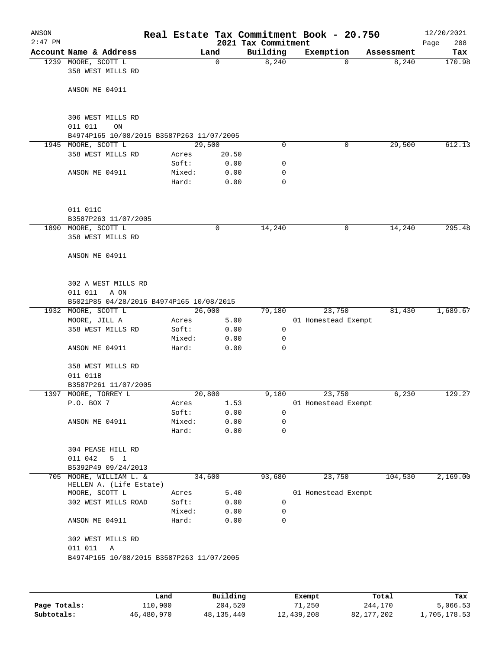| $2:47$ PM<br>2021 Tax Commitment<br>Account Name & Address<br>Building<br>Exemption<br>Land<br>Assessment<br>8,240<br>1239 MOORE, SCOTT L<br>$\Omega$<br>$\Omega$<br>358 WEST MILLS RD<br>ANSON ME 04911<br>306 WEST MILLS RD<br>011 011<br>ON<br>B4974P165 10/08/2015 B3587P263 11/07/2005<br>1945 MOORE, SCOTT L<br>29,500<br>$\mathbf 0$<br>0<br>358 WEST MILLS RD<br>Acres<br>20.50<br>Soft:<br>0.00<br>0<br>ANSON ME 04911<br>Mixed:<br>0.00<br>0<br>Hard:<br>0.00<br>0<br>011 011C<br>B3587P263 11/07/2005<br>1890 MOORE, SCOTT L<br>14,240<br>0<br>0<br>358 WEST MILLS RD<br>ANSON ME 04911<br>302 A WEST MILLS RD<br>011 011<br>A ON<br>B5021P85 04/28/2016 B4974P165 10/08/2015<br>26,000<br>1932 MOORE, SCOTT L<br>79,180<br>23,750<br>MOORE, JILL A<br>5.00<br>01 Homestead Exempt<br>Acres<br>358 WEST MILLS RD<br>Soft:<br>0.00<br>0<br>Mixed:<br>0.00<br>0<br>ANSON ME 04911<br>Hard:<br>0.00<br>$\Omega$<br>358 WEST MILLS RD<br>011 011B<br>B3587P261 11/07/2005<br>MOORE, TORREY L<br>20,800<br>23,750<br>1397<br>9,180 | Page<br>8,240<br>29,500 | 208<br>Tax |
|------------------------------------------------------------------------------------------------------------------------------------------------------------------------------------------------------------------------------------------------------------------------------------------------------------------------------------------------------------------------------------------------------------------------------------------------------------------------------------------------------------------------------------------------------------------------------------------------------------------------------------------------------------------------------------------------------------------------------------------------------------------------------------------------------------------------------------------------------------------------------------------------------------------------------------------------------------------------------------------------------------------------------------------|-------------------------|------------|
|                                                                                                                                                                                                                                                                                                                                                                                                                                                                                                                                                                                                                                                                                                                                                                                                                                                                                                                                                                                                                                          |                         | 170.98     |
|                                                                                                                                                                                                                                                                                                                                                                                                                                                                                                                                                                                                                                                                                                                                                                                                                                                                                                                                                                                                                                          |                         |            |
|                                                                                                                                                                                                                                                                                                                                                                                                                                                                                                                                                                                                                                                                                                                                                                                                                                                                                                                                                                                                                                          |                         |            |
|                                                                                                                                                                                                                                                                                                                                                                                                                                                                                                                                                                                                                                                                                                                                                                                                                                                                                                                                                                                                                                          |                         |            |
|                                                                                                                                                                                                                                                                                                                                                                                                                                                                                                                                                                                                                                                                                                                                                                                                                                                                                                                                                                                                                                          |                         |            |
|                                                                                                                                                                                                                                                                                                                                                                                                                                                                                                                                                                                                                                                                                                                                                                                                                                                                                                                                                                                                                                          |                         | 612.13     |
|                                                                                                                                                                                                                                                                                                                                                                                                                                                                                                                                                                                                                                                                                                                                                                                                                                                                                                                                                                                                                                          |                         |            |
|                                                                                                                                                                                                                                                                                                                                                                                                                                                                                                                                                                                                                                                                                                                                                                                                                                                                                                                                                                                                                                          |                         |            |
|                                                                                                                                                                                                                                                                                                                                                                                                                                                                                                                                                                                                                                                                                                                                                                                                                                                                                                                                                                                                                                          |                         |            |
|                                                                                                                                                                                                                                                                                                                                                                                                                                                                                                                                                                                                                                                                                                                                                                                                                                                                                                                                                                                                                                          |                         |            |
|                                                                                                                                                                                                                                                                                                                                                                                                                                                                                                                                                                                                                                                                                                                                                                                                                                                                                                                                                                                                                                          |                         |            |
|                                                                                                                                                                                                                                                                                                                                                                                                                                                                                                                                                                                                                                                                                                                                                                                                                                                                                                                                                                                                                                          |                         |            |
|                                                                                                                                                                                                                                                                                                                                                                                                                                                                                                                                                                                                                                                                                                                                                                                                                                                                                                                                                                                                                                          |                         |            |
|                                                                                                                                                                                                                                                                                                                                                                                                                                                                                                                                                                                                                                                                                                                                                                                                                                                                                                                                                                                                                                          | 14,240                  | 295.48     |
|                                                                                                                                                                                                                                                                                                                                                                                                                                                                                                                                                                                                                                                                                                                                                                                                                                                                                                                                                                                                                                          |                         |            |
|                                                                                                                                                                                                                                                                                                                                                                                                                                                                                                                                                                                                                                                                                                                                                                                                                                                                                                                                                                                                                                          |                         |            |
|                                                                                                                                                                                                                                                                                                                                                                                                                                                                                                                                                                                                                                                                                                                                                                                                                                                                                                                                                                                                                                          |                         |            |
|                                                                                                                                                                                                                                                                                                                                                                                                                                                                                                                                                                                                                                                                                                                                                                                                                                                                                                                                                                                                                                          |                         |            |
|                                                                                                                                                                                                                                                                                                                                                                                                                                                                                                                                                                                                                                                                                                                                                                                                                                                                                                                                                                                                                                          | 81,430                  | 1,689.67   |
|                                                                                                                                                                                                                                                                                                                                                                                                                                                                                                                                                                                                                                                                                                                                                                                                                                                                                                                                                                                                                                          |                         |            |
|                                                                                                                                                                                                                                                                                                                                                                                                                                                                                                                                                                                                                                                                                                                                                                                                                                                                                                                                                                                                                                          |                         |            |
|                                                                                                                                                                                                                                                                                                                                                                                                                                                                                                                                                                                                                                                                                                                                                                                                                                                                                                                                                                                                                                          |                         |            |
|                                                                                                                                                                                                                                                                                                                                                                                                                                                                                                                                                                                                                                                                                                                                                                                                                                                                                                                                                                                                                                          |                         |            |
|                                                                                                                                                                                                                                                                                                                                                                                                                                                                                                                                                                                                                                                                                                                                                                                                                                                                                                                                                                                                                                          |                         |            |
|                                                                                                                                                                                                                                                                                                                                                                                                                                                                                                                                                                                                                                                                                                                                                                                                                                                                                                                                                                                                                                          |                         |            |
|                                                                                                                                                                                                                                                                                                                                                                                                                                                                                                                                                                                                                                                                                                                                                                                                                                                                                                                                                                                                                                          | 6,230                   | 129.27     |
| P.O. BOX 7<br>1.53<br>01 Homestead Exempt<br>Acres                                                                                                                                                                                                                                                                                                                                                                                                                                                                                                                                                                                                                                                                                                                                                                                                                                                                                                                                                                                       |                         |            |
| Soft:<br>0.00<br>0                                                                                                                                                                                                                                                                                                                                                                                                                                                                                                                                                                                                                                                                                                                                                                                                                                                                                                                                                                                                                       |                         |            |
| ANSON ME 04911<br>Mixed:<br>0.00<br>0                                                                                                                                                                                                                                                                                                                                                                                                                                                                                                                                                                                                                                                                                                                                                                                                                                                                                                                                                                                                    |                         |            |
| 0.00<br>Hard:<br>0                                                                                                                                                                                                                                                                                                                                                                                                                                                                                                                                                                                                                                                                                                                                                                                                                                                                                                                                                                                                                       |                         |            |
| 304 PEASE HILL RD<br>011 042<br>5 <sub>1</sub>                                                                                                                                                                                                                                                                                                                                                                                                                                                                                                                                                                                                                                                                                                                                                                                                                                                                                                                                                                                           |                         |            |
| B5392P49 09/24/2013                                                                                                                                                                                                                                                                                                                                                                                                                                                                                                                                                                                                                                                                                                                                                                                                                                                                                                                                                                                                                      |                         |            |
| 705 MOORE, WILLIAM L. &<br>34,600<br>93,680<br>23,750                                                                                                                                                                                                                                                                                                                                                                                                                                                                                                                                                                                                                                                                                                                                                                                                                                                                                                                                                                                    | 104,530                 | 2,169.00   |
| HELLEN A. (Life Estate)<br>MOORE, SCOTT L<br>5.40<br>01 Homestead Exempt<br>Acres                                                                                                                                                                                                                                                                                                                                                                                                                                                                                                                                                                                                                                                                                                                                                                                                                                                                                                                                                        |                         |            |
| Soft:<br>302 WEST MILLS ROAD<br>0.00<br>0                                                                                                                                                                                                                                                                                                                                                                                                                                                                                                                                                                                                                                                                                                                                                                                                                                                                                                                                                                                                |                         |            |
| Mixed:<br>0.00<br>0                                                                                                                                                                                                                                                                                                                                                                                                                                                                                                                                                                                                                                                                                                                                                                                                                                                                                                                                                                                                                      |                         |            |
| 0<br>ANSON ME 04911<br>Hard:<br>0.00                                                                                                                                                                                                                                                                                                                                                                                                                                                                                                                                                                                                                                                                                                                                                                                                                                                                                                                                                                                                     |                         |            |
| 302 WEST MILLS RD                                                                                                                                                                                                                                                                                                                                                                                                                                                                                                                                                                                                                                                                                                                                                                                                                                                                                                                                                                                                                        |                         |            |
| 011 011<br>Α                                                                                                                                                                                                                                                                                                                                                                                                                                                                                                                                                                                                                                                                                                                                                                                                                                                                                                                                                                                                                             |                         |            |
| B4974P165 10/08/2015 B3587P263 11/07/2005                                                                                                                                                                                                                                                                                                                                                                                                                                                                                                                                                                                                                                                                                                                                                                                                                                                                                                                                                                                                |                         |            |
|                                                                                                                                                                                                                                                                                                                                                                                                                                                                                                                                                                                                                                                                                                                                                                                                                                                                                                                                                                                                                                          |                         |            |
|                                                                                                                                                                                                                                                                                                                                                                                                                                                                                                                                                                                                                                                                                                                                                                                                                                                                                                                                                                                                                                          |                         |            |

|              | Land       | Building   | Exempt     | Total      | Tax          |
|--------------|------------|------------|------------|------------|--------------|
| Page Totals: | 110,900    | 204,520    | 71,250     | 244,170    | 5,066.53     |
| Subtotals:   | 46,480,970 | 48,135,440 | 12,439,208 | 82,177,202 | 1,705,178.53 |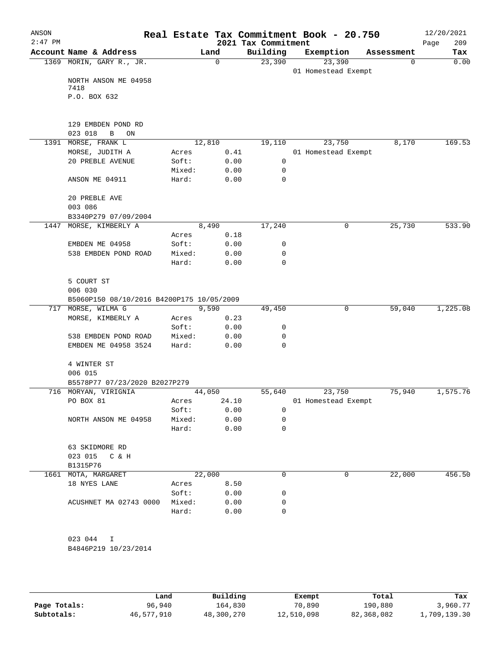| ANSON<br>$2:47$ PM |                                           |        |          | 2021 Tax Commitment | Real Estate Tax Commitment Book - 20.750 |            | 12/20/2021<br>209<br>Page |
|--------------------|-------------------------------------------|--------|----------|---------------------|------------------------------------------|------------|---------------------------|
|                    | Account Name & Address                    | Land   |          | Building            | Exemption                                | Assessment | Tax                       |
|                    | 1369 MORIN, GARY R., JR.                  |        | $\Omega$ | 23,390              | 23,390                                   | 0          | 0.00                      |
|                    | NORTH ANSON ME 04958                      |        |          |                     | 01 Homestead Exempt                      |            |                           |
|                    | 7418<br>P.O. BOX 632                      |        |          |                     |                                          |            |                           |
|                    |                                           |        |          |                     |                                          |            |                           |
|                    | 129 EMBDEN POND RD<br>023 018<br>B<br>ON  |        |          |                     |                                          |            |                           |
|                    | 1391 MORSE, FRANK L                       | 12,810 |          | 19,110              | 23,750                                   | 8,170      | 169.53                    |
|                    | MORSE, JUDITH A                           | Acres  | 0.41     |                     | 01 Homestead Exempt                      |            |                           |
|                    | 20 PREBLE AVENUE                          | Soft:  | 0.00     | $\mathsf{O}$        |                                          |            |                           |
|                    |                                           | Mixed: | 0.00     | 0                   |                                          |            |                           |
|                    | ANSON ME 04911                            | Hard:  | 0.00     | 0                   |                                          |            |                           |
|                    | 20 PREBLE AVE                             |        |          |                     |                                          |            |                           |
|                    | 003 086                                   |        |          |                     |                                          |            |                           |
|                    | B3340P279 07/09/2004                      |        |          |                     |                                          |            |                           |
| 1447               | MORSE, KIMBERLY A                         | 8,490  |          | 17,240              | 0                                        | 25,730     | 533.90                    |
|                    |                                           | Acres  | 0.18     |                     |                                          |            |                           |
|                    | EMBDEN ME 04958                           | Soft:  | 0.00     | 0                   |                                          |            |                           |
|                    | 538 EMBDEN POND ROAD                      | Mixed: | 0.00     | 0                   |                                          |            |                           |
|                    |                                           | Hard:  | 0.00     | 0                   |                                          |            |                           |
|                    | 5 COURT ST                                |        |          |                     |                                          |            |                           |
|                    | 006 030                                   |        |          |                     |                                          |            |                           |
|                    | B5060P150 08/10/2016 B4200P175 10/05/2009 |        |          |                     |                                          |            |                           |
|                    | 717 MORSE, WILMA G                        | 9,590  |          | 49,450              | 0                                        | 59,040     | 1,225.08                  |
|                    | MORSE, KIMBERLY A                         | Acres  | 0.23     |                     |                                          |            |                           |
|                    |                                           | Soft:  | 0.00     | 0                   |                                          |            |                           |
|                    | 538 EMBDEN POND ROAD                      | Mixed: | 0.00     | 0                   |                                          |            |                           |
|                    | EMBDEN ME 04958 3524                      | Hard:  | 0.00     | 0                   |                                          |            |                           |
|                    | 4 WINTER ST                               |        |          |                     |                                          |            |                           |
|                    | 006 015<br>B5578P77 07/23/2020 B2027P279  |        |          |                     |                                          |            |                           |
|                    | 716 MORYAN, VIRIGNIA                      | 44,050 |          | 55,640              | 23,750                                   | 75,940     | 1,575.76                  |
|                    | PO BOX 81                                 | Acres  | 24.10    |                     | 01 Homestead Exempt                      |            |                           |
|                    |                                           | Soft:  | 0.00     | 0                   |                                          |            |                           |
|                    | NORTH ANSON ME 04958                      | Mixed: | 0.00     | 0                   |                                          |            |                           |
|                    |                                           | Hard:  | 0.00     | 0                   |                                          |            |                           |
|                    | 63 SKIDMORE RD                            |        |          |                     |                                          |            |                           |
|                    | 023 015 C & H<br>B1315P76                 |        |          |                     |                                          |            |                           |
| 1661               | MOTA, MARGARET                            | 22,000 |          | 0                   | 0                                        | 22,000     | 456.50                    |
|                    | 18 NYES LANE                              | Acres  | 8.50     |                     |                                          |            |                           |
|                    |                                           | Soft:  | 0.00     | 0                   |                                          |            |                           |
|                    | ACUSHNET MA 02743 0000                    | Mixed: | 0.00     | 0                   |                                          |            |                           |
|                    |                                           | Hard:  | 0.00     | 0                   |                                          |            |                           |
|                    | 023 044<br>I                              |        |          |                     |                                          |            |                           |
|                    | B4846P219 10/23/2014                      |        |          |                     |                                          |            |                           |
|                    |                                           |        |          |                     |                                          |            |                           |

|              | Land       | Building   | Exempt     | Total      | Tax          |
|--------------|------------|------------|------------|------------|--------------|
| Page Totals: | 96,940     | 164,830    | 70,890     | 190,880    | 3,960.77     |
| Subtotals:   | 46,577,910 | 48,300,270 | 12,510,098 | 82,368,082 | 1,709,139.30 |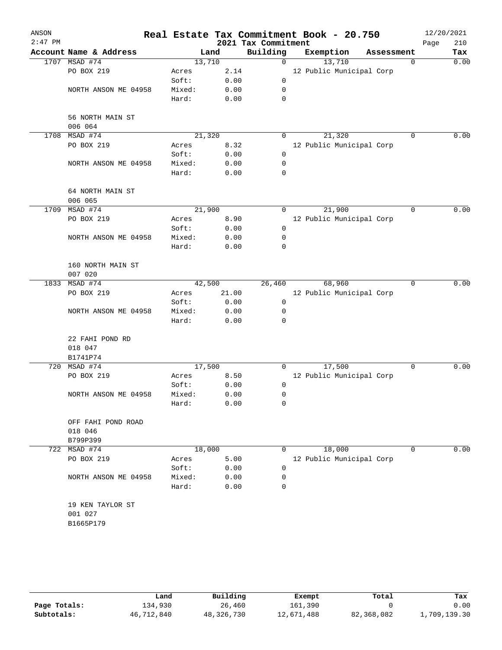| ANSON     |                               |        |       |                     | Real Estate Tax Commitment Book - 20.750 |            |             | 12/20/2021 |      |
|-----------|-------------------------------|--------|-------|---------------------|------------------------------------------|------------|-------------|------------|------|
| $2:47$ PM |                               |        |       | 2021 Tax Commitment |                                          |            |             | Page       | 210  |
|           | Account Name & Address        | Land   |       | Building            | Exemption                                | Assessment |             |            | Tax  |
|           | 1707 MSAD #74                 | 13,710 |       | $\mathbf 0$         | 13,710                                   |            | $\Omega$    |            | 0.00 |
|           | PO BOX 219                    | Acres  | 2.14  |                     | 12 Public Municipal Corp                 |            |             |            |      |
|           |                               | Soft:  | 0.00  | $\mathbf 0$         |                                          |            |             |            |      |
|           | NORTH ANSON ME 04958          | Mixed: | 0.00  | 0                   |                                          |            |             |            |      |
|           |                               | Hard:  | 0.00  | 0                   |                                          |            |             |            |      |
|           | 56 NORTH MAIN ST<br>006 064   |        |       |                     |                                          |            |             |            |      |
|           | 1708 MSAD #74                 | 21,320 |       | 0                   | 21,320                                   |            | $\Omega$    |            | 0.00 |
|           | PO BOX 219                    | Acres  | 8.32  |                     | 12 Public Municipal Corp                 |            |             |            |      |
|           |                               | Soft:  | 0.00  | $\mathbf 0$         |                                          |            |             |            |      |
|           | NORTH ANSON ME 04958          | Mixed: | 0.00  | 0                   |                                          |            |             |            |      |
|           |                               | Hard:  | 0.00  | $\mathbf 0$         |                                          |            |             |            |      |
|           | 64 NORTH MAIN ST              |        |       |                     |                                          |            |             |            |      |
|           | 006 065                       |        |       |                     |                                          |            |             |            |      |
| 1709      | MSAD #74                      | 21,900 |       | 0                   | 21,900                                   |            | $\Omega$    |            | 0.00 |
|           | PO BOX 219                    | Acres  | 8.90  |                     | 12 Public Municipal Corp                 |            |             |            |      |
|           |                               | Soft:  | 0.00  | $\mathbf 0$         |                                          |            |             |            |      |
|           | NORTH ANSON ME 04958          | Mixed: | 0.00  | 0                   |                                          |            |             |            |      |
|           |                               | Hard:  | 0.00  | 0                   |                                          |            |             |            |      |
|           | 160 NORTH MAIN ST<br>007 020  |        |       |                     |                                          |            |             |            |      |
|           | 1833 MSAD #74                 | 42,500 |       | 26,460              | 68,960                                   |            | $\Omega$    |            | 0.00 |
|           | PO BOX 219                    | Acres  | 21.00 |                     | 12 Public Municipal Corp                 |            |             |            |      |
|           |                               | Soft:  | 0.00  | 0                   |                                          |            |             |            |      |
|           | NORTH ANSON ME 04958          | Mixed: | 0.00  | 0                   |                                          |            |             |            |      |
|           |                               | Hard:  | 0.00  | $\mathbf 0$         |                                          |            |             |            |      |
|           | 22 FAHI POND RD               |        |       |                     |                                          |            |             |            |      |
|           | 018 047                       |        |       |                     |                                          |            |             |            |      |
|           | B1741P74                      |        |       |                     |                                          |            |             |            |      |
| 720       | MSAD #74                      | 17,500 |       | 0                   | 17,500                                   |            | $\mathbf 0$ |            | 0.00 |
|           | PO BOX 219                    | Acres  | 8.50  |                     | 12 Public Municipal Corp                 |            |             |            |      |
|           |                               | Soft:  | 0.00  | 0                   |                                          |            |             |            |      |
|           | NORTH ANSON ME 04958          | Mixed: | 0.00  | 0                   |                                          |            |             |            |      |
|           |                               | Hard:  | 0.00  | 0                   |                                          |            |             |            |      |
|           | OFF FAHI POND ROAD<br>018 046 |        |       |                     |                                          |            |             |            |      |
|           | B799P399                      |        |       |                     |                                          |            |             |            |      |
| 722       | MSAD #74                      | 18,000 |       | 0                   | 18,000                                   |            | $\mathbf 0$ |            | 0.00 |
|           | PO BOX 219                    | Acres  | 5.00  |                     | 12 Public Municipal Corp                 |            |             |            |      |
|           |                               | Soft:  | 0.00  | 0                   |                                          |            |             |            |      |
|           | NORTH ANSON ME 04958          | Mixed: | 0.00  | 0                   |                                          |            |             |            |      |
|           |                               | Hard:  | 0.00  | $\mathbf 0$         |                                          |            |             |            |      |
|           | 19 KEN TAYLOR ST<br>001 027   |        |       |                     |                                          |            |             |            |      |
|           |                               |        |       |                     |                                          |            |             |            |      |
|           | B1665P179                     |        |       |                     |                                          |            |             |            |      |
|           |                               |        |       |                     |                                          |            |             |            |      |

|              | Land       | Building   | Exempt     | Total      | Tax          |
|--------------|------------|------------|------------|------------|--------------|
| Page Totals: | 134,930    | 26,460     | 161,390    |            | 0.00         |
| Subtotals:   | 46,712,840 | 48,326,730 | 12,671,488 | 82,368,082 | 1,709,139.30 |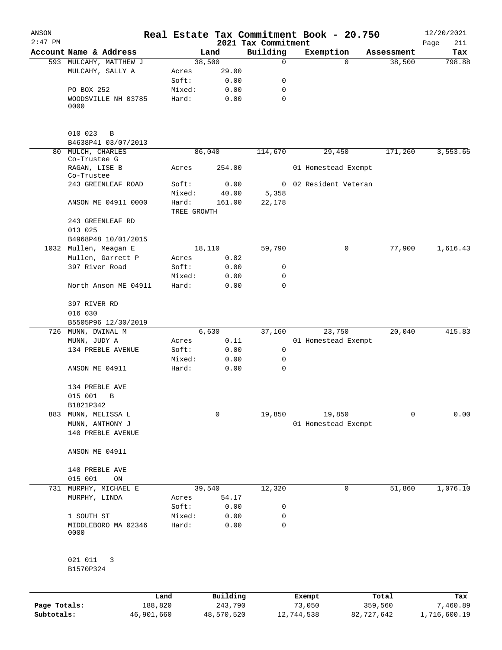| $2:47$ PM<br>Account Name & Address<br>593 MULCAHY, MATTHEW J<br>MULCAHY, SALLY A<br>PO BOX 252<br>WOODSVILLE NH 03785<br>0000<br>010 023<br>B<br>B4638P41 03/07/2013<br>MULCH, CHARLES<br>80 | Acres<br>Soft:<br>Mixed:<br>Hard:<br>Acres<br>Soft:<br>Mixed:<br>Hard:<br>TREE GROWTH | Land<br>38,500<br>29.00<br>0.00<br>0.00<br>0.00<br>86,040<br>254.00<br>0.00<br>40.00 | 2021 Tax Commitment<br>Building<br>$\mathbf 0$<br>0<br>0<br>$\mathbf 0$<br>114,670 | Exemption<br>$\Omega$<br>29,450<br>01 Homestead Exempt | Assessment<br>38,500<br>171,260 | Page<br>211<br>Tax<br>798.88<br>3,553.65 |
|-----------------------------------------------------------------------------------------------------------------------------------------------------------------------------------------------|---------------------------------------------------------------------------------------|--------------------------------------------------------------------------------------|------------------------------------------------------------------------------------|--------------------------------------------------------|---------------------------------|------------------------------------------|
|                                                                                                                                                                                               |                                                                                       |                                                                                      |                                                                                    |                                                        |                                 |                                          |
|                                                                                                                                                                                               |                                                                                       |                                                                                      |                                                                                    |                                                        |                                 |                                          |
|                                                                                                                                                                                               |                                                                                       |                                                                                      |                                                                                    |                                                        |                                 |                                          |
|                                                                                                                                                                                               |                                                                                       |                                                                                      |                                                                                    |                                                        |                                 |                                          |
|                                                                                                                                                                                               |                                                                                       |                                                                                      |                                                                                    |                                                        |                                 |                                          |
|                                                                                                                                                                                               |                                                                                       |                                                                                      |                                                                                    |                                                        |                                 |                                          |
|                                                                                                                                                                                               |                                                                                       |                                                                                      |                                                                                    |                                                        |                                 |                                          |
|                                                                                                                                                                                               |                                                                                       |                                                                                      |                                                                                    |                                                        |                                 |                                          |
|                                                                                                                                                                                               |                                                                                       |                                                                                      |                                                                                    |                                                        |                                 |                                          |
|                                                                                                                                                                                               |                                                                                       |                                                                                      |                                                                                    |                                                        |                                 |                                          |
| Co-Trustee G<br>RAGAN, LISE B                                                                                                                                                                 |                                                                                       |                                                                                      |                                                                                    |                                                        |                                 |                                          |
| Co-Trustee                                                                                                                                                                                    |                                                                                       |                                                                                      |                                                                                    |                                                        |                                 |                                          |
| 243 GREENLEAF ROAD                                                                                                                                                                            |                                                                                       |                                                                                      | 0                                                                                  | 02 Resident Veteran                                    |                                 |                                          |
|                                                                                                                                                                                               |                                                                                       |                                                                                      | 5,358                                                                              |                                                        |                                 |                                          |
| ANSON ME 04911 0000                                                                                                                                                                           |                                                                                       | 161.00                                                                               | 22,178                                                                             |                                                        |                                 |                                          |
|                                                                                                                                                                                               |                                                                                       |                                                                                      |                                                                                    |                                                        |                                 |                                          |
| 243 GREENLEAF RD<br>013 025                                                                                                                                                                   |                                                                                       |                                                                                      |                                                                                    |                                                        |                                 |                                          |
| B4968P48 10/01/2015                                                                                                                                                                           |                                                                                       |                                                                                      |                                                                                    |                                                        |                                 |                                          |
| 1032 Mullen, Meagan E                                                                                                                                                                         |                                                                                       | 18,110                                                                               | 59,790                                                                             | 0                                                      | 77,900                          | 1,616.43                                 |
| Mullen, Garrett P                                                                                                                                                                             | Acres                                                                                 | 0.82                                                                                 |                                                                                    |                                                        |                                 |                                          |
| 397 River Road                                                                                                                                                                                | Soft:                                                                                 | 0.00                                                                                 | 0                                                                                  |                                                        |                                 |                                          |
|                                                                                                                                                                                               | Mixed:                                                                                | 0.00                                                                                 | 0                                                                                  |                                                        |                                 |                                          |
| North Anson ME 04911                                                                                                                                                                          | Hard:                                                                                 | 0.00                                                                                 | $\mathbf 0$                                                                        |                                                        |                                 |                                          |
| 397 RIVER RD                                                                                                                                                                                  |                                                                                       |                                                                                      |                                                                                    |                                                        |                                 |                                          |
| 016 030                                                                                                                                                                                       |                                                                                       |                                                                                      |                                                                                    |                                                        |                                 |                                          |
| B5505P96 12/30/2019                                                                                                                                                                           |                                                                                       |                                                                                      |                                                                                    |                                                        |                                 |                                          |
| 726 MUNN, DWINAL M                                                                                                                                                                            |                                                                                       | 6,630                                                                                | 37,160                                                                             | 23,750                                                 | 20,040                          | 415.83                                   |
| MUNN, JUDY A                                                                                                                                                                                  | Acres                                                                                 | 0.11                                                                                 |                                                                                    | 01 Homestead Exempt                                    |                                 |                                          |
| 134 PREBLE AVENUE                                                                                                                                                                             | Soft:                                                                                 | 0.00                                                                                 | 0                                                                                  |                                                        |                                 |                                          |
|                                                                                                                                                                                               | Mixed:                                                                                | 0.00                                                                                 | 0                                                                                  |                                                        |                                 |                                          |
| ANSON ME 04911                                                                                                                                                                                | Hard:                                                                                 | 0.00                                                                                 | $\mathbf 0$                                                                        |                                                        |                                 |                                          |
| 134 PREBLE AVE                                                                                                                                                                                |                                                                                       |                                                                                      |                                                                                    |                                                        |                                 |                                          |
| 015 001<br>B                                                                                                                                                                                  |                                                                                       |                                                                                      |                                                                                    |                                                        |                                 |                                          |
| B1821P342                                                                                                                                                                                     |                                                                                       |                                                                                      |                                                                                    |                                                        |                                 |                                          |
| 883 MUNN, MELISSA L                                                                                                                                                                           |                                                                                       | $\mathbf 0$                                                                          | 19,850                                                                             | 19,850                                                 | 0                               | 0.00                                     |
| MUNN, ANTHONY J                                                                                                                                                                               |                                                                                       |                                                                                      |                                                                                    | 01 Homestead Exempt                                    |                                 |                                          |
| 140 PREBLE AVENUE                                                                                                                                                                             |                                                                                       |                                                                                      |                                                                                    |                                                        |                                 |                                          |
| ANSON ME 04911                                                                                                                                                                                |                                                                                       |                                                                                      |                                                                                    |                                                        |                                 |                                          |
| 140 PREBLE AVE                                                                                                                                                                                |                                                                                       |                                                                                      |                                                                                    |                                                        |                                 |                                          |
| 015 001<br>ON                                                                                                                                                                                 |                                                                                       |                                                                                      |                                                                                    |                                                        |                                 |                                          |
| MURPHY, MICHAEL E<br>731                                                                                                                                                                      |                                                                                       | 39,540                                                                               | 12,320                                                                             | 0                                                      | 51,860                          | 1,076.10                                 |
| MURPHY, LINDA                                                                                                                                                                                 | Acres                                                                                 | 54.17                                                                                |                                                                                    |                                                        |                                 |                                          |
|                                                                                                                                                                                               | Soft:                                                                                 | 0.00                                                                                 | 0                                                                                  |                                                        |                                 |                                          |
| 1 SOUTH ST                                                                                                                                                                                    | Mixed:                                                                                | 0.00                                                                                 | $\mathbf 0$                                                                        |                                                        |                                 |                                          |
|                                                                                                                                                                                               |                                                                                       |                                                                                      | $\mathbf 0$                                                                        |                                                        |                                 |                                          |
| MIDDLEBORO MA 02346<br>0000                                                                                                                                                                   | Hard:                                                                                 | 0.00                                                                                 |                                                                                    |                                                        |                                 |                                          |
| 021 011                                                                                                                                                                                       |                                                                                       |                                                                                      |                                                                                    |                                                        |                                 |                                          |
| 3<br>B1570P324                                                                                                                                                                                |                                                                                       |                                                                                      |                                                                                    |                                                        |                                 |                                          |
|                                                                                                                                                                                               | Land                                                                                  | Building                                                                             |                                                                                    |                                                        | Total                           | Tax                                      |
| Page Totals:                                                                                                                                                                                  | 188,820                                                                               | 243,790                                                                              |                                                                                    | Exempt<br>73,050                                       | 359,560                         | 7,460.89                                 |
| Subtotals:<br>46,901,660                                                                                                                                                                      |                                                                                       | 48,570,520                                                                           |                                                                                    |                                                        |                                 | 1,716,600.19                             |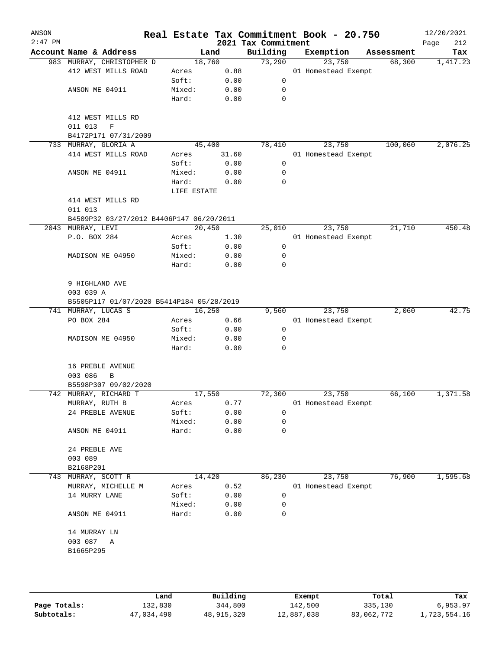| ANSON<br>$2:47$ PM |                                           |                 |              | 2021 Tax Commitment | Real Estate Tax Commitment Book - 20.750 |            | 12/20/2021<br>Page<br>212 |
|--------------------|-------------------------------------------|-----------------|--------------|---------------------|------------------------------------------|------------|---------------------------|
|                    | Account Name & Address                    |                 | Land         | Building            | Exemption                                | Assessment | Tax                       |
|                    | 983 MURRAY, CHRISTOPHER D                 | 18,760          |              | 73,290              | 23,750                                   | 68,300     | 1,417.23                  |
|                    | 412 WEST MILLS ROAD                       | Acres           | 0.88         |                     | 01 Homestead Exempt                      |            |                           |
|                    |                                           | Soft:           | 0.00         | 0                   |                                          |            |                           |
|                    | ANSON ME 04911                            | Mixed:          | 0.00         | 0                   |                                          |            |                           |
|                    |                                           | Hard:           | 0.00         | $\mathbf 0$         |                                          |            |                           |
|                    | 412 WEST MILLS RD                         |                 |              |                     |                                          |            |                           |
|                    | 011 013<br>$\mathbf F$                    |                 |              |                     |                                          |            |                           |
|                    | B4172P171 07/31/2009                      |                 |              |                     |                                          |            |                           |
| 733                | MURRAY, GLORIA A                          | 45,400          |              | 78,410              | 23,750                                   | 100,060    | 2,076.25                  |
|                    | 414 WEST MILLS ROAD                       | Acres           | 31.60        |                     | 01 Homestead Exempt                      |            |                           |
|                    |                                           | Soft:           | 0.00         | 0                   |                                          |            |                           |
|                    | ANSON ME 04911                            | Mixed:          | 0.00         | 0                   |                                          |            |                           |
|                    |                                           | Hard:           | 0.00         | 0                   |                                          |            |                           |
|                    |                                           | LIFE ESTATE     |              |                     |                                          |            |                           |
|                    | 414 WEST MILLS RD                         |                 |              |                     |                                          |            |                           |
|                    | 011 013                                   |                 |              |                     |                                          |            |                           |
|                    | B4509P32 03/27/2012 B4406P147 06/20/2011  |                 |              |                     |                                          |            |                           |
|                    | 2043 MURRAY, LEVI                         | 20,450          |              | 25,010              | 23,750                                   | 21,710     | 450.48                    |
|                    | P.O. BOX 284                              | Acres           | 1.30         |                     | 01 Homestead Exempt                      |            |                           |
|                    |                                           | Soft:           | 0.00         | 0                   |                                          |            |                           |
|                    | MADISON ME 04950                          | Mixed:          | 0.00         | 0                   |                                          |            |                           |
|                    |                                           | Hard:           | 0.00         | 0                   |                                          |            |                           |
|                    |                                           |                 |              |                     |                                          |            |                           |
|                    | 9 HIGHLAND AVE                            |                 |              |                     |                                          |            |                           |
|                    | 003 039 A                                 |                 |              |                     |                                          |            |                           |
|                    | B5505P117 01/07/2020 B5414P184 05/28/2019 |                 |              |                     |                                          |            |                           |
|                    | 741 MURRAY, LUCAS S                       | 16,250          |              | 9,560               | 23,750                                   | 2,060      | 42.75                     |
|                    | PO BOX 284                                | Acres<br>Soft:  | 0.66         | 0                   | 01 Homestead Exempt                      |            |                           |
|                    |                                           |                 | 0.00         | 0                   |                                          |            |                           |
|                    | MADISON ME 04950                          | Mixed:<br>Hard: | 0.00<br>0.00 | $\mathbf 0$         |                                          |            |                           |
|                    |                                           |                 |              |                     |                                          |            |                           |
|                    | 16 PREBLE AVENUE                          |                 |              |                     |                                          |            |                           |
|                    | 003 086<br>B                              |                 |              |                     |                                          |            |                           |
|                    | B5598P307 09/02/2020                      |                 |              |                     |                                          |            |                           |
|                    | 742 MURRAY, RICHARD T                     | 17,550          |              | 72,300              | 23,750                                   | 66,100     | 1,371.58                  |
|                    | MURRAY, RUTH B                            | Acres           | 0.77         |                     | 01 Homestead Exempt                      |            |                           |
|                    | 24 PREBLE AVENUE                          | Soft:           | 0.00         | 0                   |                                          |            |                           |
|                    |                                           | Mixed:          | 0.00         | 0                   |                                          |            |                           |
|                    | ANSON ME 04911                            | Hard:           | 0.00         | 0                   |                                          |            |                           |
|                    | 24 PREBLE AVE                             |                 |              |                     |                                          |            |                           |
|                    | 003 089                                   |                 |              |                     |                                          |            |                           |
|                    | B2168P201                                 |                 |              |                     |                                          |            |                           |
| 743                | MURRAY, SCOTT R                           | 14,420          |              | 86,230              | 23,750                                   | 76,900     | 1,595.68                  |
|                    | MURRAY, MICHELLE M                        | Acres           | 0.52         |                     | 01 Homestead Exempt                      |            |                           |
|                    | 14 MURRY LANE                             | Soft:           | 0.00         | 0                   |                                          |            |                           |
|                    |                                           | Mixed:          | 0.00         | 0                   |                                          |            |                           |
|                    | ANSON ME 04911                            | Hard:           | 0.00         | 0                   |                                          |            |                           |
|                    |                                           |                 |              |                     |                                          |            |                           |
|                    | 14 MURRAY LN                              |                 |              |                     |                                          |            |                           |
|                    | 003 087<br>A                              |                 |              |                     |                                          |            |                           |
|                    | B1665P295                                 |                 |              |                     |                                          |            |                           |
|                    |                                           |                 |              |                     |                                          |            |                           |
|                    |                                           |                 |              |                     |                                          |            |                           |
|                    |                                           |                 |              |                     |                                          |            |                           |

|              | Land       | Building   | Exempt     | Total      | Tax          |
|--------------|------------|------------|------------|------------|--------------|
| Page Totals: | 132,830    | 344,800    | 142,500    | 335,130    | 6,953.97     |
| Subtotals:   | 47,034,490 | 48,915,320 | 12,887,038 | 83,062,772 | l,723,554.16 |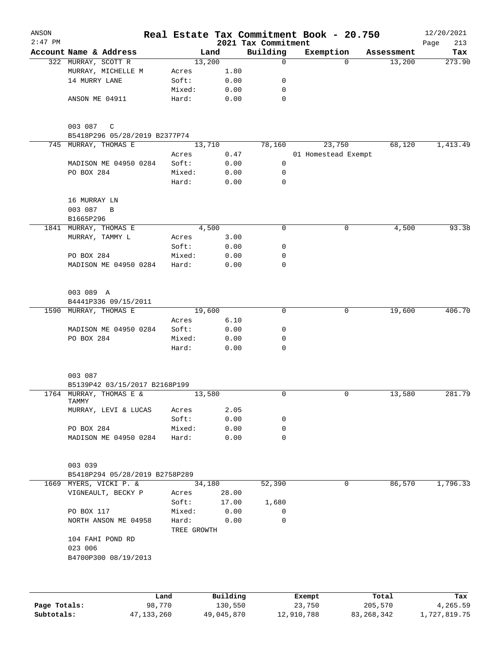| ANSON        |                                          |        |                      |        |              | Real Estate Tax Commitment Book - 20.750 |                     |             |            | 12/20/2021         |
|--------------|------------------------------------------|--------|----------------------|--------|--------------|------------------------------------------|---------------------|-------------|------------|--------------------|
| $2:47$ PM    | Account Name & Address                   |        |                      | Land   |              | 2021 Tax Commitment<br>Building          | Exemption           |             | Assessment | 213<br>Page<br>Tax |
|              | 322 MURRAY, SCOTT R                      |        |                      | 13,200 |              | $\mathbf 0$                              |                     | $\Omega$    | 13,200     | 273.90             |
|              | MURRAY, MICHELLE M                       |        | Acres                |        | 1.80         |                                          |                     |             |            |                    |
|              | 14 MURRY LANE                            |        | Soft:                |        | 0.00         | 0                                        |                     |             |            |                    |
|              |                                          |        | Mixed:               |        | 0.00         | 0                                        |                     |             |            |                    |
|              | ANSON ME 04911                           |        | Hard:                |        | 0.00         | $\mathbf 0$                              |                     |             |            |                    |
|              | 003 087<br>$\mathbb{C}$                  |        |                      |        |              |                                          |                     |             |            |                    |
|              | B5418P296 05/28/2019 B2377P74            |        |                      |        |              |                                          |                     |             |            |                    |
|              | 745 MURRAY, THOMAS E                     |        |                      | 13,710 |              | 78,160                                   |                     | 23,750      | 68,120     | 1,413.49           |
|              |                                          |        | Acres                |        | 0.47         |                                          | 01 Homestead Exempt |             |            |                    |
|              | MADISON ME 04950 0284                    |        | Soft:                |        | 0.00         | 0                                        |                     |             |            |                    |
|              | PO BOX 284                               |        | Mixed:               |        | 0.00         | 0                                        |                     |             |            |                    |
|              |                                          |        | Hard:                |        | 0.00         | 0                                        |                     |             |            |                    |
|              | 16 MURRAY LN                             |        |                      |        |              |                                          |                     |             |            |                    |
|              | 003 087<br>$\, {\bf B}$                  |        |                      |        |              |                                          |                     |             |            |                    |
| 1841         | B1665P296<br>MURRAY, THOMAS E            |        |                      | 4,500  |              | 0                                        |                     | 0           | 4,500      | 93.38              |
|              | MURRAY, TAMMY L                          |        | Acres                |        | 3.00         |                                          |                     |             |            |                    |
|              |                                          |        | Soft:                |        | 0.00         | 0                                        |                     |             |            |                    |
|              | PO BOX 284                               |        | Mixed:               |        | 0.00         | 0                                        |                     |             |            |                    |
|              | MADISON ME 04950 0284                    |        | Hard:                |        | 0.00         | 0                                        |                     |             |            |                    |
|              |                                          |        |                      |        |              |                                          |                     |             |            |                    |
|              | 003 089 A                                |        |                      |        |              |                                          |                     |             |            |                    |
|              | B4441P336 09/15/2011                     |        |                      |        |              |                                          |                     |             |            |                    |
| 1590         | MURRAY, THOMAS E                         |        |                      | 19,600 |              | 0                                        |                     | 0           | 19,600     | 406.70             |
|              |                                          |        | Acres                |        | 6.10         |                                          |                     |             |            |                    |
|              | MADISON ME 04950 0284                    |        | Soft:                |        | 0.00         | 0                                        |                     |             |            |                    |
|              | PO BOX 284                               |        | Mixed:<br>Hard:      |        | 0.00<br>0.00 | 0<br>$\Omega$                            |                     |             |            |                    |
|              |                                          |        |                      |        |              |                                          |                     |             |            |                    |
|              | 003 087<br>B5139P42 03/15/2017 B2168P199 |        |                      |        |              |                                          |                     |             |            |                    |
|              | 1764 MURRAY, THOMAS E &                  |        |                      | 13,580 |              | 0                                        |                     | $\mathbf 0$ | 13,580     | 281.79             |
|              | TAMMY<br>MURRAY, LEVI & LUCAS            |        | Acres                |        | 2.05         |                                          |                     |             |            |                    |
|              |                                          |        | Soft:                |        | 0.00         | 0                                        |                     |             |            |                    |
|              | PO BOX 284                               |        | Mixed:               |        | 0.00         | 0                                        |                     |             |            |                    |
|              | MADISON ME 04950 0284                    |        | Hard:                |        | 0.00         | 0                                        |                     |             |            |                    |
|              |                                          |        |                      |        |              |                                          |                     |             |            |                    |
|              | 003 039                                  |        |                      |        |              |                                          |                     |             |            |                    |
|              | B5418P294 05/28/2019 B2758P289           |        |                      |        |              |                                          |                     |             |            |                    |
| 1669         | MYERS, VICKI P. &                        |        |                      | 34,180 |              | 52,390                                   |                     | 0           | 86,570     | 1,796.33           |
|              | VIGNEAULT, BECKY P                       |        | Acres                |        | 28.00        |                                          |                     |             |            |                    |
|              |                                          |        | Soft:                |        | 17.00        | 1,680                                    |                     |             |            |                    |
|              | PO BOX 117                               |        | Mixed:               |        | 0.00         | 0                                        |                     |             |            |                    |
|              | NORTH ANSON ME 04958                     |        | Hard:<br>TREE GROWTH |        | 0.00         | 0                                        |                     |             |            |                    |
|              | 104 FAHI POND RD<br>023 006              |        |                      |        |              |                                          |                     |             |            |                    |
|              | B4700P300 08/19/2013                     |        |                      |        |              |                                          |                     |             |            |                    |
|              |                                          |        |                      |        |              |                                          |                     |             |            |                    |
|              |                                          | Land   |                      |        | Building     |                                          | Exempt              |             | Total      | Tax                |
| Page Totals: |                                          | 98,770 |                      |        | 130,550      |                                          | 23,750              |             | 205,570    | 4,265.59           |

**Subtotals:** 47,133,260 49,045,870 12,910,788 83,268,342 1,727,819.75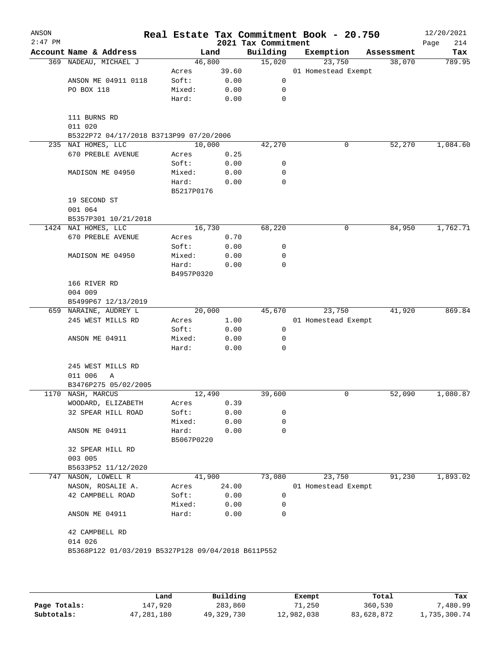| ANSON<br>$2:47$ PM |                                                    |                 |              | 2021 Tax Commitment | Real Estate Tax Commitment Book - 20.750 |            | 12/20/2021<br>Page<br>214 |
|--------------------|----------------------------------------------------|-----------------|--------------|---------------------|------------------------------------------|------------|---------------------------|
|                    | Account Name & Address                             |                 | Land         | Building            | Exemption                                | Assessment | Tax                       |
|                    | 369 NADEAU, MICHAEL J                              | 46,800          |              | 15,020              | 23,750                                   | 38,070     | 789.95                    |
|                    |                                                    | Acres           | 39.60        |                     | 01 Homestead Exempt                      |            |                           |
|                    | ANSON ME 04911 0118                                | Soft:           | 0.00         | 0                   |                                          |            |                           |
|                    | PO BOX 118                                         | Mixed:          | 0.00         | 0                   |                                          |            |                           |
|                    |                                                    | Hard:           | 0.00         | 0                   |                                          |            |                           |
|                    | 111 BURNS RD                                       |                 |              |                     |                                          |            |                           |
|                    | 011 020                                            |                 |              |                     |                                          |            |                           |
|                    | B5322P72 04/17/2018 B3713P99 07/20/2006            |                 |              |                     |                                          |            |                           |
| 235                | NAI HOMES, LLC                                     | 10,000          |              | 42,270              | 0                                        | 52,270     | 1,084.60                  |
|                    | 670 PREBLE AVENUE                                  | Acres           | 0.25         |                     |                                          |            |                           |
|                    |                                                    | Soft:           | 0.00         | 0                   |                                          |            |                           |
|                    | MADISON ME 04950                                   | Mixed:          | 0.00         | 0                   |                                          |            |                           |
|                    |                                                    | Hard:           | 0.00         | 0                   |                                          |            |                           |
|                    |                                                    | B5217P0176      |              |                     |                                          |            |                           |
|                    | 19 SECOND ST                                       |                 |              |                     |                                          |            |                           |
|                    | 001 064                                            |                 |              |                     |                                          |            |                           |
|                    | B5357P301 10/21/2018                               |                 |              |                     |                                          |            |                           |
|                    | 1424 NAI HOMES, LLC                                | 16,730          |              | 68,220              | 0                                        | 84,950     | 1,762.71                  |
|                    | 670 PREBLE AVENUE                                  | Acres           | 0.70         |                     |                                          |            |                           |
|                    |                                                    | Soft:           | 0.00         | 0                   |                                          |            |                           |
|                    |                                                    |                 |              |                     |                                          |            |                           |
|                    | MADISON ME 04950                                   | Mixed:          | 0.00         | 0                   |                                          |            |                           |
|                    |                                                    | Hard:           | 0.00         | 0                   |                                          |            |                           |
|                    |                                                    | B4957P0320      |              |                     |                                          |            |                           |
|                    | 166 RIVER RD                                       |                 |              |                     |                                          |            |                           |
|                    | 004 009                                            |                 |              |                     |                                          |            |                           |
|                    | B5499P67 12/13/2019                                |                 |              |                     |                                          |            |                           |
|                    | 659 NARAINE, AUDREY L                              | 20,000          |              | 45,670              | 23,750                                   | 41,920     | 869.84                    |
|                    | 245 WEST MILLS RD                                  | Acres           | 1.00         |                     | 01 Homestead Exempt                      |            |                           |
|                    |                                                    | Soft:           | 0.00         | 0                   |                                          |            |                           |
|                    | ANSON ME 04911                                     | Mixed:          | 0.00         | 0                   |                                          |            |                           |
|                    |                                                    | Hard:           | 0.00         | 0                   |                                          |            |                           |
|                    | 245 WEST MILLS RD                                  |                 |              |                     |                                          |            |                           |
|                    | 011 006<br>Α                                       |                 |              |                     |                                          |            |                           |
|                    | B3476P275 05/02/2005                               |                 |              |                     |                                          |            |                           |
|                    | 1170 NASH, MARCUS                                  | 12,490          |              | 39,600              | 0                                        | 52,090     | 1,080.87                  |
|                    | WOODARD, ELIZABETH                                 | Acres           | 0.39         |                     |                                          |            |                           |
|                    | 32 SPEAR HILL ROAD                                 | Soft:           | 0.00         | 0                   |                                          |            |                           |
|                    |                                                    | Mixed:          | 0.00         | 0                   |                                          |            |                           |
|                    | ANSON ME 04911                                     | Hard:           | 0.00         | 0                   |                                          |            |                           |
|                    |                                                    | B5067P0220      |              |                     |                                          |            |                           |
|                    | 32 SPEAR HILL RD                                   |                 |              |                     |                                          |            |                           |
|                    | 003 005                                            |                 |              |                     |                                          |            |                           |
|                    | B5633P52 11/12/2020                                |                 |              |                     |                                          |            |                           |
| 747                | NASON, LOWELL R                                    | 41,900          |              | 73,080              | 23,750                                   | 91,230     | 1,893.02                  |
|                    | NASON, ROSALIE A.                                  |                 |              |                     |                                          |            |                           |
|                    |                                                    | Acres           | 24.00        |                     | 01 Homestead Exempt                      |            |                           |
|                    | 42 CAMPBELL ROAD                                   | Soft:           | 0.00         | 0                   |                                          |            |                           |
|                    | ANSON ME 04911                                     | Mixed:<br>Hard: | 0.00<br>0.00 | 0<br>0              |                                          |            |                           |
|                    |                                                    |                 |              |                     |                                          |            |                           |
|                    | 42 CAMPBELL RD                                     |                 |              |                     |                                          |            |                           |
|                    | 014 026                                            |                 |              |                     |                                          |            |                           |
|                    | B5368P122 01/03/2019 B5327P128 09/04/2018 B611P552 |                 |              |                     |                                          |            |                           |
|                    |                                                    |                 |              |                     |                                          |            |                           |
|                    |                                                    |                 |              |                     |                                          |            |                           |

|              | Land       | Building   | Exempt     | Total      | Tax          |
|--------------|------------|------------|------------|------------|--------------|
| Page Totals: | 147,920    | 283,860    | 71,250     | 360,530    | .480.99      |
| Subtotals:   | 47,281,180 | 49,329,730 | 12,982,038 | 83,628,872 | 1,735,300.74 |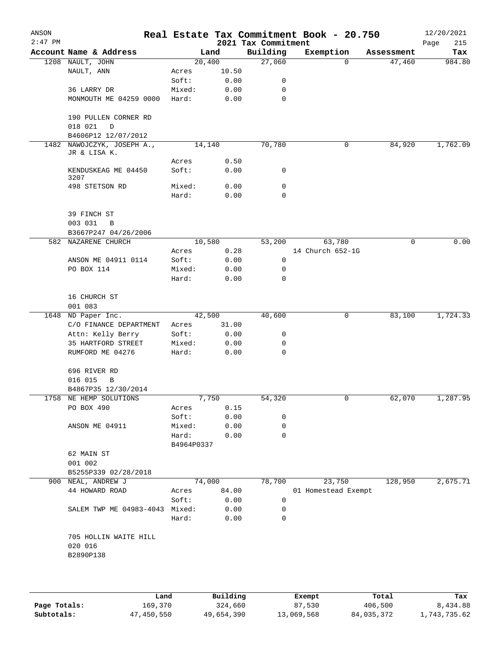| ANSON<br>$2:47$ PM |                                         |                 |              | 2021 Tax Commitment | Real Estate Tax Commitment Book - 20.750 |            | 12/20/2021<br>215<br>Page |
|--------------------|-----------------------------------------|-----------------|--------------|---------------------|------------------------------------------|------------|---------------------------|
|                    | Account Name & Address                  |                 | Land         | Building            | Exemption                                | Assessment | Tax                       |
|                    | 1208 NAULT, JOHN                        |                 | 20,400       | 27,060              | $\Omega$                                 | 47,460     | 984.80                    |
|                    | NAULT, ANN                              | Acres           | 10.50        |                     |                                          |            |                           |
|                    |                                         | Soft:           | 0.00         | 0                   |                                          |            |                           |
|                    | 36 LARRY DR                             | Mixed:          | 0.00         | 0                   |                                          |            |                           |
|                    | MONMOUTH ME 04259 0000                  | Hard:           | 0.00         | $\mathbf 0$         |                                          |            |                           |
|                    | 190 PULLEN CORNER RD<br>018 021<br>D    |                 |              |                     |                                          |            |                           |
|                    | B4606P12 12/07/2012                     |                 |              |                     |                                          |            |                           |
| 1482               | NAWOJCZYK, JOSEPH A.,<br>JR & LISA K.   |                 | 14,140       | 70,780              | 0                                        | 84,920     | 1,762.09                  |
|                    |                                         | Acres           | 0.50         |                     |                                          |            |                           |
|                    | KENDUSKEAG ME 04450<br>3207             | Soft:           | 0.00         | 0                   |                                          |            |                           |
|                    | 498 STETSON RD                          | Mixed:          | 0.00         | 0                   |                                          |            |                           |
|                    |                                         | Hard:           | 0.00         | $\Omega$            |                                          |            |                           |
|                    | 39 FINCH ST                             |                 |              |                     |                                          |            |                           |
|                    | 003 031<br>B                            |                 |              |                     |                                          |            |                           |
|                    | B3667P247 04/26/2006                    |                 |              |                     |                                          |            |                           |
|                    | 582 NAZARENE CHURCH                     |                 | 10,580       | 53,200              | 63,780                                   | $\Omega$   | 0.00                      |
|                    |                                         | Acres           | 0.28         |                     | 14 Church 652-1G                         |            |                           |
|                    | ANSON ME 04911 0114                     | Soft:           | 0.00         | $\mathbf 0$         |                                          |            |                           |
|                    | PO BOX 114                              | Mixed:          | 0.00         | 0                   |                                          |            |                           |
|                    |                                         | Hard:           | 0.00         | 0                   |                                          |            |                           |
|                    | 16 CHURCH ST                            |                 |              |                     |                                          |            |                           |
|                    | 001 083                                 |                 |              |                     |                                          |            |                           |
| 1648               | ND Paper Inc.                           |                 | 42,500       | 40,600              | 0                                        | 83,100     | 1,724.33                  |
|                    | C/O FINANCE DEPARTMENT                  | Acres           | 31.00        | 0                   |                                          |            |                           |
|                    | Attn: Kelly Berry<br>35 HARTFORD STREET | Soft:<br>Mixed: | 0.00<br>0.00 | 0                   |                                          |            |                           |
|                    | RUMFORD ME 04276                        | Hard:           | 0.00         | 0                   |                                          |            |                           |
|                    | 696 RIVER RD                            |                 |              |                     |                                          |            |                           |
|                    | 016 015<br>В                            |                 |              |                     |                                          |            |                           |
|                    | B4867P35 12/30/2014                     |                 |              |                     |                                          |            |                           |
|                    | 1758 NE HEMP SOLUTIONS                  |                 | 7,750        | 54,320              | U                                        | 62,070     | 1,287.95                  |
|                    | PO BOX 490                              | Acres           | 0.15         |                     |                                          |            |                           |
|                    |                                         | Soft:           | 0.00         | 0                   |                                          |            |                           |
|                    | ANSON ME 04911                          | Mixed:          | 0.00         | 0                   |                                          |            |                           |
|                    |                                         | Hard:           | 0.00         | 0                   |                                          |            |                           |
|                    |                                         | B4964P0337      |              |                     |                                          |            |                           |
|                    | 62 MAIN ST                              |                 |              |                     |                                          |            |                           |
|                    | 001 002                                 |                 |              |                     |                                          |            |                           |
|                    | B5255P339 02/28/2018                    |                 |              |                     |                                          |            |                           |
|                    | 900 NEAL, ANDREW J                      |                 | 74,000       | 78,700              | 23,750                                   | 128,950    | 2,675.71                  |
|                    | 44 HOWARD ROAD                          | Acres           | 84.00        |                     | 01 Homestead Exempt                      |            |                           |
|                    |                                         | Soft:           | 0.00         | 0                   |                                          |            |                           |
|                    | SALEM TWP ME 04983-4043 Mixed:          |                 | 0.00         | 0                   |                                          |            |                           |
|                    |                                         | Hard:           | 0.00         | 0                   |                                          |            |                           |
|                    | 705 HOLLIN WAITE HILL<br>020 016        |                 |              |                     |                                          |            |                           |
|                    | B2890P138                               |                 |              |                     |                                          |            |                           |
|                    |                                         |                 |              |                     |                                          |            |                           |
|                    |                                         |                 |              |                     |                                          |            |                           |

|              | Land       | Building   | Exempt     | Total      | Tax          |
|--------------|------------|------------|------------|------------|--------------|
| Page Totals: | 169,370    | 324,660    | 87,530     | 406,500    | 8,434.88     |
| Subtotals:   | 47,450,550 | 49,654,390 | 13,069,568 | 84,035,372 | 1,743,735.62 |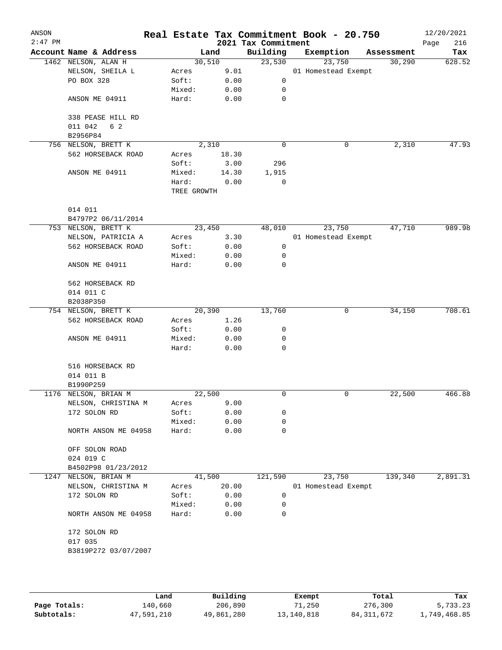| ANSON<br>$2:47$ PM |                                     |                      |              | 2021 Tax Commitment  | Real Estate Tax Commitment Book - 20.750 |            | 12/20/2021<br>216<br>Page |
|--------------------|-------------------------------------|----------------------|--------------|----------------------|------------------------------------------|------------|---------------------------|
|                    | Account Name & Address              |                      | Land         | Building             | Exemption                                | Assessment | Tax                       |
|                    | 1462 NELSON, ALAN H                 |                      | 30,510       | 23,530               | 23,750                                   | 30,290     | 628.52                    |
|                    | NELSON, SHEILA L                    | Acres                | 9.01         |                      | 01 Homestead Exempt                      |            |                           |
|                    | PO BOX 328                          | Soft:                | 0.00         | 0                    |                                          |            |                           |
|                    |                                     | Mixed:               | 0.00         | 0                    |                                          |            |                           |
|                    | ANSON ME 04911                      | Hard:                | 0.00         | 0                    |                                          |            |                           |
|                    | 338 PEASE HILL RD<br>011 042<br>6 2 |                      |              |                      |                                          |            |                           |
|                    | B2956P84                            |                      |              |                      |                                          |            | 47.93                     |
|                    | 756 NELSON, BRETT K                 |                      | 2,310        | $\mathbf 0$          | 0                                        | 2,310      |                           |
|                    | 562 HORSEBACK ROAD                  | Acres<br>Soft:       | 18.30        | 296                  |                                          |            |                           |
|                    |                                     |                      | 3.00         |                      |                                          |            |                           |
|                    | ANSON ME 04911                      | Mixed:               | 14.30        | 1,915<br>$\mathbf 0$ |                                          |            |                           |
|                    |                                     | Hard:<br>TREE GROWTH | 0.00         |                      |                                          |            |                           |
|                    | 014 011                             |                      |              |                      |                                          |            |                           |
|                    | B4797P2 06/11/2014                  |                      |              |                      |                                          |            |                           |
|                    | 753 NELSON, BRETT K                 |                      | 23,450       | 48,010               | 23,750                                   | 47,710     | 989.98                    |
|                    | NELSON, PATRICIA A                  | Acres                | 3.30         |                      | 01 Homestead Exempt                      |            |                           |
|                    | 562 HORSEBACK ROAD                  | Soft:                | 0.00         | 0                    |                                          |            |                           |
|                    |                                     | Mixed:               | 0.00         | 0                    |                                          |            |                           |
|                    | ANSON ME 04911                      | Hard:                | 0.00         | 0                    |                                          |            |                           |
|                    | 562 HORSEBACK RD                    |                      |              |                      |                                          |            |                           |
|                    | 014 011 C                           |                      |              |                      |                                          |            |                           |
|                    | B2038P350                           |                      |              |                      |                                          |            |                           |
|                    | 754 NELSON, BRETT K                 |                      | 20,390       | 13,760               | 0                                        | 34,150     | 708.61                    |
|                    | 562 HORSEBACK ROAD                  | Acres                | 1.26         |                      |                                          |            |                           |
|                    |                                     | Soft:                | 0.00         | 0                    |                                          |            |                           |
|                    | ANSON ME 04911                      | Mixed:<br>Hard:      | 0.00<br>0.00 | 0<br>0               |                                          |            |                           |
|                    |                                     |                      |              |                      |                                          |            |                           |
|                    | 516 HORSEBACK RD                    |                      |              |                      |                                          |            |                           |
|                    | 014 011 B                           |                      |              |                      |                                          |            |                           |
|                    | B1990P259                           |                      |              |                      |                                          |            |                           |
|                    | 1176 NELSON, BRIAN M                |                      | 22,500       | 0                    | 0                                        | 22,500     | 466.88                    |
|                    | NELSON, CHRISTINA M                 | Acres                | 9.00         |                      |                                          |            |                           |
|                    | 172 SOLON RD                        | Soft:                | 0.00         | 0                    |                                          |            |                           |
|                    |                                     | Mixed:               | 0.00         | 0                    |                                          |            |                           |
|                    | NORTH ANSON ME 04958                | Hard:                | 0.00         | 0                    |                                          |            |                           |
|                    | OFF SOLON ROAD                      |                      |              |                      |                                          |            |                           |
|                    | 024 019 C                           |                      |              |                      |                                          |            |                           |
|                    | B4502P98 01/23/2012                 |                      |              |                      |                                          |            |                           |
| 1247               | NELSON, BRIAN M                     |                      | 41,500       | 121,590              | 23,750                                   | 139,340    | 2,891.31                  |
|                    | NELSON, CHRISTINA M                 | Acres                | 20.00        |                      | 01 Homestead Exempt                      |            |                           |
|                    | 172 SOLON RD                        | Soft:                | 0.00         | 0                    |                                          |            |                           |
|                    |                                     | Mixed:               | 0.00         | 0                    |                                          |            |                           |
|                    | NORTH ANSON ME 04958                | Hard:                | 0.00         | 0                    |                                          |            |                           |
|                    | 172 SOLON RD                        |                      |              |                      |                                          |            |                           |
|                    | 017 035                             |                      |              |                      |                                          |            |                           |
|                    | B3819P272 03/07/2007                |                      |              |                      |                                          |            |                           |
|                    |                                     |                      |              |                      |                                          |            |                           |

|              | Land       | Building   | Exempt     | Total      | Tax          |
|--------------|------------|------------|------------|------------|--------------|
| Page Totals: | 140,660    | 206,890    | 71,250     | 276,300    | 5,733.23     |
| Subtotals:   | 47,591,210 | 49,861,280 | 13,140,818 | 84,311,672 | l,749,468.85 |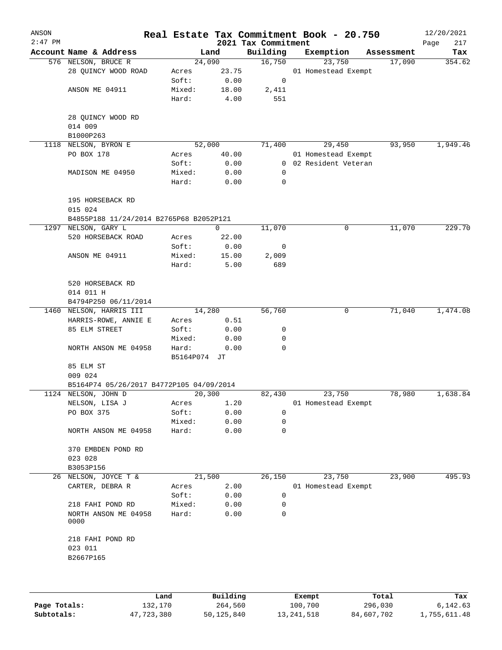| ANSON<br>$2:47$ PM |                                          |              |             | 2021 Tax Commitment | Real Estate Tax Commitment Book - 20.750 |            | 12/20/2021<br>Page<br>217 |
|--------------------|------------------------------------------|--------------|-------------|---------------------|------------------------------------------|------------|---------------------------|
|                    | Account Name & Address                   |              | Land        | Building            | Exemption                                | Assessment | Tax                       |
|                    | 576 NELSON, BRUCE R                      | 24,090       |             | 16,750              | 23,750                                   | 17,090     | 354.62                    |
|                    | 28 QUINCY WOOD ROAD                      | Acres        | 23.75       |                     | 01 Homestead Exempt                      |            |                           |
|                    |                                          | Soft:        | 0.00        | 0                   |                                          |            |                           |
|                    | ANSON ME 04911                           | Mixed:       | 18.00       | 2,411               |                                          |            |                           |
|                    |                                          | Hard:        | 4.00        | 551                 |                                          |            |                           |
|                    | 28 QUINCY WOOD RD<br>014 009             |              |             |                     |                                          |            |                           |
|                    | B1000P263                                |              |             |                     |                                          |            |                           |
| 1118               | NELSON, BYRON E                          | 52,000       |             | 71,400              | 29,450                                   | 93,950     | 1,949.46                  |
|                    | PO BOX 178                               | Acres        | 40.00       |                     | 01 Homestead Exempt                      |            |                           |
|                    |                                          | Soft:        | 0.00        |                     | 0 02 Resident Veteran                    |            |                           |
|                    | MADISON ME 04950                         | Mixed:       | 0.00        | $\mathbf 0$         |                                          |            |                           |
|                    |                                          | Hard:        | 0.00        | 0                   |                                          |            |                           |
|                    | 195 HORSEBACK RD<br>015 024              |              |             |                     |                                          |            |                           |
|                    | B4855P188 11/24/2014 B2765P68 B2052P121  |              |             |                     |                                          |            |                           |
|                    | 1297 NELSON, GARY L                      |              | $\mathbf 0$ | 11,070              | 0                                        | 11,070     | 229.70                    |
|                    | 520 HORSEBACK ROAD                       | Acres        | 22.00       |                     |                                          |            |                           |
|                    |                                          | Soft:        | 0.00        | 0                   |                                          |            |                           |
|                    | ANSON ME 04911                           | Mixed:       | 15.00       | 2,009               |                                          |            |                           |
|                    |                                          | Hard:        | 5.00        | 689                 |                                          |            |                           |
|                    | 520 HORSEBACK RD<br>014 011 H            |              |             |                     |                                          |            |                           |
|                    | B4794P250 06/11/2014                     |              |             |                     |                                          |            |                           |
|                    | 1460 NELSON, HARRIS III                  | 14,280       |             | 56,760              | 0                                        | 71,040     | 1,474.08                  |
|                    | HARRIS-ROWE, ANNIE E                     | Acres        | 0.51        |                     |                                          |            |                           |
|                    | 85 ELM STREET                            | Soft:        | 0.00        | 0                   |                                          |            |                           |
|                    |                                          | Mixed:       | 0.00        | 0                   |                                          |            |                           |
|                    | NORTH ANSON ME 04958                     | Hard:        | 0.00        | 0                   |                                          |            |                           |
|                    |                                          | B5164P074 JT |             |                     |                                          |            |                           |
|                    | 85 ELM ST<br>009 024                     |              |             |                     |                                          |            |                           |
|                    | B5164P74 05/26/2017 B4772P105 04/09/2014 |              |             |                     |                                          |            |                           |
|                    | 1124 NELSON, JOHN D                      | 20,300       |             | 82,430              | 23,750                                   | 78,980     | 1,638.84                  |
|                    | NELSON, LISA J                           | Acres        | 1.20        |                     | 01 Homestead Exempt                      |            |                           |
|                    | PO BOX 375                               | Soft:        | 0.00        | 0                   |                                          |            |                           |
|                    |                                          |              |             | 0                   |                                          |            |                           |
|                    | NORTH ANSON ME 04958                     | Mixed:       | 0.00        | 0                   |                                          |            |                           |
|                    |                                          | Hard:        | 0.00        |                     |                                          |            |                           |
|                    | 370 EMBDEN POND RD                       |              |             |                     |                                          |            |                           |
|                    | 023 028                                  |              |             |                     |                                          |            |                           |
|                    | B3053P156                                |              |             |                     |                                          |            |                           |
| 26                 | NELSON, JOYCE T &                        | 21,500       |             | 26,150              | 23,750                                   | 23,900     | 495.93                    |
|                    | CARTER, DEBRA R                          | Acres        | 2.00        |                     | 01 Homestead Exempt                      |            |                           |
|                    |                                          | Soft:        | 0.00        | 0                   |                                          |            |                           |
|                    | 218 FAHI POND RD                         | Mixed:       | 0.00        | 0                   |                                          |            |                           |
|                    | NORTH ANSON ME 04958<br>0000             | Hard:        | 0.00        | 0                   |                                          |            |                           |
|                    | 218 FAHI POND RD                         |              |             |                     |                                          |            |                           |
|                    | 023 011                                  |              |             |                     |                                          |            |                           |
|                    | B2667P165                                |              |             |                     |                                          |            |                           |
|                    |                                          |              |             |                     |                                          |            |                           |
|                    |                                          |              |             |                     |                                          |            |                           |

|              | Land       | Building   | Exempt     | Total      | Tax          |
|--------------|------------|------------|------------|------------|--------------|
| Page Totals: | 132,170    | 264,560    | 100,700    | 296,030    | 6,142.63     |
| Subtotals:   | 47,723,380 | 50,125,840 | 13,241,518 | 84,607,702 | 1,755,611.48 |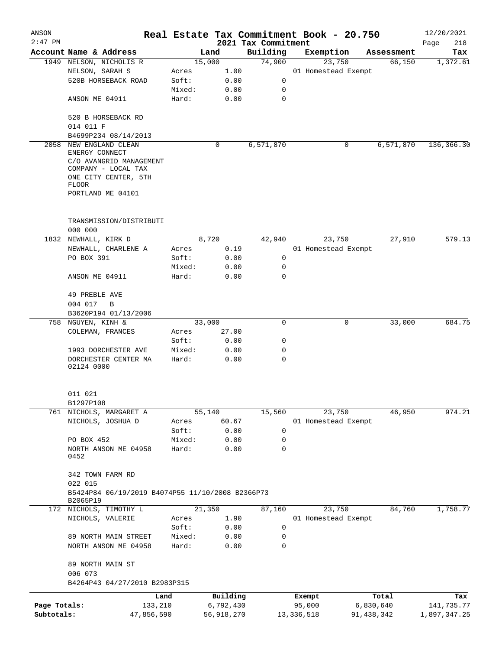| ANSON        |                                                              |         |            |                     | Real Estate Tax Commitment Book - 20.750 |              | 12/20/2021   |
|--------------|--------------------------------------------------------------|---------|------------|---------------------|------------------------------------------|--------------|--------------|
| $2:47$ PM    |                                                              |         |            | 2021 Tax Commitment |                                          |              | Page<br>218  |
|              | Account Name & Address                                       |         | Land       | Building            | Exemption                                | Assessment   | Tax          |
| 1949         | NELSON, NICHOLIS R                                           |         | 15,000     | 74,900              | 23,750                                   | 66,150       | 1,372.61     |
|              | NELSON, SARAH S                                              | Acres   | 1.00       |                     | 01 Homestead Exempt                      |              |              |
|              | 520B HORSEBACK ROAD                                          | Soft:   | 0.00       | 0                   |                                          |              |              |
|              |                                                              | Mixed:  | 0.00       | 0                   |                                          |              |              |
|              | ANSON ME 04911                                               | Hard:   | 0.00       | 0                   |                                          |              |              |
|              | 520 B HORSEBACK RD<br>014 011 F                              |         |            |                     |                                          |              |              |
|              | B4699P234 08/14/2013                                         |         |            |                     |                                          |              |              |
| 2058         | NEW ENGLAND CLEAN                                            |         | 0          | 6,571,870           | 0                                        | 6,571,870    | 136,366.30   |
|              | ENERGY CONNECT                                               |         |            |                     |                                          |              |              |
|              | C/O AVANGRID MANAGEMENT                                      |         |            |                     |                                          |              |              |
|              | COMPANY - LOCAL TAX                                          |         |            |                     |                                          |              |              |
|              | ONE CITY CENTER, 5TH                                         |         |            |                     |                                          |              |              |
|              | FLOOR                                                        |         |            |                     |                                          |              |              |
|              | PORTLAND ME 04101                                            |         |            |                     |                                          |              |              |
|              | TRANSMISSION/DISTRIBUTI                                      |         |            |                     |                                          |              |              |
|              | 000 000                                                      |         |            |                     |                                          |              |              |
| 1832         | NEWHALL, KIRK D                                              |         | 8,720      | 42,940              | 23,750                                   | 27,910       | 579.13       |
|              | NEWHALL, CHARLENE A                                          | Acres   | 0.19       |                     | 01 Homestead Exempt                      |              |              |
|              | PO BOX 391                                                   | Soft:   | 0.00       | 0                   |                                          |              |              |
|              |                                                              | Mixed:  | 0.00       | 0                   |                                          |              |              |
|              | ANSON ME 04911                                               | Hard:   | 0.00       | 0                   |                                          |              |              |
|              | 49 PREBLE AVE                                                |         |            |                     |                                          |              |              |
|              | 004 017<br>$\, {\bf B}$                                      |         |            |                     |                                          |              |              |
|              | B3620P194 01/13/2006                                         |         |            |                     |                                          |              |              |
| 758          | NGUYEN, KINH &                                               |         | 33,000     | 0                   | 0                                        | 33,000       | 684.75       |
|              | COLEMAN, FRANCES                                             | Acres   | 27.00      |                     |                                          |              |              |
|              |                                                              | Soft:   | 0.00       | 0                   |                                          |              |              |
|              | 1993 DORCHESTER AVE                                          | Mixed:  | 0.00       | 0                   |                                          |              |              |
|              | DORCHESTER CENTER MA<br>02124 0000                           | Hard:   | 0.00       | 0                   |                                          |              |              |
|              |                                                              |         |            |                     |                                          |              |              |
|              | 011 021                                                      |         |            |                     |                                          |              |              |
|              | B1297P108                                                    |         |            |                     |                                          |              |              |
|              | 761 NICHOLS, MARGARET A                                      |         | 55,140     | 15,560              | 23,750                                   | 46,950       | 974.21       |
|              | NICHOLS, JOSHUA D                                            | Acres   | 60.67      |                     | 01 Homestead Exempt                      |              |              |
|              |                                                              | Soft:   | 0.00       | 0                   |                                          |              |              |
|              | PO BOX 452                                                   | Mixed:  | 0.00       | 0                   |                                          |              |              |
|              | NORTH ANSON ME 04958<br>0452                                 | Hard:   | 0.00       | 0                   |                                          |              |              |
|              |                                                              |         |            |                     |                                          |              |              |
|              | 342 TOWN FARM RD<br>022 015                                  |         |            |                     |                                          |              |              |
|              | B5424P84 06/19/2019 B4074P55 11/10/2008 B2366P73<br>B2065P19 |         |            |                     |                                          |              |              |
|              | 172 NICHOLS, TIMOTHY L                                       |         | 21,350     | 87,160              | 23,750                                   | 84,760       | 1,758.77     |
|              | NICHOLS, VALERIE                                             | Acres   | 1.90       |                     | 01 Homestead Exempt                      |              |              |
|              |                                                              | Soft:   | 0.00       | 0                   |                                          |              |              |
|              | 89 NORTH MAIN STREET                                         | Mixed:  | 0.00       | 0                   |                                          |              |              |
|              | NORTH ANSON ME 04958                                         | Hard:   | 0.00       | 0                   |                                          |              |              |
|              | 89 NORTH MAIN ST                                             |         |            |                     |                                          |              |              |
|              | 006 073                                                      |         |            |                     |                                          |              |              |
|              | B4264P43 04/27/2010 B2983P315                                |         |            |                     |                                          |              |              |
|              |                                                              | Land    | Building   |                     | Exempt                                   | Total        | Tax          |
| Page Totals: |                                                              | 133,210 | 6,792,430  |                     | 95,000                                   | 6,830,640    | 141,735.77   |
| Subtotals:   | 47,856,590                                                   |         | 56,918,270 |                     | 13,336,518                               | 91, 438, 342 | 1,897,347.25 |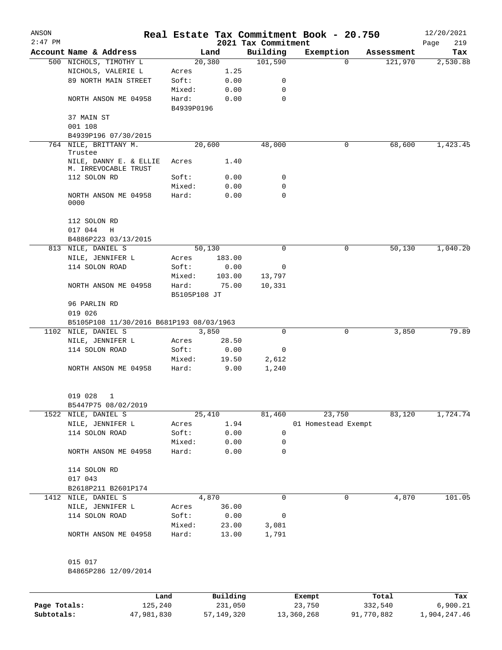| ANSON<br>$2:47$ PM |                                                |              |        | 2021 Tax Commitment | Real Estate Tax Commitment Book - 20.750 |            | 12/20/2021<br>219<br>Page |
|--------------------|------------------------------------------------|--------------|--------|---------------------|------------------------------------------|------------|---------------------------|
|                    | Account Name & Address                         |              | Land   | Building            | Exemption                                | Assessment | Tax                       |
|                    | 500 NICHOLS, TIMOTHY L                         |              | 20,380 | 101,590             | $\Omega$                                 | 121,970    | 2,530.88                  |
|                    | NICHOLS, VALERIE L                             | Acres        | 1.25   |                     |                                          |            |                           |
|                    | 89 NORTH MAIN STREET                           | Soft:        | 0.00   | 0                   |                                          |            |                           |
|                    |                                                | Mixed:       | 0.00   | 0                   |                                          |            |                           |
|                    | NORTH ANSON ME 04958                           | Hard:        | 0.00   | $\mathbf 0$         |                                          |            |                           |
|                    |                                                | B4939P0196   |        |                     |                                          |            |                           |
|                    | 37 MAIN ST                                     |              |        |                     |                                          |            |                           |
|                    | 001 108                                        |              |        |                     |                                          |            |                           |
|                    | B4939P196 07/30/2015                           |              |        |                     |                                          |            |                           |
|                    | 764 NILE, BRITTANY M.                          |              | 20,600 | 48,000              | 0                                        | 68,600     | 1,423.45                  |
|                    | Trustee                                        |              |        |                     |                                          |            |                           |
|                    | NILE, DANNY E. & ELLIE<br>M. IRREVOCABLE TRUST | Acres        | 1.40   |                     |                                          |            |                           |
|                    | 112 SOLON RD                                   | Soft:        | 0.00   | 0                   |                                          |            |                           |
|                    |                                                | Mixed:       | 0.00   | 0                   |                                          |            |                           |
|                    | NORTH ANSON ME 04958<br>0000                   | Hard:        | 0.00   | $\Omega$            |                                          |            |                           |
|                    |                                                |              |        |                     |                                          |            |                           |
|                    | 112 SOLON RD                                   |              |        |                     |                                          |            |                           |
|                    | 017 044<br>Η                                   |              |        |                     |                                          |            |                           |
|                    | B4886P223 03/13/2015                           |              |        |                     |                                          |            |                           |
|                    | 813 NILE, DANIEL S                             |              | 50,130 | 0                   | 0                                        | 50,130     | 1,040.20                  |
|                    | NILE, JENNIFER L                               | Acres        | 183.00 |                     |                                          |            |                           |
|                    | 114 SOLON ROAD                                 | Soft:        | 0.00   | 0                   |                                          |            |                           |
|                    |                                                | Mixed:       | 103.00 | 13,797              |                                          |            |                           |
|                    | NORTH ANSON ME 04958                           | Hard:        | 75.00  | 10,331              |                                          |            |                           |
|                    |                                                | B5105P108 JT |        |                     |                                          |            |                           |
|                    | 96 PARLIN RD                                   |              |        |                     |                                          |            |                           |
|                    | 019 026                                        |              |        |                     |                                          |            |                           |
|                    | B5105P108 11/30/2016 B681P193 08/03/1963       |              |        |                     |                                          |            |                           |
|                    | 1102 NILE, DANIEL S                            |              | 3,850  | $\Omega$            | 0                                        | 3,850      | 79.89                     |
|                    | NILE, JENNIFER L                               | Acres        | 28.50  |                     |                                          |            |                           |
|                    | 114 SOLON ROAD                                 | Soft:        | 0.00   | 0                   |                                          |            |                           |
|                    |                                                | Mixed:       | 19.50  | 2,612               |                                          |            |                           |
|                    | NORTH ANSON ME 04958                           | Hard:        | 9.00   | 1,240               |                                          |            |                           |
|                    | 019 028 1                                      |              |        |                     |                                          |            |                           |
|                    | B5447P75 08/02/2019                            |              |        |                     |                                          |            |                           |
|                    | 1522 NILE, DANIEL S                            |              | 25,410 | 81,460              | 23,750                                   | 83,120     | 1,724.74                  |
|                    | NILE, JENNIFER L                               | Acres        | 1.94   |                     | 01 Homestead Exempt                      |            |                           |
|                    | 114 SOLON ROAD                                 | Soft:        | 0.00   | 0                   |                                          |            |                           |
|                    |                                                | Mixed:       | 0.00   | 0                   |                                          |            |                           |
|                    | NORTH ANSON ME 04958                           | Hard:        | 0.00   | 0                   |                                          |            |                           |
|                    | 114 SOLON RD                                   |              |        |                     |                                          |            |                           |
|                    | 017 043                                        |              |        |                     |                                          |            |                           |
|                    | B2618P211 B2601P174                            |              |        |                     |                                          |            |                           |
|                    | 1412 NILE, DANIEL S                            |              | 4,870  | 0                   | 0                                        | 4,870      | 101.05                    |
|                    | NILE, JENNIFER L                               | Acres        | 36.00  |                     |                                          |            |                           |
|                    | 114 SOLON ROAD                                 | Soft:        | 0.00   | 0                   |                                          |            |                           |
|                    |                                                | Mixed:       | 23.00  | 3,081               |                                          |            |                           |
|                    | NORTH ANSON ME 04958                           | Hard:        | 13.00  | 1,791               |                                          |            |                           |
|                    | 015 017                                        |              |        |                     |                                          |            |                           |
|                    | B4865P286 12/09/2014                           |              |        |                     |                                          |            |                           |
|                    |                                                |              |        |                     |                                          |            |                           |
|                    |                                                |              |        |                     |                                          |            |                           |

|              | Land       | Building     | Exempt     | Total      | Tax          |
|--------------|------------|--------------|------------|------------|--------------|
| Page Totals: | 125,240    | 231,050      | 23,750     | 332,540    | 6,900.21     |
| Subtotals:   | 47,981,830 | 57, 149, 320 | 13,360,268 | 91,770,882 | 1,904,247.46 |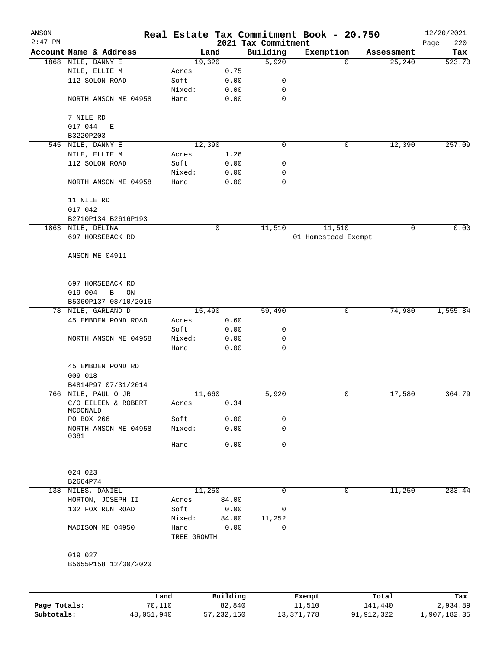| ANSON        |                        |             |              |                     | Real Estate Tax Commitment Book - 20.750 |              | 12/20/2021      |
|--------------|------------------------|-------------|--------------|---------------------|------------------------------------------|--------------|-----------------|
| $2:47$ PM    |                        |             |              | 2021 Tax Commitment |                                          |              | 220<br>Page     |
|              | Account Name & Address |             | Land         | Building            | Exemption                                | Assessment   | Tax             |
|              | 1868 NILE, DANNY E     |             | 19,320       | 5,920               |                                          | 25, 240<br>0 | 523.73          |
|              | NILE, ELLIE M          | Acres       | 0.75         |                     |                                          |              |                 |
|              | 112 SOLON ROAD         | Soft:       | 0.00         | 0<br>0              |                                          |              |                 |
|              |                        | Mixed:      | 0.00         | $\mathbf 0$         |                                          |              |                 |
|              | NORTH ANSON ME 04958   | Hard:       | 0.00         |                     |                                          |              |                 |
|              | 7 NILE RD              |             |              |                     |                                          |              |                 |
|              | 017 044<br>E           |             |              |                     |                                          |              |                 |
|              | B3220P203              |             |              |                     |                                          |              |                 |
|              | 545 NILE, DANNY E      |             | 12,390       | 0                   |                                          | 12,390<br>0  | 257.09          |
|              | NILE, ELLIE M          | Acres       | 1.26         |                     |                                          |              |                 |
|              | 112 SOLON ROAD         | Soft:       | 0.00         | 0                   |                                          |              |                 |
|              |                        | Mixed:      | 0.00         | 0                   |                                          |              |                 |
|              | NORTH ANSON ME 04958   | Hard:       | 0.00         | 0                   |                                          |              |                 |
|              |                        |             |              |                     |                                          |              |                 |
|              | 11 NILE RD             |             |              |                     |                                          |              |                 |
|              | 017 042                |             |              |                     |                                          |              |                 |
|              | B2710P134 B2616P193    |             |              |                     |                                          |              |                 |
|              | 1863 NILE, DELINA      |             | 0            | 11,510              | 11,510                                   | 0            | 0.00            |
|              | 697 HORSEBACK RD       |             |              |                     | 01 Homestead Exempt                      |              |                 |
|              |                        |             |              |                     |                                          |              |                 |
|              | ANSON ME 04911         |             |              |                     |                                          |              |                 |
|              |                        |             |              |                     |                                          |              |                 |
|              |                        |             |              |                     |                                          |              |                 |
|              | 697 HORSEBACK RD       |             |              |                     |                                          |              |                 |
|              | 019 004<br>B<br>ON     |             |              |                     |                                          |              |                 |
|              | B5060P137 08/10/2016   |             |              |                     |                                          |              |                 |
|              | 78 NILE, GARLAND D     |             | 15,490       | 59,490              |                                          | 74,980<br>0  | 1,555.84        |
|              | 45 EMBDEN POND ROAD    | Acres       | 0.60         |                     |                                          |              |                 |
|              |                        | Soft:       | 0.00         | 0                   |                                          |              |                 |
|              | NORTH ANSON ME 04958   | Mixed:      | 0.00         | 0                   |                                          |              |                 |
|              |                        | Hard:       | 0.00         | 0                   |                                          |              |                 |
|              |                        |             |              |                     |                                          |              |                 |
|              | 45 EMBDEN POND RD      |             |              |                     |                                          |              |                 |
|              | 009 018                |             |              |                     |                                          |              |                 |
|              | B4814P97 07/31/2014    |             |              |                     |                                          |              |                 |
|              | 766 NILE, PAUL O JR    |             | 11,660       | 5,920               |                                          | 17,580<br>0  | 364.79          |
|              | C/O EILEEN & ROBERT    | Acres       | 0.34         |                     |                                          |              |                 |
|              | MCDONALD               |             |              |                     |                                          |              |                 |
|              | PO BOX 266             | Soft:       | 0.00         | 0                   |                                          |              |                 |
|              | NORTH ANSON ME 04958   | Mixed:      | 0.00         | $\mathbf 0$         |                                          |              |                 |
|              | 0381                   | Hard:       | 0.00         | 0                   |                                          |              |                 |
|              |                        |             |              |                     |                                          |              |                 |
|              |                        |             |              |                     |                                          |              |                 |
|              | 024 023                |             |              |                     |                                          |              |                 |
|              | B2664P74               |             |              |                     |                                          |              |                 |
|              | 138 NILES, DANIEL      |             | 11,250       | 0                   |                                          | 0<br>11,250  | 233.44          |
|              | HORTON, JOSEPH II      | Acres       | 84.00        |                     |                                          |              |                 |
|              | 132 FOX RUN ROAD       | Soft:       | 0.00         | 0                   |                                          |              |                 |
|              |                        | Mixed:      | 84.00        | 11,252              |                                          |              |                 |
|              | MADISON ME 04950       | Hard:       | 0.00         | 0                   |                                          |              |                 |
|              |                        | TREE GROWTH |              |                     |                                          |              |                 |
|              |                        |             |              |                     |                                          |              |                 |
|              | 019 027                |             |              |                     |                                          |              |                 |
|              | B5655P158 12/30/2020   |             |              |                     |                                          |              |                 |
|              |                        |             |              |                     |                                          |              |                 |
|              |                        |             |              |                     |                                          |              |                 |
|              |                        | Land        | Building     |                     |                                          | Total        |                 |
| Page Totals: |                        | 70,110      | 82,840       |                     | Exempt<br>11,510                         | 141,440      | Tax<br>2,934.89 |
| Subtotals:   | 48,051,940             |             | 57, 232, 160 |                     | 13, 371, 778                             | 91,912,322   | 1,907,182.35    |
|              |                        |             |              |                     |                                          |              |                 |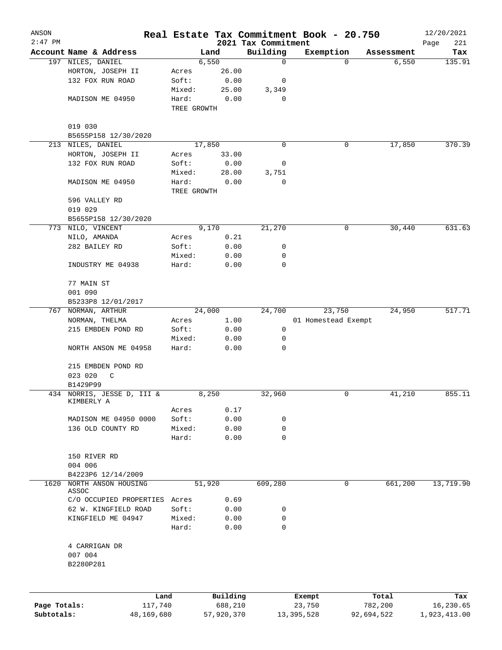| ANSON                      |                                        |             |                       |                         | Real Estate Tax Commitment Book - 20.750 |                       | 12/20/2021                |
|----------------------------|----------------------------------------|-------------|-----------------------|-------------------------|------------------------------------------|-----------------------|---------------------------|
| $2:47$ PM                  |                                        |             |                       | 2021 Tax Commitment     |                                          |                       | Page<br>221               |
|                            | Account Name & Address                 |             | Land<br>6,550         | Building<br>$\mathbf 0$ | Exemption<br>$\Omega$                    | Assessment<br>6,550   | Tax<br>135.91             |
|                            | 197 NILES, DANIEL<br>HORTON, JOSEPH II | Acres       | 26.00                 |                         |                                          |                       |                           |
|                            | 132 FOX RUN ROAD                       | Soft:       | 0.00                  | 0                       |                                          |                       |                           |
|                            |                                        | Mixed:      | 25.00                 | 3,349                   |                                          |                       |                           |
|                            | MADISON ME 04950                       | Hard:       | 0.00                  | 0                       |                                          |                       |                           |
|                            |                                        | TREE GROWTH |                       |                         |                                          |                       |                           |
|                            | 019 030                                |             |                       |                         |                                          |                       |                           |
|                            | B5655P158 12/30/2020                   |             |                       |                         |                                          |                       |                           |
|                            | 213 NILES, DANIEL                      |             | 17,850                | 0                       | 0                                        | 17,850                | 370.39                    |
|                            | HORTON, JOSEPH II                      | Acres       | 33.00                 |                         |                                          |                       |                           |
|                            | 132 FOX RUN ROAD                       | Soft:       | 0.00                  | 0                       |                                          |                       |                           |
|                            |                                        | Mixed:      | 28.00                 | 3,751                   |                                          |                       |                           |
|                            | MADISON ME 04950                       | Hard:       | 0.00                  | 0                       |                                          |                       |                           |
|                            |                                        | TREE GROWTH |                       |                         |                                          |                       |                           |
|                            | 596 VALLEY RD                          |             |                       |                         |                                          |                       |                           |
|                            | 019 029                                |             |                       |                         |                                          |                       |                           |
|                            | B5655P158 12/30/2020                   |             |                       |                         |                                          |                       |                           |
|                            | 773 NILO, VINCENT                      |             | 9,170                 | 21,270                  | 0                                        | 30,440                | 631.63                    |
|                            | NILO, AMANDA                           | Acres       | 0.21                  |                         |                                          |                       |                           |
|                            | 282 BAILEY RD                          | Soft:       | 0.00                  | 0                       |                                          |                       |                           |
|                            |                                        | Mixed:      | 0.00                  | 0                       |                                          |                       |                           |
|                            | INDUSTRY ME 04938                      | Hard:       | 0.00                  | 0                       |                                          |                       |                           |
|                            | 77 MAIN ST                             |             |                       |                         |                                          |                       |                           |
|                            | 001 090                                |             |                       |                         |                                          |                       |                           |
|                            | B5233P8 12/01/2017                     |             |                       |                         |                                          |                       |                           |
|                            | 767 NORMAN, ARTHUR                     |             | 24,000                | 24,700                  | 23,750                                   | 24,950                | 517.71                    |
|                            | NORMAN, THELMA                         | Acres       | 1.00                  |                         | 01 Homestead Exempt                      |                       |                           |
|                            | 215 EMBDEN POND RD                     | Soft:       | 0.00                  | 0                       |                                          |                       |                           |
|                            |                                        | Mixed:      | 0.00                  | 0                       |                                          |                       |                           |
|                            | NORTH ANSON ME 04958                   | Hard:       | 0.00                  | 0                       |                                          |                       |                           |
|                            | 215 EMBDEN POND RD                     |             |                       |                         |                                          |                       |                           |
|                            | 023 020<br>C                           |             |                       |                         |                                          |                       |                           |
|                            | B1429P99                               |             |                       |                         |                                          |                       |                           |
|                            | 434 NORRIS, JESSE D, III &             |             | 8,250                 | 32,960                  | 0                                        | 41,210                | 855.11                    |
|                            | KIMBERLY A                             |             |                       |                         |                                          |                       |                           |
|                            |                                        | Acres       | 0.17                  |                         |                                          |                       |                           |
|                            | MADISON ME 04950 0000                  | Soft:       | 0.00                  | 0                       |                                          |                       |                           |
|                            | 136 OLD COUNTY RD                      | Mixed:      | 0.00                  | 0                       |                                          |                       |                           |
|                            |                                        | Hard:       | 0.00                  | 0                       |                                          |                       |                           |
|                            | 150 RIVER RD                           |             |                       |                         |                                          |                       |                           |
|                            | 004 006                                |             |                       |                         |                                          |                       |                           |
|                            | B4223P6 12/14/2009                     |             |                       |                         |                                          |                       |                           |
| 1620                       | NORTH ANSON HOUSING<br>ASSOC           |             | 51,920                | 609,280                 | 0                                        | 661,200               | 13,719.90                 |
|                            | C/O OCCUPIED PROPERTIES                | Acres       | 0.69                  |                         |                                          |                       |                           |
|                            | 62 W. KINGFIELD ROAD                   | Soft:       | 0.00                  | 0                       |                                          |                       |                           |
|                            | KINGFIELD ME 04947                     | Mixed:      | 0.00                  | 0                       |                                          |                       |                           |
|                            |                                        | Hard:       | 0.00                  | 0                       |                                          |                       |                           |
|                            | 4 CARRIGAN DR                          |             |                       |                         |                                          |                       |                           |
|                            | 007 004                                |             |                       |                         |                                          |                       |                           |
|                            | B2280P281                              |             |                       |                         |                                          |                       |                           |
|                            |                                        |             |                       |                         |                                          |                       |                           |
|                            |                                        |             |                       |                         |                                          |                       |                           |
|                            |                                        | Land        | Building              |                         | Exempt                                   | Total                 | Tax                       |
| Page Totals:<br>Subtotals: | 117,740<br>48,169,680                  |             | 688,210<br>57,920,370 |                         | 23,750<br>13, 395, 528                   | 782,200<br>92,694,522 | 16,230.65<br>1,923,413.00 |
|                            |                                        |             |                       |                         |                                          |                       |                           |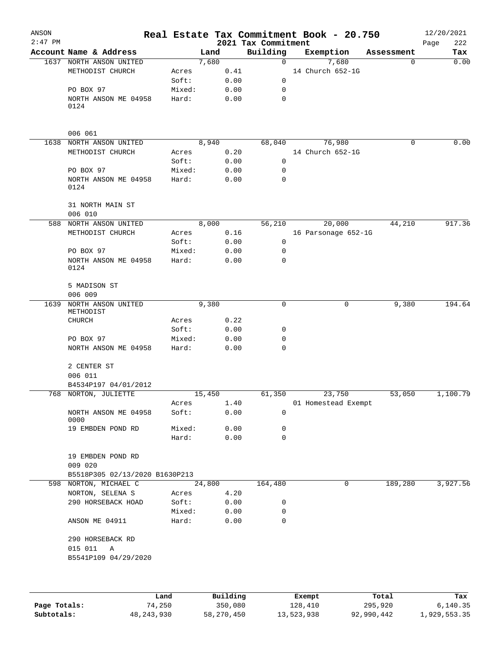| ANSON     |                                  |        |          |                                 | Real Estate Tax Commitment Book - 20.750 |            | 12/20/2021         |
|-----------|----------------------------------|--------|----------|---------------------------------|------------------------------------------|------------|--------------------|
| $2:47$ PM | Account Name & Address           |        | Land     | 2021 Tax Commitment<br>Building | Exemption                                | Assessment | 222<br>Page<br>Tax |
|           | 1637 NORTH ANSON UNITED          |        | 7,680    | $\mathbf 0$                     | 7,680                                    | 0          | 0.00               |
|           | METHODIST CHURCH                 | Acres  | 0.41     |                                 | 14 Church 652-1G                         |            |                    |
|           |                                  | Soft:  | 0.00     | 0                               |                                          |            |                    |
|           | PO BOX 97                        | Mixed: | 0.00     | 0                               |                                          |            |                    |
|           | NORTH ANSON ME 04958             | Hard:  | 0.00     | $\mathbf 0$                     |                                          |            |                    |
|           | 0124                             |        |          |                                 |                                          |            |                    |
|           | 006 061                          |        |          |                                 |                                          |            |                    |
| 1638      | NORTH ANSON UNITED               |        | 8,940    | 68,040                          | 76,980                                   | 0          | 0.00               |
|           | METHODIST CHURCH                 | Acres  | 0.20     |                                 | 14 Church 652-1G                         |            |                    |
|           |                                  | Soft:  | 0.00     | 0                               |                                          |            |                    |
|           | PO BOX 97                        | Mixed: | 0.00     | 0                               |                                          |            |                    |
|           | NORTH ANSON ME 04958<br>0124     | Hard:  | 0.00     | 0                               |                                          |            |                    |
|           | 31 NORTH MAIN ST<br>006 010      |        |          |                                 |                                          |            |                    |
|           | 588 NORTH ANSON UNITED           |        | 8,000    | 56,210                          | 20,000                                   | 44,210     | 917.36             |
|           | METHODIST CHURCH                 | Acres  | 0.16     |                                 | 16 Parsonage 652-1G                      |            |                    |
|           |                                  | Soft:  | 0.00     | 0                               |                                          |            |                    |
|           | PO BOX 97                        | Mixed: | 0.00     | 0                               |                                          |            |                    |
|           | NORTH ANSON ME 04958<br>0124     | Hard:  | 0.00     | 0                               |                                          |            |                    |
|           | 5 MADISON ST<br>006 009          |        |          |                                 |                                          |            |                    |
| 1639      | NORTH ANSON UNITED<br>METHODIST  |        | 9,380    | 0                               | 0                                        | 9,380      | 194.64             |
|           | <b>CHURCH</b>                    | Acres  | 0.22     |                                 |                                          |            |                    |
|           |                                  | Soft:  | 0.00     | 0                               |                                          |            |                    |
|           | PO BOX 97                        | Mixed: | 0.00     | 0                               |                                          |            |                    |
|           | NORTH ANSON ME 04958             | Hard:  | 0.00     | 0                               |                                          |            |                    |
|           | 2 CENTER ST<br>006 011           |        |          |                                 |                                          |            |                    |
|           | B4534P197 04/01/2012             |        |          |                                 |                                          |            |                    |
|           | 768 NORTON, JULIETTE             |        | 15,450   | 61,350                          | 23,750                                   | 53,050     | 1,100.79           |
|           |                                  | Acres  | 1.40     |                                 | 01 Homestead Exempt                      |            |                    |
|           | NORTH ANSON ME 04958<br>0000     | Soft:  | 0.00     | 0                               |                                          |            |                    |
|           | 19 EMBDEN POND RD                | Mixed: | 0.00     | 0                               |                                          |            |                    |
|           |                                  | Hard:  | 0.00     | $\mathbf 0$                     |                                          |            |                    |
|           | 19 EMBDEN POND RD<br>009 020     |        |          |                                 |                                          |            |                    |
|           | B5518P305 02/13/2020 B1630P213   |        |          |                                 |                                          |            |                    |
|           | 598 NORTON, MICHAEL C            |        | 24,800   | 164,480                         | 0                                        | 189,280    | 3,927.56           |
|           | NORTON, SELENA S                 | Acres  | 4.20     |                                 |                                          |            |                    |
|           | 290 HORSEBACK HOAD               | Soft:  | 0.00     | 0                               |                                          |            |                    |
|           |                                  | Mixed: | 0.00     | 0                               |                                          |            |                    |
|           | ANSON ME 04911                   | Hard:  | 0.00     | 0                               |                                          |            |                    |
|           | 290 HORSEBACK RD<br>015 011<br>Α |        |          |                                 |                                          |            |                    |
|           | B5541P109 04/29/2020             |        |          |                                 |                                          |            |                    |
|           |                                  |        |          |                                 |                                          |            |                    |
|           |                                  | Land   | Building |                                 | Exempt                                   | Total      | Tax                |

|              | Land         | Building   | Exempt     | Total      | Tax          |
|--------------|--------------|------------|------------|------------|--------------|
| Page Totals: | 74,250       | 350,080    | 128,410    | 295,920    | 6.140.35     |
| Subtotals:   | 48, 243, 930 | 58,270,450 | 13,523,938 | 92,990,442 | 1,929,553.35 |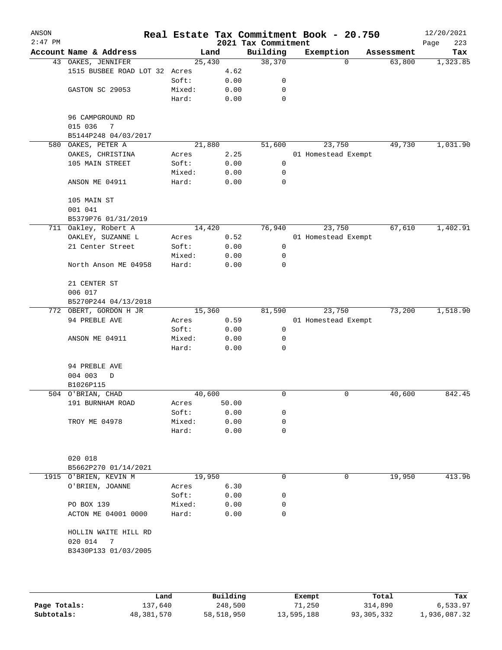| ANSON<br>$2:47$ PM |                                  |        |       | 2021 Tax Commitment | Real Estate Tax Commitment Book - 20.750 |            | 12/20/2021<br>223<br>Page |
|--------------------|----------------------------------|--------|-------|---------------------|------------------------------------------|------------|---------------------------|
|                    | Account Name & Address           | Land   |       | Building            | Exemption                                | Assessment | Tax                       |
|                    | 43 OAKES, JENNIFER               | 25,430 |       | 38,370              | $\Omega$                                 | 63,800     | 1,323.85                  |
|                    | 1515 BUSBEE ROAD LOT 32 Acres    |        | 4.62  |                     |                                          |            |                           |
|                    |                                  | Soft:  | 0.00  | 0                   |                                          |            |                           |
|                    | GASTON SC 29053                  | Mixed: | 0.00  | 0                   |                                          |            |                           |
|                    |                                  | Hard:  | 0.00  | 0                   |                                          |            |                           |
|                    | 96 CAMPGROUND RD<br>015 036<br>7 |        |       |                     |                                          |            |                           |
|                    | B5144P248 04/03/2017             |        |       |                     |                                          |            |                           |
| 580                | OAKES, PETER A                   | 21,880 |       | 51,600              | 23,750                                   | 49,730     | 1,031.90                  |
|                    | OAKES, CHRISTINA                 | Acres  | 2.25  |                     | 01 Homestead Exempt                      |            |                           |
|                    | 105 MAIN STREET                  | Soft:  | 0.00  | 0                   |                                          |            |                           |
|                    |                                  | Mixed: | 0.00  | 0                   |                                          |            |                           |
|                    | ANSON ME 04911                   | Hard:  | 0.00  | 0                   |                                          |            |                           |
|                    | 105 MAIN ST<br>001 041           |        |       |                     |                                          |            |                           |
|                    | B5379P76 01/31/2019              |        |       |                     |                                          |            |                           |
|                    | 711 Oakley, Robert A             | 14,420 |       | 76,940              | 23,750                                   | 67,610     | 1,402.91                  |
|                    | OAKLEY, SUZANNE L                | Acres  | 0.52  |                     | 01 Homestead Exempt                      |            |                           |
|                    | 21 Center Street                 | Soft:  | 0.00  | 0                   |                                          |            |                           |
|                    |                                  | Mixed: | 0.00  | 0                   |                                          |            |                           |
|                    | North Anson ME 04958             | Hard:  | 0.00  | 0                   |                                          |            |                           |
|                    | 21 CENTER ST<br>006 017          |        |       |                     |                                          |            |                           |
|                    | B5270P244 04/13/2018             |        |       |                     |                                          |            |                           |
|                    | 772 OBERT, GORDON H JR           | 15,360 |       | 81,590              | 23,750                                   | 73,200     | 1,518.90                  |
|                    | 94 PREBLE AVE                    | Acres  | 0.59  |                     | 01 Homestead Exempt                      |            |                           |
|                    |                                  | Soft:  | 0.00  | 0                   |                                          |            |                           |
|                    | ANSON ME 04911                   | Mixed: | 0.00  | 0                   |                                          |            |                           |
|                    |                                  | Hard:  | 0.00  | 0                   |                                          |            |                           |
|                    | 94 PREBLE AVE                    |        |       |                     |                                          |            |                           |
|                    | 004 003<br>D                     |        |       |                     |                                          |            |                           |
|                    | B1026P115                        |        |       |                     |                                          |            |                           |
|                    | 504 O'BRIAN, CHAD                | 40,600 |       | 0                   | $\mathsf{O}$                             | 40,600     | 842.45                    |
|                    | 191 BURNHAM ROAD                 | Acres  | 50.00 |                     |                                          |            |                           |
|                    |                                  | Soft:  | 0.00  | 0                   |                                          |            |                           |
|                    | TROY ME 04978                    | Mixed: | 0.00  | 0                   |                                          |            |                           |
|                    |                                  | Hard:  | 0.00  | 0                   |                                          |            |                           |
|                    |                                  |        |       |                     |                                          |            |                           |
|                    | 020 018                          |        |       |                     |                                          |            |                           |
|                    | B5662P270 01/14/2021             |        |       |                     |                                          |            |                           |
|                    | 1915 O'BRIEN, KEVIN M            | 19,950 |       | 0                   | 0                                        | 19,950     | 413.96                    |
|                    | O'BRIEN, JOANNE                  | Acres  | 6.30  |                     |                                          |            |                           |
|                    |                                  | Soft:  | 0.00  | 0                   |                                          |            |                           |
|                    | PO BOX 139                       | Mixed: | 0.00  | 0                   |                                          |            |                           |
|                    | ACTON ME 04001 0000              | Hard:  | 0.00  | 0                   |                                          |            |                           |
|                    | HOLLIN WAITE HILL RD             |        |       |                     |                                          |            |                           |
|                    | 020 014<br>7                     |        |       |                     |                                          |            |                           |
|                    | B3430P133 01/03/2005             |        |       |                     |                                          |            |                           |
|                    |                                  |        |       |                     |                                          |            |                           |
|                    |                                  |        |       |                     |                                          |            |                           |
|                    |                                  |        |       |                     |                                          |            |                           |

|              | Land       | Building   | Exempt     | Total      | Tax          |
|--------------|------------|------------|------------|------------|--------------|
| Page Totals: | 137,640    | 248,500    | 71,250     | 314,890    | 6,533.97     |
| Subtotals:   | 48,381,570 | 58,518,950 | 13,595,188 | 93,305,332 | 1,936,087.32 |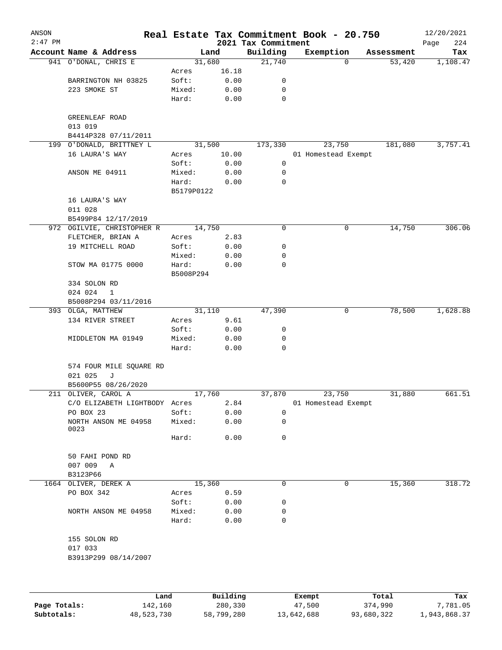| ANSON     |                                         |                 |                 |                                 | Real Estate Tax Commitment Book - 20.750 |            | 12/20/2021         |
|-----------|-----------------------------------------|-----------------|-----------------|---------------------------------|------------------------------------------|------------|--------------------|
| $2:47$ PM | Account Name & Address                  |                 | Land            | 2021 Tax Commitment<br>Building | Exemption                                | Assessment | 224<br>Page<br>Tax |
|           | 941 O'DONAL, CHRIS E                    |                 | 31,680          | 21,740                          | $\Omega$                                 | 53,420     | 1,108.47           |
|           |                                         | Acres           | 16.18           |                                 |                                          |            |                    |
|           | BARRINGTON NH 03825                     | Soft:           | 0.00            | 0                               |                                          |            |                    |
|           | 223 SMOKE ST                            | Mixed:          | 0.00            | 0                               |                                          |            |                    |
|           |                                         | Hard:           | 0.00            | $\mathbf 0$                     |                                          |            |                    |
|           | GREENLEAF ROAD<br>013 019               |                 |                 |                                 |                                          |            |                    |
|           | B4414P328 07/11/2011                    |                 |                 |                                 |                                          |            |                    |
|           | 199 O'DONALD, BRITTNEY L                |                 | 31,500          | 173,330                         | 23,750                                   | 181,080    | 3,757.41           |
|           | 16 LAURA'S WAY                          | Acres           | 10.00           |                                 | 01 Homestead Exempt                      |            |                    |
|           |                                         | Soft:           | 0.00            | 0                               |                                          |            |                    |
|           | ANSON ME 04911                          | Mixed:          | 0.00            | 0                               |                                          |            |                    |
|           |                                         | Hard:           | 0.00            | 0                               |                                          |            |                    |
|           |                                         | B5179P0122      |                 |                                 |                                          |            |                    |
|           | 16 LAURA'S WAY                          |                 |                 |                                 |                                          |            |                    |
|           | 011 028                                 |                 |                 |                                 |                                          |            |                    |
|           | B5499P84 12/17/2019                     |                 |                 |                                 |                                          |            |                    |
|           | 972 OGILVIE, CHRISTOPHER R              |                 | 14,750          | 0                               | 0                                        | 14,750     | 306.06             |
|           | FLETCHER, BRIAN A                       | Acres           | 2.83            |                                 |                                          |            |                    |
|           | 19 MITCHELL ROAD                        | Soft:           | 0.00            | 0                               |                                          |            |                    |
|           |                                         | Mixed:          | 0.00            | 0                               |                                          |            |                    |
|           | STOW MA 01775 0000                      | Hard:           | 0.00            | $\mathbf 0$                     |                                          |            |                    |
|           |                                         | B5008P294       |                 |                                 |                                          |            |                    |
|           | 334 SOLON RD                            |                 |                 |                                 |                                          |            |                    |
|           | 024 024<br>$\mathbf{1}$                 |                 |                 |                                 |                                          |            |                    |
|           | B5008P294 03/11/2016                    |                 |                 |                                 |                                          |            |                    |
|           | 393 OLGA, MATTHEW                       |                 | 31,110          | 47,390                          | 0                                        | 78,500     | 1,628.88           |
|           | 134 RIVER STREET                        | Acres           | 9.61            |                                 |                                          |            |                    |
|           |                                         | Soft:           | 0.00            | 0                               |                                          |            |                    |
|           | MIDDLETON MA 01949                      | Mixed:          | 0.00            | 0<br>0                          |                                          |            |                    |
|           |                                         | Hard:           | 0.00            |                                 |                                          |            |                    |
|           | 574 FOUR MILE SQUARE RD<br>021 025<br>J |                 |                 |                                 |                                          |            |                    |
|           | B5600P55 08/26/2020                     |                 |                 |                                 |                                          |            |                    |
|           | 211 OLIVER, CAROL A                     |                 | 17,760          | 37,870                          | 23,750                                   | 31,880     | 661.51             |
|           | C/O ELIZABETH LIGHTBODY Acres           |                 | 2.84            |                                 | 01 Homestead Exempt                      |            |                    |
|           | PO BOX 23                               | Soft:           | 0.00            | 0                               |                                          |            |                    |
|           | NORTH ANSON ME 04958<br>0023            | Mixed:          | 0.00            | 0                               |                                          |            |                    |
|           |                                         | Hard:           | 0.00            | 0                               |                                          |            |                    |
|           | 50 FAHI POND RD<br>007 009<br>Α         |                 |                 |                                 |                                          |            |                    |
|           | B3123P66                                |                 |                 |                                 |                                          |            |                    |
|           | 1664 OLIVER, DEREK A                    |                 | 15,360          | 0                               | 0                                        | 15,360     | 318.72             |
|           | PO BOX 342                              | Acres           | 0.59            |                                 |                                          |            |                    |
|           |                                         | Soft:           | 0.00            | 0                               |                                          |            |                    |
|           | NORTH ANSON ME 04958                    | Mixed:<br>Hard: | 0.00<br>0.00    | 0<br>0                          |                                          |            |                    |
|           |                                         |                 |                 |                                 |                                          |            |                    |
|           | 155 SOLON RD                            |                 |                 |                                 |                                          |            |                    |
|           | 017 033                                 |                 |                 |                                 |                                          |            |                    |
|           | B3913P299 08/14/2007                    |                 |                 |                                 |                                          |            |                    |
|           |                                         |                 |                 |                                 |                                          |            |                    |
|           |                                         |                 |                 |                                 |                                          |            |                    |
|           | Land.                                   |                 | <b>Building</b> |                                 | <b>Fromnt</b>                            | $T$ ctal   | To y               |

|              | Land       | Building   | Exempt     | Total      | Tax          |
|--------------|------------|------------|------------|------------|--------------|
| Page Totals: | 142,160    | 280,330    | 47,500     | 374,990    | 7,781.05     |
| Subtotals:   | 48,523,730 | 58,799,280 | 13,642,688 | 93,680,322 | 1,943,868.37 |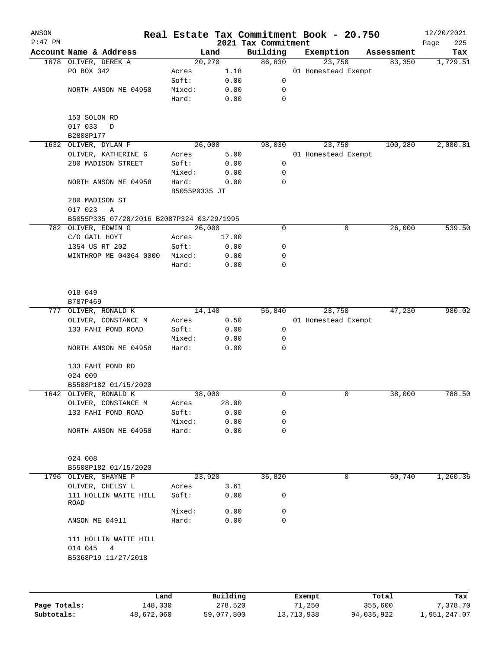| ANSON     |                                           |                 |              |                                 | Real Estate Tax Commitment Book - 20.750 |            | 12/20/2021         |
|-----------|-------------------------------------------|-----------------|--------------|---------------------------------|------------------------------------------|------------|--------------------|
| $2:47$ PM | Account Name & Address                    |                 | Land         | 2021 Tax Commitment<br>Building | Exemption                                | Assessment | Page<br>225<br>Tax |
|           | 1878 OLIVER, DEREK A                      |                 | 20, 270      | 86,830                          | 23,750                                   | 83,350     | 1,729.51           |
|           | PO BOX 342                                | Acres           | 1.18         |                                 | 01 Homestead Exempt                      |            |                    |
|           |                                           | Soft:           | 0.00         | 0                               |                                          |            |                    |
|           | NORTH ANSON ME 04958                      | Mixed:          | 0.00         | 0                               |                                          |            |                    |
|           |                                           | Hard:           | 0.00         | $\mathbf 0$                     |                                          |            |                    |
|           | 153 SOLON RD                              |                 |              |                                 |                                          |            |                    |
|           | 017 033<br>D<br>B2808P177                 |                 |              |                                 |                                          |            |                    |
|           | 1632 OLIVER, DYLAN F                      |                 | 26,000       | 98,030                          | 23,750                                   | 100,280    | 2,080.81           |
|           | OLIVER, KATHERINE G                       | Acres           | 5.00         |                                 | 01 Homestead Exempt                      |            |                    |
|           | 280 MADISON STREET                        | Soft:           | 0.00         | 0                               |                                          |            |                    |
|           |                                           | Mixed:          | 0.00         | 0                               |                                          |            |                    |
|           | NORTH ANSON ME 04958                      | Hard:           | 0.00         | 0                               |                                          |            |                    |
|           |                                           | B5055P0335 JT   |              |                                 |                                          |            |                    |
|           | 280 MADISON ST                            |                 |              |                                 |                                          |            |                    |
|           | 017 023<br>Α                              |                 |              |                                 |                                          |            |                    |
|           | B5055P335 07/28/2016 B2087P324 03/29/1995 |                 |              |                                 |                                          |            |                    |
|           | 782 OLIVER, EDWIN G                       |                 | 26,000       | 0                               | 0                                        | 26,000     | 539.50             |
|           | C/O GAIL HOYT                             | Acres           | 17.00        |                                 |                                          |            |                    |
|           | 1354 US RT 202                            | Soft:           | 0.00         | 0                               |                                          |            |                    |
|           | WINTHROP ME 04364 0000                    | Mixed:          | 0.00         | 0                               |                                          |            |                    |
|           |                                           | Hard:           | 0.00         | 0                               |                                          |            |                    |
|           | 018 049                                   |                 |              |                                 |                                          |            |                    |
|           | B787P469                                  |                 |              |                                 |                                          |            |                    |
|           | 777 OLIVER, RONALD K                      |                 | 14,140       | 56,840                          | 23,750                                   | 47,230     | 980.02             |
|           | OLIVER, CONSTANCE M                       | Acres           | 0.50         |                                 | 01 Homestead Exempt                      |            |                    |
|           | 133 FAHI POND ROAD                        | Soft:           | 0.00         | 0                               |                                          |            |                    |
|           |                                           | Mixed:          | 0.00         | 0                               |                                          |            |                    |
|           | NORTH ANSON ME 04958                      | Hard:           | 0.00         | 0                               |                                          |            |                    |
|           | 133 FAHI POND RD                          |                 |              |                                 |                                          |            |                    |
|           | 024 009                                   |                 |              |                                 |                                          |            |                    |
|           | B5508P182 01/15/2020                      |                 |              |                                 |                                          |            |                    |
|           | 1642 OLIVER, RONALD K                     |                 | 38,000       | 0                               | 0                                        | 38,000     | 788.50             |
|           | OLIVER, CONSTANCE M                       | Acres           | 28.00        |                                 |                                          |            |                    |
|           | 133 FAHI POND ROAD                        | Soft:           | 0.00         | 0                               |                                          |            |                    |
|           |                                           | Mixed:          | 0.00         | 0                               |                                          |            |                    |
|           | NORTH ANSON ME 04958                      | Hard:           | 0.00         | 0                               |                                          |            |                    |
|           | 024 008                                   |                 |              |                                 |                                          |            |                    |
|           | B5508P182 01/15/2020                      |                 |              |                                 |                                          |            |                    |
|           | 1796 OLIVER, SHAYNE P                     |                 | 23,920       | 36,820                          | 0                                        | 60,740     | 1,260.36           |
|           | OLIVER, CHELSY L                          | Acres           | 3.61         |                                 |                                          |            |                    |
|           | 111 HOLLIN WAITE HILL<br>ROAD             | Soft:           | 0.00         | 0                               |                                          |            |                    |
|           | ANSON ME 04911                            | Mixed:<br>Hard: | 0.00<br>0.00 | 0<br>0                          |                                          |            |                    |
|           | 111 HOLLIN WAITE HILL<br>014 045<br>4     |                 |              |                                 |                                          |            |                    |
|           | B5368P19 11/27/2018                       |                 |              |                                 |                                          |            |                    |
|           |                                           |                 |              |                                 |                                          |            |                    |
|           |                                           | Land.           | Building     |                                 | <b>Rvomnt</b>                            | $T0+21$    | Tay                |

|              | Land       | Building   | Exempt     | Total      | Tax          |
|--------------|------------|------------|------------|------------|--------------|
| Page Totals: | 148,330    | 278,520    | 71,250     | 355,600    | 7,378.70     |
| Subtotals:   | 48,672,060 | 59,077,800 | 13,713,938 | 94,035,922 | 1,951,247.07 |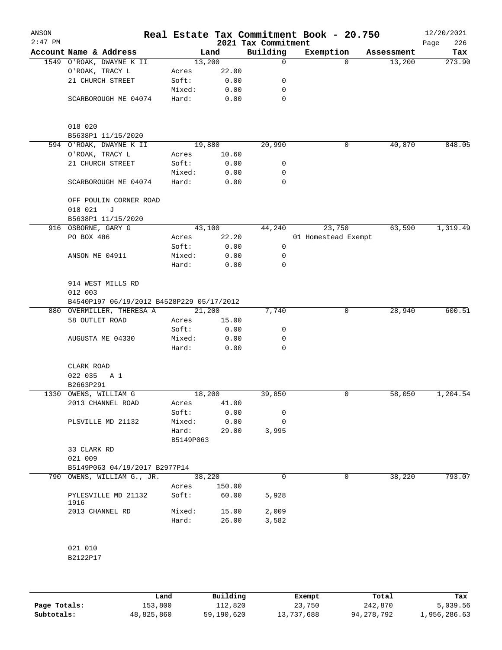| ANSON<br>$2:47$ PM |                       |                                           |                    |        | 2021 Tax Commitment | Real Estate Tax Commitment Book - 20.750 |            | 12/20/2021<br>226<br>Page |
|--------------------|-----------------------|-------------------------------------------|--------------------|--------|---------------------|------------------------------------------|------------|---------------------------|
|                    |                       | Account Name & Address                    |                    | Land   | Building            | Exemption                                | Assessment | Tax                       |
|                    |                       | 1549 O'ROAK, DWAYNE K II                  |                    | 13,200 | 0                   | $\Omega$                                 | 13,200     | 273.90                    |
|                    | O'ROAK, TRACY L       |                                           | Acres              | 22.00  |                     |                                          |            |                           |
|                    |                       | 21 CHURCH STREET                          | Soft:              | 0.00   | 0                   |                                          |            |                           |
|                    |                       |                                           | Mixed:             | 0.00   | 0                   |                                          |            |                           |
|                    |                       | SCARBOROUGH ME 04074                      | Hard:              | 0.00   | 0                   |                                          |            |                           |
|                    | 018 020               |                                           |                    |        |                     |                                          |            |                           |
|                    |                       | B5638P1 11/15/2020                        |                    |        |                     |                                          |            |                           |
|                    |                       | 594 O'ROAK, DWAYNE K II                   |                    | 19,880 | 20,990              | 0                                        | 40,870     | 848.05                    |
|                    | O'ROAK, TRACY L       |                                           | Acres              | 10.60  |                     |                                          |            |                           |
|                    |                       | 21 CHURCH STREET                          | Soft:              | 0.00   | 0                   |                                          |            |                           |
|                    |                       |                                           | Mixed:             | 0.00   | 0                   |                                          |            |                           |
|                    |                       | SCARBOROUGH ME 04074                      | Hard:              | 0.00   | $\mathbf 0$         |                                          |            |                           |
|                    | 018 021               | OFF POULIN CORNER ROAD<br>J               |                    |        |                     |                                          |            |                           |
|                    |                       | B5638P1 11/15/2020                        |                    |        |                     |                                          |            |                           |
|                    | 916 OSBORNE, GARY G   |                                           |                    | 43,100 | 44,240              | 23,750                                   | 63,590     | 1,319.49                  |
|                    | PO BOX 486            |                                           | Acres              | 22.20  |                     | 01 Homestead Exempt                      |            |                           |
|                    |                       |                                           | Soft:              | 0.00   | 0                   |                                          |            |                           |
|                    | ANSON ME 04911        |                                           | Mixed:             | 0.00   | 0                   |                                          |            |                           |
|                    |                       |                                           | Hard:              | 0.00   | $\mathbf 0$         |                                          |            |                           |
|                    | 012 003               | 914 WEST MILLS RD                         |                    |        |                     |                                          |            |                           |
|                    |                       | B4540P197 06/19/2012 B4528P229 05/17/2012 |                    |        |                     |                                          |            |                           |
|                    |                       | 880 OVERMILLER, THERESA A                 |                    | 21,200 | 7,740               | 0                                        | 28,940     | 600.51                    |
|                    | 58 OUTLET ROAD        |                                           | Acres              | 15.00  |                     |                                          |            |                           |
|                    |                       |                                           | Soft:              | 0.00   | 0                   |                                          |            |                           |
|                    |                       | AUGUSTA ME 04330                          | Mixed:             | 0.00   | 0                   |                                          |            |                           |
|                    |                       |                                           | Hard:              | 0.00   | 0                   |                                          |            |                           |
|                    | CLARK ROAD            |                                           |                    |        |                     |                                          |            |                           |
|                    | 022 035               | A 1                                       |                    |        |                     |                                          |            |                           |
|                    | B2663P291             |                                           |                    |        |                     |                                          |            |                           |
|                    | 1330 OWENS, WILLIAM G |                                           |                    | 18,200 | 39,850              | 0                                        | 58,050     | 1,204.54                  |
|                    |                       | 2013 CHANNEL ROAD                         | Acres              | 41.00  |                     |                                          |            |                           |
|                    |                       |                                           | Soft:              | 0.00   | 0                   |                                          |            |                           |
|                    |                       | PLSVILLE MD 21132                         | Mixed:             | 0.00   | 0                   |                                          |            |                           |
|                    |                       |                                           | Hard:<br>B5149P063 | 29.00  | 3,995               |                                          |            |                           |
|                    | 33 CLARK RD           |                                           |                    |        |                     |                                          |            |                           |
|                    | 021 009               |                                           |                    |        |                     |                                          |            |                           |
|                    |                       | B5149P063 04/19/2017 B2977P14             |                    |        |                     |                                          |            |                           |
|                    |                       | 790 OWENS, WILLIAM G., JR.                |                    | 38,220 | $\Omega$            | 0                                        | 38,220     | 793.07                    |
|                    |                       |                                           | Acres              | 150.00 |                     |                                          |            |                           |
|                    | 1916                  | PYLESVILLE MD 21132                       | Soft:              | 60.00  | 5,928               |                                          |            |                           |
|                    | 2013 CHANNEL RD       |                                           | Mixed:             | 15.00  | 2,009               |                                          |            |                           |
|                    |                       |                                           | Hard:              | 26.00  | 3,582               |                                          |            |                           |
|                    | 021 010               |                                           |                    |        |                     |                                          |            |                           |
|                    | B2122P17              |                                           |                    |        |                     |                                          |            |                           |
|                    |                       |                                           |                    |        |                     |                                          |            |                           |

|              | Land       | Building   | Exempt     | Total      | Tax          |
|--------------|------------|------------|------------|------------|--------------|
| Page Totals: | 153,800    | 112,820    | 23,750     | 242,870    | 5,039.56     |
| Subtotals:   | 48,825,860 | 59,190,620 | 13,737,688 | 94,278,792 | 1,956,286.63 |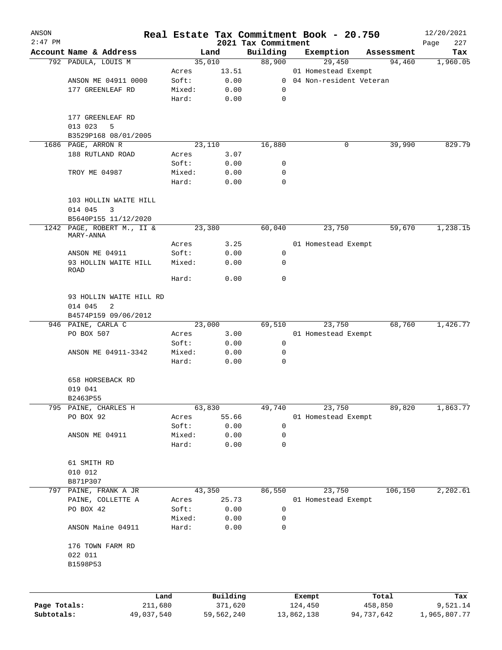| ANSON        |                                         |                 |              |                                 | Real Estate Tax Commitment Book - 20.750 |                      | 12/20/2021         |
|--------------|-----------------------------------------|-----------------|--------------|---------------------------------|------------------------------------------|----------------------|--------------------|
| $2:47$ PM    | Account Name & Address                  |                 | Land         | 2021 Tax Commitment<br>Building | Exemption                                |                      | 227<br>Page<br>Tax |
|              | 792 PADULA, LOUIS M                     |                 | 35,010       | 88,900                          | 29,450                                   | Assessment<br>94,460 | 1,960.05           |
|              |                                         | Acres           | 13.51        |                                 | 01 Homestead Exempt                      |                      |                    |
|              | ANSON ME 04911 0000                     | Soft:           | 0.00         |                                 | 0 04 Non-resident Veteran                |                      |                    |
|              | 177 GREENLEAF RD                        | Mixed:          | 0.00         | 0                               |                                          |                      |                    |
|              |                                         | Hard:           | 0.00         | $\mathbf 0$                     |                                          |                      |                    |
|              | 177 GREENLEAF RD                        |                 |              |                                 |                                          |                      |                    |
|              | 013 023<br>5                            |                 |              |                                 |                                          |                      |                    |
|              | B3529P168 08/01/2005                    |                 |              |                                 |                                          |                      |                    |
|              | 1686 PAGE, ARRON R                      |                 | 23,110       | 16,880                          | 0                                        | 39,990               | 829.79             |
|              | 188 RUTLAND ROAD                        | Acres<br>Soft:  | 3.07         | 0                               |                                          |                      |                    |
|              | TROY ME 04987                           | Mixed:          | 0.00<br>0.00 | 0                               |                                          |                      |                    |
|              |                                         | Hard:           | 0.00         | $\Omega$                        |                                          |                      |                    |
|              | 103 HOLLIN WAITE HILL                   |                 |              |                                 |                                          |                      |                    |
|              | 014 045<br>3<br>B5640P155 11/12/2020    |                 |              |                                 |                                          |                      |                    |
|              | 1242 PAGE, ROBERT M., II &<br>MARY-ANNA |                 | 23,380       | 60,040                          | 23,750                                   | 59,670               | 1,238.15           |
|              |                                         | Acres           | 3.25         |                                 | 01 Homestead Exempt                      |                      |                    |
|              | ANSON ME 04911                          | Soft:           | 0.00         | 0                               |                                          |                      |                    |
|              | 93 HOLLIN WAITE HILL<br><b>ROAD</b>     | Mixed:          | 0.00         | 0                               |                                          |                      |                    |
|              |                                         | Hard:           | 0.00         | 0                               |                                          |                      |                    |
|              | 93 HOLLIN WAITE HILL RD                 |                 |              |                                 |                                          |                      |                    |
|              | 014 045<br>2                            |                 |              |                                 |                                          |                      |                    |
|              | B4574P159 09/06/2012                    |                 |              |                                 |                                          |                      |                    |
|              | 946 PAINE, CARLA C                      |                 | 23,000       | 69,510                          | 23,750                                   | 68,760               | 1,426.77           |
|              | PO BOX 507                              | Acres           | 3.00         |                                 | 01 Homestead Exempt                      |                      |                    |
|              |                                         | Soft:           | 0.00         | 0                               |                                          |                      |                    |
|              | ANSON ME 04911-3342                     | Mixed:<br>Hard: | 0.00<br>0.00 | 0<br>0                          |                                          |                      |                    |
|              | 658 HORSEBACK RD                        |                 |              |                                 |                                          |                      |                    |
|              | 019 041                                 |                 |              |                                 |                                          |                      |                    |
|              | B2463P55                                |                 |              |                                 |                                          |                      |                    |
| 795          | PAINE, CHARLES H                        |                 | 63,830       | 49,740                          | 23,750                                   | 89,820               | 1,863.77           |
|              | PO BOX 92                               | Acres           | 55.66        |                                 | 01 Homestead Exempt                      |                      |                    |
|              |                                         | Soft:           | 0.00         | 0                               |                                          |                      |                    |
|              | ANSON ME 04911                          | Mixed:          | 0.00         | 0                               |                                          |                      |                    |
|              |                                         | Hard:           | 0.00         | $\mathbf 0$                     |                                          |                      |                    |
|              | 61 SMITH RD<br>010 012                  |                 |              |                                 |                                          |                      |                    |
|              | B871P307                                |                 |              |                                 |                                          |                      |                    |
| 797          | PAINE, FRANK A JR                       |                 | 43,350       | 86,550                          | 23,750                                   | 106,150              | 2,202.61           |
|              | PAINE, COLLETTE A                       | Acres           | 25.73        |                                 | 01 Homestead Exempt                      |                      |                    |
|              | PO BOX 42                               | Soft:           | 0.00         | 0                               |                                          |                      |                    |
|              |                                         | Mixed:          | 0.00         | 0                               |                                          |                      |                    |
|              | ANSON Maine 04911                       | Hard:           | 0.00         | 0                               |                                          |                      |                    |
|              | 176 TOWN FARM RD                        |                 |              |                                 |                                          |                      |                    |
|              | 022 011                                 |                 |              |                                 |                                          |                      |                    |
|              | B1598P53                                |                 |              |                                 |                                          |                      |                    |
|              |                                         | Land            | Building     |                                 | Exempt                                   | Total                | Tax                |
| Page Totals: |                                         | 211,680         | 371,620      |                                 | 124,450                                  | 458,850              | 9,521.14           |
| Subtotals:   | 49,037,540                              |                 | 59,562,240   |                                 | 13,862,138                               | 94,737,642           | 1,965,807.77       |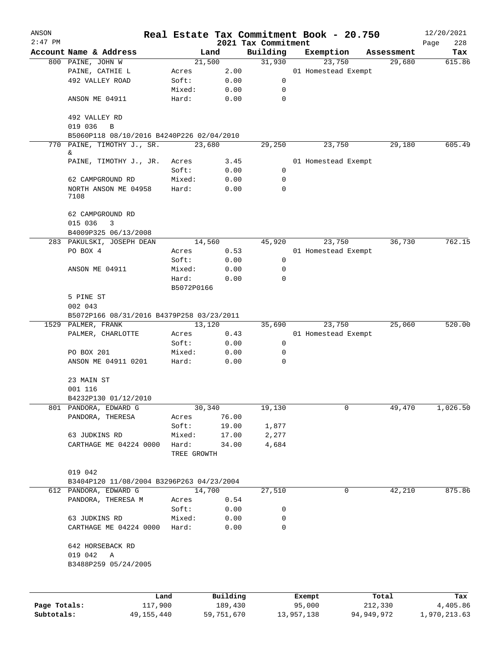| ANSON        |                                           |             |          |                                 | Real Estate Tax Commitment Book - 20.750 |            | 12/20/2021         |
|--------------|-------------------------------------------|-------------|----------|---------------------------------|------------------------------------------|------------|--------------------|
| $2:47$ PM    | Account Name & Address                    |             | Land     | 2021 Tax Commitment<br>Building | Exemption                                | Assessment | 228<br>Page<br>Tax |
|              | 800 PAINE, JOHN W                         |             | 21,500   | 31,930                          | 23,750                                   | 29,680     | 615.86             |
|              | PAINE, CATHIE L                           | Acres       | 2.00     |                                 | 01 Homestead Exempt                      |            |                    |
|              | 492 VALLEY ROAD                           | Soft:       | 0.00     | 0                               |                                          |            |                    |
|              |                                           | Mixed:      | 0.00     | 0                               |                                          |            |                    |
|              | ANSON ME 04911                            | Hard:       | 0.00     | $\mathbf 0$                     |                                          |            |                    |
|              | 492 VALLEY RD<br>019 036<br>$\, {\bf B}$  |             |          |                                 |                                          |            |                    |
|              | B5060P118 08/10/2016 B4240P226 02/04/2010 |             |          |                                 |                                          |            |                    |
| 770          | PAINE, TIMOTHY J., SR.                    |             | 23,680   | 29,250                          | 23,750                                   | 29,180     | 605.49             |
|              | &.<br>PAINE, TIMOTHY J., JR.              | Acres       | 3.45     |                                 | 01 Homestead Exempt                      |            |                    |
|              |                                           | Soft:       | 0.00     | 0                               |                                          |            |                    |
|              | 62 CAMPGROUND RD                          | Mixed:      | 0.00     | 0                               |                                          |            |                    |
|              | NORTH ANSON ME 04958<br>7108              | Hard:       | 0.00     | $\mathbf 0$                     |                                          |            |                    |
|              | 62 CAMPGROUND RD                          |             |          |                                 |                                          |            |                    |
|              | 015 036<br>3                              |             |          |                                 |                                          |            |                    |
|              | B4009P325 06/13/2008                      |             |          |                                 |                                          |            |                    |
|              | 283 PAKULSKI, JOSEPH DEAN                 |             | 14,560   | 45,920                          | 23,750                                   | 36,730     | 762.15             |
|              | PO BOX 4                                  | Acres       | 0.53     |                                 | 01 Homestead Exempt                      |            |                    |
|              |                                           | Soft:       | 0.00     | 0                               |                                          |            |                    |
|              | ANSON ME 04911                            | Mixed:      | 0.00     | $\mathbf 0$                     |                                          |            |                    |
|              |                                           | Hard:       | 0.00     | 0                               |                                          |            |                    |
|              |                                           | B5072P0166  |          |                                 |                                          |            |                    |
|              | 5 PINE ST<br>002 043                      |             |          |                                 |                                          |            |                    |
|              | B5072P166 08/31/2016 B4379P258 03/23/2011 |             |          |                                 |                                          |            |                    |
|              | 1529 PALMER, FRANK                        |             | 13,120   | 35,690                          | 23,750                                   | 25,060     | 520.00             |
|              | PALMER, CHARLOTTE                         | Acres       | 0.43     |                                 | 01 Homestead Exempt                      |            |                    |
|              |                                           | Soft:       | 0.00     | 0                               |                                          |            |                    |
|              | PO BOX 201                                | Mixed:      | 0.00     | 0                               |                                          |            |                    |
|              | ANSON ME 04911 0201                       | Hard:       | 0.00     | $\mathbf 0$                     |                                          |            |                    |
|              | 23 MAIN ST                                |             |          |                                 |                                          |            |                    |
|              | 001 116                                   |             |          |                                 |                                          |            |                    |
|              | B4232P130 01/12/2010                      |             |          |                                 |                                          |            |                    |
| 801          | PANDORA, EDWARD G                         |             | 30,340   | 19,130                          | 0                                        | 49,470     | 1,026.50           |
|              | PANDORA, THERESA                          | Acres       | 76.00    |                                 |                                          |            |                    |
|              |                                           | Soft:       | 19.00    | 1,877                           |                                          |            |                    |
|              | 63 JUDKINS RD                             | Mixed:      | 17.00    | 2,277                           |                                          |            |                    |
|              | CARTHAGE ME 04224 0000                    | Hard:       | 34.00    | 4,684                           |                                          |            |                    |
|              |                                           | TREE GROWTH |          |                                 |                                          |            |                    |
|              | 019 042                                   |             |          |                                 |                                          |            |                    |
|              | B3404P120 11/08/2004 B3296P263 04/23/2004 |             |          |                                 |                                          |            |                    |
|              | 612 PANDORA, EDWARD G                     |             | 14,700   | 27,510                          | 0                                        | 42,210     | 875.86             |
|              | PANDORA, THERESA M                        | Acres       | 0.54     |                                 |                                          |            |                    |
|              |                                           | Soft:       | 0.00     | 0                               |                                          |            |                    |
|              | 63 JUDKINS RD                             | Mixed:      | 0.00     | 0                               |                                          |            |                    |
|              | CARTHAGE ME 04224 0000                    | Hard:       | 0.00     | $\mathbf 0$                     |                                          |            |                    |
|              | 642 HORSEBACK RD                          |             |          |                                 |                                          |            |                    |
|              | 019 042<br>Α                              |             |          |                                 |                                          |            |                    |
|              | B3488P259 05/24/2005                      |             |          |                                 |                                          |            |                    |
|              |                                           |             |          |                                 |                                          |            |                    |
|              |                                           | Land        | Building |                                 | Exempt                                   | Total      | Tax                |
| Page Totals: | 117,900                                   |             | 189,430  |                                 | 95,000                                   | 212,330    | 4,405.86           |

**Subtotals:** 49,155,440 59,751,670 13,957,138 94,949,972 1,970,213.63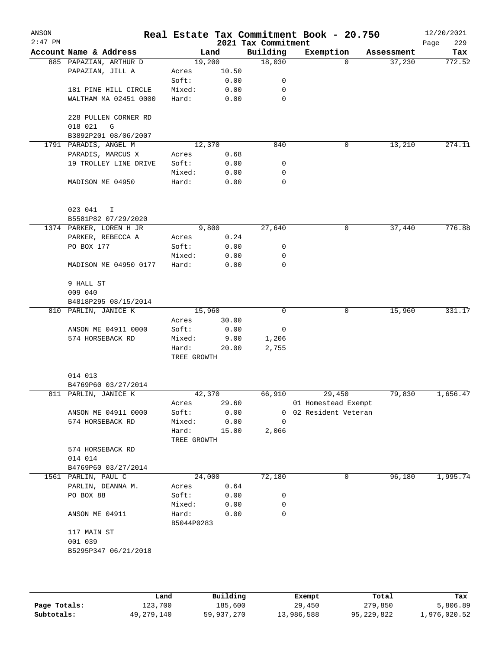| ANSON<br>$2:47$ PM |                                      |                      |       | 2021 Tax Commitment | Real Estate Tax Commitment Book - 20.750 |            | 12/20/2021<br>229<br>Page |
|--------------------|--------------------------------------|----------------------|-------|---------------------|------------------------------------------|------------|---------------------------|
|                    | Account Name & Address               |                      | Land  | Building            | Exemption                                | Assessment | Tax                       |
|                    | 885 PAPAZIAN, ARTHUR D               | 19,200               |       | 18,030              | $\Omega$                                 | 37,230     | 772.52                    |
|                    | PAPAZIAN, JILL A                     | Acres                | 10.50 |                     |                                          |            |                           |
|                    |                                      | Soft:                | 0.00  | 0                   |                                          |            |                           |
|                    | 181 PINE HILL CIRCLE                 | Mixed:               | 0.00  | 0                   |                                          |            |                           |
|                    | WALTHAM MA 02451 0000                | Hard:                | 0.00  | 0                   |                                          |            |                           |
|                    | 228 PULLEN CORNER RD<br>018 021<br>G |                      |       |                     |                                          |            |                           |
|                    | B3892P201 08/06/2007                 |                      |       |                     |                                          |            |                           |
|                    | 1791 PARADIS, ANGEL M                | 12,370               |       | 840                 | 0                                        | 13,210     | 274.11                    |
|                    | PARADIS, MARCUS X                    | Acres                | 0.68  |                     |                                          |            |                           |
|                    | 19 TROLLEY LINE DRIVE                | Soft:                | 0.00  | 0                   |                                          |            |                           |
|                    |                                      | Mixed:               | 0.00  | 0                   |                                          |            |                           |
|                    | MADISON ME 04950                     | Hard:                | 0.00  | $\mathbf 0$         |                                          |            |                           |
|                    | 023 041<br>$\mathbf I$               |                      |       |                     |                                          |            |                           |
|                    | B5581P82 07/29/2020                  |                      |       |                     |                                          |            |                           |
|                    | 1374 PARKER, LOREN H JR              |                      | 9,800 | 27,640              | 0                                        | 37,440     | 776.88                    |
|                    | PARKER, REBECCA A                    | Acres                | 0.24  |                     |                                          |            |                           |
|                    | PO BOX 177                           | Soft:                | 0.00  | 0                   |                                          |            |                           |
|                    |                                      | Mixed:               | 0.00  | 0                   |                                          |            |                           |
|                    | MADISON ME 04950 0177                | Hard:                | 0.00  | 0                   |                                          |            |                           |
|                    | 9 HALL ST                            |                      |       |                     |                                          |            |                           |
|                    | 009 040                              |                      |       |                     |                                          |            |                           |
|                    | B4818P295 08/15/2014                 |                      |       |                     |                                          |            |                           |
|                    | 810 PARLIN, JANICE K                 | 15,960               |       | 0                   | 0                                        | 15,960     | 331.17                    |
|                    |                                      | Acres                | 30.00 |                     |                                          |            |                           |
|                    | ANSON ME 04911 0000                  | Soft:                | 0.00  | 0                   |                                          |            |                           |
|                    | 574 HORSEBACK RD                     | Mixed:               | 9.00  | 1,206               |                                          |            |                           |
|                    |                                      | Hard:<br>TREE GROWTH | 20.00 | 2,755               |                                          |            |                           |
|                    |                                      |                      |       |                     |                                          |            |                           |
|                    | 014 013                              |                      |       |                     |                                          |            |                           |
|                    | B4769P60 03/27/2014                  |                      |       |                     |                                          |            |                           |
|                    | 811 PARLIN, JANICE K                 | 42,370               |       | 66,910              | 29,450                                   | 79,830     | 1,656.47                  |
|                    |                                      | Acres                | 29.60 |                     | 01 Homestead Exempt                      |            |                           |
|                    | ANSON ME 04911 0000                  | Soft:                | 0.00  |                     | 0 02 Resident Veteran                    |            |                           |
|                    | 574 HORSEBACK RD                     | Mixed:               | 0.00  | $\mathbf 0$         |                                          |            |                           |
|                    |                                      | Hard:<br>TREE GROWTH | 15.00 | 2,066               |                                          |            |                           |
|                    | 574 HORSEBACK RD<br>014 014          |                      |       |                     |                                          |            |                           |
|                    | B4769P60 03/27/2014                  |                      |       |                     |                                          |            |                           |
|                    | 1561 PARLIN, PAUL C                  | 24,000               |       | 72,180              | 0                                        | 96,180     | 1,995.74                  |
|                    | PARLIN, DEANNA M.                    | Acres                | 0.64  |                     |                                          |            |                           |
|                    | PO BOX 88                            | Soft:                | 0.00  | 0                   |                                          |            |                           |
|                    |                                      | Mixed:               | 0.00  | 0                   |                                          |            |                           |
|                    | ANSON ME 04911                       | Hard:<br>B5044P0283  | 0.00  | 0                   |                                          |            |                           |
|                    | 117 MAIN ST                          |                      |       |                     |                                          |            |                           |
|                    | 001 039                              |                      |       |                     |                                          |            |                           |
|                    | B5295P347 06/21/2018                 |                      |       |                     |                                          |            |                           |
|                    |                                      |                      |       |                     |                                          |            |                           |
|                    |                                      |                      |       |                     |                                          |            |                           |
|                    |                                      |                      |       |                     |                                          |            |                           |

|              | Land       | Building   | Exempt     | Total      | Tax          |
|--------------|------------|------------|------------|------------|--------------|
| Page Totals: | 123,700    | 185,600    | 29,450     | 279,850    | 5,806.89     |
| Subtotals:   | 49,279,140 | 59,937,270 | 13,986,588 | 95,229,822 | 1,976,020.52 |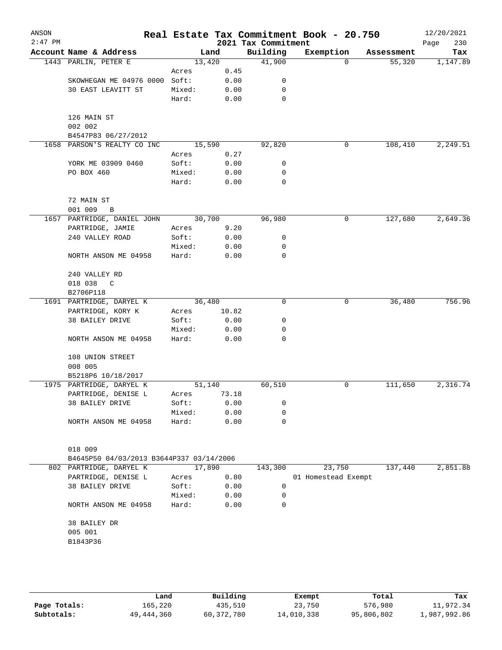| ANSON<br>$2:47$ PM |                                          |        |       | 2021 Tax Commitment | Real Estate Tax Commitment Book - 20.750 |            | 12/20/2021<br>230<br>Page |
|--------------------|------------------------------------------|--------|-------|---------------------|------------------------------------------|------------|---------------------------|
|                    | Account Name & Address                   | Land   |       | Building            | Exemption                                | Assessment | Tax                       |
|                    | 1443 PARLIN, PETER E                     | 13,420 |       | 41,900              | $\Omega$                                 | 55,320     | 1,147.89                  |
|                    |                                          | Acres  | 0.45  |                     |                                          |            |                           |
|                    | SKOWHEGAN ME 04976 0000                  | Soft:  | 0.00  | 0                   |                                          |            |                           |
|                    | 30 EAST LEAVITT ST                       | Mixed: | 0.00  | 0                   |                                          |            |                           |
|                    |                                          | Hard:  | 0.00  | 0                   |                                          |            |                           |
|                    | 126 MAIN ST                              |        |       |                     |                                          |            |                           |
|                    | 002 002                                  |        |       |                     |                                          |            |                           |
|                    | B4547P83 06/27/2012                      |        |       |                     |                                          |            |                           |
|                    | 1658 PARSON'S REALTY CO INC              | 15,590 |       | 92,820              | 0                                        | 108,410    | 2,249.51                  |
|                    |                                          | Acres  | 0.27  |                     |                                          |            |                           |
|                    | YORK ME 03909 0460                       | Soft:  | 0.00  | 0                   |                                          |            |                           |
|                    | PO BOX 460                               | Mixed: | 0.00  | 0                   |                                          |            |                           |
|                    |                                          | Hard:  | 0.00  | 0                   |                                          |            |                           |
|                    | 72 MAIN ST                               |        |       |                     |                                          |            |                           |
|                    | 001 009<br>$\, {\bf B}$                  |        |       |                     |                                          |            |                           |
|                    | 1657 PARTRIDGE, DANIEL JOHN              | 30,700 |       | 96,980              | 0                                        | 127,680    | 2,649.36                  |
|                    | PARTRIDGE, JAMIE                         | Acres  | 9.20  |                     |                                          |            |                           |
|                    | 240 VALLEY ROAD                          | Soft:  | 0.00  | 0                   |                                          |            |                           |
|                    |                                          | Mixed: | 0.00  | 0                   |                                          |            |                           |
|                    | NORTH ANSON ME 04958                     | Hard:  | 0.00  | $\mathbf 0$         |                                          |            |                           |
|                    | 240 VALLEY RD                            |        |       |                     |                                          |            |                           |
|                    | 018 038<br>$\mathbb C$                   |        |       |                     |                                          |            |                           |
|                    | B2706P118                                |        |       |                     |                                          |            |                           |
|                    | 1691 PARTRIDGE, DARYEL K                 | 36,480 |       | 0                   | 0                                        | 36,480     | 756.96                    |
|                    | PARTRIDGE, KORY K                        | Acres  | 10.82 |                     |                                          |            |                           |
|                    | 38 BAILEY DRIVE                          | Soft:  | 0.00  | 0                   |                                          |            |                           |
|                    |                                          | Mixed: | 0.00  | 0                   |                                          |            |                           |
|                    | NORTH ANSON ME 04958                     | Hard:  | 0.00  | 0                   |                                          |            |                           |
|                    | 108 UNION STREET                         |        |       |                     |                                          |            |                           |
|                    | 008 005                                  |        |       |                     |                                          |            |                           |
|                    | B5218P6 10/18/2017                       |        |       |                     |                                          |            |                           |
|                    | 1975 PARTRIDGE, DARYEL K                 | 51,140 |       | 60,510              | 0                                        | 111,650    | 2,316.74                  |
|                    | PARTRIDGE, DENISE L                      | Acres  | 73.18 |                     |                                          |            |                           |
|                    | 38 BAILEY DRIVE                          | Soft:  | 0.00  | 0                   |                                          |            |                           |
|                    |                                          | Mixed: | 0.00  | 0                   |                                          |            |                           |
|                    | NORTH ANSON ME 04958                     | Hard:  | 0.00  | 0                   |                                          |            |                           |
|                    |                                          |        |       |                     |                                          |            |                           |
|                    | 018 009                                  |        |       |                     |                                          |            |                           |
|                    | B4645P50 04/03/2013 B3644P337 03/14/2006 |        |       |                     |                                          |            |                           |
|                    | 802 PARTRIDGE, DARYEL K                  | 17,890 |       | 143,300             | 23,750                                   | 137,440    | 2,851.88                  |
|                    | PARTRIDGE, DENISE L                      | Acres  | 0.80  |                     | 01 Homestead Exempt                      |            |                           |
|                    | 38 BAILEY DRIVE                          | Soft:  | 0.00  | 0                   |                                          |            |                           |
|                    |                                          | Mixed: | 0.00  | 0                   |                                          |            |                           |
|                    | NORTH ANSON ME 04958                     | Hard:  | 0.00  | 0                   |                                          |            |                           |
|                    | 38 BAILEY DR                             |        |       |                     |                                          |            |                           |
|                    | 005 001                                  |        |       |                     |                                          |            |                           |
|                    | B1843P36                                 |        |       |                     |                                          |            |                           |
|                    |                                          |        |       |                     |                                          |            |                           |
|                    |                                          |        |       |                     |                                          |            |                           |
|                    |                                          |        |       |                     |                                          |            |                           |

|              | Land       | Building   | Exempt     | Total      | Tax          |
|--------------|------------|------------|------------|------------|--------------|
| Page Totals: | 165,220    | 435,510    | 23,750     | 576,980    | 11,972.34    |
| Subtotals:   | 49,444,360 | 60,372,780 | 14,010,338 | 95,806,802 | 1,987,992.86 |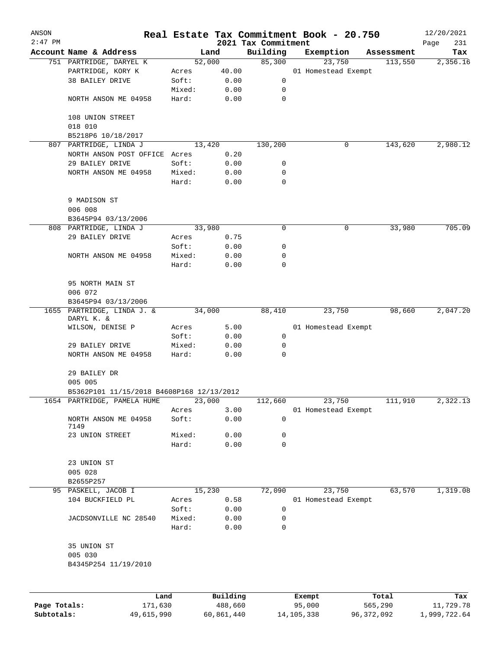| ANSON        |                                           |        |          |                     | Real Estate Tax Commitment Book - 20.750 |            | 12/20/2021  |
|--------------|-------------------------------------------|--------|----------|---------------------|------------------------------------------|------------|-------------|
| $2:47$ PM    |                                           |        |          | 2021 Tax Commitment |                                          |            | Page<br>231 |
|              | Account Name & Address                    |        | Land     | Building            | Exemption                                | Assessment | Tax         |
|              | 751 PARTRIDGE, DARYEL K                   |        | 52,000   | 85,300              | 23,750                                   | 113,550    | 2,356.16    |
|              | PARTRIDGE, KORY K                         | Acres  | 40.00    |                     | 01 Homestead Exempt                      |            |             |
|              | 38 BAILEY DRIVE                           | Soft:  | 0.00     | 0                   |                                          |            |             |
|              |                                           | Mixed: | 0.00     | 0                   |                                          |            |             |
|              | NORTH ANSON ME 04958                      | Hard:  | 0.00     | 0                   |                                          |            |             |
|              | 108 UNION STREET                          |        |          |                     |                                          |            |             |
|              | 018 010                                   |        |          |                     |                                          |            |             |
|              | B5218P6 10/18/2017                        |        |          |                     |                                          |            |             |
|              | 807 PARTRIDGE, LINDA J                    |        | 13,420   | 130,200             | 0                                        | 143,620    | 2,980.12    |
|              | NORTH ANSON POST OFFICE Acres             |        | 0.20     |                     |                                          |            |             |
|              | 29 BAILEY DRIVE                           | Soft:  | 0.00     | 0                   |                                          |            |             |
|              | NORTH ANSON ME 04958                      | Mixed: | 0.00     | 0                   |                                          |            |             |
|              |                                           | Hard:  | 0.00     | $\mathbf 0$         |                                          |            |             |
|              |                                           |        |          |                     |                                          |            |             |
|              | 9 MADISON ST                              |        |          |                     |                                          |            |             |
|              | 006 008                                   |        |          |                     |                                          |            |             |
|              | B3645P94 03/13/2006                       |        |          |                     |                                          |            |             |
|              | 808 PARTRIDGE, LINDA J                    |        | 33,980   | 0                   | 0                                        | 33,980     | 705.09      |
|              | 29 BAILEY DRIVE                           | Acres  | 0.75     |                     |                                          |            |             |
|              |                                           | Soft:  | 0.00     | 0                   |                                          |            |             |
|              | NORTH ANSON ME 04958                      | Mixed: | 0.00     | 0                   |                                          |            |             |
|              |                                           | Hard:  | 0.00     | 0                   |                                          |            |             |
|              |                                           |        |          |                     |                                          |            |             |
|              | 95 NORTH MAIN ST                          |        |          |                     |                                          |            |             |
|              | 006 072                                   |        |          |                     |                                          |            |             |
|              | B3645P94 03/13/2006                       |        |          |                     |                                          |            |             |
|              | 1655 PARTRIDGE, LINDA J. &<br>DARYL K. &  |        | 34,000   | 88,410              | 23,750                                   | 98,660     | 2,047.20    |
|              | WILSON, DENISE P                          | Acres  | 5.00     |                     | 01 Homestead Exempt                      |            |             |
|              |                                           | Soft:  | 0.00     | 0                   |                                          |            |             |
|              | 29 BAILEY DRIVE                           | Mixed: | 0.00     | 0                   |                                          |            |             |
|              | NORTH ANSON ME 04958                      | Hard:  | 0.00     | $\mathbf 0$         |                                          |            |             |
|              |                                           |        |          |                     |                                          |            |             |
|              | 29 BAILEY DR<br>005 005                   |        |          |                     |                                          |            |             |
|              | B5362P101 11/15/2018 B4608P168 12/13/2012 |        |          |                     |                                          |            |             |
|              | 1654 PARTRIDGE, PAMELA HUME               |        | 23,000   | 112,660             | 23,750                                   | 111,910    | 2,322.13    |
|              |                                           | Acres  | 3.00     |                     | 01 Homestead Exempt                      |            |             |
|              | NORTH ANSON ME 04958                      | Soft:  | 0.00     | 0                   |                                          |            |             |
|              | 7149                                      |        |          |                     |                                          |            |             |
|              | 23 UNION STREET                           | Mixed: | 0.00     | 0                   |                                          |            |             |
|              |                                           | Hard:  | 0.00     | 0                   |                                          |            |             |
|              | 23 UNION ST                               |        |          |                     |                                          |            |             |
|              | 005 028                                   |        |          |                     |                                          |            |             |
|              | B2655P257                                 |        |          |                     |                                          |            |             |
|              | 95 PASKELL, JACOB I                       |        | 15,230   | 72,090              | 23,750                                   | 63,570     | 1,319.08    |
|              | 104 BUCKFIELD PL                          | Acres  | 0.58     |                     | 01 Homestead Exempt                      |            |             |
|              |                                           | Soft:  | 0.00     | 0                   |                                          |            |             |
|              | JACDSONVILLE NC 28540                     | Mixed: | 0.00     | 0                   |                                          |            |             |
|              |                                           | Hard:  | 0.00     | 0                   |                                          |            |             |
|              |                                           |        |          |                     |                                          |            |             |
|              | 35 UNION ST                               |        |          |                     |                                          |            |             |
|              | 005 030                                   |        |          |                     |                                          |            |             |
|              | B4345P254 11/19/2010                      |        |          |                     |                                          |            |             |
|              |                                           |        |          |                     |                                          |            |             |
|              | Land                                      |        | Building |                     | Exempt                                   | Total      | Tax         |
| Page Totals: | 171,630                                   |        | 488,660  |                     | 95,000                                   | 565,290    | 11,729.78   |

**Subtotals:** 49,615,990 60,861,440 14,105,338 96,372,092 1,999,722.64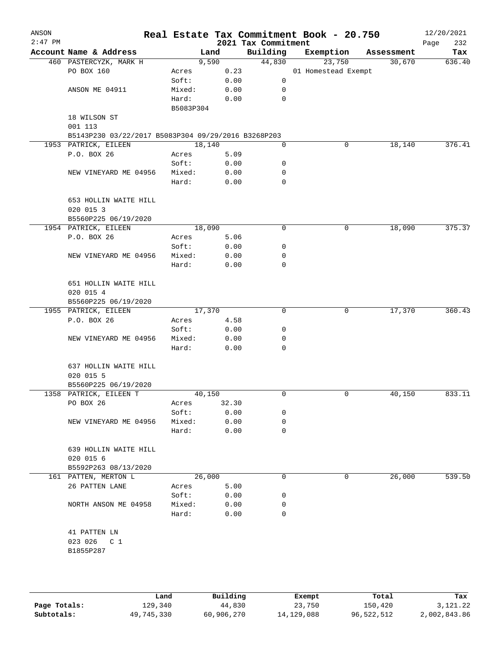| ANSON<br>$2:47$ PM |                                                     |                 |       | 2021 Tax Commitment | Real Estate Tax Commitment Book - 20.750 |            | 12/20/2021<br>232<br>Page |
|--------------------|-----------------------------------------------------|-----------------|-------|---------------------|------------------------------------------|------------|---------------------------|
|                    | Account Name & Address                              |                 | Land  | Building            | Exemption                                | Assessment | Tax                       |
|                    | 460 PASTERCYZK, MARK H                              |                 | 9,590 | 44,830              | 23,750                                   | 30,670     | 636.40                    |
|                    | PO BOX 160                                          | Acres           | 0.23  |                     | 01 Homestead Exempt                      |            |                           |
|                    |                                                     | Soft:           | 0.00  | 0                   |                                          |            |                           |
|                    | ANSON ME 04911                                      | Mixed:          | 0.00  | 0                   |                                          |            |                           |
|                    |                                                     | Hard:           | 0.00  | $\mathbf 0$         |                                          |            |                           |
|                    |                                                     | B5083P304       |       |                     |                                          |            |                           |
|                    | 18 WILSON ST                                        |                 |       |                     |                                          |            |                           |
|                    | 001 113                                             |                 |       |                     |                                          |            |                           |
|                    | B5143P230 03/22/2017 B5083P304 09/29/2016 B3268P203 |                 |       |                     |                                          |            |                           |
|                    | 1953 PATRICK, EILEEN                                | 18,140          |       | 0                   | 0                                        | 18,140     | 376.41                    |
|                    | P.O. BOX 26                                         | Acres           | 5.09  |                     |                                          |            |                           |
|                    |                                                     | Soft:           | 0.00  | 0                   |                                          |            |                           |
|                    | NEW VINEYARD ME 04956                               | Mixed:          | 0.00  | 0                   |                                          |            |                           |
|                    |                                                     | Hard:           | 0.00  | $\mathbf 0$         |                                          |            |                           |
|                    |                                                     |                 |       |                     |                                          |            |                           |
|                    | 653 HOLLIN WAITE HILL                               |                 |       |                     |                                          |            |                           |
|                    | 020 015 3                                           |                 |       |                     |                                          |            |                           |
|                    | B5560P225 06/19/2020<br>1954 PATRICK, EILEEN        |                 |       | 0                   |                                          |            | 375.37                    |
|                    |                                                     | 18,090          |       |                     | 0                                        | 18,090     |                           |
|                    | P.O. BOX 26                                         | Acres           | 5.06  |                     |                                          |            |                           |
|                    |                                                     | Soft:           | 0.00  | 0                   |                                          |            |                           |
|                    | NEW VINEYARD ME 04956                               | Mixed:<br>Hard: | 0.00  | 0<br>0              |                                          |            |                           |
|                    |                                                     |                 | 0.00  |                     |                                          |            |                           |
|                    | 651 HOLLIN WAITE HILL                               |                 |       |                     |                                          |            |                           |
|                    | 020 015 4                                           |                 |       |                     |                                          |            |                           |
|                    | B5560P225 06/19/2020                                |                 |       |                     |                                          |            |                           |
|                    | 1955 PATRICK, EILEEN                                | 17,370          |       | $\mathbf 0$         | 0                                        | 17,370     | 360.43                    |
|                    | P.O. BOX 26                                         | Acres           | 4.58  |                     |                                          |            |                           |
|                    |                                                     | Soft:           | 0.00  | 0                   |                                          |            |                           |
|                    | NEW VINEYARD ME 04956                               | Mixed:          | 0.00  | 0                   |                                          |            |                           |
|                    |                                                     | Hard:           | 0.00  | 0                   |                                          |            |                           |
|                    |                                                     |                 |       |                     |                                          |            |                           |
|                    | 637 HOLLIN WAITE HILL                               |                 |       |                     |                                          |            |                           |
|                    | 020 015 5                                           |                 |       |                     |                                          |            |                           |
|                    | B5560P225 06/19/2020                                |                 |       |                     |                                          |            |                           |
|                    | 1358 PATRICK, EILEEN T                              | 40,150          |       | 0                   | 0                                        | 40,150     | 833.11                    |
|                    | PO BOX 26                                           | Acres           | 32.30 |                     |                                          |            |                           |
|                    |                                                     | Soft:           | 0.00  | 0                   |                                          |            |                           |
|                    | NEW VINEYARD ME 04956                               | Mixed:          | 0.00  | 0                   |                                          |            |                           |
|                    |                                                     | Hard:           | 0.00  | 0                   |                                          |            |                           |
|                    | 639 HOLLIN WAITE HILL                               |                 |       |                     |                                          |            |                           |
|                    | 020 015 6                                           |                 |       |                     |                                          |            |                           |
|                    | B5592P263 08/13/2020                                |                 |       |                     |                                          |            |                           |
|                    | 161 PATTEN, MERTON L                                | 26,000          |       | 0                   | 0                                        | 26,000     | 539.50                    |
|                    | 26 PATTEN LANE                                      | Acres           | 5.00  |                     |                                          |            |                           |
|                    |                                                     | Soft:           | 0.00  | 0                   |                                          |            |                           |
|                    | NORTH ANSON ME 04958                                | Mixed:          | 0.00  | 0                   |                                          |            |                           |
|                    |                                                     | Hard:           | 0.00  | $\Omega$            |                                          |            |                           |
|                    |                                                     |                 |       |                     |                                          |            |                           |
|                    | 41 PATTEN LN                                        |                 |       |                     |                                          |            |                           |
|                    | 023 026<br>C <sub>1</sub>                           |                 |       |                     |                                          |            |                           |
|                    | B1855P287                                           |                 |       |                     |                                          |            |                           |
|                    |                                                     |                 |       |                     |                                          |            |                           |
|                    |                                                     |                 |       |                     |                                          |            |                           |
|                    |                                                     |                 |       |                     |                                          |            |                           |

|              | Land       | Building   | Exempt       | Total      | Tax          |
|--------------|------------|------------|--------------|------------|--------------|
| Page Totals: | 129,340    | 44,830     | 23,750       | 150,420    | 3,121.22     |
| Subtotals:   | 49,745,330 | 60,906,270 | 14, 129, 088 | 96,522,512 | 2,002,843.86 |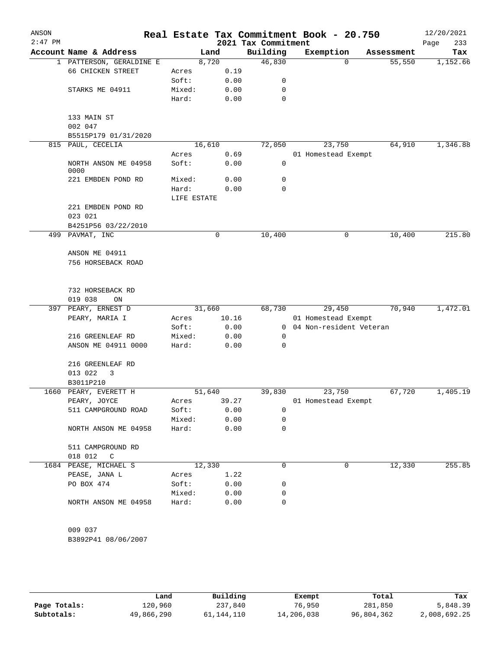| ANSON<br>$2:47$ PM |                                      |             |        | 2021 Tax Commitment | Real Estate Tax Commitment Book - 20.750 |            | 12/20/2021<br>Page<br>233 |
|--------------------|--------------------------------------|-------------|--------|---------------------|------------------------------------------|------------|---------------------------|
|                    | Account Name & Address               |             | Land   | Building            | Exemption                                | Assessment | Tax                       |
|                    | 1 PATTERSON, GERALDINE E             |             | 8,720  | 46,830              | $\Omega$                                 | 55,550     | 1,152.66                  |
|                    | 66 CHICKEN STREET                    | Acres       | 0.19   |                     |                                          |            |                           |
|                    |                                      | Soft:       | 0.00   | 0                   |                                          |            |                           |
|                    | STARKS ME 04911                      | Mixed:      | 0.00   | 0                   |                                          |            |                           |
|                    |                                      | Hard:       | 0.00   | 0                   |                                          |            |                           |
|                    |                                      |             |        |                     |                                          |            |                           |
|                    | 133 MAIN ST                          |             |        |                     |                                          |            |                           |
|                    | 002 047                              |             |        |                     |                                          |            |                           |
|                    | B5515P179 01/31/2020                 |             |        |                     |                                          |            |                           |
|                    | 815 PAUL, CECELIA                    |             | 16,610 | 72,050              | 23,750                                   | 64,910     | 1,346.88                  |
|                    |                                      | Acres       | 0.69   |                     | 01 Homestead Exempt                      |            |                           |
|                    | NORTH ANSON ME 04958<br>0000         | Soft:       | 0.00   | 0                   |                                          |            |                           |
|                    | 221 EMBDEN POND RD                   | Mixed:      | 0.00   | 0                   |                                          |            |                           |
|                    |                                      | Hard:       | 0.00   | 0                   |                                          |            |                           |
|                    |                                      | LIFE ESTATE |        |                     |                                          |            |                           |
|                    | 221 EMBDEN POND RD                   |             |        |                     |                                          |            |                           |
|                    | 023 021                              |             |        |                     |                                          |            |                           |
|                    | B4251P56 03/22/2010                  |             |        |                     |                                          |            |                           |
|                    | 499 PAVMAT, INC                      |             | 0      | 10, 400             | 0                                        | 10,400     | 215.80                    |
|                    | ANSON ME 04911                       |             |        |                     |                                          |            |                           |
|                    | 756 HORSEBACK ROAD                   |             |        |                     |                                          |            |                           |
|                    |                                      |             |        |                     |                                          |            |                           |
|                    |                                      |             |        |                     |                                          |            |                           |
|                    | 732 HORSEBACK RD                     |             |        |                     |                                          |            |                           |
|                    | 019 038<br>ON<br>397 PEARY, ERNEST D |             | 31,660 | 68,730              | 29,450                                   | 70,940     | 1,472.01                  |
|                    | PEARY, MARIA I                       | Acres       | 10.16  |                     | 01 Homestead Exempt                      |            |                           |
|                    |                                      | Soft:       | 0.00   |                     | 0 04 Non-resident Veteran                |            |                           |
|                    | 216 GREENLEAF RD                     | Mixed:      | 0.00   | 0                   |                                          |            |                           |
|                    | ANSON ME 04911 0000                  | Hard:       | 0.00   | 0                   |                                          |            |                           |
|                    |                                      |             |        |                     |                                          |            |                           |
|                    | 216 GREENLEAF RD                     |             |        |                     |                                          |            |                           |
|                    | 013 022<br>3                         |             |        |                     |                                          |            |                           |
|                    | B3011P210                            |             |        |                     |                                          |            |                           |
|                    | 1660 PEARY, EVERETT H                |             | 51,640 | 39,830              | 23,750                                   | 67,720     | 1,405.19                  |
|                    | PEARY, JOYCE                         | Acres       | 39.27  |                     | 01 Homestead Exempt                      |            |                           |
|                    | 511 CAMPGROUND ROAD                  | Soft:       | 0.00   | 0                   |                                          |            |                           |
|                    |                                      | Mixed:      | 0.00   | 0                   |                                          |            |                           |
|                    | NORTH ANSON ME 04958                 | Hard:       | 0.00   | 0                   |                                          |            |                           |
|                    | 511 CAMPGROUND RD                    |             |        |                     |                                          |            |                           |
|                    | 018 012<br>$\mathsf{C}$              |             |        |                     |                                          |            |                           |
|                    | 1684 PEASE, MICHAEL S                |             | 12,330 | 0                   | 0                                        | 12,330     | 255.85                    |
|                    | PEASE, JANA L                        | Acres       | 1.22   |                     |                                          |            |                           |
|                    | PO BOX 474                           | Soft:       | 0.00   | 0                   |                                          |            |                           |
|                    |                                      | Mixed:      | 0.00   | 0                   |                                          |            |                           |
|                    | NORTH ANSON ME 04958                 | Hard:       | 0.00   | 0                   |                                          |            |                           |
|                    |                                      |             |        |                     |                                          |            |                           |
|                    | 009 037                              |             |        |                     |                                          |            |                           |
|                    | B3892P41 08/06/2007                  |             |        |                     |                                          |            |                           |
|                    |                                      |             |        |                     |                                          |            |                           |
|                    |                                      |             |        |                     |                                          |            |                           |

|              | Land       | Building   | Exempt     | Total      | Tax          |
|--------------|------------|------------|------------|------------|--------------|
| Page Totals: | 120,960    | 237,840    | 76,950     | 281,850    | 5,848.39     |
| Subtotals:   | 49,866,290 | 61,144,110 | 14,206,038 | 96,804,362 | 2,008,692.25 |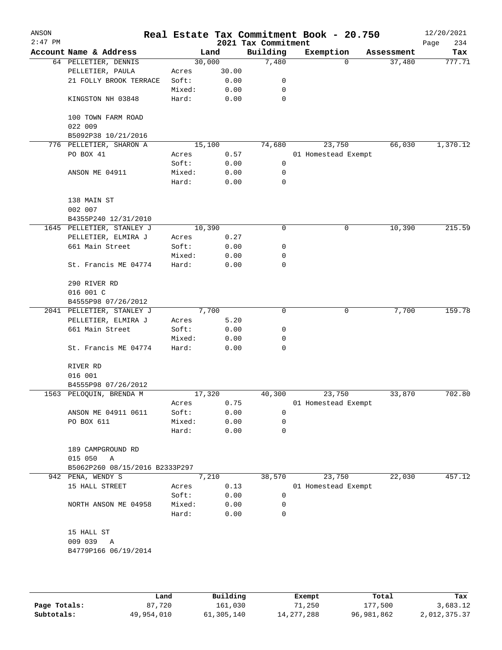| ANSON<br>$2:47$ PM |                                   |        |       | Real Estate Tax Commitment Book - 20.750<br>2021 Tax Commitment |                     |          |            | 12/20/2021<br>234<br>Page |
|--------------------|-----------------------------------|--------|-------|-----------------------------------------------------------------|---------------------|----------|------------|---------------------------|
|                    | Account Name & Address            |        | Land  | Building                                                        | Exemption           |          | Assessment | Tax                       |
|                    | 64 PELLETIER, DENNIS              | 30,000 |       | 7,480                                                           |                     | $\Omega$ | 37,480     | 777.71                    |
|                    | PELLETIER, PAULA                  | Acres  | 30.00 |                                                                 |                     |          |            |                           |
|                    | 21 FOLLY BROOK TERRACE            | Soft:  | 0.00  | 0                                                               |                     |          |            |                           |
|                    |                                   | Mixed: | 0.00  | 0                                                               |                     |          |            |                           |
|                    | KINGSTON NH 03848                 | Hard:  | 0.00  | 0                                                               |                     |          |            |                           |
|                    | 100 TOWN FARM ROAD<br>022 009     |        |       |                                                                 |                     |          |            |                           |
|                    | B5092P38 10/21/2016               |        |       |                                                                 |                     |          |            |                           |
|                    | 776 PELLETIER, SHARON A           | 15,100 |       | 74,680                                                          |                     | 23,750   | 66,030     | 1,370.12                  |
|                    | PO BOX 41                         | Acres  | 0.57  |                                                                 | 01 Homestead Exempt |          |            |                           |
|                    |                                   | Soft:  | 0.00  | 0                                                               |                     |          |            |                           |
|                    | ANSON ME 04911                    | Mixed: | 0.00  | 0                                                               |                     |          |            |                           |
|                    |                                   | Hard:  | 0.00  | 0                                                               |                     |          |            |                           |
|                    | 138 MAIN ST                       |        |       |                                                                 |                     |          |            |                           |
|                    | 002 007                           |        |       |                                                                 |                     |          |            |                           |
|                    | B4355P240 12/31/2010              |        |       |                                                                 |                     |          |            |                           |
|                    | 1645 PELLETIER, STANLEY J         | 10,390 |       | 0                                                               |                     | 0        | 10,390     | 215.59                    |
|                    | PELLETIER, ELMIRA J               | Acres  | 0.27  |                                                                 |                     |          |            |                           |
|                    | 661 Main Street                   | Soft:  | 0.00  | 0                                                               |                     |          |            |                           |
|                    |                                   | Mixed: | 0.00  | 0                                                               |                     |          |            |                           |
|                    | St. Francis ME 04774              | Hard:  | 0.00  | 0                                                               |                     |          |            |                           |
|                    | 290 RIVER RD                      |        |       |                                                                 |                     |          |            |                           |
|                    | 016 001 C                         |        |       |                                                                 |                     |          |            |                           |
|                    | B4555P98 07/26/2012               |        |       |                                                                 |                     |          |            |                           |
|                    | 2041 PELLETIER, STANLEY J         | 7,700  |       | 0                                                               |                     | 0        | 7,700      | 159.78                    |
|                    | PELLETIER, ELMIRA J               | Acres  | 5.20  |                                                                 |                     |          |            |                           |
|                    | 661 Main Street                   | Soft:  | 0.00  | 0                                                               |                     |          |            |                           |
|                    |                                   | Mixed: | 0.00  | 0                                                               |                     |          |            |                           |
|                    | St. Francis ME 04774              | Hard:  | 0.00  | 0                                                               |                     |          |            |                           |
|                    | RIVER RD                          |        |       |                                                                 |                     |          |            |                           |
|                    | 016 001                           |        |       |                                                                 |                     |          |            |                           |
|                    | B4555P98 07/26/2012               |        |       |                                                                 |                     |          |            |                           |
|                    | 1563 PELOQUIN, BRENDA M           | 17,320 |       | 40,300                                                          |                     | 23,750   | 33,870     | 702.80                    |
|                    |                                   | Acres  | 0.75  |                                                                 | 01 Homestead Exempt |          |            |                           |
|                    | ANSON ME 04911 0611               | Soft:  | 0.00  | 0                                                               |                     |          |            |                           |
|                    | PO BOX 611                        | Mixed: | 0.00  | 0                                                               |                     |          |            |                           |
|                    |                                   | Hard:  | 0.00  | 0                                                               |                     |          |            |                           |
|                    | 189 CAMPGROUND RD<br>015 050<br>A |        |       |                                                                 |                     |          |            |                           |
|                    | B5062P260 08/15/2016 B2333P297    |        |       |                                                                 |                     |          |            |                           |
|                    | 942 PENA, WENDY S                 | 7,210  |       | 38,570                                                          |                     | 23,750   | 22,030     | 457.12                    |
|                    | 15 HALL STREET                    | Acres  | 0.13  |                                                                 | 01 Homestead Exempt |          |            |                           |
|                    |                                   | Soft:  | 0.00  | 0                                                               |                     |          |            |                           |
|                    | NORTH ANSON ME 04958              | Mixed: | 0.00  | 0                                                               |                     |          |            |                           |
|                    |                                   | Hard:  | 0.00  | 0                                                               |                     |          |            |                           |
|                    | 15 HALL ST                        |        |       |                                                                 |                     |          |            |                           |
|                    | 009 039<br>Α                      |        |       |                                                                 |                     |          |            |                           |
|                    | B4779P166 06/19/2014              |        |       |                                                                 |                     |          |            |                           |
|                    |                                   |        |       |                                                                 |                     |          |            |                           |
|                    |                                   |        |       |                                                                 |                     |          |            |                           |
|                    |                                   |        |       |                                                                 |                     |          |            |                           |
|                    |                                   |        |       |                                                                 |                     |          |            |                           |

|              | Land       | Building   | Exempt       | Total      | Tax          |
|--------------|------------|------------|--------------|------------|--------------|
| Page Totals: | 87,720     | 161,030    | 71,250       | 177,500    | 3,683.12     |
| Subtotals:   | 49,954,010 | 61,305,140 | 14, 277, 288 | 96,981,862 | 2,012,375.37 |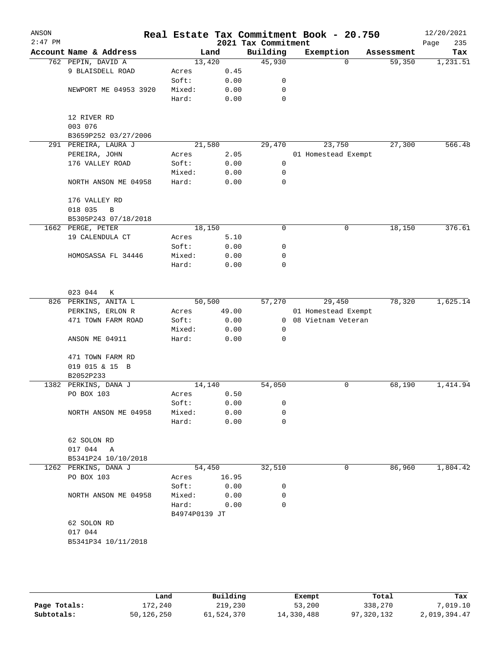| ANSON<br>$2:47$ PM |                             |                        |        | 2021 Tax Commitment | Real Estate Tax Commitment Book - 20.750 |            | 12/20/2021         |
|--------------------|-----------------------------|------------------------|--------|---------------------|------------------------------------------|------------|--------------------|
|                    | Account Name & Address      |                        | Land   | Building            | Exemption                                | Assessment | 235<br>Page<br>Tax |
|                    | 762 PEPIN, DAVID A          | 13,420                 |        | 45,930              | $\Omega$                                 | 59,350     | 1,231.51           |
|                    | 9 BLAISDELL ROAD            | Acres                  | 0.45   |                     |                                          |            |                    |
|                    |                             | Soft:                  | 0.00   | 0                   |                                          |            |                    |
|                    | NEWPORT ME 04953 3920       | Mixed:                 | 0.00   | 0                   |                                          |            |                    |
|                    |                             | Hard:                  | 0.00   | 0                   |                                          |            |                    |
|                    | 12 RIVER RD                 |                        |        |                     |                                          |            |                    |
|                    | 003 076                     |                        |        |                     |                                          |            |                    |
|                    | B3659P252 03/27/2006        |                        |        |                     |                                          |            |                    |
|                    | 291 PEREIRA, LAURA J        | 21,580                 |        | 29,470              | 23,750                                   | 27,300     | 566.48             |
|                    | PEREIRA, JOHN               | Acres                  | 2.05   |                     | 01 Homestead Exempt                      |            |                    |
|                    | 176 VALLEY ROAD             | Soft:                  | 0.00   | 0                   |                                          |            |                    |
|                    |                             | Mixed:                 | 0.00   | 0                   |                                          |            |                    |
|                    | NORTH ANSON ME 04958        | Hard:                  | 0.00   | $\mathbf 0$         |                                          |            |                    |
|                    | 176 VALLEY RD               |                        |        |                     |                                          |            |                    |
|                    | 018 035<br>$\mathbf B$      |                        |        |                     |                                          |            |                    |
|                    | B5305P243 07/18/2018        |                        |        |                     |                                          |            |                    |
|                    | 1662 PERGE, PETER           | 18,150                 |        | $\mathbf 0$         | $\mathbf 0$                              | 18,150     | 376.61             |
|                    | 19 CALENDULA CT             | Acres                  | 5.10   |                     |                                          |            |                    |
|                    |                             | Soft:                  | 0.00   | 0                   |                                          |            |                    |
|                    | HOMOSASSA FL 34446          | Mixed:                 | 0.00   | 0                   |                                          |            |                    |
|                    |                             | Hard:                  | 0.00   | $\mathbf 0$         |                                          |            |                    |
|                    | 023 044<br>К                |                        |        |                     |                                          |            |                    |
|                    | 826 PERKINS, ANITA L        | 50,500                 |        | 57,270              | 29,450                                   | 78,320     | 1,625.14           |
|                    | PERKINS, ERLON R            | Acres                  | 49.00  |                     | 01 Homestead Exempt                      |            |                    |
|                    | 471 TOWN FARM ROAD          | Soft:                  | 0.00   |                     | 0 08 Vietnam Veteran                     |            |                    |
|                    |                             | Mixed:                 | 0.00   | 0                   |                                          |            |                    |
|                    | ANSON ME 04911              | Hard:                  | 0.00   | 0                   |                                          |            |                    |
|                    | 471 TOWN FARM RD            |                        |        |                     |                                          |            |                    |
|                    | 019 015 & 15 B<br>B2052P233 |                        |        |                     |                                          |            |                    |
| 1382               | PERKINS, DANA J             | 14,140                 |        | 54,050              | 0                                        | 68, 190    | 1,414.94           |
|                    | PO BOX 103                  | Acres                  | 0.50   |                     |                                          |            |                    |
|                    |                             | Soft:                  | 0.00   | 0                   |                                          |            |                    |
|                    | NORTH ANSON ME 04958        | Mixed:                 | 0.00   | 0                   |                                          |            |                    |
|                    |                             | Hard:                  | 0.00   | 0                   |                                          |            |                    |
|                    | 62 SOLON RD                 |                        |        |                     |                                          |            |                    |
|                    | 017 044 A                   |                        |        |                     |                                          |            |                    |
|                    | B5341P24 10/10/2018         |                        |        |                     |                                          |            |                    |
|                    | 1262 PERKINS, DANA J        |                        | 54,450 | 32,510              | 0                                        | 86,960     | 1,804.42           |
|                    | PO BOX 103                  | Acres                  | 16.95  |                     |                                          |            |                    |
|                    |                             | Soft:                  | 0.00   | 0                   |                                          |            |                    |
|                    | NORTH ANSON ME 04958        | Mixed:                 | 0.00   | 0                   |                                          |            |                    |
|                    |                             | Hard:<br>B4974P0139 JT | 0.00   | 0                   |                                          |            |                    |
|                    | 62 SOLON RD                 |                        |        |                     |                                          |            |                    |
|                    | 017 044                     |                        |        |                     |                                          |            |                    |
|                    | B5341P34 10/11/2018         |                        |        |                     |                                          |            |                    |
|                    |                             |                        |        |                     |                                          |            |                    |
|                    |                             |                        |        |                     |                                          |            |                    |
|                    |                             |                        |        |                     |                                          |            |                    |

|              | Land       | Building   | Exempt     | Total      | Tax          |
|--------------|------------|------------|------------|------------|--------------|
| Page Totals: | 172,240    | 219,230    | 53,200     | 338,270    | ,019.10      |
| Subtotals:   | 50,126,250 | 61,524,370 | 14,330,488 | 97,320,132 | 2,019,394.47 |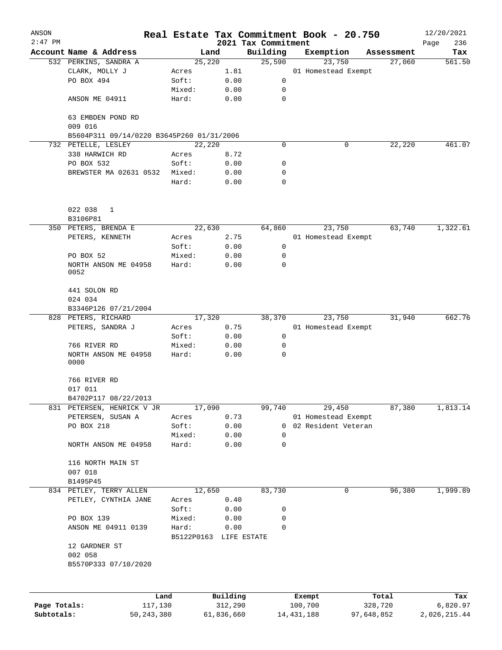| ANSON        |                                           |         |            |            |                     |             | Real Estate Tax Commitment Book - 20.750 |                      | 12/20/2021    |
|--------------|-------------------------------------------|---------|------------|------------|---------------------|-------------|------------------------------------------|----------------------|---------------|
| $2:47$ PM    | Account Name & Address                    |         | Land       |            | 2021 Tax Commitment |             |                                          |                      | Page<br>236   |
|              |                                           |         | 25,220     |            | Building<br>25,590  |             | Exemption<br>23,750                      | Assessment<br>27,060 | Tax<br>561.50 |
|              | 532 PERKINS, SANDRA A<br>CLARK, MOLLY J   | Acres   |            | 1.81       |                     |             | 01 Homestead Exempt                      |                      |               |
|              | PO BOX 494                                | Soft:   |            | 0.00       |                     | 0           |                                          |                      |               |
|              |                                           | Mixed:  |            | 0.00       |                     | 0           |                                          |                      |               |
|              | ANSON ME 04911                            | Hard:   |            | 0.00       |                     | 0           |                                          |                      |               |
|              |                                           |         |            |            |                     |             |                                          |                      |               |
|              | 63 EMBDEN POND RD<br>009 016              |         |            |            |                     |             |                                          |                      |               |
|              | B5604P311 09/14/0220 B3645P260 01/31/2006 |         |            |            |                     |             |                                          |                      |               |
|              | 732 PETELLE, LESLEY                       |         | 22,220     |            |                     | 0           | 0                                        | 22,220               | 461.07        |
|              | 338 HARWICH RD                            | Acres   |            | 8.72       |                     |             |                                          |                      |               |
|              | PO BOX 532                                | Soft:   |            | 0.00       |                     | 0           |                                          |                      |               |
|              | BREWSTER MA 02631 0532                    | Mixed:  |            | 0.00       |                     | 0           |                                          |                      |               |
|              |                                           | Hard:   |            | 0.00       |                     | 0           |                                          |                      |               |
|              | 022 038<br>1                              |         |            |            |                     |             |                                          |                      |               |
|              | B3106P81                                  |         |            |            |                     |             |                                          |                      |               |
|              | 350 PETERS, BRENDA E                      |         | 22,630     |            | 64,860              |             | 23,750                                   | 63,740               | 1,322.61      |
|              | PETERS, KENNETH                           | Acres   |            | 2.75       |                     |             | 01 Homestead Exempt                      |                      |               |
|              |                                           | Soft:   |            | 0.00       |                     | 0           |                                          |                      |               |
|              | PO BOX 52                                 | Mixed:  |            | 0.00       |                     | 0           |                                          |                      |               |
|              | NORTH ANSON ME 04958                      | Hard:   |            | 0.00       |                     | 0           |                                          |                      |               |
|              | 0052                                      |         |            |            |                     |             |                                          |                      |               |
|              | 441 SOLON RD<br>024 034                   |         |            |            |                     |             |                                          |                      |               |
|              |                                           |         |            |            |                     |             |                                          |                      |               |
|              | B3346P126 07/21/2004                      |         |            |            |                     |             |                                          |                      | 662.76        |
|              | 828 PETERS, RICHARD                       |         | 17,320     |            | 38,370              |             | 23,750                                   | 31,940               |               |
|              | PETERS, SANDRA J                          | Acres   |            | 0.75       |                     |             | 01 Homestead Exempt                      |                      |               |
|              |                                           | Soft:   |            | 0.00       |                     | 0           |                                          |                      |               |
|              | 766 RIVER RD                              | Mixed:  |            | 0.00       |                     | 0           |                                          |                      |               |
|              | NORTH ANSON ME 04958<br>0000              | Hard:   |            | 0.00       |                     | $\mathbf 0$ |                                          |                      |               |
|              | 766 RIVER RD                              |         |            |            |                     |             |                                          |                      |               |
|              | 017 011                                   |         |            |            |                     |             |                                          |                      |               |
|              | B4702P117 08/22/2013                      |         |            |            |                     |             |                                          |                      |               |
|              | 831 PETERSEN, HENRICK V JR                |         | 17,090     |            | 99,740              |             | 29,450                                   | 87,380               | 1,813.14      |
|              | PETERSEN, SUSAN A                         | Acres   |            | 0.73       |                     |             | 01 Homestead Exempt                      |                      |               |
|              | PO BOX 218                                | Soft:   |            | 0.00       |                     | 0           | 02 Resident Veteran                      |                      |               |
|              |                                           | Mixed:  |            | 0.00       |                     | 0           |                                          |                      |               |
|              | NORTH ANSON ME 04958                      | Hard:   |            | 0.00       |                     | $\mathbf 0$ |                                          |                      |               |
|              | 116 NORTH MAIN ST                         |         |            |            |                     |             |                                          |                      |               |
|              | 007 018                                   |         |            |            |                     |             |                                          |                      |               |
|              | B1495P45                                  |         |            |            |                     |             |                                          |                      |               |
|              | 834 PETLEY, TERRY ALLEN                   |         | 12,650     |            | 83,730              |             | 0                                        | 96, 380              | 1,999.89      |
|              | PETLEY, CYNTHIA JANE                      | Acres   |            | 0.40       |                     |             |                                          |                      |               |
|              |                                           | Soft:   |            | 0.00       |                     | 0           |                                          |                      |               |
|              | PO BOX 139                                | Mixed:  |            | 0.00       |                     | 0           |                                          |                      |               |
|              | ANSON ME 04911 0139                       | Hard:   |            | 0.00       |                     | 0           |                                          |                      |               |
|              | 12 GARDNER ST                             |         | B5122P0163 |            | LIFE ESTATE         |             |                                          |                      |               |
|              | 002 058                                   |         |            |            |                     |             |                                          |                      |               |
|              | B5570P333 07/10/2020                      |         |            |            |                     |             |                                          |                      |               |
|              |                                           |         |            |            |                     |             |                                          |                      |               |
|              |                                           | Land    |            | Building   |                     |             | Exempt                                   | Total                | Tax           |
| Page Totals: |                                           | 117,130 |            | 312,290    |                     |             | 100,700                                  | 328,720              | 6,820.97      |
| Subtotals:   | 50, 243, 380                              |         |            | 61,836,660 |                     |             | 14, 431, 188                             | 97,648,852           | 2,026,215.44  |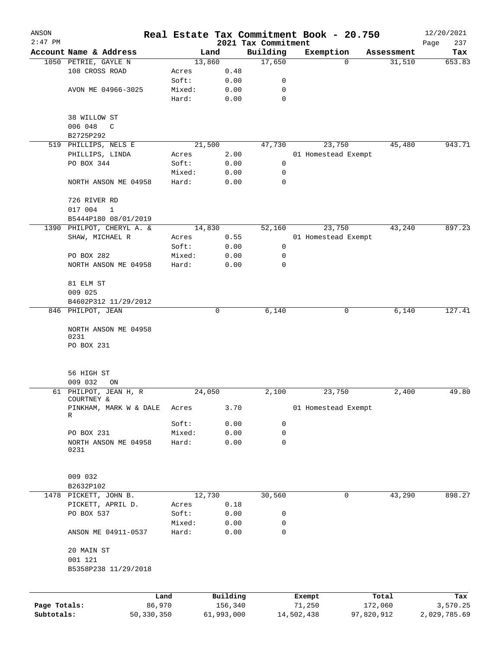| ANSON        |                                      |                |                 |                     |              |                                 | Real Estate Tax Commitment Book - 20.750 |   |                  | 12/20/2021         |
|--------------|--------------------------------------|----------------|-----------------|---------------------|--------------|---------------------------------|------------------------------------------|---|------------------|--------------------|
| $2:47$ PM    | Account Name & Address               |                |                 | Land                |              | 2021 Tax Commitment<br>Building | Exemption                                |   | Assessment       | Page<br>237<br>Tax |
|              | 1050 PETRIE, GAYLE N                 |                |                 | 13,860              |              | 17,650                          |                                          | 0 | 31,510           | 653.83             |
|              | 108 CROSS ROAD                       |                | Acres           |                     | 0.48         |                                 |                                          |   |                  |                    |
|              |                                      |                | Soft:           |                     | 0.00         | 0                               |                                          |   |                  |                    |
|              | AVON ME 04966-3025                   |                | Mixed:          |                     | 0.00         | 0                               |                                          |   |                  |                    |
|              |                                      |                | Hard:           |                     | 0.00         | 0                               |                                          |   |                  |                    |
|              | 38 WILLOW ST                         |                |                 |                     |              |                                 |                                          |   |                  |                    |
|              | 006 048<br>$\mathsf{C}$              |                |                 |                     |              |                                 |                                          |   |                  |                    |
|              | B2725P292                            |                |                 |                     |              |                                 |                                          |   |                  |                    |
|              | 519 PHILLIPS, NELS E                 |                |                 | 21,500              |              | 47,730                          | 23,750                                   |   | 45,480           | 943.71             |
|              | PHILLIPS, LINDA                      |                | Acres           |                     | 2.00         |                                 | 01 Homestead Exempt                      |   |                  |                    |
|              | PO BOX 344                           |                | Soft:           |                     | 0.00         | 0                               |                                          |   |                  |                    |
|              |                                      |                | Mixed:          |                     | 0.00         | 0                               |                                          |   |                  |                    |
|              | NORTH ANSON ME 04958                 |                | Hard:           |                     | 0.00         | $\mathbf 0$                     |                                          |   |                  |                    |
|              | 726 RIVER RD                         |                |                 |                     |              |                                 |                                          |   |                  |                    |
|              | 017 004<br>$\mathbf{1}$              |                |                 |                     |              |                                 |                                          |   |                  |                    |
|              | B5444P180 08/01/2019                 |                |                 |                     |              |                                 |                                          |   |                  |                    |
|              | 1390 PHILPOT, CHERYL A. &            |                |                 | 14,830              |              | 52,160                          | 23,750                                   |   | 43,240           | 897.23             |
|              | SHAW, MICHAEL R                      |                | Acres           |                     | 0.55         |                                 | 01 Homestead Exempt                      |   |                  |                    |
|              |                                      |                | Soft:           |                     | 0.00         | 0                               |                                          |   |                  |                    |
|              | PO BOX 282                           |                | Mixed:          |                     | 0.00         | 0                               |                                          |   |                  |                    |
|              | NORTH ANSON ME 04958                 |                | Hard:           |                     | 0.00         | 0                               |                                          |   |                  |                    |
|              | 81 ELM ST                            |                |                 |                     |              |                                 |                                          |   |                  |                    |
|              | 009 025                              |                |                 |                     |              |                                 |                                          |   |                  |                    |
|              | B4602P312 11/29/2012                 |                |                 |                     |              |                                 |                                          |   |                  |                    |
|              | 846 PHILPOT, JEAN                    |                |                 | $\mathbf 0$         |              | 6,140                           |                                          | 0 | 6,140            | 127.41             |
|              | NORTH ANSON ME 04958                 |                |                 |                     |              |                                 |                                          |   |                  |                    |
|              | 0231<br>PO BOX 231                   |                |                 |                     |              |                                 |                                          |   |                  |                    |
|              |                                      |                |                 |                     |              |                                 |                                          |   |                  |                    |
|              | 56 HIGH ST                           |                |                 |                     |              |                                 |                                          |   |                  |                    |
|              | 009 032<br>ON                        |                |                 |                     |              |                                 |                                          |   |                  |                    |
|              | 61 PHILPOT, JEAN H, R                |                |                 | 24,050              |              | 2,100                           | 23,750                                   |   | 2,400            | 49.80              |
|              | COURTNEY &<br>PINKHAM, MARK W & DALE |                | Acres           |                     | 3.70         |                                 | 01 Homestead Exempt                      |   |                  |                    |
|              | R                                    |                |                 |                     |              |                                 |                                          |   |                  |                    |
|              |                                      |                | Soft:           |                     | 0.00         | 0                               |                                          |   |                  |                    |
|              | PO BOX 231                           |                | Mixed:          |                     | 0.00         | 0                               |                                          |   |                  |                    |
|              | NORTH ANSON ME 04958<br>0231         |                | Hard:           |                     | 0.00         | $\mathbf 0$                     |                                          |   |                  |                    |
|              |                                      |                |                 |                     |              |                                 |                                          |   |                  |                    |
|              | 009 032                              |                |                 |                     |              |                                 |                                          |   |                  |                    |
|              | B2632P102                            |                |                 |                     |              |                                 |                                          |   |                  |                    |
| 1478         | PICKETT, JOHN B.                     |                |                 | 12,730              |              | 30,560                          |                                          | 0 | 43,290           | 898.27             |
|              | PICKETT, APRIL D.                    |                | Acres           |                     | 0.18         |                                 |                                          |   |                  |                    |
|              | PO BOX 537                           |                | Soft:           |                     | 0.00         | 0                               |                                          |   |                  |                    |
|              | ANSON ME 04911-0537                  |                | Mixed:<br>Hard: |                     | 0.00<br>0.00 | 0<br>0                          |                                          |   |                  |                    |
|              | 20 MAIN ST                           |                |                 |                     |              |                                 |                                          |   |                  |                    |
|              | 001 121                              |                |                 |                     |              |                                 |                                          |   |                  |                    |
|              | B5358P238 11/29/2018                 |                |                 |                     |              |                                 |                                          |   |                  |                    |
|              |                                      |                |                 |                     |              |                                 |                                          |   |                  |                    |
| Page Totals: |                                      | Land<br>86,970 |                 | Building<br>156,340 |              |                                 | Exempt<br>71,250                         |   | Total<br>172,060 | Tax<br>3,570.25    |
| Subtotals:   |                                      | 50,330,350     |                 | 61,993,000          |              |                                 | 14,502,438                               |   | 97,820,912       | 2,029,785.69       |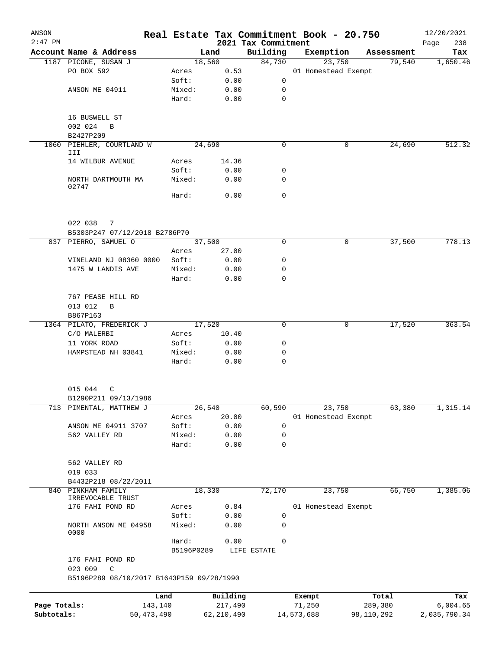| ANSON        |                                                 |                 |                     |                     | Real Estate Tax Commitment Book - 20.750 |                  |                      | 12/20/2021      |
|--------------|-------------------------------------------------|-----------------|---------------------|---------------------|------------------------------------------|------------------|----------------------|-----------------|
| $2:47$ PM    |                                                 |                 |                     | 2021 Tax Commitment |                                          |                  |                      | 238<br>Page     |
|              | Account Name & Address                          |                 | Land<br>18,560      | Building<br>84,730  | Exemption<br>23,750                      |                  | Assessment<br>79,540 | Tax<br>1,650.46 |
|              | 1187 PICONE, SUSAN J<br>PO BOX 592              | Acres           | 0.53                |                     | 01 Homestead Exempt                      |                  |                      |                 |
|              |                                                 | Soft:           | 0.00                | 0                   |                                          |                  |                      |                 |
|              | ANSON ME 04911                                  | Mixed:          | 0.00                | 0                   |                                          |                  |                      |                 |
|              |                                                 | Hard:           | 0.00                | 0                   |                                          |                  |                      |                 |
|              | 16 BUSWELL ST                                   |                 |                     |                     |                                          |                  |                      |                 |
|              | 002 024<br>$\mathbf B$                          |                 |                     |                     |                                          |                  |                      |                 |
|              | B2427P209                                       |                 |                     |                     |                                          |                  |                      |                 |
|              | 1060 PIEHLER, COURTLAND W<br>III                |                 | 24,690              | $\Omega$            |                                          | 0                | 24,690               | 512.32          |
|              | 14 WILBUR AVENUE                                | Acres           | 14.36               |                     |                                          |                  |                      |                 |
|              |                                                 | Soft:           | 0.00                | 0                   |                                          |                  |                      |                 |
|              | NORTH DARTMOUTH MA<br>02747                     | Mixed:          | 0.00                | 0                   |                                          |                  |                      |                 |
|              |                                                 | Hard:           | 0.00                | $\Omega$            |                                          |                  |                      |                 |
|              | 022 038<br>7                                    |                 |                     |                     |                                          |                  |                      |                 |
|              | B5303P247 07/12/2018 B2786P70                   |                 |                     |                     |                                          |                  |                      |                 |
|              | 837 PIERRO, SAMUEL O                            |                 | 37,500              | $\Omega$            |                                          | 0                | 37,500               | 778.13          |
|              |                                                 | Acres           | 27.00               |                     |                                          |                  |                      |                 |
|              | VINELAND NJ 08360 0000                          | Soft:           | 0.00                | 0                   |                                          |                  |                      |                 |
|              | 1475 W LANDIS AVE                               | Mixed:          | 0.00                | 0                   |                                          |                  |                      |                 |
|              |                                                 | Hard:           | 0.00                | 0                   |                                          |                  |                      |                 |
|              | 767 PEASE HILL RD                               |                 |                     |                     |                                          |                  |                      |                 |
|              | 013 012<br>B<br>B867P163                        |                 |                     |                     |                                          |                  |                      |                 |
|              | 1364 PILATO, FREDERICK J                        |                 | 17,520              | 0                   |                                          | 0                | 17,520               | 363.54          |
|              | C/O MALERBI                                     | Acres           | 10.40               |                     |                                          |                  |                      |                 |
|              | 11 YORK ROAD                                    | Soft:           | 0.00                | 0                   |                                          |                  |                      |                 |
|              | HAMPSTEAD NH 03841                              | Mixed:          | 0.00                | 0                   |                                          |                  |                      |                 |
|              |                                                 | Hard:           | 0.00                | $\mathbf 0$         |                                          |                  |                      |                 |
|              |                                                 |                 |                     |                     |                                          |                  |                      |                 |
|              | 015 044 C                                       |                 |                     |                     |                                          |                  |                      |                 |
|              | B1290P211 09/13/1986<br>713 PIMENTAL, MATTHEW J |                 | 26,540              | 60,590              | 23,750                                   |                  | 63,380               | 1,315.14        |
|              |                                                 | Acres           | 20.00               |                     | 01 Homestead Exempt                      |                  |                      |                 |
|              | ANSON ME 04911 3707                             | Soft:           | 0.00                | 0                   |                                          |                  |                      |                 |
|              | 562 VALLEY RD                                   | Mixed:          | 0.00                | 0                   |                                          |                  |                      |                 |
|              |                                                 | Hard:           | 0.00                | 0                   |                                          |                  |                      |                 |
|              |                                                 |                 |                     |                     |                                          |                  |                      |                 |
|              | 562 VALLEY RD                                   |                 |                     |                     |                                          |                  |                      |                 |
|              | 019 033                                         |                 |                     |                     |                                          |                  |                      |                 |
|              | B4432P218 08/22/2011                            |                 |                     |                     |                                          |                  |                      |                 |
| 840          | PINKHAM FAMILY                                  |                 | 18,330              | 72,170              | 23,750                                   |                  | 66,750               | 1,385.06        |
|              | IRREVOCABLE TRUST                               |                 |                     |                     |                                          |                  |                      |                 |
|              | 176 FAHI POND RD                                | Acres           | 0.84                |                     | 01 Homestead Exempt                      |                  |                      |                 |
|              | NORTH ANSON ME 04958                            | Soft:<br>Mixed: | 0.00<br>0.00        | 0<br>0              |                                          |                  |                      |                 |
|              | 0000                                            | Hard:           | 0.00                | 0                   |                                          |                  |                      |                 |
|              | 176 FAHI POND RD                                | B5196P0289      |                     | LIFE ESTATE         |                                          |                  |                      |                 |
|              | 023 009<br>C                                    |                 |                     |                     |                                          |                  |                      |                 |
|              | B5196P289 08/10/2017 B1643P159 09/28/1990       |                 |                     |                     |                                          |                  |                      |                 |
| Page Totals: | 143,140                                         | Land            | Building<br>217,490 |                     | Exempt<br>71,250                         | Total<br>289,380 |                      | Tax<br>6,004.65 |
| Subtotals:   | 50, 473, 490                                    |                 | 62, 210, 490        |                     | 14,573,688                               | 98,110,292       |                      | 2,035,790.34    |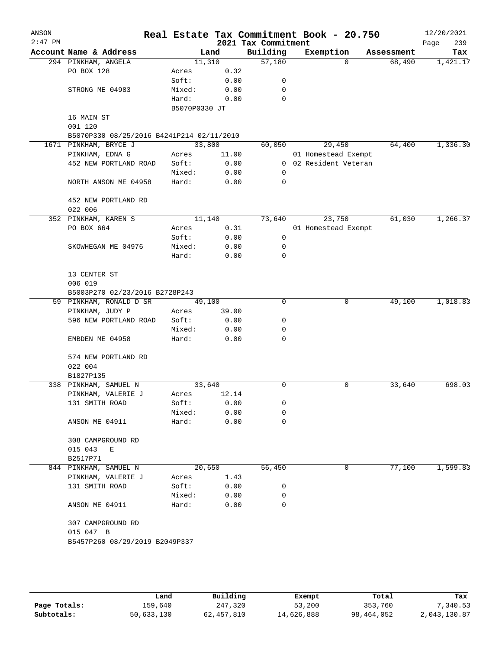| ANSON<br>$2:47$ PM |                                           |               |        | 2021 Tax Commitment | Real Estate Tax Commitment Book - 20.750 |            | 12/20/2021<br>239<br>Page |
|--------------------|-------------------------------------------|---------------|--------|---------------------|------------------------------------------|------------|---------------------------|
|                    | Account Name & Address                    |               | Land   | Building            | Exemption                                | Assessment | Tax                       |
|                    | 294 PINKHAM, ANGELA                       |               | 11,310 | 57,180              | $\Omega$                                 | 68,490     | 1,421.17                  |
|                    | PO BOX 128                                | Acres         | 0.32   |                     |                                          |            |                           |
|                    |                                           | Soft:         | 0.00   | 0                   |                                          |            |                           |
|                    | STRONG ME 04983                           | Mixed:        | 0.00   | 0                   |                                          |            |                           |
|                    |                                           | Hard:         | 0.00   | $\mathbf 0$         |                                          |            |                           |
|                    |                                           | B5070P0330 JT |        |                     |                                          |            |                           |
|                    | 16 MAIN ST                                |               |        |                     |                                          |            |                           |
|                    | 001 120                                   |               |        |                     |                                          |            |                           |
|                    | B5070P330 08/25/2016 B4241P214 02/11/2010 |               |        |                     |                                          |            |                           |
|                    | 1671 PINKHAM, BRYCE J                     |               | 33,800 | 60,050              | 29,450                                   | 64,400     | 1,336.30                  |
|                    | PINKHAM, EDNA G                           | Acres         | 11.00  |                     | 01 Homestead Exempt                      |            |                           |
|                    | 452 NEW PORTLAND ROAD                     | Soft:         | 0.00   |                     | 0 02 Resident Veteran                    |            |                           |
|                    |                                           | Mixed:        | 0.00   | 0                   |                                          |            |                           |
|                    | NORTH ANSON ME 04958                      | Hard:         | 0.00   | 0                   |                                          |            |                           |
|                    | 452 NEW PORTLAND RD                       |               |        |                     |                                          |            |                           |
|                    | 022 006                                   |               |        |                     |                                          |            |                           |
|                    | 352 PINKHAM, KAREN S                      |               | 11,140 | 73,640              | 23,750                                   | 61,030     | 1,266.37                  |
|                    | PO BOX 664                                | Acres         | 0.31   |                     | 01 Homestead Exempt                      |            |                           |
|                    |                                           | Soft:         | 0.00   | 0                   |                                          |            |                           |
|                    | SKOWHEGAN ME 04976                        | Mixed:        | 0.00   | 0                   |                                          |            |                           |
|                    |                                           | Hard:         | 0.00   | 0                   |                                          |            |                           |
|                    | 13 CENTER ST<br>006 019                   |               |        |                     |                                          |            |                           |
|                    | B5003P270 02/23/2016 B2728P243            |               |        |                     |                                          |            |                           |
|                    | 59 PINKHAM, RONALD D SR                   |               | 49,100 | 0                   | 0                                        | 49,100     | 1,018.83                  |
|                    | PINKHAM, JUDY P                           | Acres         | 39.00  |                     |                                          |            |                           |
|                    | 596 NEW PORTLAND ROAD                     | Soft:         | 0.00   | 0                   |                                          |            |                           |
|                    |                                           | Mixed:        | 0.00   | 0                   |                                          |            |                           |
|                    | EMBDEN ME 04958                           | Hard:         | 0.00   | 0                   |                                          |            |                           |
|                    | 574 NEW PORTLAND RD                       |               |        |                     |                                          |            |                           |
|                    | 022 004                                   |               |        |                     |                                          |            |                           |
|                    | B1827P135                                 |               |        |                     |                                          |            |                           |
|                    | 338 PINKHAM, SAMUEL N                     |               | 33,640 | 0                   | 0                                        | 33,640     | 698.03                    |
|                    | PINKHAM, VALERIE J                        | Acres         | 12.14  |                     |                                          |            |                           |
|                    | 131 SMITH ROAD                            | Soft:         | 0.00   | 0                   |                                          |            |                           |
|                    |                                           | Mixed:        | 0.00   | 0                   |                                          |            |                           |
|                    | ANSON ME 04911                            | Hard:         | 0.00   | 0                   |                                          |            |                           |
|                    | 308 CAMPGROUND RD                         |               |        |                     |                                          |            |                           |
|                    | 015 043<br>Е                              |               |        |                     |                                          |            |                           |
|                    | B2517P71                                  |               |        |                     |                                          |            |                           |
|                    | 844 PINKHAM, SAMUEL N                     |               | 20,650 | 56,450              | 0                                        | 77,100     | 1,599.83                  |
|                    | PINKHAM, VALERIE J                        | Acres         | 1.43   |                     |                                          |            |                           |
|                    | 131 SMITH ROAD                            | Soft:         | 0.00   | 0                   |                                          |            |                           |
|                    |                                           | Mixed:        | 0.00   | 0                   |                                          |            |                           |
|                    | ANSON ME 04911                            | Hard:         | 0.00   | $\Omega$            |                                          |            |                           |
|                    | 307 CAMPGROUND RD                         |               |        |                     |                                          |            |                           |
|                    | 015 047 B                                 |               |        |                     |                                          |            |                           |
|                    | B5457P260 08/29/2019 B2049P337            |               |        |                     |                                          |            |                           |
|                    |                                           |               |        |                     |                                          |            |                           |
|                    |                                           |               |        |                     |                                          |            |                           |
|                    |                                           |               |        |                     |                                          |            |                           |
|                    |                                           |               |        |                     |                                          |            |                           |

|              | Land       | Building   | Exempt     | Total      | Tax          |
|--------------|------------|------------|------------|------------|--------------|
| Page Totals: | 159,640    | 247,320    | 53,200     | 353,760    | 7,340.53     |
| Subtotals:   | 50,633,130 | 62,457,810 | 14,626,888 | 98,464,052 | 2,043,130.87 |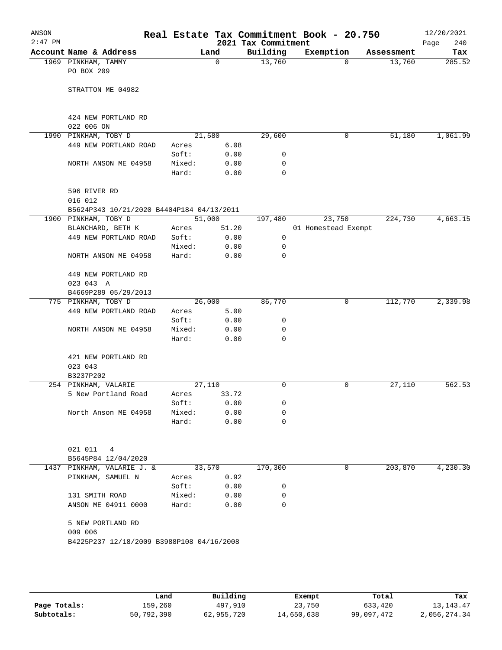| ANSON<br>$2:47$ PM |                                           |        |          | 2021 Tax Commitment | Real Estate Tax Commitment Book - 20.750 |            | 12/20/2021<br>240<br>Page |
|--------------------|-------------------------------------------|--------|----------|---------------------|------------------------------------------|------------|---------------------------|
|                    | Account Name & Address                    |        | Land     | Building            | Exemption                                | Assessment | Tax                       |
|                    | 1969 PINKHAM, TAMMY                       |        | $\Omega$ | 13,760              | $\Omega$                                 | 13,760     | 285.52                    |
|                    | PO BOX 209                                |        |          |                     |                                          |            |                           |
|                    |                                           |        |          |                     |                                          |            |                           |
|                    | STRATTON ME 04982                         |        |          |                     |                                          |            |                           |
|                    |                                           |        |          |                     |                                          |            |                           |
|                    |                                           |        |          |                     |                                          |            |                           |
|                    | 424 NEW PORTLAND RD                       |        |          |                     |                                          |            |                           |
|                    | 022 006 ON<br>1990 PINKHAM, TOBY D        |        | 21,580   | 29,600              | 0                                        | 51,180     | 1,061.99                  |
|                    | 449 NEW PORTLAND ROAD                     | Acres  | 6.08     |                     |                                          |            |                           |
|                    |                                           | Soft:  | 0.00     | 0                   |                                          |            |                           |
|                    | NORTH ANSON ME 04958                      | Mixed: | 0.00     | 0                   |                                          |            |                           |
|                    |                                           | Hard:  | 0.00     | 0                   |                                          |            |                           |
|                    |                                           |        |          |                     |                                          |            |                           |
|                    | 596 RIVER RD                              |        |          |                     |                                          |            |                           |
|                    | 016 012                                   |        |          |                     |                                          |            |                           |
|                    | B5624P343 10/21/2020 B4404P184 04/13/2011 |        |          |                     |                                          |            |                           |
|                    | 1900 PINKHAM, TOBY D                      |        | 51,000   | 197,480             | 23,750                                   | 224,730    | 4,663.15                  |
|                    | BLANCHARD, BETH K                         | Acres  | 51.20    |                     | 01 Homestead Exempt                      |            |                           |
|                    | 449 NEW PORTLAND ROAD                     | Soft:  | 0.00     | 0                   |                                          |            |                           |
|                    |                                           | Mixed: | 0.00     | 0                   |                                          |            |                           |
|                    | NORTH ANSON ME 04958                      | Hard:  | 0.00     | 0                   |                                          |            |                           |
|                    |                                           |        |          |                     |                                          |            |                           |
|                    | 449 NEW PORTLAND RD                       |        |          |                     |                                          |            |                           |
|                    | 023 043 A                                 |        |          |                     |                                          |            |                           |
|                    | B4669P289 05/29/2013                      |        |          |                     |                                          |            |                           |
|                    | 775 PINKHAM, TOBY D                       |        | 26,000   | 86,770              | 0                                        | 112,770    | 2,339.98                  |
|                    | 449 NEW PORTLAND ROAD                     | Acres  | 5.00     |                     |                                          |            |                           |
|                    |                                           | Soft:  | 0.00     | 0                   |                                          |            |                           |
|                    | NORTH ANSON ME 04958                      | Mixed: | 0.00     | 0                   |                                          |            |                           |
|                    |                                           | Hard:  | 0.00     | 0                   |                                          |            |                           |
|                    | 421 NEW PORTLAND RD                       |        |          |                     |                                          |            |                           |
|                    | 023 043                                   |        |          |                     |                                          |            |                           |
|                    | B3237P202                                 |        |          |                     |                                          |            |                           |
|                    | 254 PINKHAM, VALARIE                      |        | 27,110   | 0                   | 0                                        | 27,110     | 562.53                    |
|                    | 5 New Portland Road                       | Acres  | 33.72    |                     |                                          |            |                           |
|                    |                                           | Soft:  | 0.00     | 0                   |                                          |            |                           |
|                    | North Anson ME 04958                      | Mixed: | 0.00     | 0                   |                                          |            |                           |
|                    |                                           | Hard:  | 0.00     | 0                   |                                          |            |                           |
|                    |                                           |        |          |                     |                                          |            |                           |
|                    |                                           |        |          |                     |                                          |            |                           |
|                    | 021 011<br>4                              |        |          |                     |                                          |            |                           |
|                    | B5645P84 12/04/2020                       |        |          |                     |                                          |            |                           |
|                    | 1437 PINKHAM, VALARIE J. &                |        | 33,570   | 170,300             | 0                                        | 203,870    | 4,230.30                  |
|                    | PINKHAM, SAMUEL N                         | Acres  | 0.92     |                     |                                          |            |                           |
|                    |                                           | Soft:  | 0.00     | 0                   |                                          |            |                           |
|                    | 131 SMITH ROAD                            | Mixed: | 0.00     | 0                   |                                          |            |                           |
|                    | ANSON ME 04911 0000                       | Hard:  | 0.00     | 0                   |                                          |            |                           |
|                    |                                           |        |          |                     |                                          |            |                           |
|                    | 5 NEW PORTLAND RD                         |        |          |                     |                                          |            |                           |
|                    | 009 006                                   |        |          |                     |                                          |            |                           |
|                    | B4225P237 12/18/2009 B3988P108 04/16/2008 |        |          |                     |                                          |            |                           |
|                    |                                           |        |          |                     |                                          |            |                           |
|                    |                                           |        |          |                     |                                          |            |                           |
|                    |                                           |        |          |                     |                                          |            |                           |
|                    |                                           |        |          |                     |                                          |            |                           |

|              | Land       | Building   | Exempt     | Total      | Tax          |
|--------------|------------|------------|------------|------------|--------------|
| Page Totals: | 159,260    | 497,910    | 23,750     | 633,420    | 13, 143, 47  |
| Subtotals:   | 50,792,390 | 62,955,720 | 14,650,638 | 99,097,472 | 2,056,274.34 |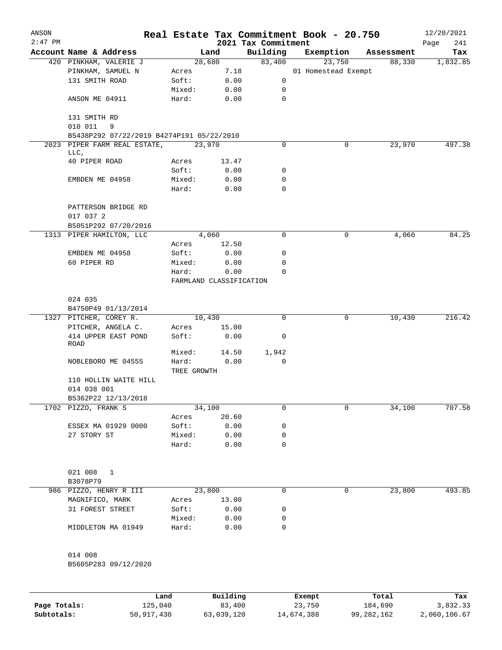| ANSON     |                                           |                      |                         |                                 | Real Estate Tax Commitment Book - 20.750 |            | 12/20/2021         |
|-----------|-------------------------------------------|----------------------|-------------------------|---------------------------------|------------------------------------------|------------|--------------------|
| $2:47$ PM | Account Name & Address                    |                      | Land                    | 2021 Tax Commitment<br>Building | Exemption                                | Assessment | 241<br>Page<br>Tax |
|           | 420 PINKHAM, VALERIE J                    |                      | 28,680                  | 83,400                          | 23,750                                   | 88,330     | 1,832.85           |
|           | PINKHAM, SAMUEL N                         | Acres                | 7.18                    |                                 | 01 Homestead Exempt                      |            |                    |
|           | 131 SMITH ROAD                            | Soft:                | 0.00                    | 0                               |                                          |            |                    |
|           |                                           | Mixed:               | 0.00                    | 0                               |                                          |            |                    |
|           | ANSON ME 04911                            | Hard:                | 0.00                    | $\mathbf 0$                     |                                          |            |                    |
|           | 131 SMITH RD<br>010 011<br>9              |                      |                         |                                 |                                          |            |                    |
|           | B5438P292 07/22/2019 B4274P191 05/22/2010 |                      |                         |                                 |                                          |            |                    |
|           | 2023 PIPER FARM REAL ESTATE,<br>LLC,      |                      | 23,970                  | 0                               | 0                                        | 23,970     | 497.38             |
|           | 40 PIPER ROAD                             | Acres                | 13.47                   |                                 |                                          |            |                    |
|           |                                           | Soft:                | 0.00                    | 0                               |                                          |            |                    |
|           | EMBDEN ME 04958                           | Mixed:               | 0.00                    | 0                               |                                          |            |                    |
|           |                                           | Hard:                | 0.00                    | 0                               |                                          |            |                    |
|           | PATTERSON BRIDGE RD                       |                      |                         |                                 |                                          |            |                    |
|           | 017 037 2                                 |                      |                         |                                 |                                          |            |                    |
|           | B5051P292 07/20/2016                      |                      |                         |                                 |                                          |            |                    |
|           | 1313 PIPER HAMILTON, LLC                  |                      | 4,060                   | 0                               | 0                                        | 4,060      | 84.25              |
|           |                                           | Acres                | 12.50                   |                                 |                                          |            |                    |
|           | EMBDEN ME 04958                           | Soft:                | 0.00                    | 0                               |                                          |            |                    |
|           | 60 PIPER RD                               | Mixed:               | 0.00                    | 0                               |                                          |            |                    |
|           |                                           | Hard:                | 0.00                    | 0                               |                                          |            |                    |
|           |                                           |                      | FARMLAND CLASSIFICATION |                                 |                                          |            |                    |
|           | 024 035                                   |                      |                         |                                 |                                          |            |                    |
|           | B4750P49 01/13/2014                       |                      |                         |                                 |                                          |            |                    |
|           | 1327 PITCHER, COREY R.                    |                      | 10,430                  | 0                               | 0                                        | 10,430     | 216.42             |
|           | PITCHER, ANGELA C.                        | Acres                | 15.00                   |                                 |                                          |            |                    |
|           | 414 UPPER EAST POND<br>ROAD               | Soft:                | 0.00                    | 0                               |                                          |            |                    |
|           |                                           | Mixed:               | 14.50                   | 1,942                           |                                          |            |                    |
|           | NOBLEBORO ME 04555                        | Hard:<br>TREE GROWTH | 0.00                    | 0                               |                                          |            |                    |
|           | 110 HOLLIN WAITE HILL<br>014 038 001      |                      |                         |                                 |                                          |            |                    |
|           | B5362P22 12/13/2018                       |                      |                         |                                 |                                          |            |                    |
|           | 1702 PIZZO, FRANK S                       |                      | 34,100                  | 0                               | 0                                        | 34,100     | 707.58             |
|           |                                           | Acres                | 20.60                   |                                 |                                          |            |                    |
|           | ESSEX MA 01929 0000                       | Soft:                | 0.00                    | 0                               |                                          |            |                    |
|           | 27 STORY ST                               | Mixed:               | 0.00                    | 0                               |                                          |            |                    |
|           |                                           | Hard:                | 0.00                    | 0                               |                                          |            |                    |
|           | 021 008<br>1                              |                      |                         |                                 |                                          |            |                    |
|           | B3078P79                                  |                      |                         |                                 |                                          |            |                    |
|           | 986 PIZZO, HENRY R III                    |                      | 23,800                  | 0                               | 0                                        | 23,800     | 493.85             |
|           | MAGNIFICO, MARK                           | Acres                | 13.00                   |                                 |                                          |            |                    |
|           | 31 FOREST STREET                          | Soft:                | 0.00                    | 0                               |                                          |            |                    |
|           |                                           | Mixed:               | 0.00                    | 0                               |                                          |            |                    |
|           | MIDDLETON MA 01949                        | Hard:                | 0.00                    | 0                               |                                          |            |                    |
|           |                                           |                      |                         |                                 |                                          |            |                    |
|           | 014 008<br>B5605P283 09/12/2020           |                      |                         |                                 |                                          |            |                    |
|           |                                           |                      |                         |                                 |                                          |            |                    |
|           |                                           | Land                 | Building                |                                 | Exempt                                   | Total      | Tax                |

|              | Land       | Building   | Exempt     | Total      | Tax          |
|--------------|------------|------------|------------|------------|--------------|
| Page Totals: | 125,040    | 83,400     | 23,750     | 184,690    | 3,832.33     |
| Subtotals:   | 50,917,430 | 63,039,120 | 14,674,388 | 99,282,162 | 2,060,106.67 |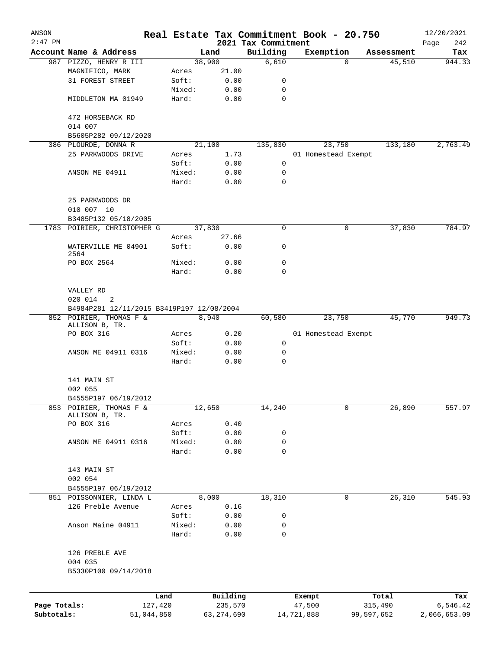| ANSON        |                                           |         |              |                                 | Real Estate Tax Commitment Book - 20.750 |                    | 12/20/2021         |
|--------------|-------------------------------------------|---------|--------------|---------------------------------|------------------------------------------|--------------------|--------------------|
| $2:47$ PM    | Account Name & Address                    |         | Land         | 2021 Tax Commitment<br>Building | Exemption                                | Assessment         | Page<br>242<br>Tax |
|              | 987 PIZZO, HENRY R III                    |         | 38,900       | 6,610                           |                                          | $\Omega$<br>45,510 | 944.33             |
|              | MAGNIFICO, MARK                           | Acres   | 21.00        |                                 |                                          |                    |                    |
|              | 31 FOREST STREET                          | Soft:   | 0.00         | 0                               |                                          |                    |                    |
|              |                                           | Mixed:  | 0.00         | 0                               |                                          |                    |                    |
|              | MIDDLETON MA 01949                        | Hard:   | 0.00         | $\mathbf 0$                     |                                          |                    |                    |
|              | 472 HORSEBACK RD                          |         |              |                                 |                                          |                    |                    |
|              | 014 007                                   |         |              |                                 |                                          |                    |                    |
|              | B5605P282 09/12/2020                      |         |              |                                 |                                          |                    |                    |
|              | 386 PLOURDE, DONNA R                      |         | 21,100       | 135,830                         | 23,750                                   | 133,180            | 2,763.49           |
|              | 25 PARKWOODS DRIVE                        | Acres   | 1.73         |                                 | 01 Homestead Exempt                      |                    |                    |
|              |                                           | Soft:   | 0.00         | 0                               |                                          |                    |                    |
|              | ANSON ME 04911                            | Mixed:  | 0.00         | 0                               |                                          |                    |                    |
|              |                                           | Hard:   | 0.00         | $\mathbf 0$                     |                                          |                    |                    |
|              | 25 PARKWOODS DR                           |         |              |                                 |                                          |                    |                    |
|              | 010 007 10                                |         |              |                                 |                                          |                    |                    |
|              | B3485P132 05/18/2005                      |         |              |                                 |                                          |                    |                    |
|              | 1783 POIRIER, CHRISTOPHER G               |         | 37,830       | 0                               |                                          | 37,830<br>0        | 784.97             |
|              |                                           | Acres   | 27.66        |                                 |                                          |                    |                    |
|              | WATERVILLE ME 04901<br>2564               | Soft:   | 0.00         | 0                               |                                          |                    |                    |
|              | PO BOX 2564                               | Mixed:  | 0.00         | 0                               |                                          |                    |                    |
|              |                                           | Hard:   | 0.00         | 0                               |                                          |                    |                    |
|              |                                           |         |              |                                 |                                          |                    |                    |
|              | VALLEY RD                                 |         |              |                                 |                                          |                    |                    |
|              | 020 014<br>2                              |         |              |                                 |                                          |                    |                    |
|              | B4984P281 12/11/2015 B3419P197 12/08/2004 |         |              |                                 |                                          |                    |                    |
|              | 852 POIRIER, THOMAS F &                   |         | 8,940        | 60,580                          | 23,750                                   | 45,770             | 949.73             |
|              | ALLISON B, TR.                            |         |              |                                 |                                          |                    |                    |
|              | PO BOX 316                                | Acres   | 0.20         |                                 | 01 Homestead Exempt                      |                    |                    |
|              |                                           | Soft:   | 0.00         | 0                               |                                          |                    |                    |
|              | ANSON ME 04911 0316                       | Mixed:  | 0.00         | 0                               |                                          |                    |                    |
|              |                                           | Hard:   | 0.00         | 0                               |                                          |                    |                    |
|              | 141 MAIN ST                               |         |              |                                 |                                          |                    |                    |
|              | 002 055                                   |         |              |                                 |                                          |                    |                    |
|              | B4555P197 06/19/2012                      |         |              |                                 |                                          |                    |                    |
| 853          | POIRIER, THOMAS F &<br>ALLISON B, TR.     |         | 12,650       | 14,240                          |                                          | 26,890<br>0        | 557.97             |
|              | PO BOX 316                                | Acres   | 0.40         |                                 |                                          |                    |                    |
|              |                                           | Soft:   | 0.00         | 0                               |                                          |                    |                    |
|              | ANSON ME 04911 0316                       | Mixed:  | 0.00         | 0                               |                                          |                    |                    |
|              |                                           | Hard:   | 0.00         | 0                               |                                          |                    |                    |
|              | 143 MAIN ST                               |         |              |                                 |                                          |                    |                    |
|              | 002 054                                   |         |              |                                 |                                          |                    |                    |
|              | B4555P197 06/19/2012                      |         |              |                                 |                                          |                    |                    |
|              | 851 POISSONNIER, LINDA L                  |         | 8,000        | 18,310                          |                                          | 26,310<br>0        | 545.93             |
|              | 126 Preble Avenue                         | Acres   | 0.16         |                                 |                                          |                    |                    |
|              |                                           | Soft:   | 0.00         | 0                               |                                          |                    |                    |
|              | Anson Maine 04911                         | Mixed:  | 0.00         | 0                               |                                          |                    |                    |
|              |                                           | Hard:   | 0.00         | 0                               |                                          |                    |                    |
|              | 126 PREBLE AVE                            |         |              |                                 |                                          |                    |                    |
|              | 004 035                                   |         |              |                                 |                                          |                    |                    |
|              | B5330P100 09/14/2018                      |         |              |                                 |                                          |                    |                    |
|              |                                           |         |              |                                 |                                          |                    |                    |
|              |                                           | Land    | Building     |                                 | Exempt                                   | Total              | Tax                |
| Page Totals: |                                           | 127,420 | 235,570      |                                 | 47,500                                   | 315,490            | 6,546.42           |
| Subtotals:   | 51,044,850                                |         | 63, 274, 690 |                                 | 14,721,888                               | 99,597,652         | 2,066,653.09       |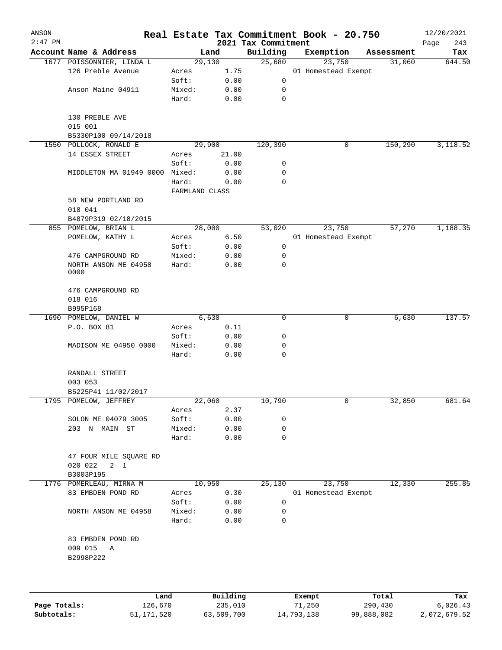| ANSON     |                                                |                 |              |                     | Real Estate Tax Commitment Book - 20.750 |            | 12/20/2021    |
|-----------|------------------------------------------------|-----------------|--------------|---------------------|------------------------------------------|------------|---------------|
| $2:47$ PM |                                                |                 |              | 2021 Tax Commitment |                                          |            | Page<br>243   |
|           | Account Name & Address                         | 29,130          | Land         | Building<br>25,680  | Exemption<br>23,750                      | Assessment | Tax<br>644.50 |
|           | 1677 POISSONNIER, LINDA L<br>126 Preble Avenue | Acres           | 1.75         |                     | 01 Homestead Exempt                      | 31,060     |               |
|           |                                                | Soft:           | 0.00         | 0                   |                                          |            |               |
|           | Anson Maine 04911                              |                 |              |                     |                                          |            |               |
|           |                                                | Mixed:          | 0.00         | 0                   |                                          |            |               |
|           |                                                | Hard:           | 0.00         | $\mathbf 0$         |                                          |            |               |
|           | 130 PREBLE AVE<br>015 001                      |                 |              |                     |                                          |            |               |
|           | B5330P100 09/14/2018                           |                 |              |                     |                                          |            |               |
|           | 1550 POLLOCK, RONALD E                         |                 | 29,900       | 120,390             | 0                                        | 150,290    | 3,118.52      |
|           | 14 ESSEX STREET                                | Acres           | 21.00        |                     |                                          |            |               |
|           |                                                | Soft:           | 0.00         | 0                   |                                          |            |               |
|           | MIDDLETON MA 01949 0000 Mixed:                 |                 | 0.00         | 0                   |                                          |            |               |
|           |                                                | Hard:           | 0.00         | 0                   |                                          |            |               |
|           |                                                | FARMLAND CLASS  |              |                     |                                          |            |               |
|           | 58 NEW PORTLAND RD<br>018 041                  |                 |              |                     |                                          |            |               |
|           | B4879P319 02/18/2015                           |                 |              |                     |                                          |            |               |
|           | 855 POMELOW, BRIAN L                           | 28,000          |              | 53,020              | 23,750                                   | 57,270     | 1,188.35      |
|           | POMELOW, KATHY L                               | Acres           | 6.50         |                     | 01 Homestead Exempt                      |            |               |
|           |                                                | Soft:           | 0.00         | 0                   |                                          |            |               |
|           | 476 CAMPGROUND RD                              | Mixed:          | 0.00         | 0                   |                                          |            |               |
|           | NORTH ANSON ME 04958<br>0000                   | Hard:           | 0.00         | 0                   |                                          |            |               |
|           | 476 CAMPGROUND RD<br>018 016                   |                 |              |                     |                                          |            |               |
|           | B995P168                                       |                 |              |                     |                                          |            |               |
|           | 1690 POMELOW, DANIEL W                         |                 | 6,630        | 0                   | 0                                        | 6,630      | 137.57        |
|           | P.O. BOX 81                                    | Acres           | 0.11         |                     |                                          |            |               |
|           |                                                | Soft:           | 0.00         | 0                   |                                          |            |               |
|           | MADISON ME 04950 0000                          | Mixed:          | 0.00         | 0                   |                                          |            |               |
|           |                                                | Hard:           | 0.00         | $\mathbf 0$         |                                          |            |               |
|           | RANDALL STREET<br>003 053                      |                 |              |                     |                                          |            |               |
|           | B5225P41 11/02/2017                            |                 |              |                     |                                          |            |               |
|           | 1795 POMELOW, JEFFREY                          |                 | 22,060       | 10,790              | 0                                        | 32,850     | 681.64        |
|           |                                                | Acres           | 2.37         |                     |                                          |            |               |
|           | SOLON ME 04079 3005                            | Soft:           | 0.00         | 0                   |                                          |            |               |
|           | 203 N MAIN ST                                  | Mixed:          | 0.00         | 0                   |                                          |            |               |
|           |                                                | Hard:           | 0.00         | $\Omega$            |                                          |            |               |
|           | 47 FOUR MILE SQUARE RD                         |                 |              |                     |                                          |            |               |
|           | 020 022<br>$2 \quad 1$                         |                 |              |                     |                                          |            |               |
|           | B3003P195                                      |                 |              |                     |                                          |            |               |
|           | 1776 POMERLEAU, MIRNA M                        |                 | 10,950       | 25,130              | 23,750                                   | 12,330     | 255.85        |
|           | 83 EMBDEN POND RD                              | Acres           | 0.30         |                     | 01 Homestead Exempt                      |            |               |
|           |                                                | Soft:           | 0.00         | 0                   |                                          |            |               |
|           | NORTH ANSON ME 04958                           | Mixed:<br>Hard: | 0.00<br>0.00 | 0<br>0              |                                          |            |               |
|           | 83 EMBDEN POND RD<br>009 015 A<br>B2998P222    |                 |              |                     |                                          |            |               |
|           |                                                |                 |              |                     |                                          |            |               |
|           |                                                |                 |              |                     |                                          |            |               |

|              | Land       | Building   | Exempt     | Total      | Tax          |
|--------------|------------|------------|------------|------------|--------------|
| Page Totals: | 126,670    | 235,010    | 71,250     | 290,430    | 6,026.43     |
| Subtotals:   | 51,171,520 | 63,509,700 | 14,793,138 | 99,888,082 | 2,072,679.52 |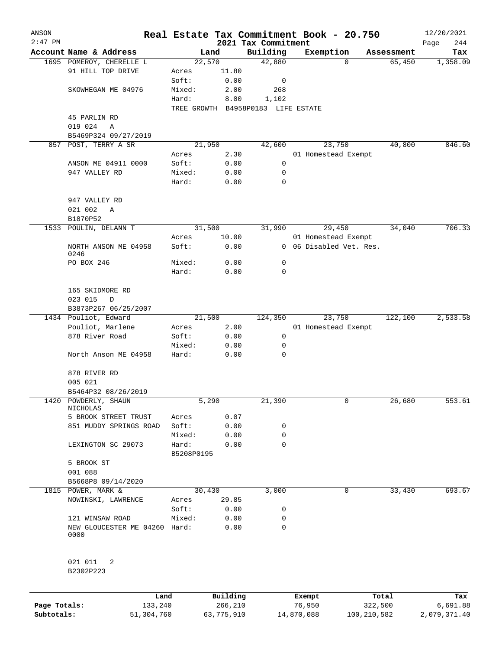| ANSON        |                                       |                 |                                    |                                 | Real Estate Tax Commitment Book - 20.750 |         |            | 12/20/2021         |
|--------------|---------------------------------------|-----------------|------------------------------------|---------------------------------|------------------------------------------|---------|------------|--------------------|
| $2:47$ PM    | Account Name & Address                |                 | Land                               | 2021 Tax Commitment<br>Building | Exemption                                |         | Assessment | Page<br>244<br>Tax |
|              | 1695 POMEROY, CHERELLE L              |                 | 22,570                             | 42,880                          |                                          | 0       | 65,450     | 1,358.09           |
|              | 91 HILL TOP DRIVE                     | Acres           | 11.80                              |                                 |                                          |         |            |                    |
|              |                                       | Soft:           | 0.00                               | 0                               |                                          |         |            |                    |
|              | SKOWHEGAN ME 04976                    | Mixed:          | 2.00                               | 268                             |                                          |         |            |                    |
|              |                                       | Hard:           | 8.00                               | 1,102                           |                                          |         |            |                    |
|              |                                       |                 | TREE GROWTH B4958P0183 LIFE ESTATE |                                 |                                          |         |            |                    |
|              | 45 PARLIN RD                          |                 |                                    |                                 |                                          |         |            |                    |
|              | 019 024<br>Α                          |                 |                                    |                                 |                                          |         |            |                    |
|              | B5469P324 09/27/2019                  |                 |                                    |                                 |                                          |         |            |                    |
|              | 857 POST, TERRY A SR                  |                 | 21,950                             | 42,600                          | 23,750                                   |         | 40,800     | 846.60             |
|              |                                       | Acres           | 2.30                               |                                 | 01 Homestead Exempt                      |         |            |                    |
|              | ANSON ME 04911 0000                   | Soft:           | 0.00                               | 0                               |                                          |         |            |                    |
|              | 947 VALLEY RD                         | Mixed:          | 0.00                               | 0                               |                                          |         |            |                    |
|              |                                       | Hard:           | 0.00                               | 0                               |                                          |         |            |                    |
|              |                                       |                 |                                    |                                 |                                          |         |            |                    |
|              | 947 VALLEY RD                         |                 |                                    |                                 |                                          |         |            |                    |
|              | 021 002<br>Α                          |                 |                                    |                                 |                                          |         |            |                    |
|              | B1870P52                              |                 |                                    |                                 |                                          |         |            |                    |
| 1533         | POULIN, DELANN T                      |                 | 31,500                             | 31,990                          | 29,450                                   |         | 34,040     | 706.33             |
|              |                                       |                 |                                    |                                 |                                          |         |            |                    |
|              |                                       | Acres           | 10.00                              |                                 | 01 Homestead Exempt                      |         |            |                    |
|              | NORTH ANSON ME 04958<br>0246          | Soft:           | 0.00                               | $\mathbf{0}$                    | 06 Disabled Vet. Res.                    |         |            |                    |
|              | PO BOX 246                            | Mixed:          | 0.00                               | 0                               |                                          |         |            |                    |
|              |                                       | Hard:           | 0.00                               | 0                               |                                          |         |            |                    |
|              |                                       |                 |                                    |                                 |                                          |         |            |                    |
|              | 165 SKIDMORE RD                       |                 |                                    |                                 |                                          |         |            |                    |
|              | 023 015<br>D                          |                 |                                    |                                 |                                          |         |            |                    |
|              | B3873P267 06/25/2007                  |                 |                                    |                                 |                                          |         |            |                    |
|              | 1434 Pouliot, Edward                  |                 | 21,500                             | 124,350                         | 23,750                                   |         | 122,100    | 2,533.58           |
|              | Pouliot, Marlene                      | Acres           | 2.00                               |                                 | 01 Homestead Exempt                      |         |            |                    |
|              | 878 River Road                        |                 | 0.00                               | 0                               |                                          |         |            |                    |
|              |                                       | Soft:<br>Mixed: |                                    | 0                               |                                          |         |            |                    |
|              | North Anson ME 04958                  |                 | 0.00                               | 0                               |                                          |         |            |                    |
|              |                                       | Hard:           | 0.00                               |                                 |                                          |         |            |                    |
|              |                                       |                 |                                    |                                 |                                          |         |            |                    |
|              | 878 RIVER RD                          |                 |                                    |                                 |                                          |         |            |                    |
|              | 005 021                               |                 |                                    |                                 |                                          |         |            |                    |
|              | B5464P32 08/26/2019                   |                 |                                    |                                 |                                          |         |            |                    |
| 1420         | POWDERLY, SHAUN<br>NICHOLAS           |                 | 5,290                              | 21,390                          |                                          | 0       | 26,680     | 553.61             |
|              | 5 BROOK STREET TRUST                  | Acres           | 0.07                               |                                 |                                          |         |            |                    |
|              | 851 MUDDY SPRINGS ROAD                | Soft:           | 0.00                               | 0                               |                                          |         |            |                    |
|              |                                       | Mixed:          | 0.00                               | 0                               |                                          |         |            |                    |
|              | LEXINGTON SC 29073                    | Hard:           | 0.00                               | 0                               |                                          |         |            |                    |
|              |                                       | B5208P0195      |                                    |                                 |                                          |         |            |                    |
|              | 5 BROOK ST                            |                 |                                    |                                 |                                          |         |            |                    |
|              | 001 088                               |                 |                                    |                                 |                                          |         |            |                    |
|              | B5668P8 09/14/2020                    |                 |                                    |                                 |                                          |         |            |                    |
|              | 1815 POWER, MARK &                    |                 | 30,430                             | 3,000                           |                                          | 0       | 33,430     | 693.67             |
|              | NOWINSKI, LAWRENCE                    | Acres           | 29.85                              |                                 |                                          |         |            |                    |
|              |                                       | Soft:           | 0.00                               | 0                               |                                          |         |            |                    |
|              |                                       |                 |                                    | 0                               |                                          |         |            |                    |
|              | 121 WINSAW ROAD                       | Mixed:          | 0.00                               | 0                               |                                          |         |            |                    |
|              | NEW GLOUCESTER ME 04260 Hard:<br>0000 |                 | 0.00                               |                                 |                                          |         |            |                    |
|              | 021 011<br>2                          |                 |                                    |                                 |                                          |         |            |                    |
|              | B2302P223                             |                 |                                    |                                 |                                          |         |            |                    |
|              | Land                                  |                 | Building                           |                                 | Exempt                                   |         | Total      | Tax                |
| Page Totals: | 133,240                               |                 | 266,210                            |                                 | 76,950                                   | 322,500 |            | 6,691.88           |

**Subtotals:** 51,304,760 63,775,910 14,870,088 100,210,582 2,079,371.40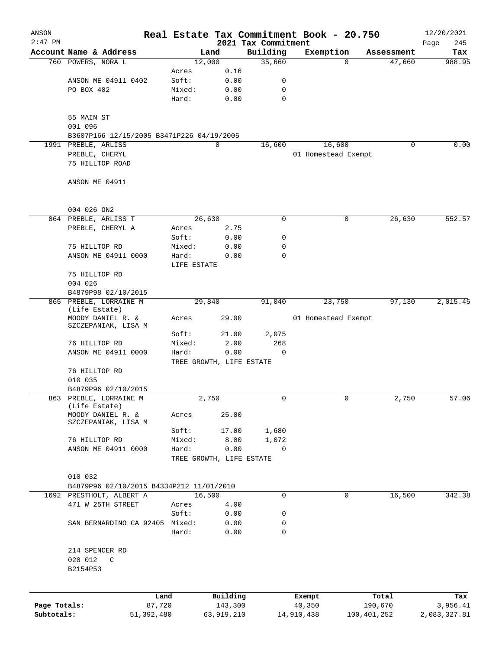| ANSON        |                                                             |             |                          |                                 | Real Estate Tax Commitment Book - 20.750 |                       | 12/20/2021         |
|--------------|-------------------------------------------------------------|-------------|--------------------------|---------------------------------|------------------------------------------|-----------------------|--------------------|
| $2:47$ PM    | Account Name & Address                                      |             | Land                     | 2021 Tax Commitment<br>Building | Exemption                                | Assessment            | 245<br>Page<br>Tax |
|              | 760 POWERS, NORA L                                          |             | 12,000                   | 35,660                          |                                          | 47,660<br>0           | 988.95             |
|              |                                                             | Acres       | 0.16                     |                                 |                                          |                       |                    |
|              | ANSON ME 04911 0402                                         | Soft:       | 0.00                     | 0                               |                                          |                       |                    |
|              | PO BOX 402                                                  | Mixed:      | 0.00                     | $\mathbf 0$                     |                                          |                       |                    |
|              |                                                             | Hard:       | 0.00                     | $\mathbf 0$                     |                                          |                       |                    |
|              | 55 MAIN ST                                                  |             |                          |                                 |                                          |                       |                    |
|              | 001 096                                                     |             |                          |                                 |                                          |                       |                    |
| 1991         | B3607P166 12/15/2005 B3471P226 04/19/2005<br>PREBLE, ARLISS |             | $\mathbf 0$              | 16,600                          | 16,600                                   | 0                     | 0.00               |
|              | PREBLE, CHERYL                                              |             |                          |                                 | 01 Homestead Exempt                      |                       |                    |
|              | 75 HILLTOP ROAD                                             |             |                          |                                 |                                          |                       |                    |
|              | ANSON ME 04911                                              |             |                          |                                 |                                          |                       |                    |
|              | 004 026 ON2                                                 |             |                          |                                 |                                          |                       |                    |
|              | 864 PREBLE, ARLISS T                                        |             | 26,630                   | 0                               |                                          | 26,630<br>0           | 552.57             |
|              | PREBLE, CHERYL A                                            | Acres       | 2.75                     |                                 |                                          |                       |                    |
|              |                                                             | Soft:       | 0.00                     | 0                               |                                          |                       |                    |
|              | 75 HILLTOP RD                                               | Mixed:      | 0.00                     | 0                               |                                          |                       |                    |
|              | ANSON ME 04911 0000                                         | Hard:       | 0.00                     | 0                               |                                          |                       |                    |
|              |                                                             | LIFE ESTATE |                          |                                 |                                          |                       |                    |
|              | 75 HILLTOP RD<br>004 026                                    |             |                          |                                 |                                          |                       |                    |
|              | B4879P98 02/10/2015                                         |             |                          |                                 |                                          |                       |                    |
| 865          | PREBLE, LORRAINE M                                          |             | 29,840                   | 91,040                          | 23,750                                   | 97,130                | 2,015.45           |
|              | (Life Estate)<br>MOODY DANIEL R. &                          | Acres       | 29.00                    |                                 | 01 Homestead Exempt                      |                       |                    |
|              | SZCZEPANIAK, LISA M                                         |             |                          |                                 |                                          |                       |                    |
|              |                                                             | Soft:       | 21.00                    | 2,075                           |                                          |                       |                    |
|              | 76 HILLTOP RD                                               | Mixed:      | 2.00                     | 268                             |                                          |                       |                    |
|              | ANSON ME 04911 0000                                         | Hard:       | 0.00                     | $\mathbf 0$                     |                                          |                       |                    |
|              | 76 HILLTOP RD                                               |             | TREE GROWTH, LIFE ESTATE |                                 |                                          |                       |                    |
|              | 010 035                                                     |             |                          |                                 |                                          |                       |                    |
|              | B4879P96 02/10/2015                                         |             |                          |                                 |                                          |                       |                    |
|              | 863 PREBLE, LORRAINE M                                      |             | 2,750                    |                                 |                                          | 2,750                 | 57.06              |
|              | (Life Estate)<br>MOODY DANIEL R. &                          | Acres       | 25.00                    |                                 |                                          |                       |                    |
|              | SZCZEPANIAK, LISA M                                         |             |                          |                                 |                                          |                       |                    |
|              |                                                             | Soft:       | 17.00                    | 1,680                           |                                          |                       |                    |
|              | 76 HILLTOP RD                                               | Mixed:      | 8.00                     | 1,072                           |                                          |                       |                    |
|              | ANSON ME 04911 0000                                         | Hard:       | 0.00                     | 0                               |                                          |                       |                    |
|              |                                                             |             | TREE GROWTH, LIFE ESTATE |                                 |                                          |                       |                    |
|              | 010 032                                                     |             |                          |                                 |                                          |                       |                    |
|              | B4879P96 02/10/2015 B4334P212 11/01/2010                    |             |                          |                                 |                                          |                       |                    |
|              | 1692 PRESTHOLT, ALBERT A                                    |             | 16,500                   | $\mathbf 0$                     |                                          | 16,500<br>$\mathbf 0$ | 342.38             |
|              | 471 W 25TH STREET                                           | Acres       | 4.00                     |                                 |                                          |                       |                    |
|              |                                                             | Soft:       | 0.00                     | 0                               |                                          |                       |                    |
|              | SAN BERNARDINO CA 92405 Mixed:                              | Hard:       | 0.00<br>0.00             | 0<br>$\mathbf 0$                |                                          |                       |                    |
|              |                                                             |             |                          |                                 |                                          |                       |                    |
|              | 214 SPENCER RD                                              |             |                          |                                 |                                          |                       |                    |
|              | 020 012<br>C<br>B2154P53                                    |             |                          |                                 |                                          |                       |                    |
|              |                                                             |             |                          |                                 |                                          |                       |                    |
|              |                                                             | Land        | Building                 |                                 | Exempt                                   | Total                 | Tax                |
| Page Totals: |                                                             | 87,720      | 143,300                  |                                 | 40,350                                   | 190,670               | 3,956.41           |
| Subtotals:   | 51,392,480                                                  |             | 63,919,210               |                                 | 14,910,438                               | 100,401,252           | 2,083,327.81       |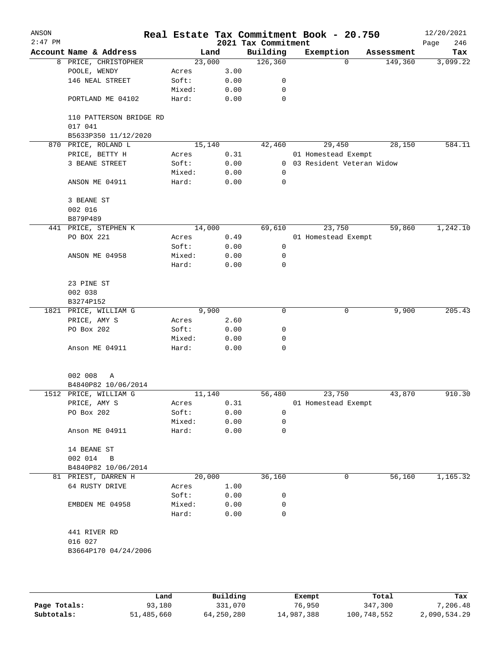| ANSON<br>$2:47$ PM |                                              |                 |              | 2021 Tax Commitment | Real Estate Tax Commitment Book - 20.750 |            | 12/20/2021<br>246<br>Page |
|--------------------|----------------------------------------------|-----------------|--------------|---------------------|------------------------------------------|------------|---------------------------|
|                    | Account Name & Address                       | Land            |              | Building            | Exemption                                | Assessment | Tax                       |
|                    | 8 PRICE, CHRISTOPHER                         | 23,000          |              | 126, 360            | 0                                        | 149,360    | 3,099.22                  |
|                    | POOLE, WENDY                                 | Acres           | 3.00         |                     |                                          |            |                           |
|                    | 146 NEAL STREET                              | Soft:           | 0.00         | 0                   |                                          |            |                           |
|                    |                                              | Mixed:          | 0.00         | 0                   |                                          |            |                           |
|                    | PORTLAND ME 04102                            | Hard:           | 0.00         | 0                   |                                          |            |                           |
|                    | 110 PATTERSON BRIDGE RD<br>017 041           |                 |              |                     |                                          |            |                           |
|                    | B5633P350 11/12/2020                         |                 |              |                     |                                          |            |                           |
|                    | 870 PRICE, ROLAND L                          | 15,140          |              | 42,460              | 29,450                                   | 28,150     | 584.11                    |
|                    | PRICE, BETTY H                               | Acres           | 0.31         |                     | 01 Homestead Exempt                      |            |                           |
|                    | 3 BEANE STREET                               | Soft:           | 0.00         | $\overline{0}$      | 03 Resident Veteran Widow                |            |                           |
|                    |                                              | Mixed:          | 0.00         | 0                   |                                          |            |                           |
|                    | ANSON ME 04911                               | Hard:           | 0.00         | 0                   |                                          |            |                           |
|                    | 3 BEANE ST                                   |                 |              |                     |                                          |            |                           |
|                    | 002 016                                      |                 |              |                     |                                          |            |                           |
|                    | B879P489                                     |                 |              |                     |                                          |            |                           |
|                    | 441 PRICE, STEPHEN K                         | 14,000          |              | 69,610              | 23,750                                   | 59,860     | 1,242.10                  |
|                    | PO BOX 221                                   | Acres           | 0.49         |                     | 01 Homestead Exempt                      |            |                           |
|                    |                                              | Soft:           | 0.00         | 0                   |                                          |            |                           |
|                    | ANSON ME 04958                               | Mixed:          | 0.00         | 0                   |                                          |            |                           |
|                    |                                              | Hard:           | 0.00         | 0                   |                                          |            |                           |
|                    | 23 PINE ST                                   |                 |              |                     |                                          |            |                           |
|                    | 002 038                                      |                 |              |                     |                                          |            |                           |
|                    | B3274P152                                    |                 |              |                     |                                          |            |                           |
|                    | 1821 PRICE, WILLIAM G                        | 9,900           |              | 0                   | 0                                        | 9,900      | 205.43                    |
|                    | PRICE, AMY S                                 | Acres           | 2.60         |                     |                                          |            |                           |
|                    | PO Box 202                                   | Soft:           | 0.00         | 0                   |                                          |            |                           |
|                    |                                              | Mixed:          | 0.00         | 0                   |                                          |            |                           |
|                    | Anson ME 04911                               | Hard:           | 0.00         | 0                   |                                          |            |                           |
|                    |                                              |                 |              |                     |                                          |            |                           |
|                    | 002 008<br>Α                                 |                 |              |                     |                                          |            |                           |
|                    | B4840P82 10/06/2014<br>1512 PRICE, WILLIAM G | 11,140          |              | 56,480              | 23,750                                   | 43,870     | 910.30                    |
|                    |                                              |                 |              |                     |                                          |            |                           |
|                    | PRICE, AMY S                                 | Acres           | 0.31         |                     | 01 Homestead Exempt                      |            |                           |
|                    | PO Box 202                                   | Soft:           | 0.00         | 0                   |                                          |            |                           |
|                    | Anson ME 04911                               | Mixed:<br>Hard: | 0.00<br>0.00 | 0<br>0              |                                          |            |                           |
|                    |                                              |                 |              |                     |                                          |            |                           |
|                    | 14 BEANE ST                                  |                 |              |                     |                                          |            |                           |
|                    | 002 014<br>$\overline{B}$                    |                 |              |                     |                                          |            |                           |
|                    | B4840P82 10/06/2014                          |                 |              |                     |                                          |            |                           |
|                    | 81 PRIEST, DARREN H                          | 20,000          |              | 36,160              | 0                                        | 56,160     | 1,165.32                  |
|                    | 64 RUSTY DRIVE                               | Acres           | 1.00         |                     |                                          |            |                           |
|                    |                                              | Soft:           | 0.00         | 0                   |                                          |            |                           |
|                    | EMBDEN ME 04958                              | Mixed:          | 0.00         | 0                   |                                          |            |                           |
|                    |                                              | Hard:           | 0.00         | $\mathbf 0$         |                                          |            |                           |
|                    | 441 RIVER RD                                 |                 |              |                     |                                          |            |                           |
|                    | 016 027                                      |                 |              |                     |                                          |            |                           |
|                    | B3664P170 04/24/2006                         |                 |              |                     |                                          |            |                           |
|                    |                                              |                 |              |                     |                                          |            |                           |
|                    |                                              |                 |              |                     |                                          |            |                           |
|                    |                                              |                 |              |                     |                                          |            |                           |

|              | Land       | Building   | Exempt     | Total       | Tax          |
|--------------|------------|------------|------------|-------------|--------------|
| Page Totals: | 93,180     | 331,070    | 76,950     | 347,300     | 7,206.48     |
| Subtotals:   | 51,485,660 | 64,250,280 | 14,987,388 | 100,748,552 | 2,090,534.29 |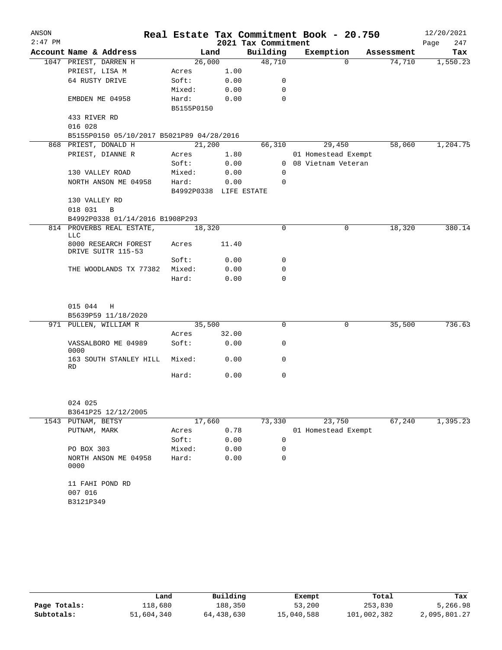| ANSON     |                                            |                        |       |                     | Real Estate Tax Commitment Book - 20.750 |            | 12/20/2021  |
|-----------|--------------------------------------------|------------------------|-------|---------------------|------------------------------------------|------------|-------------|
| $2:47$ PM |                                            |                        |       | 2021 Tax Commitment |                                          |            | 247<br>Page |
|           | Account Name & Address                     |                        | Land  | Building            | Exemption                                | Assessment | Tax         |
|           | 1047 PRIEST, DARREN H                      | 26,000                 |       | 48,710              | $\Omega$                                 | 74,710     | 1,550.23    |
|           | PRIEST, LISA M                             | Acres                  | 1.00  |                     |                                          |            |             |
|           | 64 RUSTY DRIVE                             | Soft:                  | 0.00  | 0                   |                                          |            |             |
|           |                                            | Mixed:                 | 0.00  | $\Omega$            |                                          |            |             |
|           | EMBDEN ME 04958                            | Hard:<br>B5155P0150    | 0.00  | $\Omega$            |                                          |            |             |
|           | 433 RIVER RD                               |                        |       |                     |                                          |            |             |
|           | 016 028                                    |                        |       |                     |                                          |            |             |
|           | B5155P0150 05/10/2017 B5021P89 04/28/2016  |                        |       |                     |                                          |            |             |
|           | 868 PRIEST, DONALD H                       | 21,200                 |       | 66,310              | 29,450                                   | 58,060     | 1,204.75    |
|           | PRIEST, DIANNE R                           | Acres                  | 1.80  |                     | 01 Homestead Exempt                      |            |             |
|           |                                            | Soft:                  | 0.00  |                     | 0 08 Vietnam Veteran                     |            |             |
|           | 130 VALLEY ROAD                            | Mixed:                 | 0.00  | 0                   |                                          |            |             |
|           | NORTH ANSON ME 04958                       | Hard:                  | 0.00  | $\Omega$            |                                          |            |             |
|           |                                            | B4992P0338 LIFE ESTATE |       |                     |                                          |            |             |
|           | 130 VALLEY RD                              |                        |       |                     |                                          |            |             |
|           | 018 031<br>$\mathbf B$                     |                        |       |                     |                                          |            |             |
|           | B4992P0338 01/14/2016 B1908P293            |                        |       |                     |                                          |            |             |
|           | 814 PROVERBS REAL ESTATE,                  | 18,320                 |       | $\mathbf 0$         | 0                                        | 18,320     | 380.14      |
|           | <b>LLC</b>                                 |                        |       |                     |                                          |            |             |
|           | 8000 RESEARCH FOREST<br>DRIVE SUITR 115-53 | Acres                  | 11.40 |                     |                                          |            |             |
|           |                                            | Soft:                  | 0.00  | 0                   |                                          |            |             |
|           | THE WOODLANDS TX 77382                     | Mixed:                 | 0.00  | $\mathbf 0$         |                                          |            |             |
|           |                                            | Hard:                  | 0.00  | $\Omega$            |                                          |            |             |
|           | 015 044<br>H                               |                        |       |                     |                                          |            |             |
|           | B5639P59 11/18/2020                        |                        |       |                     |                                          |            |             |
|           | 971 PULLEN, WILLIAM R                      | 35,500                 |       | 0                   | 0                                        | 35,500     | 736.63      |
|           |                                            | Acres                  | 32.00 |                     |                                          |            |             |
|           | VASSALBORO ME 04989<br>0000                | Soft:                  | 0.00  | 0                   |                                          |            |             |
|           | 163 SOUTH STANLEY HILL<br>RD               | Mixed:                 | 0.00  | 0                   |                                          |            |             |
|           |                                            | Hard:                  | 0.00  | 0                   |                                          |            |             |
|           | 024 025                                    |                        |       |                     |                                          |            |             |
|           | B3641P25 12/12/2005                        |                        |       |                     |                                          |            |             |
|           | 1543 PUTNAM, BETSY                         | 17,660                 |       | 73,330              | 23,750                                   | 67,240     | 1,395.23    |
|           | PUTNAM, MARK                               | Acres                  | 0.78  |                     | 01 Homestead Exempt                      |            |             |
|           |                                            | Soft:                  | 0.00  | 0                   |                                          |            |             |
|           | PO BOX 303                                 | Mixed:                 | 0.00  | 0                   |                                          |            |             |
|           | NORTH ANSON ME 04958                       | Hard:                  | 0.00  | 0                   |                                          |            |             |
|           | 0000                                       |                        |       |                     |                                          |            |             |
|           | 11 FAHI POND RD                            |                        |       |                     |                                          |            |             |
|           | 007 016                                    |                        |       |                     |                                          |            |             |
|           | B3121P349                                  |                        |       |                     |                                          |            |             |
|           |                                            |                        |       |                     |                                          |            |             |

|              | Land       | Building   | Exempt     | Total       | Tax          |
|--------------|------------|------------|------------|-------------|--------------|
| Page Totals: | 118,680    | 188,350    | 53,200     | 253,830     | 5,266.98     |
| Subtotals:   | 51,604,340 | 64,438,630 | 15,040,588 | 101,002,382 | 2,095,801.27 |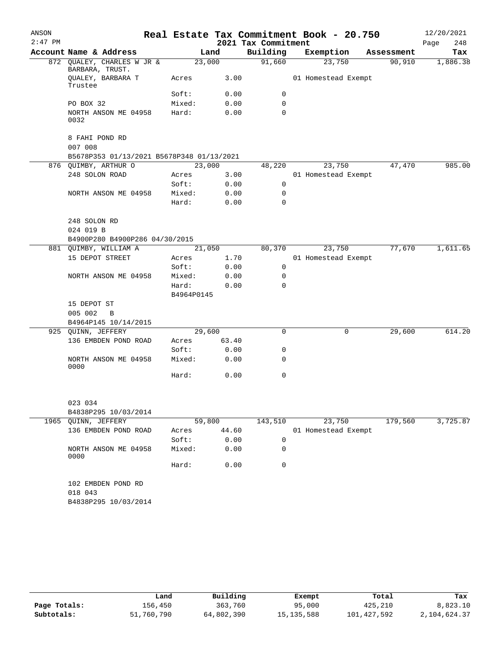| ANSON<br>$2:47$ PM |                                               |            |       | 2021 Tax Commitment | Real Estate Tax Commitment Book - 20.750 |            | 12/20/2021<br>248<br>Page |
|--------------------|-----------------------------------------------|------------|-------|---------------------|------------------------------------------|------------|---------------------------|
|                    | Account Name & Address                        |            | Land  | Building            | Exemption                                | Assessment | Tax                       |
|                    | 872 QUALEY, CHARLES W JR &<br>BARBARA, TRUST. | 23,000     |       | 91,660              | 23,750                                   | 90,910     | 1,886.38                  |
|                    | QUALEY, BARBARA T<br>Trustee                  | Acres      | 3.00  |                     | 01 Homestead Exempt                      |            |                           |
|                    |                                               | Soft:      | 0.00  | 0                   |                                          |            |                           |
|                    | PO BOX 32                                     | Mixed:     | 0.00  | $\mathbf 0$         |                                          |            |                           |
|                    | NORTH ANSON ME 04958<br>0032                  | Hard:      | 0.00  | 0                   |                                          |            |                           |
|                    | 8 FAHI POND RD<br>007 008                     |            |       |                     |                                          |            |                           |
|                    | B5678P353 01/13/2021 B5678P348 01/13/2021     |            |       |                     |                                          |            |                           |
|                    | 876 QUIMBY, ARTHUR O                          | 23,000     |       | 48,220              | 23,750                                   | 47,470     | 985.00                    |
|                    | 248 SOLON ROAD                                | Acres      | 3.00  |                     | 01 Homestead Exempt                      |            |                           |
|                    |                                               | Soft:      | 0.00  | 0                   |                                          |            |                           |
|                    | NORTH ANSON ME 04958                          | Mixed:     | 0.00  | $\mathbf 0$         |                                          |            |                           |
|                    |                                               | Hard:      | 0.00  | $\Omega$            |                                          |            |                           |
|                    | 248 SOLON RD<br>024 019 B                     |            |       |                     |                                          |            |                           |
|                    | B4900P280 B4900P286 04/30/2015                |            |       |                     |                                          |            |                           |
|                    | 881 QUIMBY, WILLIAM A                         | 21,050     |       | 80,370              | 23,750                                   | 77,670     | 1,611.65                  |
|                    | 15 DEPOT STREET                               | Acres      | 1.70  |                     | 01 Homestead Exempt                      |            |                           |
|                    |                                               | Soft:      | 0.00  | $\mathbf 0$         |                                          |            |                           |
|                    | NORTH ANSON ME 04958                          | Mixed:     | 0.00  | 0                   |                                          |            |                           |
|                    |                                               | Hard:      | 0.00  | 0                   |                                          |            |                           |
|                    |                                               | B4964P0145 |       |                     |                                          |            |                           |
|                    | 15 DEPOT ST                                   |            |       |                     |                                          |            |                           |
|                    | 005 002<br>B                                  |            |       |                     |                                          |            |                           |
|                    | B4964P145 10/14/2015                          |            |       |                     |                                          |            |                           |
|                    | 925 QUINN, JEFFERY                            | 29,600     |       | $\mathbf 0$         | $\mathbf 0$                              | 29,600     | 614.20                    |
|                    | 136 EMBDEN POND ROAD                          | Acres      | 63.40 |                     |                                          |            |                           |
|                    |                                               | Soft:      | 0.00  | 0                   |                                          |            |                           |
|                    | NORTH ANSON ME 04958<br>0000                  | Mixed:     | 0.00  | 0                   |                                          |            |                           |
|                    |                                               | Hard:      | 0.00  | 0                   |                                          |            |                           |
|                    | 023 034                                       |            |       |                     |                                          |            |                           |
|                    | B4838P295 10/03/2014                          |            |       |                     |                                          |            |                           |
|                    | 1965 QUINN, JEFFERY                           | 59,800     |       | 143,510             | 23,750                                   | 179,560    | 3,725.87                  |
|                    | 136 EMBDEN POND ROAD                          | Acres      | 44.60 |                     | 01 Homestead Exempt                      |            |                           |
|                    |                                               | Soft:      | 0.00  | 0                   |                                          |            |                           |
|                    | NORTH ANSON ME 04958<br>0000                  | Mixed:     | 0.00  | 0                   |                                          |            |                           |
|                    |                                               | Hard:      | 0.00  | 0                   |                                          |            |                           |
|                    | 102 EMBDEN POND RD                            |            |       |                     |                                          |            |                           |
|                    | 018 043                                       |            |       |                     |                                          |            |                           |
|                    | B4838P295 10/03/2014                          |            |       |                     |                                          |            |                           |

|              | Land       | Building   | Exempt       | Total       | Tax          |
|--------------|------------|------------|--------------|-------------|--------------|
| Page Totals: | 156,450    | 363,760    | 95,000       | 425,210     | 8,823.10     |
| Subtotals:   | 51,760,790 | 64,802,390 | 15, 135, 588 | 101,427,592 | 2,104,624.37 |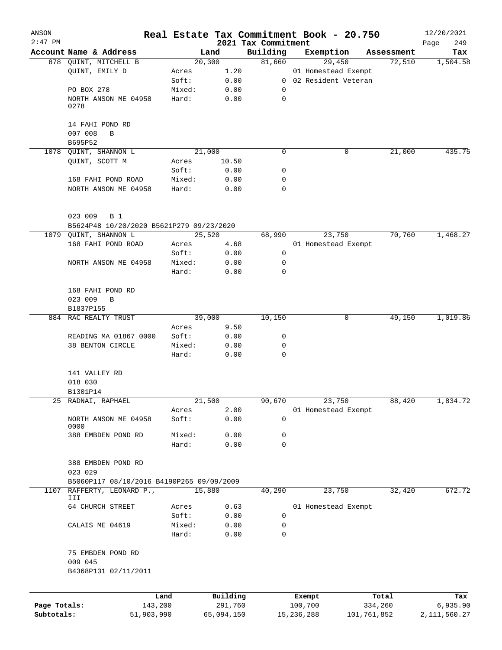| ANSON        |                                                 |                 |                     | Real Estate Tax Commitment Book - 20.750 |                       |             |                      | 12/20/2021      |
|--------------|-------------------------------------------------|-----------------|---------------------|------------------------------------------|-----------------------|-------------|----------------------|-----------------|
| $2:47$ PM    |                                                 |                 |                     | 2021 Tax Commitment                      |                       |             |                      | 249<br>Page     |
|              | Account Name & Address<br>878 QUINT, MITCHELL B |                 | Land<br>20,300      | Building<br>81,660                       | Exemption             | 29,450      | Assessment<br>72,510 | Tax<br>1,504.58 |
|              | QUINT, EMILY D                                  | Acres           | 1.20                |                                          | 01 Homestead Exempt   |             |                      |                 |
|              |                                                 | Soft:           | 0.00                |                                          | 0 02 Resident Veteran |             |                      |                 |
|              | PO BOX 278                                      | Mixed:          | 0.00                | 0                                        |                       |             |                      |                 |
|              | NORTH ANSON ME 04958                            | Hard:           | 0.00                | 0                                        |                       |             |                      |                 |
|              | 0278                                            |                 |                     |                                          |                       |             |                      |                 |
|              | 14 FAHI POND RD                                 |                 |                     |                                          |                       |             |                      |                 |
|              | 007 008<br>B                                    |                 |                     |                                          |                       |             |                      |                 |
|              | B695P52                                         |                 |                     |                                          |                       |             |                      |                 |
| 1078         | QUINT, SHANNON L                                |                 | 21,000              | 0                                        |                       | 0           | 21,000               | 435.75          |
|              | QUINT, SCOTT M                                  | Acres           | 10.50               |                                          |                       |             |                      |                 |
|              |                                                 | Soft:           | 0.00                | 0                                        |                       |             |                      |                 |
|              | 168 FAHI POND ROAD                              | Mixed:          | 0.00                | 0                                        |                       |             |                      |                 |
|              | NORTH ANSON ME 04958                            | Hard:           | 0.00                | 0                                        |                       |             |                      |                 |
|              | 023 009<br><b>B</b> 1                           |                 |                     |                                          |                       |             |                      |                 |
|              | B5624P48 10/20/2020 B5621P279 09/23/2020        |                 |                     |                                          |                       |             |                      |                 |
| 1079         | QUINT, SHANNON L                                |                 | 25,520              | 68,990                                   |                       | 23,750      | 70,760               | 1,468.27        |
|              |                                                 |                 |                     |                                          | 01 Homestead Exempt   |             |                      |                 |
|              | 168 FAHI POND ROAD                              | Acres           | 4.68                |                                          |                       |             |                      |                 |
|              |                                                 | Soft:           | 0.00                | 0                                        |                       |             |                      |                 |
|              | NORTH ANSON ME 04958                            | Mixed:          | 0.00                | 0                                        |                       |             |                      |                 |
|              |                                                 | Hard:           | 0.00                | 0                                        |                       |             |                      |                 |
|              | 168 FAHI POND RD                                |                 |                     |                                          |                       |             |                      |                 |
|              | 023 009<br>B                                    |                 |                     |                                          |                       |             |                      |                 |
|              | B1837P155                                       |                 |                     |                                          |                       |             |                      |                 |
| 884          | RAC REALTY TRUST                                |                 | 39,000              | 10,150                                   |                       | 0           | 49,150               | 1,019.86        |
|              |                                                 | Acres           | 9.50                |                                          |                       |             |                      |                 |
|              | READING MA 01867 0000                           | Soft:           | 0.00                | 0                                        |                       |             |                      |                 |
|              | 38 BENTON CIRCLE                                | Mixed:          | 0.00                | 0                                        |                       |             |                      |                 |
|              |                                                 | Hard:           | 0.00                | 0                                        |                       |             |                      |                 |
|              | 141 VALLEY RD                                   |                 |                     |                                          |                       |             |                      |                 |
|              | 018 030                                         |                 |                     |                                          |                       |             |                      |                 |
|              | B1301P14                                        |                 |                     |                                          |                       |             |                      |                 |
|              | 25 RADNAI, RAPHAEL                              |                 | 21,500              | 90,670                                   |                       | 23,750      | 88,420               | 1,834.72        |
|              |                                                 | Acres           | 2.00                |                                          | 01 Homestead Exempt   |             |                      |                 |
|              | NORTH ANSON ME 04958<br>0000                    | Soft:           | 0.00                | 0                                        |                       |             |                      |                 |
|              | 388 EMBDEN POND RD                              | Mixed:          | 0.00                | 0                                        |                       |             |                      |                 |
|              |                                                 | Hard:           | 0.00                | 0                                        |                       |             |                      |                 |
|              | 388 EMBDEN POND RD                              |                 |                     |                                          |                       |             |                      |                 |
|              | 023 029                                         |                 |                     |                                          |                       |             |                      |                 |
|              | B5060P117 08/10/2016 B4190P265 09/09/2009       |                 |                     |                                          |                       |             |                      |                 |
| 1107         | RAFFERTY, LEONARD P.,                           |                 | 15,880              | 40,290                                   |                       | 23,750      | 32,420               | 672.72          |
|              | III                                             |                 |                     |                                          |                       |             |                      |                 |
|              | 64 CHURCH STREET                                | Acres           | 0.63                |                                          | 01 Homestead Exempt   |             |                      |                 |
|              |                                                 | Soft:           | 0.00                | 0                                        |                       |             |                      |                 |
|              | CALAIS ME 04619                                 | Mixed:<br>Hard: | 0.00<br>0.00        | 0<br>0                                   |                       |             |                      |                 |
|              |                                                 |                 |                     |                                          |                       |             |                      |                 |
|              | 75 EMBDEN POND RD                               |                 |                     |                                          |                       |             |                      |                 |
|              | 009 045                                         |                 |                     |                                          |                       |             |                      |                 |
|              | B4368P131 02/11/2011                            |                 |                     |                                          |                       |             |                      |                 |
|              |                                                 |                 |                     |                                          |                       |             |                      |                 |
| Page Totals: | 143,200                                         | Land            | Building<br>291,760 |                                          | Exempt<br>100,700     |             | Total<br>334,260     | Tax<br>6,935.90 |
| Subtotals:   | 51,903,990                                      |                 | 65,094,150          |                                          | 15,236,288            | 101,761,852 |                      | 2, 111, 560. 27 |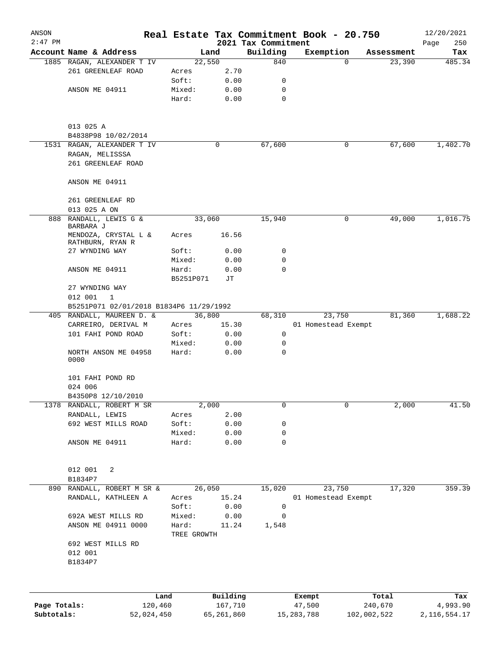| ANSON<br>$2:47$ PM |                                          |                 |             |               | 2021 Tax Commitment | Real Estate Tax Commitment Book - 20.750 |             | 12/20/2021<br>250<br>Page |
|--------------------|------------------------------------------|-----------------|-------------|---------------|---------------------|------------------------------------------|-------------|---------------------------|
|                    | Account Name & Address                   |                 | Land        |               | Building            | Exemption                                | Assessment  | Tax                       |
|                    | 1885 RAGAN, ALEXANDER T IV               |                 | 22,550      |               | 840                 | $\Omega$                                 | 23,390      | 485.34                    |
|                    | 261 GREENLEAF ROAD                       | Acres           |             | 2.70          |                     |                                          |             |                           |
|                    |                                          | Soft:           |             | 0.00          | 0                   |                                          |             |                           |
|                    | ANSON ME 04911                           | Mixed:          |             | 0.00          | 0                   |                                          |             |                           |
|                    |                                          | Hard:           |             | 0.00          | $\mathbf 0$         |                                          |             |                           |
|                    |                                          |                 |             |               |                     |                                          |             |                           |
|                    | 013 025 A                                |                 |             |               |                     |                                          |             |                           |
|                    | B4838P98 10/02/2014                      |                 |             |               |                     |                                          |             |                           |
|                    | 1531 RAGAN, ALEXANDER T IV               |                 |             | 0             | 67,600              | 0                                        | 67,600      | 1,402.70                  |
|                    | RAGAN, MELISSSA                          |                 |             |               |                     |                                          |             |                           |
|                    | 261 GREENLEAF ROAD                       |                 |             |               |                     |                                          |             |                           |
|                    | ANSON ME 04911                           |                 |             |               |                     |                                          |             |                           |
|                    | 261 GREENLEAF RD                         |                 |             |               |                     |                                          |             |                           |
|                    | 013 025 A ON                             |                 |             |               |                     |                                          |             |                           |
| 888                | RANDALL, LEWIS G &<br>BARBARA J          |                 | 33,060      |               | 15,940              | 0                                        | 49,000      | 1,016.75                  |
|                    | MENDOZA, CRYSTAL L &<br>RATHBURN, RYAN R | Acres           |             | 16.56         |                     |                                          |             |                           |
|                    | 27 WYNDING WAY                           | Soft:           |             | 0.00          | 0                   |                                          |             |                           |
|                    |                                          | Mixed:          |             | 0.00          | 0                   |                                          |             |                           |
|                    | ANSON ME 04911                           | Hard:           | B5251P071   | 0.00<br>JТ    | $\Omega$            |                                          |             |                           |
|                    | 27 WYNDING WAY                           |                 |             |               |                     |                                          |             |                           |
|                    | 012 001<br>1                             |                 |             |               |                     |                                          |             |                           |
|                    | B5251P071 02/01/2018 B1834P6 11/29/1992  |                 |             |               |                     |                                          |             |                           |
|                    | 405 RANDALL, MAUREEN D. &                |                 | 36,800      |               | 68, 310             | 23,750                                   | 81,360      | 1,688.22                  |
|                    | CARREIRO, DERIVAL M                      | Acres           |             | 15.30         |                     | 01 Homestead Exempt                      |             |                           |
|                    | 101 FAHI POND ROAD                       | Soft:           |             | 0.00          | 0                   |                                          |             |                           |
|                    |                                          | Mixed:          |             | 0.00          | 0                   |                                          |             |                           |
|                    | NORTH ANSON ME 04958<br>0000             | Hard:           |             | 0.00          | 0                   |                                          |             |                           |
|                    | 101 FAHI POND RD                         |                 |             |               |                     |                                          |             |                           |
|                    |                                          |                 |             |               |                     |                                          |             |                           |
|                    | 024 006                                  |                 |             |               |                     |                                          |             |                           |
|                    | B4350P8 12/10/2010                       |                 |             |               | 0                   | 0                                        |             | 41.50                     |
| 1378               | RANDALL, ROBERT M SR                     |                 | 2,000       |               |                     |                                          |             | 2,000                     |
|                    | RANDALL, LEWIS                           | Acres           |             | 2.00          |                     |                                          |             |                           |
|                    | 692 WEST MILLS ROAD                      | Soft:           |             | 0.00          | 0                   |                                          |             |                           |
|                    | ANSON ME 04911                           | Mixed:<br>Hard: |             | 0.00<br>0.00  | 0<br>0              |                                          |             |                           |
|                    |                                          |                 |             |               |                     |                                          |             |                           |
|                    | 012 001<br>2                             |                 |             |               |                     |                                          |             |                           |
|                    | B1834P7                                  |                 |             |               |                     |                                          |             |                           |
| 890                | RANDALL, ROBERT M SR &                   |                 | 26,050      |               | 15,020              | 23,750                                   | 17,320      | 359.39                    |
|                    | RANDALL, KATHLEEN A                      | Acres<br>Soft:  |             | 15.24<br>0.00 | 0                   | 01 Homestead Exempt                      |             |                           |
|                    | 692A WEST MILLS RD                       | Mixed:          |             | 0.00          | 0                   |                                          |             |                           |
|                    | ANSON ME 04911 0000                      | Hard:           |             | 11.24         | 1,548               |                                          |             |                           |
|                    |                                          |                 | TREE GROWTH |               |                     |                                          |             |                           |
|                    | 692 WEST MILLS RD                        |                 |             |               |                     |                                          |             |                           |
|                    | 012 001<br>B1834P7                       |                 |             |               |                     |                                          |             |                           |
|                    |                                          |                 |             |               |                     |                                          |             |                           |
|                    |                                          | Land            |             | Building      |                     | Exempt                                   | Total       | Tax                       |
| Page Totals:       |                                          | 120,460         |             | 167,710       |                     | 47,500                                   | 240,670     | 4,993.90                  |
| Subtotals:         | 52,024,450                               |                 |             | 65,261,860    |                     | 15, 283, 788                             | 102,002,522 | 2, 116, 554. 17           |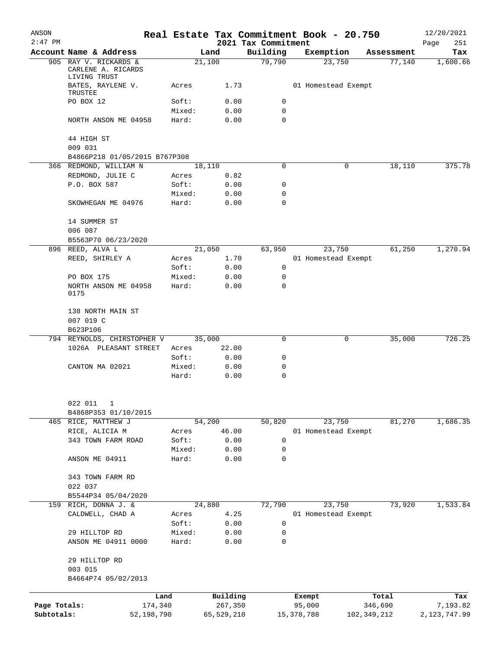| ANSON<br>$2:47$ PM |                                              |                 |              | 2021 Tax Commitment | Real Estate Tax Commitment Book - 20.750 |             | 12/20/2021<br>251<br>Page |
|--------------------|----------------------------------------------|-----------------|--------------|---------------------|------------------------------------------|-------------|---------------------------|
|                    | Account Name & Address                       |                 | Land         | Building            | Exemption                                | Assessment  | Tax                       |
|                    | 905 RAY V. RICKARDS &<br>CARLENE A. RICARDS  |                 | 21,100       | 79,790              | 23,750                                   | 77,140      | 1,600.66                  |
|                    | LIVING TRUST<br>BATES, RAYLENE V.<br>TRUSTEE | Acres           | 1.73         |                     | 01 Homestead Exempt                      |             |                           |
|                    | PO BOX 12                                    | Soft:           | 0.00         | 0                   |                                          |             |                           |
|                    |                                              | Mixed:          | 0.00         | $\mathbf 0$         |                                          |             |                           |
|                    | NORTH ANSON ME 04958                         | Hard:           | 0.00         | $\mathbf 0$         |                                          |             |                           |
|                    | 44 HIGH ST                                   |                 |              |                     |                                          |             |                           |
|                    | 009 031                                      |                 |              |                     |                                          |             |                           |
|                    | B4866P218 01/05/2015 B767P308                |                 |              |                     |                                          |             |                           |
|                    | 366 REDMOND, WILLIAM N                       |                 | 18,110       | $\Omega$            | 0                                        | 18,110      | 375.78                    |
|                    | REDMOND, JULIE C                             | Acres           | 0.82         |                     |                                          |             |                           |
|                    | P.O. BOX 587                                 | Soft:           | 0.00         | 0                   |                                          |             |                           |
|                    | SKOWHEGAN ME 04976                           | Mixed:<br>Hard: | 0.00<br>0.00 | 0<br>0              |                                          |             |                           |
|                    | 14 SUMMER ST                                 |                 |              |                     |                                          |             |                           |
|                    | 006 087<br>B5563P70 06/23/2020               |                 |              |                     |                                          |             |                           |
|                    | 896 REED, ALVA L                             |                 | 21,050       | 63,950              | 23,750                                   | 61,250      | 1,270.94                  |
|                    | REED, SHIRLEY A                              |                 | 1.70         |                     | 01 Homestead Exempt                      |             |                           |
|                    |                                              | Acres<br>Soft:  |              | $\mathsf{O}$        |                                          |             |                           |
|                    |                                              |                 | 0.00         | 0                   |                                          |             |                           |
|                    | PO BOX 175                                   | Mixed:          | 0.00         | 0                   |                                          |             |                           |
|                    | NORTH ANSON ME 04958<br>0175                 | Hard:           | 0.00         |                     |                                          |             |                           |
|                    | 138 NORTH MAIN ST<br>007 019 C<br>B623P106   |                 |              |                     |                                          |             |                           |
|                    | 794 REYNOLDS, CHIRSTOPHER V                  |                 | 35,000       | $\Omega$            | 0                                        | 35,000      | 726.25                    |
|                    | 1026A PLEASANT STREET                        | Acres           | 22.00        |                     |                                          |             |                           |
|                    |                                              | Soft:           | 0.00         | 0                   |                                          |             |                           |
|                    | CANTON MA 02021                              | Mixed:          | 0.00         | 0                   |                                          |             |                           |
|                    |                                              | Hard:           | 0.00         | 0                   |                                          |             |                           |
|                    | 022 011<br>1                                 |                 |              |                     |                                          |             |                           |
|                    | B4868P353 01/10/2015                         |                 |              |                     |                                          |             |                           |
|                    | 465 RICE, MATTHEW J                          |                 | 54,200       | 50,820              | 23,750                                   | 81,270      | 1,686.35                  |
|                    | RICE, ALICIA M                               | Acres           | 46.00        |                     | 01 Homestead Exempt                      |             |                           |
|                    | 343 TOWN FARM ROAD                           | Soft:           | 0.00         | 0                   |                                          |             |                           |
|                    |                                              | Mixed:          | 0.00         | 0                   |                                          |             |                           |
|                    | ANSON ME 04911                               | Hard:           | 0.00         | 0                   |                                          |             |                           |
|                    | 343 TOWN FARM RD<br>022 037                  |                 |              |                     |                                          |             |                           |
|                    | B5544P34 05/04/2020                          |                 |              |                     |                                          |             |                           |
| 159                | RICH, DONNA J. &                             |                 | 24,880       | 72,790              | 23,750                                   | 73,920      | 1,533.84                  |
|                    | CALDWELL, CHAD A                             | Acres           | 4.25         |                     | 01 Homestead Exempt                      |             |                           |
|                    |                                              | Soft:           | 0.00         | 0                   |                                          |             |                           |
|                    | 29 HILLTOP RD                                | Mixed:          | 0.00         | 0                   |                                          |             |                           |
|                    | ANSON ME 04911 0000                          | Hard:           | 0.00         | 0                   |                                          |             |                           |
|                    | 29 HILLTOP RD<br>003 015                     |                 |              |                     |                                          |             |                           |
|                    | B4664P74 05/02/2013                          |                 |              |                     |                                          |             |                           |
|                    |                                              |                 |              |                     |                                          |             |                           |
|                    |                                              | Land            | Building     |                     | Exempt                                   | Total       | Tax                       |
| Page Totals:       | 174,340                                      |                 | 267,350      |                     | 95,000                                   | 346,690     | 7,193.82                  |
| Subtotals:         | 52,198,790                                   |                 | 65,529,210   |                     | 15,378,788                               | 102,349,212 | 2,123,747.99              |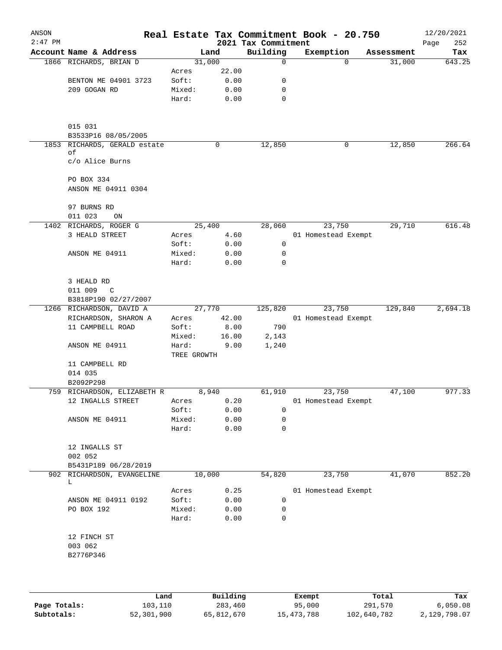| ANSON     |                                                  |                      |              |                         | Real Estate Tax Commitment Book - 20.750 |                      | 12/20/2021    |
|-----------|--------------------------------------------------|----------------------|--------------|-------------------------|------------------------------------------|----------------------|---------------|
| $2:47$ PM | Account Name & Address                           |                      |              | 2021 Tax Commitment     |                                          |                      | 252<br>Page   |
|           | 1866 RICHARDS, BRIAN D                           | 31,000               | Land         | Building<br>$\mathbf 0$ | Exemption<br>$\Omega$                    | Assessment<br>31,000 | Tax<br>643.25 |
|           |                                                  | Acres                | 22.00        |                         |                                          |                      |               |
|           | BENTON ME 04901 3723                             | Soft:                | 0.00         | 0                       |                                          |                      |               |
|           | 209 GOGAN RD                                     | Mixed:               | 0.00         | 0                       |                                          |                      |               |
|           |                                                  | Hard:                | 0.00         | 0                       |                                          |                      |               |
|           | 015 031                                          |                      |              |                         |                                          |                      |               |
|           | B3533P16 08/05/2005                              |                      |              |                         |                                          |                      |               |
|           | 1853 RICHARDS, GERALD estate<br>оf               |                      | 0            | 12,850                  | 0                                        | 12,850               | 266.64        |
|           | c/o Alice Burns                                  |                      |              |                         |                                          |                      |               |
|           | PO BOX 334                                       |                      |              |                         |                                          |                      |               |
|           | ANSON ME 04911 0304                              |                      |              |                         |                                          |                      |               |
|           | 97 BURNS RD                                      |                      |              |                         |                                          |                      |               |
|           | 011 023<br>ON                                    |                      |              |                         |                                          |                      |               |
|           | 1402 RICHARDS, ROGER G                           |                      | 25,400       | 28,060                  | 23,750                                   | 29,710               | 616.48        |
|           | 3 HEALD STREET                                   | Acres                | 4.60         |                         | 01 Homestead Exempt                      |                      |               |
|           |                                                  | Soft:                | 0.00         | 0                       |                                          |                      |               |
|           | ANSON ME 04911                                   | Mixed:<br>Hard:      | 0.00<br>0.00 | 0<br>0                  |                                          |                      |               |
|           | 3 HEALD RD                                       |                      |              |                         |                                          |                      |               |
|           | 011 009<br>$\mathbb{C}$                          |                      |              |                         |                                          |                      |               |
|           | B3818P190 02/27/2007<br>1266 RICHARDSON, DAVID A |                      | 27,770       | 125,820                 | 23,750                                   | 129,840              | 2,694.18      |
|           | RICHARDSON, SHARON A                             | Acres                | 42.00        |                         | 01 Homestead Exempt                      |                      |               |
|           | 11 CAMPBELL ROAD                                 | Soft:                | 8.00         | 790                     |                                          |                      |               |
|           |                                                  | Mixed:               | 16.00        | 2,143                   |                                          |                      |               |
|           | ANSON ME 04911                                   | Hard:<br>TREE GROWTH | 9.00         | 1,240                   |                                          |                      |               |
|           | 11 CAMPBELL RD                                   |                      |              |                         |                                          |                      |               |
|           | 014 035                                          |                      |              |                         |                                          |                      |               |
|           | B2092P298                                        |                      |              |                         |                                          |                      |               |
|           | 759 RICHARDSON, ELIZABETH R                      |                      | 8,940        | 61,910                  | 23,750                                   | 47,100               | 977.33        |
|           | 12 INGALLS STREET                                | Acres<br>Soft:       | 0.20<br>0.00 | 0                       | 01 Homestead Exempt                      |                      |               |
|           | ANSON ME 04911                                   | Mixed:               | 0.00         | 0                       |                                          |                      |               |
|           |                                                  | Hard:                | 0.00         | 0                       |                                          |                      |               |
|           | 12 INGALLS ST<br>002 052                         |                      |              |                         |                                          |                      |               |
|           | B5431P189 06/28/2019                             |                      |              |                         |                                          |                      |               |
| 902       | RICHARDSON, EVANGELINE<br>L                      | 10,000               |              | 54,820                  | 23,750                                   | 41,070               | 852.20        |
|           |                                                  | Acres                | 0.25         |                         | 01 Homestead Exempt                      |                      |               |
|           | ANSON ME 04911 0192                              | Soft:                | 0.00         | 0                       |                                          |                      |               |
|           | PO BOX 192                                       | Mixed:<br>Hard:      | 0.00<br>0.00 | 0<br>0                  |                                          |                      |               |
|           | 12 FINCH ST                                      |                      |              |                         |                                          |                      |               |
|           | 003 062                                          |                      |              |                         |                                          |                      |               |
|           | B2776P346                                        |                      |              |                         |                                          |                      |               |
|           |                                                  |                      |              |                         |                                          |                      |               |
|           |                                                  |                      |              |                         |                                          |                      |               |

|              | Land       | Building   | Exempt       | Total       | Tax          |
|--------------|------------|------------|--------------|-------------|--------------|
| Page Totals: | 103,110    | 283,460    | 95,000       | 291,570     | 6.050.08     |
| Subtotals:   | 52,301,900 | 65,812,670 | 15, 473, 788 | 102,640,782 | 2,129,798.07 |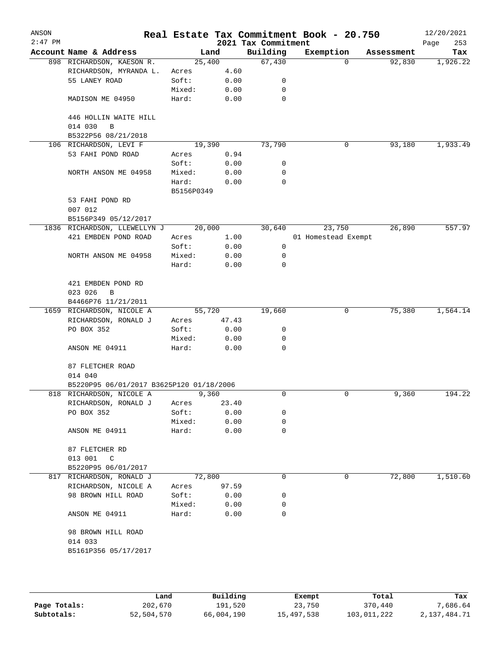| ANSON<br>$2:47$ PM |                                                 |                     |       | 2021 Tax Commitment | Real Estate Tax Commitment Book - 20.750 |            | 12/20/2021<br>Page<br>253 |
|--------------------|-------------------------------------------------|---------------------|-------|---------------------|------------------------------------------|------------|---------------------------|
|                    | Account Name & Address                          | Land                |       | Building            | Exemption                                | Assessment | Tax                       |
|                    | 898 RICHARDSON, KAESON R.                       | 25,400              |       | 67,430              | $\mathbf 0$                              | 92,830     | 1,926.22                  |
|                    | RICHARDSON, MYRANDA L.                          | Acres               | 4.60  |                     |                                          |            |                           |
|                    | 55 LANEY ROAD                                   | Soft:               | 0.00  | 0                   |                                          |            |                           |
|                    |                                                 | Mixed:              | 0.00  | 0                   |                                          |            |                           |
|                    | MADISON ME 04950                                | Hard:               | 0.00  | 0                   |                                          |            |                           |
|                    | 446 HOLLIN WAITE HILL<br>014 030<br>$\mathbf B$ |                     |       |                     |                                          |            |                           |
|                    | B5322P56 08/21/2018<br>106 RICHARDSON, LEVI F   | 19,390              |       | 73,790              | 0                                        | 93,180     | 1,933.49                  |
|                    | 53 FAHI POND ROAD                               | Acres               | 0.94  |                     |                                          |            |                           |
|                    |                                                 | Soft:               | 0.00  | 0                   |                                          |            |                           |
|                    | NORTH ANSON ME 04958                            | Mixed:              | 0.00  | 0                   |                                          |            |                           |
|                    |                                                 |                     |       | 0                   |                                          |            |                           |
|                    |                                                 | Hard:<br>B5156P0349 | 0.00  |                     |                                          |            |                           |
|                    | 53 FAHI POND RD                                 |                     |       |                     |                                          |            |                           |
|                    | 007 012                                         |                     |       |                     |                                          |            |                           |
|                    | B5156P349 05/12/2017                            |                     |       |                     |                                          |            |                           |
|                    | 1836 RICHARDSON, LLEWELLYN J                    | 20,000              |       | 30,640              | 23,750                                   | 26,890     | 557.97                    |
|                    | 421 EMBDEN POND ROAD                            | Acres               | 1.00  |                     | 01 Homestead Exempt                      |            |                           |
|                    |                                                 | Soft:               | 0.00  | 0                   |                                          |            |                           |
|                    | NORTH ANSON ME 04958                            | Mixed:              | 0.00  | 0                   |                                          |            |                           |
|                    |                                                 | Hard:               | 0.00  | 0                   |                                          |            |                           |
|                    |                                                 |                     |       |                     |                                          |            |                           |
|                    | 421 EMBDEN POND RD                              |                     |       |                     |                                          |            |                           |
|                    | 023 026<br>B                                    |                     |       |                     |                                          |            |                           |
|                    | B4466P76 11/21/2011                             |                     |       |                     |                                          |            |                           |
|                    | 1659 RICHARDSON, NICOLE A                       | 55,720              |       | 19,660              | 0                                        | 75,380     | 1,564.14                  |
|                    | RICHARDSON, RONALD J                            | Acres               | 47.43 |                     |                                          |            |                           |
|                    | PO BOX 352                                      | Soft:               | 0.00  | 0                   |                                          |            |                           |
|                    |                                                 | Mixed:              | 0.00  | 0                   |                                          |            |                           |
|                    | ANSON ME 04911                                  | Hard:               | 0.00  | 0                   |                                          |            |                           |
|                    | 87 FLETCHER ROAD                                |                     |       |                     |                                          |            |                           |
|                    | 014 040                                         |                     |       |                     |                                          |            |                           |
|                    | B5220P95 06/01/2017 B3625P120 01/18/2006        |                     |       |                     |                                          |            |                           |
|                    | 818 RICHARDSON, NICOLE A                        | 9,360               |       | 0                   | $\mathbf 0$                              | 9,360      | 194.22                    |
|                    | RICHARDSON, RONALD J                            | Acres               | 23.40 |                     |                                          |            |                           |
|                    | PO BOX 352                                      | Soft:               | 0.00  | 0                   |                                          |            |                           |
|                    |                                                 | Mixed:              | 0.00  | 0                   |                                          |            |                           |
|                    | ANSON ME 04911                                  | Hard:               | 0.00  | 0                   |                                          |            |                           |
|                    | 87 FLETCHER RD                                  |                     |       |                     |                                          |            |                           |
|                    | 013 001<br>$\mathbb{C}$                         |                     |       |                     |                                          |            |                           |
|                    | B5220P95 06/01/2017                             |                     |       |                     |                                          |            |                           |
|                    | 817 RICHARDSON, RONALD J                        | 72,800              |       | 0                   | 0                                        | 72,800     | 1,510.60                  |
|                    | RICHARDSON, NICOLE A                            | Acres               | 97.59 |                     |                                          |            |                           |
|                    | 98 BROWN HILL ROAD                              | Soft:               | 0.00  | 0                   |                                          |            |                           |
|                    |                                                 | Mixed:              | 0.00  | 0                   |                                          |            |                           |
|                    | ANSON ME 04911                                  | Hard:               | 0.00  | 0                   |                                          |            |                           |
|                    |                                                 |                     |       |                     |                                          |            |                           |
|                    | 98 BROWN HILL ROAD                              |                     |       |                     |                                          |            |                           |
|                    | 014 033                                         |                     |       |                     |                                          |            |                           |
|                    | B5161P356 05/17/2017                            |                     |       |                     |                                          |            |                           |
|                    |                                                 |                     |       |                     |                                          |            |                           |
|                    |                                                 |                     |       |                     |                                          |            |                           |

|              | Land       | Building   | Exempt     | Total       | Tax          |
|--------------|------------|------------|------------|-------------|--------------|
| Page Totals: | 202,670    | 191,520    | 23,750     | 370,440     | 7,686.64     |
| Subtotals:   | 52,504,570 | 66,004,190 | 15,497,538 | 103,011,222 | 2,137,484.71 |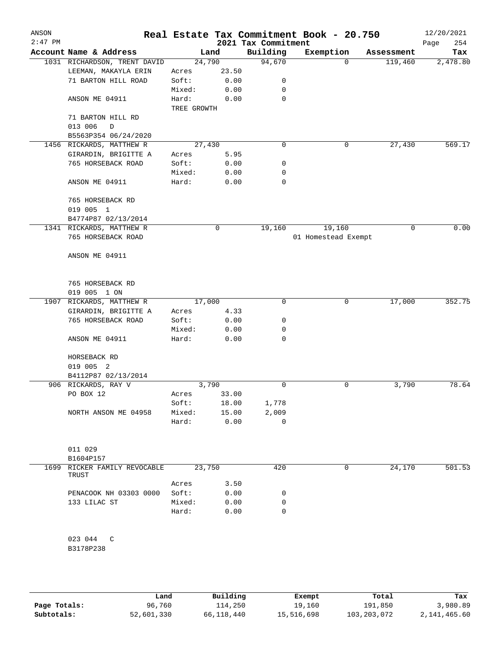| ANSON<br>$2:47$ PM |                              |             |       | 2021 Tax Commitment | Real Estate Tax Commitment Book - 20.750 |            | 12/20/2021<br>254<br>Page |
|--------------------|------------------------------|-------------|-------|---------------------|------------------------------------------|------------|---------------------------|
|                    | Account Name & Address       |             | Land  | Building            | Exemption                                | Assessment | Tax                       |
|                    | 1031 RICHARDSON, TRENT DAVID | 24,790      |       | 94,670              |                                          | $\Omega$   | 119,460<br>2,478.80       |
|                    | LEEMAN, MAKAYLA ERIN         | Acres       | 23.50 |                     |                                          |            |                           |
|                    | 71 BARTON HILL ROAD          | Soft:       | 0.00  | 0                   |                                          |            |                           |
|                    |                              | Mixed:      | 0.00  | 0                   |                                          |            |                           |
|                    | ANSON ME 04911               | Hard:       | 0.00  | 0                   |                                          |            |                           |
|                    |                              | TREE GROWTH |       |                     |                                          |            |                           |
|                    | 71 BARTON HILL RD            |             |       |                     |                                          |            |                           |
|                    | 013 006<br>D                 |             |       |                     |                                          |            |                           |
|                    | B5563P354 06/24/2020         |             |       |                     |                                          |            |                           |
|                    | 1456 RICKARDS, MATTHEW R     | 27,430      |       | 0                   |                                          | 0          | 569.17<br>27,430          |
|                    | GIRARDIN, BRIGITTE A         | Acres       | 5.95  |                     |                                          |            |                           |
|                    | 765 HORSEBACK ROAD           | Soft:       | 0.00  | 0                   |                                          |            |                           |
|                    |                              | Mixed:      | 0.00  | 0                   |                                          |            |                           |
|                    | ANSON ME 04911               | Hard:       | 0.00  | $\mathbf 0$         |                                          |            |                           |
|                    | 765 HORSEBACK RD             |             |       |                     |                                          |            |                           |
|                    | 019 005 1                    |             |       |                     |                                          |            |                           |
|                    | B4774P87 02/13/2014          |             |       |                     |                                          |            |                           |
|                    | 1341 RICKARDS, MATTHEW R     |             | 0     | 19,160              | 19,160                                   |            | 0.00<br>$\mathbf 0$       |
|                    | 765 HORSEBACK ROAD           |             |       |                     | 01 Homestead Exempt                      |            |                           |
|                    | ANSON ME 04911               |             |       |                     |                                          |            |                           |
|                    |                              |             |       |                     |                                          |            |                           |
|                    | 765 HORSEBACK RD             |             |       |                     |                                          |            |                           |
|                    | 019 005 1 ON                 |             |       |                     |                                          |            |                           |
|                    | 1907 RICKARDS, MATTHEW R     | 17,000      |       | 0                   |                                          | 0          | 17,000<br>352.75          |
|                    | GIRARDIN, BRIGITTE A         | Acres       | 4.33  |                     |                                          |            |                           |
|                    | 765 HORSEBACK ROAD           | Soft:       | 0.00  | 0                   |                                          |            |                           |
|                    |                              | Mixed:      | 0.00  | 0                   |                                          |            |                           |
|                    | ANSON ME 04911               | Hard:       | 0.00  | 0                   |                                          |            |                           |
|                    | HORSEBACK RD                 |             |       |                     |                                          |            |                           |
|                    | 019 005 2                    |             |       |                     |                                          |            |                           |
|                    | B4112P87 02/13/2014          |             |       |                     |                                          |            |                           |
|                    | 906 RICKARDS, RAY V          | 3,790       |       | 0                   |                                          | 0          | 78.64<br>3,790            |
|                    | PO BOX 12                    | Acres       | 33.00 |                     |                                          |            |                           |
|                    |                              | Soft:       | 18.00 | 1,778               |                                          |            |                           |
|                    | NORTH ANSON ME 04958         | Mixed:      | 15.00 | 2,009               |                                          |            |                           |
|                    |                              | Hard:       | 0.00  | $\mathbf 0$         |                                          |            |                           |
|                    |                              |             |       |                     |                                          |            |                           |
|                    | 011 029<br>B1604P157         |             |       |                     |                                          |            |                           |
|                    | 1699 RICKER FAMILY REVOCABLE | 23,750      |       | 420                 |                                          | 0          | 24,170<br>501.53          |
|                    | TRUST                        |             |       |                     |                                          |            |                           |
|                    |                              | Acres       | 3.50  |                     |                                          |            |                           |
|                    | PENACOOK NH 03303 0000       | Soft:       | 0.00  | 0                   |                                          |            |                           |
|                    | 133 LILAC ST                 | Mixed:      | 0.00  | 0                   |                                          |            |                           |
|                    |                              | Hard:       | 0.00  | 0                   |                                          |            |                           |
|                    | 023 044<br>C<br>B3178P238    |             |       |                     |                                          |            |                           |
|                    |                              |             |       |                     |                                          |            |                           |

|              | Land       | Building   | Exempt     | Total         | Tax          |
|--------------|------------|------------|------------|---------------|--------------|
| Page Totals: | 96,760     | 114,250    | 19,160     | 191,850       | 3,980.89     |
| Subtotals:   | 52,601,330 | 66,118,440 | 15,516,698 | 103, 203, 072 | 2,141,465.60 |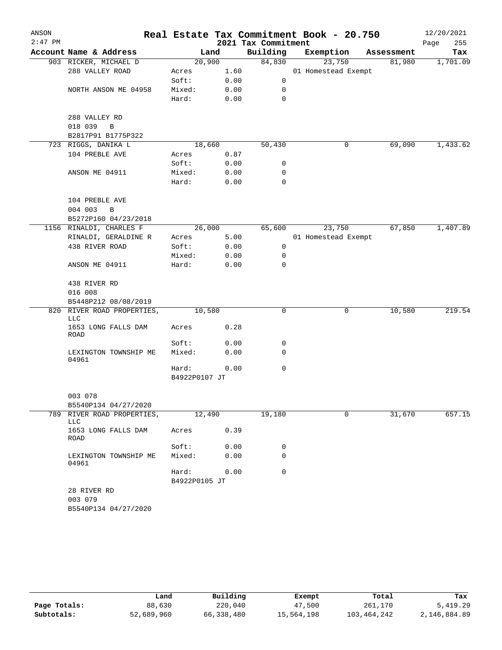| ANSON     |                                   |               |      |                     | Real Estate Tax Commitment Book - 20.750 |            | 12/20/2021  |
|-----------|-----------------------------------|---------------|------|---------------------|------------------------------------------|------------|-------------|
| $2:47$ PM |                                   |               |      | 2021 Tax Commitment |                                          |            | 255<br>Page |
|           | Account Name & Address            |               | Land | Building            | Exemption                                | Assessment | Tax         |
|           | 903 RICKER, MICHAEL D             | 20,900        |      | 84,830              | 23,750                                   | 81,980     | 1,701.09    |
|           | 288 VALLEY ROAD                   | Acres         | 1.60 |                     | 01 Homestead Exempt                      |            |             |
|           |                                   | Soft:         | 0.00 | $\mathbf 0$         |                                          |            |             |
|           | NORTH ANSON ME 04958              | Mixed:        | 0.00 | 0                   |                                          |            |             |
|           |                                   | Hard:         | 0.00 | 0                   |                                          |            |             |
|           | 288 VALLEY RD                     |               |      |                     |                                          |            |             |
|           | 018 039<br>$\overline{B}$         |               |      |                     |                                          |            |             |
|           | B2817P91 B1775P322                |               |      |                     |                                          |            |             |
|           | 723 RIGGS, DANIKA L               | 18,660        |      | 50,430              | 0                                        | 69,090     | 1,433.62    |
|           | 104 PREBLE AVE                    | Acres         | 0.87 |                     |                                          |            |             |
|           |                                   | Soft:         | 0.00 | 0                   |                                          |            |             |
|           | ANSON ME 04911                    | Mixed:        | 0.00 | 0                   |                                          |            |             |
|           |                                   | Hard:         | 0.00 | $\mathbf 0$         |                                          |            |             |
|           | 104 PREBLE AVE                    |               |      |                     |                                          |            |             |
|           | 004 003<br>$\, {\bf B}$           |               |      |                     |                                          |            |             |
|           | B5272P160 04/23/2018              |               |      |                     |                                          |            |             |
|           | 1156 RINALDI, CHARLES F           | 26,000        |      | 65,600              | 23,750                                   | 67,850     | 1,407.89    |
|           | RINALDI, GERALDINE R              | Acres         | 5.00 |                     | 01 Homestead Exempt                      |            |             |
|           | 438 RIVER ROAD                    | Soft:         | 0.00 | 0                   |                                          |            |             |
|           |                                   | Mixed:        | 0.00 | 0                   |                                          |            |             |
|           | ANSON ME 04911                    | Hard:         | 0.00 | 0                   |                                          |            |             |
|           | 438 RIVER RD                      |               |      |                     |                                          |            |             |
|           | 016 008                           |               |      |                     |                                          |            |             |
|           | B5448P212 08/08/2019              |               |      |                     |                                          |            |             |
|           | 820 RIVER ROAD PROPERTIES,<br>LLC | 10,580        |      | 0                   | 0                                        | 10,580     | 219.54      |
|           | 1653 LONG FALLS DAM<br>ROAD       | Acres         | 0.28 |                     |                                          |            |             |
|           |                                   | Soft:         | 0.00 | 0                   |                                          |            |             |
|           | LEXINGTON TOWNSHIP ME<br>04961    | Mixed:        | 0.00 | 0                   |                                          |            |             |
|           |                                   | Hard:         | 0.00 | $\mathbf 0$         |                                          |            |             |
|           |                                   | B4922P0107 JT |      |                     |                                          |            |             |
|           | 003 078                           |               |      |                     |                                          |            |             |
|           | B5540P134 04/27/2020              |               |      |                     |                                          |            |             |
|           | 789 RIVER ROAD PROPERTIES,<br>LLC | 12,490        |      | 19,180              | 0                                        | 31,670     | 657.15      |
|           | 1653 LONG FALLS DAM<br>ROAD       | Acres         | 0.39 |                     |                                          |            |             |
|           |                                   | Soft:         | 0.00 | 0                   |                                          |            |             |
|           | LEXINGTON TOWNSHIP ME<br>04961    | Mixed:        | 0.00 | 0                   |                                          |            |             |
|           |                                   | Hard:         | 0.00 | 0                   |                                          |            |             |
|           |                                   | B4922P0105 JT |      |                     |                                          |            |             |
|           | 28 RIVER RD<br>003 079            |               |      |                     |                                          |            |             |
|           | B5540P134 04/27/2020              |               |      |                     |                                          |            |             |

|              | Land       | Building   | Exempt     | Total       | Tax          |
|--------------|------------|------------|------------|-------------|--------------|
| Page Totals: | 88,630     | 220,040    | 47,500     | 261,170     | 5,419.29     |
| Subtotals:   | 52,689,960 | 66,338,480 | 15,564,198 | 103,464,242 | 2,146,884.89 |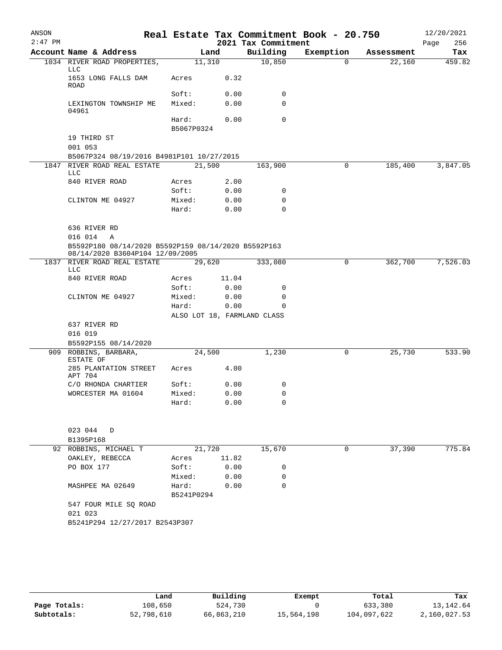| ANSON<br>$2:47$ PM |                                                                                                        |                             |               | 2021 Tax Commitment | Real Estate Tax Commitment Book - 20.750 |            | 12/20/2021<br>Page<br>256 |
|--------------------|--------------------------------------------------------------------------------------------------------|-----------------------------|---------------|---------------------|------------------------------------------|------------|---------------------------|
|                    | Account Name & Address                                                                                 | Land                        |               | Building            | Exemption                                | Assessment | Tax                       |
|                    | 1034 RIVER ROAD PROPERTIES,<br>LLC                                                                     | 11,310                      |               | 10,850              | $\Omega$                                 | 22,160     | 459.82                    |
|                    | 1653 LONG FALLS DAM<br>ROAD                                                                            | Acres                       | 0.32          |                     |                                          |            |                           |
|                    |                                                                                                        | Soft:                       | 0.00          | 0                   |                                          |            |                           |
|                    | LEXINGTON TOWNSHIP ME<br>04961                                                                         | Mixed:                      | 0.00          | 0                   |                                          |            |                           |
|                    |                                                                                                        | Hard:<br>B5067P0324         | 0.00          | 0                   |                                          |            |                           |
|                    | 19 THIRD ST<br>001 053                                                                                 |                             |               |                     |                                          |            |                           |
|                    | B5067P324 08/19/2016 B4981P101 10/27/2015                                                              |                             |               |                     |                                          |            |                           |
| 1847               | RIVER ROAD REAL ESTATE<br>LLC                                                                          | 21,500                      |               | 163,900             | 0                                        | 185,400    | 3,847.05                  |
|                    | 840 RIVER ROAD                                                                                         | Acres                       | 2.00          |                     |                                          |            |                           |
|                    |                                                                                                        | Soft:                       | 0.00          | 0                   |                                          |            |                           |
|                    | CLINTON ME 04927                                                                                       | Mixed:                      | 0.00          | 0                   |                                          |            |                           |
|                    |                                                                                                        | Hard:                       | 0.00          | 0                   |                                          |            |                           |
|                    | 636 RIVER RD                                                                                           |                             |               |                     |                                          |            |                           |
|                    | 016 014<br>A<br>B5592P180 08/14/2020 B5592P159 08/14/2020 B5592P163<br>08/14/2020 B3604P104 12/09/2005 |                             |               |                     |                                          |            |                           |
|                    | 1837 RIVER ROAD REAL ESTATE<br>LLC                                                                     | 29,620                      |               | 333,080             | 0                                        | 362,700    | 7,526.03                  |
|                    | 840 RIVER ROAD                                                                                         | Acres<br>Soft:              | 11.04<br>0.00 | 0                   |                                          |            |                           |
|                    | CLINTON ME 04927                                                                                       | Mixed:                      | 0.00          | 0                   |                                          |            |                           |
|                    |                                                                                                        | Hard:                       | 0.00          | $\Omega$            |                                          |            |                           |
|                    |                                                                                                        | ALSO LOT 18, FARMLAND CLASS |               |                     |                                          |            |                           |
|                    | 637 RIVER RD                                                                                           |                             |               |                     |                                          |            |                           |
|                    | 016 019                                                                                                |                             |               |                     |                                          |            |                           |
|                    | B5592P155 08/14/2020                                                                                   |                             |               |                     |                                          |            |                           |
|                    | 909 ROBBINS, BARBARA,<br>ESTATE OF                                                                     | 24,500                      |               | 1,230               | 0                                        | 25,730     | 533.90                    |
|                    | 285 PLANTATION STREET<br>APT 704                                                                       | Acres                       | 4.00          |                     |                                          |            |                           |
|                    | C/O RHONDA CHARTIER                                                                                    | Soft:                       | 0.00          | 0                   |                                          |            |                           |
|                    | WORCESTER MA 01604                                                                                     | Mixed:                      | 0.00          | 0                   |                                          |            |                           |
|                    |                                                                                                        | Hard:                       | 0.00          | 0                   |                                          |            |                           |
|                    | 023 044<br>D                                                                                           |                             |               |                     |                                          |            |                           |
|                    | B1395P168                                                                                              |                             |               |                     |                                          |            |                           |
|                    | 92 ROBBINS, MICHAEL T                                                                                  | 21,720                      |               | 15,670              | 0                                        | 37,390     | 775.84                    |
|                    | OAKLEY, REBECCA                                                                                        | Acres                       | 11.82         |                     |                                          |            |                           |
|                    | PO BOX 177                                                                                             | Soft:                       | 0.00          | 0                   |                                          |            |                           |
|                    |                                                                                                        | Mixed:                      | 0.00          | 0                   |                                          |            |                           |
|                    | MASHPEE MA 02649                                                                                       | Hard:                       | 0.00          | 0                   |                                          |            |                           |
|                    |                                                                                                        | B5241P0294                  |               |                     |                                          |            |                           |
|                    | 547 FOUR MILE SQ ROAD                                                                                  |                             |               |                     |                                          |            |                           |
|                    | 021 023                                                                                                |                             |               |                     |                                          |            |                           |
|                    | B5241P294 12/27/2017 B2543P307                                                                         |                             |               |                     |                                          |            |                           |
|                    |                                                                                                        |                             |               |                     |                                          |            |                           |
|                    |                                                                                                        |                             |               |                     |                                          |            |                           |

|              | Land       | Building   | Exempt     | Total       | Tax          |
|--------------|------------|------------|------------|-------------|--------------|
| Page Totals: | 108,650    | 524,730    |            | 633,380     | 13, 142.64   |
| Subtotals:   | 52,798,610 | 66,863,210 | 15,564,198 | 104,097,622 | 2,160,027.53 |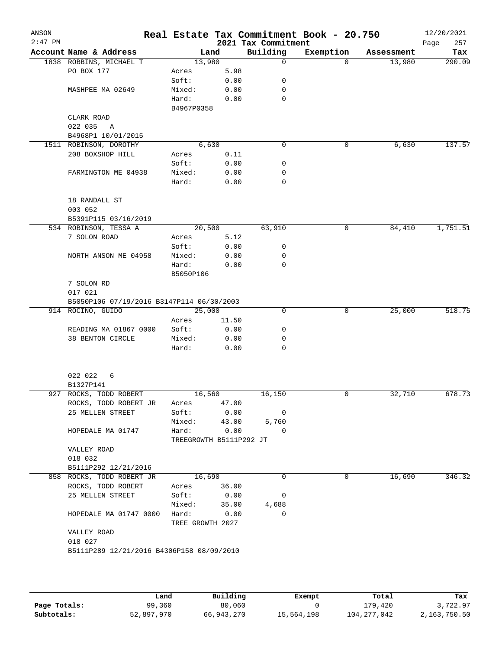| ANSON<br>$2:47$ PM |                                           |                         |       | 2021 Tax Commitment | Real Estate Tax Commitment Book - 20.750 |            | 12/20/2021<br>257<br>Page |
|--------------------|-------------------------------------------|-------------------------|-------|---------------------|------------------------------------------|------------|---------------------------|
|                    | Account Name & Address                    |                         | Land  | Building            | Exemption                                | Assessment | Tax                       |
|                    | 1838 ROBBINS, MICHAEL T                   | 13,980                  |       | 0                   | $\Omega$                                 | 13,980     | 290.09                    |
|                    | PO BOX 177                                | Acres                   | 5.98  |                     |                                          |            |                           |
|                    |                                           | Soft:                   | 0.00  | 0                   |                                          |            |                           |
|                    | MASHPEE MA 02649                          | Mixed:                  | 0.00  | 0                   |                                          |            |                           |
|                    |                                           | Hard:                   | 0.00  | 0                   |                                          |            |                           |
|                    |                                           | B4967P0358              |       |                     |                                          |            |                           |
|                    | CLARK ROAD                                |                         |       |                     |                                          |            |                           |
|                    | 022 035<br>A                              |                         |       |                     |                                          |            |                           |
|                    | B4968P1 10/01/2015                        |                         |       |                     |                                          |            |                           |
|                    | 1511 ROBINSON, DOROTHY                    |                         | 6,630 | 0                   | 0                                        | 6,630      | 137.57                    |
|                    | 208 BOXSHOP HILL                          | Acres                   | 0.11  |                     |                                          |            |                           |
|                    |                                           | Soft:                   | 0.00  | 0                   |                                          |            |                           |
|                    | FARMINGTON ME 04938                       | Mixed:                  | 0.00  | 0                   |                                          |            |                           |
|                    |                                           | Hard:                   | 0.00  | 0                   |                                          |            |                           |
|                    |                                           |                         |       |                     |                                          |            |                           |
|                    | 18 RANDALL ST                             |                         |       |                     |                                          |            |                           |
|                    | 003 052                                   |                         |       |                     |                                          |            |                           |
|                    | B5391P115 03/16/2019                      |                         |       |                     |                                          |            |                           |
|                    | 534 ROBINSON, TESSA A                     | 20,500                  |       | 63,910              | 0                                        | 84,410     | 1,751.51                  |
|                    | 7 SOLON ROAD                              | Acres                   | 5.12  |                     |                                          |            |                           |
|                    |                                           | Soft:                   | 0.00  | 0                   |                                          |            |                           |
|                    | NORTH ANSON ME 04958                      | Mixed:                  | 0.00  | 0                   |                                          |            |                           |
|                    |                                           | Hard:                   | 0.00  | 0                   |                                          |            |                           |
|                    |                                           | B5050P106               |       |                     |                                          |            |                           |
|                    | 7 SOLON RD                                |                         |       |                     |                                          |            |                           |
|                    | 017 021                                   |                         |       |                     |                                          |            |                           |
|                    | B5050P106 07/19/2016 B3147P114 06/30/2003 |                         |       |                     |                                          |            |                           |
|                    | 914 ROCINO, GUIDO                         | 25,000                  |       | 0                   | 0                                        | 25,000     | 518.75                    |
|                    |                                           | Acres                   | 11.50 |                     |                                          |            |                           |
|                    | READING MA 01867 0000                     | Soft:                   | 0.00  | 0                   |                                          |            |                           |
|                    | 38 BENTON CIRCLE                          | Mixed:                  | 0.00  | 0                   |                                          |            |                           |
|                    |                                           | Hard:                   | 0.00  | 0                   |                                          |            |                           |
|                    | 022 022<br>6                              |                         |       |                     |                                          |            |                           |
|                    | B1327P141                                 |                         |       |                     |                                          |            |                           |
|                    | 927 ROCKS, TODD ROBERT                    | 16,560                  |       | 16,150              | 0                                        | 32,710     | 678.73                    |
|                    | ROCKS, TODD ROBERT JR                     | Acres                   | 47.00 |                     |                                          |            |                           |
|                    | 25 MELLEN STREET                          | Soft:                   | 0.00  | 0                   |                                          |            |                           |
|                    |                                           | Mixed:                  | 43.00 | 5,760               |                                          |            |                           |
|                    | HOPEDALE MA 01747                         | Hard:                   | 0.00  | 0                   |                                          |            |                           |
|                    |                                           | TREEGROWTH B5111P292 JT |       |                     |                                          |            |                           |
|                    | VALLEY ROAD                               |                         |       |                     |                                          |            |                           |
|                    | 018 032                                   |                         |       |                     |                                          |            |                           |
|                    | B5111P292 12/21/2016                      |                         |       |                     |                                          |            |                           |
|                    | 858 ROCKS, TODD ROBERT JR                 | 16,690                  |       | $\Omega$            | 0                                        | 16,690     | 346.32                    |
|                    | ROCKS, TODD ROBERT                        | Acres                   | 36.00 |                     |                                          |            |                           |
|                    | 25 MELLEN STREET                          | Soft:                   | 0.00  | 0                   |                                          |            |                           |
|                    |                                           | Mixed:                  | 35.00 | 4,688               |                                          |            |                           |
|                    | HOPEDALE MA 01747 0000                    | Hard:                   | 0.00  | 0                   |                                          |            |                           |
|                    |                                           | TREE GROWTH 2027        |       |                     |                                          |            |                           |
|                    | VALLEY ROAD                               |                         |       |                     |                                          |            |                           |
|                    | 018 027                                   |                         |       |                     |                                          |            |                           |
|                    | B5111P289 12/21/2016 B4306P158 08/09/2010 |                         |       |                     |                                          |            |                           |
|                    |                                           |                         |       |                     |                                          |            |                           |
|                    |                                           |                         |       |                     |                                          |            |                           |
|                    |                                           |                         |       |                     |                                          |            |                           |

|              | Land       | Building   | Exempt     | Total         | Tax          |
|--------------|------------|------------|------------|---------------|--------------|
| Page Totals: | 99,360     | 80,060     |            | 179.420       | 3,722.97     |
| Subtotals:   | 52,897,970 | 66,943,270 | 15,564,198 | 104, 277, 042 | 2,163,750.50 |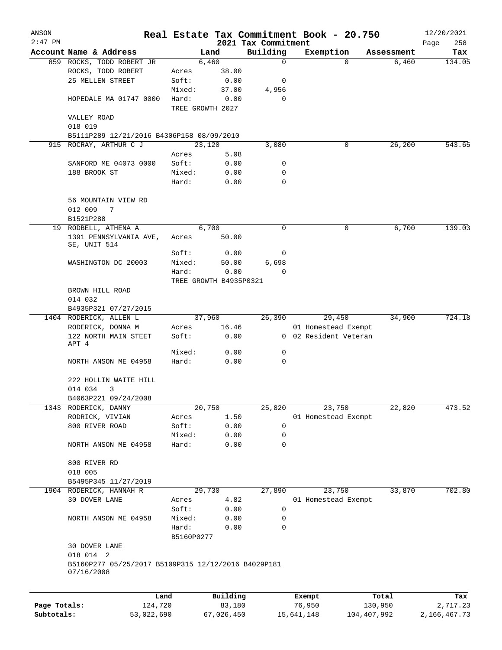| ANSON        |                                                                                |                 |            |                        |                     | Real Estate Tax Commitment Book - 20.750 |                     | 12/20/2021      |
|--------------|--------------------------------------------------------------------------------|-----------------|------------|------------------------|---------------------|------------------------------------------|---------------------|-----------------|
| $2:47$ PM    |                                                                                |                 |            |                        | 2021 Tax Commitment |                                          |                     | Page<br>258     |
|              | Account Name & Address<br>859 ROCKS, TODD ROBERT JR                            |                 |            | Land<br>6,460          | Building<br>0       | Exemption<br>$\Omega$                    | Assessment<br>6,460 | Tax<br>134.05   |
|              | ROCKS, TODD ROBERT                                                             |                 | Acres      | 38.00                  |                     |                                          |                     |                 |
|              | 25 MELLEN STREET                                                               |                 | Soft:      | 0.00                   | 0                   |                                          |                     |                 |
|              |                                                                                |                 | Mixed:     | 37.00                  | 4,956               |                                          |                     |                 |
|              | HOPEDALE MA 01747 0000                                                         |                 | Hard:      | 0.00                   | 0                   |                                          |                     |                 |
|              |                                                                                |                 |            | TREE GROWTH 2027       |                     |                                          |                     |                 |
|              | VALLEY ROAD                                                                    |                 |            |                        |                     |                                          |                     |                 |
|              | 018 019                                                                        |                 |            |                        |                     |                                          |                     |                 |
|              | B5111P289 12/21/2016 B4306P158 08/09/2010                                      |                 |            |                        |                     |                                          |                     |                 |
| 915          | ROCRAY, ARTHUR C J                                                             |                 |            | 23,120                 | 3,080               | 0                                        | 26,200              | 543.65          |
|              |                                                                                |                 | Acres      | 5.08                   |                     |                                          |                     |                 |
|              | SANFORD ME 04073 0000                                                          |                 | Soft:      | 0.00                   | 0                   |                                          |                     |                 |
|              | 188 BROOK ST                                                                   |                 | Mixed:     | 0.00                   | 0                   |                                          |                     |                 |
|              |                                                                                |                 | Hard:      | 0.00                   | $\Omega$            |                                          |                     |                 |
|              | 56 MOUNTAIN VIEW RD                                                            |                 |            |                        |                     |                                          |                     |                 |
|              | 012 009<br>7                                                                   |                 |            |                        |                     |                                          |                     |                 |
|              | B1521P288                                                                      |                 |            |                        |                     |                                          |                     |                 |
|              | 19 RODBELL, ATHENA A                                                           |                 |            | 6,700                  | 0                   | 0                                        | 6,700               | 139.03          |
|              | 1391 PENNSYLVANIA AVE,<br>SE, UNIT 514                                         |                 | Acres      | 50.00                  |                     |                                          |                     |                 |
|              |                                                                                |                 | Soft:      | 0.00                   | 0                   |                                          |                     |                 |
|              | WASHINGTON DC 20003                                                            |                 | Mixed:     | 50.00                  | 6,698               |                                          |                     |                 |
|              |                                                                                |                 | Hard:      | 0.00                   | $\Omega$            |                                          |                     |                 |
|              |                                                                                |                 |            | TREE GROWTH B4935P0321 |                     |                                          |                     |                 |
|              | BROWN HILL ROAD                                                                |                 |            |                        |                     |                                          |                     |                 |
|              | 014 032                                                                        |                 |            |                        |                     |                                          |                     |                 |
|              | B4935P321 07/27/2015                                                           |                 |            |                        |                     |                                          |                     |                 |
|              | 1404 RODERICK, ALLEN L                                                         |                 |            | 37,960                 | 26,390              | 29,450                                   | 34,900              | 724.18          |
|              | RODERICK, DONNA M                                                              |                 | Acres      | 16.46                  |                     | 01 Homestead Exempt                      |                     |                 |
|              | 122 NORTH MAIN STEET                                                           |                 | Soft:      | 0.00                   |                     | 0 02 Resident Veteran                    |                     |                 |
|              | APT 4                                                                          |                 |            |                        |                     |                                          |                     |                 |
|              |                                                                                |                 | Mixed:     | 0.00                   | 0                   |                                          |                     |                 |
|              | NORTH ANSON ME 04958                                                           |                 | Hard:      | 0.00                   | 0                   |                                          |                     |                 |
|              | 222 HOLLIN WAITE HILL                                                          |                 |            |                        |                     |                                          |                     |                 |
|              | 014 034<br>3                                                                   |                 |            |                        |                     |                                          |                     |                 |
|              | B4063P221 09/24/2008                                                           |                 |            |                        |                     |                                          |                     |                 |
| 1343         | RODERICK, DANNY                                                                |                 |            | 20,750                 | 25,820              | 23,750                                   | 22,820              | 473.52          |
|              | RODRICK, VIVIAN                                                                |                 | Acres      | 1.50                   |                     | 01 Homestead Exempt                      |                     |                 |
|              | 800 RIVER ROAD                                                                 |                 | Soft:      | 0.00                   | 0                   |                                          |                     |                 |
|              |                                                                                |                 | Mixed:     | 0.00                   | 0                   |                                          |                     |                 |
|              | NORTH ANSON ME 04958                                                           |                 | Hard:      | 0.00                   | 0                   |                                          |                     |                 |
|              | 800 RIVER RD                                                                   |                 |            |                        |                     |                                          |                     |                 |
|              | 018 005                                                                        |                 |            |                        |                     |                                          |                     |                 |
|              | B5495P345 11/27/2019                                                           |                 |            |                        |                     |                                          |                     |                 |
|              | 1904 RODERICK, HANNAH R                                                        |                 |            | 29,730                 | 27,890              | 23,750                                   | 33,870              | 702.80          |
|              | 30 DOVER LANE                                                                  |                 | Acres      | 4.82                   |                     | 01 Homestead Exempt                      |                     |                 |
|              |                                                                                |                 | Soft:      | 0.00                   | 0                   |                                          |                     |                 |
|              | NORTH ANSON ME 04958                                                           |                 | Mixed:     | 0.00                   | 0                   |                                          |                     |                 |
|              |                                                                                |                 | Hard:      | 0.00                   | 0                   |                                          |                     |                 |
|              |                                                                                |                 | B5160P0277 |                        |                     |                                          |                     |                 |
|              | 30 DOVER LANE                                                                  |                 |            |                        |                     |                                          |                     |                 |
|              | 018 014 2<br>B5160P277 05/25/2017 B5109P315 12/12/2016 B4029P181<br>07/16/2008 |                 |            |                        |                     |                                          |                     |                 |
|              |                                                                                |                 |            | Building               |                     |                                          |                     |                 |
| Page Totals: |                                                                                | Land<br>124,720 |            | 83,180                 |                     | Exempt<br>76,950                         | Total<br>130,950    | Tax<br>2,717.23 |
| Subtotals:   |                                                                                | 53,022,690      |            | 67,026,450             |                     | 15,641,148                               | 104,407,992         | 2, 166, 467. 73 |
|              |                                                                                |                 |            |                        |                     |                                          |                     |                 |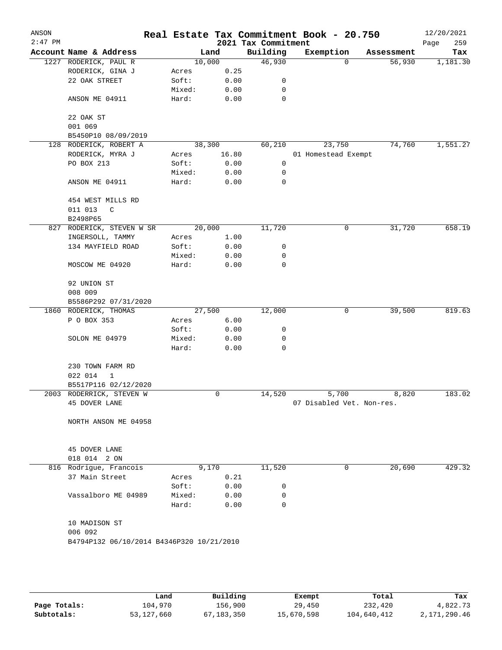| ANSON<br>$2:47$ PM |                                           |                 |              | 2021 Tax Commitment | Real Estate Tax Commitment Book - 20.750 |            | 12/20/2021<br>259<br>Page |
|--------------------|-------------------------------------------|-----------------|--------------|---------------------|------------------------------------------|------------|---------------------------|
|                    | Account Name & Address                    |                 | Land         | Building            | Exemption                                | Assessment | Tax                       |
| 1227               | RODERICK, PAUL R                          |                 | 10,000       | 46,930              | $\mathbf 0$                              | 56,930     | 1,181.30                  |
|                    | RODERICK, GINA J                          | Acres           | 0.25         |                     |                                          |            |                           |
|                    | 22 OAK STREET                             | Soft:           | 0.00         | 0                   |                                          |            |                           |
|                    |                                           | Mixed:          | 0.00         | 0                   |                                          |            |                           |
|                    | ANSON ME 04911                            | Hard:           | 0.00         | 0                   |                                          |            |                           |
|                    | 22 OAK ST                                 |                 |              |                     |                                          |            |                           |
|                    | 001 069                                   |                 |              |                     |                                          |            |                           |
|                    | B5450P10 08/09/2019                       |                 |              |                     |                                          |            |                           |
|                    | 128 RODERICK, ROBERT A                    |                 | 38,300       | 60,210              | 23,750                                   | 74,760     | 1,551.27                  |
|                    | RODERICK, MYRA J                          | Acres           | 16.80        |                     | 01 Homestead Exempt                      |            |                           |
|                    | PO BOX 213                                | Soft:           | 0.00         | 0                   |                                          |            |                           |
|                    |                                           | Mixed:          | 0.00         | 0                   |                                          |            |                           |
|                    | ANSON ME 04911                            | Hard:           | 0.00         | 0                   |                                          |            |                           |
|                    | 454 WEST MILLS RD                         |                 |              |                     |                                          |            |                           |
|                    | 011 013<br>C                              |                 |              |                     |                                          |            |                           |
|                    | B2498P65                                  |                 |              |                     |                                          |            |                           |
|                    | 827 RODERICK, STEVEN W SR                 |                 | 20,000       | 11,720              | 0                                        | 31,720     | 658.19                    |
|                    | INGERSOLL, TAMMY                          | Acres           | 1.00         |                     |                                          |            |                           |
|                    | 134 MAYFIELD ROAD                         | Soft:           | 0.00         | 0                   |                                          |            |                           |
|                    |                                           | Mixed:          | 0.00         | 0                   |                                          |            |                           |
|                    | MOSCOW ME 04920                           | Hard:           | 0.00         | 0                   |                                          |            |                           |
|                    | 92 UNION ST                               |                 |              |                     |                                          |            |                           |
|                    | 008 009                                   |                 |              |                     |                                          |            |                           |
|                    | B5586P292 07/31/2020                      |                 |              |                     |                                          |            |                           |
|                    | 1860 RODERICK, THOMAS                     |                 | 27,500       | 12,000              | 0                                        | 39,500     | 819.63                    |
|                    | P O BOX 353                               | Acres           | 6.00         |                     |                                          |            |                           |
|                    |                                           | Soft:           | 0.00         | 0                   |                                          |            |                           |
|                    | SOLON ME 04979                            | Mixed:          | 0.00         | 0                   |                                          |            |                           |
|                    |                                           | Hard:           | 0.00         | 0                   |                                          |            |                           |
|                    | 230 TOWN FARM RD                          |                 |              |                     |                                          |            |                           |
|                    | 022 014<br>1                              |                 |              |                     |                                          |            |                           |
|                    | B5517P116 02/12/2020                      |                 |              |                     |                                          |            |                           |
|                    | 2003 RODERRICK, STEVEN W                  |                 | 0            | 14,520              | 5,700                                    | 8,820      | 183.02                    |
|                    | 45 DOVER LANE                             |                 |              |                     | 07 Disabled Vet. Non-res.                |            |                           |
|                    | NORTH ANSON ME 04958                      |                 |              |                     |                                          |            |                           |
|                    |                                           |                 |              |                     |                                          |            |                           |
|                    | 45 DOVER LANE                             |                 |              |                     |                                          |            |                           |
|                    | 018 014 2 ON                              |                 |              |                     |                                          |            |                           |
|                    | 816 Rodrigue, Francois                    |                 | 9,170        | 11,520              | 0                                        | 20,690     | 429.32                    |
|                    | 37 Main Street                            | Acres           | 0.21         |                     |                                          |            |                           |
|                    |                                           | Soft:           | 0.00         | 0<br>0              |                                          |            |                           |
|                    | Vassalboro ME 04989                       | Mixed:<br>Hard: | 0.00<br>0.00 | $\Omega$            |                                          |            |                           |
|                    |                                           |                 |              |                     |                                          |            |                           |
|                    | 10 MADISON ST                             |                 |              |                     |                                          |            |                           |
|                    | 006 092                                   |                 |              |                     |                                          |            |                           |
|                    | B4794P132 06/10/2014 B4346P320 10/21/2010 |                 |              |                     |                                          |            |                           |
|                    |                                           |                 |              |                     |                                          |            |                           |
|                    |                                           |                 |              |                     |                                          |            |                           |
|                    |                                           |                 |              |                     |                                          |            |                           |
|                    |                                           |                 |              |                     |                                          |            |                           |

|              | Land       | Building   | Exempt     | Total       | Tax          |
|--------------|------------|------------|------------|-------------|--------------|
| Page Totals: | 104,970    | 156,900    | 29,450     | 232,420     | 4,822.73     |
| Subtotals:   | 53,127,660 | 67,183,350 | 15,670,598 | 104,640,412 | 2,171,290.46 |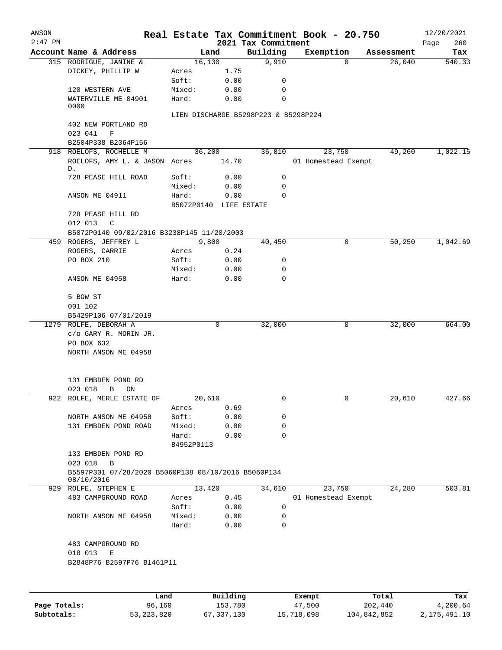| ANSON     |                                                                   |            |                        |                                      | Real Estate Tax Commitment Book - 20.750 |            | 12/20/2021         |
|-----------|-------------------------------------------------------------------|------------|------------------------|--------------------------------------|------------------------------------------|------------|--------------------|
| $2:47$ PM | Account Name & Address                                            |            | Land                   | 2021 Tax Commitment<br>Building      | Exemption                                | Assessment | 260<br>Page<br>Tax |
|           | 315 RODRIGUE, JANINE &                                            |            | 16,130                 | 9,910                                | $\Omega$                                 | 26,040     | 540.33             |
|           | DICKEY, PHILLIP W                                                 | Acres      | 1.75                   |                                      |                                          |            |                    |
|           |                                                                   | Soft:      | 0.00                   | 0                                    |                                          |            |                    |
|           | 120 WESTERN AVE                                                   | Mixed:     | 0.00                   | 0                                    |                                          |            |                    |
|           | WATERVILLE ME 04901<br>0000                                       | Hard:      | 0.00                   | 0                                    |                                          |            |                    |
|           |                                                                   |            |                        | LIEN DISCHARGE B5298P223 & B5298P224 |                                          |            |                    |
|           | 402 NEW PORTLAND RD                                               |            |                        |                                      |                                          |            |                    |
|           | 023 041<br>$\mathbf F$                                            |            |                        |                                      |                                          |            |                    |
|           | B2504P338 B2364P156                                               |            |                        |                                      |                                          |            |                    |
|           | 918 ROELOFS, ROCHELLE M                                           |            | 36,200                 | 36,810                               | 23,750                                   | 49,260     | 1,022.15           |
|           | ROELOFS, AMY L. & JASON Acres<br>D.                               |            | 14.70                  |                                      | 01 Homestead Exempt                      |            |                    |
|           | 728 PEASE HILL ROAD                                               | Soft:      | 0.00                   | 0                                    |                                          |            |                    |
|           |                                                                   | Mixed:     | 0.00                   | 0                                    |                                          |            |                    |
|           | ANSON ME 04911                                                    | Hard:      | 0.00                   | 0                                    |                                          |            |                    |
|           |                                                                   |            | B5072P0140 LIFE ESTATE |                                      |                                          |            |                    |
|           | 728 PEASE HILL RD<br>012 013<br>$\mathsf{C}$                      |            |                        |                                      |                                          |            |                    |
|           | B5072P0140 09/02/2016 B3238P145 11/20/2003                        |            |                        |                                      |                                          |            |                    |
|           | 459 ROGERS, JEFFREY L                                             |            | 9,800                  | 40,450                               | 0                                        | 50,250     | 1,042.69           |
|           | ROGERS, CARRIE                                                    | Acres      | 0.24                   |                                      |                                          |            |                    |
|           | PO BOX 210                                                        | Soft:      | 0.00                   | 0                                    |                                          |            |                    |
|           |                                                                   | Mixed:     | 0.00                   | 0                                    |                                          |            |                    |
|           | ANSON ME 04958                                                    | Hard:      | 0.00                   | 0                                    |                                          |            |                    |
|           | 5 BOW ST                                                          |            |                        |                                      |                                          |            |                    |
|           | 001 102                                                           |            |                        |                                      |                                          |            |                    |
|           | B5429P106 07/01/2019                                              |            |                        |                                      |                                          |            |                    |
|           | 1279 ROLFE, DEBORAH A                                             |            | 0                      | 32,000                               | 0                                        | 32,000     | 664.00             |
|           | c/o GARY R. MORIN JR.                                             |            |                        |                                      |                                          |            |                    |
|           | PO BOX 632                                                        |            |                        |                                      |                                          |            |                    |
|           | NORTH ANSON ME 04958                                              |            |                        |                                      |                                          |            |                    |
|           | 131 EMBDEN POND RD                                                |            |                        |                                      |                                          |            |                    |
|           | 023 018<br>ON<br>В                                                |            |                        |                                      |                                          |            |                    |
|           | 922 ROLFE, MERLE ESTATE OF                                        | 20,610     |                        |                                      |                                          | 20,610     | 427.66             |
|           |                                                                   | Acres      | 0.69                   |                                      |                                          |            |                    |
|           | NORTH ANSON ME 04958                                              | Soft:      | 0.00                   | 0                                    |                                          |            |                    |
|           | 131 EMBDEN POND ROAD                                              | Mixed:     | 0.00                   | 0                                    |                                          |            |                    |
|           |                                                                   | Hard:      | 0.00                   | $\Omega$                             |                                          |            |                    |
|           |                                                                   | B4952P0113 |                        |                                      |                                          |            |                    |
|           | 133 EMBDEN POND RD                                                |            |                        |                                      |                                          |            |                    |
|           | 023 018<br>$\overline{B}$                                         |            |                        |                                      |                                          |            |                    |
|           | B5597P301 07/28/2020 B5060P138 08/10/2016 B5060P134<br>08/10/2016 |            |                        |                                      |                                          |            |                    |
|           | 929 ROLFE, STEPHEN E                                              |            | 13,420                 | 34,610                               | 23,750                                   | 24,280     | 503.81             |
|           | 483 CAMPGROUND ROAD                                               | Acres      | 0.45                   |                                      | 01 Homestead Exempt                      |            |                    |
|           |                                                                   | Soft:      | 0.00                   | 0                                    |                                          |            |                    |
|           | NORTH ANSON ME 04958                                              | Mixed:     | 0.00                   | 0                                    |                                          |            |                    |
|           |                                                                   | Hard:      | 0.00                   | 0                                    |                                          |            |                    |
|           | 483 CAMPGROUND RD                                                 |            |                        |                                      |                                          |            |                    |
|           | 018 013<br>E<br>B2848P76 B2597P76 B1461P11                        |            |                        |                                      |                                          |            |                    |
|           |                                                                   |            |                        |                                      |                                          |            |                    |
|           | Land                                                              |            | Building               |                                      | Exempt                                   | Total      | Tax                |

|              | nana         | <u>DULLULUM</u> | <b>BY CITY</b> | ----        | $-0.0$       |
|--------------|--------------|-----------------|----------------|-------------|--------------|
| Page Totals: | 96.160       | 153,780         | 47,500         | 202,440     | 4,200.64     |
| Subtotals:   | 53, 223, 820 | 67,337,130      | 15,718,098     | 104,842,852 | 2,175,491.10 |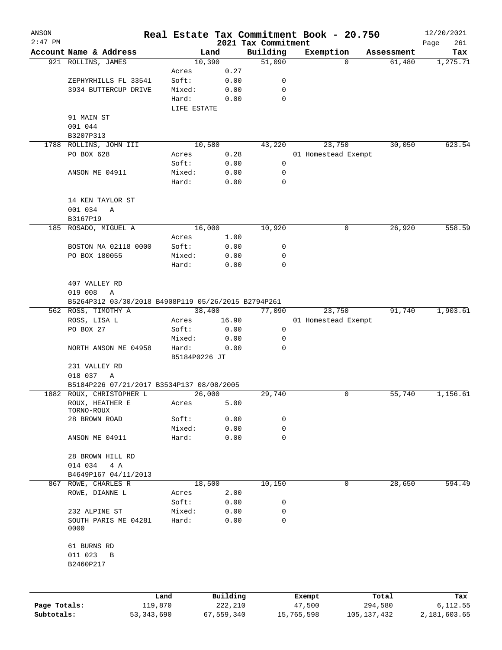| ANSON        |                                                     |                        |                |                     | Real Estate Tax Commitment Book - 20.750 |                           | 12/20/2021      |
|--------------|-----------------------------------------------------|------------------------|----------------|---------------------|------------------------------------------|---------------------------|-----------------|
| $2:47$ PM    |                                                     |                        |                | 2021 Tax Commitment |                                          |                           | Page<br>261     |
|              | Account Name & Address<br>921 ROLLINS, JAMES        |                        | Land<br>10,390 | Building<br>51,090  | Exemption                                | Assessment<br>61,480<br>0 | Tax<br>1,275.71 |
|              |                                                     | Acres                  | 0.27           |                     |                                          |                           |                 |
|              | ZEPHYRHILLS FL 33541                                | Soft:                  | 0.00           | 0                   |                                          |                           |                 |
|              | 3934 BUTTERCUP DRIVE                                | Mixed:                 | 0.00           | 0                   |                                          |                           |                 |
|              |                                                     | Hard:                  | 0.00           | $\mathbf 0$         |                                          |                           |                 |
|              |                                                     | LIFE ESTATE            |                |                     |                                          |                           |                 |
|              | 91 MAIN ST                                          |                        |                |                     |                                          |                           |                 |
|              | 001 044                                             |                        |                |                     |                                          |                           |                 |
|              |                                                     |                        |                |                     |                                          |                           |                 |
|              | B3207P313                                           |                        | 10,580         |                     |                                          |                           | 623.54          |
|              | 1788 ROLLINS, JOHN III                              |                        |                | 43,220              | 23,750                                   | 30,050                    |                 |
|              | PO BOX 628                                          | Acres                  | 0.28           |                     | 01 Homestead Exempt                      |                           |                 |
|              |                                                     | Soft:                  | 0.00           | 0                   |                                          |                           |                 |
|              | ANSON ME 04911                                      | Mixed:                 | 0.00           | 0                   |                                          |                           |                 |
|              |                                                     | Hard:                  | 0.00           | 0                   |                                          |                           |                 |
|              | 14 KEN TAYLOR ST                                    |                        |                |                     |                                          |                           |                 |
|              | 001 034<br>Α                                        |                        |                |                     |                                          |                           |                 |
|              | B3167P19                                            |                        |                |                     |                                          |                           |                 |
| 185          | ROSADO, MIGUEL A                                    |                        | 16,000         | 10,920              |                                          | 26,920<br>0               | 558.59          |
|              |                                                     |                        |                |                     |                                          |                           |                 |
|              |                                                     | Acres                  | 1.00           |                     |                                          |                           |                 |
|              | BOSTON MA 02118 0000                                | Soft:                  | 0.00           | 0                   |                                          |                           |                 |
|              | PO BOX 180055                                       | Mixed:                 | 0.00           | $\mathbf 0$         |                                          |                           |                 |
|              |                                                     | Hard:                  | 0.00           | 0                   |                                          |                           |                 |
|              | 407 VALLEY RD                                       |                        |                |                     |                                          |                           |                 |
|              | 019 008<br>Α                                        |                        |                |                     |                                          |                           |                 |
|              | B5264P312 03/30/2018 B4908P119 05/26/2015 B2794P261 |                        |                |                     |                                          |                           |                 |
|              | 562 ROSS, TIMOTHY A                                 |                        | 38,400         | 77,090              | 23,750                                   | 91,740                    | 1,903.61        |
|              | ROSS, LISA L                                        | Acres                  | 16.90          |                     |                                          |                           |                 |
|              |                                                     | Soft:                  |                | 0                   | 01 Homestead Exempt                      |                           |                 |
|              | PO BOX 27                                           |                        | 0.00           |                     |                                          |                           |                 |
|              |                                                     | Mixed:                 | 0.00           | 0                   |                                          |                           |                 |
|              | NORTH ANSON ME 04958                                | Hard:<br>B5184P0226 JT | 0.00           | 0                   |                                          |                           |                 |
|              |                                                     |                        |                |                     |                                          |                           |                 |
|              | 231 VALLEY RD                                       |                        |                |                     |                                          |                           |                 |
|              | 018 037<br>Α                                        |                        |                |                     |                                          |                           |                 |
|              | B5184P226 07/21/2017 B3534P137 08/08/2005           |                        |                |                     |                                          |                           |                 |
|              | 1882 ROUX, CHRISTOPHER L                            |                        | 26,000         | 29,740              |                                          | 0<br>55,740               | 1,156.61        |
|              | ROUX, HEATHER E<br>TORNO-ROUX                       | Acres                  | 5.00           |                     |                                          |                           |                 |
|              | 28 BROWN ROAD                                       | Soft:                  | 0.00           | 0                   |                                          |                           |                 |
|              |                                                     | Mixed:                 | 0.00           | 0                   |                                          |                           |                 |
|              | ANSON ME 04911                                      | Hard:                  | 0.00           | 0                   |                                          |                           |                 |
|              |                                                     |                        |                |                     |                                          |                           |                 |
|              | 28 BROWN HILL RD                                    |                        |                |                     |                                          |                           |                 |
|              | 014 034<br>4 A                                      |                        |                |                     |                                          |                           |                 |
|              | B4649P167 04/11/2013                                |                        |                |                     |                                          |                           |                 |
| 867          | ROWE, CHARLES R                                     |                        | 18,500         | 10,150              |                                          | 28,650<br>0               | 594.49          |
|              | ROWE, DIANNE L                                      | Acres                  | 2.00           |                     |                                          |                           |                 |
|              |                                                     | Soft:                  | 0.00           | 0                   |                                          |                           |                 |
|              | 232 ALPINE ST                                       | Mixed:                 | 0.00           | 0                   |                                          |                           |                 |
|              | SOUTH PARIS ME 04281                                | Hard:                  | 0.00           | 0                   |                                          |                           |                 |
|              | 0000                                                |                        |                |                     |                                          |                           |                 |
|              |                                                     |                        |                |                     |                                          |                           |                 |
|              | 61 BURNS RD                                         |                        |                |                     |                                          |                           |                 |
|              | 011 023<br>B                                        |                        |                |                     |                                          |                           |                 |
|              | B2460P217                                           |                        |                |                     |                                          |                           |                 |
|              |                                                     |                        |                |                     |                                          |                           |                 |
|              |                                                     |                        |                |                     |                                          |                           |                 |
|              |                                                     | Land                   | Building       |                     | Exempt                                   | Total                     | Tax             |
| Page Totals: |                                                     | 119,870                | 222,210        |                     | 47,500                                   | 294,580                   | 6, 112.55       |

**Subtotals:** 53,343,690 67,559,340 15,765,598 105,137,432 2,181,603.65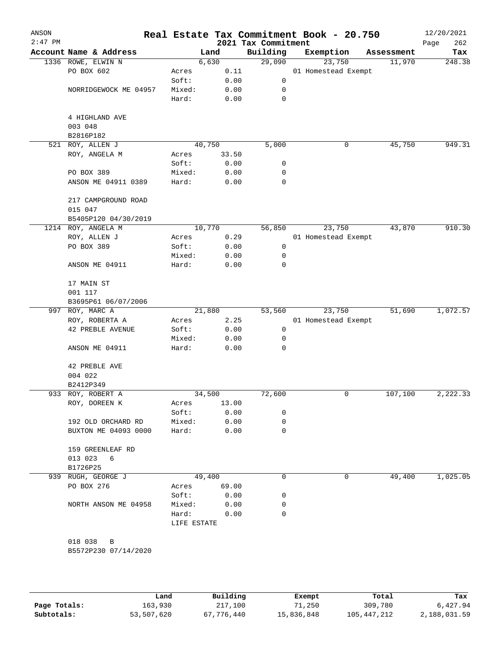| ANSON<br>$2:47$ PM |                           |             |        | Real Estate Tax Commitment Book - 20.750<br>2021 Tax Commitment |                     |            | 12/20/2021<br>262<br>Page |
|--------------------|---------------------------|-------------|--------|-----------------------------------------------------------------|---------------------|------------|---------------------------|
|                    | Account Name & Address    |             | Land   | Building                                                        | Exemption           | Assessment | Tax                       |
|                    | 1336 ROWE, ELWIN N        |             | 6,630  | 29,090                                                          | 23,750              | 11,970     | 248.38                    |
|                    | PO BOX 602                | Acres       | 0.11   |                                                                 | 01 Homestead Exempt |            |                           |
|                    |                           | Soft:       | 0.00   | 0                                                               |                     |            |                           |
|                    | NORRIDGEWOCK ME 04957     | Mixed:      | 0.00   | 0                                                               |                     |            |                           |
|                    |                           | Hard:       | 0.00   | 0                                                               |                     |            |                           |
|                    | 4 HIGHLAND AVE<br>003 048 |             |        |                                                                 |                     |            |                           |
|                    | B2816P182                 |             |        |                                                                 |                     |            |                           |
|                    | 521 ROY, ALLEN J          |             | 40,750 | 5,000                                                           | 0                   | 45,750     | 949.31                    |
|                    | ROY, ANGELA M             | Acres       | 33.50  |                                                                 |                     |            |                           |
|                    |                           | Soft:       | 0.00   | 0                                                               |                     |            |                           |
|                    | PO BOX 389                | Mixed:      | 0.00   | $\mathsf{O}\xspace$                                             |                     |            |                           |
|                    | ANSON ME 04911 0389       | Hard:       | 0.00   | 0                                                               |                     |            |                           |
|                    | 217 CAMPGROUND ROAD       |             |        |                                                                 |                     |            |                           |
|                    | 015 047                   |             |        |                                                                 |                     |            |                           |
|                    | B5405P120 04/30/2019      |             |        |                                                                 |                     |            |                           |
|                    | 1214 ROY, ANGELA M        |             | 10,770 | 56,850                                                          | 23,750              | 43,870     | 910.30                    |
|                    | ROY, ALLEN J              | Acres       | 0.29   |                                                                 | 01 Homestead Exempt |            |                           |
|                    | PO BOX 389                | Soft:       | 0.00   | 0                                                               |                     |            |                           |
|                    |                           | Mixed:      | 0.00   | 0                                                               |                     |            |                           |
|                    | ANSON ME 04911            | Hard:       | 0.00   | 0                                                               |                     |            |                           |
|                    | 17 MAIN ST                |             |        |                                                                 |                     |            |                           |
|                    | 001 117                   |             |        |                                                                 |                     |            |                           |
|                    | B3695P61 06/07/2006       |             |        |                                                                 |                     |            |                           |
|                    | 997 ROY, MARC A           |             | 21,880 | 53,560                                                          | 23,750              | 51,690     | 1,072.57                  |
|                    | ROY, ROBERTA A            | Acres       | 2.25   |                                                                 | 01 Homestead Exempt |            |                           |
|                    | 42 PREBLE AVENUE          | Soft:       | 0.00   | $\mathbf 0$                                                     |                     |            |                           |
|                    |                           | Mixed:      | 0.00   | 0                                                               |                     |            |                           |
|                    | ANSON ME 04911            | Hard:       | 0.00   | 0                                                               |                     |            |                           |
|                    | 42 PREBLE AVE             |             |        |                                                                 |                     |            |                           |
|                    | 004 022                   |             |        |                                                                 |                     |            |                           |
|                    | B2412P349                 |             |        |                                                                 |                     |            |                           |
|                    | 933 ROY, ROBERT A         |             | 34,500 | 72,600                                                          | 0                   | 107,100    | 2,222.33                  |
|                    | ROY, DOREEN K             | Acres       | 13.00  |                                                                 |                     |            |                           |
|                    |                           | Soft:       | 0.00   | 0                                                               |                     |            |                           |
|                    | 192 OLD ORCHARD RD        | Mixed:      | 0.00   | 0                                                               |                     |            |                           |
|                    | BUXTON ME 04093 0000      | Hard:       | 0.00   | 0                                                               |                     |            |                           |
|                    | 159 GREENLEAF RD          |             |        |                                                                 |                     |            |                           |
|                    | 013 023<br>6<br>B1726P25  |             |        |                                                                 |                     |            |                           |
| 939                | RUGH, GEORGE J            |             | 49,400 | 0                                                               | 0                   | 49,400     | 1,025.05                  |
|                    | PO BOX 276                | Acres       | 69.00  |                                                                 |                     |            |                           |
|                    |                           | Soft:       | 0.00   | 0                                                               |                     |            |                           |
|                    | NORTH ANSON ME 04958      | Mixed:      | 0.00   | 0                                                               |                     |            |                           |
|                    |                           | Hard:       | 0.00   | $\Omega$                                                        |                     |            |                           |
|                    |                           | LIFE ESTATE |        |                                                                 |                     |            |                           |
|                    |                           |             |        |                                                                 |                     |            |                           |
|                    | 018 038<br>B              |             |        |                                                                 |                     |            |                           |
|                    | B5572P230 07/14/2020      |             |        |                                                                 |                     |            |                           |
|                    |                           |             |        |                                                                 |                     |            |                           |
|                    |                           |             |        |                                                                 |                     |            |                           |

|              | Land       | Building   | Exempt     | Total       | Tax          |
|--------------|------------|------------|------------|-------------|--------------|
| Page Totals: | 163,930    | 217,100    | 71,250     | 309,780     | 6,427.94     |
| Subtotals:   | 53,507,620 | 67,776,440 | 15,836,848 | 105,447,212 | 2,188,031.59 |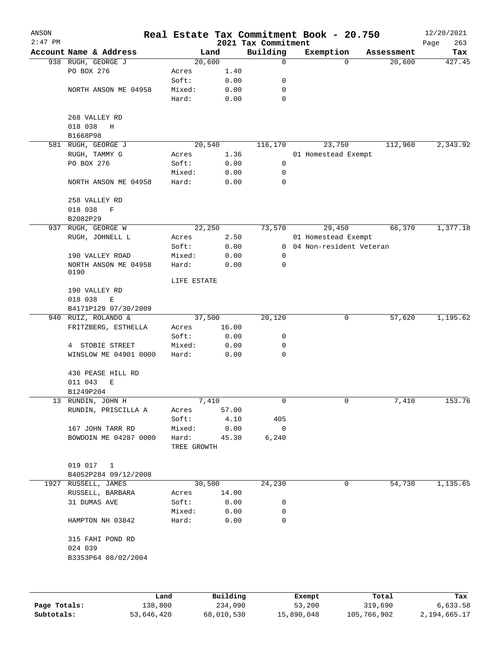| ANSON     |                                         |                 |              |                                 | Real Estate Tax Commitment Book - 20.750 |            | 12/20/2021         |
|-----------|-----------------------------------------|-----------------|--------------|---------------------------------|------------------------------------------|------------|--------------------|
| $2:47$ PM | Account Name & Address                  | Land            |              | 2021 Tax Commitment<br>Building | Exemption                                | Assessment | 263<br>Page<br>Tax |
|           | 938 RUGH, GEORGE J                      | 20,600          |              | 0                               | $\Omega$                                 | 20,600     | 427.45             |
|           | PO BOX 276                              | Acres           | 1.40         |                                 |                                          |            |                    |
|           |                                         | Soft:           | 0.00         | 0                               |                                          |            |                    |
|           | NORTH ANSON ME 04958                    | Mixed:          | 0.00         | 0                               |                                          |            |                    |
|           |                                         | Hard:           | 0.00         | 0                               |                                          |            |                    |
|           | 268 VALLEY RD                           |                 |              |                                 |                                          |            |                    |
|           | 018 038<br>Η                            |                 |              |                                 |                                          |            |                    |
|           | B1668P98                                |                 |              |                                 |                                          |            |                    |
|           | 581 RUGH, GEORGE J                      | 20,540          |              | 116,170                         | 23,750                                   | 112,960    | 2,343.92           |
|           | RUGH, TAMMY G                           | Acres           | 1.36         |                                 | 01 Homestead Exempt                      |            |                    |
|           | PO BOX 276                              | Soft:           | 0.00         | 0                               |                                          |            |                    |
|           |                                         | Mixed:          | 0.00         | 0                               |                                          |            |                    |
|           | NORTH ANSON ME 04958                    | Hard:           | 0.00         | 0                               |                                          |            |                    |
|           | 258 VALLEY RD                           |                 |              |                                 |                                          |            |                    |
|           | 018 038<br>$\mathbf F$                  |                 |              |                                 |                                          |            |                    |
|           | B2082P29                                |                 |              |                                 |                                          |            |                    |
|           | 937 RUGH, GEORGE W                      | 22,250          |              | 73,570                          | 29,450                                   | 66,370     | 1,377.18           |
|           | RUGH, JOHNELL L                         | Acres           | 2.50         |                                 | 01 Homestead Exempt                      |            |                    |
|           |                                         | Soft:           | 0.00         | $\mathbf{0}$                    | 04 Non-resident Veteran                  |            |                    |
|           | 190 VALLEY ROAD                         | Mixed:          | 0.00         | 0                               |                                          |            |                    |
|           | NORTH ANSON ME 04958<br>0190            | Hard:           | 0.00         | $\mathbf 0$                     |                                          |            |                    |
|           |                                         | LIFE ESTATE     |              |                                 |                                          |            |                    |
|           | 190 VALLEY RD                           |                 |              |                                 |                                          |            |                    |
|           | 018 038<br>$\mathbf E$                  |                 |              |                                 |                                          |            |                    |
|           | B4171P129 07/30/2009                    |                 |              |                                 |                                          |            |                    |
| 940       | RUIZ, ROLANDO &                         | 37,500          |              | 20,120                          | 0                                        | 57,620     | 1,195.62           |
|           | FRITZBERG, ESTHELLA                     | Acres           | 16.00        |                                 |                                          |            |                    |
|           |                                         | Soft:           | 0.00         | 0                               |                                          |            |                    |
|           | 4 STOBIE STREET                         | Mixed:          | 0.00         | 0                               |                                          |            |                    |
|           | WINSLOW ME 04901 0000                   | Hard:           | 0.00         | $\mathbf 0$                     |                                          |            |                    |
|           | 436 PEASE HILL RD                       |                 |              |                                 |                                          |            |                    |
|           | 011 043<br>Ε                            |                 |              |                                 |                                          |            |                    |
|           | B1249P204                               |                 |              |                                 |                                          |            |                    |
|           | 13 RUNDIN, JOHN H                       | 7,410           |              | 0                               | 0                                        | 7,410      | 153.76             |
|           | RUNDIN, PRISCILLA A                     | Acres           | 57.00        |                                 |                                          |            |                    |
|           |                                         | Soft:           | 4.10         | 405                             |                                          |            |                    |
|           | 167 JOHN TARR RD                        | Mixed:          | 0.00         | $\mathbf 0$                     |                                          |            |                    |
|           | BOWDOIN ME 04287 0000                   | Hard:           | 45.30        | 6,240                           |                                          |            |                    |
|           |                                         | TREE GROWTH     |              |                                 |                                          |            |                    |
|           | 019 017 1                               |                 |              |                                 |                                          |            |                    |
|           |                                         |                 |              |                                 |                                          |            |                    |
|           | B4052P284 09/12/2008                    | 30,500          |              | 24,230                          | 0                                        | 54,730     | 1,135.65           |
|           | 1927 RUSSELL, JAMES<br>RUSSELL, BARBARA | Acres           | 14.00        |                                 |                                          |            |                    |
|           |                                         |                 |              |                                 |                                          |            |                    |
|           | 31 DUMAS AVE                            | Soft:           | 0.00         | 0<br>0                          |                                          |            |                    |
|           | HAMPTON NH 03842                        | Mixed:<br>Hard: | 0.00<br>0.00 | 0                               |                                          |            |                    |
|           | 315 FAHI POND RD                        |                 |              |                                 |                                          |            |                    |
|           | 024 039                                 |                 |              |                                 |                                          |            |                    |
|           | B3353P64 08/02/2004                     |                 |              |                                 |                                          |            |                    |
|           |                                         |                 |              |                                 |                                          |            |                    |
|           |                                         |                 | Building     |                                 |                                          | Total      |                    |

**Page Totals:** 138,800 234,090 53,200 319,690 6,633.58 **Subtotals:** 53,646,420 68,010,530 15,890,048 105,766,902 2,194,665.17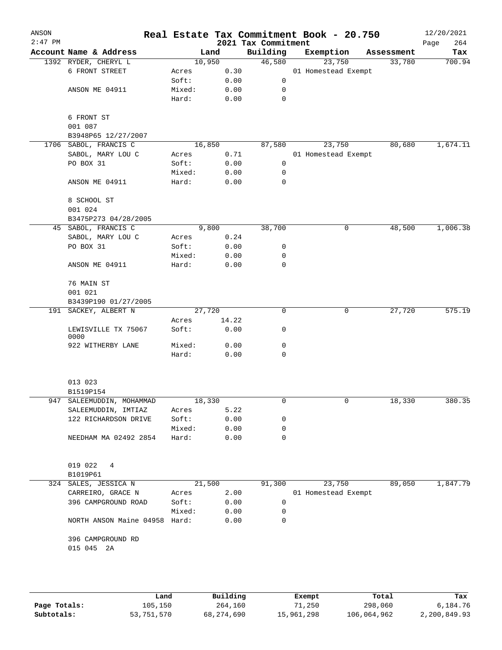| ANSON<br>$2:47$ PM |                               |        |        | 2021 Tax Commitment | Real Estate Tax Commitment Book - 20.750 |            | 12/20/2021<br>264<br>Page |
|--------------------|-------------------------------|--------|--------|---------------------|------------------------------------------|------------|---------------------------|
|                    | Account Name & Address        |        | Land   | Building            | Exemption                                | Assessment | Tax                       |
|                    | 1392 RYDER, CHERYL L          |        | 10,950 | 46,580              | 23,750                                   | 33,780     | 700.94                    |
|                    | 6 FRONT STREET                | Acres  | 0.30   |                     | 01 Homestead Exempt                      |            |                           |
|                    |                               | Soft:  | 0.00   | 0                   |                                          |            |                           |
|                    | ANSON ME 04911                | Mixed: | 0.00   | 0                   |                                          |            |                           |
|                    |                               | Hard:  | 0.00   | $\mathbf 0$         |                                          |            |                           |
|                    | 6 FRONT ST                    |        |        |                     |                                          |            |                           |
|                    | 001 087                       |        |        |                     |                                          |            |                           |
|                    | B3948P65 12/27/2007           |        |        |                     |                                          |            |                           |
|                    | 1706 SABOL, FRANCIS C         |        | 16,850 | 87,580              | 23,750                                   | 80,680     | 1,674.11                  |
|                    | SABOL, MARY LOU C             | Acres  | 0.71   |                     | 01 Homestead Exempt                      |            |                           |
|                    | PO BOX 31                     | Soft:  | 0.00   | 0                   |                                          |            |                           |
|                    |                               | Mixed: | 0.00   | 0                   |                                          |            |                           |
|                    | ANSON ME 04911                | Hard:  | 0.00   | 0                   |                                          |            |                           |
|                    | 8 SCHOOL ST                   |        |        |                     |                                          |            |                           |
|                    | 001 024                       |        |        |                     |                                          |            |                           |
|                    | B3475P273 04/28/2005          |        |        |                     |                                          |            |                           |
|                    | 45 SABOL, FRANCIS C           |        | 9,800  | 38,700              | 0                                        | 48,500     | 1,006.38                  |
|                    | SABOL, MARY LOU C             | Acres  | 0.24   |                     |                                          |            |                           |
|                    | PO BOX 31                     | Soft:  | 0.00   | 0                   |                                          |            |                           |
|                    |                               | Mixed: | 0.00   | 0                   |                                          |            |                           |
|                    | ANSON ME 04911                | Hard:  | 0.00   | 0                   |                                          |            |                           |
|                    | 76 MAIN ST                    |        |        |                     |                                          |            |                           |
|                    | 001 021                       |        |        |                     |                                          |            |                           |
|                    | B3439P190 01/27/2005          |        |        |                     |                                          |            |                           |
|                    | 191 SACKEY, ALBERT N          |        | 27,720 | 0                   | 0                                        | 27,720     | 575.19                    |
|                    |                               | Acres  | 14.22  |                     |                                          |            |                           |
|                    | LEWISVILLE TX 75067<br>0000   | Soft:  | 0.00   | 0                   |                                          |            |                           |
|                    | 922 WITHERBY LANE             | Mixed: | 0.00   | 0                   |                                          |            |                           |
|                    |                               | Hard:  | 0.00   | 0                   |                                          |            |                           |
|                    |                               |        |        |                     |                                          |            |                           |
|                    | 013 023                       |        |        |                     |                                          |            |                           |
|                    | B1519P154                     |        |        |                     |                                          |            |                           |
| 947                | SALEEMUDDIN, MOHAMMAD         |        | 18,330 | 0                   | 0                                        | 18,330     | 380.35                    |
|                    | SALEEMUDDIN, IMTIAZ           | Acres  | 5.22   |                     |                                          |            |                           |
|                    | 122 RICHARDSON DRIVE          | Soft:  | 0.00   | 0                   |                                          |            |                           |
|                    |                               | Mixed: | 0.00   | 0                   |                                          |            |                           |
|                    | NEEDHAM MA 02492 2854         | Hard:  | 0.00   | 0                   |                                          |            |                           |
|                    | 019 022<br>4                  |        |        |                     |                                          |            |                           |
|                    | B1019P61                      |        |        |                     |                                          |            |                           |
|                    | 324 SALES, JESSICA N          |        | 21,500 | 91,300              | 23,750                                   | 89,050     | 1,847.79                  |
|                    | CARREIRO, GRACE N             | Acres  | 2.00   |                     | 01 Homestead Exempt                      |            |                           |
|                    | 396 CAMPGROUND ROAD           | Soft:  | 0.00   | $\mathbf 0$         |                                          |            |                           |
|                    |                               | Mixed: | 0.00   | 0                   |                                          |            |                           |
|                    | NORTH ANSON Maine 04958 Hard: |        | 0.00   | 0                   |                                          |            |                           |
|                    | 396 CAMPGROUND RD             |        |        |                     |                                          |            |                           |
|                    | 015 045 2A                    |        |        |                     |                                          |            |                           |
|                    |                               |        |        |                     |                                          |            |                           |
|                    |                               |        |        |                     |                                          |            |                           |
|                    |                               |        |        |                     |                                          |            |                           |

|              | Land       | Building   | Exempt     | Total       | Tax          |
|--------------|------------|------------|------------|-------------|--------------|
| Page Totals: | 105,150    | 264,160    | 71,250     | 298,060     | 6,184.76     |
| Subtotals:   | 53,751,570 | 68,274,690 | 15,961,298 | 106,064,962 | 2,200,849.93 |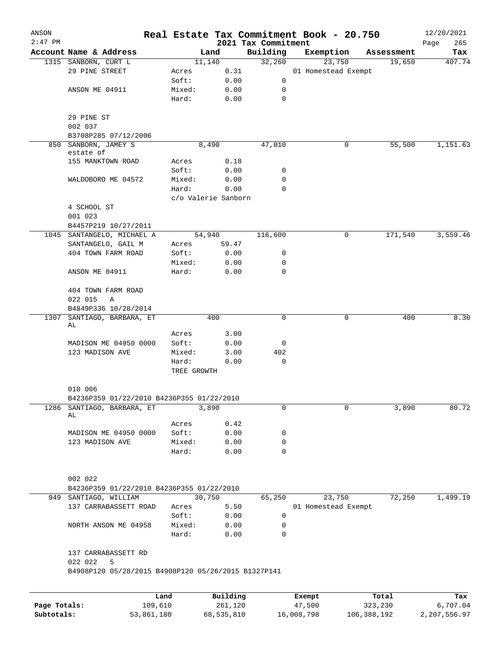| ANSON        |                                                     |            |                     |                     | Real Estate Tax Commitment Book - 20.750 |                      | 12/20/2021    |
|--------------|-----------------------------------------------------|------------|---------------------|---------------------|------------------------------------------|----------------------|---------------|
| $2:47$ PM    |                                                     |            | Land                | 2021 Tax Commitment |                                          |                      | 265<br>Page   |
|              | Account Name & Address                              |            | 11,140              | Building<br>32,260  | Exemption<br>23,750                      | Assessment<br>19,650 | Tax<br>407.74 |
|              | 1315 SANBORN, CURT L<br>29 PINE STREET              | Acres      |                     | 0.31                | 01 Homestead Exempt                      |                      |               |
|              |                                                     | Soft:      |                     | 0.00<br>0           |                                          |                      |               |
|              | ANSON ME 04911                                      | Mixed:     |                     | 0.00<br>0           |                                          |                      |               |
|              |                                                     | Hard:      |                     | 0<br>0.00           |                                          |                      |               |
|              |                                                     |            |                     |                     |                                          |                      |               |
|              | 29 PINE ST                                          |            |                     |                     |                                          |                      |               |
|              | 002 037                                             |            |                     |                     |                                          |                      |               |
|              | B3708P285 07/12/2006                                |            |                     |                     |                                          |                      |               |
| 850          | SANBORN, JAMEY S                                    |            | 8,490               | 47,010              |                                          | 55,500<br>0          | 1,151.63      |
|              | estate of                                           |            |                     |                     |                                          |                      |               |
|              | 155 MANKTOWN ROAD                                   | Acres      |                     | 0.18                |                                          |                      |               |
|              |                                                     | Soft:      |                     | 0.00<br>0           |                                          |                      |               |
|              | WALDOBORO ME 04572                                  | Mixed:     |                     | 0.00<br>0           |                                          |                      |               |
|              |                                                     | Hard:      |                     | 0.00<br>0           |                                          |                      |               |
|              |                                                     |            | c/o Valerie Sanborn |                     |                                          |                      |               |
|              | 4 SCHOOL ST                                         |            |                     |                     |                                          |                      |               |
|              | 001 023                                             |            |                     |                     |                                          |                      |               |
|              | B4457P219 10/27/2011                                |            |                     |                     |                                          |                      |               |
|              | 1045 SANTANGELO, MICHAEL A                          |            | 54,940              | 116,600             |                                          | 171,540<br>0         | 3,559.46      |
|              | SANTANGELO, GAIL M                                  | Acres      | 59.47               |                     |                                          |                      |               |
|              | 404 TOWN FARM ROAD                                  | Soft:      |                     | 0.00<br>0           |                                          |                      |               |
|              |                                                     | Mixed:     |                     | 0.00<br>0           |                                          |                      |               |
|              | ANSON ME 04911                                      | Hard:      |                     | 0<br>0.00           |                                          |                      |               |
|              |                                                     |            |                     |                     |                                          |                      |               |
|              | 404 TOWN FARM ROAD                                  |            |                     |                     |                                          |                      |               |
|              | 022 015<br>Α                                        |            |                     |                     |                                          |                      |               |
|              | B4849P336 10/28/2014                                |            |                     |                     |                                          |                      |               |
| 1307         | SANTIAGO, BARBARA, ET<br>AL                         |            | 400                 | 0                   |                                          | $\mathbf 0$<br>400   | 8.30          |
|              |                                                     | Acres      |                     | 3.00                |                                          |                      |               |
|              | MADISON ME 04950 0000                               | Soft:      |                     | 0.00<br>0           |                                          |                      |               |
|              | 123 MADISON AVE                                     | Mixed:     |                     | 3.00<br>402         |                                          |                      |               |
|              |                                                     | Hard:      |                     | 0<br>0.00           |                                          |                      |               |
|              |                                                     |            | TREE GROWTH         |                     |                                          |                      |               |
|              | 010 006                                             |            |                     |                     |                                          |                      |               |
|              | B4236P359 01/22/2010 B4236P355 01/22/2010           |            |                     |                     |                                          |                      |               |
| 1286         | SANTIAGO, BARBARA, ET                               |            | 3,890               | 0                   |                                          | 3,890<br>0           | 80.72         |
|              | AL                                                  |            |                     |                     |                                          |                      |               |
|              |                                                     | Acres      |                     | 0.42                |                                          |                      |               |
|              | MADISON ME 04950 0000                               | Soft:      |                     | 0.00<br>0           |                                          |                      |               |
|              | 123 MADISON AVE                                     | Mixed:     |                     | 0.00<br>0           |                                          |                      |               |
|              |                                                     | Hard:      |                     | 0<br>0.00           |                                          |                      |               |
|              | 002 022                                             |            |                     |                     |                                          |                      |               |
|              | B4236P359 01/22/2010 B4236P355 01/22/2010           |            |                     |                     |                                          |                      |               |
|              | 949 SANTIAGO, WILLIAM                               |            | 30,750              | 65,250              | 23,750                                   | 72,250               | 1,499.19      |
|              | 137 CARRABASSETT ROAD                               | Acres      |                     | 5.50                | 01 Homestead Exempt                      |                      |               |
|              |                                                     | Soft:      |                     | 0.00<br>0           |                                          |                      |               |
|              | NORTH ANSON ME 04958                                | Mixed:     |                     | 0.00<br>0           |                                          |                      |               |
|              |                                                     | Hard:      |                     | 0.00<br>$\Omega$    |                                          |                      |               |
|              | 137 CARRABASSETT RD                                 |            |                     |                     |                                          |                      |               |
|              | 022 022<br>5                                        |            |                     |                     |                                          |                      |               |
|              | B4908P120 05/28/2015 B4908P120 05/26/2015 B1327P141 |            |                     |                     |                                          |                      |               |
|              |                                                     |            |                     |                     |                                          |                      |               |
|              |                                                     | Land       | Building            |                     | Exempt                                   | Total                | Tax           |
| Page Totals: |                                                     | 109,610    | 261,120             |                     | 47,500                                   | 323,230              | 6,707.04      |
| Subtotals:   |                                                     | 53,861,180 | 68,535,810          |                     | 16,008,798                               | 106,388,192          | 2,207,556.97  |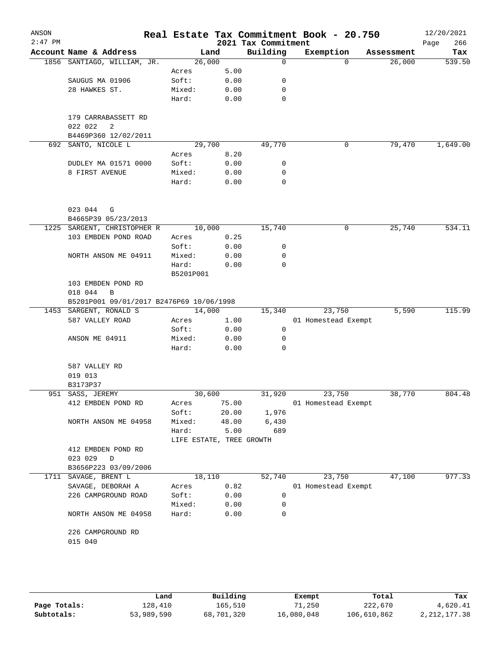| ANSON<br>$2:47$ PM |                                          |                          |       | 2021 Tax Commitment | Real Estate Tax Commitment Book - 20.750 |            | 12/20/2021<br>266<br>Page |
|--------------------|------------------------------------------|--------------------------|-------|---------------------|------------------------------------------|------------|---------------------------|
|                    | Account Name & Address                   | Land                     |       | Building            | Exemption                                | Assessment | Tax                       |
|                    | 1856 SANTIAGO, WILLIAM, JR.              | 26,000                   |       | $\mathbf 0$         | $\Omega$                                 | 26,000     | 539.50                    |
|                    |                                          | Acres                    | 5.00  |                     |                                          |            |                           |
|                    | SAUGUS MA 01906                          | Soft:                    | 0.00  | 0                   |                                          |            |                           |
|                    | 28 HAWKES ST.                            | Mixed:                   | 0.00  | 0                   |                                          |            |                           |
|                    |                                          | Hard:                    | 0.00  | 0                   |                                          |            |                           |
|                    | 179 CARRABASSETT RD                      |                          |       |                     |                                          |            |                           |
|                    | 022 022<br>2                             |                          |       |                     |                                          |            |                           |
|                    | B4469P360 12/02/2011                     |                          |       |                     |                                          |            |                           |
|                    | 692 SANTO, NICOLE L                      | 29,700                   |       | 49,770              | 0                                        | 79,470     | 1,649.00                  |
|                    |                                          | Acres                    | 8.20  |                     |                                          |            |                           |
|                    | DUDLEY MA 01571 0000                     | Soft:                    | 0.00  | 0                   |                                          |            |                           |
|                    | 8 FIRST AVENUE                           | Mixed:                   | 0.00  | 0                   |                                          |            |                           |
|                    |                                          | Hard:                    | 0.00  | 0                   |                                          |            |                           |
|                    | 023 044<br>G                             |                          |       |                     |                                          |            |                           |
|                    | B4665P39 05/23/2013                      |                          |       |                     |                                          |            |                           |
|                    | 1225 SARGENT, CHRISTOPHER R              | 10,000                   |       | 15,740              | 0                                        | 25,740     | 534.11                    |
|                    | 103 EMBDEN POND ROAD                     | Acres                    | 0.25  |                     |                                          |            |                           |
|                    |                                          | Soft:                    | 0.00  | 0                   |                                          |            |                           |
|                    | NORTH ANSON ME 04911                     | Mixed:                   | 0.00  | 0                   |                                          |            |                           |
|                    |                                          | Hard:                    | 0.00  | $\Omega$            |                                          |            |                           |
|                    |                                          | B5201P001                |       |                     |                                          |            |                           |
|                    | 103 EMBDEN POND RD                       |                          |       |                     |                                          |            |                           |
|                    | 018 044<br>B                             |                          |       |                     |                                          |            |                           |
|                    | B5201P001 09/01/2017 B2476P69 10/06/1998 |                          |       |                     |                                          |            |                           |
|                    | 1453 SARGENT, RONALD S                   | 14,000                   |       | 15,340              | 23,750                                   | 5,590      | 115.99                    |
|                    | 587 VALLEY ROAD                          | Acres                    | 1.00  |                     | 01 Homestead Exempt                      |            |                           |
|                    |                                          | Soft:                    | 0.00  | 0                   |                                          |            |                           |
|                    | ANSON ME 04911                           | Mixed:                   | 0.00  | 0                   |                                          |            |                           |
|                    |                                          | Hard:                    | 0.00  | 0                   |                                          |            |                           |
|                    | 587 VALLEY RD                            |                          |       |                     |                                          |            |                           |
|                    | 019 013                                  |                          |       |                     |                                          |            |                           |
|                    | B3173P37                                 |                          |       |                     |                                          |            |                           |
|                    | 951 SASS, JEREMY                         | 30,600                   |       | 31,920              | 23,750                                   | 38,770     | 804.48                    |
|                    | 412 EMBDEN POND RD                       | Acres                    | 75.00 |                     | 01 Homestead Exempt                      |            |                           |
|                    |                                          | Soft:                    | 20.00 | 1,976               |                                          |            |                           |
|                    | NORTH ANSON ME 04958                     | Mixed:                   | 48.00 | 6,430               |                                          |            |                           |
|                    |                                          | Hard:                    | 5.00  | 689                 |                                          |            |                           |
|                    |                                          | LIFE ESTATE, TREE GROWTH |       |                     |                                          |            |                           |
|                    | 412 EMBDEN POND RD                       |                          |       |                     |                                          |            |                           |
|                    | 023 029<br>$\mathbf{D}$                  |                          |       |                     |                                          |            |                           |
|                    | B3656P223 03/09/2006                     |                          |       |                     |                                          |            |                           |
|                    | 1711 SAVAGE, BRENT L                     | 18,110                   |       | 52,740              | 23,750                                   | 47,100     | 977.33                    |
|                    | SAVAGE, DEBORAH A                        | Acres                    | 0.82  |                     | 01 Homestead Exempt                      |            |                           |
|                    | 226 CAMPGROUND ROAD                      | Soft:                    | 0.00  | 0                   |                                          |            |                           |
|                    |                                          | Mixed:                   | 0.00  | 0                   |                                          |            |                           |
|                    | NORTH ANSON ME 04958                     | Hard:                    | 0.00  | 0                   |                                          |            |                           |
|                    | 226 CAMPGROUND RD                        |                          |       |                     |                                          |            |                           |
|                    | 015 040                                  |                          |       |                     |                                          |            |                           |
|                    |                                          |                          |       |                     |                                          |            |                           |
|                    |                                          |                          |       |                     |                                          |            |                           |

|              | Land       | Building   | Exempt     | Total       | Tax            |
|--------------|------------|------------|------------|-------------|----------------|
| Page Totals: | 128,410    | 165,510    | 71,250     | 222,670     | 4,620.41       |
| Subtotals:   | 53,989,590 | 68,701,320 | 16,080,048 | 106,610,862 | 2, 212, 177.38 |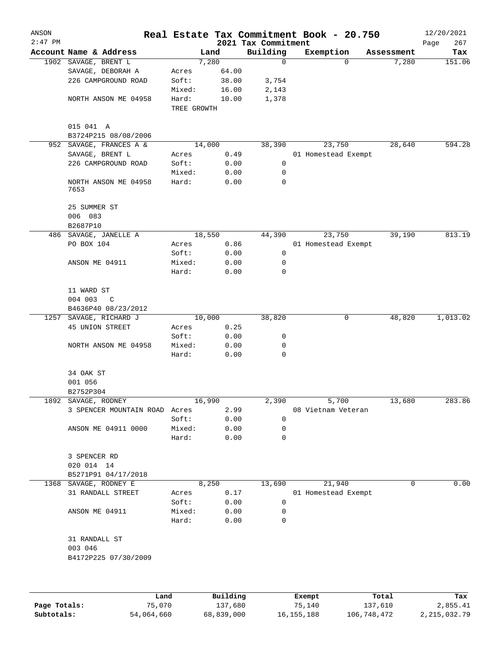| ANSON<br>$2:47$ PM |                               |             |          |                                 | Real Estate Tax Commitment Book - 20.750 |          |            | 12/20/2021         |
|--------------------|-------------------------------|-------------|----------|---------------------------------|------------------------------------------|----------|------------|--------------------|
|                    | Account Name & Address        |             | Land     | 2021 Tax Commitment<br>Building | Exemption                                |          | Assessment | 267<br>Page<br>Tax |
|                    | 1902 SAVAGE, BRENT L          |             | 7,280    | 0                               |                                          | $\Omega$ | 7,280      | 151.06             |
|                    | SAVAGE, DEBORAH A             | Acres       | 64.00    |                                 |                                          |          |            |                    |
|                    | 226 CAMPGROUND ROAD           | Soft:       | 38.00    | 3,754                           |                                          |          |            |                    |
|                    |                               | Mixed:      | 16.00    | 2,143                           |                                          |          |            |                    |
|                    | NORTH ANSON ME 04958          | Hard:       | 10.00    | 1,378                           |                                          |          |            |                    |
|                    |                               | TREE GROWTH |          |                                 |                                          |          |            |                    |
|                    | 015 041 A                     |             |          |                                 |                                          |          |            |                    |
|                    | B3724P215 08/08/2006          |             |          |                                 |                                          |          |            |                    |
| 952                | SAVAGE, FRANCES A &           |             | 14,000   | 38,390                          | 23,750                                   |          | 28,640     | 594.28             |
|                    | SAVAGE, BRENT L               | Acres       | 0.49     |                                 | 01 Homestead Exempt                      |          |            |                    |
|                    | 226 CAMPGROUND ROAD           | Soft:       | 0.00     | 0                               |                                          |          |            |                    |
|                    |                               | Mixed:      | 0.00     | 0                               |                                          |          |            |                    |
|                    | NORTH ANSON ME 04958<br>7653  | Hard:       | 0.00     | 0                               |                                          |          |            |                    |
|                    | 25 SUMMER ST                  |             |          |                                 |                                          |          |            |                    |
|                    | 006 083                       |             |          |                                 |                                          |          |            |                    |
|                    | B2687P10                      |             |          |                                 |                                          |          |            |                    |
| 486                | SAVAGE, JANELLE A             |             | 18,550   | 44,390                          | 23,750                                   |          | 39, 190    | 813.19             |
|                    | PO BOX 104                    | Acres       | 0.86     |                                 | 01 Homestead Exempt                      |          |            |                    |
|                    |                               | Soft:       | 0.00     | 0                               |                                          |          |            |                    |
|                    | ANSON ME 04911                | Mixed:      | 0.00     | 0                               |                                          |          |            |                    |
|                    |                               | Hard:       | 0.00     | 0                               |                                          |          |            |                    |
|                    | 11 WARD ST                    |             |          |                                 |                                          |          |            |                    |
|                    | 004 003<br>C                  |             |          |                                 |                                          |          |            |                    |
|                    | B4636P40 08/23/2012           |             |          |                                 |                                          |          |            |                    |
| 1257               | SAVAGE, RICHARD J             |             | 10,000   | 38,820                          |                                          | 0        | 48,820     | 1,013.02           |
|                    | 45 UNION STREET               | Acres       | 0.25     |                                 |                                          |          |            |                    |
|                    |                               | Soft:       | 0.00     | 0                               |                                          |          |            |                    |
|                    | NORTH ANSON ME 04958          | Mixed:      | 0.00     | 0                               |                                          |          |            |                    |
|                    |                               | Hard:       | 0.00     | 0                               |                                          |          |            |                    |
|                    | 34 OAK ST                     |             |          |                                 |                                          |          |            |                    |
|                    | 001 056                       |             |          |                                 |                                          |          |            |                    |
|                    | B2752P304                     |             |          |                                 |                                          |          |            |                    |
|                    | 1892 SAVAGE, RODNEY           |             | 16,990   | 2,390                           | 5,700                                    |          | 13,680     | 283.86             |
|                    | 3 SPENCER MOUNTAIN ROAD Acres |             | 2.99     |                                 | 08 Vietnam Veteran                       |          |            |                    |
|                    |                               | Soft:       | 0.00     | 0                               |                                          |          |            |                    |
|                    | ANSON ME 04911 0000           | Mixed:      | 0.00     | 0                               |                                          |          |            |                    |
|                    |                               | Hard:       | 0.00     | 0                               |                                          |          |            |                    |
|                    | 3 SPENCER RD                  |             |          |                                 |                                          |          |            |                    |
|                    | 020 014 14                    |             |          |                                 |                                          |          |            |                    |
|                    | B5271P91 04/17/2018           |             |          |                                 |                                          |          |            |                    |
|                    | 1368 SAVAGE, RODNEY E         |             | 8,250    | 13,690                          | 21,940                                   |          | 0          | 0.00               |
|                    | 31 RANDALL STREET             | Acres       | 0.17     |                                 | 01 Homestead Exempt                      |          |            |                    |
|                    |                               | Soft:       | 0.00     | 0                               |                                          |          |            |                    |
|                    | ANSON ME 04911                | Mixed:      | 0.00     | 0                               |                                          |          |            |                    |
|                    |                               | Hard:       | 0.00     | 0                               |                                          |          |            |                    |
|                    | 31 RANDALL ST                 |             |          |                                 |                                          |          |            |                    |
|                    | 003 046                       |             |          |                                 |                                          |          |            |                    |
|                    | B4172P225 07/30/2009          |             |          |                                 |                                          |          |            |                    |
|                    |                               |             |          |                                 |                                          |          |            |                    |
|                    |                               | Land        | Building |                                 | Exempt                                   |          | Total      | Tax                |

|              | Land       | Building   | Exempt       | Total       | Tax          |
|--------------|------------|------------|--------------|-------------|--------------|
| Page Totals: | 75,070     | 137,680    | 75,140       | 137,610     | 2,855.41     |
| Subtotals:   | 54,064,660 | 68,839,000 | 16, 155, 188 | 106,748,472 | 2,215,032.79 |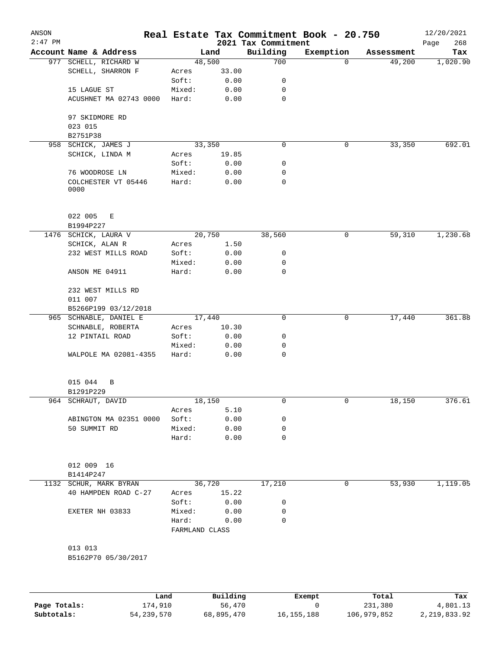| $2:47$ PM |                                |                         |          | 2021 Tax Commitment | Real Estate Tax Commitment Book - 20.750 |            | 12/20/2021<br>268<br>Page |
|-----------|--------------------------------|-------------------------|----------|---------------------|------------------------------------------|------------|---------------------------|
|           | Account Name & Address         |                         | Land     | Building            | Exemption                                | Assessment | Tax                       |
|           | 977 SCHELL, RICHARD W          |                         | 48,500   | 700                 | $\Omega$                                 | 49,200     | 1,020.90                  |
|           | SCHELL, SHARRON F              | Acres                   | 33.00    |                     |                                          |            |                           |
|           |                                | Soft:                   | 0.00     | 0                   |                                          |            |                           |
|           | 15 LAGUE ST                    | Mixed:                  | 0.00     | 0                   |                                          |            |                           |
|           | ACUSHNET MA 02743 0000         | Hard:                   | 0.00     | $\mathbf 0$         |                                          |            |                           |
|           | 97 SKIDMORE RD<br>023 015      |                         |          |                     |                                          |            |                           |
|           | B2751P38                       |                         |          |                     |                                          |            |                           |
|           | 958 SCHICK, JAMES J            |                         | 33,350   | $\mathbf 0$         | $\mathsf{O}$                             | 33,350     | 692.01                    |
|           | SCHICK, LINDA M                | Acres                   | 19.85    |                     |                                          |            |                           |
|           |                                | Soft:                   | 0.00     | 0                   |                                          |            |                           |
|           | 76 WOODROSE LN                 | Mixed:                  | 0.00     | 0                   |                                          |            |                           |
|           | COLCHESTER VT 05446<br>0000    | Hard:                   | 0.00     | 0                   |                                          |            |                           |
|           | 022 005<br>E<br>B1994P227      |                         |          |                     |                                          |            |                           |
|           | 1476 SCHICK, LAURA V           |                         | 20,750   | 38,560              | $\mathsf{O}$                             | 59,310     | 1,230.68                  |
|           | SCHICK, ALAN R                 | Acres                   | 1.50     |                     |                                          |            |                           |
|           | 232 WEST MILLS ROAD            | Soft:                   | 0.00     | 0                   |                                          |            |                           |
|           |                                | Mixed:                  | 0.00     | 0                   |                                          |            |                           |
|           | ANSON ME 04911                 | Hard:                   | 0.00     | 0                   |                                          |            |                           |
|           | 232 WEST MILLS RD              |                         |          |                     |                                          |            |                           |
|           | 011 007                        |                         |          |                     |                                          |            |                           |
|           | B5266P199 03/12/2018           |                         |          |                     |                                          |            |                           |
|           | 965 SCHNABLE, DANIEL E         |                         | 17,440   | $\mathbf 0$         | 0                                        | 17,440     | 361.88                    |
|           | SCHNABLE, ROBERTA              | Acres                   | 10.30    |                     |                                          |            |                           |
|           | 12 PINTAIL ROAD                | Soft:                   | 0.00     | 0                   |                                          |            |                           |
|           |                                | Mixed:                  | 0.00     | 0                   |                                          |            |                           |
|           | WALPOLE MA 02081-4355          | Hard:                   | 0.00     | 0                   |                                          |            |                           |
|           | 015 044<br>B<br>B1291P229      |                         |          |                     |                                          |            |                           |
|           | 964 SCHRAUT, DAVID             |                         | 18,150   | 0                   | 0                                        | 18,150     | 376.61                    |
|           |                                | Acres                   | 5.10     |                     |                                          |            |                           |
|           | ABINGTON MA 02351 0000         | Soft:                   | 0.00     | 0                   |                                          |            |                           |
|           | 50 SUMMIT RD                   | Mixed:                  | 0.00     | 0                   |                                          |            |                           |
|           |                                | Hard:                   | 0.00     | $\mathbf 0$         |                                          |            |                           |
|           | 012 009 16<br>B1414P247        |                         |          |                     |                                          |            |                           |
|           | 1132 SCHUR, MARK BYRAN         |                         | 36,720   | 17,210              | 0                                        | 53,930     | 1,119.05                  |
|           | 40 HAMPDEN ROAD C-27           | Acres                   | 15.22    |                     |                                          |            |                           |
|           |                                | Soft:                   | 0.00     | 0                   |                                          |            |                           |
|           | EXETER NH 03833                | Mixed:                  | 0.00     | 0                   |                                          |            |                           |
|           |                                | Hard:<br>FARMLAND CLASS | 0.00     | 0                   |                                          |            |                           |
|           |                                |                         |          |                     |                                          |            |                           |
|           | 013 013<br>B5162P70 05/30/2017 |                         |          |                     |                                          |            |                           |
|           |                                |                         |          |                     |                                          |            |                           |
|           |                                | Land                    | Building |                     | Exempt                                   | Total      | Tax                       |

|              | Land       | Building   | Exempt     | Total       | Tax          |
|--------------|------------|------------|------------|-------------|--------------|
| Page Totals: | 174,910    | 56,470     |            | 231,380     | 4,801.13     |
| Subtotals:   | 54,239,570 | 68,895,470 | 16,155,188 | 106,979,852 | 2,219,833.92 |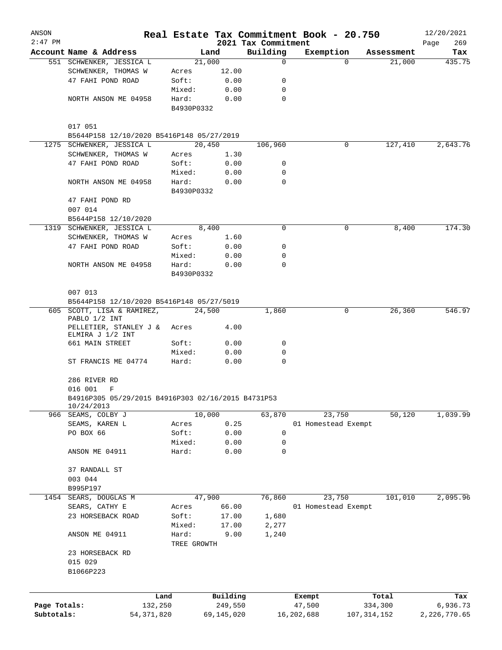| ANSON        |                                                                  |                      |                |                         | Real Estate Tax Commitment Book - 20.750 |             |                      | 12/20/2021    |
|--------------|------------------------------------------------------------------|----------------------|----------------|-------------------------|------------------------------------------|-------------|----------------------|---------------|
| $2:47$ PM    | Account Name & Address                                           |                      |                | 2021 Tax Commitment     |                                          |             |                      | 269<br>Page   |
|              | 551 SCHWENKER, JESSICA L                                         |                      | Land<br>21,000 | Building<br>$\mathbf 0$ | Exemption                                | $\Omega$    | Assessment<br>21,000 | Tax<br>435.75 |
|              | SCHWENKER, THOMAS W                                              | Acres                | 12.00          |                         |                                          |             |                      |               |
|              | 47 FAHI POND ROAD                                                | Soft:                | 0.00           | 0                       |                                          |             |                      |               |
|              |                                                                  | Mixed:               | 0.00           | 0                       |                                          |             |                      |               |
|              | NORTH ANSON ME 04958                                             | Hard:                | 0.00           | 0                       |                                          |             |                      |               |
|              |                                                                  | B4930P0332           |                |                         |                                          |             |                      |               |
|              | 017 051                                                          |                      |                |                         |                                          |             |                      |               |
|              | B5644P158 12/10/2020 B5416P148 05/27/2019                        |                      |                |                         |                                          |             |                      |               |
|              | 1275 SCHWENKER, JESSICA L                                        |                      | 20,450         | 106,960                 |                                          | 0           | 127,410              | 2,643.76      |
|              | SCHWENKER, THOMAS W                                              | Acres                | 1.30           |                         |                                          |             |                      |               |
|              | 47 FAHI POND ROAD                                                | Soft:                | 0.00           | 0                       |                                          |             |                      |               |
|              |                                                                  | Mixed:               | 0.00           | 0                       |                                          |             |                      |               |
|              | NORTH ANSON ME 04958                                             | Hard:                | 0.00           | 0                       |                                          |             |                      |               |
|              |                                                                  | B4930P0332           |                |                         |                                          |             |                      |               |
|              | 47 FAHI POND RD                                                  |                      |                |                         |                                          |             |                      |               |
|              | 007 014                                                          |                      |                |                         |                                          |             |                      |               |
|              | B5644P158 12/10/2020<br>1319 SCHWENKER, JESSICA L                |                      | 8,400          | 0                       |                                          | 0           | 8,400                | 174.30        |
|              | SCHWENKER, THOMAS W                                              | Acres                | 1.60           |                         |                                          |             |                      |               |
|              | 47 FAHI POND ROAD                                                | Soft:                | 0.00           | 0                       |                                          |             |                      |               |
|              |                                                                  | Mixed:               | 0.00           | $\mathbf 0$             |                                          |             |                      |               |
|              | NORTH ANSON ME 04958                                             | Hard:                | 0.00           | 0                       |                                          |             |                      |               |
|              |                                                                  | B4930P0332           |                |                         |                                          |             |                      |               |
|              | 007 013                                                          |                      |                |                         |                                          |             |                      |               |
|              | B5644P158 12/10/2020 B5416P148 05/27/5019                        |                      |                |                         |                                          |             |                      |               |
|              | 605 SCOTT, LISA & RAMIREZ,                                       |                      | 24,500         | 1,860                   |                                          | 0           | 26,360               | 546.97        |
|              | PABLO 1/2 INT<br>PELLETIER, STANLEY J &<br>ELMIRA J 1/2 INT      | Acres                | 4.00           |                         |                                          |             |                      |               |
|              | 661 MAIN STREET                                                  | Soft:                | 0.00           | 0                       |                                          |             |                      |               |
|              |                                                                  | Mixed:               | 0.00           | 0                       |                                          |             |                      |               |
|              | ST FRANCIS ME 04774                                              | Hard:                | 0.00           | $\mathbf 0$             |                                          |             |                      |               |
|              | 286 RIVER RD                                                     |                      |                |                         |                                          |             |                      |               |
|              | 016 001<br>F                                                     |                      |                |                         |                                          |             |                      |               |
|              | B4916P305 05/29/2015 B4916P303 02/16/2015 B4731P53<br>10/24/2013 |                      |                |                         |                                          |             |                      |               |
|              | 966 SEAMS, COLBY J                                               |                      | 10,000         | 63,870                  | 23,750                                   |             | 50,120               | 1,039.99      |
|              | SEAMS, KAREN L                                                   | Acres                | 0.25           |                         | 01 Homestead Exempt                      |             |                      |               |
|              | PO BOX 66                                                        | Soft:                | 0.00           | 0                       |                                          |             |                      |               |
|              |                                                                  | Mixed:               | 0.00           | 0                       |                                          |             |                      |               |
|              | ANSON ME 04911                                                   | Hard:                | 0.00           | 0                       |                                          |             |                      |               |
|              | 37 RANDALL ST                                                    |                      |                |                         |                                          |             |                      |               |
|              | 003 044                                                          |                      |                |                         |                                          |             |                      |               |
|              | B995P197                                                         |                      |                |                         |                                          |             |                      |               |
| 1454         | SEARS, DOUGLAS M                                                 |                      | 47,900         | 76,860                  | 23,750                                   |             | 101,010              | 2,095.96      |
|              | SEARS, CATHY E                                                   | Acres                | 66.00          |                         | 01 Homestead Exempt                      |             |                      |               |
|              | 23 HORSEBACK ROAD                                                | Soft:                | 17.00          | 1,680                   |                                          |             |                      |               |
|              |                                                                  | Mixed:               | 17.00          | 2,277                   |                                          |             |                      |               |
|              | ANSON ME 04911                                                   | Hard:<br>TREE GROWTH | 9.00           | 1,240                   |                                          |             |                      |               |
|              | 23 HORSEBACK RD                                                  |                      |                |                         |                                          |             |                      |               |
|              | 015 029                                                          |                      |                |                         |                                          |             |                      |               |
|              | B1066P223                                                        |                      |                |                         |                                          |             |                      |               |
|              |                                                                  |                      |                |                         |                                          |             |                      |               |
|              | Land                                                             |                      | Building       |                         | Exempt                                   |             | Total                | Tax           |
| Page Totals: | 132,250                                                          |                      | 249,550        |                         | 47,500                                   |             | 334,300              | 6,936.73      |
| Subtotals:   | 54, 371, 820                                                     |                      | 69,145,020     |                         | 16,202,688                               | 107,314,152 |                      | 2,226,770.65  |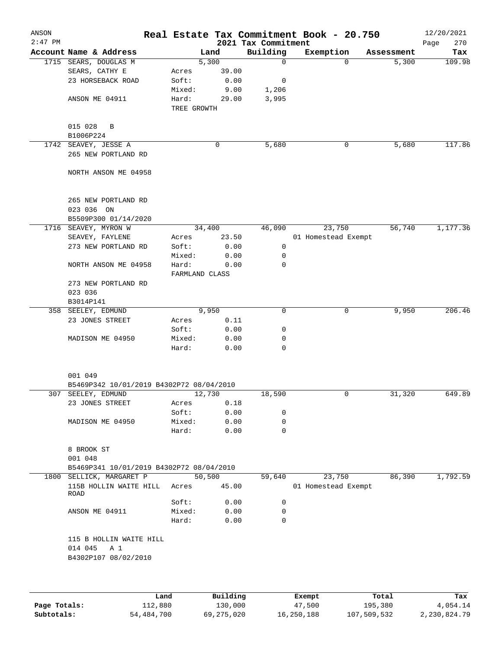| ANSON     |                                          |                |        |                     | Real Estate Tax Commitment Book - 20.750 |            | 12/20/2021  |
|-----------|------------------------------------------|----------------|--------|---------------------|------------------------------------------|------------|-------------|
| $2:47$ PM |                                          |                |        | 2021 Tax Commitment |                                          |            | 270<br>Page |
|           | Account Name & Address                   |                | Land   | Building            | Exemption                                | Assessment | Tax         |
|           | 1715 SEARS, DOUGLAS M                    |                | 5,300  | $\Omega$            | $\Omega$                                 | 5,300      | 109.98      |
|           | SEARS, CATHY E                           | Acres          | 39.00  |                     |                                          |            |             |
|           | 23 HORSEBACK ROAD                        | Soft:          | 0.00   | 0                   |                                          |            |             |
|           |                                          | Mixed:         | 9.00   | 1,206               |                                          |            |             |
|           | ANSON ME 04911                           | Hard:          | 29.00  | 3,995               |                                          |            |             |
|           |                                          | TREE GROWTH    |        |                     |                                          |            |             |
|           |                                          |                |        |                     |                                          |            |             |
|           | 015 028<br>B                             |                |        |                     |                                          |            |             |
|           | B1006P224                                |                |        |                     |                                          |            |             |
|           | 1742 SEAVEY, JESSE A                     |                | 0      | 5,680               | 0                                        | 5,680      | 117.86      |
|           | 265 NEW PORTLAND RD                      |                |        |                     |                                          |            |             |
|           |                                          |                |        |                     |                                          |            |             |
|           | NORTH ANSON ME 04958                     |                |        |                     |                                          |            |             |
|           |                                          |                |        |                     |                                          |            |             |
|           |                                          |                |        |                     |                                          |            |             |
|           | 265 NEW PORTLAND RD                      |                |        |                     |                                          |            |             |
|           | 023 036 ON                               |                |        |                     |                                          |            |             |
|           | B5509P300 01/14/2020                     |                |        |                     |                                          |            |             |
|           | 1716 SEAVEY, MYRON W                     |                | 34,400 | 46,090              | 23,750                                   | 56,740     | 1,177.36    |
|           | SEAVEY, FAYLENE                          | Acres          | 23.50  |                     | 01 Homestead Exempt                      |            |             |
|           | 273 NEW PORTLAND RD                      | Soft:          | 0.00   | 0                   |                                          |            |             |
|           |                                          | Mixed:         | 0.00   | 0                   |                                          |            |             |
|           | NORTH ANSON ME 04958                     | Hard:          | 0.00   | 0                   |                                          |            |             |
|           |                                          | FARMLAND CLASS |        |                     |                                          |            |             |
|           | 273 NEW PORTLAND RD                      |                |        |                     |                                          |            |             |
|           | 023 036                                  |                |        |                     |                                          |            |             |
|           | B3014P141                                |                |        |                     |                                          |            |             |
|           | 358 SEELEY, EDMUND                       |                | 9,950  | 0                   | 0                                        | 9,950      | 206.46      |
|           | 23 JONES STREET                          | Acres          | 0.11   |                     |                                          |            |             |
|           |                                          | Soft:          | 0.00   | 0                   |                                          |            |             |
|           | MADISON ME 04950                         | Mixed:         | 0.00   | 0                   |                                          |            |             |
|           |                                          | Hard:          | 0.00   | $\Omega$            |                                          |            |             |
|           |                                          |                |        |                     |                                          |            |             |
|           |                                          |                |        |                     |                                          |            |             |
|           | 001 049                                  |                |        |                     |                                          |            |             |
|           | B5469P342 10/01/2019 B4302P72 08/04/2010 |                |        |                     |                                          |            |             |
| 307       | SEELEY, EDMUND                           |                | 12,730 | 18,590              | 0                                        | 31,320     | 649.89      |
|           | 23 JONES STREET                          | Acres          | 0.18   |                     |                                          |            |             |
|           |                                          | Soft:          | 0.00   | 0                   |                                          |            |             |
|           | MADISON ME 04950                         | Mixed:         | 0.00   | 0                   |                                          |            |             |
|           |                                          | Hard:          | 0.00   | $\mathbf 0$         |                                          |            |             |
|           |                                          |                |        |                     |                                          |            |             |
|           | 8 BROOK ST                               |                |        |                     |                                          |            |             |
|           | 001 048                                  |                |        |                     |                                          |            |             |
|           | B5469P341 10/01/2019 B4302P72 08/04/2010 |                |        |                     |                                          |            |             |
|           |                                          |                |        |                     |                                          |            |             |
|           | 1800 SELLICK, MARGARET P                 |                | 50,500 | 59,640              | 23,750                                   | 86,390     | 1,792.59    |
|           | 115B HOLLIN WAITE HILL<br>ROAD           | Acres          | 45.00  |                     | 01 Homestead Exempt                      |            |             |
|           |                                          | Soft:          | 0.00   | 0                   |                                          |            |             |
|           | ANSON ME 04911                           | Mixed:         | 0.00   | 0                   |                                          |            |             |
|           |                                          | Hard:          | 0.00   | 0                   |                                          |            |             |
|           |                                          |                |        |                     |                                          |            |             |
|           | 115 B HOLLIN WAITE HILL                  |                |        |                     |                                          |            |             |
|           | 014 045<br>A 1                           |                |        |                     |                                          |            |             |
|           | B4302P107 08/02/2010                     |                |        |                     |                                          |            |             |
|           |                                          |                |        |                     |                                          |            |             |
|           |                                          |                |        |                     |                                          |            |             |
|           |                                          |                |        |                     |                                          |            |             |
|           |                                          |                |        |                     |                                          |            |             |

|              | Land       | Building   | Exempt     | Total       | Tax          |
|--------------|------------|------------|------------|-------------|--------------|
| Page Totals: | 112,880    | 130,000    | 47,500     | 195,380     | 4,054.14     |
| Subtotals:   | 54,484,700 | 69,275,020 | 16,250,188 | 107,509,532 | 2,230,824.79 |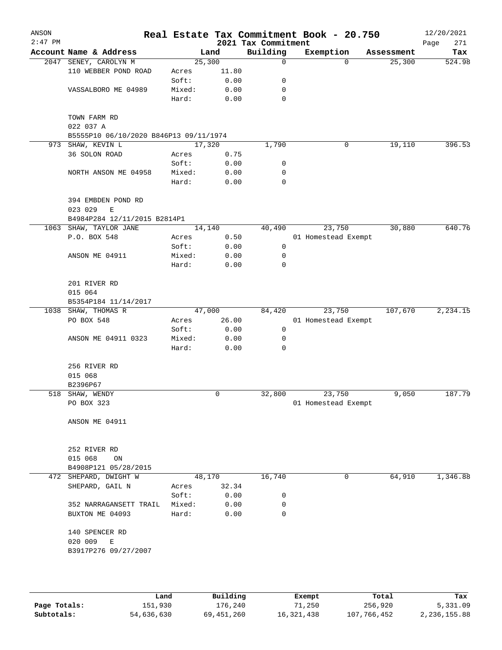| ANSON<br>$2:47$ PM |                                        |        |        | 2021 Tax Commitment | Real Estate Tax Commitment Book - 20.750 |            | 12/20/2021         |
|--------------------|----------------------------------------|--------|--------|---------------------|------------------------------------------|------------|--------------------|
|                    | Account Name & Address                 |        | Land   | Building            | Exemption                                | Assessment | Page<br>271<br>Tax |
| 2047               | SENEY, CAROLYN M                       |        | 25,300 | 0                   | 0                                        | 25,300     | 524.98             |
|                    | 110 WEBBER POND ROAD                   | Acres  | 11.80  |                     |                                          |            |                    |
|                    |                                        | Soft:  | 0.00   | 0                   |                                          |            |                    |
|                    | VASSALBORO ME 04989                    | Mixed: | 0.00   | 0                   |                                          |            |                    |
|                    |                                        | Hard:  | 0.00   | $\mathbf 0$         |                                          |            |                    |
|                    | TOWN FARM RD<br>022 037 A              |        |        |                     |                                          |            |                    |
|                    | B5555P10 06/10/2020 B846P13 09/11/1974 |        |        |                     |                                          |            |                    |
|                    | 973 SHAW, KEVIN L                      |        | 17,320 | 1,790               | 0                                        | 19,110     | 396.53             |
|                    | 36 SOLON ROAD                          | Acres  | 0.75   |                     |                                          |            |                    |
|                    |                                        | Soft:  | 0.00   | 0                   |                                          |            |                    |
|                    | NORTH ANSON ME 04958                   | Mixed: | 0.00   | 0                   |                                          |            |                    |
|                    |                                        | Hard:  | 0.00   | $\mathbf 0$         |                                          |            |                    |
|                    | 394 EMBDEN POND RD<br>023 029<br>E     |        |        |                     |                                          |            |                    |
|                    | B4984P284 12/11/2015 B2814P1           |        |        |                     |                                          |            |                    |
|                    | 1063 SHAW, TAYLOR JANE                 |        | 14,140 | 40,490              | 23,750                                   | 30,880     | 640.76             |
|                    | P.O. BOX 548                           | Acres  | 0.50   |                     | 01 Homestead Exempt                      |            |                    |
|                    |                                        | Soft:  | 0.00   | 0                   |                                          |            |                    |
|                    | ANSON ME 04911                         | Mixed: | 0.00   | 0                   |                                          |            |                    |
|                    |                                        | Hard:  | 0.00   | 0                   |                                          |            |                    |
|                    | 201 RIVER RD                           |        |        |                     |                                          |            |                    |
|                    | 015 064                                |        |        |                     |                                          |            |                    |
|                    | B5354P184 11/14/2017                   |        |        |                     |                                          |            |                    |
|                    | 1038 SHAW, THOMAS R                    |        | 47,000 | 84,420              | 23,750                                   | 107,670    | 2,234.15           |
|                    | PO BOX 548                             | Acres  | 26.00  |                     | 01 Homestead Exempt                      |            |                    |
|                    |                                        | Soft:  | 0.00   | 0                   |                                          |            |                    |
|                    | ANSON ME 04911 0323                    | Mixed: | 0.00   | 0                   |                                          |            |                    |
|                    |                                        | Hard:  | 0.00   | 0                   |                                          |            |                    |
|                    | 256 RIVER RD                           |        |        |                     |                                          |            |                    |
|                    | 015 068                                |        |        |                     |                                          |            |                    |
|                    | B2396P67                               |        |        |                     |                                          |            |                    |
|                    | 518 SHAW, WENDY                        |        | 0      | 32,800              | 23,750                                   | 9,050      | 187.79             |
|                    | PO BOX 323                             |        |        |                     | 01 Homestead Exempt                      |            |                    |
|                    | ANSON ME 04911                         |        |        |                     |                                          |            |                    |
|                    |                                        |        |        |                     |                                          |            |                    |
|                    | 252 RIVER RD                           |        |        |                     |                                          |            |                    |
|                    | 015 068<br>ON                          |        |        |                     |                                          |            |                    |
|                    | B4908P121 05/28/2015                   |        |        |                     |                                          |            |                    |
|                    | 472 SHEPARD, DWIGHT W                  |        | 48,170 | 16,740              | 0                                        | 64,910     | 1,346.88           |
|                    | SHEPARD, GAIL N                        | Acres  | 32.34  |                     |                                          |            |                    |
|                    |                                        | Soft:  | 0.00   | 0                   |                                          |            |                    |
|                    | 352 NARRAGANSETT TRAIL                 | Mixed: | 0.00   | 0                   |                                          |            |                    |
|                    | BUXTON ME 04093                        | Hard:  | 0.00   | $\Omega$            |                                          |            |                    |
|                    | 140 SPENCER RD                         |        |        |                     |                                          |            |                    |
|                    | 020 009<br>E                           |        |        |                     |                                          |            |                    |
|                    | B3917P276 09/27/2007                   |        |        |                     |                                          |            |                    |
|                    |                                        |        |        |                     |                                          |            |                    |
|                    |                                        |        |        |                     |                                          |            |                    |
|                    |                                        |        |        |                     |                                          |            |                    |

|              | Land       | Building   | Exempt       | Total       | Tax          |
|--------------|------------|------------|--------------|-------------|--------------|
| Page Totals: | 151,930    | 176,240    | 71,250       | 256,920     | 5,331.09     |
| Subtotals:   | 54,636,630 | 69,451,260 | 16, 321, 438 | 107,766,452 | 2,236,155.88 |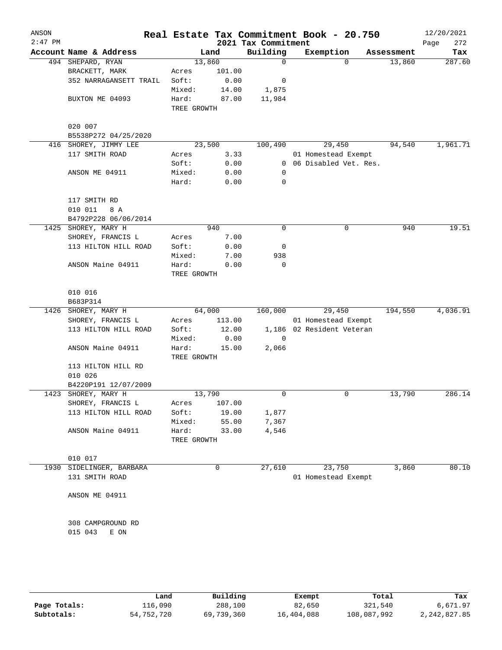| ANSON<br>$2:47$ PM |                        |             |        | Real Estate Tax Commitment Book - 20.750<br>2021 Tax Commitment |                           |          |            | 12/20/2021<br>272<br>Page |
|--------------------|------------------------|-------------|--------|-----------------------------------------------------------------|---------------------------|----------|------------|---------------------------|
|                    | Account Name & Address |             | Land   | Building                                                        | Exemption                 |          | Assessment | Tax                       |
|                    | 494 SHEPARD, RYAN      | 13,860      |        | 0                                                               |                           | $\Omega$ | 13,860     | 287.60                    |
|                    | BRACKETT, MARK         | Acres       | 101.00 |                                                                 |                           |          |            |                           |
|                    | 352 NARRAGANSETT TRAIL | Soft:       | 0.00   | 0                                                               |                           |          |            |                           |
|                    |                        | Mixed:      | 14.00  | 1,875                                                           |                           |          |            |                           |
|                    | BUXTON ME 04093        | Hard:       | 87.00  | 11,984                                                          |                           |          |            |                           |
|                    |                        | TREE GROWTH |        |                                                                 |                           |          |            |                           |
|                    |                        |             |        |                                                                 |                           |          |            |                           |
|                    | 020 007                |             |        |                                                                 |                           |          |            |                           |
|                    | B5538P272 04/25/2020   |             |        |                                                                 |                           |          |            |                           |
| 416                | SHOREY, JIMMY LEE      | 23,500      |        | 100,490                                                         |                           | 29,450   | 94,540     | 1,961.71                  |
|                    | 117 SMITH ROAD         | Acres       | 3.33   |                                                                 | 01 Homestead Exempt       |          |            |                           |
|                    |                        | Soft:       | 0.00   |                                                                 | 0 06 Disabled Vet. Res.   |          |            |                           |
|                    | ANSON ME 04911         | Mixed:      | 0.00   | 0                                                               |                           |          |            |                           |
|                    |                        | Hard:       | 0.00   | 0                                                               |                           |          |            |                           |
|                    |                        |             |        |                                                                 |                           |          |            |                           |
|                    | 117 SMITH RD           |             |        |                                                                 |                           |          |            |                           |
|                    | 010 011<br>8 A         |             |        |                                                                 |                           |          |            |                           |
|                    | B4792P228 06/06/2014   |             |        |                                                                 |                           |          |            |                           |
|                    | 1425 SHOREY, MARY H    |             | 940    | 0                                                               |                           | 0        | 940        | 19.51                     |
|                    | SHOREY, FRANCIS L      | Acres       | 7.00   |                                                                 |                           |          |            |                           |
|                    | 113 HILTON HILL ROAD   | Soft:       | 0.00   | 0                                                               |                           |          |            |                           |
|                    |                        | Mixed:      | 7.00   | 938                                                             |                           |          |            |                           |
|                    | ANSON Maine 04911      | Hard:       | 0.00   | 0                                                               |                           |          |            |                           |
|                    |                        | TREE GROWTH |        |                                                                 |                           |          |            |                           |
|                    |                        |             |        |                                                                 |                           |          |            |                           |
|                    | 010 016                |             |        |                                                                 |                           |          |            |                           |
|                    | B683P314               |             |        |                                                                 |                           |          |            |                           |
|                    | 1426 SHOREY, MARY H    | 64,000      |        | 160,000                                                         |                           | 29,450   | 194,550    | 4,036.91                  |
|                    | SHOREY, FRANCIS L      | Acres       | 113.00 |                                                                 | 01 Homestead Exempt       |          |            |                           |
|                    | 113 HILTON HILL ROAD   | Soft:       | 12.00  |                                                                 | 1,186 02 Resident Veteran |          |            |                           |
|                    |                        | Mixed:      | 0.00   | $\mathbf 0$                                                     |                           |          |            |                           |
|                    | ANSON Maine 04911      | Hard:       | 15.00  | 2,066                                                           |                           |          |            |                           |
|                    |                        | TREE GROWTH |        |                                                                 |                           |          |            |                           |
|                    | 113 HILTON HILL RD     |             |        |                                                                 |                           |          |            |                           |
|                    | 010 026                |             |        |                                                                 |                           |          |            |                           |
|                    | B4220P191 12/07/2009   |             |        |                                                                 |                           |          |            |                           |
|                    | 1423 SHOREY, MARY H    | 13,790      |        | 0                                                               |                           | 0        | 13,790     | 286.14                    |
|                    | SHOREY, FRANCIS L      | Acres       | 107.00 |                                                                 |                           |          |            |                           |
|                    | 113 HILTON HILL ROAD   | Soft:       | 19.00  | 1,877                                                           |                           |          |            |                           |
|                    |                        | Mixed:      | 55.00  | 7,367                                                           |                           |          |            |                           |
|                    | ANSON Maine 04911      | Hard:       | 33.00  | 4,546                                                           |                           |          |            |                           |
|                    |                        | TREE GROWTH |        |                                                                 |                           |          |            |                           |
|                    |                        |             |        |                                                                 |                           |          |            |                           |
|                    | 010 017                |             |        |                                                                 |                           |          |            |                           |
| 1930               | SIDELINGER, BARBARA    |             | 0      | 27,610                                                          |                           | 23,750   | 3,860      | 80.10                     |
|                    | 131 SMITH ROAD         |             |        |                                                                 | 01 Homestead Exempt       |          |            |                           |
|                    |                        |             |        |                                                                 |                           |          |            |                           |
|                    | ANSON ME 04911         |             |        |                                                                 |                           |          |            |                           |
|                    |                        |             |        |                                                                 |                           |          |            |                           |
|                    |                        |             |        |                                                                 |                           |          |            |                           |
|                    |                        |             |        |                                                                 |                           |          |            |                           |
|                    | 308 CAMPGROUND RD      |             |        |                                                                 |                           |          |            |                           |
|                    | 015 043<br>E ON        |             |        |                                                                 |                           |          |            |                           |
|                    |                        |             |        |                                                                 |                           |          |            |                           |
|                    |                        |             |        |                                                                 |                           |          |            |                           |
|                    |                        |             |        |                                                                 |                           |          |            |                           |
|                    |                        |             |        |                                                                 |                           |          |            |                           |

|              | Land       | Building   | Exempt     | Total       | Tax          |
|--------------|------------|------------|------------|-------------|--------------|
| Page Totals: | 116,090    | 288,100    | 82,650     | 321,540     | 6,671.97     |
| Subtotals:   | 54,752,720 | 69,739,360 | 16,404,088 | 108,087,992 | 2,242,827.85 |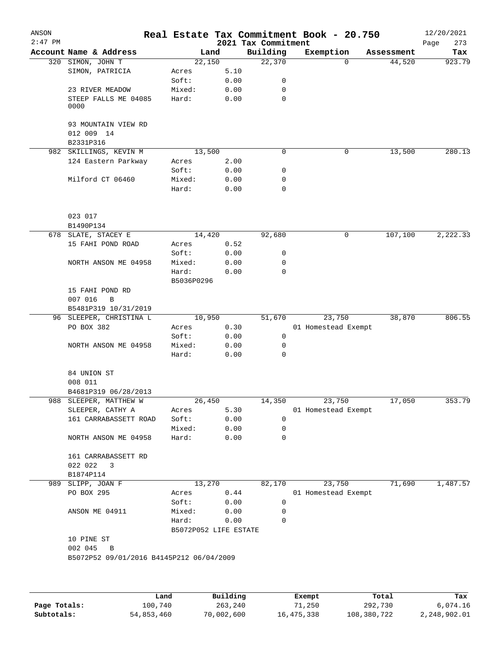| ANSON<br>$2:47$ PM |                                               |                       |      | 2021 Tax Commitment | Real Estate Tax Commitment Book - 20.750 |            | 12/20/2021<br>273<br>Page |
|--------------------|-----------------------------------------------|-----------------------|------|---------------------|------------------------------------------|------------|---------------------------|
|                    | Account Name & Address                        |                       | Land | Building            | Exemption                                | Assessment | Tax                       |
|                    | 320 SIMON, JOHN T                             | 22,150                |      | 22,370              | $\Omega$                                 | 44,520     | 923.79                    |
|                    | SIMON, PATRICIA                               | Acres                 | 5.10 |                     |                                          |            |                           |
|                    |                                               | Soft:                 | 0.00 | 0                   |                                          |            |                           |
|                    | 23 RIVER MEADOW                               | Mixed:                | 0.00 | 0                   |                                          |            |                           |
|                    |                                               |                       |      | 0                   |                                          |            |                           |
|                    | STEEP FALLS ME 04085<br>0000                  | Hard:                 | 0.00 |                     |                                          |            |                           |
|                    | 93 MOUNTAIN VIEW RD                           |                       |      |                     |                                          |            |                           |
|                    | 012 009 14                                    |                       |      |                     |                                          |            |                           |
|                    | B2331P316                                     |                       |      |                     |                                          |            |                           |
|                    | 982 SKILLINGS, KEVIN M                        | 13,500                |      | 0                   | 0                                        | 13,500     | 280.13                    |
|                    | 124 Eastern Parkway                           | Acres                 | 2.00 |                     |                                          |            |                           |
|                    |                                               | Soft:                 | 0.00 | 0                   |                                          |            |                           |
|                    | Milford CT 06460                              | Mixed:                | 0.00 | 0                   |                                          |            |                           |
|                    |                                               | Hard:                 | 0.00 | 0                   |                                          |            |                           |
|                    | 023 017                                       |                       |      |                     |                                          |            |                           |
|                    | B1490P134                                     |                       |      |                     |                                          |            |                           |
|                    | 678 SLATE, STACEY E                           | 14,420                |      | 92,680              | 0                                        | 107,100    | 2,222.33                  |
|                    | 15 FAHI POND ROAD                             | Acres                 | 0.52 |                     |                                          |            |                           |
|                    |                                               | Soft:                 | 0.00 | 0                   |                                          |            |                           |
|                    |                                               |                       |      |                     |                                          |            |                           |
|                    | NORTH ANSON ME 04958                          | Mixed:                | 0.00 | 0                   |                                          |            |                           |
|                    |                                               | Hard:<br>B5036P0296   | 0.00 | 0                   |                                          |            |                           |
|                    | 15 FAHI POND RD                               |                       |      |                     |                                          |            |                           |
|                    | 007 016<br>$\, {\bf B}$                       |                       |      |                     |                                          |            |                           |
|                    | B5481P319 10/31/2019                          |                       |      |                     |                                          |            |                           |
|                    | 96 SLEEPER, CHRISTINA L                       | 10,950                |      | 51,670              | 23,750                                   | 38,870     | 806.55                    |
|                    | PO BOX 382                                    | Acres                 | 0.30 |                     | 01 Homestead Exempt                      |            |                           |
|                    |                                               | Soft:                 | 0.00 | 0                   |                                          |            |                           |
|                    | NORTH ANSON ME 04958                          | Mixed:                | 0.00 | 0                   |                                          |            |                           |
|                    |                                               | Hard:                 | 0.00 | 0                   |                                          |            |                           |
|                    | 84 UNION ST                                   |                       |      |                     |                                          |            |                           |
|                    | 008 011                                       |                       |      |                     |                                          |            |                           |
|                    | B4681P319 06/28/2013                          |                       |      |                     |                                          |            |                           |
|                    | 988 SLEEPER, MATTHEW W                        | 26,450                |      | 14,350              | 23,750                                   | 17,050     | 353.79                    |
|                    | SLEEPER, CATHY A                              | Acres                 | 5.30 |                     | 01 Homestead Exempt                      |            |                           |
|                    | 161 CARRABASSETT ROAD                         | Soft:                 | 0.00 | 0                   |                                          |            |                           |
|                    |                                               | Mixed:                | 0.00 | 0                   |                                          |            |                           |
|                    | NORTH ANSON ME 04958                          | Hard:                 | 0.00 | 0                   |                                          |            |                           |
|                    | 161 CARRABASSETT RD                           |                       |      |                     |                                          |            |                           |
|                    | 022 022<br>3                                  |                       |      |                     |                                          |            |                           |
|                    | B1874P114                                     |                       |      |                     |                                          |            |                           |
| 989                | SLIPP, JOAN F                                 | 13,270                |      | 82,170              | 23,750                                   | 71,690     | 1,487.57                  |
|                    | PO BOX 295                                    | Acres                 | 0.44 |                     | 01 Homestead Exempt                      |            |                           |
|                    |                                               | Soft:                 | 0.00 | 0                   |                                          |            |                           |
|                    | ANSON ME 04911                                | Mixed:                | 0.00 | 0                   |                                          |            |                           |
|                    |                                               | Hard:                 | 0.00 | 0                   |                                          |            |                           |
|                    | 10 PINE ST                                    | B5072P052 LIFE ESTATE |      |                     |                                          |            |                           |
|                    | 002 045                                       |                       |      |                     |                                          |            |                           |
|                    | B<br>B5072P52 09/01/2016 B4145P212 06/04/2009 |                       |      |                     |                                          |            |                           |
|                    |                                               |                       |      |                     |                                          |            |                           |
|                    |                                               |                       |      |                     |                                          |            |                           |
|                    |                                               |                       |      |                     |                                          |            |                           |
|                    |                                               |                       |      |                     |                                          |            |                           |

|              | Land       | Building   | Exempt     | Total       | Tax          |
|--------------|------------|------------|------------|-------------|--------------|
| Page Totals: | 100,740    | 263,240    | 71,250     | 292,730     | 6,074.16     |
| Subtotals:   | 54,853,460 | 70,002,600 | 16,475,338 | 108,380,722 | 2,248,902.01 |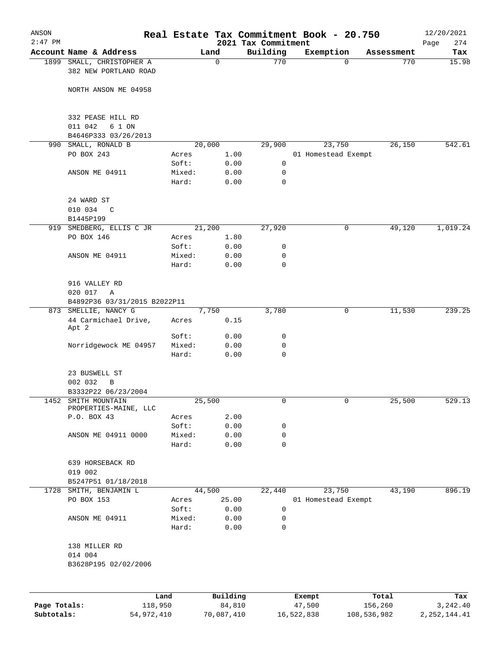| ANSON        |                                                             |        |                |                     | Real Estate Tax Commitment Book - 20.750 |                                  | 12/20/2021         |
|--------------|-------------------------------------------------------------|--------|----------------|---------------------|------------------------------------------|----------------------------------|--------------------|
| $2:47$ PM    | Account Name & Address                                      |        |                | 2021 Tax Commitment |                                          |                                  | 274<br>Page<br>Tax |
|              | 1899 SMALL, CHRISTOPHER A                                   |        | Land<br>0      | Building<br>770     | Exemption                                | Assessment<br>770<br>$\mathbf 0$ | 15.98              |
|              | 382 NEW PORTLAND ROAD                                       |        |                |                     |                                          |                                  |                    |
|              | NORTH ANSON ME 04958                                        |        |                |                     |                                          |                                  |                    |
|              | 332 PEASE HILL RD<br>011 042<br>6 1 ON                      |        |                |                     |                                          |                                  |                    |
|              | B4646P333 03/26/2013                                        |        |                |                     |                                          |                                  |                    |
| 990          | SMALL, RONALD B                                             |        | 20,000         | 29,900              | 23,750                                   | 26,150                           | 542.61             |
|              | PO BOX 243                                                  | Acres  | 1.00           |                     | 01 Homestead Exempt                      |                                  |                    |
|              |                                                             | Soft:  | 0.00           | 0                   |                                          |                                  |                    |
|              | ANSON ME 04911                                              | Mixed: | 0.00           | 0                   |                                          |                                  |                    |
|              |                                                             | Hard:  | 0.00           | $\mathbf 0$         |                                          |                                  |                    |
|              | 24 WARD ST<br>010 034<br>$\mathcal{C}$                      |        |                |                     |                                          |                                  |                    |
|              | B1445P199                                                   |        |                |                     |                                          |                                  |                    |
|              | 919 SMEDBERG, ELLIS C JR                                    |        | 21,200         | 27,920              |                                          | 49,120<br>0                      | 1,019.24           |
|              | PO BOX 146                                                  | Acres  | 1.80           |                     |                                          |                                  |                    |
|              |                                                             | Soft:  | 0.00           | 0                   |                                          |                                  |                    |
|              | ANSON ME 04911                                              | Mixed: | 0.00           | 0                   |                                          |                                  |                    |
|              |                                                             | Hard:  | 0.00           | $\mathbf 0$         |                                          |                                  |                    |
|              | 916 VALLEY RD                                               |        |                |                     |                                          |                                  |                    |
|              | 020 017<br>Α                                                |        |                |                     |                                          |                                  |                    |
|              | B4892P36 03/31/2015 B2022P11                                |        |                |                     |                                          |                                  |                    |
|              | 873 SMELLIE, NANCY G<br>44 Carmichael Drive,<br>Apt 2       | Acres  | 7,750<br>0.15  | 3,780               |                                          | 0<br>11,530                      | 239.25             |
|              |                                                             | Soft:  | 0.00           | 0                   |                                          |                                  |                    |
|              | Norridgewock ME 04957                                       | Mixed: | 0.00           | 0                   |                                          |                                  |                    |
|              |                                                             | Hard:  | 0.00           | $\mathbf 0$         |                                          |                                  |                    |
|              | 23 BUSWELL ST                                               |        |                |                     |                                          |                                  |                    |
|              | 002 032<br>B                                                |        |                |                     |                                          |                                  |                    |
|              | B3332P22 06/23/2004                                         |        |                |                     |                                          |                                  |                    |
|              | 1452 SMITH MOUNTAIN<br>PROPERTIES-MAINE, LLC<br>P.O. BOX 43 | Acres  | 25,500<br>2.00 | 0                   |                                          | 0<br>25,500                      | 529.13             |
|              |                                                             | Soft:  | 0.00           | 0                   |                                          |                                  |                    |
|              | ANSON ME 04911 0000                                         | Mixed: | 0.00           | 0                   |                                          |                                  |                    |
|              |                                                             | Hard:  | 0.00           | $\mathbf 0$         |                                          |                                  |                    |
|              | 639 HORSEBACK RD                                            |        |                |                     |                                          |                                  |                    |
|              | 019 002<br>B5247P51 01/18/2018                              |        |                |                     |                                          |                                  |                    |
|              | 1728 SMITH, BENJAMIN L                                      |        | 44,500         | 22,440              | 23,750                                   | 43,190                           | 896.19             |
|              | PO BOX 153                                                  | Acres  | 25.00          |                     | 01 Homestead Exempt                      |                                  |                    |
|              |                                                             | Soft:  | 0.00           | 0                   |                                          |                                  |                    |
|              | ANSON ME 04911                                              | Mixed: | 0.00           | 0                   |                                          |                                  |                    |
|              |                                                             | Hard:  | 0.00           | 0                   |                                          |                                  |                    |
|              | 138 MILLER RD<br>014 004                                    |        |                |                     |                                          |                                  |                    |
|              | B3628P195 02/02/2006                                        |        |                |                     |                                          |                                  |                    |
|              |                                                             |        |                |                     |                                          |                                  |                    |
|              |                                                             | Land   | Building       |                     | Exempt                                   | Total                            | Tax                |
| Page Totals: | 118,950                                                     |        | 84,810         |                     | 47,500                                   | 156,260                          | 3,242.40           |

**Subtotals:** 54,972,410 70,087,410 16,522,838 108,536,982 2,252,144.41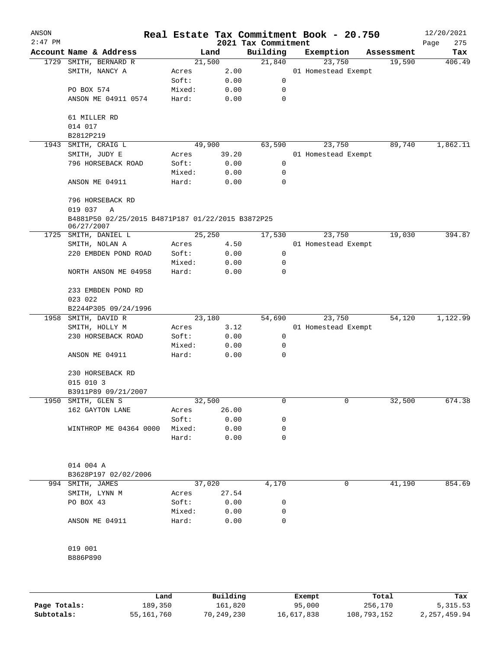| ANSON     |                                                   |        |        |                                 | Real Estate Tax Commitment Book - 20.750 |            | 12/20/2021         |
|-----------|---------------------------------------------------|--------|--------|---------------------------------|------------------------------------------|------------|--------------------|
| $2:47$ PM | Account Name & Address                            |        | Land   | 2021 Tax Commitment<br>Building | Exemption                                | Assessment | Page<br>275<br>Tax |
| 1729      | SMITH, BERNARD R                                  |        | 21,500 | 21,840                          | 23,750                                   | 19,590     | 406.49             |
|           | SMITH, NANCY A                                    | Acres  | 2.00   |                                 | 01 Homestead Exempt                      |            |                    |
|           |                                                   | Soft:  | 0.00   | 0                               |                                          |            |                    |
|           | PO BOX 574                                        | Mixed: | 0.00   | 0                               |                                          |            |                    |
|           | ANSON ME 04911 0574                               | Hard:  | 0.00   | 0                               |                                          |            |                    |
|           |                                                   |        |        |                                 |                                          |            |                    |
|           | 61 MILLER RD                                      |        |        |                                 |                                          |            |                    |
|           | 014 017                                           |        |        |                                 |                                          |            |                    |
|           | B2812P219                                         |        |        |                                 |                                          |            |                    |
| 1943      | SMITH, CRAIG L                                    |        | 49,900 | 63,590                          | 23,750                                   | 89,740     | 1,862.11           |
|           | SMITH, JUDY E                                     | Acres  | 39.20  |                                 | 01 Homestead Exempt                      |            |                    |
|           | 796 HORSEBACK ROAD                                | Soft:  | 0.00   | 0                               |                                          |            |                    |
|           |                                                   | Mixed: | 0.00   | 0                               |                                          |            |                    |
|           | ANSON ME 04911                                    | Hard:  | 0.00   | 0                               |                                          |            |                    |
|           |                                                   |        |        |                                 |                                          |            |                    |
|           | 796 HORSEBACK RD                                  |        |        |                                 |                                          |            |                    |
|           | 019 037<br>Α                                      |        |        |                                 |                                          |            |                    |
|           | B4881P50 02/25/2015 B4871P187 01/22/2015 B3872P25 |        |        |                                 |                                          |            |                    |
|           | 06/27/2007                                        |        |        |                                 |                                          |            |                    |
| 1725      | SMITH, DANIEL L                                   |        | 25,250 | 17,530                          | 23,750                                   | 19,030     | 394.87             |
|           | SMITH, NOLAN A                                    | Acres  | 4.50   |                                 | 01 Homestead Exempt                      |            |                    |
|           | 220 EMBDEN POND ROAD                              | Soft:  | 0.00   | 0                               |                                          |            |                    |
|           |                                                   | Mixed: | 0.00   | 0                               |                                          |            |                    |
|           | NORTH ANSON ME 04958                              | Hard:  | 0.00   | 0                               |                                          |            |                    |
|           |                                                   |        |        |                                 |                                          |            |                    |
|           | 233 EMBDEN POND RD                                |        |        |                                 |                                          |            |                    |
|           | 023 022                                           |        |        |                                 |                                          |            |                    |
|           | B2244P305 09/24/1996                              |        |        |                                 |                                          |            |                    |
| 1958      | SMITH, DAVID R                                    |        | 23,180 | 54,690                          | 23,750                                   | 54,120     | 1,122.99           |
|           | SMITH, HOLLY M                                    | Acres  | 3.12   |                                 | 01 Homestead Exempt                      |            |                    |
|           | 230 HORSEBACK ROAD                                | Soft:  | 0.00   | 0                               |                                          |            |                    |
|           |                                                   | Mixed: | 0.00   | 0                               |                                          |            |                    |
|           | ANSON ME 04911                                    | Hard:  | 0.00   | 0                               |                                          |            |                    |
|           |                                                   |        |        |                                 |                                          |            |                    |
|           | 230 HORSEBACK RD                                  |        |        |                                 |                                          |            |                    |
|           | 015 010 3                                         |        |        |                                 |                                          |            |                    |
|           | B3911P89 09/21/2007                               |        |        |                                 |                                          |            |                    |
|           | 1950 SMITH, GLEN S                                |        | 32,500 | 0                               | 0                                        | 32,500     | 674.38             |
|           | 162 GAYTON LANE                                   | Acres  | 26.00  |                                 |                                          |            |                    |
|           |                                                   | Soft:  | 0.00   | 0                               |                                          |            |                    |
|           | WINTHROP ME 04364 0000                            | Mixed: | 0.00   | 0                               |                                          |            |                    |
|           |                                                   | Hard:  | 0.00   | 0                               |                                          |            |                    |
|           |                                                   |        |        |                                 |                                          |            |                    |
|           |                                                   |        |        |                                 |                                          |            |                    |
|           | 014 004 A                                         |        |        |                                 |                                          |            |                    |
|           | B3628P197 02/02/2006                              |        |        |                                 |                                          |            |                    |
|           | 994 SMITH, JAMES                                  |        | 37,020 | 4,170                           | 0                                        | 41,190     | 854.69             |
|           | SMITH, LYNN M                                     | Acres  | 27.54  |                                 |                                          |            |                    |
|           | PO BOX 43                                         | Soft:  | 0.00   | 0                               |                                          |            |                    |
|           |                                                   | Mixed: | 0.00   | 0                               |                                          |            |                    |
|           | ANSON ME 04911                                    | Hard:  | 0.00   | 0                               |                                          |            |                    |
|           |                                                   |        |        |                                 |                                          |            |                    |
|           |                                                   |        |        |                                 |                                          |            |                    |
|           | 019 001                                           |        |        |                                 |                                          |            |                    |
|           | B886P890                                          |        |        |                                 |                                          |            |                    |
|           |                                                   |        |        |                                 |                                          |            |                    |
|           |                                                   |        |        |                                 |                                          |            |                    |
|           |                                                   |        |        |                                 |                                          |            |                    |

|              | Land       | Building   | Exempt     | Total       | Tax          |
|--------------|------------|------------|------------|-------------|--------------|
| Page Totals: | 189,350    | 161,820    | 95,000     | 256,170     | 5, 315.53    |
| Subtotals:   | 55,161,760 | 70,249,230 | 16,617,838 | 108,793,152 | 2,257,459.94 |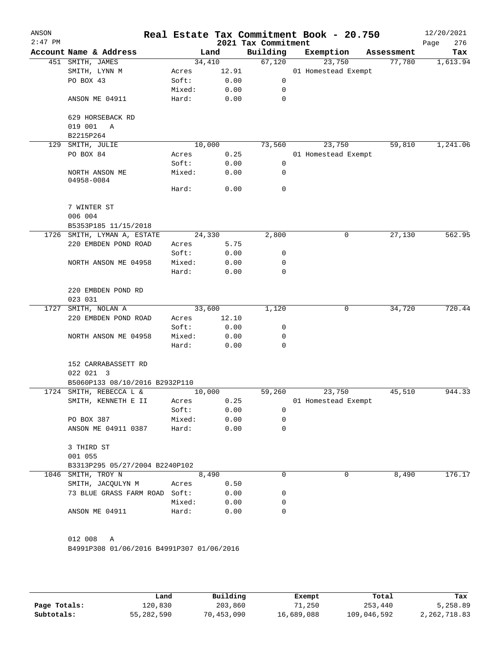| ANSON<br>$2:47$ PM |                                           |        |        | 2021 Tax Commitment | Real Estate Tax Commitment Book - 20.750 |            | 12/20/2021<br>276<br>Page |
|--------------------|-------------------------------------------|--------|--------|---------------------|------------------------------------------|------------|---------------------------|
|                    | Account Name & Address                    |        | Land   | Building            | Exemption                                | Assessment | Tax                       |
|                    | 451 SMITH, JAMES                          | 34,410 |        | 67,120              | 23,750                                   | 77,780     | 1,613.94                  |
|                    | SMITH, LYNN M                             | Acres  | 12.91  |                     | 01 Homestead Exempt                      |            |                           |
|                    | PO BOX 43                                 | Soft:  | 0.00   | 0                   |                                          |            |                           |
|                    |                                           | Mixed: | 0.00   | 0                   |                                          |            |                           |
|                    | ANSON ME 04911                            | Hard:  | 0.00   | 0                   |                                          |            |                           |
|                    | 629 HORSEBACK RD                          |        |        |                     |                                          |            |                           |
|                    | 019 001<br>A<br>B2215P264                 |        |        |                     |                                          |            |                           |
| 129                | SMITH, JULIE                              | 10,000 |        | 73,560              | 23,750                                   | 59,810     | 1,241.06                  |
|                    | PO BOX 84                                 | Acres  | 0.25   |                     | 01 Homestead Exempt                      |            |                           |
|                    |                                           | Soft:  | 0.00   | 0                   |                                          |            |                           |
|                    | NORTH ANSON ME<br>04958-0084              | Mixed: | 0.00   | 0                   |                                          |            |                           |
|                    |                                           | Hard:  | 0.00   | 0                   |                                          |            |                           |
|                    | 7 WINTER ST                               |        |        |                     |                                          |            |                           |
|                    | 006 004                                   |        |        |                     |                                          |            |                           |
|                    | B5353P185 11/15/2018                      |        |        |                     |                                          |            |                           |
|                    | 1726 SMITH, LYMAN A, ESTATE               |        | 24,330 | 2,800               | 0                                        | 27,130     | 562.95                    |
|                    | 220 EMBDEN POND ROAD                      | Acres  | 5.75   |                     |                                          |            |                           |
|                    |                                           | Soft:  | 0.00   | 0                   |                                          |            |                           |
|                    | NORTH ANSON ME 04958                      | Mixed: | 0.00   | 0                   |                                          |            |                           |
|                    |                                           | Hard:  | 0.00   | 0                   |                                          |            |                           |
|                    | 220 EMBDEN POND RD                        |        |        |                     |                                          |            |                           |
|                    | 023 031                                   |        |        |                     |                                          |            |                           |
| 1727               | SMITH, NOLAN A                            | 33,600 |        | 1,120               | 0                                        | 34,720     | 720.44                    |
|                    | 220 EMBDEN POND ROAD                      | Acres  | 12.10  |                     |                                          |            |                           |
|                    |                                           | Soft:  | 0.00   | 0                   |                                          |            |                           |
|                    | NORTH ANSON ME 04958                      | Mixed: | 0.00   | 0                   |                                          |            |                           |
|                    |                                           | Hard:  | 0.00   | 0                   |                                          |            |                           |
|                    | 152 CARRABASSETT RD                       |        |        |                     |                                          |            |                           |
|                    | 022 021 3                                 |        |        |                     |                                          |            |                           |
|                    | B5060P133 08/10/2016 B2932P110            |        |        |                     |                                          |            |                           |
|                    | 1724 SMITH, REBECCA L &                   | 10,000 |        | 59,260              | 23,750                                   | 45,510     | 944.33                    |
|                    | SMITH, KENNETH E II                       | Acres  | 0.25   |                     | 01 Homestead Exempt                      |            |                           |
|                    |                                           | Soft:  | 0.00   | 0                   |                                          |            |                           |
|                    | PO BOX 387                                | Mixed: | 0.00   | 0<br>0              |                                          |            |                           |
|                    | ANSON ME 04911 0387                       | Hard:  | 0.00   |                     |                                          |            |                           |
|                    | 3 THIRD ST                                |        |        |                     |                                          |            |                           |
|                    | 001 055                                   |        |        |                     |                                          |            |                           |
|                    | B3313P295 05/27/2004 B2240P102            |        |        |                     |                                          |            |                           |
| 1046               | SMITH, TROY N                             |        | 8,490  | $\Omega$            | 0                                        | 8,490      | 176.17                    |
|                    | SMITH, JACQULYN M                         | Acres  | 0.50   |                     |                                          |            |                           |
|                    | 73 BLUE GRASS FARM ROAD Soft:             |        | 0.00   | 0                   |                                          |            |                           |
|                    |                                           | Mixed: | 0.00   | 0                   |                                          |            |                           |
|                    | ANSON ME 04911                            | Hard:  | 0.00   | 0                   |                                          |            |                           |
|                    | 012 008<br>Α                              |        |        |                     |                                          |            |                           |
|                    | B4991P308 01/06/2016 B4991P307 01/06/2016 |        |        |                     |                                          |            |                           |
|                    |                                           |        |        |                     |                                          |            |                           |
|                    |                                           |        |        |                     |                                          |            |                           |

|              | Land       | Building   | Exempt     | Total       | Tax          |
|--------------|------------|------------|------------|-------------|--------------|
| Page Totals: | 120,830    | 203,860    | 71,250     | 253,440     | 5,258.89     |
| Subtotals:   | 55,282,590 | 70,453,090 | 16,689,088 | 109,046,592 | 2,262,718.83 |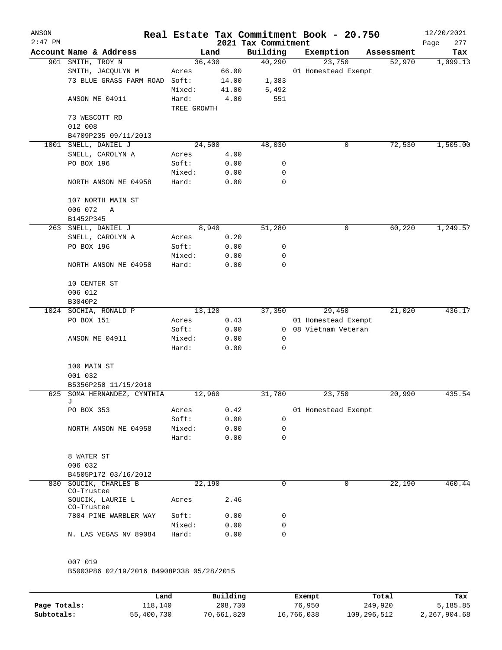| ANSON<br>$2:47$ PM |                                          |                 |              | 2021 Tax Commitment | Real Estate Tax Commitment Book - 20.750 |            | 12/20/2021<br>Page<br>277 |
|--------------------|------------------------------------------|-----------------|--------------|---------------------|------------------------------------------|------------|---------------------------|
|                    | Account Name & Address                   |                 | Land         | Building            | Exemption                                | Assessment | Tax                       |
|                    | 901 SMITH, TROY N                        | 36,430          |              | 40,290              | 23,750                                   | 52,970     | 1,099.13                  |
|                    | SMITH, JACQULYN M                        | Acres           | 66.00        |                     | 01 Homestead Exempt                      |            |                           |
|                    | 73 BLUE GRASS FARM ROAD Soft:            |                 | 14.00        | 1,383               |                                          |            |                           |
|                    |                                          | Mixed:          | 41.00        | 5,492               |                                          |            |                           |
|                    | ANSON ME 04911                           | Hard:           | 4.00         | 551                 |                                          |            |                           |
|                    |                                          | TREE GROWTH     |              |                     |                                          |            |                           |
|                    | 73 WESCOTT RD<br>012 008                 |                 |              |                     |                                          |            |                           |
|                    | B4709P235 09/11/2013                     |                 |              |                     |                                          |            |                           |
| 1001               | SNELL, DANIEL J                          | 24,500          |              | 48,030              | 0                                        | 72,530     | 1,505.00                  |
|                    | SNELL, CAROLYN A                         | Acres           | 4.00         |                     |                                          |            |                           |
|                    | PO BOX 196                               | Soft:           | 0.00         | 0                   |                                          |            |                           |
|                    |                                          | Mixed:          | 0.00         | 0                   |                                          |            |                           |
|                    | NORTH ANSON ME 04958                     | Hard:           | 0.00         | 0                   |                                          |            |                           |
|                    | 107 NORTH MAIN ST                        |                 |              |                     |                                          |            |                           |
|                    | 006 072<br>Α                             |                 |              |                     |                                          |            |                           |
|                    | B1452P345                                |                 |              |                     |                                          |            |                           |
|                    | 263 SNELL, DANIEL J                      |                 | 8,940        | 51,280              | 0                                        | 60,220     | 1,249.57                  |
|                    | SNELL, CAROLYN A                         | Acres           | 0.20         |                     |                                          |            |                           |
|                    | PO BOX 196                               | Soft:           | 0.00         | 0                   |                                          |            |                           |
|                    |                                          | Mixed:          | 0.00         | 0                   |                                          |            |                           |
|                    | NORTH ANSON ME 04958                     | Hard:           | 0.00         | 0                   |                                          |            |                           |
|                    | 10 CENTER ST                             |                 |              |                     |                                          |            |                           |
|                    | 006 012                                  |                 |              |                     |                                          |            |                           |
|                    | B3040P2                                  |                 |              |                     |                                          |            |                           |
|                    | 1024 SOCHIA, RONALD P                    | 13,120          |              | 37,350              | 29,450                                   | 21,020     | 436.17                    |
|                    | PO BOX 151                               | Acres           | 0.43         |                     | 01 Homestead Exempt                      |            |                           |
|                    |                                          | Soft:           | 0.00         | 0                   | 08 Vietnam Veteran                       |            |                           |
|                    | ANSON ME 04911                           | Mixed:<br>Hard: | 0.00<br>0.00 | 0<br>0              |                                          |            |                           |
|                    | 100 MAIN ST                              |                 |              |                     |                                          |            |                           |
|                    | 001 032                                  |                 |              |                     |                                          |            |                           |
|                    | B5356P250 11/15/2018                     |                 |              |                     |                                          |            |                           |
|                    | 625 SOMA HERNANDEZ, CYNTHIA              | 12,960          |              | 31,780              | 23,750                                   | 20,990     | 435.54                    |
|                    | J                                        |                 |              |                     |                                          |            |                           |
|                    | PO BOX 353                               | Acres           | 0.42         |                     | 01 Homestead Exempt                      |            |                           |
|                    |                                          | Soft:           | 0.00         | 0                   |                                          |            |                           |
|                    | NORTH ANSON ME 04958                     | Mixed:          | 0.00         | 0                   |                                          |            |                           |
|                    |                                          | Hard:           | 0.00         | 0                   |                                          |            |                           |
|                    | 8 WATER ST                               |                 |              |                     |                                          |            |                           |
|                    | 006 032                                  |                 |              |                     |                                          |            |                           |
|                    | B4505P172 03/16/2012                     |                 |              |                     |                                          |            |                           |
| 830                | SOUCIK, CHARLES B<br>CO-Trustee          | 22,190          |              | 0                   | 0                                        | 22,190     | 460.44                    |
|                    | SOUCIK, LAURIE L<br>CO-Trustee           | Acres           | 2.46         |                     |                                          |            |                           |
|                    | 7804 PINE WARBLER WAY                    | Soft:           | 0.00         | 0                   |                                          |            |                           |
|                    |                                          | Mixed:          | 0.00         | 0                   |                                          |            |                           |
|                    | N. LAS VEGAS NV 89084                    | Hard:           | 0.00         | $\Omega$            |                                          |            |                           |
|                    |                                          |                 |              |                     |                                          |            |                           |
|                    | 007 019                                  |                 |              |                     |                                          |            |                           |
|                    | B5003P86 02/19/2016 B4908P338 05/28/2015 |                 |              |                     |                                          |            |                           |

|              | Land       | Building   | Exempt     | Total       | Tax          |
|--------------|------------|------------|------------|-------------|--------------|
| Page Totals: | 118,140    | 208,730    | 76,950     | 249,920     | 5,185.85     |
| Subtotals:   | 55,400,730 | 70,661,820 | 16,766,038 | 109,296,512 | 2,267,904.68 |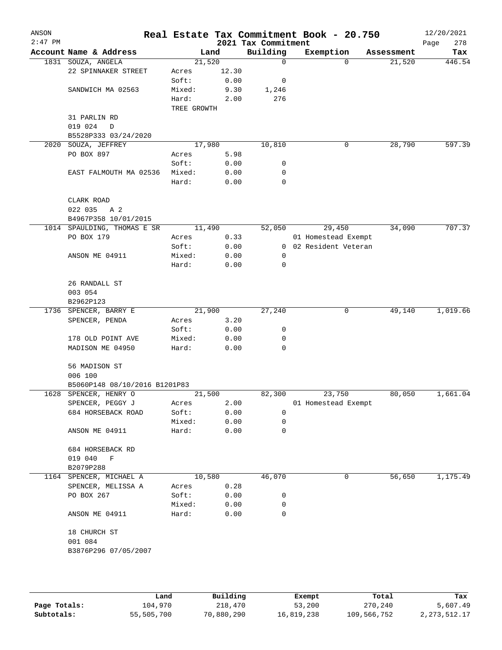| ANSON<br>$2:47$ PM |                               |             |       | 2021 Tax Commitment | Real Estate Tax Commitment Book - 20.750 |            | 12/20/2021<br>278<br>Page |
|--------------------|-------------------------------|-------------|-------|---------------------|------------------------------------------|------------|---------------------------|
|                    | Account Name & Address        | Land        |       | Building            | Exemption                                | Assessment | Tax                       |
|                    | 1831 SOUZA, ANGELA            | 21,520      |       | 0                   | 0                                        | 21,520     | 446.54                    |
|                    | 22 SPINNAKER STREET           | Acres       | 12.30 |                     |                                          |            |                           |
|                    |                               | Soft:       | 0.00  | 0                   |                                          |            |                           |
|                    | SANDWICH MA 02563             | Mixed:      | 9.30  | 1,246               |                                          |            |                           |
|                    |                               | Hard:       | 2.00  | 276                 |                                          |            |                           |
|                    |                               | TREE GROWTH |       |                     |                                          |            |                           |
|                    | 31 PARLIN RD                  |             |       |                     |                                          |            |                           |
|                    | 019 024<br>$\mathbf D$        |             |       |                     |                                          |            |                           |
|                    | B5528P333 03/24/2020          |             |       |                     |                                          |            |                           |
| 2020               | SOUZA, JEFFREY                | 17,980      |       | 10,810              | 0                                        | 28,790     | 597.39                    |
|                    | PO BOX 897                    | Acres       | 5.98  |                     |                                          |            |                           |
|                    |                               | Soft:       | 0.00  | 0                   |                                          |            |                           |
|                    | EAST FALMOUTH MA 02536        | Mixed:      | 0.00  | 0                   |                                          |            |                           |
|                    |                               | Hard:       | 0.00  | 0                   |                                          |            |                           |
|                    |                               |             |       |                     |                                          |            |                           |
|                    | CLARK ROAD                    |             |       |                     |                                          |            |                           |
|                    | 022 035<br>A 2                |             |       |                     |                                          |            |                           |
|                    | B4967P358 10/01/2015          |             |       |                     |                                          |            |                           |
|                    | 1014 SPAULDING, THOMAS E SR   | 11,490      |       | 52,050              | 29,450                                   | 34,090     | 707.37                    |
|                    | PO BOX 179                    | Acres       | 0.33  |                     | 01 Homestead Exempt                      |            |                           |
|                    |                               | Soft:       | 0.00  |                     | 0 02 Resident Veteran                    |            |                           |
|                    | ANSON ME 04911                | Mixed:      | 0.00  | 0                   |                                          |            |                           |
|                    |                               | Hard:       | 0.00  | 0                   |                                          |            |                           |
|                    |                               |             |       |                     |                                          |            |                           |
|                    | 26 RANDALL ST                 |             |       |                     |                                          |            |                           |
|                    |                               |             |       |                     |                                          |            |                           |
|                    | 003 054                       |             |       |                     |                                          |            |                           |
|                    | B2962P123                     |             |       |                     |                                          |            |                           |
|                    | 1736 SPENCER, BARRY E         | 21,900      |       | 27,240              | 0                                        | 49,140     | 1,019.66                  |
|                    | SPENCER, PENDA                | Acres       | 3.20  |                     |                                          |            |                           |
|                    |                               | Soft:       | 0.00  | 0                   |                                          |            |                           |
|                    | 178 OLD POINT AVE             | Mixed:      | 0.00  | 0                   |                                          |            |                           |
|                    | MADISON ME 04950              | Hard:       | 0.00  | 0                   |                                          |            |                           |
|                    |                               |             |       |                     |                                          |            |                           |
|                    | 56 MADISON ST                 |             |       |                     |                                          |            |                           |
|                    | 006 100                       |             |       |                     |                                          |            |                           |
|                    | B5060P148 08/10/2016 B1201P83 |             |       |                     |                                          |            |                           |
|                    | 1628 SPENCER, HENRY O         | 21,500      |       | 82,300              | 23,750                                   | 80,050     | 1,661.04                  |
|                    | SPENCER, PEGGY J              | Acres       | 2.00  |                     | 01 Homestead Exempt                      |            |                           |
|                    | 684 HORSEBACK ROAD            | Soft:       | 0.00  | 0                   |                                          |            |                           |
|                    |                               | Mixed:      | 0.00  | 0                   |                                          |            |                           |
|                    | ANSON ME 04911                | Hard:       | 0.00  | 0                   |                                          |            |                           |
|                    |                               |             |       |                     |                                          |            |                           |
|                    | 684 HORSEBACK RD              |             |       |                     |                                          |            |                           |
|                    | 019 040<br>F                  |             |       |                     |                                          |            |                           |
|                    | B2079P288                     |             |       |                     |                                          |            |                           |
| 1164               | SPENCER, MICHAEL A            | 10,580      |       | 46,070              | 0                                        | 56,650     | 1,175.49                  |
|                    | SPENCER, MELISSA A            | Acres       | 0.28  |                     |                                          |            |                           |
|                    | PO BOX 267                    | Soft:       | 0.00  | 0                   |                                          |            |                           |
|                    |                               | Mixed:      | 0.00  | 0                   |                                          |            |                           |
|                    | ANSON ME 04911                | Hard:       | 0.00  | 0                   |                                          |            |                           |
|                    |                               |             |       |                     |                                          |            |                           |
|                    | 18 CHURCH ST                  |             |       |                     |                                          |            |                           |
|                    | 001 084                       |             |       |                     |                                          |            |                           |
|                    | B3876P296 07/05/2007          |             |       |                     |                                          |            |                           |
|                    |                               |             |       |                     |                                          |            |                           |
|                    |                               |             |       |                     |                                          |            |                           |
|                    |                               |             |       |                     |                                          |            |                           |
|                    |                               |             |       |                     |                                          |            |                           |

|              | Land       | Building   | Exempt     | Total       | Tax          |
|--------------|------------|------------|------------|-------------|--------------|
| Page Totals: | 104,970    | 218,470    | 53,200     | 270,240     | 5,607.49     |
| Subtotals:   | 55,505,700 | 70,880,290 | 16,819,238 | 109,566,752 | 2,273,512.17 |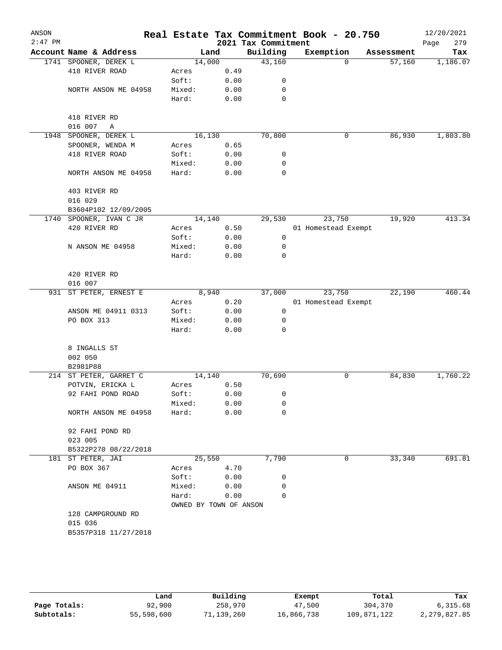| ANSON<br>$2:47$ PM |                        |                        |      | 2021 Tax Commitment | Real Estate Tax Commitment Book - 20.750 |            | 12/20/2021<br>279 |
|--------------------|------------------------|------------------------|------|---------------------|------------------------------------------|------------|-------------------|
|                    | Account Name & Address | Land                   |      | Building            | Exemption                                | Assessment | Page<br>Tax       |
|                    | 1741 SPOONER, DEREK L  | 14,000                 |      | 43,160              | $\Omega$                                 | 57,160     | 1,186.07          |
|                    | 418 RIVER ROAD         | Acres                  | 0.49 |                     |                                          |            |                   |
|                    |                        | Soft:                  | 0.00 | 0                   |                                          |            |                   |
|                    | NORTH ANSON ME 04958   | Mixed:                 | 0.00 | 0                   |                                          |            |                   |
|                    |                        | Hard:                  | 0.00 | 0                   |                                          |            |                   |
|                    |                        |                        |      |                     |                                          |            |                   |
|                    | 418 RIVER RD           |                        |      |                     |                                          |            |                   |
|                    | 016 007<br>Α           |                        |      |                     |                                          |            |                   |
| 1948               | SPOONER, DEREK L       | 16,130                 |      | 70,800              | 0                                        | 86,930     | 1,803.80          |
|                    | SPOONER, WENDA M       | Acres                  | 0.65 |                     |                                          |            |                   |
|                    | 418 RIVER ROAD         | Soft:                  | 0.00 | 0                   |                                          |            |                   |
|                    |                        | Mixed:                 | 0.00 | 0                   |                                          |            |                   |
|                    | NORTH ANSON ME 04958   | Hard:                  | 0.00 | 0                   |                                          |            |                   |
|                    | 403 RIVER RD           |                        |      |                     |                                          |            |                   |
|                    | 016 029                |                        |      |                     |                                          |            |                   |
|                    | B3604P102 12/09/2005   |                        |      |                     |                                          |            |                   |
| 1740               | SPOONER, IVAN C JR     | 14, 140                |      | 29,530              | 23,750                                   | 19,920     | 413.34            |
|                    | 420 RIVER RD           | Acres                  | 0.50 |                     | 01 Homestead Exempt                      |            |                   |
|                    |                        | Soft:                  | 0.00 | 0                   |                                          |            |                   |
|                    | N ANSON ME 04958       | Mixed:                 | 0.00 | 0                   |                                          |            |                   |
|                    |                        | Hard:                  | 0.00 | 0                   |                                          |            |                   |
|                    | 420 RIVER RD           |                        |      |                     |                                          |            |                   |
|                    | 016 007                |                        |      |                     |                                          |            |                   |
| 931                | ST PETER, ERNEST E     | 8,940                  |      | 37,000              | 23,750                                   | 22,190     | 460.44            |
|                    |                        | Acres                  | 0.20 |                     | 01 Homestead Exempt                      |            |                   |
|                    | ANSON ME 04911 0313    | Soft:                  | 0.00 | 0                   |                                          |            |                   |
|                    | PO BOX 313             | Mixed:                 | 0.00 | 0                   |                                          |            |                   |
|                    |                        | Hard:                  | 0.00 | 0                   |                                          |            |                   |
|                    | 8 INGALLS ST           |                        |      |                     |                                          |            |                   |
|                    | 002 050                |                        |      |                     |                                          |            |                   |
|                    | B2981P88               |                        |      |                     |                                          |            |                   |
|                    | 214 ST PETER, GARRET C | 14,140                 |      | 70,690              | 0                                        | 84,830     | 1,760.22          |
|                    | POTVIN, ERICKA L       | Acres                  | 0.50 |                     |                                          |            |                   |
|                    | 92 FAHI POND ROAD      | Soft:                  | 0.00 | 0                   |                                          |            |                   |
|                    |                        | Mixed:                 | 0.00 | 0                   |                                          |            |                   |
|                    | NORTH ANSON ME 04958   | Hard:                  | 0.00 | 0                   |                                          |            |                   |
|                    | 92 FAHI POND RD        |                        |      |                     |                                          |            |                   |
|                    | 023 005                |                        |      |                     |                                          |            |                   |
|                    | B5322P270 08/22/2018   |                        |      |                     |                                          |            |                   |
|                    | 181 ST PETER, JAI      | 25,550                 |      | 7,790               | 0                                        | 33,340     | 691.81            |
|                    | PO BOX 367             | Acres                  | 4.70 |                     |                                          |            |                   |
|                    |                        | Soft:                  | 0.00 | 0                   |                                          |            |                   |
|                    | ANSON ME 04911         | Mixed:                 | 0.00 | 0                   |                                          |            |                   |
|                    |                        | Hard:                  | 0.00 | 0                   |                                          |            |                   |
|                    |                        | OWNED BY TOWN OF ANSON |      |                     |                                          |            |                   |
|                    | 128 CAMPGROUND RD      |                        |      |                     |                                          |            |                   |
|                    | 015 036                |                        |      |                     |                                          |            |                   |
|                    | B5357P318 11/27/2018   |                        |      |                     |                                          |            |                   |
|                    |                        |                        |      |                     |                                          |            |                   |
|                    |                        |                        |      |                     |                                          |            |                   |
|                    |                        |                        |      |                     |                                          |            |                   |

|              | Land       | Building   | Exempt     | Total       | Tax          |
|--------------|------------|------------|------------|-------------|--------------|
| Page Totals: | 92,900     | 258,970    | 47,500     | 304,370     | 6,315.68     |
| Subtotals:   | 55,598,600 | 71,139,260 | 16,866,738 | 109,871,122 | 2,279,827.85 |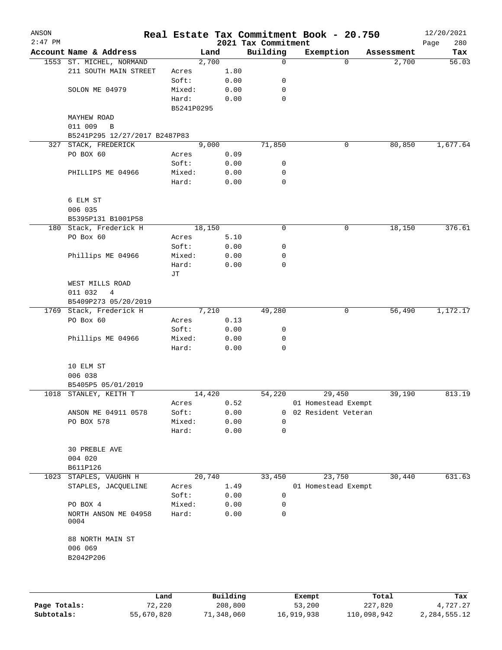| ANSON     |                               |            |        |      |                     | Real Estate Tax Commitment Book - 20.750 |            | 12/20/2021  |
|-----------|-------------------------------|------------|--------|------|---------------------|------------------------------------------|------------|-------------|
| $2:47$ PM |                               |            |        |      | 2021 Tax Commitment |                                          |            | 280<br>Page |
|           | Account Name & Address        |            | Land   |      | Building            | Exemption                                | Assessment | Tax         |
|           | 1553 ST. MICHEL, NORMAND      |            | 2,700  |      | 0                   | 0                                        | 2,700      | 56.03       |
|           | 211 SOUTH MAIN STREET         | Acres      |        | 1.80 |                     |                                          |            |             |
|           |                               | Soft:      |        | 0.00 | 0                   |                                          |            |             |
|           | SOLON ME 04979                | Mixed:     |        | 0.00 | 0                   |                                          |            |             |
|           |                               | Hard:      |        | 0.00 | $\mathbf 0$         |                                          |            |             |
|           |                               | B5241P0295 |        |      |                     |                                          |            |             |
|           | <b>MAYHEW ROAD</b>            |            |        |      |                     |                                          |            |             |
|           | 011 009<br>B                  |            |        |      |                     |                                          |            |             |
|           | B5241P295 12/27/2017 B2487P83 |            |        |      |                     |                                          |            |             |
|           | 327 STACK, FREDERICK          |            | 9,000  |      | 71,850              | 0                                        | 80,850     | 1,677.64    |
|           | PO BOX 60                     | Acres      |        | 0.09 |                     |                                          |            |             |
|           |                               | Soft:      |        | 0.00 | 0                   |                                          |            |             |
|           | PHILLIPS ME 04966             | Mixed:     |        | 0.00 | 0                   |                                          |            |             |
|           |                               | Hard:      |        | 0.00 | 0                   |                                          |            |             |
|           | 6 ELM ST                      |            |        |      |                     |                                          |            |             |
|           | 006 035                       |            |        |      |                     |                                          |            |             |
|           | B5395P131 B1001P58            |            |        |      |                     |                                          |            |             |
|           | 180 Stack, Frederick H        |            | 18,150 |      | 0                   | $\mathbf 0$                              | 18,150     | 376.61      |
|           | PO Box 60                     | Acres      |        | 5.10 |                     |                                          |            |             |
|           |                               | Soft:      |        | 0.00 | 0                   |                                          |            |             |
|           | Phillips ME 04966             | Mixed:     |        | 0.00 | 0                   |                                          |            |             |
|           |                               | Hard:      |        | 0.00 | 0                   |                                          |            |             |
|           |                               | JТ         |        |      |                     |                                          |            |             |
|           | WEST MILLS ROAD               |            |        |      |                     |                                          |            |             |
|           | 011 032<br>4                  |            |        |      |                     |                                          |            |             |
|           | B5409P273 05/20/2019          |            |        |      |                     |                                          |            |             |
|           | 1769 Stack, Frederick H       |            | 7,210  |      | 49,280              | 0                                        | 56,490     | 1,172.17    |
|           | PO Box 60                     | Acres      |        | 0.13 |                     |                                          |            |             |
|           |                               | Soft:      |        | 0.00 | 0                   |                                          |            |             |
|           | Phillips ME 04966             | Mixed:     |        | 0.00 | 0                   |                                          |            |             |
|           |                               | Hard:      |        | 0.00 | 0                   |                                          |            |             |
|           |                               |            |        |      |                     |                                          |            |             |
|           | 10 ELM ST                     |            |        |      |                     |                                          |            |             |
|           | 006 038                       |            |        |      |                     |                                          |            |             |
|           | B5405P5 05/01/2019            |            |        |      |                     |                                          |            |             |
|           | 1018 STANLEY, KEITH T         |            | 14,420 |      | 54,220              | 29,450                                   | 39,190     | 813.19      |
|           |                               | Acres      |        | 0.52 |                     | 01 Homestead Exempt                      |            |             |
|           | ANSON ME 04911 0578           | Soft:      |        | 0.00 | $\Omega$            | 02 Resident Veteran                      |            |             |
|           | PO BOX 578                    | Mixed:     |        | 0.00 | 0                   |                                          |            |             |
|           |                               | Hard:      |        | 0.00 | 0                   |                                          |            |             |
|           |                               |            |        |      |                     |                                          |            |             |
|           | 30 PREBLE AVE                 |            |        |      |                     |                                          |            |             |
|           | 004 020                       |            |        |      |                     |                                          |            |             |
|           | B611P126                      |            |        |      |                     |                                          |            |             |
| 1023      | STAPLES, VAUGHN H             |            | 20,740 |      | 33,450              | 23,750                                   | 30,440     | 631.63      |
|           | STAPLES, JACQUELINE           | Acres      |        | 1.49 |                     | 01 Homestead Exempt                      |            |             |
|           |                               | Soft:      |        | 0.00 | 0                   |                                          |            |             |
|           |                               |            |        |      |                     |                                          |            |             |
|           | PO BOX 4                      | Mixed:     |        | 0.00 | 0                   |                                          |            |             |
|           | NORTH ANSON ME 04958<br>0004  | Hard:      |        | 0.00 | 0                   |                                          |            |             |
|           | 88 NORTH MAIN ST              |            |        |      |                     |                                          |            |             |
|           | 006 069                       |            |        |      |                     |                                          |            |             |
|           | B2042P206                     |            |        |      |                     |                                          |            |             |
|           |                               |            |        |      |                     |                                          |            |             |
|           |                               |            |        |      |                     |                                          |            |             |
|           |                               |            |        |      |                     |                                          |            |             |
|           |                               |            |        |      |                     |                                          |            |             |

|              | Land       | Building   | Exempt     | Total       | Tax          |
|--------------|------------|------------|------------|-------------|--------------|
| Page Totals: | 72,220     | 208,800    | 53,200     | 227,820     | 4,727.27     |
| Subtotals:   | 55,670,820 | 71,348,060 | 16,919,938 | 110,098,942 | 2,284,555.12 |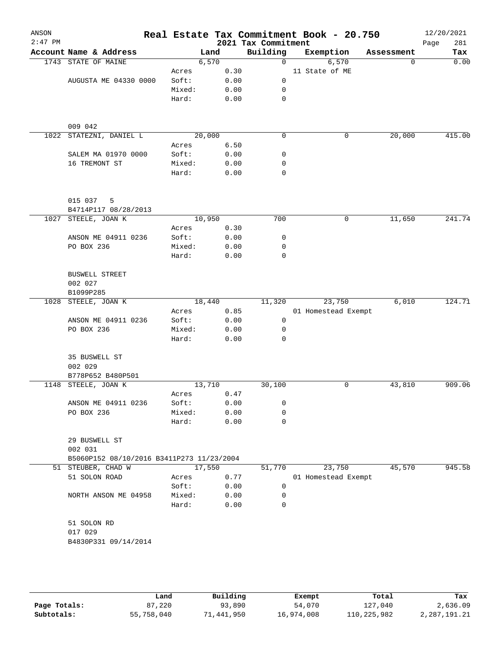| ANSON<br>$2:47$ PM |                                           |        |        |      | Real Estate Tax Commitment Book - 20.750<br>2021 Tax Commitment |                     |        |            | 12/20/2021<br>281<br>Page |
|--------------------|-------------------------------------------|--------|--------|------|-----------------------------------------------------------------|---------------------|--------|------------|---------------------------|
|                    | Account Name & Address                    |        | Land   |      | Building                                                        | Exemption           |        | Assessment | Tax                       |
|                    | 1743 STATE OF MAINE                       |        | 6,570  |      | 0                                                               |                     | 6,570  | $\Omega$   | 0.00                      |
|                    |                                           | Acres  |        | 0.30 |                                                                 | 11 State of ME      |        |            |                           |
|                    | AUGUSTA ME 04330 0000                     | Soft:  |        | 0.00 | 0                                                               |                     |        |            |                           |
|                    |                                           | Mixed: |        | 0.00 | 0                                                               |                     |        |            |                           |
|                    |                                           | Hard:  |        | 0.00 | 0                                                               |                     |        |            |                           |
|                    | 009 042                                   |        |        |      |                                                                 |                     |        |            |                           |
| 1022               | STATEZNI, DANIEL L                        |        | 20,000 |      | 0                                                               |                     | 0      | 20,000     | 415.00                    |
|                    |                                           | Acres  |        | 6.50 |                                                                 |                     |        |            |                           |
|                    | SALEM MA 01970 0000                       | Soft:  |        | 0.00 | 0                                                               |                     |        |            |                           |
|                    | 16 TREMONT ST                             | Mixed: |        | 0.00 | 0                                                               |                     |        |            |                           |
|                    |                                           | Hard:  |        | 0.00 | 0                                                               |                     |        |            |                           |
|                    | 015 037<br>5                              |        |        |      |                                                                 |                     |        |            |                           |
|                    | B4714P117 08/28/2013                      |        |        |      |                                                                 |                     |        |            |                           |
| 1027               | STEELE, JOAN K                            |        | 10,950 |      | 700                                                             |                     | 0      | 11,650     | 241.74                    |
|                    |                                           | Acres  |        | 0.30 |                                                                 |                     |        |            |                           |
|                    | ANSON ME 04911 0236                       | Soft:  |        | 0.00 | 0                                                               |                     |        |            |                           |
|                    | PO BOX 236                                | Mixed: |        | 0.00 | 0                                                               |                     |        |            |                           |
|                    |                                           | Hard:  |        | 0.00 | $\mathbf 0$                                                     |                     |        |            |                           |
|                    | <b>BUSWELL STREET</b>                     |        |        |      |                                                                 |                     |        |            |                           |
|                    | 002 027                                   |        |        |      |                                                                 |                     |        |            |                           |
|                    | B1099P285                                 |        |        |      |                                                                 |                     |        |            |                           |
| 1028               | STEELE, JOAN K                            |        | 18,440 |      | 11,320                                                          |                     | 23,750 | 6,010      | 124.71                    |
|                    |                                           | Acres  |        | 0.85 |                                                                 | 01 Homestead Exempt |        |            |                           |
|                    | ANSON ME 04911 0236                       | Soft:  |        | 0.00 | 0                                                               |                     |        |            |                           |
|                    | PO BOX 236                                | Mixed: |        | 0.00 | 0                                                               |                     |        |            |                           |
|                    |                                           | Hard:  |        | 0.00 | 0                                                               |                     |        |            |                           |
|                    | 35 BUSWELL ST<br>002 029                  |        |        |      |                                                                 |                     |        |            |                           |
|                    | B778P652 B480P501                         |        |        |      |                                                                 |                     |        |            |                           |
|                    | 1148 STEELE, JOAN K                       |        | 13,710 |      | 30,100                                                          |                     | 0      | 43,810     | 909.06                    |
|                    |                                           | Acres  |        | 0.47 |                                                                 |                     |        |            |                           |
|                    | ANSON ME 04911 0236                       | Soft:  |        | 0.00 | 0                                                               |                     |        |            |                           |
|                    | PO BOX 236                                | Mixed: |        | 0.00 | 0                                                               |                     |        |            |                           |
|                    |                                           | Hard:  |        | 0.00 | 0                                                               |                     |        |            |                           |
|                    | 29 BUSWELL ST<br>002 031                  |        |        |      |                                                                 |                     |        |            |                           |
|                    | B5060P152 08/10/2016 B3411P273 11/23/2004 |        |        |      |                                                                 |                     |        |            |                           |
|                    | 51 STEUBER, CHAD W                        |        | 17,550 |      | 51,770                                                          |                     | 23,750 | 45,570     | 945.58                    |
|                    | 51 SOLON ROAD                             | Acres  |        | 0.77 |                                                                 | 01 Homestead Exempt |        |            |                           |
|                    |                                           | Soft:  |        | 0.00 | 0                                                               |                     |        |            |                           |
|                    | NORTH ANSON ME 04958                      | Mixed: |        | 0.00 | 0                                                               |                     |        |            |                           |
|                    |                                           | Hard:  |        | 0.00 | 0                                                               |                     |        |            |                           |
|                    | 51 SOLON RD                               |        |        |      |                                                                 |                     |        |            |                           |
|                    | 017 029                                   |        |        |      |                                                                 |                     |        |            |                           |
|                    | B4830P331 09/14/2014                      |        |        |      |                                                                 |                     |        |            |                           |
|                    |                                           |        |        |      |                                                                 |                     |        |            |                           |
|                    |                                           |        |        |      |                                                                 |                     |        |            |                           |
|                    |                                           |        |        |      |                                                                 |                     |        |            |                           |

|              | úand       | Building   | Exempt     | Total       | Tax          |
|--------------|------------|------------|------------|-------------|--------------|
| Page Totals: | 87,220     | 93,890     | 54,070     | 127,040     | 2,636.09     |
| Subtotals:   | 55,758,040 | 71,441,950 | 16,974,008 | 110,225,982 | 2,287,191.21 |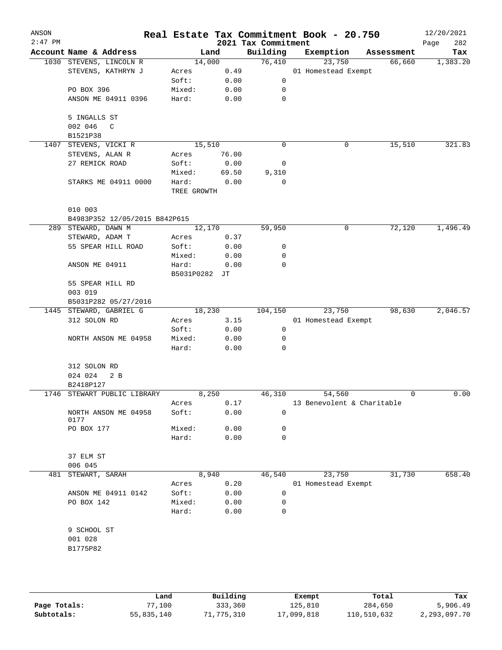| ANSON<br>$2:47$ PM |                                          |                        |       | 2021 Tax Commitment | Real Estate Tax Commitment Book - 20.750 |            | 12/20/2021<br>Page<br>282 |
|--------------------|------------------------------------------|------------------------|-------|---------------------|------------------------------------------|------------|---------------------------|
|                    | Account Name & Address                   |                        | Land  | Building            | Exemption                                | Assessment | Tax                       |
|                    | 1030 STEVENS, LINCOLN R                  | 14,000                 |       | 76,410              | 23,750                                   | 66,660     | 1,383.20                  |
|                    | STEVENS, KATHRYN J                       | Acres                  | 0.49  |                     | 01 Homestead Exempt                      |            |                           |
|                    |                                          | Soft:                  | 0.00  | 0                   |                                          |            |                           |
|                    | PO BOX 396                               | Mixed:                 | 0.00  | 0                   |                                          |            |                           |
|                    | ANSON ME 04911 0396                      | Hard:                  | 0.00  | $\mathbf 0$         |                                          |            |                           |
|                    | 5 INGALLS ST                             |                        |       |                     |                                          |            |                           |
|                    | 002 046<br>C                             |                        |       |                     |                                          |            |                           |
|                    | B1521P38                                 |                        |       |                     |                                          |            |                           |
|                    | 1407 STEVENS, VICKI R                    | 15,510                 |       | 0                   | 0                                        | 15,510     | 321.83                    |
|                    | STEVENS, ALAN R                          | Acres                  | 76.00 |                     |                                          |            |                           |
|                    | 27 REMICK ROAD                           | Soft:                  | 0.00  | 0                   |                                          |            |                           |
|                    |                                          | Mixed:                 | 69.50 | 9,310               |                                          |            |                           |
|                    | STARKS ME 04911 0000                     | Hard:<br>TREE GROWTH   | 0.00  | 0                   |                                          |            |                           |
|                    |                                          |                        |       |                     |                                          |            |                           |
|                    | 010 003<br>B4983P352 12/05/2015 B842P615 |                        |       |                     |                                          |            |                           |
|                    | 289 STEWARD, DAWN M                      | 12,170                 |       | 59,950              | 0                                        | 72,120     | 1,496.49                  |
|                    | STEWARD, ADAM T                          | Acres                  | 0.37  |                     |                                          |            |                           |
|                    |                                          |                        |       |                     |                                          |            |                           |
|                    | 55 SPEAR HILL ROAD                       | Soft:                  | 0.00  | 0                   |                                          |            |                           |
|                    |                                          | Mixed:                 | 0.00  | 0                   |                                          |            |                           |
|                    | ANSON ME 04911                           | Hard:<br>B5031P0282 JT | 0.00  | 0                   |                                          |            |                           |
|                    | 55 SPEAR HILL RD                         |                        |       |                     |                                          |            |                           |
|                    | 003 019                                  |                        |       |                     |                                          |            |                           |
|                    | B5031P282 05/27/2016                     |                        |       |                     |                                          |            |                           |
|                    | 1445 STEWARD, GABRIEL G                  | 18,230                 |       | 104,150             | 23,750                                   | 98,630     | 2,046.57                  |
|                    | 312 SOLON RD                             | Acres                  | 3.15  |                     | 01 Homestead Exempt                      |            |                           |
|                    |                                          | Soft:                  | 0.00  | 0                   |                                          |            |                           |
|                    | NORTH ANSON ME 04958                     | Mixed:                 | 0.00  | 0                   |                                          |            |                           |
|                    |                                          | Hard:                  | 0.00  | 0                   |                                          |            |                           |
|                    | 312 SOLON RD                             |                        |       |                     |                                          |            |                           |
|                    | 024 024<br>2 <sub>B</sub>                |                        |       |                     |                                          |            |                           |
|                    | B2418P127                                |                        |       |                     |                                          |            |                           |
|                    | 1746 STEWART PUBLIC LIBRARY              |                        | 8,250 | 46,310              | 54,560                                   | 0          | 0.00                      |
|                    |                                          | Acres                  | 0.17  |                     | 13 Benevolent & Charitable               |            |                           |
|                    | NORTH ANSON ME 04958<br>0177             | Soft:                  | 0.00  | 0                   |                                          |            |                           |
|                    | PO BOX 177                               | Mixed:                 | 0.00  | 0                   |                                          |            |                           |
|                    |                                          | Hard:                  | 0.00  | 0                   |                                          |            |                           |
|                    | 37 ELM ST                                |                        |       |                     |                                          |            |                           |
|                    | 006 045                                  |                        |       |                     |                                          |            |                           |
| 481                | STEWART, SARAH                           |                        | 8,940 | 46,540              | 23,750                                   | 31,730     | 658.40                    |
|                    |                                          | Acres                  | 0.20  |                     | 01 Homestead Exempt                      |            |                           |
|                    | ANSON ME 04911 0142                      | Soft:                  | 0.00  | 0                   |                                          |            |                           |
|                    | PO BOX 142                               | Mixed:                 | 0.00  | 0                   |                                          |            |                           |
|                    |                                          | Hard:                  | 0.00  | 0                   |                                          |            |                           |
|                    | 9 SCHOOL ST                              |                        |       |                     |                                          |            |                           |
|                    | 001 028                                  |                        |       |                     |                                          |            |                           |
|                    | B1775P82                                 |                        |       |                     |                                          |            |                           |
|                    |                                          |                        |       |                     |                                          |            |                           |
|                    |                                          |                        |       |                     |                                          |            |                           |
|                    |                                          |                        |       |                     |                                          |            |                           |

|              | Land       | Building   | Exempt     | Total       | Tax          |
|--------------|------------|------------|------------|-------------|--------------|
| Page Totals: | 77,100     | 333,360    | 125,810    | 284,650     | 5,906.49     |
| Subtotals:   | 55,835,140 | 71,775,310 | 17,099,818 | 110,510,632 | 2,293,097.70 |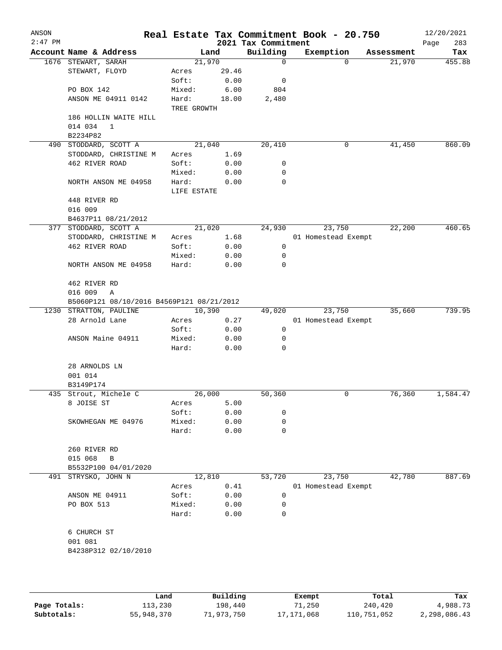| ANSON<br>$2:47$ PM |                                           |                      |       | 2021 Tax Commitment | Real Estate Tax Commitment Book - 20.750 |            | 12/20/2021<br>Page<br>283 |
|--------------------|-------------------------------------------|----------------------|-------|---------------------|------------------------------------------|------------|---------------------------|
|                    | Account Name & Address                    |                      | Land  | Building            | Exemption                                | Assessment | Tax                       |
|                    | 1676 STEWART, SARAH                       | 21,970               |       | 0                   | $\Omega$                                 | 21,970     | 455.88                    |
|                    | STEWART, FLOYD                            | Acres                | 29.46 |                     |                                          |            |                           |
|                    |                                           | Soft:                | 0.00  | 0                   |                                          |            |                           |
|                    | PO BOX 142                                | Mixed:               | 6.00  | 804                 |                                          |            |                           |
|                    | ANSON ME 04911 0142                       | Hard:<br>TREE GROWTH | 18.00 | 2,480               |                                          |            |                           |
|                    | 186 HOLLIN WAITE HILL                     |                      |       |                     |                                          |            |                           |
|                    | 014 034<br>$\mathbf{1}$                   |                      |       |                     |                                          |            |                           |
|                    | B2234P82                                  |                      |       |                     |                                          |            |                           |
|                    | 490 STODDARD, SCOTT A                     | 21,040               |       | 20,410              | 0                                        | 41,450     | 860.09                    |
|                    | STODDARD, CHRISTINE M                     | Acres                | 1.69  |                     |                                          |            |                           |
|                    | 462 RIVER ROAD                            | Soft:                | 0.00  | 0                   |                                          |            |                           |
|                    |                                           | Mixed:               | 0.00  | 0                   |                                          |            |                           |
|                    | NORTH ANSON ME 04958                      | Hard:                | 0.00  | 0                   |                                          |            |                           |
|                    |                                           | LIFE ESTATE          |       |                     |                                          |            |                           |
|                    | 448 RIVER RD                              |                      |       |                     |                                          |            |                           |
|                    | 016 009                                   |                      |       |                     |                                          |            |                           |
|                    | B4637P11 08/21/2012                       |                      |       |                     |                                          |            |                           |
|                    | 377 STODDARD, SCOTT A                     | 21,020               |       | 24,930              | 23,750                                   | 22,200     | 460.65                    |
|                    | STODDARD, CHRISTINE M                     | Acres                | 1.68  |                     | 01 Homestead Exempt                      |            |                           |
|                    | 462 RIVER ROAD                            | Soft:                | 0.00  | $\mathsf{O}$        |                                          |            |                           |
|                    |                                           | Mixed:               | 0.00  | 0                   |                                          |            |                           |
|                    | NORTH ANSON ME 04958                      | Hard:                | 0.00  | 0                   |                                          |            |                           |
|                    |                                           |                      |       |                     |                                          |            |                           |
|                    | 462 RIVER RD                              |                      |       |                     |                                          |            |                           |
|                    | 016 009<br>Α                              |                      |       |                     |                                          |            |                           |
|                    | B5060P121 08/10/2016 B4569P121 08/21/2012 |                      |       |                     |                                          |            |                           |
|                    | 1230 STRATTON, PAULINE                    | 10,390               |       | 49,020              | 23,750                                   | 35,660     | 739.95                    |
|                    | 28 Arnold Lane                            | Acres                | 0.27  |                     | 01 Homestead Exempt                      |            |                           |
|                    |                                           | Soft:                | 0.00  | 0                   |                                          |            |                           |
|                    | ANSON Maine 04911                         | Mixed:               | 0.00  | 0                   |                                          |            |                           |
|                    |                                           | Hard:                | 0.00  | 0                   |                                          |            |                           |
|                    |                                           |                      |       |                     |                                          |            |                           |
|                    | 28 ARNOLDS LN                             |                      |       |                     |                                          |            |                           |
|                    | 001 014                                   |                      |       |                     |                                          |            |                           |
|                    | B3149P174                                 |                      |       |                     |                                          |            |                           |
|                    | 435 Strout, Michele C                     | 26,000               |       | 50,360              | 0                                        | 76,360     | 1,584.47                  |
|                    | 8 JOISE ST                                | Acres                | 5.00  |                     |                                          |            |                           |
|                    |                                           | Soft:                | 0.00  | 0                   |                                          |            |                           |
|                    | SKOWHEGAN ME 04976                        | Mixed:               | 0.00  | 0                   |                                          |            |                           |
|                    |                                           | Hard:                | 0.00  | 0                   |                                          |            |                           |
|                    |                                           |                      |       |                     |                                          |            |                           |
|                    | 260 RIVER RD                              |                      |       |                     |                                          |            |                           |
|                    | 015 068<br>B                              |                      |       |                     |                                          |            |                           |
|                    | B5532P100 04/01/2020                      |                      |       |                     |                                          |            |                           |
| 491                | STRYSKO, JOHN N                           | 12,810               |       | 53,720              | 23,750                                   | 42,780     | 887.69                    |
|                    |                                           | Acres                | 0.41  |                     | 01 Homestead Exempt                      |            |                           |
|                    | ANSON ME 04911                            | Soft:                | 0.00  | 0                   |                                          |            |                           |
|                    | PO BOX 513                                | Mixed:               | 0.00  | 0                   |                                          |            |                           |
|                    |                                           | Hard:                | 0.00  | 0                   |                                          |            |                           |
|                    | 6 CHURCH ST                               |                      |       |                     |                                          |            |                           |
|                    | 001 081                                   |                      |       |                     |                                          |            |                           |
|                    | B4238P312 02/10/2010                      |                      |       |                     |                                          |            |                           |
|                    |                                           |                      |       |                     |                                          |            |                           |
|                    |                                           |                      |       |                     |                                          |            |                           |
|                    |                                           |                      |       |                     |                                          |            |                           |
|                    |                                           |                      |       |                     |                                          |            |                           |

|              | Land       | Building   | Exempt     | Total       | Tax          |
|--------------|------------|------------|------------|-------------|--------------|
| Page Totals: | ⊥13,230    | 198,440    | 71,250     | 240,420     | 4,988.73     |
| Subtotals:   | 55,948,370 | 71,973,750 | 17,171,068 | 110,751,052 | 2,298,086.43 |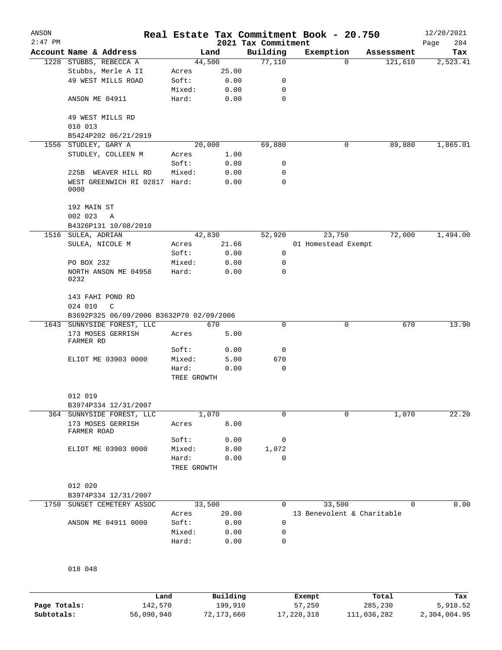| ANSON<br>$2:47$ PM |                                          |                      |              | 2021 Tax Commitment | Real Estate Tax Commitment Book - 20.750 |            | 12/20/2021<br>284<br>Page |
|--------------------|------------------------------------------|----------------------|--------------|---------------------|------------------------------------------|------------|---------------------------|
|                    | Account Name & Address                   |                      | Land         | Building            | Exemption                                | Assessment | Tax                       |
|                    | 1228 STUBBS, REBECCA A                   |                      | 44,500       | 77,110              | $\Omega$                                 | 121,610    | 2,523.41                  |
|                    | Stubbs, Merle A II                       | Acres                | 25.00        |                     |                                          |            |                           |
|                    | 49 WEST MILLS ROAD                       | Soft:                | 0.00         | 0                   |                                          |            |                           |
|                    |                                          | Mixed:               | 0.00         | 0                   |                                          |            |                           |
|                    | ANSON ME 04911                           | Hard:                | 0.00         | $\mathbf 0$         |                                          |            |                           |
|                    | 49 WEST MILLS RD                         |                      |              |                     |                                          |            |                           |
|                    | 010 013                                  |                      |              |                     |                                          |            |                           |
|                    | B5424P202 06/21/2019                     |                      |              |                     |                                          |            |                           |
|                    | 1556 STUDLEY, GARY A                     |                      | 20,000       | 69,880              | 0                                        | 89,880     | 1,865.01                  |
|                    | STUDLEY, COLLEEN M                       | Acres<br>Soft:       | 1.00<br>0.00 | 0                   |                                          |            |                           |
|                    | 225B WEAVER HILL RD                      | Mixed:               | 0.00         | 0                   |                                          |            |                           |
|                    | WEST GREENWICH RI 02817 Hard:<br>0000    |                      | 0.00         | $\mathbf 0$         |                                          |            |                           |
|                    | 192 MAIN ST<br>002 023<br>$\mathbb{A}$   |                      |              |                     |                                          |            |                           |
|                    | B4326P131 10/08/2010                     |                      |              |                     |                                          |            |                           |
|                    | 1516 SULEA, ADRIAN                       |                      | 42,830       | 52,920              | 23,750                                   | 72,000     | 1,494.00                  |
|                    | SULEA, NICOLE M                          | Acres                | 21.66        |                     | 01 Homestead Exempt                      |            |                           |
|                    |                                          | Soft:                | 0.00         | 0                   |                                          |            |                           |
|                    | PO BOX 232                               | Mixed:               | 0.00         | 0                   |                                          |            |                           |
|                    | NORTH ANSON ME 04958<br>0232             | Hard:                | 0.00         | $\mathbf 0$         |                                          |            |                           |
|                    | 143 FAHI POND RD                         |                      |              |                     |                                          |            |                           |
|                    | 024 010<br>C                             |                      |              |                     |                                          |            |                           |
|                    | B3692P325 06/09/2006 B3632P70 02/09/2006 |                      |              |                     |                                          |            |                           |
|                    | 1643 SUNNYSIDE FOREST, LLC               |                      | 670          | 0                   | 0                                        | 670        | 13.90                     |
|                    | 173 MOSES GERRISH<br>FARMER RD           | Acres                | 5.00         |                     |                                          |            |                           |
|                    |                                          | Soft:                | 0.00         | 0                   |                                          |            |                           |
|                    | ELIOT ME 03903 0000                      | Mixed:               | 5.00         | 670                 |                                          |            |                           |
|                    |                                          | Hard:<br>TREE GROWTH | 0.00         | 0                   |                                          |            |                           |
|                    | 012 019                                  |                      |              |                     |                                          |            |                           |
|                    | B3974P334 12/31/2007                     |                      |              |                     |                                          |            |                           |
|                    | 364 SUNNYSIDE FOREST, LLC                |                      | 1,070        | 0                   | 0                                        | 1,070      | 22.20                     |
|                    | 173 MOSES GERRISH<br>FARMER ROAD         | Acres                | 8.00         |                     |                                          |            |                           |
|                    |                                          | Soft:                | 0.00         | 0                   |                                          |            |                           |
|                    | ELIOT ME 03903 0000                      | Mixed:               | 8.00         | 1,072               |                                          |            |                           |
|                    |                                          | Hard:<br>TREE GROWTH | 0.00         | 0                   |                                          |            |                           |
|                    | 012 020                                  |                      |              |                     |                                          |            |                           |
|                    | B3974P334 12/31/2007                     |                      |              |                     |                                          |            |                           |
| 1750               | SUNSET CEMETERY ASSOC                    |                      | 33,500       | 0                   | 33,500                                   | $\Omega$   | 0.00                      |
|                    |                                          | Acres                | 20.00        |                     | 13 Benevolent & Charitable               |            |                           |
|                    | ANSON ME 04911 0000                      | Soft:                | 0.00         | 0                   |                                          |            |                           |
|                    |                                          | Mixed:               | 0.00         | 0                   |                                          |            |                           |
|                    |                                          | Hard:                | 0.00         | 0                   |                                          |            |                           |
|                    |                                          |                      |              |                     |                                          |            |                           |
|                    | 018 048                                  |                      |              |                     |                                          |            |                           |
|                    |                                          |                      |              |                     |                                          |            |                           |

|              | Land       | Building   | Exempt     | Total       | Tax          |
|--------------|------------|------------|------------|-------------|--------------|
| Page Totals: | 142,570    | 199,910    | 57,250     | 285,230     | 5,918.52     |
| Subtotals:   | 56,090,940 | 72,173,660 | 17,228,318 | 111,036,282 | 2,304,004.95 |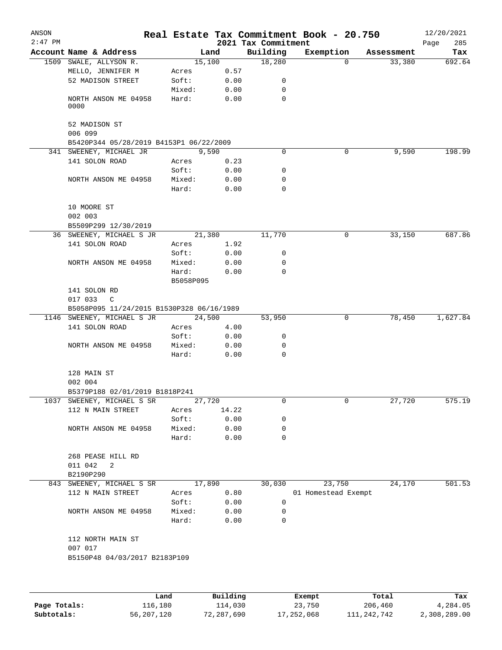| ANSON     |                                           |           |          |                                 | Real Estate Tax Commitment Book - 20.750 |            | 12/20/2021         |
|-----------|-------------------------------------------|-----------|----------|---------------------------------|------------------------------------------|------------|--------------------|
| $2:47$ PM | Account Name & Address                    | Land      |          | 2021 Tax Commitment<br>Building | Exemption                                | Assessment | Page<br>285<br>Tax |
|           | 1509 SWALE, ALLYSON R.                    | 15,100    |          | 18,280                          | 0                                        | 33,380     | 692.64             |
|           | MELLO, JENNIFER M                         | Acres     | 0.57     |                                 |                                          |            |                    |
|           | 52 MADISON STREET                         | Soft:     | 0.00     | 0                               |                                          |            |                    |
|           |                                           | Mixed:    | 0.00     | 0                               |                                          |            |                    |
|           | NORTH ANSON ME 04958<br>0000              | Hard:     | 0.00     | $\mathbf 0$                     |                                          |            |                    |
|           | 52 MADISON ST<br>006 099                  |           |          |                                 |                                          |            |                    |
|           | B5420P344 05/28/2019 B4153P1 06/22/2009   |           |          |                                 |                                          |            |                    |
|           | 341 SWEENEY, MICHAEL JR                   | 9,590     |          | 0                               | 0                                        | 9,590      | 198.99             |
|           | 141 SOLON ROAD                            | Acres     | 0.23     |                                 |                                          |            |                    |
|           |                                           | Soft:     | 0.00     | 0                               |                                          |            |                    |
|           | NORTH ANSON ME 04958                      | Mixed:    | 0.00     | 0                               |                                          |            |                    |
|           |                                           | Hard:     | 0.00     | 0                               |                                          |            |                    |
|           | 10 MOORE ST                               |           |          |                                 |                                          |            |                    |
|           | 002 003                                   |           |          |                                 |                                          |            |                    |
|           | B5509P299 12/30/2019                      |           |          |                                 |                                          |            |                    |
|           | 36 SWEENEY, MICHAEL S JR                  | 21,380    |          | 11,770                          | 0                                        | 33,150     | 687.86             |
|           | 141 SOLON ROAD                            | Acres     | 1.92     |                                 |                                          |            |                    |
|           |                                           | Soft:     | 0.00     | 0                               |                                          |            |                    |
|           | NORTH ANSON ME 04958                      | Mixed:    | 0.00     | 0                               |                                          |            |                    |
|           |                                           | Hard:     | 0.00     | 0                               |                                          |            |                    |
|           |                                           | B5058P095 |          |                                 |                                          |            |                    |
|           | 141 SOLON RD                              |           |          |                                 |                                          |            |                    |
|           | 017 033<br>C                              |           |          |                                 |                                          |            |                    |
|           | B5058P095 11/24/2015 B1530P328 06/16/1989 |           |          |                                 |                                          |            |                    |
|           | 1146 SWEENEY, MICHAEL S JR                | 24,500    |          | 53,950                          | 0                                        | 78,450     | 1,627.84           |
|           | 141 SOLON ROAD                            | Acres     | 4.00     |                                 |                                          |            |                    |
|           |                                           | Soft:     | 0.00     | 0                               |                                          |            |                    |
|           | NORTH ANSON ME 04958                      | Mixed:    | 0.00     | 0                               |                                          |            |                    |
|           |                                           | Hard:     | 0.00     | 0                               |                                          |            |                    |
|           | 128 MAIN ST                               |           |          |                                 |                                          |            |                    |
|           | 002 004                                   |           |          |                                 |                                          |            |                    |
|           | B5379P188 02/01/2019 B1818P241            |           |          |                                 |                                          |            |                    |
| 1037      | SWEENEY, MICHAEL S SR                     | 27,720    |          | 0                               | 0                                        | 27,720     | 575.19             |
|           | 112 N MAIN STREET                         | Acres     | 14.22    |                                 |                                          |            |                    |
|           |                                           | Soft:     | 0.00     | 0                               |                                          |            |                    |
|           | NORTH ANSON ME 04958                      | Mixed:    | 0.00     | 0                               |                                          |            |                    |
|           |                                           | Hard:     | 0.00     | 0                               |                                          |            |                    |
|           | 268 PEASE HILL RD                         |           |          |                                 |                                          |            |                    |
|           | 011 042<br>2                              |           |          |                                 |                                          |            |                    |
|           | B2190P290                                 |           |          |                                 |                                          |            |                    |
|           | 843 SWEENEY, MICHAEL S SR                 | 17,890    |          | 30,030                          | 23,750                                   | 24,170     | 501.53             |
|           | 112 N MAIN STREET                         | Acres     | 0.80     |                                 | 01 Homestead Exempt                      |            |                    |
|           |                                           | Soft:     | 0.00     | 0                               |                                          |            |                    |
|           | NORTH ANSON ME 04958                      | Mixed:    | 0.00     | 0                               |                                          |            |                    |
|           |                                           | Hard:     | 0.00     | $\mathbf 0$                     |                                          |            |                    |
|           | 112 NORTH MAIN ST                         |           |          |                                 |                                          |            |                    |
|           | 007 017                                   |           |          |                                 |                                          |            |                    |
|           | B5150P48 04/03/2017 B2183P109             |           |          |                                 |                                          |            |                    |
|           |                                           |           |          |                                 |                                          |            |                    |
|           | Land                                      |           | Building |                                 | Exempt                                   | Total      | Tax                |

**Page Totals:** 116,180 114,030 23,750 206,460 4,284.05 **Subtotals:** 56,207,120 72,287,690 17,252,068 111,242,742 2,308,289.00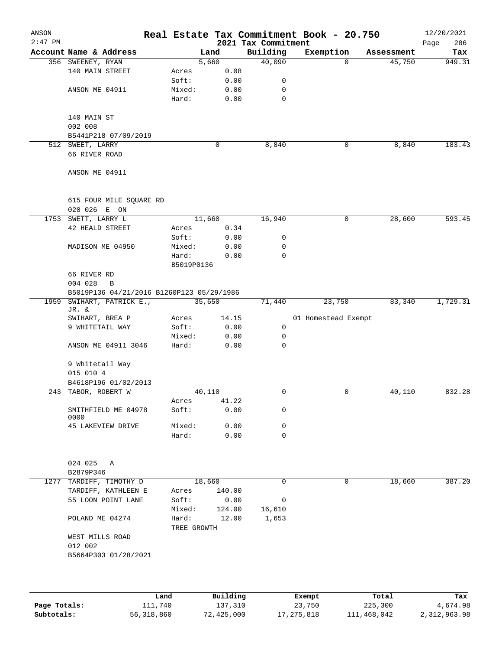| ANSON<br>$2:47$ PM |                                           |      |                      |        |               | 2021 Tax Commitment | Real Estate Tax Commitment Book - 20.750 |            | 12/20/2021<br>286<br>Page |
|--------------------|-------------------------------------------|------|----------------------|--------|---------------|---------------------|------------------------------------------|------------|---------------------------|
|                    | Account Name & Address                    |      |                      | Land   |               | Building            | Exemption                                | Assessment | Tax                       |
|                    | 356 SWEENEY, RYAN                         |      |                      | 5,660  |               | 40,090              | $\Omega$                                 | 45,750     | 949.31                    |
|                    | 140 MAIN STREET                           |      | Acres                |        | 0.08          |                     |                                          |            |                           |
|                    |                                           |      | Soft:                |        | 0.00          | 0                   |                                          |            |                           |
|                    | ANSON ME 04911                            |      | Mixed:               |        | 0.00          | 0                   |                                          |            |                           |
|                    |                                           |      | Hard:                |        | 0.00          | 0                   |                                          |            |                           |
|                    |                                           |      |                      |        |               |                     |                                          |            |                           |
|                    | 140 MAIN ST                               |      |                      |        |               |                     |                                          |            |                           |
|                    | 002 008<br>B5441P218 07/09/2019           |      |                      |        |               |                     |                                          |            |                           |
|                    | 512 SWEET, LARRY                          |      |                      | 0      |               | 8,840               | 0                                        | 8,840      | 183.43                    |
|                    | 66 RIVER ROAD                             |      |                      |        |               |                     |                                          |            |                           |
|                    |                                           |      |                      |        |               |                     |                                          |            |                           |
|                    | ANSON ME 04911                            |      |                      |        |               |                     |                                          |            |                           |
|                    |                                           |      |                      |        |               |                     |                                          |            |                           |
|                    | 615 FOUR MILE SQUARE RD<br>020 026 E ON   |      |                      |        |               |                     |                                          |            |                           |
|                    | 1753 SWETT, LARRY L                       |      |                      | 11,660 |               | 16,940              | $\mathbf 0$                              | 28,600     | 593.45                    |
|                    | <b>42 HEALD STREET</b>                    |      | Acres                |        | 0.34          |                     |                                          |            |                           |
|                    |                                           |      | Soft:                |        | 0.00          | 0                   |                                          |            |                           |
|                    | MADISON ME 04950                          |      | Mixed:               |        | 0.00          | 0                   |                                          |            |                           |
|                    |                                           |      | Hard:                |        | 0.00          | $\mathbf 0$         |                                          |            |                           |
|                    |                                           |      | B5019P0136           |        |               |                     |                                          |            |                           |
|                    | 66 RIVER RD                               |      |                      |        |               |                     |                                          |            |                           |
|                    | 004 028<br>B                              |      |                      |        |               |                     |                                          |            |                           |
|                    | B5019P136 04/21/2016 B1260P123 05/29/1986 |      |                      |        |               |                     |                                          |            |                           |
| 1959               | SWIHART, PATRICK E.,                      |      |                      | 35,650 |               | 71,440              | 23,750                                   | 83,340     | 1,729.31                  |
|                    | JR. &                                     |      |                      |        |               |                     |                                          |            |                           |
|                    | SWIHART, BREA P<br>9 WHITETAIL WAY        |      | Acres<br>Soft:       |        | 14.15<br>0.00 | $\mathbf 0$         | 01 Homestead Exempt                      |            |                           |
|                    |                                           |      | Mixed:               |        | 0.00          | 0                   |                                          |            |                           |
|                    | ANSON ME 04911 3046                       |      | Hard:                |        | 0.00          | $\mathbf 0$         |                                          |            |                           |
|                    |                                           |      |                      |        |               |                     |                                          |            |                           |
|                    | 9 Whitetail Way                           |      |                      |        |               |                     |                                          |            |                           |
|                    | 015 010 4                                 |      |                      |        |               |                     |                                          |            |                           |
|                    | B4618P196 01/02/2013                      |      |                      |        |               |                     |                                          |            |                           |
|                    | 243 TABOR, ROBERT W                       |      |                      | 40,110 |               | $\mathbf 0$         | 0                                        | 40,110     | 832.28                    |
|                    |                                           |      | Acres                |        | 41.22         |                     |                                          |            |                           |
|                    | SMITHFIELD ME 04978<br>0000               |      | Soft:                |        | 0.00          | 0                   |                                          |            |                           |
|                    | 45 LAKEVIEW DRIVE                         |      | Mixed:               |        | 0.00          | 0                   |                                          |            |                           |
|                    |                                           |      | Hard:                |        | 0.00          | $\mathbf 0$         |                                          |            |                           |
|                    |                                           |      |                      |        |               |                     |                                          |            |                           |
|                    | 024 025<br>Α                              |      |                      |        |               |                     |                                          |            |                           |
|                    | B2879P346                                 |      |                      |        |               |                     |                                          |            |                           |
|                    | 1277 TARDIFF, TIMOTHY D                   |      |                      | 18,660 |               | $\Omega$            | 0                                        | 18,660     | 387.20                    |
|                    | TARDIFF, KATHLEEN E                       |      | Acres                |        | 140.00        |                     |                                          |            |                           |
|                    | 55 LOON POINT LANE                        |      | Soft:                |        | 0.00          | 0                   |                                          |            |                           |
|                    |                                           |      | Mixed:               |        | 124.00        | 16,610              |                                          |            |                           |
|                    | POLAND ME 04274                           |      | Hard:<br>TREE GROWTH |        | 12.00         | 1,653               |                                          |            |                           |
|                    | WEST MILLS ROAD                           |      |                      |        |               |                     |                                          |            |                           |
|                    | 012 002                                   |      |                      |        |               |                     |                                          |            |                           |
|                    | B5664P303 01/28/2021                      |      |                      |        |               |                     |                                          |            |                           |
|                    |                                           |      |                      |        |               |                     |                                          |            |                           |
|                    |                                           |      |                      |        |               |                     |                                          |            |                           |
|                    |                                           | Land |                      |        | Building      |                     | Exempt                                   | Total      | Tax                       |

|              | Land         | Building   | Exempt     | Total       | Tax          |
|--------------|--------------|------------|------------|-------------|--------------|
| Page Totals: | 111,740      | 137,310    | 23,750     | 225,300     | 4,674.98     |
| Subtotals:   | 56, 318, 860 | 72,425,000 | 17,275,818 | 111,468,042 | 2,312,963.98 |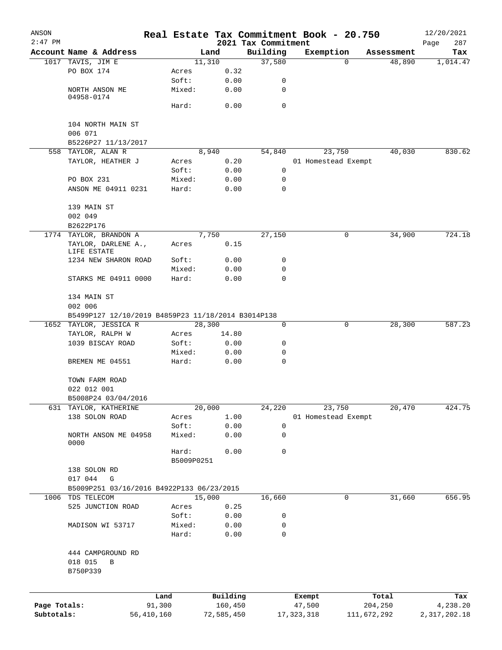| ANSON        |                                                    |            |            |        |            | Real Estate Tax Commitment Book - 20.750 |              |                     |             |            | 12/20/2021   |
|--------------|----------------------------------------------------|------------|------------|--------|------------|------------------------------------------|--------------|---------------------|-------------|------------|--------------|
| $2:47$ PM    |                                                    |            |            |        |            | 2021 Tax Commitment                      |              |                     |             |            | Page<br>287  |
|              | Account Name & Address                             |            |            | Land   |            | Building                                 |              | Exemption           |             | Assessment | Tax          |
|              | 1017 TAVIS, JIM E                                  |            |            | 11,310 |            | 37,580                                   |              | 0                   |             | 48,890     | 1,014.47     |
|              | PO BOX 174                                         |            | Acres      |        | 0.32       |                                          |              |                     |             |            |              |
|              |                                                    |            | Soft:      |        | 0.00       | 0                                        |              |                     |             |            |              |
|              | NORTH ANSON ME<br>04958-0174                       |            | Mixed:     |        | 0.00       | 0                                        |              |                     |             |            |              |
|              |                                                    |            | Hard:      |        | 0.00       | 0                                        |              |                     |             |            |              |
|              |                                                    |            |            |        |            |                                          |              |                     |             |            |              |
|              | 104 NORTH MAIN ST                                  |            |            |        |            |                                          |              |                     |             |            |              |
|              | 006 071                                            |            |            |        |            |                                          |              |                     |             |            |              |
|              | B5226P27 11/13/2017                                |            |            |        |            |                                          |              |                     |             |            |              |
|              | 558 TAYLOR, ALAN R                                 |            |            | 8,940  |            | 54,840                                   |              | 23,750              |             | 40,030     | 830.62       |
|              | TAYLOR, HEATHER J                                  |            | Acres      |        | 0.20       |                                          |              | 01 Homestead Exempt |             |            |              |
|              |                                                    |            | Soft:      |        | 0.00       | 0                                        |              |                     |             |            |              |
|              | PO BOX 231                                         |            | Mixed:     |        | 0.00       | 0                                        |              |                     |             |            |              |
|              | ANSON ME 04911 0231                                |            | Hard:      |        | 0.00       | 0                                        |              |                     |             |            |              |
|              |                                                    |            |            |        |            |                                          |              |                     |             |            |              |
|              | 139 MAIN ST                                        |            |            |        |            |                                          |              |                     |             |            |              |
|              | 002 049                                            |            |            |        |            |                                          |              |                     |             |            |              |
|              | B2622P176                                          |            |            |        |            |                                          |              |                     |             |            |              |
|              | 1774 TAYLOR, BRANDON A                             |            |            | 7,750  |            | 27,150                                   |              | 0                   |             | 34,900     | 724.18       |
|              | TAYLOR, DARLENE A.,<br>LIFE ESTATE                 |            | Acres      |        | 0.15       |                                          |              |                     |             |            |              |
|              | 1234 NEW SHARON ROAD                               |            | Soft:      |        | 0.00       | 0                                        |              |                     |             |            |              |
|              |                                                    |            | Mixed:     |        | 0.00       | 0                                        |              |                     |             |            |              |
|              | STARKS ME 04911 0000                               |            | Hard:      |        | 0.00       | 0                                        |              |                     |             |            |              |
|              |                                                    |            |            |        |            |                                          |              |                     |             |            |              |
|              | 134 MAIN ST                                        |            |            |        |            |                                          |              |                     |             |            |              |
|              | 002 006                                            |            |            |        |            |                                          |              |                     |             |            |              |
|              | B5499P127 12/10/2019 B4859P23 11/18/2014 B3014P138 |            |            |        |            |                                          |              |                     |             |            |              |
|              | 1652 TAYLOR, JESSICA R                             |            |            | 28,300 |            | 0                                        |              | 0                   |             | 28,300     | 587.23       |
|              | TAYLOR, RALPH W                                    |            | Acres      |        | 14.80      |                                          |              |                     |             |            |              |
|              | 1039 BISCAY ROAD                                   |            | Soft:      |        | 0.00       | 0                                        |              |                     |             |            |              |
|              |                                                    |            | Mixed:     |        | 0.00       | 0                                        |              |                     |             |            |              |
|              | BREMEN ME 04551                                    |            | Hard:      |        | 0.00       | 0                                        |              |                     |             |            |              |
|              |                                                    |            |            |        |            |                                          |              |                     |             |            |              |
|              | TOWN FARM ROAD                                     |            |            |        |            |                                          |              |                     |             |            |              |
|              | 022 012 001                                        |            |            |        |            |                                          |              |                     |             |            |              |
|              | B5008P24 03/04/2016                                |            |            |        |            |                                          |              |                     |             |            |              |
| 631          | TAYLOR, KATHERINE                                  |            |            | 20,000 |            | 24,220                                   |              | 23,750              |             | 20,470     | 424.75       |
|              | 138 SOLON ROAD                                     |            | Acres      |        | 1.00       |                                          |              | 01 Homestead Exempt |             |            |              |
|              |                                                    |            | Soft:      |        | 0.00       | 0                                        |              |                     |             |            |              |
|              | NORTH ANSON ME 04958<br>0000                       |            | Mixed:     |        | 0.00       | 0                                        |              |                     |             |            |              |
|              |                                                    |            | Hard:      |        | 0.00       | 0                                        |              |                     |             |            |              |
|              |                                                    |            | B5009P0251 |        |            |                                          |              |                     |             |            |              |
|              | 138 SOLON RD                                       |            |            |        |            |                                          |              |                     |             |            |              |
|              | 017 044<br>G                                       |            |            |        |            |                                          |              |                     |             |            |              |
|              | B5009P251 03/16/2016 B4922P133 06/23/2015          |            |            |        |            |                                          |              |                     |             |            |              |
| 1006         | TDS TELECOM                                        |            |            | 15,000 |            | 16,660                                   |              | 0                   |             | 31,660     | 656.95       |
|              | 525 JUNCTION ROAD                                  |            | Acres      |        | 0.25       |                                          |              |                     |             |            |              |
|              |                                                    |            | Soft:      |        | 0.00       | 0                                        |              |                     |             |            |              |
|              | MADISON WI 53717                                   |            | Mixed:     |        | 0.00       | 0                                        |              |                     |             |            |              |
|              |                                                    |            | Hard:      |        | 0.00       | 0                                        |              |                     |             |            |              |
|              |                                                    |            |            |        |            |                                          |              |                     |             |            |              |
|              | 444 CAMPGROUND RD                                  |            |            |        |            |                                          |              |                     |             |            |              |
|              | 018 015<br>В                                       |            |            |        |            |                                          |              |                     |             |            |              |
|              | B750P339                                           |            |            |        |            |                                          |              |                     |             |            |              |
|              |                                                    |            |            |        |            |                                          |              |                     |             |            |              |
|              |                                                    | Land       |            |        | Building   |                                          | Exempt       |                     |             | Total      | Tax          |
| Page Totals: |                                                    | 91,300     |            |        | 160,450    |                                          | 47,500       |                     |             | 204,250    | 4,238.20     |
| Subtotals:   |                                                    | 56,410,160 |            |        | 72,585,450 |                                          | 17, 323, 318 |                     | 111,672,292 |            | 2,317,202.18 |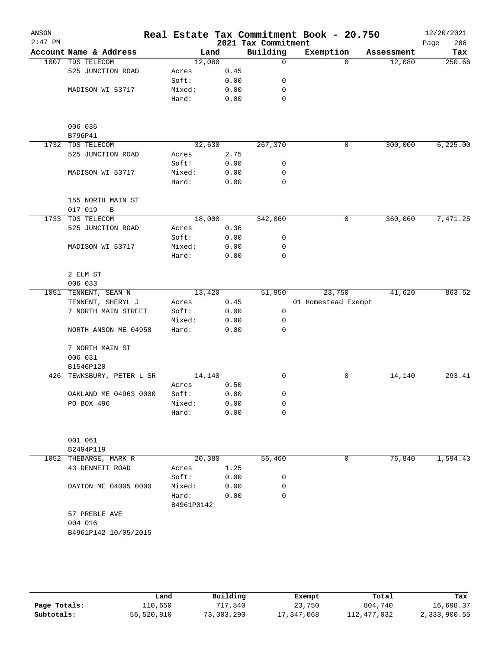| ANSON<br>$2:47$ PM |                                   |                     |      | 2021 Tax Commitment | Real Estate Tax Commitment Book - 20.750 |          |            | 12/20/2021<br>288<br>Page |
|--------------------|-----------------------------------|---------------------|------|---------------------|------------------------------------------|----------|------------|---------------------------|
|                    | Account Name & Address            | Land                |      | Building            | Exemption                                |          | Assessment | Tax                       |
|                    | 1007 TDS TELECOM                  | 12,080              |      | $\mathbf 0$         |                                          | $\Omega$ | 12,080     | 250.66                    |
|                    | 525 JUNCTION ROAD                 | Acres               | 0.45 |                     |                                          |          |            |                           |
|                    |                                   | Soft:               | 0.00 | 0                   |                                          |          |            |                           |
|                    | MADISON WI 53717                  | Mixed:              | 0.00 | 0                   |                                          |          |            |                           |
|                    |                                   | Hard:               | 0.00 | 0                   |                                          |          |            |                           |
|                    | 006 036                           |                     |      |                     |                                          |          |            |                           |
|                    | B796P41                           |                     |      |                     |                                          |          |            |                           |
|                    | 1732 TDS TELECOM                  | 32,630              |      | 267,370             |                                          | 0        | 300,000    | 6,225.00                  |
|                    | 525 JUNCTION ROAD                 | Acres               | 2.75 |                     |                                          |          |            |                           |
|                    |                                   | Soft:               | 0.00 | 0                   |                                          |          |            |                           |
|                    | MADISON WI 53717                  | Mixed:              | 0.00 | 0                   |                                          |          |            |                           |
|                    |                                   | Hard:               | 0.00 | 0                   |                                          |          |            |                           |
|                    | 155 NORTH MAIN ST<br>017 019<br>В |                     |      |                     |                                          |          |            |                           |
|                    | 1733 TDS TELECOM                  | 18,000              |      | 342,060             |                                          | 0        | 360,060    | 7,471.25                  |
|                    | 525 JUNCTION ROAD                 | Acres               | 0.36 |                     |                                          |          |            |                           |
|                    |                                   | Soft:               | 0.00 | 0                   |                                          |          |            |                           |
|                    | MADISON WI 53717                  | Mixed:              | 0.00 | 0                   |                                          |          |            |                           |
|                    |                                   | Hard:               | 0.00 | 0                   |                                          |          |            |                           |
|                    | 2 ELM ST                          |                     |      |                     |                                          |          |            |                           |
|                    | 006 033                           |                     |      |                     |                                          |          |            |                           |
|                    | 1051 TENNENT, SEAN N              | 13,420              |      | 51,950              | 23,750                                   |          | 41,620     | 863.62                    |
|                    | TENNENT, SHERYL J                 | Acres               | 0.45 |                     | 01 Homestead Exempt                      |          |            |                           |
|                    | 7 NORTH MAIN STREET               | Soft:               | 0.00 | 0                   |                                          |          |            |                           |
|                    |                                   | Mixed:              | 0.00 | 0                   |                                          |          |            |                           |
|                    | NORTH ANSON ME 04958              | Hard:               | 0.00 | 0                   |                                          |          |            |                           |
|                    | 7 NORTH MAIN ST                   |                     |      |                     |                                          |          |            |                           |
|                    | 006 031                           |                     |      |                     |                                          |          |            |                           |
|                    | B1546P120                         |                     |      |                     |                                          |          |            |                           |
| 426                | TEWKSBURY, PETER L SR             | 14,140              |      | 0                   |                                          | 0        | 14,140     | 293.41                    |
|                    |                                   | Acres               | 0.50 |                     |                                          |          |            |                           |
|                    | OAKLAND ME 04963 0000             | Soft:               | 0.00 | 0                   |                                          |          |            |                           |
|                    | PO BOX 496                        | Mixed:              | 0.00 | 0                   |                                          |          |            |                           |
|                    |                                   | Hard:               | 0.00 | 0                   |                                          |          |            |                           |
|                    | 001 061                           |                     |      |                     |                                          |          |            |                           |
|                    | B2494P119                         |                     |      |                     |                                          |          |            |                           |
|                    | 1052 THEBARGE, MARK R             | 20,380              |      | 56,460              |                                          | 0        | 76,840     | 1,594.43                  |
|                    | 43 DENNETT ROAD                   | Acres               | 1.25 |                     |                                          |          |            |                           |
|                    |                                   | Soft:               | 0.00 | 0                   |                                          |          |            |                           |
|                    | DAYTON ME 04005 0000              | Mixed:              | 0.00 | 0                   |                                          |          |            |                           |
|                    |                                   | Hard:<br>B4961P0142 | 0.00 | 0                   |                                          |          |            |                           |
|                    | 57 PREBLE AVE                     |                     |      |                     |                                          |          |            |                           |
|                    | 004 016                           |                     |      |                     |                                          |          |            |                           |
|                    | B4961P142 10/05/2015              |                     |      |                     |                                          |          |            |                           |
|                    |                                   |                     |      |                     |                                          |          |            |                           |
|                    |                                   |                     |      |                     |                                          |          |            |                           |

|              | Land       | Building   | Exempt     | Total       | Tax          |
|--------------|------------|------------|------------|-------------|--------------|
| Page Totals: | 110,650    | 717,840    | 23,750     | 804,740     | 16,698.37    |
| Subtotals:   | 56,520,810 | 73,303,290 | 17,347,068 | 112,477,032 | 2,333,900.55 |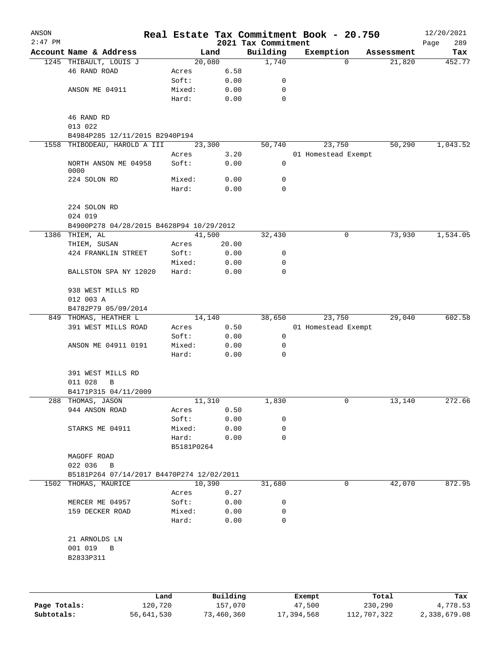| ANSON     |                                           |                 |              |                            | Real Estate Tax Commitment Book - 20.750 |            | 12/20/2021  |
|-----------|-------------------------------------------|-----------------|--------------|----------------------------|------------------------------------------|------------|-------------|
| $2:47$ PM |                                           |                 |              | 2021 Tax Commitment        |                                          |            | 289<br>Page |
|           | Account Name & Address                    |                 | Land         | Building                   | Exemption                                | Assessment | Tax         |
|           | 1245 THIBAULT, LOUIS J                    |                 | 20,080       | 1,740                      | $\Omega$                                 | 21,820     | 452.77      |
|           | 46 RAND ROAD                              | Acres           | 6.58         |                            |                                          |            |             |
|           |                                           | Soft:           | 0.00         | 0                          |                                          |            |             |
|           | ANSON ME 04911                            | Mixed:          | 0.00         | 0                          |                                          |            |             |
|           |                                           | Hard:           | 0.00         | 0                          |                                          |            |             |
|           | 46 RAND RD                                |                 |              |                            |                                          |            |             |
|           | 013 022                                   |                 |              |                            |                                          |            |             |
|           | B4984P285 12/11/2015 B2940P194            |                 |              |                            |                                          |            |             |
|           | 1558 THIBODEAU, HAROLD A III              |                 | 23,300       | 50,740                     | 23,750                                   | 50,290     | 1,043.52    |
|           |                                           | Acres           | 3.20         |                            | 01 Homestead Exempt                      |            |             |
|           | NORTH ANSON ME 04958<br>0000              | Soft:           | 0.00         | 0                          |                                          |            |             |
|           | 224 SOLON RD                              | Mixed:          | 0.00         | 0                          |                                          |            |             |
|           |                                           | Hard:           | 0.00         | $\mathbf 0$                |                                          |            |             |
|           |                                           |                 |              |                            |                                          |            |             |
|           | 224 SOLON RD                              |                 |              |                            |                                          |            |             |
|           | 024 019                                   |                 |              |                            |                                          |            |             |
|           | B4900P278 04/28/2015 B4628P94 10/29/2012  |                 |              |                            |                                          |            |             |
|           | 1386 THIEM, AL                            |                 | 41,500       | 32,430                     | 0                                        | 73,930     | 1,534.05    |
|           | THIEM, SUSAN                              | Acres           | 20.00        |                            |                                          |            |             |
|           | 424 FRANKLIN STREET                       | Soft:           | 0.00         | 0                          |                                          |            |             |
|           |                                           | Mixed:<br>Hard: | 0.00<br>0.00 | $\mathbf 0$<br>$\mathbf 0$ |                                          |            |             |
|           | BALLSTON SPA NY 12020                     |                 |              |                            |                                          |            |             |
|           | 938 WEST MILLS RD                         |                 |              |                            |                                          |            |             |
|           | 012 003 A                                 |                 |              |                            |                                          |            |             |
|           | B4782P79 05/09/2014                       |                 |              |                            |                                          |            |             |
| 849       | THOMAS, HEATHER L                         |                 | 14,140       | 38,650                     | 23,750                                   | 29,040     | 602.58      |
|           | 391 WEST MILLS ROAD                       | Acres           | 0.50         |                            | 01 Homestead Exempt                      |            |             |
|           |                                           | Soft:           | 0.00         | 0                          |                                          |            |             |
|           | ANSON ME 04911 0191                       | Mixed:          | 0.00         | 0                          |                                          |            |             |
|           |                                           | Hard:           | 0.00         | $\mathbf 0$                |                                          |            |             |
|           | 391 WEST MILLS RD                         |                 |              |                            |                                          |            |             |
|           | 011 028<br>В                              |                 |              |                            |                                          |            |             |
|           | B4171P315 04/11/2009                      |                 |              |                            |                                          |            |             |
|           | 288 THOMAS, JASON                         |                 | 11,310       | 1,830                      | 0                                        | 13,140     | 272.66      |
|           | 944 ANSON ROAD                            | Acres           | 0.50         |                            |                                          |            |             |
|           |                                           | Soft:           | 0.00         | 0                          |                                          |            |             |
|           | STARKS ME 04911                           | Mixed:          | 0.00         | 0                          |                                          |            |             |
|           |                                           | Hard:           | 0.00         | 0                          |                                          |            |             |
|           |                                           | B5181P0264      |              |                            |                                          |            |             |
|           | MAGOFF ROAD                               |                 |              |                            |                                          |            |             |
|           | 022 036<br>B                              |                 |              |                            |                                          |            |             |
|           | B5181P264 07/14/2017 B4470P274 12/02/2011 |                 |              |                            |                                          |            |             |
|           | 1502 THOMAS, MAURICE                      |                 | 10,390       | 31,680                     | 0                                        | 42,070     | 872.95      |
|           |                                           | Acres           | 0.27         |                            |                                          |            |             |
|           | MERCER ME 04957                           | Soft:           | 0.00         | 0                          |                                          |            |             |
|           | 159 DECKER ROAD                           | Mixed:          | 0.00         | 0                          |                                          |            |             |
|           |                                           | Hard:           | 0.00         | $\mathbf 0$                |                                          |            |             |
|           | 21 ARNOLDS LN                             |                 |              |                            |                                          |            |             |
|           | 001 019 B                                 |                 |              |                            |                                          |            |             |
|           | B2833P311                                 |                 |              |                            |                                          |            |             |
|           |                                           |                 |              |                            |                                          |            |             |
|           |                                           |                 |              |                            |                                          |            |             |
|           |                                           | Land            | Building     |                            | Exempt                                   | Total      | Tax         |

|              | Land       | Building   | Exempt     | Total       | Tax          |
|--------------|------------|------------|------------|-------------|--------------|
| Page Totals: | 120,720    | 157,070    | 47,500     | 230,290     | 4,778.53     |
| Subtotals:   | 56,641,530 | 73,460,360 | 17,394,568 | 112,707,322 | 2,338,679.08 |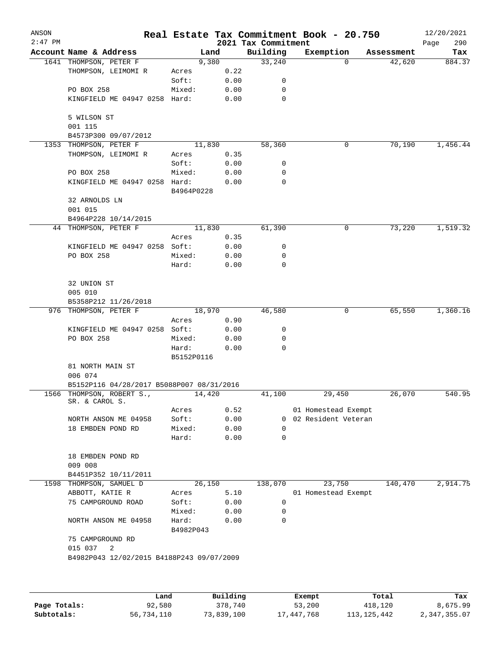| ANSON<br>$2:47$ PM |                                                           |                     |          | 2021 Tax Commitment | Real Estate Tax Commitment Book - 20.750 |            | 12/20/2021<br>290<br>Page |
|--------------------|-----------------------------------------------------------|---------------------|----------|---------------------|------------------------------------------|------------|---------------------------|
|                    | Account Name & Address                                    | Land                |          | Building            | Exemption                                | Assessment | Tax                       |
|                    | 1641 THOMPSON, PETER F                                    | 9,380               |          | 33,240              | 0                                        | 42,620     | 884.37                    |
|                    | THOMPSON, LEIMOMI R                                       | Acres               | 0.22     |                     |                                          |            |                           |
|                    |                                                           | Soft:               | 0.00     | 0                   |                                          |            |                           |
|                    | PO BOX 258                                                | Mixed:              | 0.00     | $\mathbf 0$         |                                          |            |                           |
|                    | KINGFIELD ME 04947 0258 Hard:                             |                     | 0.00     | 0                   |                                          |            |                           |
|                    | 5 WILSON ST<br>001 115                                    |                     |          |                     |                                          |            |                           |
|                    | B4573P300 09/07/2012                                      |                     |          |                     |                                          |            |                           |
| 1353               | THOMPSON, PETER F                                         | 11,830              |          | 58,360              | 0                                        | 70,190     | 1,456.44                  |
|                    | THOMPSON, LEIMOMI R                                       | Acres               | 0.35     |                     |                                          |            |                           |
|                    |                                                           | Soft:               | 0.00     | 0                   |                                          |            |                           |
|                    | PO BOX 258                                                | Mixed:              | 0.00     | 0                   |                                          |            |                           |
|                    | KINGFIELD ME 04947 0258 Hard:                             |                     | 0.00     | 0                   |                                          |            |                           |
|                    |                                                           | B4964P0228          |          |                     |                                          |            |                           |
|                    | 32 ARNOLDS LN<br>001 015                                  |                     |          |                     |                                          |            |                           |
|                    | B4964P228 10/14/2015                                      |                     |          |                     |                                          |            |                           |
|                    | 44 THOMPSON, PETER F                                      | 11,830              |          | 61,390              | 0                                        | 73,220     | 1,519.32                  |
|                    |                                                           | Acres               | 0.35     |                     |                                          |            |                           |
|                    | KINGFIELD ME 04947 0258 Soft:                             |                     | 0.00     | 0                   |                                          |            |                           |
|                    | PO BOX 258                                                | Mixed:              | 0.00     | 0                   |                                          |            |                           |
|                    |                                                           | Hard:               | 0.00     | 0                   |                                          |            |                           |
|                    | 32 UNION ST                                               |                     |          |                     |                                          |            |                           |
|                    | 005 010                                                   |                     |          |                     |                                          |            |                           |
|                    | B5358P212 11/26/2018                                      |                     |          |                     |                                          |            |                           |
|                    | 976 THOMPSON, PETER F                                     | 18,970              |          | 46,580              | 0                                        | 65,550     | 1,360.16                  |
|                    |                                                           | Acres               | 0.90     |                     |                                          |            |                           |
|                    | KINGFIELD ME 04947 0258 Soft:                             |                     | 0.00     | 0                   |                                          |            |                           |
|                    | PO BOX 258                                                | Mixed:              | 0.00     | 0                   |                                          |            |                           |
|                    |                                                           | Hard:<br>B5152P0116 | 0.00     | 0                   |                                          |            |                           |
|                    | 81 NORTH MAIN ST<br>006 074                               |                     |          |                     |                                          |            |                           |
|                    | B5152P116 04/28/2017 B5088P007 08/31/2016                 |                     |          |                     |                                          |            |                           |
|                    | 1566 THOMPSON, ROBERT S.,<br>SR. & CAROL S.               | 14,420              |          | 41,100              | 29,450                                   | 26,070     | 540.95                    |
|                    |                                                           | Acres               | 0.52     |                     | 01 Homestead Exempt                      |            |                           |
|                    | NORTH ANSON ME 04958                                      | Soft:               | 0.00     | $\mathbf{0}$        | 02 Resident Veteran                      |            |                           |
|                    | 18 EMBDEN POND RD                                         | Mixed:              | 0.00     | 0                   |                                          |            |                           |
|                    |                                                           | Hard:               | 0.00     | 0                   |                                          |            |                           |
|                    | 18 EMBDEN POND RD<br>009 008                              |                     |          |                     |                                          |            |                           |
|                    | B4451P352 10/11/2011                                      |                     |          |                     |                                          |            |                           |
|                    | 1598 THOMPSON, SAMUEL D                                   | 26,150              |          | 138,070             | 23,750                                   | 140,470    | 2,914.75                  |
|                    | ABBOTT, KATIE R                                           | Acres               | 5.10     |                     | 01 Homestead Exempt                      |            |                           |
|                    | 75 CAMPGROUND ROAD                                        | Soft:               | 0.00     | 0                   |                                          |            |                           |
|                    |                                                           | Mixed:              | 0.00     | $\mathbf 0$         |                                          |            |                           |
|                    | NORTH ANSON ME 04958                                      | Hard:<br>B4982P043  | 0.00     | 0                   |                                          |            |                           |
|                    | 75 CAMPGROUND RD                                          |                     |          |                     |                                          |            |                           |
|                    | 015 037<br>2<br>B4982P043 12/02/2015 B4188P243 09/07/2009 |                     |          |                     |                                          |            |                           |
|                    |                                                           |                     |          |                     |                                          |            |                           |
|                    |                                                           |                     |          |                     |                                          |            |                           |
|                    | Land.                                                     |                     | Building |                     | $F$ vemnt                                | $T$ otal   |                           |

|              | Land       | Building   | Exempt     | Total         | Tax          |
|--------------|------------|------------|------------|---------------|--------------|
| Page Totals: | 92,580     | 378,740    | 53,200     | 418,120       | 8,675.99     |
| Subtotals:   | 56,734,110 | 73,839,100 | 17,447,768 | 113, 125, 442 | 2,347,355.07 |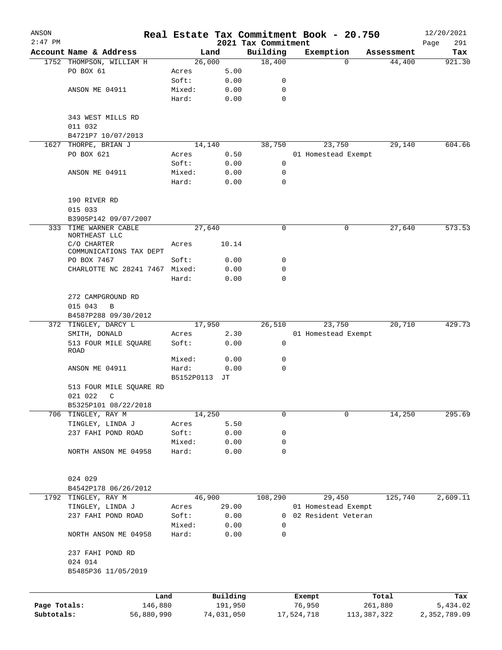| ANSON        |                                        |                 |              |                                 | Real Estate Tax Commitment Book - 20.750 |               |            | 12/20/2021    |
|--------------|----------------------------------------|-----------------|--------------|---------------------------------|------------------------------------------|---------------|------------|---------------|
| $2:47$ PM    | Account Name & Address                 |                 | Land         | 2021 Tax Commitment<br>Building | Exemption                                |               | Assessment | Page<br>291   |
|              | 1752 THOMPSON, WILLIAM H               |                 | 26,000       | 18,400                          |                                          | $\Omega$      | 44,400     | Tax<br>921.30 |
|              | PO BOX 61                              | Acres           | 5.00         |                                 |                                          |               |            |               |
|              |                                        | Soft:           | 0.00         | 0                               |                                          |               |            |               |
|              | ANSON ME 04911                         | Mixed:          | 0.00         | 0                               |                                          |               |            |               |
|              |                                        | Hard:           | 0.00         | 0                               |                                          |               |            |               |
|              | 343 WEST MILLS RD<br>011 032           |                 |              |                                 |                                          |               |            |               |
|              | B4721P7 10/07/2013                     |                 |              |                                 |                                          |               |            |               |
| 1627         | THORPE, BRIAN J                        |                 | 14,140       | 38,750                          | 23,750                                   |               | 29,140     | 604.66        |
|              | PO BOX 621                             | Acres           | 0.50         |                                 | 01 Homestead Exempt                      |               |            |               |
|              |                                        | Soft:           | 0.00         | 0                               |                                          |               |            |               |
|              | ANSON ME 04911                         | Mixed:          | 0.00         | 0                               |                                          |               |            |               |
|              |                                        | Hard:           | 0.00         | 0                               |                                          |               |            |               |
|              | 190 RIVER RD                           |                 |              |                                 |                                          |               |            |               |
|              | 015 033                                |                 |              |                                 |                                          |               |            |               |
|              | B3905P142 09/07/2007                   |                 |              |                                 |                                          |               |            |               |
|              | 333 TIME WARNER CABLE<br>NORTHEAST LLC |                 | 27,640       | 0                               |                                          | 0             | 27,640     | 573.53        |
|              | C/O CHARTER<br>COMMUNICATIONS TAX DEPT | Acres           | 10.14        |                                 |                                          |               |            |               |
|              | PO BOX 7467                            | Soft:           | 0.00         | 0                               |                                          |               |            |               |
|              | CHARLOTTE NC 28241 7467 Mixed:         |                 | 0.00         | 0                               |                                          |               |            |               |
|              |                                        | Hard:           | 0.00         | 0                               |                                          |               |            |               |
|              | 272 CAMPGROUND RD                      |                 |              |                                 |                                          |               |            |               |
|              | 015 043<br>B                           |                 |              |                                 |                                          |               |            |               |
|              | B4587P288 09/30/2012                   |                 |              |                                 |                                          |               |            |               |
|              | 372 TINGLEY, DARCY L                   |                 | 17,950       | 26,510                          | 23,750                                   |               | 20,710     | 429.73        |
|              | SMITH, DONALD                          | Acres           | 2.30         |                                 | 01 Homestead Exempt                      |               |            |               |
|              | 513 FOUR MILE SQUARE<br>ROAD           | Soft:           | 0.00         | 0                               |                                          |               |            |               |
|              |                                        | Mixed:          | 0.00         | 0                               |                                          |               |            |               |
|              | ANSON ME 04911                         | Hard:           | 0.00         | 0                               |                                          |               |            |               |
|              |                                        | B5152P0113      | JТ           |                                 |                                          |               |            |               |
|              | 513 FOUR MILE SQUARE RD                |                 |              |                                 |                                          |               |            |               |
|              | 021 022<br>$\mathbb{C}$                |                 |              |                                 |                                          |               |            |               |
|              | B5325P101 08/22/2018                   |                 |              |                                 |                                          |               |            |               |
|              | 706 TINGLEY, RAY M                     |                 | 14,250       | 0                               |                                          | 0             | 14,250     | 295.69        |
|              | TINGLEY, LINDA J                       | Acres           | 5.50         |                                 |                                          |               |            |               |
|              | 237 FAHI POND ROAD                     | Soft:           | 0.00         | 0                               |                                          |               |            |               |
|              | NORTH ANSON ME 04958                   | Mixed:<br>Hard: | 0.00<br>0.00 | 0<br>0                          |                                          |               |            |               |
|              |                                        |                 |              |                                 |                                          |               |            |               |
|              | 024 029                                |                 |              |                                 |                                          |               |            |               |
|              | B4542P178 06/26/2012                   |                 |              |                                 |                                          |               |            |               |
|              | 1792 TINGLEY, RAY M                    |                 | 46,900       | 108,290                         | 29,450                                   |               | 125,740    | 2,609.11      |
|              | TINGLEY, LINDA J                       | Acres           | 29.00        |                                 | 01 Homestead Exempt                      |               |            |               |
|              | 237 FAHI POND ROAD                     | Soft:           | 0.00         | 0                               | 02 Resident Veteran                      |               |            |               |
|              |                                        | Mixed:          | 0.00         | 0                               |                                          |               |            |               |
|              | NORTH ANSON ME 04958                   | Hard:           | 0.00         | 0                               |                                          |               |            |               |
|              | 237 FAHI POND RD                       |                 |              |                                 |                                          |               |            |               |
|              | 024 014                                |                 |              |                                 |                                          |               |            |               |
|              | B5485P36 11/05/2019                    |                 |              |                                 |                                          |               |            |               |
|              | Land                                   |                 | Building     |                                 | Exempt                                   |               | Total      | Tax           |
| Page Totals: | 146,880                                |                 | 191,950      |                                 | 76,950                                   |               | 261,880    | 5,434.02      |
| Subtotals:   | 56,880,990                             |                 | 74,031,050   |                                 | 17,524,718                               | 113, 387, 322 |            | 2,352,789.09  |
|              |                                        |                 |              |                                 |                                          |               |            |               |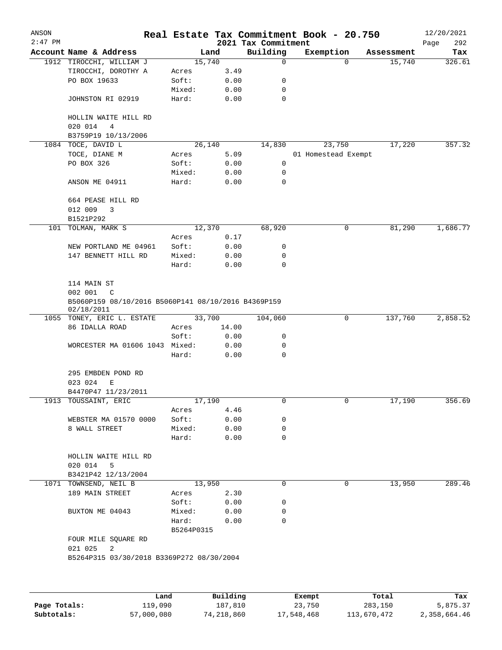| ANSON<br>$2:47$ PM |                                                                                    |                 |              | 2021 Tax Commitment | Real Estate Tax Commitment Book - 20.750 |            | 12/20/2021<br>292<br>Page |
|--------------------|------------------------------------------------------------------------------------|-----------------|--------------|---------------------|------------------------------------------|------------|---------------------------|
|                    | Account Name & Address                                                             | Land            |              | Building            | Exemption                                | Assessment | Tax                       |
|                    | 1912 TIROCCHI, WILLIAM J                                                           | 15,740          |              | $\mathbf 0$         | $\Omega$                                 | 15,740     | 326.61                    |
|                    | TIROCCHI, DOROTHY A                                                                | Acres           | 3.49         |                     |                                          |            |                           |
|                    | PO BOX 19633                                                                       | Soft:           | 0.00         | 0                   |                                          |            |                           |
|                    |                                                                                    | Mixed:          | 0.00         | 0                   |                                          |            |                           |
|                    | JOHNSTON RI 02919                                                                  | Hard:           | 0.00         | 0                   |                                          |            |                           |
|                    | HOLLIN WAITE HILL RD<br>020 014<br>4                                               |                 |              |                     |                                          |            |                           |
|                    | B3759P19 10/13/2006                                                                |                 |              |                     |                                          |            |                           |
|                    | 1084 TOCE, DAVID L                                                                 | 26,140          |              | 14,830              | 23,750                                   | 17,220     | 357.32                    |
|                    | TOCE, DIANE M                                                                      | Acres           | 5.09         |                     | 01 Homestead Exempt                      |            |                           |
|                    | PO BOX 326                                                                         | Soft:           | 0.00         | 0                   |                                          |            |                           |
|                    |                                                                                    | Mixed:          | 0.00         | 0                   |                                          |            |                           |
|                    | ANSON ME 04911                                                                     | Hard:           | 0.00         | 0                   |                                          |            |                           |
|                    | 664 PEASE HILL RD<br>012 009<br>3                                                  |                 |              |                     |                                          |            |                           |
|                    | B1521P292                                                                          |                 |              |                     |                                          |            |                           |
| 101                | TOLMAN, MARK S                                                                     | 12,370          |              | 68,920              | 0                                        | 81,290     | 1,686.77                  |
|                    |                                                                                    | Acres           | 0.17         |                     |                                          |            |                           |
|                    | NEW PORTLAND ME 04961                                                              | Soft:           | 0.00         | 0                   |                                          |            |                           |
|                    | 147 BENNETT HILL RD                                                                | Mixed:<br>Hard: | 0.00<br>0.00 | 0<br>$\mathbf 0$    |                                          |            |                           |
|                    | 114 MAIN ST<br>002 001<br>C<br>B5060P159 08/10/2016 B5060P141 08/10/2016 B4369P159 |                 |              |                     |                                          |            |                           |
|                    | 02/18/2011                                                                         |                 |              |                     |                                          |            |                           |
|                    | 1055 TONEY, ERIC L. ESTATE                                                         | 33,700          |              | 104,060             | $\mathsf{O}$                             | 137,760    | 2,858.52                  |
|                    | 86 IDALLA ROAD                                                                     | Acres           | 14.00        |                     |                                          |            |                           |
|                    |                                                                                    | Soft:           | 0.00         | 0                   |                                          |            |                           |
|                    | WORCESTER MA 01606 1043 Mixed:                                                     |                 | 0.00         | 0                   |                                          |            |                           |
|                    |                                                                                    | Hard:           | 0.00         | 0                   |                                          |            |                           |
|                    | 295 EMBDEN POND RD<br>023 024<br>Е                                                 |                 |              |                     |                                          |            |                           |
|                    | B4470P47 11/23/2011                                                                |                 |              |                     |                                          |            |                           |
|                    | 1913 TOUSSAINT, ERIC                                                               | 17,190<br>Acres | 4.46         | 0                   | 0                                        | 17,190     | 356.69                    |
|                    | WEBSTER MA 01570 0000                                                              | Soft:           | 0.00         | 0                   |                                          |            |                           |
|                    | 8 WALL STREET                                                                      | Mixed:          | 0.00         | 0                   |                                          |            |                           |
|                    |                                                                                    | Hard:           | 0.00         | $\mathbf 0$         |                                          |            |                           |
|                    | HOLLIN WAITE HILL RD<br>020 014<br>5                                               |                 |              |                     |                                          |            |                           |
|                    | B3421P42 12/13/2004                                                                |                 |              |                     |                                          |            |                           |
|                    | 1071 TOWNSEND, NEIL B                                                              | 13,950          |              | 0                   | 0                                        | 13,950     | 289.46                    |
|                    | 189 MAIN STREET                                                                    | Acres           | 2.30         |                     |                                          |            |                           |
|                    |                                                                                    | Soft:           | 0.00         | 0                   |                                          |            |                           |
|                    | BUXTON ME 04043                                                                    | Mixed:          | 0.00         | 0                   |                                          |            |                           |
|                    |                                                                                    | Hard:           | 0.00         | 0                   |                                          |            |                           |
|                    |                                                                                    | B5264P0315      |              |                     |                                          |            |                           |
|                    | FOUR MILE SQUARE RD<br>021 025<br>2                                                |                 |              |                     |                                          |            |                           |
|                    | B5264P315 03/30/2018 B3369P272 08/30/2004                                          |                 |              |                     |                                          |            |                           |
|                    |                                                                                    |                 |              |                     |                                          |            |                           |
|                    |                                                                                    |                 |              |                     |                                          |            |                           |
|                    |                                                                                    |                 |              |                     |                                          |            |                           |

|              | Land       | Building   | Exempt     | Total       | Tax          |
|--------------|------------|------------|------------|-------------|--------------|
| Page Totals: | 119,090    | 187.810    | 23,750     | 283,150     | 5,875.37     |
| Subtotals:   | 57,000,080 | 74,218,860 | 17,548,468 | 113,670,472 | 2,358,664.46 |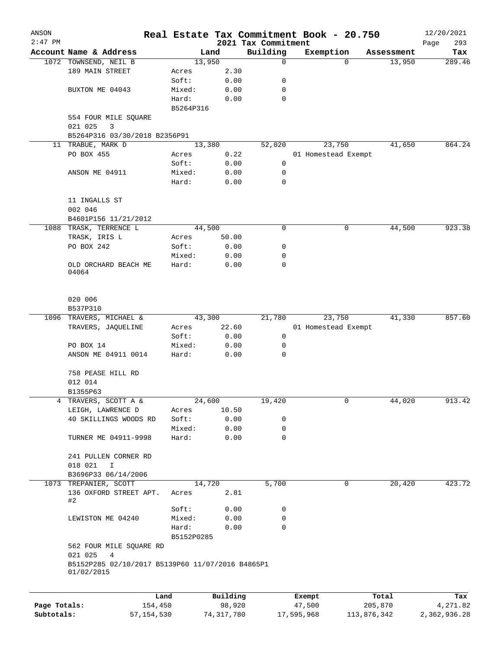| ANSON     |                                                  |            |          |                                 | Real Estate Tax Commitment Book - 20.750 |   |                      | 12/20/2021    |
|-----------|--------------------------------------------------|------------|----------|---------------------------------|------------------------------------------|---|----------------------|---------------|
| $2:47$ PM |                                                  |            |          | 2021 Tax Commitment<br>Building |                                          |   |                      | 293<br>Page   |
|           | Account Name & Address<br>1072 TOWNSEND, NEIL B  | 13,950     | Land     | 0                               | Exemption                                | 0 | Assessment<br>13,950 | Tax<br>289.46 |
|           | 189 MAIN STREET                                  | Acres      | 2.30     |                                 |                                          |   |                      |               |
|           |                                                  | Soft:      | 0.00     | 0                               |                                          |   |                      |               |
|           | BUXTON ME 04043                                  | Mixed:     | 0.00     | 0                               |                                          |   |                      |               |
|           |                                                  | Hard:      | 0.00     | 0                               |                                          |   |                      |               |
|           |                                                  | B5264P316  |          |                                 |                                          |   |                      |               |
|           | 554 FOUR MILE SQUARE                             |            |          |                                 |                                          |   |                      |               |
|           | 021 025<br>3                                     |            |          |                                 |                                          |   |                      |               |
|           | B5264P316 03/30/2018 B2356P91                    |            |          |                                 |                                          |   |                      |               |
|           | 11 TRABUE, MARK D                                | 13,380     |          | 52,020                          | 23,750                                   |   | 41,650               | 864.24        |
|           | PO BOX 455                                       | Acres      | 0.22     |                                 | 01 Homestead Exempt                      |   |                      |               |
|           |                                                  | Soft:      | 0.00     | 0                               |                                          |   |                      |               |
|           | ANSON ME 04911                                   | Mixed:     | 0.00     | 0                               |                                          |   |                      |               |
|           |                                                  | Hard:      | 0.00     | 0                               |                                          |   |                      |               |
|           |                                                  |            |          |                                 |                                          |   |                      |               |
|           | 11 INGALLS ST                                    |            |          |                                 |                                          |   |                      |               |
|           | 002 046                                          |            |          |                                 |                                          |   |                      |               |
|           | B4601P156 11/21/2012                             |            |          |                                 |                                          |   |                      |               |
|           | 1088 TRASK, TERRENCE L                           | 44,500     |          | 0                               |                                          | 0 | 44,500               | 923.38        |
|           | TRASK, IRIS L                                    | Acres      | 50.00    |                                 |                                          |   |                      |               |
|           | PO BOX 242                                       | Soft:      | 0.00     | 0                               |                                          |   |                      |               |
|           |                                                  | Mixed:     | 0.00     | 0                               |                                          |   |                      |               |
|           | OLD ORCHARD BEACH ME                             | Hard:      | 0.00     | 0                               |                                          |   |                      |               |
|           | 04064                                            |            |          |                                 |                                          |   |                      |               |
|           |                                                  |            |          |                                 |                                          |   |                      |               |
|           |                                                  |            |          |                                 |                                          |   |                      |               |
|           | 020 006                                          |            |          |                                 |                                          |   |                      |               |
|           | B537P310                                         |            |          |                                 |                                          |   |                      |               |
|           | 1096 TRAVERS, MICHAEL &                          | 43,300     |          | 21,780                          | 23,750                                   |   | 41,330               | 857.60        |
|           | TRAVERS, JAQUELINE                               | Acres      | 22.60    |                                 | 01 Homestead Exempt                      |   |                      |               |
|           |                                                  | Soft:      | 0.00     | 0                               |                                          |   |                      |               |
|           | PO BOX 14                                        | Mixed:     | 0.00     | 0                               |                                          |   |                      |               |
|           | ANSON ME 04911 0014                              | Hard:      | 0.00     | 0                               |                                          |   |                      |               |
|           |                                                  |            |          |                                 |                                          |   |                      |               |
|           | 758 PEASE HILL RD                                |            |          |                                 |                                          |   |                      |               |
|           | 012 014                                          |            |          |                                 |                                          |   |                      |               |
|           | B1355P63                                         |            |          |                                 |                                          |   |                      |               |
| 4         | TRAVERS, SCOTT A &                               | 24,600     |          | 19,420                          |                                          | 0 | 44,020               | 913.42        |
|           | LEIGH, LAWRENCE D                                | Acres      | 10.50    |                                 |                                          |   |                      |               |
|           | 40 SKILLINGS WOODS RD                            | Soft:      | 0.00     | 0                               |                                          |   |                      |               |
|           |                                                  | Mixed:     | 0.00     | 0                               |                                          |   |                      |               |
|           | TURNER ME 04911-9998                             | Hard:      | 0.00     | $\mathbf 0$                     |                                          |   |                      |               |
|           |                                                  |            |          |                                 |                                          |   |                      |               |
|           | 241 PULLEN CORNER RD                             |            |          |                                 |                                          |   |                      |               |
|           | 018 021<br>I                                     |            |          |                                 |                                          |   |                      |               |
|           | B3696P33 06/14/2006                              | 14,720     |          | 5,700                           |                                          | 0 | 20,420               | 423.72        |
|           | 1073 TREPANIER, SCOTT                            |            |          |                                 |                                          |   |                      |               |
|           | 136 OXFORD STREET APT.<br>#2                     | Acres      | 2.81     |                                 |                                          |   |                      |               |
|           |                                                  | Soft:      | 0.00     | 0                               |                                          |   |                      |               |
|           | LEWISTON ME 04240                                | Mixed:     | 0.00     | 0                               |                                          |   |                      |               |
|           |                                                  | Hard:      | 0.00     | $\mathbf 0$                     |                                          |   |                      |               |
|           |                                                  | B5152P0285 |          |                                 |                                          |   |                      |               |
|           | 562 FOUR MILE SQUARE RD                          |            |          |                                 |                                          |   |                      |               |
|           | 021 025<br>4                                     |            |          |                                 |                                          |   |                      |               |
|           | B5152P285 02/10/2017 B5139P60 11/07/2016 B4865P1 |            |          |                                 |                                          |   |                      |               |
|           | 01/02/2015                                       |            |          |                                 |                                          |   |                      |               |
|           |                                                  |            |          |                                 |                                          |   |                      |               |
|           |                                                  | Land       | Building |                                 | Exempt                                   |   | Total                | Tax           |
|           |                                                  |            |          |                                 |                                          |   |                      |               |

|              | Land       | Building   | Exempt     | Total       | тах          |
|--------------|------------|------------|------------|-------------|--------------|
| Page Totals: | 154,450    | 98,920     | 47,500     | 205,870     | 4,271.82     |
| Subtotals:   | 57,154,530 | 74,317,780 | 17,595,968 | 113,876,342 | 2,362,936.28 |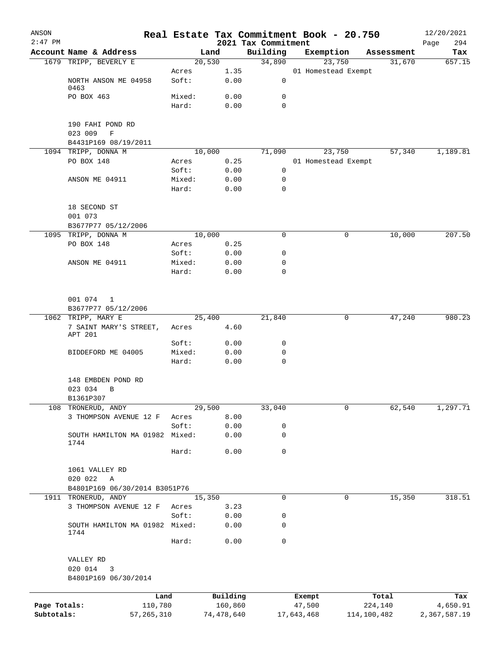| ANSON<br>$2:47$ PM |                                              |                 |                |                                 | Real Estate Tax Commitment Book - 20.750 |             |            | 12/20/2021         |
|--------------------|----------------------------------------------|-----------------|----------------|---------------------------------|------------------------------------------|-------------|------------|--------------------|
|                    | Account Name & Address                       |                 | Land           | 2021 Tax Commitment<br>Building | Exemption                                |             | Assessment | 294<br>Page<br>Tax |
|                    | 1679 TRIPP, BEVERLY E                        |                 | 20,530         | 34,890                          | 23,750                                   |             | 31,670     | 657.15             |
|                    |                                              | Acres           | 1.35           |                                 | 01 Homestead Exempt                      |             |            |                    |
|                    | NORTH ANSON ME 04958<br>0463                 | Soft:           | 0.00           | 0                               |                                          |             |            |                    |
|                    | PO BOX 463                                   | Mixed:          | 0.00           | 0                               |                                          |             |            |                    |
|                    |                                              | Hard:           | 0.00           | 0                               |                                          |             |            |                    |
|                    | 190 FAHI POND RD                             |                 |                |                                 |                                          |             |            |                    |
|                    | 023 009<br>$\mathbf F$                       |                 |                |                                 |                                          |             |            |                    |
|                    | B4431P169 08/19/2011                         |                 |                |                                 |                                          |             |            |                    |
|                    | 1094 TRIPP, DONNA M                          |                 | 10,000         | 71,090                          | 23,750                                   |             | 57,340     | 1,189.81           |
|                    | PO BOX 148                                   | Acres<br>Soft:  | 0.25<br>0.00   | 0                               | 01 Homestead Exempt                      |             |            |                    |
|                    | ANSON ME 04911                               | Mixed:          | 0.00           | 0                               |                                          |             |            |                    |
|                    |                                              | Hard:           | 0.00           | 0                               |                                          |             |            |                    |
|                    | 18 SECOND ST                                 |                 |                |                                 |                                          |             |            |                    |
|                    | 001 073                                      |                 |                |                                 |                                          |             |            |                    |
|                    | B3677P77 05/12/2006                          |                 |                |                                 |                                          |             |            |                    |
| 1095               | TRIPP, DONNA M                               |                 | 10,000         | $\mathbf 0$                     |                                          | 0           | 10,000     | 207.50             |
|                    | PO BOX 148                                   | Acres           | 0.25           |                                 |                                          |             |            |                    |
|                    |                                              | Soft:           | 0.00           | 0                               |                                          |             |            |                    |
|                    | ANSON ME 04911                               | Mixed:          | 0.00           | 0                               |                                          |             |            |                    |
|                    |                                              | Hard:           | 0.00           | $\mathbf 0$                     |                                          |             |            |                    |
|                    | 001 074<br>$\mathbf{1}$                      |                 |                |                                 |                                          |             |            |                    |
|                    | B3677P77 05/12/2006                          |                 |                |                                 |                                          |             |            |                    |
|                    | 1062 TRIPP, MARY E<br>7 SAINT MARY'S STREET, | Acres           | 25,400<br>4.60 | 21,840                          |                                          | 0           | 47,240     | 980.23             |
|                    | APT 201                                      |                 |                |                                 |                                          |             |            |                    |
|                    |                                              | Soft:           | 0.00           | 0                               |                                          |             |            |                    |
|                    | BIDDEFORD ME 04005                           | Mixed:<br>Hard: | 0.00<br>0.00   | 0<br>0                          |                                          |             |            |                    |
|                    |                                              |                 |                |                                 |                                          |             |            |                    |
|                    | 148 EMBDEN POND RD                           |                 |                |                                 |                                          |             |            |                    |
|                    | 023 034<br>B                                 |                 |                |                                 |                                          |             |            |                    |
|                    | B1361P307                                    |                 |                |                                 |                                          |             |            |                    |
| 108                | TRONERUD, ANDY<br>3 THOMPSON AVENUE 12 F     | Acres           | 29,500<br>8.00 | 33,040                          |                                          | 0           | 62,540     | 1, 297.71          |
|                    |                                              | Soft:           | 0.00           | 0                               |                                          |             |            |                    |
|                    | SOUTH HAMILTON MA 01982 Mixed:               |                 | 0.00           | 0                               |                                          |             |            |                    |
|                    | 1744                                         | Hard:           | 0.00           | 0                               |                                          |             |            |                    |
|                    | 1061 VALLEY RD                               |                 |                |                                 |                                          |             |            |                    |
|                    | 020 022<br>A                                 |                 |                |                                 |                                          |             |            |                    |
|                    | B4801P169 06/30/2014 B3051P76                |                 |                |                                 |                                          |             |            |                    |
|                    | 1911 TRONERUD, ANDY                          |                 | 15,350         | 0                               |                                          | 0           | 15,350     | 318.51             |
|                    | 3 THOMPSON AVENUE 12 F                       | Acres           | 3.23           |                                 |                                          |             |            |                    |
|                    |                                              | Soft:           | 0.00           | 0                               |                                          |             |            |                    |
|                    | SOUTH HAMILTON MA 01982 Mixed:<br>1744       |                 | 0.00           | 0                               |                                          |             |            |                    |
|                    |                                              | Hard:           | 0.00           | $\mathsf{O}$                    |                                          |             |            |                    |
|                    | VALLEY RD                                    |                 |                |                                 |                                          |             |            |                    |
|                    | 020 014<br>3<br>B4801P169 06/30/2014         |                 |                |                                 |                                          |             |            |                    |
|                    | Land                                         |                 | Building       |                                 | Exempt                                   | Total       |            | Tax                |
| Page Totals:       | 110,780                                      |                 | 160,860        |                                 | 47,500                                   | 224,140     |            | 4,650.91           |
| Subtotals:         | 57, 265, 310                                 |                 | 74,478,640     |                                 | 17,643,468                               | 114,100,482 |            | 2,367,587.19       |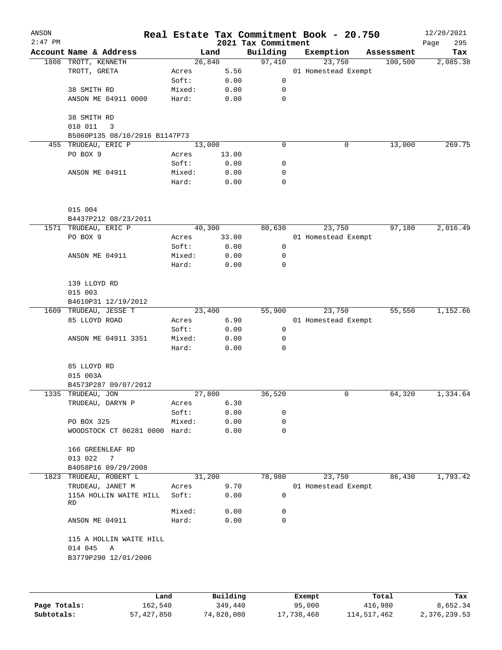| ANSON<br>$2:47$ PM |                                             |        |       | 2021 Tax Commitment | Real Estate Tax Commitment Book - 20.750 |            | 12/20/2021<br>295<br>Page |
|--------------------|---------------------------------------------|--------|-------|---------------------|------------------------------------------|------------|---------------------------|
|                    | Account Name & Address                      | Land   |       | Building            | Exemption                                | Assessment | Tax                       |
|                    | 1808 TROTT, KENNETH                         | 26,840 |       | 97,410              | 23,750                                   | 100,500    | 2,085.38                  |
|                    | TROTT, GRETA                                | Acres  | 5.56  |                     | 01 Homestead Exempt                      |            |                           |
|                    |                                             | Soft:  | 0.00  | $\mathsf{O}$        |                                          |            |                           |
|                    | 38 SMITH RD                                 | Mixed: | 0.00  | 0                   |                                          |            |                           |
|                    | ANSON ME 04911 0000                         | Hard:  | 0.00  | $\mathbf 0$         |                                          |            |                           |
|                    | 38 SMITH RD                                 |        |       |                     |                                          |            |                           |
|                    | 010 011<br>3                                |        |       |                     |                                          |            |                           |
|                    | B5060P135 08/10/2016 B1147P73               |        |       |                     |                                          |            |                           |
| 455                | TRUDEAU, ERIC P                             | 13,000 |       | 0                   | 0                                        | 13,000     | 269.75                    |
|                    | PO BOX 9                                    | Acres  | 13.00 |                     |                                          |            |                           |
|                    |                                             | Soft:  | 0.00  | 0                   |                                          |            |                           |
|                    | ANSON ME 04911                              | Mixed: | 0.00  | 0                   |                                          |            |                           |
|                    |                                             | Hard:  | 0.00  | 0                   |                                          |            |                           |
|                    | 015 004                                     |        |       |                     |                                          |            |                           |
|                    | B4437P212 08/23/2011                        |        |       |                     |                                          |            |                           |
|                    | 1571 TRUDEAU, ERIC P                        | 40,300 |       | 80,630              | 23,750                                   | 97,180     | 2,016.49                  |
|                    | PO BOX 9                                    | Acres  | 33.00 |                     | 01 Homestead Exempt                      |            |                           |
|                    |                                             | Soft:  | 0.00  | 0                   |                                          |            |                           |
|                    | ANSON ME 04911                              | Mixed: | 0.00  | 0                   |                                          |            |                           |
|                    |                                             | Hard:  | 0.00  | $\mathbf 0$         |                                          |            |                           |
|                    | 139 LLOYD RD                                |        |       |                     |                                          |            |                           |
|                    | 015 003                                     |        |       |                     |                                          |            |                           |
|                    | B4610P31 12/19/2012                         |        |       |                     |                                          |            |                           |
|                    | 1609 TRUDEAU, JESSE T                       | 23,400 |       | 55,900              | 23,750                                   | 55,550     | 1,152.66                  |
|                    | 85 LLOYD ROAD                               | Acres  | 6.90  |                     | 01 Homestead Exempt                      |            |                           |
|                    |                                             | Soft:  | 0.00  | 0                   |                                          |            |                           |
|                    | ANSON ME 04911 3351                         | Mixed: | 0.00  | $\mathbf 0$         |                                          |            |                           |
|                    |                                             | Hard:  | 0.00  | 0                   |                                          |            |                           |
|                    | 85 LLOYD RD<br>015 003A                     |        |       |                     |                                          |            |                           |
|                    |                                             |        |       |                     |                                          |            |                           |
|                    | B4573P287 09/07/2012<br>1335 TRUDEAU, JON   | 27,800 |       | 36,520              | 0                                        | 64,320     | 1,334.64                  |
|                    | TRUDEAU, DARYN P                            |        | 6.30  |                     |                                          |            |                           |
|                    |                                             | Acres  |       | 0                   |                                          |            |                           |
|                    |                                             | Soft:  | 0.00  | 0                   |                                          |            |                           |
|                    | PO BOX 325<br>WOODSTOCK CT 06281 0000 Hard: | Mixed: | 0.00  | 0                   |                                          |            |                           |
|                    |                                             |        | 0.00  |                     |                                          |            |                           |
|                    | 166 GREENLEAF RD                            |        |       |                     |                                          |            |                           |
|                    | 013 022<br>7                                |        |       |                     |                                          |            |                           |
|                    | B4058P16 09/29/2008                         |        |       |                     |                                          |            |                           |
|                    | 1823 TRUDEAU, ROBERT L                      | 31,200 |       | 78,980              | 23,750                                   | 86,430     | 1,793.42                  |
|                    | TRUDEAU, JANET M                            | Acres  | 9.70  |                     | 01 Homestead Exempt                      |            |                           |
|                    | 115A HOLLIN WAITE HILL<br>RD                | Soft:  | 0.00  | 0                   |                                          |            |                           |
|                    |                                             | Mixed: | 0.00  | 0                   |                                          |            |                           |
|                    | ANSON ME 04911                              | Hard:  | 0.00  | $\Omega$            |                                          |            |                           |
|                    | 115 A HOLLIN WAITE HILL                     |        |       |                     |                                          |            |                           |
|                    | 014 045<br>Α<br>B3779P290 12/01/2006        |        |       |                     |                                          |            |                           |
|                    |                                             |        |       |                     |                                          |            |                           |
|                    |                                             |        |       |                     |                                          |            |                           |

|              | Land       | Building   | Exempt     | Total       | Tax          |
|--------------|------------|------------|------------|-------------|--------------|
| Page Totals: | 162,540    | 349,440    | 95,000     | 416,980     | 8,652.34     |
| Subtotals:   | 57,427,850 | 74,828,080 | 17,738,468 | 114,517,462 | 2,376,239.53 |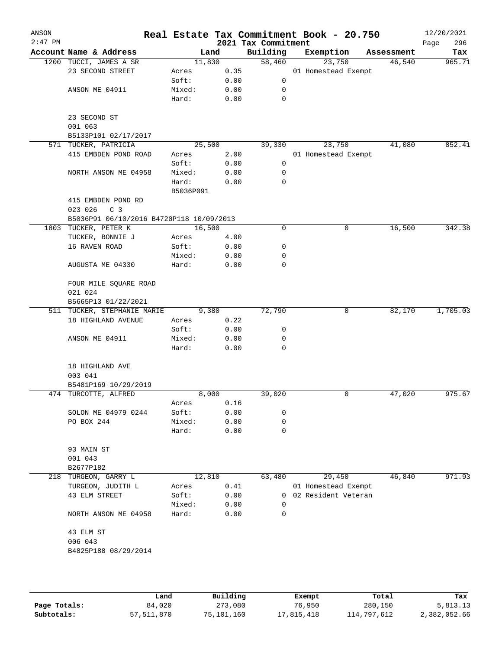| ANSON<br>$2:47$ PM |                                                   |                |      | 2021 Tax Commitment | Real Estate Tax Commitment Book - 20.750 |            | 12/20/2021<br>296<br>Page |
|--------------------|---------------------------------------------------|----------------|------|---------------------|------------------------------------------|------------|---------------------------|
|                    | Account Name & Address                            | Land           |      | Building            | Exemption                                | Assessment | Tax                       |
|                    | 1200 TUCCI, JAMES A SR                            | 11,830         |      | 58,460              | 23,750                                   | 46,540     | 965.71                    |
|                    | 23 SECOND STREET                                  | Acres          | 0.35 |                     | 01 Homestead Exempt                      |            |                           |
|                    |                                                   | Soft:          | 0.00 | 0                   |                                          |            |                           |
|                    | ANSON ME 04911                                    | Mixed:         | 0.00 | 0                   |                                          |            |                           |
|                    |                                                   | Hard:          | 0.00 | $\mathbf 0$         |                                          |            |                           |
|                    | 23 SECOND ST                                      |                |      |                     |                                          |            |                           |
|                    | 001 063                                           |                |      |                     |                                          |            |                           |
|                    | B5133P101 02/17/2017                              |                |      |                     |                                          |            |                           |
|                    | 571 TUCKER, PATRICIA                              | 25,500         |      | 39,330              | 23,750                                   | 41,080     | 852.41                    |
|                    | 415 EMBDEN POND ROAD                              | Acres          | 2.00 |                     | 01 Homestead Exempt                      |            |                           |
|                    |                                                   | Soft:          | 0.00 | 0                   |                                          |            |                           |
|                    | NORTH ANSON ME 04958                              | Mixed:         | 0.00 | 0                   |                                          |            |                           |
|                    |                                                   | Hard:          | 0.00 | 0                   |                                          |            |                           |
|                    |                                                   | B5036P091      |      |                     |                                          |            |                           |
|                    | 415 EMBDEN POND RD<br>023 026<br>C <sub>3</sub>   |                |      |                     |                                          |            |                           |
|                    | B5036P91 06/10/2016 B4720P118 10/09/2013          |                |      |                     |                                          |            |                           |
|                    | 1803 TUCKER, PETER K                              | 16,500         |      | 0                   | 0                                        | 16,500     | 342.38                    |
|                    | TUCKER, BONNIE J                                  | Acres          | 4.00 |                     |                                          |            |                           |
|                    | 16 RAVEN ROAD                                     | Soft:          | 0.00 | 0                   |                                          |            |                           |
|                    |                                                   | Mixed:         | 0.00 | 0                   |                                          |            |                           |
|                    | AUGUSTA ME 04330                                  | Hard:          | 0.00 | 0                   |                                          |            |                           |
|                    |                                                   |                |      |                     |                                          |            |                           |
|                    | FOUR MILE SQUARE ROAD                             |                |      |                     |                                          |            |                           |
|                    | 021 024                                           |                |      |                     |                                          |            |                           |
|                    | B5665P13 01/22/2021                               |                |      |                     |                                          |            | 1,705.03                  |
|                    | 511 TUCKER, STEPHANIE MARIE<br>18 HIGHLAND AVENUE | 9,380          | 0.22 | 72,790              | 0                                        | 82,170     |                           |
|                    |                                                   | Acres<br>Soft: | 0.00 | 0                   |                                          |            |                           |
|                    | ANSON ME 04911                                    | Mixed:         | 0.00 | 0                   |                                          |            |                           |
|                    |                                                   | Hard:          | 0.00 | 0                   |                                          |            |                           |
|                    |                                                   |                |      |                     |                                          |            |                           |
|                    | 18 HIGHLAND AVE                                   |                |      |                     |                                          |            |                           |
|                    | 003 041                                           |                |      |                     |                                          |            |                           |
|                    | B5481P169 10/29/2019                              |                |      |                     |                                          |            |                           |
|                    | 474 TURCOTTE, ALFRED                              | 8,000          |      | 39,020              | 0                                        | 47,020     | 975.67                    |
|                    |                                                   | Acres          | 0.16 |                     |                                          |            |                           |
|                    | SOLON ME 04979 0244                               | Soft:          | 0.00 | 0                   |                                          |            |                           |
|                    | PO BOX 244                                        | Mixed:         | 0.00 | 0                   |                                          |            |                           |
|                    |                                                   | Hard:          | 0.00 | 0                   |                                          |            |                           |
|                    | 93 MAIN ST                                        |                |      |                     |                                          |            |                           |
|                    | 001 043                                           |                |      |                     |                                          |            |                           |
|                    | B2677P182                                         |                |      |                     |                                          |            |                           |
| 218                | TURGEON, GARRY L                                  | 12,810         |      | 63,480              | 29,450                                   | 46,840     | 971.93                    |
|                    | TURGEON, JUDITH L                                 | Acres          | 0.41 |                     | 01 Homestead Exempt                      |            |                           |
|                    | 43 ELM STREET                                     | Soft:          | 0.00 | $\Omega$            | 02 Resident Veteran                      |            |                           |
|                    |                                                   | Mixed:         | 0.00 | $\Omega$            |                                          |            |                           |
|                    | NORTH ANSON ME 04958                              | Hard:          | 0.00 | 0                   |                                          |            |                           |
|                    | 43 ELM ST                                         |                |      |                     |                                          |            |                           |
|                    | 006 043                                           |                |      |                     |                                          |            |                           |
|                    | B4825P188 08/29/2014                              |                |      |                     |                                          |            |                           |
|                    |                                                   |                |      |                     |                                          |            |                           |
|                    |                                                   |                |      |                     |                                          |            |                           |

|              | Land       | Building   | Exempt     | Total       | Tax          |
|--------------|------------|------------|------------|-------------|--------------|
| Page Totals: | 84,020     | 273,080    | 76,950     | 280,150     | 5,813.13     |
| Subtotals:   | 57,511,870 | 75,101,160 | 17,815,418 | 114,797,612 | 2,382,052.66 |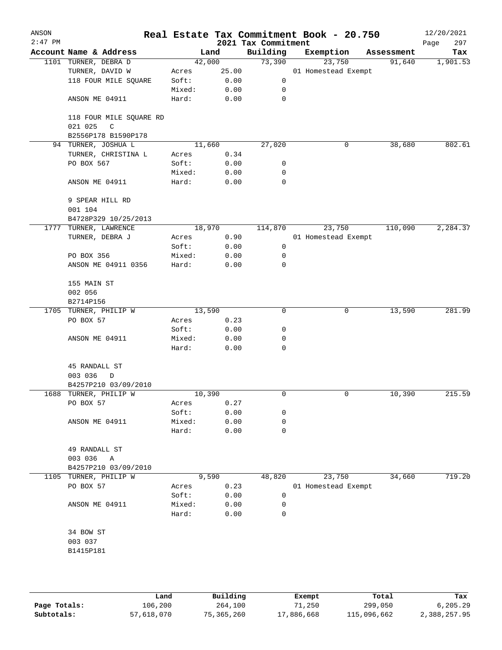| ANSON<br>$2:47$ PM |                                                   |        |       | 2021 Tax Commitment | Real Estate Tax Commitment Book - 20.750 |            | 12/20/2021<br>297<br>Page |
|--------------------|---------------------------------------------------|--------|-------|---------------------|------------------------------------------|------------|---------------------------|
|                    | Account Name & Address                            |        | Land  | Building            | Exemption                                | Assessment | Tax                       |
|                    | 1101 TURNER, DEBRA D                              | 42,000 |       | 73,390              | 23,750                                   | 91,640     | 1,901.53                  |
|                    | TURNER, DAVID W                                   | Acres  | 25.00 |                     | 01 Homestead Exempt                      |            |                           |
|                    | 118 FOUR MILE SQUARE                              | Soft:  | 0.00  | 0                   |                                          |            |                           |
|                    |                                                   | Mixed: | 0.00  | 0                   |                                          |            |                           |
|                    | ANSON ME 04911                                    | Hard:  | 0.00  | 0                   |                                          |            |                           |
|                    | 118 FOUR MILE SQUARE RD<br>$\mathsf C$<br>021 025 |        |       |                     |                                          |            |                           |
|                    | B2556P178 B1590P178                               |        |       |                     |                                          |            |                           |
|                    | 94 TURNER, JOSHUA L                               | 11,660 |       | 27,020              | 0                                        | 38,680     | 802.61                    |
|                    | TURNER, CHRISTINA L                               | Acres  | 0.34  |                     |                                          |            |                           |
|                    | PO BOX 567                                        | Soft:  | 0.00  | 0                   |                                          |            |                           |
|                    |                                                   | Mixed: | 0.00  | 0<br>$\mathbf 0$    |                                          |            |                           |
|                    | ANSON ME 04911                                    | Hard:  | 0.00  |                     |                                          |            |                           |
|                    | 9 SPEAR HILL RD                                   |        |       |                     |                                          |            |                           |
|                    | 001 104                                           |        |       |                     |                                          |            |                           |
|                    | B4728P329 10/25/2013                              |        |       |                     |                                          |            |                           |
|                    | 1777 TURNER, LAWRENCE                             | 18,970 |       | 114,870             | 23,750                                   | 110,090    | 2, 284.37                 |
|                    | TURNER, DEBRA J                                   | Acres  | 0.90  |                     | 01 Homestead Exempt                      |            |                           |
|                    |                                                   | Soft:  | 0.00  | 0                   |                                          |            |                           |
|                    | PO BOX 356                                        | Mixed: | 0.00  | 0                   |                                          |            |                           |
|                    | ANSON ME 04911 0356                               | Hard:  | 0.00  | $\mathbf 0$         |                                          |            |                           |
|                    | 155 MAIN ST                                       |        |       |                     |                                          |            |                           |
|                    | 002 056                                           |        |       |                     |                                          |            |                           |
|                    | B2714P156                                         |        |       |                     |                                          |            |                           |
|                    | 1705 TURNER, PHILIP W                             | 13,590 |       | 0                   | 0                                        | 13,590     | 281.99                    |
|                    | PO BOX 57                                         | Acres  | 0.23  |                     |                                          |            |                           |
|                    |                                                   | Soft:  | 0.00  | 0                   |                                          |            |                           |
|                    | ANSON ME 04911                                    | Mixed: | 0.00  | 0                   |                                          |            |                           |
|                    |                                                   | Hard:  | 0.00  | 0                   |                                          |            |                           |
|                    | 45 RANDALL ST                                     |        |       |                     |                                          |            |                           |
|                    | 003 036<br>D                                      |        |       |                     |                                          |            |                           |
|                    | B4257P210 03/09/2010                              |        |       |                     |                                          |            |                           |
|                    | 1688 TURNER, PHILIP W                             | 10,390 |       | 0                   | 0                                        | 10,390     | 215.59                    |
|                    | PO BOX 57                                         | Acres  | 0.27  |                     |                                          |            |                           |
|                    |                                                   | Soft:  | 0.00  | 0                   |                                          |            |                           |
|                    | ANSON ME 04911                                    | Mixed: | 0.00  | 0                   |                                          |            |                           |
|                    |                                                   | Hard:  | 0.00  | 0                   |                                          |            |                           |
|                    | 49 RANDALL ST                                     |        |       |                     |                                          |            |                           |
|                    | 003 036<br>Α                                      |        |       |                     |                                          |            |                           |
|                    | B4257P210 03/09/2010                              |        |       |                     |                                          |            |                           |
| 1105               | TURNER, PHILIP W                                  |        | 9,590 | 48,820              | 23,750                                   | 34,660     | 719.20                    |
|                    | PO BOX 57                                         | Acres  | 0.23  |                     | 01 Homestead Exempt                      |            |                           |
|                    |                                                   | Soft:  | 0.00  | 0                   |                                          |            |                           |
|                    | ANSON ME 04911                                    | Mixed: | 0.00  | 0                   |                                          |            |                           |
|                    |                                                   | Hard:  | 0.00  | 0                   |                                          |            |                           |
|                    | 34 BOW ST                                         |        |       |                     |                                          |            |                           |
|                    |                                                   |        |       |                     |                                          |            |                           |
|                    | 003 037                                           |        |       |                     |                                          |            |                           |
|                    | B1415P181                                         |        |       |                     |                                          |            |                           |
|                    |                                                   |        |       |                     |                                          |            |                           |
|                    |                                                   |        |       |                     |                                          |            |                           |

|              | Land       | Building   | Exempt     | Total       | Tax          |
|--------------|------------|------------|------------|-------------|--------------|
| Page Totals: | 106,200    | 264,100    | 71,250     | 299,050     | 6, 205.29    |
| Subtotals:   | 57,618,070 | 75,365,260 | 17,886,668 | 115,096,662 | 2,388,257.95 |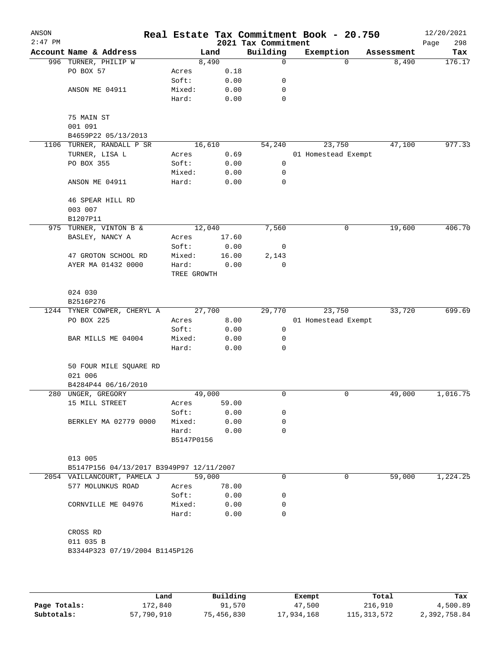| ANSON<br>$2:47$ PM |                                          |                     |        | 2021 Tax Commitment | Real Estate Tax Commitment Book - 20.750 |          |            | 12/20/2021<br>298<br>Page |
|--------------------|------------------------------------------|---------------------|--------|---------------------|------------------------------------------|----------|------------|---------------------------|
|                    | Account Name & Address                   |                     | Land   | Building            | Exemption                                |          | Assessment | Tax                       |
|                    | 996 TURNER, PHILIP W                     |                     | 8,490  | 0                   |                                          | $\Omega$ | 8,490      | 176.17                    |
|                    | PO BOX 57                                | Acres               | 0.18   |                     |                                          |          |            |                           |
|                    |                                          | Soft:               | 0.00   | 0                   |                                          |          |            |                           |
|                    | ANSON ME 04911                           | Mixed:              | 0.00   | 0                   |                                          |          |            |                           |
|                    |                                          | Hard:               | 0.00   | $\mathbf 0$         |                                          |          |            |                           |
|                    | 75 MAIN ST                               |                     |        |                     |                                          |          |            |                           |
|                    | 001 091                                  |                     |        |                     |                                          |          |            |                           |
|                    | B4659P22 05/13/2013                      |                     |        |                     |                                          |          |            |                           |
|                    | 1106 TURNER, RANDALL P SR                |                     | 16,610 | 54,240              | 23,750                                   |          | 47,100     | 977.33                    |
|                    | TURNER, LISA L                           | Acres               | 0.69   |                     | 01 Homestead Exempt                      |          |            |                           |
|                    | PO BOX 355                               | Soft:               | 0.00   | 0                   |                                          |          |            |                           |
|                    |                                          | Mixed:              | 0.00   | 0                   |                                          |          |            |                           |
|                    | ANSON ME 04911                           | Hard:               | 0.00   | $\mathbf 0$         |                                          |          |            |                           |
|                    | 46 SPEAR HILL RD                         |                     |        |                     |                                          |          |            |                           |
|                    | 003 007                                  |                     |        |                     |                                          |          |            |                           |
|                    | B1207P11                                 |                     |        |                     |                                          |          |            |                           |
|                    | 975 TURNER, VINTON B &                   |                     | 12,040 | 7,560               |                                          | 0        | 19,600     | 406.70                    |
|                    | BASLEY, NANCY A                          | Acres               | 17.60  |                     |                                          |          |            |                           |
|                    |                                          | Soft:               | 0.00   | 0                   |                                          |          |            |                           |
|                    | 47 GROTON SCHOOL RD                      | Mixed:              | 16.00  | 2,143               |                                          |          |            |                           |
|                    | AYER MA 01432 0000                       | Hard:               | 0.00   | $\mathbf 0$         |                                          |          |            |                           |
|                    |                                          | TREE GROWTH         |        |                     |                                          |          |            |                           |
|                    | 024 030                                  |                     |        |                     |                                          |          |            |                           |
|                    | B2516P276                                |                     |        |                     |                                          |          |            |                           |
|                    | 1244 TYNER COWPER, CHERYL A              |                     | 27,700 | 29,770              | 23,750                                   |          | 33,720     | 699.69                    |
|                    | PO BOX 225                               | Acres               | 8.00   |                     | 01 Homestead Exempt                      |          |            |                           |
|                    |                                          | Soft:               | 0.00   | 0                   |                                          |          |            |                           |
|                    | BAR MILLS ME 04004                       | Mixed:              | 0.00   | 0                   |                                          |          |            |                           |
|                    |                                          | Hard:               | 0.00   | 0                   |                                          |          |            |                           |
|                    | 50 FOUR MILE SQUARE RD                   |                     |        |                     |                                          |          |            |                           |
|                    | 021 006                                  |                     |        |                     |                                          |          |            |                           |
|                    | B4284P44 06/16/2010                      |                     |        |                     |                                          |          |            |                           |
|                    | 280 UNGER, GREGORY                       |                     | 49,000 | 0                   |                                          | 0        | 49,000     | 1,016.75                  |
|                    | 15 MILL STREET                           | Acres               | 59.00  |                     |                                          |          |            |                           |
|                    |                                          | Soft:               | 0.00   | 0                   |                                          |          |            |                           |
|                    | BERKLEY MA 02779 0000                    | Mixed:              | 0.00   | 0                   |                                          |          |            |                           |
|                    |                                          | Hard:<br>B5147P0156 | 0.00   | 0                   |                                          |          |            |                           |
|                    | 013 005                                  |                     |        |                     |                                          |          |            |                           |
|                    | B5147P156 04/13/2017 B3949P97 12/11/2007 |                     |        |                     |                                          |          |            |                           |
|                    | 2054 VAILLANCOURT, PAMELA J              |                     | 59,000 | $\Omega$            |                                          | 0        | 59,000     | 1,224.25                  |
|                    | 577 MOLUNKUS ROAD                        | Acres               | 78.00  |                     |                                          |          |            |                           |
|                    |                                          | Soft:               | 0.00   | 0                   |                                          |          |            |                           |
|                    | CORNVILLE ME 04976                       | Mixed:              | 0.00   | 0                   |                                          |          |            |                           |
|                    |                                          | Hard:               | 0.00   | $\Omega$            |                                          |          |            |                           |
|                    | CROSS RD                                 |                     |        |                     |                                          |          |            |                           |
|                    | 011 035 B                                |                     |        |                     |                                          |          |            |                           |
|                    | B3344P323 07/19/2004 B1145P126           |                     |        |                     |                                          |          |            |                           |
|                    |                                          |                     |        |                     |                                          |          |            |                           |
|                    |                                          |                     |        |                     |                                          |          |            |                           |
|                    |                                          |                     |        |                     |                                          |          |            |                           |

|              | Land       | Building   | Exempt     | Total         | Tax          |
|--------------|------------|------------|------------|---------------|--------------|
| Page Totals: | 172,840    | 91,570     | 47,500     | 216,910       | 4,500.89     |
| Subtotals:   | 57,790,910 | 75,456,830 | 17,934,168 | 115, 313, 572 | 2,392,758.84 |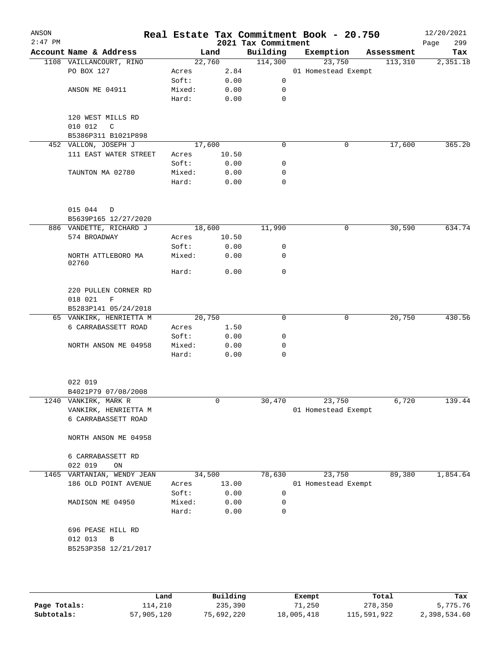| Account Name & Address<br>1108 VAILLANCOURT, RINO<br>PO BOX 127<br>ANSON ME 04911<br>120 WEST MILLS RD<br>010 012<br>$\mathsf C$<br>B5386P311 B1021P898<br>452 VALLON, JOSEPH J<br>111 EAST WATER STREET<br>TAUNTON MA 02780<br>015 044<br>D<br>B5639P165 12/27/2020<br>886 VANDETTE, RICHARD J<br>574 BROADWAY | Acres<br>Soft:<br>Mixed:<br>Hard:<br>Acres<br>Soft:<br>Mixed:<br>Hard:                                                                                                              | Land<br>22,760<br>2.84<br>0.00<br>0.00<br>0.00<br>17,600<br>10.50<br>0.00<br>0.00<br>0.00 | 2021 Tax Commitment<br>Building<br>114,300<br>$\mathsf{O}$<br>0<br>$\mathbf 0$<br>0<br>0<br>0<br>0 | Exemption<br>23,750<br>01 Homestead Exempt<br>0 | Assessment<br>113,310<br>17,600 | 299<br>Page<br>Tax                                            |
|-----------------------------------------------------------------------------------------------------------------------------------------------------------------------------------------------------------------------------------------------------------------------------------------------------------------|-------------------------------------------------------------------------------------------------------------------------------------------------------------------------------------|-------------------------------------------------------------------------------------------|----------------------------------------------------------------------------------------------------|-------------------------------------------------|---------------------------------|---------------------------------------------------------------|
|                                                                                                                                                                                                                                                                                                                 |                                                                                                                                                                                     |                                                                                           |                                                                                                    |                                                 |                                 | 2,351.18                                                      |
|                                                                                                                                                                                                                                                                                                                 |                                                                                                                                                                                     |                                                                                           |                                                                                                    |                                                 |                                 |                                                               |
|                                                                                                                                                                                                                                                                                                                 |                                                                                                                                                                                     |                                                                                           |                                                                                                    |                                                 |                                 |                                                               |
|                                                                                                                                                                                                                                                                                                                 |                                                                                                                                                                                     |                                                                                           |                                                                                                    |                                                 |                                 | 365.20                                                        |
|                                                                                                                                                                                                                                                                                                                 |                                                                                                                                                                                     |                                                                                           |                                                                                                    |                                                 |                                 |                                                               |
|                                                                                                                                                                                                                                                                                                                 |                                                                                                                                                                                     |                                                                                           |                                                                                                    |                                                 |                                 |                                                               |
|                                                                                                                                                                                                                                                                                                                 |                                                                                                                                                                                     |                                                                                           |                                                                                                    |                                                 |                                 |                                                               |
|                                                                                                                                                                                                                                                                                                                 |                                                                                                                                                                                     |                                                                                           |                                                                                                    |                                                 |                                 |                                                               |
|                                                                                                                                                                                                                                                                                                                 |                                                                                                                                                                                     |                                                                                           |                                                                                                    |                                                 |                                 |                                                               |
|                                                                                                                                                                                                                                                                                                                 |                                                                                                                                                                                     |                                                                                           |                                                                                                    |                                                 |                                 |                                                               |
|                                                                                                                                                                                                                                                                                                                 |                                                                                                                                                                                     |                                                                                           |                                                                                                    |                                                 |                                 |                                                               |
|                                                                                                                                                                                                                                                                                                                 |                                                                                                                                                                                     |                                                                                           |                                                                                                    |                                                 |                                 |                                                               |
|                                                                                                                                                                                                                                                                                                                 |                                                                                                                                                                                     |                                                                                           |                                                                                                    |                                                 |                                 |                                                               |
|                                                                                                                                                                                                                                                                                                                 |                                                                                                                                                                                     |                                                                                           |                                                                                                    |                                                 |                                 |                                                               |
|                                                                                                                                                                                                                                                                                                                 |                                                                                                                                                                                     | 18,600                                                                                    | 11,990                                                                                             | 0                                               | 30,590                          | 634.74                                                        |
|                                                                                                                                                                                                                                                                                                                 | Acres                                                                                                                                                                               | 10.50                                                                                     |                                                                                                    |                                                 |                                 |                                                               |
|                                                                                                                                                                                                                                                                                                                 | Soft:                                                                                                                                                                               | 0.00                                                                                      | 0                                                                                                  |                                                 |                                 |                                                               |
| NORTH ATTLEBORO MA                                                                                                                                                                                                                                                                                              | Mixed:                                                                                                                                                                              | 0.00                                                                                      | 0                                                                                                  |                                                 |                                 |                                                               |
|                                                                                                                                                                                                                                                                                                                 | Hard:                                                                                                                                                                               | 0.00                                                                                      | 0                                                                                                  |                                                 |                                 |                                                               |
| 220 PULLEN CORNER RD<br>018 021<br>F                                                                                                                                                                                                                                                                            |                                                                                                                                                                                     |                                                                                           |                                                                                                    |                                                 |                                 |                                                               |
| B5283P141 05/24/2018                                                                                                                                                                                                                                                                                            |                                                                                                                                                                                     |                                                                                           |                                                                                                    |                                                 |                                 |                                                               |
| 65 VANKIRK, HENRIETTA M                                                                                                                                                                                                                                                                                         |                                                                                                                                                                                     | 20,750                                                                                    | 0                                                                                                  | 0                                               | 20,750                          | 430.56                                                        |
| 6 CARRABASSETT ROAD                                                                                                                                                                                                                                                                                             | Acres                                                                                                                                                                               | 1.50                                                                                      |                                                                                                    |                                                 |                                 |                                                               |
|                                                                                                                                                                                                                                                                                                                 | Soft:                                                                                                                                                                               | 0.00                                                                                      | 0                                                                                                  |                                                 |                                 |                                                               |
| NORTH ANSON ME 04958                                                                                                                                                                                                                                                                                            | Mixed:<br>Hard:                                                                                                                                                                     | 0.00<br>0.00                                                                              | 0<br>0                                                                                             |                                                 |                                 |                                                               |
|                                                                                                                                                                                                                                                                                                                 |                                                                                                                                                                                     |                                                                                           |                                                                                                    |                                                 |                                 |                                                               |
|                                                                                                                                                                                                                                                                                                                 |                                                                                                                                                                                     |                                                                                           |                                                                                                    |                                                 |                                 |                                                               |
|                                                                                                                                                                                                                                                                                                                 |                                                                                                                                                                                     |                                                                                           |                                                                                                    |                                                 |                                 |                                                               |
| VANKIRK, HENRIETTA M<br>6 CARRABASSETT ROAD                                                                                                                                                                                                                                                                     |                                                                                                                                                                                     |                                                                                           |                                                                                                    |                                                 |                                 | 139.44                                                        |
| NORTH ANSON ME 04958                                                                                                                                                                                                                                                                                            |                                                                                                                                                                                     |                                                                                           |                                                                                                    |                                                 |                                 |                                                               |
| 6 CARRABASSETT RD                                                                                                                                                                                                                                                                                               |                                                                                                                                                                                     |                                                                                           |                                                                                                    |                                                 |                                 |                                                               |
|                                                                                                                                                                                                                                                                                                                 |                                                                                                                                                                                     |                                                                                           |                                                                                                    |                                                 |                                 | 1,854.64                                                      |
|                                                                                                                                                                                                                                                                                                                 |                                                                                                                                                                                     |                                                                                           |                                                                                                    |                                                 |                                 |                                                               |
|                                                                                                                                                                                                                                                                                                                 |                                                                                                                                                                                     |                                                                                           |                                                                                                    |                                                 |                                 |                                                               |
|                                                                                                                                                                                                                                                                                                                 |                                                                                                                                                                                     |                                                                                           |                                                                                                    |                                                 |                                 |                                                               |
|                                                                                                                                                                                                                                                                                                                 | Hard:                                                                                                                                                                               | 0.00                                                                                      | 0                                                                                                  |                                                 |                                 |                                                               |
|                                                                                                                                                                                                                                                                                                                 |                                                                                                                                                                                     |                                                                                           |                                                                                                    |                                                 |                                 |                                                               |
| 022 019<br>022 019                                                                                                                                                                                                                                                                                              | B4021P79 07/08/2008<br>1240 VANKIRK, MARK R<br>ON<br>VARTANIAN, WENDY JEAN<br>186 OLD POINT AVENUE<br>MADISON ME 04950<br>696 PEASE HILL RD<br>$\, {\bf B}$<br>B5253P358 12/21/2017 | Acres<br>Soft:<br>Mixed:                                                                  | 0<br>34,500<br>13.00<br>0.00<br>0.00                                                               | 30,470<br>78,630<br>0<br>0                      | 23,750<br>23,750                | 6,720<br>01 Homestead Exempt<br>89,380<br>01 Homestead Exempt |

|              | Land       | Building   | Exempt     | Total       | Tax          |
|--------------|------------|------------|------------|-------------|--------------|
| Page Totals: | ⊥14,210    | 235,390    | 71,250     | 278,350     | 5,775.76     |
| Subtotals:   | 57,905,120 | 75,692,220 | 18,005,418 | 115,591,922 | 2,398,534.60 |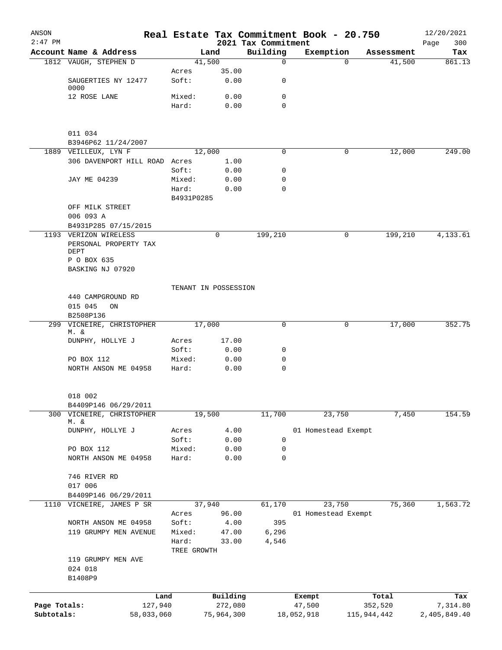| ANSON<br>$2:47$ PM |                                                                       |            |                      |            | 2021 Tax Commitment | Real Estate Tax Commitment Book - 20.750 |             | 12/20/2021<br>300<br>Page |
|--------------------|-----------------------------------------------------------------------|------------|----------------------|------------|---------------------|------------------------------------------|-------------|---------------------------|
|                    | Account Name & Address                                                |            | Land                 |            | Building            | Exemption                                | Assessment  | Tax                       |
|                    | 1812 VAUGH, STEPHEN D                                                 |            | 41,500               |            | $\mathbf 0$         | $\Omega$                                 | 41,500      | 861.13                    |
|                    |                                                                       |            | Acres                | 35.00      |                     |                                          |             |                           |
|                    | SAUGERTIES NY 12477<br>0000                                           |            | Soft:                | 0.00       | 0                   |                                          |             |                           |
|                    | 12 ROSE LANE                                                          |            | Mixed:               | 0.00       | 0                   |                                          |             |                           |
|                    |                                                                       |            | Hard:                | 0.00       | $\Omega$            |                                          |             |                           |
|                    | 011 034                                                               |            |                      |            |                     |                                          |             |                           |
|                    | B3946P62 11/24/2007                                                   |            |                      |            |                     |                                          |             |                           |
|                    | 1889 VEILLEUX, LYN F                                                  |            | 12,000               |            | $\Omega$            | 0                                        | 12,000      | 249.00                    |
|                    | 306 DAVENPORT HILL ROAD Acres                                         |            |                      | 1.00       |                     |                                          |             |                           |
|                    |                                                                       |            | Soft:                | 0.00       | 0                   |                                          |             |                           |
|                    | JAY ME 04239                                                          |            | Mixed:               | 0.00       | 0                   |                                          |             |                           |
|                    |                                                                       |            | Hard:                | 0.00       | 0                   |                                          |             |                           |
|                    |                                                                       |            | B4931P0285           |            |                     |                                          |             |                           |
|                    | OFF MILK STREET                                                       |            |                      |            |                     |                                          |             |                           |
|                    | 006 093 A                                                             |            |                      |            |                     |                                          |             |                           |
|                    | B4931P285 07/15/2015                                                  |            |                      |            |                     |                                          |             |                           |
|                    | 1193 VERIZON WIRELESS<br>PERSONAL PROPERTY TAX<br>DEPT<br>P O BOX 635 |            |                      | 0          | 199,210             | 0                                        | 199,210     | 4,133.61                  |
|                    | BASKING NJ 07920                                                      |            |                      |            |                     |                                          |             |                           |
|                    |                                                                       |            | TENANT IN POSSESSION |            |                     |                                          |             |                           |
|                    | 440 CAMPGROUND RD                                                     |            |                      |            |                     |                                          |             |                           |
|                    | 015 045<br>ON                                                         |            |                      |            |                     |                                          |             |                           |
|                    | B2508P136                                                             |            |                      |            |                     |                                          |             |                           |
|                    | 299 VICNEIRE, CHRISTOPHER<br>M. &                                     |            | 17,000               |            | 0                   | 0                                        | 17,000      | 352.75                    |
|                    | DUNPHY, HOLLYE J                                                      |            | Acres                | 17.00      |                     |                                          |             |                           |
|                    |                                                                       |            | Soft:                | 0.00       | 0                   |                                          |             |                           |
|                    | PO BOX 112                                                            |            | Mixed:               | 0.00       | 0                   |                                          |             |                           |
|                    | NORTH ANSON ME 04958                                                  | Hard:      |                      | 0.00       | $\mathbf 0$         |                                          |             |                           |
|                    | 018 002                                                               |            |                      |            |                     |                                          |             |                           |
|                    | B4409P146 06/29/2011                                                  |            |                      |            |                     |                                          |             |                           |
| 300                | VICNEIRE, CHRISTOPHER                                                 |            | 19,500               |            | 11,700              | 23,750                                   | 7,450       | 154.59                    |
|                    | M. &<br>DUNPHY, HOLLYE J                                              |            |                      | 4.00       |                     | 01 Homestead Exempt                      |             |                           |
|                    |                                                                       |            | Acres<br>Soft:       | 0.00       | 0                   |                                          |             |                           |
|                    | PO BOX 112                                                            |            | Mixed:               | 0.00       | 0                   |                                          |             |                           |
|                    | NORTH ANSON ME 04958                                                  | Hard:      |                      | 0.00       | 0                   |                                          |             |                           |
|                    | 746 RIVER RD                                                          |            |                      |            |                     |                                          |             |                           |
|                    | 017 006                                                               |            |                      |            |                     |                                          |             |                           |
|                    | B4409P146 06/29/2011                                                  |            |                      |            |                     |                                          |             |                           |
| 1110               | VICNEIRE, JAMES P SR                                                  |            | 37,940               |            | 61,170              | 23,750                                   | 75,360      | 1,563.72                  |
|                    |                                                                       |            | Acres                | 96.00      |                     | 01 Homestead Exempt                      |             |                           |
|                    | NORTH ANSON ME 04958                                                  |            | Soft:                | 4.00       | 395                 |                                          |             |                           |
|                    | 119 GRUMPY MEN AVENUE                                                 |            | Mixed:               | 47.00      | 6,296               |                                          |             |                           |
|                    |                                                                       | Hard:      | TREE GROWTH          | 33.00      | 4,546               |                                          |             |                           |
|                    | 119 GRUMPY MEN AVE<br>024 018                                         |            |                      |            |                     |                                          |             |                           |
|                    | B1408P9                                                               |            |                      |            |                     |                                          |             |                           |
|                    |                                                                       | Land       |                      | Building   |                     | Exempt                                   | Total       | Tax                       |
| Page Totals:       |                                                                       | 127,940    |                      | 272,080    |                     | 47,500                                   | 352,520     | 7,314.80                  |
| Subtotals:         |                                                                       | 58,033,060 |                      | 75,964,300 |                     | 18,052,918                               | 115,944,442 | 2,405,849.40              |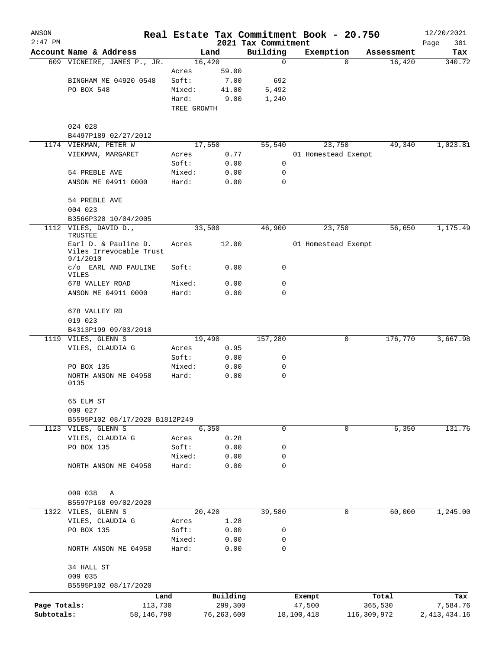| ANSON        |                                               |            |                 |              |                                 | Real Estate Tax Commitment Book - 20.750 |              | 12/20/2021         |
|--------------|-----------------------------------------------|------------|-----------------|--------------|---------------------------------|------------------------------------------|--------------|--------------------|
| $2:47$ PM    | Account Name & Address                        |            |                 | Land         | 2021 Tax Commitment<br>Building | Exemption                                | Assessment   | Page<br>301<br>Tax |
|              | 609 VICNEIRE, JAMES P., JR.                   |            | 16,420          |              | $\mathbf 0$                     |                                          | 16,420<br>0  | 340.72             |
|              |                                               |            | Acres           | 59.00        |                                 |                                          |              |                    |
|              | BINGHAM ME 04920 0548                         |            | Soft:           | 7.00         | 692                             |                                          |              |                    |
|              | PO BOX 548                                    |            | Mixed:          | 41.00        | 5,492                           |                                          |              |                    |
|              |                                               |            | Hard:           | 9.00         | 1,240                           |                                          |              |                    |
|              |                                               |            | TREE GROWTH     |              |                                 |                                          |              |                    |
|              | 024 028                                       |            |                 |              |                                 |                                          |              |                    |
|              | B4497P189 02/27/2012                          |            |                 |              |                                 |                                          |              |                    |
|              | 1174 VIEKMAN, PETER W                         |            |                 | 17,550       | 55,540                          | 23,750                                   | 49,340       | 1,023.81           |
|              | VIEKMAN, MARGARET                             |            | Acres           | 0.77         |                                 | 01 Homestead Exempt                      |              |                    |
|              |                                               |            | Soft:           | 0.00         | 0                               |                                          |              |                    |
|              | 54 PREBLE AVE                                 |            | Mixed:          | 0.00         | 0<br>$\Omega$                   |                                          |              |                    |
|              | ANSON ME 04911 0000                           |            | Hard:           | 0.00         |                                 |                                          |              |                    |
|              | 54 PREBLE AVE                                 |            |                 |              |                                 |                                          |              |                    |
|              | 004 023                                       |            |                 |              |                                 |                                          |              |                    |
|              | B3566P320 10/04/2005<br>1112 VILES, DAVID D., |            | 33,500          |              | 46,900                          | 23,750                                   | 56,650       | 1,175.49           |
|              | TRUSTEE<br>Earl D. & Pauline D.               |            |                 |              |                                 | 01 Homestead Exempt                      |              |                    |
|              | Viles Irrevocable Trust<br>9/1/2010           |            | Acres           | 12.00        |                                 |                                          |              |                    |
|              | c/o EARL AND PAULINE<br>VILES                 |            | Soft:           | 0.00         | 0                               |                                          |              |                    |
|              | 678 VALLEY ROAD                               |            | Mixed:          | 0.00         | 0                               |                                          |              |                    |
|              | ANSON ME 04911 0000                           |            | Hard:           | 0.00         | 0                               |                                          |              |                    |
|              | 678 VALLEY RD                                 |            |                 |              |                                 |                                          |              |                    |
|              | 019 023                                       |            |                 |              |                                 |                                          |              |                    |
|              | B4313P199 09/03/2010<br>1119 VILES, GLENN S   |            | 19,490          |              | 157,280                         |                                          | 176,770<br>0 | 3,667.98           |
|              | VILES, CLAUDIA G                              |            | Acres           | 0.95         |                                 |                                          |              |                    |
|              |                                               |            | Soft:           | 0.00         | 0                               |                                          |              |                    |
|              | PO BOX 135                                    |            | Mixed:          | 0.00         | 0                               |                                          |              |                    |
|              | NORTH ANSON ME 04958<br>0135                  |            | Hard:           | 0.00         | 0                               |                                          |              |                    |
|              | 65 ELM ST                                     |            |                 |              |                                 |                                          |              |                    |
|              | 009 027                                       |            |                 |              |                                 |                                          |              |                    |
|              | B5595P102 08/17/2020 B1812P249                |            |                 |              |                                 |                                          |              |                    |
|              | 1123 VILES, GLENN S                           |            |                 | 6,350        | 0                               |                                          | 0<br>6,350   | 131.76             |
|              | VILES, CLAUDIA G                              |            | Acres           | 0.28         |                                 |                                          |              |                    |
|              | PO BOX 135                                    |            | Soft:           | 0.00         | 0<br>0                          |                                          |              |                    |
|              | NORTH ANSON ME 04958                          |            | Mixed:<br>Hard: | 0.00<br>0.00 | 0                               |                                          |              |                    |
|              |                                               |            |                 |              |                                 |                                          |              |                    |
|              | 009 038<br>Α                                  |            |                 |              |                                 |                                          |              |                    |
|              | B5597P168 09/02/2020                          |            |                 |              |                                 |                                          |              |                    |
|              | 1322 VILES, GLENN S                           |            | 20,420          |              | 39,580                          |                                          | 0<br>60,000  | 1,245.00           |
|              | VILES, CLAUDIA G                              |            | Acres           | 1.28         |                                 |                                          |              |                    |
|              | PO BOX 135                                    |            | Soft:           | 0.00         | 0                               |                                          |              |                    |
|              |                                               |            | Mixed:          | 0.00         | 0                               |                                          |              |                    |
|              | NORTH ANSON ME 04958                          |            | Hard:           | 0.00         | 0                               |                                          |              |                    |
|              | 34 HALL ST                                    |            |                 |              |                                 |                                          |              |                    |
|              | 009 035                                       |            |                 |              |                                 |                                          |              |                    |
|              | B5595P102 08/17/2020                          |            |                 |              |                                 |                                          |              |                    |
|              |                                               | Land       |                 | Building     |                                 | Exempt                                   | Total        | Tax                |
| Page Totals: |                                               | 113,730    |                 | 299,300      |                                 | 47,500                                   | 365,530      | 7,584.76           |
| Subtotals:   |                                               | 58,146,790 |                 | 76,263,600   |                                 | 18,100,418                               | 116,309,972  | 2,413,434.16       |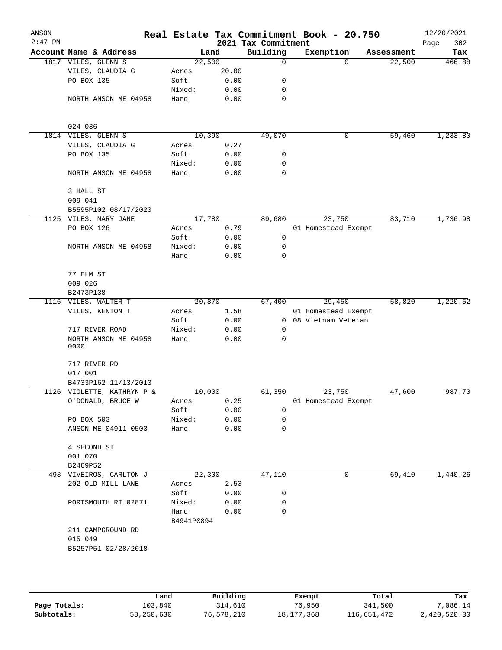| ANSON     |                              |                     |       |                     | Real Estate Tax Commitment Book - 20.750 |            | 12/20/2021  |
|-----------|------------------------------|---------------------|-------|---------------------|------------------------------------------|------------|-------------|
| $2:47$ PM |                              |                     |       | 2021 Tax Commitment |                                          |            | 302<br>Page |
|           | Account Name & Address       |                     | Land  | Building            | Exemption                                | Assessment | Tax         |
|           | 1817 VILES, GLENN S          | 22,500              |       | $\mathbf 0$         | $\Omega$                                 | 22,500     | 466.88      |
|           | VILES, CLAUDIA G             | Acres               | 20.00 |                     |                                          |            |             |
|           | PO BOX 135                   | Soft:               | 0.00  | 0                   |                                          |            |             |
|           |                              | Mixed:              | 0.00  | 0                   |                                          |            |             |
|           | NORTH ANSON ME 04958         | Hard:               | 0.00  | $\mathbf 0$         |                                          |            |             |
|           | 024 036                      |                     |       |                     |                                          |            |             |
|           | 1814 VILES, GLENN S          | 10,390              |       | 49,070              | 0                                        | 59,460     | 1,233.80    |
|           | VILES, CLAUDIA G             | Acres               | 0.27  |                     |                                          |            |             |
|           | PO BOX 135                   | Soft:               | 0.00  | 0                   |                                          |            |             |
|           |                              | Mixed:              | 0.00  | 0                   |                                          |            |             |
|           | NORTH ANSON ME 04958         | Hard:               | 0.00  | 0                   |                                          |            |             |
|           | 3 HALL ST                    |                     |       |                     |                                          |            |             |
|           | 009 041                      |                     |       |                     |                                          |            |             |
|           | B5595P102 08/17/2020         |                     |       |                     |                                          |            |             |
|           | 1125 VILES, MARY JANE        | 17,780              |       | 89,680              | 23,750                                   | 83,710     | 1,736.98    |
|           | PO BOX 126                   | Acres               | 0.79  |                     | 01 Homestead Exempt                      |            |             |
|           |                              | Soft:               | 0.00  | 0                   |                                          |            |             |
|           | NORTH ANSON ME 04958         | Mixed:              | 0.00  | 0                   |                                          |            |             |
|           |                              | Hard:               | 0.00  | $\mathbf 0$         |                                          |            |             |
|           | 77 ELM ST                    |                     |       |                     |                                          |            |             |
|           | 009 026                      |                     |       |                     |                                          |            |             |
|           | B2473P138                    |                     |       |                     |                                          |            |             |
|           | 1116 VILES, WALTER T         | 20,870              |       | 67,400              | 29,450                                   | 58,820     | 1,220.52    |
|           | VILES, KENTON T              | Acres               | 1.58  |                     | 01 Homestead Exempt                      |            |             |
|           |                              | Soft:               | 0.00  | $\overline{0}$      | 08 Vietnam Veteran                       |            |             |
|           | 717 RIVER ROAD               | Mixed:              | 0.00  | 0                   |                                          |            |             |
|           | NORTH ANSON ME 04958<br>0000 | Hard:               | 0.00  | 0                   |                                          |            |             |
|           | 717 RIVER RD                 |                     |       |                     |                                          |            |             |
|           | 017 001                      |                     |       |                     |                                          |            |             |
|           | B4733P162 11/13/2013         |                     |       |                     |                                          |            | 987.70      |
|           | 1126 VIOLETTE, KATHRYN P &   | 10,000              |       | 61,350              | 23,750                                   | 47,600     |             |
|           | O'DONALD, BRUCE W            | Acres               | 0.25  |                     | 01 Homestead Exempt                      |            |             |
|           |                              | Soft:               | 0.00  | 0                   |                                          |            |             |
|           | PO BOX 503                   | Mixed:              | 0.00  | 0<br>$\mathbf 0$    |                                          |            |             |
|           | ANSON ME 04911 0503          | Hard:               | 0.00  |                     |                                          |            |             |
|           | 4 SECOND ST                  |                     |       |                     |                                          |            |             |
|           | 001 070                      |                     |       |                     |                                          |            |             |
|           | B2469P52                     |                     |       |                     |                                          |            |             |
|           | 493 VIVEIROS, CARLTON J      | 22,300              |       | 47,110              | 0                                        | 69,410     | 1,440.26    |
|           | 202 OLD MILL LANE            | Acres               | 2.53  |                     |                                          |            |             |
|           |                              | Soft:               | 0.00  | 0                   |                                          |            |             |
|           | PORTSMOUTH RI 02871          | Mixed:              | 0.00  | 0                   |                                          |            |             |
|           |                              | Hard:<br>B4941P0894 | 0.00  | 0                   |                                          |            |             |
|           | 211 CAMPGROUND RD            |                     |       |                     |                                          |            |             |
|           | 015 049                      |                     |       |                     |                                          |            |             |
|           | B5257P51 02/28/2018          |                     |       |                     |                                          |            |             |
|           |                              |                     |       |                     |                                          |            |             |
|           |                              |                     |       |                     |                                          |            |             |
|           |                              |                     |       |                     |                                          |            |             |

|              | Land       | Building   | Exempt     | Total       | Tax          |
|--------------|------------|------------|------------|-------------|--------------|
| Page Totals: | 103,840    | 314,610    | 76,950     | 341,500     | 7,086.14     |
| Subtotals:   | 58,250,630 | 76,578,210 | 18,177,368 | 116,651,472 | 2,420,520.30 |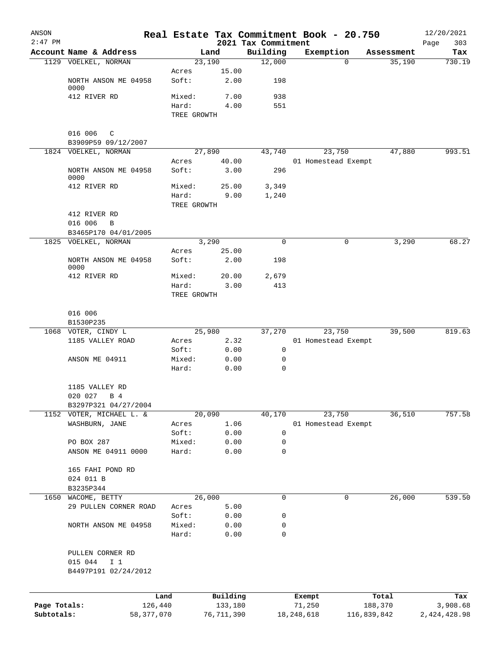| ANSON        |                              |                 |                     |              |                                 | Real Estate Tax Commitment Book - 20.750 |                  |            | 12/20/2021         |
|--------------|------------------------------|-----------------|---------------------|--------------|---------------------------------|------------------------------------------|------------------|------------|--------------------|
| $2:47$ PM    | Account Name & Address       |                 | Land                |              | 2021 Tax Commitment<br>Building | Exemption                                |                  | Assessment | 303<br>Page<br>Tax |
|              | 1129 VOELKEL, NORMAN         |                 | 23,190              |              | 12,000                          | $\Omega$                                 |                  | 35,190     | 730.19             |
|              |                              | Acres           |                     | 15.00        |                                 |                                          |                  |            |                    |
|              | NORTH ANSON ME 04958<br>0000 | Soft:           |                     | 2.00         | 198                             |                                          |                  |            |                    |
|              | 412 RIVER RD                 | Mixed:          |                     | 7.00         | 938                             |                                          |                  |            |                    |
|              |                              | Hard:           |                     | 4.00         | 551                             |                                          |                  |            |                    |
|              |                              |                 | TREE GROWTH         |              |                                 |                                          |                  |            |                    |
|              | 016 006<br>C                 |                 |                     |              |                                 |                                          |                  |            |                    |
|              | B3909P59 09/12/2007          |                 |                     |              |                                 |                                          |                  |            |                    |
|              | 1824 VOELKEL, NORMAN         |                 | 27,890              | 40.00        | 43,740                          | 23,750                                   |                  | 47,880     | 993.51             |
|              | NORTH ANSON ME 04958         | Acres<br>Soft:  |                     | 3.00         | 296                             | 01 Homestead Exempt                      |                  |            |                    |
|              | 0000                         |                 |                     |              |                                 |                                          |                  |            |                    |
|              | 412 RIVER RD                 | Mixed:          |                     | 25.00        | 3,349                           |                                          |                  |            |                    |
|              |                              | Hard:           |                     | 9.00         | 1,240                           |                                          |                  |            |                    |
|              |                              |                 | TREE GROWTH         |              |                                 |                                          |                  |            |                    |
|              | 412 RIVER RD                 |                 |                     |              |                                 |                                          |                  |            |                    |
|              | 016 006<br>B                 |                 |                     |              |                                 |                                          |                  |            |                    |
|              | B3465P170 04/01/2005         |                 |                     |              |                                 |                                          |                  |            |                    |
|              | 1825 VOELKEL, NORMAN         |                 | 3,290               |              | 0                               | 0                                        |                  | 3,290      | 68.27              |
|              |                              | Acres           |                     | 25.00        |                                 |                                          |                  |            |                    |
|              | NORTH ANSON ME 04958<br>0000 | Soft:           |                     | 2.00         | 198                             |                                          |                  |            |                    |
|              | 412 RIVER RD                 | Mixed:          |                     | 20.00        | 2,679                           |                                          |                  |            |                    |
|              |                              | Hard:           |                     | 3.00         | 413                             |                                          |                  |            |                    |
|              |                              |                 | TREE GROWTH         |              |                                 |                                          |                  |            |                    |
|              | 016 006                      |                 |                     |              |                                 |                                          |                  |            |                    |
|              | B1530P235                    |                 |                     |              |                                 |                                          |                  |            |                    |
|              | 1068 VOTER, CINDY L          |                 | 25,980              |              | 37,270                          | 23,750                                   |                  | 39,500     | 819.63             |
|              | 1185 VALLEY ROAD             | Acres           |                     | 2.32         |                                 | 01 Homestead Exempt                      |                  |            |                    |
|              |                              | Soft:           |                     | 0.00         | 0                               |                                          |                  |            |                    |
|              | ANSON ME 04911               | Mixed:          |                     | 0.00         | 0                               |                                          |                  |            |                    |
|              |                              | Hard:           |                     | 0.00         | $\mathbf 0$                     |                                          |                  |            |                    |
|              | 1185 VALLEY RD               |                 |                     |              |                                 |                                          |                  |            |                    |
|              | 020 027 B 4                  |                 |                     |              |                                 |                                          |                  |            |                    |
|              | B3297P321 04/27/2004         |                 |                     |              |                                 |                                          |                  |            |                    |
|              | 1152 VOTER, MICHAEL L. &     |                 | 20,090              |              | 40,170                          | 23,750                                   |                  | 36,510     | 757.58             |
|              | WASHBURN, JANE               | Acres           |                     | 1.06         |                                 | 01 Homestead Exempt                      |                  |            |                    |
|              | PO BOX 287                   | Soft:           |                     | 0.00         | $\mathbf 0$<br>0                |                                          |                  |            |                    |
|              | ANSON ME 04911 0000          | Mixed:<br>Hard: |                     | 0.00<br>0.00 | $\mathbf 0$                     |                                          |                  |            |                    |
|              |                              |                 |                     |              |                                 |                                          |                  |            |                    |
|              | 165 FAHI POND RD             |                 |                     |              |                                 |                                          |                  |            |                    |
|              | 024 011 B                    |                 |                     |              |                                 |                                          |                  |            |                    |
|              | B3235P344                    |                 |                     |              |                                 |                                          |                  |            |                    |
| 1650         | WACOME, BETTY                |                 | 26,000              |              | 0                               | 0                                        |                  | 26,000     | 539.50             |
|              | 29 PULLEN CORNER ROAD        | Acres           |                     | 5.00         |                                 |                                          |                  |            |                    |
|              |                              | Soft:           |                     | 0.00         | 0                               |                                          |                  |            |                    |
|              | NORTH ANSON ME 04958         | Mixed:          |                     | 0.00         | 0                               |                                          |                  |            |                    |
|              |                              | Hard:           |                     | 0.00         | 0                               |                                          |                  |            |                    |
|              | PULLEN CORNER RD             |                 |                     |              |                                 |                                          |                  |            |                    |
|              | 015 044<br>I <sub>1</sub>    |                 |                     |              |                                 |                                          |                  |            |                    |
|              | B4497P191 02/24/2012         |                 |                     |              |                                 |                                          |                  |            |                    |
|              |                              |                 |                     |              |                                 |                                          |                  |            |                    |
| Page Totals: |                              | Land<br>126,440 | Building<br>133,180 |              |                                 | Exempt<br>71,250                         | Total<br>188,370 |            | Tax<br>3,908.68    |
| Subtotals:   |                              | 58, 377, 070    | 76,711,390          |              |                                 | 18, 248, 618                             | 116,839,842      |            | 2,424,428.98       |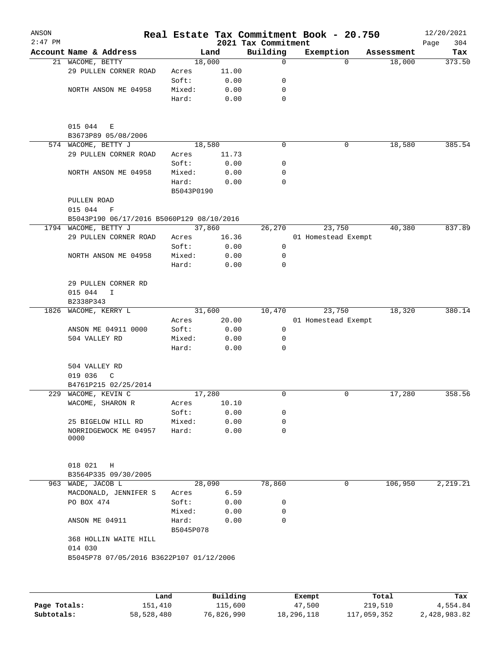| ANSON<br>$2:47$ PM |                                           |                    |          | 2021 Tax Commitment | Real Estate Tax Commitment Book - 20.750 |            | 12/20/2021<br>304<br>Page |
|--------------------|-------------------------------------------|--------------------|----------|---------------------|------------------------------------------|------------|---------------------------|
|                    | Account Name & Address                    |                    | Land     | Building            | Exemption                                | Assessment | Tax                       |
|                    | 21 WACOME, BETTY                          | 18,000             |          | 0                   | $\Omega$                                 | 18,000     | 373.50                    |
|                    | 29 PULLEN CORNER ROAD                     | Acres              | 11.00    |                     |                                          |            |                           |
|                    |                                           | Soft:              | 0.00     | 0                   |                                          |            |                           |
|                    | NORTH ANSON ME 04958                      | Mixed:             | 0.00     | 0                   |                                          |            |                           |
|                    |                                           | Hard:              | 0.00     | 0                   |                                          |            |                           |
|                    | 015 044<br>Е<br>B3673P89 05/08/2006       |                    |          |                     |                                          |            |                           |
|                    | 574 WACOME, BETTY J                       | 18,580             |          | 0                   | 0                                        | 18,580     | 385.54                    |
|                    | 29 PULLEN CORNER ROAD                     | Acres              | 11.73    |                     |                                          |            |                           |
|                    |                                           | Soft:              | 0.00     | 0                   |                                          |            |                           |
|                    | NORTH ANSON ME 04958                      | Mixed:             | 0.00     | 0                   |                                          |            |                           |
|                    |                                           | Hard:              | 0.00     | 0                   |                                          |            |                           |
|                    |                                           | B5043P0190         |          |                     |                                          |            |                           |
|                    | PULLEN ROAD<br>015 044<br>F               |                    |          |                     |                                          |            |                           |
|                    | B5043P190 06/17/2016 B5060P129 08/10/2016 |                    |          |                     |                                          |            |                           |
|                    | 1794 WACOME, BETTY J                      | 37,860             |          | 26,270              | 23,750                                   | 40,380     | 837.89                    |
|                    | 29 PULLEN CORNER ROAD                     | Acres              | 16.36    |                     | 01 Homestead Exempt                      |            |                           |
|                    |                                           | Soft:              | 0.00     | 0                   |                                          |            |                           |
|                    | NORTH ANSON ME 04958                      | Mixed:             | 0.00     | 0                   |                                          |            |                           |
|                    |                                           | Hard:              | 0.00     | $\Omega$            |                                          |            |                           |
|                    | 29 PULLEN CORNER RD                       |                    |          |                     |                                          |            |                           |
|                    | 015 044<br>I                              |                    |          |                     |                                          |            |                           |
|                    | B2338P343                                 |                    |          |                     |                                          |            |                           |
|                    | 1826 WACOME, KERRY L                      | 31,600             |          | 10,470              | 23,750                                   | 18,320     | 380.14                    |
|                    |                                           | Acres              | 20.00    |                     | 01 Homestead Exempt                      |            |                           |
|                    | ANSON ME 04911 0000                       | Soft:              | 0.00     | 0                   |                                          |            |                           |
|                    | 504 VALLEY RD                             | Mixed:             | 0.00     | 0                   |                                          |            |                           |
|                    |                                           | Hard:              | 0.00     | $\Omega$            |                                          |            |                           |
|                    | 504 VALLEY RD                             |                    |          |                     |                                          |            |                           |
|                    | 019 036<br>C                              |                    |          |                     |                                          |            |                           |
|                    | B4761P215 02/25/2014                      |                    |          |                     |                                          |            |                           |
|                    | 229 WACOME, KEVIN C                       | 17,280             |          | 0                   | 0                                        | 17,280     | 358.56                    |
|                    | WACOME, SHARON R                          | Acres              | 10.10    |                     |                                          |            |                           |
|                    |                                           | Soft:              | 0.00     | 0                   |                                          |            |                           |
|                    | 25 BIGELOW HILL RD                        | Mixed:             | 0.00     | 0                   |                                          |            |                           |
|                    | NORRIDGEWOCK ME 04957<br>0000             | Hard:              | 0.00     | 0                   |                                          |            |                           |
|                    |                                           |                    |          |                     |                                          |            |                           |
|                    | 018 021<br>Η<br>B3564P335 09/30/2005      |                    |          |                     |                                          |            |                           |
|                    | 963 WADE, JACOB L                         | 28,090             |          | 78,860              | 0                                        | 106,950    | 2,219.21                  |
|                    | MACDONALD, JENNIFER S                     | Acres              | 6.59     |                     |                                          |            |                           |
|                    | PO BOX 474                                | Soft:              | 0.00     | 0                   |                                          |            |                           |
|                    |                                           |                    |          | 0                   |                                          |            |                           |
|                    |                                           | Mixed:             | 0.00     | 0                   |                                          |            |                           |
|                    | ANSON ME 04911                            | Hard:<br>B5045P078 | 0.00     |                     |                                          |            |                           |
|                    | 368 HOLLIN WAITE HILL<br>014 030          |                    |          |                     |                                          |            |                           |
|                    | B5045P78 07/05/2016 B3622P107 01/12/2006  |                    |          |                     |                                          |            |                           |
|                    |                                           |                    |          |                     |                                          |            |                           |
|                    |                                           |                    |          |                     |                                          |            |                           |
|                    | Land                                      |                    | Building |                     | Exempt                                   | Total      | Tax                       |

**Page Totals:** 151,410 115,600 47,500 219,510 4,554.84 **Subtotals:** 58,528,480 76,826,990 18,296,118 117,059,352 2,428,983.82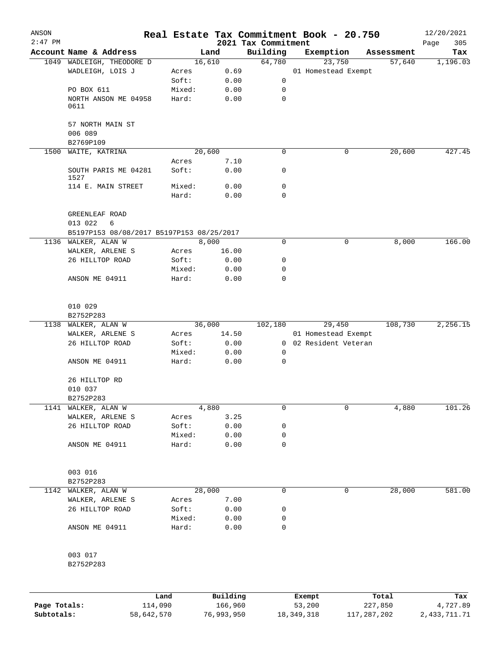| ANSON        |                                           |                 |               |                                 | Real Estate Tax Commitment Book - 20.750 |            | 12/20/2021         |
|--------------|-------------------------------------------|-----------------|---------------|---------------------------------|------------------------------------------|------------|--------------------|
| $2:47$ PM    | Account Name & Address                    |                 | Land          | 2021 Tax Commitment<br>Building | Exemption                                | Assessment | Page<br>305<br>Tax |
|              | 1049 WADLEIGH, THEODORE D                 |                 | 16,610        | 64,780                          | 23,750                                   | 57,640     | 1,196.03           |
|              | WADLEIGH, LOIS J                          | Acres           | 0.69          |                                 | 01 Homestead Exempt                      |            |                    |
|              |                                           | Soft:           | 0.00          | 0                               |                                          |            |                    |
|              | PO BOX 611                                | Mixed:          | 0.00          | 0                               |                                          |            |                    |
|              | NORTH ANSON ME 04958<br>0611              | Hard:           | 0.00          | 0                               |                                          |            |                    |
|              | 57 NORTH MAIN ST                          |                 |               |                                 |                                          |            |                    |
|              | 006 089                                   |                 |               |                                 |                                          |            |                    |
|              | B2769P109                                 |                 |               |                                 |                                          |            |                    |
| 1500         | WAITE, KATRINA                            |                 | 20,600        | 0                               | 0                                        | 20,600     | 427.45             |
|              |                                           | Acres           | 7.10          |                                 |                                          |            |                    |
|              | SOUTH PARIS ME 04281<br>1527              | Soft:           | 0.00          | 0                               |                                          |            |                    |
|              | 114 E. MAIN STREET                        | Mixed:          | 0.00          | 0                               |                                          |            |                    |
|              |                                           | Hard:           | 0.00          | 0                               |                                          |            |                    |
|              | GREENLEAF ROAD                            |                 |               |                                 |                                          |            |                    |
|              | 013 022<br>6                              |                 |               |                                 |                                          |            |                    |
|              | B5197P153 08/08/2017 B5197P153 08/25/2017 |                 |               |                                 |                                          |            |                    |
|              | 1136 WALKER, ALAN W                       |                 | 8,000         | 0                               | 0                                        | 8,000      | 166.00             |
|              | WALKER, ARLENE S<br>26 HILLTOP ROAD       | Acres           | 16.00<br>0.00 | 0                               |                                          |            |                    |
|              |                                           | Soft:<br>Mixed: | 0.00          | 0                               |                                          |            |                    |
|              | ANSON ME 04911                            | Hard:           | 0.00          | 0                               |                                          |            |                    |
|              |                                           |                 |               |                                 |                                          |            |                    |
|              | 010 029                                   |                 |               |                                 |                                          |            |                    |
|              | B2752P283                                 |                 |               |                                 |                                          |            |                    |
|              | 1138 WALKER, ALAN W                       |                 | 36,000        | 102,180                         | 29,450                                   | 108,730    | 2,256.15           |
|              | WALKER, ARLENE S                          | Acres           | 14.50         |                                 | 01 Homestead Exempt                      |            |                    |
|              | 26 HILLTOP ROAD                           | Soft:           | 0.00          |                                 | 0 02 Resident Veteran                    |            |                    |
|              |                                           | Mixed:          | 0.00          | 0                               |                                          |            |                    |
|              | ANSON ME 04911                            | Hard:           | 0.00          | 0                               |                                          |            |                    |
|              | 26 HILLTOP RD                             |                 |               |                                 |                                          |            |                    |
|              | 010 037                                   |                 |               |                                 |                                          |            |                    |
|              | B2752P283                                 |                 |               |                                 |                                          |            |                    |
| 1141         | WALKER, ALAN W                            |                 | 4,880         | 0                               | 0                                        | 4,880      | 101.26             |
|              | WALKER, ARLENE S                          | Acres           | 3.25          |                                 |                                          |            |                    |
|              | 26 HILLTOP ROAD                           | Soft:<br>Mixed: | 0.00<br>0.00  | 0<br>0                          |                                          |            |                    |
|              | ANSON ME 04911                            | Hard:           | 0.00          | 0                               |                                          |            |                    |
|              |                                           |                 |               |                                 |                                          |            |                    |
|              | 003 016                                   |                 |               |                                 |                                          |            |                    |
|              | B2752P283                                 |                 |               |                                 |                                          |            |                    |
| 1142         | WALKER, ALAN W                            |                 | 28,000        | 0                               | 0                                        | 28,000     | 581.00             |
|              | WALKER, ARLENE S                          | Acres           | 7.00          |                                 |                                          |            |                    |
|              | 26 HILLTOP ROAD                           | Soft:           | 0.00          | 0                               |                                          |            |                    |
|              |                                           | Mixed:          | 0.00          | 0                               |                                          |            |                    |
|              | ANSON ME 04911                            | Hard:           | 0.00          | 0                               |                                          |            |                    |
|              | 003 017                                   |                 |               |                                 |                                          |            |                    |
|              | B2752P283                                 |                 |               |                                 |                                          |            |                    |
|              |                                           |                 |               |                                 |                                          |            |                    |
|              |                                           | Land            | Building      |                                 | Exempt                                   | Total      | Tax                |
| Page Totals: |                                           | 114,090         | 166,960       |                                 | 53,200                                   | 227,850    | 4,727.89           |

**Subtotals:** 58,642,570 76,993,950 18,349,318 117,287,202 2,433,711.71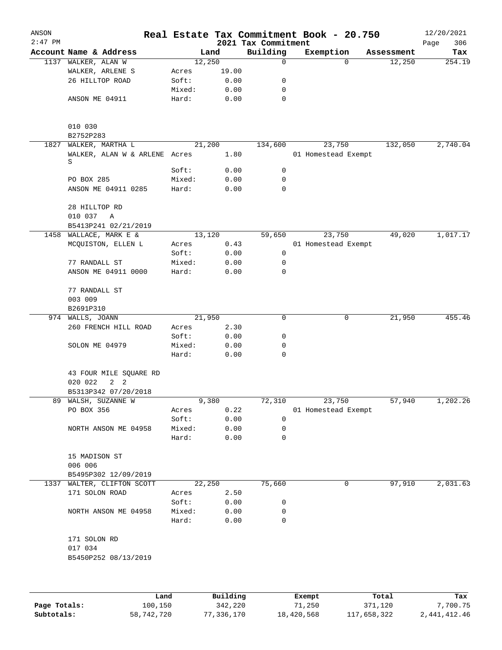| ANSON<br>$2:47$ PM |                                                 |                |              | 2021 Tax Commitment | Real Estate Tax Commitment Book - 20.750 |            | 12/20/2021<br>306<br>Page |
|--------------------|-------------------------------------------------|----------------|--------------|---------------------|------------------------------------------|------------|---------------------------|
|                    | Account Name & Address                          |                | Land         | Building            | Exemption                                | Assessment | Tax                       |
|                    | 1137 WALKER, ALAN W                             |                | 12,250       | $\mathbf 0$         | $\Omega$                                 | 12,250     | 254.19                    |
|                    | WALKER, ARLENE S                                | Acres          | 19.00        |                     |                                          |            |                           |
|                    | 26 HILLTOP ROAD                                 | Soft:          | 0.00         | 0                   |                                          |            |                           |
|                    |                                                 | Mixed:         | 0.00         | 0                   |                                          |            |                           |
|                    | ANSON ME 04911                                  | Hard:          | 0.00         | $\mathbf 0$         |                                          |            |                           |
|                    | 010 030<br>B2752P283                            |                |              |                     |                                          |            |                           |
| 1827               | WALKER, MARTHA L                                |                | 21,200       | 134,600             | 23,750                                   | 132,050    | 2,740.04                  |
|                    | WALKER, ALAN W & ARLENE Acres<br>S              |                | 1.80         |                     | 01 Homestead Exempt                      |            |                           |
|                    |                                                 | Soft:          | 0.00         | $\mathbf 0$         |                                          |            |                           |
|                    | PO BOX 285                                      | Mixed:         | 0.00         | 0                   |                                          |            |                           |
|                    | ANSON ME 04911 0285                             | Hard:          | 0.00         | 0                   |                                          |            |                           |
|                    | 28 HILLTOP RD<br>010 037<br>$\overline{A}$      |                |              |                     |                                          |            |                           |
|                    | B5413P241 02/21/2019                            |                |              |                     |                                          |            |                           |
|                    | 1458 WALLACE, MARK E &                          |                | 13,120       | 59,650              | 23,750                                   | 49,020     | 1,017.17                  |
|                    | MCQUISTON, ELLEN L                              | Acres          | 0.43         |                     | 01 Homestead Exempt                      |            |                           |
|                    |                                                 | Soft:          | 0.00         | 0                   |                                          |            |                           |
|                    | 77 RANDALL ST                                   | Mixed:         | 0.00         | 0                   |                                          |            |                           |
|                    | ANSON ME 04911 0000                             | Hard:          | 0.00         | 0                   |                                          |            |                           |
|                    | 77 RANDALL ST<br>003 009                        |                |              |                     |                                          |            |                           |
|                    | B2691P310                                       |                |              |                     |                                          |            |                           |
|                    | 974 WALLS, JOANN                                |                | 21,950       | 0                   | 0                                        | 21,950     | 455.46                    |
|                    | 260 FRENCH HILL ROAD                            | Acres          | 2.30         |                     |                                          |            |                           |
|                    |                                                 | Soft:          | 0.00         | 0                   |                                          |            |                           |
|                    | SOLON ME 04979                                  | Mixed:         | 0.00         | 0                   |                                          |            |                           |
|                    |                                                 | Hard:          | 0.00         | 0                   |                                          |            |                           |
|                    | 43 FOUR MILE SQUARE RD<br>020 022<br>$2\quad 2$ |                |              |                     |                                          |            |                           |
|                    | B5313P342 07/20/2018                            |                |              |                     |                                          |            |                           |
|                    | 89 WALSH, SUZANNE W                             |                | 9,380        | 72,310              | 23,750                                   | 57,940     | 1,202.26                  |
|                    | PO BOX 356                                      | Acres          | 0.22         |                     | 01 Homestead Exempt                      |            |                           |
|                    |                                                 | Soft:          | 0.00         | 0                   |                                          |            |                           |
|                    | NORTH ANSON ME 04958                            | Mixed:         | 0.00         | 0                   |                                          |            |                           |
|                    |                                                 | Hard:          | 0.00         | 0                   |                                          |            |                           |
|                    | 15 MADISON ST<br>006 006                        |                |              |                     |                                          |            |                           |
|                    | B5495P302 12/09/2019                            |                |              |                     |                                          |            |                           |
|                    | 1337 WALTER, CLIFTON SCOTT                      |                | 22,250       | 75,660              | 0                                        | 97,910     | 2,031.63                  |
|                    | 171 SOLON ROAD                                  | Acres<br>Soft: | 2.50<br>0.00 | 0                   |                                          |            |                           |
|                    | NORTH ANSON ME 04958                            | Mixed:         | 0.00         | 0                   |                                          |            |                           |
|                    |                                                 | Hard:          | 0.00         | 0                   |                                          |            |                           |
|                    | 171 SOLON RD                                    |                |              |                     |                                          |            |                           |
|                    | 017 034<br>B5450P252 08/13/2019                 |                |              |                     |                                          |            |                           |
|                    |                                                 |                |              |                     |                                          |            |                           |
|                    | Land.                                           |                | $P1$ ilding  |                     | <b>Fvomnt</b>                            | $T$ ctal   | Tov                       |

|              | Land       | Building   | Exempt     | Total       | Tax          |
|--------------|------------|------------|------------|-------------|--------------|
| Page Totals: | 100,150    | 342,220    | 71,250     | 371,120     | 7,700.75     |
| Subtotals:   | 58,742,720 | 77,336,170 | 18,420,568 | 117,658,322 | 2,441,412.46 |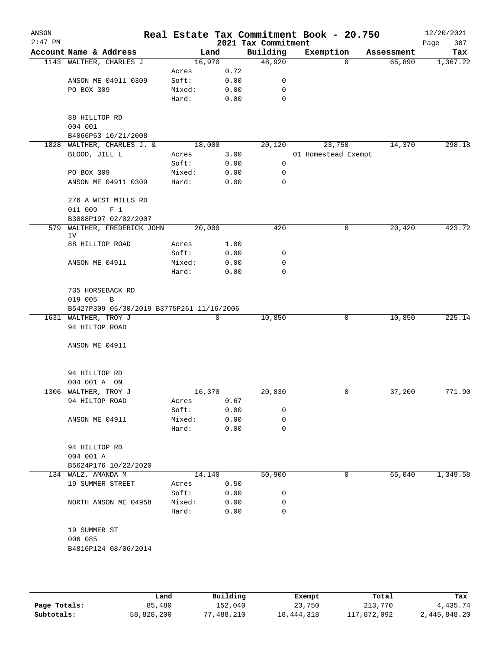| ANSON<br>$2:47$ PM |                                           |        |      | 2021 Tax Commitment | Real Estate Tax Commitment Book - 20.750 |            | 12/20/2021<br>307<br>Page |
|--------------------|-------------------------------------------|--------|------|---------------------|------------------------------------------|------------|---------------------------|
|                    | Account Name & Address                    | Land   |      | Building            | Exemption                                | Assessment | Tax                       |
|                    | 1143 WALTHER, CHARLES J                   | 16,970 |      | 48,920              | 0                                        | 65,890     | 1,367.22                  |
|                    |                                           | Acres  | 0.72 |                     |                                          |            |                           |
|                    | ANSON ME 04911 0309                       | Soft:  | 0.00 | 0                   |                                          |            |                           |
|                    | PO BOX 309                                | Mixed: | 0.00 | 0                   |                                          |            |                           |
|                    |                                           | Hard:  | 0.00 | 0                   |                                          |            |                           |
|                    | 88 HILLTOP RD                             |        |      |                     |                                          |            |                           |
|                    | 004 001                                   |        |      |                     |                                          |            |                           |
|                    | B4066P53 10/21/2008                       |        |      |                     |                                          |            |                           |
| 1828               | WALTHER, CHARLES J. &                     | 18,000 |      | 20,120              | 23,750                                   | 14,370     | 298.18                    |
|                    | BLOOD, JILL L                             | Acres  | 3.00 |                     | 01 Homestead Exempt                      |            |                           |
|                    |                                           | Soft:  | 0.00 | 0                   |                                          |            |                           |
|                    | PO BOX 309                                | Mixed: | 0.00 | 0                   |                                          |            |                           |
|                    | ANSON ME 04911 0309                       | Hard:  | 0.00 | 0                   |                                          |            |                           |
|                    | 276 A WEST MILLS RD                       |        |      |                     |                                          |            |                           |
|                    | 011 009<br>F <sub>1</sub>                 |        |      |                     |                                          |            |                           |
|                    | B3808P197 02/02/2007                      |        |      |                     |                                          |            |                           |
| 579                | WALTHER, FREDERICK JOHN<br>IV             | 20,000 |      | 420                 | 0                                        | 20,420     | 423.72                    |
|                    | 88 HILLTOP ROAD                           | Acres  | 1.00 |                     |                                          |            |                           |
|                    |                                           | Soft:  | 0.00 | 0                   |                                          |            |                           |
|                    | ANSON ME 04911                            | Mixed: | 0.00 | 0                   |                                          |            |                           |
|                    |                                           | Hard:  | 0.00 | 0                   |                                          |            |                           |
|                    | 735 HORSEBACK RD                          |        |      |                     |                                          |            |                           |
|                    | 019 005<br>B                              |        |      |                     |                                          |            |                           |
|                    | B5427P309 05/30/2019 B3775P261 11/16/2006 |        |      |                     |                                          |            |                           |
|                    | 1631 WALTHER, TROY J                      |        | 0    | 10,850              | 0                                        | 10,850     | 225.14                    |
|                    | 94 HILTOP ROAD                            |        |      |                     |                                          |            |                           |
|                    | ANSON ME 04911                            |        |      |                     |                                          |            |                           |
|                    |                                           |        |      |                     |                                          |            |                           |
|                    | 94 HILLTOP RD                             |        |      |                     |                                          |            |                           |
|                    | 004 001 A ON                              |        |      |                     |                                          |            |                           |
|                    | 1306 WALTHER, TROY J                      | 16,370 |      | 20,830              | 0                                        | 37,200     | 771.90                    |
|                    | 94 HILTOP ROAD                            | Acres  | 0.67 |                     |                                          |            |                           |
|                    |                                           | Soft:  | 0.00 | 0                   |                                          |            |                           |
|                    | ANSON ME 04911                            | Mixed: | 0.00 | 0                   |                                          |            |                           |
|                    |                                           | Hard:  | 0.00 | 0                   |                                          |            |                           |
|                    | 94 HILLTOP RD                             |        |      |                     |                                          |            |                           |
|                    | 004 001 A                                 |        |      |                     |                                          |            |                           |
|                    | B5624P176 10/22/2020                      |        |      |                     |                                          |            |                           |
|                    | 134 WALZ, AMANDA M                        | 14,140 |      | 50,900              | 0                                        | 65,040     | 1,349.58                  |
|                    | 19 SUMMER STREET                          | Acres  | 0.50 |                     |                                          |            |                           |
|                    |                                           | Soft:  | 0.00 | 0                   |                                          |            |                           |
|                    | NORTH ANSON ME 04958                      | Mixed: | 0.00 | 0                   |                                          |            |                           |
|                    |                                           | Hard:  | 0.00 | 0                   |                                          |            |                           |
|                    | 19 SUMMER ST                              |        |      |                     |                                          |            |                           |
|                    | 006 085                                   |        |      |                     |                                          |            |                           |
|                    | B4816P124 08/06/2014                      |        |      |                     |                                          |            |                           |
|                    |                                           |        |      |                     |                                          |            |                           |
|                    |                                           |        |      |                     |                                          |            |                           |
|                    |                                           |        |      |                     |                                          |            |                           |

|              | Land       | Building        | Exempt     | Total       | Tax          |
|--------------|------------|-----------------|------------|-------------|--------------|
| Page Totals: | 85,480     | 152,040         | 23,750     | 213,770     | 4,435.74     |
| Subtotals:   | 58,828,200 | 7,488,210<br>77 | 18,444,318 | 117,872,092 | 2,445,848.20 |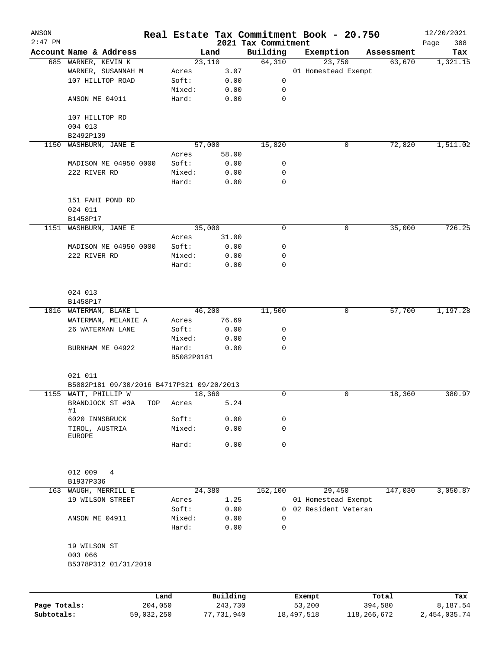| ANSON<br>$2:47$ PM |                                           |         |            |          |                                 | Real Estate Tax Commitment Book - 20.750 |   |            | 12/20/2021         |
|--------------------|-------------------------------------------|---------|------------|----------|---------------------------------|------------------------------------------|---|------------|--------------------|
|                    | Account Name & Address                    |         |            | Land     | 2021 Tax Commitment<br>Building | Exemption                                |   | Assessment | 308<br>Page<br>Tax |
|                    | 685 WARNER, KEVIN K                       |         |            | 23,110   | 64,310                          | 23,750                                   |   | 63,670     | 1,321.15           |
|                    | WARNER, SUSANNAH M                        |         | Acres      | 3.07     |                                 | 01 Homestead Exempt                      |   |            |                    |
|                    | 107 HILLTOP ROAD                          |         | Soft:      | 0.00     | 0                               |                                          |   |            |                    |
|                    |                                           |         | Mixed:     | 0.00     | 0                               |                                          |   |            |                    |
|                    | ANSON ME 04911                            |         | Hard:      | 0.00     | $\mathbf 0$                     |                                          |   |            |                    |
|                    | 107 HILLTOP RD                            |         |            |          |                                 |                                          |   |            |                    |
|                    | 004 013                                   |         |            |          |                                 |                                          |   |            |                    |
|                    | B2492P139                                 |         |            |          |                                 |                                          |   |            |                    |
| 1150               | WASHBURN, JANE E                          |         |            | 57,000   | 15,820                          |                                          | 0 | 72,820     | 1,511.02           |
|                    |                                           |         | Acres      | 58.00    |                                 |                                          |   |            |                    |
|                    | MADISON ME 04950 0000                     |         | Soft:      | 0.00     | 0                               |                                          |   |            |                    |
|                    | 222 RIVER RD                              |         | Mixed:     | 0.00     | 0                               |                                          |   |            |                    |
|                    |                                           |         | Hard:      | 0.00     | 0                               |                                          |   |            |                    |
|                    | 151 FAHI POND RD                          |         |            |          |                                 |                                          |   |            |                    |
|                    | 024 011                                   |         |            |          |                                 |                                          |   |            |                    |
|                    | B1458P17                                  |         |            |          |                                 |                                          |   |            |                    |
| 1151               | WASHBURN, JANE E                          |         |            | 35,000   | 0                               |                                          | 0 | 35,000     | 726.25             |
|                    |                                           |         | Acres      | 31.00    |                                 |                                          |   |            |                    |
|                    | MADISON ME 04950 0000                     |         | Soft:      | 0.00     | 0                               |                                          |   |            |                    |
|                    | 222 RIVER RD                              |         | Mixed:     | 0.00     | 0                               |                                          |   |            |                    |
|                    |                                           |         | Hard:      | 0.00     | $\mathbf 0$                     |                                          |   |            |                    |
|                    |                                           |         |            |          |                                 |                                          |   |            |                    |
|                    | 024 013                                   |         |            |          |                                 |                                          |   |            |                    |
|                    | B1458P17                                  |         |            |          |                                 |                                          |   |            |                    |
|                    | 1816 WATERMAN, BLAKE L                    |         |            | 46,200   | 11,500                          |                                          | 0 | 57,700     | 1,197.28           |
|                    | WATERMAN, MELANIE A                       |         | Acres      | 76.69    |                                 |                                          |   |            |                    |
|                    | 26 WATERMAN LANE                          |         | Soft:      | 0.00     | 0                               |                                          |   |            |                    |
|                    |                                           |         | Mixed:     | 0.00     | 0                               |                                          |   |            |                    |
|                    | BURNHAM ME 04922                          |         | Hard:      | 0.00     | 0                               |                                          |   |            |                    |
|                    |                                           |         | B5082P0181 |          |                                 |                                          |   |            |                    |
|                    | 021 011                                   |         |            |          |                                 |                                          |   |            |                    |
|                    | B5082P181 09/30/2016 B4717P321 09/20/2013 |         |            |          |                                 |                                          |   |            |                    |
|                    | 1155 WATT, PHILLIP W                      |         |            | 18,360   | 0                               |                                          | 0 | 18,360     | 380.97             |
|                    | BRANDJOCK ST #3A<br>#1                    | TOP     | Acres      | 5.24     |                                 |                                          |   |            |                    |
|                    | 6020 INNSBRUCK                            |         | Soft:      | 0.00     | 0                               |                                          |   |            |                    |
|                    | TIROL, AUSTRIA                            |         | Mixed:     | 0.00     | $\mathbf 0$                     |                                          |   |            |                    |
|                    | <b>EUROPE</b>                             |         | Hard:      | 0.00     | $\mathbf 0$                     |                                          |   |            |                    |
|                    |                                           |         |            |          |                                 |                                          |   |            |                    |
|                    | 012 009<br>4                              |         |            |          |                                 |                                          |   |            |                    |
|                    | B1937P336                                 |         |            |          |                                 |                                          |   |            |                    |
| 163                | WAUGH, MERRILL E                          |         |            | 24,380   | 152,100                         | 29,450                                   |   | 147,030    | 3,050.87           |
|                    | 19 WILSON STREET                          |         | Acres      | 1.25     |                                 | 01 Homestead Exempt                      |   |            |                    |
|                    |                                           |         | Soft:      | 0.00     | 0                               | 02 Resident Veteran                      |   |            |                    |
|                    | ANSON ME 04911                            |         | Mixed:     | 0.00     | 0                               |                                          |   |            |                    |
|                    |                                           |         | Hard:      | 0.00     | 0                               |                                          |   |            |                    |
|                    | 19 WILSON ST                              |         |            |          |                                 |                                          |   |            |                    |
|                    | 003 066<br>B5378P312 01/31/2019           |         |            |          |                                 |                                          |   |            |                    |
|                    |                                           |         |            |          |                                 |                                          |   |            |                    |
|                    |                                           | Land    |            | Building |                                 | Exempt                                   |   | Total      | Tax                |
| Page Totals:       |                                           | 204,050 |            | 243,730  |                                 | 53,200                                   |   | 394,580    | 8,187.54           |

**Subtotals:** 59,032,250 77,731,940 18,497,518 118,266,672 2,454,035.74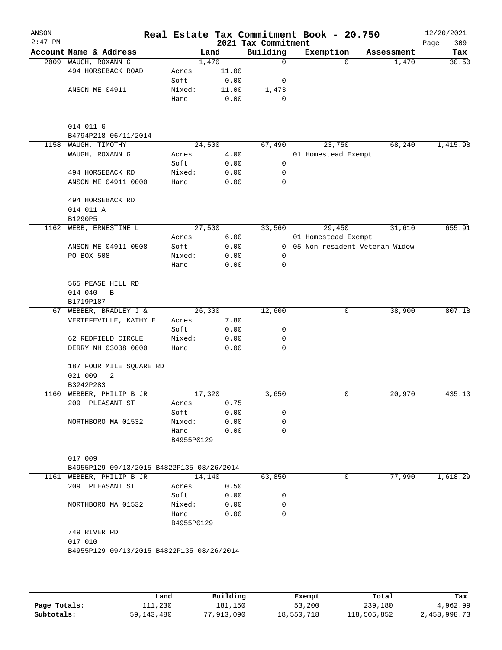| ANSON<br>$2:47$ PM |                                             |                     |        | 2021 Tax Commitment | Real Estate Tax Commitment Book - 20.750 |            | 12/20/2021<br>309<br>Page |
|--------------------|---------------------------------------------|---------------------|--------|---------------------|------------------------------------------|------------|---------------------------|
|                    | Account Name & Address                      |                     | Land   | Building            | Exemption                                | Assessment | Tax                       |
| 2009               | WAUGH, ROXANN G                             |                     | 1,470  | 0                   | 0                                        | 1,470      | 30.50                     |
|                    | 494 HORSEBACK ROAD                          | Acres               | 11.00  |                     |                                          |            |                           |
|                    |                                             | Soft:               | 0.00   | 0                   |                                          |            |                           |
|                    | ANSON ME 04911                              | Mixed:              | 11.00  | 1,473               |                                          |            |                           |
|                    |                                             | Hard:               | 0.00   | 0                   |                                          |            |                           |
|                    | 014 011 G                                   |                     |        |                     |                                          |            |                           |
| 1158               | B4794P218 06/11/2014<br>WAUGH, TIMOTHY      |                     | 24,500 | 67,490              | 23,750                                   | 68,240     | 1,415.98                  |
|                    | WAUGH, ROXANN G                             | Acres               | 4.00   |                     | 01 Homestead Exempt                      |            |                           |
|                    |                                             | Soft:               | 0.00   | 0                   |                                          |            |                           |
|                    | 494 HORSEBACK RD                            | Mixed:              | 0.00   | 0                   |                                          |            |                           |
|                    | ANSON ME 04911 0000                         | Hard:               | 0.00   | 0                   |                                          |            |                           |
|                    | 494 HORSEBACK RD                            |                     |        |                     |                                          |            |                           |
|                    | 014 011 A                                   |                     |        |                     |                                          |            |                           |
|                    | B1290P5                                     |                     |        |                     |                                          |            |                           |
| 1162               | WEBB, ERNESTINE L                           |                     | 27,500 | 33,560              | 29,450                                   | 31,610     | 655.91                    |
|                    |                                             | Acres               | 6.00   |                     | 01 Homestead Exempt                      |            |                           |
|                    | ANSON ME 04911 0508                         | Soft:               | 0.00   | $\overline{0}$      | 05 Non-resident Veteran Widow            |            |                           |
|                    | PO BOX 508                                  | Mixed:              | 0.00   | 0                   |                                          |            |                           |
|                    |                                             | Hard:               | 0.00   | 0                   |                                          |            |                           |
|                    | 565 PEASE HILL RD<br>014 040<br>$\mathbf B$ |                     |        |                     |                                          |            |                           |
|                    | B1719P187                                   |                     |        |                     |                                          |            |                           |
| 67                 | WEBBER, BRADLEY J &                         |                     | 26,300 | 12,600              | 0                                        | 38,900     | 807.18                    |
|                    | VERTEFEVILLE, KATHY E                       | Acres               | 7.80   |                     |                                          |            |                           |
|                    |                                             | Soft:               | 0.00   | 0                   |                                          |            |                           |
|                    | 62 REDFIELD CIRCLE                          | Mixed:              | 0.00   | 0                   |                                          |            |                           |
|                    | DERRY NH 03038 0000                         | Hard:               | 0.00   | 0                   |                                          |            |                           |
|                    | 187 FOUR MILE SQUARE RD<br>021 009<br>2     |                     |        |                     |                                          |            |                           |
|                    | B3242P283                                   |                     |        |                     |                                          |            |                           |
| 1160               | WEBBER, PHILIP B JR                         |                     | 17,320 | 3,650               | 0                                        | 20,970     | 435.13                    |
|                    | 209 PLEASANT ST                             | Acres               | 0.75   |                     |                                          |            |                           |
|                    |                                             | Soft:               | 0.00   | 0                   |                                          |            |                           |
|                    | NORTHBORO MA 01532                          | Mixed:              | 0.00   | 0                   |                                          |            |                           |
|                    |                                             | Hard:<br>B4955P0129 | 0.00   | $\Omega$            |                                          |            |                           |
|                    | 017 009                                     |                     |        |                     |                                          |            |                           |
|                    | B4955P129 09/13/2015 B4822P135 08/26/2014   |                     |        |                     |                                          |            |                           |
|                    | 1161 WEBBER, PHILIP B JR                    |                     | 14,140 | 63,850              | 0                                        | 77,990     | 1,618.29                  |
|                    | 209 PLEASANT ST                             | Acres               | 0.50   |                     |                                          |            |                           |
|                    |                                             | Soft:               | 0.00   | 0                   |                                          |            |                           |
|                    | NORTHBORO MA 01532                          | Mixed:              | 0.00   | 0                   |                                          |            |                           |
|                    |                                             | Hard:<br>B4955P0129 | 0.00   | $\Omega$            |                                          |            |                           |
|                    | 749 RIVER RD<br>017 010                     |                     |        |                     |                                          |            |                           |
|                    | B4955P129 09/13/2015 B4822P135 08/26/2014   |                     |        |                     |                                          |            |                           |
|                    |                                             |                     |        |                     |                                          |            |                           |

|              | Land         | Building   | Exempt     | Total       | Tax          |
|--------------|--------------|------------|------------|-------------|--------------|
| Page Totals: | 111,230      | 181.150    | 53,200     | 239,180     | 4,962.99     |
| Subtotals:   | 59, 143, 480 | 77,913,090 | 18,550,718 | 118,505,852 | 2,458,998.73 |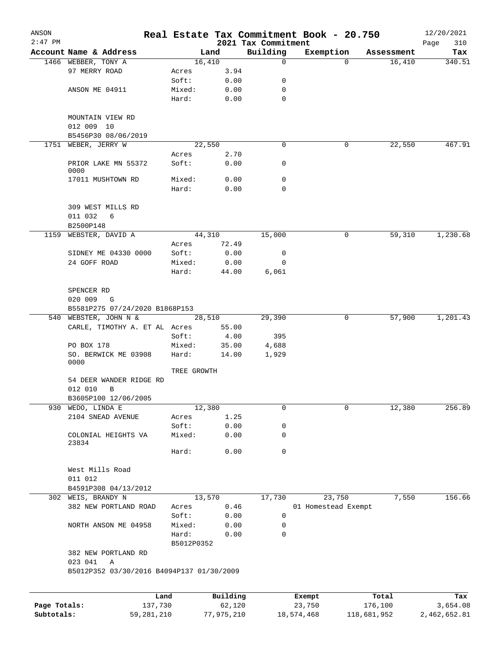| ANSON        |                                           |                 |                |                                 | Real Estate Tax Commitment Book - 20.750 |                                  | 12/20/2021    |
|--------------|-------------------------------------------|-----------------|----------------|---------------------------------|------------------------------------------|----------------------------------|---------------|
| $2:47$ PM    | Account Name & Address                    |                 | Land           | 2021 Tax Commitment<br>Building |                                          |                                  | Page<br>310   |
|              | 1466 WEBBER, TONY A                       |                 | 16,410         | 0                               | Exemption                                | Assessment<br>16,410<br>$\Omega$ | Tax<br>340.51 |
|              | 97 MERRY ROAD                             | Acres           | 3.94           |                                 |                                          |                                  |               |
|              |                                           | Soft:           | 0.00           | 0                               |                                          |                                  |               |
|              | ANSON ME 04911                            | Mixed:          | 0.00           | 0                               |                                          |                                  |               |
|              |                                           | Hard:           | 0.00           | 0                               |                                          |                                  |               |
|              |                                           |                 |                |                                 |                                          |                                  |               |
|              | MOUNTAIN VIEW RD                          |                 |                |                                 |                                          |                                  |               |
|              | 012 009 10                                |                 |                |                                 |                                          |                                  |               |
|              | B5456P30 08/06/2019                       |                 |                |                                 |                                          |                                  |               |
| 1751         | WEBER, JERRY W                            |                 | 22,550         | 0                               |                                          | 22,550<br>0                      | 467.91        |
|              |                                           | Acres           | 2.70           |                                 |                                          |                                  |               |
|              | PRIOR LAKE MN 55372<br>0000               | Soft:           | 0.00           | 0                               |                                          |                                  |               |
|              | 17011 MUSHTOWN RD                         | Mixed:          | 0.00           | 0                               |                                          |                                  |               |
|              |                                           | Hard:           | 0.00           | 0                               |                                          |                                  |               |
|              |                                           |                 |                |                                 |                                          |                                  |               |
|              | 309 WEST MILLS RD                         |                 |                |                                 |                                          |                                  |               |
|              | 011 032<br>6                              |                 |                |                                 |                                          |                                  |               |
|              | B2500P148                                 |                 |                |                                 |                                          |                                  |               |
| 1159         | WEBSTER, DAVID A                          |                 | 44,310         | 15,000                          |                                          | 0<br>59,310                      | 1,230.68      |
|              |                                           | Acres           | 72.49          |                                 |                                          |                                  |               |
|              | SIDNEY ME 04330 0000                      | Soft:           | 0.00           | 0                               |                                          |                                  |               |
|              | 24 GOFF ROAD                              | Mixed:          | 0.00           | $\mathbf 0$                     |                                          |                                  |               |
|              |                                           | Hard:           | 44.00          | 6,061                           |                                          |                                  |               |
|              |                                           |                 |                |                                 |                                          |                                  |               |
|              | SPENCER RD                                |                 |                |                                 |                                          |                                  |               |
|              | 020 009<br>G                              |                 |                |                                 |                                          |                                  |               |
|              | B5581P275 07/24/2020 B1868P153            |                 |                |                                 |                                          |                                  |               |
|              | 540 WEBSTER, JOHN N &                     |                 | 28,510         | 29,390                          |                                          | 0<br>57,900                      | 1,201.43      |
|              | CARLE, TIMOTHY A. ET AL Acres             |                 | 55.00          |                                 |                                          |                                  |               |
|              |                                           | Soft:           | 4.00           | 395                             |                                          |                                  |               |
|              | PO BOX 178<br>SO. BERWICK ME 03908        | Mixed:<br>Hard: | 35.00<br>14.00 | 4,688<br>1,929                  |                                          |                                  |               |
|              | 0000                                      |                 |                |                                 |                                          |                                  |               |
|              |                                           | TREE GROWTH     |                |                                 |                                          |                                  |               |
|              | 54 DEER WANDER RIDGE RD                   |                 |                |                                 |                                          |                                  |               |
|              | 012 010<br>B                              |                 |                |                                 |                                          |                                  |               |
|              | B3605P100 12/06/2005                      |                 |                |                                 |                                          |                                  |               |
| 930          | WEDO, LINDA E                             |                 | 12,380         | 0                               |                                          | 12,380<br>$\mathbf 0$            | 256.89        |
|              | 2104 SNEAD AVENUE                         | Acres           | 1.25           |                                 |                                          |                                  |               |
|              |                                           | Soft:           | 0.00           | 0                               |                                          |                                  |               |
|              | COLONIAL HEIGHTS VA<br>23834              | Mixed:          | 0.00           | 0                               |                                          |                                  |               |
|              |                                           | Hard:           | 0.00           | 0                               |                                          |                                  |               |
|              |                                           |                 |                |                                 |                                          |                                  |               |
|              | West Mills Road                           |                 |                |                                 |                                          |                                  |               |
|              | 011 012                                   |                 |                |                                 |                                          |                                  |               |
|              | B4591P308 04/13/2012                      |                 |                |                                 |                                          |                                  |               |
|              | 302 WEIS, BRANDY N                        |                 | 13,570         | 17,730                          | 23,750                                   | 7,550                            | 156.66        |
|              | 382 NEW PORTLAND ROAD                     | Acres           | 0.46           |                                 | 01 Homestead Exempt                      |                                  |               |
|              |                                           | Soft:           | 0.00           | $\mathsf{O}$                    |                                          |                                  |               |
|              | NORTH ANSON ME 04958                      | Mixed:          | 0.00           | 0                               |                                          |                                  |               |
|              |                                           | Hard:           | 0.00           | 0                               |                                          |                                  |               |
|              |                                           | B5012P0352      |                |                                 |                                          |                                  |               |
|              | 382 NEW PORTLAND RD                       |                 |                |                                 |                                          |                                  |               |
|              | 023 041<br>Α                              |                 |                |                                 |                                          |                                  |               |
|              | B5012P352 03/30/2016 B4094P137 01/30/2009 |                 |                |                                 |                                          |                                  |               |
|              |                                           |                 |                |                                 |                                          |                                  |               |
|              |                                           | Land            | Building       |                                 | Exempt                                   | Total                            | Tax           |
| Page Totals: | 137,730                                   |                 | 62,120         |                                 | 23,750                                   | 176,100                          | 3,654.08      |
| Subtotals:   | 59, 281, 210                              |                 | 77,975,210     |                                 | 18,574,468                               | 118,681,952                      | 2,462,652.81  |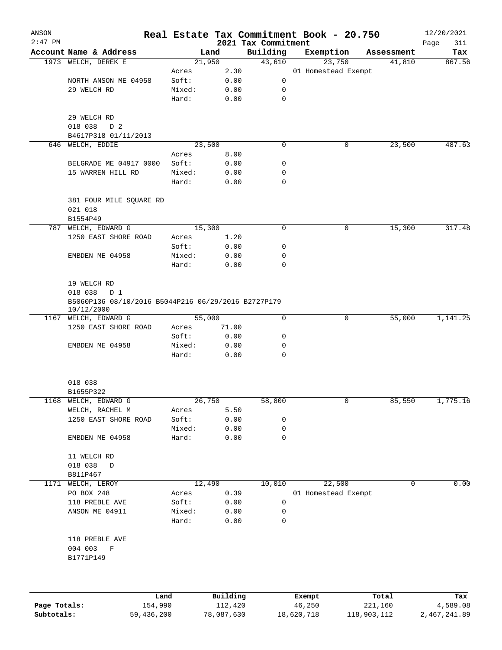| ANSON<br>$2:47$ PM |                                                                   |        |          |                                 | Real Estate Tax Commitment Book - 20.750 |            | 12/20/2021         |
|--------------------|-------------------------------------------------------------------|--------|----------|---------------------------------|------------------------------------------|------------|--------------------|
|                    | Account Name & Address                                            | Land   |          | 2021 Tax Commitment<br>Building | Exemption                                | Assessment | Page<br>311<br>Tax |
|                    | 1973 WELCH, DEREK E                                               | 21,950 |          | 43,610                          | 23,750                                   | 41,810     | 867.56             |
|                    |                                                                   | Acres  | 2.30     |                                 | 01 Homestead Exempt                      |            |                    |
|                    | NORTH ANSON ME 04958                                              | Soft:  | 0.00     | 0                               |                                          |            |                    |
|                    | 29 WELCH RD                                                       | Mixed: | 0.00     | 0                               |                                          |            |                    |
|                    |                                                                   | Hard:  | 0.00     | $\mathbf 0$                     |                                          |            |                    |
|                    | 29 WELCH RD                                                       |        |          |                                 |                                          |            |                    |
|                    | 018 038<br>D 2                                                    |        |          |                                 |                                          |            |                    |
|                    | B4617P318 01/11/2013                                              |        |          |                                 |                                          |            |                    |
|                    | 646 WELCH, EDDIE                                                  | 23,500 |          | $\mathbf 0$                     | 0                                        | 23,500     | 487.63             |
|                    |                                                                   | Acres  | 8.00     |                                 |                                          |            |                    |
|                    | BELGRADE ME 04917 0000                                            | Soft:  | 0.00     | 0                               |                                          |            |                    |
|                    | 15 WARREN HILL RD                                                 | Mixed: | 0.00     | 0                               |                                          |            |                    |
|                    |                                                                   | Hard:  | 0.00     | $\mathbf 0$                     |                                          |            |                    |
|                    | 381 FOUR MILE SQUARE RD                                           |        |          |                                 |                                          |            |                    |
|                    | 021 018<br>B1554P49                                               |        |          |                                 |                                          |            |                    |
|                    | 787 WELCH, EDWARD G                                               | 15,300 |          | 0                               | 0                                        | 15,300     | 317.48             |
|                    | 1250 EAST SHORE ROAD                                              | Acres  | 1.20     |                                 |                                          |            |                    |
|                    |                                                                   | Soft:  | 0.00     | 0                               |                                          |            |                    |
|                    | EMBDEN ME 04958                                                   | Mixed: | 0.00     | 0                               |                                          |            |                    |
|                    |                                                                   | Hard:  | 0.00     | $\Omega$                        |                                          |            |                    |
|                    | 19 WELCH RD                                                       |        |          |                                 |                                          |            |                    |
|                    | 018 038<br>D 1                                                    |        |          |                                 |                                          |            |                    |
|                    | B5060P136 08/10/2016 B5044P216 06/29/2016 B2727P179<br>10/12/2000 |        |          |                                 |                                          |            |                    |
|                    | 1167 WELCH, EDWARD G                                              | 55,000 |          | $\mathbf 0$                     | $\mathbf 0$                              | 55,000     | 1,141.25           |
|                    | 1250 EAST SHORE ROAD                                              | Acres  | 71.00    |                                 |                                          |            |                    |
|                    |                                                                   | Soft:  | 0.00     | 0                               |                                          |            |                    |
|                    | EMBDEN ME 04958                                                   | Mixed: | 0.00     | 0                               |                                          |            |                    |
|                    |                                                                   | Hard:  | 0.00     | 0                               |                                          |            |                    |
|                    | 018 038                                                           |        |          |                                 |                                          |            |                    |
|                    | B1655P322                                                         |        |          |                                 |                                          |            |                    |
| 1168               | WELCH, EDWARD G                                                   | 26,750 |          | 58,800                          | 0                                        | 85,550     | 1,775.16           |
|                    | WELCH, RACHEL M                                                   | Acres  | 5.50     |                                 |                                          |            |                    |
|                    | 1250 EAST SHORE ROAD                                              | Soft:  | 0.00     | 0                               |                                          |            |                    |
|                    |                                                                   | Mixed: | 0.00     | 0                               |                                          |            |                    |
|                    | EMBDEN ME 04958                                                   | Hard:  | 0.00     | 0                               |                                          |            |                    |
|                    | 11 WELCH RD                                                       |        |          |                                 |                                          |            |                    |
|                    | 018 038<br>D<br>B811P467                                          |        |          |                                 |                                          |            |                    |
| 1171               | WELCH, LEROY                                                      | 12,490 |          | 10,010                          | 22,500                                   | 0          | 0.00               |
|                    | PO BOX 248                                                        | Acres  | 0.39     |                                 | 01 Homestead Exempt                      |            |                    |
|                    | 118 PREBLE AVE                                                    | Soft:  | 0.00     | 0                               |                                          |            |                    |
|                    | ANSON ME 04911                                                    | Mixed: | 0.00     | 0                               |                                          |            |                    |
|                    |                                                                   | Hard:  | 0.00     | 0                               |                                          |            |                    |
|                    | 118 PREBLE AVE                                                    |        |          |                                 |                                          |            |                    |
|                    | 004 003<br>F                                                      |        |          |                                 |                                          |            |                    |
|                    | B1771P149                                                         |        |          |                                 |                                          |            |                    |
|                    |                                                                   |        |          |                                 |                                          |            |                    |
|                    | Land                                                              |        | Building |                                 | Exempt                                   | Total      | Tax                |

|              | Land.      | Building   | Exempt     | тосат       | rax.         |
|--------------|------------|------------|------------|-------------|--------------|
| Page Totals: | 154,990    | 112,420    | 46,250     | 221,160     | 4,589.08     |
| Subtotals:   | 59,436,200 | 78,087,630 | 18,620,718 | 118,903,112 | 2,467,241.89 |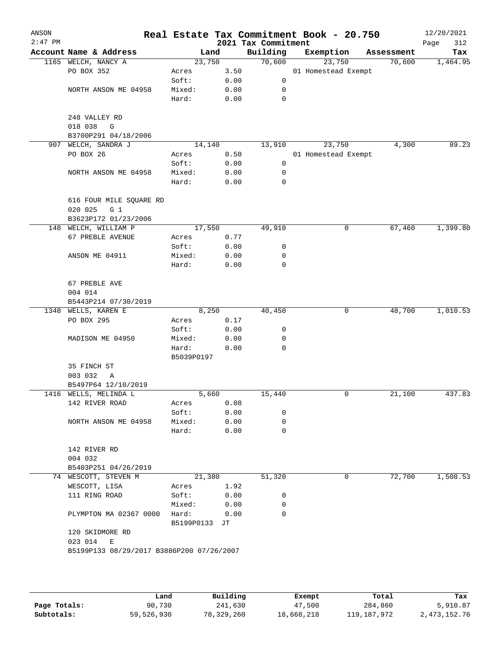| ANSON<br>$2:47$ PM |                                             |               |      | 2021 Tax Commitment | Real Estate Tax Commitment Book - 20.750 |            | 12/20/2021<br>Page<br>312 |
|--------------------|---------------------------------------------|---------------|------|---------------------|------------------------------------------|------------|---------------------------|
|                    | Account Name & Address                      | Land          |      | Building            | Exemption                                | Assessment | Tax                       |
|                    | 1165 WELCH, NANCY A                         | 23,750        |      | 70,600              | 23,750                                   | 70,600     | 1,464.95                  |
|                    | PO BOX 352                                  | Acres         | 3.50 |                     | 01 Homestead Exempt                      |            |                           |
|                    |                                             | Soft:         | 0.00 | 0                   |                                          |            |                           |
|                    | NORTH ANSON ME 04958                        | Mixed:        | 0.00 | 0                   |                                          |            |                           |
|                    |                                             | Hard:         | 0.00 | 0                   |                                          |            |                           |
|                    | 248 VALLEY RD<br>018 038<br>G               |               |      |                     |                                          |            |                           |
|                    | B3700P291 04/18/2006                        |               |      |                     |                                          |            |                           |
| 907                | WELCH, SANDRA J                             | 14,140        |      | 13,910              | 23,750                                   | 4,300      | 89.23                     |
|                    | PO BOX 26                                   | Acres         | 0.50 |                     | 01 Homestead Exempt                      |            |                           |
|                    |                                             | Soft:         | 0.00 | 0                   |                                          |            |                           |
|                    | NORTH ANSON ME 04958                        | Mixed:        | 0.00 | 0                   |                                          |            |                           |
|                    |                                             | Hard:         | 0.00 | 0                   |                                          |            |                           |
|                    | 616 FOUR MILE SQUARE RD<br>020 025<br>$G_1$ |               |      |                     |                                          |            |                           |
|                    | B3623P172 01/23/2006                        |               |      |                     |                                          |            |                           |
|                    | 148 WELCH, WILLIAM P                        | 17,550        |      | 49,910              | 0                                        | 67,460     | 1,399.80                  |
|                    | 67 PREBLE AVENUE                            | Acres         | 0.77 |                     |                                          |            |                           |
|                    |                                             | Soft:         | 0.00 | 0                   |                                          |            |                           |
|                    | ANSON ME 04911                              | Mixed:        | 0.00 | 0                   |                                          |            |                           |
|                    |                                             | Hard:         | 0.00 | 0                   |                                          |            |                           |
|                    | 67 PREBLE AVE                               |               |      |                     |                                          |            |                           |
|                    | 004 014                                     |               |      |                     |                                          |            |                           |
|                    | B5443P214 07/30/2019                        |               |      |                     |                                          |            |                           |
|                    | 1348 WELLS, KAREN E                         | 8,250         |      | 40,450              | 0                                        | 48,700     | 1,010.53                  |
|                    | PO BOX 295                                  | Acres         | 0.17 |                     |                                          |            |                           |
|                    |                                             | Soft:         | 0.00 | 0                   |                                          |            |                           |
|                    | MADISON ME 04950                            | Mixed:        | 0.00 | 0                   |                                          |            |                           |
|                    |                                             | Hard:         | 0.00 | 0                   |                                          |            |                           |
|                    |                                             | B5039P0197    |      |                     |                                          |            |                           |
|                    | 35 FINCH ST                                 |               |      |                     |                                          |            |                           |
|                    | 003 032<br>Α                                |               |      |                     |                                          |            |                           |
|                    | B5497P64 12/10/2019                         |               |      |                     |                                          |            |                           |
|                    | 1416 WELLS, MELINDA L                       | 5,660         |      | 15,440              | 0                                        | 21,100     | 437.83                    |
|                    | 142 RIVER ROAD                              | Acres         | 0.08 |                     |                                          |            |                           |
|                    |                                             | Soft:         | 0.00 | 0                   |                                          |            |                           |
|                    | NORTH ANSON ME 04958                        | Mixed:        | 0.00 | 0                   |                                          |            |                           |
|                    |                                             | Hard:         | 0.00 | 0                   |                                          |            |                           |
|                    | 142 RIVER RD                                |               |      |                     |                                          |            |                           |
|                    | 004 032                                     |               |      |                     |                                          |            |                           |
|                    | B5403P251 04/26/2019                        |               |      |                     |                                          |            |                           |
|                    | 74 WESCOTT, STEVEN M                        | 21,380        |      | 51,320              | 0                                        | 72,700     | 1,508.53                  |
|                    | WESCOTT, LISA                               | Acres         | 1.92 |                     |                                          |            |                           |
|                    | 111 RING ROAD                               | Soft:         | 0.00 | 0                   |                                          |            |                           |
|                    |                                             | Mixed:        | 0.00 | 0                   |                                          |            |                           |
|                    | PLYMPTON MA 02367 0000                      | Hard:         | 0.00 | 0                   |                                          |            |                           |
|                    |                                             | B5199P0133 JT |      |                     |                                          |            |                           |
|                    | 120 SKIDMORE RD<br>023 014<br>Е             |               |      |                     |                                          |            |                           |
|                    | B5199P133 08/29/2017 B3886P200 07/26/2007   |               |      |                     |                                          |            |                           |
|                    |                                             |               |      |                     |                                          |            |                           |
|                    |                                             |               |      |                     |                                          |            |                           |
|                    |                                             |               |      |                     |                                          |            |                           |

|              | Land       | Building   | Exempt     | Total       | Tax          |
|--------------|------------|------------|------------|-------------|--------------|
| Page Totals: | 90,730     | 241,630    | 47,500     | 284,860     | 5,910.87     |
| Subtotals:   | 59,526,930 | 78,329,260 | 18,668,218 | 119,187,972 | 2,473,152.76 |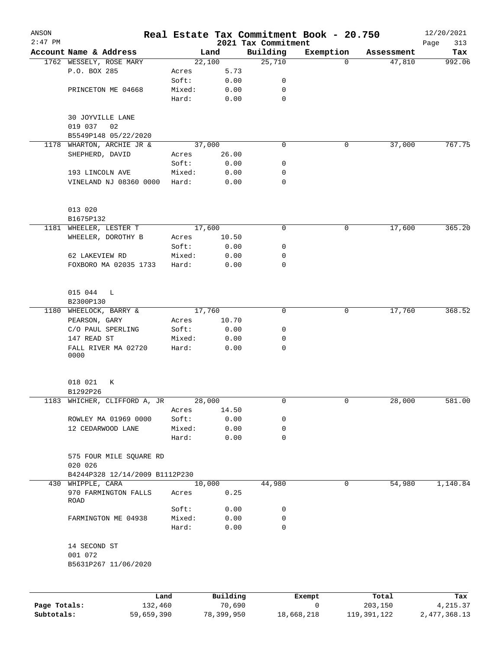| ANSON<br>$2:47$ PM |                                    |        |          | 2021 Tax Commitment | Real Estate Tax Commitment Book - 20.750 |            | 12/20/2021<br>313<br>Page |
|--------------------|------------------------------------|--------|----------|---------------------|------------------------------------------|------------|---------------------------|
|                    | Account Name & Address             |        | Land     | Building            | Exemption                                | Assessment | Tax                       |
|                    | 1762 WESSELY, ROSE MARY            |        | 22,100   | 25,710              | $\Omega$                                 | 47,810     | 992.06                    |
|                    | P.O. BOX 285                       | Acres  | 5.73     |                     |                                          |            |                           |
|                    |                                    | Soft:  | 0.00     | 0                   |                                          |            |                           |
|                    | PRINCETON ME 04668                 | Mixed: | 0.00     | 0                   |                                          |            |                           |
|                    |                                    | Hard:  | 0.00     | $\mathbf 0$         |                                          |            |                           |
|                    | 30 JOYVILLE LANE<br>019 037<br>02  |        |          |                     |                                          |            |                           |
|                    | B5549P148 05/22/2020               |        |          |                     |                                          |            |                           |
| 1178               | WHARTON, ARCHIE JR &               |        | 37,000   | $\mathbf 0$         | 0                                        | 37,000     | 767.75                    |
|                    | SHEPHERD, DAVID                    | Acres  | 26.00    |                     |                                          |            |                           |
|                    |                                    | Soft:  | 0.00     | 0                   |                                          |            |                           |
|                    | 193 LINCOLN AVE                    | Mixed: | 0.00     | 0                   |                                          |            |                           |
|                    | VINELAND NJ 08360 0000             | Hard:  | 0.00     | 0                   |                                          |            |                           |
|                    | 013 020                            |        |          |                     |                                          |            |                           |
|                    | B1675P132                          |        |          |                     |                                          |            |                           |
|                    | 1181 WHEELER, LESTER T             |        | 17,600   | 0                   | 0                                        | 17,600     | 365.20                    |
|                    | WHEELER, DOROTHY B                 | Acres  | 10.50    |                     |                                          |            |                           |
|                    |                                    | Soft:  | 0.00     | 0                   |                                          |            |                           |
|                    | 62 LAKEVIEW RD                     | Mixed: | 0.00     | 0                   |                                          |            |                           |
|                    | FOXBORO MA 02035 1733              | Hard:  | 0.00     | 0                   |                                          |            |                           |
|                    | 015 044<br>L                       |        |          |                     |                                          |            |                           |
|                    | B2300P130                          |        |          |                     |                                          |            |                           |
|                    | 1180 WHEELOCK, BARRY &             |        | 17,760   | 0                   | 0                                        | 17,760     | 368.52                    |
|                    | PEARSON, GARY                      | Acres  | 10.70    |                     |                                          |            |                           |
|                    | C/O PAUL SPERLING                  | Soft:  | 0.00     | 0                   |                                          |            |                           |
|                    | 147 READ ST                        | Mixed: | 0.00     | 0                   |                                          |            |                           |
|                    | FALL RIVER MA 02720<br>0000        | Hard:  | 0.00     | $\mathbf 0$         |                                          |            |                           |
|                    | 018 021<br>К                       |        |          |                     |                                          |            |                           |
|                    | B1292P26                           |        |          |                     |                                          |            |                           |
|                    | 1183 WHICHER, CLIFFORD A, JR       |        | 28,000   | 0                   | 0                                        | 28,000     | 581.00                    |
|                    |                                    | Acres  | 14.50    |                     |                                          |            |                           |
|                    | ROWLEY MA 01969 0000               | Soft:  | 0.00     | 0                   |                                          |            |                           |
|                    | 12 CEDARWOOD LANE                  | Mixed: | 0.00     | 0                   |                                          |            |                           |
|                    |                                    | Hard:  | 0.00     | 0                   |                                          |            |                           |
|                    | 575 FOUR MILE SQUARE RD<br>020 026 |        |          |                     |                                          |            |                           |
|                    | B4244P328 12/14/2009 B1112P230     |        |          |                     |                                          |            |                           |
|                    | 430 WHIPPLE, CARA                  |        | 10,000   | 44,980              | 0                                        | 54,980     | 1,140.84                  |
|                    | 970 FARMINGTON FALLS<br>ROAD       | Acres  | 0.25     |                     |                                          |            |                           |
|                    |                                    | Soft:  | 0.00     | 0                   |                                          |            |                           |
|                    | FARMINGTON ME 04938                | Mixed: | 0.00     | 0                   |                                          |            |                           |
|                    |                                    | Hard:  | 0.00     | 0                   |                                          |            |                           |
|                    | 14 SECOND ST<br>001 072            |        |          |                     |                                          |            |                           |
|                    | B5631P267 11/06/2020               |        |          |                     |                                          |            |                           |
|                    |                                    |        |          |                     |                                          |            |                           |
|                    |                                    | Land   | Building |                     | Exempt                                   | Total      | Tax                       |

|              | úand       | Building   | Exempt     | Total       | Tax          |
|--------------|------------|------------|------------|-------------|--------------|
| Page Totals: | 132,460    | 70,690     |            | 203,150     | 4, 215, 37   |
| Subtotals:   | 59,659,390 | 78,399,950 | 18,668,218 | 119,391,122 | 2,477,368.13 |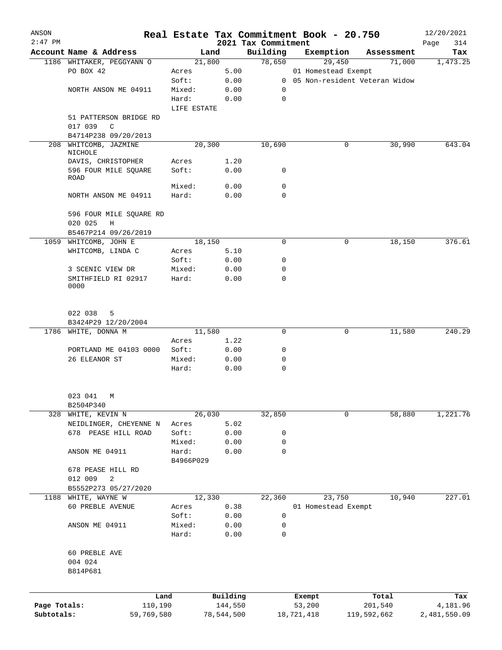| ANSON        |                                     | Real Estate Tax Commitment Book - 20.750 |              |                                 |            |                     |                                 | 12/20/2021         |
|--------------|-------------------------------------|------------------------------------------|--------------|---------------------------------|------------|---------------------|---------------------------------|--------------------|
| $2:47$ PM    | Account Name & Address              | Land                                     |              | 2021 Tax Commitment<br>Building |            | Exemption           | Assessment                      | Page<br>314<br>Tax |
|              | 1186 WHITAKER, PEGGYANN O           | 21,800                                   |              | 78,650                          |            | 29,450              | 71,000                          | 1,473.25           |
|              | PO BOX 42                           | Acres                                    | 5.00         |                                 |            | 01 Homestead Exempt |                                 |                    |
|              |                                     | Soft:                                    | 0.00         |                                 |            |                     | 0 05 Non-resident Veteran Widow |                    |
|              | NORTH ANSON ME 04911                | Mixed:                                   | 0.00         | 0                               |            |                     |                                 |                    |
|              |                                     | Hard:                                    | 0.00         | $\mathbf 0$                     |            |                     |                                 |                    |
|              |                                     | LIFE ESTATE                              |              |                                 |            |                     |                                 |                    |
|              | 51 PATTERSON BRIDGE RD<br>017 039 C |                                          |              |                                 |            |                     |                                 |                    |
|              | B4714P238 09/20/2013                |                                          |              |                                 |            |                     |                                 |                    |
| 208          | WHITCOMB, JAZMINE<br>NICHOLE        | 20,300                                   |              | 10,690                          |            | 0                   | 30,990                          | 643.04             |
|              | DAVIS, CHRISTOPHER                  | Acres                                    | 1.20         |                                 |            |                     |                                 |                    |
|              | 596 FOUR MILE SQUARE<br>ROAD        | Soft:                                    | 0.00         | 0                               |            |                     |                                 |                    |
|              |                                     | Mixed:                                   | 0.00         | 0                               |            |                     |                                 |                    |
|              | NORTH ANSON ME 04911                | Hard:                                    | 0.00         | $\mathbf 0$                     |            |                     |                                 |                    |
|              | 596 FOUR MILE SQUARE RD             |                                          |              |                                 |            |                     |                                 |                    |
|              | 020 025<br>H                        |                                          |              |                                 |            |                     |                                 |                    |
|              | B5467P214 09/26/2019                |                                          |              |                                 |            |                     |                                 |                    |
|              | 1059 WHITCOMB, JOHN E               | 18,150                                   |              | 0                               |            | 0                   | 18,150                          | 376.61             |
|              | WHITCOMB, LINDA C                   | Acres                                    | 5.10         |                                 |            |                     |                                 |                    |
|              | 3 SCENIC VIEW DR                    | Soft:<br>Mixed:                          | 0.00<br>0.00 | 0<br>$\mathbf 0$                |            |                     |                                 |                    |
|              | SMITHFIELD RI 02917<br>0000         | Hard:                                    | 0.00         | $\mathbf 0$                     |            |                     |                                 |                    |
|              |                                     |                                          |              |                                 |            |                     |                                 |                    |
|              | 022 038<br>5                        |                                          |              |                                 |            |                     |                                 |                    |
|              | B3424P29 12/20/2004                 |                                          |              |                                 |            |                     |                                 |                    |
|              | 1786 WHITE, DONNA M                 | 11,580                                   |              | $\mathbf 0$                     |            | 0                   | 11,580                          | 240.29             |
|              |                                     | Acres                                    | 1.22         |                                 |            |                     |                                 |                    |
|              | PORTLAND ME 04103 0000              | Soft:                                    | 0.00         | 0                               |            |                     |                                 |                    |
|              | 26 ELEANOR ST                       | Mixed:                                   | 0.00         | 0                               |            |                     |                                 |                    |
|              |                                     | Hard:                                    | 0.00         | $\mathbf 0$                     |            |                     |                                 |                    |
|              | 023 041<br>M                        |                                          |              |                                 |            |                     |                                 |                    |
|              | B2504P340                           |                                          |              |                                 |            |                     |                                 |                    |
|              | 328 WHITE, KEVIN N                  | 26,030                                   |              | 32,850                          |            | 0                   | 58,880                          | 1,221.76           |
|              | NEIDLINGER, CHEYENNE N              | Acres                                    | 5.02         |                                 |            |                     |                                 |                    |
|              | 678 PEASE HILL ROAD                 | Soft:                                    | 0.00         | 0                               |            |                     |                                 |                    |
|              |                                     | Mixed:                                   | 0.00         | 0<br>$\mathbf 0$                |            |                     |                                 |                    |
|              | ANSON ME 04911                      | Hard:<br>B4966P029                       | 0.00         |                                 |            |                     |                                 |                    |
|              | 678 PEASE HILL RD                   |                                          |              |                                 |            |                     |                                 |                    |
|              | 012 009<br>2                        |                                          |              |                                 |            |                     |                                 |                    |
|              | B5552P273 05/27/2020                |                                          |              |                                 |            |                     |                                 |                    |
|              | 1188 WHITE, WAYNE W                 | 12,330                                   |              | 22,360                          |            | 23,750              | 10,940                          | 227.01             |
|              | 60 PREBLE AVENUE                    | Acres                                    | 0.38         |                                 |            | 01 Homestead Exempt |                                 |                    |
|              |                                     | Soft:                                    | 0.00         | 0                               |            |                     |                                 |                    |
|              | ANSON ME 04911                      | Mixed:<br>Hard:                          | 0.00<br>0.00 | 0<br>0                          |            |                     |                                 |                    |
|              | 60 PREBLE AVE                       |                                          |              |                                 |            |                     |                                 |                    |
|              | 004 024                             |                                          |              |                                 |            |                     |                                 |                    |
|              | B814P681                            |                                          |              |                                 |            |                     |                                 |                    |
|              | Land                                |                                          | Building     |                                 | Exempt     |                     | Total                           | Tax                |
| Page Totals: | 110,190                             |                                          | 144,550      |                                 | 53,200     |                     | 201,540                         | 4,181.96           |
| Subtotals:   | 59,769,580                          |                                          | 78,544,500   |                                 | 18,721,418 |                     | 119,592,662                     | 2,481,550.09       |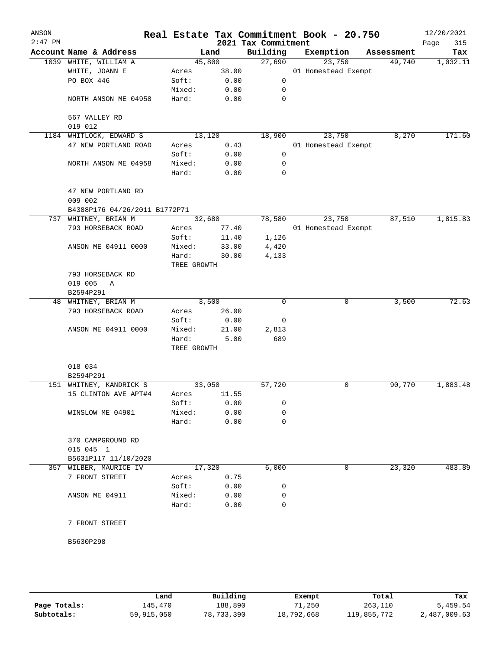| ANSON<br>$2:47$ PM |                                                 |                      |              | 2021 Tax Commitment | Real Estate Tax Commitment Book - 20.750 |            | 12/20/2021<br>Page<br>315 |
|--------------------|-------------------------------------------------|----------------------|--------------|---------------------|------------------------------------------|------------|---------------------------|
|                    | Account Name & Address                          |                      | Land         | Building            | Exemption                                | Assessment | Tax                       |
|                    | 1039 WHITE, WILLIAM A                           |                      | 45,800       | 27,690              | 23,750                                   | 49,740     | 1,032.11                  |
|                    | WHITE, JOANN E                                  | Acres                | 38.00        |                     | 01 Homestead Exempt                      |            |                           |
|                    | PO BOX 446                                      | Soft:                | 0.00         | 0                   |                                          |            |                           |
|                    |                                                 | Mixed:               | 0.00         | 0                   |                                          |            |                           |
|                    | NORTH ANSON ME 04958                            | Hard:                | 0.00         | 0                   |                                          |            |                           |
|                    | 567 VALLEY RD                                   |                      |              |                     |                                          |            |                           |
|                    | 019 012                                         |                      | 13,120       |                     | 23,750                                   | 8,270      | 171.60                    |
|                    | 1184 WHITLOCK, EDWARD S<br>47 NEW PORTLAND ROAD |                      |              | 18,900              | 01 Homestead Exempt                      |            |                           |
|                    |                                                 | Acres<br>Soft:       | 0.43<br>0.00 | 0                   |                                          |            |                           |
|                    | NORTH ANSON ME 04958                            | Mixed:               | 0.00         | 0                   |                                          |            |                           |
|                    |                                                 | Hard:                | 0.00         | 0                   |                                          |            |                           |
|                    | 47 NEW PORTLAND RD<br>009 002                   |                      |              |                     |                                          |            |                           |
|                    | B4388P176 04/26/2011 B1772P71                   |                      |              |                     |                                          |            |                           |
|                    | 737 WHITNEY, BRIAN M                            |                      | 32,680       | 78,580              | 23,750                                   | 87,510     | 1,815.83                  |
|                    | 793 HORSEBACK ROAD                              | Acres                | 77.40        |                     | 01 Homestead Exempt                      |            |                           |
|                    |                                                 | Soft:                | 11.40        | 1,126               |                                          |            |                           |
|                    | ANSON ME 04911 0000                             | Mixed:               | 33.00        | 4,420               |                                          |            |                           |
|                    |                                                 | Hard:                | 30.00        | 4,133               |                                          |            |                           |
|                    |                                                 | TREE GROWTH          |              |                     |                                          |            |                           |
|                    | 793 HORSEBACK RD                                |                      |              |                     |                                          |            |                           |
|                    | 019 005<br>A                                    |                      |              |                     |                                          |            |                           |
|                    | B2594P291                                       |                      |              |                     |                                          |            |                           |
|                    | 48 WHITNEY, BRIAN M                             |                      | 3,500        | 0                   | 0                                        | 3,500      | 72.63                     |
|                    | 793 HORSEBACK ROAD                              | Acres                | 26.00        |                     |                                          |            |                           |
|                    |                                                 | Soft:                | 0.00         | 0                   |                                          |            |                           |
|                    | ANSON ME 04911 0000                             | Mixed:               | 21.00        | 2,813               |                                          |            |                           |
|                    |                                                 | Hard:<br>TREE GROWTH | 5.00         | 689                 |                                          |            |                           |
|                    |                                                 |                      |              |                     |                                          |            |                           |
|                    | 018 034                                         |                      |              |                     |                                          |            |                           |
|                    | B2594P291                                       |                      |              |                     |                                          |            |                           |
|                    | 151 WHITNEY, KANDRICK S                         |                      | 33,050       | 57,720              | 0                                        | 90,770     | 1,883.48                  |
|                    | 15 CLINTON AVE APT#4                            | Acres                | 11.55        |                     |                                          |            |                           |
|                    |                                                 | Soft:                | 0.00         | 0                   |                                          |            |                           |
|                    | WINSLOW ME 04901                                | Mixed:               | 0.00         | 0                   |                                          |            |                           |
|                    |                                                 | Hard:                | 0.00         | $\mathbf 0$         |                                          |            |                           |
|                    | 370 CAMPGROUND RD                               |                      |              |                     |                                          |            |                           |
|                    | 015 045 1                                       |                      |              |                     |                                          |            |                           |
|                    | B5631P117 11/10/2020                            |                      |              |                     |                                          |            |                           |
|                    | 357 WILBER, MAURICE IV                          |                      | 17,320       | 6,000               | 0                                        | 23,320     | 483.89                    |
|                    | 7 FRONT STREET                                  | Acres                | 0.75         |                     |                                          |            |                           |
|                    |                                                 | Soft:                | 0.00         | 0                   |                                          |            |                           |
|                    | ANSON ME 04911                                  | Mixed:               | 0.00         | 0                   |                                          |            |                           |
|                    |                                                 | Hard:                | 0.00         | 0                   |                                          |            |                           |
|                    | 7 FRONT STREET                                  |                      |              |                     |                                          |            |                           |
|                    | B5630P298                                       |                      |              |                     |                                          |            |                           |
|                    |                                                 |                      |              |                     |                                          |            |                           |
|                    |                                                 |                      |              |                     |                                          |            |                           |

|              | Land       | Building   | Exempt     | Total       | Tax          |
|--------------|------------|------------|------------|-------------|--------------|
| Page Totals: | 145,470    | 188,890    | 71,250     | 263,110     | 5,459.54     |
| Subtotals:   | 59,915,050 | 78,733,390 | 18,792,668 | 119,855,772 | 2,487,009.63 |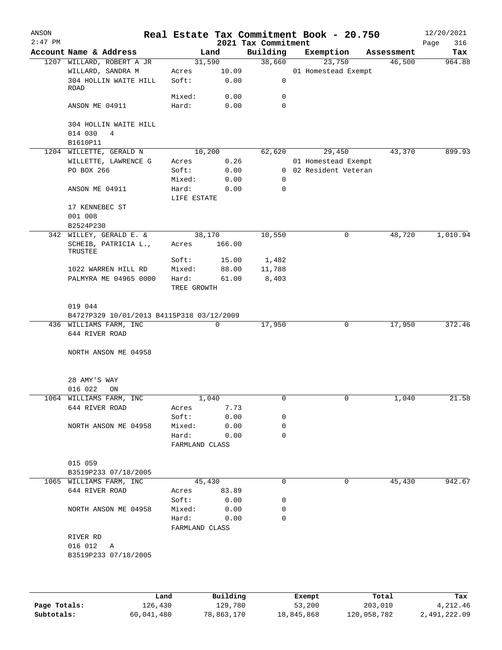| ANSON<br>$2:47$ PM |                                           |                |             | 2021 Tax Commitment | Real Estate Tax Commitment Book - 20.750 |            | 12/20/2021<br>316<br>Page |
|--------------------|-------------------------------------------|----------------|-------------|---------------------|------------------------------------------|------------|---------------------------|
|                    | Account Name & Address                    |                | Land        | Building            | Exemption                                | Assessment | Tax                       |
|                    | 1207 WILLARD, ROBERT A JR                 |                | 31,590      | 38,660              | 23,750                                   | 46,500     | 964.88                    |
|                    | WILLARD, SANDRA M                         | Acres          | 10.09       |                     | 01 Homestead Exempt                      |            |                           |
|                    | 304 HOLLIN WAITE HILL                     | Soft:          | 0.00        | 0                   |                                          |            |                           |
|                    | ROAD                                      |                |             |                     |                                          |            |                           |
|                    |                                           | Mixed:         | 0.00        | 0                   |                                          |            |                           |
|                    | ANSON ME 04911                            | Hard:          | 0.00        | $\Omega$            |                                          |            |                           |
|                    |                                           |                |             |                     |                                          |            |                           |
|                    | 304 HOLLIN WAITE HILL                     |                |             |                     |                                          |            |                           |
|                    | 014 030<br>$\overline{4}$                 |                |             |                     |                                          |            |                           |
|                    | B1610P11                                  |                |             |                     |                                          |            |                           |
|                    | 1204 WILLETTE, GERALD N                   |                | 10,200      | 62,620              | 29,450                                   | 43,370     | 899.93                    |
|                    | WILLETTE, LAWRENCE G                      | Acres          | 0.26        |                     | 01 Homestead Exempt                      |            |                           |
|                    | PO BOX 266                                | Soft:          | 0.00        |                     | 0 02 Resident Veteran                    |            |                           |
|                    |                                           | Mixed:         | 0.00        | 0                   |                                          |            |                           |
|                    | ANSON ME 04911                            | Hard:          | 0.00        | 0                   |                                          |            |                           |
|                    |                                           | LIFE ESTATE    |             |                     |                                          |            |                           |
|                    | 17 KENNEBEC ST                            |                |             |                     |                                          |            |                           |
|                    | 001 008                                   |                |             |                     |                                          |            |                           |
|                    | B2524P230                                 |                |             |                     |                                          |            |                           |
|                    | 342 WILLEY, GERALD E. &                   |                | 38,170      | 10,550              | $\mathsf{O}$                             | 48,720     | 1,010.94                  |
|                    | SCHEIB, PATRICIA L.,                      | Acres          | 166.00      |                     |                                          |            |                           |
|                    | TRUSTEE                                   |                |             |                     |                                          |            |                           |
|                    |                                           | Soft:          | 15.00       | 1,482               |                                          |            |                           |
|                    | 1022 WARREN HILL RD                       | Mixed:         | 88.00       | 11,788              |                                          |            |                           |
|                    | PALMYRA ME 04965 0000                     | Hard:          | 61.00       | 8,403               |                                          |            |                           |
|                    |                                           | TREE GROWTH    |             |                     |                                          |            |                           |
|                    |                                           |                |             |                     |                                          |            |                           |
|                    | 019 044                                   |                |             |                     |                                          |            |                           |
|                    | B4727P329 10/01/2013 B4115P318 03/12/2009 |                |             |                     |                                          |            |                           |
|                    | 436 WILLIAMS FARM, INC                    |                | 0           | 17,950              | 0                                        | 17,950     | 372.46                    |
|                    | 644 RIVER ROAD                            |                |             |                     |                                          |            |                           |
|                    |                                           |                |             |                     |                                          |            |                           |
|                    | NORTH ANSON ME 04958                      |                |             |                     |                                          |            |                           |
|                    |                                           |                |             |                     |                                          |            |                           |
|                    |                                           |                |             |                     |                                          |            |                           |
|                    | 28 AMY'S WAY                              |                |             |                     |                                          |            |                           |
|                    | 016 022<br>ON                             |                |             |                     |                                          |            |                           |
|                    | 1064 WILLIAMS FARM, INC                   |                | 1,040       |                     | 0                                        | 1,040      | 21.58                     |
|                    | 644 RIVER ROAD                            | Acres          | 7.73        |                     |                                          |            |                           |
|                    |                                           | Soft:          | 0.00        | 0                   |                                          |            |                           |
|                    | NORTH ANSON ME 04958                      | Mixed:         | 0.00        | 0                   |                                          |            |                           |
|                    |                                           | Hard:          | 0.00        | $\Omega$            |                                          |            |                           |
|                    |                                           | FARMLAND CLASS |             |                     |                                          |            |                           |
|                    |                                           |                |             |                     |                                          |            |                           |
|                    | 015 059                                   |                |             |                     |                                          |            |                           |
|                    | B3519P233 07/18/2005                      |                |             |                     |                                          |            |                           |
|                    | 1065 WILLIAMS FARM, INC                   |                | 45,430      | 0                   | 0                                        | 45,430     | 942.67                    |
|                    | 644 RIVER ROAD                            |                | Acres 83.89 |                     |                                          |            |                           |
|                    |                                           |                | Soft: 0.00  | 0                   |                                          |            |                           |
|                    | NORTH ANSON ME 04958                      |                | Mixed: 0.00 | 0                   |                                          |            |                           |
|                    |                                           | Hard: 0.00     |             | 0                   |                                          |            |                           |
|                    |                                           | FARMLAND CLASS |             |                     |                                          |            |                           |
|                    | RIVER RD                                  |                |             |                     |                                          |            |                           |
|                    | 016 012 A                                 |                |             |                     |                                          |            |                           |
|                    | B3519P233 07/18/2005                      |                |             |                     |                                          |            |                           |
|                    |                                           |                |             |                     |                                          |            |                           |
|                    |                                           |                |             |                     |                                          |            |                           |
|                    |                                           |                |             |                     |                                          |            |                           |
|                    |                                           |                |             |                     |                                          |            |                           |

|              | Land       | Building   | Exempt     | Total       | Tax          |
|--------------|------------|------------|------------|-------------|--------------|
| Page Totals: | 126,430    | 129,780    | 53,200     | 203,010     | 4,212.46     |
| Subtotals:   | 60,041,480 | 78,863,170 | 18,845,868 | 120,058,782 | 2,491,222.09 |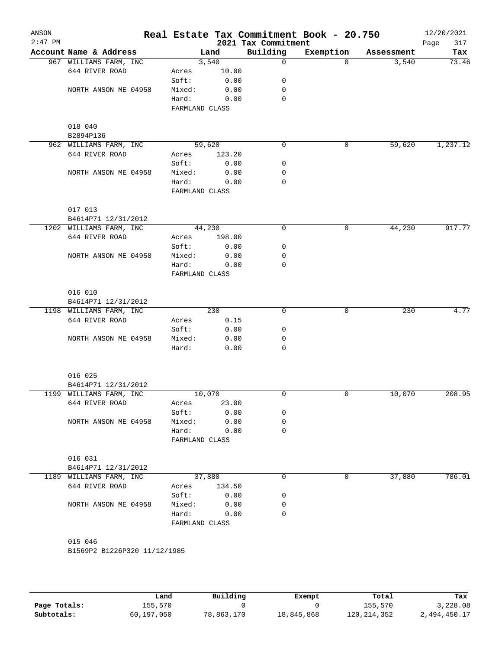| 2021 Tax Commitment<br>Page<br>Building<br>Account Name & Address<br>Exemption<br>Land<br>Assessment<br>967 WILLIAMS FARM, INC<br>3,540<br>0<br>73.46<br>$\Omega$<br>3,540<br>644 RIVER ROAD<br>10.00<br>Acres<br>0.00<br>Soft:<br>0<br>NORTH ANSON ME 04958<br>Mixed:<br>0.00<br>0<br>0<br>Hard:<br>0.00<br>FARMLAND CLASS<br>018 040<br>B2894P136<br>1,237.12<br>59,620<br>0<br>59,620<br>962 WILLIAMS FARM, INC<br>0<br>644 RIVER ROAD<br>123.20<br>Acres<br>Soft:<br>0.00<br>0<br>Mixed:<br>0.00<br>0<br>NORTH ANSON ME 04958<br>Hard:<br>0.00<br>0<br>FARMLAND CLASS<br>017 013<br>B4614P71 12/31/2012<br>917.77<br>44,230<br>1202 WILLIAMS FARM, INC<br>0<br>0<br>44,230<br>644 RIVER ROAD<br>Acres<br>198.00<br>Soft:<br>0.00<br>0<br>NORTH ANSON ME 04958<br>Mixed:<br>0.00<br>0<br>0<br>Hard:<br>0.00<br>FARMLAND CLASS<br>016 010<br>B4614P71 12/31/2012<br>1198 WILLIAMS FARM, INC<br>230<br>0<br>0<br>230<br>644 RIVER ROAD<br>0.15<br>Acres<br>Soft:<br>0.00<br>0<br>Mixed:<br>0.00<br>0<br>NORTH ANSON ME 04958<br>Hard:<br>$\Omega$<br>0.00<br>016 025<br>B4614P71 12/31/2012<br>10,070<br>0<br>10,070<br>208.95<br>1199 WILLIAMS FARM, INC<br>0<br>644 RIVER ROAD<br>23.00<br>Acres<br>Soft:<br>0.00<br>0<br>0.00<br>NORTH ANSON ME 04958<br>Mixed:<br>0 |
|--------------------------------------------------------------------------------------------------------------------------------------------------------------------------------------------------------------------------------------------------------------------------------------------------------------------------------------------------------------------------------------------------------------------------------------------------------------------------------------------------------------------------------------------------------------------------------------------------------------------------------------------------------------------------------------------------------------------------------------------------------------------------------------------------------------------------------------------------------------------------------------------------------------------------------------------------------------------------------------------------------------------------------------------------------------------------------------------------------------------------------------------------------------------------------------------------------------------------------------------------------------------------|
|                                                                                                                                                                                                                                                                                                                                                                                                                                                                                                                                                                                                                                                                                                                                                                                                                                                                                                                                                                                                                                                                                                                                                                                                                                                                          |
|                                                                                                                                                                                                                                                                                                                                                                                                                                                                                                                                                                                                                                                                                                                                                                                                                                                                                                                                                                                                                                                                                                                                                                                                                                                                          |
|                                                                                                                                                                                                                                                                                                                                                                                                                                                                                                                                                                                                                                                                                                                                                                                                                                                                                                                                                                                                                                                                                                                                                                                                                                                                          |
|                                                                                                                                                                                                                                                                                                                                                                                                                                                                                                                                                                                                                                                                                                                                                                                                                                                                                                                                                                                                                                                                                                                                                                                                                                                                          |
|                                                                                                                                                                                                                                                                                                                                                                                                                                                                                                                                                                                                                                                                                                                                                                                                                                                                                                                                                                                                                                                                                                                                                                                                                                                                          |
|                                                                                                                                                                                                                                                                                                                                                                                                                                                                                                                                                                                                                                                                                                                                                                                                                                                                                                                                                                                                                                                                                                                                                                                                                                                                          |
|                                                                                                                                                                                                                                                                                                                                                                                                                                                                                                                                                                                                                                                                                                                                                                                                                                                                                                                                                                                                                                                                                                                                                                                                                                                                          |
|                                                                                                                                                                                                                                                                                                                                                                                                                                                                                                                                                                                                                                                                                                                                                                                                                                                                                                                                                                                                                                                                                                                                                                                                                                                                          |
|                                                                                                                                                                                                                                                                                                                                                                                                                                                                                                                                                                                                                                                                                                                                                                                                                                                                                                                                                                                                                                                                                                                                                                                                                                                                          |
|                                                                                                                                                                                                                                                                                                                                                                                                                                                                                                                                                                                                                                                                                                                                                                                                                                                                                                                                                                                                                                                                                                                                                                                                                                                                          |
|                                                                                                                                                                                                                                                                                                                                                                                                                                                                                                                                                                                                                                                                                                                                                                                                                                                                                                                                                                                                                                                                                                                                                                                                                                                                          |
|                                                                                                                                                                                                                                                                                                                                                                                                                                                                                                                                                                                                                                                                                                                                                                                                                                                                                                                                                                                                                                                                                                                                                                                                                                                                          |
|                                                                                                                                                                                                                                                                                                                                                                                                                                                                                                                                                                                                                                                                                                                                                                                                                                                                                                                                                                                                                                                                                                                                                                                                                                                                          |
|                                                                                                                                                                                                                                                                                                                                                                                                                                                                                                                                                                                                                                                                                                                                                                                                                                                                                                                                                                                                                                                                                                                                                                                                                                                                          |
|                                                                                                                                                                                                                                                                                                                                                                                                                                                                                                                                                                                                                                                                                                                                                                                                                                                                                                                                                                                                                                                                                                                                                                                                                                                                          |
|                                                                                                                                                                                                                                                                                                                                                                                                                                                                                                                                                                                                                                                                                                                                                                                                                                                                                                                                                                                                                                                                                                                                                                                                                                                                          |
|                                                                                                                                                                                                                                                                                                                                                                                                                                                                                                                                                                                                                                                                                                                                                                                                                                                                                                                                                                                                                                                                                                                                                                                                                                                                          |
|                                                                                                                                                                                                                                                                                                                                                                                                                                                                                                                                                                                                                                                                                                                                                                                                                                                                                                                                                                                                                                                                                                                                                                                                                                                                          |
|                                                                                                                                                                                                                                                                                                                                                                                                                                                                                                                                                                                                                                                                                                                                                                                                                                                                                                                                                                                                                                                                                                                                                                                                                                                                          |
|                                                                                                                                                                                                                                                                                                                                                                                                                                                                                                                                                                                                                                                                                                                                                                                                                                                                                                                                                                                                                                                                                                                                                                                                                                                                          |
|                                                                                                                                                                                                                                                                                                                                                                                                                                                                                                                                                                                                                                                                                                                                                                                                                                                                                                                                                                                                                                                                                                                                                                                                                                                                          |
|                                                                                                                                                                                                                                                                                                                                                                                                                                                                                                                                                                                                                                                                                                                                                                                                                                                                                                                                                                                                                                                                                                                                                                                                                                                                          |
|                                                                                                                                                                                                                                                                                                                                                                                                                                                                                                                                                                                                                                                                                                                                                                                                                                                                                                                                                                                                                                                                                                                                                                                                                                                                          |
|                                                                                                                                                                                                                                                                                                                                                                                                                                                                                                                                                                                                                                                                                                                                                                                                                                                                                                                                                                                                                                                                                                                                                                                                                                                                          |
|                                                                                                                                                                                                                                                                                                                                                                                                                                                                                                                                                                                                                                                                                                                                                                                                                                                                                                                                                                                                                                                                                                                                                                                                                                                                          |
|                                                                                                                                                                                                                                                                                                                                                                                                                                                                                                                                                                                                                                                                                                                                                                                                                                                                                                                                                                                                                                                                                                                                                                                                                                                                          |
|                                                                                                                                                                                                                                                                                                                                                                                                                                                                                                                                                                                                                                                                                                                                                                                                                                                                                                                                                                                                                                                                                                                                                                                                                                                                          |
|                                                                                                                                                                                                                                                                                                                                                                                                                                                                                                                                                                                                                                                                                                                                                                                                                                                                                                                                                                                                                                                                                                                                                                                                                                                                          |
|                                                                                                                                                                                                                                                                                                                                                                                                                                                                                                                                                                                                                                                                                                                                                                                                                                                                                                                                                                                                                                                                                                                                                                                                                                                                          |
|                                                                                                                                                                                                                                                                                                                                                                                                                                                                                                                                                                                                                                                                                                                                                                                                                                                                                                                                                                                                                                                                                                                                                                                                                                                                          |
|                                                                                                                                                                                                                                                                                                                                                                                                                                                                                                                                                                                                                                                                                                                                                                                                                                                                                                                                                                                                                                                                                                                                                                                                                                                                          |
|                                                                                                                                                                                                                                                                                                                                                                                                                                                                                                                                                                                                                                                                                                                                                                                                                                                                                                                                                                                                                                                                                                                                                                                                                                                                          |
|                                                                                                                                                                                                                                                                                                                                                                                                                                                                                                                                                                                                                                                                                                                                                                                                                                                                                                                                                                                                                                                                                                                                                                                                                                                                          |
|                                                                                                                                                                                                                                                                                                                                                                                                                                                                                                                                                                                                                                                                                                                                                                                                                                                                                                                                                                                                                                                                                                                                                                                                                                                                          |
|                                                                                                                                                                                                                                                                                                                                                                                                                                                                                                                                                                                                                                                                                                                                                                                                                                                                                                                                                                                                                                                                                                                                                                                                                                                                          |
|                                                                                                                                                                                                                                                                                                                                                                                                                                                                                                                                                                                                                                                                                                                                                                                                                                                                                                                                                                                                                                                                                                                                                                                                                                                                          |
|                                                                                                                                                                                                                                                                                                                                                                                                                                                                                                                                                                                                                                                                                                                                                                                                                                                                                                                                                                                                                                                                                                                                                                                                                                                                          |
| Hard:<br>0.00<br>0<br>FARMLAND CLASS                                                                                                                                                                                                                                                                                                                                                                                                                                                                                                                                                                                                                                                                                                                                                                                                                                                                                                                                                                                                                                                                                                                                                                                                                                     |
|                                                                                                                                                                                                                                                                                                                                                                                                                                                                                                                                                                                                                                                                                                                                                                                                                                                                                                                                                                                                                                                                                                                                                                                                                                                                          |
| 016 031                                                                                                                                                                                                                                                                                                                                                                                                                                                                                                                                                                                                                                                                                                                                                                                                                                                                                                                                                                                                                                                                                                                                                                                                                                                                  |
| B4614P71 12/31/2012                                                                                                                                                                                                                                                                                                                                                                                                                                                                                                                                                                                                                                                                                                                                                                                                                                                                                                                                                                                                                                                                                                                                                                                                                                                      |
| 37,880<br>37,880<br>786.01<br>0<br>0<br>1189 WILLIAMS FARM, INC                                                                                                                                                                                                                                                                                                                                                                                                                                                                                                                                                                                                                                                                                                                                                                                                                                                                                                                                                                                                                                                                                                                                                                                                          |
| 644 RIVER ROAD<br>134.50<br>Acres                                                                                                                                                                                                                                                                                                                                                                                                                                                                                                                                                                                                                                                                                                                                                                                                                                                                                                                                                                                                                                                                                                                                                                                                                                        |
| 0.00<br>Soft:<br>0                                                                                                                                                                                                                                                                                                                                                                                                                                                                                                                                                                                                                                                                                                                                                                                                                                                                                                                                                                                                                                                                                                                                                                                                                                                       |
| Mixed:<br>0.00<br>0<br>NORTH ANSON ME 04958                                                                                                                                                                                                                                                                                                                                                                                                                                                                                                                                                                                                                                                                                                                                                                                                                                                                                                                                                                                                                                                                                                                                                                                                                              |
| Hard:<br>$\Omega$<br>0.00                                                                                                                                                                                                                                                                                                                                                                                                                                                                                                                                                                                                                                                                                                                                                                                                                                                                                                                                                                                                                                                                                                                                                                                                                                                |
| FARMLAND CLASS                                                                                                                                                                                                                                                                                                                                                                                                                                                                                                                                                                                                                                                                                                                                                                                                                                                                                                                                                                                                                                                                                                                                                                                                                                                           |
|                                                                                                                                                                                                                                                                                                                                                                                                                                                                                                                                                                                                                                                                                                                                                                                                                                                                                                                                                                                                                                                                                                                                                                                                                                                                          |
| 015 046                                                                                                                                                                                                                                                                                                                                                                                                                                                                                                                                                                                                                                                                                                                                                                                                                                                                                                                                                                                                                                                                                                                                                                                                                                                                  |
| B1569P2 B1226P320 11/12/1985                                                                                                                                                                                                                                                                                                                                                                                                                                                                                                                                                                                                                                                                                                                                                                                                                                                                                                                                                                                                                                                                                                                                                                                                                                             |

|              | Land       | Building   | Exempt     | Total         | Tax          |
|--------------|------------|------------|------------|---------------|--------------|
| Page Totals: | 155,570    |            |            | 155,570       | 3,228.08     |
| Subtotals:   | 60,197,050 | 78,863,170 | 18,845,868 | 120, 214, 352 | 2,494,450.17 |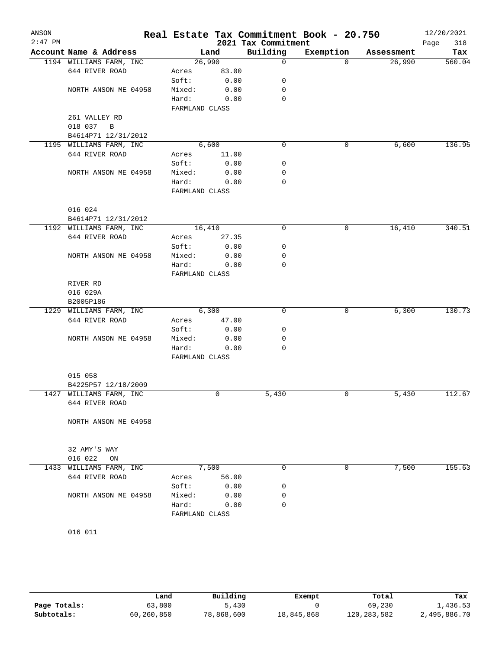| ANSON<br>$2:47$ PM |                           |                |        | 2021 Tax Commitment | Real Estate Tax Commitment Book - 20.750 |            | 12/20/2021<br>Page<br>318 |
|--------------------|---------------------------|----------------|--------|---------------------|------------------------------------------|------------|---------------------------|
|                    | Account Name & Address    |                | Land   | Building            | Exemption                                | Assessment | Tax                       |
|                    | 1194 WILLIAMS FARM, INC   |                | 26,990 | $\mathsf{O}$        | $\Omega$                                 | 26,990     | 560.04                    |
|                    | 644 RIVER ROAD            | Acres          | 83.00  |                     |                                          |            |                           |
|                    |                           | Soft:          | 0.00   | 0                   |                                          |            |                           |
|                    | NORTH ANSON ME 04958      | Mixed:         | 0.00   | 0                   |                                          |            |                           |
|                    |                           | Hard:          | 0.00   | $\mathbf 0$         |                                          |            |                           |
|                    |                           | FARMLAND CLASS |        |                     |                                          |            |                           |
|                    | 261 VALLEY RD             |                |        |                     |                                          |            |                           |
|                    | 018 037<br>$\overline{B}$ |                |        |                     |                                          |            |                           |
|                    | B4614P71 12/31/2012       |                |        |                     |                                          |            |                           |
|                    | 1195 WILLIAMS FARM, INC   |                | 6,600  | $\mathbf 0$         | 0                                        | 6,600      | 136.95                    |
|                    | 644 RIVER ROAD            | Acres          | 11.00  |                     |                                          |            |                           |
|                    |                           | Soft:          | 0.00   | 0                   |                                          |            |                           |
|                    | NORTH ANSON ME 04958      | Mixed:         | 0.00   | 0                   |                                          |            |                           |
|                    |                           | Hard:          | 0.00   | 0                   |                                          |            |                           |
|                    |                           | FARMLAND CLASS |        |                     |                                          |            |                           |
|                    |                           |                |        |                     |                                          |            |                           |
|                    | 016 024                   |                |        |                     |                                          |            |                           |
|                    | B4614P71 12/31/2012       |                |        |                     |                                          |            |                           |
|                    | 1192 WILLIAMS FARM, INC   |                | 16,410 | 0                   | 0                                        | 16,410     | 340.51                    |
|                    | 644 RIVER ROAD            |                | 27.35  |                     |                                          |            |                           |
|                    |                           | Acres          |        |                     |                                          |            |                           |
|                    |                           | Soft:          | 0.00   | 0                   |                                          |            |                           |
|                    | NORTH ANSON ME 04958      | Mixed:         | 0.00   | 0                   |                                          |            |                           |
|                    |                           | Hard:          | 0.00   | 0                   |                                          |            |                           |
|                    |                           | FARMLAND CLASS |        |                     |                                          |            |                           |
|                    | RIVER RD                  |                |        |                     |                                          |            |                           |
|                    | 016 029A                  |                |        |                     |                                          |            |                           |
|                    | B2005P186                 |                |        |                     |                                          |            |                           |
|                    | 1229 WILLIAMS FARM, INC   |                | 6,300  | 0                   | 0                                        | 6,300      | 130.73                    |
|                    | 644 RIVER ROAD            | Acres          | 47.00  |                     |                                          |            |                           |
|                    |                           | Soft:          | 0.00   | 0                   |                                          |            |                           |
|                    | NORTH ANSON ME 04958      | Mixed:         | 0.00   | 0                   |                                          |            |                           |
|                    |                           | Hard:          | 0.00   | 0                   |                                          |            |                           |
|                    |                           | FARMLAND CLASS |        |                     |                                          |            |                           |
|                    |                           |                |        |                     |                                          |            |                           |
|                    | 015 058                   |                |        |                     |                                          |            |                           |
|                    | B4225P57 12/18/2009       |                |        |                     |                                          |            |                           |
|                    | 1427 WILLIAMS FARM, INC   |                | 0      | 5,430               | 0                                        | 5,430      | 112.67                    |
|                    | 644 RIVER ROAD            |                |        |                     |                                          |            |                           |
|                    |                           |                |        |                     |                                          |            |                           |
|                    | NORTH ANSON ME 04958      |                |        |                     |                                          |            |                           |
|                    |                           |                |        |                     |                                          |            |                           |
|                    |                           |                |        |                     |                                          |            |                           |
|                    | 32 AMY'S WAY              |                |        |                     |                                          |            |                           |
|                    | 016 022<br>ON             |                |        |                     |                                          |            |                           |
|                    | 1433 WILLIAMS FARM, INC   |                | 7,500  | 0                   | 0                                        | 7,500      | 155.63                    |
|                    | 644 RIVER ROAD            | Acres          | 56.00  |                     |                                          |            |                           |
|                    |                           | Soft:          | 0.00   | 0                   |                                          |            |                           |
|                    | NORTH ANSON ME 04958      | Mixed:         | 0.00   | 0                   |                                          |            |                           |
|                    |                           | Hard:          | 0.00   | $\Omega$            |                                          |            |                           |
|                    |                           | FARMLAND CLASS |        |                     |                                          |            |                           |
|                    |                           |                |        |                     |                                          |            |                           |
|                    | 016 011                   |                |        |                     |                                          |            |                           |
|                    |                           |                |        |                     |                                          |            |                           |

**Page Totals:** 63,800 63,800 5,430 69,230 69,230 1,436.53<br>**Subtotals:** 60,260,850 78,868,600 18,845,868 120,283,582 2,495,886.70 **Subtotals:** 60,260,850 78,868,600 18,845,868 120,283,582 2,495,886.70 **Land Building Exempt Total Tax**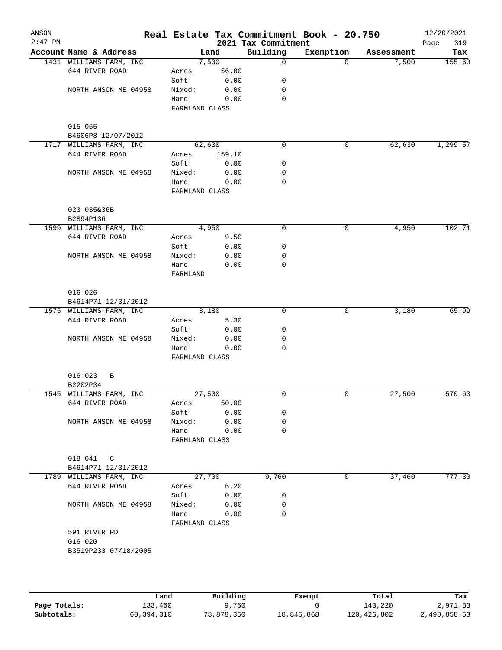| ANSON<br>$2:47$ PM |                         |                |        | 2021 Tax Commitment | Real Estate Tax Commitment Book - 20.750 |            | 12/20/2021<br>319<br>Page |
|--------------------|-------------------------|----------------|--------|---------------------|------------------------------------------|------------|---------------------------|
|                    | Account Name & Address  |                | Land   | Building            | Exemption                                | Assessment | Tax                       |
|                    | 1431 WILLIAMS FARM, INC |                | 7,500  | $\mathsf{O}$        | $\Omega$                                 | 7,500      | 155.63                    |
|                    | 644 RIVER ROAD          | Acres          | 56.00  |                     |                                          |            |                           |
|                    |                         | Soft:          | 0.00   | 0                   |                                          |            |                           |
|                    | NORTH ANSON ME 04958    | Mixed:         | 0.00   | 0                   |                                          |            |                           |
|                    |                         | Hard:          | 0.00   | 0                   |                                          |            |                           |
|                    |                         | FARMLAND CLASS |        |                     |                                          |            |                           |
|                    |                         |                |        |                     |                                          |            |                           |
|                    | 015 055                 |                |        |                     |                                          |            |                           |
|                    | B4606P8 12/07/2012      |                |        |                     |                                          |            |                           |
|                    | 1717 WILLIAMS FARM, INC | 62,630         |        | $\mathbf 0$         | 0                                        | 62,630     | 1,299.57                  |
|                    | 644 RIVER ROAD          | Acres          | 159.10 |                     |                                          |            |                           |
|                    |                         | Soft:          | 0.00   | 0                   |                                          |            |                           |
|                    | NORTH ANSON ME 04958    | Mixed:         | 0.00   | 0                   |                                          |            |                           |
|                    |                         | Hard:          | 0.00   | 0                   |                                          |            |                           |
|                    |                         | FARMLAND CLASS |        |                     |                                          |            |                           |
|                    | 023 035&36B             |                |        |                     |                                          |            |                           |
|                    | B2894P136               |                |        |                     |                                          |            |                           |
|                    | 1599 WILLIAMS FARM, INC |                | 4,950  | 0                   | 0                                        | 4,950      | 102.71                    |
|                    | 644 RIVER ROAD          | Acres          | 9.50   |                     |                                          |            |                           |
|                    |                         | Soft:          | 0.00   | 0                   |                                          |            |                           |
|                    | NORTH ANSON ME 04958    | Mixed:         | 0.00   | 0                   |                                          |            |                           |
|                    |                         | Hard:          | 0.00   | 0                   |                                          |            |                           |
|                    |                         | FARMLAND       |        |                     |                                          |            |                           |
|                    |                         |                |        |                     |                                          |            |                           |
|                    | 016 026                 |                |        |                     |                                          |            |                           |
|                    | B4614P71 12/31/2012     |                |        |                     |                                          |            |                           |
|                    | 1575 WILLIAMS FARM, INC |                | 3,180  | $\mathbf 0$         | $\mathbf 0$                              | 3,180      | 65.99                     |
|                    | 644 RIVER ROAD          | Acres          | 5.30   |                     |                                          |            |                           |
|                    |                         | Soft:          | 0.00   | 0                   |                                          |            |                           |
|                    | NORTH ANSON ME 04958    | Mixed:         | 0.00   | 0                   |                                          |            |                           |
|                    |                         | Hard:          | 0.00   | 0                   |                                          |            |                           |
|                    |                         | FARMLAND CLASS |        |                     |                                          |            |                           |
|                    |                         |                |        |                     |                                          |            |                           |
|                    | 016 023<br>B            |                |        |                     |                                          |            |                           |
|                    | B2202P34                |                |        |                     |                                          |            |                           |
|                    | 1545 WILLIAMS FARM, INC | 27,500         |        | 0                   | $\mathsf{O}$                             | 27,500     | 570.63                    |
|                    | 644 RIVER ROAD          | Acres          | 50.00  |                     |                                          |            |                           |
|                    |                         | Soft:          | 0.00   | 0                   |                                          |            |                           |
|                    | NORTH ANSON ME 04958    | Mixed:         | 0.00   | 0                   |                                          |            |                           |
|                    |                         | Hard:          | 0.00   | 0                   |                                          |            |                           |
|                    |                         | FARMLAND CLASS |        |                     |                                          |            |                           |
|                    | 018 041 C               |                |        |                     |                                          |            |                           |
|                    | B4614P71 12/31/2012     |                |        |                     |                                          |            |                           |
|                    | 1789 WILLIAMS FARM, INC | 27,700         |        | 9,760               | 0                                        | 37,460     | 777.30                    |
|                    | 644 RIVER ROAD          | Acres          | 6.20   |                     |                                          |            |                           |
|                    |                         | Soft:          | 0.00   | 0                   |                                          |            |                           |
|                    | NORTH ANSON ME 04958    | Mixed:         | 0.00   | 0                   |                                          |            |                           |
|                    |                         | Hard:          | 0.00   | 0                   |                                          |            |                           |
|                    |                         | FARMLAND CLASS |        |                     |                                          |            |                           |
|                    | 591 RIVER RD            |                |        |                     |                                          |            |                           |
|                    | 016 020                 |                |        |                     |                                          |            |                           |
|                    | B3519P233 07/18/2005    |                |        |                     |                                          |            |                           |
|                    |                         |                |        |                     |                                          |            |                           |
|                    |                         |                |        |                     |                                          |            |                           |
|                    |                         |                |        |                     |                                          |            |                           |

|              | Land       | Building   | Exempt     | Total       | Tax          |
|--------------|------------|------------|------------|-------------|--------------|
| Page Totals: | 133,460    | .760       |            | 143,220     | 2,971.83     |
| Subtotals:   | 60,394,310 | 78,878,360 | 18,845,868 | 120,426,802 | 2,498,858.53 |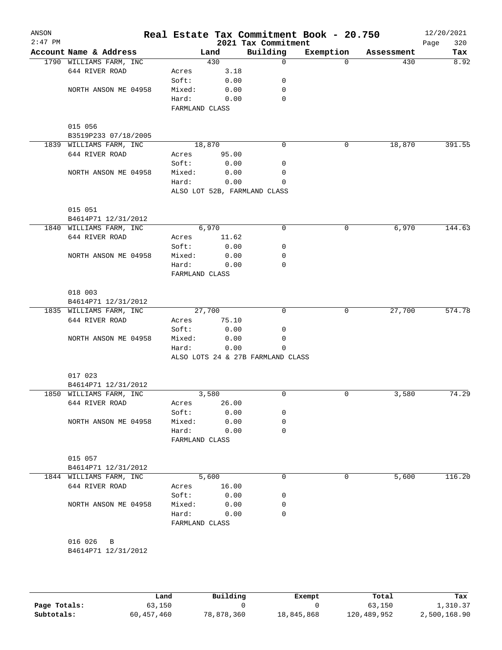| ANSON<br>$2:47$ PM |                                |                |       | 2021 Tax Commitment               | Real Estate Tax Commitment Book - 20.750 |            | 12/20/2021<br>320<br>Page |
|--------------------|--------------------------------|----------------|-------|-----------------------------------|------------------------------------------|------------|---------------------------|
|                    | Account Name & Address         |                | Land  | Building                          | Exemption                                | Assessment | Tax                       |
|                    | 1790 WILLIAMS FARM, INC        |                | 430   | 0                                 | $\Omega$                                 | 430        | 8.92                      |
|                    | 644 RIVER ROAD                 | Acres          | 3.18  |                                   |                                          |            |                           |
|                    |                                | Soft:          | 0.00  | 0                                 |                                          |            |                           |
|                    | NORTH ANSON ME 04958           | Mixed:         | 0.00  | 0                                 |                                          |            |                           |
|                    |                                | Hard:          | 0.00  | 0                                 |                                          |            |                           |
|                    |                                | FARMLAND CLASS |       |                                   |                                          |            |                           |
|                    | 015 056                        |                |       |                                   |                                          |            |                           |
|                    | B3519P233 07/18/2005           |                |       |                                   |                                          |            |                           |
|                    | 1839 WILLIAMS FARM, INC        | 18,870         |       | $\mathbf 0$                       | 0                                        | 18,870     | 391.55                    |
|                    | 644 RIVER ROAD                 | Acres          | 95.00 |                                   |                                          |            |                           |
|                    |                                | Soft:          | 0.00  | 0                                 |                                          |            |                           |
|                    | NORTH ANSON ME 04958           | Mixed:         | 0.00  | 0                                 |                                          |            |                           |
|                    |                                | Hard:          | 0.00  | $\Omega$                          |                                          |            |                           |
|                    |                                |                |       | ALSO LOT 52B, FARMLAND CLASS      |                                          |            |                           |
|                    |                                |                |       |                                   |                                          |            |                           |
|                    | 015 051                        |                |       |                                   |                                          |            |                           |
|                    | B4614P71 12/31/2012            |                |       |                                   |                                          |            |                           |
|                    | 1840 WILLIAMS FARM, INC        |                | 6,970 | 0                                 | 0                                        | 6,970      | 144.63                    |
|                    | 644 RIVER ROAD                 | Acres          | 11.62 |                                   |                                          |            |                           |
|                    |                                | Soft:          | 0.00  | 0                                 |                                          |            |                           |
|                    | NORTH ANSON ME 04958           | Mixed:         | 0.00  | 0                                 |                                          |            |                           |
|                    |                                | Hard:          | 0.00  | 0                                 |                                          |            |                           |
|                    |                                | FARMLAND CLASS |       |                                   |                                          |            |                           |
|                    | 018 003                        |                |       |                                   |                                          |            |                           |
|                    | B4614P71 12/31/2012            |                |       |                                   |                                          |            |                           |
|                    | 1835 WILLIAMS FARM, INC        | 27,700         |       | 0                                 | 0                                        | 27,700     | 574.78                    |
|                    | 644 RIVER ROAD                 | Acres          | 75.10 |                                   |                                          |            |                           |
|                    |                                | Soft:          | 0.00  | 0                                 |                                          |            |                           |
|                    | NORTH ANSON ME 04958           | Mixed:         | 0.00  | 0                                 |                                          |            |                           |
|                    |                                | Hard:          | 0.00  | 0                                 |                                          |            |                           |
|                    |                                |                |       | ALSO LOTS 24 & 27B FARMLAND CLASS |                                          |            |                           |
|                    |                                |                |       |                                   |                                          |            |                           |
|                    | 017 023                        |                |       |                                   |                                          |            |                           |
|                    | B4614P71 12/31/2012            |                |       |                                   |                                          |            |                           |
|                    | 1850 WILLIAMS FARM, INC        |                | 3,580 | 0                                 | 0                                        | 3,580      | 74.29                     |
|                    | 644 RIVER ROAD                 | Acres          | 26.00 |                                   |                                          |            |                           |
|                    |                                | Soft:          | 0.00  | 0                                 |                                          |            |                           |
|                    | NORTH ANSON ME 04958           | Mixed:         | 0.00  | 0                                 |                                          |            |                           |
|                    |                                | Hard:          | 0.00  | 0                                 |                                          |            |                           |
|                    |                                | FARMLAND CLASS |       |                                   |                                          |            |                           |
|                    |                                |                |       |                                   |                                          |            |                           |
|                    | 015 057<br>B4614P71 12/31/2012 |                |       |                                   |                                          |            |                           |
|                    | 1844 WILLIAMS FARM, INC        |                | 5,600 | 0                                 | 0                                        | 5,600      | 116.20                    |
|                    | 644 RIVER ROAD                 | Acres          | 16.00 |                                   |                                          |            |                           |
|                    |                                | Soft:          | 0.00  | 0                                 |                                          |            |                           |
|                    | NORTH ANSON ME 04958           | Mixed:         | 0.00  | 0                                 |                                          |            |                           |
|                    |                                | Hard:          | 0.00  | 0                                 |                                          |            |                           |
|                    |                                | FARMLAND CLASS |       |                                   |                                          |            |                           |
|                    |                                |                |       |                                   |                                          |            |                           |
|                    | 016 026<br>B                   |                |       |                                   |                                          |            |                           |
|                    | B4614P71 12/31/2012            |                |       |                                   |                                          |            |                           |
|                    |                                |                |       |                                   |                                          |            |                           |
|                    |                                |                |       |                                   |                                          |            |                           |

|              | Land       | Building   | Exempt     | Total       | Tax          |
|--------------|------------|------------|------------|-------------|--------------|
| Page Totals: | 63,150     |            |            | 63,150      | 1,310.37     |
| Subtotals:   | 60,457,460 | 78,878,360 | 18,845,868 | 120,489,952 | 2,500,168.90 |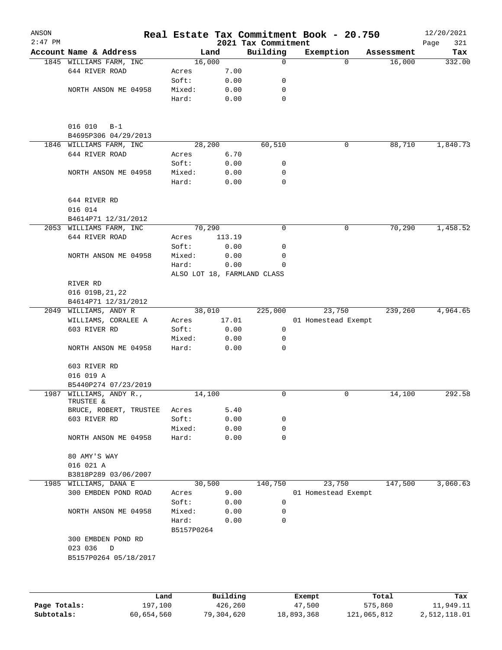| ANSON     |                                          |            |                             |                                 | Real Estate Tax Commitment Book - 20.750 |                    | 12/20/2021         |
|-----------|------------------------------------------|------------|-----------------------------|---------------------------------|------------------------------------------|--------------------|--------------------|
| $2:47$ PM | Account Name & Address                   |            | Land                        | 2021 Tax Commitment<br>Building | Exemption                                | Assessment         | Page<br>321<br>Tax |
|           | 1845 WILLIAMS FARM, INC                  |            | 16,000                      | $\mathbf 0$                     |                                          | $\Omega$<br>16,000 | 332.00             |
|           | 644 RIVER ROAD                           | Acres      | 7.00                        |                                 |                                          |                    |                    |
|           |                                          | Soft:      | 0.00                        | 0                               |                                          |                    |                    |
|           | NORTH ANSON ME 04958                     | Mixed:     | 0.00                        | 0                               |                                          |                    |                    |
|           |                                          | Hard:      | 0.00                        | 0                               |                                          |                    |                    |
|           | 016 010<br>$B-1$<br>B4695P306 04/29/2013 |            |                             |                                 |                                          |                    |                    |
| 1846      | WILLIAMS FARM, INC                       |            | 28,200                      | 60,510                          |                                          | 88,710<br>0        | 1,840.73           |
|           | 644 RIVER ROAD                           | Acres      | 6.70                        |                                 |                                          |                    |                    |
|           |                                          | Soft:      | 0.00                        | 0                               |                                          |                    |                    |
|           | NORTH ANSON ME 04958                     | Mixed:     | 0.00                        | 0                               |                                          |                    |                    |
|           |                                          | Hard:      | 0.00                        | 0                               |                                          |                    |                    |
|           | 644 RIVER RD<br>016 014                  |            |                             |                                 |                                          |                    |                    |
|           | B4614P71 12/31/2012                      |            |                             |                                 |                                          |                    |                    |
|           | 2053 WILLIAMS FARM, INC                  |            | 70,290                      | 0                               |                                          | 70,290<br>0        | 1,458.52           |
|           | 644 RIVER ROAD                           | Acres      | 113.19                      |                                 |                                          |                    |                    |
|           |                                          | Soft:      | 0.00                        | 0                               |                                          |                    |                    |
|           | NORTH ANSON ME 04958                     | Mixed:     | 0.00                        | 0                               |                                          |                    |                    |
|           |                                          | Hard:      | 0.00                        | 0                               |                                          |                    |                    |
|           |                                          |            | ALSO LOT 18, FARMLAND CLASS |                                 |                                          |                    |                    |
|           | RIVER RD                                 |            |                             |                                 |                                          |                    |                    |
|           | 016 019B, 21, 22                         |            |                             |                                 |                                          |                    |                    |
|           | B4614P71 12/31/2012                      |            |                             |                                 |                                          |                    |                    |
|           | 2049 WILLIAMS, ANDY R                    |            | 38,010                      | 225,000                         | 23,750                                   | 239,260            | 4,964.65           |
|           | WILLIAMS, CORALEE A                      | Acres      | 17.01                       |                                 | 01 Homestead Exempt                      |                    |                    |
|           | 603 RIVER RD                             | Soft:      | 0.00                        | 0                               |                                          |                    |                    |
|           |                                          | Mixed:     | 0.00                        | 0                               |                                          |                    |                    |
|           | NORTH ANSON ME 04958                     | Hard:      | 0.00                        | 0                               |                                          |                    |                    |
|           | 603 RIVER RD                             |            |                             |                                 |                                          |                    |                    |
|           | 016 019 A                                |            |                             |                                 |                                          |                    |                    |
|           | B5440P274 07/23/2019                     |            |                             |                                 |                                          |                    |                    |
|           | 1987 WILLIAMS, ANDY R.,<br>TRUSTEE &     |            | 14,100                      | 0                               |                                          | 0<br>14,100        | 292.58             |
|           | BRUCE, ROBERT, TRUSTEE                   | Acres      | 5.40                        |                                 |                                          |                    |                    |
|           | 603 RIVER RD                             | Soft:      | 0.00                        | 0                               |                                          |                    |                    |
|           |                                          | Mixed:     | 0.00                        | 0                               |                                          |                    |                    |
|           | NORTH ANSON ME 04958                     | Hard:      | 0.00                        | 0                               |                                          |                    |                    |
|           | 80 AMY'S WAY                             |            |                             |                                 |                                          |                    |                    |
|           | 016 021 A                                |            |                             |                                 |                                          |                    |                    |
|           | B3818P289 03/06/2007                     |            |                             |                                 |                                          |                    |                    |
| 1985      | WILLIAMS, DANA E                         |            | 30,500                      | 140,750                         | 23,750                                   | 147,500            | 3,060.63           |
|           | 300 EMBDEN POND ROAD                     | Acres      | 9.00                        |                                 | 01 Homestead Exempt                      |                    |                    |
|           |                                          | Soft:      | 0.00                        | 0                               |                                          |                    |                    |
|           | NORTH ANSON ME 04958                     | Mixed:     | 0.00                        | 0                               |                                          |                    |                    |
|           |                                          | Hard:      | 0.00                        | 0                               |                                          |                    |                    |
|           |                                          | B5157P0264 |                             |                                 |                                          |                    |                    |
|           | 300 EMBDEN POND RD<br>023 036<br>D       |            |                             |                                 |                                          |                    |                    |
|           | B5157P0264 05/18/2017                    |            |                             |                                 |                                          |                    |                    |
|           |                                          |            |                             |                                 |                                          |                    |                    |
|           | Land                                     |            | Building                    |                                 | Exempt                                   | Total              | Tax                |

|              | Land       | Building   | Exempt     | Total       | Tax          |
|--------------|------------|------------|------------|-------------|--------------|
| Page Totals: | 197.100    | 426,260    | 47,500     | 575,860     | 11,949.11    |
| Subtotals:   | 60,654,560 | 79,304,620 | 18,893,368 | 121,065,812 | 2,512,118.01 |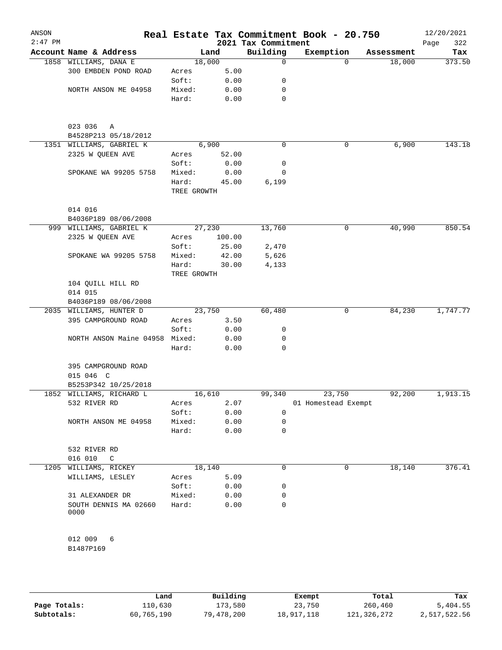| ANSON<br>$2:47$ PM |                                |                      |              | 2021 Tax Commitment | Real Estate Tax Commitment Book - 20.750 |            | 12/20/2021<br>322<br>Page |
|--------------------|--------------------------------|----------------------|--------------|---------------------|------------------------------------------|------------|---------------------------|
|                    | Account Name & Address         |                      | Land         | Building            | Exemption                                | Assessment | Tax                       |
|                    | 1858 WILLIAMS, DANA E          | 18,000               |              | $\mathbf 0$         | $\Omega$                                 | 18,000     | 373.50                    |
|                    | 300 EMBDEN POND ROAD           | Acres                | 5.00         |                     |                                          |            |                           |
|                    |                                | Soft:                | 0.00         | 0                   |                                          |            |                           |
|                    | NORTH ANSON ME 04958           | Mixed:               | 0.00         | 0                   |                                          |            |                           |
|                    |                                | Hard:                | 0.00         | 0                   |                                          |            |                           |
|                    | 023 036<br>Α                   |                      |              |                     |                                          |            |                           |
|                    | B4528P213 05/18/2012           |                      |              |                     |                                          |            |                           |
|                    | 1351 WILLIAMS, GABRIEL K       |                      | 6,900        | 0                   | 0                                        | 6,900      | 143.18                    |
|                    | 2325 W QUEEN AVE               | Acres                | 52.00        |                     |                                          |            |                           |
|                    |                                | Soft:                | 0.00         | 0                   |                                          |            |                           |
|                    | SPOKANE WA 99205 5758          | Mixed:               | 0.00         | 0                   |                                          |            |                           |
|                    |                                | Hard:<br>TREE GROWTH | 45.00        | 6,199               |                                          |            |                           |
|                    | 014 016                        |                      |              |                     |                                          |            |                           |
|                    | B4036P189 08/06/2008           |                      |              |                     |                                          |            |                           |
|                    | 999 WILLIAMS, GABRIEL K        | 27,230               |              | 13,760              | 0                                        | 40,990     | 850.54                    |
|                    | 2325 W QUEEN AVE               | Acres                | 100.00       |                     |                                          |            |                           |
|                    |                                | Soft:                | 25.00        | 2,470               |                                          |            |                           |
|                    | SPOKANE WA 99205 5758          | Mixed:               | 42.00        | 5,626               |                                          |            |                           |
|                    |                                | Hard:<br>TREE GROWTH | 30.00        | 4,133               |                                          |            |                           |
|                    | 104 QUILL HILL RD<br>014 015   |                      |              |                     |                                          |            |                           |
|                    | B4036P189 08/06/2008           |                      |              |                     |                                          |            |                           |
|                    | 2035 WILLIAMS, HUNTER D        | 23,750               |              | 60,480              | 0                                        | 84,230     | 1,747.77                  |
|                    | 395 CAMPGROUND ROAD            | Acres                | 3.50         |                     |                                          |            |                           |
|                    |                                | Soft:                | 0.00         | 0                   |                                          |            |                           |
|                    | NORTH ANSON Maine 04958 Mixed: |                      | 0.00         | 0                   |                                          |            |                           |
|                    |                                | Hard:                | 0.00         | 0                   |                                          |            |                           |
|                    | 395 CAMPGROUND ROAD            |                      |              |                     |                                          |            |                           |
|                    | 015 046 C                      |                      |              |                     |                                          |            |                           |
|                    | B5253P342 10/25/2018           |                      |              |                     |                                          |            |                           |
|                    | 1852 WILLIAMS, RICHARD L       | 16,610               |              | 99,340              | 23,750                                   | 92,200     | 1,913.15                  |
|                    | 532 RIVER RD                   | Acres                | 2.07         |                     | 01 Homestead Exempt                      |            |                           |
|                    |                                | Soft:                | 0.00         | $\mathbf 0$         |                                          |            |                           |
|                    | NORTH ANSON ME 04958           | Mixed:<br>Hard:      | 0.00<br>0.00 | 0<br>0              |                                          |            |                           |
|                    | 532 RIVER RD                   |                      |              |                     |                                          |            |                           |
|                    | 016 010<br>C                   |                      |              |                     |                                          |            |                           |
|                    | 1205 WILLIAMS, RICKEY          | 18,140               |              | 0                   | 0                                        | 18,140     | 376.41                    |
|                    | WILLIAMS, LESLEY               | Acres                | 5.09         |                     |                                          |            |                           |
|                    |                                | Soft:                | 0.00         | 0                   |                                          |            |                           |
|                    | 31 ALEXANDER DR                | Mixed:               | 0.00         | 0                   |                                          |            |                           |
|                    | SOUTH DENNIS MA 02660<br>0000  | Hard:                | 0.00         | 0                   |                                          |            |                           |
|                    | 012 009<br>6                   |                      |              |                     |                                          |            |                           |
|                    | B1487P169                      |                      |              |                     |                                          |            |                           |

|              | Land       | Building   | Exempt     | Total       | Tax          |
|--------------|------------|------------|------------|-------------|--------------|
| Page Totals: | 110,630    | 173,580    | 23,750     | 260,460     | 5,404.55     |
| Subtotals:   | 60,765,190 | 79,478,200 | 18,917,118 | 121,326,272 | 2,517,522.56 |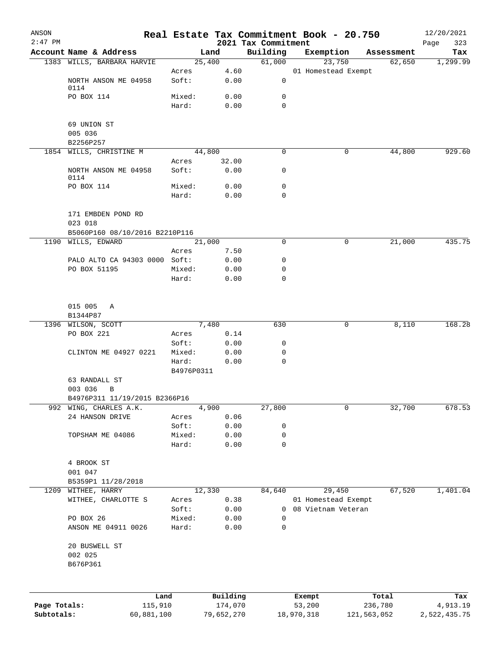| ANSON        |                                                      |                 |                       |                         | Real Estate Tax Commitment Book - 20.750  |                      | 12/20/2021               |
|--------------|------------------------------------------------------|-----------------|-----------------------|-------------------------|-------------------------------------------|----------------------|--------------------------|
| $2:47$ PM    |                                                      |                 |                       | 2021 Tax Commitment     |                                           |                      | 323<br>Page              |
|              | Account Name & Address<br>1383 WILLS, BARBARA HARVIE |                 | Land<br>25,400        | Building<br>61,000      | Exemption<br>23,750                       | Assessment<br>62,650 | Tax<br>1,299.99          |
|              |                                                      | Acres           | 4.60                  |                         | 01 Homestead Exempt                       |                      |                          |
|              | NORTH ANSON ME 04958<br>0114                         | Soft:           | 0.00                  | 0                       |                                           |                      |                          |
|              | PO BOX 114                                           | Mixed:          | 0.00                  | 0                       |                                           |                      |                          |
|              |                                                      | Hard:           | 0.00                  | 0                       |                                           |                      |                          |
|              | 69 UNION ST                                          |                 |                       |                         |                                           |                      |                          |
|              | 005 036                                              |                 |                       |                         |                                           |                      |                          |
|              | B2256P257                                            |                 |                       |                         |                                           |                      |                          |
|              | 1854 WILLS, CHRISTINE M                              | Acres           | 44,800<br>32.00       | 0                       | 0                                         | 44,800               | 929.60                   |
|              | NORTH ANSON ME 04958<br>0114                         | Soft:           | 0.00                  | 0                       |                                           |                      |                          |
|              | PO BOX 114                                           | Mixed:          | 0.00                  | 0                       |                                           |                      |                          |
|              |                                                      | Hard:           | 0.00                  | $\Omega$                |                                           |                      |                          |
|              | 171 EMBDEN POND RD                                   |                 |                       |                         |                                           |                      |                          |
|              | 023 018                                              |                 |                       |                         |                                           |                      |                          |
|              | B5060P160 08/10/2016 B2210P116                       |                 |                       |                         |                                           |                      |                          |
|              | 1190 WILLS, EDWARD                                   |                 | 21,000                | $\Omega$                | 0                                         | 21,000               | 435.75                   |
|              |                                                      | Acres           | 7.50                  |                         |                                           |                      |                          |
|              | PALO ALTO CA 94303 0000 Soft:                        |                 | 0.00                  | 0                       |                                           |                      |                          |
|              | PO BOX 51195                                         | Mixed:<br>Hard: | 0.00<br>0.00          | $\mathbf 0$<br>$\Omega$ |                                           |                      |                          |
|              |                                                      |                 |                       |                         |                                           |                      |                          |
|              | 015 005<br>Α                                         |                 |                       |                         |                                           |                      |                          |
|              | B1344P87                                             |                 |                       |                         |                                           |                      |                          |
|              | 1396 WILSON, SCOTT<br>PO BOX 221                     |                 | 7,480                 | 630                     | 0                                         | 8,110                | 168.28                   |
|              |                                                      | Acres<br>Soft:  | 0.14<br>0.00          | 0                       |                                           |                      |                          |
|              | CLINTON ME 04927 0221                                | Mixed:          | 0.00                  | 0                       |                                           |                      |                          |
|              |                                                      | Hard:           | 0.00                  | $\mathbf 0$             |                                           |                      |                          |
|              |                                                      | B4976P0311      |                       |                         |                                           |                      |                          |
|              | 63 RANDALL ST                                        |                 |                       |                         |                                           |                      |                          |
|              | 003 036<br>В                                         |                 |                       |                         |                                           |                      |                          |
|              | B4976P311 11/19/2015 B2366P16                        |                 |                       |                         |                                           |                      |                          |
|              | 992 WING, CHARLES A.K.                               |                 | 4,900                 | 27,800                  | 0                                         | 32,700               | 678.53                   |
|              | 24 HANSON DRIVE                                      | Acres           | 0.06                  |                         |                                           |                      |                          |
|              | TOPSHAM ME 04086                                     | Soft:<br>Mixed: | 0.00<br>0.00          | 0<br>0                  |                                           |                      |                          |
|              |                                                      | Hard:           | 0.00                  | 0                       |                                           |                      |                          |
|              |                                                      |                 |                       |                         |                                           |                      |                          |
|              | 4 BROOK ST                                           |                 |                       |                         |                                           |                      |                          |
|              | 001 047                                              |                 |                       |                         |                                           |                      |                          |
|              | B5359P1 11/28/2018                                   |                 |                       |                         |                                           |                      |                          |
| 1209         | WITHEE, HARRY                                        |                 | 12,330                | 84,640                  | 29,450                                    | 67,520               | 1,401.04                 |
|              | WITHEE, CHARLOTTE S                                  | Acres<br>Soft:  | 0.38<br>0.00          | 0                       | 01 Homestead Exempt<br>08 Vietnam Veteran |                      |                          |
|              | PO BOX 26                                            | Mixed:          | 0.00                  | 0                       |                                           |                      |                          |
|              | ANSON ME 04911 0026                                  | Hard:           | 0.00                  | 0                       |                                           |                      |                          |
|              | 20 BUSWELL ST                                        |                 |                       |                         |                                           |                      |                          |
|              | 002 025                                              |                 |                       |                         |                                           |                      |                          |
|              | B676P361                                             |                 |                       |                         |                                           |                      |                          |
|              |                                                      |                 |                       |                         |                                           |                      |                          |
| Page Totals: |                                                      | Land            | Building              |                         | Exempt<br>53,200                          | Total<br>236,780     | Tax                      |
| Subtotals:   | 115,910<br>60,881,100                                |                 | 174,070<br>79,652,270 |                         | 18,970,318                                | 121,563,052          | 4,913.19<br>2,522,435.75 |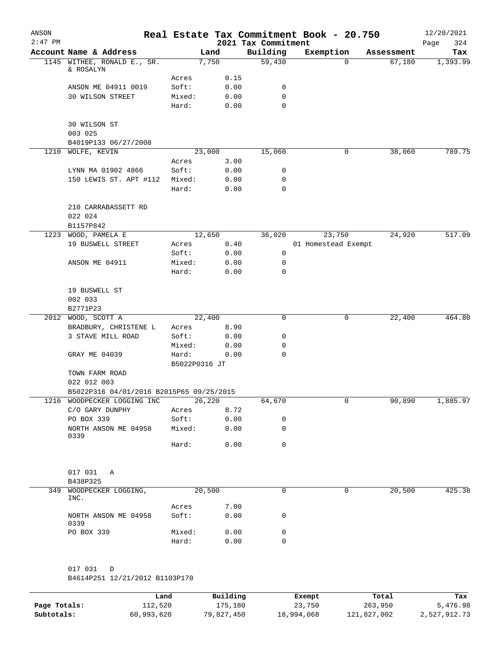| ANSON     |                                          |                        |                 |                                 | Real Estate Tax Commitment Book - 20.750 |                | 12/20/2021         |
|-----------|------------------------------------------|------------------------|-----------------|---------------------------------|------------------------------------------|----------------|--------------------|
| $2:47$ PM | Account Name & Address                   |                        | Land            | 2021 Tax Commitment<br>Building | Exemption                                | Assessment     | Page<br>324<br>Tax |
|           | 1145 WITHEE, RONALD E., SR.              |                        | 7,750           | 59,430                          | 0                                        | 67,180         | 1,393.99           |
|           | & ROSALYN                                |                        |                 |                                 |                                          |                |                    |
|           |                                          | Acres                  | 0.15            | 0                               |                                          |                |                    |
|           | ANSON ME 04911 0019<br>30 WILSON STREET  | Soft:<br>Mixed:        | 0.00<br>0.00    | 0                               |                                          |                |                    |
|           |                                          | Hard:                  | 0.00            | $\mathbf 0$                     |                                          |                |                    |
|           |                                          |                        |                 |                                 |                                          |                |                    |
|           | 30 WILSON ST                             |                        |                 |                                 |                                          |                |                    |
|           | 003 025                                  |                        |                 |                                 |                                          |                |                    |
|           | B4019P133 06/27/2008                     |                        |                 |                                 |                                          |                |                    |
|           | 1210 WOLFE, KEVIN                        |                        | 23,000          | 15,060                          | 0                                        | 38,060         | 789.75             |
|           | LYNN MA 01902 4866                       | Acres<br>Soft:         | 3.00<br>0.00    | 0                               |                                          |                |                    |
|           | 150 LEWIS ST. APT #112                   | Mixed:                 | 0.00            | 0                               |                                          |                |                    |
|           |                                          | Hard:                  | 0.00            | 0                               |                                          |                |                    |
|           |                                          |                        |                 |                                 |                                          |                |                    |
|           | 210 CARRABASSETT RD                      |                        |                 |                                 |                                          |                |                    |
|           | 022 024                                  |                        |                 |                                 |                                          |                |                    |
|           | B1157P842                                |                        |                 |                                 |                                          |                |                    |
| 1223      | WOOD, PAMELA E                           |                        | 12,650          | 36,020                          | 23,750                                   | 24,920         | 517.09             |
|           | 19 BUSWELL STREET                        | Acres                  | 0.40            |                                 | 01 Homestead Exempt                      |                |                    |
|           |                                          | Soft:                  | 0.00            | 0                               |                                          |                |                    |
|           | ANSON ME 04911                           | Mixed:<br>Hard:        | 0.00<br>0.00    | 0<br>0                          |                                          |                |                    |
|           |                                          |                        |                 |                                 |                                          |                |                    |
|           | 19 BUSWELL ST                            |                        |                 |                                 |                                          |                |                    |
|           | 002 033                                  |                        |                 |                                 |                                          |                |                    |
|           | B2771P23                                 |                        |                 |                                 |                                          |                |                    |
| 2012      | WOOD, SCOTT A                            |                        | 22,400          | 0                               | 0                                        | 22,400         | 464.80             |
|           | BRADBURY, CHRISTENE L                    | Acres                  | 8.90            |                                 |                                          |                |                    |
|           | 3 STAVE MILL ROAD                        | Soft:                  | 0.00            | 0                               |                                          |                |                    |
|           |                                          | Mixed:                 | 0.00            | 0<br>0                          |                                          |                |                    |
|           | GRAY ME 04039                            | Hard:<br>B5022P0316 JT | 0.00            |                                 |                                          |                |                    |
|           | TOWN FARM ROAD                           |                        |                 |                                 |                                          |                |                    |
|           | 022 012 003                              |                        |                 |                                 |                                          |                |                    |
|           | B5022P316 04/01/2016 B2015P65 09/25/2015 |                        |                 |                                 |                                          |                |                    |
|           | 1216 WOODPECKER LOGGING INC              |                        | 26,220          | 64,670                          | 0                                        | 90,890         | 1,885.97           |
|           | C/O GARY DUNPHY                          | Acres                  | 8.72            |                                 |                                          |                |                    |
|           | PO BOX 339                               | Soft:                  | 0.00            | 0                               |                                          |                |                    |
|           | NORTH ANSON ME 04958<br>0339             | Mixed:                 | 0.00            | 0                               |                                          |                |                    |
|           |                                          | Hard:                  | 0.00            | 0                               |                                          |                |                    |
|           |                                          |                        |                 |                                 |                                          |                |                    |
|           |                                          |                        |                 |                                 |                                          |                |                    |
|           | 017 031 A                                |                        |                 |                                 |                                          |                |                    |
|           | B438P325                                 |                        |                 |                                 |                                          |                |                    |
| 349       | WOODPECKER LOGGING,<br>INC.              |                        | 20,500          | $\mathbf 0$                     | 0                                        | 20,500         | 425.38             |
|           |                                          | Acres                  | 7.00            |                                 |                                          |                |                    |
|           | NORTH ANSON ME 04958                     | Soft:                  | 0.00            | 0                               |                                          |                |                    |
|           | 0339                                     |                        |                 |                                 |                                          |                |                    |
|           | PO BOX 339                               | Mixed:<br>Hard:        | 0.00            | 0<br>0                          |                                          |                |                    |
|           |                                          |                        | 0.00            |                                 |                                          |                |                    |
|           |                                          |                        |                 |                                 |                                          |                |                    |
|           | 017 031<br>D                             |                        |                 |                                 |                                          |                |                    |
|           | B4614P251 12/21/2012 B1103P170           |                        |                 |                                 |                                          |                |                    |
|           |                                          | Land.                  | <b>Building</b> |                                 | <b>Fromnt</b>                            | $T \cap F = I$ |                    |

|              | Land       | Building   | Exempt     | Total       | Tax          |
|--------------|------------|------------|------------|-------------|--------------|
| Page Totals: | 112,520    | 175,180    | 23,750     | 263,950     | 5,476.98     |
| Subtotals:   | 60,993,620 | 79,827,450 | 18,994,068 | 121,827,002 | 2,527,912.73 |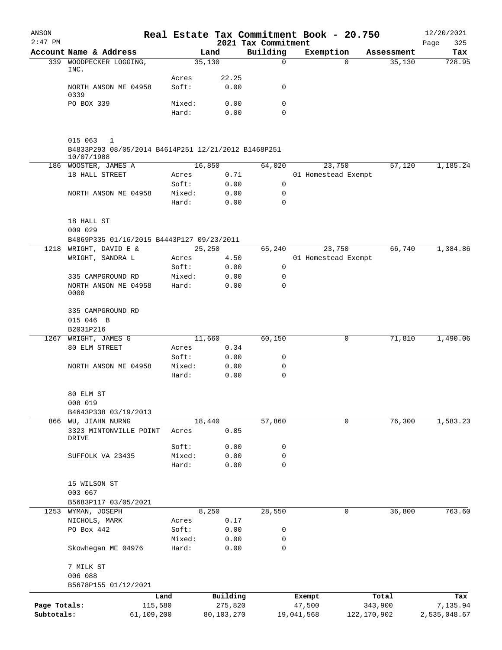| ANSON        |                                                                     |                 |               |                                 | Real Estate Tax Commitment Book - 20.750 |               | 12/20/2021         |
|--------------|---------------------------------------------------------------------|-----------------|---------------|---------------------------------|------------------------------------------|---------------|--------------------|
| $2:47$ PM    | Account Name & Address                                              |                 | Land          | 2021 Tax Commitment<br>Building | Exemption                                | Assessment    | Page<br>325<br>Tax |
| 339          | WOODPECKER LOGGING,                                                 |                 | 35,130        | $\mathbf 0$                     |                                          | 35,130<br>0   | 728.95             |
|              | INC.                                                                |                 |               |                                 |                                          |               |                    |
|              | NORTH ANSON ME 04958                                                | Acres<br>Soft:  | 22.25<br>0.00 | 0                               |                                          |               |                    |
|              | 0339                                                                |                 |               |                                 |                                          |               |                    |
|              | PO BOX 339                                                          | Mixed:          | 0.00          | 0                               |                                          |               |                    |
|              |                                                                     | Hard:           | 0.00          | 0                               |                                          |               |                    |
|              |                                                                     |                 |               |                                 |                                          |               |                    |
|              | 015 063<br>1<br>B4833P293 08/05/2014 B4614P251 12/21/2012 B1468P251 |                 |               |                                 |                                          |               |                    |
|              | 10/07/1988                                                          |                 |               |                                 |                                          |               |                    |
| 186          | WOOSTER, JAMES A                                                    |                 | 16,850        | 64,020                          | 23,750                                   | 57,120        | 1,185.24           |
|              | 18 HALL STREET                                                      | Acres           | 0.71          |                                 | 01 Homestead Exempt                      |               |                    |
|              | NORTH ANSON ME 04958                                                | Soft:<br>Mixed: | 0.00<br>0.00  | 0<br>0                          |                                          |               |                    |
|              |                                                                     | Hard:           | 0.00          | 0                               |                                          |               |                    |
|              | 18 HALL ST                                                          |                 |               |                                 |                                          |               |                    |
|              | 009 029                                                             |                 |               |                                 |                                          |               |                    |
|              | B4869P335 01/16/2015 B4443P127 09/23/2011                           |                 |               |                                 |                                          |               |                    |
| 1218         | WRIGHT, DAVID E &                                                   |                 | 25, 250       | 65,240                          | 23,750                                   | 66,740        | 1,384.86           |
|              | WRIGHT, SANDRA L                                                    | Acres           | 4.50          |                                 | 01 Homestead Exempt                      |               |                    |
|              |                                                                     | Soft:           | 0.00          | 0                               |                                          |               |                    |
|              | 335 CAMPGROUND RD<br>NORTH ANSON ME 04958                           | Mixed:          | 0.00          | 0<br>$\mathbf 0$                |                                          |               |                    |
|              | 0000                                                                | Hard:           | 0.00          |                                 |                                          |               |                    |
|              | 335 CAMPGROUND RD                                                   |                 |               |                                 |                                          |               |                    |
|              | 015 046 B                                                           |                 |               |                                 |                                          |               |                    |
|              | B2031P216                                                           |                 |               |                                 |                                          |               |                    |
| 1267         | WRIGHT, JAMES G                                                     |                 | 11,660        | 60,150                          |                                          | 71,810<br>0   | 1,490.06           |
|              | 80 ELM STREET                                                       | Acres           | 0.34          |                                 |                                          |               |                    |
|              |                                                                     | Soft:<br>Mixed: | 0.00<br>0.00  | 0<br>0                          |                                          |               |                    |
|              | NORTH ANSON ME 04958                                                | Hard:           | 0.00          | 0                               |                                          |               |                    |
|              | 80 ELM ST                                                           |                 |               |                                 |                                          |               |                    |
|              | 008 019                                                             |                 |               |                                 |                                          |               |                    |
|              | B4643P338 03/19/2013                                                |                 |               |                                 |                                          |               |                    |
| 866          | WU, JIAHN NURNG                                                     |                 | 18,440        | 57,860                          |                                          | 76,300<br>0   | 1,583.23           |
|              | 3323 MINTONVILLE POINT<br>DRIVE                                     | Acres           | 0.85          |                                 |                                          |               |                    |
|              |                                                                     | Soft:           | 0.00          | 0                               |                                          |               |                    |
|              | SUFFOLK VA 23435                                                    | Mixed:          | 0.00          | 0                               |                                          |               |                    |
|              |                                                                     | Hard:           | 0.00          | $\mathbf 0$                     |                                          |               |                    |
|              | 15 WILSON ST                                                        |                 |               |                                 |                                          |               |                    |
|              | 003 067                                                             |                 |               |                                 |                                          |               |                    |
|              | B5683P117 03/05/2021                                                |                 |               |                                 |                                          |               |                    |
|              | 1253 WYMAN, JOSEPH                                                  |                 | 8,250         | 28,550                          |                                          | 36,800<br>0   | 763.60             |
|              | NICHOLS, MARK                                                       | Acres           | 0.17          |                                 |                                          |               |                    |
|              | PO Box 442                                                          | Soft:           | 0.00          | 0                               |                                          |               |                    |
|              | Skowhegan ME 04976                                                  | Mixed:<br>Hard: | 0.00<br>0.00  | 0<br>0                          |                                          |               |                    |
|              |                                                                     |                 |               |                                 |                                          |               |                    |
|              | 7 MILK ST<br>006 088                                                |                 |               |                                 |                                          |               |                    |
|              | B5678P155 01/12/2021                                                |                 |               |                                 |                                          |               |                    |
|              |                                                                     | Land            | Building      |                                 | Exempt                                   | Total         | Tax                |
| Page Totals: |                                                                     | 115,580         | 275,820       |                                 | 47,500                                   | 343,900       | 7,135.94           |
| Subtotals:   |                                                                     | 61,109,200      | 80,103,270    |                                 | 19,041,568                               | 122, 170, 902 | 2,535,048.67       |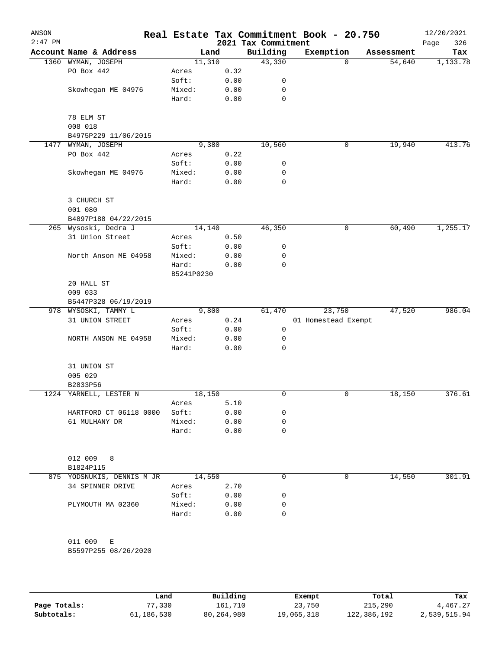| ANSON<br>$2:47$ PM |                            |            |      | 2021 Tax Commitment | Real Estate Tax Commitment Book - 20.750 |            | 12/20/2021<br>326<br>Page |
|--------------------|----------------------------|------------|------|---------------------|------------------------------------------|------------|---------------------------|
|                    | Account Name & Address     | Land       |      | Building            | Exemption                                | Assessment | Tax                       |
|                    | 1360 WYMAN, JOSEPH         | 11,310     |      | 43,330              | 0                                        | 54,640     | 1,133.78                  |
|                    | PO Box 442                 | Acres      | 0.32 |                     |                                          |            |                           |
|                    |                            | Soft:      | 0.00 | 0                   |                                          |            |                           |
|                    | Skowhegan ME 04976         | Mixed:     | 0.00 | 0                   |                                          |            |                           |
|                    |                            | Hard:      | 0.00 | 0                   |                                          |            |                           |
|                    |                            |            |      |                     |                                          |            |                           |
|                    | 78 ELM ST<br>008 018       |            |      |                     |                                          |            |                           |
|                    | B4975P229 11/06/2015       |            |      |                     |                                          |            |                           |
| 1477               | WYMAN, JOSEPH              | 9,380      |      | 10,560              | 0                                        | 19,940     | 413.76                    |
|                    | PO Box 442                 | Acres      | 0.22 |                     |                                          |            |                           |
|                    |                            | Soft:      | 0.00 | 0                   |                                          |            |                           |
|                    | Skowhegan ME 04976         | Mixed:     | 0.00 | 0                   |                                          |            |                           |
|                    |                            | Hard:      | 0.00 | 0                   |                                          |            |                           |
|                    |                            |            |      |                     |                                          |            |                           |
|                    | 3 CHURCH ST                |            |      |                     |                                          |            |                           |
|                    | 001 080                    |            |      |                     |                                          |            |                           |
|                    | B4897P188 04/22/2015       |            |      |                     |                                          |            |                           |
|                    | 265 Wysoski, Dedra J       | 14,140     |      | 46,350              | 0                                        | 60,490     | 1,255.17                  |
|                    | 31 Union Street            | Acres      | 0.50 |                     |                                          |            |                           |
|                    |                            | Soft:      | 0.00 | 0                   |                                          |            |                           |
|                    | North Anson ME 04958       | Mixed:     | 0.00 | 0                   |                                          |            |                           |
|                    |                            | Hard:      | 0.00 | 0                   |                                          |            |                           |
|                    |                            | B5241P0230 |      |                     |                                          |            |                           |
|                    | 20 HALL ST                 |            |      |                     |                                          |            |                           |
|                    | 009 033                    |            |      |                     |                                          |            |                           |
|                    | B5447P328 06/19/2019       |            |      |                     |                                          |            |                           |
|                    | 978 WYSOSKI, TAMMY L       | 9,800      |      | 61,470              | 23,750                                   | 47,520     | 986.04                    |
|                    | 31 UNION STREET            | Acres      | 0.24 |                     | 01 Homestead Exempt                      |            |                           |
|                    |                            | Soft:      | 0.00 | 0                   |                                          |            |                           |
|                    | NORTH ANSON ME 04958       | Mixed:     | 0.00 | 0                   |                                          |            |                           |
|                    |                            | Hard:      | 0.00 | 0                   |                                          |            |                           |
|                    | 31 UNION ST                |            |      |                     |                                          |            |                           |
|                    | 005 029                    |            |      |                     |                                          |            |                           |
|                    | B2833P56                   |            |      |                     |                                          |            |                           |
|                    | 1224 YARNELL, LESTER N     | 18,150     |      | 0                   | 0                                        | 18,150     | 376.61                    |
|                    |                            | Acres      | 5.10 |                     |                                          |            |                           |
|                    | HARTFORD CT 06118 0000     | Soft:      | 0.00 | 0                   |                                          |            |                           |
|                    | 61 MULHANY DR              | Mixed:     | 0.00 | 0                   |                                          |            |                           |
|                    |                            | Hard:      | 0.00 | 0                   |                                          |            |                           |
|                    |                            |            |      |                     |                                          |            |                           |
|                    |                            |            |      |                     |                                          |            |                           |
|                    | 012 009<br>8               |            |      |                     |                                          |            |                           |
|                    | B1824P115                  |            |      |                     |                                          |            |                           |
|                    | 875 YODSNUKIS, DENNIS M JR | 14,550     |      | 0                   | 0                                        | 14,550     | 301.91                    |
|                    | 34 SPINNER DRIVE           | Acres      | 2.70 |                     |                                          |            |                           |
|                    |                            | Soft:      | 0.00 | 0                   |                                          |            |                           |
|                    | PLYMOUTH MA 02360          | Mixed:     | 0.00 | 0                   |                                          |            |                           |
|                    |                            | Hard:      | 0.00 | 0                   |                                          |            |                           |
|                    |                            |            |      |                     |                                          |            |                           |
|                    | 011 009<br>Е               |            |      |                     |                                          |            |                           |
|                    | B5597P255 08/26/2020       |            |      |                     |                                          |            |                           |
|                    |                            |            |      |                     |                                          |            |                           |
|                    |                            |            |      |                     |                                          |            |                           |
|                    |                            |            |      |                     |                                          |            |                           |

|              | Land       | Building   | Exempt     | Total       | Tax          |
|--------------|------------|------------|------------|-------------|--------------|
| Page Totals: | 77,330     | 161,710    | 23,750     | 215,290     | 4,467.27     |
| Subtotals:   | 61,186,530 | 80,264,980 | 19,065,318 | 122,386,192 | 2,539,515.94 |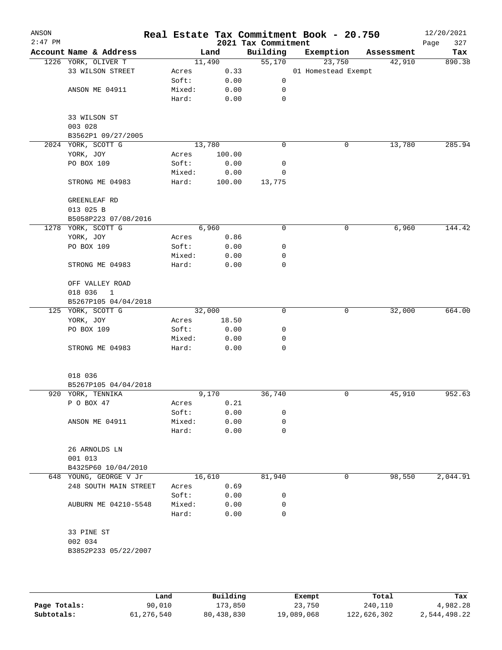| ANSON<br>$2:47$ PM |                         |        |        | 2021 Tax Commitment | Real Estate Tax Commitment Book - 20.750 |            | 12/20/2021<br>327<br>Page |
|--------------------|-------------------------|--------|--------|---------------------|------------------------------------------|------------|---------------------------|
|                    | Account Name & Address  |        | Land   | Building            | Exemption                                | Assessment | Tax                       |
|                    | 1226 YORK, OLIVER T     |        | 11,490 | 55,170              | 23,750                                   | 42,910     | 890.38                    |
|                    | 33 WILSON STREET        | Acres  | 0.33   |                     | 01 Homestead Exempt                      |            |                           |
|                    |                         | Soft:  | 0.00   | 0                   |                                          |            |                           |
|                    | ANSON ME 04911          | Mixed: | 0.00   | 0                   |                                          |            |                           |
|                    |                         | Hard:  | 0.00   | $\mathbf 0$         |                                          |            |                           |
|                    | 33 WILSON ST            |        |        |                     |                                          |            |                           |
|                    | 003 028                 |        |        |                     |                                          |            |                           |
|                    | B3562P1 09/27/2005      |        |        |                     |                                          |            |                           |
|                    | 2024 YORK, SCOTT G      |        | 13,780 | 0                   | 0                                        | 13,780     | 285.94                    |
|                    | YORK, JOY               | Acres  | 100.00 |                     |                                          |            |                           |
|                    | PO BOX 109              | Soft:  | 0.00   | 0                   |                                          |            |                           |
|                    |                         | Mixed: | 0.00   | 0                   |                                          |            |                           |
|                    | STRONG ME 04983         | Hard:  | 100.00 | 13,775              |                                          |            |                           |
|                    | GREENLEAF RD            |        |        |                     |                                          |            |                           |
|                    | 013 025 B               |        |        |                     |                                          |            |                           |
|                    | B5058P223 07/08/2016    |        |        |                     |                                          |            |                           |
|                    | 1278 YORK, SCOTT G      |        | 6,960  | 0                   | 0                                        | 6,960      | 144.42                    |
|                    | YORK, JOY               | Acres  | 0.86   |                     |                                          |            |                           |
|                    | PO BOX 109              | Soft:  | 0.00   | 0                   |                                          |            |                           |
|                    |                         | Mixed: | 0.00   | 0                   |                                          |            |                           |
|                    | STRONG ME 04983         | Hard:  | 0.00   | 0                   |                                          |            |                           |
|                    | OFF VALLEY ROAD         |        |        |                     |                                          |            |                           |
|                    | 018 036<br>$\mathbf{1}$ |        |        |                     |                                          |            |                           |
|                    | B5267P105 04/04/2018    |        |        |                     |                                          |            |                           |
|                    | 125 YORK, SCOTT G       |        | 32,000 | 0                   | 0                                        | 32,000     | 664.00                    |
|                    | YORK, JOY               | Acres  | 18.50  |                     |                                          |            |                           |
|                    | PO BOX 109              | Soft:  | 0.00   | 0                   |                                          |            |                           |
|                    |                         | Mixed: | 0.00   | 0                   |                                          |            |                           |
|                    | STRONG ME 04983         | Hard:  | 0.00   | 0                   |                                          |            |                           |
|                    |                         |        |        |                     |                                          |            |                           |
|                    | 018 036                 |        |        |                     |                                          |            |                           |
|                    | B5267P105 04/04/2018    |        |        |                     |                                          |            |                           |
|                    | 920 YORK, TENNIKA       |        | 9,170  | 36,740              | 0                                        | 45,910     | 952.63                    |
|                    | P O BOX 47              | Acres  | 0.21   |                     |                                          |            |                           |
|                    |                         | Soft:  | 0.00   | 0                   |                                          |            |                           |
|                    | ANSON ME 04911          | Mixed: | 0.00   | 0                   |                                          |            |                           |
|                    |                         | Hard:  | 0.00   | 0                   |                                          |            |                           |
|                    | 26 ARNOLDS LN           |        |        |                     |                                          |            |                           |
|                    | 001 013                 |        |        |                     |                                          |            |                           |
|                    | B4325P60 10/04/2010     |        |        |                     |                                          |            |                           |
|                    | 648 YOUNG, GEORGE V Jr  |        | 16,610 | 81,940              | 0                                        | 98,550     | 2,044.91                  |
|                    | 248 SOUTH MAIN STREET   | Acres  | 0.69   |                     |                                          |            |                           |
|                    |                         | Soft:  | 0.00   | 0                   |                                          |            |                           |
|                    | AUBURN ME 04210-5548    | Mixed: | 0.00   | 0                   |                                          |            |                           |
|                    |                         | Hard:  | 0.00   | $\Omega$            |                                          |            |                           |
|                    | 33 PINE ST              |        |        |                     |                                          |            |                           |
|                    | 002 034                 |        |        |                     |                                          |            |                           |
|                    | B3852P233 05/22/2007    |        |        |                     |                                          |            |                           |
|                    |                         |        |        |                     |                                          |            |                           |
|                    |                         |        |        |                     |                                          |            |                           |

|              | Land       | Building   | Exempt     | Total       | Tax          |
|--------------|------------|------------|------------|-------------|--------------|
| Page Totals: | 90,010     | 173,850    | 23,750     | 240,110     | 4,982.28     |
| Subtotals:   | 61,276,540 | 80,438,830 | 19,089,068 | 122,626,302 | 2,544,498.22 |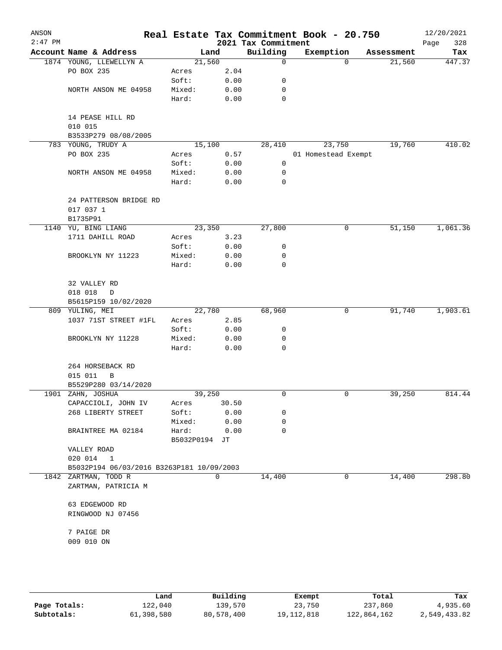| ANSON<br>$2:47$ PM |                                           |               |          | 2021 Tax Commitment | Real Estate Tax Commitment Book - 20.750 |            | 12/20/2021<br>328<br>Page |  |
|--------------------|-------------------------------------------|---------------|----------|---------------------|------------------------------------------|------------|---------------------------|--|
|                    | Account Name & Address                    |               | Land     | Building            | Exemption                                | Assessment | Tax                       |  |
|                    | 1874 YOUNG, LLEWELLYN A                   | 21,560        |          | $\mathbf 0$         | $\Omega$                                 | 21,560     | 447.37                    |  |
|                    | PO BOX 235                                | Acres         | 2.04     |                     |                                          |            |                           |  |
|                    |                                           | Soft:         | 0.00     | 0                   |                                          |            |                           |  |
|                    | NORTH ANSON ME 04958                      | Mixed:        | 0.00     | 0                   |                                          |            |                           |  |
|                    |                                           | Hard:         | 0.00     | $\mathbf 0$         |                                          |            |                           |  |
|                    | 14 PEASE HILL RD                          |               |          |                     |                                          |            |                           |  |
|                    | 010 015                                   |               |          |                     |                                          |            |                           |  |
|                    | B3533P279 08/08/2005                      |               |          |                     |                                          |            |                           |  |
|                    | 783 YOUNG, TRUDY A                        | 15,100        |          | 28,410              | 23,750                                   | 19,760     | 410.02                    |  |
|                    | PO BOX 235                                | Acres         | 0.57     |                     | 01 Homestead Exempt                      |            |                           |  |
|                    |                                           | Soft:         | 0.00     | 0                   |                                          |            |                           |  |
|                    | NORTH ANSON ME 04958                      | Mixed:        | 0.00     | 0                   |                                          |            |                           |  |
|                    |                                           | Hard:         | 0.00     | 0                   |                                          |            |                           |  |
|                    | 24 PATTERSON BRIDGE RD<br>017 037 1       |               |          |                     |                                          |            |                           |  |
|                    | B1735P91                                  |               |          |                     |                                          |            |                           |  |
|                    | 1140 YU, BING LIANG                       | 23,350        |          | 27,800              | 0                                        | 51,150     | 1,061.36                  |  |
|                    | 1711 DAHILL ROAD                          | Acres         | 3.23     |                     |                                          |            |                           |  |
|                    |                                           | Soft:         | 0.00     | 0                   |                                          |            |                           |  |
|                    | BROOKLYN NY 11223                         | Mixed:        | 0.00     | 0                   |                                          |            |                           |  |
|                    |                                           | Hard:         | 0.00     | 0                   |                                          |            |                           |  |
|                    | 32 VALLEY RD                              |               |          |                     |                                          |            |                           |  |
|                    | 018 018<br>D                              |               |          |                     |                                          |            |                           |  |
|                    | B5615P159 10/02/2020                      |               |          |                     |                                          |            |                           |  |
|                    | 809 YULING, MEI                           | 22,780        |          | 68,960              | 0                                        | 91,740     | 1,903.61                  |  |
|                    | 1037 71ST STREET #1FL                     | Acres         | 2.85     |                     |                                          |            |                           |  |
|                    |                                           | Soft:         | 0.00     | 0                   |                                          |            |                           |  |
|                    | BROOKLYN NY 11228                         | Mixed:        | 0.00     | 0                   |                                          |            |                           |  |
|                    |                                           | Hard:         | 0.00     | 0                   |                                          |            |                           |  |
|                    | 264 HORSEBACK RD                          |               |          |                     |                                          |            |                           |  |
|                    | 015 011<br>B                              |               |          |                     |                                          |            |                           |  |
|                    | B5529P280 03/14/2020                      |               |          |                     |                                          |            |                           |  |
|                    | 1901 ZAHN, JOSHUA                         | 39,250        |          | 0                   | 0                                        | 39,250     | 814.44                    |  |
|                    | CAPACCIOLI, JOHN IV                       | Acres         | 30.50    |                     |                                          |            |                           |  |
|                    | 268 LIBERTY STREET                        | Soft:         | 0.00     | 0                   |                                          |            |                           |  |
|                    |                                           | Mixed:        | 0.00     | 0                   |                                          |            |                           |  |
|                    | BRAINTREE MA 02184                        | Hard:         | 0.00     | 0                   |                                          |            |                           |  |
|                    |                                           | B5032P0194 JT |          |                     |                                          |            |                           |  |
|                    | VALLEY ROAD                               |               |          |                     |                                          |            |                           |  |
|                    | 020 014<br>$\mathbf{1}$                   |               |          |                     |                                          |            |                           |  |
|                    | B5032P194 06/03/2016 B3263P181 10/09/2003 |               |          |                     |                                          |            |                           |  |
|                    | 1842 ZARTMAN, TODD R                      |               | $\Omega$ | 14,400              | 0                                        | 14,400     | 298.80                    |  |
|                    | ZARTMAN, PATRICIA M                       |               |          |                     |                                          |            |                           |  |
|                    | 63 EDGEWOOD RD                            |               |          |                     |                                          |            |                           |  |
|                    | RINGWOOD NJ 07456                         |               |          |                     |                                          |            |                           |  |
|                    | 7 PAIGE DR                                |               |          |                     |                                          |            |                           |  |
|                    | 009 010 ON                                |               |          |                     |                                          |            |                           |  |
|                    |                                           |               |          |                     |                                          |            |                           |  |

|              | Land       | Building   | Exempt       | Total       | Tax          |
|--------------|------------|------------|--------------|-------------|--------------|
| Page Totals: | 122,040    | 139,570    | 23,750       | 237,860     | 4,935.60     |
| Subtotals:   | 61,398,580 | 80,578,400 | 19, 112, 818 | 122,864,162 | 2,549,433.82 |